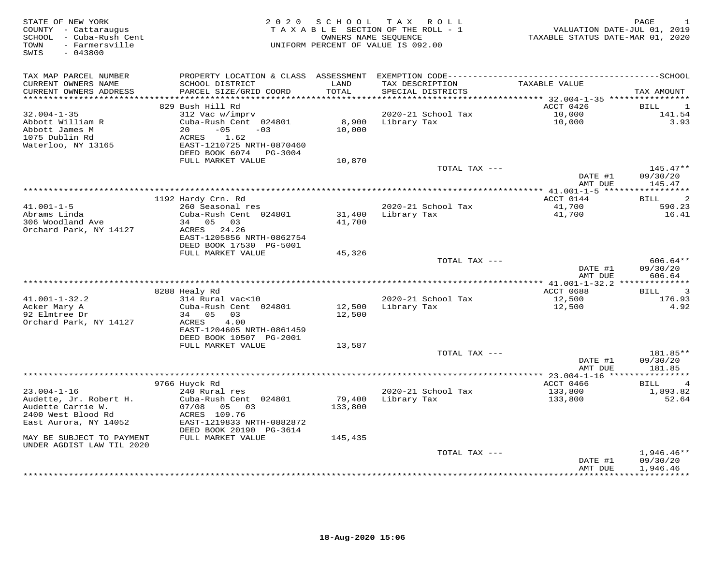| STATE OF NEW YORK<br>COUNTY - Cattaraugus<br>SCHOOL - Cuba-Rush Cent<br>- Farmersville<br>TOWN<br>SWIS<br>$-043800$ |                                                                                                                                                                                   | OWNERS NAME SEQUENCE      | 2020 SCHOOL TAX ROLL<br>TAXABLE SECTION OF THE ROLL - 1<br>UNIFORM PERCENT OF VALUE IS 092.00                                        | VALUATION DATE-JUL 01, 2019<br>TAXABLE STATUS DATE-MAR 01, 2020 | PAGE<br>1                            |
|---------------------------------------------------------------------------------------------------------------------|-----------------------------------------------------------------------------------------------------------------------------------------------------------------------------------|---------------------------|--------------------------------------------------------------------------------------------------------------------------------------|-----------------------------------------------------------------|--------------------------------------|
| TAX MAP PARCEL NUMBER<br>CURRENT OWNERS NAME<br>CURRENT OWNERS ADDRESS                                              | SCHOOL DISTRICT<br>PARCEL SIZE/GRID COORD                                                                                                                                         | LAND<br>TOTAL             | PROPERTY LOCATION & CLASS ASSESSMENT EXEMPTION CODE-----------------------------------SCHOOL<br>TAX DESCRIPTION<br>SPECIAL DISTRICTS | TAXABLE VALUE                                                   | TAX AMOUNT                           |
| ********************                                                                                                |                                                                                                                                                                                   | **********                | ********************************* 32.004-1-35 ****************                                                                       |                                                                 |                                      |
| $32.004 - 1 - 35$<br>Abbott William R<br>Abbott James M<br>1075 Dublin Rd<br>Waterloo, NY 13165                     | 829 Bush Hill Rd<br>312 Vac w/imprv<br>Cuba-Rush Cent 024801<br>$-05$<br>20<br>$-03$<br>ACRES<br>1.62<br>EAST-1210725 NRTH-0870460<br>DEED BOOK 6074 PG-3004<br>FULL MARKET VALUE | 8,900<br>10,000<br>10,870 | 2020-21 School Tax<br>Library Tax                                                                                                    | ACCT 0426<br>10,000<br>10,000                                   | <b>BILL</b><br>1<br>141.54<br>3.93   |
|                                                                                                                     |                                                                                                                                                                                   |                           | TOTAL TAX ---                                                                                                                        |                                                                 | $145.47**$                           |
|                                                                                                                     |                                                                                                                                                                                   |                           |                                                                                                                                      | DATE #1<br>AMT DUE                                              | 09/30/20<br>145.47                   |
|                                                                                                                     |                                                                                                                                                                                   |                           |                                                                                                                                      |                                                                 |                                      |
|                                                                                                                     | 1192 Hardy Crn. Rd                                                                                                                                                                |                           |                                                                                                                                      | ACCT 0144                                                       | $\overline{c}$<br><b>BILL</b>        |
| $41.001 - 1 - 5$<br>Abrams Linda<br>306 Woodland Ave                                                                | 260 Seasonal res<br>Cuba-Rush Cent 024801<br>34 05 03                                                                                                                             | 31,400<br>41,700          | 2020-21 School Tax<br>Library Tax                                                                                                    | 41,700<br>41,700                                                | 590.23<br>16.41                      |
| Orchard Park, NY 14127                                                                                              | ACRES 24.26<br>EAST-1205856 NRTH-0862754<br>DEED BOOK 17530 PG-5001                                                                                                               |                           |                                                                                                                                      |                                                                 |                                      |
|                                                                                                                     | FULL MARKET VALUE                                                                                                                                                                 | 45,326                    | TOTAL TAX ---                                                                                                                        | DATE #1                                                         | $606.64**$<br>09/30/20               |
|                                                                                                                     |                                                                                                                                                                                   |                           |                                                                                                                                      | AMT DUE                                                         | 606.64                               |
|                                                                                                                     | 8288 Healy Rd                                                                                                                                                                     |                           |                                                                                                                                      | ACCT 0688                                                       | 3<br>BILL                            |
| $41.001 - 1 - 32.2$                                                                                                 | 314 Rural vac<10                                                                                                                                                                  |                           | 2020-21 School Tax                                                                                                                   | 12,500                                                          | 176.93                               |
| Acker Mary A<br>92 Elmtree Dr<br>Orchard Park, NY 14127                                                             | Cuba-Rush Cent 024801<br>34 05<br>03<br>ACRES<br>4.00<br>EAST-1204605 NRTH-0861459                                                                                                | 12,500<br>12,500          | Library Tax                                                                                                                          | 12,500                                                          | 4.92                                 |
|                                                                                                                     | DEED BOOK 10507 PG-2001<br>FULL MARKET VALUE                                                                                                                                      | 13,587                    |                                                                                                                                      |                                                                 |                                      |
|                                                                                                                     |                                                                                                                                                                                   |                           | TOTAL TAX ---                                                                                                                        | DATE #1                                                         | 181.85**<br>09/30/20                 |
|                                                                                                                     |                                                                                                                                                                                   |                           |                                                                                                                                      | AMT DUE<br>************** 23.004-1-16 *****************         | 181.85                               |
|                                                                                                                     | 9766 Huyck Rd                                                                                                                                                                     |                           |                                                                                                                                      | ACCT 0466                                                       | $\overline{4}$<br>BILL               |
| $23.004 - 1 - 16$<br>Audette, Jr. Robert H.<br>Audette Carrie W.<br>2400 West Blood Rd<br>East Aurora, NY 14052     | 240 Rural res<br>Cuba-Rush Cent 024801<br>07/08<br>05 03<br>ACRES 109.76<br>EAST-1219833 NRTH-0882872<br>DEED BOOK 20190 PG-3614                                                  | 79,400<br>133,800         | 2020-21 School Tax<br>Library Tax                                                                                                    | 133,800<br>133,800                                              | 1,893.82<br>52.64                    |
| MAY BE SUBJECT TO PAYMENT                                                                                           | FULL MARKET VALUE                                                                                                                                                                 | 145,435                   |                                                                                                                                      |                                                                 |                                      |
| UNDER AGDIST LAW TIL 2020                                                                                           |                                                                                                                                                                                   |                           |                                                                                                                                      |                                                                 |                                      |
|                                                                                                                     |                                                                                                                                                                                   |                           | TOTAL TAX ---                                                                                                                        | DATE #1<br>AMT DUE                                              | $1,946.46**$<br>09/30/20<br>1,946.46 |
|                                                                                                                     |                                                                                                                                                                                   |                           |                                                                                                                                      |                                                                 | **********                           |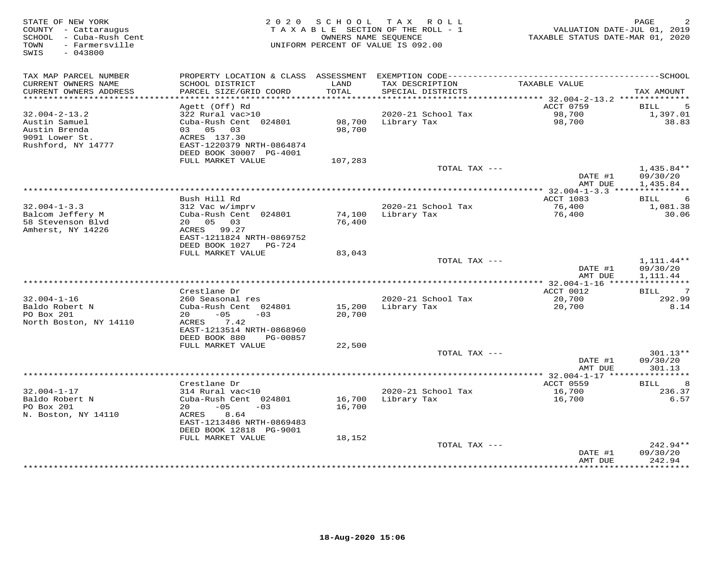| STATE OF NEW YORK<br>COUNTY - Cattaraugus<br>SCHOOL - Cuba-Rush Cent    |                                                                       | 2020 SCHOOL                 | T A X<br>R O L L<br>TAXABLE SECTION OF THE ROLL - 1<br>OWNERS NAME SEQUENCE | VALUATION DATE-JUL 01, 2019<br>TAXABLE STATUS DATE-MAR 01, 2020 | PAGE                           |
|-------------------------------------------------------------------------|-----------------------------------------------------------------------|-----------------------------|-----------------------------------------------------------------------------|-----------------------------------------------------------------|--------------------------------|
| - Farmersville<br>TOWN<br>SWIS<br>$-043800$                             |                                                                       |                             | UNIFORM PERCENT OF VALUE IS 092.00                                          |                                                                 |                                |
| TAX MAP PARCEL NUMBER                                                   |                                                                       |                             |                                                                             |                                                                 |                                |
| CURRENT OWNERS NAME<br>CURRENT OWNERS ADDRESS<br>********************** | SCHOOL DISTRICT<br>PARCEL SIZE/GRID COORD<br>************************ | LAND<br>TOTAL<br>********** | TAX DESCRIPTION<br>SPECIAL DISTRICTS<br>*********************               | TAXABLE VALUE<br>********** 32.004-2-13.2 **************        | TAX AMOUNT                     |
|                                                                         | Agett (Off) Rd                                                        |                             |                                                                             | ACCT 0759                                                       | 5<br>BILL                      |
| $32.004 - 2 - 13.2$                                                     | 322 Rural vac>10                                                      |                             | 2020-21 School Tax                                                          | 98,700                                                          | 1,397.01                       |
| Austin Samuel<br>Austin Brenda                                          | Cuba-Rush Cent 024801<br>03 05<br>03                                  | 98,700<br>98,700            | Library Tax                                                                 | 98,700                                                          | 38.83                          |
| 9091 Lower St.                                                          | ACRES 137.30                                                          |                             |                                                                             |                                                                 |                                |
| Rushford, NY 14777                                                      | EAST-1220379 NRTH-0864874<br>DEED BOOK 30007 PG-4001                  |                             |                                                                             |                                                                 |                                |
|                                                                         | FULL MARKET VALUE                                                     | 107,283                     | TOTAL TAX ---                                                               |                                                                 | 1,435.84**                     |
|                                                                         |                                                                       |                             |                                                                             | DATE #1<br>AMT DUE                                              | 09/30/20<br>1,435.84           |
|                                                                         |                                                                       |                             | ***********************                                                     | *** 32.004-1-3.3 ****                                           |                                |
| $32.004 - 1 - 3.3$                                                      | Bush Hill Rd<br>312 Vac w/imprv                                       |                             | 2020-21 School Tax                                                          | ACCT 1083<br>76,400                                             | 6<br>BILL<br>1,081.38          |
| Balcom Jeffery M                                                        | Cuba-Rush Cent 024801                                                 | 74,100                      | Library Tax                                                                 | 76,400                                                          | 30.06                          |
| 58 Stevenson Blvd                                                       | 20  05  03                                                            | 76,400                      |                                                                             |                                                                 |                                |
| Amherst, NY 14226                                                       | ACRES 99.27<br>EAST-1211824 NRTH-0869752                              |                             |                                                                             |                                                                 |                                |
|                                                                         | DEED BOOK 1027 PG-724                                                 |                             |                                                                             |                                                                 |                                |
|                                                                         | FULL MARKET VALUE                                                     | 83,043                      |                                                                             |                                                                 |                                |
|                                                                         |                                                                       |                             | TOTAL TAX ---                                                               | DATE #1                                                         | $1,111.44**$<br>09/30/20       |
|                                                                         |                                                                       |                             |                                                                             | AMT DUE                                                         | 1,111.44                       |
|                                                                         | Crestlane Dr                                                          |                             |                                                                             | ACCT 0012                                                       | 7<br>BILL                      |
| $32.004 - 1 - 16$<br>Baldo Robert N                                     | 260 Seasonal res<br>Cuba-Rush Cent 024801                             |                             | 2020-21 School Tax                                                          | 20,700                                                          | 292.99<br>8.14                 |
| PO Box 201                                                              | $-05$<br>20<br>$-03$                                                  | 15,200<br>20,700            | Library Tax                                                                 | 20,700                                                          |                                |
| North Boston, NY 14110                                                  | 7.42<br>ACRES                                                         |                             |                                                                             |                                                                 |                                |
|                                                                         | EAST-1213514 NRTH-0868960<br>DEED BOOK 880<br>PG-00857                |                             |                                                                             |                                                                 |                                |
|                                                                         | FULL MARKET VALUE                                                     | 22,500                      |                                                                             |                                                                 |                                |
|                                                                         |                                                                       |                             | TOTAL TAX ---                                                               |                                                                 | 301.13**                       |
|                                                                         |                                                                       |                             |                                                                             | DATE #1                                                         | 09/30/20<br>301.13             |
|                                                                         |                                                                       |                             |                                                                             | AMT DUE<br>********** 32.004-1-17 ****                          | * * * * * * * * * * *          |
|                                                                         | Crestlane Dr                                                          |                             |                                                                             | ACCT 0559                                                       | 8<br><b>BILL</b>               |
| $32.004 - 1 - 17$<br>Baldo Robert N                                     | 314 Rural vac<10<br>Cuba-Rush Cent 024801                             | 16,700                      | 2020-21 School Tax<br>Library Tax                                           | 16,700<br>16,700                                                | 236.37<br>6.57                 |
| PO Box 201                                                              | $-05$<br>20<br>$-0.3$                                                 | 16,700                      |                                                                             |                                                                 |                                |
| N. Boston, NY 14110                                                     | ACRES<br>8.64                                                         |                             |                                                                             |                                                                 |                                |
|                                                                         | EAST-1213486 NRTH-0869483<br>DEED BOOK 12818 PG-9001                  |                             |                                                                             |                                                                 |                                |
|                                                                         | FULL MARKET VALUE                                                     | 18,152                      |                                                                             |                                                                 |                                |
|                                                                         |                                                                       |                             | TOTAL TAX ---                                                               |                                                                 | $242.94**$                     |
|                                                                         |                                                                       |                             |                                                                             | DATE #1<br>AMT DUE<br>*********                                 | 09/30/20<br>242.94<br>******** |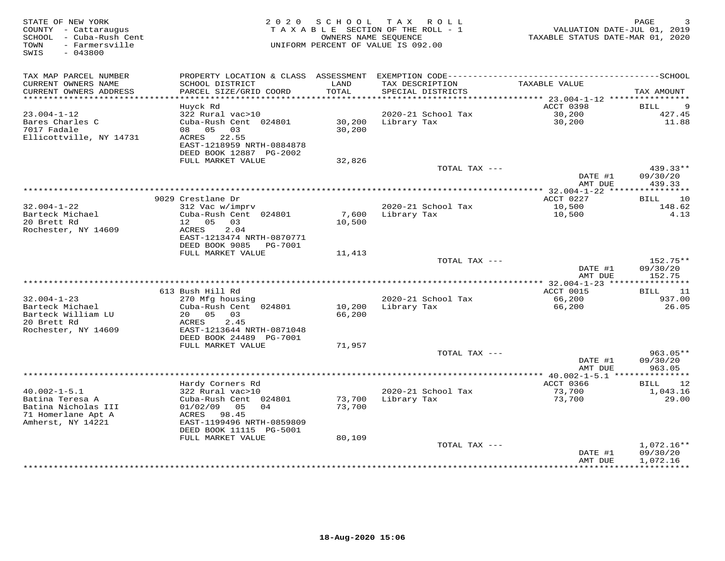| STATE OF NEW YORK<br>COUNTY - Cattaraugus<br>SCHOOL - Cuba-Rush Cent<br>TOWN<br>- Farmersville<br>SWIS<br>$-043800$ | 2 0 2 0                                                             | S C H O O L      | T A X<br>R O L L<br>TAXABLE SECTION OF THE ROLL - 1<br>OWNERS NAME SEQUENCE<br>UNIFORM PERCENT OF VALUE IS 092.00 | VALUATION DATE-JUL 01, 2019<br>TAXABLE STATUS DATE-MAR 01, 2020 | PAGE                    |
|---------------------------------------------------------------------------------------------------------------------|---------------------------------------------------------------------|------------------|-------------------------------------------------------------------------------------------------------------------|-----------------------------------------------------------------|-------------------------|
| TAX MAP PARCEL NUMBER                                                                                               | PROPERTY LOCATION & CLASS ASSESSMENT                                |                  |                                                                                                                   |                                                                 |                         |
| CURRENT OWNERS NAME<br>CURRENT OWNERS ADDRESS<br>*************************                                          | SCHOOL DISTRICT<br>PARCEL SIZE/GRID COORD                           | LAND<br>TOTAL    | TAX DESCRIPTION<br>SPECIAL DISTRICTS                                                                              | TAXABLE VALUE                                                   | TAX AMOUNT              |
|                                                                                                                     | Huyck Rd                                                            |                  |                                                                                                                   | ACCT 0398                                                       | 9<br>BILL               |
| $23.004 - 1 - 12$                                                                                                   | 322 Rural vac>10                                                    |                  | 2020-21 School Tax                                                                                                | 30,200                                                          | 427.45                  |
| Bares Charles C<br>7017 Fadale                                                                                      | Cuba-Rush Cent 024801<br>08 05<br>03                                | 30,200<br>30,200 | Library Tax                                                                                                       | 30,200                                                          | 11.88                   |
| Ellicottville, NY 14731                                                                                             | ACRES 22.55<br>EAST-1218959 NRTH-0884878<br>DEED BOOK 12887 PG-2002 |                  |                                                                                                                   |                                                                 |                         |
|                                                                                                                     | FULL MARKET VALUE                                                   | 32,826           |                                                                                                                   |                                                                 |                         |
|                                                                                                                     |                                                                     |                  | TOTAL TAX ---                                                                                                     | DATE #1                                                         | $439.33**$<br>09/30/20  |
|                                                                                                                     |                                                                     |                  |                                                                                                                   | AMT DUE                                                         | 439.33                  |
|                                                                                                                     | 9029 Crestlane Dr                                                   |                  |                                                                                                                   | *************** 32.004-1-22 *****************<br>ACCT 0227      | 10<br>BILL              |
| $32.004 - 1 - 22$                                                                                                   | 312 Vac w/imprv                                                     |                  | 2020-21 School Tax                                                                                                | 10,500                                                          | 148.62                  |
| Barteck Michael                                                                                                     | Cuba-Rush Cent 024801                                               | 7,600            | Library Tax                                                                                                       | 10,500                                                          | 4.13                    |
| 20 Brett Rd                                                                                                         | 12  05  03                                                          | 10,500           |                                                                                                                   |                                                                 |                         |
| Rochester, NY 14609                                                                                                 | 2.04<br>ACRES                                                       |                  |                                                                                                                   |                                                                 |                         |
|                                                                                                                     | EAST-1213474 NRTH-0870771                                           |                  |                                                                                                                   |                                                                 |                         |
|                                                                                                                     | DEED BOOK 9085 PG-7001<br>FULL MARKET VALUE                         | 11,413           |                                                                                                                   |                                                                 |                         |
|                                                                                                                     |                                                                     |                  | TOTAL TAX ---                                                                                                     |                                                                 | 152.75**                |
|                                                                                                                     |                                                                     |                  |                                                                                                                   | DATE #1                                                         | 09/30/20                |
|                                                                                                                     |                                                                     |                  |                                                                                                                   | AMT DUE                                                         | 152.75                  |
|                                                                                                                     |                                                                     |                  |                                                                                                                   |                                                                 |                         |
|                                                                                                                     | 613 Bush Hill Rd                                                    |                  |                                                                                                                   | ACCT 0015                                                       | BILL<br>11              |
| $32.004 - 1 - 23$<br>Barteck Michael                                                                                | 270 Mfg housing<br>Cuba-Rush Cent 024801                            | 10,200           | 2020-21 School Tax<br>Library Tax                                                                                 | 66,200<br>66,200                                                | 937.00<br>26.05         |
| Barteck William LU                                                                                                  | 20  05  03                                                          | 66,200           |                                                                                                                   |                                                                 |                         |
| 20 Brett Rd                                                                                                         | 2.45<br>ACRES                                                       |                  |                                                                                                                   |                                                                 |                         |
| Rochester, NY 14609                                                                                                 | EAST-1213644 NRTH-0871048                                           |                  |                                                                                                                   |                                                                 |                         |
|                                                                                                                     | DEED BOOK 24489 PG-7001                                             |                  |                                                                                                                   |                                                                 |                         |
|                                                                                                                     | FULL MARKET VALUE                                                   | 71,957           |                                                                                                                   |                                                                 |                         |
|                                                                                                                     |                                                                     |                  | TOTAL TAX ---                                                                                                     | DATE #1                                                         | 963.05**<br>09/30/20    |
|                                                                                                                     |                                                                     |                  |                                                                                                                   | AMT DUE                                                         | 963.05                  |
|                                                                                                                     |                                                                     |                  |                                                                                                                   |                                                                 |                         |
|                                                                                                                     | Hardy Corners Rd                                                    |                  |                                                                                                                   | ACCT 0366                                                       | 12<br>BILL              |
| $40.002 - 1 - 5.1$                                                                                                  | 322 Rural vac>10                                                    |                  | 2020-21 School Tax                                                                                                | 73,700                                                          | 1,043.16                |
| Batina Teresa A                                                                                                     | Cuba-Rush Cent 024801                                               | 73,700           | Library Tax                                                                                                       | 73,700                                                          | 29.00                   |
| Batina Nicholas III<br>71 Homerlane Apt A                                                                           | 05<br>04<br>01/02/09<br>ACRES 98.45                                 | 73,700           |                                                                                                                   |                                                                 |                         |
| Amherst, NY 14221                                                                                                   | EAST-1199496 NRTH-0859809                                           |                  |                                                                                                                   |                                                                 |                         |
|                                                                                                                     | DEED BOOK 11115 PG-5001                                             |                  |                                                                                                                   |                                                                 |                         |
|                                                                                                                     | FULL MARKET VALUE                                                   | 80,109           |                                                                                                                   |                                                                 |                         |
|                                                                                                                     |                                                                     |                  | TOTAL TAX ---                                                                                                     |                                                                 | $1,072.16**$            |
|                                                                                                                     |                                                                     |                  |                                                                                                                   | DATE #1                                                         | 09/30/20                |
|                                                                                                                     |                                                                     |                  |                                                                                                                   | AMT DUE                                                         | 1,072.16<br>*********** |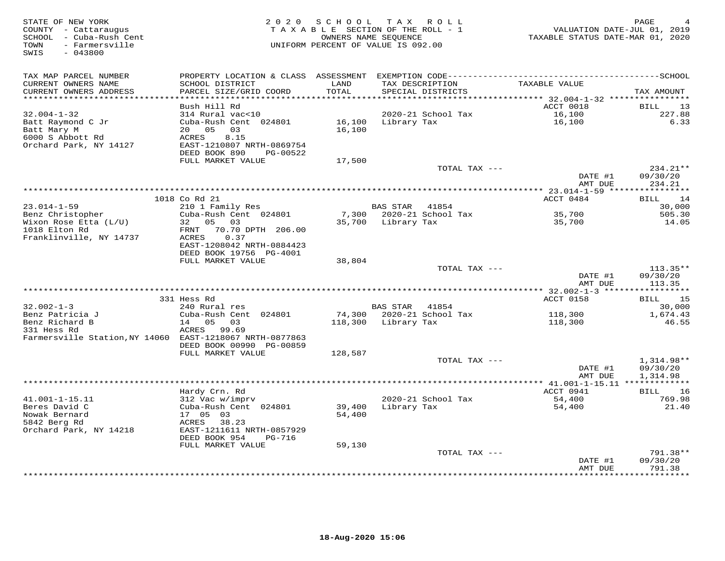| STATE OF NEW YORK<br>COUNTY - Cattaraugus<br>SCHOOL - Cuba-Rush Cent<br>TOWN<br>- Farmersville<br>$-043800$<br>SWIS |                                                                                                                                           | 2020 SCHOOL TAX ROLL<br>TAXABLE SECTION OF THE ROLL - 1<br>OWNERS NAME SEQUENCE<br>UNIFORM PERCENT OF VALUE IS 092.00 |                     |                                      | VALUATION DATE-JUL 01, 2019<br>TAXABLE STATUS DATE-MAR 01, 2020 | PAGE<br>4              |
|---------------------------------------------------------------------------------------------------------------------|-------------------------------------------------------------------------------------------------------------------------------------------|-----------------------------------------------------------------------------------------------------------------------|---------------------|--------------------------------------|-----------------------------------------------------------------|------------------------|
| TAX MAP PARCEL NUMBER<br>CURRENT OWNERS NAME<br>CURRENT OWNERS ADDRESS                                              | PROPERTY LOCATION & CLASS ASSESSMENT EXEMPTION CODE-----------------------------------SCHOOL<br>SCHOOL DISTRICT<br>PARCEL SIZE/GRID COORD | LAND<br>TOTAL                                                                                                         |                     | TAX DESCRIPTION<br>SPECIAL DISTRICTS | TAXABLE VALUE                                                   | TAX AMOUNT             |
| **********************                                                                                              |                                                                                                                                           | ************                                                                                                          |                     |                                      |                                                                 |                        |
|                                                                                                                     | Bush Hill Rd                                                                                                                              |                                                                                                                       |                     |                                      | ACCT 0018                                                       | BILL<br>13             |
| $32.004 - 1 - 32$<br>Batt Raymond C Jr<br>Batt Mary M<br>6000 S Abbott Rd<br>Orchard Park, NY 14127                 | 314 Rural vac<10<br>Cuba-Rush Cent 024801<br>20 05<br>03<br>ACRES<br>8.15<br>EAST-1210807 NRTH-0869754<br>DEED BOOK 890<br>PG-00522       | 16,100<br>16,100                                                                                                      | Library Tax         | 2020-21 School Tax                   | 16,100<br>16,100                                                | 227.88<br>6.33         |
|                                                                                                                     | FULL MARKET VALUE                                                                                                                         | 17,500                                                                                                                |                     |                                      |                                                                 |                        |
|                                                                                                                     |                                                                                                                                           |                                                                                                                       |                     | TOTAL TAX ---                        | DATE #1                                                         | 234.21**<br>09/30/20   |
|                                                                                                                     |                                                                                                                                           |                                                                                                                       |                     |                                      | AMT DUE                                                         | 234.21                 |
|                                                                                                                     | 1018 Co Rd 21                                                                                                                             |                                                                                                                       |                     |                                      | ACCT 0484                                                       | <b>BILL</b><br>14      |
| $23.014 - 1 - 59$                                                                                                   | 210 1 Family Res                                                                                                                          |                                                                                                                       | BAS STAR 41854      |                                      |                                                                 | 30,000                 |
| Benz Christopher                                                                                                    | Cuba-Rush Cent 024801                                                                                                                     |                                                                                                                       |                     | 7,300 2020-21 School Tax             | $\frac{35}{2}$ , 700                                            | 505.30                 |
| Wixon Rose Etta (L/U)                                                                                               | 32 05 03                                                                                                                                  |                                                                                                                       | 35,700 Library Tax  |                                      | 35,700                                                          | 14.05                  |
| 1018 Elton Rd                                                                                                       | 70.70 DPTH 206.00<br>FRNT                                                                                                                 |                                                                                                                       |                     |                                      |                                                                 |                        |
| Franklinville, NY 14737                                                                                             | 0.37<br>ACRES<br>EAST-1208042 NRTH-0884423<br>DEED BOOK 19756 PG-4001                                                                     |                                                                                                                       |                     |                                      |                                                                 |                        |
|                                                                                                                     | FULL MARKET VALUE                                                                                                                         | 38,804                                                                                                                |                     |                                      |                                                                 |                        |
|                                                                                                                     |                                                                                                                                           |                                                                                                                       |                     | TOTAL TAX ---                        |                                                                 | $113.35**$             |
|                                                                                                                     |                                                                                                                                           |                                                                                                                       |                     |                                      | DATE #1<br>AMT DUE                                              | 09/30/20<br>113.35     |
|                                                                                                                     | 331 Hess Rd                                                                                                                               |                                                                                                                       |                     |                                      | ACCT 0158                                                       | BILL 15                |
| $32.002 - 1 - 3$                                                                                                    | 240 Rural res                                                                                                                             |                                                                                                                       | BAS STAR            | 41854                                |                                                                 | 30,000                 |
| Benz Patricia J                                                                                                     | Cuba-Rush Cent 024801                                                                                                                     |                                                                                                                       |                     | 74,300 2020-21 School Tax            | 118,300                                                         | 1,674.43               |
| Benz Richard B<br>331 Hess Rd                                                                                       | 14 05<br>03<br>ACRES 99.69                                                                                                                |                                                                                                                       | 118,300 Library Tax |                                      | 118,300                                                         | 46.55                  |
| Farmersville Station, NY 14060 EAST-1218067 NRTH-0877863                                                            | DEED BOOK 00990 PG-00859                                                                                                                  |                                                                                                                       |                     |                                      |                                                                 |                        |
|                                                                                                                     | FULL MARKET VALUE                                                                                                                         | 128,587                                                                                                               |                     |                                      |                                                                 |                        |
|                                                                                                                     |                                                                                                                                           |                                                                                                                       |                     | TOTAL TAX ---                        | DATE #1                                                         | 1,314.98**<br>09/30/20 |
|                                                                                                                     |                                                                                                                                           |                                                                                                                       |                     |                                      | AMT DUE                                                         | 1,314.98               |
|                                                                                                                     | Hardy Crn. Rd                                                                                                                             |                                                                                                                       |                     |                                      | ACCT 0941                                                       | BILL 16                |
| $41.001 - 1 - 15.11$                                                                                                | 312 Vac w/imprv                                                                                                                           |                                                                                                                       |                     | 2020-21 School Tax                   | 54,400                                                          | 769.98                 |
| Beres David C                                                                                                       | Cuba-Rush Cent 024801                                                                                                                     | 39,400                                                                                                                | Library Tax         |                                      | 54,400                                                          | 21.40                  |
| Nowak Bernard                                                                                                       | 17 05 03                                                                                                                                  | 54,400                                                                                                                |                     |                                      |                                                                 |                        |
| 5842 Berg Rd<br>Orchard Park, NY 14218                                                                              | ACRES 38.23<br>EAST-1211611 NRTH-0857929<br>DEED BOOK 954<br>PG-716                                                                       |                                                                                                                       |                     |                                      |                                                                 |                        |
|                                                                                                                     | FULL MARKET VALUE                                                                                                                         | 59,130                                                                                                                |                     |                                      |                                                                 |                        |
|                                                                                                                     |                                                                                                                                           |                                                                                                                       |                     | TOTAL TAX ---                        |                                                                 | 791.38**               |
|                                                                                                                     |                                                                                                                                           |                                                                                                                       |                     |                                      | DATE #1<br>AMT DUE                                              | 09/30/20<br>791.38     |
|                                                                                                                     |                                                                                                                                           |                                                                                                                       |                     |                                      |                                                                 | *********              |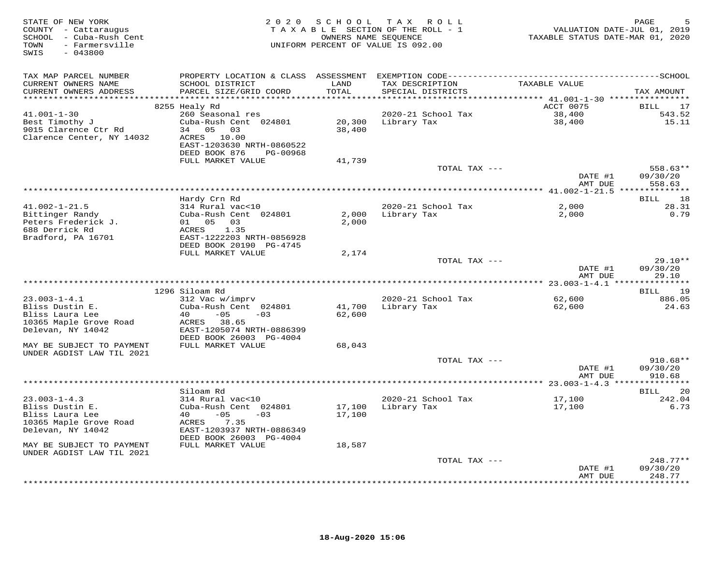| STATE OF NEW YORK<br>COUNTY - Cattaraugus<br>SCHOOL - Cuba-Rush Cent<br>TOWN<br>- Farmersville<br>$-043800$<br>SWIS |                                                                                 |                  | 2020 SCHOOL TAX ROLL<br>TAXABLE SECTION OF THE ROLL - 1<br>OWNERS NAME SEQUENCE<br>UNIFORM PERCENT OF VALUE IS 092.00 | VALUATION DATE-JUL 01, 2019<br>TAXABLE STATUS DATE-MAR 01, 2020 | PAGE                   |
|---------------------------------------------------------------------------------------------------------------------|---------------------------------------------------------------------------------|------------------|-----------------------------------------------------------------------------------------------------------------------|-----------------------------------------------------------------|------------------------|
| TAX MAP PARCEL NUMBER<br>CURRENT OWNERS NAME                                                                        | SCHOOL DISTRICT                                                                 | LAND             | TAX DESCRIPTION                                                                                                       | TAXABLE VALUE                                                   |                        |
| CURRENT OWNERS ADDRESS                                                                                              | PARCEL SIZE/GRID COORD                                                          | TOTAL            | SPECIAL DISTRICTS                                                                                                     |                                                                 | TAX AMOUNT             |
|                                                                                                                     | 8255 Healy Rd                                                                   |                  |                                                                                                                       | ACCT 0075                                                       | BILL 17                |
| $41.001 - 1 - 30$                                                                                                   | 260 Seasonal res                                                                |                  | 2020-21 School Tax                                                                                                    | 38,400                                                          | 543.52                 |
| Best Timothy J<br>9015 Clarence Ctr Rd                                                                              | Cuba-Rush Cent 024801<br>34 05 03                                               | 38,400           | 20,300 Library Tax                                                                                                    | 38,400                                                          | 15.11                  |
| Clarence Center, NY 14032                                                                                           | ACRES 10.00<br>EAST-1203630 NRTH-0860522<br>DEED BOOK 876<br>PG-00968           |                  |                                                                                                                       |                                                                 |                        |
|                                                                                                                     | FULL MARKET VALUE                                                               | 41,739           |                                                                                                                       |                                                                 |                        |
|                                                                                                                     |                                                                                 |                  | TOTAL TAX ---                                                                                                         | DATE #1                                                         | 558.63**<br>09/30/20   |
|                                                                                                                     |                                                                                 |                  |                                                                                                                       | AMT DUE                                                         | 558.63                 |
|                                                                                                                     | Hardy Crn Rd                                                                    |                  |                                                                                                                       |                                                                 | 18<br>BILL             |
| $41.002 - 1 - 21.5$                                                                                                 | 314 Rural vac<10                                                                |                  | 2020-21 School Tax                                                                                                    | 2,000                                                           | 28.31                  |
| Bittinger Randy<br>Peters Frederick J.<br>688 Derrick Rd<br>Bradford, PA 16701                                      | Cuba-Rush Cent 024801<br>01 05 03<br>ACRES<br>1.35<br>EAST-1222203 NRTH-0856928 | 2,000            | 2,000 Library Tax                                                                                                     | 2,000                                                           | 0.79                   |
|                                                                                                                     | DEED BOOK 20190 PG-4745                                                         |                  |                                                                                                                       |                                                                 |                        |
|                                                                                                                     | FULL MARKET VALUE                                                               | 2,174            | TOTAL TAX ---                                                                                                         |                                                                 | $29.10**$              |
|                                                                                                                     |                                                                                 |                  |                                                                                                                       | DATE #1<br>AMT DUE                                              | 09/30/20<br>29.10      |
|                                                                                                                     |                                                                                 |                  |                                                                                                                       |                                                                 |                        |
| $23.003 - 1 - 4.1$                                                                                                  | 1296 Siloam Rd<br>312 Vac w/imprv                                               |                  | 2020-21 School Tax                                                                                                    | 62,600                                                          | BILL 19<br>886.05      |
| Bliss Dustin E.                                                                                                     | Cuba-Rush Cent 024801                                                           | 41,700           | Library Tax                                                                                                           | 62,600                                                          | 24.63                  |
| Bliss Laura Lee<br>10365 Maple Grove Road                                                                           | $40 -05$<br>$-0.3$<br>ACRES 38.65                                               | 62,600           |                                                                                                                       |                                                                 |                        |
| Delevan, NY 14042                                                                                                   | EAST-1205074 NRTH-0886399<br>DEED BOOK 26003 PG-4004                            |                  |                                                                                                                       |                                                                 |                        |
| MAY BE SUBJECT TO PAYMENT<br>UNDER AGDIST LAW TIL 2021                                                              | FULL MARKET VALUE                                                               | 68,043           |                                                                                                                       |                                                                 |                        |
|                                                                                                                     |                                                                                 |                  | TOTAL TAX ---                                                                                                         | DATE #1                                                         | $910.68**$<br>09/30/20 |
|                                                                                                                     |                                                                                 |                  |                                                                                                                       | AMT DUE                                                         | 910.68                 |
|                                                                                                                     | Siloam Rd                                                                       |                  |                                                                                                                       |                                                                 | <b>BILL</b><br>20      |
| $23.003 - 1 - 4.3$                                                                                                  | 314 Rural vac<10                                                                |                  | 2020-21 School Tax                                                                                                    | 17,100                                                          | 242.04                 |
| Bliss Dustin E.<br>Bliss Laura Lee                                                                                  | Cuba-Rush Cent 024801<br>$40 -05 -03$                                           | 17,100<br>17,100 | Library Tax                                                                                                           | 17,100                                                          | 6.73                   |
| 10365 Maple Grove Road                                                                                              | ACRES 7.35                                                                      |                  |                                                                                                                       |                                                                 |                        |
| Delevan, NY 14042                                                                                                   | EAST-1203937 NRTH-0886349                                                       |                  |                                                                                                                       |                                                                 |                        |
| MAY BE SUBJECT TO PAYMENT                                                                                           | DEED BOOK 26003 PG-4004<br>FULL MARKET VALUE                                    | 18,587           |                                                                                                                       |                                                                 |                        |
| UNDER AGDIST LAW TIL 2021                                                                                           |                                                                                 |                  |                                                                                                                       |                                                                 |                        |
|                                                                                                                     |                                                                                 |                  | TOTAL TAX ---                                                                                                         |                                                                 | $248.77**$             |
|                                                                                                                     |                                                                                 |                  |                                                                                                                       | DATE #1<br>AMT DUE                                              | 09/30/20<br>248.77     |
|                                                                                                                     |                                                                                 |                  |                                                                                                                       |                                                                 | ********               |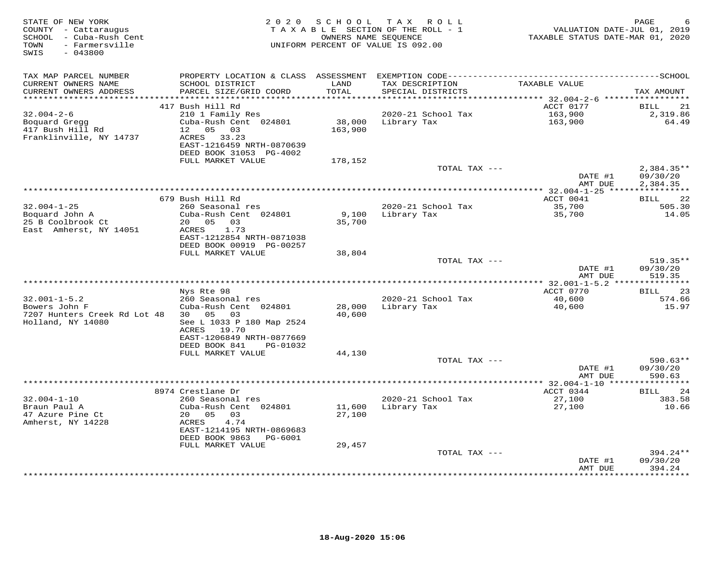| STATE OF NEW YORK<br>COUNTY - Cattaraugus<br>SCHOOL - Cuba-Rush Cent<br>TOWN<br>- Farmersville<br>SWIS<br>$-043800$ |                                                       | 2020 SCHOOL          | TAX ROLL<br>TAXABLE SECTION OF THE ROLL - 1<br>OWNERS NAME SEQUENCE<br>UNIFORM PERCENT OF VALUE IS 092.00 | VALUATION DATE-JUL 01, 2019<br>TAXABLE STATUS DATE-MAR 01, 2020 | PAGE<br>6                |
|---------------------------------------------------------------------------------------------------------------------|-------------------------------------------------------|----------------------|-----------------------------------------------------------------------------------------------------------|-----------------------------------------------------------------|--------------------------|
| TAX MAP PARCEL NUMBER                                                                                               |                                                       |                      |                                                                                                           |                                                                 |                          |
| CURRENT OWNERS NAME                                                                                                 | SCHOOL DISTRICT                                       | LAND                 | TAX DESCRIPTION                                                                                           | TAXABLE VALUE                                                   |                          |
| CURRENT OWNERS ADDRESS<br>**********************                                                                    | PARCEL SIZE/GRID COORD                                | TOTAL<br>*********** | SPECIAL DISTRICTS                                                                                         |                                                                 | TAX AMOUNT               |
|                                                                                                                     | 417 Bush Hill Rd                                      |                      |                                                                                                           | ******** 32.004-2-6 ******************<br>ACCT 0177             | BILL<br>21               |
| $32.004 - 2 - 6$                                                                                                    | 210 1 Family Res                                      |                      | 2020-21 School Tax                                                                                        | 163,900                                                         | 2,319.86                 |
| Boquard Gregg                                                                                                       | Cuba-Rush Cent 024801                                 |                      | 38,000 Library Tax                                                                                        | 163,900                                                         | 64.49                    |
| 417 Bush Hill Rd                                                                                                    | 12  05  03                                            | 163,900              |                                                                                                           |                                                                 |                          |
| Franklinville, NY 14737                                                                                             | ACRES 33.23                                           |                      |                                                                                                           |                                                                 |                          |
|                                                                                                                     | EAST-1216459 NRTH-0870639                             |                      |                                                                                                           |                                                                 |                          |
|                                                                                                                     | DEED BOOK 31053 PG-4002                               |                      |                                                                                                           |                                                                 |                          |
|                                                                                                                     | FULL MARKET VALUE                                     | 178,152              |                                                                                                           |                                                                 |                          |
|                                                                                                                     |                                                       |                      | TOTAL TAX ---                                                                                             | DATE #1                                                         | $2,384.35**$<br>09/30/20 |
|                                                                                                                     |                                                       |                      |                                                                                                           | AMT DUE                                                         | 2,384.35                 |
|                                                                                                                     |                                                       |                      |                                                                                                           | *********** 32.004-1-25 *****************                       |                          |
|                                                                                                                     | 679 Bush Hill Rd                                      |                      |                                                                                                           | ACCT 0041                                                       | 22<br><b>BILL</b>        |
| $32.004 - 1 - 25$                                                                                                   | 260 Seasonal res                                      |                      | 2020-21 School Tax                                                                                        | 35,700                                                          | 505.30                   |
| Boquard John A                                                                                                      | Cuba-Rush Cent 024801                                 | 9,100                | Library Tax                                                                                               | 35,700                                                          | 14.05                    |
| 25 B Coolbrook Ct                                                                                                   | 20 05 03                                              | 35,700               |                                                                                                           |                                                                 |                          |
| East Amherst, NY 14051                                                                                              | 1.73<br>ACRES                                         |                      |                                                                                                           |                                                                 |                          |
|                                                                                                                     | EAST-1212854 NRTH-0871038<br>DEED BOOK 00919 PG-00257 |                      |                                                                                                           |                                                                 |                          |
|                                                                                                                     | FULL MARKET VALUE                                     | 38,804               |                                                                                                           |                                                                 |                          |
|                                                                                                                     |                                                       |                      | TOTAL TAX ---                                                                                             |                                                                 | 519.35**                 |
|                                                                                                                     |                                                       |                      |                                                                                                           | DATE #1                                                         | 09/30/20                 |
|                                                                                                                     |                                                       |                      |                                                                                                           | AMT DUE                                                         | 519.35                   |
|                                                                                                                     |                                                       |                      |                                                                                                           |                                                                 |                          |
|                                                                                                                     | Nys Rte 98                                            |                      |                                                                                                           | ACCT 0770                                                       | 23<br>BILL               |
| $32.001 - 1 - 5.2$                                                                                                  | 260 Seasonal res                                      |                      | 2020-21 School Tax                                                                                        | 40,600                                                          | 574.66                   |
| Bowers John F<br>7207 Hunters Creek Rd Lot 48                                                                       | Cuba-Rush Cent 024801<br>30  05  03                   | 28,000<br>40,600     | Library Tax                                                                                               | 40,600                                                          | 15.97                    |
| Holland, NY 14080                                                                                                   | See L 1033 P 180 Map 2524                             |                      |                                                                                                           |                                                                 |                          |
|                                                                                                                     | ACRES 19.70                                           |                      |                                                                                                           |                                                                 |                          |
|                                                                                                                     | EAST-1206849 NRTH-0877669                             |                      |                                                                                                           |                                                                 |                          |
|                                                                                                                     | DEED BOOK 841<br>PG-01032                             |                      |                                                                                                           |                                                                 |                          |
|                                                                                                                     | FULL MARKET VALUE                                     | 44,130               |                                                                                                           |                                                                 |                          |
|                                                                                                                     |                                                       |                      | TOTAL TAX ---                                                                                             |                                                                 | $590.63**$               |
|                                                                                                                     |                                                       |                      |                                                                                                           | DATE #1                                                         | 09/30/20                 |
|                                                                                                                     |                                                       |                      |                                                                                                           | AMT DUE                                                         | 590.63                   |
|                                                                                                                     | 8974 Crestlane Dr                                     |                      |                                                                                                           | ACCT 0344                                                       | 24<br><b>BILL</b>        |
| $32.004 - 1 - 10$                                                                                                   | 260 Seasonal res                                      |                      | 2020-21 School Tax                                                                                        | 27,100                                                          | 383.58                   |
| Braun Paul A                                                                                                        | Cuba-Rush Cent 024801                                 | 11,600               | Library Tax                                                                                               | 27,100                                                          | 10.66                    |
| 47 Azure Pine Ct                                                                                                    | 20  05  03                                            | 27,100               |                                                                                                           |                                                                 |                          |
| Amherst, NY 14228                                                                                                   | ACRES<br>4.74                                         |                      |                                                                                                           |                                                                 |                          |
|                                                                                                                     | EAST-1214195 NRTH-0869683                             |                      |                                                                                                           |                                                                 |                          |
|                                                                                                                     | DEED BOOK 9863 PG-6001                                |                      |                                                                                                           |                                                                 |                          |
|                                                                                                                     | FULL MARKET VALUE                                     | 29,457               | TOTAL TAX ---                                                                                             |                                                                 | $394.24**$               |
|                                                                                                                     |                                                       |                      |                                                                                                           | DATE #1                                                         | 09/30/20                 |
|                                                                                                                     |                                                       |                      |                                                                                                           | AMT DUE                                                         | 394.24                   |
|                                                                                                                     |                                                       |                      |                                                                                                           |                                                                 | * * * * * * * * * *      |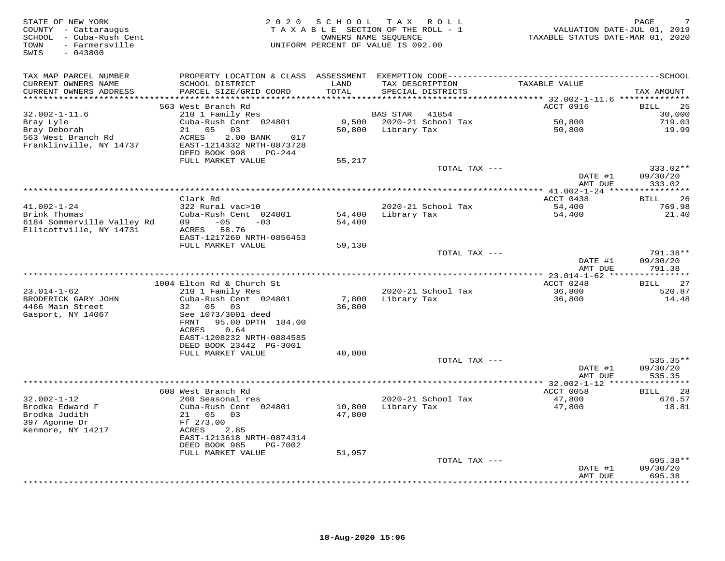| STATE OF NEW YORK<br>COUNTY - Cattaraugus<br>SCHOOL - Cuba-Rush Cent<br>- Farmersville<br>TOWN<br>SWIS<br>$-043800$ |                                                                                   |               | 2020 SCHOOL TAX ROLL<br>TAXABLE SECTION OF THE ROLL - 1<br>OWNERS NAME SEQUENCE<br>UNIFORM PERCENT OF VALUE IS 092.00 | VALUATION DATE-JUL 01, 2019<br>TAXABLE STATUS DATE-MAR 01, 2020 | PAGE                          |
|---------------------------------------------------------------------------------------------------------------------|-----------------------------------------------------------------------------------|---------------|-----------------------------------------------------------------------------------------------------------------------|-----------------------------------------------------------------|-------------------------------|
| TAX MAP PARCEL NUMBER                                                                                               |                                                                                   |               |                                                                                                                       |                                                                 |                               |
| CURRENT OWNERS NAME<br>CURRENT OWNERS ADDRESS                                                                       | SCHOOL DISTRICT<br>PARCEL SIZE/GRID COORD                                         | LAND<br>TOTAL | TAX DESCRIPTION<br>SPECIAL DISTRICTS                                                                                  | TAXABLE VALUE                                                   | TAX AMOUNT                    |
| **********************                                                                                              |                                                                                   |               |                                                                                                                       |                                                                 |                               |
|                                                                                                                     | 563 West Branch Rd                                                                |               |                                                                                                                       | ACCT 0916                                                       | 25<br>BILL                    |
| $32.002 - 1 - 11.6$                                                                                                 | 210 1 Family Res<br>Cuba-Rush Cent 024801                                         |               | <b>BAS STAR</b><br>41854<br>9,500 2020-21 School Tax                                                                  | 50,800                                                          | 30,000<br>719.03              |
| Bray Lyle<br>Bray Deborah                                                                                           | 05<br>21<br>03                                                                    |               | 50,800 Library Tax                                                                                                    | 50,800                                                          | 19.99                         |
| 563 West Branch Rd<br>Franklinville, NY 14737                                                                       | ACRES<br>2.00 BANK<br>017<br>EAST-1214332 NRTH-0873728<br>DEED BOOK 998<br>PG-244 |               |                                                                                                                       |                                                                 |                               |
|                                                                                                                     | FULL MARKET VALUE                                                                 | 55,217        |                                                                                                                       |                                                                 |                               |
|                                                                                                                     |                                                                                   |               | TOTAL TAX ---                                                                                                         | DATE #1                                                         | 333.02**<br>09/30/20          |
|                                                                                                                     |                                                                                   |               |                                                                                                                       | AMT DUE                                                         | 333.02                        |
|                                                                                                                     | Clark Rd                                                                          |               |                                                                                                                       | ACCT 0438                                                       | 26                            |
| $41.002 - 1 - 24$                                                                                                   | 322 Rural vac>10                                                                  |               | 2020-21 School Tax                                                                                                    | 54,400                                                          | <b>BILL</b><br>769.98         |
| Brink Thomas                                                                                                        | Cuba-Rush Cent 024801                                                             | 54,400        | Library Tax                                                                                                           | 54,400                                                          | 21.40                         |
| 6184 Sommerville Valley Rd<br>Ellicottville, NY 14731                                                               | $-05$<br>09<br>$-0.3$<br>ACRES 58.76<br>EAST-1217260 NRTH-0856453                 | 54,400        |                                                                                                                       |                                                                 |                               |
|                                                                                                                     | FULL MARKET VALUE                                                                 | 59,130        |                                                                                                                       |                                                                 |                               |
|                                                                                                                     |                                                                                   |               | TOTAL TAX ---                                                                                                         | DATE #1                                                         | 791.38**<br>09/30/20          |
|                                                                                                                     |                                                                                   |               |                                                                                                                       | AMT DUE                                                         | 791.38                        |
|                                                                                                                     |                                                                                   |               |                                                                                                                       |                                                                 |                               |
| $23.014 - 1 - 62$                                                                                                   | 1004 Elton Rd & Church St<br>210 1 Family Res                                     |               | 2020-21 School Tax                                                                                                    | ACCT 0248<br>36,800                                             | 27<br>BILL<br>520.87          |
| BRODERICK GARY JOHN                                                                                                 | Cuba-Rush Cent 024801                                                             | 7,800         | Library Tax                                                                                                           | 36,800                                                          | 14.48                         |
| 4466 Main Street                                                                                                    | 05 03<br>32                                                                       | 36,800        |                                                                                                                       |                                                                 |                               |
| Gasport, NY 14067                                                                                                   | See 1073/3001 deed<br>FRNT<br>95.00 DPTH 184.00                                   |               |                                                                                                                       |                                                                 |                               |
|                                                                                                                     | ACRES<br>0.64                                                                     |               |                                                                                                                       |                                                                 |                               |
|                                                                                                                     | EAST-1208232 NRTH-0884585                                                         |               |                                                                                                                       |                                                                 |                               |
|                                                                                                                     | DEED BOOK 23442 PG-3001<br>FULL MARKET VALUE                                      | 40,000        |                                                                                                                       |                                                                 |                               |
|                                                                                                                     |                                                                                   |               | TOTAL TAX ---                                                                                                         |                                                                 | 535.35**                      |
|                                                                                                                     |                                                                                   |               |                                                                                                                       | DATE #1                                                         | 09/30/20                      |
|                                                                                                                     |                                                                                   |               |                                                                                                                       | AMT DUE<br>*********** 32.002-1-12 ****                         | 535.35<br>* * * * * * * * * * |
|                                                                                                                     | 608 West Branch Rd                                                                |               |                                                                                                                       | ACCT 0058                                                       | 28<br>BILL                    |
| $32.002 - 1 - 12$                                                                                                   | 260 Seasonal res                                                                  |               | 2020-21 School Tax                                                                                                    | 47,800                                                          | 676.57                        |
| Brodka Edward F                                                                                                     | Cuba-Rush Cent 024801                                                             | 10,800        | Library Tax                                                                                                           | 47,800                                                          | 18.81                         |
| Brodka Judith                                                                                                       | 21 05<br>03                                                                       | 47,800        |                                                                                                                       |                                                                 |                               |
| 397 Agonne Dr                                                                                                       | Ff 273.00                                                                         |               |                                                                                                                       |                                                                 |                               |
| Kenmore, NY 14217                                                                                                   | ACRES<br>2.85<br>EAST-1213618 NRTH-0874314                                        |               |                                                                                                                       |                                                                 |                               |
|                                                                                                                     | DEED BOOK 985<br>PG-7002                                                          |               |                                                                                                                       |                                                                 |                               |
|                                                                                                                     | FULL MARKET VALUE                                                                 | 51,957        |                                                                                                                       |                                                                 |                               |
|                                                                                                                     |                                                                                   |               | TOTAL TAX ---                                                                                                         |                                                                 | 695.38**                      |
|                                                                                                                     |                                                                                   |               |                                                                                                                       | DATE #1                                                         | 09/30/20                      |
|                                                                                                                     |                                                                                   |               |                                                                                                                       | AMT DUE                                                         | 695.38<br>* * * * * * * *     |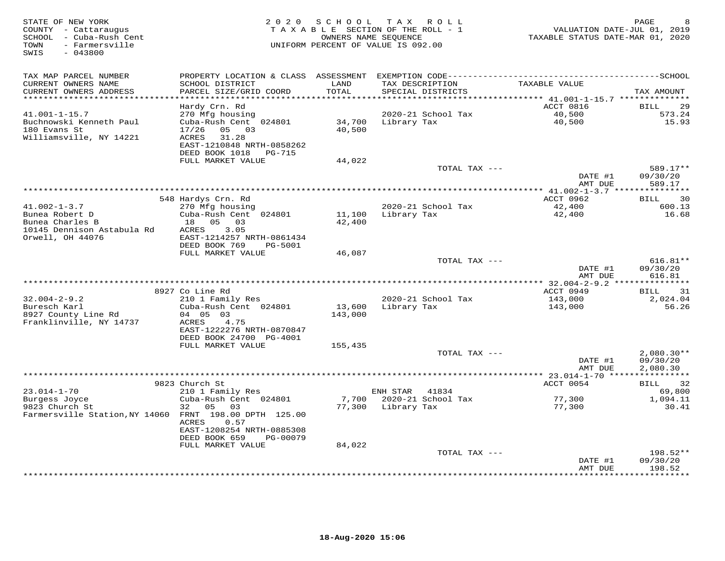| STATE OF NEW YORK<br>COUNTY - Cattaraugus<br>SCHOOL - Cuba-Rush Cent<br>TOWN<br>- Farmersville<br>$-043800$<br>SWIS |                                                                                                                                                        | 2020 SCHOOL       | T A X<br>R O L L<br>TAXABLE SECTION OF THE ROLL - 1<br>OWNERS NAME SEQUENCE<br>UNIFORM PERCENT OF VALUE IS 092.00 | VALUATION DATE-JUL 01, 2019<br>TAXABLE STATUS DATE-MAR 01, 2020 | $\mathop{\mathtt{PAGE}}$<br>8        |
|---------------------------------------------------------------------------------------------------------------------|--------------------------------------------------------------------------------------------------------------------------------------------------------|-------------------|-------------------------------------------------------------------------------------------------------------------|-----------------------------------------------------------------|--------------------------------------|
| TAX MAP PARCEL NUMBER<br>CURRENT OWNERS NAME<br>CURRENT OWNERS ADDRESS                                              | PROPERTY LOCATION & CLASS ASSESSMENT EXEMPTION CODE-----------------------------------SCHOOL<br>SCHOOL DISTRICT<br>PARCEL SIZE/GRID COORD              | LAND<br>TOTAL     | TAX DESCRIPTION<br>SPECIAL DISTRICTS                                                                              | TAXABLE VALUE                                                   | TAX AMOUNT                           |
| ********************                                                                                                |                                                                                                                                                        | ********          |                                                                                                                   | *********************************41.001-1-15.7 ***************  |                                      |
| 41.001-1-15.7<br>Buchnowski Kenneth Paul<br>180 Evans St<br>Williamsville, NY 14221                                 | Hardy Crn. Rd<br>270 Mfg housing<br>Cuba-Rush Cent 024801<br>17/26<br>05 03<br>ACRES<br>31.28<br>EAST-1210848 NRTH-0858262<br>DEED BOOK 1018<br>PG-715 | 34,700<br>40,500  | 2020-21 School Tax<br>Library Tax                                                                                 | ACCT 0816<br>40,500<br>40,500                                   | <b>BILL</b><br>29<br>573.24<br>15.93 |
|                                                                                                                     | FULL MARKET VALUE                                                                                                                                      | 44,022            | TOTAL TAX ---                                                                                                     |                                                                 | 589.17**                             |
|                                                                                                                     |                                                                                                                                                        |                   |                                                                                                                   | DATE #1<br>AMT DUE                                              | 09/30/20<br>589.17                   |
|                                                                                                                     |                                                                                                                                                        |                   |                                                                                                                   |                                                                 |                                      |
|                                                                                                                     | 548 Hardys Crn. Rd                                                                                                                                     |                   |                                                                                                                   | ACCT 0962                                                       | 30<br><b>BILL</b>                    |
| $41.002 - 1 - 3.7$<br>Bunea Robert D<br>Bunea Charles B                                                             | 270 Mfg housing<br>Cuba-Rush Cent 024801<br>18  05  03                                                                                                 | 11,100<br>42,400  | 2020-21 School Tax<br>Library Tax                                                                                 | 42,400<br>42,400                                                | 600.13<br>16.68                      |
| 10145 Dennison Astabula Rd<br>Orwell, OH 44076                                                                      | 3.05<br>ACRES<br>EAST-1214257 NRTH-0861434<br>DEED BOOK 769<br>PG-5001<br>FULL MARKET VALUE                                                            | 46,087            |                                                                                                                   |                                                                 |                                      |
|                                                                                                                     |                                                                                                                                                        |                   | TOTAL TAX ---                                                                                                     | DATE #1                                                         | $616.81**$<br>09/30/20               |
|                                                                                                                     |                                                                                                                                                        |                   |                                                                                                                   | AMT DUE                                                         | 616.81                               |
|                                                                                                                     | 8927 Co Line Rd                                                                                                                                        |                   |                                                                                                                   | ACCT 0949                                                       | 31<br>BILL                           |
| $32.004 - 2 - 9.2$                                                                                                  | 210 1 Family Res                                                                                                                                       |                   | 2020-21 School Tax                                                                                                | 143,000                                                         | 2,024.04                             |
| Buresch Karl<br>8927 County Line Rd<br>Franklinville, NY 14737                                                      | Cuba-Rush Cent 024801<br>04 05 03<br>ACRES<br>4.75<br>EAST-1222276 NRTH-0870847                                                                        | 13,600<br>143,000 | Library Tax                                                                                                       | 143,000                                                         | 56.26                                |
|                                                                                                                     | DEED BOOK 24700 PG-4001<br>FULL MARKET VALUE                                                                                                           |                   |                                                                                                                   |                                                                 |                                      |
|                                                                                                                     |                                                                                                                                                        | 155,435           | TOTAL TAX ---                                                                                                     | DATE #1                                                         | $2,080.30**$<br>09/30/20             |
|                                                                                                                     |                                                                                                                                                        |                   |                                                                                                                   | AMT DUE<br>********** 23.014-1-70 *****************             | 2,080.30                             |
|                                                                                                                     | 9823 Church St                                                                                                                                         |                   |                                                                                                                   | ACCT 0054                                                       | 32<br>BILL                           |
| $23.014 - 1 - 70$                                                                                                   | 210 1 Family Res                                                                                                                                       |                   | ENH STAR<br>41834                                                                                                 |                                                                 | 69,800                               |
| Burgess Joyce                                                                                                       | Cuba-Rush Cent 024801                                                                                                                                  | 7,700             | 2020-21 School Tax                                                                                                | 77,300                                                          | 1,094.11                             |
| 9823 Church St<br>Farmersville Station, NY 14060 FRNT 198.00 DPTH 125.00                                            | 32<br>05<br>03<br>ACRES<br>0.57<br>EAST-1208254 NRTH-0885308<br>DEED BOOK 659<br>PG-00079                                                              | 77,300            | Library Tax                                                                                                       | 77,300                                                          | 30.41                                |
|                                                                                                                     | FULL MARKET VALUE                                                                                                                                      | 84,022            |                                                                                                                   |                                                                 |                                      |
|                                                                                                                     |                                                                                                                                                        |                   | TOTAL TAX ---                                                                                                     | DATE #1<br>AMT DUE                                              | $198.52**$<br>09/30/20<br>198.52     |
|                                                                                                                     |                                                                                                                                                        |                   |                                                                                                                   |                                                                 | ********                             |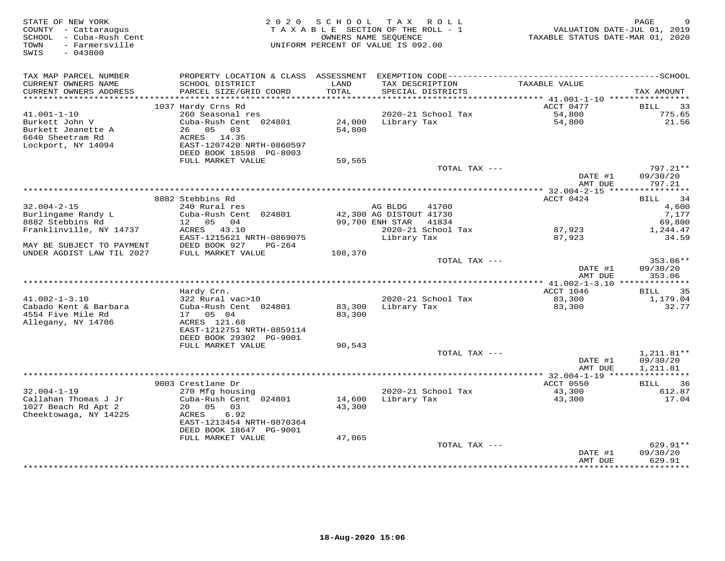| STATE OF NEW YORK<br>COUNTY - Cattaraugus<br>SCHOOL - Cuba-Rush Cent    | 2 0 2 0                                                               | SCHOOL<br>TAXABLE SECTION OF THE ROLL - 1<br>OWNERS NAME SEOUENCE |                         | TAX ROLL                    | VALUATION DATE-JUL 01, 2019<br>TAXABLE STATUS DATE-MAR 01, 2020 | PAGE                             |
|-------------------------------------------------------------------------|-----------------------------------------------------------------------|-------------------------------------------------------------------|-------------------------|-----------------------------|-----------------------------------------------------------------|----------------------------------|
| TOWN<br>- Farmersville<br>$-043800$<br>SWIS                             |                                                                       | UNIFORM PERCENT OF VALUE IS 092.00                                |                         |                             |                                                                 |                                  |
| TAX MAP PARCEL NUMBER                                                   |                                                                       |                                                                   |                         |                             |                                                                 |                                  |
| CURRENT OWNERS NAME<br>CURRENT OWNERS ADDRESS<br>********************** | SCHOOL DISTRICT<br>PARCEL SIZE/GRID COORD                             | LAND<br>TOTAL                                                     | TAX DESCRIPTION         | SPECIAL DISTRICTS           | TAXABLE VALUE                                                   | TAX AMOUNT                       |
|                                                                         | 1037 Hardy Crns Rd                                                    |                                                                   |                         |                             | ACCT 0477                                                       | <b>BILL</b><br>33                |
| $41.001 - 1 - 10$                                                       | 260 Seasonal res                                                      |                                                                   |                         | 2020-21 School Tax          | 54,800                                                          | 775.65                           |
| Burkett John V<br>Burkett Jeanette A                                    | Cuba-Rush Cent 024801<br>26 05 03                                     | 54,800                                                            | 24,000 Library Tax      |                             | 54,800                                                          | 21.56                            |
| 6640 Sheetram Rd<br>Lockport, NY 14094                                  | ACRES 14.35<br>EAST-1207420 NRTH-0860597<br>DEED BOOK 18598 PG-8003   |                                                                   |                         |                             |                                                                 |                                  |
|                                                                         | FULL MARKET VALUE                                                     | 59,565                                                            |                         |                             |                                                                 |                                  |
|                                                                         |                                                                       |                                                                   |                         | TOTAL TAX ---               | DATE #1                                                         | $797.21**$<br>09/30/20           |
|                                                                         |                                                                       |                                                                   |                         |                             | AMT DUE                                                         | 797.21<br>***********            |
|                                                                         | 8882 Stebbins Rd                                                      |                                                                   |                         |                             | ACCT 0424                                                       | 34<br>BILL                       |
| $32.004 - 2 - 15$                                                       | 240 Rural res                                                         |                                                                   | AG BLDG                 | 41700                       |                                                                 | 4,600                            |
| Burlingame Randy L                                                      | Cuba-Rush Cent 024801                                                 |                                                                   | 42,300 AG DISTOUT 41730 |                             |                                                                 | 7,177                            |
| 8882 Stebbins Rd<br>Franklinville, NY 14737                             | 12 05 04<br>ACRES 43.10                                               |                                                                   | 99,700 ENH STAR         | 41834<br>2020-21 School Tax | 87,923                                                          | 69,800<br>1,244.47               |
| MAY BE SUBJECT TO PAYMENT                                               | EAST-1215621 NRTH-0869075<br>DEED BOOK 927<br>PG-264                  |                                                                   | Library Tax             |                             | 87,923                                                          | 34.59                            |
| UNDER AGDIST LAW TIL 2027                                               | FULL MARKET VALUE                                                     | 108,370                                                           |                         |                             |                                                                 |                                  |
|                                                                         |                                                                       |                                                                   |                         | TOTAL TAX ---               | DATE #1<br>AMT DUE                                              | $353.06**$<br>09/30/20<br>353.06 |
|                                                                         |                                                                       |                                                                   |                         |                             |                                                                 |                                  |
| $41.002 - 1 - 3.10$                                                     | Hardy Crn.<br>322 Rural vac>10                                        |                                                                   |                         | 2020-21 School Tax          | ACCT 1046<br>83,300                                             | BILL<br>35<br>1,179.04           |
| Cabado Kent & Barbara                                                   | Cuba-Rush Cent 024801                                                 | 83,300                                                            |                         | Library Tax                 | 83,300                                                          | 32.77                            |
| 4554 Five Mile Rd                                                       | 17 05 04                                                              | 83,300                                                            |                         |                             |                                                                 |                                  |
| Allegany, NY 14706                                                      | ACRES 121.68<br>EAST-1212751 NRTH-0859114                             |                                                                   |                         |                             |                                                                 |                                  |
|                                                                         | DEED BOOK 29302 PG-9001<br>FULL MARKET VALUE                          | 90,543                                                            |                         |                             |                                                                 |                                  |
|                                                                         |                                                                       |                                                                   |                         | TOTAL TAX ---               |                                                                 | 1,211.81**                       |
|                                                                         |                                                                       |                                                                   |                         |                             | DATE #1<br>AMT DUE                                              | 09/30/20<br>1,211.81             |
|                                                                         |                                                                       |                                                                   |                         |                             |                                                                 |                                  |
| $32.004 - 1 - 19$                                                       | 9003 Crestlane Dr<br>270 Mfg housing                                  |                                                                   |                         | 2020-21 School Tax          | ACCT 0550<br>43,300                                             | 36<br><b>BILL</b><br>612.87      |
| Callahan Thomas J Jr<br>1027 Beach Rd Apt 2                             | Cuba-Rush Cent 024801<br>20 05<br>03                                  | 14,600<br>43,300                                                  | Library Tax             |                             | 43,300                                                          | 17.04                            |
| Cheektowaga, NY 14225                                                   | ACRES<br>6.92<br>EAST-1213454 NRTH-0870364<br>DEED BOOK 18647 PG-9001 |                                                                   |                         |                             |                                                                 |                                  |
|                                                                         | FULL MARKET VALUE                                                     | 47,065                                                            |                         |                             |                                                                 |                                  |
|                                                                         |                                                                       |                                                                   |                         | TOTAL TAX ---               |                                                                 | $629.91**$                       |
|                                                                         |                                                                       |                                                                   |                         |                             | DATE #1<br>AMT DUE<br>*************                             | 09/30/20<br>629.91<br>********** |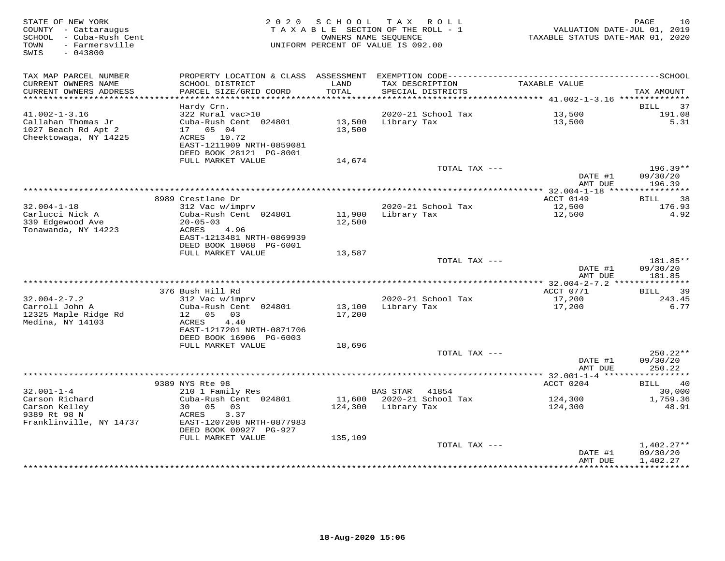| STATE OF NEW YORK<br>COUNTY - Cattaraugus<br>SCHOOL - Cuba-Rush Cent<br>TOWN<br>- Farmersville<br>SWIS<br>$-043800$ | 2 0 2 0                                                                                                                                                  | SCHOOL                     | TAX ROLL<br>TAXABLE SECTION OF THE ROLL - 1<br>OWNERS NAME SEOUENCE<br>UNIFORM PERCENT OF VALUE IS 092.00 | VALUATION DATE-JUL 01, 2019<br>TAXABLE STATUS DATE-MAR 01, 2020 | 10<br>PAGE                           |
|---------------------------------------------------------------------------------------------------------------------|----------------------------------------------------------------------------------------------------------------------------------------------------------|----------------------------|-----------------------------------------------------------------------------------------------------------|-----------------------------------------------------------------|--------------------------------------|
| TAX MAP PARCEL NUMBER<br>CURRENT OWNERS NAME<br>CURRENT OWNERS ADDRESS                                              | PROPERTY LOCATION & CLASS ASSESSMENT<br>SCHOOL DISTRICT<br>PARCEL SIZE/GRID COORD                                                                        | LAND<br>TOTAL              | TAX DESCRIPTION<br>SPECIAL DISTRICTS                                                                      | TAXABLE VALUE                                                   | TAX AMOUNT                           |
| ***********************                                                                                             |                                                                                                                                                          |                            |                                                                                                           |                                                                 |                                      |
| $41.002 - 1 - 3.16$<br>Callahan Thomas Jr<br>1027 Beach Rd Apt 2<br>Cheektowaga, NY 14225                           | Hardy Crn.<br>322 Rural vac>10<br>Cuba-Rush Cent 024801<br>17  05  04<br>ACRES 10.72<br>EAST-1211909 NRTH-0859081<br>DEED BOOK 28121 PG-8001             | 13,500<br>13,500           | 2020-21 School Tax<br>Library Tax                                                                         | 13,500<br>13,500                                                | <b>BILL</b><br>37<br>191.08<br>5.31  |
|                                                                                                                     | FULL MARKET VALUE                                                                                                                                        | 14,674                     |                                                                                                           |                                                                 |                                      |
|                                                                                                                     |                                                                                                                                                          |                            | TOTAL TAX ---                                                                                             | DATE #1<br>AMT DUE                                              | $196.39**$<br>09/30/20<br>196.39     |
|                                                                                                                     |                                                                                                                                                          |                            |                                                                                                           | ******* 32.004-1-18 ****                                        | **********                           |
| $32.004 - 1 - 18$<br>Carlucci Nick A<br>339 Edgewood Ave<br>Tonawanda, NY 14223                                     | 8989 Crestlane Dr<br>312 Vac w/imprv<br>Cuba-Rush Cent 024801<br>$20 - 05 - 03$<br>4.96<br>ACRES<br>EAST-1213481 NRTH-0869939<br>DEED BOOK 18068 PG-6001 | 11,900<br>12,500           | 2020-21 School Tax<br>Library Tax                                                                         | ACCT 0149<br>12,500<br>12,500                                   | 38<br><b>BILL</b><br>176.93<br>4.92  |
|                                                                                                                     | FULL MARKET VALUE                                                                                                                                        | 13,587                     |                                                                                                           |                                                                 |                                      |
|                                                                                                                     |                                                                                                                                                          |                            | TOTAL TAX ---                                                                                             | DATE #1<br>AMT DUE                                              | 181.85**<br>09/30/20<br>181.85       |
|                                                                                                                     | 376 Bush Hill Rd                                                                                                                                         |                            |                                                                                                           | ACCT 0771                                                       | 39<br>BILL                           |
| $32.004 - 2 - 7.2$<br>Carroll John A<br>12325 Maple Ridge Rd<br>Medina, NY 14103                                    | 312 Vac w/imprv<br>Cuba-Rush Cent 024801<br>12 05 03<br>4.40<br>ACRES<br>EAST-1217201 NRTH-0871706<br>DEED BOOK 16906 PG-6003<br>FULL MARKET VALUE       | 13,100<br>17,200<br>18,696 | 2020-21 School Tax<br>Library Tax                                                                         | 17,200<br>17,200                                                | 243.45<br>6.77                       |
|                                                                                                                     |                                                                                                                                                          |                            | TOTAL TAX ---                                                                                             |                                                                 | 250.22**                             |
|                                                                                                                     |                                                                                                                                                          |                            |                                                                                                           | DATE #1<br>AMT DUE                                              | 09/30/20<br>250.22                   |
|                                                                                                                     | 9389 NYS Rte 98                                                                                                                                          |                            |                                                                                                           | ACCT 0204                                                       | <b>BILL</b><br>40                    |
| $32.001 - 1 - 4$                                                                                                    | 210 1 Family Res                                                                                                                                         |                            | BAS STAR<br>41854                                                                                         |                                                                 | 30,000                               |
| Carson Richard<br>Carson Kelley<br>9389 Rt 98 N                                                                     | Cuba-Rush Cent 024801<br>30 05<br>03<br>3.37<br>ACRES                                                                                                    | 11,600<br>124,300          | 2020-21 School Tax<br>Library Tax                                                                         | 124,300<br>124,300                                              | 1,759.36<br>48.91                    |
| Franklinville, NY 14737                                                                                             | EAST-1207208 NRTH-0877983<br>DEED BOOK 00927 PG-927<br>FULL MARKET VALUE                                                                                 | 135,109                    |                                                                                                           |                                                                 |                                      |
|                                                                                                                     |                                                                                                                                                          |                            | TOTAL TAX ---                                                                                             | DATE #1<br>AMT DUE                                              | $1,402.27**$<br>09/30/20<br>1,402.27 |
|                                                                                                                     |                                                                                                                                                          |                            |                                                                                                           |                                                                 |                                      |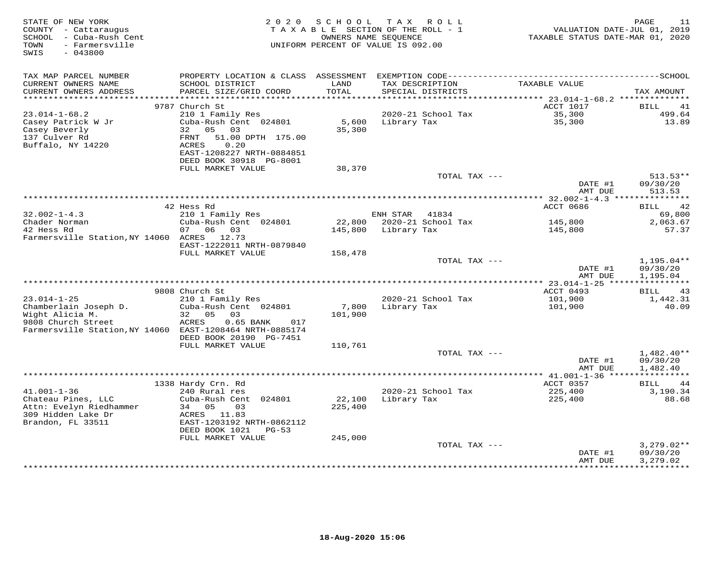| STATE OF NEW YORK<br>COUNTY - Cattaraugus<br>SCHOOL - Cuba-Rush Cent<br>- Farmersville<br>TOWN<br>SWIS<br>$-043800$ | 2 0 2 0                                           | SCHOOL<br>TAXABLE SECTION OF THE ROLL - 1<br>OWNERS NAME SEOUENCE<br>UNIFORM PERCENT OF VALUE IS 092.00 |             | TAX ROLL           | VALUATION DATE-JUL 01, 2019<br>TAXABLE STATUS DATE-MAR 01, 2020 | PAGE<br>11                    |
|---------------------------------------------------------------------------------------------------------------------|---------------------------------------------------|---------------------------------------------------------------------------------------------------------|-------------|--------------------|-----------------------------------------------------------------|-------------------------------|
|                                                                                                                     |                                                   |                                                                                                         |             |                    |                                                                 |                               |
| TAX MAP PARCEL NUMBER                                                                                               |                                                   |                                                                                                         |             |                    |                                                                 |                               |
| CURRENT OWNERS NAME                                                                                                 | SCHOOL DISTRICT                                   | LAND                                                                                                    |             | TAX DESCRIPTION    | TAXABLE VALUE                                                   |                               |
| CURRENT OWNERS ADDRESS<br>**********************                                                                    | PARCEL SIZE/GRID COORD                            | TOTAL                                                                                                   |             | SPECIAL DISTRICTS  |                                                                 | TAX AMOUNT                    |
|                                                                                                                     | 9787 Church St                                    |                                                                                                         |             |                    | ACCT 1017                                                       | <b>BILL</b><br>41             |
| $23.014 - 1 - 68.2$                                                                                                 | 210 1 Family Res                                  |                                                                                                         |             | 2020-21 School Tax | 35,300                                                          | 499.64                        |
| Casey Patrick W Jr                                                                                                  | Cuba-Rush Cent 024801                             | 5,600                                                                                                   | Library Tax |                    | 35,300                                                          | 13.89                         |
| Casey Beverly                                                                                                       | 05 03<br>32                                       | 35,300                                                                                                  |             |                    |                                                                 |                               |
| 137 Culver Rd                                                                                                       | FRNT<br>51.00 DPTH 175.00                         |                                                                                                         |             |                    |                                                                 |                               |
| Buffalo, NY 14220                                                                                                   | <b>ACRES</b><br>0.20<br>EAST-1208227 NRTH-0884851 |                                                                                                         |             |                    |                                                                 |                               |
|                                                                                                                     | DEED BOOK 30918 PG-8001                           |                                                                                                         |             |                    |                                                                 |                               |
|                                                                                                                     | FULL MARKET VALUE                                 | 38,370                                                                                                  |             |                    |                                                                 |                               |
|                                                                                                                     |                                                   |                                                                                                         |             | TOTAL TAX ---      |                                                                 | $513.53**$                    |
|                                                                                                                     |                                                   |                                                                                                         |             |                    | DATE #1                                                         | 09/30/20                      |
|                                                                                                                     |                                                   |                                                                                                         |             |                    | AMT DUE                                                         | 513.53                        |
|                                                                                                                     | 42 Hess Rd                                        |                                                                                                         |             |                    | ACCT 0686                                                       | 42<br>BILL                    |
| $32.002 - 1 - 4.3$                                                                                                  | 210 1 Family Res                                  |                                                                                                         | ENH STAR    | 41834              |                                                                 | 69,800                        |
| Chader Norman                                                                                                       | Cuba-Rush Cent 024801                             | 22,800                                                                                                  |             | 2020-21 School Tax | 145,800                                                         | 2,063.67                      |
| 42 Hess Rd                                                                                                          | 06<br>07<br>03                                    | 145,800                                                                                                 | Library Tax |                    | 145,800                                                         | 57.37                         |
| Farmersville Station, NY 14060 ACRES 12.73                                                                          |                                                   |                                                                                                         |             |                    |                                                                 |                               |
|                                                                                                                     | EAST-1222011 NRTH-0879840<br>FULL MARKET VALUE    | 158,478                                                                                                 |             |                    |                                                                 |                               |
|                                                                                                                     |                                                   |                                                                                                         |             | TOTAL TAX ---      |                                                                 | 1,195.04**                    |
|                                                                                                                     |                                                   |                                                                                                         |             |                    | DATE #1                                                         | 09/30/20                      |
|                                                                                                                     |                                                   |                                                                                                         |             |                    | AMT DUE                                                         | 1,195.04                      |
|                                                                                                                     |                                                   |                                                                                                         |             |                    |                                                                 |                               |
| $23.014 - 1 - 25$                                                                                                   | 9808 Church St<br>210 1 Family Res                |                                                                                                         |             | 2020-21 School Tax | ACCT 0493<br>101,900                                            | 43<br><b>BILL</b><br>1,442.31 |
| Chamberlain Joseph D.                                                                                               | Cuba-Rush Cent 024801                             | 7,800                                                                                                   | Library Tax |                    | 101,900                                                         | 40.09                         |
| Wight Alicia M.                                                                                                     | 32 05<br>03                                       | 101,900                                                                                                 |             |                    |                                                                 |                               |
| 9808 Church Street                                                                                                  | ACRES<br>$0.65$ BANK<br>017                       |                                                                                                         |             |                    |                                                                 |                               |
| Farmersville Station, NY 14060 EAST-1208464 NRTH-0885174                                                            |                                                   |                                                                                                         |             |                    |                                                                 |                               |
|                                                                                                                     | DEED BOOK 20190 PG-7451<br>FULL MARKET VALUE      | 110,761                                                                                                 |             |                    |                                                                 |                               |
|                                                                                                                     |                                                   |                                                                                                         |             | TOTAL TAX ---      |                                                                 | $1,482.40**$                  |
|                                                                                                                     |                                                   |                                                                                                         |             |                    | DATE #1                                                         | 09/30/20                      |
|                                                                                                                     |                                                   |                                                                                                         |             |                    | AMT DUE                                                         | 1,482.40                      |
|                                                                                                                     |                                                   |                                                                                                         |             |                    | ****************** 41.001-1-36 *****************                |                               |
|                                                                                                                     | 1338 Hardy Crn. Rd                                |                                                                                                         |             |                    | ACCT 0357                                                       | <b>BILL</b><br>44             |
| $41.001 - 1 - 36$<br>Chateau Pines, LLC                                                                             | 240 Rural res<br>Cuba-Rush Cent 024801            | 22,100                                                                                                  | Library Tax | 2020-21 School Tax | 225,400<br>225,400                                              | 3,190.34<br>88.68             |
| Attn: Evelyn Riedhammer                                                                                             | 34 05<br>03                                       | 225,400                                                                                                 |             |                    |                                                                 |                               |
| 309 Hidden Lake Dr                                                                                                  | ACRES 11.83                                       |                                                                                                         |             |                    |                                                                 |                               |
| Brandon, FL 33511                                                                                                   | EAST-1203192 NRTH-0862112                         |                                                                                                         |             |                    |                                                                 |                               |
|                                                                                                                     | DEED BOOK 1021<br>$PG-53$                         |                                                                                                         |             |                    |                                                                 |                               |
|                                                                                                                     | FULL MARKET VALUE                                 | 245,000                                                                                                 |             |                    |                                                                 |                               |
|                                                                                                                     |                                                   |                                                                                                         |             | TOTAL TAX ---      | DATE #1                                                         | $3,279.02**$<br>09/30/20      |
|                                                                                                                     |                                                   |                                                                                                         |             |                    | AMT DUE                                                         | 3,279.02                      |
|                                                                                                                     |                                                   |                                                                                                         |             |                    | ***********                                                     | ***********                   |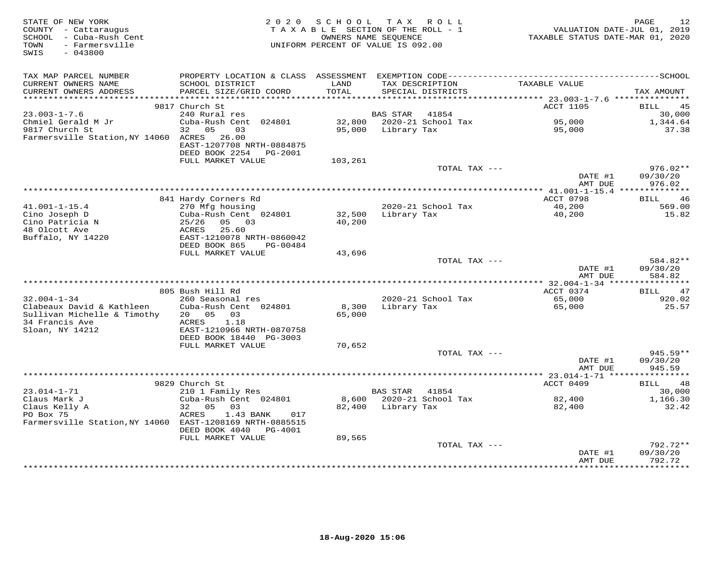| STATE OF NEW YORK<br>COUNTY - Cattaraugus<br>SCHOOL - Cuba-Rush Cent<br>TOWN<br>- Farmersville<br>SWIS<br>$-043800$ | 2 0 2 0                                                                     | SCHOOL           | T A X<br>R O L L<br>TAXABLE SECTION OF THE ROLL - 1<br>OWNERS NAME SEQUENCE<br>UNIFORM PERCENT OF VALUE IS 092.00 | VALUATION DATE-JUL 01, 2019<br>TAXABLE STATUS DATE-MAR 01, 2020 | PAGE<br>12                       |
|---------------------------------------------------------------------------------------------------------------------|-----------------------------------------------------------------------------|------------------|-------------------------------------------------------------------------------------------------------------------|-----------------------------------------------------------------|----------------------------------|
| TAX MAP PARCEL NUMBER<br>CURRENT OWNERS NAME<br>CURRENT OWNERS ADDRESS                                              | SCHOOL DISTRICT<br>PARCEL SIZE/GRID COORD                                   | LAND<br>TOTAL    | TAX DESCRIPTION<br>SPECIAL DISTRICTS                                                                              | TAXABLE VALUE                                                   | TAX AMOUNT                       |
|                                                                                                                     | 9817 Church St                                                              |                  |                                                                                                                   | <b>ACCT 1105</b>                                                | BILL<br>45                       |
| $23.003 - 1 - 7.6$                                                                                                  | 240 Rural res                                                               |                  | 41854<br>BAS STAR                                                                                                 |                                                                 | 30,000                           |
| Chmiel Gerald M Jr<br>9817 Church St<br>Farmersville Station, NY 14060 ACRES                                        | Cuba-Rush Cent 024801<br>32 05<br>03<br>26.00<br>EAST-1207708 NRTH-0884875  | 32,800<br>95,000 | 2020-21 School Tax<br>Library Tax                                                                                 | 95,000<br>95,000                                                | 1,344.64<br>37.38                |
|                                                                                                                     | DEED BOOK 2254 PG-2001                                                      |                  |                                                                                                                   |                                                                 |                                  |
|                                                                                                                     | FULL MARKET VALUE                                                           | 103,261          |                                                                                                                   |                                                                 |                                  |
|                                                                                                                     |                                                                             |                  | TOTAL TAX ---                                                                                                     | DATE #1<br>AMT DUE                                              | $976.02**$<br>09/30/20<br>976.02 |
|                                                                                                                     |                                                                             |                  |                                                                                                                   | ***************** 41.001-1-15.4 ***************                 |                                  |
|                                                                                                                     | 841 Hardy Corners Rd                                                        |                  |                                                                                                                   | ACCT 0798                                                       | 46<br>BILL                       |
| $41.001 - 1 - 15.4$<br>Cino Joseph D<br>Cino Patricia N<br>48 Olcott Ave                                            | 270 Mfg housing<br>Cuba-Rush Cent 024801<br>$25/26$ 05 03<br>ACRES<br>25.60 | 32,500<br>40,200 | 2020-21 School Tax<br>Library Tax                                                                                 | 40,200<br>40,200                                                | 569.00<br>15.82                  |
| Buffalo, NY 14220                                                                                                   | EAST-1210078 NRTH-0860042<br>DEED BOOK 865<br>PG-00484                      |                  |                                                                                                                   |                                                                 |                                  |
|                                                                                                                     | FULL MARKET VALUE                                                           | 43,696           | TOTAL TAX ---                                                                                                     |                                                                 | 584.82**                         |
|                                                                                                                     |                                                                             |                  |                                                                                                                   | DATE #1<br>AMT DUE                                              | 09/30/20<br>584.82               |
|                                                                                                                     | 805 Bush Hill Rd                                                            |                  |                                                                                                                   | ACCT 0374                                                       | 47<br>BILL                       |
| $32.004 - 1 - 34$                                                                                                   | 260 Seasonal res                                                            |                  | 2020-21 School Tax                                                                                                | 65,000                                                          | 920.02                           |
| Clabeaux David & Kathleen<br>Sullivan Michelle & Timothy<br>34 Francis Ave                                          | Cuba-Rush Cent 024801<br>20  05  03<br>1.18<br>ACRES                        | 8,300<br>65,000  | Library Tax                                                                                                       | 65,000                                                          | 25.57                            |
| Sloan, NY 14212                                                                                                     | EAST-1210966 NRTH-0870758<br>DEED BOOK 18440 PG-3003                        |                  |                                                                                                                   |                                                                 |                                  |
|                                                                                                                     | FULL MARKET VALUE                                                           | 70,652           |                                                                                                                   |                                                                 |                                  |
|                                                                                                                     |                                                                             |                  | TOTAL TAX ---                                                                                                     | DATE #1<br>AMT DUE                                              | $945.59**$<br>09/30/20<br>945.59 |
|                                                                                                                     |                                                                             |                  |                                                                                                                   | ***************** 23.014-1-71 *****                             | ***********                      |
|                                                                                                                     | 9829 Church St                                                              |                  |                                                                                                                   | ACCT 0409                                                       | <b>BILL</b><br>48                |
| $23.014 - 1 - 71$<br>Claus Mark J                                                                                   | 210 1 Family Res<br>Cuba-Rush Cent 024801                                   |                  | BAS STAR 41854<br>8,600 2020-21 School Tax                                                                        | 82,400                                                          | 30,000<br>1,166.30               |
| Claus Kelly A                                                                                                       | 32 05 03                                                                    | 82,400           | Library Tax                                                                                                       | 82,400                                                          | 32.42                            |
| PO Box 75<br>Farmersville Station, NY 14060 EAST-1208169 NRTH-0885515                                               | ACRES<br>1.43 BANK<br>017<br>DEED BOOK 4040 PG-4001                         |                  |                                                                                                                   |                                                                 |                                  |
|                                                                                                                     | FULL MARKET VALUE                                                           | 89,565           |                                                                                                                   |                                                                 |                                  |
|                                                                                                                     |                                                                             |                  | TOTAL TAX ---                                                                                                     | DATE #1<br>AMT DUE                                              | 792.72**<br>09/30/20<br>792.72   |
|                                                                                                                     |                                                                             |                  |                                                                                                                   |                                                                 |                                  |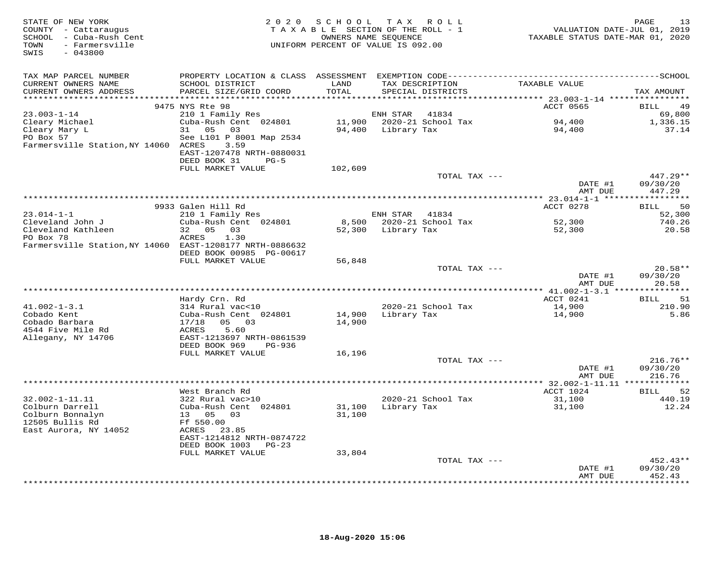| STATE OF NEW YORK<br>COUNTY - Cattaraugus<br>SCHOOL - Cuba-Rush Cent<br>- Farmersville<br>TOWN<br>$-043800$<br>SWIS |                                            |               | 2020 SCHOOL TAX ROLL<br>TAXABLE SECTION OF THE ROLL - 1<br>OWNERS NAME SEQUENCE<br>UNIFORM PERCENT OF VALUE IS 092.00 |               | VALUATION DATE-JUL 01, 2019<br>TAXABLE STATUS DATE-MAR 01, 2020 | PAGE<br>13        |
|---------------------------------------------------------------------------------------------------------------------|--------------------------------------------|---------------|-----------------------------------------------------------------------------------------------------------------------|---------------|-----------------------------------------------------------------|-------------------|
| TAX MAP PARCEL NUMBER                                                                                               |                                            |               |                                                                                                                       |               |                                                                 |                   |
| CURRENT OWNERS NAME<br>CURRENT OWNERS ADDRESS                                                                       | SCHOOL DISTRICT<br>PARCEL SIZE/GRID COORD  | LAND<br>TOTAL | TAX DESCRIPTION<br>SPECIAL DISTRICTS                                                                                  |               | TAXABLE VALUE                                                   | TAX AMOUNT        |
|                                                                                                                     | 9475 NYS Rte 98                            |               |                                                                                                                       |               | ACCT 0565                                                       | 49<br><b>BILL</b> |
| $23.003 - 1 - 14$                                                                                                   | 210 1 Family Res                           |               | ENH STAR 41834                                                                                                        |               |                                                                 | 69,800            |
| Cleary Michael<br>Cleary Mary L<br>PO Box 57                                                                        | Cuba-Rush Cent 024801                      |               | 11,900 2020-21 School Tax                                                                                             |               | 94,400                                                          | 1,336.15          |
|                                                                                                                     | 31 05 03                                   |               | 94,400 Library Tax                                                                                                    |               | 94,400                                                          | 37.14             |
| PO Box 57                                                                                                           | See L101 P 8001 Map 2534                   |               |                                                                                                                       |               |                                                                 |                   |
| Farmersville Station, NY 14060 ACRES                                                                                | 3.59<br>EAST-1207478 NRTH-0880031          |               |                                                                                                                       |               |                                                                 |                   |
|                                                                                                                     | DEED BOOK 31<br>$PG-5$                     |               |                                                                                                                       |               |                                                                 |                   |
|                                                                                                                     | FULL MARKET VALUE                          | 102,609       |                                                                                                                       |               |                                                                 |                   |
|                                                                                                                     |                                            |               |                                                                                                                       | TOTAL TAX --- |                                                                 | $447.29**$        |
|                                                                                                                     |                                            |               |                                                                                                                       |               | DATE #1                                                         | 09/30/20          |
|                                                                                                                     |                                            |               |                                                                                                                       |               | AMT DUE                                                         | 447.29            |
|                                                                                                                     | 9933 Galen Hill Rd                         |               |                                                                                                                       |               | ACCT 0278                                                       | 50<br>BILL        |
| $23.014 - 1 - 1$                                                                                                    | 210 1 Family Res                           |               | ENH STAR 41834                                                                                                        |               |                                                                 | 52,300            |
| Cleveland John J                                                                                                    | Cuba-Rush Cent 024801                      |               | 8,500 2020-21 School Tax                                                                                              |               | 52,300                                                          | 740.26            |
| Cleveland Kathleen                                                                                                  | 32 05 03                                   |               | 52,300 Library Tax                                                                                                    |               | 52,300                                                          | 20.58             |
| PO Box 78<br>Farmersville Station, NY 14060 EAST-1208177 NRTH-0886632                                               | ACRES<br>1.30                              |               |                                                                                                                       |               |                                                                 |                   |
|                                                                                                                     | DEED BOOK 00985 PG-00617                   |               |                                                                                                                       |               |                                                                 |                   |
|                                                                                                                     | FULL MARKET VALUE                          | 56,848        |                                                                                                                       |               |                                                                 |                   |
|                                                                                                                     |                                            |               |                                                                                                                       | TOTAL TAX --- |                                                                 | $20.58**$         |
|                                                                                                                     |                                            |               |                                                                                                                       |               | DATE #1                                                         | 09/30/20          |
|                                                                                                                     |                                            |               |                                                                                                                       |               | AMT DUE                                                         | 20.58             |
|                                                                                                                     | Hardy Crn. Rd                              |               |                                                                                                                       |               | ACCT 0241                                                       | <b>BILL</b><br>51 |
| $41.002 - 1 - 3.1$                                                                                                  | 314 Rural vac<10                           |               | 2020-21 School Tax                                                                                                    |               | 14,900                                                          | 210.90            |
| Cobado Kent                                                                                                         | Cuba-Rush Cent 024801                      |               | 14,900 Library Tax                                                                                                    |               | 14,900                                                          | 5.86              |
| Cobado Barbara                                                                                                      | 17/18 05 03                                | 14,900        |                                                                                                                       |               |                                                                 |                   |
| 4544 Five Mile Rd<br>Allegany, NY 14706                                                                             | ACRES<br>5.60<br>EAST-1213697 NRTH-0861539 |               |                                                                                                                       |               |                                                                 |                   |
|                                                                                                                     | DEED BOOK 969<br>PG-936                    |               |                                                                                                                       |               |                                                                 |                   |
|                                                                                                                     | FULL MARKET VALUE                          | 16,196        |                                                                                                                       |               |                                                                 |                   |
|                                                                                                                     |                                            |               |                                                                                                                       | TOTAL TAX --- |                                                                 | $216.76**$        |
|                                                                                                                     |                                            |               |                                                                                                                       |               | DATE #1                                                         | 09/30/20          |
|                                                                                                                     |                                            |               |                                                                                                                       |               | AMT DUE                                                         | 216.76            |
|                                                                                                                     | West Branch Rd                             |               |                                                                                                                       |               | ACCT 1024                                                       | <b>BILL</b><br>52 |
| $32.002 - 1 - 11.11$                                                                                                | 322 Rural vac>10                           |               | 2020-21 School Tax                                                                                                    |               | 31,100                                                          | 440.19            |
| Colburn Darrell                                                                                                     | Cuba-Rush Cent 024801                      |               | 31,100 Library Tax                                                                                                    |               | 31,100                                                          | 12.24             |
| Colburn Bonnalyn                                                                                                    | 13 05 03                                   | 31,100        |                                                                                                                       |               |                                                                 |                   |
| 12505 Bullis Rd                                                                                                     | Ff 550.00                                  |               |                                                                                                                       |               |                                                                 |                   |
| East Aurora, NY 14052                                                                                               | ACRES 23.85<br>EAST-1214812 NRTH-0874722   |               |                                                                                                                       |               |                                                                 |                   |
|                                                                                                                     | DEED BOOK 1003 PG-23                       |               |                                                                                                                       |               |                                                                 |                   |
|                                                                                                                     | FULL MARKET VALUE                          | 33,804        |                                                                                                                       |               |                                                                 |                   |
|                                                                                                                     |                                            |               |                                                                                                                       | TOTAL TAX --- |                                                                 | $452.43**$        |
|                                                                                                                     |                                            |               |                                                                                                                       |               | DATE #1                                                         | 09/30/20          |
|                                                                                                                     |                                            |               |                                                                                                                       |               | AMT DUE                                                         | 452.43<br>.       |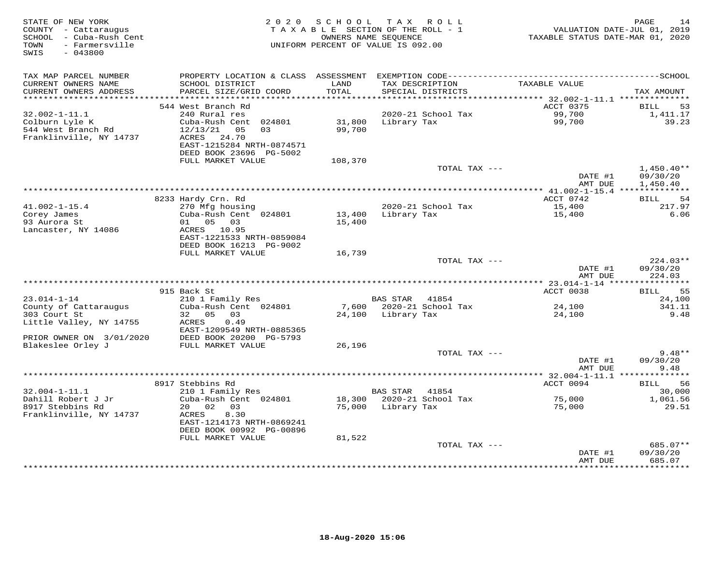| STATE OF NEW YORK<br>COUNTY - Cattaraugus<br>SCHOOL - Cuba-Rush Cent | 2 0 2 0                                   | SCHOOL        | TAX ROLL<br>TAXABLE SECTION OF THE ROLL - 1<br>OWNERS NAME SEQUENCE | VALUATION DATE-JUL 01, 2019<br>TAXABLE STATUS DATE-MAR 01, 2020 | PAGE<br>14                    |
|----------------------------------------------------------------------|-------------------------------------------|---------------|---------------------------------------------------------------------|-----------------------------------------------------------------|-------------------------------|
| - Farmersville<br>TOWN<br>SWIS<br>$-043800$                          |                                           |               | UNIFORM PERCENT OF VALUE IS 092.00                                  |                                                                 |                               |
| TAX MAP PARCEL NUMBER                                                |                                           |               |                                                                     |                                                                 |                               |
| CURRENT OWNERS NAME<br>CURRENT OWNERS ADDRESS                        | SCHOOL DISTRICT<br>PARCEL SIZE/GRID COORD | LAND<br>TOTAL | TAX DESCRIPTION<br>SPECIAL DISTRICTS                                | TAXABLE VALUE                                                   | TAX AMOUNT                    |
| ************************                                             |                                           |               |                                                                     |                                                                 |                               |
| $32.002 - 1 - 11.1$                                                  | 544 West Branch Rd<br>240 Rural res       |               | 2020-21 School Tax                                                  | ACCT 0375<br>99,700                                             | <b>BILL</b><br>53<br>1,411.17 |
| Colburn Lyle K                                                       | Cuba-Rush Cent 024801                     | 31,800        | Library Tax                                                         | 99,700                                                          | 39.23                         |
| 544 West Branch Rd                                                   | 12/13/21<br>05<br>0.3                     | 99,700        |                                                                     |                                                                 |                               |
| Franklinville, NY 14737                                              | ACRES<br>24.70                            |               |                                                                     |                                                                 |                               |
|                                                                      | EAST-1215284 NRTH-0874571                 |               |                                                                     |                                                                 |                               |
|                                                                      | DEED BOOK 23696 PG-5002                   |               |                                                                     |                                                                 |                               |
|                                                                      | FULL MARKET VALUE                         | 108,370       | TOTAL TAX ---                                                       |                                                                 | $1,450.40**$                  |
|                                                                      |                                           |               |                                                                     | DATE #1                                                         | 09/30/20                      |
|                                                                      |                                           |               |                                                                     | AMT DUE                                                         | 1,450.40                      |
|                                                                      |                                           |               |                                                                     |                                                                 |                               |
| $41.002 - 1 - 15.4$                                                  | 8233 Hardy Crn. Rd<br>270 Mfg housing     |               | 2020-21 School Tax                                                  | ACCT 0742<br>15,400                                             | 54<br>BILL<br>217.97          |
| Corey James                                                          | Cuba-Rush Cent 024801                     | 13,400        | Library Tax                                                         | 15,400                                                          | 6.06                          |
| 93 Aurora St                                                         | 01 05 03                                  | 15,400        |                                                                     |                                                                 |                               |
| Lancaster, NY 14086                                                  | ACRES 10.95                               |               |                                                                     |                                                                 |                               |
|                                                                      | EAST-1221533 NRTH-0859084                 |               |                                                                     |                                                                 |                               |
|                                                                      | DEED BOOK 16213 PG-9002                   |               |                                                                     |                                                                 |                               |
|                                                                      | FULL MARKET VALUE                         | 16,739        | TOTAL TAX ---                                                       |                                                                 | $224.03**$                    |
|                                                                      |                                           |               |                                                                     | DATE #1                                                         | 09/30/20                      |
|                                                                      |                                           |               |                                                                     | AMT DUE                                                         | 224.03                        |
|                                                                      |                                           |               |                                                                     |                                                                 |                               |
| $23.014 - 1 - 14$                                                    | 915 Back St                               |               | BAS STAR<br>41854                                                   | ACCT 0038                                                       | 55<br>BILL<br>24,100          |
| County of Cattaraugus                                                | 210 1 Family Res<br>Cuba-Rush Cent 024801 |               | 7,600 2020-21 School Tax                                            | 24,100                                                          | 341.11                        |
| 303 Court St                                                         | 32 05<br>03                               |               | 24,100 Library Tax                                                  | 24,100                                                          | 9.48                          |
| Little Valley, NY 14755                                              | 0.49<br>ACRES                             |               |                                                                     |                                                                 |                               |
|                                                                      | EAST-1209549 NRTH-0885365                 |               |                                                                     |                                                                 |                               |
| PRIOR OWNER ON 3/01/2020                                             | DEED BOOK 20200 PG-5793                   |               |                                                                     |                                                                 |                               |
| Blakeslee Orley J                                                    | FULL MARKET VALUE                         | 26,196        | TOTAL TAX ---                                                       |                                                                 | $9.48**$                      |
|                                                                      |                                           |               |                                                                     | DATE #1                                                         | 09/30/20                      |
|                                                                      |                                           |               |                                                                     | AMT DUE                                                         | 9.48                          |
|                                                                      |                                           |               |                                                                     |                                                                 |                               |
|                                                                      | 8917 Stebbins Rd                          |               |                                                                     | ACCT 0094                                                       | 56<br>BILL                    |
| $32.004 - 1 - 11.1$<br>Dahill Robert J Jr                            | 210 1 Family Res<br>Cuba-Rush Cent 024801 | 18,300        | <b>BAS STAR</b><br>41854<br>2020-21 School Tax                      | 75,000                                                          | 30,000<br>1,061.56            |
| 8917 Stebbins Rd                                                     | 02<br>20<br>03                            | 75,000        | Library Tax                                                         | 75,000                                                          | 29.51                         |
| Franklinville, NY 14737                                              | ACRES<br>8.30                             |               |                                                                     |                                                                 |                               |
|                                                                      | EAST-1214173 NRTH-0869241                 |               |                                                                     |                                                                 |                               |
|                                                                      | DEED BOOK 00992 PG-00896                  |               |                                                                     |                                                                 |                               |
|                                                                      | FULL MARKET VALUE                         | 81,522        |                                                                     |                                                                 |                               |
|                                                                      |                                           |               | TOTAL TAX ---                                                       | DATE #1                                                         | 685.07**<br>09/30/20          |
|                                                                      |                                           |               |                                                                     | AMT DUE                                                         | 685.07                        |
|                                                                      |                                           |               | ************************                                            | *************                                                   | * * * * * * * * * *           |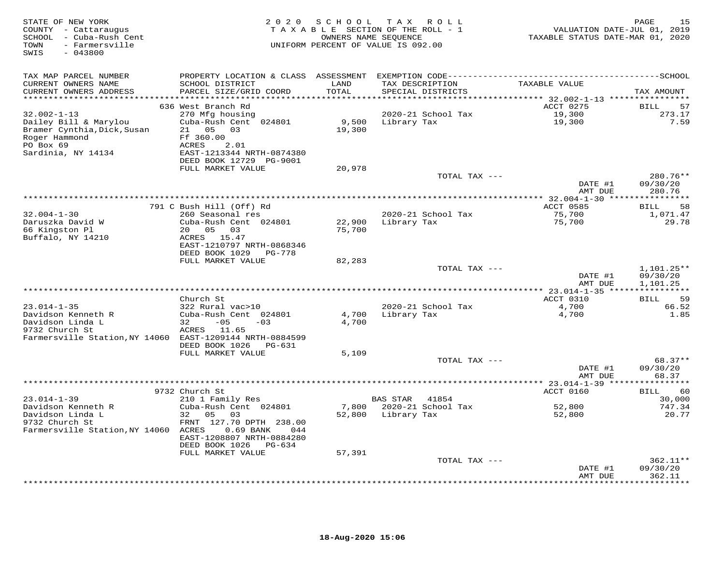| STATE OF NEW YORK<br>COUNTY - Cattaraugus<br>SCHOOL - Cuba-Rush Cent<br>TOWN<br>- Farmersville<br>SWIS<br>$-043800$ | 2 0 2 0                                   |               | SCHOOL TAX ROLL<br>TAXABLE SECTION OF THE ROLL - 1<br>OWNERS NAME SEQUENCE<br>UNIFORM PERCENT OF VALUE IS 092.00 | VALUATION DATE-JUL 01, 2019<br>TAXABLE STATUS DATE-MAR 01, 2020 | 15<br>PAGE                |
|---------------------------------------------------------------------------------------------------------------------|-------------------------------------------|---------------|------------------------------------------------------------------------------------------------------------------|-----------------------------------------------------------------|---------------------------|
| TAX MAP PARCEL NUMBER                                                                                               |                                           |               |                                                                                                                  |                                                                 |                           |
| CURRENT OWNERS NAME<br>CURRENT OWNERS ADDRESS                                                                       | SCHOOL DISTRICT<br>PARCEL SIZE/GRID COORD | LAND<br>TOTAL | TAX DESCRIPTION<br>SPECIAL DISTRICTS                                                                             | TAXABLE VALUE                                                   | TAX AMOUNT                |
|                                                                                                                     |                                           |               |                                                                                                                  |                                                                 |                           |
| $32.002 - 1 - 13$                                                                                                   | 636 West Branch Rd<br>270 Mfg housing     |               | 2020-21 School Tax                                                                                               | ACCT 0275<br>19,300                                             | 57<br>BILL<br>273.17      |
| Dailey Bill & Marylou                                                                                               | Cuba-Rush Cent 024801                     |               | 9,500 Library Tax                                                                                                | 19,300                                                          | 7.59                      |
| Bramer Cynthia, Dick, Susan                                                                                         | 21  05  03                                | 19,300        |                                                                                                                  |                                                                 |                           |
| Roger Hammond                                                                                                       | Ff 360.00                                 |               |                                                                                                                  |                                                                 |                           |
| PO Box 69                                                                                                           | 2.01<br>ACRES                             |               |                                                                                                                  |                                                                 |                           |
| Sardinia, NY 14134                                                                                                  | EAST-1213344 NRTH-0874380                 |               |                                                                                                                  |                                                                 |                           |
|                                                                                                                     | DEED BOOK 12729 PG-9001                   |               |                                                                                                                  |                                                                 |                           |
|                                                                                                                     | FULL MARKET VALUE                         | 20,978        | TOTAL TAX ---                                                                                                    |                                                                 | $280.76**$                |
|                                                                                                                     |                                           |               |                                                                                                                  | DATE #1                                                         | 09/30/20                  |
|                                                                                                                     |                                           |               |                                                                                                                  | AMT DUE                                                         | 280.76                    |
|                                                                                                                     |                                           |               |                                                                                                                  | ***************** 32.004-1-30 *****************                 |                           |
|                                                                                                                     | 791 C Bush Hill (Off) Rd                  |               |                                                                                                                  | <b>ACCT 0585</b>                                                | 58<br>BILL                |
| $32.004 - 1 - 30$                                                                                                   | 260 Seasonal res                          |               | 2020-21 School Tax                                                                                               | 75,700                                                          | 1,071.47                  |
| Daruszka David W                                                                                                    | Cuba-Rush Cent 024801                     | 22,900        | Library Tax                                                                                                      | 75,700                                                          | 29.78                     |
| 66 Kingston Pl<br>Buffalo, NY 14210                                                                                 | 20  05  03<br>ACRES 15.47                 | 75,700        |                                                                                                                  |                                                                 |                           |
|                                                                                                                     | EAST-1210797 NRTH-0868346                 |               |                                                                                                                  |                                                                 |                           |
|                                                                                                                     | DEED BOOK 1029<br>PG-778                  |               |                                                                                                                  |                                                                 |                           |
|                                                                                                                     | FULL MARKET VALUE                         | 82,283        |                                                                                                                  |                                                                 |                           |
|                                                                                                                     |                                           |               | TOTAL TAX ---                                                                                                    |                                                                 | 1,101.25**                |
|                                                                                                                     |                                           |               |                                                                                                                  | DATE #1                                                         | 09/30/20                  |
|                                                                                                                     |                                           |               |                                                                                                                  | AMT DUE                                                         | 1,101.25                  |
|                                                                                                                     | Church St                                 |               |                                                                                                                  | ACCT 0310                                                       | 59<br>BILL                |
| $23.014 - 1 - 35$                                                                                                   | 322 Rural vac>10                          |               | 2020-21 School Tax                                                                                               | 4,700                                                           | 66.52                     |
| Davidson Kenneth R                                                                                                  | Cuba-Rush Cent 024801                     | 4,700         | Library Tax                                                                                                      | 4,700                                                           | 1.85                      |
| Davidson Linda L                                                                                                    | $32 - 05$<br>$-03$                        | 4,700         |                                                                                                                  |                                                                 |                           |
| 9732 Church St                                                                                                      | ACRES 11.65                               |               |                                                                                                                  |                                                                 |                           |
| Farmersville Station, NY 14060 EAST-1209144 NRTH-0884599                                                            |                                           |               |                                                                                                                  |                                                                 |                           |
|                                                                                                                     | DEED BOOK 1026 PG-631                     |               |                                                                                                                  |                                                                 |                           |
|                                                                                                                     | FULL MARKET VALUE                         | 5,109         | TOTAL TAX ---                                                                                                    |                                                                 | 68.37**                   |
|                                                                                                                     |                                           |               |                                                                                                                  | DATE #1                                                         | 09/30/20                  |
|                                                                                                                     |                                           |               |                                                                                                                  | AMT DUE                                                         | 68.37                     |
|                                                                                                                     |                                           |               |                                                                                                                  | *********** 23.014-1-39 ****                                    | * * * * * * * * *         |
|                                                                                                                     | 9732 Church St                            |               |                                                                                                                  | ACCT 0160                                                       | 60<br>BILL                |
| $23.014 - 1 - 39$                                                                                                   | 210 1 Family Res                          |               | BAS STAR<br>41854                                                                                                |                                                                 | 30,000                    |
| Davidson Kenneth R                                                                                                  | Cuba-Rush Cent 024801                     |               | 7,800 2020-21 School Tax                                                                                         | 52,800                                                          | 747.34                    |
| Davidson Linda L<br>9732 Church St                                                                                  | 32 05<br>03<br>FRNT 127.70 DPTH 238.00    |               | 52,800 Library Tax                                                                                               | 52,800                                                          | 20.77                     |
| Farmersville Station, NY 14060 ACRES                                                                                | 0.69 BANK<br>044                          |               |                                                                                                                  |                                                                 |                           |
|                                                                                                                     | EAST-1208807 NRTH-0884280                 |               |                                                                                                                  |                                                                 |                           |
|                                                                                                                     | DEED BOOK 1026<br>PG-634                  |               |                                                                                                                  |                                                                 |                           |
|                                                                                                                     | FULL MARKET VALUE                         | 57,391        |                                                                                                                  |                                                                 |                           |
|                                                                                                                     |                                           |               | TOTAL TAX ---                                                                                                    |                                                                 | $362.11**$                |
|                                                                                                                     |                                           |               |                                                                                                                  | DATE #1                                                         | 09/30/20                  |
|                                                                                                                     |                                           |               |                                                                                                                  | AMT DUE                                                         | 362.11<br><b>++++++++</b> |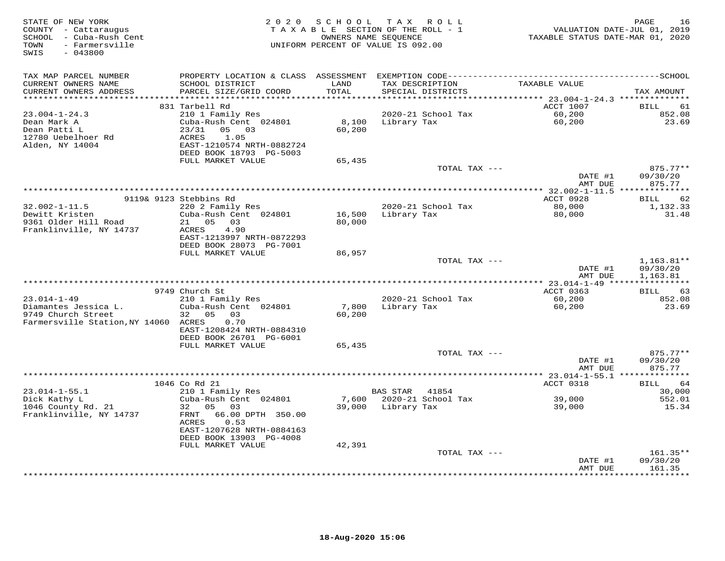| STATE OF NEW YORK<br>COUNTY - Cattaraugus<br>SCHOOL - Cuba-Rush Cent<br>- Farmersville<br>TOWN<br>SWIS<br>$-043800$ |                                                                                                                                                                             | 2020 SCHOOL               | TAX ROLL<br>TAXABLE SECTION OF THE ROLL - 1<br>OWNERS NAME SEQUENCE<br>UNIFORM PERCENT OF VALUE IS 092.00 | VALUATION DATE-JUL 01, 2019<br>TAXABLE STATUS DATE-MAR 01, 2020 | PAGE<br>16                           |
|---------------------------------------------------------------------------------------------------------------------|-----------------------------------------------------------------------------------------------------------------------------------------------------------------------------|---------------------------|-----------------------------------------------------------------------------------------------------------|-----------------------------------------------------------------|--------------------------------------|
| TAX MAP PARCEL NUMBER<br>CURRENT OWNERS NAME<br>CURRENT OWNERS ADDRESS                                              | SCHOOL DISTRICT<br>PARCEL SIZE/GRID COORD                                                                                                                                   | LAND<br>TOTAL             | TAX DESCRIPTION<br>SPECIAL DISTRICTS                                                                      | TAXABLE VALUE                                                   | TAX AMOUNT                           |
|                                                                                                                     |                                                                                                                                                                             | * * * * * * * * * *       |                                                                                                           | *********** 23.004-1-24.3 ***************                       |                                      |
| $23.004 - 1 - 24.3$<br>Dean Mark A<br>Dean Patti L<br>12780 Uebelhoer Rd<br>Alden, NY 14004                         | 831 Tarbell Rd<br>210 1 Family Res<br>Cuba-Rush Cent 024801<br>23/31<br>05 03<br>ACRES<br>1.05<br>EAST-1210574 NRTH-0882724<br>DEED BOOK 18793 PG-5003<br>FULL MARKET VALUE | 8,100<br>60,200<br>65,435 | 2020-21 School Tax<br>Library Tax                                                                         | ACCT 1007<br>60,200<br>60,200                                   | <b>BILL</b><br>61<br>852.08<br>23.69 |
|                                                                                                                     |                                                                                                                                                                             |                           | TOTAL TAX ---                                                                                             |                                                                 | $875.77**$                           |
|                                                                                                                     |                                                                                                                                                                             |                           |                                                                                                           | DATE #1                                                         | 09/30/20                             |
|                                                                                                                     |                                                                                                                                                                             |                           |                                                                                                           | AMT DUE<br>**** 32.002-1-11.5 ***************                   | 875.77                               |
|                                                                                                                     | 9119& 9123 Stebbins Rd                                                                                                                                                      |                           |                                                                                                           | ACCT 0928                                                       | 62<br><b>BILL</b>                    |
| $32.002 - 1 - 11.5$<br>Dewitt Kristen<br>9361 Older Hill Road                                                       | 220 2 Family Res<br>Cuba-Rush Cent 024801<br>21  05  03                                                                                                                     | 16,500                    | 2020-21 School Tax<br>Library Tax                                                                         | 80,000<br>80,000                                                | 1,132.33<br>31.48                    |
| Franklinville, NY 14737                                                                                             | 4.90<br>ACRES<br>EAST-1213997 NRTH-0872293<br>DEED BOOK 28073 PG-7001<br>FULL MARKET VALUE                                                                                  | 80,000<br>86,957          |                                                                                                           |                                                                 |                                      |
|                                                                                                                     |                                                                                                                                                                             |                           | TOTAL TAX $---$                                                                                           |                                                                 | $1,163.81**$                         |
|                                                                                                                     |                                                                                                                                                                             |                           |                                                                                                           | DATE #1<br>AMT DUE                                              | 09/30/20<br>1,163.81                 |
|                                                                                                                     |                                                                                                                                                                             |                           |                                                                                                           |                                                                 |                                      |
| $23.014 - 1 - 49$                                                                                                   | 9749 Church St<br>210 1 Family Res                                                                                                                                          |                           | 2020-21 School Tax                                                                                        | ACCT 0363<br>60,200                                             | 63<br>BILL<br>852.08                 |
| Diamantes Jessica L.<br>9749 Church Street<br>Farmersville Station, NY 14060 ACRES                                  | Cuba-Rush Cent 024801<br>32<br>05<br>03<br>0.70<br>EAST-1208424 NRTH-0884310                                                                                                | 7,800<br>60,200           | Library Tax                                                                                               | 60,200                                                          | 23.69                                |
|                                                                                                                     | DEED BOOK 26701 PG-6001                                                                                                                                                     |                           |                                                                                                           |                                                                 |                                      |
|                                                                                                                     | FULL MARKET VALUE                                                                                                                                                           | 65,435                    | TOTAL TAX ---                                                                                             | DATE #1                                                         | 875.77**<br>09/30/20                 |
|                                                                                                                     |                                                                                                                                                                             |                           |                                                                                                           | AMT DUE                                                         | 875.77                               |
|                                                                                                                     |                                                                                                                                                                             |                           |                                                                                                           | ******* 23.014-1-55.1 **************                            |                                      |
| $23.014 - 1 - 55.1$                                                                                                 | 1046 Co Rd 21<br>210 1 Family Res                                                                                                                                           |                           | <b>BAS STAR</b><br>41854                                                                                  | ACCT 0318                                                       | BILL<br>64<br>30,000                 |
| Dick Kathy L                                                                                                        | Cuba-Rush Cent 024801                                                                                                                                                       | 7,600                     | 2020-21 School Tax                                                                                        | 39,000                                                          | 552.01                               |
| 1046 County Rd. 21<br>Franklinville, NY 14737                                                                       | 32<br>05 03<br>66.00 DPTH 350.00<br>FRNT<br>ACRES<br>0.53                                                                                                                   |                           | 39,000 Library Tax                                                                                        | 39,000                                                          | 15.34                                |
|                                                                                                                     | EAST-1207628 NRTH-0884163<br>DEED BOOK 13903 PG-4008                                                                                                                        |                           |                                                                                                           |                                                                 |                                      |
|                                                                                                                     | FULL MARKET VALUE                                                                                                                                                           | 42,391                    |                                                                                                           |                                                                 |                                      |
|                                                                                                                     |                                                                                                                                                                             |                           | TOTAL TAX ---                                                                                             | DATE #1                                                         | 161.35**<br>09/30/20                 |
|                                                                                                                     |                                                                                                                                                                             |                           |                                                                                                           | AMT DUE                                                         | 161.35<br>********                   |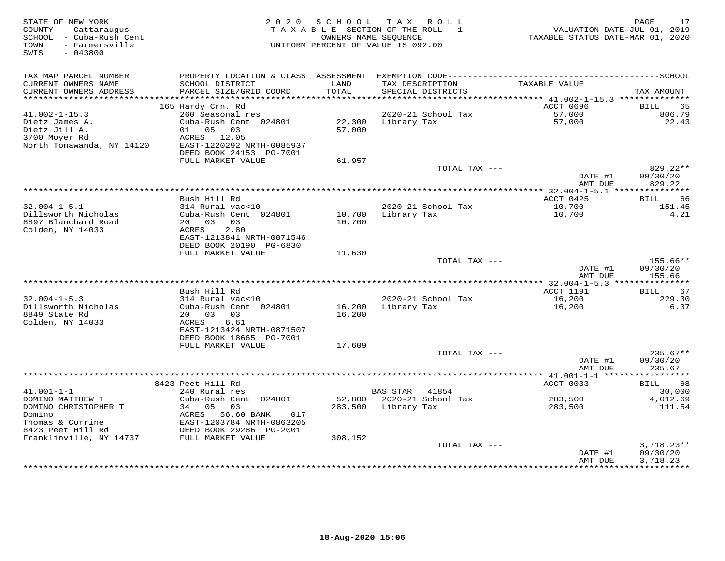| STATE OF NEW YORK<br>COUNTY - Cattaraugus<br>SCHOOL - Cuba-Rush Cent<br>TOWN<br>- Farmersville<br>SWIS<br>$-043800$ |                                                      | 2020 SCHOOL   | TAX ROLL<br>TAXABLE SECTION OF THE ROLL - 1<br>OWNERS NAME SEOUENCE<br>UNIFORM PERCENT OF VALUE IS 092.00 | VALUATION DATE-JUL 01, 2019<br>TAXABLE STATUS DATE-MAR 01, 2020 | PAGE<br>17            |
|---------------------------------------------------------------------------------------------------------------------|------------------------------------------------------|---------------|-----------------------------------------------------------------------------------------------------------|-----------------------------------------------------------------|-----------------------|
| TAX MAP PARCEL NUMBER                                                                                               |                                                      |               |                                                                                                           |                                                                 |                       |
| CURRENT OWNERS NAME<br>CURRENT OWNERS ADDRESS                                                                       | SCHOOL DISTRICT<br>PARCEL SIZE/GRID COORD            | LAND<br>TOTAL | TAX DESCRIPTION<br>SPECIAL DISTRICTS                                                                      | TAXABLE VALUE                                                   | TAX AMOUNT            |
| ***********************                                                                                             | 165 Hardy Crn. Rd                                    |               |                                                                                                           | ACCT 0696                                                       | BILL<br>65            |
| $41.002 - 1 - 15.3$                                                                                                 | 260 Seasonal res                                     |               | 2020-21 School Tax                                                                                        | 57,000                                                          | 806.79                |
| Dietz James A.                                                                                                      | Cuba-Rush Cent 024801                                | 22,300        | Library Tax                                                                                               | 57,000                                                          | 22.43                 |
| Dietz Jill A.                                                                                                       | 01 05 03                                             | 57,000        |                                                                                                           |                                                                 |                       |
| 3700 Moyer Rd                                                                                                       | ACRES 12.05                                          |               |                                                                                                           |                                                                 |                       |
| North Tonawanda, NY 14120                                                                                           | EAST-1220292 NRTH-0085937                            |               |                                                                                                           |                                                                 |                       |
|                                                                                                                     | DEED BOOK 24153 PG-7001                              |               |                                                                                                           |                                                                 |                       |
|                                                                                                                     | FULL MARKET VALUE                                    | 61,957        |                                                                                                           |                                                                 |                       |
|                                                                                                                     |                                                      |               | TOTAL TAX ---                                                                                             |                                                                 | $829.22**$            |
|                                                                                                                     |                                                      |               |                                                                                                           | DATE #1<br>AMT DUE                                              | 09/30/20<br>829.22    |
|                                                                                                                     |                                                      |               |                                                                                                           |                                                                 |                       |
|                                                                                                                     | Bush Hill Rd                                         |               |                                                                                                           | ACCT 0425                                                       | BILL 66               |
| $32.004 - 1 - 5.1$                                                                                                  | 314 Rural vac<10                                     |               | 2020-21 School Tax                                                                                        | 10,700                                                          | 151.45                |
| Dillsworth Nicholas                                                                                                 | Cuba-Rush Cent 024801                                | 10,700        | Library Tax                                                                                               | 10,700                                                          | 4.21                  |
| 8897 Blanchard Road                                                                                                 | 20  03  03                                           | 10,700        |                                                                                                           |                                                                 |                       |
| Colden, NY 14033                                                                                                    | 2.80<br>ACRES                                        |               |                                                                                                           |                                                                 |                       |
|                                                                                                                     | EAST-1213841 NRTH-0871546<br>DEED BOOK 20190 PG-6830 |               |                                                                                                           |                                                                 |                       |
|                                                                                                                     | FULL MARKET VALUE                                    | 11,630        |                                                                                                           |                                                                 |                       |
|                                                                                                                     |                                                      |               | TOTAL TAX ---                                                                                             |                                                                 | 155.66**              |
|                                                                                                                     |                                                      |               |                                                                                                           | DATE #1                                                         | 09/30/20              |
|                                                                                                                     |                                                      |               |                                                                                                           | AMT DUE                                                         | 155.66                |
|                                                                                                                     |                                                      |               |                                                                                                           |                                                                 |                       |
|                                                                                                                     | Bush Hill Rd                                         |               |                                                                                                           | ACCT 1191                                                       | 67<br>BILL            |
| $32.004 - 1 - 5.3$                                                                                                  | 314 Rural vac<10                                     |               | 2020-21 School Tax                                                                                        | 16,200                                                          | 229.30                |
| Dillsworth Nicholas                                                                                                 | Cuba-Rush Cent 024801                                | 16,200        | Library Tax                                                                                               | 16,200                                                          | 6.37                  |
| 8849 State Rd<br>Colden, NY 14033                                                                                   | 20 03 03<br>6.61<br>ACRES                            | 16,200        |                                                                                                           |                                                                 |                       |
|                                                                                                                     | EAST-1213424 NRTH-0871507                            |               |                                                                                                           |                                                                 |                       |
|                                                                                                                     | DEED BOOK 18665 PG-7001                              |               |                                                                                                           |                                                                 |                       |
|                                                                                                                     | FULL MARKET VALUE                                    | 17,609        |                                                                                                           |                                                                 |                       |
|                                                                                                                     |                                                      |               | TOTAL TAX ---                                                                                             |                                                                 | $235.67**$            |
|                                                                                                                     |                                                      |               |                                                                                                           | DATE #1                                                         | 09/30/20              |
|                                                                                                                     |                                                      |               |                                                                                                           | AMT DUE                                                         | 235.67                |
|                                                                                                                     |                                                      |               |                                                                                                           | ********** 41.001-1-1 *****                                     | * * * * * * * * * * * |
| $41.001 - 1 - 1$                                                                                                    | 8423 Peet Hill Rd                                    |               |                                                                                                           | ACCT 0033                                                       | BILL<br>68            |
| DOMINO MATTHEW T                                                                                                    | 240 Rural res<br>Cuba-Rush Cent 024801               |               | BAS STAR 41854<br>52,800 2020-21 School Tax                                                               | 283,500                                                         | 30,000<br>4,012.69    |
| DOMINO CHRISTOPHER T                                                                                                | 05<br>03<br>34                                       | 283,500       | Library Tax                                                                                               | 283,500                                                         | 111.54                |
| Domino                                                                                                              | ACRES<br>56.60 BANK<br>017                           |               |                                                                                                           |                                                                 |                       |
| Thomas & Corrine                                                                                                    | EAST-1203784 NRTH-0863205                            |               |                                                                                                           |                                                                 |                       |
| 8423 Peet Hill Rd                                                                                                   | DEED BOOK 29286 PG-2001                              |               |                                                                                                           |                                                                 |                       |
| Franklinville, NY 14737                                                                                             | FULL MARKET VALUE                                    | 308,152       |                                                                                                           |                                                                 |                       |
|                                                                                                                     |                                                      |               | TOTAL TAX ---                                                                                             |                                                                 | $3,718.23**$          |
|                                                                                                                     |                                                      |               |                                                                                                           | DATE #1                                                         | 09/30/20              |
|                                                                                                                     |                                                      |               |                                                                                                           | AMT DUE                                                         | 3,718.23              |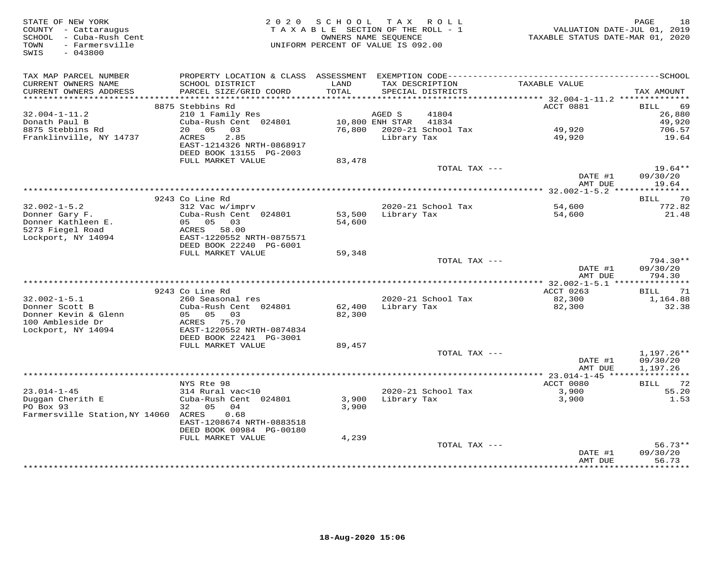| STATE OF NEW YORK<br>COUNTY - Cattaraugus<br>SCHOOL - Cuba-Rush Cent<br>- Farmersville<br>TOWN<br>SWIS<br>$-043800$ | 2 0 2 0                                                                   | SCHOOL<br>TAXABLE SECTION OF THE ROLL - 1<br>UNIFORM PERCENT OF VALUE IS 092.00 | OWNERS NAME SEQUENCE | TAX ROLL                             | VALUATION DATE-JUL 01, 2019<br>TAXABLE STATUS DATE-MAR 01, 2020 | 18<br>PAGE              |
|---------------------------------------------------------------------------------------------------------------------|---------------------------------------------------------------------------|---------------------------------------------------------------------------------|----------------------|--------------------------------------|-----------------------------------------------------------------|-------------------------|
| TAX MAP PARCEL NUMBER                                                                                               |                                                                           |                                                                                 |                      |                                      |                                                                 |                         |
| CURRENT OWNERS NAME<br>CURRENT OWNERS ADDRESS<br>**********************                                             | SCHOOL DISTRICT<br>PARCEL SIZE/GRID COORD<br>**************************** | LAND<br>TOTAL                                                                   |                      | TAX DESCRIPTION<br>SPECIAL DISTRICTS | TAXABLE VALUE                                                   | TAX AMOUNT              |
|                                                                                                                     | 8875 Stebbins Rd                                                          |                                                                                 |                      |                                      | ACCT 0881                                                       | BILL<br>69              |
| $32.004 - 1 - 11.2$                                                                                                 | 210 1 Family Res                                                          |                                                                                 | AGED S               | 41804                                |                                                                 | 26,880                  |
| Donath Paul B                                                                                                       | Cuba-Rush Cent 024801                                                     |                                                                                 | 10,800 ENH STAR      | 41834                                |                                                                 | 49,920                  |
| 8875 Stebbins Rd                                                                                                    | 05<br>03<br>20                                                            | 76,800                                                                          |                      | 2020-21 School Tax                   | 49,920                                                          | 706.57                  |
| Franklinville, NY 14737                                                                                             | ACRES<br>2.85<br>EAST-1214326 NRTH-0868917<br>DEED BOOK 13155 PG-2003     |                                                                                 | Library Tax          |                                      | 49,920                                                          | 19.64                   |
|                                                                                                                     | FULL MARKET VALUE                                                         | 83,478                                                                          |                      |                                      |                                                                 |                         |
|                                                                                                                     |                                                                           |                                                                                 |                      | TOTAL TAX ---                        | DATE #1                                                         | $19.64**$<br>09/30/20   |
|                                                                                                                     | **********************                                                    | ***********************************                                             |                      |                                      | AMT DUE                                                         | 19.64<br>**********     |
|                                                                                                                     | 9243 Co Line Rd                                                           |                                                                                 |                      |                                      | ********* 32.002-1-5.2 ***                                      | 70<br>BILL              |
| $32.002 - 1 - 5.2$                                                                                                  | 312 Vac w/imprv                                                           |                                                                                 |                      | 2020-21 School Tax                   | 54,600                                                          | 772.82                  |
| Donner Gary F.                                                                                                      | Cuba-Rush Cent 024801                                                     | 53,500                                                                          | Library Tax          |                                      | 54,600                                                          | 21.48                   |
| Donner Kathleen E.                                                                                                  | 05 05<br>03                                                               | 54,600                                                                          |                      |                                      |                                                                 |                         |
| 5273 Fiegel Road<br>Lockport, NY 14094                                                                              | ACRES 58.00<br>EAST-1220552 NRTH-0875571                                  |                                                                                 |                      |                                      |                                                                 |                         |
|                                                                                                                     | DEED BOOK 22240 PG-6001                                                   |                                                                                 |                      |                                      |                                                                 |                         |
|                                                                                                                     | FULL MARKET VALUE                                                         | 59,348                                                                          |                      | TOTAL TAX ---                        |                                                                 | $794.30**$              |
|                                                                                                                     |                                                                           |                                                                                 |                      |                                      | DATE #1<br>AMT DUE                                              | 09/30/20<br>794.30      |
|                                                                                                                     |                                                                           |                                                                                 |                      |                                      |                                                                 |                         |
|                                                                                                                     | 9243 Co Line Rd                                                           |                                                                                 |                      |                                      | ACCT 0263                                                       | BILL<br>71              |
| $32.002 - 1 - 5.1$                                                                                                  | 260 Seasonal res                                                          |                                                                                 |                      | 2020-21 School Tax                   | 82,300                                                          | 1,164.88                |
| Donner Scott B<br>Donner Kevin & Glenn                                                                              | Cuba-Rush Cent 024801<br>05<br>03                                         | 62,400                                                                          | Library Tax          |                                      | 82,300                                                          | 32.38                   |
| 100 Ambleside Dr                                                                                                    | 05<br>ACRES 75.70<br>EAST-1220552 NRTH-0874834                            | 82,300                                                                          |                      |                                      |                                                                 |                         |
| Lockport, NY 14094                                                                                                  | DEED BOOK 22421 PG-3001                                                   |                                                                                 |                      |                                      |                                                                 |                         |
|                                                                                                                     | FULL MARKET VALUE                                                         | 89,457                                                                          |                      |                                      |                                                                 |                         |
|                                                                                                                     |                                                                           |                                                                                 |                      | TOTAL TAX ---                        |                                                                 | $1,197.26**$            |
|                                                                                                                     |                                                                           |                                                                                 |                      |                                      | DATE #1                                                         | 09/30/20                |
|                                                                                                                     |                                                                           |                                                                                 |                      |                                      | AMT DUE<br>************ 23.014-1-45 *****                       | 1,197.26<br>*********** |
|                                                                                                                     | NYS Rte 98                                                                |                                                                                 |                      |                                      | ACCT 0080                                                       | BILL<br>72              |
| $23.014 - 1 - 45$                                                                                                   | 314 Rural vac<10                                                          |                                                                                 |                      | 2020-21 School Tax                   | 3,900                                                           | 55.20                   |
| Duggan Cherith E                                                                                                    | Cuba-Rush Cent 024801                                                     | 3,900                                                                           | Library Tax          |                                      | 3,900                                                           | 1.53                    |
| PO Box 93                                                                                                           | 32<br>05<br>04                                                            | 3,900                                                                           |                      |                                      |                                                                 |                         |
| Farmersville Station, NY 14060                                                                                      | ACRES<br>0.68<br>EAST-1208674 NRTH-0883518                                |                                                                                 |                      |                                      |                                                                 |                         |
|                                                                                                                     | DEED BOOK 00984 PG-00180                                                  |                                                                                 |                      |                                      |                                                                 |                         |
|                                                                                                                     | FULL MARKET VALUE                                                         | 4,239                                                                           |                      | TOTAL TAX ---                        |                                                                 | $56.73**$               |
|                                                                                                                     |                                                                           |                                                                                 |                      |                                      | DATE #1                                                         | 09/30/20                |
|                                                                                                                     |                                                                           |                                                                                 |                      |                                      | AMT DUE                                                         | 56.73<br>*******        |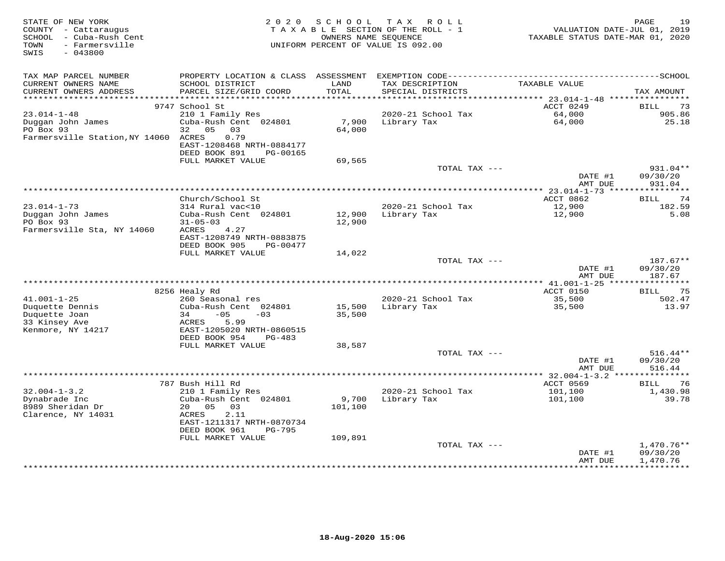| STATE OF NEW YORK<br>COUNTY - Cattaraugus<br>SCHOOL - Cuba-Rush Cent<br>- Farmersville<br>TOWN<br>SWIS<br>$-043800$ | 2 0 2 0                                                                                      | S C H O O L<br>OWNERS NAME SEQUENCE | TAX ROLL<br>TAXABLE SECTION OF THE ROLL - 1<br>UNIFORM PERCENT OF VALUE IS 092.00 | VALUATION DATE-JUL 01, 2019<br>TAXABLE STATUS DATE-MAR 01, 2020 | 19<br>PAGE           |
|---------------------------------------------------------------------------------------------------------------------|----------------------------------------------------------------------------------------------|-------------------------------------|-----------------------------------------------------------------------------------|-----------------------------------------------------------------|----------------------|
| TAX MAP PARCEL NUMBER                                                                                               | PROPERTY LOCATION & CLASS ASSESSMENT EXEMPTION CODE-----------------------------------SCHOOL |                                     |                                                                                   |                                                                 |                      |
| CURRENT OWNERS NAME<br>CURRENT OWNERS ADDRESS<br>***********************                                            | SCHOOL DISTRICT<br>PARCEL SIZE/GRID COORD                                                    | LAND<br>TOTAL                       | TAX DESCRIPTION<br>SPECIAL DISTRICTS                                              | TAXABLE VALUE                                                   | TAX AMOUNT           |
|                                                                                                                     | 9747 School St                                                                               |                                     |                                                                                   | ACCT 0249                                                       | <b>BILL</b><br>73    |
| $23.014 - 1 - 48$                                                                                                   | 210 1 Family Res                                                                             |                                     | 2020-21 School Tax                                                                | 64,000                                                          | 905.86               |
| Duggan John James                                                                                                   | Cuba-Rush Cent 024801                                                                        | 7,900                               | Library Tax                                                                       | 64,000                                                          | 25.18                |
| PO Box 93                                                                                                           | 32<br>05<br>03                                                                               | 64,000                              |                                                                                   |                                                                 |                      |
| Farmersville Station, NY 14060                                                                                      | 0.79<br>ACRES                                                                                |                                     |                                                                                   |                                                                 |                      |
|                                                                                                                     | EAST-1208468 NRTH-0884177                                                                    |                                     |                                                                                   |                                                                 |                      |
|                                                                                                                     | DEED BOOK 891<br>PG-00165                                                                    |                                     |                                                                                   |                                                                 |                      |
|                                                                                                                     | FULL MARKET VALUE                                                                            | 69,565                              |                                                                                   |                                                                 |                      |
|                                                                                                                     |                                                                                              |                                     | TOTAL TAX ---                                                                     | DATE #1                                                         | 931.04**<br>09/30/20 |
|                                                                                                                     |                                                                                              |                                     |                                                                                   | AMT DUE                                                         | 931.04               |
|                                                                                                                     |                                                                                              |                                     |                                                                                   |                                                                 |                      |
|                                                                                                                     | Church/School St                                                                             |                                     |                                                                                   | ACCT 0862                                                       | 74<br>BILL           |
| $23.014 - 1 - 73$                                                                                                   | 314 Rural vac<10                                                                             |                                     | 2020-21 School Tax                                                                | 12,900                                                          | 182.59               |
| Duggan John James                                                                                                   | Cuba-Rush Cent 024801                                                                        | 12,900                              | Library Tax                                                                       | 12,900                                                          | 5.08                 |
| PO Box 93                                                                                                           | $31 - 05 - 03$                                                                               | 12,900                              |                                                                                   |                                                                 |                      |
| Farmersville Sta, NY 14060                                                                                          | ACRES<br>4.27                                                                                |                                     |                                                                                   |                                                                 |                      |
|                                                                                                                     | EAST-1208749 NRTH-0883875<br>DEED BOOK 905<br>PG-00477                                       |                                     |                                                                                   |                                                                 |                      |
|                                                                                                                     | FULL MARKET VALUE                                                                            | 14,022                              |                                                                                   |                                                                 |                      |
|                                                                                                                     |                                                                                              |                                     | TOTAL TAX ---                                                                     |                                                                 | $187.67**$           |
|                                                                                                                     |                                                                                              |                                     |                                                                                   | DATE #1                                                         | 09/30/20             |
|                                                                                                                     |                                                                                              |                                     |                                                                                   | AMT DUE                                                         | 187.67               |
|                                                                                                                     |                                                                                              |                                     |                                                                                   | ***** 41.001-1-25 *****************                             |                      |
|                                                                                                                     | 8256 Healy Rd                                                                                |                                     |                                                                                   | ACCT 0150                                                       | 75<br><b>BILL</b>    |
| $41.001 - 1 - 25$<br>Duquette Dennis                                                                                | 260 Seasonal res<br>Cuba-Rush Cent 024801                                                    | 15,500                              | 2020-21 School Tax<br>Library Tax                                                 | 35,500<br>35,500                                                | 502.47<br>13.97      |
| Duquette Joan                                                                                                       | 34<br>$-05$<br>$-03$                                                                         | 35,500                              |                                                                                   |                                                                 |                      |
| 33 Kinsey Ave                                                                                                       | 5.99<br>ACRES                                                                                |                                     |                                                                                   |                                                                 |                      |
| Kenmore, NY 14217                                                                                                   | EAST-1205020 NRTH-0860515                                                                    |                                     |                                                                                   |                                                                 |                      |
|                                                                                                                     | DEED BOOK 954<br>$PG-483$                                                                    |                                     |                                                                                   |                                                                 |                      |
|                                                                                                                     | FULL MARKET VALUE                                                                            | 38,587                              |                                                                                   |                                                                 |                      |
|                                                                                                                     |                                                                                              |                                     | TOTAL TAX ---                                                                     |                                                                 | $516.44**$           |
|                                                                                                                     |                                                                                              |                                     |                                                                                   | DATE #1<br>AMT DUE                                              | 09/30/20<br>516.44   |
|                                                                                                                     |                                                                                              |                                     |                                                                                   | ******* 32.004-1-3.2 ***                                        |                      |
|                                                                                                                     | 787 Bush Hill Rd                                                                             |                                     |                                                                                   | ACCT 0569                                                       | 76<br>BILL           |
| $32.004 - 1 - 3.2$                                                                                                  | 210 1 Family Res                                                                             |                                     | 2020-21 School Tax                                                                | 101,100                                                         | 1,430.98             |
| Dynabrade Inc                                                                                                       | Cuba-Rush Cent 024801                                                                        | 9,700                               | Library Tax                                                                       | 101,100                                                         | 39.78                |
| 8989 Sheridan Dr                                                                                                    | 20  05  03                                                                                   | 101,100                             |                                                                                   |                                                                 |                      |
| Clarence, NY 14031                                                                                                  | ACRES<br>2.11                                                                                |                                     |                                                                                   |                                                                 |                      |
|                                                                                                                     | EAST-1211317 NRTH-0870734                                                                    |                                     |                                                                                   |                                                                 |                      |
|                                                                                                                     | DEED BOOK 961<br>PG-795<br>FULL MARKET VALUE                                                 | 109,891                             |                                                                                   |                                                                 |                      |
|                                                                                                                     |                                                                                              |                                     | TOTAL TAX ---                                                                     |                                                                 | $1,470.76**$         |
|                                                                                                                     |                                                                                              |                                     |                                                                                   | DATE #1                                                         | 09/30/20             |
|                                                                                                                     |                                                                                              |                                     |                                                                                   | AMT DUE                                                         | 1,470.76             |
|                                                                                                                     |                                                                                              |                                     |                                                                                   |                                                                 |                      |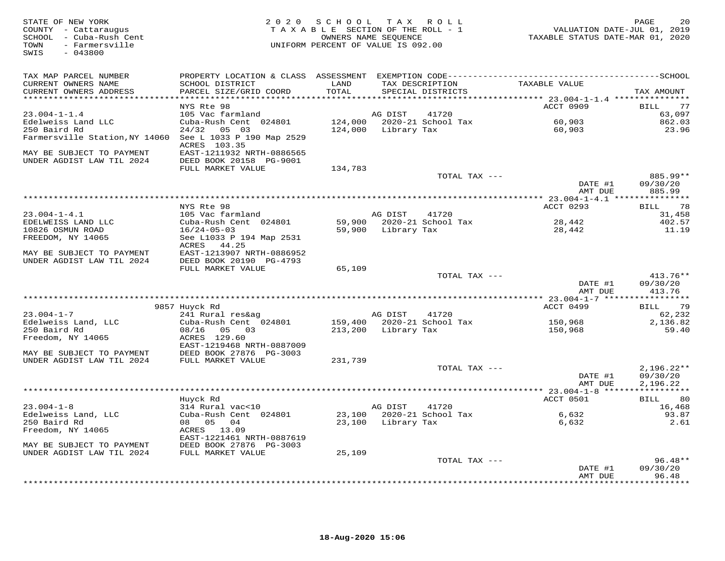| STATE OF NEW YORK<br>COUNTY - Cattaraugus<br>SCHOOL - Cuba-Rush Cent<br>TOWN<br>- Farmersville<br>SWIS<br>$-043800$ |                                                      | 2020 SCHOOL TAX ROLL<br>TAXABLE SECTION OF THE ROLL - 1<br>UNIFORM PERCENT OF VALUE IS 092.00 | OWNERS NAME SEQUENCE | $\frac{1}{2}$                              | 20 12<br>VALUATION DATE-JUL 01, 2019<br>TAXABLE STATUS DATE-MAR 01, 2020 | PAGE<br>20               |
|---------------------------------------------------------------------------------------------------------------------|------------------------------------------------------|-----------------------------------------------------------------------------------------------|----------------------|--------------------------------------------|--------------------------------------------------------------------------|--------------------------|
| TAX MAP PARCEL NUMBER                                                                                               |                                                      |                                                                                               |                      |                                            |                                                                          |                          |
| CURRENT OWNERS NAME<br>CURRENT OWNERS ADDRESS                                                                       | SCHOOL DISTRICT<br>PARCEL SIZE/GRID COORD            | LAND<br>TOTAL                                                                                 |                      | TAX DESCRIPTION<br>SPECIAL DISTRICTS       | TAXABLE VALUE                                                            | TAX AMOUNT               |
| ***********************                                                                                             |                                                      |                                                                                               |                      |                                            |                                                                          |                          |
| 23.004-1-1.4                                                                                                        | NYS Rte 98<br>105 Vac farmland                       |                                                                                               | AG DIST              | 41720                                      | ACCT 0909                                                                | BILL 77<br>63,097        |
| Edelweiss Land LLC                                                                                                  | Cuba-Rush Cent 024801                                |                                                                                               |                      | 124,000 2020-21 School Tax                 |                                                                          | 862.03                   |
| 250 Baird Rd                                                                                                        | 24/32 05 03                                          |                                                                                               |                      | 124,000 Library Tax                        | 60,903<br>60,903                                                         | 23.96                    |
| Farmersville Station, NY 14060 See L 1033 P 190 Map 2529                                                            | ACRES 103.35                                         |                                                                                               |                      |                                            |                                                                          |                          |
| MAY BE SUBJECT TO PAYMENT                                                                                           | EAST-1211932 NRTH-0886565                            |                                                                                               |                      |                                            |                                                                          |                          |
| UNDER AGDIST LAW TIL 2024                                                                                           | DEED BOOK 20158 PG-9001<br>FULL MARKET VALUE         | 134,783                                                                                       |                      |                                            |                                                                          |                          |
|                                                                                                                     |                                                      |                                                                                               |                      | TOTAL TAX ---                              |                                                                          | 885.99**                 |
|                                                                                                                     |                                                      |                                                                                               |                      |                                            | DATE #1<br>AMT DUE                                                       | 09/30/20<br>885.99       |
|                                                                                                                     | NYS Rte 98                                           |                                                                                               |                      |                                            | ACCT 0293                                                                | BILL 78                  |
| $23.004 - 1 - 4.1$                                                                                                  | 105 Vac farmland                                     |                                                                                               | AG DIST              | 41720                                      |                                                                          | 31,458                   |
| EDELWEISS LAND LLC                                                                                                  | Cuba-Rush Cent 024801                                |                                                                                               |                      | 59,900 2020-21 School Tax                  | 28,442<br>28,442                                                         | 402.57                   |
| 10826 OSMUN ROAD                                                                                                    | $16/24 - 05 - 03$                                    |                                                                                               |                      | 59,900 Library Tax                         |                                                                          | 11.19                    |
| FREEDOM, NY 14065                                                                                                   | See L1033 P 194 Map 2531<br>ACRES 44.25              |                                                                                               |                      |                                            |                                                                          |                          |
| MAY BE SUBJECT TO PAYMENT<br>UNDER AGDIST LAW TIL 2024                                                              | EAST-1213907 NRTH-0886952<br>DEED BOOK 20190 PG-4793 |                                                                                               |                      |                                            |                                                                          |                          |
|                                                                                                                     | FULL MARKET VALUE                                    | 65,109                                                                                        |                      |                                            |                                                                          |                          |
|                                                                                                                     |                                                      |                                                                                               |                      | TOTAL TAX ---                              | DATE #1                                                                  | $413.76**$<br>09/30/20   |
|                                                                                                                     |                                                      |                                                                                               |                      |                                            | AMT DUE                                                                  | 413.76                   |
|                                                                                                                     | 9857 Huyck Rd                                        |                                                                                               |                      |                                            | ACCT 0499                                                                | BILL 79                  |
| $23.004 - 1 - 7$                                                                                                    | 241 Rural res&ag                                     |                                                                                               | AG DIST              | 41720                                      |                                                                          | 62,232                   |
| Edelweiss Land, LLC                                                                                                 | Cuba-Rush Cent 024801                                |                                                                                               |                      | 159,400 2020-21 School Tax                 | 150,968                                                                  | 2,136.82                 |
| 250 Baird Rd<br>Freedom, NY 14065                                                                                   | 08/16  05  03<br>ACRES 129.60                        |                                                                                               | 213,200 Library Tax  |                                            | 150,968                                                                  | 59.40                    |
|                                                                                                                     | EAST-1219468 NRTH-0887009                            |                                                                                               |                      |                                            |                                                                          |                          |
| MAY BE SUBJECT TO PAYMENT<br>UNDER AGDIST LAW TIL 2024                                                              | DEED BOOK 27876 PG-3003<br>FULL MARKET VALUE         | 231,739                                                                                       |                      |                                            |                                                                          |                          |
|                                                                                                                     |                                                      |                                                                                               |                      | TOTAL TAX ---                              | DATE #1                                                                  | $2,196.22**$<br>09/30/20 |
|                                                                                                                     |                                                      |                                                                                               |                      |                                            | AMT DUE                                                                  | 2,196.22                 |
|                                                                                                                     | Huyck Rd                                             |                                                                                               |                      |                                            | ACCT 0501                                                                | BILL 80                  |
| $23.004 - 1 - 8$                                                                                                    | 314 Rural vac<10                                     |                                                                                               |                      |                                            |                                                                          | 16,468                   |
| Edelweiss Land, LLC                                                                                                 | Cuba-Rush Cent 024801                                |                                                                                               |                      | AG DIST 41720<br>23,100 2020-21 School Tax | 6,632                                                                    | 93.87                    |
| 250 Baird Rd                                                                                                        | 08 05 04                                             |                                                                                               | 23,100 Library Tax   |                                            | 6,632                                                                    | 2.61                     |
| Freedom, NY 14065                                                                                                   | ACRES 13.09<br>EAST-1221461 NRTH-0887619             |                                                                                               |                      |                                            |                                                                          |                          |
| MAY BE SUBJECT TO PAYMENT                                                                                           | DEED BOOK 27876 PG-3003                              |                                                                                               |                      |                                            |                                                                          |                          |
| UNDER AGDIST LAW TIL 2024                                                                                           | FULL MARKET VALUE                                    | 25,109                                                                                        |                      | TOTAL TAX ---                              |                                                                          | $96.48**$                |
|                                                                                                                     |                                                      |                                                                                               |                      |                                            | DATE #1                                                                  | 09/30/20                 |
|                                                                                                                     |                                                      |                                                                                               |                      |                                            | AMT DUE<br>.                                                             | 96.48<br>.               |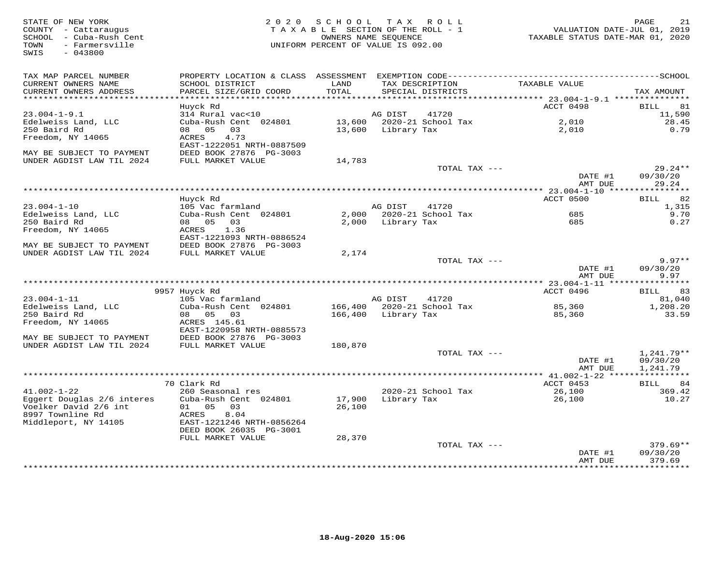STATE OF NEW YORK GREE 21 (2000) SCHOOL TAX ROLL<br>COUNTY - Cattaraugus (2019) TAXABLE SECTION OF THE ROLL - 1 (2019) VALUATION DATE-JUL 01, 2019<br>SCHOOL - Cuba-Rush Cent (2020) TAXABLE SECTION OF THE ROLL - 1 (2020) TAXABLE SWIS - 043800TAX MAP PARCEL NUMBER PROPERTY LOCATION & CLASS ASSESSMENT EXEMPTION CODE------------------------------------------SCHOOL CURRENT OWNERS NAME SCHOOL DISTRICT LAND TAX DESCRIPTION TAXABLE VALUE CURRENT OWNERS ADDRESS PARCEL SIZE/GRID COORD TOTAL SPECIAL DISTRICTS TAX AMOUNT \*\*\*\*\*\*\*\*\*\*\*\*\*\*\*\*\*\*\*\*\*\*\*\*\*\*\*\*\*\*\*\*\*\*\*\*\*\*\*\*\*\*\*\*\*\*\*\*\*\*\*\*\*\*\*\*\*\*\*\*\*\*\*\*\*\*\*\*\*\*\*\*\*\*\*\*\*\*\*\*\*\*\*\*\*\*\*\*\*\*\*\*\*\*\*\*\*\*\*\*\*\*\* 23.004-1-9.1 \*\*\*\*\*\*\*\*\*\*\*\*\*\*\*ACCT 0498 BILL 81 Huyck Rd ACCT 0498 BILL 8111,590 23.004-1-9.1 314 Rural vac<10 AG DIST 41720 11,590 28.45 Edelweiss Land, LLC Cuba-Rush Cent 024801 13,600 2020-21 School Tax 2,010 28.45 $0.79$ 250 Baird Rd 08 05 03 13,600 Library Tax 2,010 0.79Freedom, NY 14065 ACRES 4.73 EAST-1222051 NRTH-0887509 MAY BE SUBJECT TO PAYMENT DEED BOOK 27876 PG-3003 UNDER AGDIST LAW TIL 2024 FULL MARKET VALUE 14,783 TOTAL TAX --- 29.24\*\* DATE #1 09/30/20 $AMT$   $DUE$  29.24 AMT DUE 29.24 \*\*\*\*\*\*\*\*\*\*\*\*\*\*\*\*\*\*\*\*\*\*\*\*\*\*\*\*\*\*\*\*\*\*\*\*\*\*\*\*\*\*\*\*\*\*\*\*\*\*\*\*\*\*\*\*\*\*\*\*\*\*\*\*\*\*\*\*\*\*\*\*\*\*\*\*\*\*\*\*\*\*\*\*\*\*\*\*\*\*\*\*\*\*\*\*\*\*\*\*\*\*\* 23.004-1-10 \*\*\*\*\*\*\*\*\*\*\*\*\*\*\*\*ACCT 0500 BILL 82 Huyck Rd ACCT 0500 BILL 821,315 23.004-1-10 105 Vac farmland AG DIST 41720 1,315 9.70 Edelweiss Land, LLC Cuba-Rush Cent 024801 2,000 2020-21 School Tax 685 9.70 $0.27$ 250 Baird Rd 08 05 03 2,000 Library Tax 685 0.27Freedom, NY 14065 ACRES 1.36 EAST-1221093 NRTH-0886524 MAY BE SUBJECT TO PAYMENT DEED BOOK 27876 PG-3003 UNDER AGDIST LAW TIL 2024 FULL MARKET VALUE 2,174 TOTAL TAX --- 9.97\*\* DATE #1 09/30/20 AMT DUE 9.97 \*\*\*\*\*\*\*\*\*\*\*\*\*\*\*\*\*\*\*\*\*\*\*\*\*\*\*\*\*\*\*\*\*\*\*\*\*\*\*\*\*\*\*\*\*\*\*\*\*\*\*\*\*\*\*\*\*\*\*\*\*\*\*\*\*\*\*\*\*\*\*\*\*\*\*\*\*\*\*\*\*\*\*\*\*\*\*\*\*\*\*\*\*\*\*\*\*\*\*\*\*\*\* 23.004-1-11 \*\*\*\*\*\*\*\*\*\*\*\*\*\*\*\* 9957 Huyck Rd ACCT 0496 BILL 8323.004-1-11 105 Vac farmland AG DIST 41720 81,0401,208.20 Edelweiss Land, LLC Cuba-Rush Cent 024801 166,400 2020-21 School Tax 85,360 1,208.2033.59 250 Baird Rd 08 05 03 166,400 Library Tax 85,360 33.59Freedom, NY 14065 ACRES 145.61 EAST-1220958 NRTH-0885573 MAY BE SUBJECT TO PAYMENT DEED BOOK 27876 PG-3003 UNDER AGDIST LAW TIL 2024 FULL MARKET VALUE 180,870 TOTAL TAX --- 1,241.79\*\* DATE #1 09/30/20 AMT DUE 1,241.79 \*\*\*\*\*\*\*\*\*\*\*\*\*\*\*\*\*\*\*\*\*\*\*\*\*\*\*\*\*\*\*\*\*\*\*\*\*\*\*\*\*\*\*\*\*\*\*\*\*\*\*\*\*\*\*\*\*\*\*\*\*\*\*\*\*\*\*\*\*\*\*\*\*\*\*\*\*\*\*\*\*\*\*\*\*\*\*\*\*\*\*\*\*\*\*\*\*\*\*\*\*\*\* 41.002-1-22 \*\*\*\*\*\*\*\*\*\*\*\*\*\*\*\* 70 Clark Rd ACCT 0453 BILL 84 41.002-1-22 260 Seasonal res 2020-21 School Tax 26,100 369.42 Eggert Douglas 2/6 interes Cuba-Rush Cent 024801 17,900 Library Tax 26,100 10.27 Voelker David 2/6 int 01 05 03 26,100 8997 Townline Rd ACRES 8.04 Middleport, NY 14105 EAST-1221246 NRTH-0856264 DEED BOOK 26035 PG-3001 FULL MARKET VALUE 28,370 TOTAL TAX --- 379.69\*\*DATE #1 09/30/20<br>3 MT PUE 270 60 AMT DUE 379.69\*\*\*\*\*\*\*\*\*\*\*\*\*\*\*\*\*\*\*\*\*\*\*\*\*\*\*\*\*\*\*\*\*\*\*\*\*\*\*\*\*\*\*\*\*\*\*\*\*\*\*\*\*\*\*\*\*\*\*\*\*\*\*\*\*\*\*\*\*\*\*\*\*\*\*\*\*\*\*\*\*\*\*\*\*\*\*\*\*\*\*\*\*\*\*\*\*\*\*\*\*\*\*\*\*\*\*\*\*\*\*\*\*\*\*\*\*\*\*\*\*\*\*\*\*\*\*\*\*\*\*\*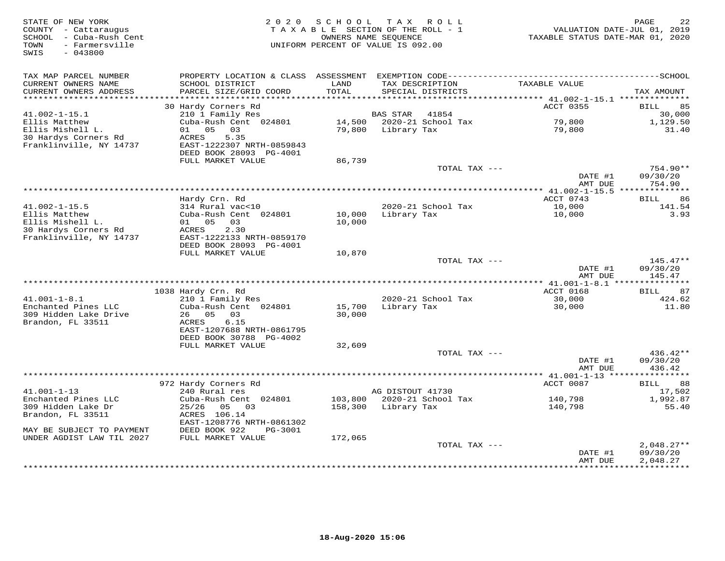| STATE OF NEW YORK<br>COUNTY - Cattaraugus<br>SCHOOL - Cuba-Rush Cent<br>- Farmersville<br>TOWN<br>SWIS<br>$-043800$ | 2 0 2 0                                                                                      | SCHOOL        | TAX ROLL<br>TAXABLE SECTION OF THE ROLL - 1<br>OWNERS NAME SEOUENCE<br>UNIFORM PERCENT OF VALUE IS 092.00 | VALUATION DATE-JUL 01, 2019<br>TAXABLE STATUS DATE-MAR 01, 2020 | PAGE<br>22               |
|---------------------------------------------------------------------------------------------------------------------|----------------------------------------------------------------------------------------------|---------------|-----------------------------------------------------------------------------------------------------------|-----------------------------------------------------------------|--------------------------|
| TAX MAP PARCEL NUMBER                                                                                               | PROPERTY LOCATION & CLASS ASSESSMENT EXEMPTION CODE-----------------------------------SCHOOL |               |                                                                                                           |                                                                 |                          |
| CURRENT OWNERS NAME<br>CURRENT OWNERS ADDRESS<br>***********************                                            | SCHOOL DISTRICT<br>PARCEL SIZE/GRID COORD                                                    | LAND<br>TOTAL | TAX DESCRIPTION<br>SPECIAL DISTRICTS                                                                      | TAXABLE VALUE                                                   | TAX AMOUNT               |
|                                                                                                                     | 30 Hardy Corners Rd                                                                          |               |                                                                                                           | ACCT 0355                                                       | BILL<br>85               |
| $41.002 - 1 - 15.1$                                                                                                 | 210 1 Family Res                                                                             |               | BAS STAR<br>41854                                                                                         |                                                                 | 30,000                   |
| Ellis Matthew                                                                                                       | Cuba-Rush Cent 024801                                                                        | 14,500        | 2020-21 School Tax                                                                                        | 79,800                                                          | 1,129.50                 |
| Ellis Mishell L.                                                                                                    | 01 05 03                                                                                     | 79,800        | Library Tax                                                                                               | 79,800                                                          | 31.40                    |
| 30 Hardys Corners Rd                                                                                                | ACRES<br>5.35                                                                                |               |                                                                                                           |                                                                 |                          |
| Franklinville, NY 14737                                                                                             | EAST-1222307 NRTH-0859843<br>DEED BOOK 28093 PG-4001                                         |               |                                                                                                           |                                                                 |                          |
|                                                                                                                     | FULL MARKET VALUE                                                                            | 86,739        |                                                                                                           |                                                                 |                          |
|                                                                                                                     |                                                                                              |               | TOTAL TAX ---                                                                                             |                                                                 | $754.90**$               |
|                                                                                                                     |                                                                                              |               |                                                                                                           | DATE #1                                                         | 09/30/20                 |
|                                                                                                                     |                                                                                              |               |                                                                                                           | AMT DUE                                                         | 754.90                   |
|                                                                                                                     | Hardy Crn. Rd                                                                                |               |                                                                                                           | ACCT 0743                                                       | 86<br>BILL               |
| $41.002 - 1 - 15.5$                                                                                                 | 314 Rural vac<10                                                                             |               | 2020-21 School Tax                                                                                        | 10,000                                                          | 141.54                   |
| Ellis Matthew                                                                                                       | Cuba-Rush Cent 024801                                                                        | 10,000        | Library Tax                                                                                               | 10,000                                                          | 3.93                     |
| Ellis Mishell L.                                                                                                    | 01 05<br>03                                                                                  | 10,000        |                                                                                                           |                                                                 |                          |
| 30 Hardys Corners Rd                                                                                                | 2.30<br>ACRES                                                                                |               |                                                                                                           |                                                                 |                          |
| Franklinville, NY 14737                                                                                             | EAST-1222133 NRTH-0859170<br>DEED BOOK 28093 PG-4001                                         |               |                                                                                                           |                                                                 |                          |
|                                                                                                                     | FULL MARKET VALUE                                                                            | 10,870        |                                                                                                           |                                                                 |                          |
|                                                                                                                     |                                                                                              |               | TOTAL TAX ---                                                                                             |                                                                 | $145.47**$               |
|                                                                                                                     |                                                                                              |               |                                                                                                           | DATE #1                                                         | 09/30/20                 |
|                                                                                                                     |                                                                                              |               |                                                                                                           | AMT DUE                                                         | 145.47                   |
|                                                                                                                     |                                                                                              |               |                                                                                                           | *** 41.001-1-8.1 ****************                               |                          |
| $41.001 - 1 - 8.1$                                                                                                  | 1038 Hardy Crn. Rd<br>210 1 Family Res                                                       |               | 2020-21 School Tax                                                                                        | ACCT 0168<br>30,000                                             | 87<br>BILL<br>424.62     |
| Enchanted Pines LLC                                                                                                 | Cuba-Rush Cent 024801                                                                        | 15,700        | Library Tax                                                                                               | 30,000                                                          | 11.80                    |
| 309 Hidden Lake Drive                                                                                               | 26 05 03                                                                                     | 30,000        |                                                                                                           |                                                                 |                          |
| Brandon, FL 33511                                                                                                   | 6.15<br>ACRES                                                                                |               |                                                                                                           |                                                                 |                          |
|                                                                                                                     | EAST-1207688 NRTH-0861795                                                                    |               |                                                                                                           |                                                                 |                          |
|                                                                                                                     | DEED BOOK 30788 PG-4002                                                                      | 32,609        |                                                                                                           |                                                                 |                          |
|                                                                                                                     | FULL MARKET VALUE                                                                            |               | TOTAL TAX ---                                                                                             |                                                                 | 436.42**                 |
|                                                                                                                     |                                                                                              |               |                                                                                                           | DATE #1                                                         | 09/30/20                 |
|                                                                                                                     |                                                                                              |               |                                                                                                           | AMT DUE                                                         | 436.42                   |
|                                                                                                                     |                                                                                              |               |                                                                                                           | *********** 41.001-1-13 *****                                   | ***********              |
|                                                                                                                     | 972 Hardy Corners Rd                                                                         |               |                                                                                                           | ACCT 0087                                                       | <b>BILL</b><br>88        |
| $41.001 - 1 - 13$<br>Enchanted Pines LLC                                                                            | 240 Rural res<br>Cuba-Rush Cent 024801                                                       | 103,800       | AG DISTOUT 41730<br>2020-21 School Tax                                                                    | 140,798                                                         | 17,502<br>1,992.87       |
| 309 Hidden Lake Dr                                                                                                  | 05<br>03<br>25/26                                                                            | 158,300       | Library Tax                                                                                               | 140,798                                                         | 55.40                    |
| Brandon, FL 33511                                                                                                   | ACRES 106.14                                                                                 |               |                                                                                                           |                                                                 |                          |
|                                                                                                                     | EAST-1208776 NRTH-0861302                                                                    |               |                                                                                                           |                                                                 |                          |
| MAY BE SUBJECT TO PAYMENT                                                                                           | DEED BOOK 922<br>PG-3001                                                                     |               |                                                                                                           |                                                                 |                          |
| UNDER AGDIST LAW TIL 2027                                                                                           | FULL MARKET VALUE                                                                            | 172,065       |                                                                                                           |                                                                 |                          |
|                                                                                                                     |                                                                                              |               | TOTAL TAX ---                                                                                             | DATE #1                                                         | $2,048.27**$<br>09/30/20 |
|                                                                                                                     |                                                                                              |               |                                                                                                           | AMT DUE                                                         | 2,048.27                 |
|                                                                                                                     |                                                                                              |               |                                                                                                           |                                                                 |                          |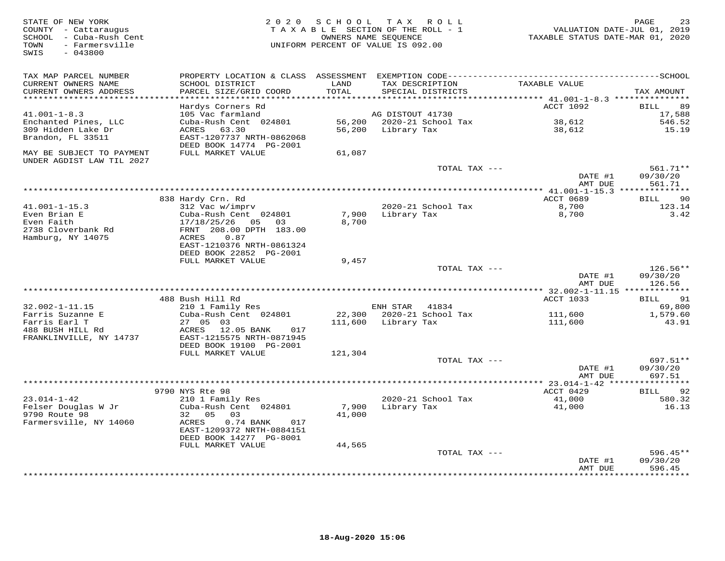| STATE OF NEW YORK<br>COUNTY - Cattaraugus<br>SCHOOL - Cuba-Rush Cent<br>- Farmersville<br>TOWN<br>SWIS<br>$-043800$ | 2 0 2 0                                                 |         | SCHOOL TAX ROLL<br>TAXABLE SECTION OF THE ROLL - 1<br>OWNERS NAME SEQUENCE<br>UNIFORM PERCENT OF VALUE IS 092.00 | VALUATION DATE-JUL 01, 2019<br>TAXABLE STATUS DATE-MAR 01, 2020 | PAGE<br>23                |
|---------------------------------------------------------------------------------------------------------------------|---------------------------------------------------------|---------|------------------------------------------------------------------------------------------------------------------|-----------------------------------------------------------------|---------------------------|
| TAX MAP PARCEL NUMBER<br>CURRENT OWNERS NAME                                                                        | PROPERTY LOCATION & CLASS ASSESSMENT<br>SCHOOL DISTRICT | LAND    | TAX DESCRIPTION                                                                                                  | TAXABLE VALUE                                                   |                           |
| CURRENT OWNERS ADDRESS                                                                                              | PARCEL SIZE/GRID COORD                                  | TOTAL   | SPECIAL DISTRICTS                                                                                                |                                                                 | TAX AMOUNT                |
| **********************                                                                                              | Hardys Corners Rd                                       |         |                                                                                                                  | ACCT 1092                                                       | 89<br>BILL                |
| $41.001 - 1 - 8.3$                                                                                                  | 105 Vac farmland                                        |         | AG DISTOUT 41730                                                                                                 |                                                                 | 17,588                    |
| Enchanted Pines, LLC                                                                                                | Cuba-Rush Cent 024801                                   |         | 56,200 2020-21 School Tax                                                                                        | 38,612                                                          | 546.52                    |
| 309 Hidden Lake Dr                                                                                                  | ACRES<br>63.30                                          | 56,200  | Library Tax                                                                                                      | 38,612                                                          | 15.19                     |
| Brandon, FL 33511                                                                                                   | EAST-1207737 NRTH-0862068                               |         |                                                                                                                  |                                                                 |                           |
|                                                                                                                     | DEED BOOK 14774 PG-2001                                 |         |                                                                                                                  |                                                                 |                           |
| MAY BE SUBJECT TO PAYMENT<br>UNDER AGDIST LAW TIL 2027                                                              | FULL MARKET VALUE                                       | 61,087  |                                                                                                                  |                                                                 |                           |
|                                                                                                                     |                                                         |         | TOTAL TAX ---                                                                                                    |                                                                 | $561.71**$                |
|                                                                                                                     |                                                         |         |                                                                                                                  | DATE #1                                                         | 09/30/20                  |
|                                                                                                                     |                                                         |         |                                                                                                                  | AMT DUE                                                         | 561.71                    |
|                                                                                                                     | 838 Hardy Crn. Rd                                       |         |                                                                                                                  | ACCT 0689                                                       | 90<br><b>BILL</b>         |
| $41.001 - 1 - 15.3$                                                                                                 | 312 Vac w/imprv                                         |         | 2020-21 School Tax                                                                                               | 8,700                                                           | 123.14                    |
| Even Brian E                                                                                                        | Cuba-Rush Cent 024801                                   | 7,900   | Library Tax                                                                                                      | 8,700                                                           | 3.42                      |
| Even Faith                                                                                                          | 17/18/25/26<br>05 03                                    | 8,700   |                                                                                                                  |                                                                 |                           |
| 2738 Cloverbank Rd<br>Hamburg, NY 14075                                                                             | FRNT 208.00 DPTH 183.00<br>0.87                         |         |                                                                                                                  |                                                                 |                           |
|                                                                                                                     | ACRES<br>EAST-1210376 NRTH-0861324                      |         |                                                                                                                  |                                                                 |                           |
|                                                                                                                     | DEED BOOK 22852 PG-2001                                 |         |                                                                                                                  |                                                                 |                           |
|                                                                                                                     | FULL MARKET VALUE                                       | 9,457   |                                                                                                                  |                                                                 |                           |
|                                                                                                                     |                                                         |         | TOTAL TAX ---                                                                                                    |                                                                 | $126.56**$                |
|                                                                                                                     |                                                         |         |                                                                                                                  | DATE #1<br>AMT DUE                                              | 09/30/20<br>126.56        |
|                                                                                                                     |                                                         |         |                                                                                                                  |                                                                 | 91                        |
| $32.002 - 1 - 11.15$                                                                                                | 488 Bush Hill Rd<br>210 1 Family Res                    |         | ENH STAR<br>41834                                                                                                | ACCT 1033                                                       | BILL<br>69,800            |
| Farris Suzanne E                                                                                                    | Cuba-Rush Cent 024801                                   |         | 22,300 2020-21 School Tax                                                                                        | 111,600                                                         | 1,579.60                  |
| Farris Earl T                                                                                                       | 27 05 03                                                |         | 111,600 Library Tax                                                                                              | 111,600                                                         | 43.91                     |
| 488 BUSH HILL Rd                                                                                                    | ACRES 12.05 BANK<br>017                                 |         |                                                                                                                  |                                                                 |                           |
| FRANKLINVILLE, NY 14737                                                                                             | EAST-1215575 NRTH-0871945<br>DEED BOOK 19100 PG-2001    |         |                                                                                                                  |                                                                 |                           |
|                                                                                                                     | FULL MARKET VALUE                                       | 121,304 |                                                                                                                  |                                                                 |                           |
|                                                                                                                     |                                                         |         | TOTAL TAX ---                                                                                                    |                                                                 | 697.51**                  |
|                                                                                                                     |                                                         |         |                                                                                                                  | DATE #1                                                         | 09/30/20                  |
|                                                                                                                     |                                                         |         |                                                                                                                  | AMT DUE                                                         | 697.51                    |
|                                                                                                                     | 9790 NYS Rte 98                                         |         |                                                                                                                  | ACCT 0429                                                       | 92                        |
| $23.014 - 1 - 42$                                                                                                   | 210 1 Family Res                                        |         | 2020-21 School Tax                                                                                               | 41,000                                                          | BILL<br>580.32            |
| Felser Douglas W Jr                                                                                                 | Cuba-Rush Cent 024801                                   | 7,900   | Library Tax                                                                                                      | 41,000                                                          | 16.13                     |
| 9790 Route 98                                                                                                       | 32 05<br>03                                             | 41,000  |                                                                                                                  |                                                                 |                           |
| Farmersville, NY 14060                                                                                              | ACRES<br>0.74 BANK<br>017                               |         |                                                                                                                  |                                                                 |                           |
|                                                                                                                     | EAST-1209372 NRTH-0884151<br>DEED BOOK 14277 PG-8001    |         |                                                                                                                  |                                                                 |                           |
|                                                                                                                     | FULL MARKET VALUE                                       | 44,565  |                                                                                                                  |                                                                 |                           |
|                                                                                                                     |                                                         |         | TOTAL TAX ---                                                                                                    |                                                                 | $596.45**$                |
|                                                                                                                     |                                                         |         |                                                                                                                  | DATE #1                                                         | 09/30/20                  |
|                                                                                                                     |                                                         |         |                                                                                                                  | AMT DUE                                                         | 596.45<br>* * * * * * * * |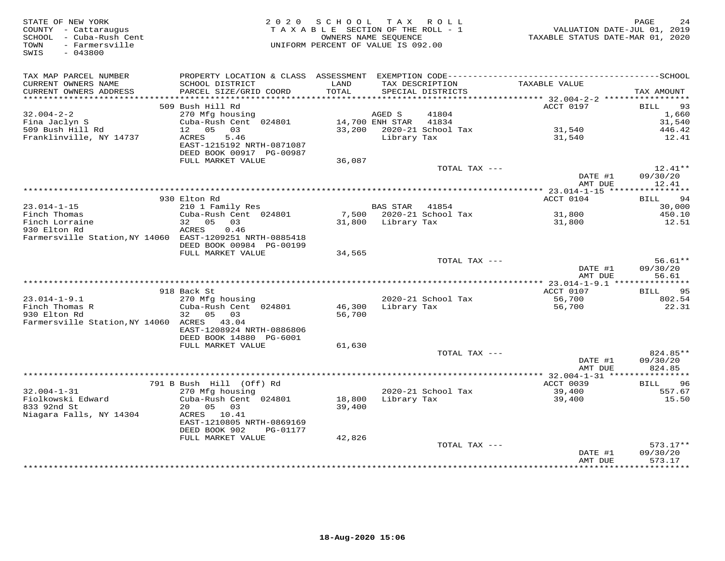| STATE OF NEW YORK<br>COUNTY - Cattaraugus<br>SCHOOL - Cuba-Rush Cent<br>- Farmersville<br>TOWN<br>SWIS<br>$-043800$ | 2 0 2 0                                                | SCHOOL TAX ROLL<br>TAXABLE SECTION OF THE ROLL - 1<br>OWNERS NAME SEQUENCE<br>UNIFORM PERCENT OF VALUE IS 092.00 |                    |                                      | TAXABLE STATUS DATE-MAR 01, 2020 | PAGE<br>24<br>VALUATION DATE-JUL 01, 2019 |
|---------------------------------------------------------------------------------------------------------------------|--------------------------------------------------------|------------------------------------------------------------------------------------------------------------------|--------------------|--------------------------------------|----------------------------------|-------------------------------------------|
| TAX MAP PARCEL NUMBER                                                                                               |                                                        |                                                                                                                  |                    |                                      |                                  |                                           |
| CURRENT OWNERS NAME<br>CURRENT OWNERS ADDRESS                                                                       | SCHOOL DISTRICT<br>PARCEL SIZE/GRID COORD              | LAND<br>TOTAL                                                                                                    |                    | TAX DESCRIPTION<br>SPECIAL DISTRICTS | TAXABLE VALUE                    | TAX AMOUNT                                |
| **********************                                                                                              |                                                        |                                                                                                                  |                    |                                      |                                  |                                           |
| $32.004 - 2 - 2$                                                                                                    | 509 Bush Hill Rd<br>270 Mfg housing                    |                                                                                                                  | AGED S             | 41804                                | ACCT 0197                        | 93<br>BILL<br>1,660                       |
| Fina Jaclyn S                                                                                                       | Cuba-Rush Cent 024801                                  |                                                                                                                  | 14,700 ENH STAR    | 41834                                |                                  | 31,540                                    |
| 509 Bush Hill Rd                                                                                                    | 12 05 03                                               |                                                                                                                  |                    | 33,200 2020-21 School Tax            | 31,540                           | 446.42                                    |
| Franklinville, NY 14737                                                                                             | 5.46<br>ACRES                                          |                                                                                                                  | Library Tax        |                                      | 31,540                           | 12.41                                     |
|                                                                                                                     | EAST-1215192 NRTH-0871087                              |                                                                                                                  |                    |                                      |                                  |                                           |
|                                                                                                                     | DEED BOOK 00917 PG-00987                               |                                                                                                                  |                    |                                      |                                  |                                           |
|                                                                                                                     | FULL MARKET VALUE                                      | 36,087                                                                                                           |                    |                                      |                                  |                                           |
|                                                                                                                     |                                                        |                                                                                                                  |                    | TOTAL TAX ---                        |                                  | $12.41**$                                 |
|                                                                                                                     |                                                        |                                                                                                                  |                    |                                      | DATE #1                          | 09/30/20                                  |
|                                                                                                                     |                                                        |                                                                                                                  |                    |                                      | AMT DUE                          | 12.41                                     |
|                                                                                                                     | 930 Elton Rd                                           |                                                                                                                  |                    |                                      | ACCT 0104                        | BILL 94                                   |
| $23.014 - 1 - 15$                                                                                                   | 210 1 Family Res                                       |                                                                                                                  | <b>BAS STAR</b>    | 41854                                |                                  | 30,000                                    |
| Finch Thomas                                                                                                        | Cuba-Rush Cent 024801                                  |                                                                                                                  |                    | 7,500 2020-21 School Tax             | 31,800                           | 450.10                                    |
| Finch Lorraine                                                                                                      | 32 05<br>03                                            |                                                                                                                  | 31,800 Library Tax |                                      | 31,800                           | 12.51                                     |
| 930 Elton Rd                                                                                                        | 0.46<br>ACRES                                          |                                                                                                                  |                    |                                      |                                  |                                           |
| Farmersville Station, NY 14060 EAST-1209251 NRTH-0885418                                                            |                                                        |                                                                                                                  |                    |                                      |                                  |                                           |
|                                                                                                                     | DEED BOOK 00984 PG-00199                               |                                                                                                                  |                    |                                      |                                  |                                           |
|                                                                                                                     | FULL MARKET VALUE                                      | 34,565                                                                                                           |                    | TOTAL TAX ---                        |                                  | $56.61**$                                 |
|                                                                                                                     |                                                        |                                                                                                                  |                    |                                      | DATE #1                          | 09/30/20                                  |
|                                                                                                                     |                                                        |                                                                                                                  |                    |                                      | AMT DUE                          | 56.61                                     |
|                                                                                                                     | 918 Back St                                            |                                                                                                                  |                    |                                      | ACCT 0107                        | 95<br>BILL                                |
| $23.014 - 1 - 9.1$                                                                                                  | 270 Mfg housing                                        |                                                                                                                  |                    | 2020-21 School Tax                   | 56,700                           | 802.54                                    |
| Finch Thomas R                                                                                                      | Cuba-Rush Cent 024801                                  | 46,300                                                                                                           |                    | Library Tax                          | 56,700                           | 22.31                                     |
| 930 Elton Rd                                                                                                        | 32 05 03                                               | 56,700                                                                                                           |                    |                                      |                                  |                                           |
| Farmersville Station, NY 14060 ACRES 43.04                                                                          |                                                        |                                                                                                                  |                    |                                      |                                  |                                           |
|                                                                                                                     | EAST-1208924 NRTH-0886806                              |                                                                                                                  |                    |                                      |                                  |                                           |
|                                                                                                                     | DEED BOOK 14880 PG-6001                                |                                                                                                                  |                    |                                      |                                  |                                           |
|                                                                                                                     | FULL MARKET VALUE                                      | 61,630                                                                                                           |                    | TOTAL TAX ---                        |                                  | 824.85**                                  |
|                                                                                                                     |                                                        |                                                                                                                  |                    |                                      | DATE #1                          | 09/30/20                                  |
|                                                                                                                     |                                                        |                                                                                                                  |                    |                                      | AMT DUE                          | 824.85                                    |
|                                                                                                                     |                                                        |                                                                                                                  |                    |                                      |                                  |                                           |
|                                                                                                                     | 791 B Bush Hill (Off) Rd                               |                                                                                                                  |                    |                                      | ACCT 0039                        | 96<br>BILL                                |
| $32.004 - 1 - 31$                                                                                                   | 270 Mfg housing                                        |                                                                                                                  |                    | 2020-21 School Tax                   | 39,400                           | 557.67                                    |
| Fiolkowski Edward                                                                                                   | Cuba-Rush Cent 024801                                  | 18,800                                                                                                           | Library Tax        |                                      | 39,400                           | 15.50                                     |
| 833 92nd St                                                                                                         | 20  05  03                                             | 39,400                                                                                                           |                    |                                      |                                  |                                           |
| Niagara Falls, NY 14304                                                                                             | ACRES 10.41                                            |                                                                                                                  |                    |                                      |                                  |                                           |
|                                                                                                                     | EAST-1210805 NRTH-0869169<br>DEED BOOK 902<br>PG-01177 |                                                                                                                  |                    |                                      |                                  |                                           |
|                                                                                                                     | FULL MARKET VALUE                                      | 42,826                                                                                                           |                    |                                      |                                  |                                           |
|                                                                                                                     |                                                        |                                                                                                                  |                    | TOTAL TAX ---                        |                                  | $573.17**$                                |
|                                                                                                                     |                                                        |                                                                                                                  |                    |                                      | DATE #1                          | 09/30/20                                  |
|                                                                                                                     |                                                        |                                                                                                                  |                    |                                      | AMT DUE                          | 573.17                                    |
|                                                                                                                     |                                                        |                                                                                                                  |                    |                                      | ****************                 | **********                                |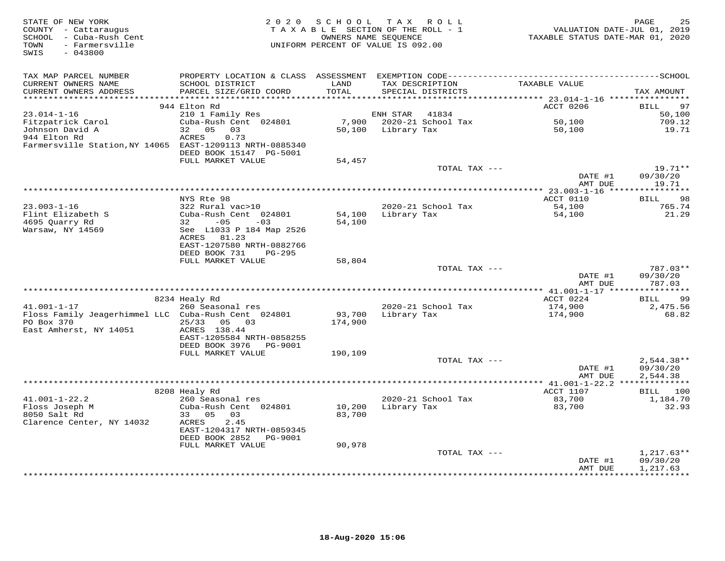| STATE OF NEW YORK<br>COUNTY - Cattaraugus<br>SCHOOL - Cuba-Rush Cent<br>- Farmersville<br>TOWN<br>SWIS<br>$-043800$ |                                                | 2020 SCHOOL      | TAX ROLL<br>TAXABLE SECTION OF THE ROLL - 1<br>OWNERS NAME SEQUENCE<br>UNIFORM PERCENT OF VALUE IS 092.00 | VALUATION DATE-JUL 01, 2019<br>TAXABLE STATUS DATE-MAR 01, 2020 | PAGE<br>25                        |
|---------------------------------------------------------------------------------------------------------------------|------------------------------------------------|------------------|-----------------------------------------------------------------------------------------------------------|-----------------------------------------------------------------|-----------------------------------|
| TAX MAP PARCEL NUMBER                                                                                               | PROPERTY LOCATION & CLASS ASSESSMENT           |                  |                                                                                                           |                                                                 |                                   |
| CURRENT OWNERS NAME<br>CURRENT OWNERS ADDRESS<br>**********************                                             | SCHOOL DISTRICT<br>PARCEL SIZE/GRID COORD      | LAND<br>TOTAL    | TAX DESCRIPTION<br>SPECIAL DISTRICTS                                                                      | TAXABLE VALUE                                                   | TAX AMOUNT                        |
|                                                                                                                     | 944 Elton Rd                                   |                  |                                                                                                           | ACCT 0206                                                       | 97<br>BILL                        |
| $23.014 - 1 - 16$                                                                                                   | 210 1 Family Res                               |                  | ENH STAR<br>41834                                                                                         |                                                                 | 50,100                            |
| Fitzpatrick Carol                                                                                                   | Cuba-Rush Cent 024801                          | 7,900            | 2020-21 School Tax                                                                                        | 50,100                                                          | 709.12                            |
| Johnson David A                                                                                                     | 05<br>03<br>32                                 | 50,100           | Library Tax                                                                                               | 50,100                                                          | 19.71                             |
| 944 Elton Rd                                                                                                        | 0.73<br>ACRES                                  |                  |                                                                                                           |                                                                 |                                   |
| Farmersville Station, NY 14065 EAST-1209113 NRTH-0885340                                                            |                                                |                  |                                                                                                           |                                                                 |                                   |
|                                                                                                                     | DEED BOOK 15147 PG-5001<br>FULL MARKET VALUE   |                  |                                                                                                           |                                                                 |                                   |
|                                                                                                                     |                                                | 54,457           | TOTAL TAX ---                                                                                             |                                                                 | 19.71**                           |
|                                                                                                                     |                                                |                  |                                                                                                           | DATE #1                                                         | 09/30/20                          |
|                                                                                                                     |                                                |                  |                                                                                                           | AMT DUE                                                         | 19.71                             |
|                                                                                                                     |                                                |                  |                                                                                                           |                                                                 |                                   |
|                                                                                                                     | NYS Rte 98                                     |                  |                                                                                                           | ACCT 0110                                                       | 98<br>BILL                        |
| $23.003 - 1 - 16$                                                                                                   | 322 Rural vac>10                               |                  | 2020-21 School Tax                                                                                        | 54,100                                                          | 765.74                            |
| Flint Elizabeth S<br>4695 Quarry Rd                                                                                 | Cuba-Rush Cent 024801<br>$-05$<br>32<br>$-03$  | 54,100<br>54,100 | Library Tax                                                                                               | 54,100                                                          | 21.29                             |
| Warsaw, NY 14569                                                                                                    | See L1033 P 184 Map 2526                       |                  |                                                                                                           |                                                                 |                                   |
|                                                                                                                     | ACRES 81.23                                    |                  |                                                                                                           |                                                                 |                                   |
|                                                                                                                     | EAST-1207580 NRTH-0882766                      |                  |                                                                                                           |                                                                 |                                   |
|                                                                                                                     | DEED BOOK 731<br><b>PG-295</b>                 |                  |                                                                                                           |                                                                 |                                   |
|                                                                                                                     | FULL MARKET VALUE                              | 58,804           |                                                                                                           |                                                                 |                                   |
|                                                                                                                     |                                                |                  | TOTAL TAX ---                                                                                             |                                                                 | 787.03**                          |
|                                                                                                                     |                                                |                  |                                                                                                           | DATE #1<br>AMT DUE                                              | 09/30/20<br>787.03<br>*********** |
|                                                                                                                     | 8234 Healy Rd                                  |                  |                                                                                                           | ********** 41.001-1-17 *****<br>ACCT 0224                       | 99<br>BILL                        |
| $41.001 - 1 - 17$                                                                                                   | 260 Seasonal res                               |                  | 2020-21 School Tax                                                                                        | 174,900                                                         | 2,475.56                          |
| Floss Family Jeagerhimmel LLC Cuba-Rush Cent 024801                                                                 |                                                | 93,700           | Library Tax                                                                                               | 174,900                                                         | 68.82                             |
| PO Box 370                                                                                                          | 25/33 05 03                                    | 174,900          |                                                                                                           |                                                                 |                                   |
| East Amherst, NY 14051                                                                                              | ACRES 138.44                                   |                  |                                                                                                           |                                                                 |                                   |
|                                                                                                                     | EAST-1205584 NRTH-0858255                      |                  |                                                                                                           |                                                                 |                                   |
|                                                                                                                     | DEED BOOK 3976<br>PG-9001<br>FULL MARKET VALUE | 190,109          |                                                                                                           |                                                                 |                                   |
|                                                                                                                     |                                                |                  | TOTAL TAX ---                                                                                             |                                                                 | $2,544.38**$                      |
|                                                                                                                     |                                                |                  |                                                                                                           | DATE #1                                                         | 09/30/20                          |
|                                                                                                                     |                                                |                  |                                                                                                           | AMT DUE                                                         | 2,544.38                          |
|                                                                                                                     |                                                |                  |                                                                                                           | ****** 41.001-1-22.2 **************                             |                                   |
|                                                                                                                     | 8208 Healy Rd                                  |                  |                                                                                                           | ACCT 1107                                                       | BILL 100                          |
| $41.001 - 1 - 22.2$                                                                                                 | 260 Seasonal res                               |                  | 2020-21 School Tax                                                                                        | 83,700                                                          | 1,184.70                          |
| Floss Joseph M<br>8050 Salt Rd                                                                                      | Cuba-Rush Cent 024801<br>33 05<br>03           | 10,200<br>83,700 | Library Tax                                                                                               | 83,700                                                          | 32.93                             |
| Clarence Center, NY 14032                                                                                           | ACRES<br>2.45                                  |                  |                                                                                                           |                                                                 |                                   |
|                                                                                                                     | EAST-1204317 NRTH-0859345                      |                  |                                                                                                           |                                                                 |                                   |
|                                                                                                                     | DEED BOOK 2852<br>PG-9001                      |                  |                                                                                                           |                                                                 |                                   |
|                                                                                                                     | FULL MARKET VALUE                              | 90,978           |                                                                                                           |                                                                 |                                   |
|                                                                                                                     |                                                |                  | TOTAL TAX ---                                                                                             |                                                                 | $1,217.63**$                      |
|                                                                                                                     |                                                |                  |                                                                                                           | DATE #1                                                         | 09/30/20                          |
|                                                                                                                     |                                                |                  |                                                                                                           | AMT DUE                                                         | 1,217.63<br>**********            |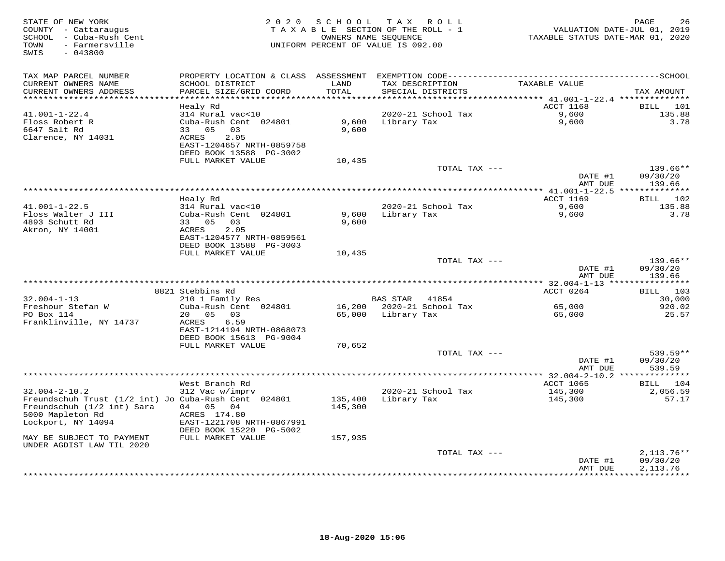| STATE OF NEW YORK<br>COUNTY - Cattaraugus<br>- Cuba-Rush Cent<br>SCHOOL<br>- Farmersville<br>TOWN<br>$-043800$<br>SWIS                              | 2 0 2 0                                                                                                                           | SCHOOL<br>TAXABLE SECTION OF THE ROLL - 1<br>OWNERS NAME SEQUENCE<br>UNIFORM PERCENT OF VALUE IS 092.00 | T A X           | R O L L            | TAXABLE STATUS DATE-MAR 01, 2020               | PAGE<br>26<br>VALUATION DATE-JUL 01, 2019 |
|-----------------------------------------------------------------------------------------------------------------------------------------------------|-----------------------------------------------------------------------------------------------------------------------------------|---------------------------------------------------------------------------------------------------------|-----------------|--------------------|------------------------------------------------|-------------------------------------------|
| TAX MAP PARCEL NUMBER<br>CURRENT OWNERS NAME<br>CURRENT OWNERS ADDRESS<br>***********************                                                   | SCHOOL DISTRICT<br>PARCEL SIZE/GRID COORD                                                                                         | LAND<br>TOTAL                                                                                           | TAX DESCRIPTION | SPECIAL DISTRICTS  | TAXABLE VALUE                                  | TAX AMOUNT                                |
|                                                                                                                                                     | Healy Rd                                                                                                                          |                                                                                                         |                 |                    | <b>ACCT 1168</b>                               | <b>BILL</b><br>101                        |
| $41.001 - 1 - 22.4$<br>Floss Robert R<br>6647 Salt Rd<br>Clarence, NY 14031                                                                         | 314 Rural vac<10<br>Cuba-Rush Cent 024801<br>33 05<br>03<br>2.05<br>ACRES<br>EAST-1204657 NRTH-0859758<br>DEED BOOK 13588 PG-3002 | 9,600<br>9,600                                                                                          | Library Tax     | 2020-21 School Tax | 9,600<br>9,600                                 | 135.88<br>3.78                            |
|                                                                                                                                                     | FULL MARKET VALUE                                                                                                                 | 10,435                                                                                                  |                 | TOTAL TAX ---      |                                                | 139.66**                                  |
|                                                                                                                                                     |                                                                                                                                   |                                                                                                         |                 |                    | DATE #1<br>AMT DUE                             | 09/30/20<br>139.66                        |
|                                                                                                                                                     | Healy Rd                                                                                                                          |                                                                                                         |                 |                    | <b>ACCT 1169</b>                               | BILL 102                                  |
| $41.001 - 1 - 22.5$<br>Floss Walter J III<br>4893 Schutt Rd<br>Akron, NY 14001                                                                      | 314 Rural vac<10<br>Cuba-Rush Cent 024801<br>03<br>33 05<br>2.05<br>ACRES<br>EAST-1204577 NRTH-0859561                            | 9,600<br>9,600                                                                                          | Library Tax     | 2020-21 School Tax | 9,600<br>9,600                                 | 135.88<br>3.78                            |
|                                                                                                                                                     | DEED BOOK 13588 PG-3003                                                                                                           |                                                                                                         |                 |                    |                                                |                                           |
|                                                                                                                                                     | FULL MARKET VALUE                                                                                                                 | 10,435                                                                                                  |                 | TOTAL TAX ---      | DATE #1                                        | 139.66**<br>09/30/20                      |
|                                                                                                                                                     |                                                                                                                                   |                                                                                                         |                 |                    | AMT DUE<br>***************** 32.004-1-13 ***** | 139.66<br>***********                     |
|                                                                                                                                                     | 8821 Stebbins Rd                                                                                                                  |                                                                                                         |                 |                    | ACCT 0264                                      | 103<br>BILL                               |
| $32.004 - 1 - 13$                                                                                                                                   | 210 1 Family Res                                                                                                                  |                                                                                                         | <b>BAS STAR</b> | 41854              |                                                | 30,000                                    |
| Freshour Stefan W<br>PO Box 114<br>Franklinville, NY 14737                                                                                          | Cuba-Rush Cent 024801<br>20 <sub>o</sub><br>0.5<br>03<br>6.59<br>ACRES<br>EAST-1214194 NRTH-0868073                               | 16,200<br>65,000                                                                                        | Library Tax     | 2020-21 School Tax | 65,000<br>65,000                               | 920.02<br>25.57                           |
|                                                                                                                                                     | DEED BOOK 15613 PG-9004                                                                                                           |                                                                                                         |                 |                    |                                                |                                           |
|                                                                                                                                                     | FULL MARKET VALUE                                                                                                                 | 70,652                                                                                                  |                 | TOTAL TAX ---      | DATE #1                                        | 539.59**<br>09/30/20                      |
|                                                                                                                                                     |                                                                                                                                   |                                                                                                         |                 |                    | AMT DUE<br>**** 32.004-2-10.2 **************   | 539.59                                    |
|                                                                                                                                                     | West Branch Rd                                                                                                                    |                                                                                                         |                 |                    | ACCT 1065                                      | 104<br>BILL                               |
| $32.004 - 2 - 10.2$<br>Freundschuh Trust (1/2 int) Jo Cuba-Rush Cent 024801<br>Freundschuh (1/2 int) Sara<br>5000 Mapleton Rd<br>Lockport, NY 14094 | 312 Vac w/imprv<br>04 05 04<br>ACRES 174.80<br>EAST-1221708 NRTH-0867991<br>DEED BOOK 15220 PG-5002                               | 135,400<br>145,300                                                                                      | Library Tax     | 2020-21 School Tax | 145,300<br>145,300                             | 2,056.59<br>57.17                         |
| MAY BE SUBJECT TO PAYMENT                                                                                                                           | FULL MARKET VALUE                                                                                                                 | 157,935                                                                                                 |                 |                    |                                                |                                           |
| UNDER AGDIST LAW TIL 2020                                                                                                                           |                                                                                                                                   |                                                                                                         |                 | TOTAL TAX ---      |                                                | $2,113.76**$                              |
|                                                                                                                                                     |                                                                                                                                   |                                                                                                         |                 |                    | DATE #1<br>AMT DUE                             | 09/30/20<br>2, 113.76<br>**********       |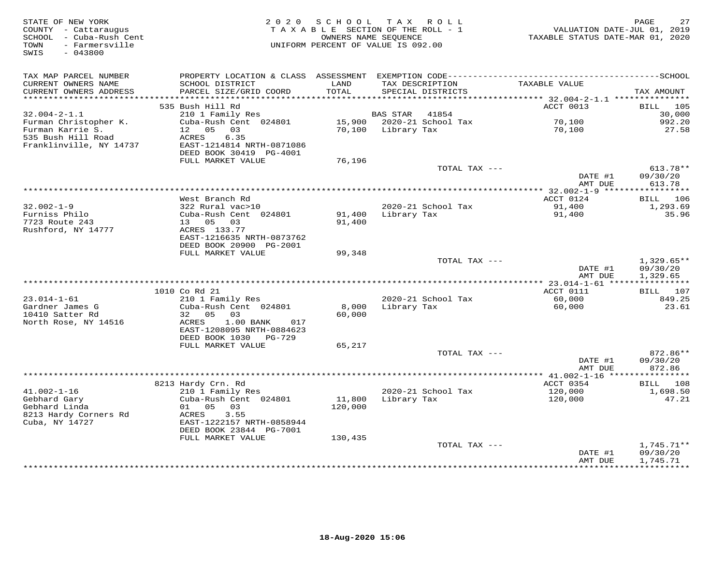| STATE OF NEW YORK<br>COUNTY - Cattaraugus<br>SCHOOL - Cuba-Rush Cent<br>- Farmersville<br>TOWN<br>SWIS<br>$-043800$ | 2 0 2 0                                              | SCHOOL<br>OWNERS NAME SEOUENCE | TAX ROLL<br>TAXABLE SECTION OF THE ROLL - 1<br>UNIFORM PERCENT OF VALUE IS 092.00 | VALUATION DATE-JUL 01, 2019<br>TAXABLE STATUS DATE-MAR 01, 2020 | 27<br>PAGE                 |
|---------------------------------------------------------------------------------------------------------------------|------------------------------------------------------|--------------------------------|-----------------------------------------------------------------------------------|-----------------------------------------------------------------|----------------------------|
| TAX MAP PARCEL NUMBER                                                                                               |                                                      |                                |                                                                                   |                                                                 |                            |
| CURRENT OWNERS NAME<br>CURRENT OWNERS ADDRESS<br>***********************                                            | SCHOOL DISTRICT<br>PARCEL SIZE/GRID COORD            | LAND<br>TOTAL                  | TAX DESCRIPTION<br>SPECIAL DISTRICTS                                              | TAXABLE VALUE                                                   | TAX AMOUNT                 |
|                                                                                                                     | 535 Bush Hill Rd                                     |                                |                                                                                   | ACCT 0013                                                       | 105<br>BILL                |
| $32.004 - 2 - 1.1$                                                                                                  | 210 1 Family Res                                     |                                | 41854<br>BAS STAR                                                                 |                                                                 | 30,000                     |
| Furman Christopher K.                                                                                               | Cuba-Rush Cent 024801                                | 15,900                         | 2020-21 School Tax                                                                | 70,100                                                          | 992.20                     |
| Furman Karrie S.                                                                                                    | 12 05<br>03                                          | 70,100                         | Library Tax                                                                       | 70,100                                                          | 27.58                      |
| 535 Bush Hill Road                                                                                                  | ACRES<br>6.35                                        |                                |                                                                                   |                                                                 |                            |
| Franklinville, NY 14737                                                                                             | EAST-1214814 NRTH-0871086<br>DEED BOOK 30419 PG-4001 |                                |                                                                                   |                                                                 |                            |
|                                                                                                                     | FULL MARKET VALUE                                    | 76,196                         |                                                                                   |                                                                 |                            |
|                                                                                                                     |                                                      |                                | TOTAL TAX ---                                                                     |                                                                 | $613.78**$                 |
|                                                                                                                     |                                                      |                                |                                                                                   | DATE #1                                                         | 09/30/20                   |
|                                                                                                                     |                                                      |                                |                                                                                   | AMT DUE                                                         | 613.78                     |
|                                                                                                                     | West Branch Rd                                       |                                |                                                                                   | ********* 32.002-1-9 ******<br>ACCT 0124                        | ***********<br>BILL<br>106 |
| $32.002 - 1 - 9$                                                                                                    | 322 Rural vac>10                                     |                                | 2020-21 School Tax                                                                | 91,400                                                          | 1,293.69                   |
| Furniss Philo                                                                                                       | Cuba-Rush Cent 024801                                | 91,400                         | Library Tax                                                                       | 91,400                                                          | 35.96                      |
| 7723 Route 243                                                                                                      | 13 05 03                                             | 91,400                         |                                                                                   |                                                                 |                            |
| Rushford, NY 14777                                                                                                  | ACRES 133.77                                         |                                |                                                                                   |                                                                 |                            |
|                                                                                                                     | EAST-1216635 NRTH-0873762                            |                                |                                                                                   |                                                                 |                            |
|                                                                                                                     | DEED BOOK 20900 PG-2001<br>FULL MARKET VALUE         | 99,348                         |                                                                                   |                                                                 |                            |
|                                                                                                                     |                                                      |                                | TOTAL TAX ---                                                                     |                                                                 | $1,329.65**$               |
|                                                                                                                     |                                                      |                                |                                                                                   | DATE #1                                                         | 09/30/20                   |
|                                                                                                                     |                                                      |                                |                                                                                   | AMT DUE                                                         | 1,329.65                   |
|                                                                                                                     |                                                      |                                |                                                                                   | *** 23.014-1-61 *****                                           | ***********                |
| $23.014 - 1 - 61$                                                                                                   | 1010 Co Rd 21<br>210 1 Family Res                    |                                | 2020-21 School Tax                                                                | ACCT 0111<br>60,000                                             | BILL 107<br>849.25         |
| Gardner James G                                                                                                     | Cuba-Rush Cent 024801                                | 8,000                          | Library Tax                                                                       | 60,000                                                          | 23.61                      |
| 10410 Satter Rd                                                                                                     | 32 05<br>03                                          | 60,000                         |                                                                                   |                                                                 |                            |
| North Rose, NY 14516                                                                                                | ACRES<br>1.00 BANK<br>017                            |                                |                                                                                   |                                                                 |                            |
|                                                                                                                     | EAST-1208095 NRTH-0884623                            |                                |                                                                                   |                                                                 |                            |
|                                                                                                                     | DEED BOOK 1030<br>PG-729<br>FULL MARKET VALUE        | 65,217                         |                                                                                   |                                                                 |                            |
|                                                                                                                     |                                                      |                                | TOTAL TAX ---                                                                     |                                                                 | 872.86**                   |
|                                                                                                                     |                                                      |                                |                                                                                   | DATE #1                                                         | 09/30/20                   |
|                                                                                                                     |                                                      |                                |                                                                                   | AMT DUE                                                         | 872.86                     |
|                                                                                                                     |                                                      |                                |                                                                                   |                                                                 |                            |
|                                                                                                                     | 8213 Hardy Crn. Rd                                   |                                |                                                                                   | ACCT 0354                                                       | 108<br><b>BILL</b>         |
| $41.002 - 1 - 16$<br>Gebhard Gary                                                                                   | 210 1 Family Res<br>Cuba-Rush Cent 024801            | 11,800                         | 2020-21 School Tax<br>Library Tax                                                 | 120,000<br>120,000                                              | 1,698.50<br>47.21          |
| Gebhard Linda                                                                                                       | 01 05 03                                             | 120,000                        |                                                                                   |                                                                 |                            |
| 8213 Hardy Corners Rd                                                                                               | ACRES<br>3.55                                        |                                |                                                                                   |                                                                 |                            |
| Cuba, NY 14727                                                                                                      | EAST-1222157 NRTH-0858944                            |                                |                                                                                   |                                                                 |                            |
|                                                                                                                     | DEED BOOK 23844 PG-7001                              |                                |                                                                                   |                                                                 |                            |
|                                                                                                                     | FULL MARKET VALUE                                    | 130,435                        |                                                                                   |                                                                 |                            |
|                                                                                                                     |                                                      |                                | TOTAL TAX ---                                                                     | DATE #1                                                         | $1,745.71**$<br>09/30/20   |
|                                                                                                                     |                                                      |                                |                                                                                   | AMT DUE                                                         | 1,745.71                   |
|                                                                                                                     |                                                      |                                | ***************************                                                       |                                                                 | ***********                |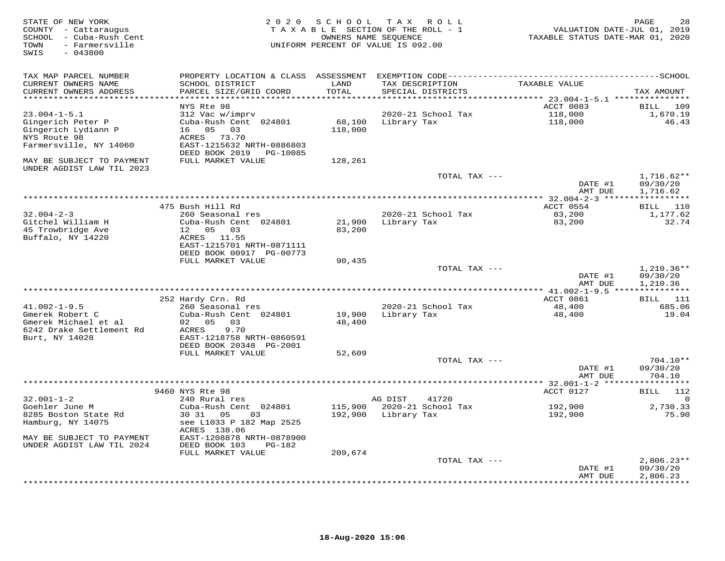| STATE OF NEW YORK<br>COUNTY - Cattaraugus<br>SCHOOL - Cuba-Rush Cent<br>- Farmersville<br>TOWN<br>SWIS<br>$-043800$ |                                                         |               | 2020 SCHOOL TAX ROLL<br>TAXABLE SECTION OF THE ROLL - 1<br>OWNERS NAME SEQUENCE<br>UNIFORM PERCENT OF VALUE IS 092.00 | VALUATION DATE-JUL 01, 2019<br>TAXABLE STATUS DATE-MAR 01, 2020 | PAGE<br>28                      |
|---------------------------------------------------------------------------------------------------------------------|---------------------------------------------------------|---------------|-----------------------------------------------------------------------------------------------------------------------|-----------------------------------------------------------------|---------------------------------|
| TAX MAP PARCEL NUMBER                                                                                               |                                                         |               |                                                                                                                       |                                                                 |                                 |
| CURRENT OWNERS NAME<br>CURRENT OWNERS ADDRESS                                                                       | SCHOOL DISTRICT<br>PARCEL SIZE/GRID COORD               | LAND<br>TOTAL | TAX DESCRIPTION<br>SPECIAL DISTRICTS                                                                                  | TAXABLE VALUE                                                   | TAX AMOUNT                      |
| ***********************                                                                                             |                                                         |               |                                                                                                                       |                                                                 |                                 |
|                                                                                                                     | NYS Rte 98                                              |               |                                                                                                                       | ACCT 0083                                                       | BILL 109                        |
| $23.004 - 1 - 5.1$                                                                                                  | 312 Vac w/imprv                                         |               | 2020-21 School Tax                                                                                                    | 118,000                                                         | 1,670.19                        |
| Gingerich Peter P                                                                                                   | Cuba-Rush Cent 024801                                   | 68,100        | Library Tax                                                                                                           | 118,000                                                         | 46.43                           |
| Gingerich Lydiann P                                                                                                 | 16 05 03                                                | 118,000       |                                                                                                                       |                                                                 |                                 |
| NYS Route 98                                                                                                        | ACRES 73.70                                             |               |                                                                                                                       |                                                                 |                                 |
| Farmersville, NY 14060                                                                                              | EAST-1215632 NRTH-0886803<br>DEED BOOK 2019    PG-10085 |               |                                                                                                                       |                                                                 |                                 |
| MAY BE SUBJECT TO PAYMENT<br>UNDER AGDIST LAW TIL 2023                                                              | FULL MARKET VALUE                                       | 128,261       |                                                                                                                       |                                                                 |                                 |
|                                                                                                                     |                                                         |               | TOTAL TAX ---                                                                                                         |                                                                 | $1,716.62**$                    |
|                                                                                                                     |                                                         |               |                                                                                                                       | DATE #1                                                         | 09/30/20                        |
|                                                                                                                     |                                                         |               |                                                                                                                       | AMT DUE                                                         | 1,716.62                        |
|                                                                                                                     |                                                         |               |                                                                                                                       |                                                                 |                                 |
|                                                                                                                     | 475 Bush Hill Rd                                        |               |                                                                                                                       | ACCT 0554                                                       | BILL 110                        |
| $32.004 - 2 - 3$                                                                                                    | 260 Seasonal res                                        |               | 2020-21 School Tax                                                                                                    | 83,200                                                          | 1,177.62                        |
| Gitchel William H                                                                                                   | Cuba-Rush Cent 024801                                   | 21,900        | Library Tax                                                                                                           | 83,200                                                          | 32.74                           |
| 45 Trowbridge Ave                                                                                                   | 12  05  03                                              | 83,200        |                                                                                                                       |                                                                 |                                 |
| Buffalo, NY 14220                                                                                                   | ACRES 11.55                                             |               |                                                                                                                       |                                                                 |                                 |
|                                                                                                                     | EAST-1215701 NRTH-0871111                               |               |                                                                                                                       |                                                                 |                                 |
|                                                                                                                     | DEED BOOK 00917 PG-00773                                |               |                                                                                                                       |                                                                 |                                 |
|                                                                                                                     | FULL MARKET VALUE                                       | 90,435        | TOTAL TAX ---                                                                                                         |                                                                 | $1,210.36**$                    |
|                                                                                                                     |                                                         |               |                                                                                                                       | DATE #1                                                         | 09/30/20                        |
|                                                                                                                     |                                                         |               |                                                                                                                       | AMT DUE                                                         | 1,210.36                        |
|                                                                                                                     |                                                         |               |                                                                                                                       |                                                                 |                                 |
|                                                                                                                     | 252 Hardy Crn. Rd                                       |               |                                                                                                                       | ACCT 0861                                                       | BILL 111                        |
| $41.002 - 1 - 9.5$                                                                                                  | 260 Seasonal res                                        |               | 2020-21 School Tax                                                                                                    | 48,400                                                          | 685.06                          |
| Gmerek Robert C                                                                                                     | Cuba-Rush Cent 024801                                   | 19,900        | Library Tax                                                                                                           | 48,400                                                          | 19.04                           |
| Gmerek Michael et al                                                                                                | 02 05 03                                                | 48,400        |                                                                                                                       |                                                                 |                                 |
| 6242 Drake Settlement Rd                                                                                            | 9.70<br>ACRES                                           |               |                                                                                                                       |                                                                 |                                 |
| Burt, NY 14028                                                                                                      | EAST-1218758 NRTH-0860591                               |               |                                                                                                                       |                                                                 |                                 |
|                                                                                                                     | DEED BOOK 20348 PG-2001                                 |               |                                                                                                                       |                                                                 |                                 |
|                                                                                                                     | FULL MARKET VALUE                                       | 52,609        |                                                                                                                       |                                                                 |                                 |
|                                                                                                                     |                                                         |               | TOTAL TAX ---                                                                                                         |                                                                 | $704.10**$                      |
|                                                                                                                     |                                                         |               |                                                                                                                       | DATE #1<br>AMT DUE                                              | 09/30/20<br>704.10              |
|                                                                                                                     |                                                         |               |                                                                                                                       | ********* 32.001-1-2 *****                                      |                                 |
|                                                                                                                     | 9460 NYS Rte 98                                         |               |                                                                                                                       | ACCT 0127                                                       | 112<br>BILL                     |
| $32.001 - 1 - 2$                                                                                                    | 240 Rural res                                           |               | AG DIST<br>41720                                                                                                      |                                                                 | $\mathbf 0$                     |
| Goehler June M                                                                                                      | Cuba-Rush Cent 024801                                   |               | 115,900 2020-21 School Tax                                                                                            | 192,900                                                         | 2,730.33                        |
| 8285 Boston State Rd                                                                                                | 30 31 05<br>03                                          |               | 192,900 Library Tax                                                                                                   | 192,900                                                         | 75.90                           |
| Hamburg, NY 14075                                                                                                   | see L1033 P 182 Map 2525                                |               |                                                                                                                       |                                                                 |                                 |
|                                                                                                                     | ACRES 138.06                                            |               |                                                                                                                       |                                                                 |                                 |
| MAY BE SUBJECT TO PAYMENT                                                                                           | EAST-1208878 NRTH-0878900                               |               |                                                                                                                       |                                                                 |                                 |
| UNDER AGDIST LAW TIL 2024                                                                                           | DEED BOOK 103<br>$PG-182$                               |               |                                                                                                                       |                                                                 |                                 |
|                                                                                                                     | FULL MARKET VALUE                                       | 209,674       |                                                                                                                       |                                                                 |                                 |
|                                                                                                                     |                                                         |               | TOTAL TAX ---                                                                                                         |                                                                 | $2,806.23**$                    |
|                                                                                                                     |                                                         |               |                                                                                                                       | DATE #1                                                         | 09/30/20                        |
|                                                                                                                     |                                                         |               |                                                                                                                       | AMT DUE                                                         | 2,806.23<br>* * * * * * * * * * |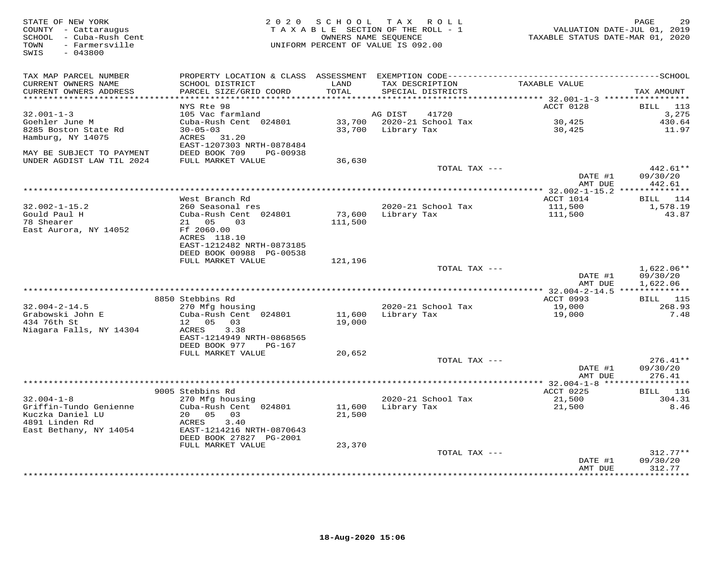| STATE OF NEW YORK<br>COUNTY - Cattaraugus<br>SCHOOL - Cuba-Rush Cent<br>- Farmersville<br>TOWN<br>SWIS<br>$-043800$ |                                                      | OWNERS NAME SEQUENCE | 2020 SCHOOL TAX ROLL<br>TAXABLE SECTION OF THE ROLL - 1<br>UNIFORM PERCENT OF VALUE IS 092.00 | VALUATION DATE-JUL 01, 2019<br>TAXABLE STATUS DATE-MAR 01, 2020 | PAGE<br>29            |
|---------------------------------------------------------------------------------------------------------------------|------------------------------------------------------|----------------------|-----------------------------------------------------------------------------------------------|-----------------------------------------------------------------|-----------------------|
| TAX MAP PARCEL NUMBER<br>CURRENT OWNERS NAME                                                                        | SCHOOL DISTRICT                                      | LAND                 | TAX DESCRIPTION                                                                               | TAXABLE VALUE                                                   |                       |
| CURRENT OWNERS ADDRESS                                                                                              | PARCEL SIZE/GRID COORD                               | TOTAL<br>*********** | SPECIAL DISTRICTS<br>********************************* 32.001-1-3 *****************           |                                                                 | TAX AMOUNT            |
|                                                                                                                     | NYS Rte 98                                           |                      |                                                                                               | ACCT 0128                                                       | BILL<br>113           |
| $32.001 - 1 - 3$                                                                                                    | 105 Vac farmland                                     |                      | 41720<br>AG DIST                                                                              |                                                                 | 3,275                 |
| Goehler June M                                                                                                      | Cuba-Rush Cent 024801                                |                      | 33,700 2020-21 School Tax                                                                     | 30,425                                                          | 430.64                |
| 8285 Boston State Rd                                                                                                | $30 - 05 - 03$                                       | 33,700               | Library Tax                                                                                   | 30,425                                                          | 11.97                 |
| Hamburg, NY 14075                                                                                                   | ACRES 31.20                                          |                      |                                                                                               |                                                                 |                       |
|                                                                                                                     | EAST-1207303 NRTH-0878484                            |                      |                                                                                               |                                                                 |                       |
| MAY BE SUBJECT TO PAYMENT                                                                                           | DEED BOOK 709<br>PG-00938                            |                      |                                                                                               |                                                                 |                       |
| UNDER AGDIST LAW TIL 2024                                                                                           | FULL MARKET VALUE                                    | 36,630               | TOTAL TAX ---                                                                                 |                                                                 | 442.61**              |
|                                                                                                                     |                                                      |                      |                                                                                               | DATE #1                                                         | 09/30/20              |
|                                                                                                                     |                                                      |                      |                                                                                               | AMT DUE                                                         | 442.61                |
|                                                                                                                     |                                                      |                      |                                                                                               |                                                                 |                       |
|                                                                                                                     | West Branch Rd                                       |                      |                                                                                               | ACCT 1014                                                       | <b>BILL</b> 114       |
| $32.002 - 1 - 15.2$                                                                                                 | 260 Seasonal res                                     |                      | 2020-21 School Tax                                                                            | 111,500                                                         | 1,578.19              |
| Gould Paul H                                                                                                        | Cuba-Rush Cent 024801                                | 73,600               | Library Tax                                                                                   | 111,500                                                         | 43.87                 |
| 78 Shearer<br>East Aurora, NY 14052                                                                                 | 21 05<br>03<br>Ff 2060.00                            | 111,500              |                                                                                               |                                                                 |                       |
|                                                                                                                     | ACRES 118.10                                         |                      |                                                                                               |                                                                 |                       |
|                                                                                                                     | EAST-1212482 NRTH-0873185                            |                      |                                                                                               |                                                                 |                       |
|                                                                                                                     | DEED BOOK 00988 PG-00538                             |                      |                                                                                               |                                                                 |                       |
|                                                                                                                     | FULL MARKET VALUE                                    | 121,196              |                                                                                               |                                                                 |                       |
|                                                                                                                     |                                                      |                      | TOTAL TAX ---                                                                                 |                                                                 | $1,622.06**$          |
|                                                                                                                     |                                                      |                      |                                                                                               | DATE #1                                                         | 09/30/20              |
|                                                                                                                     |                                                      |                      |                                                                                               | AMT DUE                                                         | 1,622.06              |
|                                                                                                                     | 8850 Stebbins Rd                                     |                      |                                                                                               | ACCT 0993                                                       | <b>BILL</b> 115       |
| $32.004 - 2 - 14.5$                                                                                                 | 270 Mfg housing                                      |                      | 2020-21 School Tax                                                                            | 19,000                                                          | 268.93                |
| Grabowski John E                                                                                                    | Cuba-Rush Cent 024801                                | 11,600               | Library Tax                                                                                   | 19,000                                                          | 7.48                  |
| 434 76th St                                                                                                         | 12 05<br>03                                          | 19,000               |                                                                                               |                                                                 |                       |
| Niagara Falls, NY 14304                                                                                             | 3.38<br>ACRES                                        |                      |                                                                                               |                                                                 |                       |
|                                                                                                                     | EAST-1214949 NRTH-0868565<br>DEED BOOK 977<br>PG-167 |                      |                                                                                               |                                                                 |                       |
|                                                                                                                     | FULL MARKET VALUE                                    | 20,652               |                                                                                               |                                                                 |                       |
|                                                                                                                     |                                                      |                      | TOTAL TAX ---                                                                                 |                                                                 | $276.41**$            |
|                                                                                                                     |                                                      |                      |                                                                                               | DATE #1                                                         | 09/30/20              |
|                                                                                                                     |                                                      |                      |                                                                                               | AMT DUE                                                         | 276.41                |
|                                                                                                                     |                                                      |                      |                                                                                               |                                                                 | * * * * * * * * * * * |
|                                                                                                                     | 9005 Stebbins Rd                                     |                      |                                                                                               | ACCT 0225                                                       | BILL 116              |
| $32.004 - 1 - 8$                                                                                                    | 270 Mfg housing                                      |                      | 2020-21 School Tax                                                                            | 21,500                                                          | 304.31                |
| Griffin-Tundo Genienne<br>Kuczka Daniel LU                                                                          | Cuba-Rush Cent 024801<br>20 05<br>03                 | 11,600<br>21,500     | Library Tax                                                                                   | 21,500                                                          | 8.46                  |
| 4891 Linden Rd                                                                                                      | 3.40<br>ACRES                                        |                      |                                                                                               |                                                                 |                       |
| East Bethany, NY 14054                                                                                              | EAST-1214216 NRTH-0870643                            |                      |                                                                                               |                                                                 |                       |
|                                                                                                                     | DEED BOOK 27827 PG-2001                              |                      |                                                                                               |                                                                 |                       |
|                                                                                                                     | FULL MARKET VALUE                                    | 23,370               |                                                                                               |                                                                 |                       |
|                                                                                                                     |                                                      |                      | TOTAL TAX ---                                                                                 |                                                                 | $312.77**$            |
|                                                                                                                     |                                                      |                      |                                                                                               | DATE #1                                                         | 09/30/20              |
|                                                                                                                     |                                                      |                      |                                                                                               | AMT DUE                                                         | 312.77<br>********    |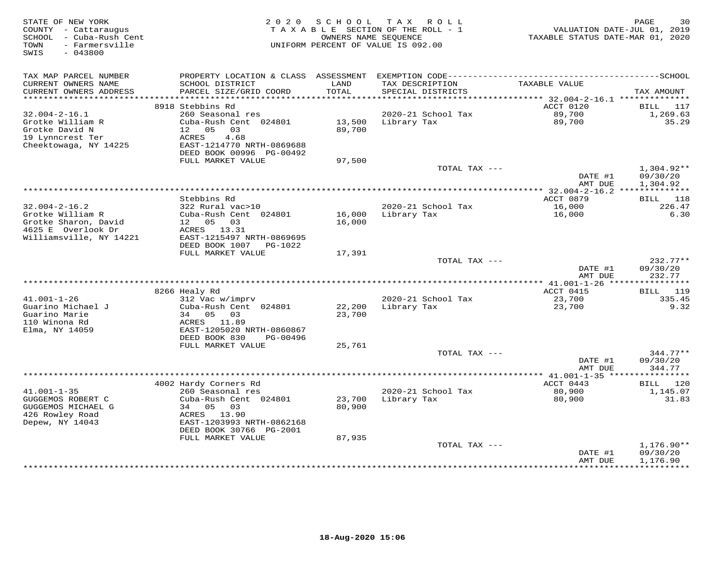| STATE OF NEW YORK<br>COUNTY - Cattaraugus<br>- Cuba-Rush Cent<br>SCHOOL<br>- Farmersville<br>TOWN | 2 0 2 0                                        | SCHOOL           | T A X<br>R O L L<br>TAXABLE SECTION OF THE ROLL - 1<br>OWNERS NAME SEOUENCE<br>UNIFORM PERCENT OF VALUE IS 092.00 | VALUATION DATE-JUL 01, 2019<br>TAXABLE STATUS DATE-MAR 01, 2020 | PAGE<br>30             |
|---------------------------------------------------------------------------------------------------|------------------------------------------------|------------------|-------------------------------------------------------------------------------------------------------------------|-----------------------------------------------------------------|------------------------|
| SWIS<br>$-043800$                                                                                 |                                                |                  |                                                                                                                   |                                                                 |                        |
| TAX MAP PARCEL NUMBER                                                                             |                                                |                  |                                                                                                                   |                                                                 |                        |
| CURRENT OWNERS NAME<br>CURRENT OWNERS ADDRESS                                                     | SCHOOL DISTRICT<br>PARCEL SIZE/GRID COORD      | LAND<br>TOTAL    | TAX DESCRIPTION<br>SPECIAL DISTRICTS                                                                              | TAXABLE VALUE                                                   | TAX AMOUNT             |
| ***********************                                                                           | 8918 Stebbins Rd                               |                  |                                                                                                                   | ACCT 0120                                                       | <b>BILL</b><br>117     |
| $32.004 - 2 - 16.1$                                                                               | 260 Seasonal res                               |                  | 2020-21 School Tax                                                                                                | 89,700                                                          | 1,269.63               |
| Grotke William R                                                                                  | Cuba-Rush Cent 024801                          | 13,500           | Library Tax                                                                                                       | 89,700                                                          | 35.29                  |
| Grotke David N                                                                                    | 12 <sup>°</sup><br>0.5<br>03                   | 89,700           |                                                                                                                   |                                                                 |                        |
| 19 Lynncrest Ter                                                                                  | ACRES<br>4.68                                  |                  |                                                                                                                   |                                                                 |                        |
| Cheektowaga, NY 14225                                                                             | EAST-1214770 NRTH-0869688                      |                  |                                                                                                                   |                                                                 |                        |
|                                                                                                   | DEED BOOK 00996 PG-00492                       |                  |                                                                                                                   |                                                                 |                        |
|                                                                                                   | FULL MARKET VALUE                              | 97,500           | TOTAL TAX ---                                                                                                     |                                                                 | $1,304.92**$           |
|                                                                                                   |                                                |                  |                                                                                                                   | DATE #1                                                         | 09/30/20               |
|                                                                                                   |                                                |                  |                                                                                                                   | AMT DUE                                                         | 1,304.92               |
|                                                                                                   |                                                |                  |                                                                                                                   | ************** 32.004-2-16.2 ***************                    |                        |
|                                                                                                   | Stebbins Rd                                    |                  |                                                                                                                   | ACCT 0879                                                       | 118<br>BILL            |
| $32.004 - 2 - 16.2$                                                                               | 322 Rural vac>10                               |                  | 2020-21 School Tax                                                                                                | 16,000                                                          | 226.47                 |
| Grotke William R<br>Grotke Sharon, David                                                          | Cuba-Rush Cent 024801                          | 16,000           | Library Tax                                                                                                       | 16,000                                                          | 6.30                   |
| 4625 E Overlook Dr                                                                                | 12  05  03<br>ACRES 13.31                      | 16,000           |                                                                                                                   |                                                                 |                        |
| Williamsville, NY 14221                                                                           | EAST-1215497 NRTH-0869695                      |                  |                                                                                                                   |                                                                 |                        |
|                                                                                                   | DEED BOOK 1007<br>PG-1022                      |                  |                                                                                                                   |                                                                 |                        |
|                                                                                                   | FULL MARKET VALUE                              | 17,391           |                                                                                                                   |                                                                 |                        |
|                                                                                                   |                                                |                  | TOTAL TAX ---                                                                                                     |                                                                 | $232.77**$             |
|                                                                                                   |                                                |                  |                                                                                                                   | DATE #1                                                         | 09/30/20               |
|                                                                                                   |                                                |                  |                                                                                                                   | AMT DUE<br>*** 41.001-1-26 *****************                    | 232.77                 |
|                                                                                                   | 8266 Healy Rd                                  |                  |                                                                                                                   | ACCT 0415                                                       | 119<br>BILL            |
| $41.001 - 1 - 26$                                                                                 | 312 Vac w/imprv                                |                  | 2020-21 School Tax                                                                                                | 23,700                                                          | 335.45                 |
| Guarino Michael J                                                                                 | Cuba-Rush Cent 024801                          | 22,200           | Library Tax                                                                                                       | 23,700                                                          | 9.32                   |
| Guarino Marie                                                                                     | 34<br>05<br>03                                 | 23,700           |                                                                                                                   |                                                                 |                        |
| 110 Winona Rd                                                                                     | ACRES<br>11.89                                 |                  |                                                                                                                   |                                                                 |                        |
| Elma, NY 14059                                                                                    | EAST-1205020 NRTH-0860867                      |                  |                                                                                                                   |                                                                 |                        |
|                                                                                                   | DEED BOOK 830<br>PG-00496<br>FULL MARKET VALUE | 25,761           |                                                                                                                   |                                                                 |                        |
|                                                                                                   |                                                |                  | TOTAL TAX ---                                                                                                     |                                                                 | $344.77**$             |
|                                                                                                   |                                                |                  |                                                                                                                   | DATE #1                                                         | 09/30/20               |
|                                                                                                   |                                                |                  |                                                                                                                   | AMT DUE                                                         | 344.77                 |
|                                                                                                   |                                                |                  |                                                                                                                   | ************** 41.001-1-35 *****                                | * * * * * * * *        |
|                                                                                                   | 4002 Hardy Corners Rd                          |                  |                                                                                                                   | ACCT 0443                                                       | 120<br>BILL            |
| $41.001 - 1 - 35$                                                                                 | 260 Seasonal res                               |                  | 2020-21 School Tax                                                                                                | 80,900                                                          | 1,145.07               |
| GUGGEMOS ROBERT C<br>GUGGEMOS MICHAEL G                                                           | Cuba-Rush Cent 024801<br>34<br>05<br>03        | 23,700<br>80,900 | Library Tax                                                                                                       | 80,900                                                          | 31.83                  |
| 426 Rowley Road                                                                                   | 13.90<br>ACRES                                 |                  |                                                                                                                   |                                                                 |                        |
| Depew, NY 14043                                                                                   | EAST-1203993 NRTH-0862168                      |                  |                                                                                                                   |                                                                 |                        |
|                                                                                                   | DEED BOOK 30766 PG-2001                        |                  |                                                                                                                   |                                                                 |                        |
|                                                                                                   | FULL MARKET VALUE                              | 87,935           |                                                                                                                   |                                                                 |                        |
|                                                                                                   |                                                |                  | TOTAL TAX ---                                                                                                     |                                                                 | $1,176.90**$           |
|                                                                                                   |                                                |                  |                                                                                                                   | DATE #1                                                         | 09/30/20               |
|                                                                                                   |                                                |                  |                                                                                                                   | AMT DUE<br>**********                                           | 1,176.90<br>********** |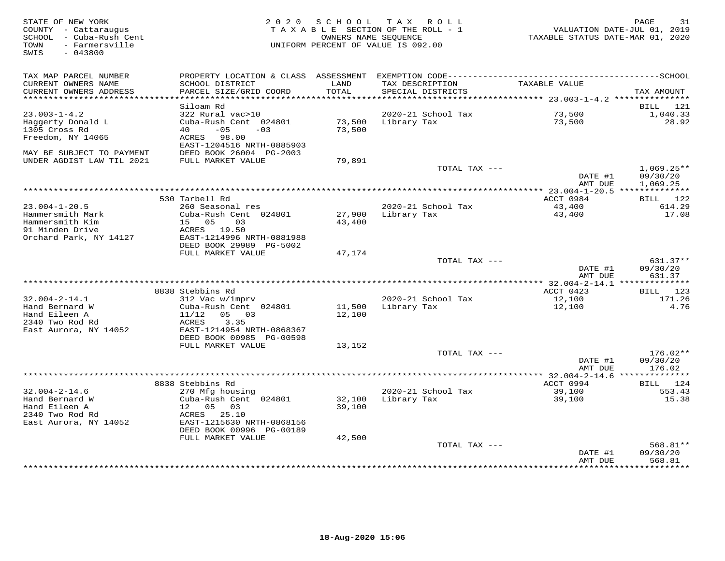| STATE OF NEW YORK<br>COUNTY - Cattaraugus<br>SCHOOL - Cuba-Rush Cent<br>- Farmersville<br>TOWN<br>$-043800$<br>SWIS | 2 0 2 0                                               | SCHOOL        | TAX ROLL<br>TAXABLE SECTION OF THE ROLL - 1<br>OWNERS NAME SEQUENCE<br>UNIFORM PERCENT OF VALUE IS 092.00 | TAXABLE STATUS DATE-MAR 01, 2020          | PAGE<br>31<br>VALUATION DATE-JUL 01, 2019 |
|---------------------------------------------------------------------------------------------------------------------|-------------------------------------------------------|---------------|-----------------------------------------------------------------------------------------------------------|-------------------------------------------|-------------------------------------------|
| TAX MAP PARCEL NUMBER                                                                                               | PROPERTY LOCATION & CLASS ASSESSMENT                  |               |                                                                                                           |                                           |                                           |
| CURRENT OWNERS NAME<br>CURRENT OWNERS ADDRESS                                                                       | SCHOOL DISTRICT<br>PARCEL SIZE/GRID COORD             | LAND<br>TOTAL | TAX DESCRIPTION<br>SPECIAL DISTRICTS                                                                      | TAXABLE VALUE                             | TAX AMOUNT                                |
| **********************                                                                                              | ************************                              |               |                                                                                                           |                                           |                                           |
| $23.003 - 1 - 4.2$                                                                                                  | Siloam Rd<br>322 Rural vac>10                         |               | 2020-21 School Tax                                                                                        | 73,500                                    | BILL<br>121<br>1,040.33                   |
| Haggerty Donald L                                                                                                   | Cuba-Rush Cent 024801                                 | 73,500        | Library Tax                                                                                               | 73,500                                    | 28.92                                     |
| 1305 Cross Rd                                                                                                       | 40<br>$-05$<br>$-03$                                  | 73,500        |                                                                                                           |                                           |                                           |
| Freedom, NY 14065                                                                                                   | ACRES 98.00                                           |               |                                                                                                           |                                           |                                           |
|                                                                                                                     | EAST-1204516 NRTH-0885903                             |               |                                                                                                           |                                           |                                           |
| MAY BE SUBJECT TO PAYMENT                                                                                           | DEED BOOK 26004 PG-2003                               |               |                                                                                                           |                                           |                                           |
| UNDER AGDIST LAW TIL 2021                                                                                           | FULL MARKET VALUE                                     | 79,891        | TOTAL TAX ---                                                                                             |                                           | $1,069.25**$                              |
|                                                                                                                     |                                                       |               |                                                                                                           | DATE #1                                   | 09/30/20                                  |
|                                                                                                                     |                                                       |               |                                                                                                           | AMT DUE                                   | 1,069.25                                  |
|                                                                                                                     |                                                       |               | ***********************                                                                                   | *** 23.004-1-20.5 ***************         |                                           |
|                                                                                                                     | 530 Tarbell Rd                                        |               |                                                                                                           | ACCT 0984                                 | BILL 122                                  |
| $23.004 - 1 - 20.5$                                                                                                 | 260 Seasonal res                                      |               | 2020-21 School Tax                                                                                        | 43,400                                    | 614.29                                    |
| Hammersmith Mark                                                                                                    | Cuba-Rush Cent 024801                                 | 27,900        | Library Tax                                                                                               | 43,400                                    | 17.08                                     |
| Hammersmith Kim<br>91 Minden Drive                                                                                  | 15 05<br>0.3<br>ACRES 19.50                           | 43,400        |                                                                                                           |                                           |                                           |
| Orchard Park, NY 14127                                                                                              | EAST-1214996 NRTH-0881988                             |               |                                                                                                           |                                           |                                           |
|                                                                                                                     | DEED BOOK 29989 PG-5002                               |               |                                                                                                           |                                           |                                           |
|                                                                                                                     | FULL MARKET VALUE                                     | 47,174        |                                                                                                           |                                           |                                           |
|                                                                                                                     |                                                       |               | TOTAL TAX ---                                                                                             |                                           | 631.37**                                  |
|                                                                                                                     |                                                       |               |                                                                                                           | DATE #1                                   | 09/30/20                                  |
|                                                                                                                     |                                                       |               |                                                                                                           | AMT DUE                                   | 631.37                                    |
|                                                                                                                     | 8838 Stebbins Rd                                      |               |                                                                                                           | ACCT 0423                                 | BILL 123                                  |
| $32.004 - 2 - 14.1$                                                                                                 | 312 Vac w/imprv                                       |               | 2020-21 School Tax                                                                                        | 12,100                                    | 171.26                                    |
| Hand Bernard W                                                                                                      | Cuba-Rush Cent 024801                                 | 11,500        | Library Tax                                                                                               | 12,100                                    | 4.76                                      |
| Hand Eileen A                                                                                                       | 11/12<br>05 03                                        | 12,100        |                                                                                                           |                                           |                                           |
| 2340 Two Rod Rd                                                                                                     | ACRES<br>3.35                                         |               |                                                                                                           |                                           |                                           |
| East Aurora, NY 14052                                                                                               | EAST-1214954 NRTH-0868367<br>DEED BOOK 00985 PG-00598 |               |                                                                                                           |                                           |                                           |
|                                                                                                                     | FULL MARKET VALUE                                     | 13,152        |                                                                                                           |                                           |                                           |
|                                                                                                                     |                                                       |               | TOTAL TAX ---                                                                                             |                                           | $176.02**$                                |
|                                                                                                                     |                                                       |               |                                                                                                           | DATE #1                                   | 09/30/20                                  |
|                                                                                                                     |                                                       |               |                                                                                                           | AMT DUE                                   | 176.02                                    |
|                                                                                                                     |                                                       |               |                                                                                                           | *********** 32.004-2-14.6 *************** |                                           |
|                                                                                                                     | 8838 Stebbins Rd                                      |               |                                                                                                           | ACCT 0994                                 | 124<br>BILL                               |
| $32.004 - 2 - 14.6$<br>Hand Bernard W                                                                               | 270 Mfg housing<br>Cuba-Rush Cent 024801              | 32,100        | 2020-21 School Tax<br>Library Tax                                                                         | 39,100<br>39,100                          | 553.43<br>15.38                           |
| Hand Eileen A                                                                                                       | 12<br>05<br>03                                        | 39,100        |                                                                                                           |                                           |                                           |
| 2340 Two Rod Rd                                                                                                     | 25.10<br>ACRES                                        |               |                                                                                                           |                                           |                                           |
| East Aurora, NY 14052                                                                                               | EAST-1215630 NRTH-0868156                             |               |                                                                                                           |                                           |                                           |
|                                                                                                                     | DEED BOOK 00996 PG-00189                              |               |                                                                                                           |                                           |                                           |
|                                                                                                                     | FULL MARKET VALUE                                     | 42,500        |                                                                                                           |                                           |                                           |
|                                                                                                                     |                                                       |               | TOTAL TAX ---                                                                                             |                                           | 568.81**<br>09/30/20                      |
|                                                                                                                     |                                                       |               |                                                                                                           | DATE #1<br>AMT DUE                        | 568.81                                    |
|                                                                                                                     |                                                       |               |                                                                                                           |                                           | * * * * * * * * *                         |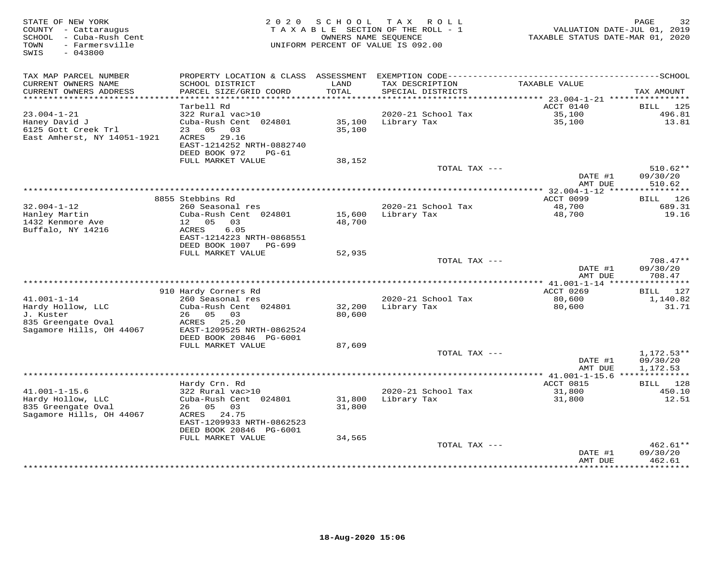| STATE OF NEW YORK<br>COUNTY - Cattaraugus<br>SCHOOL - Cuba-Rush Cent<br>- Farmersville<br>TOWN<br>$-043800$<br>SWIS | 2 0 2 0                                             | SCHOOL        | T A X<br>R O L L<br>TAXABLE SECTION OF THE ROLL - 1<br>OWNERS NAME SEQUENCE<br>UNIFORM PERCENT OF VALUE IS 092.00 | VALUATION DATE-JUL 01, 2019<br>TAXABLE STATUS DATE-MAR 01, 2020 | PAGE<br>32               |
|---------------------------------------------------------------------------------------------------------------------|-----------------------------------------------------|---------------|-------------------------------------------------------------------------------------------------------------------|-----------------------------------------------------------------|--------------------------|
| TAX MAP PARCEL NUMBER                                                                                               | PROPERTY LOCATION & CLASS ASSESSMENT                |               |                                                                                                                   |                                                                 |                          |
| CURRENT OWNERS NAME<br>CURRENT OWNERS ADDRESS<br>***********************                                            | SCHOOL DISTRICT<br>PARCEL SIZE/GRID COORD           | LAND<br>TOTAL | TAX DESCRIPTION<br>SPECIAL DISTRICTS                                                                              | TAXABLE VALUE                                                   | TAX AMOUNT               |
|                                                                                                                     | Tarbell Rd                                          |               |                                                                                                                   | ACCT 0140                                                       | 125<br>BILL              |
| $23.004 - 1 - 21$                                                                                                   | 322 Rural vac>10                                    |               | 2020-21 School Tax                                                                                                | 35,100                                                          | 496.81                   |
| Haney David J                                                                                                       | Cuba-Rush Cent 024801                               | 35,100        | Library Tax                                                                                                       | 35,100                                                          | 13.81                    |
| 6125 Gott Creek Trl                                                                                                 | 23 05<br>03                                         | 35,100        |                                                                                                                   |                                                                 |                          |
| East Amherst, NY 14051-1921                                                                                         | 29.16<br>ACRES                                      |               |                                                                                                                   |                                                                 |                          |
|                                                                                                                     | EAST-1214252 NRTH-0882740<br>DEED BOOK 972<br>PG-61 |               |                                                                                                                   |                                                                 |                          |
|                                                                                                                     | FULL MARKET VALUE                                   | 38,152        |                                                                                                                   |                                                                 |                          |
|                                                                                                                     |                                                     |               | TOTAL TAX ---                                                                                                     |                                                                 | $510.62**$               |
|                                                                                                                     |                                                     |               |                                                                                                                   | DATE #1                                                         | 09/30/20                 |
|                                                                                                                     |                                                     |               | ************************************                                                                              | AMT DUE                                                         | 510.62                   |
|                                                                                                                     | 8855 Stebbins Rd                                    |               |                                                                                                                   | ** $32.004 - 1 - 12$ ****<br>ACCT 0099                          | ***********              |
| $32.004 - 1 - 12$                                                                                                   | 260 Seasonal res                                    |               | 2020-21 School Tax                                                                                                | 48,700                                                          | 126<br>BILL<br>689.31    |
| Hanley Martin                                                                                                       | Cuba-Rush Cent 024801                               | 15,600        | Library Tax                                                                                                       | 48,700                                                          | 19.16                    |
| 1432 Kenmore Ave                                                                                                    | 12 05<br>03                                         | 48,700        |                                                                                                                   |                                                                 |                          |
| Buffalo, NY 14216                                                                                                   | 6.05<br>ACRES                                       |               |                                                                                                                   |                                                                 |                          |
|                                                                                                                     | EAST-1214223 NRTH-0868551                           |               |                                                                                                                   |                                                                 |                          |
|                                                                                                                     | DEED BOOK 1007 PG-699<br>FULL MARKET VALUE          |               |                                                                                                                   |                                                                 |                          |
|                                                                                                                     |                                                     | 52,935        | TOTAL TAX ---                                                                                                     |                                                                 | $708.47**$               |
|                                                                                                                     |                                                     |               |                                                                                                                   | DATE #1                                                         | 09/30/20                 |
|                                                                                                                     |                                                     |               |                                                                                                                   | AMT DUE                                                         | 708.47                   |
|                                                                                                                     |                                                     |               |                                                                                                                   |                                                                 |                          |
|                                                                                                                     | 910 Hardy Corners Rd                                |               |                                                                                                                   | ACCT 0269                                                       | BILL 127                 |
| $41.001 - 1 - 14$<br>Hardy Hollow, LLC                                                                              | 260 Seasonal res<br>Cuba-Rush Cent 024801           | 32,200        | 2020-21 School Tax<br>Library Tax                                                                                 | 80,600<br>80,600                                                | 1,140.82<br>31.71        |
| J. Kuster                                                                                                           | 26 05 03                                            | 80,600        |                                                                                                                   |                                                                 |                          |
| 835 Greengate Oval                                                                                                  | 25.20<br>ACRES                                      |               |                                                                                                                   |                                                                 |                          |
| Sagamore Hills, OH 44067                                                                                            | EAST-1209525 NRTH-0862524                           |               |                                                                                                                   |                                                                 |                          |
|                                                                                                                     | DEED BOOK 20846 PG-6001                             |               |                                                                                                                   |                                                                 |                          |
|                                                                                                                     | FULL MARKET VALUE                                   | 87,609        |                                                                                                                   |                                                                 |                          |
|                                                                                                                     |                                                     |               | TOTAL TAX ---                                                                                                     | DATE #1                                                         | $1,172.53**$<br>09/30/20 |
|                                                                                                                     |                                                     |               |                                                                                                                   | AMT DUE                                                         | 1,172.53                 |
|                                                                                                                     |                                                     |               |                                                                                                                   | *************** 41.001-1-15.6 ***************                   |                          |
|                                                                                                                     | Hardy Crn. Rd                                       |               |                                                                                                                   | ACCT 0815                                                       | 128<br>BILL              |
| $41.001 - 1 - 15.6$                                                                                                 | 322 Rural vac>10                                    |               | 2020-21 School Tax                                                                                                | 31,800                                                          | 450.10                   |
| Hardy Hollow, LLC                                                                                                   | Cuba-Rush Cent 024801                               | 31,800        | Library Tax                                                                                                       | 31,800                                                          | 12.51                    |
| 835 Greengate Oval<br>Sagamore Hills, OH 44067                                                                      | 26<br>05<br>03<br>ACRES 24.75                       | 31,800        |                                                                                                                   |                                                                 |                          |
|                                                                                                                     | EAST-1209933 NRTH-0862523                           |               |                                                                                                                   |                                                                 |                          |
|                                                                                                                     | DEED BOOK 20846 PG-6001                             |               |                                                                                                                   |                                                                 |                          |
|                                                                                                                     | FULL MARKET VALUE                                   | 34,565        |                                                                                                                   |                                                                 |                          |
|                                                                                                                     |                                                     |               | TOTAL TAX ---                                                                                                     |                                                                 | 462.61**                 |
|                                                                                                                     |                                                     |               |                                                                                                                   | DATE #1                                                         | 09/30/20<br>462.61       |
|                                                                                                                     |                                                     |               |                                                                                                                   | AMT DUE<br>************                                         | **********               |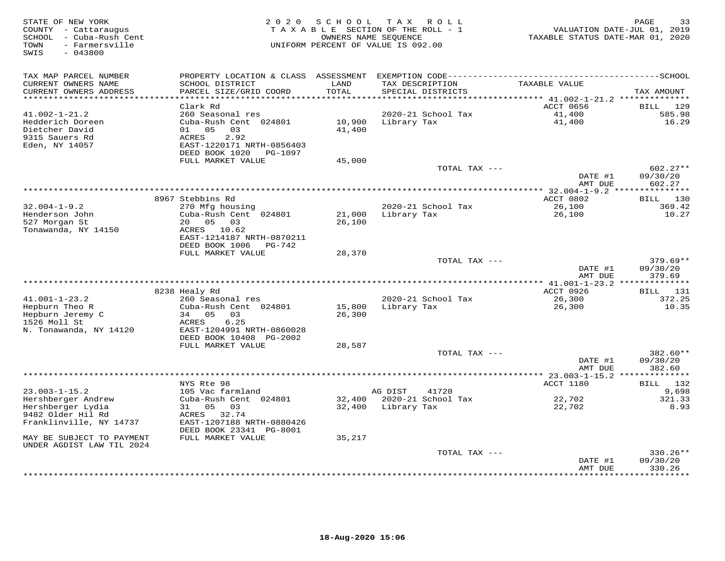| STATE OF NEW YORK<br>COUNTY - Cattaraugus<br>- Cuba-Rush Cent<br>SCHOOL<br>- Farmersville<br>TOWN<br>$-043800$<br>SWIS | 2 0 2 0                                                                                                            | SCHOOL                                  | T A X<br>R O L L<br>TAXABLE SECTION OF THE ROLL - 1<br>OWNERS NAME SEQUENCE<br>UNIFORM PERCENT OF VALUE IS 092.00 | TAXABLE STATUS DATE-MAR 01, 2020                                                 | 33<br>PAGE<br>VALUATION DATE-JUL 01, 2019 |
|------------------------------------------------------------------------------------------------------------------------|--------------------------------------------------------------------------------------------------------------------|-----------------------------------------|-------------------------------------------------------------------------------------------------------------------|----------------------------------------------------------------------------------|-------------------------------------------|
| TAX MAP PARCEL NUMBER<br>CURRENT OWNERS NAME<br>CURRENT OWNERS ADDRESS<br>********************                         | PROPERTY LOCATION & CLASS<br>SCHOOL DISTRICT<br>PARCEL SIZE/GRID COORD<br>***********************                  | ASSESSMENT<br>LAND<br>TOTAL<br>******** | TAX DESCRIPTION<br>SPECIAL DISTRICTS                                                                              | TAXABLE VALUE                                                                    | TAX AMOUNT                                |
|                                                                                                                        | Clark Rd                                                                                                           |                                         |                                                                                                                   | ************************************** 41.002-1-21.2 **************<br>ACCT 0656 | 129<br><b>BILL</b>                        |
| $41.002 - 1 - 21.2$<br>Hedderich Doreen<br>Dietcher David<br>9315 Sauers Rd<br>Eden, NY 14057                          | 260 Seasonal res<br>Cuba-Rush Cent 024801<br>05<br>03<br>01<br>2.92<br>ACRES<br>EAST-1220171 NRTH-0856403          | 10,900<br>41,400                        | 2020-21 School Tax<br>Library Tax                                                                                 | 41,400<br>41,400                                                                 | 585.98<br>16.29                           |
|                                                                                                                        | DEED BOOK 1020<br>PG-1097                                                                                          |                                         |                                                                                                                   |                                                                                  |                                           |
|                                                                                                                        | FULL MARKET VALUE                                                                                                  | 45,000                                  | TOTAL TAX ---                                                                                                     | DATE #1                                                                          | $602.27**$<br>09/30/20                    |
|                                                                                                                        |                                                                                                                    |                                         |                                                                                                                   | AMT DUE                                                                          | 602.27                                    |
|                                                                                                                        |                                                                                                                    |                                         |                                                                                                                   | ******* 32.004-1-9.2 ***************<br>ACCT 0802                                |                                           |
| $32.004 - 1 - 9.2$                                                                                                     | 8967 Stebbins Rd<br>270 Mfg housing                                                                                |                                         | 2020-21 School Tax                                                                                                | 26,100                                                                           | BILL 130<br>369.42                        |
| Henderson John<br>527 Morgan St<br>Tonawanda, NY 14150                                                                 | Cuba-Rush Cent 024801<br>05<br>03<br>20<br>ACRES<br>10.62<br>EAST-1214187 NRTH-0870211<br>DEED BOOK 1006<br>PG-742 | 21,000<br>26,100                        | Library Tax                                                                                                       | 26,100                                                                           | 10.27                                     |
|                                                                                                                        | FULL MARKET VALUE                                                                                                  | 28,370                                  |                                                                                                                   |                                                                                  |                                           |
|                                                                                                                        |                                                                                                                    |                                         | TOTAL TAX ---                                                                                                     | DATE #1<br>AMT DUE                                                               | $379.69**$<br>09/30/20<br>379.69          |
|                                                                                                                        |                                                                                                                    |                                         |                                                                                                                   | ********** 41.001-1-23.2                                                         |                                           |
|                                                                                                                        | 8238 Healy Rd                                                                                                      |                                         |                                                                                                                   | ACCT 0926                                                                        | 131<br>BILL                               |
| $41.001 - 1 - 23.2$<br>Hepburn Theo R<br>Hepburn Jeremy C<br>1526 Moll St<br>N. Tonawanda, NY 14120                    | 260 Seasonal res<br>Cuba-Rush Cent 024801<br>0.5<br>03<br>34<br>6.25<br>ACRES<br>EAST-1204991 NRTH-0860028         | 15,800<br>26,300                        | 2020-21 School Tax<br>Library Tax                                                                                 | 26,300<br>26,300                                                                 | 372.25<br>10.35                           |
|                                                                                                                        | DEED BOOK 10408 PG-2002                                                                                            |                                         |                                                                                                                   |                                                                                  |                                           |
|                                                                                                                        | FULL MARKET VALUE                                                                                                  | 28,587                                  | TOTAL TAX ---                                                                                                     |                                                                                  | 382.60**                                  |
|                                                                                                                        |                                                                                                                    |                                         | ***********************                                                                                           | DATE #1<br>AMT DUE                                                               | 09/30/20<br>382.60                        |
|                                                                                                                        | NYS Rte 98                                                                                                         |                                         |                                                                                                                   | ** 23.003-1-15.2 ***************<br>ACCT 1180                                    | BILL 132                                  |
| $23.003 - 1 - 15.2$                                                                                                    | 105 Vac farmland                                                                                                   |                                         | AG DIST<br>41720                                                                                                  |                                                                                  | 9,698                                     |
| Hershberger Andrew                                                                                                     | Cuba-Rush Cent 024801                                                                                              | 32,400                                  | 2020-21 School Tax                                                                                                | 22,702                                                                           | 321.33                                    |
| Hershberger Lydia<br>9482 Older Hil Rd                                                                                 | 05<br>03<br>31<br>32.74<br>ACRES                                                                                   | 32,400                                  | Library Tax                                                                                                       | 22,702                                                                           | 8.93                                      |
| Franklinville, NY 14737                                                                                                | EAST-1207188 NRTH-0880426                                                                                          |                                         |                                                                                                                   |                                                                                  |                                           |
| MAY BE SUBJECT TO PAYMENT                                                                                              | DEED BOOK 23341 PG-8001<br>FULL MARKET VALUE                                                                       | 35,217                                  |                                                                                                                   |                                                                                  |                                           |
| UNDER AGDIST LAW TIL 2024                                                                                              |                                                                                                                    |                                         |                                                                                                                   |                                                                                  |                                           |
|                                                                                                                        |                                                                                                                    |                                         | TOTAL TAX ---                                                                                                     | DATE #1                                                                          | 330.26**<br>09/30/20                      |
|                                                                                                                        |                                                                                                                    |                                         |                                                                                                                   | AMT DUE                                                                          | 330.26<br>* * * * * * * *                 |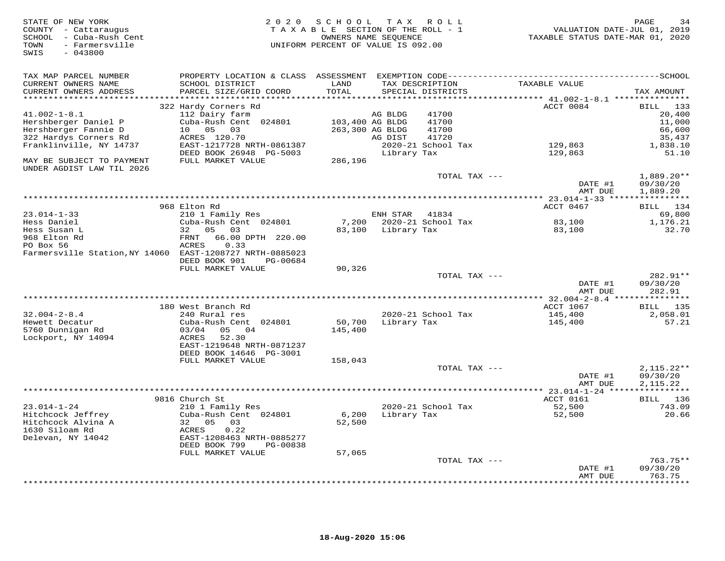| STATE OF NEW YORK<br>COUNTY - Cattaraugus<br>SCHOOL - Cuba-Rush Cent<br>- Farmersville<br>TOWN<br>SWIS<br>$-043800$ | 2 0 2 0                                        | SCHOOL<br>TAXABLE SECTION OF THE ROLL - 1<br>OWNERS NAME SEQUENCE<br>UNIFORM PERCENT OF VALUE IS 092.00 |                 | TAX ROLL                             | TAXABLE STATUS DATE-MAR 01, 2020                     | PAGE<br>34<br>VALUATION DATE-JUL 01, 2019 |
|---------------------------------------------------------------------------------------------------------------------|------------------------------------------------|---------------------------------------------------------------------------------------------------------|-----------------|--------------------------------------|------------------------------------------------------|-------------------------------------------|
| TAX MAP PARCEL NUMBER                                                                                               |                                                |                                                                                                         |                 |                                      |                                                      |                                           |
| CURRENT OWNERS NAME<br>CURRENT OWNERS ADDRESS<br>*********************                                              | SCHOOL DISTRICT<br>PARCEL SIZE/GRID COORD      | LAND<br>TOTAL<br>*********                                                                              |                 | TAX DESCRIPTION<br>SPECIAL DISTRICTS | TAXABLE VALUE                                        | TAX AMOUNT                                |
|                                                                                                                     | 322 Hardy Corners Rd                           |                                                                                                         |                 |                                      | ********* 41.002-1-8.1 ****************<br>ACCT 0084 | BILL 133                                  |
| $41.002 - 1 - 8.1$                                                                                                  | 112 Dairy farm                                 |                                                                                                         | AG BLDG         | 41700                                |                                                      | 20,400                                    |
| Hershberger Daniel P                                                                                                | Cuba-Rush Cent 024801                          | 103,400 AG BLDG                                                                                         |                 | 41700                                |                                                      | 11,000                                    |
| Hershberger Fannie D                                                                                                | 10 05<br>03                                    |                                                                                                         | 263,300 AG BLDG | 41700                                |                                                      | 66,600                                    |
| 322 Hardys Corners Rd                                                                                               | ACRES 120.70                                   |                                                                                                         | AG DIST         | 41720                                |                                                      | 35,437                                    |
| Franklinville, NY 14737                                                                                             | EAST-1217728 NRTH-0861387                      |                                                                                                         |                 | 2020-21 School Tax                   | 129,863                                              | 1,838.10                                  |
| MAY BE SUBJECT TO PAYMENT<br>UNDER AGDIST LAW TIL 2026                                                              | DEED BOOK 26948 PG-5003<br>FULL MARKET VALUE   | 286,196                                                                                                 | Library Tax     |                                      | 129,863                                              | 51.10                                     |
|                                                                                                                     |                                                |                                                                                                         |                 | TOTAL TAX ---                        |                                                      | $1,889.20**$                              |
|                                                                                                                     |                                                |                                                                                                         |                 |                                      | DATE #1<br>AMT DUE                                   | 09/30/20<br>1,889.20                      |
|                                                                                                                     |                                                | *************************************                                                                   |                 |                                      | *********** 23.014-1-33 ****************             |                                           |
|                                                                                                                     | 968 Elton Rd                                   |                                                                                                         |                 |                                      | ACCT 0467                                            | BILL 134                                  |
| $23.014 - 1 - 33$                                                                                                   | 210 1 Family Res                               |                                                                                                         | ENH STAR        | 41834                                |                                                      | 69,800                                    |
| Hess Daniel<br>Hess Susan L                                                                                         | Cuba-Rush Cent 024801<br>32<br>05<br>03        | 83,100                                                                                                  | Library Tax     | 7,200 2020-21 School Tax             | 83,100<br>83,100                                     | 1,176.21<br>32.70                         |
| 968 Elton Rd                                                                                                        | 66.00 DPTH 220.00<br>FRNT                      |                                                                                                         |                 |                                      |                                                      |                                           |
| PO Box 56                                                                                                           | ACRES<br>0.33                                  |                                                                                                         |                 |                                      |                                                      |                                           |
| Farmersville Station, NY 14060 EAST-1208727 NRTH-0885023                                                            | DEED BOOK 901<br>PG-00684                      |                                                                                                         |                 |                                      |                                                      |                                           |
|                                                                                                                     | FULL MARKET VALUE                              | 90,326                                                                                                  |                 |                                      |                                                      |                                           |
|                                                                                                                     |                                                |                                                                                                         |                 | TOTAL TAX ---                        | DATE #1                                              | 282.91**<br>09/30/20                      |
|                                                                                                                     |                                                |                                                                                                         |                 |                                      | AMT DUE                                              | 282.91                                    |
|                                                                                                                     |                                                | ********************************                                                                        |                 |                                      | *********** 32.004-2-8.4 ****                        | ***********                               |
|                                                                                                                     | 180 West Branch Rd                             |                                                                                                         |                 |                                      | ACCT 1067                                            | 135<br>BILL                               |
| $32.004 - 2 - 8.4$                                                                                                  | 240 Rural res                                  |                                                                                                         |                 | 2020-21 School Tax                   | 145,400                                              | 2,058.01                                  |
| Hewett Decatur                                                                                                      | Cuba-Rush Cent 024801                          | 50,700                                                                                                  | Library Tax     |                                      | 145,400                                              | 57.21                                     |
| 5760 Dunnigan Rd<br>Lockport, NY 14094                                                                              | 03/04<br>05<br>04<br>52.30<br>ACRES            | 145,400                                                                                                 |                 |                                      |                                                      |                                           |
|                                                                                                                     | EAST-1219648 NRTH-0871237                      |                                                                                                         |                 |                                      |                                                      |                                           |
|                                                                                                                     | DEED BOOK 14646 PG-3001                        |                                                                                                         |                 |                                      |                                                      |                                           |
|                                                                                                                     | FULL MARKET VALUE                              | 158,043                                                                                                 |                 |                                      |                                                      |                                           |
|                                                                                                                     |                                                |                                                                                                         |                 | TOTAL TAX ---                        |                                                      | $2,115.22**$                              |
|                                                                                                                     |                                                |                                                                                                         |                 |                                      | DATE #1                                              | 09/30/20                                  |
|                                                                                                                     |                                                |                                                                                                         |                 |                                      | AMT DUE                                              | 2,115.22                                  |
|                                                                                                                     | 9816 Church St                                 |                                                                                                         |                 |                                      | ACCT 0161                                            | BILL 136                                  |
| $23.014 - 1 - 24$                                                                                                   | 210 1 Family Res                               |                                                                                                         |                 | 2020-21 School Tax                   | 52,500                                               | 743.09                                    |
| Hitchcock Jeffrey                                                                                                   | Cuba-Rush Cent 024801                          | 6,200                                                                                                   | Library Tax     |                                      | 52,500                                               | 20.66                                     |
| Hitchcock Alvina A                                                                                                  | 32 05<br>03                                    | 52,500                                                                                                  |                 |                                      |                                                      |                                           |
| 1630 Siloam Rd                                                                                                      | 0.22<br>ACRES                                  |                                                                                                         |                 |                                      |                                                      |                                           |
| Delevan, NY 14042                                                                                                   | EAST-1208463 NRTH-0885277                      |                                                                                                         |                 |                                      |                                                      |                                           |
|                                                                                                                     | DEED BOOK 799<br>PG-00838<br>FULL MARKET VALUE | 57,065                                                                                                  |                 |                                      |                                                      |                                           |
|                                                                                                                     |                                                |                                                                                                         |                 | TOTAL TAX ---                        |                                                      | $763.75**$                                |
|                                                                                                                     |                                                |                                                                                                         |                 |                                      | DATE #1                                              | 09/30/20                                  |
|                                                                                                                     |                                                |                                                                                                         |                 |                                      | AMT DUE                                              | 763.75                                    |
|                                                                                                                     |                                                |                                                                                                         |                 |                                      |                                                      | * * * * * * * *                           |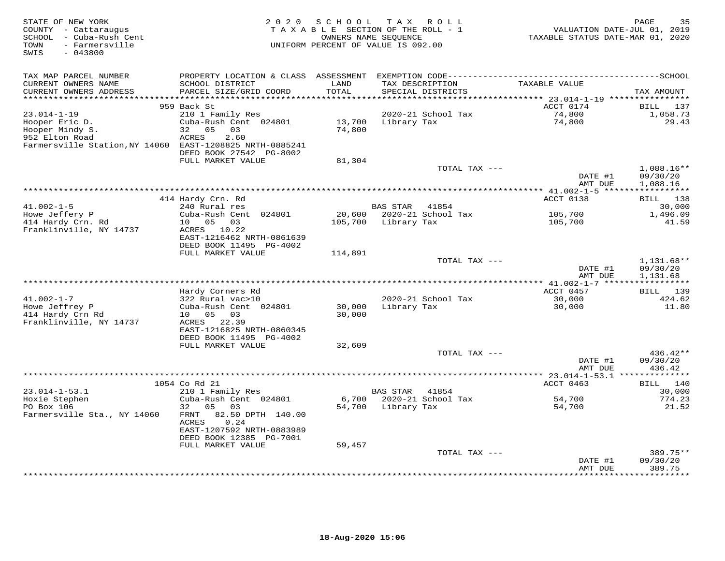| STATE OF NEW YORK<br>COUNTY - Cattaraugus<br>SCHOOL - Cuba-Rush Cent<br>- Farmersville<br>TOWN<br>SWIS<br>$-043800$ | 2 0 2 0                                                                                                                                     | SCHOOL<br>TAXABLE SECTION OF THE ROLL - 1<br>OWNERS NAME SEQUENCE<br>UNIFORM PERCENT OF VALUE IS 092.00 |                 | TAX ROLL                             | TAXABLE STATUS DATE-MAR 01, 2020 | PAGE<br>35<br>VALUATION DATE-JUL 01, 2019 |
|---------------------------------------------------------------------------------------------------------------------|---------------------------------------------------------------------------------------------------------------------------------------------|---------------------------------------------------------------------------------------------------------|-----------------|--------------------------------------|----------------------------------|-------------------------------------------|
| TAX MAP PARCEL NUMBER<br>CURRENT OWNERS NAME<br>CURRENT OWNERS ADDRESS                                              | SCHOOL DISTRICT<br>PARCEL SIZE/GRID COORD                                                                                                   | LAND<br>TOTAL                                                                                           |                 | TAX DESCRIPTION<br>SPECIAL DISTRICTS | TAXABLE VALUE                    | TAX AMOUNT                                |
| ********************                                                                                                |                                                                                                                                             | * * * * * * * * * *                                                                                     |                 |                                      |                                  |                                           |
|                                                                                                                     | 959 Back St                                                                                                                                 |                                                                                                         |                 |                                      | ACCT 0174                        | BILL<br>137                               |
| $23.014 - 1 - 19$<br>Hooper Eric D.<br>Hooper Mindy S.<br>952 Elton Road<br>Farmersville Station, NY 14060          | 210 1 Family Res<br>Cuba-Rush Cent 024801<br>05<br>03<br>32<br><b>ACRES</b><br>2.60<br>EAST-1208825 NRTH-0885241<br>DEED BOOK 27542 PG-8002 | 13,700<br>74,800                                                                                        | Library Tax     | 2020-21 School Tax                   | 74,800<br>74,800                 | 1,058.73<br>29.43                         |
|                                                                                                                     | FULL MARKET VALUE                                                                                                                           | 81,304                                                                                                  |                 |                                      |                                  |                                           |
|                                                                                                                     |                                                                                                                                             |                                                                                                         |                 | TOTAL TAX ---                        | DATE #1                          | 1,088.16**<br>09/30/20                    |
|                                                                                                                     |                                                                                                                                             |                                                                                                         |                 |                                      | AMT DUE                          | 1,088.16<br>***********                   |
|                                                                                                                     | 414 Hardy Crn. Rd                                                                                                                           |                                                                                                         |                 |                                      | ACCT 0138                        | BILL 138                                  |
| $41.002 - 1 - 5$                                                                                                    | 240 Rural res                                                                                                                               |                                                                                                         | <b>BAS STAR</b> | 41854                                |                                  | 30,000                                    |
| Howe Jeffery P                                                                                                      | Cuba-Rush Cent 024801                                                                                                                       | 20,600                                                                                                  |                 | 2020-21 School Tax                   | 105,700                          | 1,496.09                                  |
| 414 Hardy Crn. Rd                                                                                                   | 10 05 03                                                                                                                                    | 105,700                                                                                                 | Library Tax     |                                      | 105,700                          | 41.59                                     |
| Franklinville, NY 14737                                                                                             | ACRES 10.22<br>EAST-1216462 NRTH-0861639<br>DEED BOOK 11495 PG-4002<br>FULL MARKET VALUE                                                    | 114,891                                                                                                 |                 |                                      |                                  |                                           |
|                                                                                                                     |                                                                                                                                             |                                                                                                         |                 | TOTAL TAX ---                        |                                  | 1,131.68**                                |
|                                                                                                                     |                                                                                                                                             |                                                                                                         |                 |                                      | DATE #1<br>AMT DUE               | 09/30/20<br>1,131.68                      |
|                                                                                                                     |                                                                                                                                             |                                                                                                         |                 |                                      |                                  |                                           |
| $41.002 - 1 - 7$                                                                                                    | Hardy Corners Rd<br>322 Rural vac>10                                                                                                        |                                                                                                         |                 | 2020-21 School Tax                   | ACCT 0457<br>30,000              | 139<br>BILL<br>424.62                     |
| Howe Jeffrey P<br>414 Hardy Crn Rd<br>Franklinville, NY 14737                                                       | Cuba-Rush Cent 024801<br>05<br>03<br>10<br>ACRES<br>22.39                                                                                   | 30,000<br>30,000                                                                                        | Library Tax     |                                      | 30,000                           | 11.80                                     |
|                                                                                                                     | EAST-1216825 NRTH-0860345<br>DEED BOOK 11495 PG-4002                                                                                        |                                                                                                         |                 |                                      |                                  |                                           |
|                                                                                                                     | FULL MARKET VALUE                                                                                                                           | 32,609                                                                                                  |                 | TOTAL TAX ---                        |                                  | 436.42**                                  |
|                                                                                                                     |                                                                                                                                             |                                                                                                         |                 |                                      | DATE #1<br>AMT DUE               | 09/30/20<br>436.42                        |
|                                                                                                                     |                                                                                                                                             |                                                                                                         |                 |                                      |                                  |                                           |
|                                                                                                                     | 1054 Co Rd 21                                                                                                                               |                                                                                                         |                 |                                      | ACCT 0463                        | BILL 140                                  |
| $23.014 - 1 - 53.1$<br>Hoxie Stephen                                                                                | 210 1 Family Res<br>Cuba-Rush Cent 024801                                                                                                   | 6,700                                                                                                   | <b>BAS STAR</b> | 41854<br>2020-21 School Tax          | 54,700                           | 30,000<br>774.23                          |
| PO Box 106                                                                                                          | 05<br>03<br>32                                                                                                                              | 54,700                                                                                                  | Library Tax     |                                      | 54,700                           | 21.52                                     |
| Farmersville Sta., NY 14060                                                                                         | 82.50 DPTH 140.00<br>FRNT<br>ACRES<br>0.24<br>EAST-1207592 NRTH-0883989<br>DEED BOOK 12385 PG-7001                                          |                                                                                                         |                 |                                      |                                  |                                           |
|                                                                                                                     | FULL MARKET VALUE                                                                                                                           | 59,457                                                                                                  |                 |                                      |                                  |                                           |
|                                                                                                                     |                                                                                                                                             |                                                                                                         |                 | TOTAL TAX ---                        | DATE #1                          | 389.75**<br>09/30/20                      |
|                                                                                                                     |                                                                                                                                             |                                                                                                         |                 |                                      | AMT DUE                          | 389.75<br>* * * * * * * *                 |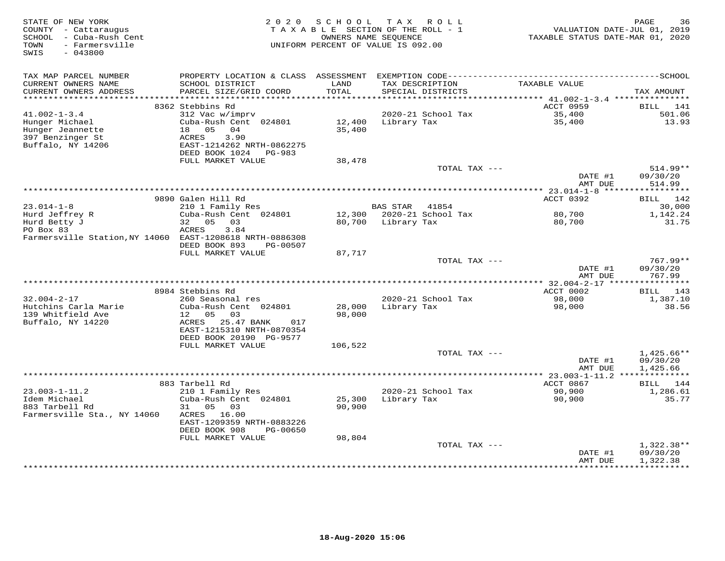| STATE OF NEW YORK<br>COUNTY - Cattaraugus<br>SCHOOL - Cuba-Rush Cent<br>- Farmersville<br>TOWN<br>$-043800$<br>SWIS | 2 0 2 0                                                                                              | SCHOOL           | TAX ROLL<br>TAXABLE SECTION OF THE ROLL - 1<br>OWNERS NAME SEQUENCE<br>UNIFORM PERCENT OF VALUE IS 092.00 | TAXABLE STATUS DATE-MAR 01, 2020                         | PAGE<br>36<br>VALUATION DATE-JUL 01, 2019 |
|---------------------------------------------------------------------------------------------------------------------|------------------------------------------------------------------------------------------------------|------------------|-----------------------------------------------------------------------------------------------------------|----------------------------------------------------------|-------------------------------------------|
| TAX MAP PARCEL NUMBER                                                                                               | PROPERTY LOCATION & CLASS ASSESSMENT                                                                 |                  |                                                                                                           |                                                          |                                           |
| CURRENT OWNERS NAME<br>CURRENT OWNERS ADDRESS<br>***********************                                            | SCHOOL DISTRICT<br>PARCEL SIZE/GRID COORD                                                            | LAND<br>TOTAL    | TAX DESCRIPTION<br>SPECIAL DISTRICTS                                                                      | TAXABLE VALUE                                            | TAX AMOUNT                                |
|                                                                                                                     | 8362 Stebbins Rd                                                                                     |                  |                                                                                                           | ACCT 0959                                                | BILL<br>141                               |
| $41.002 - 1 - 3.4$                                                                                                  | 312 Vac w/imprv                                                                                      |                  | 2020-21 School Tax                                                                                        | 35,400                                                   | 501.06                                    |
| Hunger Michael<br>Hunger Jeannette<br>397 Benzinger St                                                              | Cuba-Rush Cent 024801<br>18 05<br>04<br><b>ACRES</b><br>3.90                                         | 12,400<br>35,400 | Library Tax                                                                                               | 35,400                                                   | 13.93                                     |
| Buffalo, NY 14206                                                                                                   | EAST-1214262 NRTH-0862275<br>DEED BOOK 1024<br>PG-983                                                |                  |                                                                                                           |                                                          |                                           |
|                                                                                                                     | FULL MARKET VALUE                                                                                    | 38,478           | TOTAL TAX ---                                                                                             |                                                          | 514.99**                                  |
|                                                                                                                     |                                                                                                      |                  |                                                                                                           | DATE #1<br>AMT DUE                                       | 09/30/20<br>514.99                        |
|                                                                                                                     |                                                                                                      |                  |                                                                                                           | ** 23.014-1-8 ***                                        | * * * * * * * * * *                       |
|                                                                                                                     | 9890 Galen Hill Rd                                                                                   |                  |                                                                                                           | ACCT 0392                                                | 142<br>BILL                               |
| $23.014 - 1 - 8$                                                                                                    | 210 1 Family Res                                                                                     |                  | <b>BAS STAR</b><br>41854                                                                                  |                                                          | 30,000                                    |
| Hurd Jeffrey R                                                                                                      | Cuba-Rush Cent 024801                                                                                |                  | 12,300 2020-21 School Tax                                                                                 | 80,700                                                   | 1,142.24                                  |
| Hurd Betty J<br>PO Box 83                                                                                           | 05 03<br>32<br>3.84<br>ACRES                                                                         | 80,700           | Library Tax                                                                                               | 80,700                                                   | 31.75                                     |
| Farmersville Station, NY 14060 EAST-1208618 NRTH-0886308                                                            | DEED BOOK 893<br>PG-00507                                                                            |                  |                                                                                                           |                                                          |                                           |
|                                                                                                                     | FULL MARKET VALUE                                                                                    | 87,717           |                                                                                                           |                                                          |                                           |
|                                                                                                                     |                                                                                                      |                  | TOTAL TAX ---                                                                                             | DATE #1<br>AMT DUE                                       | 767.99**<br>09/30/20<br>767.99            |
|                                                                                                                     |                                                                                                      |                  |                                                                                                           |                                                          |                                           |
|                                                                                                                     | 8984 Stebbins Rd                                                                                     |                  |                                                                                                           | ACCT 0002                                                | BILL 143                                  |
| $32.004 - 2 - 17$                                                                                                   | 260 Seasonal res                                                                                     |                  | 2020-21 School Tax                                                                                        | 98,000                                                   | 1,387.10                                  |
| Hutchins Carla Marie                                                                                                | Cuba-Rush Cent 024801                                                                                | 28,000           | Library Tax                                                                                               | 98,000                                                   | 38.56                                     |
| 139 Whitfield Ave<br>Buffalo, NY 14220                                                                              | 12<br>05<br>03<br>ACRES<br>25.47 BANK<br>017<br>EAST-1215310 NRTH-0870354<br>DEED BOOK 20190 PG-9577 | 98,000           |                                                                                                           |                                                          |                                           |
|                                                                                                                     | FULL MARKET VALUE                                                                                    | 106,522          |                                                                                                           |                                                          |                                           |
|                                                                                                                     |                                                                                                      |                  | TOTAL TAX ---                                                                                             |                                                          | $1,425.66**$                              |
|                                                                                                                     |                                                                                                      |                  |                                                                                                           | DATE #1                                                  | 09/30/20                                  |
|                                                                                                                     |                                                                                                      |                  |                                                                                                           | AMT DUE                                                  | 1,425.66                                  |
|                                                                                                                     | 883 Tarbell Rd                                                                                       |                  |                                                                                                           | ************* 23.003-1-11.2 ***************<br>ACCT 0867 | 144<br><b>BILL</b>                        |
| $23.003 - 1 - 11.2$                                                                                                 | 210 1 Family Res                                                                                     |                  | 2020-21 School Tax                                                                                        | 90,900                                                   | 1,286.61                                  |
| Idem Michael                                                                                                        | Cuba-Rush Cent 024801                                                                                | 25,300           | Library Tax                                                                                               | 90,900                                                   | 35.77                                     |
| 883 Tarbell Rd<br>Farmersville Sta., NY 14060                                                                       | 31<br>05<br>03<br>16.00<br>ACRES                                                                     | 90,900           |                                                                                                           |                                                          |                                           |
|                                                                                                                     | EAST-1209359 NRTH-0883226<br>DEED BOOK 908<br>PG-00650                                               |                  |                                                                                                           |                                                          |                                           |
|                                                                                                                     | FULL MARKET VALUE                                                                                    | 98,804           |                                                                                                           |                                                          |                                           |
|                                                                                                                     |                                                                                                      |                  | TOTAL TAX ---                                                                                             | DATE #1                                                  | $1,322.38**$<br>09/30/20                  |
|                                                                                                                     |                                                                                                      |                  |                                                                                                           | AMT DUE                                                  | 1,322.38<br>***********                   |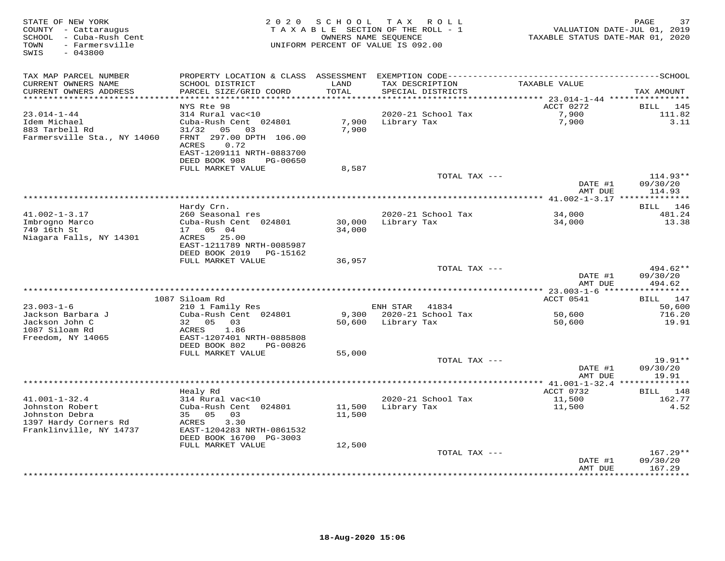| STATE OF NEW YORK<br>COUNTY - Cattaraugus<br>SCHOOL - Cuba-Rush Cent<br>- Farmersville<br>TOWN<br>$-043800$<br>SWIS | 2 0 2 0                                        | SCHOOL           | TAX ROLL<br>TAXABLE SECTION OF THE ROLL - 1<br>OWNERS NAME SEQUENCE<br>UNIFORM PERCENT OF VALUE IS 092.00 | VALUATION DATE-JUL 01, 2019<br>TAXABLE STATUS DATE-MAR 01, 2020 | 37<br>PAGE             |
|---------------------------------------------------------------------------------------------------------------------|------------------------------------------------|------------------|-----------------------------------------------------------------------------------------------------------|-----------------------------------------------------------------|------------------------|
| TAX MAP PARCEL NUMBER<br>CURRENT OWNERS NAME                                                                        | SCHOOL DISTRICT                                | LAND             | TAX DESCRIPTION                                                                                           | TAXABLE VALUE                                                   |                        |
| CURRENT OWNERS ADDRESS<br>*******************                                                                       | PARCEL SIZE/GRID COORD                         | TOTAL<br>******  | SPECIAL DISTRICTS                                                                                         |                                                                 | TAX AMOUNT             |
|                                                                                                                     | NYS Rte 98                                     |                  |                                                                                                           | ******* 23.014-1-44 ****************<br>ACCT 0272               | BILL<br>145            |
| $23.014 - 1 - 44$                                                                                                   | 314 Rural vac<10                               |                  | 2020-21 School Tax                                                                                        | 7,900                                                           | 111.82                 |
| Idem Michael                                                                                                        | Cuba-Rush Cent 024801                          | 7,900            | Library Tax                                                                                               | 7,900                                                           | 3.11                   |
| 883 Tarbell Rd                                                                                                      | 31/32<br>05<br>03                              | 7,900            |                                                                                                           |                                                                 |                        |
| Farmersville Sta., NY 14060                                                                                         | FRNT 297.00 DPTH 106.00                        |                  |                                                                                                           |                                                                 |                        |
|                                                                                                                     | 0.72<br>ACRES                                  |                  |                                                                                                           |                                                                 |                        |
|                                                                                                                     | EAST-1209111 NRTH-0883700                      |                  |                                                                                                           |                                                                 |                        |
|                                                                                                                     | DEED BOOK 908<br>PG-00650<br>FULL MARKET VALUE | 8,587            |                                                                                                           |                                                                 |                        |
|                                                                                                                     |                                                |                  | TOTAL TAX ---                                                                                             |                                                                 | $114.93**$             |
|                                                                                                                     |                                                |                  |                                                                                                           | DATE #1                                                         | 09/30/20               |
|                                                                                                                     |                                                |                  |                                                                                                           | AMT DUE                                                         | 114.93                 |
|                                                                                                                     |                                                |                  |                                                                                                           |                                                                 |                        |
|                                                                                                                     | Hardy Crn.                                     |                  |                                                                                                           |                                                                 | 146<br>BILL            |
| $41.002 - 1 - 3.17$                                                                                                 | 260 Seasonal res                               |                  | 2020-21 School Tax                                                                                        | 34,000                                                          | 481.24                 |
| Imbrogno Marco<br>749 16th St                                                                                       | Cuba-Rush Cent 024801<br>17 05 04              | 30,000<br>34,000 | Library Tax                                                                                               | 34,000                                                          | 13.38                  |
| Niagara Falls, NY 14301                                                                                             | 25.00<br>ACRES                                 |                  |                                                                                                           |                                                                 |                        |
|                                                                                                                     | EAST-1211789 NRTH-0085987                      |                  |                                                                                                           |                                                                 |                        |
|                                                                                                                     | DEED BOOK 2019<br>PG-15162                     |                  |                                                                                                           |                                                                 |                        |
|                                                                                                                     | FULL MARKET VALUE                              | 36,957           |                                                                                                           |                                                                 |                        |
|                                                                                                                     |                                                |                  | TOTAL TAX ---                                                                                             |                                                                 | 494.62**               |
|                                                                                                                     |                                                |                  |                                                                                                           | DATE #1<br>AMT DUE                                              | 09/30/20<br>494.62     |
|                                                                                                                     |                                                |                  |                                                                                                           |                                                                 | <b>***********</b>     |
|                                                                                                                     | 1087 Siloam Rd                                 |                  |                                                                                                           | ACCT 0541                                                       | BILL 147               |
| $23.003 - 1 - 6$                                                                                                    | 210 1 Family Res                               |                  | ENH STAR<br>41834                                                                                         |                                                                 | 50,600                 |
| Jackson Barbara J                                                                                                   | Cuba-Rush Cent 024801                          | 9,300            | 2020-21 School Tax                                                                                        | 50,600                                                          | 716.20                 |
| Jackson John C                                                                                                      | 32 05<br>03                                    | 50,600           | Library Tax                                                                                               | 50,600                                                          | 19.91                  |
| 1087 Siloam Rd<br>Freedom, NY 14065                                                                                 | ACRES<br>1.86<br>EAST-1207401 NRTH-0885808     |                  |                                                                                                           |                                                                 |                        |
|                                                                                                                     | DEED BOOK 802<br>PG-00826                      |                  |                                                                                                           |                                                                 |                        |
|                                                                                                                     | FULL MARKET VALUE                              | 55,000           |                                                                                                           |                                                                 |                        |
|                                                                                                                     |                                                |                  | TOTAL TAX ---                                                                                             |                                                                 | 19.91**                |
|                                                                                                                     |                                                |                  |                                                                                                           | DATE #1                                                         | 09/30/20               |
|                                                                                                                     |                                                |                  |                                                                                                           | AMT DUE                                                         | 19.91                  |
|                                                                                                                     |                                                |                  |                                                                                                           | ******** 41.001-1-32.4                                          |                        |
| $41.001 - 1 - 32.4$                                                                                                 | Healy Rd<br>314 Rural vac<10                   |                  | 2020-21 School Tax                                                                                        | ACCT 0732<br>11,500                                             | BILL<br>148<br>162.77  |
| Johnston Robert                                                                                                     | Cuba-Rush Cent 024801                          | 11,500           | Library Tax                                                                                               | 11,500                                                          | 4.52                   |
| Johnston Debra                                                                                                      | 35 05<br>03                                    | 11,500           |                                                                                                           |                                                                 |                        |
| 1397 Hardy Corners Rd                                                                                               | 3.30<br>ACRES                                  |                  |                                                                                                           |                                                                 |                        |
| Franklinville, NY 14737                                                                                             | EAST-1204283 NRTH-0861532                      |                  |                                                                                                           |                                                                 |                        |
|                                                                                                                     | DEED BOOK 16700 PG-3003                        |                  |                                                                                                           |                                                                 |                        |
|                                                                                                                     | FULL MARKET VALUE                              | 12,500           |                                                                                                           |                                                                 |                        |
|                                                                                                                     |                                                |                  | TOTAL TAX ---                                                                                             | DATE #1                                                         | $167.29**$<br>09/30/20 |
|                                                                                                                     |                                                |                  |                                                                                                           | AMT DUE                                                         | 167.29                 |
|                                                                                                                     |                                                |                  |                                                                                                           |                                                                 | * * * * * * * *        |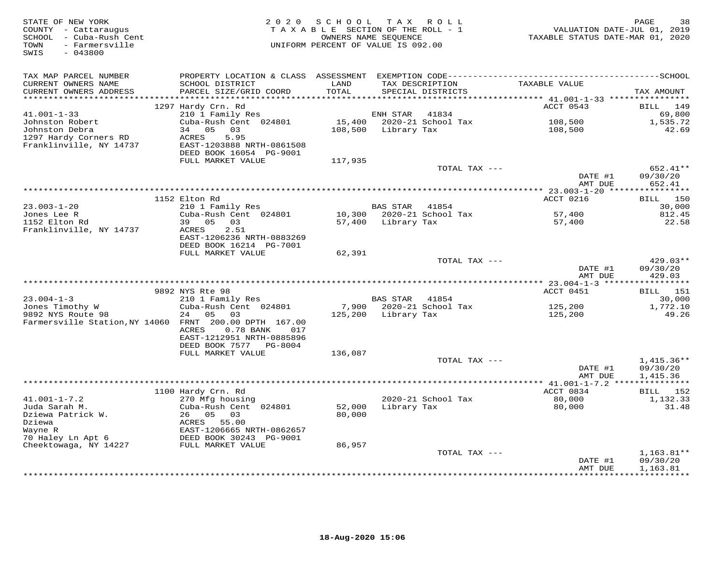| STATE OF NEW YORK<br>COUNTY - Cattaraugus<br>SCHOOL - Cuba-Rush Cent<br>- Farmersville<br>TOWN<br>SWIS<br>$-043800$ | 2 0 2 0                                                                                                         | SCHOOL<br>TAXABLE SECTION OF THE ROLL - 1<br>OWNERS NAME SEQUENCE<br>UNIFORM PERCENT OF VALUE IS 092.00 |                    | TAX ROLL                  | VALUATION DATE-JUL 01, 2019<br>TAXABLE STATUS DATE-MAR 01, 2020 | PAGE<br>38              |
|---------------------------------------------------------------------------------------------------------------------|-----------------------------------------------------------------------------------------------------------------|---------------------------------------------------------------------------------------------------------|--------------------|---------------------------|-----------------------------------------------------------------|-------------------------|
| TAX MAP PARCEL NUMBER<br>CURRENT OWNERS NAME                                                                        | PROPERTY LOCATION & CLASS ASSESSMENT EXEMPTION CODE-----------------------------------SCHOOL<br>SCHOOL DISTRICT | LAND                                                                                                    |                    | TAX DESCRIPTION           | TAXABLE VALUE                                                   |                         |
| CURRENT OWNERS ADDRESS<br>*********************                                                                     | PARCEL SIZE/GRID COORD                                                                                          | TOTAL<br>**********                                                                                     |                    | SPECIAL DISTRICTS         | *********** 41.001-1-33 *****************                       | TAX AMOUNT              |
|                                                                                                                     | 1297 Hardy Crn. Rd                                                                                              |                                                                                                         |                    |                           | ACCT 0543                                                       | <b>BILL</b><br>149      |
| $41.001 - 1 - 33$                                                                                                   | 210 1 Family Res                                                                                                |                                                                                                         | ENH STAR           | 41834                     |                                                                 | 69,800                  |
| Johnston Robert                                                                                                     | Cuba-Rush Cent 024801                                                                                           | 15,400                                                                                                  |                    | 2020-21 School Tax        | 108,500                                                         | 1,535.72                |
| Johnston Debra                                                                                                      | 34 05<br>03                                                                                                     | 108,500                                                                                                 | Library Tax        |                           | 108,500                                                         | 42.69                   |
| 1297 Hardy Corners RD<br>Franklinville, NY 14737                                                                    | ACRES<br>5.95<br>EAST-1203888 NRTH-0861508                                                                      |                                                                                                         |                    |                           |                                                                 |                         |
|                                                                                                                     | DEED BOOK 16054 PG-9001<br>FULL MARKET VALUE                                                                    |                                                                                                         |                    |                           |                                                                 |                         |
|                                                                                                                     |                                                                                                                 | 117,935                                                                                                 |                    | TOTAL TAX ---             |                                                                 | 652.41**                |
|                                                                                                                     |                                                                                                                 |                                                                                                         |                    |                           | DATE #1<br>AMT DUE                                              | 09/30/20<br>652.41      |
|                                                                                                                     |                                                                                                                 |                                                                                                         |                    |                           |                                                                 |                         |
|                                                                                                                     | 1152 Elton Rd                                                                                                   |                                                                                                         |                    |                           | ACCT 0216                                                       | 150<br>BILL             |
| $23.003 - 1 - 20$                                                                                                   | 210 1 Family Res                                                                                                |                                                                                                         | BAS STAR 41854     |                           |                                                                 | 30,000                  |
| Jones Lee R<br>1152 Elton Rd                                                                                        | Cuba-Rush Cent 024801<br>03<br>39 05                                                                            |                                                                                                         | 57,400 Library Tax | 10,300 2020-21 School Tax | 57,400                                                          | 812.45<br>22.58         |
| Franklinville, NY 14737                                                                                             | ACRES<br>2.51                                                                                                   |                                                                                                         |                    |                           | 57,400                                                          |                         |
|                                                                                                                     | EAST-1206236 NRTH-0883269                                                                                       |                                                                                                         |                    |                           |                                                                 |                         |
|                                                                                                                     | DEED BOOK 16214 PG-7001                                                                                         |                                                                                                         |                    |                           |                                                                 |                         |
|                                                                                                                     | FULL MARKET VALUE                                                                                               | 62,391                                                                                                  |                    |                           |                                                                 |                         |
|                                                                                                                     |                                                                                                                 |                                                                                                         |                    | TOTAL TAX $---$           | DATE #1                                                         | $429.03**$<br>09/30/20  |
|                                                                                                                     |                                                                                                                 |                                                                                                         |                    |                           | AMT DUE                                                         | 429.03                  |
|                                                                                                                     |                                                                                                                 |                                                                                                         |                    |                           |                                                                 |                         |
|                                                                                                                     | 9892 NYS Rte 98                                                                                                 |                                                                                                         |                    |                           | ACCT 0451                                                       | 151<br>BILL             |
| $23.004 - 1 - 3$                                                                                                    | 210 1 Family Res                                                                                                |                                                                                                         | <b>BAS STAR</b>    | 41854                     |                                                                 | 30,000                  |
| Jones Timothy W                                                                                                     | Cuba-Rush Cent 024801                                                                                           | 7,900                                                                                                   |                    | 2020-21 School Tax        | 125,200                                                         | 1,772.10                |
| 9892 NYS Route 98<br>Farmersville Station, NY 14060 FRNT 200.00 DPTH 167.00                                         | 24<br>05<br>03                                                                                                  | 125,200                                                                                                 | Library Tax        |                           | 125,200                                                         | 49.26                   |
|                                                                                                                     | 0.78 BANK<br>ACRES<br>017                                                                                       |                                                                                                         |                    |                           |                                                                 |                         |
|                                                                                                                     | EAST-1212951 NRTH-0885896                                                                                       |                                                                                                         |                    |                           |                                                                 |                         |
|                                                                                                                     | DEED BOOK 7577<br>PG-8004                                                                                       |                                                                                                         |                    |                           |                                                                 |                         |
|                                                                                                                     | FULL MARKET VALUE                                                                                               | 136,087                                                                                                 |                    |                           |                                                                 |                         |
|                                                                                                                     |                                                                                                                 |                                                                                                         |                    | TOTAL TAX ---             |                                                                 | $1,415.36**$            |
|                                                                                                                     |                                                                                                                 |                                                                                                         |                    |                           | DATE #1                                                         | 09/30/20                |
|                                                                                                                     |                                                                                                                 |                                                                                                         |                    |                           | AMT DUE                                                         | 1,415.36<br>*********** |
|                                                                                                                     | 1100 Hardy Crn. Rd                                                                                              |                                                                                                         |                    |                           | ACCT 0834                                                       | BILL 152                |
| $41.001 - 1 - 7.2$                                                                                                  | 270 Mfg housing                                                                                                 |                                                                                                         |                    | 2020-21 School Tax        | 80,000                                                          | 1,132.33                |
| Juda Sarah M.                                                                                                       | Cuba-Rush Cent 024801                                                                                           | 52,000                                                                                                  | Library Tax        |                           | 80,000                                                          | 31.48                   |
| Dziewa Patrick W.                                                                                                   | 26 05<br>03                                                                                                     | 80,000                                                                                                  |                    |                           |                                                                 |                         |
| Dziewa                                                                                                              | ACRES 55.00                                                                                                     |                                                                                                         |                    |                           |                                                                 |                         |
| Wayne R<br>70 Haley Ln Apt 6                                                                                        | EAST-1206665 NRTH-0862657<br>DEED BOOK 30243 PG-9001                                                            |                                                                                                         |                    |                           |                                                                 |                         |
| Cheektowaga, NY 14227                                                                                               | FULL MARKET VALUE                                                                                               | 86,957                                                                                                  |                    |                           |                                                                 |                         |
|                                                                                                                     |                                                                                                                 |                                                                                                         |                    | TOTAL TAX ---             |                                                                 | $1,163.81**$            |
|                                                                                                                     |                                                                                                                 |                                                                                                         |                    |                           | DATE #1                                                         | 09/30/20                |
|                                                                                                                     |                                                                                                                 |                                                                                                         |                    |                           | AMT DUE                                                         | 1,163.81                |
|                                                                                                                     |                                                                                                                 |                                                                                                         |                    |                           |                                                                 | * * * * * * * * * *     |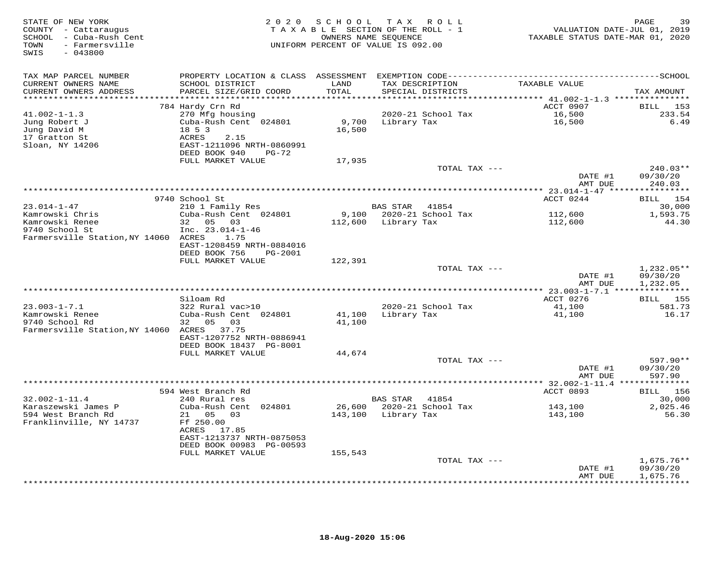| STATE OF NEW YORK<br>COUNTY - Cattaraugus<br>SCHOOL - Cuba-Rush Cent<br>- Farmersville<br>TOWN<br>SWIS<br>$-043800$ |                                                                                                                      | 2020 SCHOOL<br>TAXABLE SECTION OF THE ROLL - 1<br>OWNERS NAME SEQUENCE<br>UNIFORM PERCENT OF VALUE IS 092.00 | T A X               | ROLL                        | VALUATION DATE-JUL 01, 2019<br>TAXABLE STATUS DATE-MAR 01, 2020 | 39<br>PAGE                           |
|---------------------------------------------------------------------------------------------------------------------|----------------------------------------------------------------------------------------------------------------------|--------------------------------------------------------------------------------------------------------------|---------------------|-----------------------------|-----------------------------------------------------------------|--------------------------------------|
| TAX MAP PARCEL NUMBER<br>CURRENT OWNERS NAME<br>CURRENT OWNERS ADDRESS                                              | SCHOOL DISTRICT<br>PARCEL SIZE/GRID COORD                                                                            | LAND<br>TOTAL                                                                                                | TAX DESCRIPTION     | SPECIAL DISTRICTS           | TAXABLE VALUE                                                   | TAX AMOUNT                           |
| ********************                                                                                                | **********************                                                                                               | * * * * * * * * * *                                                                                          |                     |                             | ********************************* 41.002-1-1.3 **************** |                                      |
| $41.002 - 1 - 1.3$<br>Jung Robert J<br>Jung David M<br>17 Gratton St<br>Sloan, NY 14206                             | 784 Hardy Crn Rd<br>270 Mfg housing<br>Cuba-Rush Cent 024801<br>18 5 3<br>ACRES<br>2.15<br>EAST-1211096 NRTH-0860991 | 9,700<br>16,500                                                                                              | Library Tax         | 2020-21 School Tax          | ACCT 0907<br>16,500<br>16,500                                   | BILL 153<br>233.54<br>6.49           |
|                                                                                                                     | DEED BOOK 940<br>PG-72                                                                                               |                                                                                                              |                     |                             |                                                                 |                                      |
|                                                                                                                     | FULL MARKET VALUE                                                                                                    | 17,935                                                                                                       |                     | TOTAL TAX ---               | DATE #1                                                         | $240.03**$<br>09/30/20               |
|                                                                                                                     |                                                                                                                      |                                                                                                              |                     |                             | AMT DUE                                                         | 240.03                               |
|                                                                                                                     |                                                                                                                      |                                                                                                              |                     |                             |                                                                 |                                      |
|                                                                                                                     | 9740 School St                                                                                                       |                                                                                                              |                     |                             | ACCT 0244                                                       | BILL 154                             |
| $23.014 - 1 - 47$<br>Kamrowski Chris                                                                                | 210 1 Family Res<br>Cuba-Rush Cent 024801                                                                            | 9,100                                                                                                        | BAS STAR            | 41854<br>2020-21 School Tax | 112,600                                                         | 30,000<br>1,593.75                   |
| Kamrowski Renee<br>9740 School St<br>Farmersville Station, NY 14060 ACRES                                           | 32 05 03<br>Inc. $23.014 - 1 - 46$<br>1.75<br>EAST-1208459 NRTH-0884016                                              | 112,600                                                                                                      | Library Tax         |                             | 112,600                                                         | 44.30                                |
|                                                                                                                     | DEED BOOK 756<br><b>PG-2001</b><br>FULL MARKET VALUE                                                                 | 122,391                                                                                                      |                     |                             |                                                                 |                                      |
|                                                                                                                     |                                                                                                                      |                                                                                                              |                     | TOTAL TAX ---               | DATE #1<br>AMT DUE                                              | $1,232.05**$<br>09/30/20<br>1,232.05 |
|                                                                                                                     |                                                                                                                      |                                                                                                              |                     |                             |                                                                 |                                      |
|                                                                                                                     | Siloam Rd                                                                                                            |                                                                                                              |                     |                             | ACCT 0276                                                       | <b>BILL</b> 155                      |
| $23.003 - 1 - 7.1$<br>Kamrowski Renee<br>9740 School Rd                                                             | 322 Rural vac>10<br>Cuba-Rush Cent 024801<br>32 05<br>03                                                             | 41,100<br>41,100                                                                                             | Library Tax         | 2020-21 School Tax          | 41,100<br>41,100                                                | 581.73<br>16.17                      |
| Farmersville Station, NY 14060 ACRES 37.75                                                                          | EAST-1207752 NRTH-0886941<br>DEED BOOK 18437 PG-8001                                                                 |                                                                                                              |                     |                             |                                                                 |                                      |
|                                                                                                                     | FULL MARKET VALUE                                                                                                    | 44,674                                                                                                       |                     |                             |                                                                 |                                      |
|                                                                                                                     |                                                                                                                      |                                                                                                              |                     | TOTAL TAX ---               | DATE #1                                                         | 597.90**<br>09/30/20                 |
|                                                                                                                     |                                                                                                                      |                                                                                                              |                     |                             | AMT DUE                                                         | 597.90                               |
|                                                                                                                     | 594 West Branch Rd                                                                                                   |                                                                                                              |                     |                             | *********** 32.002-1-11.4 ***************<br>ACCT 0893          | BILL 156                             |
| $32.002 - 1 - 11.4$                                                                                                 | 240 Rural res                                                                                                        |                                                                                                              | <b>BAS STAR</b>     | 41854                       |                                                                 | 30,000                               |
| Karaszewski James P<br>594 West Branch Rd<br>Franklinville, NY 14737                                                | Cuba-Rush Cent 024801<br>21 05<br>03<br>Ff 250.00<br>ACRES 17.85                                                     | 26,600                                                                                                       | 143,100 Library Tax | 2020-21 School Tax          | 143,100<br>143,100                                              | 2,025.46<br>56.30                    |
|                                                                                                                     | EAST-1213737 NRTH-0875053                                                                                            |                                                                                                              |                     |                             |                                                                 |                                      |
|                                                                                                                     | DEED BOOK 00983 PG-00593<br>FULL MARKET VALUE                                                                        | 155,543                                                                                                      |                     |                             |                                                                 |                                      |
|                                                                                                                     |                                                                                                                      |                                                                                                              |                     | TOTAL TAX ---               | DATE #1                                                         | $1,675.76**$<br>09/30/20             |
|                                                                                                                     |                                                                                                                      |                                                                                                              |                     |                             | AMT DUE                                                         | 1,675.76<br><b>+++++++++</b>         |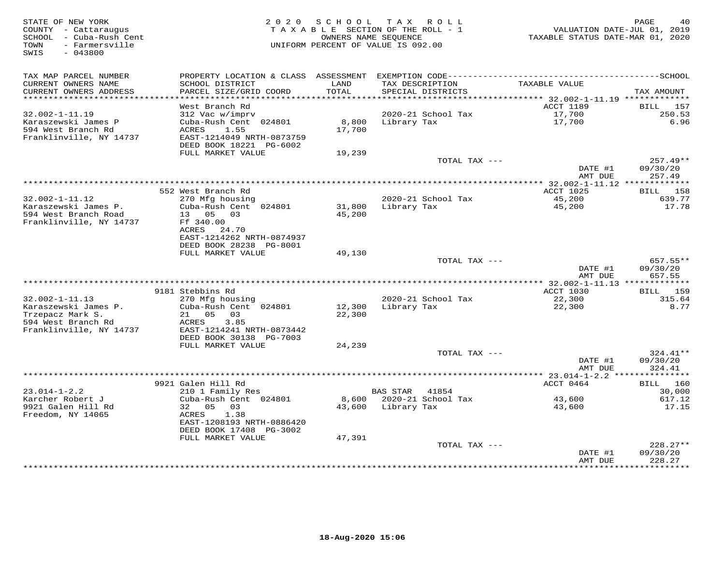| STATE OF NEW YORK<br>COUNTY - Cattaraugus<br>SCHOOL - Cuba-Rush Cent<br>- Farmersville<br>TOWN<br>$-043800$<br>SWIS | 2 0 2 0                                                                | S C H O O L               | T A X<br>R O L L<br>T A X A B L E SECTION OF THE ROLL - 1<br>OWNERS NAME SEQUENCE<br>UNIFORM PERCENT OF VALUE IS 092.00 | VALUATION DATE-JUL 01, 2019<br>TAXABLE STATUS DATE-MAR 01, 2020 | PAGE<br>40                       |
|---------------------------------------------------------------------------------------------------------------------|------------------------------------------------------------------------|---------------------------|-------------------------------------------------------------------------------------------------------------------------|-----------------------------------------------------------------|----------------------------------|
| TAX MAP PARCEL NUMBER                                                                                               | PROPERTY LOCATION & CLASS                                              | ASSESSMENT                |                                                                                                                         |                                                                 |                                  |
| CURRENT OWNERS NAME<br>CURRENT OWNERS ADDRESS<br>**********************                                             | SCHOOL DISTRICT<br>PARCEL SIZE/GRID COORD                              | LAND<br>TOTAL<br>******** | TAX DESCRIPTION<br>SPECIAL DISTRICTS<br>*********************                                                           | TAXABLE VALUE                                                   | TAX AMOUNT                       |
|                                                                                                                     | West Branch Rd                                                         |                           |                                                                                                                         | ******* 32.002-1-11.19 *************<br>ACCT 1189               | 157<br>BILL                      |
| $32.002 - 1 - 11.19$                                                                                                | 312 Vac w/imprv                                                        |                           | 2020-21 School Tax                                                                                                      | 17,700                                                          | 250.53                           |
| Karaszewski James P<br>594 West Branch Rd<br>Franklinville, NY 14737                                                | Cuba-Rush Cent 024801<br>ACRES<br>1.55<br>EAST-1214049 NRTH-0873759    | 8,800<br>17,700           | Library Tax                                                                                                             | 17,700                                                          | 6.96                             |
|                                                                                                                     | DEED BOOK 18221 PG-6002                                                |                           |                                                                                                                         |                                                                 |                                  |
|                                                                                                                     | FULL MARKET VALUE                                                      | 19,239                    |                                                                                                                         |                                                                 |                                  |
|                                                                                                                     |                                                                        |                           | TOTAL TAX ---                                                                                                           | DATE #1<br>AMT DUE                                              | $257.49**$<br>09/30/20<br>257.49 |
|                                                                                                                     |                                                                        |                           |                                                                                                                         | *************** 32.002-1-11.12 *************                    |                                  |
|                                                                                                                     | 552 West Branch Rd                                                     |                           |                                                                                                                         | ACCT 1025                                                       | 158<br>BILL                      |
| $32.002 - 1 - 11.12$                                                                                                | 270 Mfg housing                                                        |                           | 2020-21 School Tax                                                                                                      | 45,200                                                          | 639.77                           |
| Karaszewski James P.<br>594 West Branch Road<br>Franklinville, NY 14737                                             | Cuba-Rush Cent 024801<br>13<br>05<br>03<br>Ff 340.00                   | 31,800<br>45,200          | Library Tax                                                                                                             | 45,200                                                          | 17.78                            |
|                                                                                                                     | ACRES<br>24.70<br>EAST-1214262 NRTH-0874937<br>DEED BOOK 28238 PG-8001 |                           |                                                                                                                         |                                                                 |                                  |
|                                                                                                                     | FULL MARKET VALUE                                                      | 49,130                    |                                                                                                                         |                                                                 |                                  |
|                                                                                                                     |                                                                        |                           | TOTAL TAX ---                                                                                                           | DATE #1                                                         | 657.55**<br>09/30/20             |
|                                                                                                                     |                                                                        |                           |                                                                                                                         | AMT DUE<br>** 32.002-1-11.13 **************                     | 657.55                           |
|                                                                                                                     | 9181 Stebbins Rd                                                       |                           |                                                                                                                         | <b>ACCT 1030</b>                                                | <b>BILL</b><br>159               |
| $32.002 - 1 - 11.13$                                                                                                | 270 Mfg housing                                                        |                           | 2020-21 School Tax                                                                                                      | 22,300                                                          | 315.64                           |
| Karaszewski James P.                                                                                                | Cuba-Rush Cent 024801                                                  | 12,300                    | Library Tax                                                                                                             | 22,300                                                          | 8.77                             |
| Trzepacz Mark S.                                                                                                    | 21<br>05<br>03                                                         | 22,300                    |                                                                                                                         |                                                                 |                                  |
| 594 West Branch Rd                                                                                                  | 3.85<br>ACRES                                                          |                           |                                                                                                                         |                                                                 |                                  |
| Franklinville, NY 14737                                                                                             | EAST-1214241 NRTH-0873442<br>DEED BOOK 30138 PG-7003                   |                           |                                                                                                                         |                                                                 |                                  |
|                                                                                                                     | FULL MARKET VALUE                                                      | 24,239                    |                                                                                                                         |                                                                 |                                  |
|                                                                                                                     |                                                                        |                           | TOTAL TAX ---                                                                                                           |                                                                 | 324.41**                         |
|                                                                                                                     |                                                                        |                           |                                                                                                                         | DATE #1                                                         | 09/30/20                         |
|                                                                                                                     |                                                                        |                           |                                                                                                                         | AMT DUE                                                         | 324.41                           |
|                                                                                                                     | 9921 Galen Hill Rd                                                     |                           |                                                                                                                         | *********** 23.014-1-2.2 ***<br>ACCT 0464                       | ********<br>160<br>BILL          |
| $23.014 - 1 - 2.2$                                                                                                  | 210 1 Family Res                                                       |                           | <b>BAS STAR</b><br>41854                                                                                                |                                                                 | 30,000                           |
| Karcher Robert J                                                                                                    | Cuba-Rush Cent 024801                                                  | 8,600                     | 2020-21 School Tax                                                                                                      | 43,600                                                          | 617.12                           |
| 9921 Galen Hill Rd                                                                                                  | 32<br>0.5<br>03                                                        | 43,600                    | Library Tax                                                                                                             | 43,600                                                          | 17.15                            |
| Freedom, NY 14065                                                                                                   | 1.38<br>ACRES<br>EAST-1208193 NRTH-0886420                             |                           |                                                                                                                         |                                                                 |                                  |
|                                                                                                                     | DEED BOOK 17408 PG-3002<br>FULL MARKET VALUE                           | 47,391                    |                                                                                                                         |                                                                 |                                  |
|                                                                                                                     |                                                                        |                           | TOTAL TAX ---                                                                                                           |                                                                 | $228.27**$                       |
|                                                                                                                     |                                                                        |                           |                                                                                                                         | DATE #1<br>AMT DUE                                              | 09/30/20<br>228.27               |
|                                                                                                                     |                                                                        |                           |                                                                                                                         |                                                                 | * * * * * * * * *                |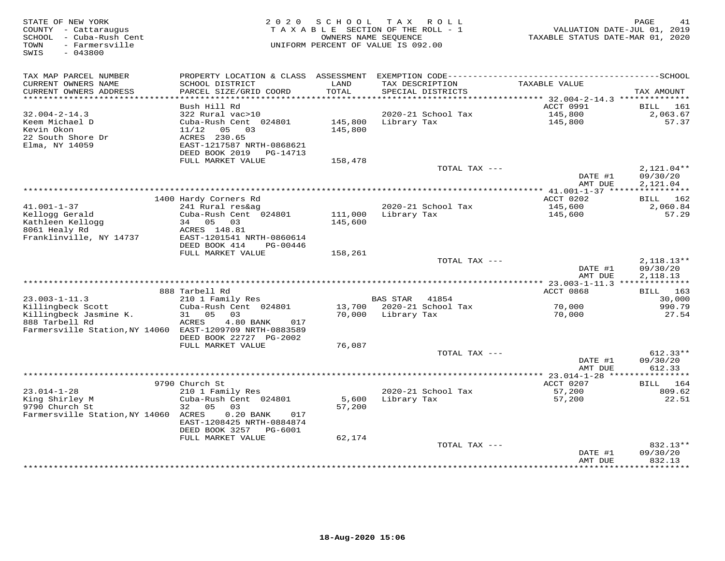| STATE OF NEW YORK<br>COUNTY - Cattaraugus<br>SCHOOL - Cuba-Rush Cent<br>- Farmersville<br>TOWN<br>SWIS<br>$-043800$ | 2 0 2 0                                                                | SCHOOL             | T A X<br>ROLL<br>TAXABLE SECTION OF THE ROLL - 1<br>OWNERS NAME SEQUENCE<br>UNIFORM PERCENT OF VALUE IS 092.00 | TAXABLE STATUS DATE-MAR 01, 2020                 | PAGE<br>41<br>VALUATION DATE-JUL 01, 2019 |
|---------------------------------------------------------------------------------------------------------------------|------------------------------------------------------------------------|--------------------|----------------------------------------------------------------------------------------------------------------|--------------------------------------------------|-------------------------------------------|
| TAX MAP PARCEL NUMBER                                                                                               | PROPERTY LOCATION & CLASS ASSESSMENT                                   |                    |                                                                                                                |                                                  |                                           |
| CURRENT OWNERS NAME<br>CURRENT OWNERS ADDRESS<br>***********************                                            | SCHOOL DISTRICT<br>PARCEL SIZE/GRID COORD<br>************************* | LAND<br>TOTAL      | TAX DESCRIPTION<br>SPECIAL DISTRICTS                                                                           | TAXABLE VALUE                                    | TAX AMOUNT                                |
|                                                                                                                     | Bush Hill Rd                                                           |                    |                                                                                                                | ACCT 0991                                        | <b>BILL</b><br>161                        |
| $32.004 - 2 - 14.3$                                                                                                 | 322 Rural vac>10                                                       |                    | 2020-21 School Tax                                                                                             | 145,800                                          | 2,063.67                                  |
| Keem Michael D<br>Kevin Okon<br>22 South Shore Dr                                                                   | Cuba-Rush Cent 024801<br>03<br>11/12<br>05<br>ACRES 230.65             | 145,800<br>145,800 | Library Tax                                                                                                    | 145,800                                          | 57.37                                     |
| Elma, NY 14059                                                                                                      | EAST-1217587 NRTH-0868621<br>DEED BOOK 2019<br>PG-14713                |                    |                                                                                                                |                                                  |                                           |
|                                                                                                                     | FULL MARKET VALUE                                                      | 158,478            |                                                                                                                |                                                  |                                           |
|                                                                                                                     |                                                                        |                    | TOTAL TAX ---                                                                                                  | DATE #1<br>AMT DUE                               | $2,121.04**$<br>09/30/20<br>2,121.04      |
|                                                                                                                     |                                                                        |                    |                                                                                                                | ********** 41.001-1-37 *****                     | ***********                               |
|                                                                                                                     | 1400 Hardy Corners Rd                                                  |                    |                                                                                                                | ACCT 0202                                        | BILL 162                                  |
| $41.001 - 1 - 37$                                                                                                   | 241 Rural res&ag                                                       |                    | 2020-21 School Tax                                                                                             | 145,600                                          | 2,060.84                                  |
| Kellogg Gerald                                                                                                      | Cuba-Rush Cent 024801                                                  | 111,000            | Library Tax                                                                                                    | 145,600                                          | 57.29                                     |
| Kathleen Kellogg                                                                                                    | 34 05 03                                                               | 145,600            |                                                                                                                |                                                  |                                           |
| 8061 Healy Rd<br>Franklinville, NY 14737                                                                            | ACRES 148.81<br>EAST-1201541 NRTH-0860614                              |                    |                                                                                                                |                                                  |                                           |
|                                                                                                                     | DEED BOOK 414<br>PG-00446                                              |                    |                                                                                                                |                                                  |                                           |
|                                                                                                                     | FULL MARKET VALUE                                                      | 158,261            |                                                                                                                |                                                  |                                           |
|                                                                                                                     |                                                                        |                    | TOTAL TAX ---                                                                                                  |                                                  | $2,118.13**$                              |
|                                                                                                                     |                                                                        |                    |                                                                                                                | DATE #1<br>AMT DUE                               | 09/30/20<br>2, 118.13                     |
|                                                                                                                     |                                                                        |                    |                                                                                                                |                                                  |                                           |
|                                                                                                                     | 888 Tarbell Rd                                                         |                    |                                                                                                                | ACCT 0868                                        | <b>BILL</b> 163                           |
| $23.003 - 1 - 11.3$                                                                                                 | 210 1 Family Res                                                       |                    | BAS STAR<br>41854                                                                                              |                                                  | 30,000                                    |
| Killingbeck Scott                                                                                                   | Cuba-Rush Cent 024801                                                  |                    | 13,700 2020-21 School Tax                                                                                      | 70,000                                           | 990.79                                    |
| Killingbeck Jasmine K.<br>888 Tarbell Rd                                                                            | 31<br>05<br>03<br>ACRES<br>4.80 BANK<br>017                            | 70,000             | Library Tax                                                                                                    | 70,000                                           | 27.54                                     |
| Farmersville Station, NY 14060 EAST-1209709 NRTH-0883589                                                            |                                                                        |                    |                                                                                                                |                                                  |                                           |
|                                                                                                                     | DEED BOOK 22727 PG-2002<br>FULL MARKET VALUE                           | 76,087             |                                                                                                                |                                                  |                                           |
|                                                                                                                     |                                                                        |                    | TOTAL TAX ---                                                                                                  |                                                  | $612.33**$                                |
|                                                                                                                     |                                                                        |                    |                                                                                                                | DATE #1                                          | 09/30/20                                  |
|                                                                                                                     |                                                                        |                    |                                                                                                                | AMT DUE                                          | 612.33                                    |
|                                                                                                                     |                                                                        |                    |                                                                                                                | ****************** 23.014-1-28 ***************** |                                           |
|                                                                                                                     | 9790 Church St                                                         |                    |                                                                                                                | ACCT 0207                                        | 164<br><b>BILL</b>                        |
| $23.014 - 1 - 28$<br>King Shirley M                                                                                 | 210 1 Family Res<br>Cuba-Rush Cent 024801                              | 5,600              | 2020-21 School Tax<br>Library Tax                                                                              | 57,200<br>57,200                                 | 809.62<br>22.51                           |
| 9790 Church St                                                                                                      | 32<br>05<br>03                                                         | 57,200             |                                                                                                                |                                                  |                                           |
| Farmersville Station, NY 14060                                                                                      | $0.20$ BANK<br>ACRES<br>017                                            |                    |                                                                                                                |                                                  |                                           |
|                                                                                                                     | EAST-1208425 NRTH-0884874<br>DEED BOOK 3257 PG-6001                    |                    |                                                                                                                |                                                  |                                           |
|                                                                                                                     | FULL MARKET VALUE                                                      | 62,174             |                                                                                                                |                                                  |                                           |
|                                                                                                                     |                                                                        |                    | TOTAL TAX ---                                                                                                  |                                                  | 832.13**                                  |
|                                                                                                                     |                                                                        |                    |                                                                                                                | DATE #1<br>AMT DUE                               | 09/30/20<br>832.13                        |
|                                                                                                                     |                                                                        |                    |                                                                                                                | *************                                    | **********                                |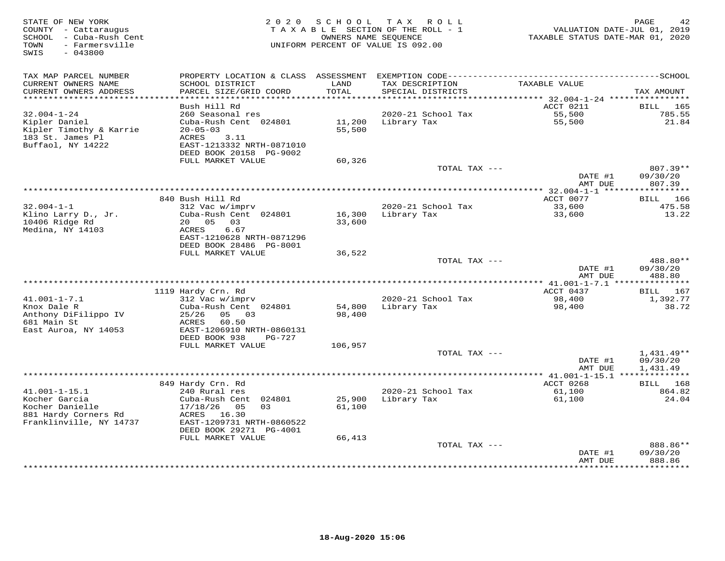| STATE OF NEW YORK<br>COUNTY - Cattaraugus<br>SCHOOL - Cuba-Rush Cent<br>- Farmersville<br>TOWN<br>SWIS<br>$-043800$ | 2 0 2 0                                                                                                       | SCHOOL           | T A X<br>R O L L<br>TAXABLE SECTION OF THE ROLL - 1<br>OWNERS NAME SEOUENCE<br>UNIFORM PERCENT OF VALUE IS 092.00 | VALUATION DATE-JUL 01, 2019<br>TAXABLE STATUS DATE-MAR 01, 2020 | PAGE<br>42                           |
|---------------------------------------------------------------------------------------------------------------------|---------------------------------------------------------------------------------------------------------------|------------------|-------------------------------------------------------------------------------------------------------------------|-----------------------------------------------------------------|--------------------------------------|
| TAX MAP PARCEL NUMBER                                                                                               |                                                                                                               |                  |                                                                                                                   |                                                                 |                                      |
| CURRENT OWNERS NAME<br>CURRENT OWNERS ADDRESS<br>************************                                           | SCHOOL DISTRICT<br>PARCEL SIZE/GRID COORD                                                                     | LAND<br>TOTAL    | TAX DESCRIPTION<br>SPECIAL DISTRICTS                                                                              | TAXABLE VALUE                                                   | TAX AMOUNT                           |
|                                                                                                                     | Bush Hill Rd                                                                                                  |                  |                                                                                                                   | ACCT 0211                                                       | BILL<br>165                          |
| $32.004 - 1 - 24$                                                                                                   | 260 Seasonal res                                                                                              |                  | 2020-21 School Tax                                                                                                | 55,500                                                          | 785.55                               |
| Kipler Daniel<br>Kipler Timothy & Karrie<br>183 St. James Pl                                                        | Cuba-Rush Cent 024801<br>$20 - 05 - 03$<br>ACRES<br>3.11                                                      | 11,200<br>55,500 | Library Tax                                                                                                       | 55,500                                                          | 21.84                                |
| Buffaol, NY 14222                                                                                                   | EAST-1213332 NRTH-0871010<br>DEED BOOK 20158 PG-9002                                                          |                  |                                                                                                                   |                                                                 |                                      |
|                                                                                                                     | FULL MARKET VALUE                                                                                             | 60,326           |                                                                                                                   |                                                                 |                                      |
|                                                                                                                     |                                                                                                               |                  | TOTAL TAX ---                                                                                                     | DATE #1<br>AMT DUE                                              | 807.39**<br>09/30/20<br>807.39       |
|                                                                                                                     | ******************                                                                                            |                  |                                                                                                                   | ********** 32.004-1-1 *****************                         |                                      |
|                                                                                                                     | 840 Bush Hill Rd                                                                                              |                  |                                                                                                                   | ACCT 0077                                                       | BILL 166                             |
| $32.004 - 1 - 1$                                                                                                    | 312 Vac w/imprv                                                                                               |                  | 2020-21 School Tax                                                                                                | 33,600                                                          | 475.58                               |
| Klino Larry D., Jr.<br>10406 Ridge Rd<br>Medina, NY 14103                                                           | Cuba-Rush Cent 024801<br>20 05<br>03<br>ACRES<br>6.67<br>EAST-1210628 NRTH-0871296<br>DEED BOOK 28486 PG-8001 | 16,300<br>33,600 | Library Tax                                                                                                       | 33,600                                                          | 13.22                                |
|                                                                                                                     | FULL MARKET VALUE                                                                                             | 36,522           |                                                                                                                   |                                                                 |                                      |
|                                                                                                                     |                                                                                                               |                  | TOTAL TAX ---                                                                                                     | DATE #1                                                         | 488.80**<br>09/30/20                 |
|                                                                                                                     |                                                                                                               |                  |                                                                                                                   | AMT DUE                                                         | 488.80                               |
|                                                                                                                     |                                                                                                               |                  |                                                                                                                   |                                                                 |                                      |
| $41.001 - 1 - 7.1$                                                                                                  | 1119 Hardy Crn. Rd<br>312 Vac w/imprv                                                                         |                  | 2020-21 School Tax                                                                                                | ACCT 0437<br>98,400                                             | 167<br>BILL<br>1,392.77              |
| Knox Dale R                                                                                                         | Cuba-Rush Cent 024801                                                                                         | 54,800           | Library Tax                                                                                                       | 98,400                                                          | 38.72                                |
| Anthony DiFilippo IV<br>681 Main St<br>East Auroa, NY 14053                                                         | 25/26<br>05 03<br>ACRES<br>60.50<br>EAST-1206910 NRTH-0860131                                                 | 98,400           |                                                                                                                   |                                                                 |                                      |
|                                                                                                                     | DEED BOOK 938<br>$PG-727$                                                                                     |                  |                                                                                                                   |                                                                 |                                      |
|                                                                                                                     | FULL MARKET VALUE                                                                                             | 106,957          |                                                                                                                   |                                                                 |                                      |
|                                                                                                                     |                                                                                                               |                  | TOTAL TAX $---$                                                                                                   | DATE #1<br>AMT DUE                                              | $1,431.49**$<br>09/30/20<br>1,431.49 |
|                                                                                                                     |                                                                                                               |                  |                                                                                                                   | ************ 41.001-1-15.1 **************                       |                                      |
|                                                                                                                     | 849 Hardy Crn. Rd                                                                                             |                  |                                                                                                                   | ACCT 0268                                                       | 168<br>BILL                          |
| $41.001 - 1 - 15.1$                                                                                                 | 240 Rural res                                                                                                 |                  | 2020-21 School Tax                                                                                                | 61,100                                                          | 864.82                               |
| Kocher Garcia                                                                                                       | Cuba-Rush Cent<br>024801                                                                                      | 25,900           | Library Tax                                                                                                       | 61,100                                                          | 24.04                                |
| Kocher Danielle<br>881 Hardy Corners Rd<br>Franklinville, NY 14737                                                  | 05<br>0.3<br>17/18/26<br>ACRES 16.30<br>EAST-1209731 NRTH-0860522<br>DEED BOOK 29271 PG-4001                  | 61,100           |                                                                                                                   |                                                                 |                                      |
|                                                                                                                     | FULL MARKET VALUE                                                                                             | 66,413           |                                                                                                                   |                                                                 |                                      |
|                                                                                                                     |                                                                                                               |                  | TOTAL TAX ---                                                                                                     | DATE #1                                                         | 888.86**<br>09/30/20                 |
|                                                                                                                     |                                                                                                               |                  |                                                                                                                   | AMT DUE<br>**********                                           | 888.86<br>* * * * * * * * *          |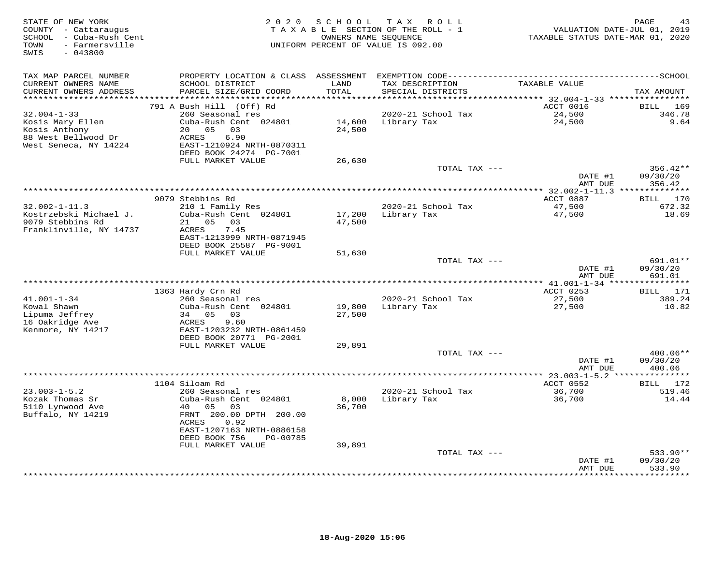| STATE OF NEW YORK<br>COUNTY - Cattaraugus<br>SCHOOL - Cuba-Rush Cent<br>- Farmersville<br>TOWN<br>SWIS<br>$-043800$ | 2 0 2 0                                              | SCHOOL           | T A X<br><b>ROLL</b><br>TAXABLE SECTION OF THE ROLL - 1<br>OWNERS NAME SEQUENCE<br>UNIFORM PERCENT OF VALUE IS 092.00 | VALUATION DATE-JUL 01, 2019<br>TAXABLE STATUS DATE-MAR 01, 2020 | PAGE<br>43         |
|---------------------------------------------------------------------------------------------------------------------|------------------------------------------------------|------------------|-----------------------------------------------------------------------------------------------------------------------|-----------------------------------------------------------------|--------------------|
| TAX MAP PARCEL NUMBER                                                                                               |                                                      |                  |                                                                                                                       |                                                                 |                    |
| CURRENT OWNERS NAME<br>CURRENT OWNERS ADDRESS                                                                       | SCHOOL DISTRICT<br>PARCEL SIZE/GRID COORD            | LAND<br>TOTAL    | TAX DESCRIPTION<br>SPECIAL DISTRICTS                                                                                  | TAXABLE VALUE                                                   | TAX AMOUNT         |
| ***************                                                                                                     |                                                      | ********         |                                                                                                                       | ********** 32.004-1-33 ****************                         |                    |
|                                                                                                                     | 791 A Bush Hill (Off) Rd                             |                  |                                                                                                                       | ACCT 0016                                                       | BILL<br>169        |
| $32.004 - 1 - 33$                                                                                                   | 260 Seasonal res                                     |                  | 2020-21 School Tax                                                                                                    | 24,500                                                          | 346.78             |
| Kosis Mary Ellen                                                                                                    | Cuba-Rush Cent 024801                                | 14,600           | Library Tax                                                                                                           | 24,500                                                          | 9.64               |
| Kosis Anthony                                                                                                       | 20 05<br>03                                          | 24,500           |                                                                                                                       |                                                                 |                    |
| 88 West Bellwood Dr                                                                                                 | ACRES<br>6.90                                        |                  |                                                                                                                       |                                                                 |                    |
| West Seneca, NY 14224                                                                                               | EAST-1210924 NRTH-0870311<br>DEED BOOK 24274 PG-7001 |                  |                                                                                                                       |                                                                 |                    |
|                                                                                                                     | FULL MARKET VALUE                                    | 26,630           |                                                                                                                       |                                                                 |                    |
|                                                                                                                     |                                                      |                  | TOTAL TAX ---                                                                                                         |                                                                 | 356.42**           |
|                                                                                                                     |                                                      |                  |                                                                                                                       | DATE #1                                                         | 09/30/20           |
|                                                                                                                     |                                                      |                  |                                                                                                                       | AMT DUE                                                         | 356.42             |
|                                                                                                                     |                                                      |                  |                                                                                                                       | ** $32.002 - 1 - 11.3$ **************                           |                    |
|                                                                                                                     | 9079 Stebbins Rd                                     |                  |                                                                                                                       | ACCT 0887                                                       | BILL 170           |
| $32.002 - 1 - 11.3$<br>Kostrzebski Michael J.                                                                       | 210 1 Family Res<br>Cuba-Rush Cent 024801            |                  | 2020-21 School Tax<br>Library Tax                                                                                     | 47,500<br>47,500                                                | 672.32<br>18.69    |
| 9079 Stebbins Rd                                                                                                    | 21 05 03                                             | 17,200<br>47,500 |                                                                                                                       |                                                                 |                    |
| Franklinville, NY 14737                                                                                             | 7.45<br>ACRES                                        |                  |                                                                                                                       |                                                                 |                    |
|                                                                                                                     | EAST-1213999 NRTH-0871945                            |                  |                                                                                                                       |                                                                 |                    |
|                                                                                                                     | DEED BOOK 25587 PG-9001                              |                  |                                                                                                                       |                                                                 |                    |
|                                                                                                                     | FULL MARKET VALUE                                    | 51,630           |                                                                                                                       |                                                                 |                    |
|                                                                                                                     |                                                      |                  | TOTAL TAX ---                                                                                                         | DATE #1                                                         | 691.01**           |
|                                                                                                                     |                                                      |                  |                                                                                                                       | AMT DUE                                                         | 09/30/20<br>691.01 |
|                                                                                                                     |                                                      |                  |                                                                                                                       |                                                                 |                    |
|                                                                                                                     | 1363 Hardy Crn Rd                                    |                  |                                                                                                                       | ACCT 0253                                                       | BILL 171           |
| $41.001 - 1 - 34$                                                                                                   | 260 Seasonal res                                     |                  | 2020-21 School Tax                                                                                                    | 27,500                                                          | 389.24             |
| Kowal Shawn                                                                                                         | Cuba-Rush Cent 024801                                | 19,800           | Library Tax                                                                                                           | 27,500                                                          | 10.82              |
| Lipuma Jeffrey                                                                                                      | 34 05<br>03                                          | 27,500           |                                                                                                                       |                                                                 |                    |
| 16 Oakridge Ave                                                                                                     | ACRES<br>9.60                                        |                  |                                                                                                                       |                                                                 |                    |
| Kenmore, NY 14217                                                                                                   | EAST-1203232 NRTH-0861459<br>DEED BOOK 20771 PG-2001 |                  |                                                                                                                       |                                                                 |                    |
|                                                                                                                     | FULL MARKET VALUE                                    | 29,891           |                                                                                                                       |                                                                 |                    |
|                                                                                                                     |                                                      |                  | TOTAL TAX ---                                                                                                         |                                                                 | 400.06**           |
|                                                                                                                     |                                                      |                  |                                                                                                                       | DATE #1                                                         | 09/30/20           |
|                                                                                                                     |                                                      |                  |                                                                                                                       | AMT DUE                                                         | 400.06             |
|                                                                                                                     |                                                      |                  |                                                                                                                       | ************** 23.003-1-5.2 ****************                    |                    |
|                                                                                                                     | 1104 Siloam Rd                                       |                  |                                                                                                                       | ACCT 0552                                                       | BILL 172           |
| $23.003 - 1 - 5.2$<br>Kozak Thomas Sr                                                                               | 260 Seasonal res<br>Cuba-Rush Cent 024801            | 8,000            | 2020-21 School Tax                                                                                                    | 36,700<br>36,700                                                | 519.46<br>14.44    |
| 5110 Lynwood Ave                                                                                                    | 40<br>05<br>03                                       | 36,700           | Library Tax                                                                                                           |                                                                 |                    |
| Buffalo, NY 14219                                                                                                   | FRNT 200.00 DPTH 200.00                              |                  |                                                                                                                       |                                                                 |                    |
|                                                                                                                     | ACRES<br>0.92                                        |                  |                                                                                                                       |                                                                 |                    |
|                                                                                                                     | EAST-1207163 NRTH-0886158                            |                  |                                                                                                                       |                                                                 |                    |
|                                                                                                                     | DEED BOOK 756<br>PG-00785                            |                  |                                                                                                                       |                                                                 |                    |
|                                                                                                                     | FULL MARKET VALUE                                    | 39,891           |                                                                                                                       |                                                                 |                    |
|                                                                                                                     |                                                      |                  | TOTAL TAX ---                                                                                                         |                                                                 | $533.90**$         |
|                                                                                                                     |                                                      |                  |                                                                                                                       | DATE #1<br>AMT DUE                                              | 09/30/20<br>533.90 |
|                                                                                                                     |                                                      |                  | ***************************                                                                                           |                                                                 | * * * * * * * *    |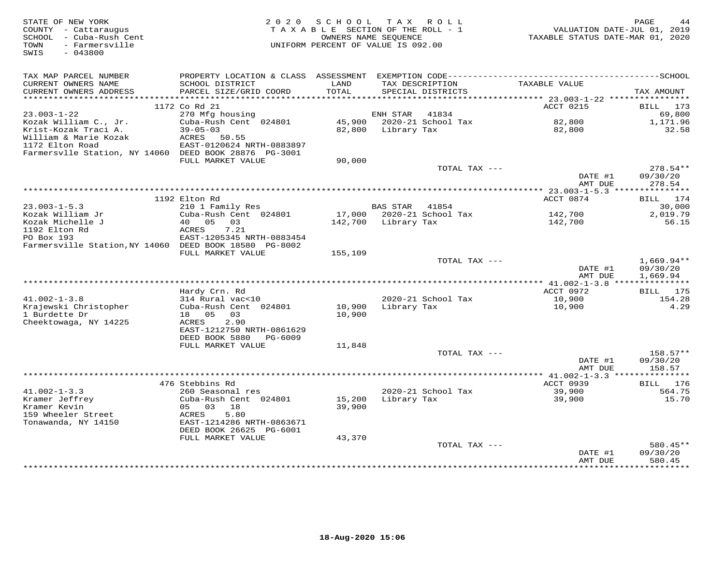| STATE OF NEW YORK<br>COUNTY - Cattaraugus<br>- Cuba-Rush Cent<br>SCHOOL | 2 0 2 0                                             | SCHOOL<br>TAXABLE SECTION OF THE ROLL - 1<br>OWNERS NAME SEOUENCE |                 | TAX ROLL                  | VALUATION DATE-JUL 01, 2019<br>TAXABLE STATUS DATE-MAR 01, 2020 | PAGE<br>44                |
|-------------------------------------------------------------------------|-----------------------------------------------------|-------------------------------------------------------------------|-----------------|---------------------------|-----------------------------------------------------------------|---------------------------|
| - Farmersville<br>TOWN<br>SWIS<br>$-043800$                             |                                                     | UNIFORM PERCENT OF VALUE IS 092.00                                |                 |                           |                                                                 |                           |
| TAX MAP PARCEL NUMBER                                                   |                                                     |                                                                   |                 |                           |                                                                 |                           |
| CURRENT OWNERS NAME                                                     | SCHOOL DISTRICT                                     | LAND                                                              |                 | TAX DESCRIPTION           | TAXABLE VALUE                                                   |                           |
| CURRENT OWNERS ADDRESS<br>**********************                        | PARCEL SIZE/GRID COORD<br>************************* | TOTAL                                                             |                 | SPECIAL DISTRICTS         |                                                                 | TAX AMOUNT                |
|                                                                         | 1172 Co Rd 21                                       |                                                                   |                 |                           | ACCT 0215                                                       | <b>BILL</b><br>173        |
| $23.003 - 1 - 22$                                                       | 270 Mfg housing                                     |                                                                   | ENH STAR        | 41834                     |                                                                 | 69,800                    |
| Kozak William C., Jr.                                                   | Cuba-Rush Cent 024801                               | 45,900                                                            |                 | 2020-21 School Tax        | 82,800                                                          | 1,171.96                  |
| Krist-Kozak Traci A.                                                    | $39 - 05 - 03$                                      | 82,800                                                            | Library Tax     |                           | 82,800                                                          | 32.58                     |
| William & Marie Kozak<br>1172 Elton Road                                | 50.55<br>ACRES<br>EAST-0120624 NRTH-0883897         |                                                                   |                 |                           |                                                                 |                           |
| Farmersvlle Station, NY 14060 DEED BOOK 28876 PG-3001                   |                                                     |                                                                   |                 |                           |                                                                 |                           |
|                                                                         | FULL MARKET VALUE                                   | 90,000                                                            |                 |                           |                                                                 |                           |
|                                                                         |                                                     |                                                                   |                 | TOTAL TAX ---             |                                                                 | $278.54**$                |
|                                                                         |                                                     |                                                                   |                 |                           | DATE #1                                                         | 09/30/20                  |
|                                                                         |                                                     |                                                                   |                 |                           | AMT DUE<br>$* 23.003 - 1 - 5.3$ ***                             | 278.54<br>**********      |
|                                                                         | 1192 Elton Rd                                       |                                                                   |                 |                           | ACCT 0874                                                       | BILL<br>174               |
| $23.003 - 1 - 5.3$                                                      | 210 1 Family Res                                    |                                                                   | <b>BAS STAR</b> | 41854                     |                                                                 | 30,000                    |
| Kozak William Jr                                                        | Cuba-Rush Cent 024801                               |                                                                   |                 | 17,000 2020-21 School Tax | 142,700                                                         | 2,019.79                  |
| Kozak Michelle J                                                        | 40 05<br>03                                         | 142,700                                                           | Library Tax     |                           | 142,700                                                         | 56.15                     |
| 1192 Elton Rd<br>PO Box 193                                             | 7.21<br>ACRES<br>EAST-1205345 NRTH-0883454          |                                                                   |                 |                           |                                                                 |                           |
| Farmersville Station, NY 14060 DEED BOOK 18580 PG-8002                  |                                                     |                                                                   |                 |                           |                                                                 |                           |
|                                                                         | FULL MARKET VALUE                                   | 155,109                                                           |                 |                           |                                                                 |                           |
|                                                                         |                                                     |                                                                   |                 | TOTAL TAX ---             |                                                                 | $1,669.94**$              |
|                                                                         |                                                     |                                                                   |                 |                           | DATE #1                                                         | 09/30/20                  |
|                                                                         |                                                     |                                                                   |                 |                           | AMT DUE                                                         | 1,669.94                  |
|                                                                         | Hardy Crn. Rd                                       |                                                                   |                 |                           | ACCT 0972                                                       | BILL 175                  |
| $41.002 - 1 - 3.8$                                                      | 314 Rural vac<10                                    |                                                                   |                 | 2020-21 School Tax        | 10,900                                                          | 154.28                    |
| Krajewski Christopher                                                   | Cuba-Rush Cent 024801                               | 10,900                                                            | Library Tax     |                           | 10,900                                                          | 4.29                      |
| 1 Burdette Dr                                                           | 18 05<br>03<br>2.90                                 | 10,900                                                            |                 |                           |                                                                 |                           |
| Cheektowaga, NY 14225                                                   | ACRES<br>EAST-1212750 NRTH-0861629                  |                                                                   |                 |                           |                                                                 |                           |
|                                                                         | DEED BOOK 5880<br>PG-6009                           |                                                                   |                 |                           |                                                                 |                           |
|                                                                         | FULL MARKET VALUE                                   | 11,848                                                            |                 |                           |                                                                 |                           |
|                                                                         |                                                     |                                                                   |                 | TOTAL TAX ---             |                                                                 | $158.57**$                |
|                                                                         |                                                     |                                                                   |                 |                           | DATE #1                                                         | 09/30/20                  |
|                                                                         |                                                     |                                                                   |                 |                           | AMT DUE<br>*********** 41.002-1-3.3 ****************            | 158.57                    |
|                                                                         | 476 Stebbins Rd                                     |                                                                   |                 |                           | ACCT 0939                                                       | 176<br>BILL               |
| $41.002 - 1 - 3.3$                                                      | 260 Seasonal res                                    |                                                                   |                 | 2020-21 School Tax        | 39,900                                                          | 564.75                    |
| Kramer Jeffrey                                                          | Cuba-Rush Cent 024801                               | 15,200                                                            | Library Tax     |                           | 39,900                                                          | 15.70                     |
| Kramer Kevin                                                            | 05 03<br>18                                         | 39,900                                                            |                 |                           |                                                                 |                           |
| 159 Wheeler Street<br>Tonawanda, NY 14150                               | 5.80<br>ACRES<br>EAST-1214286 NRTH-0863671          |                                                                   |                 |                           |                                                                 |                           |
|                                                                         | DEED BOOK 26625 PG-6001                             |                                                                   |                 |                           |                                                                 |                           |
|                                                                         | FULL MARKET VALUE                                   | 43,370                                                            |                 |                           |                                                                 |                           |
|                                                                         |                                                     |                                                                   |                 | TOTAL TAX ---             |                                                                 | 580.45**                  |
|                                                                         |                                                     |                                                                   |                 |                           | DATE #1                                                         | 09/30/20                  |
|                                                                         |                                                     |                                                                   |                 |                           | AMT DUE                                                         | 580.45<br>* * * * * * * * |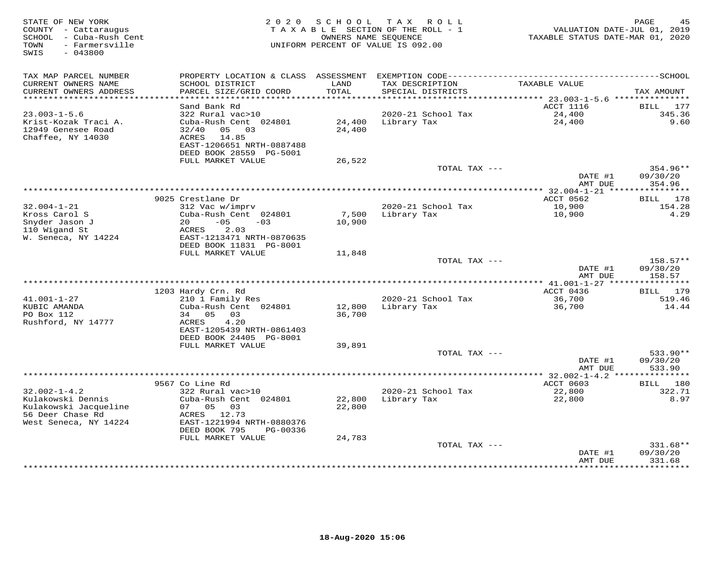| STATE OF NEW YORK<br>COUNTY - Cattaraugus<br>- Cuba-Rush Cent<br>SCHOOL<br>- Farmersville<br>TOWN<br>SWIS<br>$-043800$ | 2 0 2 0                                              | S C H O O L   | T A X<br>ROLL<br>TAXABLE SECTION OF THE ROLL - 1<br>OWNERS NAME SEQUENCE<br>UNIFORM PERCENT OF VALUE IS 092.00 | VALUATION DATE-JUL 01, 2019<br>TAXABLE STATUS DATE-MAR 01, 2020 | PAGE<br>45                    |
|------------------------------------------------------------------------------------------------------------------------|------------------------------------------------------|---------------|----------------------------------------------------------------------------------------------------------------|-----------------------------------------------------------------|-------------------------------|
| TAX MAP PARCEL NUMBER                                                                                                  |                                                      |               |                                                                                                                |                                                                 |                               |
| CURRENT OWNERS NAME<br>CURRENT OWNERS ADDRESS                                                                          | SCHOOL DISTRICT<br>PARCEL SIZE/GRID COORD            | LAND<br>TOTAL | TAX DESCRIPTION<br>SPECIAL DISTRICTS                                                                           | TAXABLE VALUE                                                   | TAX AMOUNT                    |
| ************************                                                                                               |                                                      |               |                                                                                                                | ACCT 1116                                                       |                               |
| $23.003 - 1 - 5.6$                                                                                                     | Sand Bank Rd<br>322 Rural vac>10                     |               | 2020-21 School Tax                                                                                             | 24,400                                                          | 177<br>BILL<br>345.36         |
| Krist-Kozak Traci A.                                                                                                   | Cuba-Rush Cent 024801                                | 24,400        | Library Tax                                                                                                    | 24,400                                                          | 9.60                          |
| 12949 Genesee Road                                                                                                     | 32/40<br>05 03                                       | 24,400        |                                                                                                                |                                                                 |                               |
| Chaffee, NY 14030                                                                                                      | ACRES<br>14.85                                       |               |                                                                                                                |                                                                 |                               |
|                                                                                                                        | EAST-1206651 NRTH-0887488<br>DEED BOOK 28559 PG-5001 |               |                                                                                                                |                                                                 |                               |
|                                                                                                                        | FULL MARKET VALUE                                    | 26,522        |                                                                                                                |                                                                 |                               |
|                                                                                                                        |                                                      |               | TOTAL TAX ---                                                                                                  |                                                                 | 354.96**                      |
|                                                                                                                        |                                                      |               |                                                                                                                | DATE #1                                                         | 09/30/20                      |
|                                                                                                                        |                                                      |               |                                                                                                                | AMT DUE                                                         | 354.96                        |
|                                                                                                                        | 9025 Crestlane Dr                                    |               |                                                                                                                | ****************** 32.004-1-21 *****************<br>ACCT 0562   | BILL 178                      |
| $32.004 - 1 - 21$                                                                                                      | 312 Vac w/imprv                                      |               | 2020-21 School Tax                                                                                             | 10,900                                                          | 154.28                        |
| Kross Carol S                                                                                                          | Cuba-Rush Cent 024801                                |               | 7,500 Library Tax                                                                                              | 10,900                                                          | 4.29                          |
| Snyder Jason J                                                                                                         | $-05$<br>20<br>$-03$                                 | 10,900        |                                                                                                                |                                                                 |                               |
| 110 Wigand St                                                                                                          | ACRES<br>2.03<br>EAST-1213471 NRTH-0870635           |               |                                                                                                                |                                                                 |                               |
| W. Seneca, NY 14224                                                                                                    | DEED BOOK 11831 PG-8001                              |               |                                                                                                                |                                                                 |                               |
|                                                                                                                        | FULL MARKET VALUE                                    | 11,848        |                                                                                                                |                                                                 |                               |
|                                                                                                                        |                                                      |               | TOTAL TAX ---                                                                                                  |                                                                 | $158.57**$                    |
|                                                                                                                        |                                                      |               |                                                                                                                | DATE #1                                                         | 09/30/20                      |
|                                                                                                                        |                                                      |               |                                                                                                                | AMT DUE                                                         | 158.57                        |
|                                                                                                                        | 1203 Hardy Crn. Rd                                   |               |                                                                                                                | ACCT 0436                                                       | BILL 179                      |
| $41.001 - 1 - 27$                                                                                                      | 210 1 Family Res                                     |               | 2020-21 School Tax                                                                                             | 36,700                                                          | 519.46                        |
| KUBIC AMANDA                                                                                                           | Cuba-Rush Cent 024801                                | 12,800        | Library Tax                                                                                                    | 36,700                                                          | 14.44                         |
| PO Box 112                                                                                                             | 34 05<br>03                                          | 36,700        |                                                                                                                |                                                                 |                               |
| Rushford, NY 14777                                                                                                     | ACRES<br>4.20<br>EAST-1205439 NRTH-0861403           |               |                                                                                                                |                                                                 |                               |
|                                                                                                                        | DEED BOOK 24405 PG-8001                              |               |                                                                                                                |                                                                 |                               |
|                                                                                                                        | FULL MARKET VALUE                                    | 39,891        |                                                                                                                |                                                                 |                               |
|                                                                                                                        |                                                      |               | TOTAL TAX ---                                                                                                  |                                                                 | 533.90**                      |
|                                                                                                                        |                                                      |               |                                                                                                                | DATE #1                                                         | 09/30/20                      |
|                                                                                                                        |                                                      |               |                                                                                                                | AMT DUE                                                         | 533.90                        |
|                                                                                                                        | 9567 Co Line Rd                                      |               |                                                                                                                | ACCT 0603                                                       | 180<br>BILL                   |
| $32.002 - 1 - 4.2$                                                                                                     | 322 Rural vac>10                                     |               | 2020-21 School Tax                                                                                             | 22,800                                                          | 322.71                        |
| Kulakowski Dennis                                                                                                      | Cuba-Rush Cent 024801                                | 22,800        | Library Tax                                                                                                    | 22,800                                                          | 8.97                          |
| Kulakowski Jacqueline                                                                                                  | 07<br>05 03                                          | 22,800        |                                                                                                                |                                                                 |                               |
| 56 Deer Chase Rd<br>West Seneca, NY 14224                                                                              | ACRES 12.73<br>EAST-1221994 NRTH-0880376             |               |                                                                                                                |                                                                 |                               |
|                                                                                                                        | DEED BOOK 795<br>PG-00336                            |               |                                                                                                                |                                                                 |                               |
|                                                                                                                        | FULL MARKET VALUE                                    | 24,783        |                                                                                                                |                                                                 |                               |
|                                                                                                                        |                                                      |               | TOTAL TAX ---                                                                                                  |                                                                 | $331.68**$                    |
|                                                                                                                        |                                                      |               |                                                                                                                | DATE #1                                                         | 09/30/20                      |
|                                                                                                                        |                                                      |               | ****************************                                                                                   | AMT DUE<br>************                                         | 331.68<br>* * * * * * * * * * |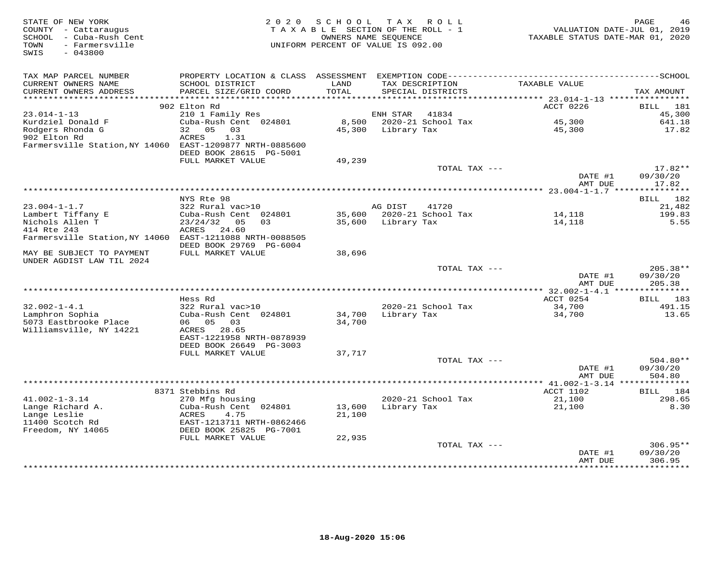| STATE OF NEW YORK<br>COUNTY - Cattaraugus<br>SCHOOL - Cuba-Rush Cent<br>- Farmersville<br>TOWN<br>SWIS<br>$-043800$ | 2 0 2 0                                              | S C H O O L<br>TAXABLE SECTION OF THE ROLL - 1<br>OWNERS NAME SEQUENCE<br>UNIFORM PERCENT OF VALUE IS 092.00 |                    | TAX ROLL                             | VALUATION DATE-JUL 01, 2019<br>TAXABLE STATUS DATE-MAR 01, 2020 | PAGE<br>46         |
|---------------------------------------------------------------------------------------------------------------------|------------------------------------------------------|--------------------------------------------------------------------------------------------------------------|--------------------|--------------------------------------|-----------------------------------------------------------------|--------------------|
| TAX MAP PARCEL NUMBER                                                                                               |                                                      |                                                                                                              |                    |                                      |                                                                 |                    |
| CURRENT OWNERS NAME<br>CURRENT OWNERS ADDRESS                                                                       | SCHOOL DISTRICT<br>PARCEL SIZE/GRID COORD            | LAND<br>TOTAL                                                                                                |                    | TAX DESCRIPTION<br>SPECIAL DISTRICTS | TAXABLE VALUE                                                   | TAX AMOUNT         |
| *************************                                                                                           |                                                      |                                                                                                              |                    |                                      |                                                                 |                    |
| $23.014 - 1 - 13$                                                                                                   | 902 Elton Rd                                         |                                                                                                              |                    | 41834                                | ACCT 0226                                                       | <b>BILL</b><br>181 |
| Kurdziel Donald F                                                                                                   | 210 1 Family Res<br>Cuba-Rush Cent 024801            | 8,500                                                                                                        | ENH STAR           | 2020-21 School Tax                   | 45,300                                                          | 45,300<br>641.18   |
| Rodgers Rhonda G                                                                                                    | 32<br>05<br>03                                       | 45,300                                                                                                       | Library Tax        |                                      | 45,300                                                          | 17.82              |
| 902 Elton Rd                                                                                                        | ACRES<br>1.31                                        |                                                                                                              |                    |                                      |                                                                 |                    |
| Farmersville Station, NY 14060 EAST-1209877 NRTH-0885600                                                            | DEED BOOK 28615 PG-5001                              |                                                                                                              |                    |                                      |                                                                 |                    |
|                                                                                                                     | FULL MARKET VALUE                                    | 49,239                                                                                                       |                    |                                      |                                                                 |                    |
|                                                                                                                     |                                                      |                                                                                                              |                    | TOTAL TAX ---                        |                                                                 | $17.82**$          |
|                                                                                                                     |                                                      |                                                                                                              |                    |                                      | DATE #1<br>AMT DUE                                              | 09/30/20<br>17.82  |
|                                                                                                                     |                                                      |                                                                                                              |                    |                                      |                                                                 |                    |
| $23.004 - 1 - 1.7$                                                                                                  | NYS Rte 98<br>322 Rural vac>10                       |                                                                                                              | AG DIST            | 41720                                |                                                                 | BILL 182<br>21,482 |
| Lambert Tiffany E                                                                                                   | Cuba-Rush Cent 024801                                |                                                                                                              |                    | 35,600 2020-21 School Tax            | 14,118                                                          | 199.83             |
| Nichols Allen T                                                                                                     | $23/24/32$ 05<br>0.3                                 |                                                                                                              | 35,600 Library Tax |                                      | 14,118                                                          | 5.55               |
| 414 Rte 243                                                                                                         | ACRES<br>24.60                                       |                                                                                                              |                    |                                      |                                                                 |                    |
| Farmersville Station, NY 14060 EAST-1211088 NRTH-0088505                                                            | DEED BOOK 29769 PG-6004                              |                                                                                                              |                    |                                      |                                                                 |                    |
| MAY BE SUBJECT TO PAYMENT<br>UNDER AGDIST LAW TIL 2024                                                              | FULL MARKET VALUE                                    | 38,696                                                                                                       |                    |                                      |                                                                 |                    |
|                                                                                                                     |                                                      |                                                                                                              |                    | TOTAL TAX ---                        |                                                                 | $205.38**$         |
|                                                                                                                     |                                                      |                                                                                                              |                    |                                      | DATE #1<br>AMT DUE                                              | 09/30/20<br>205.38 |
|                                                                                                                     |                                                      |                                                                                                              |                    |                                      |                                                                 |                    |
|                                                                                                                     | Hess Rd                                              |                                                                                                              |                    |                                      | ACCT 0254                                                       | <b>BILL</b><br>183 |
| $32.002 - 1 - 4.1$<br>Lamphron Sophia                                                                               | 322 Rural vac>10<br>Cuba-Rush Cent 024801            | 34,700                                                                                                       |                    | 2020-21 School Tax                   | 34,700<br>34,700                                                | 491.15<br>13.65    |
| 5073 Eastbrooke Place<br>Williamsville, NY 14221                                                                    | 06 05<br>03<br>ACRES 28.65                           | 34,700                                                                                                       | Library Tax        |                                      |                                                                 |                    |
|                                                                                                                     | EAST-1221958 NRTH-0878939<br>DEED BOOK 26649 PG-3003 |                                                                                                              |                    |                                      |                                                                 |                    |
|                                                                                                                     | FULL MARKET VALUE                                    | 37,717                                                                                                       |                    |                                      |                                                                 |                    |
|                                                                                                                     |                                                      |                                                                                                              |                    | TOTAL TAX ---                        |                                                                 | $504.80**$         |
|                                                                                                                     |                                                      |                                                                                                              |                    |                                      | DATE #1<br>AMT DUE                                              | 09/30/20<br>504.80 |
|                                                                                                                     |                                                      |                                                                                                              |                    |                                      |                                                                 |                    |
| $41.002 - 1 - 3.14$                                                                                                 | 8371 Stebbins Rd<br>270 Mfg housing                  |                                                                                                              |                    | 2020-21 School Tax                   | ACCT 1102<br>21,100                                             | BILL 184<br>298.65 |
| Lange Richard A.                                                                                                    | Cuba-Rush Cent 024801                                | 13,600                                                                                                       | Library Tax        |                                      | 21,100                                                          | 8.30               |
| Lange Leslie                                                                                                        | ACRES<br>4.75                                        | 21,100                                                                                                       |                    |                                      |                                                                 |                    |
| 11400 Scotch Rd                                                                                                     | EAST-1213711 NRTH-0862466                            |                                                                                                              |                    |                                      |                                                                 |                    |
| Freedom, NY 14065                                                                                                   | DEED BOOK 25825 PG-7001                              |                                                                                                              |                    |                                      |                                                                 |                    |
|                                                                                                                     | FULL MARKET VALUE                                    | 22,935                                                                                                       |                    |                                      |                                                                 |                    |
|                                                                                                                     |                                                      |                                                                                                              |                    | TOTAL TAX ---                        |                                                                 | $306.95**$         |
|                                                                                                                     |                                                      |                                                                                                              |                    |                                      | DATE #1<br>AMT DUE                                              | 09/30/20<br>306.95 |
|                                                                                                                     |                                                      |                                                                                                              |                    |                                      | * * * * * * * * * * * * * * *                                   | **********         |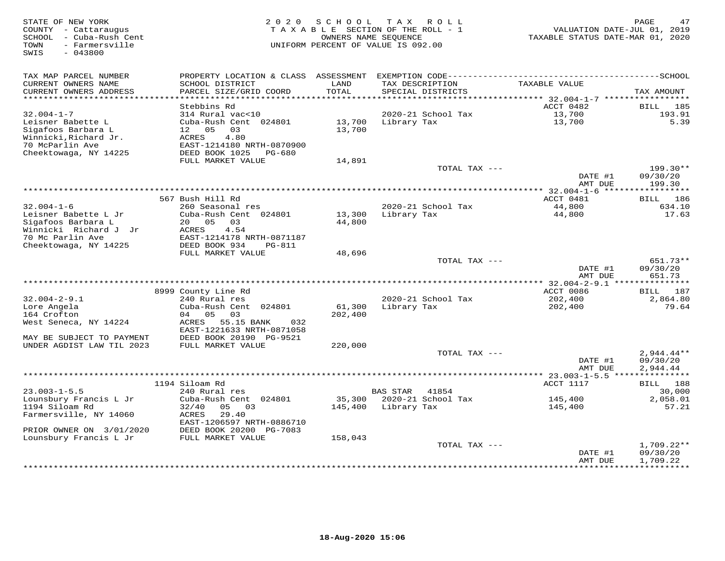| STATE OF NEW YORK<br>COUNTY - Cattaraugus<br>SCHOOL - Cuba-Rush Cent<br>- Farmersville<br>TOWN<br>SWIS<br>$-043800$ | 2 0 2 0                                                                           | SCHOOL           | TAX ROLL<br>TAXABLE SECTION OF THE ROLL - 1<br>OWNERS NAME SEQUENCE<br>UNIFORM PERCENT OF VALUE IS 092.00 | VALUATION DATE-JUL 01, 2019<br>TAXABLE STATUS DATE-MAR 01, 2020 | PAGE<br>47                           |
|---------------------------------------------------------------------------------------------------------------------|-----------------------------------------------------------------------------------|------------------|-----------------------------------------------------------------------------------------------------------|-----------------------------------------------------------------|--------------------------------------|
| TAX MAP PARCEL NUMBER                                                                                               |                                                                                   |                  |                                                                                                           |                                                                 |                                      |
| CURRENT OWNERS NAME<br>CURRENT OWNERS ADDRESS<br>***********************                                            | SCHOOL DISTRICT<br>PARCEL SIZE/GRID COORD                                         | LAND<br>TOTAL    | TAX DESCRIPTION<br>SPECIAL DISTRICTS                                                                      | TAXABLE VALUE                                                   | TAX AMOUNT                           |
|                                                                                                                     | Stebbins Rd                                                                       |                  |                                                                                                           | ACCT 0482                                                       | 185<br>BILL                          |
| $32.004 - 1 - 7$                                                                                                    | 314 Rural vac<10                                                                  |                  | 2020-21 School Tax                                                                                        | 13,700                                                          | 193.91                               |
| Leisner Babette L<br>Sigafoos Barbara L<br>Winnicki, Richard Jr.                                                    | Cuba-Rush Cent 024801<br>12 05<br>03<br>4.80<br>ACRES                             | 13,700<br>13,700 | Library Tax                                                                                               | 13,700                                                          | 5.39                                 |
| 70 McParlin Ave<br>Cheektowaga, NY 14225                                                                            | EAST-1214180 NRTH-0870900<br>DEED BOOK 1025<br>PG-680                             |                  |                                                                                                           |                                                                 |                                      |
|                                                                                                                     | FULL MARKET VALUE                                                                 | 14,891           |                                                                                                           |                                                                 |                                      |
|                                                                                                                     |                                                                                   |                  | TOTAL TAX ---                                                                                             | DATE #1<br>AMT DUE                                              | 199.30**<br>09/30/20<br>199.30       |
|                                                                                                                     |                                                                                   |                  |                                                                                                           |                                                                 |                                      |
|                                                                                                                     | 567 Bush Hill Rd                                                                  |                  |                                                                                                           | ACCT 0481                                                       | BILL 186                             |
| $32.004 - 1 - 6$                                                                                                    | 260 Seasonal res                                                                  |                  | 2020-21 School Tax                                                                                        | 44,800                                                          | 634.10                               |
| Leisner Babette L Jr<br>Sigafoos Barbara L<br>Winnicki Richard J Jr<br>70 Mc Parlin Ave                             | Cuba-Rush Cent 024801<br>20  05  03<br>4.54<br>ACRES<br>EAST-1214178 NRTH-0871187 | 44,800           | 13,300 Library Tax                                                                                        | 44,800                                                          | 17.63                                |
| Cheektowaga, NY 14225                                                                                               | DEED BOOK 934<br><b>PG-811</b>                                                    |                  |                                                                                                           |                                                                 |                                      |
|                                                                                                                     | FULL MARKET VALUE                                                                 | 48,696           |                                                                                                           |                                                                 |                                      |
|                                                                                                                     |                                                                                   |                  | TOTAL TAX ---                                                                                             | DATE #1<br>AMT DUE                                              | 651.73**<br>09/30/20<br>651.73       |
|                                                                                                                     |                                                                                   |                  |                                                                                                           |                                                                 |                                      |
|                                                                                                                     | 8999 County Line Rd                                                               |                  |                                                                                                           | ACCT 0086                                                       | BILL 187                             |
| $32.004 - 2 - 9.1$<br>Lore Angela                                                                                   | 240 Rural res<br>Cuba-Rush Cent 024801                                            | 61,300           | 2020-21 School Tax<br>Library Tax                                                                         | 202,400                                                         | 2,864.80<br>79.64                    |
| 164 Crofton                                                                                                         | 04 05 03                                                                          | 202,400          |                                                                                                           | 202,400                                                         |                                      |
| West Seneca, NY 14224                                                                                               | 55.15 BANK<br>ACRES<br>032<br>EAST-1221633 NRTH-0871058                           |                  |                                                                                                           |                                                                 |                                      |
| MAY BE SUBJECT TO PAYMENT                                                                                           | DEED BOOK 20190 PG-9521                                                           |                  |                                                                                                           |                                                                 |                                      |
| UNDER AGDIST LAW TIL 2023                                                                                           | FULL MARKET VALUE                                                                 | 220,000          |                                                                                                           |                                                                 |                                      |
|                                                                                                                     |                                                                                   |                  | TOTAL TAX ---                                                                                             | DATE #1<br>AMT DUE                                              | $2,944.44**$<br>09/30/20<br>2,944.44 |
|                                                                                                                     |                                                                                   |                  |                                                                                                           |                                                                 |                                      |
|                                                                                                                     | 1194 Siloam Rd                                                                    |                  |                                                                                                           | ACCT 1117                                                       | BILL 188                             |
| $23.003 - 1 - 5.5$                                                                                                  | 240 Rural res                                                                     |                  | <b>BAS STAR</b><br>41854                                                                                  |                                                                 | 30,000                               |
| Lounsbury Francis L Jr                                                                                              | Cuba-Rush Cent 024801<br>0.5                                                      | 35,300           | 2020-21 School Tax                                                                                        | 145,400                                                         | 2,058.01                             |
| 1194 Siloam Rd<br>Farmersville, NY 14060                                                                            | 32/40<br>03<br>ACRES<br>29.40<br>EAST-1206597 NRTH-0886710                        | 145,400          | Library Tax                                                                                               | 145,400                                                         | 57.21                                |
| PRIOR OWNER ON 3/01/2020                                                                                            | DEED BOOK 20200 PG-7083                                                           |                  |                                                                                                           |                                                                 |                                      |
| Lounsbury Francis L Jr                                                                                              | FULL MARKET VALUE                                                                 | 158,043          |                                                                                                           |                                                                 |                                      |
|                                                                                                                     |                                                                                   |                  | TOTAL TAX ---                                                                                             | DATE #1                                                         | 1,709.22**<br>09/30/20               |
|                                                                                                                     |                                                                                   |                  |                                                                                                           | AMT DUE                                                         | 1,709.22<br>.                        |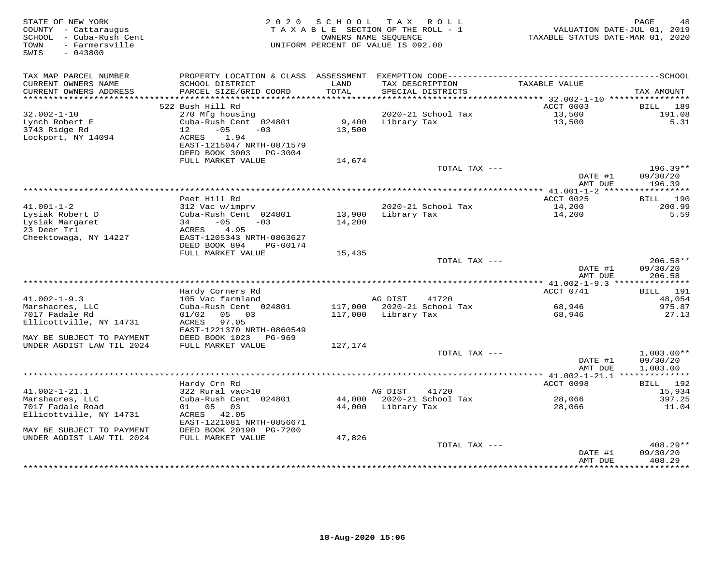| STATE OF NEW YORK<br>COUNTY - Cattaraugus<br>SCHOOL - Cuba-Rush Cent<br>- Farmersville<br>TOWN<br>$-043800$<br>SWIS | 2 0 2 0                                                | S C H O O L<br>TAXABLE SECTION OF THE ROLL - 1<br>OWNERS NAME SEOUENCE<br>UNIFORM PERCENT OF VALUE IS 092.00 |                     | TAX ROLL                             | TAXABLE STATUS DATE-MAR 01, 2020                            | PAGE<br>48<br>VALUATION DATE-JUL 01, 2019 |
|---------------------------------------------------------------------------------------------------------------------|--------------------------------------------------------|--------------------------------------------------------------------------------------------------------------|---------------------|--------------------------------------|-------------------------------------------------------------|-------------------------------------------|
| TAX MAP PARCEL NUMBER                                                                                               |                                                        |                                                                                                              |                     |                                      |                                                             |                                           |
| CURRENT OWNERS NAME<br>CURRENT OWNERS ADDRESS<br>**********************                                             | SCHOOL DISTRICT<br>PARCEL SIZE/GRID COORD              | LAND<br>TOTAL                                                                                                |                     | TAX DESCRIPTION<br>SPECIAL DISTRICTS | TAXABLE VALUE                                               | TAX AMOUNT                                |
|                                                                                                                     | 522 Bush Hill Rd                                       |                                                                                                              |                     |                                      | ACCT 0003                                                   | BILL<br>189                               |
| $32.002 - 1 - 10$                                                                                                   | 270 Mfg housing                                        |                                                                                                              |                     | 2020-21 School Tax                   | 13,500                                                      | 191.08                                    |
| Lynch Robert E                                                                                                      | Cuba-Rush Cent 024801                                  | 9,400                                                                                                        | Library Tax         |                                      | 13,500                                                      | 5.31                                      |
| 3743 Ridge Rd                                                                                                       | $-05$<br>12<br>$-03$                                   | 13,500                                                                                                       |                     |                                      |                                                             |                                           |
| Lockport, NY 14094                                                                                                  | ACRES<br>1.94                                          |                                                                                                              |                     |                                      |                                                             |                                           |
|                                                                                                                     | EAST-1215047 NRTH-0871579                              |                                                                                                              |                     |                                      |                                                             |                                           |
|                                                                                                                     | DEED BOOK 3003 PG-3004                                 |                                                                                                              |                     |                                      |                                                             |                                           |
|                                                                                                                     | FULL MARKET VALUE                                      | 14,674                                                                                                       |                     |                                      |                                                             | $196.39**$                                |
|                                                                                                                     |                                                        |                                                                                                              |                     | TOTAL TAX ---                        | DATE #1                                                     | 09/30/20                                  |
|                                                                                                                     |                                                        |                                                                                                              |                     |                                      | AMT DUE                                                     | 196.39                                    |
|                                                                                                                     |                                                        | ********************************                                                                             |                     |                                      | ****** $41.001 - 1 - 2$ *****                               | ***********                               |
|                                                                                                                     | Peet Hill Rd                                           |                                                                                                              |                     |                                      | ACCT 0025                                                   | BILL 190                                  |
| $41.001 - 1 - 2$                                                                                                    | 312 Vac w/imprv                                        |                                                                                                              |                     | 2020-21 School Tax                   | 14,200                                                      | 200.99                                    |
| Lysiak Robert D                                                                                                     | Cuba-Rush Cent 024801                                  | 13,900                                                                                                       | Library Tax         |                                      | 14,200                                                      | 5.59                                      |
| Lysiak Margaret                                                                                                     | $-05$<br>$-03$<br>34                                   | 14,200                                                                                                       |                     |                                      |                                                             |                                           |
| 23 Deer Trl                                                                                                         | ACRES<br>4.95                                          |                                                                                                              |                     |                                      |                                                             |                                           |
| Cheektowaga, NY 14227                                                                                               | EAST-1205343 NRTH-0863627<br>DEED BOOK 894<br>PG-00174 |                                                                                                              |                     |                                      |                                                             |                                           |
|                                                                                                                     | FULL MARKET VALUE                                      | 15,435                                                                                                       |                     |                                      |                                                             |                                           |
|                                                                                                                     |                                                        |                                                                                                              |                     | TOTAL TAX ---                        |                                                             | $206.58**$                                |
|                                                                                                                     |                                                        |                                                                                                              |                     |                                      | DATE #1                                                     | 09/30/20                                  |
|                                                                                                                     |                                                        |                                                                                                              |                     |                                      | AMT DUE                                                     | 206.58                                    |
|                                                                                                                     |                                                        |                                                                                                              |                     |                                      |                                                             |                                           |
|                                                                                                                     | Hardy Corners Rd                                       |                                                                                                              |                     |                                      | ACCT 0741                                                   | BILL 191                                  |
| $41.002 - 1 - 9.3$<br>Marshacres, LLC                                                                               | 105 Vac farmland<br>Cuba-Rush Cent 024801              |                                                                                                              | AG DIST             | 41720<br>117,000 2020-21 School Tax  | 68,946                                                      | 48,054<br>975.87                          |
| 7017 Fadale Rd                                                                                                      | 01/02<br>05 03                                         |                                                                                                              | 117,000 Library Tax |                                      | 68,946                                                      | 27.13                                     |
| Ellicottville, NY 14731                                                                                             | ACRES<br>97.05                                         |                                                                                                              |                     |                                      |                                                             |                                           |
|                                                                                                                     | EAST-1221370 NRTH-0860549                              |                                                                                                              |                     |                                      |                                                             |                                           |
| MAY BE SUBJECT TO PAYMENT                                                                                           | DEED BOOK 1023<br>PG-969                               |                                                                                                              |                     |                                      |                                                             |                                           |
| UNDER AGDIST LAW TIL 2024                                                                                           | FULL MARKET VALUE                                      | 127,174                                                                                                      |                     |                                      |                                                             |                                           |
|                                                                                                                     |                                                        |                                                                                                              |                     | TOTAL TAX ---                        |                                                             | $1,003.00**$                              |
|                                                                                                                     |                                                        |                                                                                                              |                     |                                      | DATE #1                                                     | 09/30/20                                  |
| ********************                                                                                                |                                                        |                                                                                                              |                     |                                      | AMT DUE<br>****************** 41.002-1-21.1 *************** | 1,003.00                                  |
|                                                                                                                     | Hardy Crn Rd                                           |                                                                                                              |                     |                                      | ACCT 0098                                                   | BILL 192                                  |
| $41.002 - 1 - 21.1$                                                                                                 | 322 Rural vac>10                                       |                                                                                                              | AG DIST             | 41720                                |                                                             | 15,934                                    |
| Marshacres, LLC                                                                                                     | Cuba-Rush Cent 024801                                  | 44,000                                                                                                       |                     | 2020-21 School Tax                   | 28,066                                                      | 397.25                                    |
| 7017 Fadale Road                                                                                                    | 01  05  03                                             |                                                                                                              | 44,000 Library Tax  |                                      | 28,066                                                      | 11.04                                     |
| Ellicottville, NY 14731                                                                                             | ACRES 42.05                                            |                                                                                                              |                     |                                      |                                                             |                                           |
|                                                                                                                     | EAST-1221081 NRTH-0856671                              |                                                                                                              |                     |                                      |                                                             |                                           |
| MAY BE SUBJECT TO PAYMENT                                                                                           | DEED BOOK 20190 PG-7200                                |                                                                                                              |                     |                                      |                                                             |                                           |
| UNDER AGDIST LAW TIL 2024                                                                                           | FULL MARKET VALUE                                      | 47,826                                                                                                       |                     |                                      |                                                             |                                           |
|                                                                                                                     |                                                        |                                                                                                              |                     | TOTAL TAX ---                        | DATE #1                                                     | $408.29**$<br>09/30/20                    |
|                                                                                                                     |                                                        |                                                                                                              |                     |                                      | AMT DUE                                                     | 408.29                                    |
|                                                                                                                     |                                                        |                                                                                                              |                     |                                      | *************                                               | **********                                |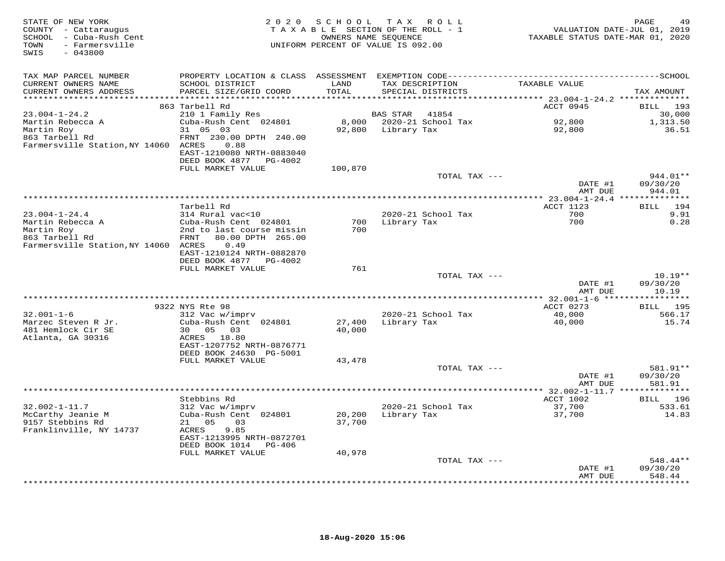| STATE OF NEW YORK<br>COUNTY - Cattaraugus<br>SCHOOL - Cuba-Rush Cent<br>- Farmersville<br>TOWN<br>$-043800$<br>SWIS | 2 0 2 0                                                                                                                                        | SCHOOL           | TAX ROLL<br>TAXABLE SECTION OF THE ROLL - 1<br>OWNERS NAME SEOUENCE<br>UNIFORM PERCENT OF VALUE IS 092.00 | TAXABLE STATUS DATE-MAR 01, 2020 | PAGE<br>49<br>VALUATION DATE-JUL 01, 2019 |
|---------------------------------------------------------------------------------------------------------------------|------------------------------------------------------------------------------------------------------------------------------------------------|------------------|-----------------------------------------------------------------------------------------------------------|----------------------------------|-------------------------------------------|
| TAX MAP PARCEL NUMBER<br>CURRENT OWNERS NAME                                                                        | SCHOOL DISTRICT                                                                                                                                | LAND             | TAX DESCRIPTION                                                                                           | TAXABLE VALUE                    |                                           |
| CURRENT OWNERS ADDRESS<br>*************************                                                                 | PARCEL SIZE/GRID COORD                                                                                                                         | TOTAL            | SPECIAL DISTRICTS                                                                                         |                                  | TAX AMOUNT                                |
|                                                                                                                     | 863 Tarbell Rd                                                                                                                                 |                  |                                                                                                           | ACCT 0945                        | BILL 193                                  |
| $23.004 - 1 - 24.2$                                                                                                 | 210 1 Family Res                                                                                                                               |                  | <b>BAS STAR</b><br>41854                                                                                  |                                  | 30,000                                    |
| Martin Rebecca A                                                                                                    | Cuba-Rush Cent 024801                                                                                                                          |                  | 8,000 2020-21 School Tax                                                                                  | 92,800                           | 1,313.50                                  |
| Martin Roy<br>863 Tarbell Rd<br>Farmersville Station, NY 14060 ACRES                                                | 31 05 03<br>FRNT 230.00 DPTH 240.00<br>0.88<br>EAST-1210080 NRTH-0883040<br>DEED BOOK 4877 PG-4002                                             |                  | 92,800 Library Tax                                                                                        | 92,800                           | 36.51                                     |
|                                                                                                                     | FULL MARKET VALUE                                                                                                                              | 100,870          |                                                                                                           |                                  |                                           |
|                                                                                                                     |                                                                                                                                                |                  | TOTAL TAX ---                                                                                             | DATE #1<br>AMT DUE               | $944.01**$<br>09/30/20<br>944.01          |
|                                                                                                                     |                                                                                                                                                |                  |                                                                                                           |                                  |                                           |
|                                                                                                                     | Tarbell Rd                                                                                                                                     |                  |                                                                                                           | ACCT 1123                        | 194<br>BILL                               |
| $23.004 - 1 - 24.4$                                                                                                 | 314 Rural vac<10                                                                                                                               |                  | 2020-21 School Tax                                                                                        | 700                              | 9.91                                      |
| Martin Rebecca A<br>Martin Roy<br>863 Tarbell Rd<br>Farmersville Station, NY 14060 ACRES                            | Cuba-Rush Cent 024801<br>2nd to last course missin<br>FRNT<br>80.00 DPTH 265.00<br>0.49<br>EAST-1210124 NRTH-0882870<br>DEED BOOK 4877 PG-4002 | 700<br>700       | Library Tax                                                                                               | 700                              | 0.28                                      |
|                                                                                                                     | FULL MARKET VALUE                                                                                                                              | 761              |                                                                                                           |                                  |                                           |
|                                                                                                                     |                                                                                                                                                |                  | TOTAL TAX ---                                                                                             | DATE #1                          | $10.19**$<br>09/30/20                     |
|                                                                                                                     |                                                                                                                                                |                  |                                                                                                           | AMT DUE                          | 10.19                                     |
|                                                                                                                     | 9322 NYS Rte 98                                                                                                                                |                  |                                                                                                           | ACCT 0273                        | BILL 195                                  |
| $32.001 - 1 - 6$                                                                                                    | 312 Vac w/imprv                                                                                                                                |                  | 2020-21 School Tax                                                                                        | 40,000                           | 566.17                                    |
| Marzec Steven R Jr.<br>481 Hemlock Cir SE<br>Atlanta, GA 30316                                                      | Cuba-Rush Cent 024801<br>30 <sup>7</sup><br>05 03<br>ACRES 18.80<br>EAST-1207752 NRTH-0876771<br>DEED BOOK 24630 PG-5001                       | 27,400<br>40,000 | Library Tax                                                                                               | 40,000                           | 15.74                                     |
|                                                                                                                     | FULL MARKET VALUE                                                                                                                              | 43,478           |                                                                                                           |                                  |                                           |
|                                                                                                                     |                                                                                                                                                |                  | TOTAL TAX ---                                                                                             | DATE #1<br>AMT DUE               | 581.91**<br>09/30/20<br>581.91            |
|                                                                                                                     |                                                                                                                                                |                  |                                                                                                           |                                  |                                           |
|                                                                                                                     | Stebbins Rd                                                                                                                                    |                  |                                                                                                           | ACCT 1002                        | BILL 196                                  |
| $32.002 - 1 - 11.7$<br>McCarthy Jeanie M<br>9157 Stebbins Rd<br>Franklinville, NY 14737                             | 312 Vac w/imprv<br>Cuba-Rush Cent 024801<br>21 05<br>03<br>ACRES<br>9.85<br>EAST-1213995 NRTH-0872701<br>DEED BOOK 1014<br>PG-406              | 20,200<br>37,700 | 2020-21 School Tax<br>Library Tax                                                                         | 37,700<br>37,700                 | 533.61<br>14.83                           |
|                                                                                                                     | FULL MARKET VALUE                                                                                                                              | 40,978           |                                                                                                           |                                  |                                           |
|                                                                                                                     |                                                                                                                                                |                  | TOTAL TAX ---                                                                                             | DATE #1<br>AMT DUE               | 548.44**<br>09/30/20<br>548.44            |
|                                                                                                                     |                                                                                                                                                |                  | ********************************                                                                          |                                  | * * * * * * * *                           |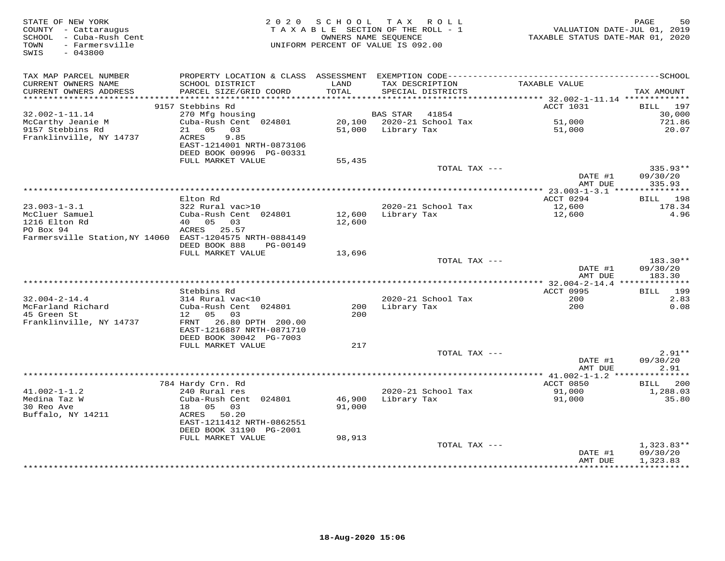| STATE OF NEW YORK<br>COUNTY - Cattaraugus<br>SCHOOL - Cuba-Rush Cent<br>- Farmersville<br>TOWN<br>SWIS<br>$-043800$ | 2 0 2 0                                                                | SCHOOL<br>OWNERS NAME SEOUENCE | TAX ROLL<br>TAXABLE SECTION OF THE ROLL - 1<br>UNIFORM PERCENT OF VALUE IS 092.00 | VALUATION DATE-JUL 01, 2019<br>TAXABLE STATUS DATE-MAR 01, 2020 | 50<br>PAGE            |
|---------------------------------------------------------------------------------------------------------------------|------------------------------------------------------------------------|--------------------------------|-----------------------------------------------------------------------------------|-----------------------------------------------------------------|-----------------------|
| TAX MAP PARCEL NUMBER                                                                                               |                                                                        |                                |                                                                                   |                                                                 |                       |
| CURRENT OWNERS NAME<br>CURRENT OWNERS ADDRESS<br>**********************                                             | SCHOOL DISTRICT<br>PARCEL SIZE/GRID COORD                              | LAND<br>TOTAL                  | TAX DESCRIPTION<br>SPECIAL DISTRICTS                                              | TAXABLE VALUE                                                   | TAX AMOUNT            |
|                                                                                                                     | 9157 Stebbins Rd                                                       |                                |                                                                                   | ACCT 1031                                                       | 197<br><b>BILL</b>    |
| $32.002 - 1 - 11.14$                                                                                                | 270 Mfg housing                                                        |                                | 41854<br>BAS STAR                                                                 |                                                                 | 30,000                |
| McCarthy Jeanie M                                                                                                   | Cuba-Rush Cent 024801                                                  | 20,100                         | 2020-21 School Tax                                                                | 51,000                                                          | 721.86                |
| 9157 Stebbins Rd                                                                                                    | 0.5<br>03<br>21                                                        | 51,000                         | Library Tax                                                                       | 51,000                                                          | 20.07                 |
| Franklinville, NY 14737                                                                                             | ACRES<br>9.85<br>EAST-1214001 NRTH-0873106<br>DEED BOOK 00996 PG-00331 |                                |                                                                                   |                                                                 |                       |
|                                                                                                                     | FULL MARKET VALUE                                                      | 55,435                         |                                                                                   |                                                                 |                       |
|                                                                                                                     |                                                                        |                                | TOTAL TAX ---                                                                     |                                                                 | $335.93**$            |
|                                                                                                                     | **********                                                             |                                | *************************************                                             | DATE #1<br>AMT DUE                                              | 09/30/20<br>335.93    |
|                                                                                                                     |                                                                        |                                |                                                                                   | ********** 23.003-1-3.1 ****************                        |                       |
| $23.003 - 1 - 3.1$                                                                                                  | Elton Rd<br>322 Rural vac>10                                           |                                | 2020-21 School Tax                                                                | ACCT 0294<br>12,600                                             | 198<br>BILL<br>178.34 |
| McCluer Samuel                                                                                                      | Cuba-Rush Cent 024801                                                  | 12,600                         | Library Tax                                                                       | 12,600                                                          | 4.96                  |
| 1216 Elton Rd                                                                                                       | 40 05<br>03                                                            | 12,600                         |                                                                                   |                                                                 |                       |
| PO Box 94                                                                                                           | ACRES 25.57                                                            |                                |                                                                                   |                                                                 |                       |
| Farmersville Station, NY 14060 EAST-1204575 NRTH-0884149                                                            | DEED BOOK 888<br>PG-00149                                              |                                |                                                                                   |                                                                 |                       |
|                                                                                                                     | FULL MARKET VALUE                                                      | 13,696                         |                                                                                   |                                                                 |                       |
|                                                                                                                     |                                                                        |                                | TOTAL TAX ---                                                                     |                                                                 | 183.30**              |
|                                                                                                                     |                                                                        |                                |                                                                                   | DATE #1<br>AMT DUE                                              | 09/30/20<br>183.30    |
|                                                                                                                     |                                                                        |                                |                                                                                   | *** 32.004-2-14.4 ***************                               |                       |
|                                                                                                                     | Stebbins Rd                                                            |                                |                                                                                   | <b>ACCT 0995</b>                                                | 199<br>BILL           |
| $32.004 - 2 - 14.4$<br>McFarland Richard                                                                            | 314 Rural vac<10<br>Cuba-Rush Cent 024801                              | 200                            | 2020-21 School Tax<br>Library Tax                                                 | 200<br>200                                                      | 2.83<br>0.08          |
| 45 Green St                                                                                                         | 0.5<br>03<br>12 <sup>7</sup>                                           | 200                            |                                                                                   |                                                                 |                       |
| Franklinville, NY 14737                                                                                             | 26.80 DPTH 200.00<br>FRNT                                              |                                |                                                                                   |                                                                 |                       |
|                                                                                                                     | EAST-1216887 NRTH-0871710                                              |                                |                                                                                   |                                                                 |                       |
|                                                                                                                     | DEED BOOK 30042 PG-7003<br>FULL MARKET VALUE                           | 217                            |                                                                                   |                                                                 |                       |
|                                                                                                                     |                                                                        |                                | TOTAL TAX ---                                                                     |                                                                 | $2.91**$              |
|                                                                                                                     |                                                                        |                                |                                                                                   | DATE #1                                                         | 09/30/20              |
|                                                                                                                     |                                                                        |                                |                                                                                   | AMT DUE                                                         | 2.91                  |
|                                                                                                                     |                                                                        |                                |                                                                                   | ************** 41.002-1-1.2 *******                             | *******               |
|                                                                                                                     | 784 Hardy Crn. Rd                                                      |                                |                                                                                   | ACCT 0850                                                       | 200<br><b>BILL</b>    |
| $41.002 - 1 - 1.2$<br>Medina Taz W                                                                                  | 240 Rural res<br>Cuba-Rush Cent 024801                                 | 46,900                         | 2020-21 School Tax<br>Library Tax                                                 | 91,000<br>91,000                                                | 1,288.03<br>35.80     |
| 30 Reo Ave                                                                                                          | 18<br>05<br>03                                                         | 91,000                         |                                                                                   |                                                                 |                       |
| Buffalo, NY 14211                                                                                                   | ACRES<br>50.20                                                         |                                |                                                                                   |                                                                 |                       |
|                                                                                                                     | EAST-1211412 NRTH-0862551                                              |                                |                                                                                   |                                                                 |                       |
|                                                                                                                     | DEED BOOK 31190 PG-2001                                                |                                |                                                                                   |                                                                 |                       |
|                                                                                                                     | FULL MARKET VALUE                                                      | 98,913                         | TOTAL TAX ---                                                                     |                                                                 | $1,323.83**$          |
|                                                                                                                     |                                                                        |                                |                                                                                   | DATE #1                                                         | 09/30/20              |
|                                                                                                                     |                                                                        |                                |                                                                                   | AMT DUE                                                         | 1,323.83              |
|                                                                                                                     |                                                                        |                                |                                                                                   | * * * * * * * * * * * *                                         | **********            |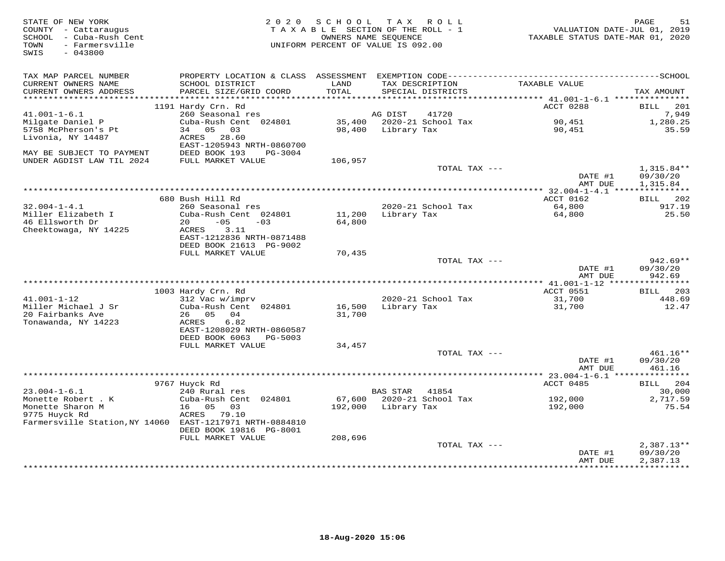| STATE OF NEW YORK<br>COUNTY - Cattaraugus<br>SCHOOL - Cuba-Rush Cent<br>- Farmersville<br>TOWN<br>SWIS<br>$-043800$ | 2 0 2 0                                              | SCHOOL           | TAX ROLL<br>TAXABLE SECTION OF THE ROLL - 1<br>OWNERS NAME SEOUENCE<br>UNIFORM PERCENT OF VALUE IS 092.00 | VALUATION DATE-JUL 01, 2019<br>TAXABLE STATUS DATE-MAR 01, 2020 | PAGE<br>51                  |
|---------------------------------------------------------------------------------------------------------------------|------------------------------------------------------|------------------|-----------------------------------------------------------------------------------------------------------|-----------------------------------------------------------------|-----------------------------|
| TAX MAP PARCEL NUMBER<br>CURRENT OWNERS NAME<br>CURRENT OWNERS ADDRESS                                              | SCHOOL DISTRICT<br>PARCEL SIZE/GRID COORD            | LAND<br>TOTAL    | TAX DESCRIPTION<br>SPECIAL DISTRICTS                                                                      | TAXABLE VALUE                                                   | TAX AMOUNT                  |
| **********************                                                                                              |                                                      |                  |                                                                                                           |                                                                 |                             |
| $41.001 - 1 - 6.1$                                                                                                  | 1191 Hardy Crn. Rd<br>260 Seasonal res               |                  | 41720<br>AG DIST                                                                                          | ACCT 0288                                                       | <b>BILL</b><br>201<br>7,949 |
| Milgate Daniel P                                                                                                    | Cuba-Rush Cent 024801                                | 35,400           | 2020-21 School Tax                                                                                        | 90,451                                                          | 1,280.25                    |
| 5758 McPherson's Pt                                                                                                 | 34 05<br>03                                          | 98,400           | Library Tax                                                                                               | 90,451                                                          | 35.59                       |
| Livonia, NY 14487                                                                                                   | ACRES<br>28.60<br>EAST-1205943 NRTH-0860700          |                  |                                                                                                           |                                                                 |                             |
| MAY BE SUBJECT TO PAYMENT                                                                                           | DEED BOOK 193<br>PG-3004                             |                  |                                                                                                           |                                                                 |                             |
| UNDER AGDIST LAW TIL 2024                                                                                           | FULL MARKET VALUE                                    | 106,957          | TOTAL TAX ---                                                                                             |                                                                 | $1,315.84**$                |
|                                                                                                                     |                                                      |                  |                                                                                                           | DATE #1<br>AMT DUE                                              | 09/30/20<br>1,315.84        |
|                                                                                                                     |                                                      |                  | ***********************************                                                                       | ** $32.004 - 1 - 4.1$ ****                                      | ***********                 |
|                                                                                                                     | 680 Bush Hill Rd                                     |                  |                                                                                                           | ACCT 0162                                                       | BILL<br>202                 |
| $32.004 - 1 - 4.1$                                                                                                  | 260 Seasonal res                                     |                  | 2020-21 School Tax                                                                                        | 64,800                                                          | 917.19                      |
| Miller Elizabeth I<br>46 Ellsworth Dr                                                                               | Cuba-Rush Cent 024801<br>20<br>$-05$<br>$-03$        | 11,200<br>64,800 | Library Tax                                                                                               | 64,800                                                          | 25.50                       |
| Cheektowaga, NY 14225                                                                                               | 3.11<br>ACRES                                        |                  |                                                                                                           |                                                                 |                             |
|                                                                                                                     | EAST-1212836 NRTH-0871488                            |                  |                                                                                                           |                                                                 |                             |
|                                                                                                                     | DEED BOOK 21613 PG-9002                              |                  |                                                                                                           |                                                                 |                             |
|                                                                                                                     | FULL MARKET VALUE                                    | 70,435           | TOTAL TAX ---                                                                                             |                                                                 | $942.69**$                  |
|                                                                                                                     |                                                      |                  |                                                                                                           | DATE #1<br>AMT DUE                                              | 09/30/20<br>942.69          |
|                                                                                                                     |                                                      |                  |                                                                                                           | ** 41.001-1-12 *****************                                |                             |
|                                                                                                                     | 1003 Hardy Crn. Rd                                   |                  |                                                                                                           | ACCT 0551                                                       | 203<br>BILL                 |
| $41.001 - 1 - 12$<br>Miller Michael J Sr                                                                            | 312 Vac w/imprv<br>Cuba-Rush Cent 024801             |                  | 2020-21 School Tax                                                                                        | 31,700                                                          | 448.69                      |
| 20 Fairbanks Ave                                                                                                    | 26 05 04                                             | 16,500<br>31,700 | Library Tax                                                                                               | 31,700                                                          | 12.47                       |
| Tonawanda, NY 14223                                                                                                 | ACRES<br>6.82                                        |                  |                                                                                                           |                                                                 |                             |
|                                                                                                                     | EAST-1208029 NRTH-0860587                            |                  |                                                                                                           |                                                                 |                             |
|                                                                                                                     | DEED BOOK 6063<br>PG-5003                            |                  |                                                                                                           |                                                                 |                             |
|                                                                                                                     | FULL MARKET VALUE                                    | 34,457           | TOTAL TAX ---                                                                                             |                                                                 | 461.16**                    |
|                                                                                                                     |                                                      |                  |                                                                                                           | DATE #1                                                         | 09/30/20                    |
|                                                                                                                     |                                                      |                  |                                                                                                           | AMT DUE                                                         | 461.16                      |
|                                                                                                                     |                                                      |                  |                                                                                                           |                                                                 |                             |
| $23.004 - 1 - 6.1$                                                                                                  | 9767 Huyck Rd<br>240 Rural res                       |                  | <b>BAS STAR</b><br>41854                                                                                  | ACCT 0485                                                       | 204<br><b>BILL</b>          |
| Monette Robert . K                                                                                                  | Cuba-Rush Cent 024801                                | 67,600           | 2020-21 School Tax                                                                                        | 192,000                                                         | 30,000<br>2,717.59          |
| Monette Sharon M                                                                                                    | 16<br>05<br>03                                       | 192,000          | Library Tax                                                                                               | 192,000                                                         | 75.54                       |
| 9775 Huyck Rd                                                                                                       | ACRES<br>79.10                                       |                  |                                                                                                           |                                                                 |                             |
| Farmersville Station, NY 14060                                                                                      | EAST-1217971 NRTH-0884810<br>DEED BOOK 19816 PG-8001 |                  |                                                                                                           |                                                                 |                             |
|                                                                                                                     | FULL MARKET VALUE                                    | 208,696          |                                                                                                           |                                                                 |                             |
|                                                                                                                     |                                                      |                  | TOTAL TAX ---                                                                                             |                                                                 | $2,387.13**$                |
|                                                                                                                     |                                                      |                  |                                                                                                           | DATE #1                                                         | 09/30/20                    |
|                                                                                                                     |                                                      |                  |                                                                                                           | AMT DUE                                                         | 2,387.13<br>***********     |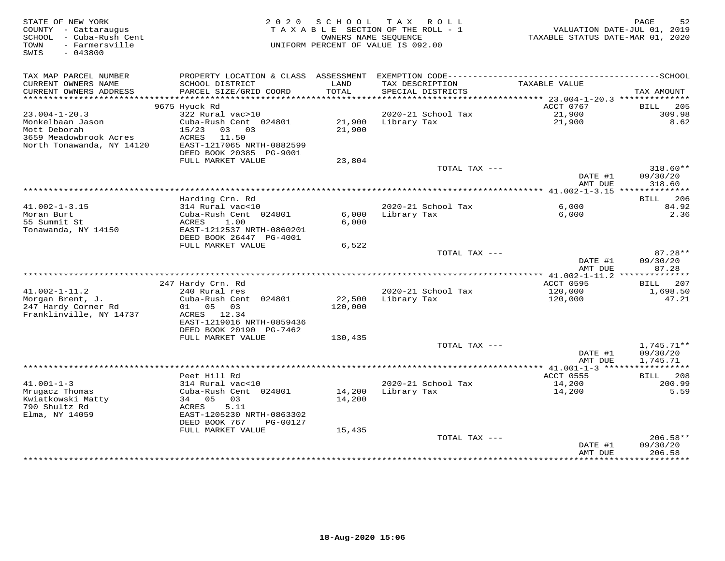| STATE OF NEW YORK<br>COUNTY - Cattaraugus<br>SCHOOL - Cuba-Rush Cent<br>- Farmersville<br>TOWN<br>SWIS<br>$-043800$ | 2 0 2 0                                                                                                                             | S C H O O L       | T A X<br>R O L L<br>TAXABLE SECTION OF THE ROLL - 1<br>OWNERS NAME SEOUENCE<br>UNIFORM PERCENT OF VALUE IS 092.00 | VALUATION DATE-JUL 01, 2019<br>TAXABLE STATUS DATE-MAR 01, 2020 | PAGE<br>52                         |
|---------------------------------------------------------------------------------------------------------------------|-------------------------------------------------------------------------------------------------------------------------------------|-------------------|-------------------------------------------------------------------------------------------------------------------|-----------------------------------------------------------------|------------------------------------|
| TAX MAP PARCEL NUMBER<br>CURRENT OWNERS NAME<br>CURRENT OWNERS ADDRESS                                              | SCHOOL DISTRICT<br>PARCEL SIZE/GRID COORD                                                                                           | LAND<br>TOTAL     | TAX DESCRIPTION<br>SPECIAL DISTRICTS                                                                              | TAXABLE VALUE                                                   | TAX AMOUNT                         |
| **********************                                                                                              |                                                                                                                                     |                   |                                                                                                                   |                                                                 |                                    |
|                                                                                                                     | 9675 Hyuck Rd                                                                                                                       |                   |                                                                                                                   | ACCT 0767                                                       | 205<br><b>BILL</b>                 |
| $23.004 - 1 - 20.3$<br>Monkelbaan Jason                                                                             | 322 Rural vac>10<br>Cuba-Rush Cent 024801                                                                                           | 21,900            | 2020-21 School Tax                                                                                                | 21,900<br>21,900                                                | 309.98<br>8.62                     |
| Mott Deborah<br>3659 Meadowbrook Acres<br>North Tonawanda, NY 14120                                                 | 15/23<br>03<br>03<br>ACRES<br>11.50<br>EAST-1217065 NRTH-0882599<br>DEED BOOK 20385 PG-9001                                         | 21,900            | Library Tax                                                                                                       |                                                                 |                                    |
|                                                                                                                     | FULL MARKET VALUE                                                                                                                   | 23,804            |                                                                                                                   |                                                                 |                                    |
|                                                                                                                     |                                                                                                                                     |                   | TOTAL TAX ---                                                                                                     | DATE #1<br>AMT DUE                                              | $318.60**$<br>09/30/20<br>318.60   |
|                                                                                                                     |                                                                                                                                     |                   |                                                                                                                   |                                                                 |                                    |
|                                                                                                                     | Harding Crn. Rd                                                                                                                     |                   |                                                                                                                   |                                                                 | <b>BILL</b><br>206                 |
| $41.002 - 1 - 3.15$                                                                                                 | 314 Rural vac<10                                                                                                                    |                   | 2020-21 School Tax                                                                                                | 6,000                                                           | 84.92                              |
| Moran Burt<br>55 Summit St<br>Tonawanda, NY 14150                                                                   | Cuba-Rush Cent 024801<br>ACRES<br>1.00<br>EAST-1212537 NRTH-0860201<br>DEED BOOK 26447 PG-4001                                      | 6,000<br>6,000    | Library Tax                                                                                                       | 6,000                                                           | 2.36                               |
|                                                                                                                     | FULL MARKET VALUE                                                                                                                   | 6,522             |                                                                                                                   |                                                                 |                                    |
|                                                                                                                     |                                                                                                                                     |                   | TOTAL TAX ---                                                                                                     | DATE #1<br>AMT DUE                                              | $87.28**$<br>09/30/20<br>87.28     |
|                                                                                                                     |                                                                                                                                     |                   |                                                                                                                   |                                                                 |                                    |
|                                                                                                                     | 247 Hardy Crn. Rd                                                                                                                   |                   |                                                                                                                   | ACCT 0595                                                       | 207<br>BILL                        |
| $41.002 - 1 - 11.2$<br>Morgan Brent, J.<br>247 Hardy Corner Rd<br>Franklinville, NY 14737                           | 240 Rural res<br>Cuba-Rush Cent 024801<br>0.5<br>01<br>03<br>ACRES 12.34<br>EAST-1219016 NRTH-0859436<br>DEED BOOK 20190 PG-7462    | 22,500<br>120,000 | 2020-21 School Tax<br>Library Tax                                                                                 | 120,000<br>120,000                                              | 1,698.50<br>47.21                  |
|                                                                                                                     | FULL MARKET VALUE                                                                                                                   | 130,435           |                                                                                                                   |                                                                 |                                    |
|                                                                                                                     |                                                                                                                                     |                   | TOTAL TAX ---                                                                                                     | DATE #1<br>AMT DUE                                              | 1,745.71**<br>09/30/20<br>1,745.71 |
|                                                                                                                     |                                                                                                                                     |                   |                                                                                                                   |                                                                 | ***********                        |
|                                                                                                                     | Peet Hill Rd                                                                                                                        |                   |                                                                                                                   | <b>ACCT 0555</b>                                                | 208<br>BILL                        |
| $41.001 - 1 - 3$<br>Mrugacz Thomas<br>Kwiatkowski Matty<br>790 Shultz Rd<br>Elma, NY 14059                          | 314 Rural vac<10<br>Cuba-Rush Cent 024801<br>34 05<br>03<br>ACRES<br>5.11<br>EAST-1205230 NRTH-0863302<br>DEED BOOK 767<br>PG-00127 | 14,200<br>14,200  | 2020-21 School Tax<br>Library Tax                                                                                 | 14,200<br>14,200                                                | 200.99<br>5.59                     |
|                                                                                                                     | FULL MARKET VALUE                                                                                                                   | 15,435            | TOTAL TAX ---                                                                                                     |                                                                 | $206.58**$                         |
|                                                                                                                     |                                                                                                                                     |                   |                                                                                                                   | DATE #1<br>AMT DUE                                              | 09/30/20<br>206.58                 |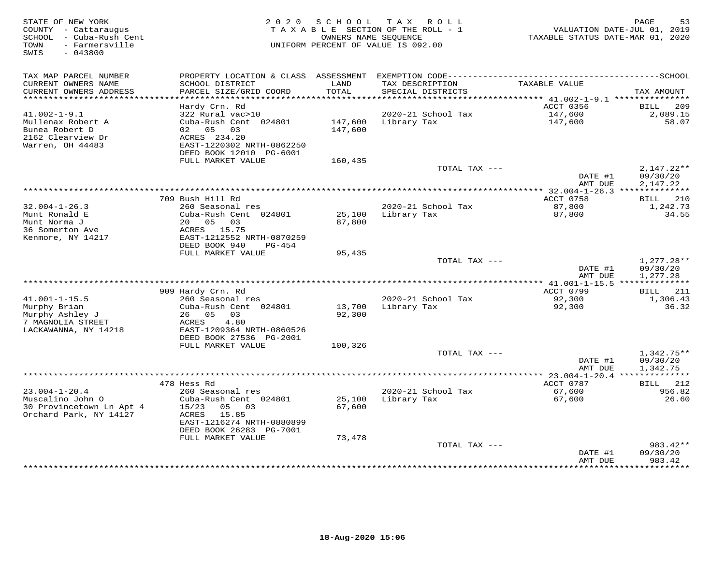| STATE OF NEW YORK<br>COUNTY - Cattaraugus<br>SCHOOL - Cuba-Rush Cent<br>- Farmersville<br>TOWN<br>SWIS<br>$-043800$ | 2 0 2 0                                              | SCHOOL        | T A X<br>R O L L<br>TAXABLE SECTION OF THE ROLL - 1<br>OWNERS NAME SEQUENCE<br>UNIFORM PERCENT OF VALUE IS 092.00 | TAXABLE STATUS DATE-MAR 01, 2020                      | PAGE<br>53<br>VALUATION DATE-JUL 01, 2019 |
|---------------------------------------------------------------------------------------------------------------------|------------------------------------------------------|---------------|-------------------------------------------------------------------------------------------------------------------|-------------------------------------------------------|-------------------------------------------|
| TAX MAP PARCEL NUMBER                                                                                               |                                                      |               |                                                                                                                   |                                                       |                                           |
| CURRENT OWNERS NAME<br>CURRENT OWNERS ADDRESS                                                                       | SCHOOL DISTRICT<br>PARCEL SIZE/GRID COORD            | LAND<br>TOTAL | TAX DESCRIPTION<br>SPECIAL DISTRICTS                                                                              | TAXABLE VALUE                                         | TAX AMOUNT                                |
| ***********************                                                                                             | Hardy Crn. Rd                                        |               |                                                                                                                   | ACCT 0356                                             | 209<br>BILL                               |
| $41.002 - 1 - 9.1$                                                                                                  | 322 Rural vac>10                                     |               | 2020-21 School Tax                                                                                                | 147,600                                               | 2,089.15                                  |
| Mullenax Robert A                                                                                                   | Cuba-Rush Cent 024801                                | 147,600       | Library Tax                                                                                                       | 147,600                                               | 58.07                                     |
| Bunea Robert D                                                                                                      | 02 05<br>03                                          | 147,600       |                                                                                                                   |                                                       |                                           |
| 2162 Clearview Dr                                                                                                   | ACRES 234.20                                         |               |                                                                                                                   |                                                       |                                           |
| Warren, OH 44483                                                                                                    | EAST-1220302 NRTH-0862250                            |               |                                                                                                                   |                                                       |                                           |
|                                                                                                                     | DEED BOOK 12010 PG-6001                              |               |                                                                                                                   |                                                       |                                           |
|                                                                                                                     | FULL MARKET VALUE                                    | 160,435       |                                                                                                                   |                                                       |                                           |
|                                                                                                                     |                                                      |               | TOTAL TAX ---                                                                                                     |                                                       | $2,147.22**$                              |
|                                                                                                                     |                                                      |               |                                                                                                                   | DATE #1<br>AMT DUE                                    | 09/30/20<br>2,147.22                      |
|                                                                                                                     |                                                      |               | *********************************                                                                                 | ** $32.004 - 1 - 26.3$ **************                 |                                           |
|                                                                                                                     | 709 Bush Hill Rd                                     |               |                                                                                                                   | ACCT 0758                                             | 210<br>BILL                               |
| $32.004 - 1 - 26.3$                                                                                                 | 260 Seasonal res                                     |               | 2020-21 School Tax                                                                                                | 87,800                                                | 1,242.73                                  |
| Munt Ronald E                                                                                                       | Cuba-Rush Cent 024801                                | 25,100        | Library Tax                                                                                                       | 87,800                                                | 34.55                                     |
| Munt Norma J                                                                                                        | 20  05  03                                           | 87,800        |                                                                                                                   |                                                       |                                           |
| 36 Somerton Ave                                                                                                     | ACRES 15.75                                          |               |                                                                                                                   |                                                       |                                           |
| Kenmore, NY 14217                                                                                                   | EAST-1212552 NRTH-0870259<br>DEED BOOK 940<br>PG-454 |               |                                                                                                                   |                                                       |                                           |
|                                                                                                                     | FULL MARKET VALUE                                    | 95,435        |                                                                                                                   |                                                       |                                           |
|                                                                                                                     |                                                      |               | TOTAL TAX ---                                                                                                     |                                                       | 1,277.28**                                |
|                                                                                                                     |                                                      |               |                                                                                                                   | DATE #1                                               | 09/30/20                                  |
|                                                                                                                     |                                                      |               |                                                                                                                   | AMT DUE                                               | 1,277.28                                  |
|                                                                                                                     |                                                      |               |                                                                                                                   |                                                       |                                           |
|                                                                                                                     | 909 Hardy Crn. Rd                                    |               |                                                                                                                   | ACCT 0799                                             | BILL 211                                  |
| $41.001 - 1 - 15.5$                                                                                                 | 260 Seasonal res<br>Cuba-Rush Cent 024801            | 13,700        | 2020-21 School Tax<br>Library Tax                                                                                 | 92,300                                                | 1,306.43<br>36.32                         |
| Murphy Brian<br>Murphy Ashley J                                                                                     | 26 05 03                                             | 92,300        |                                                                                                                   | 92,300                                                |                                           |
| 7 MAGNOLIA STREET                                                                                                   | ACRES<br>4.80                                        |               |                                                                                                                   |                                                       |                                           |
| LACKAWANNA, NY 14218                                                                                                | EAST-1209364 NRTH-0860526                            |               |                                                                                                                   |                                                       |                                           |
|                                                                                                                     | DEED BOOK 27536 PG-2001                              |               |                                                                                                                   |                                                       |                                           |
|                                                                                                                     | FULL MARKET VALUE                                    | 100,326       |                                                                                                                   |                                                       |                                           |
|                                                                                                                     |                                                      |               | TOTAL TAX ---                                                                                                     |                                                       | $1,342.75**$                              |
|                                                                                                                     |                                                      |               |                                                                                                                   | DATE #1                                               | 09/30/20                                  |
|                                                                                                                     |                                                      |               |                                                                                                                   | AMT DUE<br>************ 23.004-1-20.4 *************** | 1,342.75                                  |
|                                                                                                                     | 478 Hess Rd                                          |               |                                                                                                                   | ACCT 0787                                             | 212<br><b>BILL</b>                        |
| $23.004 - 1 - 20.4$                                                                                                 | 260 Seasonal res                                     |               | 2020-21 School Tax                                                                                                | 67,600                                                | 956.82                                    |
| Muscalino John O                                                                                                    | Cuba-Rush Cent 024801                                | 25,100        | Library Tax                                                                                                       | 67,600                                                | 26.60                                     |
| 30 Provincetown Ln Apt 4                                                                                            | 15/23<br>05 03                                       | 67,600        |                                                                                                                   |                                                       |                                           |
| Orchard Park, NY 14127                                                                                              | 15.85<br>ACRES                                       |               |                                                                                                                   |                                                       |                                           |
|                                                                                                                     | EAST-1216274 NRTH-0880899                            |               |                                                                                                                   |                                                       |                                           |
|                                                                                                                     | DEED BOOK 26283 PG-7001                              |               |                                                                                                                   |                                                       |                                           |
|                                                                                                                     | FULL MARKET VALUE                                    | 73,478        | TOTAL TAX ---                                                                                                     |                                                       | 983.42**                                  |
|                                                                                                                     |                                                      |               |                                                                                                                   | DATE #1                                               | 09/30/20                                  |
|                                                                                                                     |                                                      |               |                                                                                                                   | AMT DUE                                               | 983.42                                    |
|                                                                                                                     |                                                      |               |                                                                                                                   | * * * * * * * * * *                                   | * * * * * * * * * *                       |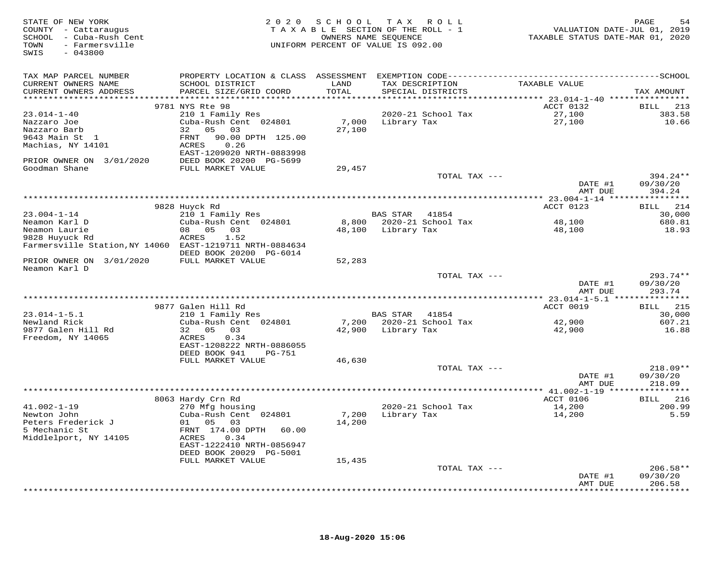| STATE OF NEW YORK<br>COUNTY - Cattaraugus<br>SCHOOL - Cuba-Rush Cent<br>- Farmersville<br>TOWN<br>SWIS<br>$-043800$ | 2 0 2 0                                      | SCHOOL | TAX ROLL<br>TAXABLE SECTION OF THE ROLL - 1<br>OWNERS NAME SEOUENCE<br>UNIFORM PERCENT OF VALUE IS 092.00 | VALUATION DATE-JUL 01, 2019<br>TAXABLE STATUS DATE-MAR 01, 2020 | 54<br>PAGE             |
|---------------------------------------------------------------------------------------------------------------------|----------------------------------------------|--------|-----------------------------------------------------------------------------------------------------------|-----------------------------------------------------------------|------------------------|
| TAX MAP PARCEL NUMBER                                                                                               |                                              |        |                                                                                                           |                                                                 |                        |
| CURRENT OWNERS NAME                                                                                                 | SCHOOL DISTRICT                              | LAND   | TAX DESCRIPTION                                                                                           | TAXABLE VALUE                                                   |                        |
| CURRENT OWNERS ADDRESS                                                                                              | PARCEL SIZE/GRID COORD                       | TOTAL  | SPECIAL DISTRICTS                                                                                         |                                                                 | TAX AMOUNT             |
|                                                                                                                     | 9781 NYS Rte 98                              |        |                                                                                                           | ACCT 0132                                                       | BILL<br>213            |
| $23.014 - 1 - 40$                                                                                                   | 210 1 Family Res                             |        | 2020-21 School Tax                                                                                        | 27,100                                                          | 383.58                 |
| Nazzaro Joe                                                                                                         | Cuba-Rush Cent 024801                        | 7,000  | Library Tax                                                                                               | 27,100                                                          | 10.66                  |
| Nazzaro Barb                                                                                                        | 32<br>05<br>03                               | 27,100 |                                                                                                           |                                                                 |                        |
| 9643 Main St 1                                                                                                      | 90.00 DPTH 125.00<br>FRNT                    |        |                                                                                                           |                                                                 |                        |
| Machias, NY 14101                                                                                                   | ACRES<br>0.26                                |        |                                                                                                           |                                                                 |                        |
|                                                                                                                     | EAST-1209020 NRTH-0883998                    |        |                                                                                                           |                                                                 |                        |
| PRIOR OWNER ON 3/01/2020<br>Goodman Shane                                                                           | DEED BOOK 20200 PG-5699<br>FULL MARKET VALUE | 29,457 |                                                                                                           |                                                                 |                        |
|                                                                                                                     |                                              |        | TOTAL TAX ---                                                                                             |                                                                 | $394.24**$             |
|                                                                                                                     |                                              |        |                                                                                                           | DATE #1                                                         | 09/30/20               |
|                                                                                                                     |                                              |        |                                                                                                           | AMT DUE                                                         | 394.24                 |
|                                                                                                                     |                                              |        |                                                                                                           |                                                                 |                        |
| $23.004 - 1 - 14$                                                                                                   | 9828 Huyck Rd                                |        |                                                                                                           | ACCT 0123                                                       | BILL 214               |
| Neamon Karl D                                                                                                       | 210 1 Family Res<br>Cuba-Rush Cent 024801    | 8,800  | BAS STAR<br>41854<br>2020-21 School Tax                                                                   | 48,100                                                          | 30,000<br>680.81       |
| Neamon Laurie                                                                                                       | 08 05<br>03                                  | 48,100 | Library Tax                                                                                               | 48,100                                                          | 18.93                  |
| 9828 Huyuck Rd                                                                                                      | ACRES<br>1.52                                |        |                                                                                                           |                                                                 |                        |
| Farmersville Station, NY 14060 EAST-1219711 NRTH-0884634                                                            |                                              |        |                                                                                                           |                                                                 |                        |
|                                                                                                                     | DEED BOOK 20200 PG-6014                      |        |                                                                                                           |                                                                 |                        |
| PRIOR OWNER ON 3/01/2020<br>Neamon Karl D                                                                           | FULL MARKET VALUE                            | 52,283 |                                                                                                           |                                                                 |                        |
|                                                                                                                     |                                              |        | TOTAL TAX ---                                                                                             |                                                                 | $293.74**$             |
|                                                                                                                     |                                              |        |                                                                                                           | DATE #1                                                         | 09/30/20               |
|                                                                                                                     |                                              |        |                                                                                                           | AMT DUE                                                         | 293.74                 |
|                                                                                                                     |                                              |        |                                                                                                           |                                                                 |                        |
|                                                                                                                     | 9877 Galen Hill Rd                           |        |                                                                                                           | ACCT 0019                                                       | 215<br><b>BILL</b>     |
| $23.014 - 1 - 5.1$<br>Newland Rick                                                                                  | 210 1 Family Res<br>Cuba-Rush Cent 024801    |        | BAS STAR 41854<br>7,200 2020-21 School Tax                                                                | 42,900                                                          | 30,000<br>607.21       |
| 9877 Galen Hill Rd                                                                                                  | 32 05<br>03                                  |        | 42,900 Library Tax                                                                                        | 42,900                                                          | 16.88                  |
| Freedom, NY 14065                                                                                                   | ACRES<br>0.34                                |        |                                                                                                           |                                                                 |                        |
|                                                                                                                     | EAST-1208222 NRTH-0886055                    |        |                                                                                                           |                                                                 |                        |
|                                                                                                                     | DEED BOOK 941<br>PG-751                      |        |                                                                                                           |                                                                 |                        |
|                                                                                                                     | FULL MARKET VALUE                            | 46,630 |                                                                                                           |                                                                 |                        |
|                                                                                                                     |                                              |        | TOTAL TAX ---                                                                                             | DATE #1                                                         | $218.09**$<br>09/30/20 |
|                                                                                                                     |                                              |        |                                                                                                           | AMT DUE                                                         | 218.09                 |
|                                                                                                                     |                                              |        |                                                                                                           |                                                                 |                        |
|                                                                                                                     | 8063 Hardy Crn Rd                            |        |                                                                                                           | ACCT 0106                                                       | 216<br>BILL            |
| $41.002 - 1 - 19$                                                                                                   | 270 Mfg housing                              |        | 2020-21 School Tax                                                                                        | 14,200                                                          | 200.99                 |
| Newton John                                                                                                         | Cuba-Rush Cent 024801<br>01                  | 7,200  | Library Tax                                                                                               | 14,200                                                          | 5.59                   |
| Peters Frederick J<br>5 Mechanic St                                                                                 | 05<br>03<br>FRNT 174.00 DPTH 60.00           | 14,200 |                                                                                                           |                                                                 |                        |
| Middlelport, NY 14105                                                                                               | ACRES<br>0.34                                |        |                                                                                                           |                                                                 |                        |
|                                                                                                                     | EAST-1222410 NRTH-0856947                    |        |                                                                                                           |                                                                 |                        |
|                                                                                                                     | DEED BOOK 20029 PG-5001                      |        |                                                                                                           |                                                                 |                        |
|                                                                                                                     | FULL MARKET VALUE                            | 15,435 |                                                                                                           |                                                                 |                        |
|                                                                                                                     |                                              |        | TOTAL TAX ---                                                                                             |                                                                 | $206.58**$             |
|                                                                                                                     |                                              |        |                                                                                                           | DATE #1<br>AMT DUE                                              | 09/30/20<br>206.58     |
|                                                                                                                     |                                              |        |                                                                                                           |                                                                 | *********              |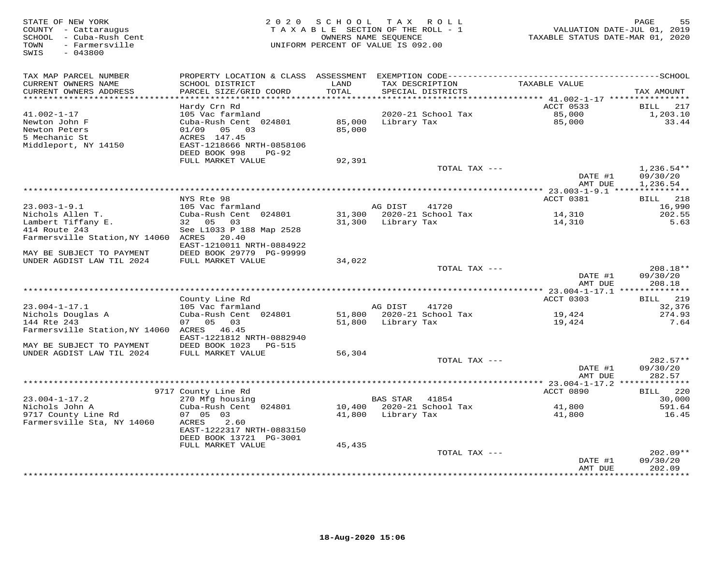| STATE OF NEW YORK<br>COUNTY - Cattaraugus<br>SCHOOL - Cuba-Rush Cent<br>- Farmersville<br>TOWN<br>$-043800$<br>SWIS | 2 0 2 0                                       | SCHOOL<br>TAXABLE SECTION OF THE ROLL - 1<br>OWNERS NAME SEQUENCE<br>UNIFORM PERCENT OF VALUE IS 092.00 | T A X           | R O L L                     | VALUATION DATE-JUL 01, 2019<br>TAXABLE STATUS DATE-MAR 01, 2020 | PAGE<br>55                  |
|---------------------------------------------------------------------------------------------------------------------|-----------------------------------------------|---------------------------------------------------------------------------------------------------------|-----------------|-----------------------------|-----------------------------------------------------------------|-----------------------------|
| TAX MAP PARCEL NUMBER                                                                                               | PROPERTY LOCATION & CLASS ASSESSMENT          |                                                                                                         |                 |                             |                                                                 |                             |
| CURRENT OWNERS NAME<br>CURRENT OWNERS ADDRESS                                                                       | SCHOOL DISTRICT<br>PARCEL SIZE/GRID COORD     | LAND<br>TOTAL                                                                                           | TAX DESCRIPTION | SPECIAL DISTRICTS           | TAXABLE VALUE                                                   | TAX AMOUNT                  |
| **********************                                                                                              | Hardy Crn Rd                                  |                                                                                                         |                 |                             | ACCT 0533                                                       | 217<br>BILL                 |
| $41.002 - 1 - 17$                                                                                                   | 105 Vac farmland                              |                                                                                                         |                 | 2020-21 School Tax          | 85,000                                                          | 1,203.10                    |
| Newton John F                                                                                                       | Cuba-Rush Cent 024801                         | 85,000                                                                                                  | Library Tax     |                             | 85,000                                                          | 33.44                       |
| Newton Peters                                                                                                       | 05<br>03<br>01/09                             | 85,000                                                                                                  |                 |                             |                                                                 |                             |
| 5 Mechanic St                                                                                                       | ACRES 147.45                                  |                                                                                                         |                 |                             |                                                                 |                             |
| Middleport, NY 14150                                                                                                | EAST-1218666 NRTH-0858106                     |                                                                                                         |                 |                             |                                                                 |                             |
|                                                                                                                     | DEED BOOK 998<br>$PG-92$<br>FULL MARKET VALUE | 92,391                                                                                                  |                 |                             |                                                                 |                             |
|                                                                                                                     |                                               |                                                                                                         |                 | TOTAL TAX ---               |                                                                 | $1,236.54**$                |
|                                                                                                                     |                                               |                                                                                                         |                 |                             | DATE #1                                                         | 09/30/20                    |
|                                                                                                                     |                                               |                                                                                                         |                 |                             | AMT DUE                                                         | 1,236.54                    |
|                                                                                                                     |                                               |                                                                                                         |                 |                             |                                                                 |                             |
|                                                                                                                     | NYS Rte 98                                    |                                                                                                         |                 |                             | ACCT 0381                                                       | 218<br><b>BILL</b>          |
| $23.003 - 1 - 9.1$<br>Nichols Allen T.                                                                              | 105 Vac farmland<br>Cuba-Rush Cent 024801     | 31,300                                                                                                  | AG DIST         | 41720<br>2020-21 School Tax |                                                                 | 16,990<br>202.55            |
| Lambert Tiffany E.                                                                                                  | 32 05 03                                      | 31,300                                                                                                  | Library Tax     |                             | 14,310<br>14,310                                                | 5.63                        |
| 414 Route 243                                                                                                       | See L1033 P 188 Map 2528                      |                                                                                                         |                 |                             |                                                                 |                             |
| Farmersville Station, NY 14060                                                                                      | 20.40<br>ACRES                                |                                                                                                         |                 |                             |                                                                 |                             |
|                                                                                                                     | EAST-1210011 NRTH-0884922                     |                                                                                                         |                 |                             |                                                                 |                             |
| MAY BE SUBJECT TO PAYMENT                                                                                           | DEED BOOK 29779 PG-99999                      |                                                                                                         |                 |                             |                                                                 |                             |
| UNDER AGDIST LAW TIL 2024                                                                                           | FULL MARKET VALUE                             | 34,022                                                                                                  |                 |                             |                                                                 |                             |
|                                                                                                                     |                                               |                                                                                                         |                 | TOTAL TAX ---               |                                                                 | $208.18**$                  |
|                                                                                                                     |                                               |                                                                                                         |                 |                             | DATE #1                                                         | 09/30/20                    |
|                                                                                                                     |                                               |                                                                                                         |                 |                             | AMT DUE                                                         | 208.18                      |
|                                                                                                                     | County Line Rd                                |                                                                                                         |                 |                             | ********* 23.004-1-17.1 ***************<br>ACCT 0303            | 219<br>BILL                 |
| $23.004 - 1 - 17.1$                                                                                                 | 105 Vac farmland                              |                                                                                                         | AG DIST         | 41720                       |                                                                 | 32,376                      |
| Nichols Douglas A                                                                                                   | Cuba-Rush Cent 024801                         | 51,800                                                                                                  |                 | 2020-21 School Tax          | 19,424                                                          | 274.93                      |
| 144 Rte 243                                                                                                         | 07 05<br>03                                   | 51,800                                                                                                  | Library Tax     |                             | 19,424                                                          | 7.64                        |
| Farmersville Station, NY 14060                                                                                      | ACRES 46.45                                   |                                                                                                         |                 |                             |                                                                 |                             |
|                                                                                                                     | EAST-1221812 NRTH-0882940                     |                                                                                                         |                 |                             |                                                                 |                             |
| MAY BE SUBJECT TO PAYMENT                                                                                           | DEED BOOK 1023<br>PG-515                      |                                                                                                         |                 |                             |                                                                 |                             |
| UNDER AGDIST LAW TIL 2024                                                                                           | FULL MARKET VALUE                             | 56,304                                                                                                  |                 |                             |                                                                 |                             |
|                                                                                                                     |                                               |                                                                                                         |                 | TOTAL TAX ---               |                                                                 | 282.57**                    |
|                                                                                                                     |                                               |                                                                                                         |                 |                             | DATE #1                                                         | 09/30/20                    |
|                                                                                                                     |                                               |                                                                                                         |                 |                             | AMT DUE<br>*********** 23.004-1-17.2 **                         | 282.57                      |
|                                                                                                                     | 9717 County Line Rd                           |                                                                                                         |                 |                             | ACCT 0890                                                       | 220<br>BILL                 |
| $23.004 - 1 - 17.2$                                                                                                 | 270 Mfg housing                               |                                                                                                         | <b>BAS STAR</b> | 41854                       |                                                                 | 30,000                      |
| Nichols John A                                                                                                      | Cuba-Rush Cent 024801                         | 10,400                                                                                                  |                 | 2020-21 School Tax          | 41,800                                                          | 591.64                      |
| 9717 County Line Rd                                                                                                 | 07 05 03                                      | 41,800                                                                                                  | Library Tax     |                             | 41,800                                                          | 16.45                       |
| Farmersville Sta, NY 14060                                                                                          | ACRES<br>2.60                                 |                                                                                                         |                 |                             |                                                                 |                             |
|                                                                                                                     | EAST-1222317 NRTH-0883150                     |                                                                                                         |                 |                             |                                                                 |                             |
|                                                                                                                     | DEED BOOK 13721 PG-3001                       |                                                                                                         |                 |                             |                                                                 |                             |
|                                                                                                                     | FULL MARKET VALUE                             | 45,435                                                                                                  |                 |                             |                                                                 |                             |
|                                                                                                                     |                                               |                                                                                                         |                 | TOTAL TAX ---               |                                                                 | $202.09**$                  |
|                                                                                                                     |                                               |                                                                                                         |                 |                             | DATE #1                                                         | 09/30/20                    |
|                                                                                                                     |                                               |                                                                                                         |                 |                             | AMT DUE<br>*************                                        | 202.09<br>* * * * * * * * * |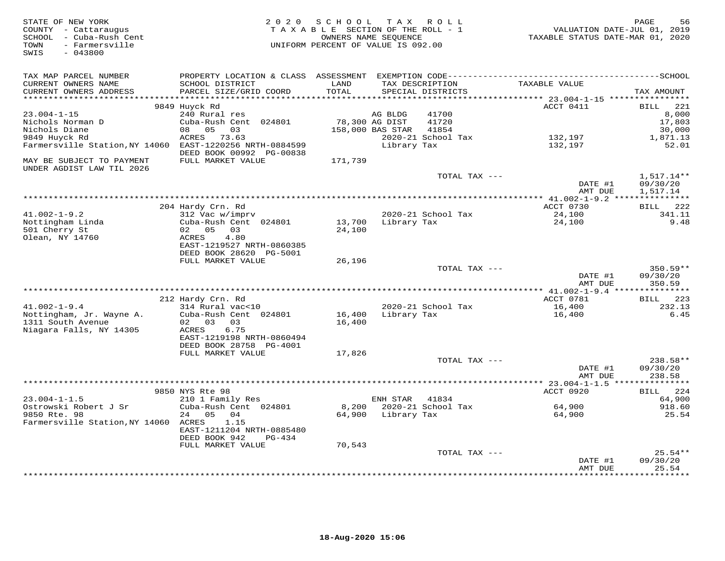| STATE OF NEW YORK<br>COUNTY - Cattaraugus<br>SCHOOL - Cuba-Rush Cent<br>- Farmersville<br>TOWN<br>$-043800$<br>SWIS | 2 0 2 0                                                                                      | SCHOOL<br>TAXABLE SECTION OF THE ROLL - 1<br>UNIFORM PERCENT OF VALUE IS 092.00 | OWNERS NAME SEQUENCE | TAX ROLL                             | VALUATION DATE-JUL 01, 2019<br>TAXABLE STATUS DATE-MAR 01, 2020 | PAGE<br>56                  |
|---------------------------------------------------------------------------------------------------------------------|----------------------------------------------------------------------------------------------|---------------------------------------------------------------------------------|----------------------|--------------------------------------|-----------------------------------------------------------------|-----------------------------|
| TAX MAP PARCEL NUMBER                                                                                               | PROPERTY LOCATION & CLASS ASSESSMENT EXEMPTION CODE-----------------------------------SCHOOL |                                                                                 |                      |                                      |                                                                 |                             |
| CURRENT OWNERS NAME<br>CURRENT OWNERS ADDRESS                                                                       | SCHOOL DISTRICT<br>PARCEL SIZE/GRID COORD                                                    | LAND<br>TOTAL                                                                   |                      | TAX DESCRIPTION<br>SPECIAL DISTRICTS | TAXABLE VALUE                                                   | TAX AMOUNT                  |
| ******************                                                                                                  |                                                                                              | *******                                                                         |                      |                                      | ********* 23.004-1-15 ***********                               |                             |
| $23.004 - 1 - 15$                                                                                                   | 9849 Huyck Rd<br>240 Rural res                                                               |                                                                                 | AG BLDG              | 41700                                | ACCT 0411                                                       | <b>BILL</b><br>221<br>8,000 |
| Nichols Norman D                                                                                                    | Cuba-Rush Cent 024801                                                                        |                                                                                 | 78,300 AG DIST       | 41720                                |                                                                 | 17,803                      |
| Nichols Diane                                                                                                       | 05<br>03<br>08                                                                               |                                                                                 | 158,000 BAS STAR     | 41854                                |                                                                 | 30,000                      |
| 9849 Huyck Rd                                                                                                       | ACRES<br>73.63                                                                               |                                                                                 |                      | 2020-21 School Tax                   | 132,197                                                         | 1,871.13                    |
| Farmersville Station, NY 14060                                                                                      | EAST-1220256 NRTH-0884599<br>DEED BOOK 00992 PG-00838                                        |                                                                                 | Library Tax          |                                      | 132,197                                                         | 52.01                       |
| MAY BE SUBJECT TO PAYMENT<br>UNDER AGDIST LAW TIL 2026                                                              | FULL MARKET VALUE                                                                            | 171,739                                                                         |                      |                                      |                                                                 |                             |
|                                                                                                                     |                                                                                              |                                                                                 |                      | TOTAL TAX ---                        |                                                                 | 1,517.14**                  |
|                                                                                                                     |                                                                                              |                                                                                 |                      |                                      | DATE #1<br>AMT DUE                                              | 09/30/20<br>1,517.14        |
|                                                                                                                     |                                                                                              |                                                                                 |                      |                                      |                                                                 |                             |
|                                                                                                                     | 204 Hardy Crn. Rd                                                                            |                                                                                 |                      |                                      | ACCT 0730                                                       | 222<br><b>BILL</b>          |
| $41.002 - 1 - 9.2$                                                                                                  | 312 Vac w/imprv                                                                              |                                                                                 |                      | 2020-21 School Tax                   | 24,100                                                          | 341.11                      |
| Nottingham Linda<br>501 Cherry St                                                                                   | Cuba-Rush Cent 024801<br>02 05<br>03                                                         | 13,700<br>24,100                                                                | Library Tax          |                                      | 24,100                                                          | 9.48                        |
| Olean, NY 14760                                                                                                     | ACRES<br>4.80                                                                                |                                                                                 |                      |                                      |                                                                 |                             |
|                                                                                                                     | EAST-1219527 NRTH-0860385                                                                    |                                                                                 |                      |                                      |                                                                 |                             |
|                                                                                                                     | DEED BOOK 28620 PG-5001                                                                      |                                                                                 |                      |                                      |                                                                 |                             |
|                                                                                                                     | FULL MARKET VALUE                                                                            | 26,196                                                                          |                      |                                      |                                                                 |                             |
|                                                                                                                     |                                                                                              |                                                                                 |                      | TOTAL TAX ---                        |                                                                 | 350.59**                    |
|                                                                                                                     |                                                                                              |                                                                                 |                      |                                      | DATE #1                                                         | 09/30/20                    |
|                                                                                                                     |                                                                                              |                                                                                 |                      |                                      | AMT DUE                                                         | 350.59                      |
|                                                                                                                     |                                                                                              |                                                                                 |                      |                                      | ACCT 0781                                                       | BILL 223                    |
| $41.002 - 1 - 9.4$                                                                                                  | 212 Hardy Crn. Rd<br>314 Rural vac<10                                                        |                                                                                 |                      | 2020-21 School Tax                   | 16,400                                                          | 232.13                      |
| Nottingham, Jr. Wayne A.                                                                                            | Cuba-Rush Cent 024801                                                                        | 16,400                                                                          | Library Tax          |                                      | 16,400                                                          | 6.45                        |
| 1311 South Avenue                                                                                                   | 02 03<br>03                                                                                  | 16,400                                                                          |                      |                                      |                                                                 |                             |
| Niagara Falls, NY 14305                                                                                             | 6.75<br>ACRES                                                                                |                                                                                 |                      |                                      |                                                                 |                             |
|                                                                                                                     | EAST-1219198 NRTH-0860494                                                                    |                                                                                 |                      |                                      |                                                                 |                             |
|                                                                                                                     | DEED BOOK 28758 PG-4001                                                                      |                                                                                 |                      |                                      |                                                                 |                             |
|                                                                                                                     | FULL MARKET VALUE                                                                            | 17,826                                                                          |                      |                                      |                                                                 |                             |
|                                                                                                                     |                                                                                              |                                                                                 |                      | TOTAL TAX ---                        |                                                                 | 238.58**                    |
|                                                                                                                     |                                                                                              |                                                                                 |                      |                                      | DATE #1                                                         | 09/30/20                    |
|                                                                                                                     |                                                                                              |                                                                                 |                      |                                      | AMT DUE                                                         | 238.58                      |
|                                                                                                                     | 9850 NYS Rte 98                                                                              |                                                                                 |                      |                                      | ACCT 0920                                                       | 224<br>BILL                 |
| $23.004 - 1 - 1.5$                                                                                                  | 210 1 Family Res                                                                             |                                                                                 | ENH STAR             | 41834                                |                                                                 | 64,900                      |
| Ostrowski Robert J Sr                                                                                               | Cuba-Rush Cent 024801                                                                        | 8,200                                                                           |                      | 2020-21 School Tax                   | 64,900                                                          | 918.60                      |
| 9850 Rte. 98                                                                                                        | 24<br>05<br>04                                                                               | 64,900                                                                          | Library Tax          |                                      | 64,900                                                          | 25.54                       |
| Farmersville Station, NY 14060 ACRES                                                                                | 1.15                                                                                         |                                                                                 |                      |                                      |                                                                 |                             |
|                                                                                                                     | EAST-1211204 NRTH-0885480                                                                    |                                                                                 |                      |                                      |                                                                 |                             |
|                                                                                                                     | DEED BOOK 942<br>$PG-434$                                                                    |                                                                                 |                      |                                      |                                                                 |                             |
|                                                                                                                     | FULL MARKET VALUE                                                                            | 70,543                                                                          |                      |                                      |                                                                 |                             |
|                                                                                                                     |                                                                                              |                                                                                 |                      | TOTAL TAX ---                        |                                                                 | $25.54**$                   |
|                                                                                                                     |                                                                                              |                                                                                 |                      |                                      | DATE #1                                                         | 09/30/20                    |
|                                                                                                                     |                                                                                              |                                                                                 |                      |                                      | AMT DUE                                                         | 25.54<br>*********          |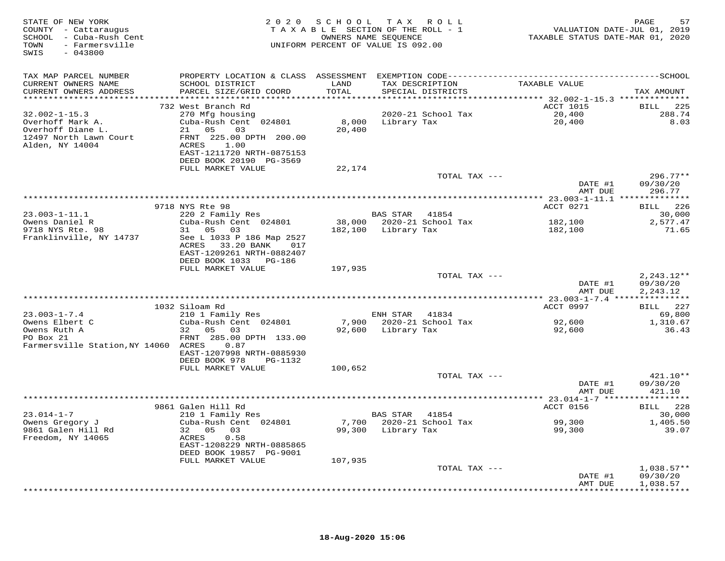| STATE OF NEW YORK<br>COUNTY - Cattaraugus<br>SCHOOL - Cuba-Rush Cent<br>TOWN - Farmersville<br>WIN<br>$-043800$<br>SWIS |                                                      | 2020 SCHOOL TAX ROLL<br>TAXABLE SECTION OF THE ROLL - 1<br>OWNERS NAME SEQUENCE<br>UNIFORM PERCENT OF VALUE IS 092.00 |                       |                           | PAGE 57<br>VALUATION DATE-JUL 01, 2019<br>TAXABLE STATUS DATE-MAR 01, 2020 |                            |
|-------------------------------------------------------------------------------------------------------------------------|------------------------------------------------------|-----------------------------------------------------------------------------------------------------------------------|-----------------------|---------------------------|----------------------------------------------------------------------------|----------------------------|
| TAX MAP PARCEL NUMBER                                                                                                   |                                                      |                                                                                                                       |                       |                           |                                                                            |                            |
| CURRENT OWNERS NAME                                                                                                     | SCHOOL DISTRICT                                      | LAND                                                                                                                  |                       | TAX DESCRIPTION           | TAXABLE VALUE                                                              |                            |
| CURRENT OWNERS ADDRESS                                                                                                  | PARCEL SIZE/GRID COORD                               | TOTAL                                                                                                                 |                       | SPECIAL DISTRICTS         |                                                                            | TAX AMOUNT                 |
|                                                                                                                         | 732 West Branch Rd                                   |                                                                                                                       |                       |                           | ACCT 1015                                                                  | BILL 225                   |
| $32.002 - 1 - 15.3$                                                                                                     | 270 Mfg housing                                      |                                                                                                                       |                       | 2020-21 School Tax        |                                                                            | 288.74                     |
| Overhoff Mark A.                                                                                                        | Cuba-Rush Cent 024801                                |                                                                                                                       |                       | 8,000 Library Tax         | 20,400<br>20,400                                                           | 8.03                       |
| Overhoff Diane L.                                                                                                       | 21 05<br>03                                          | 20,400                                                                                                                |                       |                           |                                                                            |                            |
| 12497 North Lawn Court<br>Alden, NY 14004                                                                               | FRNT 225.00 DPTH 200.00<br>ACRES 1.00                |                                                                                                                       |                       |                           |                                                                            |                            |
|                                                                                                                         | EAST-1211720 NRTH-0875153                            |                                                                                                                       |                       |                           |                                                                            |                            |
|                                                                                                                         | DEED BOOK 20190 PG-3569                              |                                                                                                                       |                       |                           |                                                                            |                            |
|                                                                                                                         | FULL MARKET VALUE                                    | 22,174                                                                                                                |                       |                           |                                                                            |                            |
|                                                                                                                         |                                                      |                                                                                                                       |                       | TOTAL TAX ---             |                                                                            | $296.77**$                 |
|                                                                                                                         |                                                      |                                                                                                                       |                       |                           | DATE #1<br>AMT DUE                                                         | 09/30/20<br>296.77         |
|                                                                                                                         |                                                      |                                                                                                                       |                       |                           |                                                                            |                            |
|                                                                                                                         | 9718 NYS Rte 98                                      |                                                                                                                       |                       |                           | ACCT 0271                                                                  | BILL 226                   |
| $23.003 - 1 - 11.1$                                                                                                     | 220 2 Family Res                                     |                                                                                                                       | <b>BAS STAR</b> 41854 |                           |                                                                            | 30,000                     |
| Owens Daniel R                                                                                                          | Cuba-Rush Cent 024801                                |                                                                                                                       |                       | 38,000 2020-21 School Tax | 182,100<br>182,100                                                         | 2,577.47<br>71.65          |
| 9718 NYS Rte. 98<br>Franklinville, NY 14737                                                                             | 31 05 03<br>See L 1033 P 186 Map 2527                |                                                                                                                       |                       | 182,100 Library Tax       |                                                                            |                            |
|                                                                                                                         | ACRES 33.20 BANK 017                                 |                                                                                                                       |                       |                           |                                                                            |                            |
|                                                                                                                         | EAST-1209261 NRTH-0882407                            |                                                                                                                       |                       |                           |                                                                            |                            |
|                                                                                                                         | DEED BOOK 1033 PG-186                                |                                                                                                                       |                       |                           |                                                                            |                            |
|                                                                                                                         | FULL MARKET VALUE                                    | 197,935                                                                                                               |                       | TOTAL TAX ---             |                                                                            | $2, 243.12**$              |
|                                                                                                                         |                                                      |                                                                                                                       |                       |                           | DATE #1                                                                    | 09/30/20                   |
|                                                                                                                         |                                                      |                                                                                                                       |                       |                           | AMT DUE                                                                    | 2,243.12                   |
|                                                                                                                         |                                                      |                                                                                                                       |                       |                           |                                                                            |                            |
|                                                                                                                         | 1032 Siloam Rd<br>$210$ 1 Family Res                 |                                                                                                                       |                       |                           | ACCT 0997                                                                  | BILL 227                   |
| $23.003 - 1 - 7.4$                                                                                                      | Cuba-Rush Cent 024801                                |                                                                                                                       | ENH STAR 41834        | 7,900 2020-21 School Tax  | 92,600                                                                     | 69,800<br>1,310.67         |
|                                                                                                                         | 32 05 03                                             |                                                                                                                       |                       | 92,600 Library Tax        | 92,600                                                                     | 36.43                      |
| Owens Elbert C<br>Owens Ruth A<br>PO Box 21                                                                             | FRNT 285.00 DPTH 133.00                              |                                                                                                                       |                       |                           |                                                                            |                            |
| Farmersville Station, NY 14060 ACRES                                                                                    | 0.87                                                 |                                                                                                                       |                       |                           |                                                                            |                            |
|                                                                                                                         | EAST-1207998 NRTH-0885930                            |                                                                                                                       |                       |                           |                                                                            |                            |
|                                                                                                                         | DEED BOOK 978<br>PG-1132<br>FULL MARKET VALUE        | 100,652                                                                                                               |                       |                           |                                                                            |                            |
|                                                                                                                         |                                                      |                                                                                                                       |                       | TOTAL TAX ---             |                                                                            | 421.10**                   |
|                                                                                                                         |                                                      |                                                                                                                       |                       |                           | DATE #1                                                                    | 09/30/20                   |
|                                                                                                                         |                                                      |                                                                                                                       |                       |                           | AMT DUE                                                                    | 421.10                     |
|                                                                                                                         |                                                      |                                                                                                                       |                       |                           |                                                                            |                            |
| $23.014 - 1 - 7$                                                                                                        | 9861 Galen Hill Rd<br>210 1 Family Res               |                                                                                                                       | BAS STAR 41854        |                           | ACCT 0156                                                                  | BILL 228<br>30,000         |
| Owens Gregory J                                                                                                         | Cuba-Rush Cent 024801                                |                                                                                                                       |                       | 7,700 2020-21 School Tax  | 99,300                                                                     | 1,405.50                   |
| 9861 Galen Hill Rd                                                                                                      | 32 05 03                                             |                                                                                                                       |                       | 99,300 Library Tax        | 99,300                                                                     | 39.07                      |
| Freedom, NY 14065                                                                                                       | ACRES<br>0.58                                        |                                                                                                                       |                       |                           |                                                                            |                            |
|                                                                                                                         | EAST-1208229 NRTH-0885865<br>DEED BOOK 19857 PG-9001 |                                                                                                                       |                       |                           |                                                                            |                            |
|                                                                                                                         | FULL MARKET VALUE                                    | 107,935                                                                                                               |                       |                           |                                                                            |                            |
|                                                                                                                         |                                                      |                                                                                                                       |                       | TOTAL TAX ---             |                                                                            | $1,038.57**$               |
|                                                                                                                         |                                                      |                                                                                                                       |                       |                           | DATE #1                                                                    | 09/30/20                   |
|                                                                                                                         |                                                      |                                                                                                                       |                       |                           | AMT DUE                                                                    | 1,038.57                   |
|                                                                                                                         |                                                      |                                                                                                                       |                       |                           |                                                                            | ************************** |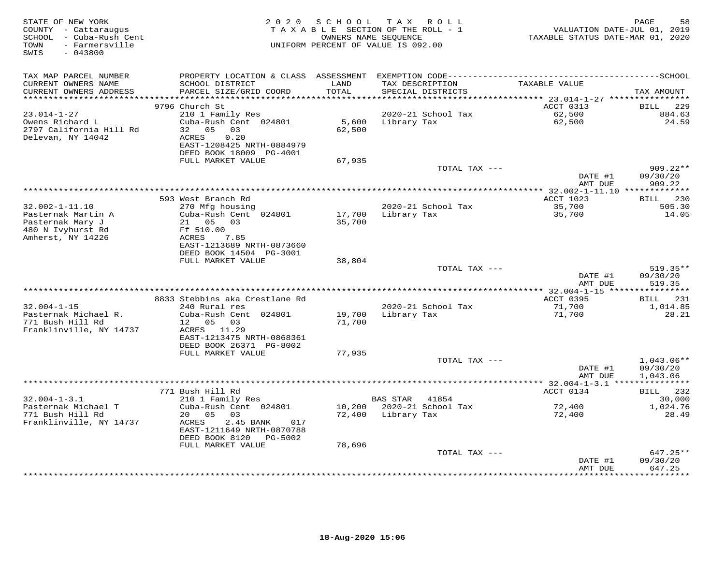| TAX MAP PARCEL NUMBER<br>CURRENT OWNERS NAME<br>SCHOOL DISTRICT<br>TAXABLE VALUE<br>LAND<br>TAX DESCRIPTION<br>CURRENT OWNERS ADDRESS<br>PARCEL SIZE/GRID COORD<br>TOTAL<br>SPECIAL DISTRICTS<br>***********************<br>9796 Church St<br>ACCT 0313<br>$23.014 - 1 - 27$<br>210 1 Family Res<br>2020-21 School Tax<br>62,500<br>Owens Richard L<br>Cuba-Rush Cent 024801<br>62,500<br>5,600<br>Library Tax | TAX AMOUNT                         |
|----------------------------------------------------------------------------------------------------------------------------------------------------------------------------------------------------------------------------------------------------------------------------------------------------------------------------------------------------------------------------------------------------------------|------------------------------------|
|                                                                                                                                                                                                                                                                                                                                                                                                                |                                    |
|                                                                                                                                                                                                                                                                                                                                                                                                                | <b>BILL</b><br>229                 |
| 2797 California Hill Rd<br>32 05 03<br>62,500<br>Delevan, NY 14042<br>ACRES<br>0.20<br>EAST-1208425 NRTH-0884979<br>DEED BOOK 18009 PG-4001                                                                                                                                                                                                                                                                    | 884.63<br>24.59                    |
| FULL MARKET VALUE<br>67,935<br>TOTAL TAX ---                                                                                                                                                                                                                                                                                                                                                                   | $909.22**$                         |
| DATE #1<br>AMT DUE                                                                                                                                                                                                                                                                                                                                                                                             | 09/30/20<br>909.22                 |
| ACCT 1023<br>593 West Branch Rd                                                                                                                                                                                                                                                                                                                                                                                | BILL 230                           |
| $32.002 - 1 - 11.10$<br>2020-21 School Tax<br>35,700<br>270 Mfg housing<br>Pasternak Martin A<br>Cuba-Rush Cent 024801<br>17,700<br>Library Tax<br>35,700<br>Pasternak Mary J<br>21  05  03<br>35,700<br>480 N Ivyhurst Rd<br>Ff 510.00                                                                                                                                                                        | 505.30<br>14.05                    |
| Amherst, NY 14226<br>ACRES<br>7.85<br>EAST-1213689 NRTH-0873660<br>DEED BOOK 14504 PG-3001                                                                                                                                                                                                                                                                                                                     |                                    |
| FULL MARKET VALUE<br>38,804<br>TOTAL TAX ---                                                                                                                                                                                                                                                                                                                                                                   | $519.35**$                         |
| DATE #1<br>AMT DUE                                                                                                                                                                                                                                                                                                                                                                                             | 09/30/20<br>519.35                 |
| 8833 Stebbins aka Crestlane Rd<br>ACCT 0395                                                                                                                                                                                                                                                                                                                                                                    | 231<br>BILL                        |
| $32.004 - 1 - 15$<br>240 Rural res<br>2020-21 School Tax<br>71,700<br>Pasternak Michael R.<br>Cuba-Rush Cent 024801<br>19,700<br>Library Tax<br>71,700<br>771 Bush Hill Rd<br>05 03<br>12<br>71,700<br>Franklinville, NY 14737<br>ACRES 11.29                                                                                                                                                                  | 1,014.85<br>28.21                  |
| EAST-1213475 NRTH-0868361<br>DEED BOOK 26371 PG-8002<br>FULL MARKET VALUE<br>77,935                                                                                                                                                                                                                                                                                                                            |                                    |
| TOTAL TAX ---<br>DATE #1<br>AMT DUE                                                                                                                                                                                                                                                                                                                                                                            | 1,043.06**<br>09/30/20<br>1,043.06 |
|                                                                                                                                                                                                                                                                                                                                                                                                                | ***********                        |
| 771 Bush Hill Rd<br>ACCT 0134<br>$32.004 - 1 - 3.1$<br>210 1 Family Res<br><b>BAS STAR</b><br>41854                                                                                                                                                                                                                                                                                                            | BILL 232<br>30,000                 |
| Pasternak Michael T<br>Cuba-Rush Cent 024801<br>2020-21 School Tax<br>10,200<br>72,400<br>771 Bush Hill Rd<br>72,400<br>Library Tax<br>20<br>05<br>03<br>72,400<br>Franklinville, NY 14737<br>2.45 BANK<br>ACRES<br>017<br>EAST-1211649 NRTH-0870788                                                                                                                                                           | 1,024.76<br>28.49                  |
| DEED BOOK 8120 PG-5002<br>FULL MARKET VALUE<br>78,696                                                                                                                                                                                                                                                                                                                                                          |                                    |
| TOTAL TAX ---<br>DATE #1<br>AMT DUE<br>***********                                                                                                                                                                                                                                                                                                                                                             | 647.25**<br>09/30/20<br>647.25     |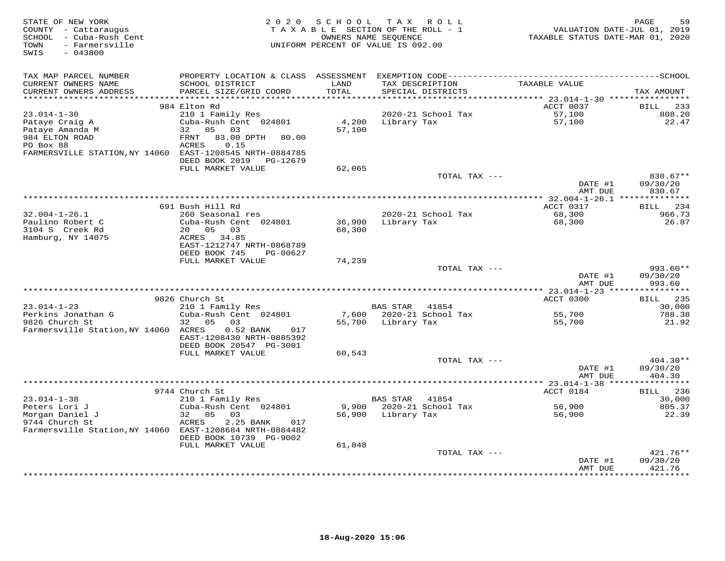| TAX MAP PARCEL NUMBER<br>TAXABLE VALUE<br>CURRENT OWNERS NAME<br>SCHOOL DISTRICT<br>LAND<br>TAX DESCRIPTION<br>TOTAL<br>CURRENT OWNERS ADDRESS<br>PARCEL SIZE/GRID COORD<br>SPECIAL DISTRICTS<br>TAX AMOUNT<br>*******************<br>*******<br>*********** 23.014-1-30 ****************<br>984 Elton Rd<br>ACCT 0037<br>BILL<br>233<br>$23.014 - 1 - 30$<br>210 1 Family Res<br>2020-21 School Tax<br>57,100<br>808.20<br>Cuba-Rush Cent 024801<br>4,200<br>57,100<br>22.47<br>Pataye Craig A<br>Library Tax<br>Pataye Amanda M<br>05 03<br>57,100<br>32<br>984 ELTON ROAD<br>${\tt FRNT}$<br>83.00 DPTH<br>80.00<br>PO Box 88<br>ACRES<br>0.15<br>FARMERSVILLE STATION, NY 14060 EAST-1208545 NRTH-0884785<br>DEED BOOK 2019<br>PG-12679<br>62,065<br>FULL MARKET VALUE<br>TOTAL TAX ---<br>830.67**<br>DATE #1<br>09/30/20<br>AMT DUE<br>830.67<br>691 Bush Hill Rd<br>ACCT 0317<br>234<br>BILL<br>$32.004 - 1 - 26.1$<br>2020-21 School Tax<br>260 Seasonal res<br>68,300<br>966.73<br>Paulino Robert C<br>36,900<br>26.87<br>Cuba-Rush Cent 024801<br>Library Tax<br>68,300<br>3104 S Creek Rd<br>20 05<br>68,300<br>03<br>Hamburg, NY 14075<br>ACRES 34.85<br>EAST-1212747 NRTH-0868789<br>DEED BOOK 745<br>PG-00627<br>FULL MARKET VALUE<br>74,239<br>993.60**<br>TOTAL TAX ---<br>DATE #1<br>09/30/20<br>AMT DUE<br>993.60<br>ACCT 0300<br>BILL 235<br>9826 Church St<br>$23.014 - 1 - 23$<br>210 1 Family Res<br><b>BAS STAR</b><br>41854<br>30,000<br>2020-21 School Tax<br>Perkins Jonathan G<br>Cuba-Rush Cent 024801<br>7,600<br>55,700<br>788.38<br>9826 Church St<br>05<br>55,700<br>Library Tax<br>55,700<br>21.92<br>32<br>03<br>Farmersville Station, NY 14060 ACRES<br>$0.52$ BANK<br>017<br>EAST-1208430 NRTH-0885392<br>DEED BOOK 20547 PG-3001<br>FULL MARKET VALUE<br>60,543<br>$404.30**$<br>TOTAL TAX ---<br>DATE #1<br>09/30/20<br>AMT DUE<br>404.30<br>ACCT 0184<br>9744 Church St<br>236<br><b>BILL</b><br>$23.014 - 1 - 38$<br>210 1 Family Res<br><b>BAS STAR</b><br>41854<br>30,000<br>805.37<br>Peters Lori J<br>Cuba-Rush Cent 024801<br>9,900<br>2020-21 School Tax<br>56,900<br>Morgan Daniel J<br>32<br>05<br>56,900<br>Library Tax<br>56,900<br>22.39<br>03<br>9744 Church St<br>ACRES<br>2.25 BANK<br>017<br>Farmersville Station, NY 14060 EAST-1208684 NRTH-0884482<br>DEED BOOK 10739 PG-9002<br>FULL MARKET VALUE<br>61,848<br>421.76**<br>TOTAL TAX ---<br>09/30/20<br>DATE #1<br>421.76<br>AMT DUE | STATE OF NEW YORK<br>COUNTY - Cattaraugus<br>SCHOOL - Cuba-Rush Cent<br>TOWN<br>- Farmersville<br>$-043800$<br>SWIS | 2 0 2 0 | SCHOOL<br>TAXABLE SECTION OF THE ROLL - 1<br>UNIFORM PERCENT OF VALUE IS 092.00 | OWNERS NAME SEQUENCE | TAX ROLL | VALUATION DATE-JUL 01, 2019<br>TAXABLE STATUS DATE-MAR 01, 2020 | 59<br>PAGE |
|-------------------------------------------------------------------------------------------------------------------------------------------------------------------------------------------------------------------------------------------------------------------------------------------------------------------------------------------------------------------------------------------------------------------------------------------------------------------------------------------------------------------------------------------------------------------------------------------------------------------------------------------------------------------------------------------------------------------------------------------------------------------------------------------------------------------------------------------------------------------------------------------------------------------------------------------------------------------------------------------------------------------------------------------------------------------------------------------------------------------------------------------------------------------------------------------------------------------------------------------------------------------------------------------------------------------------------------------------------------------------------------------------------------------------------------------------------------------------------------------------------------------------------------------------------------------------------------------------------------------------------------------------------------------------------------------------------------------------------------------------------------------------------------------------------------------------------------------------------------------------------------------------------------------------------------------------------------------------------------------------------------------------------------------------------------------------------------------------------------------------------------------------------------------------------------------------------------------------------------------------------------------------------------------------------------------------------------------------------------------------------------------------------------------------------------------------|---------------------------------------------------------------------------------------------------------------------|---------|---------------------------------------------------------------------------------|----------------------|----------|-----------------------------------------------------------------|------------|
|                                                                                                                                                                                                                                                                                                                                                                                                                                                                                                                                                                                                                                                                                                                                                                                                                                                                                                                                                                                                                                                                                                                                                                                                                                                                                                                                                                                                                                                                                                                                                                                                                                                                                                                                                                                                                                                                                                                                                                                                                                                                                                                                                                                                                                                                                                                                                                                                                                                 |                                                                                                                     |         |                                                                                 |                      |          |                                                                 |            |
|                                                                                                                                                                                                                                                                                                                                                                                                                                                                                                                                                                                                                                                                                                                                                                                                                                                                                                                                                                                                                                                                                                                                                                                                                                                                                                                                                                                                                                                                                                                                                                                                                                                                                                                                                                                                                                                                                                                                                                                                                                                                                                                                                                                                                                                                                                                                                                                                                                                 |                                                                                                                     |         |                                                                                 |                      |          |                                                                 |            |
|                                                                                                                                                                                                                                                                                                                                                                                                                                                                                                                                                                                                                                                                                                                                                                                                                                                                                                                                                                                                                                                                                                                                                                                                                                                                                                                                                                                                                                                                                                                                                                                                                                                                                                                                                                                                                                                                                                                                                                                                                                                                                                                                                                                                                                                                                                                                                                                                                                                 |                                                                                                                     |         |                                                                                 |                      |          |                                                                 |            |
|                                                                                                                                                                                                                                                                                                                                                                                                                                                                                                                                                                                                                                                                                                                                                                                                                                                                                                                                                                                                                                                                                                                                                                                                                                                                                                                                                                                                                                                                                                                                                                                                                                                                                                                                                                                                                                                                                                                                                                                                                                                                                                                                                                                                                                                                                                                                                                                                                                                 |                                                                                                                     |         |                                                                                 |                      |          |                                                                 |            |
|                                                                                                                                                                                                                                                                                                                                                                                                                                                                                                                                                                                                                                                                                                                                                                                                                                                                                                                                                                                                                                                                                                                                                                                                                                                                                                                                                                                                                                                                                                                                                                                                                                                                                                                                                                                                                                                                                                                                                                                                                                                                                                                                                                                                                                                                                                                                                                                                                                                 |                                                                                                                     |         |                                                                                 |                      |          |                                                                 |            |
|                                                                                                                                                                                                                                                                                                                                                                                                                                                                                                                                                                                                                                                                                                                                                                                                                                                                                                                                                                                                                                                                                                                                                                                                                                                                                                                                                                                                                                                                                                                                                                                                                                                                                                                                                                                                                                                                                                                                                                                                                                                                                                                                                                                                                                                                                                                                                                                                                                                 |                                                                                                                     |         |                                                                                 |                      |          |                                                                 |            |
|                                                                                                                                                                                                                                                                                                                                                                                                                                                                                                                                                                                                                                                                                                                                                                                                                                                                                                                                                                                                                                                                                                                                                                                                                                                                                                                                                                                                                                                                                                                                                                                                                                                                                                                                                                                                                                                                                                                                                                                                                                                                                                                                                                                                                                                                                                                                                                                                                                                 |                                                                                                                     |         |                                                                                 |                      |          |                                                                 |            |
|                                                                                                                                                                                                                                                                                                                                                                                                                                                                                                                                                                                                                                                                                                                                                                                                                                                                                                                                                                                                                                                                                                                                                                                                                                                                                                                                                                                                                                                                                                                                                                                                                                                                                                                                                                                                                                                                                                                                                                                                                                                                                                                                                                                                                                                                                                                                                                                                                                                 |                                                                                                                     |         |                                                                                 |                      |          |                                                                 |            |
|                                                                                                                                                                                                                                                                                                                                                                                                                                                                                                                                                                                                                                                                                                                                                                                                                                                                                                                                                                                                                                                                                                                                                                                                                                                                                                                                                                                                                                                                                                                                                                                                                                                                                                                                                                                                                                                                                                                                                                                                                                                                                                                                                                                                                                                                                                                                                                                                                                                 |                                                                                                                     |         |                                                                                 |                      |          |                                                                 |            |
|                                                                                                                                                                                                                                                                                                                                                                                                                                                                                                                                                                                                                                                                                                                                                                                                                                                                                                                                                                                                                                                                                                                                                                                                                                                                                                                                                                                                                                                                                                                                                                                                                                                                                                                                                                                                                                                                                                                                                                                                                                                                                                                                                                                                                                                                                                                                                                                                                                                 |                                                                                                                     |         |                                                                                 |                      |          |                                                                 |            |
|                                                                                                                                                                                                                                                                                                                                                                                                                                                                                                                                                                                                                                                                                                                                                                                                                                                                                                                                                                                                                                                                                                                                                                                                                                                                                                                                                                                                                                                                                                                                                                                                                                                                                                                                                                                                                                                                                                                                                                                                                                                                                                                                                                                                                                                                                                                                                                                                                                                 |                                                                                                                     |         |                                                                                 |                      |          |                                                                 |            |
|                                                                                                                                                                                                                                                                                                                                                                                                                                                                                                                                                                                                                                                                                                                                                                                                                                                                                                                                                                                                                                                                                                                                                                                                                                                                                                                                                                                                                                                                                                                                                                                                                                                                                                                                                                                                                                                                                                                                                                                                                                                                                                                                                                                                                                                                                                                                                                                                                                                 |                                                                                                                     |         |                                                                                 |                      |          |                                                                 |            |
|                                                                                                                                                                                                                                                                                                                                                                                                                                                                                                                                                                                                                                                                                                                                                                                                                                                                                                                                                                                                                                                                                                                                                                                                                                                                                                                                                                                                                                                                                                                                                                                                                                                                                                                                                                                                                                                                                                                                                                                                                                                                                                                                                                                                                                                                                                                                                                                                                                                 |                                                                                                                     |         |                                                                                 |                      |          |                                                                 |            |
|                                                                                                                                                                                                                                                                                                                                                                                                                                                                                                                                                                                                                                                                                                                                                                                                                                                                                                                                                                                                                                                                                                                                                                                                                                                                                                                                                                                                                                                                                                                                                                                                                                                                                                                                                                                                                                                                                                                                                                                                                                                                                                                                                                                                                                                                                                                                                                                                                                                 |                                                                                                                     |         |                                                                                 |                      |          |                                                                 |            |
|                                                                                                                                                                                                                                                                                                                                                                                                                                                                                                                                                                                                                                                                                                                                                                                                                                                                                                                                                                                                                                                                                                                                                                                                                                                                                                                                                                                                                                                                                                                                                                                                                                                                                                                                                                                                                                                                                                                                                                                                                                                                                                                                                                                                                                                                                                                                                                                                                                                 |                                                                                                                     |         |                                                                                 |                      |          |                                                                 |            |
|                                                                                                                                                                                                                                                                                                                                                                                                                                                                                                                                                                                                                                                                                                                                                                                                                                                                                                                                                                                                                                                                                                                                                                                                                                                                                                                                                                                                                                                                                                                                                                                                                                                                                                                                                                                                                                                                                                                                                                                                                                                                                                                                                                                                                                                                                                                                                                                                                                                 |                                                                                                                     |         |                                                                                 |                      |          |                                                                 |            |
|                                                                                                                                                                                                                                                                                                                                                                                                                                                                                                                                                                                                                                                                                                                                                                                                                                                                                                                                                                                                                                                                                                                                                                                                                                                                                                                                                                                                                                                                                                                                                                                                                                                                                                                                                                                                                                                                                                                                                                                                                                                                                                                                                                                                                                                                                                                                                                                                                                                 |                                                                                                                     |         |                                                                                 |                      |          |                                                                 |            |
|                                                                                                                                                                                                                                                                                                                                                                                                                                                                                                                                                                                                                                                                                                                                                                                                                                                                                                                                                                                                                                                                                                                                                                                                                                                                                                                                                                                                                                                                                                                                                                                                                                                                                                                                                                                                                                                                                                                                                                                                                                                                                                                                                                                                                                                                                                                                                                                                                                                 |                                                                                                                     |         |                                                                                 |                      |          |                                                                 |            |
|                                                                                                                                                                                                                                                                                                                                                                                                                                                                                                                                                                                                                                                                                                                                                                                                                                                                                                                                                                                                                                                                                                                                                                                                                                                                                                                                                                                                                                                                                                                                                                                                                                                                                                                                                                                                                                                                                                                                                                                                                                                                                                                                                                                                                                                                                                                                                                                                                                                 |                                                                                                                     |         |                                                                                 |                      |          |                                                                 |            |
|                                                                                                                                                                                                                                                                                                                                                                                                                                                                                                                                                                                                                                                                                                                                                                                                                                                                                                                                                                                                                                                                                                                                                                                                                                                                                                                                                                                                                                                                                                                                                                                                                                                                                                                                                                                                                                                                                                                                                                                                                                                                                                                                                                                                                                                                                                                                                                                                                                                 |                                                                                                                     |         |                                                                                 |                      |          |                                                                 |            |
|                                                                                                                                                                                                                                                                                                                                                                                                                                                                                                                                                                                                                                                                                                                                                                                                                                                                                                                                                                                                                                                                                                                                                                                                                                                                                                                                                                                                                                                                                                                                                                                                                                                                                                                                                                                                                                                                                                                                                                                                                                                                                                                                                                                                                                                                                                                                                                                                                                                 |                                                                                                                     |         |                                                                                 |                      |          |                                                                 |            |
|                                                                                                                                                                                                                                                                                                                                                                                                                                                                                                                                                                                                                                                                                                                                                                                                                                                                                                                                                                                                                                                                                                                                                                                                                                                                                                                                                                                                                                                                                                                                                                                                                                                                                                                                                                                                                                                                                                                                                                                                                                                                                                                                                                                                                                                                                                                                                                                                                                                 |                                                                                                                     |         |                                                                                 |                      |          |                                                                 |            |
|                                                                                                                                                                                                                                                                                                                                                                                                                                                                                                                                                                                                                                                                                                                                                                                                                                                                                                                                                                                                                                                                                                                                                                                                                                                                                                                                                                                                                                                                                                                                                                                                                                                                                                                                                                                                                                                                                                                                                                                                                                                                                                                                                                                                                                                                                                                                                                                                                                                 |                                                                                                                     |         |                                                                                 |                      |          |                                                                 |            |
|                                                                                                                                                                                                                                                                                                                                                                                                                                                                                                                                                                                                                                                                                                                                                                                                                                                                                                                                                                                                                                                                                                                                                                                                                                                                                                                                                                                                                                                                                                                                                                                                                                                                                                                                                                                                                                                                                                                                                                                                                                                                                                                                                                                                                                                                                                                                                                                                                                                 |                                                                                                                     |         |                                                                                 |                      |          |                                                                 |            |
|                                                                                                                                                                                                                                                                                                                                                                                                                                                                                                                                                                                                                                                                                                                                                                                                                                                                                                                                                                                                                                                                                                                                                                                                                                                                                                                                                                                                                                                                                                                                                                                                                                                                                                                                                                                                                                                                                                                                                                                                                                                                                                                                                                                                                                                                                                                                                                                                                                                 |                                                                                                                     |         |                                                                                 |                      |          |                                                                 |            |
|                                                                                                                                                                                                                                                                                                                                                                                                                                                                                                                                                                                                                                                                                                                                                                                                                                                                                                                                                                                                                                                                                                                                                                                                                                                                                                                                                                                                                                                                                                                                                                                                                                                                                                                                                                                                                                                                                                                                                                                                                                                                                                                                                                                                                                                                                                                                                                                                                                                 |                                                                                                                     |         |                                                                                 |                      |          |                                                                 |            |
|                                                                                                                                                                                                                                                                                                                                                                                                                                                                                                                                                                                                                                                                                                                                                                                                                                                                                                                                                                                                                                                                                                                                                                                                                                                                                                                                                                                                                                                                                                                                                                                                                                                                                                                                                                                                                                                                                                                                                                                                                                                                                                                                                                                                                                                                                                                                                                                                                                                 |                                                                                                                     |         |                                                                                 |                      |          |                                                                 |            |
|                                                                                                                                                                                                                                                                                                                                                                                                                                                                                                                                                                                                                                                                                                                                                                                                                                                                                                                                                                                                                                                                                                                                                                                                                                                                                                                                                                                                                                                                                                                                                                                                                                                                                                                                                                                                                                                                                                                                                                                                                                                                                                                                                                                                                                                                                                                                                                                                                                                 |                                                                                                                     |         |                                                                                 |                      |          |                                                                 |            |
|                                                                                                                                                                                                                                                                                                                                                                                                                                                                                                                                                                                                                                                                                                                                                                                                                                                                                                                                                                                                                                                                                                                                                                                                                                                                                                                                                                                                                                                                                                                                                                                                                                                                                                                                                                                                                                                                                                                                                                                                                                                                                                                                                                                                                                                                                                                                                                                                                                                 |                                                                                                                     |         |                                                                                 |                      |          |                                                                 |            |
|                                                                                                                                                                                                                                                                                                                                                                                                                                                                                                                                                                                                                                                                                                                                                                                                                                                                                                                                                                                                                                                                                                                                                                                                                                                                                                                                                                                                                                                                                                                                                                                                                                                                                                                                                                                                                                                                                                                                                                                                                                                                                                                                                                                                                                                                                                                                                                                                                                                 |                                                                                                                     |         |                                                                                 |                      |          |                                                                 |            |
|                                                                                                                                                                                                                                                                                                                                                                                                                                                                                                                                                                                                                                                                                                                                                                                                                                                                                                                                                                                                                                                                                                                                                                                                                                                                                                                                                                                                                                                                                                                                                                                                                                                                                                                                                                                                                                                                                                                                                                                                                                                                                                                                                                                                                                                                                                                                                                                                                                                 |                                                                                                                     |         |                                                                                 |                      |          |                                                                 |            |
|                                                                                                                                                                                                                                                                                                                                                                                                                                                                                                                                                                                                                                                                                                                                                                                                                                                                                                                                                                                                                                                                                                                                                                                                                                                                                                                                                                                                                                                                                                                                                                                                                                                                                                                                                                                                                                                                                                                                                                                                                                                                                                                                                                                                                                                                                                                                                                                                                                                 |                                                                                                                     |         |                                                                                 |                      |          |                                                                 |            |
|                                                                                                                                                                                                                                                                                                                                                                                                                                                                                                                                                                                                                                                                                                                                                                                                                                                                                                                                                                                                                                                                                                                                                                                                                                                                                                                                                                                                                                                                                                                                                                                                                                                                                                                                                                                                                                                                                                                                                                                                                                                                                                                                                                                                                                                                                                                                                                                                                                                 |                                                                                                                     |         |                                                                                 |                      |          |                                                                 |            |
|                                                                                                                                                                                                                                                                                                                                                                                                                                                                                                                                                                                                                                                                                                                                                                                                                                                                                                                                                                                                                                                                                                                                                                                                                                                                                                                                                                                                                                                                                                                                                                                                                                                                                                                                                                                                                                                                                                                                                                                                                                                                                                                                                                                                                                                                                                                                                                                                                                                 |                                                                                                                     |         |                                                                                 |                      |          |                                                                 |            |
|                                                                                                                                                                                                                                                                                                                                                                                                                                                                                                                                                                                                                                                                                                                                                                                                                                                                                                                                                                                                                                                                                                                                                                                                                                                                                                                                                                                                                                                                                                                                                                                                                                                                                                                                                                                                                                                                                                                                                                                                                                                                                                                                                                                                                                                                                                                                                                                                                                                 |                                                                                                                     |         |                                                                                 |                      |          |                                                                 |            |
|                                                                                                                                                                                                                                                                                                                                                                                                                                                                                                                                                                                                                                                                                                                                                                                                                                                                                                                                                                                                                                                                                                                                                                                                                                                                                                                                                                                                                                                                                                                                                                                                                                                                                                                                                                                                                                                                                                                                                                                                                                                                                                                                                                                                                                                                                                                                                                                                                                                 |                                                                                                                     |         |                                                                                 |                      |          |                                                                 |            |
|                                                                                                                                                                                                                                                                                                                                                                                                                                                                                                                                                                                                                                                                                                                                                                                                                                                                                                                                                                                                                                                                                                                                                                                                                                                                                                                                                                                                                                                                                                                                                                                                                                                                                                                                                                                                                                                                                                                                                                                                                                                                                                                                                                                                                                                                                                                                                                                                                                                 |                                                                                                                     |         |                                                                                 |                      |          |                                                                 |            |
|                                                                                                                                                                                                                                                                                                                                                                                                                                                                                                                                                                                                                                                                                                                                                                                                                                                                                                                                                                                                                                                                                                                                                                                                                                                                                                                                                                                                                                                                                                                                                                                                                                                                                                                                                                                                                                                                                                                                                                                                                                                                                                                                                                                                                                                                                                                                                                                                                                                 |                                                                                                                     |         |                                                                                 |                      |          |                                                                 |            |
|                                                                                                                                                                                                                                                                                                                                                                                                                                                                                                                                                                                                                                                                                                                                                                                                                                                                                                                                                                                                                                                                                                                                                                                                                                                                                                                                                                                                                                                                                                                                                                                                                                                                                                                                                                                                                                                                                                                                                                                                                                                                                                                                                                                                                                                                                                                                                                                                                                                 |                                                                                                                     |         |                                                                                 |                      |          |                                                                 |            |
|                                                                                                                                                                                                                                                                                                                                                                                                                                                                                                                                                                                                                                                                                                                                                                                                                                                                                                                                                                                                                                                                                                                                                                                                                                                                                                                                                                                                                                                                                                                                                                                                                                                                                                                                                                                                                                                                                                                                                                                                                                                                                                                                                                                                                                                                                                                                                                                                                                                 |                                                                                                                     |         |                                                                                 |                      |          |                                                                 |            |
|                                                                                                                                                                                                                                                                                                                                                                                                                                                                                                                                                                                                                                                                                                                                                                                                                                                                                                                                                                                                                                                                                                                                                                                                                                                                                                                                                                                                                                                                                                                                                                                                                                                                                                                                                                                                                                                                                                                                                                                                                                                                                                                                                                                                                                                                                                                                                                                                                                                 |                                                                                                                     |         |                                                                                 |                      |          |                                                                 |            |
|                                                                                                                                                                                                                                                                                                                                                                                                                                                                                                                                                                                                                                                                                                                                                                                                                                                                                                                                                                                                                                                                                                                                                                                                                                                                                                                                                                                                                                                                                                                                                                                                                                                                                                                                                                                                                                                                                                                                                                                                                                                                                                                                                                                                                                                                                                                                                                                                                                                 |                                                                                                                     |         |                                                                                 |                      |          |                                                                 |            |
|                                                                                                                                                                                                                                                                                                                                                                                                                                                                                                                                                                                                                                                                                                                                                                                                                                                                                                                                                                                                                                                                                                                                                                                                                                                                                                                                                                                                                                                                                                                                                                                                                                                                                                                                                                                                                                                                                                                                                                                                                                                                                                                                                                                                                                                                                                                                                                                                                                                 |                                                                                                                     |         |                                                                                 |                      |          |                                                                 |            |
|                                                                                                                                                                                                                                                                                                                                                                                                                                                                                                                                                                                                                                                                                                                                                                                                                                                                                                                                                                                                                                                                                                                                                                                                                                                                                                                                                                                                                                                                                                                                                                                                                                                                                                                                                                                                                                                                                                                                                                                                                                                                                                                                                                                                                                                                                                                                                                                                                                                 |                                                                                                                     |         |                                                                                 |                      |          |                                                                 |            |
|                                                                                                                                                                                                                                                                                                                                                                                                                                                                                                                                                                                                                                                                                                                                                                                                                                                                                                                                                                                                                                                                                                                                                                                                                                                                                                                                                                                                                                                                                                                                                                                                                                                                                                                                                                                                                                                                                                                                                                                                                                                                                                                                                                                                                                                                                                                                                                                                                                                 |                                                                                                                     |         |                                                                                 |                      |          |                                                                 |            |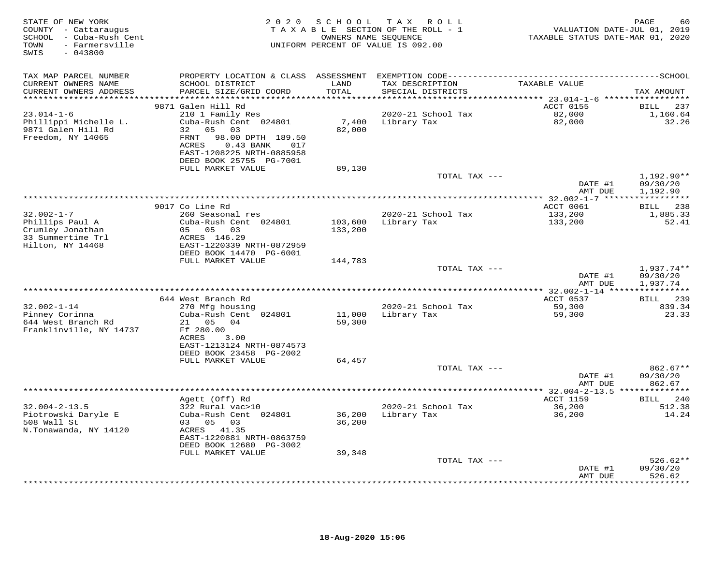| STATE OF NEW YORK<br>COUNTY - Cattaraugus<br>SCHOOL - Cuba-Rush Cent<br>- Farmersville<br>TOWN<br>SWIS<br>$-043800$ | 2 0 2 0                                                                                                                                                                                | SCHOOL             | T A X<br>R O L L<br>TAXABLE SECTION OF THE ROLL - 1<br>OWNERS NAME SEQUENCE<br>UNIFORM PERCENT OF VALUE IS 092.00 | VALUATION DATE-JUL 01, 2019<br>TAXABLE STATUS DATE-MAR 01, 2020 | 60<br>PAGE                           |
|---------------------------------------------------------------------------------------------------------------------|----------------------------------------------------------------------------------------------------------------------------------------------------------------------------------------|--------------------|-------------------------------------------------------------------------------------------------------------------|-----------------------------------------------------------------|--------------------------------------|
| TAX MAP PARCEL NUMBER<br>CURRENT OWNERS NAME<br>CURRENT OWNERS ADDRESS                                              | SCHOOL DISTRICT<br>PARCEL SIZE/GRID COORD                                                                                                                                              | LAND<br>TOTAL      | TAX DESCRIPTION<br>SPECIAL DISTRICTS                                                                              | TAXABLE VALUE                                                   | TAX AMOUNT                           |
| **********************                                                                                              | ************************                                                                                                                                                               | ************       |                                                                                                                   |                                                                 |                                      |
|                                                                                                                     | 9871 Galen Hill Rd                                                                                                                                                                     |                    |                                                                                                                   | ACCT 0155                                                       | BILL<br>237                          |
| $23.014 - 1 - 6$<br>Phillippi Michelle L.<br>9871 Galen Hill Rd<br>Freedom, NY 14065                                | 210 1 Family Res<br>Cuba-Rush Cent 024801<br>05<br>32<br>03<br>98.00 DPTH 189.50<br>FRNT<br><b>ACRES</b><br>$0.43$ BANK<br>017<br>EAST-1208225 NRTH-0885958<br>DEED BOOK 25755 PG-7001 | 7,400<br>82,000    | 2020-21 School Tax<br>Library Tax                                                                                 | 82,000<br>82,000                                                | 1,160.64<br>32.26                    |
|                                                                                                                     | FULL MARKET VALUE                                                                                                                                                                      | 89,130             |                                                                                                                   |                                                                 |                                      |
|                                                                                                                     |                                                                                                                                                                                        |                    | TOTAL TAX ---                                                                                                     |                                                                 | $1,192.90**$                         |
|                                                                                                                     |                                                                                                                                                                                        |                    |                                                                                                                   | DATE #1<br>AMT DUE                                              | 09/30/20<br>1,192.90                 |
|                                                                                                                     |                                                                                                                                                                                        |                    | ***********************************                                                                               | **************** 32.002-1-7 ******************                  |                                      |
|                                                                                                                     | 9017 Co Line Rd                                                                                                                                                                        |                    |                                                                                                                   | ACCT 0061                                                       | <b>BILL</b><br>238                   |
| $32.002 - 1 - 7$<br>Phillips Paul A<br>Crumley Jonathan<br>33 Summertime Trl<br>Hilton, NY 14468                    | 260 Seasonal res<br>Cuba-Rush Cent 024801<br>05 05 03<br>ACRES 146.29<br>EAST-1220339 NRTH-0872959                                                                                     | 103,600<br>133,200 | 2020-21 School Tax<br>Library Tax                                                                                 | 133,200<br>133,200                                              | 1,885.33<br>52.41                    |
|                                                                                                                     | DEED BOOK 14470 PG-6001                                                                                                                                                                |                    |                                                                                                                   |                                                                 |                                      |
|                                                                                                                     | FULL MARKET VALUE                                                                                                                                                                      | 144,783            |                                                                                                                   |                                                                 |                                      |
|                                                                                                                     |                                                                                                                                                                                        |                    | TOTAL TAX ---                                                                                                     | DATE #1<br>AMT DUE                                              | $1,937.74**$<br>09/30/20<br>1,937.74 |
|                                                                                                                     |                                                                                                                                                                                        |                    |                                                                                                                   |                                                                 |                                      |
| $32.002 - 1 - 14$                                                                                                   | 644 West Branch Rd<br>270 Mfg housing                                                                                                                                                  |                    | 2020-21 School Tax                                                                                                | ACCT 0537<br>59,300                                             | BILL 239<br>839.34                   |
| Pinney Corinna<br>644 West Branch Rd<br>Franklinville, NY 14737                                                     | Cuba-Rush Cent 024801<br>21 05<br>04<br>Ff 280.00<br>ACRES<br>3.00<br>EAST-1213124 NRTH-0874573                                                                                        | 11,000<br>59,300   | Library Tax                                                                                                       | 59,300                                                          | 23.33                                |
|                                                                                                                     | DEED BOOK 23458 PG-2002                                                                                                                                                                |                    |                                                                                                                   |                                                                 |                                      |
|                                                                                                                     | FULL MARKET VALUE                                                                                                                                                                      | 64,457             | TOTAL TAX ---                                                                                                     | DATE #1<br>AMT DUE                                              | $862.67**$<br>09/30/20<br>862.67     |
|                                                                                                                     |                                                                                                                                                                                        |                    |                                                                                                                   |                                                                 |                                      |
|                                                                                                                     | Agett (Off) Rd                                                                                                                                                                         |                    |                                                                                                                   | <b>ACCT 1159</b>                                                | BILL 240                             |
| $32.004 - 2 - 13.5$<br>Piotrowski Daryle E<br>508 Wall St<br>N.Tonawanda, NY 14120                                  | 322 Rural vac>10<br>Cuba-Rush Cent 024801<br>03 05<br>03<br>ACRES 41.35<br>EAST-1220881 NRTH-0863759<br>DEED BOOK 12680 PG-3002                                                        | 36,200<br>36,200   | 2020-21 School Tax<br>Library Tax                                                                                 | 36,200<br>36,200                                                | 512.38<br>14.24                      |
|                                                                                                                     | FULL MARKET VALUE                                                                                                                                                                      | 39,348             |                                                                                                                   |                                                                 |                                      |
|                                                                                                                     |                                                                                                                                                                                        |                    | TOTAL TAX ---                                                                                                     | DATE #1<br>AMT DUE                                              | $526.62**$<br>09/30/20<br>526.62     |
|                                                                                                                     |                                                                                                                                                                                        |                    |                                                                                                                   |                                                                 | .                                    |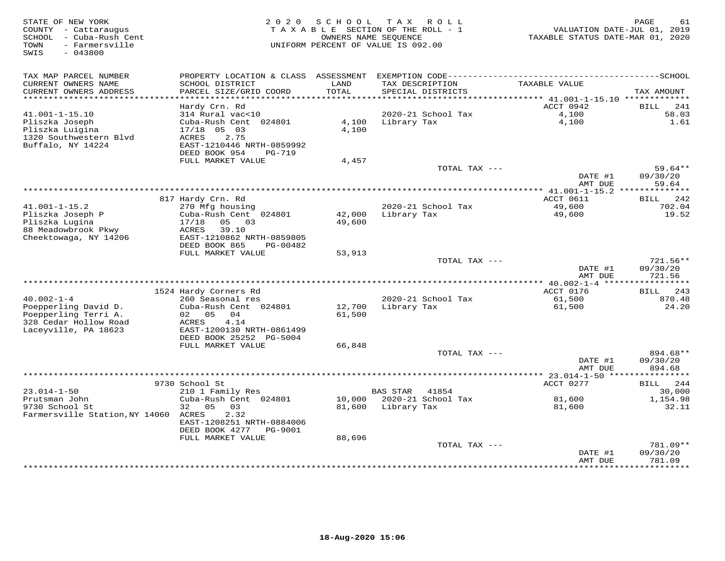| STATE OF NEW YORK<br>COUNTY - Cattaraugus<br>- Cuba-Rush Cent<br>SCHOOL<br>- Farmersville<br>TOWN<br>SWIS<br>$-043800$ | 2 0 2 0<br>SCHOOL<br>T A X<br>ROLL<br>TAXABLE SECTION OF THE ROLL - 1<br>OWNERS NAME SEOUENCE<br>UNIFORM PERCENT OF VALUE IS 092.00 |                  |                                      | TAXABLE STATUS DATE-MAR 01, 2020       | PAGE<br>61<br>VALUATION DATE-JUL 01, 2019 |
|------------------------------------------------------------------------------------------------------------------------|-------------------------------------------------------------------------------------------------------------------------------------|------------------|--------------------------------------|----------------------------------------|-------------------------------------------|
| TAX MAP PARCEL NUMBER                                                                                                  | PROPERTY LOCATION & CLASS                                                                                                           |                  |                                      |                                        |                                           |
| CURRENT OWNERS NAME<br>CURRENT OWNERS ADDRESS                                                                          | SCHOOL DISTRICT<br>PARCEL SIZE/GRID COORD                                                                                           | LAND<br>TOTAL    | TAX DESCRIPTION<br>SPECIAL DISTRICTS | TAXABLE VALUE                          | TAX AMOUNT                                |
| ***********************                                                                                                | Hardy Crn. Rd                                                                                                                       |                  |                                      | ACCT 0942                              | 241<br><b>BILL</b>                        |
| $41.001 - 1 - 15.10$                                                                                                   | 314 Rural vac<10                                                                                                                    |                  | 2020-21 School Tax                   | 4,100                                  | 58.03                                     |
| Pliszka Joseph                                                                                                         | Cuba-Rush Cent 024801                                                                                                               | 4,100            | Library Tax                          | 4,100                                  | 1.61                                      |
| Pliszka Luigina                                                                                                        | $17/18$ 05 03                                                                                                                       | 4,100            |                                      |                                        |                                           |
| 1320 Southwestern Blvd                                                                                                 | 2.75<br>ACRES                                                                                                                       |                  |                                      |                                        |                                           |
| Buffalo, NY 14224                                                                                                      | EAST-1210446 NRTH-0859992                                                                                                           |                  |                                      |                                        |                                           |
|                                                                                                                        | DEED BOOK 954<br><b>PG-719</b><br>FULL MARKET VALUE                                                                                 | 4,457            |                                      |                                        |                                           |
|                                                                                                                        |                                                                                                                                     |                  | TOTAL TAX ---                        |                                        | 59.64**                                   |
|                                                                                                                        |                                                                                                                                     |                  |                                      | DATE #1                                | 09/30/20                                  |
|                                                                                                                        |                                                                                                                                     |                  |                                      | AMT DUE                                | 59.64                                     |
|                                                                                                                        |                                                                                                                                     |                  | ********************************     | ********* 41.001-1-15.2 ************** |                                           |
| $41.001 - 1 - 15.2$                                                                                                    | 817 Hardy Crn. Rd<br>270 Mfg housing                                                                                                |                  | 2020-21 School Tax                   | ACCT 0611<br>49,600                    | 242<br>BILL<br>702.04                     |
| Pliszka Joseph P                                                                                                       | Cuba-Rush Cent 024801                                                                                                               | 42,000           | Library Tax                          | 49,600                                 | 19.52                                     |
| Pliszka Lugina                                                                                                         | 17/18<br>05<br>03                                                                                                                   | 49,600           |                                      |                                        |                                           |
| 88 Meadowbrook Pkwy                                                                                                    | ACRES<br>39.10                                                                                                                      |                  |                                      |                                        |                                           |
| Cheektowaga, NY 14206                                                                                                  | EAST-1210862 NRTH-0859805                                                                                                           |                  |                                      |                                        |                                           |
|                                                                                                                        | DEED BOOK 865<br>PG-00482                                                                                                           |                  |                                      |                                        |                                           |
|                                                                                                                        | FULL MARKET VALUE                                                                                                                   | 53,913           | TOTAL TAX ---                        |                                        | $721.56**$                                |
|                                                                                                                        |                                                                                                                                     |                  |                                      | DATE #1                                | 09/30/20                                  |
|                                                                                                                        |                                                                                                                                     |                  |                                      | AMT DUE                                | 721.56                                    |
|                                                                                                                        |                                                                                                                                     |                  |                                      |                                        |                                           |
|                                                                                                                        | 1524 Hardy Corners Rd                                                                                                               |                  |                                      | ACCT 0176                              | 243<br>BILL                               |
| $40.002 - 1 - 4$<br>Poepperling David D.                                                                               | 260 Seasonal res<br>Cuba-Rush Cent 024801                                                                                           | 12,700           | 2020-21 School Tax<br>Library Tax    | 61,500<br>61,500                       | 870.48<br>24.20                           |
| Poepperling Terri A.                                                                                                   | 02<br>05<br>04                                                                                                                      | 61,500           |                                      |                                        |                                           |
| 328 Cedar Hollow Road                                                                                                  | ACRES<br>4.14                                                                                                                       |                  |                                      |                                        |                                           |
| Laceyville, PA 18623                                                                                                   | EAST-1200130 NRTH-0861499                                                                                                           |                  |                                      |                                        |                                           |
|                                                                                                                        | DEED BOOK 25252 PG-5004                                                                                                             |                  |                                      |                                        |                                           |
|                                                                                                                        | FULL MARKET VALUE                                                                                                                   | 66,848           |                                      |                                        |                                           |
|                                                                                                                        |                                                                                                                                     |                  | TOTAL TAX ---                        | DATE #1                                | 894.68**<br>09/30/20                      |
|                                                                                                                        |                                                                                                                                     |                  |                                      | AMT DUE                                | 894.68                                    |
|                                                                                                                        |                                                                                                                                     |                  |                                      | ****************** 23.014-1-50 *****   | * * * * * * * *                           |
|                                                                                                                        | 9730 School St                                                                                                                      |                  |                                      | ACCT 0277                              | 244<br>BILL                               |
| $23.014 - 1 - 50$                                                                                                      | 210 1 Family Res                                                                                                                    |                  | <b>BAS STAR</b><br>41854             |                                        | 30,000                                    |
| Prutsman John<br>9730 School St                                                                                        | Cuba-Rush Cent 024801<br>32<br>0.5<br>03                                                                                            | 10,000<br>81,600 | 2020-21 School Tax<br>Library Tax    | 81,600<br>81,600                       | 1,154.98<br>32.11                         |
| Farmersville Station, NY 14060                                                                                         | 2.32<br>ACRES                                                                                                                       |                  |                                      |                                        |                                           |
|                                                                                                                        | EAST-1208251 NRTH-0884006                                                                                                           |                  |                                      |                                        |                                           |
|                                                                                                                        | DEED BOOK 4277<br>PG-9001                                                                                                           |                  |                                      |                                        |                                           |
|                                                                                                                        | FULL MARKET VALUE                                                                                                                   | 88,696           |                                      |                                        |                                           |
|                                                                                                                        |                                                                                                                                     |                  | TOTAL TAX ---                        |                                        | 781.09**                                  |
|                                                                                                                        |                                                                                                                                     |                  |                                      | DATE #1<br>AMT DUE                     | 09/30/20<br>781.09                        |
|                                                                                                                        |                                                                                                                                     |                  |                                      | *********                              | *********                                 |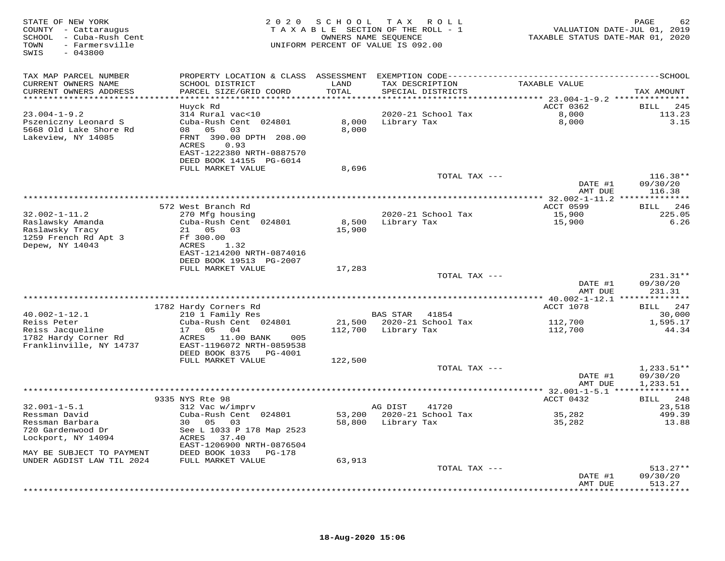| TAX MAP PARCEL NUMBER<br>TAXABLE VALUE<br>CURRENT OWNERS NAME<br>SCHOOL DISTRICT<br>LAND<br>TAX DESCRIPTION<br>CURRENT OWNERS ADDRESS<br>PARCEL SIZE/GRID COORD<br>TOTAL<br>SPECIAL DISTRICTS<br>TAX AMOUNT<br>*****************************<br>ACCT 0362<br>Huyck Rd<br>BILL<br>245<br>$23.004 - 1 - 9.2$<br>314 Rural vac<10<br>2020-21 School Tax<br>8,000<br>113.23<br>Pszeniczny Leonard S<br>Cuba-Rush Cent 024801<br>8,000 Library Tax<br>8,000<br>3.15<br>5668 Old Lake Shore Rd<br>08 05<br>03<br>8,000<br>Lakeview, NY 14085<br>FRNT 390.00 DPTH 208.00<br>ACRES<br>0.93<br>EAST-1222380 NRTH-0887570<br>DEED BOOK 14155 PG-6014<br>FULL MARKET VALUE<br>8,696<br>$116.38**$<br>TOTAL TAX ---<br>DATE #1<br>09/30/20<br>AMT DUE<br>116.38<br>ACCT 0599<br>BILL 246<br>572 West Branch Rd<br>$32.002 - 1 - 11.2$<br>2020-21 School Tax<br>15,900<br>225.05<br>270 Mfg housing<br>8,500<br>Raslawsky Amanda<br>Cuba-Rush Cent 024801<br>Library Tax<br>15,900<br>6.26<br>Raslawsky Tracy<br>21  05  03<br>15,900<br>1259 French Rd Apt 3<br>Ff 300.00<br>Depew, NY 14043<br>ACRES<br>1.32<br>EAST-1214200 NRTH-0874016<br>DEED BOOK 19513 PG-2007<br>FULL MARKET VALUE<br>17,283<br>231.31**<br>TOTAL TAX ---<br>DATE #1<br>09/30/20<br>AMT DUE<br>231.31<br>1782 Hardy Corners Rd<br>ACCT 1078<br>BILL 247<br>$40.002 - 1 - 12.1$<br>210 1 Family Res<br>BAS STAR 41854<br>30,000<br>Reiss Peter<br>Cuba-Rush Cent 024801<br>21,500 2020-21 School Tax<br>112,700<br>1,595.17<br>Reiss Jacqueline<br>17<br>05 04<br>112,700 Library Tax<br>112,700<br>44.34<br>1782 Hardy Corner Rd<br>ACRES 11.00 BANK<br>005<br>Franklinville, NY 14737<br>EAST-1196072 NRTH-0859538<br>DEED BOOK 8375 PG-4001<br>FULL MARKET VALUE<br>122,500<br>$1,233.51**$<br>TOTAL TAX ---<br>DATE #1<br>09/30/20<br>1,233.51<br>AMT DUE<br>9335 NYS Rte 98<br>ACCT 0432<br>BILL 248<br>$32.001 - 1 - 5.1$<br>312 Vac w/imprv<br>AG DIST<br>23,518<br>41720<br>Ressman David<br>Cuba-Rush Cent 024801<br>53,200 2020-21 School Tax<br>35,282<br>499.39<br>Ressman Barbara<br>30 05<br>03<br>58,800 Library Tax<br>35,282<br>13.88<br>720 Gardenwood Dr<br>See L 1033 P 178 Map 2523<br>Lockport, NY 14094<br>ACRES 37.40<br>EAST-1206900 NRTH-0876504<br>MAY BE SUBJECT TO PAYMENT<br>DEED BOOK 1033 PG-178<br>UNDER AGDIST LAW TIL 2024<br>FULL MARKET VALUE<br>63,913<br>TOTAL TAX ---<br>$513.27**$<br>09/30/20<br>DATE #1<br>513.27<br>AMT DUE | STATE OF NEW YORK<br>COUNTY - Cattaraugus<br>SCHOOL - Cuba-Rush Cent<br>- Farmersville<br>TOWN<br>SWIS<br>$-043800$ |  | 2020 SCHOOL TAX ROLL<br>TAXABLE SECTION OF THE ROLL - 1<br>OWNERS NAME SEQUENCE<br>UNIFORM PERCENT OF VALUE IS 092.00 | VALUATION DATE-JUL 01, 2019<br>TAXABLE STATUS DATE-MAR 01, 2020 | PAGE<br>62 |
|------------------------------------------------------------------------------------------------------------------------------------------------------------------------------------------------------------------------------------------------------------------------------------------------------------------------------------------------------------------------------------------------------------------------------------------------------------------------------------------------------------------------------------------------------------------------------------------------------------------------------------------------------------------------------------------------------------------------------------------------------------------------------------------------------------------------------------------------------------------------------------------------------------------------------------------------------------------------------------------------------------------------------------------------------------------------------------------------------------------------------------------------------------------------------------------------------------------------------------------------------------------------------------------------------------------------------------------------------------------------------------------------------------------------------------------------------------------------------------------------------------------------------------------------------------------------------------------------------------------------------------------------------------------------------------------------------------------------------------------------------------------------------------------------------------------------------------------------------------------------------------------------------------------------------------------------------------------------------------------------------------------------------------------------------------------------------------------------------------------------------------------------------------------------------------------------------------------------------------------------------------------------------------------------------------------------------------------------------------------------------------------------------------------------------------|---------------------------------------------------------------------------------------------------------------------|--|-----------------------------------------------------------------------------------------------------------------------|-----------------------------------------------------------------|------------|
|                                                                                                                                                                                                                                                                                                                                                                                                                                                                                                                                                                                                                                                                                                                                                                                                                                                                                                                                                                                                                                                                                                                                                                                                                                                                                                                                                                                                                                                                                                                                                                                                                                                                                                                                                                                                                                                                                                                                                                                                                                                                                                                                                                                                                                                                                                                                                                                                                                    |                                                                                                                     |  |                                                                                                                       |                                                                 |            |
|                                                                                                                                                                                                                                                                                                                                                                                                                                                                                                                                                                                                                                                                                                                                                                                                                                                                                                                                                                                                                                                                                                                                                                                                                                                                                                                                                                                                                                                                                                                                                                                                                                                                                                                                                                                                                                                                                                                                                                                                                                                                                                                                                                                                                                                                                                                                                                                                                                    |                                                                                                                     |  |                                                                                                                       |                                                                 |            |
|                                                                                                                                                                                                                                                                                                                                                                                                                                                                                                                                                                                                                                                                                                                                                                                                                                                                                                                                                                                                                                                                                                                                                                                                                                                                                                                                                                                                                                                                                                                                                                                                                                                                                                                                                                                                                                                                                                                                                                                                                                                                                                                                                                                                                                                                                                                                                                                                                                    |                                                                                                                     |  |                                                                                                                       |                                                                 |            |
|                                                                                                                                                                                                                                                                                                                                                                                                                                                                                                                                                                                                                                                                                                                                                                                                                                                                                                                                                                                                                                                                                                                                                                                                                                                                                                                                                                                                                                                                                                                                                                                                                                                                                                                                                                                                                                                                                                                                                                                                                                                                                                                                                                                                                                                                                                                                                                                                                                    |                                                                                                                     |  |                                                                                                                       |                                                                 |            |
|                                                                                                                                                                                                                                                                                                                                                                                                                                                                                                                                                                                                                                                                                                                                                                                                                                                                                                                                                                                                                                                                                                                                                                                                                                                                                                                                                                                                                                                                                                                                                                                                                                                                                                                                                                                                                                                                                                                                                                                                                                                                                                                                                                                                                                                                                                                                                                                                                                    |                                                                                                                     |  |                                                                                                                       |                                                                 |            |
|                                                                                                                                                                                                                                                                                                                                                                                                                                                                                                                                                                                                                                                                                                                                                                                                                                                                                                                                                                                                                                                                                                                                                                                                                                                                                                                                                                                                                                                                                                                                                                                                                                                                                                                                                                                                                                                                                                                                                                                                                                                                                                                                                                                                                                                                                                                                                                                                                                    |                                                                                                                     |  |                                                                                                                       |                                                                 |            |
|                                                                                                                                                                                                                                                                                                                                                                                                                                                                                                                                                                                                                                                                                                                                                                                                                                                                                                                                                                                                                                                                                                                                                                                                                                                                                                                                                                                                                                                                                                                                                                                                                                                                                                                                                                                                                                                                                                                                                                                                                                                                                                                                                                                                                                                                                                                                                                                                                                    |                                                                                                                     |  |                                                                                                                       |                                                                 |            |
|                                                                                                                                                                                                                                                                                                                                                                                                                                                                                                                                                                                                                                                                                                                                                                                                                                                                                                                                                                                                                                                                                                                                                                                                                                                                                                                                                                                                                                                                                                                                                                                                                                                                                                                                                                                                                                                                                                                                                                                                                                                                                                                                                                                                                                                                                                                                                                                                                                    |                                                                                                                     |  |                                                                                                                       |                                                                 |            |
|                                                                                                                                                                                                                                                                                                                                                                                                                                                                                                                                                                                                                                                                                                                                                                                                                                                                                                                                                                                                                                                                                                                                                                                                                                                                                                                                                                                                                                                                                                                                                                                                                                                                                                                                                                                                                                                                                                                                                                                                                                                                                                                                                                                                                                                                                                                                                                                                                                    |                                                                                                                     |  |                                                                                                                       |                                                                 |            |
|                                                                                                                                                                                                                                                                                                                                                                                                                                                                                                                                                                                                                                                                                                                                                                                                                                                                                                                                                                                                                                                                                                                                                                                                                                                                                                                                                                                                                                                                                                                                                                                                                                                                                                                                                                                                                                                                                                                                                                                                                                                                                                                                                                                                                                                                                                                                                                                                                                    |                                                                                                                     |  |                                                                                                                       |                                                                 |            |
|                                                                                                                                                                                                                                                                                                                                                                                                                                                                                                                                                                                                                                                                                                                                                                                                                                                                                                                                                                                                                                                                                                                                                                                                                                                                                                                                                                                                                                                                                                                                                                                                                                                                                                                                                                                                                                                                                                                                                                                                                                                                                                                                                                                                                                                                                                                                                                                                                                    |                                                                                                                     |  |                                                                                                                       |                                                                 |            |
|                                                                                                                                                                                                                                                                                                                                                                                                                                                                                                                                                                                                                                                                                                                                                                                                                                                                                                                                                                                                                                                                                                                                                                                                                                                                                                                                                                                                                                                                                                                                                                                                                                                                                                                                                                                                                                                                                                                                                                                                                                                                                                                                                                                                                                                                                                                                                                                                                                    |                                                                                                                     |  |                                                                                                                       |                                                                 |            |
|                                                                                                                                                                                                                                                                                                                                                                                                                                                                                                                                                                                                                                                                                                                                                                                                                                                                                                                                                                                                                                                                                                                                                                                                                                                                                                                                                                                                                                                                                                                                                                                                                                                                                                                                                                                                                                                                                                                                                                                                                                                                                                                                                                                                                                                                                                                                                                                                                                    |                                                                                                                     |  |                                                                                                                       |                                                                 |            |
|                                                                                                                                                                                                                                                                                                                                                                                                                                                                                                                                                                                                                                                                                                                                                                                                                                                                                                                                                                                                                                                                                                                                                                                                                                                                                                                                                                                                                                                                                                                                                                                                                                                                                                                                                                                                                                                                                                                                                                                                                                                                                                                                                                                                                                                                                                                                                                                                                                    |                                                                                                                     |  |                                                                                                                       |                                                                 |            |
|                                                                                                                                                                                                                                                                                                                                                                                                                                                                                                                                                                                                                                                                                                                                                                                                                                                                                                                                                                                                                                                                                                                                                                                                                                                                                                                                                                                                                                                                                                                                                                                                                                                                                                                                                                                                                                                                                                                                                                                                                                                                                                                                                                                                                                                                                                                                                                                                                                    |                                                                                                                     |  |                                                                                                                       |                                                                 |            |
|                                                                                                                                                                                                                                                                                                                                                                                                                                                                                                                                                                                                                                                                                                                                                                                                                                                                                                                                                                                                                                                                                                                                                                                                                                                                                                                                                                                                                                                                                                                                                                                                                                                                                                                                                                                                                                                                                                                                                                                                                                                                                                                                                                                                                                                                                                                                                                                                                                    |                                                                                                                     |  |                                                                                                                       |                                                                 |            |
|                                                                                                                                                                                                                                                                                                                                                                                                                                                                                                                                                                                                                                                                                                                                                                                                                                                                                                                                                                                                                                                                                                                                                                                                                                                                                                                                                                                                                                                                                                                                                                                                                                                                                                                                                                                                                                                                                                                                                                                                                                                                                                                                                                                                                                                                                                                                                                                                                                    |                                                                                                                     |  |                                                                                                                       |                                                                 |            |
|                                                                                                                                                                                                                                                                                                                                                                                                                                                                                                                                                                                                                                                                                                                                                                                                                                                                                                                                                                                                                                                                                                                                                                                                                                                                                                                                                                                                                                                                                                                                                                                                                                                                                                                                                                                                                                                                                                                                                                                                                                                                                                                                                                                                                                                                                                                                                                                                                                    |                                                                                                                     |  |                                                                                                                       |                                                                 |            |
|                                                                                                                                                                                                                                                                                                                                                                                                                                                                                                                                                                                                                                                                                                                                                                                                                                                                                                                                                                                                                                                                                                                                                                                                                                                                                                                                                                                                                                                                                                                                                                                                                                                                                                                                                                                                                                                                                                                                                                                                                                                                                                                                                                                                                                                                                                                                                                                                                                    |                                                                                                                     |  |                                                                                                                       |                                                                 |            |
|                                                                                                                                                                                                                                                                                                                                                                                                                                                                                                                                                                                                                                                                                                                                                                                                                                                                                                                                                                                                                                                                                                                                                                                                                                                                                                                                                                                                                                                                                                                                                                                                                                                                                                                                                                                                                                                                                                                                                                                                                                                                                                                                                                                                                                                                                                                                                                                                                                    |                                                                                                                     |  |                                                                                                                       |                                                                 |            |
|                                                                                                                                                                                                                                                                                                                                                                                                                                                                                                                                                                                                                                                                                                                                                                                                                                                                                                                                                                                                                                                                                                                                                                                                                                                                                                                                                                                                                                                                                                                                                                                                                                                                                                                                                                                                                                                                                                                                                                                                                                                                                                                                                                                                                                                                                                                                                                                                                                    |                                                                                                                     |  |                                                                                                                       |                                                                 |            |
|                                                                                                                                                                                                                                                                                                                                                                                                                                                                                                                                                                                                                                                                                                                                                                                                                                                                                                                                                                                                                                                                                                                                                                                                                                                                                                                                                                                                                                                                                                                                                                                                                                                                                                                                                                                                                                                                                                                                                                                                                                                                                                                                                                                                                                                                                                                                                                                                                                    |                                                                                                                     |  |                                                                                                                       |                                                                 |            |
|                                                                                                                                                                                                                                                                                                                                                                                                                                                                                                                                                                                                                                                                                                                                                                                                                                                                                                                                                                                                                                                                                                                                                                                                                                                                                                                                                                                                                                                                                                                                                                                                                                                                                                                                                                                                                                                                                                                                                                                                                                                                                                                                                                                                                                                                                                                                                                                                                                    |                                                                                                                     |  |                                                                                                                       |                                                                 |            |
|                                                                                                                                                                                                                                                                                                                                                                                                                                                                                                                                                                                                                                                                                                                                                                                                                                                                                                                                                                                                                                                                                                                                                                                                                                                                                                                                                                                                                                                                                                                                                                                                                                                                                                                                                                                                                                                                                                                                                                                                                                                                                                                                                                                                                                                                                                                                                                                                                                    |                                                                                                                     |  |                                                                                                                       |                                                                 |            |
|                                                                                                                                                                                                                                                                                                                                                                                                                                                                                                                                                                                                                                                                                                                                                                                                                                                                                                                                                                                                                                                                                                                                                                                                                                                                                                                                                                                                                                                                                                                                                                                                                                                                                                                                                                                                                                                                                                                                                                                                                                                                                                                                                                                                                                                                                                                                                                                                                                    |                                                                                                                     |  |                                                                                                                       |                                                                 |            |
|                                                                                                                                                                                                                                                                                                                                                                                                                                                                                                                                                                                                                                                                                                                                                                                                                                                                                                                                                                                                                                                                                                                                                                                                                                                                                                                                                                                                                                                                                                                                                                                                                                                                                                                                                                                                                                                                                                                                                                                                                                                                                                                                                                                                                                                                                                                                                                                                                                    |                                                                                                                     |  |                                                                                                                       |                                                                 |            |
|                                                                                                                                                                                                                                                                                                                                                                                                                                                                                                                                                                                                                                                                                                                                                                                                                                                                                                                                                                                                                                                                                                                                                                                                                                                                                                                                                                                                                                                                                                                                                                                                                                                                                                                                                                                                                                                                                                                                                                                                                                                                                                                                                                                                                                                                                                                                                                                                                                    |                                                                                                                     |  |                                                                                                                       |                                                                 |            |
|                                                                                                                                                                                                                                                                                                                                                                                                                                                                                                                                                                                                                                                                                                                                                                                                                                                                                                                                                                                                                                                                                                                                                                                                                                                                                                                                                                                                                                                                                                                                                                                                                                                                                                                                                                                                                                                                                                                                                                                                                                                                                                                                                                                                                                                                                                                                                                                                                                    |                                                                                                                     |  |                                                                                                                       |                                                                 |            |
|                                                                                                                                                                                                                                                                                                                                                                                                                                                                                                                                                                                                                                                                                                                                                                                                                                                                                                                                                                                                                                                                                                                                                                                                                                                                                                                                                                                                                                                                                                                                                                                                                                                                                                                                                                                                                                                                                                                                                                                                                                                                                                                                                                                                                                                                                                                                                                                                                                    |                                                                                                                     |  |                                                                                                                       |                                                                 |            |
|                                                                                                                                                                                                                                                                                                                                                                                                                                                                                                                                                                                                                                                                                                                                                                                                                                                                                                                                                                                                                                                                                                                                                                                                                                                                                                                                                                                                                                                                                                                                                                                                                                                                                                                                                                                                                                                                                                                                                                                                                                                                                                                                                                                                                                                                                                                                                                                                                                    |                                                                                                                     |  |                                                                                                                       |                                                                 |            |
|                                                                                                                                                                                                                                                                                                                                                                                                                                                                                                                                                                                                                                                                                                                                                                                                                                                                                                                                                                                                                                                                                                                                                                                                                                                                                                                                                                                                                                                                                                                                                                                                                                                                                                                                                                                                                                                                                                                                                                                                                                                                                                                                                                                                                                                                                                                                                                                                                                    |                                                                                                                     |  |                                                                                                                       |                                                                 |            |
|                                                                                                                                                                                                                                                                                                                                                                                                                                                                                                                                                                                                                                                                                                                                                                                                                                                                                                                                                                                                                                                                                                                                                                                                                                                                                                                                                                                                                                                                                                                                                                                                                                                                                                                                                                                                                                                                                                                                                                                                                                                                                                                                                                                                                                                                                                                                                                                                                                    |                                                                                                                     |  |                                                                                                                       |                                                                 |            |
|                                                                                                                                                                                                                                                                                                                                                                                                                                                                                                                                                                                                                                                                                                                                                                                                                                                                                                                                                                                                                                                                                                                                                                                                                                                                                                                                                                                                                                                                                                                                                                                                                                                                                                                                                                                                                                                                                                                                                                                                                                                                                                                                                                                                                                                                                                                                                                                                                                    |                                                                                                                     |  |                                                                                                                       |                                                                 |            |
|                                                                                                                                                                                                                                                                                                                                                                                                                                                                                                                                                                                                                                                                                                                                                                                                                                                                                                                                                                                                                                                                                                                                                                                                                                                                                                                                                                                                                                                                                                                                                                                                                                                                                                                                                                                                                                                                                                                                                                                                                                                                                                                                                                                                                                                                                                                                                                                                                                    |                                                                                                                     |  |                                                                                                                       |                                                                 |            |
|                                                                                                                                                                                                                                                                                                                                                                                                                                                                                                                                                                                                                                                                                                                                                                                                                                                                                                                                                                                                                                                                                                                                                                                                                                                                                                                                                                                                                                                                                                                                                                                                                                                                                                                                                                                                                                                                                                                                                                                                                                                                                                                                                                                                                                                                                                                                                                                                                                    |                                                                                                                     |  |                                                                                                                       |                                                                 |            |
|                                                                                                                                                                                                                                                                                                                                                                                                                                                                                                                                                                                                                                                                                                                                                                                                                                                                                                                                                                                                                                                                                                                                                                                                                                                                                                                                                                                                                                                                                                                                                                                                                                                                                                                                                                                                                                                                                                                                                                                                                                                                                                                                                                                                                                                                                                                                                                                                                                    |                                                                                                                     |  |                                                                                                                       |                                                                 |            |
|                                                                                                                                                                                                                                                                                                                                                                                                                                                                                                                                                                                                                                                                                                                                                                                                                                                                                                                                                                                                                                                                                                                                                                                                                                                                                                                                                                                                                                                                                                                                                                                                                                                                                                                                                                                                                                                                                                                                                                                                                                                                                                                                                                                                                                                                                                                                                                                                                                    |                                                                                                                     |  |                                                                                                                       |                                                                 |            |
|                                                                                                                                                                                                                                                                                                                                                                                                                                                                                                                                                                                                                                                                                                                                                                                                                                                                                                                                                                                                                                                                                                                                                                                                                                                                                                                                                                                                                                                                                                                                                                                                                                                                                                                                                                                                                                                                                                                                                                                                                                                                                                                                                                                                                                                                                                                                                                                                                                    |                                                                                                                     |  |                                                                                                                       |                                                                 |            |
|                                                                                                                                                                                                                                                                                                                                                                                                                                                                                                                                                                                                                                                                                                                                                                                                                                                                                                                                                                                                                                                                                                                                                                                                                                                                                                                                                                                                                                                                                                                                                                                                                                                                                                                                                                                                                                                                                                                                                                                                                                                                                                                                                                                                                                                                                                                                                                                                                                    |                                                                                                                     |  |                                                                                                                       |                                                                 |            |
|                                                                                                                                                                                                                                                                                                                                                                                                                                                                                                                                                                                                                                                                                                                                                                                                                                                                                                                                                                                                                                                                                                                                                                                                                                                                                                                                                                                                                                                                                                                                                                                                                                                                                                                                                                                                                                                                                                                                                                                                                                                                                                                                                                                                                                                                                                                                                                                                                                    |                                                                                                                     |  |                                                                                                                       |                                                                 |            |
|                                                                                                                                                                                                                                                                                                                                                                                                                                                                                                                                                                                                                                                                                                                                                                                                                                                                                                                                                                                                                                                                                                                                                                                                                                                                                                                                                                                                                                                                                                                                                                                                                                                                                                                                                                                                                                                                                                                                                                                                                                                                                                                                                                                                                                                                                                                                                                                                                                    |                                                                                                                     |  |                                                                                                                       |                                                                 |            |
|                                                                                                                                                                                                                                                                                                                                                                                                                                                                                                                                                                                                                                                                                                                                                                                                                                                                                                                                                                                                                                                                                                                                                                                                                                                                                                                                                                                                                                                                                                                                                                                                                                                                                                                                                                                                                                                                                                                                                                                                                                                                                                                                                                                                                                                                                                                                                                                                                                    |                                                                                                                     |  |                                                                                                                       |                                                                 |            |
|                                                                                                                                                                                                                                                                                                                                                                                                                                                                                                                                                                                                                                                                                                                                                                                                                                                                                                                                                                                                                                                                                                                                                                                                                                                                                                                                                                                                                                                                                                                                                                                                                                                                                                                                                                                                                                                                                                                                                                                                                                                                                                                                                                                                                                                                                                                                                                                                                                    |                                                                                                                     |  |                                                                                                                       |                                                                 |            |
|                                                                                                                                                                                                                                                                                                                                                                                                                                                                                                                                                                                                                                                                                                                                                                                                                                                                                                                                                                                                                                                                                                                                                                                                                                                                                                                                                                                                                                                                                                                                                                                                                                                                                                                                                                                                                                                                                                                                                                                                                                                                                                                                                                                                                                                                                                                                                                                                                                    |                                                                                                                     |  |                                                                                                                       |                                                                 |            |
|                                                                                                                                                                                                                                                                                                                                                                                                                                                                                                                                                                                                                                                                                                                                                                                                                                                                                                                                                                                                                                                                                                                                                                                                                                                                                                                                                                                                                                                                                                                                                                                                                                                                                                                                                                                                                                                                                                                                                                                                                                                                                                                                                                                                                                                                                                                                                                                                                                    |                                                                                                                     |  |                                                                                                                       |                                                                 |            |
|                                                                                                                                                                                                                                                                                                                                                                                                                                                                                                                                                                                                                                                                                                                                                                                                                                                                                                                                                                                                                                                                                                                                                                                                                                                                                                                                                                                                                                                                                                                                                                                                                                                                                                                                                                                                                                                                                                                                                                                                                                                                                                                                                                                                                                                                                                                                                                                                                                    |                                                                                                                     |  |                                                                                                                       |                                                                 |            |
|                                                                                                                                                                                                                                                                                                                                                                                                                                                                                                                                                                                                                                                                                                                                                                                                                                                                                                                                                                                                                                                                                                                                                                                                                                                                                                                                                                                                                                                                                                                                                                                                                                                                                                                                                                                                                                                                                                                                                                                                                                                                                                                                                                                                                                                                                                                                                                                                                                    |                                                                                                                     |  |                                                                                                                       |                                                                 |            |
|                                                                                                                                                                                                                                                                                                                                                                                                                                                                                                                                                                                                                                                                                                                                                                                                                                                                                                                                                                                                                                                                                                                                                                                                                                                                                                                                                                                                                                                                                                                                                                                                                                                                                                                                                                                                                                                                                                                                                                                                                                                                                                                                                                                                                                                                                                                                                                                                                                    |                                                                                                                     |  |                                                                                                                       |                                                                 |            |
|                                                                                                                                                                                                                                                                                                                                                                                                                                                                                                                                                                                                                                                                                                                                                                                                                                                                                                                                                                                                                                                                                                                                                                                                                                                                                                                                                                                                                                                                                                                                                                                                                                                                                                                                                                                                                                                                                                                                                                                                                                                                                                                                                                                                                                                                                                                                                                                                                                    |                                                                                                                     |  |                                                                                                                       |                                                                 |            |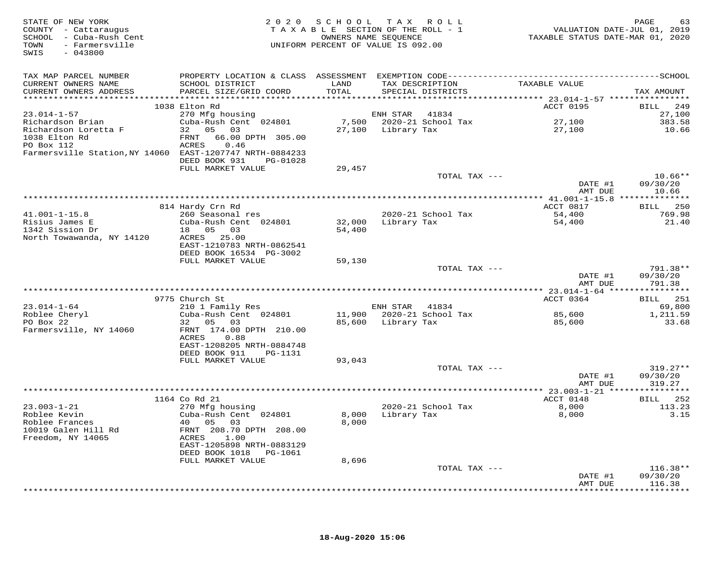| STATE OF NEW YORK<br>COUNTY - Cattaraugus<br>SCHOOL - Cattaraugus<br>TOWN - Cuba-Rush Cent<br>TOWN - Farmersville<br>SWIS<br>$-043800$ |                                                                                              |               | 2020 SCHOOL TAX ROLL<br>TAXABLE SECTION OF THE ROLL - 1<br>OWNERS NAME SEQUENCE<br>UNIFORM PERCENT OF VALUE IS 092.00 | VALUATION DATE-JUL 01, 2019<br>TAXABLE STATUS DATE-MAR 01, 2020 | PAGE<br>63             |
|----------------------------------------------------------------------------------------------------------------------------------------|----------------------------------------------------------------------------------------------|---------------|-----------------------------------------------------------------------------------------------------------------------|-----------------------------------------------------------------|------------------------|
| TAX MAP PARCEL NUMBER                                                                                                                  | PROPERTY LOCATION & CLASS ASSESSMENT EXEMPTION CODE-----------------------------------SCHOOL |               |                                                                                                                       |                                                                 |                        |
| CURRENT OWNERS NAME<br>CURRENT OWNERS ADDRESS                                                                                          | SCHOOL DISTRICT<br>PARCEL SIZE/GRID COORD                                                    | LAND<br>TOTAL | TAX DESCRIPTION<br>SPECIAL DISTRICTS                                                                                  | TAXABLE VALUE                                                   | TAX AMOUNT             |
|                                                                                                                                        | 1038 Elton Rd                                                                                |               |                                                                                                                       | ACCT 0195                                                       | BILL 249               |
| $23.014 - 1 - 57$                                                                                                                      | 270 Mfg housing                                                                              |               | ENH STAR 41834                                                                                                        |                                                                 | 27,100                 |
| Richardson Brian                                                                                                                       | Cuba-Rush Cent 024801                                                                        |               | 7,500 2020-21 School Tax                                                                                              | 27,100                                                          | 383.58                 |
| Richardson Loretta F<br>1038 Elton Rd                                                                                                  | 32 05 03<br>FRNT 66.00 DPTH 305.00                                                           |               | 27,100 Library Tax                                                                                                    | 27,100                                                          | 10.66                  |
| PO Box 112<br>Farmersville Station, NY 14060 EAST-1207747 NRTH-0884233                                                                 | ACRES 0.46                                                                                   |               |                                                                                                                       |                                                                 |                        |
|                                                                                                                                        | DEED BOOK 931 PG-01028<br>FULL MARKET VALUE                                                  | 29,457        |                                                                                                                       |                                                                 |                        |
|                                                                                                                                        |                                                                                              |               | TOTAL TAX ---                                                                                                         |                                                                 | $10.66**$              |
|                                                                                                                                        |                                                                                              |               |                                                                                                                       | DATE #1<br>AMT DUE                                              | 09/30/20<br>10.66      |
|                                                                                                                                        |                                                                                              |               |                                                                                                                       |                                                                 |                        |
| $41.001 - 1 - 15.8$                                                                                                                    | 814 Hardy Crn Rd<br>260 Seasonal res                                                         |               | 2020-21 School Tax                                                                                                    | ACCT 0817<br>54,400                                             | BILL 250<br>769.98     |
| 41.001-1-10.00<br>Risius James E<br>Caraion Dr                                                                                         | Cuba-Rush Cent 024801                                                                        | 32,000        | Library Tax                                                                                                           | 54,400                                                          | 21.40                  |
|                                                                                                                                        | 18  05  03                                                                                   | 54,400        |                                                                                                                       |                                                                 |                        |
| North Towawanda, NY 14120                                                                                                              | ACRES 25.00                                                                                  |               |                                                                                                                       |                                                                 |                        |
|                                                                                                                                        | EAST-1210783 NRTH-0862541<br>DEED BOOK 16534 PG-3002                                         |               |                                                                                                                       |                                                                 |                        |
|                                                                                                                                        | FULL MARKET VALUE                                                                            | 59,130        |                                                                                                                       |                                                                 |                        |
|                                                                                                                                        |                                                                                              |               | TOTAL TAX ---                                                                                                         |                                                                 | 791.38**               |
|                                                                                                                                        |                                                                                              |               |                                                                                                                       | DATE #1<br>AMT DUE                                              | 09/30/20<br>791.38     |
|                                                                                                                                        |                                                                                              |               |                                                                                                                       |                                                                 |                        |
| $23.014 - 1 - 64$                                                                                                                      | 9775 Church St<br>210 1 Family Res                                                           |               | ENH STAR 41834                                                                                                        | ACCT 0364                                                       | BILL 251<br>69,800     |
| 23.011<br>Roblee Cheryl                                                                                                                | Cuba-Rush Cent 024801                                                                        |               |                                                                                                                       | 85,600                                                          | 1,211.59               |
|                                                                                                                                        | 32 05 03                                                                                     |               | 85,600 Library Tax                                                                                                    | 85,600                                                          | 33.68                  |
| Farmersville, NY 14060                                                                                                                 | FRNT 174.00 DPTH 210.00<br>ACRES<br>0.88                                                     |               |                                                                                                                       |                                                                 |                        |
|                                                                                                                                        | EAST-1208205 NRTH-0884748                                                                    |               |                                                                                                                       |                                                                 |                        |
|                                                                                                                                        | DEED BOOK 911 PG-1131<br>FULL MARKET VALUE                                                   | 93,043        |                                                                                                                       |                                                                 |                        |
|                                                                                                                                        |                                                                                              |               | TOTAL TAX ---                                                                                                         |                                                                 | 319.27**               |
|                                                                                                                                        |                                                                                              |               |                                                                                                                       | DATE #1                                                         | 09/30/20               |
|                                                                                                                                        |                                                                                              |               |                                                                                                                       | AMT DUE                                                         | 319.27                 |
|                                                                                                                                        | 1164 Co Rd 21                                                                                |               |                                                                                                                       | ACCT 0148                                                       | BILL 252               |
| $23.003 - 1 - 21$                                                                                                                      | 270 Mfg housing                                                                              |               | 2020-21 School Tax                                                                                                    |                                                                 | 113.23                 |
| Roblee Kevin<br>Roblee Kevin                                                                                                           | Cuba-Rush Cent 024801                                                                        |               | 8,000 Library Tax                                                                                                     | $8,000$<br>8,000<br>8,000                                       | 3.15                   |
| Roblee Frances                                                                                                                         | 40  05  03                                                                                   | 8,000         |                                                                                                                       |                                                                 |                        |
| 10019 Galen Hill Rd<br>Freedom, NY 14065                                                                                               | FRNT 208.70 DPTH 208.00<br>ACRES 1.00                                                        |               |                                                                                                                       |                                                                 |                        |
|                                                                                                                                        | EAST-1205898 NRTH-0883129                                                                    |               |                                                                                                                       |                                                                 |                        |
|                                                                                                                                        | DEED BOOK 1018    PG-1061                                                                    |               |                                                                                                                       |                                                                 |                        |
|                                                                                                                                        | FULL MARKET VALUE                                                                            | 8,696         |                                                                                                                       |                                                                 |                        |
|                                                                                                                                        |                                                                                              |               | TOTAL TAX ---                                                                                                         | DATE #1                                                         | $116.38**$<br>09/30/20 |
|                                                                                                                                        |                                                                                              |               |                                                                                                                       | AMT DUE                                                         | 116.38                 |
|                                                                                                                                        |                                                                                              |               |                                                                                                                       |                                                                 |                        |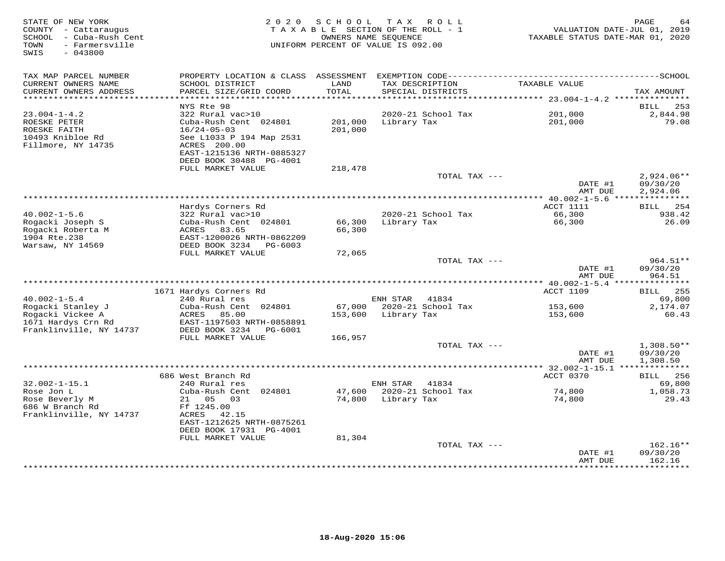| STATE OF NEW YORK<br>COUNTY - Cattaraugus<br>SCHOOL - Cuba-Rush Cent<br>TOWN<br>- Farmersville<br>SWIS<br>$-043800$ | 2 0 2 0                                                                                                               | SCHOOL             | T A X<br>R O L L<br>TAXABLE SECTION OF THE ROLL - 1<br>OWNERS NAME SEOUENCE<br>UNIFORM PERCENT OF VALUE IS 092.00 | VALUATION DATE-JUL 01, 2019<br>TAXABLE STATUS DATE-MAR 01, 2020 | PAGE<br>64                           |
|---------------------------------------------------------------------------------------------------------------------|-----------------------------------------------------------------------------------------------------------------------|--------------------|-------------------------------------------------------------------------------------------------------------------|-----------------------------------------------------------------|--------------------------------------|
| TAX MAP PARCEL NUMBER<br>CURRENT OWNERS NAME<br>CURRENT OWNERS ADDRESS                                              | PROPERTY LOCATION & CLASS ASSESSMENT<br>SCHOOL DISTRICT<br>PARCEL SIZE/GRID COORD                                     | LAND<br>TOTAL      | TAX DESCRIPTION<br>SPECIAL DISTRICTS                                                                              | TAXABLE VALUE                                                   | TAX AMOUNT                           |
| ***********************                                                                                             |                                                                                                                       |                    |                                                                                                                   |                                                                 |                                      |
| $23.004 - 1 - 4.2$                                                                                                  | NYS Rte 98<br>322 Rural vac>10                                                                                        |                    | 2020-21 School Tax                                                                                                | 201,000                                                         | 253<br>BILL<br>2,844.98              |
| ROESKE PETER<br>ROESKE FAITH<br>10493 Knibloe Rd<br>Fillmore, NY 14735                                              | Cuba-Rush Cent 024801<br>$16/24 - 05 - 03$<br>See L1033 P 194 Map 2531<br>ACRES 200.00<br>EAST-1215136 NRTH-0885327   | 201,000<br>201,000 | Library Tax                                                                                                       | 201,000                                                         | 79.08                                |
|                                                                                                                     | DEED BOOK 30488 PG-4001                                                                                               |                    |                                                                                                                   |                                                                 |                                      |
|                                                                                                                     | FULL MARKET VALUE                                                                                                     | 218,478            | TOTAL TAX ---                                                                                                     | DATE #1                                                         | $2,924.06**$<br>09/30/20             |
|                                                                                                                     |                                                                                                                       |                    |                                                                                                                   | AMT DUE                                                         | 2,924.06                             |
|                                                                                                                     | Hardys Corners Rd                                                                                                     |                    |                                                                                                                   | ACCT 1111                                                       | BILL 254                             |
| $40.002 - 1 - 5.6$<br>Rogacki Joseph S<br>Rogacki Roberta M<br>1904 Rte.238                                         | 322 Rural vac>10<br>Cuba-Rush Cent 024801<br>83.65<br>ACRES<br>EAST-1200026 NRTH-0862209                              | 66,300<br>66,300   | 2020-21 School Tax<br>Library Tax                                                                                 | 66,300<br>66,300                                                | 938.42<br>26.09                      |
| Warsaw, NY 14569                                                                                                    | DEED BOOK 3234<br>PG-6003                                                                                             |                    |                                                                                                                   |                                                                 |                                      |
|                                                                                                                     | FULL MARKET VALUE                                                                                                     | 72,065             | TOTAL TAX ---                                                                                                     |                                                                 | 964.51**                             |
|                                                                                                                     |                                                                                                                       |                    |                                                                                                                   | DATE #1<br>AMT DUE                                              | 09/30/20<br>964.51                   |
|                                                                                                                     |                                                                                                                       |                    |                                                                                                                   |                                                                 |                                      |
| $40.002 - 1 - 5.4$                                                                                                  | 1671 Hardys Corners Rd<br>240 Rural res                                                                               |                    | ENH STAR<br>41834                                                                                                 | <b>ACCT 1109</b>                                                | <b>BILL</b> 255<br>69,800            |
| Rogacki Stanley J                                                                                                   | Cuba-Rush Cent 024801                                                                                                 |                    | 67,000 2020-21 School Tax                                                                                         | 153,600                                                         | 2,174.07                             |
| Rogacki Vickee A<br>1671 Hardys Crn Rd<br>Franklinville, NY 14737                                                   | ACRES<br>85.00<br>EAST-1197503 NRTH-0858891<br>DEED BOOK 3234<br>PG-6001                                              | 153,600            | Library Tax                                                                                                       | 153,600                                                         | 60.43                                |
|                                                                                                                     | FULL MARKET VALUE                                                                                                     | 166,957            |                                                                                                                   |                                                                 |                                      |
|                                                                                                                     |                                                                                                                       |                    | TOTAL TAX ---                                                                                                     | DATE #1<br>AMT DUE                                              | $1,308.50**$<br>09/30/20<br>1,308.50 |
|                                                                                                                     |                                                                                                                       |                    |                                                                                                                   |                                                                 |                                      |
| $32.002 - 1 - 15.1$                                                                                                 | 686 West Branch Rd<br>240 Rural res                                                                                   |                    | ENH STAR<br>41834                                                                                                 | ACCT 0370                                                       | <b>BILL</b> 256<br>69,800            |
| Rose Jon L                                                                                                          | Cuba-Rush Cent 024801                                                                                                 |                    | 47,600 2020-21 School Tax                                                                                         | 74,800                                                          | 1,058.73                             |
| Rose Beverly M<br>686 W Branch Rd<br>Franklinville, NY 14737                                                        | 21 05<br>03<br>Ff 1245.00<br>ACRES 42.15<br>EAST-1212625 NRTH-0875261<br>DEED BOOK 17931 PG-4001<br>FULL MARKET VALUE | 74,800<br>81,304   | Library Tax                                                                                                       | 74,800                                                          | 29.43                                |
|                                                                                                                     |                                                                                                                       |                    | TOTAL TAX ---                                                                                                     | DATE #1<br>AMT DUE                                              | $162.16**$<br>09/30/20<br>162.16     |
|                                                                                                                     | **********************************                                                                                    |                    |                                                                                                                   |                                                                 |                                      |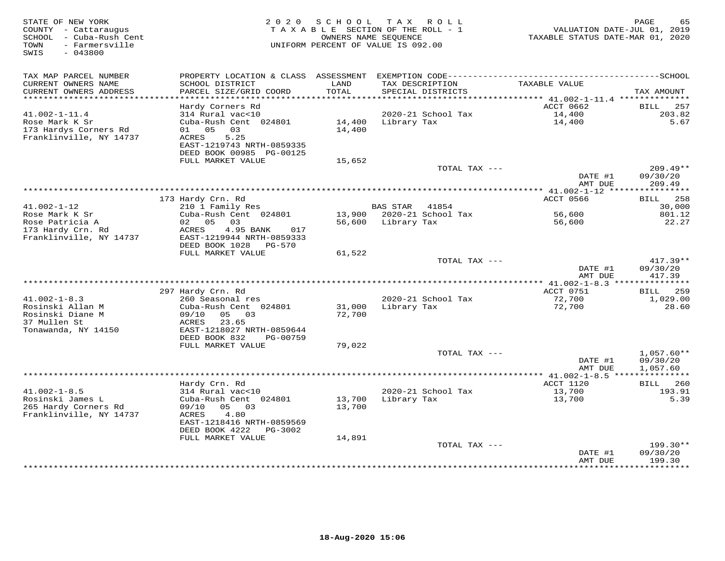| STATE OF NEW YORK<br>COUNTY - Cattaraugus<br>SCHOOL - Cuba-Rush Cent<br>- Farmersville<br>TOWN<br>SWIS<br>$-043800$ | 2 0 2 0                                                                                                                               | SCHOOL           | T A X<br>ROLL<br>TAXABLE SECTION OF THE ROLL - 1<br>OWNERS NAME SEQUENCE<br>UNIFORM PERCENT OF VALUE IS 092.00 | TAXABLE STATUS DATE-MAR 01, 2020         | PAGE<br>65<br>VALUATION DATE-JUL 01, 2019 |
|---------------------------------------------------------------------------------------------------------------------|---------------------------------------------------------------------------------------------------------------------------------------|------------------|----------------------------------------------------------------------------------------------------------------|------------------------------------------|-------------------------------------------|
| TAX MAP PARCEL NUMBER                                                                                               |                                                                                                                                       |                  |                                                                                                                |                                          |                                           |
| CURRENT OWNERS NAME<br>CURRENT OWNERS ADDRESS<br>***********************                                            | SCHOOL DISTRICT<br>PARCEL SIZE/GRID COORD<br>*************************                                                                | LAND<br>TOTAL    | TAX DESCRIPTION<br>SPECIAL DISTRICTS                                                                           | TAXABLE VALUE                            | TAX AMOUNT                                |
|                                                                                                                     | Hardy Corners Rd                                                                                                                      |                  |                                                                                                                | ACCT 0662                                | <b>BILL</b><br>257                        |
| $41.002 - 1 - 11.4$<br>Rose Mark K Sr<br>173 Hardys Corners Rd<br>Franklinville, NY 14737                           | 314 Rural vac<10<br>Cuba-Rush Cent 024801<br>05<br>01<br>03<br>5.25<br>ACRES<br>EAST-1219743 NRTH-0859335<br>DEED BOOK 00985 PG-00125 | 14,400<br>14,400 | 2020-21 School Tax<br>Library Tax                                                                              | 14,400<br>14,400                         | 203.82<br>5.67                            |
|                                                                                                                     | FULL MARKET VALUE                                                                                                                     | 15,652           |                                                                                                                |                                          |                                           |
|                                                                                                                     |                                                                                                                                       |                  | TOTAL TAX ---                                                                                                  | DATE #1                                  | $209.49**$<br>09/30/20                    |
|                                                                                                                     |                                                                                                                                       |                  |                                                                                                                | AMT DUE                                  | 209.49<br>* * * * * * * * * *             |
|                                                                                                                     | 173 Hardy Crn. Rd                                                                                                                     |                  |                                                                                                                | ********** 41.002-1-12 ****<br>ACCT 0566 | BILL 258                                  |
| $41.002 - 1 - 12$                                                                                                   | 210 1 Family Res                                                                                                                      |                  | <b>BAS STAR</b><br>41854                                                                                       |                                          | 30,000                                    |
| Rose Mark K Sr                                                                                                      | Cuba-Rush Cent 024801                                                                                                                 |                  | 13,900 2020-21 School Tax                                                                                      | 56,600                                   | 801.12                                    |
| Rose Patricia A<br>173 Hardy Crn. Rd<br>Franklinville, NY 14737                                                     | 02 05<br>03<br>4.95 BANK<br>ACRES<br>017<br>EAST-1219944 NRTH-0859333<br>DEED BOOK 1028<br><b>PG-570</b>                              | 56,600           | Library Tax                                                                                                    | 56,600                                   | 22.27                                     |
|                                                                                                                     | FULL MARKET VALUE                                                                                                                     | 61,522           |                                                                                                                |                                          |                                           |
|                                                                                                                     |                                                                                                                                       |                  | TOTAL TAX ---                                                                                                  | DATE #1<br>AMT DUE                       | $417.39**$<br>09/30/20<br>417.39          |
|                                                                                                                     |                                                                                                                                       |                  |                                                                                                                | ACCT 0751                                |                                           |
| $41.002 - 1 - 8.3$                                                                                                  | 297 Hardy Crn. Rd<br>260 Seasonal res                                                                                                 |                  | 2020-21 School Tax                                                                                             | 72,700                                   | 259<br>BILL<br>1,029.00                   |
| Rosinski Allan M<br>Rosinski Diane M<br>37 Mullen St<br>Tonawanda, NY 14150                                         | Cuba-Rush Cent 024801<br>09/10<br>05 03<br>23.65<br>ACRES<br>EAST-1218027 NRTH-0859644                                                | 31,000<br>72,700 | Library Tax                                                                                                    | 72,700                                   | 28.60                                     |
|                                                                                                                     | DEED BOOK 832<br>PG-00759                                                                                                             |                  |                                                                                                                |                                          |                                           |
|                                                                                                                     | FULL MARKET VALUE                                                                                                                     | 79,022           | TOTAL TAX ---                                                                                                  |                                          | $1,057.60**$                              |
|                                                                                                                     |                                                                                                                                       |                  |                                                                                                                | DATE #1<br>AMT DUE                       | 09/30/20<br>1,057.60                      |
|                                                                                                                     |                                                                                                                                       |                  |                                                                                                                |                                          |                                           |
|                                                                                                                     | Hardy Crn. Rd                                                                                                                         |                  |                                                                                                                | ACCT 1120                                | 260<br><b>BILL</b>                        |
| $41.002 - 1 - 8.5$<br>Rosinski James L                                                                              | 314 Rural vac<10<br>Cuba-Rush Cent 024801                                                                                             | 13,700           | 2020-21 School Tax<br>Library Tax                                                                              | 13,700<br>13,700                         | 193.91<br>5.39                            |
| 265 Hardy Corners Rd<br>Franklinville, NY 14737                                                                     | 09/10<br>05 03<br>4.80<br>ACRES<br>EAST-1218416 NRTH-0859569<br>DEED BOOK 4222<br>PG-3002<br>FULL MARKET VALUE                        | 13,700<br>14,891 |                                                                                                                |                                          |                                           |
|                                                                                                                     |                                                                                                                                       |                  | TOTAL TAX ---                                                                                                  |                                          | 199.30**                                  |
|                                                                                                                     |                                                                                                                                       |                  |                                                                                                                | DATE #1<br>AMT DUE<br>************       | 09/30/20<br>199.30<br>* * * * * * * * * * |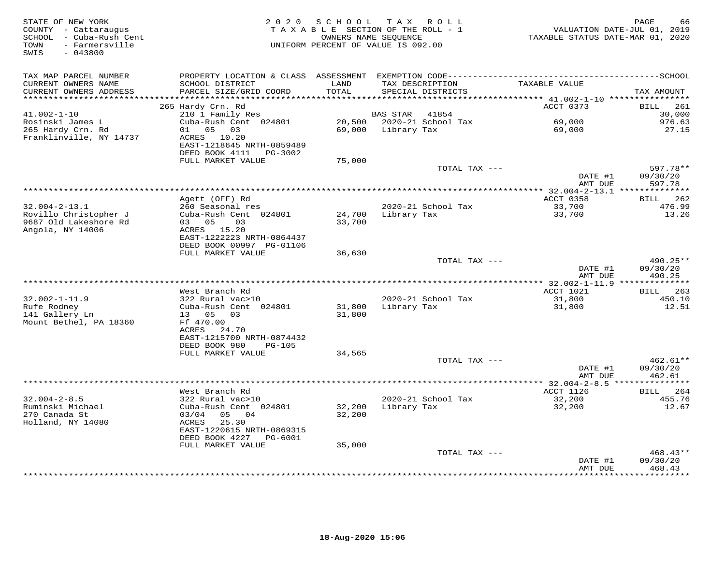| STATE OF NEW YORK<br>COUNTY - Cattaraugus<br>SCHOOL - Cuba-Rush Cent<br>- Farmersville<br>TOWN<br>$-043800$<br>SWIS | 2020                                                                                    | SCHOOL              | TAX ROLL<br>TAXABLE SECTION OF THE ROLL - 1<br>OWNERS NAME SEOUENCE<br>UNIFORM PERCENT OF VALUE IS 092.00 | TAXABLE STATUS DATE-MAR 01, 2020     | PAGE<br>66<br>VALUATION DATE-JUL 01, 2019 |
|---------------------------------------------------------------------------------------------------------------------|-----------------------------------------------------------------------------------------|---------------------|-----------------------------------------------------------------------------------------------------------|--------------------------------------|-------------------------------------------|
| TAX MAP PARCEL NUMBER                                                                                               |                                                                                         |                     |                                                                                                           |                                      |                                           |
| CURRENT OWNERS NAME<br>CURRENT OWNERS ADDRESS                                                                       | SCHOOL DISTRICT<br>PARCEL SIZE/GRID COORD                                               | LAND<br>TOTAL       | TAX DESCRIPTION<br>SPECIAL DISTRICTS                                                                      | TAXABLE VALUE                        | TAX AMOUNT                                |
| ********************                                                                                                |                                                                                         | * * * * * * * * * * |                                                                                                           | ******* 41.002-1-10 **************** |                                           |
|                                                                                                                     | 265 Hardy Crn. Rd                                                                       |                     |                                                                                                           | ACCT 0373                            | 261<br>BILL                               |
| $41.002 - 1 - 10$                                                                                                   | 210 1 Family Res                                                                        |                     | <b>BAS STAR</b><br>41854                                                                                  |                                      | 30,000                                    |
| Rosinski James L                                                                                                    | Cuba-Rush Cent 024801                                                                   |                     | 20,500 2020-21 School Tax                                                                                 | 69,000                               | 976.63                                    |
| 265 Hardy Crn. Rd<br>Franklinville, NY 14737                                                                        | 05<br>03<br>01<br>ACRES<br>10.20<br>EAST-1218645 NRTH-0859489<br>DEED BOOK 4111 PG-3002 | 69,000              | Library Tax                                                                                               | 69,000                               | 27.15                                     |
|                                                                                                                     | FULL MARKET VALUE                                                                       | 75,000              |                                                                                                           |                                      |                                           |
|                                                                                                                     |                                                                                         |                     | TOTAL TAX ---                                                                                             |                                      | 597.78**                                  |
|                                                                                                                     |                                                                                         |                     |                                                                                                           | DATE #1<br>AMT DUE                   | 09/30/20<br>597.78                        |
|                                                                                                                     |                                                                                         |                     | ******************************                                                                            | $*$ 32.004-2-13.1 ***                | ***********                               |
|                                                                                                                     | Agett (OFF) Rd                                                                          |                     |                                                                                                           | ACCT 0358                            | 262<br>BILL                               |
| $32.004 - 2 - 13.1$                                                                                                 | 260 Seasonal res                                                                        |                     | 2020-21 School Tax                                                                                        | 33,700                               | 476.99                                    |
| Rovillo Christopher J<br>9687 Old Lakeshore Rd<br>Angola, NY 14006                                                  | Cuba-Rush Cent 024801<br>03 05<br>03<br>ACRES 15.20                                     | 24,700<br>33,700    | Library Tax                                                                                               | 33,700                               | 13.26                                     |
|                                                                                                                     | EAST-1222223 NRTH-0864437<br>DEED BOOK 00997 PG-01106<br>FULL MARKET VALUE              | 36,630              |                                                                                                           |                                      |                                           |
|                                                                                                                     |                                                                                         |                     | TOTAL TAX ---                                                                                             |                                      | $490.25**$                                |
| ***********************                                                                                             |                                                                                         |                     |                                                                                                           | DATE #1<br>AMT DUE                   | 09/30/20<br>490.25                        |
|                                                                                                                     | West Branch Rd                                                                          |                     |                                                                                                           |                                      |                                           |
| $32.002 - 1 - 11.9$                                                                                                 | 322 Rural vac>10                                                                        |                     | 2020-21 School Tax                                                                                        | ACCT 1021<br>31,800                  | <b>BILL</b><br>263<br>450.10              |
| Rufe Rodney<br>141 Gallery Ln<br>Mount Bethel, PA 18360                                                             | Cuba-Rush Cent 024801<br>13 05 03<br>Ff 470.00                                          | 31,800<br>31,800    | Library Tax                                                                                               | 31,800                               | 12.51                                     |
|                                                                                                                     | ACRES 24.70<br>EAST-1215700 NRTH-0874432<br>DEED BOOK 980<br><b>PG-105</b>              |                     |                                                                                                           |                                      |                                           |
|                                                                                                                     | FULL MARKET VALUE                                                                       | 34,565              |                                                                                                           |                                      |                                           |
|                                                                                                                     |                                                                                         |                     | TOTAL TAX ---                                                                                             | DATE #1<br>AMT DUE                   | 462.61**<br>09/30/20<br>462.61            |
|                                                                                                                     |                                                                                         |                     |                                                                                                           |                                      |                                           |
|                                                                                                                     | West Branch Rd                                                                          |                     |                                                                                                           | ACCT 1126                            | BILL<br>264                               |
| $32.004 - 2 - 8.5$                                                                                                  | 322 Rural vac>10                                                                        |                     | 2020-21 School Tax                                                                                        | 32,200                               | 455.76                                    |
| Ruminski Michael<br>270 Canada St<br>Holland, NY 14080                                                              | Cuba-Rush Cent 024801<br>03/04<br>05<br>04<br>ACRES<br>25.30                            | 32,200<br>32,200    | Library Tax                                                                                               | 32,200                               | 12.67                                     |
|                                                                                                                     | EAST-1220615 NRTH-0869315<br>DEED BOOK 4227<br>PG-6001                                  |                     |                                                                                                           |                                      |                                           |
|                                                                                                                     | FULL MARKET VALUE                                                                       | 35,000              |                                                                                                           |                                      |                                           |
|                                                                                                                     |                                                                                         |                     | TOTAL TAX ---                                                                                             | DATE #1<br>AMT DUE                   | 468.43**<br>09/30/20<br>468.43            |
|                                                                                                                     |                                                                                         |                     |                                                                                                           |                                      | * * * * * * * * *                         |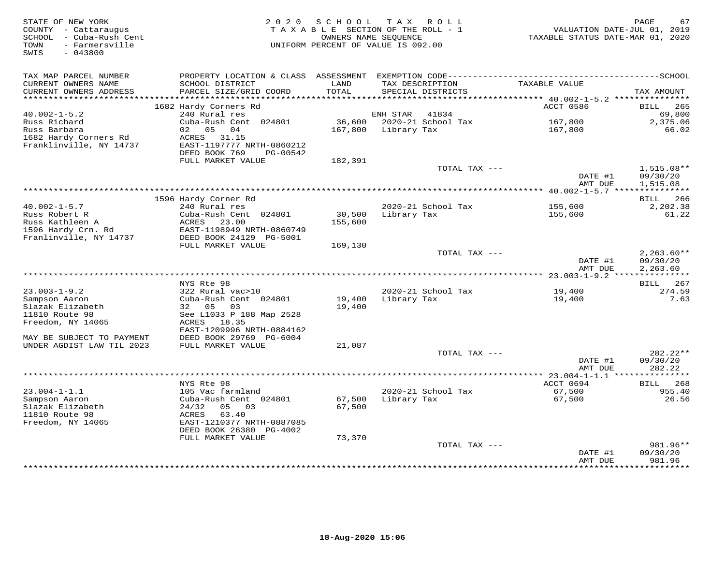| STATE OF NEW YORK<br>COUNTY - Cattaraugus<br>SCHOOL - Cuba-Rush Cent<br>- Farmersville<br>TOWN<br>$-043800$<br>SWIS | 2 0 2 0                                                                 | SCHOOL<br>TAXABLE SECTION OF THE ROLL - 1<br>OWNERS NAME SEOUENCE<br>UNIFORM PERCENT OF VALUE IS 092.00 |                 | TAX ROLL           | VALUATION DATE-JUL 01, 2019<br>TAXABLE STATUS DATE-MAR 01, 2020 | PAGE<br>67                           |
|---------------------------------------------------------------------------------------------------------------------|-------------------------------------------------------------------------|---------------------------------------------------------------------------------------------------------|-----------------|--------------------|-----------------------------------------------------------------|--------------------------------------|
| TAX MAP PARCEL NUMBER                                                                                               | PROPERTY LOCATION & CLASS ASSESSMENT                                    |                                                                                                         |                 |                    |                                                                 |                                      |
| CURRENT OWNERS NAME<br>CURRENT OWNERS ADDRESS<br>**********************                                             | SCHOOL DISTRICT<br>PARCEL SIZE/GRID COORD<br>************************** | LAND<br>TOTAL                                                                                           | TAX DESCRIPTION | SPECIAL DISTRICTS  | TAXABLE VALUE                                                   | TAX AMOUNT                           |
|                                                                                                                     | 1682 Hardy Corners Rd                                                   |                                                                                                         |                 |                    | ACCT 0586                                                       | 265<br><b>BILL</b>                   |
| $40.002 - 1 - 5.2$                                                                                                  | 240 Rural res                                                           |                                                                                                         | ENH STAR        | 41834              |                                                                 | 69,800                               |
| Russ Richard                                                                                                        | Cuba-Rush Cent 024801                                                   | 36,600                                                                                                  |                 | 2020-21 School Tax | 167,800                                                         | 2,375.06                             |
| Russ Barbara                                                                                                        | 02 05<br>04                                                             | 167,800                                                                                                 | Library Tax     |                    | 167,800                                                         | 66.02                                |
| 1682 Hardy Corners Rd                                                                                               | ACRES<br>31.15                                                          |                                                                                                         |                 |                    |                                                                 |                                      |
| Franklinville, NY 14737                                                                                             | EAST-1197777 NRTH-0860212<br>DEED BOOK 769<br>PG-00542                  |                                                                                                         |                 |                    |                                                                 |                                      |
|                                                                                                                     | FULL MARKET VALUE                                                       | 182,391                                                                                                 |                 |                    |                                                                 |                                      |
|                                                                                                                     |                                                                         |                                                                                                         |                 | TOTAL TAX ---      |                                                                 | $1,515.08**$                         |
|                                                                                                                     |                                                                         |                                                                                                         |                 |                    | DATE #1                                                         | 09/30/20                             |
|                                                                                                                     |                                                                         |                                                                                                         |                 |                    | AMT DUE                                                         | 1,515.08                             |
|                                                                                                                     |                                                                         |                                                                                                         |                 |                    | ********** 40.002-1-5.7 ****                                    |                                      |
| $40.002 - 1 - 5.7$                                                                                                  | 1596 Hardy Corner Rd<br>240 Rural res                                   |                                                                                                         |                 | 2020-21 School Tax | 155,600                                                         | 266<br>BILL                          |
| Russ Robert R                                                                                                       | Cuba-Rush Cent 024801                                                   | 30,500                                                                                                  | Library Tax     |                    | 155,600                                                         | 2,202.38<br>61.22                    |
| Russ Kathleen A                                                                                                     | ACRES<br>23.00                                                          | 155,600                                                                                                 |                 |                    |                                                                 |                                      |
| 1596 Hardy Crn. Rd                                                                                                  | EAST-1198949 NRTH-0860749                                               |                                                                                                         |                 |                    |                                                                 |                                      |
| Franlinville, NY 14737                                                                                              | DEED BOOK 24129 PG-5001                                                 |                                                                                                         |                 |                    |                                                                 |                                      |
|                                                                                                                     | FULL MARKET VALUE                                                       | 169,130                                                                                                 |                 |                    |                                                                 |                                      |
|                                                                                                                     |                                                                         |                                                                                                         |                 | TOTAL TAX ---      | DATE #1<br>AMT DUE                                              | $2,263.60**$<br>09/30/20<br>2,263.60 |
|                                                                                                                     |                                                                         |                                                                                                         |                 |                    |                                                                 |                                      |
|                                                                                                                     | NYS Rte 98                                                              |                                                                                                         |                 |                    |                                                                 | 267<br>BILL                          |
| $23.003 - 1 - 9.2$                                                                                                  | 322 Rural vac>10                                                        |                                                                                                         |                 | 2020-21 School Tax | 19,400                                                          | 274.59                               |
| Sampson Aaron<br>Slazak Elizabeth                                                                                   | Cuba-Rush Cent 024801<br>32 05<br>03                                    | 19,400<br>19,400                                                                                        | Library Tax     |                    | 19,400                                                          | 7.63                                 |
| 11810 Route 98                                                                                                      | See L1033 P 188 Map 2528                                                |                                                                                                         |                 |                    |                                                                 |                                      |
| Freedom, NY 14065                                                                                                   | ACRES 18.35                                                             |                                                                                                         |                 |                    |                                                                 |                                      |
|                                                                                                                     | EAST-1209996 NRTH-0884162                                               |                                                                                                         |                 |                    |                                                                 |                                      |
| MAY BE SUBJECT TO PAYMENT                                                                                           | DEED BOOK 29769 PG-6004                                                 |                                                                                                         |                 |                    |                                                                 |                                      |
| UNDER AGDIST LAW TIL 2023                                                                                           | FULL MARKET VALUE                                                       | 21,087                                                                                                  |                 |                    |                                                                 |                                      |
|                                                                                                                     |                                                                         |                                                                                                         |                 | TOTAL TAX ---      | DATE #1                                                         | 282.22**<br>09/30/20                 |
|                                                                                                                     |                                                                         |                                                                                                         |                 |                    | AMT DUE                                                         | 282.22                               |
| **********************                                                                                              |                                                                         |                                                                                                         |                 |                    |                                                                 |                                      |
|                                                                                                                     | NYS Rte 98                                                              |                                                                                                         |                 |                    | ACCT 0694                                                       | 268<br>BILL                          |
| $23.004 - 1 - 1.1$                                                                                                  | 105 Vac farmland                                                        |                                                                                                         |                 | 2020-21 School Tax | 67,500                                                          | 955.40                               |
| Sampson Aaron                                                                                                       | Cuba-Rush Cent 024801                                                   | 67,500                                                                                                  | Library Tax     |                    | 67,500                                                          | 26.56                                |
| Slazak Elizabeth<br>11810 Route 98                                                                                  | 24/32<br>05<br>03<br>63.40<br>ACRES                                     | 67,500                                                                                                  |                 |                    |                                                                 |                                      |
| Freedom, NY 14065                                                                                                   | EAST-1210377 NRTH-0887085                                               |                                                                                                         |                 |                    |                                                                 |                                      |
|                                                                                                                     | DEED BOOK 26380 PG-4002                                                 |                                                                                                         |                 |                    |                                                                 |                                      |
|                                                                                                                     | FULL MARKET VALUE                                                       | 73,370                                                                                                  |                 |                    |                                                                 |                                      |
|                                                                                                                     |                                                                         |                                                                                                         |                 | TOTAL TAX ---      |                                                                 | 981.96**                             |
|                                                                                                                     |                                                                         |                                                                                                         |                 |                    | DATE #1                                                         | 09/30/20                             |
|                                                                                                                     |                                                                         |                                                                                                         |                 |                    | AMT DUE<br>* * * * * * * * * * *                                | 981.96<br>.                          |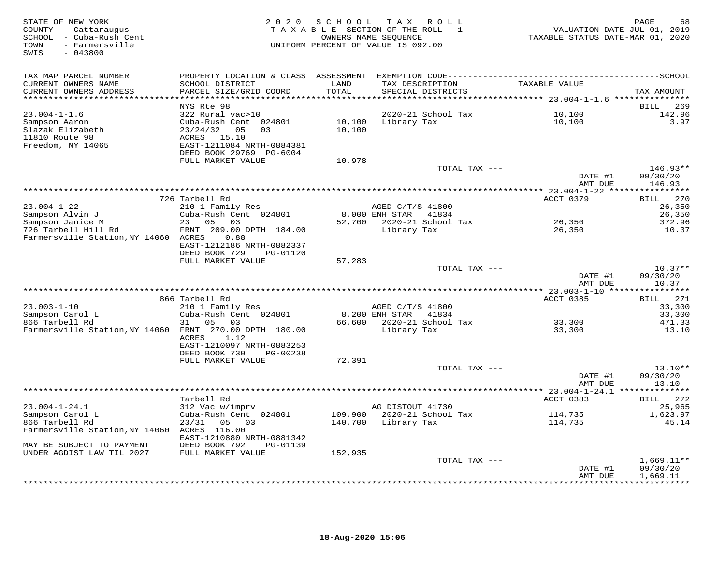| STATE OF NEW YORK<br>COUNTY - Cattaraugus<br>SCHOOL - Cuba-Rush Cent<br>- Farmersville<br>TOWN<br>SWIS<br>$-043800$ | 2 0 2 0                                                                                                                                  | SCHOOL           | T A X<br>R O L L<br>TAXABLE SECTION OF THE ROLL - 1<br>OWNERS NAME SEQUENCE<br>UNIFORM PERCENT OF VALUE IS 092.00 | VALUATION DATE-JUL 01, 2019<br>TAXABLE STATUS DATE-MAR 01, 2020 | PAGE<br>68             |
|---------------------------------------------------------------------------------------------------------------------|------------------------------------------------------------------------------------------------------------------------------------------|------------------|-------------------------------------------------------------------------------------------------------------------|-----------------------------------------------------------------|------------------------|
| TAX MAP PARCEL NUMBER<br>CURRENT OWNERS NAME<br>CURRENT OWNERS ADDRESS                                              | PROPERTY LOCATION & CLASS ASSESSMENT<br>SCHOOL DISTRICT<br>PARCEL SIZE/GRID COORD                                                        | LAND<br>TOTAL    | TAX DESCRIPTION<br>SPECIAL DISTRICTS                                                                              | TAXABLE VALUE                                                   | TAX AMOUNT             |
| **********************                                                                                              | ************************                                                                                                                 | ***********      |                                                                                                                   |                                                                 |                        |
|                                                                                                                     | NYS Rte 98                                                                                                                               |                  |                                                                                                                   |                                                                 | BILL<br>269            |
| $23.004 - 1 - 1.6$<br>Sampson Aaron<br>Slazak Elizabeth<br>11810 Route 98<br>Freedom, NY 14065                      | 322 Rural vac>10<br>Cuba-Rush Cent 024801<br>23/24/32<br>05<br>03<br>ACRES 15.10<br>EAST-1211084 NRTH-0884381<br>DEED BOOK 29769 PG-6004 | 10,100<br>10,100 | 2020-21 School Tax<br>Library Tax                                                                                 | 10,100<br>10,100                                                | 142.96<br>3.97         |
|                                                                                                                     | FULL MARKET VALUE                                                                                                                        | 10,978           |                                                                                                                   |                                                                 |                        |
|                                                                                                                     |                                                                                                                                          |                  | TOTAL TAX ---                                                                                                     | DATE #1                                                         | $146.93**$<br>09/30/20 |
|                                                                                                                     |                                                                                                                                          |                  |                                                                                                                   | AMT DUE                                                         | 146.93                 |
|                                                                                                                     |                                                                                                                                          |                  |                                                                                                                   |                                                                 |                        |
| $23.004 - 1 - 22$                                                                                                   | 726 Tarbell Rd<br>210 1 Family Res                                                                                                       |                  | AGED C/T/S 41800                                                                                                  | ACCT 0379                                                       | 270<br>BILL<br>26,350  |
| Sampson Alvin J                                                                                                     | Cuba-Rush Cent 024801                                                                                                                    |                  | 8,000 ENH STAR 41834                                                                                              |                                                                 | 26,350                 |
| Sampson Janice M<br>726 Tarbell Hill Rd<br>Farmersville Station, NY 14060 ACRES                                     | 23 05<br>03<br>FRNT 209.00 DPTH 184.00<br>0.88<br>EAST-1212186 NRTH-0882337                                                              | 52,700           | 2020-21 School Tax<br>Library Tax                                                                                 | 26,350<br>26,350                                                | 372.96<br>10.37        |
|                                                                                                                     | DEED BOOK 729<br>PG-01120                                                                                                                |                  |                                                                                                                   |                                                                 |                        |
|                                                                                                                     | FULL MARKET VALUE                                                                                                                        | 57,283           |                                                                                                                   |                                                                 |                        |
|                                                                                                                     |                                                                                                                                          |                  | TOTAL TAX ---                                                                                                     | DATE #1                                                         | $10.37**$<br>09/30/20  |
|                                                                                                                     |                                                                                                                                          |                  |                                                                                                                   | AMT DUE                                                         | 10.37                  |
|                                                                                                                     | 866 Tarbell Rd                                                                                                                           |                  |                                                                                                                   | ACCT 0385                                                       | 271<br><b>BILL</b>     |
| $23.003 - 1 - 10$                                                                                                   | 210 1 Family Res                                                                                                                         |                  | AGED C/T/S 41800                                                                                                  |                                                                 | 33,300                 |
| Sampson Carol L                                                                                                     | Cuba-Rush Cent 024801                                                                                                                    |                  | 8,200 ENH STAR<br>41834                                                                                           |                                                                 | 33,300                 |
| 866 Tarbell Rd                                                                                                      | 31<br>05<br>03                                                                                                                           | 66,600           | 2020-21 School Tax                                                                                                | 33,300                                                          | 471.33                 |
| Farmersville Station, NY 14060 FRNT 270.00 DPTH 180.00                                                              | 1.12<br>ACRES<br>EAST-1210097 NRTH-0883253                                                                                               |                  | Library Tax                                                                                                       | 33,300                                                          | 13.10                  |
|                                                                                                                     | DEED BOOK 730<br>PG-00238                                                                                                                |                  |                                                                                                                   |                                                                 |                        |
|                                                                                                                     | FULL MARKET VALUE                                                                                                                        | 72,391           | TOTAL TAX ---                                                                                                     |                                                                 | $13.10**$              |
|                                                                                                                     |                                                                                                                                          |                  |                                                                                                                   | DATE #1<br>AMT DUE                                              | 09/30/20<br>13.10      |
|                                                                                                                     |                                                                                                                                          |                  |                                                                                                                   |                                                                 |                        |
|                                                                                                                     | Tarbell Rd                                                                                                                               |                  |                                                                                                                   | ACCT 0383                                                       | 272<br>BILL            |
| $23.004 - 1 - 24.1$<br>Sampson Carol L                                                                              | 312 Vac w/imprv<br>Cuba-Rush Cent 024801                                                                                                 | 109,900          | AG DISTOUT 41730<br>2020-21 School Tax                                                                            | 114,735                                                         | 25,965<br>1,623.97     |
| 866 Tarbell Rd<br>Farmersville Station, NY 14060 ACRES 116.00                                                       | 23/31<br>05<br>03                                                                                                                        | 140,700          | Library Tax                                                                                                       | 114,735                                                         | 45.14                  |
| MAY BE SUBJECT TO PAYMENT                                                                                           | EAST-1210880 NRTH-0881342<br>DEED BOOK 792<br>PG-01139                                                                                   |                  |                                                                                                                   |                                                                 |                        |
| UNDER AGDIST LAW TIL 2027                                                                                           | FULL MARKET VALUE                                                                                                                        | 152,935          |                                                                                                                   |                                                                 |                        |
|                                                                                                                     |                                                                                                                                          |                  | TOTAL TAX ---                                                                                                     |                                                                 | $1,669.11**$           |
|                                                                                                                     |                                                                                                                                          |                  |                                                                                                                   | DATE #1<br>AMT DUE                                              | 09/30/20<br>1,669.11   |
|                                                                                                                     |                                                                                                                                          |                  |                                                                                                                   |                                                                 | .                      |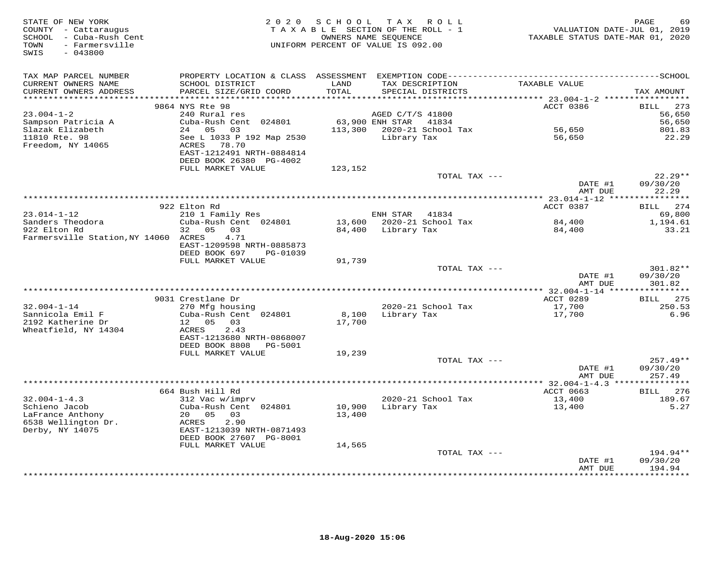| STATE OF NEW YORK<br>COUNTY - Cattaraugus<br>SCHOOL - Cuba-Rush Cent<br>- Farmersville<br>TOWN<br>$-043800$<br>SWIS |                                                                          | 2020 SCHOOL   | TAX ROLL<br>TAXABLE SECTION OF THE ROLL - 1<br>OWNERS NAME SEQUENCE<br>UNIFORM PERCENT OF VALUE IS 092.00 | VALUATION DATE-JUL 01, 2019<br>TAXABLE STATUS DATE-MAR 01, 2020 | 69<br>PAGE            |
|---------------------------------------------------------------------------------------------------------------------|--------------------------------------------------------------------------|---------------|-----------------------------------------------------------------------------------------------------------|-----------------------------------------------------------------|-----------------------|
| TAX MAP PARCEL NUMBER                                                                                               |                                                                          |               |                                                                                                           |                                                                 |                       |
| CURRENT OWNERS NAME<br>CURRENT OWNERS ADDRESS<br>***********************                                            | SCHOOL DISTRICT<br>PARCEL SIZE/GRID COORD                                | LAND<br>TOTAL | TAX DESCRIPTION<br>SPECIAL DISTRICTS                                                                      | TAXABLE VALUE                                                   | TAX AMOUNT            |
|                                                                                                                     | 9864 NYS Rte 98                                                          |               |                                                                                                           | ACCT 0386                                                       | 273<br>BILL           |
| $23.004 - 1 - 2$                                                                                                    | 240 Rural res                                                            |               | AGED C/T/S 41800                                                                                          |                                                                 | 56,650                |
| Sampson Patricia A                                                                                                  | Cuba-Rush Cent 024801                                                    |               | 63,900 ENH STAR 41834                                                                                     |                                                                 | 56,650                |
| Slazak Elizabeth                                                                                                    | 24 05 03                                                                 |               | 113,300 2020-21 School Tax                                                                                | 56,650                                                          | 801.83                |
| 11810 Rte. 98<br>Freedom, NY 14065                                                                                  | See L 1033 P 192 Map 2530<br>ACRES<br>78.70<br>EAST-1212491 NRTH-0884814 |               | Library Tax                                                                                               | 56,650                                                          | 22.29                 |
|                                                                                                                     | DEED BOOK 26380 PG-4002<br>FULL MARKET VALUE                             | 123,152       |                                                                                                           |                                                                 |                       |
|                                                                                                                     |                                                                          |               | TOTAL TAX ---                                                                                             |                                                                 | $22.29**$             |
|                                                                                                                     |                                                                          |               |                                                                                                           | DATE #1<br>AMT DUE                                              | 09/30/20<br>22.29     |
|                                                                                                                     |                                                                          |               |                                                                                                           |                                                                 |                       |
| $23.014 - 1 - 12$                                                                                                   | 922 Elton Rd<br>210 1 Family Res                                         |               | ENH STAR 41834                                                                                            | ACCT 0387                                                       | 274<br>BILL<br>69,800 |
| Sanders Theodora                                                                                                    | Cuba-Rush Cent 024801                                                    | 13,600        | 2020-21 School Tax                                                                                        | 84,400                                                          | 1,194.61              |
| 922 Elton Rd                                                                                                        | 32 05<br>03                                                              | 84,400        | Library Tax                                                                                               | 84,400                                                          | 33.21                 |
| Farmersville Station, NY 14060 ACRES                                                                                | 4.71                                                                     |               |                                                                                                           |                                                                 |                       |
|                                                                                                                     | EAST-1209598 NRTH-0885873                                                |               |                                                                                                           |                                                                 |                       |
|                                                                                                                     | DEED BOOK 697<br>PG-01039                                                |               |                                                                                                           |                                                                 |                       |
|                                                                                                                     | FULL MARKET VALUE                                                        | 91,739        |                                                                                                           |                                                                 |                       |
|                                                                                                                     |                                                                          |               | TOTAL TAX ---                                                                                             | DATE #1                                                         | 301.82**<br>09/30/20  |
|                                                                                                                     |                                                                          |               |                                                                                                           | AMT DUE                                                         | 301.82                |
|                                                                                                                     |                                                                          |               |                                                                                                           |                                                                 |                       |
|                                                                                                                     | 9031 Crestlane Dr                                                        |               |                                                                                                           | ACCT 0289                                                       | BILL 275              |
| $32.004 - 1 - 14$                                                                                                   | 270 Mfg housing                                                          |               | 2020-21 School Tax                                                                                        | 17,700                                                          | 250.53                |
| Sannicola Emil F                                                                                                    | Cuba-Rush Cent 024801                                                    | 8,100         | Library Tax                                                                                               | 17,700                                                          | 6.96                  |
| 2192 Katherine Dr                                                                                                   | 12  05  03                                                               | 17,700        |                                                                                                           |                                                                 |                       |
| Wheatfield, NY 14304                                                                                                | 2.43<br>ACRES<br>EAST-1213680 NRTH-0868007                               |               |                                                                                                           |                                                                 |                       |
|                                                                                                                     | DEED BOOK 8808<br>PG-5001                                                |               |                                                                                                           |                                                                 |                       |
|                                                                                                                     | FULL MARKET VALUE                                                        | 19,239        |                                                                                                           |                                                                 |                       |
|                                                                                                                     |                                                                          |               | TOTAL TAX ---                                                                                             |                                                                 | $257.49**$            |
|                                                                                                                     |                                                                          |               |                                                                                                           | DATE #1                                                         | 09/30/20              |
|                                                                                                                     |                                                                          |               |                                                                                                           | AMT DUE                                                         | 257.49                |
|                                                                                                                     | 664 Bush Hill Rd                                                         |               |                                                                                                           | ACCT 0663                                                       | 276<br><b>BILL</b>    |
| $32.004 - 1 - 4.3$                                                                                                  | 312 Vac w/imprv                                                          |               | 2020-21 School Tax                                                                                        | 13,400                                                          | 189.67                |
| Schieno Jacob                                                                                                       | Cuba-Rush Cent 024801                                                    |               | 10,900 Library Tax                                                                                        | 13,400                                                          | 5.27                  |
| LaFrance Anthony                                                                                                    | 20 05<br>03                                                              | 13,400        |                                                                                                           |                                                                 |                       |
| 6538 Wellington Dr.                                                                                                 | 2.90<br>ACRES                                                            |               |                                                                                                           |                                                                 |                       |
| Derby, NY 14075                                                                                                     | EAST-1213039 NRTH-0871493                                                |               |                                                                                                           |                                                                 |                       |
|                                                                                                                     | DEED BOOK 27607 PG-8001                                                  |               |                                                                                                           |                                                                 |                       |
|                                                                                                                     | FULL MARKET VALUE                                                        | 14,565        | TOTAL TAX ---                                                                                             |                                                                 | 194.94**              |
|                                                                                                                     |                                                                          |               |                                                                                                           | DATE #1                                                         | 09/30/20              |
|                                                                                                                     |                                                                          |               |                                                                                                           | AMT DUE                                                         | 194.94                |
|                                                                                                                     |                                                                          |               |                                                                                                           |                                                                 | ********              |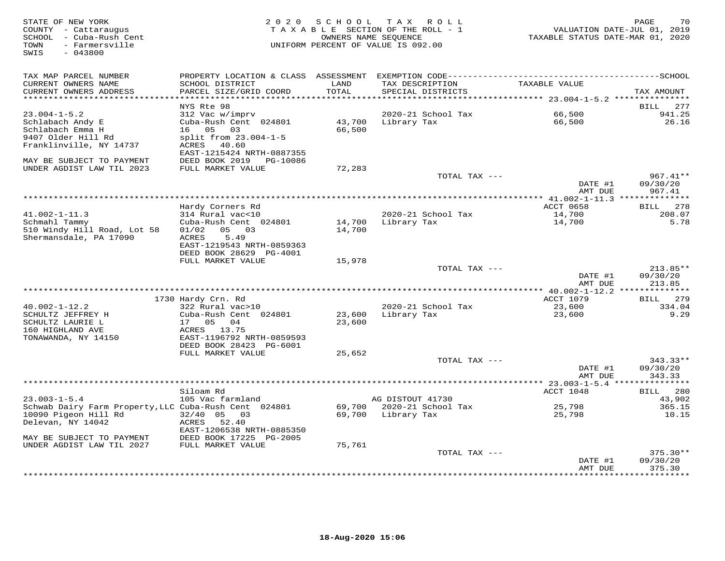| STATE OF NEW YORK<br>COUNTY - Cattaraugus<br>SCHOOL - Cuba-Rush Cent<br>TOWN<br>- Farmersville<br>$-043800$<br>SWIS |                                                      | 2020 SCHOOL      | TAX ROLL<br>TAXABLE SECTION OF THE ROLL - 1<br>OWNERS NAME SEQUENCE<br>UNIFORM PERCENT OF VALUE IS 092.00 | VALUATION DATE-JUL 01, 2019<br>TAXABLE STATUS DATE-MAR 01, 2020 | PAGE<br>70         |
|---------------------------------------------------------------------------------------------------------------------|------------------------------------------------------|------------------|-----------------------------------------------------------------------------------------------------------|-----------------------------------------------------------------|--------------------|
| TAX MAP PARCEL NUMBER<br>CURRENT OWNERS NAME                                                                        | SCHOOL DISTRICT                                      | LAND             | TAX DESCRIPTION                                                                                           | TAXABLE VALUE                                                   |                    |
| CURRENT OWNERS ADDRESS                                                                                              | PARCEL SIZE/GRID COORD                               | TOTAL            | SPECIAL DISTRICTS                                                                                         |                                                                 | TAX AMOUNT         |
| ********************                                                                                                |                                                      | ******           |                                                                                                           | ********** 23.004-1-5.2 **********                              |                    |
|                                                                                                                     | NYS Rte 98                                           |                  |                                                                                                           |                                                                 | BILL<br>277        |
| $23.004 - 1 - 5.2$                                                                                                  | 312 Vac w/imprv                                      |                  | 2020-21 School Tax                                                                                        | 66,500                                                          | 941.25             |
| Schlabach Andy E<br>Schlabach Emma H                                                                                | Cuba-Rush Cent 024801<br>16  05  03                  | 43,700<br>66,500 | Library Tax                                                                                               | 66,500                                                          | 26.16              |
| 9407 Older Hill Rd                                                                                                  | split from 23.004-1-5                                |                  |                                                                                                           |                                                                 |                    |
| Franklinville, NY 14737                                                                                             | ACRES 40.60<br>EAST-1215424 NRTH-0887355             |                  |                                                                                                           |                                                                 |                    |
| MAY BE SUBJECT TO PAYMENT                                                                                           | DEED BOOK 2019<br>PG-10086                           |                  |                                                                                                           |                                                                 |                    |
| UNDER AGDIST LAW TIL 2023                                                                                           | FULL MARKET VALUE                                    | 72,283           |                                                                                                           |                                                                 |                    |
|                                                                                                                     |                                                      |                  | TOTAL TAX ---                                                                                             |                                                                 | $967.41**$         |
|                                                                                                                     |                                                      |                  |                                                                                                           | DATE #1<br>AMT DUE                                              | 09/30/20<br>967.41 |
|                                                                                                                     | Hardy Corners Rd                                     |                  |                                                                                                           | ACCT 0658                                                       | <b>BILL</b><br>278 |
| $41.002 - 1 - 11.3$                                                                                                 | 314 Rural vac<10                                     |                  | 2020-21 School Tax                                                                                        | 14,700                                                          | 208.07             |
| Schmahl Tammy                                                                                                       | Cuba-Rush Cent 024801                                | 14,700           | Library Tax                                                                                               | 14,700                                                          | 5.78               |
| 510 Windy Hill Road, Lot 58                                                                                         | 01/02<br>05 03                                       | 14,700           |                                                                                                           |                                                                 |                    |
| Shermansdale, PA 17090                                                                                              | 5.49<br>ACRES                                        |                  |                                                                                                           |                                                                 |                    |
|                                                                                                                     | EAST-1219543 NRTH-0859363<br>DEED BOOK 28629 PG-4001 |                  |                                                                                                           |                                                                 |                    |
|                                                                                                                     | FULL MARKET VALUE                                    | 15,978           |                                                                                                           |                                                                 |                    |
|                                                                                                                     |                                                      |                  | TOTAL TAX ---                                                                                             |                                                                 | 213.85**           |
|                                                                                                                     |                                                      |                  |                                                                                                           | DATE #1                                                         | 09/30/20           |
|                                                                                                                     |                                                      |                  |                                                                                                           | AMT DUE                                                         | 213.85             |
|                                                                                                                     | 1730 Hardy Crn. Rd                                   |                  |                                                                                                           | ACCT 1079                                                       | 279<br>BILL        |
| $40.002 - 1 - 12.2$                                                                                                 | 322 Rural vac>10                                     |                  | 2020-21 School Tax                                                                                        | 23,600                                                          | 334.04             |
| SCHULTZ JEFFREY H                                                                                                   | Cuba-Rush Cent 024801                                | 23,600           | Library Tax                                                                                               | 23,600                                                          | 9.29               |
| SCHULTZ LAURIE L                                                                                                    | 17 05 04                                             | 23,600           |                                                                                                           |                                                                 |                    |
| 160 HIGHLAND AVE                                                                                                    | 13.75<br>ACRES                                       |                  |                                                                                                           |                                                                 |                    |
| TONAWANDA, NY 14150                                                                                                 | EAST-1196792 NRTH-0859593<br>DEED BOOK 28423 PG-6001 |                  |                                                                                                           |                                                                 |                    |
|                                                                                                                     | FULL MARKET VALUE                                    | 25,652           |                                                                                                           |                                                                 |                    |
|                                                                                                                     |                                                      |                  | TOTAL TAX ---                                                                                             |                                                                 | $343.33**$         |
|                                                                                                                     |                                                      |                  |                                                                                                           | DATE #1                                                         | 09/30/20           |
|                                                                                                                     |                                                      |                  |                                                                                                           | AMT DUE                                                         | 343.33             |
|                                                                                                                     | Siloam Rd                                            |                  |                                                                                                           | ACCT 1048                                                       | 280<br><b>BILL</b> |
| $23.003 - 1 - 5.4$                                                                                                  | 105 Vac farmland                                     |                  | AG DISTOUT 41730                                                                                          |                                                                 | 43,902             |
| Schwab Dairy Farm Property, LLC Cuba-Rush Cent 024801                                                               |                                                      | 69,700           | 2020-21 School Tax                                                                                        | 25,798                                                          | 365.15             |
| 10090 Pigeon Hill Rd                                                                                                | $32/40$ 05<br>03                                     | 69,700           | Library Tax                                                                                               | 25,798                                                          | 10.15              |
| Delevan, NY 14042                                                                                                   | ACRES<br>52.40                                       |                  |                                                                                                           |                                                                 |                    |
| MAY BE SUBJECT TO PAYMENT                                                                                           | EAST-1206538 NRTH-0885350<br>DEED BOOK 17225 PG-2005 |                  |                                                                                                           |                                                                 |                    |
| UNDER AGDIST LAW TIL 2027                                                                                           | FULL MARKET VALUE                                    | 75,761           |                                                                                                           |                                                                 |                    |
|                                                                                                                     |                                                      |                  | TOTAL TAX ---                                                                                             |                                                                 | $375.30**$         |
|                                                                                                                     |                                                      |                  |                                                                                                           | DATE #1                                                         | 09/30/20           |
|                                                                                                                     |                                                      |                  |                                                                                                           | AMT DUE                                                         | 375.30             |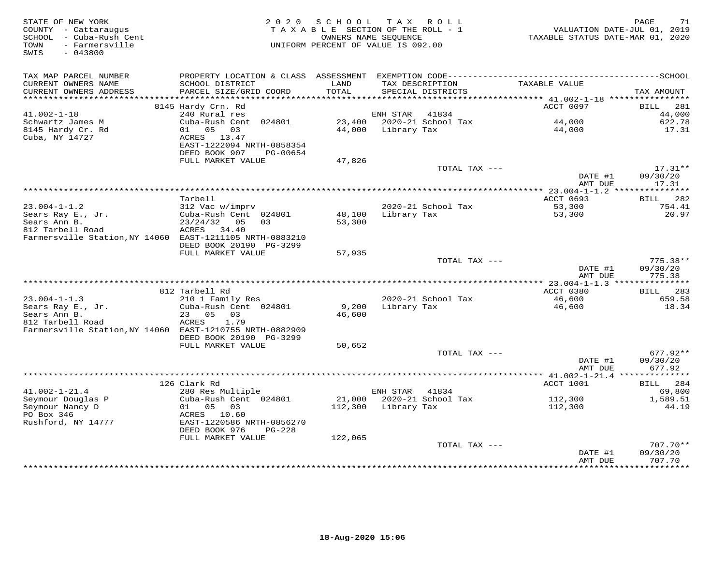| STATE OF NEW YORK<br>COUNTY - Cattaraugus<br>SCHOOL - Cuba-Rush Cent<br>- Farmersville<br>TOWN<br>SWIS<br>$-043800$ | 2 0 2 0                                      | SCHOOL<br>OWNERS NAME SEQUENCE | TAX ROLL<br>TAXABLE SECTION OF THE ROLL - 1<br>UNIFORM PERCENT OF VALUE IS 092.00 | VALUATION DATE-JUL 01, 2019<br>TAXABLE STATUS DATE-MAR 01, 2020 | 71<br>PAGE             |
|---------------------------------------------------------------------------------------------------------------------|----------------------------------------------|--------------------------------|-----------------------------------------------------------------------------------|-----------------------------------------------------------------|------------------------|
| TAX MAP PARCEL NUMBER                                                                                               |                                              |                                |                                                                                   |                                                                 |                        |
| CURRENT OWNERS NAME<br>CURRENT OWNERS ADDRESS                                                                       | SCHOOL DISTRICT<br>PARCEL SIZE/GRID COORD    | LAND<br>TOTAL                  | TAX DESCRIPTION<br>SPECIAL DISTRICTS                                              | TAXABLE VALUE                                                   | TAX AMOUNT             |
| **********************                                                                                              |                                              |                                |                                                                                   |                                                                 |                        |
|                                                                                                                     | 8145 Hardy Crn. Rd                           |                                |                                                                                   | ACCT 0097                                                       | BILL<br>281            |
| $41.002 - 1 - 18$<br>Schwartz James M                                                                               | 240 Rural res<br>Cuba-Rush Cent 024801       | 23,400                         | ENH STAR<br>41834<br>2020-21 School Tax                                           | 44,000                                                          | 44,000<br>622.78       |
| 8145 Hardy Cr. Rd                                                                                                   | 01 05 03                                     | 44,000                         | Library Tax                                                                       | 44,000                                                          | 17.31                  |
| Cuba, NY 14727                                                                                                      | ACRES 13.47                                  |                                |                                                                                   |                                                                 |                        |
|                                                                                                                     | EAST-1222094 NRTH-0858354                    |                                |                                                                                   |                                                                 |                        |
|                                                                                                                     | DEED BOOK 907<br>PG-00654                    |                                |                                                                                   |                                                                 |                        |
|                                                                                                                     | FULL MARKET VALUE                            | 47,826                         |                                                                                   |                                                                 | $17.31**$              |
|                                                                                                                     |                                              |                                | TOTAL TAX ---                                                                     | DATE #1                                                         | 09/30/20               |
|                                                                                                                     |                                              |                                |                                                                                   | AMT DUE                                                         | 17.31                  |
|                                                                                                                     |                                              |                                |                                                                                   |                                                                 |                        |
|                                                                                                                     | Tarbell                                      |                                |                                                                                   | ACCT 0693                                                       | 282<br>BILL            |
| $23.004 - 1 - 1.2$                                                                                                  | 312 Vac w/imprv                              |                                | 2020-21 School Tax                                                                | 53,300                                                          | 754.41                 |
| Sears Ray E., Jr.<br>Sears Ann B.                                                                                   | Cuba-Rush Cent 024801<br>$23/24/32$ 05<br>03 | 48,100<br>53,300               | Library Tax                                                                       | 53,300                                                          | 20.97                  |
| 812 Tarbell Road                                                                                                    | ACRES 34.40                                  |                                |                                                                                   |                                                                 |                        |
| Farmersville Station, NY 14060 EAST-1211105 NRTH-0883210                                                            |                                              |                                |                                                                                   |                                                                 |                        |
|                                                                                                                     | DEED BOOK 20190 PG-3299                      |                                |                                                                                   |                                                                 |                        |
|                                                                                                                     | FULL MARKET VALUE                            | 57,935                         |                                                                                   |                                                                 |                        |
|                                                                                                                     |                                              |                                | TOTAL TAX ---                                                                     | DATE #1                                                         | $775.38**$<br>09/30/20 |
|                                                                                                                     |                                              |                                |                                                                                   | AMT DUE                                                         | 775.38                 |
|                                                                                                                     |                                              |                                |                                                                                   |                                                                 |                        |
|                                                                                                                     | 812 Tarbell Rd                               |                                |                                                                                   | ACCT 0380                                                       | <b>BILL</b> 283        |
| $23.004 - 1 - 1.3$                                                                                                  | 210 1 Family Res                             |                                | 2020-21 School Tax                                                                | 46,600                                                          | 659.58                 |
| Sears Ray E., Jr.                                                                                                   | Cuba-Rush Cent 024801                        | 9,200                          | Library Tax                                                                       | 46,600                                                          | 18.34                  |
| Sears Ann B.<br>812 Tarbell Road                                                                                    | 23 05 03<br>ACRES<br>1.79                    | 46,600                         |                                                                                   |                                                                 |                        |
| Farmersville Station, NY 14060 EAST-1210755 NRTH-0882909                                                            |                                              |                                |                                                                                   |                                                                 |                        |
|                                                                                                                     | DEED BOOK 20190 PG-3299                      |                                |                                                                                   |                                                                 |                        |
|                                                                                                                     | FULL MARKET VALUE                            | 50,652                         |                                                                                   |                                                                 |                        |
|                                                                                                                     |                                              |                                | TOTAL TAX ---                                                                     |                                                                 | $677.92**$             |
|                                                                                                                     |                                              |                                |                                                                                   | DATE #1<br>AMT DUE                                              | 09/30/20<br>677.92     |
|                                                                                                                     |                                              |                                |                                                                                   | ****************** 41.002-1-21.4 ***************                |                        |
|                                                                                                                     | 126 Clark Rd                                 |                                |                                                                                   | ACCT 1001                                                       | 284<br>BILL            |
| $41.002 - 1 - 21.4$                                                                                                 | 280 Res Multiple                             |                                | ENH STAR<br>41834                                                                 |                                                                 | 69,800                 |
| Seymour Douglas P                                                                                                   | Cuba-Rush Cent 024801                        | 21,000                         | 2020-21 School Tax                                                                | 112,300                                                         | 1,589.51               |
| Seymour Nancy D<br>PO Box 346                                                                                       | 01 05 03<br>ACRES 10.60                      | 112,300                        | Library Tax                                                                       | 112,300                                                         | 44.19                  |
| Rushford, NY 14777                                                                                                  | EAST-1220586 NRTH-0856270                    |                                |                                                                                   |                                                                 |                        |
|                                                                                                                     | DEED BOOK 976<br>$PG-228$                    |                                |                                                                                   |                                                                 |                        |
|                                                                                                                     | FULL MARKET VALUE                            | 122,065                        |                                                                                   |                                                                 |                        |
|                                                                                                                     |                                              |                                | TOTAL TAX ---                                                                     |                                                                 | $707.70**$             |
|                                                                                                                     |                                              |                                |                                                                                   | DATE #1<br>AMT DUE                                              | 09/30/20<br>707.70     |
|                                                                                                                     |                                              |                                |                                                                                   | * * * * * * * * * * * *                                         | * * * * * * * * * ·    |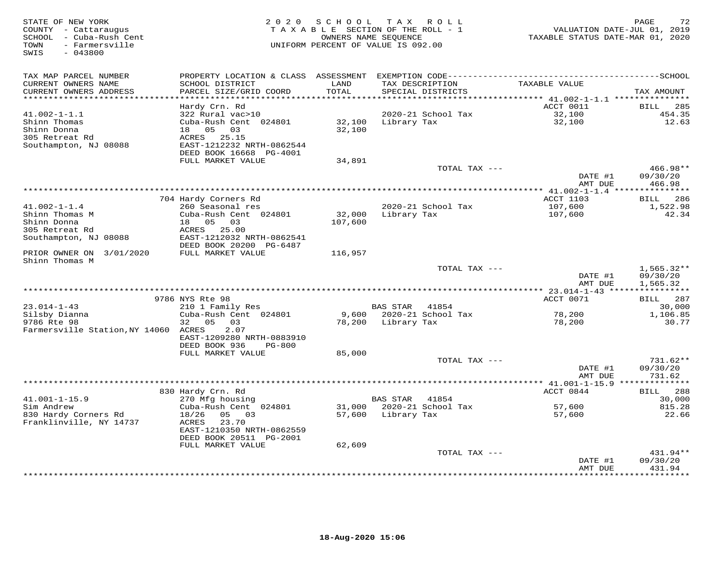| STATE OF NEW YORK<br>COUNTY - Cattaraugus<br>- Cuba-Rush Cent<br>SCHOOL<br>- Farmersville<br>TOWN<br>$-043800$<br>SWIS | 2 0 2 0                                                                                                                           | SCHOOL<br>TAXABLE SECTION OF THE ROLL - 1<br>UNIFORM PERCENT OF VALUE IS 092.00 | T A X<br>OWNERS NAME SEQUENCE | ROLL               | VALUATION DATE-JUL 01, 2019<br>TAXABLE STATUS DATE-MAR 01, 2020 | 72<br>PAGE                              |
|------------------------------------------------------------------------------------------------------------------------|-----------------------------------------------------------------------------------------------------------------------------------|---------------------------------------------------------------------------------|-------------------------------|--------------------|-----------------------------------------------------------------|-----------------------------------------|
| TAX MAP PARCEL NUMBER<br>CURRENT OWNERS NAME<br>CURRENT OWNERS ADDRESS<br>***********************                      | SCHOOL DISTRICT<br>PARCEL SIZE/GRID COORD<br>*************************                                                            | LAND<br>TOTAL                                                                   | TAX DESCRIPTION               | SPECIAL DISTRICTS  | TAXABLE VALUE                                                   | TAX AMOUNT                              |
|                                                                                                                        | Hardy Crn. Rd                                                                                                                     |                                                                                 |                               |                    | ACCT 0011                                                       | 285<br>BILL                             |
| $41.002 - 1 - 1.1$<br>Shinn Thomas<br>Shinn Donna<br>305 Retreat Rd<br>Southampton, NJ 08088                           | 322 Rural vac>10<br>Cuba-Rush Cent 024801<br>18  05  03<br>ACRES<br>25.15<br>EAST-1212232 NRTH-0862544<br>DEED BOOK 16668 PG-4001 | 32,100<br>32,100                                                                | Library Tax                   | 2020-21 School Tax | 32,100<br>32,100                                                | 454.35<br>12.63                         |
|                                                                                                                        | FULL MARKET VALUE                                                                                                                 | 34,891                                                                          |                               |                    |                                                                 |                                         |
|                                                                                                                        |                                                                                                                                   |                                                                                 |                               | TOTAL TAX ---      | DATE #1<br>AMT DUE                                              | 466.98**<br>09/30/20<br>466.98          |
|                                                                                                                        |                                                                                                                                   |                                                                                 |                               |                    |                                                                 |                                         |
| $41.002 - 1 - 1.4$<br>Shinn Thomas M<br>Shinn Donna                                                                    | 704 Hardy Corners Rd<br>260 Seasonal res<br>Cuba-Rush Cent 024801<br>18  05  03                                                   | 32,000<br>107,600                                                               | Library Tax                   | 2020-21 School Tax | ACCT 1103<br>107,600<br>107,600                                 | <b>BILL</b><br>286<br>1,522.98<br>42.34 |
| 305 Retreat Rd<br>Southampton, NJ 08088                                                                                | ACRES<br>25.00<br>EAST-1212032 NRTH-0862541<br>DEED BOOK 20200 PG-6487                                                            |                                                                                 |                               |                    |                                                                 |                                         |
| PRIOR OWNER ON 3/01/2020<br>Shinn Thomas M                                                                             | FULL MARKET VALUE                                                                                                                 | 116,957                                                                         |                               |                    |                                                                 |                                         |
|                                                                                                                        |                                                                                                                                   |                                                                                 |                               | TOTAL TAX ---      | DATE #1<br>AMT DUE                                              | $1,565.32**$<br>09/30/20<br>1,565.32    |
|                                                                                                                        |                                                                                                                                   |                                                                                 |                               |                    | ********** 23.014-1-43 *****************                        |                                         |
| $23.014 - 1 - 43$                                                                                                      | 9786 NYS Rte 98<br>210 1 Family Res                                                                                               |                                                                                 | <b>BAS STAR</b>               | 41854              | ACCT 0071                                                       | BILL 287<br>30,000                      |
| Silsby Dianna<br>9786 Rte 98<br>Farmersville Station, NY 14060 ACRES                                                   | Cuba-Rush Cent 024801<br>32 05<br>03<br>2.07<br>EAST-1209280 NRTH-0883910<br>DEED BOOK 936<br>$PG-800$                            | 9,600<br>78,200                                                                 | Library Tax                   | 2020-21 School Tax | 78,200<br>78,200                                                | 1,106.85<br>30.77                       |
|                                                                                                                        | FULL MARKET VALUE                                                                                                                 | 85,000                                                                          |                               |                    |                                                                 |                                         |
|                                                                                                                        |                                                                                                                                   |                                                                                 |                               | TOTAL TAX ---      | DATE #1<br>AMT DUE                                              | 731.62**<br>09/30/20<br>731.62          |
|                                                                                                                        | 830 Hardy Crn. Rd                                                                                                                 |                                                                                 |                               |                    | ********** 41.001-1-15.9 **<br>ACCT 0844                        | **********<br>288                       |
| $41.001 - 1 - 15.9$                                                                                                    | 270 Mfg housing                                                                                                                   |                                                                                 | <b>BAS STAR</b>               | 41854              |                                                                 | BILL<br>30,000                          |
| Sim Andrew<br>830 Hardy Corners Rd                                                                                     | Cuba-Rush Cent 024801<br>18/26<br>05<br>03                                                                                        | 31,000<br>57,600                                                                | Library Tax                   | 2020-21 School Tax | 57,600<br>57,600                                                | 815.28<br>22.66                         |
| Franklinville, NY 14737                                                                                                | ACRES<br>23.70<br>EAST-1210350 NRTH-0862559<br>DEED BOOK 20511 PG-2001                                                            |                                                                                 |                               |                    |                                                                 |                                         |
|                                                                                                                        | FULL MARKET VALUE                                                                                                                 | 62,609                                                                          |                               |                    |                                                                 | 431.94**                                |
|                                                                                                                        |                                                                                                                                   |                                                                                 |                               | TOTAL TAX ---      | DATE #1<br>AMT DUE                                              | 09/30/20<br>431.94                      |
|                                                                                                                        |                                                                                                                                   |                                                                                 |                               |                    | · * * * * * * * * * * * ·                                       | * * * * * * *                           |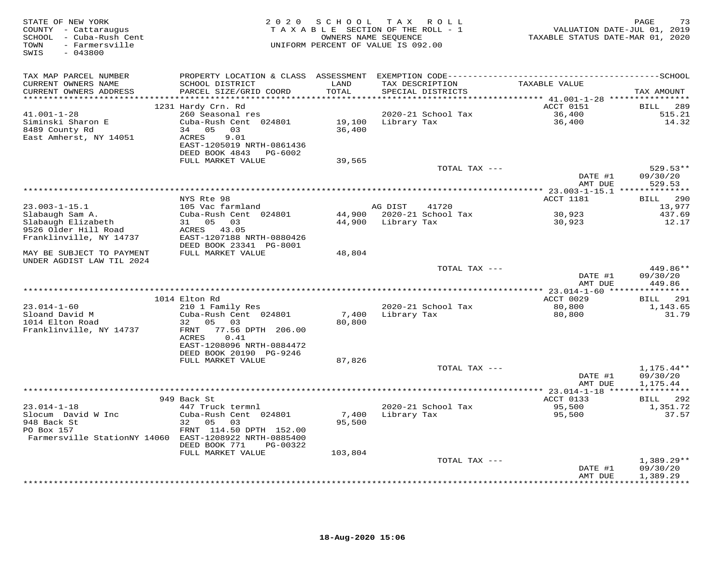| STATE OF NEW YORK<br>COUNTY - Cattaraugus<br>SCHOOL - Cuba-Rush Cent<br>TOWN<br>- Farmersville<br>SWIS<br>$-043800$ | 2 0 2 0                                                                                                | SCHOOL<br>TAXABLE SECTION OF THE ROLL - 1<br>OWNERS NAME SEQUENCE<br>UNIFORM PERCENT OF VALUE IS 092.00 |             | TAX ROLL                             | VALUATION DATE-JUL 01, 2019<br>TAXABLE STATUS DATE-MAR 01, 2020 | PAGE<br>73                           |
|---------------------------------------------------------------------------------------------------------------------|--------------------------------------------------------------------------------------------------------|---------------------------------------------------------------------------------------------------------|-------------|--------------------------------------|-----------------------------------------------------------------|--------------------------------------|
| TAX MAP PARCEL NUMBER<br>CURRENT OWNERS NAME<br>CURRENT OWNERS ADDRESS                                              | SCHOOL DISTRICT<br>PARCEL SIZE/GRID COORD                                                              | LAND<br>TOTAL                                                                                           |             | TAX DESCRIPTION<br>SPECIAL DISTRICTS | TAXABLE VALUE                                                   | TAX AMOUNT                           |
|                                                                                                                     |                                                                                                        |                                                                                                         |             |                                      |                                                                 |                                      |
|                                                                                                                     | 1231 Hardy Crn. Rd                                                                                     |                                                                                                         |             |                                      | ACCT 0151                                                       | 289<br>BILL                          |
| $41.001 - 1 - 28$<br>Siminski Sharon E<br>8489 County Rd<br>East Amherst, NY 14051                                  | 260 Seasonal res<br>Cuba-Rush Cent 024801<br>34 05<br>03<br>ACRES<br>9.01<br>EAST-1205019 NRTH-0861436 | 19,100<br>36,400                                                                                        | Library Tax | 2020-21 School Tax                   | 36,400<br>36,400                                                | 515.21<br>14.32                      |
|                                                                                                                     | DEED BOOK 4843<br>PG-6002                                                                              |                                                                                                         |             |                                      |                                                                 |                                      |
|                                                                                                                     | FULL MARKET VALUE                                                                                      | 39,565                                                                                                  |             |                                      |                                                                 |                                      |
|                                                                                                                     |                                                                                                        |                                                                                                         |             | TOTAL TAX ---                        | DATE #1                                                         | $529.53**$<br>09/30/20               |
|                                                                                                                     |                                                                                                        |                                                                                                         |             |                                      | AMT DUE                                                         | 529.53                               |
|                                                                                                                     | NYS Rte 98                                                                                             |                                                                                                         |             |                                      | ACCT 1181                                                       | 290<br>BILL                          |
| $23.003 - 1 - 15.1$                                                                                                 | 105 Vac farmland                                                                                       |                                                                                                         | AG DIST     | 41720                                |                                                                 | 13,977                               |
| Slabaugh Sam A.<br>Slabaugh Elizabeth<br>9526 Older Hill Road                                                       | Cuba-Rush Cent 024801<br>31 05<br>03<br>ACRES 43.05                                                    | 44,900<br>44,900                                                                                        | Library Tax | 2020-21 School Tax                   | 30,923<br>30,923                                                | 437.69<br>12.17                      |
| Franklinville, NY 14737                                                                                             | EAST-1207188 NRTH-0880426<br>DEED BOOK 23341 PG-8001<br>FULL MARKET VALUE                              |                                                                                                         |             |                                      |                                                                 |                                      |
| MAY BE SUBJECT TO PAYMENT<br>UNDER AGDIST LAW TIL 2024                                                              |                                                                                                        | 48,804                                                                                                  |             |                                      |                                                                 |                                      |
|                                                                                                                     |                                                                                                        |                                                                                                         |             | TOTAL TAX ---                        | DATE #1<br>AMT DUE                                              | 449.86**<br>09/30/20<br>449.86       |
|                                                                                                                     |                                                                                                        |                                                                                                         |             |                                      |                                                                 |                                      |
|                                                                                                                     | 1014 Elton Rd                                                                                          |                                                                                                         |             |                                      | ACCT 0029                                                       | 291<br>BILL                          |
| $23.014 - 1 - 60$<br>Sloand David M<br>1014 Elton Road                                                              | 210 1 Family Res<br>Cuba-Rush Cent 024801<br>32 05 03                                                  | 7,400<br>80,800                                                                                         | Library Tax | 2020-21 School Tax                   | 80,800<br>80,800                                                | 1,143.65<br>31.79                    |
| Franklinville, NY 14737                                                                                             | 77.56 DPTH 206.00<br>FRNT<br><b>ACRES</b><br>0.41<br>EAST-1208096 NRTH-0884472                         |                                                                                                         |             |                                      |                                                                 |                                      |
|                                                                                                                     | DEED BOOK 20190 PG-9246<br>FULL MARKET VALUE                                                           | 87,826                                                                                                  |             |                                      |                                                                 |                                      |
|                                                                                                                     |                                                                                                        |                                                                                                         |             | TOTAL TAX ---                        | DATE #1<br>AMT DUE                                              | $1,175.44**$<br>09/30/20<br>1,175.44 |
|                                                                                                                     |                                                                                                        |                                                                                                         |             |                                      | **** 23.014-1-18 ****************                               |                                      |
| $23.014 - 1 - 18$<br>Slocum David W Inc                                                                             | 949 Back St<br>447 Truck termnl<br>Cuba-Rush Cent 024801                                               | 7,400                                                                                                   | Library Tax | 2020-21 School Tax                   | ACCT 0133<br>95,500<br>95,500                                   | 292<br>BILL<br>1,351.72<br>37.57     |
| 948 Back St<br>PO Box 157<br>Farmersville StationNY 14060 EAST-1208922 NRTH-0885400                                 | 05<br>32<br>03<br>FRNT 114.50 DPTH 152.00                                                              | 95,500                                                                                                  |             |                                      |                                                                 |                                      |
|                                                                                                                     | DEED BOOK 771<br>PG-00322                                                                              |                                                                                                         |             |                                      |                                                                 |                                      |
|                                                                                                                     | FULL MARKET VALUE                                                                                      | 103,804                                                                                                 |             | TOTAL TAX ---                        |                                                                 | $1,389.29**$                         |
|                                                                                                                     |                                                                                                        |                                                                                                         |             |                                      | DATE #1<br>AMT DUE                                              | 09/30/20<br>1,389.29                 |
|                                                                                                                     |                                                                                                        |                                                                                                         |             |                                      |                                                                 | <b>+++++++++</b>                     |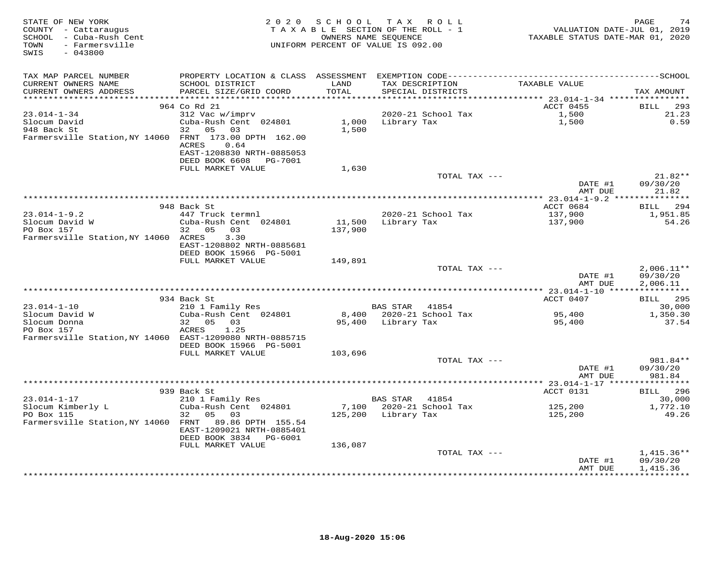| STATE OF NEW YORK<br>COUNTY - Cattaraugus<br>SCHOOL - Cuba-Rush Cent<br>TOWN<br>- Farmersville<br>$-043800$<br>SWIS |                                                                                              | 2020 SCHOOL<br>TAXABLE SECTION OF THE ROLL - 1<br>OWNERS NAME SEQUENCE<br>UNIFORM PERCENT OF VALUE IS 092.00 |                    | TAX ROLL           | VALUATION DATE-JUL 01, 2019<br>TAXABLE STATUS DATE-MAR 01, 2020 | PAGE<br>74               |
|---------------------------------------------------------------------------------------------------------------------|----------------------------------------------------------------------------------------------|--------------------------------------------------------------------------------------------------------------|--------------------|--------------------|-----------------------------------------------------------------|--------------------------|
| TAX MAP PARCEL NUMBER                                                                                               | PROPERTY LOCATION & CLASS ASSESSMENT EXEMPTION CODE-----------------------------------SCHOOL |                                                                                                              |                    |                    |                                                                 |                          |
| CURRENT OWNERS NAME                                                                                                 | SCHOOL DISTRICT                                                                              | LAND                                                                                                         |                    | TAX DESCRIPTION    | TAXABLE VALUE                                                   |                          |
| CURRENT OWNERS ADDRESS                                                                                              | PARCEL SIZE/GRID COORD                                                                       | TOTAL<br>**********                                                                                          |                    | SPECIAL DISTRICTS  | *********** 23.014-1-34 ************                            | TAX AMOUNT               |
|                                                                                                                     | 964 Co Rd 21                                                                                 |                                                                                                              |                    |                    | ACCT 0455                                                       | BILL<br>293              |
| $23.014 - 1 - 34$                                                                                                   | 312 Vac w/imprv                                                                              |                                                                                                              |                    | 2020-21 School Tax | 1,500                                                           | 21.23                    |
| Slocum David                                                                                                        | Cuba-Rush Cent 024801                                                                        | 1,000                                                                                                        | Library Tax        |                    | 1,500                                                           | 0.59                     |
| 948 Back St                                                                                                         | 05<br>03<br>32                                                                               | 1,500                                                                                                        |                    |                    |                                                                 |                          |
| Farmersville Station, NY 14060 FRNT 173.00 DPTH 162.00                                                              | ACRES<br>0.64<br>EAST-1208830 NRTH-0885053                                                   |                                                                                                              |                    |                    |                                                                 |                          |
|                                                                                                                     | DEED BOOK 6608<br>PG-7001                                                                    |                                                                                                              |                    |                    |                                                                 |                          |
|                                                                                                                     | FULL MARKET VALUE                                                                            | 1,630                                                                                                        |                    | TOTAL TAX ---      |                                                                 | 21.82**                  |
|                                                                                                                     |                                                                                              |                                                                                                              |                    |                    | DATE #1<br>AMT DUE                                              | 09/30/20<br>21.82        |
|                                                                                                                     |                                                                                              |                                                                                                              |                    |                    |                                                                 |                          |
| $23.014 - 1 - 9.2$                                                                                                  | 948 Back St                                                                                  |                                                                                                              |                    | 2020-21 School Tax | ACCT 0684                                                       | BILL 294                 |
| Slocum David W                                                                                                      | 447 Truck termnl<br>Cuba-Rush Cent 024801                                                    | 11,500                                                                                                       | Library Tax        |                    | 137,900<br>137,900                                              | 1,951.85<br>54.26        |
| PO Box 157                                                                                                          | 05<br>32<br>03                                                                               | 137,900                                                                                                      |                    |                    |                                                                 |                          |
| Farmersville Station, NY 14060 ACRES                                                                                | 3.30                                                                                         |                                                                                                              |                    |                    |                                                                 |                          |
|                                                                                                                     | EAST-1208802 NRTH-0885681                                                                    |                                                                                                              |                    |                    |                                                                 |                          |
|                                                                                                                     | DEED BOOK 15966 PG-5001                                                                      |                                                                                                              |                    |                    |                                                                 |                          |
|                                                                                                                     | FULL MARKET VALUE                                                                            | 149,891                                                                                                      |                    | TOTAL TAX ---      |                                                                 | $2,006.11**$             |
|                                                                                                                     |                                                                                              |                                                                                                              |                    |                    | DATE #1<br>AMT DUE                                              | 09/30/20<br>2,006.11     |
|                                                                                                                     |                                                                                              |                                                                                                              |                    |                    |                                                                 |                          |
| $23.014 - 1 - 10$                                                                                                   | 934 Back St                                                                                  |                                                                                                              |                    | 41854              | ACCT 0407                                                       | <b>BILL</b> 295          |
| Slocum David W                                                                                                      | 210 1 Family Res<br>Cuba-Rush Cent 024801                                                    | 8,400                                                                                                        | <b>BAS STAR</b>    | 2020-21 School Tax | 95,400                                                          | 30,000<br>1,350.30       |
| Slocum Donna                                                                                                        | 32 05<br>03                                                                                  |                                                                                                              | 95,400 Library Tax |                    | 95,400                                                          | 37.54                    |
| PO Box 157                                                                                                          | ACRES<br>1.25                                                                                |                                                                                                              |                    |                    |                                                                 |                          |
| Farmersville Station, NY 14060 EAST-1209080 NRTH-0885715                                                            |                                                                                              |                                                                                                              |                    |                    |                                                                 |                          |
|                                                                                                                     | DEED BOOK 15966 PG-5001                                                                      |                                                                                                              |                    |                    |                                                                 |                          |
|                                                                                                                     | FULL MARKET VALUE                                                                            | 103,696                                                                                                      |                    | TOTAL TAX ---      |                                                                 | 981.84**                 |
|                                                                                                                     |                                                                                              |                                                                                                              |                    |                    | DATE #1                                                         | 09/30/20                 |
|                                                                                                                     |                                                                                              |                                                                                                              |                    |                    | AMT DUE                                                         | 981.84                   |
|                                                                                                                     |                                                                                              |                                                                                                              |                    |                    |                                                                 |                          |
|                                                                                                                     | 939 Back St                                                                                  |                                                                                                              |                    |                    | ACCT 0131                                                       | BILL 296                 |
| $23.014 - 1 - 17$                                                                                                   | 210 1 Family Res                                                                             |                                                                                                              | BAS STAR           | 41854              |                                                                 | 30,000                   |
| Slocum Kimberly L<br>PO Box 115                                                                                     | Cuba-Rush Cent 024801<br>32<br>05<br>03                                                      | 7,100<br>125,200                                                                                             | Library Tax        | 2020-21 School Tax | 125,200<br>125,200                                              | 1,772.10<br>49.26        |
| Farmersville Station, NY 14060 FRNT 89.86 DPTH 155.54                                                               |                                                                                              |                                                                                                              |                    |                    |                                                                 |                          |
|                                                                                                                     | EAST-1209021 NRTH-0885401                                                                    |                                                                                                              |                    |                    |                                                                 |                          |
|                                                                                                                     | DEED BOOK 3834 PG-6001                                                                       |                                                                                                              |                    |                    |                                                                 |                          |
|                                                                                                                     | FULL MARKET VALUE                                                                            | 136,087                                                                                                      |                    |                    |                                                                 |                          |
|                                                                                                                     |                                                                                              |                                                                                                              |                    | TOTAL TAX ---      | DATE #1                                                         | $1,415.36**$<br>09/30/20 |
|                                                                                                                     |                                                                                              |                                                                                                              |                    |                    | AMT DUE                                                         | 1,415.36                 |
|                                                                                                                     |                                                                                              |                                                                                                              |                    |                    |                                                                 |                          |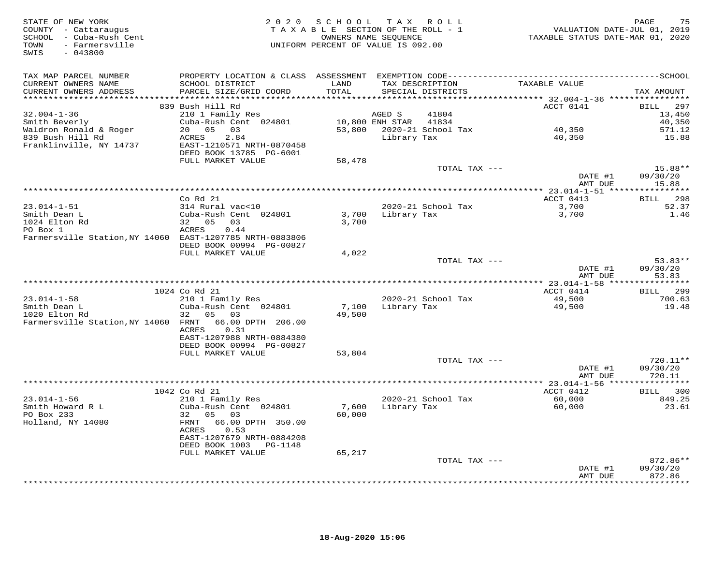| STATE OF NEW YORK<br>COUNTY - Cattaraugus<br>SCHOOL - Cuba-Rush Cent<br>TOWN - Farmersville<br>$-043800$<br>SWIS |                                                                       | 2020 SCHOOL TAX ROLL<br>TAXABLE SECTION OF THE ROLL - 1<br>OWNERS NAME SEQUENCE<br>UNIFORM PERCENT OF VALUE IS 092.00 |                   |                                         | VALUATION DATE-JUL 01, 2019<br>TAXABLE STATUS DATE-MAR 01, 2020 | 75<br>PAGE                  |
|------------------------------------------------------------------------------------------------------------------|-----------------------------------------------------------------------|-----------------------------------------------------------------------------------------------------------------------|-------------------|-----------------------------------------|-----------------------------------------------------------------|-----------------------------|
| TAX MAP PARCEL NUMBER                                                                                            |                                                                       |                                                                                                                       |                   |                                         |                                                                 |                             |
| CURRENT OWNERS NAME<br>CURRENT OWNERS ADDRESS                                                                    | SCHOOL DISTRICT<br>PARCEL SIZE/GRID COORD                             | LAND<br>TOTAL                                                                                                         |                   | TAX DESCRIPTION<br>SPECIAL DISTRICTS    | TAXABLE VALUE                                                   | TAX AMOUNT                  |
|                                                                                                                  |                                                                       |                                                                                                                       |                   |                                         |                                                                 |                             |
|                                                                                                                  | 839 Bush Hill Rd                                                      |                                                                                                                       |                   |                                         | ACCT 0141                                                       | 297<br>BILL                 |
| $32.004 - 1 - 36$                                                                                                | 210 1 Family Res                                                      |                                                                                                                       | AGED S            | 41804                                   |                                                                 | 13,450                      |
| Smith Beverly                                                                                                    | Cuba-Rush Cent 024801                                                 | 10,800 ENH STAR 41834                                                                                                 |                   |                                         |                                                                 | 40,350                      |
| Waldron Ronald & Roger                                                                                           | 20 05 03                                                              |                                                                                                                       |                   | 53,800 2020-21 School Tax               | 40,350                                                          | 571.12                      |
| 839 Bush Hill Rd<br>Franklinville, NY 14737                                                                      | ACRES<br>2.84<br>EAST-1210571 NRTH-0870458<br>DEED BOOK 13785 PG-6001 |                                                                                                                       | Library Tax       |                                         | 40,350                                                          | 15.88                       |
|                                                                                                                  | FULL MARKET VALUE                                                     | 58,478                                                                                                                |                   |                                         |                                                                 |                             |
|                                                                                                                  |                                                                       |                                                                                                                       |                   | TOTAL TAX ---                           |                                                                 | 15.88**                     |
|                                                                                                                  |                                                                       |                                                                                                                       |                   |                                         | DATE #1                                                         | 09/30/20                    |
|                                                                                                                  |                                                                       |                                                                                                                       |                   |                                         | AMT DUE                                                         | 15.88                       |
|                                                                                                                  | Co Rd 21                                                              |                                                                                                                       |                   |                                         | ACCT 0413                                                       | BILL 298                    |
| $23.014 - 1 - 51$                                                                                                | 314 Rural vac<10                                                      |                                                                                                                       |                   | 2020-21 School Tax                      | 3,700                                                           | 52.37                       |
| Smith Dean L                                                                                                     | Cuba-Rush Cent 024801                                                 |                                                                                                                       |                   | 3,700 Library Tax                       | 3,700                                                           | 1.46                        |
| Smith Dean -<br>1024 Elton Rd                                                                                    | 32 05 03                                                              | 3,700                                                                                                                 |                   |                                         |                                                                 |                             |
| PO Box 1                                                                                                         | ACRES<br>0.44                                                         |                                                                                                                       |                   |                                         |                                                                 |                             |
| Farmersville Station, NY 14060 EAST-1207785 NRTH-0883806                                                         | DEED BOOK 00994 PG-00827<br>FULL MARKET VALUE                         | 4,022                                                                                                                 |                   |                                         |                                                                 |                             |
|                                                                                                                  |                                                                       |                                                                                                                       |                   | TOTAL TAX ---                           |                                                                 | $53.83**$                   |
|                                                                                                                  |                                                                       |                                                                                                                       |                   |                                         | DATE #1<br>AMT DUE                                              | 09/30/20<br>53.83           |
|                                                                                                                  |                                                                       |                                                                                                                       |                   |                                         |                                                                 |                             |
|                                                                                                                  | 1024 Co Rd 21                                                         |                                                                                                                       |                   |                                         | ACCT 0414                                                       | BILL 299                    |
| $23.014 - 1 - 58$<br>Smith Dean L                                                                                | 210 1 Family Res<br>Cuba-Rush Cent 024801                             |                                                                                                                       |                   | 2020-21 School Tax<br>7,100 Library Tax | 49,500<br>49,500                                                | 700.63<br>19.48             |
| 1020 Elton Rd                                                                                                    | 32 05 03                                                              | 49,500                                                                                                                |                   |                                         |                                                                 |                             |
| Farmersville Station, NY 14060 FRNT 66.00 DPTH 206.00                                                            |                                                                       |                                                                                                                       |                   |                                         |                                                                 |                             |
|                                                                                                                  | ACRES<br>0.31                                                         |                                                                                                                       |                   |                                         |                                                                 |                             |
|                                                                                                                  | EAST-1207988 NRTH-0884380                                             |                                                                                                                       |                   |                                         |                                                                 |                             |
|                                                                                                                  | DEED BOOK 00994 PG-00827<br>FULL MARKET VALUE                         | 53,804                                                                                                                |                   |                                         |                                                                 |                             |
|                                                                                                                  |                                                                       |                                                                                                                       |                   | TOTAL TAX ---                           |                                                                 | 720.11**                    |
|                                                                                                                  |                                                                       |                                                                                                                       |                   |                                         | DATE #1                                                         | 09/30/20                    |
|                                                                                                                  |                                                                       |                                                                                                                       |                   |                                         | AMT DUE                                                         | 720.11                      |
|                                                                                                                  |                                                                       |                                                                                                                       |                   |                                         |                                                                 |                             |
| $23.014 - 1 - 56$                                                                                                | 1042 Co Rd 21<br>210 1 Family Res                                     |                                                                                                                       |                   | 2020-21 School Tax                      | ACCT 0412<br>60,000                                             | BILL 300<br>849.25          |
| Smith Howard R L                                                                                                 | Cuba-Rush Cent 024801                                                 |                                                                                                                       | 7,600 Library Tax |                                         | 60,000                                                          | 23.61                       |
| PO Box 233                                                                                                       | 32 05 03                                                              | 60,000                                                                                                                |                   |                                         |                                                                 |                             |
| Holland, NY 14080                                                                                                | FRNT 66.00 DPTH 350.00<br>ACRES<br>0.53                               |                                                                                                                       |                   |                                         |                                                                 |                             |
|                                                                                                                  | EAST-1207679 NRTH-0884208                                             |                                                                                                                       |                   |                                         |                                                                 |                             |
|                                                                                                                  | DEED BOOK 1003 PG-1148<br>FULL MARKET VALUE                           | 65,217                                                                                                                |                   |                                         |                                                                 |                             |
|                                                                                                                  |                                                                       |                                                                                                                       |                   | TOTAL TAX ---                           |                                                                 | $872.86**$                  |
|                                                                                                                  |                                                                       |                                                                                                                       |                   |                                         | DATE #1                                                         | 09/30/20                    |
|                                                                                                                  |                                                                       |                                                                                                                       |                   |                                         | AMT DUE                                                         | 872.86<br>* * * * * * * * * |
|                                                                                                                  |                                                                       |                                                                                                                       |                   |                                         |                                                                 |                             |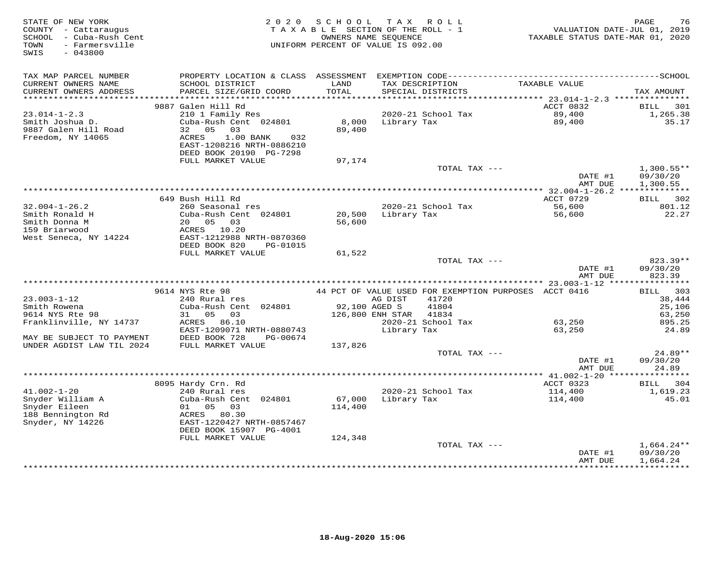| STATE OF NEW YORK<br>2 0 2 0<br>COUNTY - Cattaraugus<br>SCHOOL - Cuba-Rush Cent<br>- Farmersville<br>TOWN<br>$-043800$<br>SWIS | SCHOOL<br>TAXABLE SECTION OF THE ROLL - 1<br>UNIFORM PERCENT OF VALUE IS 092.00 | OWNERS NAME SEQUENCE | TAX ROLL                             | TAXABLE STATUS DATE-MAR 01, 2020                      | PAGE<br>76<br>VALUATION DATE-JUL 01, 2019 |
|--------------------------------------------------------------------------------------------------------------------------------|---------------------------------------------------------------------------------|----------------------|--------------------------------------|-------------------------------------------------------|-------------------------------------------|
| TAX MAP PARCEL NUMBER                                                                                                          |                                                                                 |                      |                                      |                                                       |                                           |
| CURRENT OWNERS NAME<br>SCHOOL DISTRICT<br>CURRENT OWNERS ADDRESS<br>PARCEL SIZE/GRID COORD                                     | LAND<br>TOTAL                                                                   |                      | TAX DESCRIPTION<br>SPECIAL DISTRICTS | TAXABLE VALUE                                         | TAX AMOUNT                                |
| ***********************                                                                                                        |                                                                                 |                      |                                      |                                                       |                                           |
| 9887 Galen Hill Rd                                                                                                             |                                                                                 |                      |                                      | ACCT 0832                                             | BILL<br>301                               |
| 210 1 Family Res<br>$23.014 - 1 - 2.3$                                                                                         |                                                                                 |                      | 2020-21 School Tax                   | 89,400                                                | 1,265.38                                  |
| Smith Joshua D.<br>Cuba-Rush Cent 024801<br>9887 Galen Hill Road<br>32 05<br>03                                                | 8,000<br>89,400                                                                 | Library Tax          |                                      | 89,400                                                | 35.17                                     |
| Freedom, NY 14065<br>ACRES<br>1.00 BANK<br>032                                                                                 |                                                                                 |                      |                                      |                                                       |                                           |
| EAST-1208216 NRTH-0886210                                                                                                      |                                                                                 |                      |                                      |                                                       |                                           |
| DEED BOOK 20190 PG-7298                                                                                                        |                                                                                 |                      |                                      |                                                       |                                           |
| FULL MARKET VALUE                                                                                                              | 97,174                                                                          |                      |                                      |                                                       |                                           |
|                                                                                                                                |                                                                                 |                      | TOTAL TAX ---                        |                                                       | $1,300.55**$                              |
|                                                                                                                                |                                                                                 |                      |                                      | DATE #1                                               | 09/30/20                                  |
|                                                                                                                                |                                                                                 |                      |                                      | AMT DUE                                               | 1,300.55                                  |
|                                                                                                                                |                                                                                 |                      |                                      |                                                       |                                           |
| 649 Bush Hill Rd                                                                                                               |                                                                                 |                      |                                      | ACCT 0729                                             | BILL 302                                  |
| $32.004 - 1 - 26.2$<br>260 Seasonal res<br>Smith Ronald H<br>Cuba-Rush Cent 024801                                             | 20,500                                                                          | Library Tax          | 2020-21 School Tax                   | 56,600                                                | 801.12<br>22.27                           |
| Smith Donna M<br>20  05  03                                                                                                    | 56,600                                                                          |                      |                                      | 56,600                                                |                                           |
| 159 Briarwood<br>ACRES 10.20                                                                                                   |                                                                                 |                      |                                      |                                                       |                                           |
| West Seneca, NY 14224<br>EAST-1212988 NRTH-0870360                                                                             |                                                                                 |                      |                                      |                                                       |                                           |
| DEED BOOK 820<br>PG-01015                                                                                                      |                                                                                 |                      |                                      |                                                       |                                           |
| FULL MARKET VALUE                                                                                                              | 61,522                                                                          |                      |                                      |                                                       |                                           |
|                                                                                                                                |                                                                                 |                      | TOTAL TAX ---                        |                                                       | 823.39**                                  |
|                                                                                                                                |                                                                                 |                      |                                      | DATE #1                                               | 09/30/20                                  |
|                                                                                                                                |                                                                                 |                      |                                      | AMT DUE                                               | 823.39                                    |
| 9614 NYS Rte 98                                                                                                                |                                                                                 |                      |                                      |                                                       |                                           |
| $23.003 - 1 - 12$<br>240 Rural res                                                                                             |                                                                                 | AG DIST              | 41720                                | 44 PCT OF VALUE USED FOR EXEMPTION PURPOSES ACCT 0416 | BILL 303<br>38,444                        |
| Smith Rowena<br>Cuba-Rush Cent 024801                                                                                          | 92,100 AGED S                                                                   |                      | 41804                                |                                                       | 25,106                                    |
| 9614 NYS Rte 98<br>05 03<br>31                                                                                                 |                                                                                 | 126,800 ENH STAR     | 41834                                |                                                       | 63,250                                    |
| Franklinville, NY 14737<br>ACRES 86.10                                                                                         |                                                                                 |                      | 2020-21 School Tax                   | 63,250                                                | 895.25                                    |
| EAST-1209071 NRTH-0880743                                                                                                      |                                                                                 | Library Tax          |                                      | 63,250                                                | 24.89                                     |
| DEED BOOK 728<br>MAY BE SUBJECT TO PAYMENT<br>PG-00674                                                                         |                                                                                 |                      |                                      |                                                       |                                           |
| UNDER AGDIST LAW TIL 2024<br>FULL MARKET VALUE                                                                                 | 137,826                                                                         |                      |                                      |                                                       |                                           |
|                                                                                                                                |                                                                                 |                      | TOTAL TAX ---                        |                                                       | 24.89**                                   |
|                                                                                                                                |                                                                                 |                      |                                      | DATE #1                                               | 09/30/20                                  |
|                                                                                                                                |                                                                                 |                      |                                      | AMT DUE                                               | 24.89                                     |
| 8095 Hardy Crn. Rd                                                                                                             |                                                                                 |                      |                                      | ACCT 0323                                             | 304<br>BILL                               |
| $41.002 - 1 - 20$<br>240 Rural res                                                                                             |                                                                                 |                      | 2020-21 School Tax                   | 114,400                                               | 1,619.23                                  |
| Snyder William A<br>Cuba-Rush Cent 024801                                                                                      | 67,000                                                                          | Library Tax          |                                      | 114,400                                               | 45.01                                     |
| Snyder Eileen<br>01<br>05<br>03                                                                                                | 114,400                                                                         |                      |                                      |                                                       |                                           |
| 188 Bennington Rd<br>ACRES 80.30                                                                                               |                                                                                 |                      |                                      |                                                       |                                           |
| Snyder, NY 14226<br>EAST-1220427 NRTH-0857467                                                                                  |                                                                                 |                      |                                      |                                                       |                                           |
| DEED BOOK 15907 PG-4001                                                                                                        |                                                                                 |                      |                                      |                                                       |                                           |
| FULL MARKET VALUE                                                                                                              | 124,348                                                                         |                      |                                      |                                                       |                                           |
|                                                                                                                                |                                                                                 |                      | TOTAL TAX ---                        |                                                       | $1,664.24**$                              |
|                                                                                                                                |                                                                                 |                      |                                      | DATE #1                                               | 09/30/20                                  |
|                                                                                                                                |                                                                                 |                      |                                      | AMT DUE                                               | 1,664.24<br>***********                   |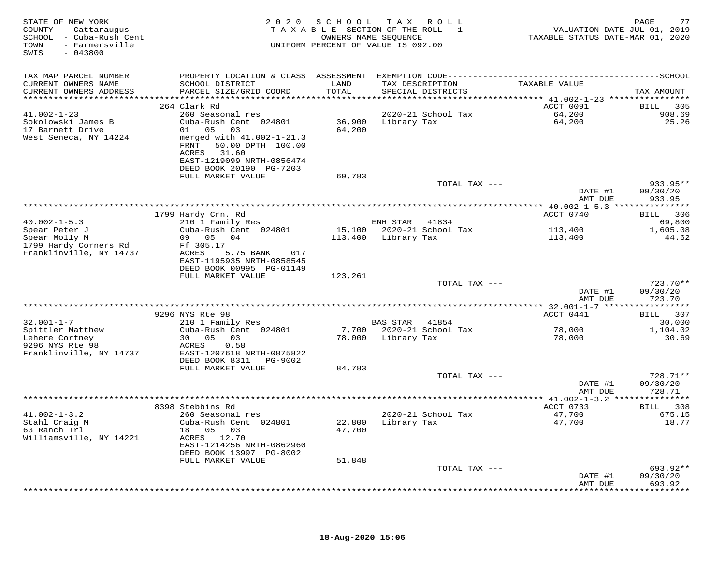| STATE OF NEW YORK<br>COUNTY - Cattaraugus<br>SCHOOL - Cuba-Rush Cent<br>- Farmersville<br>TOWN<br>$-043800$<br>SWIS |                                                                                                                      |         | 2020 SCHOOL TAX ROLL<br>TAXABLE SECTION OF THE ROLL - 1<br>OWNERS NAME SEQUENCE<br>UNIFORM PERCENT OF VALUE IS 092.00 | VALUATION DATE-JUL 01, 2019<br>TAXABLE STATUS DATE-MAR 01, 2020 | 77<br>PAGE                     |
|---------------------------------------------------------------------------------------------------------------------|----------------------------------------------------------------------------------------------------------------------|---------|-----------------------------------------------------------------------------------------------------------------------|-----------------------------------------------------------------|--------------------------------|
| TAX MAP PARCEL NUMBER                                                                                               |                                                                                                                      |         |                                                                                                                       |                                                                 |                                |
| CURRENT OWNERS NAME                                                                                                 | SCHOOL DISTRICT                                                                                                      | LAND    | TAX DESCRIPTION                                                                                                       | TAXABLE VALUE                                                   |                                |
| CURRENT OWNERS ADDRESS                                                                                              | PARCEL SIZE/GRID COORD                                                                                               | TOTAL   | SPECIAL DISTRICTS                                                                                                     |                                                                 | TAX AMOUNT                     |
|                                                                                                                     | 264 Clark Rd                                                                                                         |         |                                                                                                                       | ACCT 0091                                                       | 305<br><b>BILL</b>             |
| $41.002 - 1 - 23$                                                                                                   | 260 Seasonal res                                                                                                     |         | 2020-21 School Tax                                                                                                    | 64,200                                                          | 908.69                         |
| Sokolowski James B                                                                                                  | Cuba-Rush Cent 024801                                                                                                |         | 36,900 Library Tax                                                                                                    | 64,200                                                          | 25.26                          |
| 17 Barnett Drive<br>West Seneca, NY 14224                                                                           | 01 05<br>03<br>merged with 41.002-1-21.3<br>FRNT<br>50.00 DPTH 100.00<br>ACRES<br>31.60<br>EAST-1219099 NRTH-0856474 | 64,200  |                                                                                                                       |                                                                 |                                |
|                                                                                                                     | DEED BOOK 20190 PG-7203                                                                                              |         |                                                                                                                       |                                                                 |                                |
|                                                                                                                     | FULL MARKET VALUE                                                                                                    | 69,783  | TOTAL TAX ---                                                                                                         |                                                                 | 933.95**                       |
|                                                                                                                     |                                                                                                                      |         |                                                                                                                       | DATE #1<br>AMT DUE                                              | 09/30/20<br>933.95             |
|                                                                                                                     |                                                                                                                      |         |                                                                                                                       |                                                                 |                                |
| $40.002 - 1 - 5.3$                                                                                                  | 1799 Hardy Crn. Rd<br>210 1 Family Res                                                                               |         | ENH STAR 41834                                                                                                        | ACCT 0740                                                       | 306<br>BILL                    |
| Spear Peter J                                                                                                       | Cuba-Rush Cent 024801                                                                                                | 15,100  | 2020-21 School Tax                                                                                                    | 113,400                                                         | 69,800<br>1,605.08             |
| Spear Molly M                                                                                                       | 09 05 04                                                                                                             | 113,400 | Library Tax                                                                                                           | 113,400                                                         | 44.62                          |
| 1799 Hardy Corners Rd<br>Franklinville, NY 14737                                                                    | Ff 305.17<br>ACRES<br>5.75 BANK<br>017<br>EAST-1195935 NRTH-0858545<br>DEED BOOK 00995 PG-01149                      |         |                                                                                                                       |                                                                 |                                |
|                                                                                                                     | FULL MARKET VALUE                                                                                                    | 123,261 |                                                                                                                       |                                                                 |                                |
|                                                                                                                     |                                                                                                                      |         | TOTAL TAX ---                                                                                                         | DATE #1<br>AMT DUE                                              | 723.70**<br>09/30/20<br>723.70 |
|                                                                                                                     |                                                                                                                      |         |                                                                                                                       |                                                                 |                                |
| $32.001 - 1 - 7$                                                                                                    | 9296 NYS Rte 98<br>210 1 Family Res                                                                                  |         | <b>BAS STAR</b><br>41854                                                                                              | ACCT 0441                                                       | BILL 307<br>30,000             |
| Spittler Matthew                                                                                                    | Cuba-Rush Cent 024801                                                                                                | 7,700   | 2020-21 School Tax                                                                                                    | 78,000                                                          | 1,104.02                       |
| Lehere Cortney<br>9296 NYS Rte 98<br>Franklinville, NY 14737                                                        | 30 05 03<br>ACRES<br>0.58<br>EAST-1207618 NRTH-0875822                                                               | 78,000  | Library Tax                                                                                                           | 78,000                                                          | 30.69                          |
|                                                                                                                     | DEED BOOK 8311 PG-9002                                                                                               |         |                                                                                                                       |                                                                 |                                |
|                                                                                                                     | FULL MARKET VALUE                                                                                                    | 84,783  | TOTAL TAX ---                                                                                                         |                                                                 | $728.71**$                     |
|                                                                                                                     |                                                                                                                      |         |                                                                                                                       | DATE #1<br>AMT DUE                                              | 09/30/20<br>728.71             |
|                                                                                                                     |                                                                                                                      |         |                                                                                                                       | *** 41.002-1-3.2 ***************                                |                                |
|                                                                                                                     | 8398 Stebbins Rd                                                                                                     |         |                                                                                                                       | ACCT 0733                                                       | BILL 308                       |
| $41.002 - 1 - 3.2$<br>Stahl Craig M                                                                                 | 260 Seasonal res<br>Cuba-Rush Cent 024801                                                                            | 22,800  | 2020-21 School Tax<br>Library Tax                                                                                     | 47,700<br>47,700                                                | 675.15<br>18.77                |
| 63 Ranch Trl                                                                                                        | 18  05  03                                                                                                           | 47,700  |                                                                                                                       |                                                                 |                                |
| Williamsville, NY 14221                                                                                             | ACRES 12.70<br>EAST-1214256 NRTH-0862960                                                                             |         |                                                                                                                       |                                                                 |                                |
|                                                                                                                     | DEED BOOK 13997 PG-8002<br>FULL MARKET VALUE                                                                         | 51,848  |                                                                                                                       |                                                                 |                                |
|                                                                                                                     |                                                                                                                      |         | TOTAL TAX ---                                                                                                         |                                                                 | 693.92**                       |
|                                                                                                                     |                                                                                                                      |         |                                                                                                                       | DATE #1<br>AMT DUE                                              | 09/30/20<br>693.92             |
|                                                                                                                     |                                                                                                                      |         |                                                                                                                       |                                                                 | **********                     |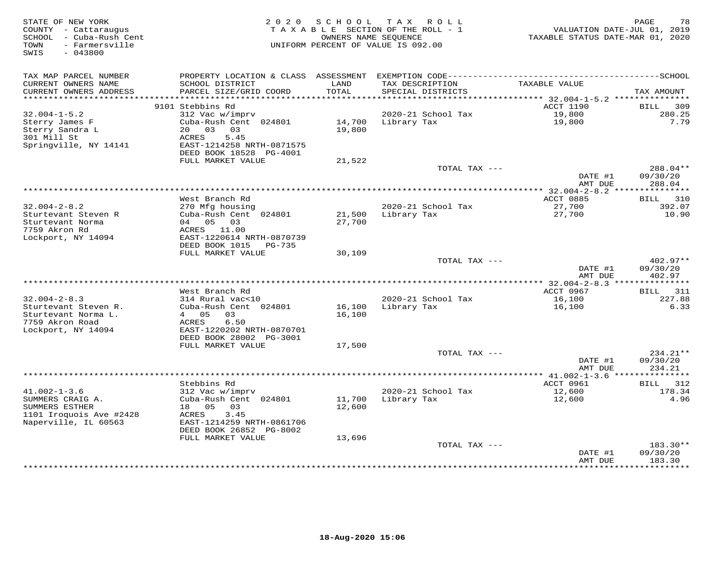| STATE OF NEW YORK<br>COUNTY - Cattaraugus<br>SCHOOL - Cuba-Rush Cent<br>- Farmersville<br>TOWN<br>$-043800$<br>SWIS | 2 0 2 0                                      | S C H O O L      | TAX ROLL<br>TAXABLE SECTION OF THE ROLL - 1<br>OWNERS NAME SEOUENCE<br>UNIFORM PERCENT OF VALUE IS 092.00 | TAXABLE STATUS DATE-MAR 01, 2020 | PAGE<br>78<br>VALUATION DATE-JUL 01, 2019 |
|---------------------------------------------------------------------------------------------------------------------|----------------------------------------------|------------------|-----------------------------------------------------------------------------------------------------------|----------------------------------|-------------------------------------------|
| TAX MAP PARCEL NUMBER                                                                                               |                                              |                  |                                                                                                           |                                  |                                           |
| CURRENT OWNERS NAME<br>CURRENT OWNERS ADDRESS<br>**********************                                             | SCHOOL DISTRICT<br>PARCEL SIZE/GRID COORD    | LAND<br>TOTAL    | TAX DESCRIPTION<br>SPECIAL DISTRICTS                                                                      | TAXABLE VALUE                    | TAX AMOUNT                                |
|                                                                                                                     | 9101 Stebbins Rd                             |                  |                                                                                                           | ACCT 1190                        | 309<br><b>BILL</b>                        |
| $32.004 - 1 - 5.2$                                                                                                  | 312 Vac w/imprv                              |                  | 2020-21 School Tax                                                                                        | 19,800                           | 280.25                                    |
| Sterry James F                                                                                                      | Cuba-Rush Cent 024801                        | 14,700           | Library Tax                                                                                               | 19,800                           | 7.79                                      |
| Sterry Sandra L                                                                                                     | 20 03<br>03                                  | 19,800           |                                                                                                           |                                  |                                           |
| 301 Mill St                                                                                                         | <b>ACRES</b><br>5.45                         |                  |                                                                                                           |                                  |                                           |
| Springville, NY 14141                                                                                               | EAST-1214258 NRTH-0871575                    |                  |                                                                                                           |                                  |                                           |
|                                                                                                                     | DEED BOOK 18528 PG-4001                      |                  |                                                                                                           |                                  |                                           |
|                                                                                                                     | FULL MARKET VALUE                            | 21,522           | TOTAL TAX ---                                                                                             |                                  | 288.04**                                  |
|                                                                                                                     |                                              |                  |                                                                                                           | DATE #1                          | 09/30/20                                  |
|                                                                                                                     |                                              |                  |                                                                                                           | AMT DUE                          | 288.04                                    |
|                                                                                                                     |                                              |                  | ************************************                                                                      | ** $32.004 - 2 - 8.2$ ***        | ***********                               |
|                                                                                                                     | West Branch Rd                               |                  |                                                                                                           | ACCT 0885                        | BILL 310                                  |
| $32.004 - 2 - 8.2$                                                                                                  | 270 Mfg housing                              |                  | 2020-21 School Tax                                                                                        | 27,700                           | 392.07                                    |
| Sturtevant Steven R                                                                                                 | Cuba-Rush Cent 024801<br>04  05  03          | 21,500           | Library Tax                                                                                               | 27,700                           | 10.90                                     |
| Sturtevant Norma<br>7759 Akron Rd                                                                                   | ACRES 11.00                                  | 27,700           |                                                                                                           |                                  |                                           |
| Lockport, NY 14094                                                                                                  | EAST-1220614 NRTH-0870739                    |                  |                                                                                                           |                                  |                                           |
|                                                                                                                     | DEED BOOK 1015<br>PG-735                     |                  |                                                                                                           |                                  |                                           |
|                                                                                                                     | FULL MARKET VALUE                            | 30,109           |                                                                                                           |                                  |                                           |
|                                                                                                                     |                                              |                  | TOTAL TAX ---                                                                                             |                                  | 402.97**                                  |
|                                                                                                                     |                                              |                  |                                                                                                           | DATE #1                          | 09/30/20                                  |
|                                                                                                                     |                                              |                  |                                                                                                           | AMT DUE                          | 402.97                                    |
|                                                                                                                     | West Branch Rd                               |                  |                                                                                                           | ACCT 0967                        | <b>BILL</b> 311                           |
| $32.004 - 2 - 8.3$                                                                                                  | 314 Rural vac<10                             |                  | 2020-21 School Tax                                                                                        | 16,100                           | 227.88                                    |
| Sturtevant Steven R.                                                                                                | Cuba-Rush Cent 024801                        | 16,100           | Library Tax                                                                                               | 16,100                           | 6.33                                      |
| Sturtevant Norma L.                                                                                                 | 4 05 03                                      | 16,100           |                                                                                                           |                                  |                                           |
| 7759 Akron Road                                                                                                     | 6.50<br>ACRES                                |                  |                                                                                                           |                                  |                                           |
| Lockport, NY 14094                                                                                                  | EAST-1220202 NRTH-0870701                    |                  |                                                                                                           |                                  |                                           |
|                                                                                                                     | DEED BOOK 28002 PG-3001<br>FULL MARKET VALUE | 17,500           |                                                                                                           |                                  |                                           |
|                                                                                                                     |                                              |                  | TOTAL TAX ---                                                                                             |                                  | 234.21**                                  |
|                                                                                                                     |                                              |                  |                                                                                                           | DATE #1                          | 09/30/20                                  |
|                                                                                                                     |                                              |                  |                                                                                                           | AMT DUE                          | 234.21                                    |
|                                                                                                                     |                                              |                  |                                                                                                           |                                  | ********                                  |
|                                                                                                                     | Stebbins Rd                                  |                  |                                                                                                           | ACCT 0961                        | 312<br>BILL                               |
| $41.002 - 1 - 3.6$                                                                                                  | 312 Vac w/imprv                              |                  | 2020-21 School Tax                                                                                        | 12,600                           | 178.34                                    |
| SUMMERS CRAIG A.<br>SUMMERS ESTHER                                                                                  | Cuba-Rush Cent 024801<br>05<br>18<br>03      | 11,700<br>12,600 | Library Tax                                                                                               | 12,600                           | 4.96                                      |
| 1101 Iroquois Ave #2428                                                                                             | ACRES<br>3.45                                |                  |                                                                                                           |                                  |                                           |
| Naperville, IL 60563                                                                                                | EAST-1214259 NRTH-0861706                    |                  |                                                                                                           |                                  |                                           |
|                                                                                                                     | DEED BOOK 26852 PG-8002                      |                  |                                                                                                           |                                  |                                           |
|                                                                                                                     | FULL MARKET VALUE                            | 13,696           |                                                                                                           |                                  |                                           |
|                                                                                                                     |                                              |                  | TOTAL TAX ---                                                                                             |                                  | 183.30**                                  |
|                                                                                                                     |                                              |                  |                                                                                                           | DATE #1                          | 09/30/20                                  |
|                                                                                                                     |                                              |                  |                                                                                                           | AMT DUE<br>*********             | 183.30<br>* * * * * * * * * *             |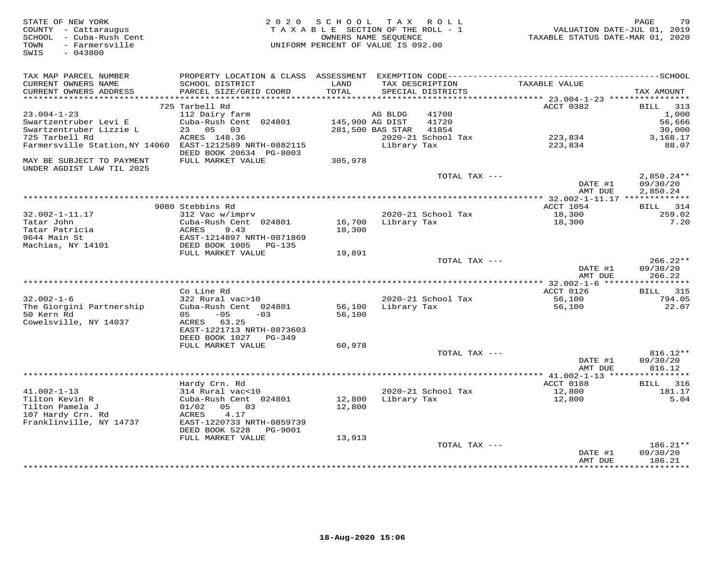| STATE OF NEW YORK<br>COUNTY - Cattaraugus<br>SCHOOL - Cuba-Rush Cent<br>- Farmersville<br>TOWN<br>SWIS<br>$-043800$ | 2 0 2 0                                               | SCHOOL<br>TAXABLE SECTION OF THE ROLL - 1<br>OWNERS NAME SEOUENCE<br>UNIFORM PERCENT OF VALUE IS 092.00 |                  | TAX ROLL                             | VALUATION DATE-JUL 01, 2019<br>TAXABLE STATUS DATE-MAR 01, 2020 | PAGE<br>79           |
|---------------------------------------------------------------------------------------------------------------------|-------------------------------------------------------|---------------------------------------------------------------------------------------------------------|------------------|--------------------------------------|-----------------------------------------------------------------|----------------------|
|                                                                                                                     |                                                       |                                                                                                         |                  |                                      |                                                                 |                      |
| TAX MAP PARCEL NUMBER                                                                                               |                                                       |                                                                                                         |                  |                                      |                                                                 |                      |
| CURRENT OWNERS NAME<br>CURRENT OWNERS ADDRESS                                                                       | SCHOOL DISTRICT<br>PARCEL SIZE/GRID COORD             | LAND<br>TOTAL                                                                                           |                  | TAX DESCRIPTION<br>SPECIAL DISTRICTS | TAXABLE VALUE                                                   | TAX AMOUNT           |
| ***********************                                                                                             |                                                       |                                                                                                         |                  |                                      |                                                                 |                      |
|                                                                                                                     | 725 Tarbell Rd                                        |                                                                                                         |                  |                                      | ACCT 0382                                                       | <b>BILL</b><br>313   |
| $23.004 - 1 - 23$                                                                                                   | 112 Dairy farm                                        |                                                                                                         | AG BLDG          | 41700                                |                                                                 | 1,000                |
| Swartzentruber Levi E<br>Swartzentruber Lizzie L                                                                    | Cuba-Rush Cent 024801<br>23<br>05 03                  | 145,900 AG DIST                                                                                         | 281,500 BAS STAR | 41720<br>41854                       |                                                                 | 56,666<br>30,000     |
| 725 Tarbell Rd                                                                                                      | ACRES 148.36                                          |                                                                                                         |                  | 2020-21 School Tax                   | 223,834                                                         | 3,168.17             |
| Farmersville Station, NY 14060                                                                                      | EAST-1212589 NRTH-0882115                             |                                                                                                         | Library Tax      |                                      | 223,834                                                         | 88.07                |
|                                                                                                                     | DEED BOOK 20634 PG-8003                               |                                                                                                         |                  |                                      |                                                                 |                      |
| MAY BE SUBJECT TO PAYMENT                                                                                           | FULL MARKET VALUE                                     | 305,978                                                                                                 |                  |                                      |                                                                 |                      |
| UNDER AGDIST LAW TIL 2025                                                                                           |                                                       |                                                                                                         |                  | TOTAL TAX ---                        |                                                                 | $2,850.24**$         |
|                                                                                                                     |                                                       |                                                                                                         |                  |                                      | DATE #1<br>AMT DUE                                              | 09/30/20<br>2,850.24 |
|                                                                                                                     |                                                       |                                                                                                         |                  |                                      | ** 32.002-1-11.17 **************                                |                      |
|                                                                                                                     | 9080 Stebbins Rd                                      |                                                                                                         |                  |                                      | ACCT 1054                                                       | 314<br>BILL          |
| $32.002 - 1 - 11.17$                                                                                                | 312 Vac w/imprv                                       |                                                                                                         |                  | 2020-21 School Tax                   | 18,300                                                          | 259.02               |
| Tatar John                                                                                                          | Cuba-Rush Cent 024801                                 | 16,700                                                                                                  | Library Tax      |                                      | 18,300                                                          | 7.20                 |
| Tatar Patricia                                                                                                      | ACRES<br>9.43                                         | 18,300                                                                                                  |                  |                                      |                                                                 |                      |
| 9644 Main St<br>Machias, NY 14101                                                                                   | EAST-1214897 NRTH-0871869<br>DEED BOOK 1005<br>PG-135 |                                                                                                         |                  |                                      |                                                                 |                      |
|                                                                                                                     | FULL MARKET VALUE                                     | 19,891                                                                                                  |                  |                                      |                                                                 |                      |
|                                                                                                                     |                                                       |                                                                                                         |                  | TOTAL TAX ---                        |                                                                 | $266.22**$           |
|                                                                                                                     |                                                       |                                                                                                         |                  |                                      | DATE #1                                                         | 09/30/20             |
| ******************************                                                                                      |                                                       |                                                                                                         |                  |                                      | AMT DUE                                                         | 266.22               |
|                                                                                                                     | Co Line Rd                                            |                                                                                                         |                  |                                      | *** 32.002-1-6 ******************<br>ACCT 0126                  | <b>BILL</b> 315      |
| $32.002 - 1 - 6$                                                                                                    | 322 Rural vac>10                                      |                                                                                                         |                  | 2020-21 School Tax                   | 56,100                                                          | 794.05               |
| The Giorgini Partnership                                                                                            | Cuba-Rush Cent 024801                                 | 56,100                                                                                                  | Library Tax      |                                      | 56,100                                                          | 22.07                |
| 50 Kern Rd                                                                                                          | $-05$<br>05<br>$-0.3$                                 | 56,100                                                                                                  |                  |                                      |                                                                 |                      |
| Cowelsville, NY 14037                                                                                               | ACRES 63.25                                           |                                                                                                         |                  |                                      |                                                                 |                      |
|                                                                                                                     | EAST-1221713 NRTH-0873603                             |                                                                                                         |                  |                                      |                                                                 |                      |
|                                                                                                                     | DEED BOOK 1027<br>PG-349                              |                                                                                                         |                  |                                      |                                                                 |                      |
|                                                                                                                     | FULL MARKET VALUE                                     | 60,978                                                                                                  |                  | TOTAL TAX ---                        |                                                                 | 816.12**             |
|                                                                                                                     |                                                       |                                                                                                         |                  |                                      | DATE #1                                                         | 09/30/20             |
|                                                                                                                     |                                                       |                                                                                                         |                  |                                      | AMT DUE                                                         | 816.12               |
|                                                                                                                     |                                                       |                                                                                                         |                  |                                      |                                                                 |                      |
|                                                                                                                     | Hardy Crn. Rd                                         |                                                                                                         |                  |                                      | ACCT 0188                                                       | BILL.<br>316         |
| $41.002 - 1 - 13$                                                                                                   | 314 Rural vac<10                                      |                                                                                                         |                  | 2020-21 School Tax                   | 12,800                                                          | 181.17               |
| Tilton Kevin R<br>Tilton Pamela J                                                                                   | Cuba-Rush Cent 024801<br>05 03<br>01/02               | 12,800<br>12,800                                                                                        | Library Tax      |                                      | 12,800                                                          | 5.04                 |
| 107 Hardy Crn. Rd                                                                                                   | ACRES<br>4.17                                         |                                                                                                         |                  |                                      |                                                                 |                      |
| Franklinville, NY 14737                                                                                             | EAST-1220733 NRTH-0859739                             |                                                                                                         |                  |                                      |                                                                 |                      |
|                                                                                                                     | DEED BOOK 5228<br>PG-9001                             |                                                                                                         |                  |                                      |                                                                 |                      |
|                                                                                                                     | FULL MARKET VALUE                                     | 13,913                                                                                                  |                  |                                      |                                                                 |                      |
|                                                                                                                     |                                                       |                                                                                                         |                  | TOTAL TAX ---                        |                                                                 | 186.21**             |
|                                                                                                                     |                                                       |                                                                                                         |                  |                                      | DATE #1<br>AMT DUE                                              | 09/30/20<br>186.21   |
|                                                                                                                     |                                                       |                                                                                                         |                  | **************************           | * * * * * * * * * * * *                                         | **********           |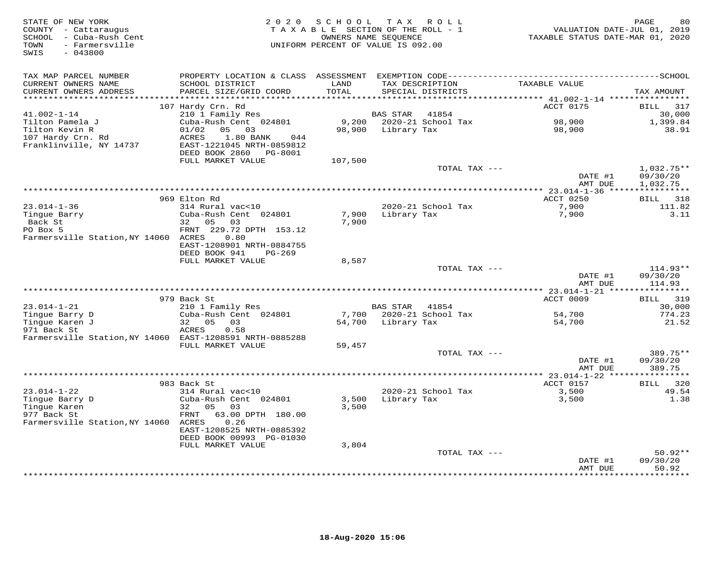| STATE OF NEW YORK<br>COUNTY - Cattaraugus<br>SCHOOL - Cuba-Rush Cent<br>- Farmersville<br>TOWN<br>$-043800$<br>SWIS | 2 0 2 0                                                                | SCHOOL        | T A X<br>ROLL<br>TAXABLE SECTION OF THE ROLL - 1<br>OWNERS NAME SEQUENCE<br>UNIFORM PERCENT OF VALUE IS 092.00 | VALUATION DATE-JUL 01, 2019<br>TAXABLE STATUS DATE-MAR 01, 2020 | PAGE<br>80                |
|---------------------------------------------------------------------------------------------------------------------|------------------------------------------------------------------------|---------------|----------------------------------------------------------------------------------------------------------------|-----------------------------------------------------------------|---------------------------|
| TAX MAP PARCEL NUMBER                                                                                               | PROPERTY LOCATION & CLASS ASSESSMENT                                   |               |                                                                                                                |                                                                 |                           |
| CURRENT OWNERS NAME<br>CURRENT OWNERS ADDRESS<br>********************                                               | SCHOOL DISTRICT<br>PARCEL SIZE/GRID COORD<br>************************* | LAND<br>TOTAL | TAX DESCRIPTION<br>SPECIAL DISTRICTS                                                                           | TAXABLE VALUE                                                   | TAX AMOUNT                |
|                                                                                                                     | 107 Hardy Crn. Rd                                                      |               |                                                                                                                | ACCT 0175                                                       | BILL<br>317               |
| $41.002 - 1 - 14$                                                                                                   | 210 1 Family Res                                                       |               | <b>BAS STAR</b><br>41854                                                                                       |                                                                 | 30,000                    |
| Tilton Pamela J                                                                                                     | Cuba-Rush Cent 024801                                                  | 9,200         | 2020-21 School Tax                                                                                             | 98,900                                                          | 1,399.84                  |
| Tilton Kevin R                                                                                                      | 01/02<br>05 03                                                         | 98,900        | Library Tax                                                                                                    | 98,900                                                          | 38.91                     |
| 107 Hardy Crn. Rd                                                                                                   | <b>ACRES</b><br>1.80 BANK<br>044                                       |               |                                                                                                                |                                                                 |                           |
| Franklinville, NY 14737                                                                                             | EAST-1221045 NRTH-0859812                                              |               |                                                                                                                |                                                                 |                           |
|                                                                                                                     | DEED BOOK 2860<br>PG-8001                                              |               |                                                                                                                |                                                                 |                           |
|                                                                                                                     | FULL MARKET VALUE                                                      | 107,500       |                                                                                                                |                                                                 |                           |
|                                                                                                                     |                                                                        |               | TOTAL TAX ---                                                                                                  |                                                                 | $1,032.75**$              |
|                                                                                                                     |                                                                        |               |                                                                                                                | DATE #1                                                         | 09/30/20                  |
|                                                                                                                     |                                                                        |               | ***********************************                                                                            | AMT DUE                                                         | 1,032.75                  |
|                                                                                                                     |                                                                        |               |                                                                                                                | ******** 23.014-1-36 ****************                           |                           |
| $23.014 - 1 - 36$                                                                                                   | 969 Elton Rd<br>314 Rural vac<10                                       |               | 2020-21 School Tax                                                                                             | ACCT 0250<br>7,900                                              | <b>BILL</b> 318<br>111.82 |
| Tingue Barry                                                                                                        | Cuba-Rush Cent 024801                                                  | 7,900         | Library Tax                                                                                                    | 7,900                                                           | 3.11                      |
| Back St                                                                                                             | 05<br>0.3<br>32 a                                                      | 7,900         |                                                                                                                |                                                                 |                           |
| PO Box 5                                                                                                            | FRNT 229.72 DPTH 153.12                                                |               |                                                                                                                |                                                                 |                           |
| Farmersville Station, NY 14060                                                                                      | 0.80<br>ACRES                                                          |               |                                                                                                                |                                                                 |                           |
|                                                                                                                     | EAST-1208901 NRTH-0884755                                              |               |                                                                                                                |                                                                 |                           |
|                                                                                                                     | DEED BOOK 941<br>PG-269                                                |               |                                                                                                                |                                                                 |                           |
|                                                                                                                     | FULL MARKET VALUE                                                      | 8,587         |                                                                                                                |                                                                 |                           |
|                                                                                                                     |                                                                        |               | TOTAL TAX ---                                                                                                  |                                                                 | $114.93**$                |
|                                                                                                                     |                                                                        |               |                                                                                                                | DATE #1                                                         | 09/30/20                  |
|                                                                                                                     |                                                                        |               |                                                                                                                | AMT DUE                                                         | 114.93                    |
|                                                                                                                     |                                                                        |               |                                                                                                                | ** 23.014-1-21 ****                                             | ***********               |
| $23.014 - 1 - 21$                                                                                                   | 979 Back St<br>210 1 Family Res                                        |               | <b>BAS STAR</b><br>41854                                                                                       | ACCT 0009                                                       | 319<br>BILL<br>30,000     |
| Tingue Barry D                                                                                                      | Cuba-Rush Cent 024801                                                  | 7,700         | 2020-21 School Tax                                                                                             | 54,700                                                          | 774.23                    |
| Tingue Karen J                                                                                                      | 32 05<br>03                                                            | 54,700        | Library Tax                                                                                                    | 54,700                                                          | 21.52                     |
| 971 Back St                                                                                                         | 0.58<br>ACRES                                                          |               |                                                                                                                |                                                                 |                           |
| Farmersville Station, NY 14060 EAST-1208591 NRTH-0885288                                                            |                                                                        |               |                                                                                                                |                                                                 |                           |
|                                                                                                                     | FULL MARKET VALUE                                                      | 59,457        |                                                                                                                |                                                                 |                           |
|                                                                                                                     |                                                                        |               | TOTAL TAX ---                                                                                                  |                                                                 | 389.75**                  |
|                                                                                                                     |                                                                        |               |                                                                                                                | DATE #1                                                         | 09/30/20                  |
|                                                                                                                     |                                                                        |               |                                                                                                                | AMT DUE                                                         | 389.75                    |
|                                                                                                                     | **********************                                                 |               | ************************                                                                                       | *** 23.014-1-22 *****                                           | ***********               |
|                                                                                                                     | 983 Back St                                                            |               |                                                                                                                | ACCT 0157                                                       | BILL 320                  |
| $23.014 - 1 - 22$<br>Tingue Barry D                                                                                 | 314 Rural vac<10<br>Cuba-Rush Cent 024801                              | 3,500         | 2020-21 School Tax<br>Library Tax                                                                              | 3,500<br>3,500                                                  | 49.54<br>1.38             |
| Tinque Karen                                                                                                        | 32<br>05<br>03                                                         | 3,500         |                                                                                                                |                                                                 |                           |
| 977 Back St                                                                                                         | FRNT<br>63.00 DPTH 180.00                                              |               |                                                                                                                |                                                                 |                           |
| Farmersville Station, NY 14060                                                                                      | ACRES<br>0.26                                                          |               |                                                                                                                |                                                                 |                           |
|                                                                                                                     | EAST-1208525 NRTH-0885392                                              |               |                                                                                                                |                                                                 |                           |
|                                                                                                                     | DEED BOOK 00993 PG-01030                                               |               |                                                                                                                |                                                                 |                           |
|                                                                                                                     | FULL MARKET VALUE                                                      | 3,804         |                                                                                                                |                                                                 |                           |
|                                                                                                                     |                                                                        |               | TOTAL TAX ---                                                                                                  |                                                                 | $50.92**$                 |
|                                                                                                                     |                                                                        |               |                                                                                                                | DATE #1                                                         | 09/30/20                  |
|                                                                                                                     |                                                                        |               |                                                                                                                | AMT DUE                                                         | 50.92<br>*******          |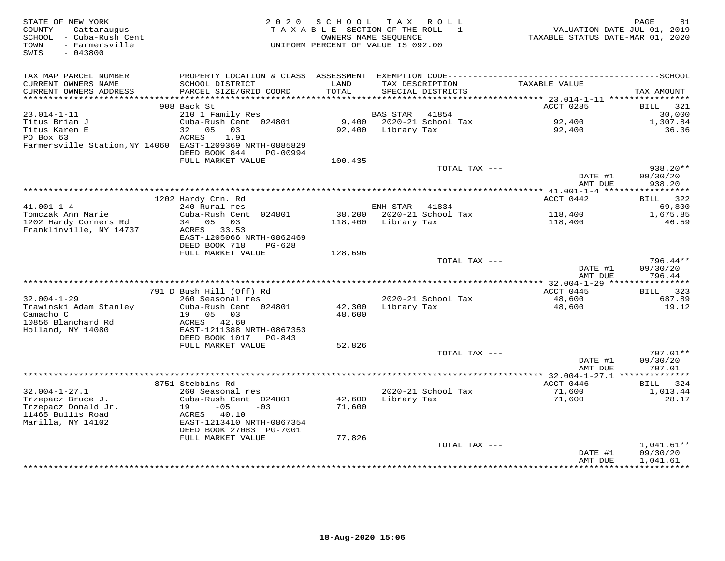| STATE OF NEW YORK<br>COUNTY - Cattaraugus<br>SCHOOL - Cuba-Rush Cent<br>- Farmersville<br>TOWN<br>$-043800$<br>SWIS | 2 0 2 0                                              | SCHOOL<br>TAXABLE SECTION OF THE ROLL - 1<br>OWNERS NAME SEOUENCE<br>UNIFORM PERCENT OF VALUE IS 092.00 |                 | TAX ROLL                             | VALUATION DATE-JUL 01, 2019<br>TAXABLE STATUS DATE-MAR 01, 2020 | PAGE<br>81            |
|---------------------------------------------------------------------------------------------------------------------|------------------------------------------------------|---------------------------------------------------------------------------------------------------------|-----------------|--------------------------------------|-----------------------------------------------------------------|-----------------------|
| TAX MAP PARCEL NUMBER                                                                                               |                                                      |                                                                                                         |                 |                                      |                                                                 |                       |
| CURRENT OWNERS NAME<br>CURRENT OWNERS ADDRESS<br>***********************                                            | SCHOOL DISTRICT<br>PARCEL SIZE/GRID COORD            | LAND<br>TOTAL                                                                                           |                 | TAX DESCRIPTION<br>SPECIAL DISTRICTS | TAXABLE VALUE                                                   | TAX AMOUNT            |
|                                                                                                                     | 908 Back St                                          |                                                                                                         |                 |                                      | ACCT 0285                                                       | 321<br>BILL           |
| $23.014 - 1 - 11$                                                                                                   | 210 1 Family Res                                     |                                                                                                         | <b>BAS STAR</b> | 41854                                |                                                                 | 30,000                |
| Titus Brian J                                                                                                       | Cuba-Rush Cent 024801                                | 9,400                                                                                                   |                 | 2020-21 School Tax                   | 92,400                                                          | 1,307.84              |
| Titus Karen E                                                                                                       | 05<br>32<br>03                                       | 92,400                                                                                                  | Library Tax     |                                      | 92,400                                                          | 36.36                 |
| PO Box 63<br>Farmersville Station, NY 14060 EAST-1209369 NRTH-0885829                                               | <b>ACRES</b><br>1.91<br>DEED BOOK 844<br>PG-00994    |                                                                                                         |                 |                                      |                                                                 |                       |
|                                                                                                                     | FULL MARKET VALUE                                    | 100,435                                                                                                 |                 |                                      |                                                                 |                       |
|                                                                                                                     |                                                      |                                                                                                         |                 | TOTAL TAX ---                        |                                                                 | 938.20**              |
|                                                                                                                     |                                                      |                                                                                                         |                 |                                      | DATE #1<br>AMT DUE                                              | 09/30/20<br>938.20    |
|                                                                                                                     |                                                      |                                                                                                         |                 |                                      |                                                                 | * * * * * * * * * * * |
| $41.001 - 1 - 4$                                                                                                    | 1202 Hardy Crn. Rd                                   |                                                                                                         |                 |                                      | ACCT 0442                                                       | BILL<br>322           |
| Tomczak Ann Marie                                                                                                   | 240 Rural res<br>Cuba-Rush Cent 024801               | 38,200                                                                                                  | ENH STAR        | 41834<br>2020-21 School Tax          | 118,400                                                         | 69,800<br>1,675.85    |
| 1202 Hardy Corners Rd                                                                                               | 34 05 03                                             | 118,400                                                                                                 | Library Tax     |                                      | 118,400                                                         | 46.59                 |
| Franklinville, NY 14737                                                                                             | ACRES 33.53<br>EAST-1205066 NRTH-0862469             |                                                                                                         |                 |                                      |                                                                 |                       |
|                                                                                                                     | DEED BOOK 718<br>$PG-628$                            |                                                                                                         |                 |                                      |                                                                 |                       |
|                                                                                                                     | FULL MARKET VALUE                                    | 128,696                                                                                                 |                 | TOTAL TAX ---                        |                                                                 | $796.44**$            |
|                                                                                                                     |                                                      |                                                                                                         |                 |                                      | DATE #1<br>AMT DUE                                              | 09/30/20<br>796.44    |
|                                                                                                                     |                                                      |                                                                                                         |                 |                                      |                                                                 |                       |
|                                                                                                                     | 791 D Bush Hill (Off) Rd                             |                                                                                                         |                 |                                      | ACCT 0445                                                       | BILL 323              |
| $32.004 - 1 - 29$<br>Trawinski Adam Stanley                                                                         | 260 Seasonal res<br>Cuba-Rush Cent 024801            | 42,300                                                                                                  |                 | 2020-21 School Tax<br>Library Tax    | 48,600<br>48,600                                                | 687.89<br>19.12       |
| Camacho C                                                                                                           | 05 03<br>19                                          | 48,600                                                                                                  |                 |                                      |                                                                 |                       |
| 10856 Blanchard Rd                                                                                                  | ACRES<br>42.60                                       |                                                                                                         |                 |                                      |                                                                 |                       |
| Holland, NY 14080                                                                                                   | EAST-1211388 NRTH-0867353                            |                                                                                                         |                 |                                      |                                                                 |                       |
|                                                                                                                     | DEED BOOK 1017<br>PG-843                             |                                                                                                         |                 |                                      |                                                                 |                       |
|                                                                                                                     | FULL MARKET VALUE                                    | 52,826                                                                                                  |                 |                                      |                                                                 |                       |
|                                                                                                                     |                                                      |                                                                                                         |                 | TOTAL TAX ---                        | DATE #1                                                         | 707.01**<br>09/30/20  |
|                                                                                                                     |                                                      |                                                                                                         |                 |                                      | AMT DUE                                                         | 707.01                |
|                                                                                                                     |                                                      |                                                                                                         |                 |                                      |                                                                 |                       |
|                                                                                                                     | 8751 Stebbins Rd                                     |                                                                                                         |                 |                                      | ACCT 0446                                                       | 324<br>BILL           |
| $32.004 - 1 - 27.1$                                                                                                 | 260 Seasonal res                                     |                                                                                                         |                 | 2020-21 School Tax                   | 71,600                                                          | 1,013.44              |
| Trzepacz Bruce J.<br>Trzepacz Donald Jr.                                                                            | Cuba-Rush Cent 024801<br>$-05$<br>19<br>$-03$        | 42,600<br>71,600                                                                                        | Library Tax     |                                      | 71,600                                                          | 28.17                 |
| 11465 Bullis Road                                                                                                   | ACRES 40.10                                          |                                                                                                         |                 |                                      |                                                                 |                       |
| Marilla, NY 14102                                                                                                   | EAST-1213410 NRTH-0867354<br>DEED BOOK 27083 PG-7001 |                                                                                                         |                 |                                      |                                                                 |                       |
|                                                                                                                     | FULL MARKET VALUE                                    | 77,826                                                                                                  |                 |                                      |                                                                 |                       |
|                                                                                                                     |                                                      |                                                                                                         |                 | TOTAL TAX ---                        |                                                                 | $1,041.61**$          |
|                                                                                                                     |                                                      |                                                                                                         |                 |                                      | DATE #1<br>AMT DUE                                              | 09/30/20<br>1,041.61  |
|                                                                                                                     |                                                      |                                                                                                         |                 |                                      | *************                                                   | ***********           |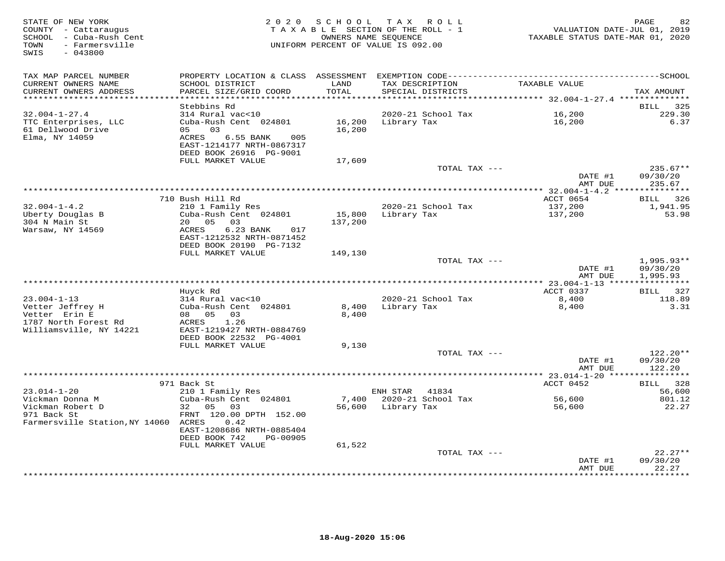| STATE OF NEW YORK<br>COUNTY - Cattaraugus<br>SCHOOL - Cuba-Rush Cent<br>- Farmersville<br>TOWN<br>SWIS<br>$-043800$ | 2 0 2 0                                                                                                         |                  | SCHOOL TAX ROLL<br>TAXABLE SECTION OF THE ROLL - 1<br>OWNERS NAME SEQUENCE<br>UNIFORM PERCENT OF VALUE IS 092.00 | TAXABLE STATUS DATE-MAR 01, 2020                         | 82<br>PAGE<br>VALUATION DATE-JUL 01, 2019 |
|---------------------------------------------------------------------------------------------------------------------|-----------------------------------------------------------------------------------------------------------------|------------------|------------------------------------------------------------------------------------------------------------------|----------------------------------------------------------|-------------------------------------------|
| TAX MAP PARCEL NUMBER<br>CURRENT OWNERS NAME<br>CURRENT OWNERS ADDRESS                                              | SCHOOL DISTRICT<br>PARCEL SIZE/GRID COORD                                                                       | LAND<br>TOTAL    | TAX DESCRIPTION<br>SPECIAL DISTRICTS                                                                             | TAXABLE VALUE                                            | TAX AMOUNT                                |
|                                                                                                                     |                                                                                                                 | ********         |                                                                                                                  | *************************** 32.004-1-27.4 ************** |                                           |
|                                                                                                                     | Stebbins Rd                                                                                                     |                  |                                                                                                                  |                                                          | 325<br>BILL                               |
| $32.004 - 1 - 27.4$<br>TTC Enterprises, LLC<br>61 Dellwood Drive<br>Elma, NY 14059                                  | 314 Rural vac<10<br>Cuba-Rush Cent 024801<br>03<br>05<br>ACRES<br>6.55 BANK<br>005<br>EAST-1214177 NRTH-0867317 | 16,200<br>16,200 | 2020-21 School Tax<br>Library Tax                                                                                | 16,200<br>16,200                                         | 229.30<br>6.37                            |
|                                                                                                                     | DEED BOOK 26916 PG-9001<br>FULL MARKET VALUE                                                                    |                  |                                                                                                                  |                                                          |                                           |
|                                                                                                                     |                                                                                                                 | 17,609           | TOTAL TAX ---                                                                                                    |                                                          | $235.67**$                                |
|                                                                                                                     |                                                                                                                 |                  |                                                                                                                  | DATE #1<br>AMT DUE                                       | 09/30/20<br>235.67                        |
|                                                                                                                     |                                                                                                                 |                  |                                                                                                                  |                                                          |                                           |
|                                                                                                                     | 710 Bush Hill Rd                                                                                                |                  |                                                                                                                  | ACCT 0654                                                | 326<br><b>BILL</b>                        |
| $32.004 - 1 - 4.2$                                                                                                  | 210 1 Family Res                                                                                                |                  | 2020-21 School Tax                                                                                               | 137,200                                                  | 1,941.95                                  |
| Uberty Douglas B<br>304 N Main St                                                                                   | Cuba-Rush Cent 024801<br>20 05<br>03                                                                            | 15,800           | Library Tax                                                                                                      | 137,200                                                  | 53.98                                     |
| Warsaw, NY 14569                                                                                                    | ACRES<br>6.23 BANK<br>017<br>EAST-1212532 NRTH-0871452<br>DEED BOOK 20190 PG-7132                               | 137,200          |                                                                                                                  |                                                          |                                           |
|                                                                                                                     | FULL MARKET VALUE                                                                                               | 149,130          |                                                                                                                  |                                                          |                                           |
|                                                                                                                     |                                                                                                                 |                  | TOTAL TAX ---                                                                                                    | DATE #1                                                  | $1,995.93**$<br>09/30/20                  |
|                                                                                                                     |                                                                                                                 |                  |                                                                                                                  | AMT DUE                                                  | 1,995.93                                  |
|                                                                                                                     |                                                                                                                 |                  |                                                                                                                  |                                                          |                                           |
| $23.004 - 1 - 13$                                                                                                   | Huyck Rd<br>314 Rural vac<10                                                                                    |                  | 2020-21 School Tax                                                                                               | ACCT 0337<br>8,400                                       | BILL 327<br>118.89                        |
| Vetter Jeffrey H<br>Vetter Erin E<br>1787 North Forest Rd                                                           | Cuba-Rush Cent 024801<br>08 05<br>03<br>ACRES<br>1.26                                                           | 8,400<br>8,400   | Library Tax                                                                                                      | 8,400                                                    | 3.31                                      |
| Williamsville, NY 14221                                                                                             | EAST-1219427 NRTH-0884769<br>DEED BOOK 22532 PG-4001                                                            |                  |                                                                                                                  |                                                          |                                           |
|                                                                                                                     | FULL MARKET VALUE                                                                                               | 9,130            |                                                                                                                  |                                                          |                                           |
|                                                                                                                     |                                                                                                                 |                  | TOTAL TAX ---                                                                                                    | DATE #1<br>AMT DUE                                       | $122.20**$<br>09/30/20<br>122.20          |
|                                                                                                                     |                                                                                                                 |                  |                                                                                                                  |                                                          |                                           |
| $23.014 - 1 - 20$                                                                                                   | 971 Back St<br>210 1 Family Res                                                                                 |                  | ENH STAR<br>41834                                                                                                | ACCT 0452                                                | BILL 328<br>56,600                        |
| Vickman Donna M                                                                                                     | Cuba-Rush Cent 024801                                                                                           | 7,400            | 2020-21 School Tax                                                                                               | 56,600                                                   | 801.12                                    |
| Vickman Robert D                                                                                                    | 32 05<br>03                                                                                                     |                  | 56,600 Library Tax                                                                                               | 56,600                                                   | 22.27                                     |
| 971 Back St<br>Farmersville Station, NY 14060 ACRES                                                                 | FRNT 120.00 DPTH 152.00<br>0.42                                                                                 |                  |                                                                                                                  |                                                          |                                           |
|                                                                                                                     | EAST-1208686 NRTH-0885404<br>DEED BOOK 742<br>PG-00905                                                          |                  |                                                                                                                  |                                                          |                                           |
|                                                                                                                     | FULL MARKET VALUE                                                                                               | 61,522           |                                                                                                                  |                                                          |                                           |
|                                                                                                                     |                                                                                                                 |                  | TOTAL TAX ---                                                                                                    |                                                          | $22.27**$                                 |
|                                                                                                                     |                                                                                                                 |                  |                                                                                                                  | DATE #1<br>AMT DUE                                       | 09/30/20<br>22.27                         |
|                                                                                                                     |                                                                                                                 |                  |                                                                                                                  |                                                          | * * * * * * *                             |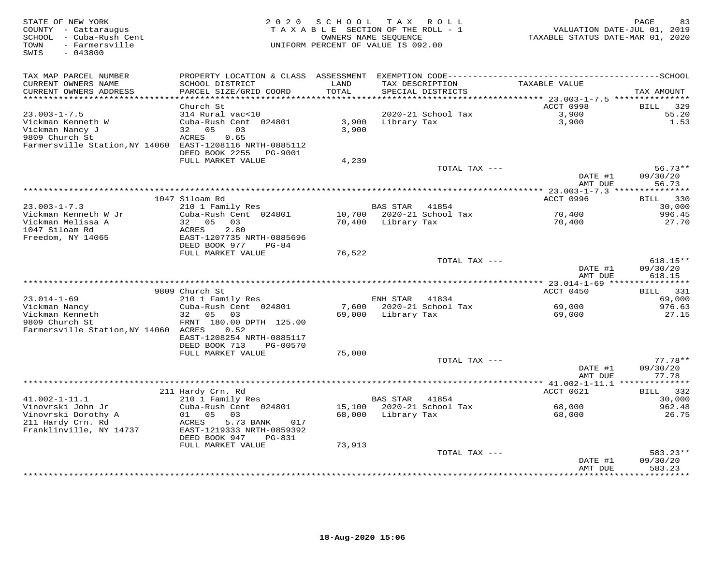| STATE OF NEW YORK<br>COUNTY - Cattaraugus<br>SCHOOL - Cuba-Rush Cent<br>TOWN<br>- Farmersville<br>SWIS<br>$-043800$ | 2 0 2 0                                        | SCHOOL            | T A X<br>ROLL<br>TAXABLE SECTION OF THE ROLL - 1<br>OWNERS NAME SEQUENCE<br>UNIFORM PERCENT OF VALUE IS 092.00 |               | TAXABLE STATUS DATE-MAR 01, 2020                   | PAGE<br>83<br>VALUATION DATE-JUL 01, 2019 |
|---------------------------------------------------------------------------------------------------------------------|------------------------------------------------|-------------------|----------------------------------------------------------------------------------------------------------------|---------------|----------------------------------------------------|-------------------------------------------|
| TAX MAP PARCEL NUMBER                                                                                               |                                                |                   |                                                                                                                |               |                                                    |                                           |
| CURRENT OWNERS NAME                                                                                                 | SCHOOL DISTRICT                                | LAND              | TAX DESCRIPTION                                                                                                |               | TAXABLE VALUE                                      |                                           |
| CURRENT OWNERS ADDRESS<br>*********************                                                                     | PARCEL SIZE/GRID COORD                         | TOTAL<br>******** | SPECIAL DISTRICTS                                                                                              |               |                                                    | TAX AMOUNT                                |
|                                                                                                                     | Church St                                      |                   |                                                                                                                |               | ******* 23.003-1-7.5 ****************<br>ACCT 0998 | 329<br>BILL                               |
| $23.003 - 1 - 7.5$                                                                                                  | 314 Rural vac<10                               |                   | 2020-21 School Tax                                                                                             |               | 3,900                                              | 55.20                                     |
| Vickman Kenneth W                                                                                                   | Cuba-Rush Cent 024801                          | 3,900             | Library Tax                                                                                                    |               | 3,900                                              | 1.53                                      |
| Vickman Nancy J                                                                                                     | 32 05<br>03                                    | 3,900             |                                                                                                                |               |                                                    |                                           |
| 9809 Church St                                                                                                      | ACRES<br>0.65                                  |                   |                                                                                                                |               |                                                    |                                           |
| Farmersville Station, NY 14060 EAST-1208116 NRTH-0885112                                                            |                                                |                   |                                                                                                                |               |                                                    |                                           |
|                                                                                                                     | DEED BOOK 2255<br>PG-9001<br>FULL MARKET VALUE |                   |                                                                                                                |               |                                                    |                                           |
|                                                                                                                     |                                                | 4,239             |                                                                                                                | TOTAL TAX --- |                                                    | $56.73**$                                 |
|                                                                                                                     |                                                |                   |                                                                                                                |               | DATE #1                                            | 09/30/20                                  |
|                                                                                                                     |                                                |                   |                                                                                                                |               | AMT DUE                                            | 56.73                                     |
|                                                                                                                     |                                                |                   |                                                                                                                |               |                                                    |                                           |
|                                                                                                                     | 1047 Siloam Rd                                 |                   |                                                                                                                |               | ACCT 0996                                          | BILL 330                                  |
| $23.003 - 1 - 7.3$                                                                                                  | 210 1 Family Res                               |                   | BAS STAR 41854                                                                                                 |               |                                                    | 30,000                                    |
| Vickman Kenneth W Jr<br>Vickman Melissa A                                                                           | Cuba-Rush Cent 024801<br>32 05<br>03           |                   | 10,700 2020-21 School Tax<br>70,400 Library Tax                                                                |               | 70,400<br>70,400                                   | 996.45<br>27.70                           |
| 1047 Siloam Rd                                                                                                      | ACRES<br>2.80                                  |                   |                                                                                                                |               |                                                    |                                           |
| Freedom, NY 14065                                                                                                   | EAST-1207735 NRTH-0885696                      |                   |                                                                                                                |               |                                                    |                                           |
|                                                                                                                     | DEED BOOK 977<br>PG-84                         |                   |                                                                                                                |               |                                                    |                                           |
|                                                                                                                     | FULL MARKET VALUE                              | 76,522            |                                                                                                                |               |                                                    |                                           |
|                                                                                                                     |                                                |                   |                                                                                                                | TOTAL TAX --- |                                                    | $618.15**$                                |
|                                                                                                                     |                                                |                   |                                                                                                                |               | DATE #1<br>AMT DUE                                 | 09/30/20<br>618.15                        |
|                                                                                                                     |                                                |                   |                                                                                                                |               |                                                    |                                           |
|                                                                                                                     | 9809 Church St                                 |                   |                                                                                                                |               | ACCT 0450                                          | 331<br><b>BILL</b>                        |
| $23.014 - 1 - 69$                                                                                                   | 210 1 Family Res                               |                   | ENH STAR<br>41834                                                                                              |               |                                                    | 69,000                                    |
| Vickman Nancy                                                                                                       | Cuba-Rush Cent 024801                          | 7,600             | 2020-21 School Tax                                                                                             |               | 69,000                                             | 976.63                                    |
| Vickman Kenneth                                                                                                     | 32<br>05 03                                    | 69,000            | Library Tax                                                                                                    |               | 69,000                                             | 27.15                                     |
| 9809 Church St<br>Farmersville Station, NY 14060 ACRES                                                              | FRNT 180.00 DPTH 125.00<br>0.52                |                   |                                                                                                                |               |                                                    |                                           |
|                                                                                                                     | EAST-1208254 NRTH-0885117                      |                   |                                                                                                                |               |                                                    |                                           |
|                                                                                                                     | DEED BOOK 713<br>PG-00570                      |                   |                                                                                                                |               |                                                    |                                           |
|                                                                                                                     | FULL MARKET VALUE                              | 75,000            |                                                                                                                |               |                                                    |                                           |
|                                                                                                                     |                                                |                   |                                                                                                                | TOTAL TAX --- |                                                    | $77.78**$                                 |
|                                                                                                                     |                                                |                   |                                                                                                                |               | DATE #1                                            | 09/30/20                                  |
|                                                                                                                     |                                                |                   |                                                                                                                |               | AMT DUE                                            | 77.78<br>* * * * * * * *                  |
|                                                                                                                     | 211 Hardy Crn. Rd                              |                   |                                                                                                                |               | ACCT 0621                                          | 332<br><b>BILL</b>                        |
| $41.002 - 1 - 11.1$                                                                                                 | 210 1 Family Res                               |                   | BAS STAR<br>41854                                                                                              |               |                                                    | 30,000                                    |
| Vinovrski John Jr                                                                                                   | Cuba-Rush Cent 024801                          |                   | 15,100 2020-21 School Tax                                                                                      |               | 68,000                                             | 962.48                                    |
| Vinovrski Dorothy A                                                                                                 | 01 05<br>03                                    | 68,000            | Library Tax                                                                                                    |               | 68,000                                             | 26.75                                     |
| 211 Hardy Crn. Rd                                                                                                   | ACRES<br>5.73 BANK<br>017                      |                   |                                                                                                                |               |                                                    |                                           |
| Franklinville, NY 14737                                                                                             | EAST-1219333 NRTH-0859392                      |                   |                                                                                                                |               |                                                    |                                           |
|                                                                                                                     | DEED BOOK 947<br>PG-831                        | 73,913            |                                                                                                                |               |                                                    |                                           |
|                                                                                                                     | FULL MARKET VALUE                              |                   |                                                                                                                | TOTAL TAX --- |                                                    | 583.23**                                  |
|                                                                                                                     |                                                |                   |                                                                                                                |               | DATE #1                                            | 09/30/20                                  |
|                                                                                                                     |                                                |                   |                                                                                                                |               | AMT DUE                                            | 583.23                                    |
|                                                                                                                     |                                                |                   |                                                                                                                |               |                                                    | *********                                 |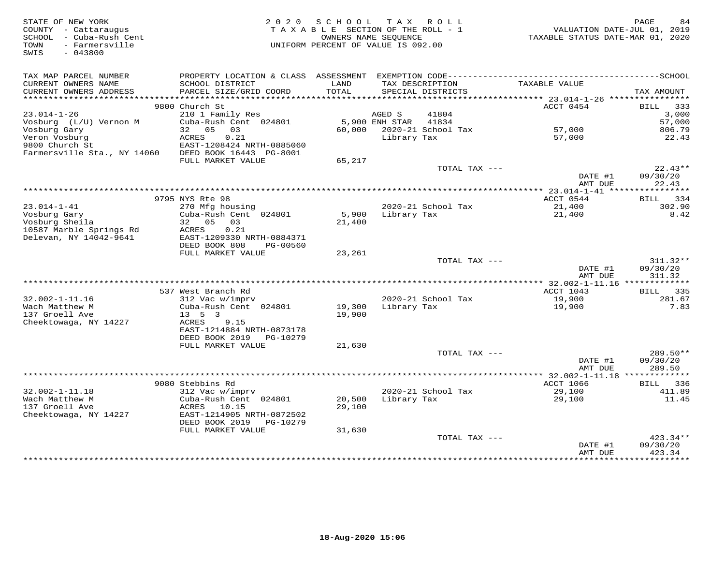| STATE OF NEW YORK<br>COUNTY - Cattaraugus<br>SCHOOL - Cuba-Rush Cent<br>TOWN<br>- Farmersville<br>SWIS<br>$-043800$ | 2 0 2 0                                                                                                                                   | SCHOOL TAX ROLL<br>TAXABLE SECTION OF THE ROLL - 1<br>OWNERS NAME SEQUENCE<br>UNIFORM PERCENT OF VALUE IS 092.00 |                      |                                      | VALUATION DATE-JUL 01, 2019<br>TAXABLE STATUS DATE-MAR 01, 2020 | PAGE<br>84  |
|---------------------------------------------------------------------------------------------------------------------|-------------------------------------------------------------------------------------------------------------------------------------------|------------------------------------------------------------------------------------------------------------------|----------------------|--------------------------------------|-----------------------------------------------------------------|-------------|
| TAX MAP PARCEL NUMBER<br>CURRENT OWNERS NAME<br>CURRENT OWNERS ADDRESS                                              | PROPERTY LOCATION & CLASS ASSESSMENT EXEMPTION CODE-----------------------------------SCHOOL<br>SCHOOL DISTRICT<br>PARCEL SIZE/GRID COORD | LAND<br>TOTAL                                                                                                    |                      | TAX DESCRIPTION<br>SPECIAL DISTRICTS | TAXABLE VALUE                                                   | TAX AMOUNT  |
|                                                                                                                     |                                                                                                                                           |                                                                                                                  |                      |                                      |                                                                 |             |
|                                                                                                                     | 9800 Church St                                                                                                                            |                                                                                                                  |                      |                                      | ACCT 0454                                                       | 333<br>BILL |
| $23.014 - 1 - 26$                                                                                                   | 210 1 Family Res                                                                                                                          |                                                                                                                  | AGED S               | 41804                                |                                                                 | 3,000       |
| Vosburg (L/U) Vernon M                                                                                              | Cuba-Rush Cent 024801                                                                                                                     |                                                                                                                  | 5,900 ENH STAR 41834 |                                      |                                                                 | 57,000      |
| Vosburg Gary                                                                                                        | 32 05 03                                                                                                                                  |                                                                                                                  |                      | 60,000 2020-21 School Tax            | 57,000                                                          | 806.79      |
| Veron Vosburg                                                                                                       | ACRES<br>0.21                                                                                                                             |                                                                                                                  | Library Tax          |                                      | 57,000                                                          | 22.43       |
| 9800 Church St                                                                                                      | EAST-1208424 NRTH-0885060                                                                                                                 |                                                                                                                  |                      |                                      |                                                                 |             |
| Farmersville Sta., NY 14060                                                                                         | DEED BOOK 16443 PG-8001                                                                                                                   |                                                                                                                  |                      |                                      |                                                                 |             |
|                                                                                                                     | FULL MARKET VALUE                                                                                                                         | 65,217                                                                                                           |                      | TOTAL TAX ---                        |                                                                 | $22.43**$   |
|                                                                                                                     |                                                                                                                                           |                                                                                                                  |                      |                                      | DATE #1                                                         | 09/30/20    |
|                                                                                                                     |                                                                                                                                           |                                                                                                                  |                      |                                      | AMT DUE                                                         | 22.43       |
|                                                                                                                     |                                                                                                                                           |                                                                                                                  |                      |                                      | *********** 23.014-1-41 *****************                       |             |
|                                                                                                                     | 9795 NYS Rte 98                                                                                                                           |                                                                                                                  |                      |                                      | ACCT 0544                                                       | BILL<br>334 |
| $23.014 - 1 - 41$                                                                                                   | 270 Mfg housing                                                                                                                           |                                                                                                                  |                      | 2020-21 School Tax                   | 21,400                                                          | 302.90      |
| Vosburg Gary                                                                                                        | Cuba-Rush Cent 024801                                                                                                                     | 5,900                                                                                                            | Library Tax          |                                      | 21,400                                                          | 8.42        |
| Vosburg Sheila                                                                                                      | 32 05<br>03                                                                                                                               | 21,400                                                                                                           |                      |                                      |                                                                 |             |
| 10587 Marble Springs Rd                                                                                             | ACRES<br>0.21                                                                                                                             |                                                                                                                  |                      |                                      |                                                                 |             |
| Delevan, NY 14042-9641                                                                                              | EAST-1209330 NRTH-0884371<br>DEED BOOK 808<br>PG-00560                                                                                    |                                                                                                                  |                      |                                      |                                                                 |             |
|                                                                                                                     | FULL MARKET VALUE                                                                                                                         | 23,261                                                                                                           |                      |                                      |                                                                 |             |
|                                                                                                                     |                                                                                                                                           |                                                                                                                  |                      | TOTAL TAX ---                        |                                                                 | $311.32**$  |
|                                                                                                                     |                                                                                                                                           |                                                                                                                  |                      |                                      | DATE #1                                                         | 09/30/20    |
|                                                                                                                     |                                                                                                                                           |                                                                                                                  |                      |                                      | AMT DUE                                                         | 311.32      |
|                                                                                                                     |                                                                                                                                           |                                                                                                                  |                      |                                      |                                                                 |             |
|                                                                                                                     | 537 West Branch Rd                                                                                                                        |                                                                                                                  |                      |                                      | ACCT 1043                                                       | BILL 335    |
| $32.002 - 1 - 11.16$                                                                                                | 312 Vac w/imprv                                                                                                                           |                                                                                                                  |                      | 2020-21 School Tax                   | 19,900                                                          | 281.67      |
| Wach Matthew M                                                                                                      | Cuba-Rush Cent 024801                                                                                                                     | 19,300 Library Tax                                                                                               |                      |                                      | 19,900                                                          | 7.83        |
| 137 Groell Ave                                                                                                      | $13 \quad 5 \quad 3$<br>ACRES                                                                                                             | 19,900                                                                                                           |                      |                                      |                                                                 |             |
| Cheektowaga, NY 14227                                                                                               | 9.15<br>EAST-1214884 NRTH-0873178                                                                                                         |                                                                                                                  |                      |                                      |                                                                 |             |
|                                                                                                                     | DEED BOOK 2019<br>PG-10279                                                                                                                |                                                                                                                  |                      |                                      |                                                                 |             |
|                                                                                                                     | FULL MARKET VALUE                                                                                                                         | 21,630                                                                                                           |                      |                                      |                                                                 |             |
|                                                                                                                     |                                                                                                                                           |                                                                                                                  |                      | TOTAL TAX ---                        |                                                                 | $289.50**$  |
|                                                                                                                     |                                                                                                                                           |                                                                                                                  |                      |                                      | DATE #1                                                         | 09/30/20    |
|                                                                                                                     |                                                                                                                                           |                                                                                                                  |                      |                                      | AMT DUE                                                         | 289.50      |
|                                                                                                                     |                                                                                                                                           |                                                                                                                  |                      |                                      |                                                                 |             |
|                                                                                                                     | 9080 Stebbins Rd                                                                                                                          |                                                                                                                  |                      |                                      | ACCT 1066                                                       | BILL 336    |
| $32.002 - 1 - 11.18$                                                                                                | 312 Vac w/imprv                                                                                                                           |                                                                                                                  |                      | 2020-21 School Tax                   | 29,100                                                          | 411.89      |
| Wach Matthew M<br>137 Groell Ave                                                                                    | Cuba-Rush Cent 024801<br>ACRES<br>10.15                                                                                                   | 20,500<br>29,100                                                                                                 | Library Tax          |                                      | 29,100                                                          | 11.45       |
| Cheektowaga, NY 14227                                                                                               | EAST-1214905 NRTH-0872502                                                                                                                 |                                                                                                                  |                      |                                      |                                                                 |             |
|                                                                                                                     | DEED BOOK 2019    PG-10279                                                                                                                |                                                                                                                  |                      |                                      |                                                                 |             |
|                                                                                                                     | FULL MARKET VALUE                                                                                                                         | 31,630                                                                                                           |                      |                                      |                                                                 |             |
|                                                                                                                     |                                                                                                                                           |                                                                                                                  |                      | TOTAL TAX ---                        |                                                                 | 423.34**    |
|                                                                                                                     |                                                                                                                                           |                                                                                                                  |                      |                                      | DATE #1                                                         | 09/30/20    |
|                                                                                                                     |                                                                                                                                           |                                                                                                                  |                      |                                      | AMT DUE                                                         | 423.34      |
|                                                                                                                     |                                                                                                                                           |                                                                                                                  |                      |                                      |                                                                 |             |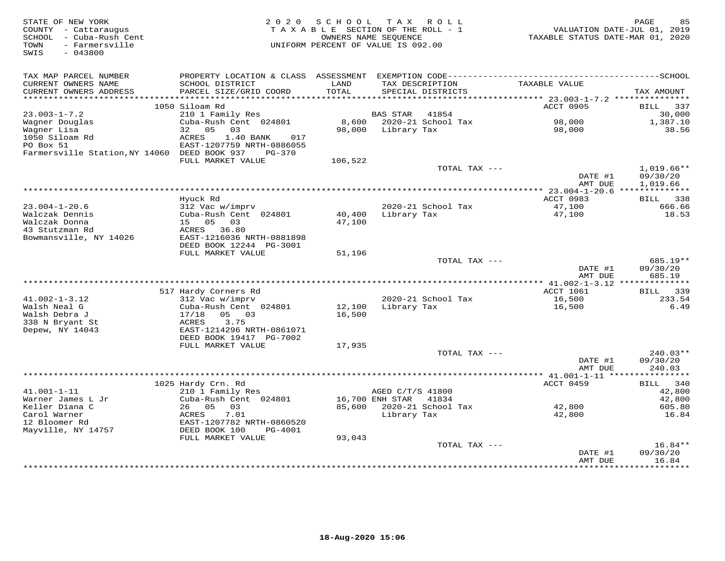| STATE OF NEW YORK<br>COUNTY - Cattaraugus<br>SCHOOL - Cuba-Rush Cent<br>- Farmersville<br>TOWN<br>$-043800$<br>SWIS | 2 0 2 0                                               | SCHOOL  | T A X<br>ROLL<br>TAXABLE SECTION OF THE ROLL - 1<br>OWNERS NAME SEQUENCE<br>UNIFORM PERCENT OF VALUE IS 092.00 |               | TAXABLE STATUS DATE-MAR 01, 2020 | 85<br>PAGE<br>VALUATION DATE-JUL 01, 2019 |
|---------------------------------------------------------------------------------------------------------------------|-------------------------------------------------------|---------|----------------------------------------------------------------------------------------------------------------|---------------|----------------------------------|-------------------------------------------|
| TAX MAP PARCEL NUMBER                                                                                               |                                                       |         |                                                                                                                |               |                                  |                                           |
| CURRENT OWNERS NAME                                                                                                 | SCHOOL DISTRICT                                       | LAND    | TAX DESCRIPTION                                                                                                |               | TAXABLE VALUE                    |                                           |
| CURRENT OWNERS ADDRESS<br>**********************                                                                    | PARCEL SIZE/GRID COORD                                | TOTAL   | SPECIAL DISTRICTS                                                                                              |               |                                  | TAX AMOUNT                                |
|                                                                                                                     | 1050 Siloam Rd                                        |         |                                                                                                                |               | ACCT 0905                        | BILL<br>337                               |
| $23.003 - 1 - 7.2$                                                                                                  | 210 1 Family Res                                      |         | 41854<br>BAS STAR                                                                                              |               |                                  | 30,000                                    |
| Wagner Douglas                                                                                                      | Cuba-Rush Cent 024801                                 | 8,600   | 2020-21 School Tax                                                                                             |               | 98,000                           | 1,387.10                                  |
| Wagner Lisa                                                                                                         | 0.5<br>03<br>32                                       | 98,000  | Library Tax                                                                                                    |               | 98,000                           | 38.56                                     |
| 1050 Siloam Rd                                                                                                      | ACRES<br>1.40 BANK<br>017                             |         |                                                                                                                |               |                                  |                                           |
| PO Box 51<br>Farmersville Station, NY 14060 DEED BOOK 937                                                           | EAST-1207759 NRTH-0886055<br>PG-370                   |         |                                                                                                                |               |                                  |                                           |
|                                                                                                                     | FULL MARKET VALUE                                     | 106,522 |                                                                                                                |               |                                  |                                           |
|                                                                                                                     |                                                       |         |                                                                                                                | TOTAL TAX --- |                                  | $1,019.66**$                              |
|                                                                                                                     |                                                       |         |                                                                                                                |               | DATE #1                          | 09/30/20                                  |
|                                                                                                                     |                                                       |         |                                                                                                                |               | AMT DUE                          | 1,019.66                                  |
|                                                                                                                     | Hyuck Rd                                              |         |                                                                                                                |               | ACCT 0983                        | BILL 338                                  |
| $23.004 - 1 - 20.6$                                                                                                 | 312 Vac w/imprv                                       |         | 2020-21 School Tax                                                                                             |               | 47,100                           | 666.66                                    |
| Walczak Dennis                                                                                                      | Cuba-Rush Cent 024801                                 | 40,400  | Library Tax                                                                                                    |               | 47,100                           | 18.53                                     |
| Walczak Donna                                                                                                       | 15 05<br>03                                           | 47,100  |                                                                                                                |               |                                  |                                           |
| 43 Stutzman Rd                                                                                                      | ACRES 36.80                                           |         |                                                                                                                |               |                                  |                                           |
| Bowmansville, NY 14026                                                                                              | EAST-1216036 NRTH-0881898<br>DEED BOOK 12244 PG-3001  |         |                                                                                                                |               |                                  |                                           |
|                                                                                                                     | FULL MARKET VALUE                                     | 51,196  |                                                                                                                |               |                                  |                                           |
|                                                                                                                     |                                                       |         |                                                                                                                | TOTAL TAX --- |                                  | 685.19**                                  |
|                                                                                                                     |                                                       |         |                                                                                                                |               | DATE #1                          | 09/30/20                                  |
|                                                                                                                     |                                                       |         |                                                                                                                |               | AMT DUE                          | 685.19                                    |
|                                                                                                                     | 517 Hardy Corners Rd                                  |         |                                                                                                                |               | ACCT 1061                        | 339<br>BILL                               |
| $41.002 - 1 - 3.12$                                                                                                 | 312 Vac w/imprv                                       |         | 2020-21 School Tax                                                                                             |               | 16,500                           | 233.54                                    |
| Walsh Neal G                                                                                                        | Cuba-Rush Cent 024801                                 | 12,100  | Library Tax                                                                                                    |               | 16,500                           | 6.49                                      |
| Walsh Debra J                                                                                                       | 17/18<br>05 03                                        | 16,500  |                                                                                                                |               |                                  |                                           |
| 338 N Bryant St                                                                                                     | 3.75<br>ACRES                                         |         |                                                                                                                |               |                                  |                                           |
| Depew, NY 14043                                                                                                     | EAST-1214296 NRTH-0861071<br>DEED BOOK 19417 PG-7002  |         |                                                                                                                |               |                                  |                                           |
|                                                                                                                     | FULL MARKET VALUE                                     | 17,935  |                                                                                                                |               |                                  |                                           |
|                                                                                                                     |                                                       |         |                                                                                                                | TOTAL TAX --- |                                  | $240.03**$                                |
|                                                                                                                     |                                                       |         |                                                                                                                |               | DATE #1                          | 09/30/20                                  |
|                                                                                                                     |                                                       |         |                                                                                                                |               | AMT DUE                          | 240.03                                    |
|                                                                                                                     | 1025 Hardy Crn. Rd                                    |         |                                                                                                                |               | ACCT 0459                        | 340<br>BILL                               |
| $41.001 - 1 - 11$                                                                                                   | 210 1 Family Res                                      |         | AGED C/T/S 41800                                                                                               |               |                                  | 42,800                                    |
| Warner James L Jr                                                                                                   | Cuba-Rush Cent 024801                                 |         | 16,700 ENH STAR<br>41834                                                                                       |               |                                  | 42,800                                    |
| Keller Diana C                                                                                                      | 0.5<br>03<br>26                                       | 85,600  | 2020-21 School Tax                                                                                             |               | 42,800                           | 605.80                                    |
| Carol Warner                                                                                                        | ACRES<br>7.01                                         |         | Library Tax                                                                                                    |               | 42,800                           | 16.84                                     |
| 12 Bloomer Rd<br>Mayville, NY 14757                                                                                 | EAST-1207782 NRTH-0860520<br>DEED BOOK 100<br>PG-4001 |         |                                                                                                                |               |                                  |                                           |
|                                                                                                                     | FULL MARKET VALUE                                     | 93,043  |                                                                                                                |               |                                  |                                           |
|                                                                                                                     |                                                       |         |                                                                                                                | TOTAL TAX --- |                                  | $16.84**$                                 |
|                                                                                                                     |                                                       |         |                                                                                                                |               | DATE #1                          | 09/30/20                                  |
|                                                                                                                     |                                                       |         | ******************************                                                                                 |               | AMT DUE<br>**************        | 16.84<br>*********                        |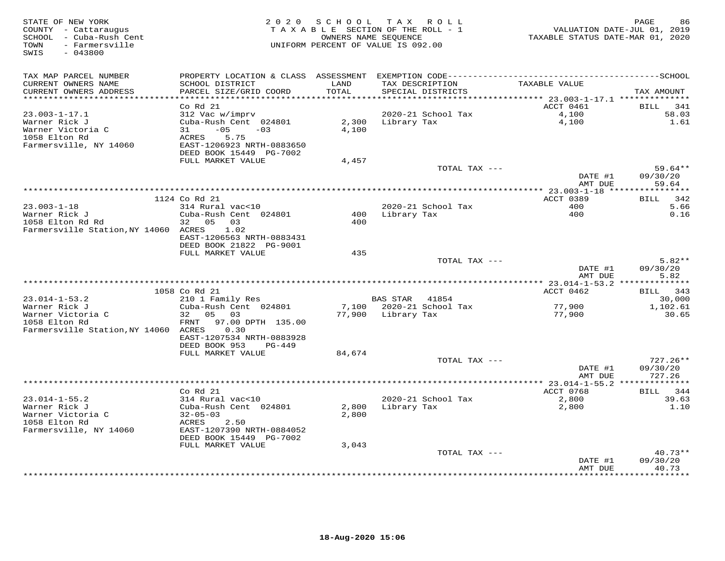| STATE OF NEW YORK<br>COUNTY - Cattaraugus<br>SCHOOL - Cuba-Rush Cent<br>- Farmersville<br>TOWN<br>SWIS<br>$-043800$ | 2 0 2 0                                                                                                                                                      |                | SCHOOL TAX ROLL<br>TAXABLE SECTION OF THE ROLL - 1<br>OWNERS NAME SEQUENCE<br>UNIFORM PERCENT OF VALUE IS 092.00 | TAXABLE STATUS DATE-MAR 01, 2020             | PAGE<br>86<br>VALUATION DATE-JUL 01, 2019 |
|---------------------------------------------------------------------------------------------------------------------|--------------------------------------------------------------------------------------------------------------------------------------------------------------|----------------|------------------------------------------------------------------------------------------------------------------|----------------------------------------------|-------------------------------------------|
| TAX MAP PARCEL NUMBER<br>CURRENT OWNERS NAME<br>CURRENT OWNERS ADDRESS                                              | SCHOOL DISTRICT<br>PARCEL SIZE/GRID COORD                                                                                                                    | LAND<br>TOTAL  | TAX DESCRIPTION<br>SPECIAL DISTRICTS                                                                             | TAXABLE VALUE                                | TAX AMOUNT                                |
| *********************                                                                                               |                                                                                                                                                              | *******        |                                                                                                                  | *********** 23.003-1-17.1 ***************    |                                           |
| $23.003 - 1 - 17.1$<br>Warner Rick J<br>Warner Victoria C<br>1058 Elton Rd<br>Farmersville, NY 14060                | Co Rd 21<br>312 Vac w/imprv<br>Cuba-Rush Cent 024801<br>$-05$<br>31<br>$-03$<br><b>ACRES</b><br>5.75<br>EAST-1206923 NRTH-0883650<br>DEED BOOK 15449 PG-7002 | 2,300<br>4,100 | 2020-21 School Tax<br>Library Tax                                                                                | ACCT 0461<br>4,100<br>4,100                  | 341<br>BILL<br>58.03<br>1.61              |
|                                                                                                                     | FULL MARKET VALUE                                                                                                                                            | 4,457          |                                                                                                                  |                                              |                                           |
|                                                                                                                     |                                                                                                                                                              |                |                                                                                                                  | TOTAL TAX ---<br>DATE #1                     | 59.64**<br>09/30/20                       |
|                                                                                                                     |                                                                                                                                                              |                |                                                                                                                  | AMT DUE<br>**** 23.003-1-18 **************** | 59.64                                     |
|                                                                                                                     | 1124 Co Rd 21                                                                                                                                                |                |                                                                                                                  | ACCT 0389                                    | 342<br><b>BILL</b>                        |
| $23.003 - 1 - 18$<br>Warner Rick J<br>1058 Elton Rd Rd                                                              | 314 Rural vac<10<br>Cuba-Rush Cent 024801<br>32 05 03                                                                                                        | 400            | 2020-21 School Tax<br>Library Tax                                                                                | 400<br>400                                   | 5.66<br>0.16                              |
| Farmersville Station, NY 14060 ACRES                                                                                | 1.02<br>EAST-1206563 NRTH-0883431<br>DEED BOOK 21822 PG-9001<br>FULL MARKET VALUE                                                                            | 400<br>435     |                                                                                                                  |                                              |                                           |
|                                                                                                                     |                                                                                                                                                              |                |                                                                                                                  | TOTAL TAX ---                                | $5.82**$                                  |
|                                                                                                                     |                                                                                                                                                              |                |                                                                                                                  | DATE #1<br>AMT DUE                           | 09/30/20<br>5.82                          |
|                                                                                                                     |                                                                                                                                                              |                |                                                                                                                  |                                              |                                           |
|                                                                                                                     | 1058 Co Rd 21                                                                                                                                                |                |                                                                                                                  | ACCT 0462                                    | 343<br>BILL                               |
| $23.014 - 1 - 53.2$<br>Warner Rick J                                                                                | 210 1 Family Res<br>Cuba-Rush Cent 024801                                                                                                                    | 7,100          | <b>BAS STAR</b><br>41854<br>2020-21 School Tax                                                                   | 77,900                                       | 30,000<br>1,102.61                        |
| Warner Victoria C<br>1058 Elton Rd<br>Farmersville Station, NY 14060 ACRES                                          | 32<br>05 03<br>FRNT<br>97.00 DPTH 135.00<br>0.30                                                                                                             | 77,900         | Library Tax                                                                                                      | 77,900                                       | 30.65                                     |
|                                                                                                                     | EAST-1207534 NRTH-0883928<br>DEED BOOK 953<br>$PG-449$                                                                                                       |                |                                                                                                                  |                                              |                                           |
|                                                                                                                     | FULL MARKET VALUE                                                                                                                                            | 84,674         |                                                                                                                  |                                              |                                           |
|                                                                                                                     |                                                                                                                                                              |                |                                                                                                                  | TOTAL TAX ---<br>DATE #1<br>AMT DUE          | $727.26**$<br>09/30/20<br>727.26          |
|                                                                                                                     |                                                                                                                                                              |                | **********************************                                                                               | ***** 23.014-1-55.2                          |                                           |
|                                                                                                                     | Co Rd 21                                                                                                                                                     |                |                                                                                                                  | ACCT 0768                                    | 344<br><b>BILL</b>                        |
| $23.014 - 1 - 55.2$                                                                                                 | 314 Rural vac<10                                                                                                                                             |                | 2020-21 School Tax                                                                                               | 2,800                                        | 39.63                                     |
| Warner Rick J<br>Warner Victoria C                                                                                  | Cuba-Rush Cent 024801<br>$32 - 05 - 03$                                                                                                                      | 2,800<br>2,800 | Library Tax                                                                                                      | 2,800                                        | 1.10                                      |
| 1058 Elton Rd                                                                                                       | ACRES<br>2.50                                                                                                                                                |                |                                                                                                                  |                                              |                                           |
| Farmersville, NY 14060                                                                                              | EAST-1207390 NRTH-0884052<br>DEED BOOK 15449 PG-7002                                                                                                         |                |                                                                                                                  |                                              |                                           |
|                                                                                                                     | FULL MARKET VALUE                                                                                                                                            | 3,043          |                                                                                                                  |                                              | $40.73**$                                 |
|                                                                                                                     |                                                                                                                                                              |                |                                                                                                                  | TOTAL TAX ---<br>DATE #1                     | 09/30/20                                  |
|                                                                                                                     |                                                                                                                                                              |                | *******************************                                                                                  | AMT DUE                                      | 40.73<br>*******                          |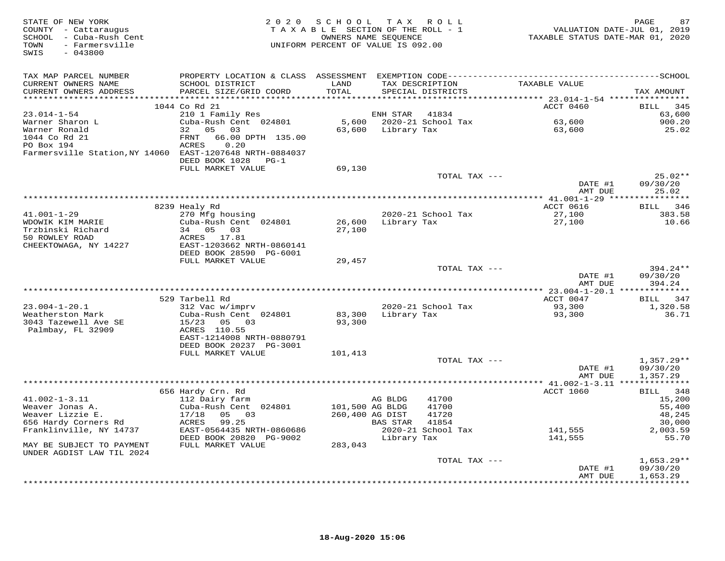| STATE OF NEW YORK<br>COUNTY - Cattaraugus<br>SCHOOL - Cuba-Rush Cent<br>- Farmersville<br>TOWN<br>$-043800$<br>SWIS | 2 0 2 0                                   | S C H O O L     | TAX ROLL<br>TAXABLE SECTION OF THE ROLL - 1<br>OWNERS NAME SEOUENCE<br>UNIFORM PERCENT OF VALUE IS 092.00 | VALUATION DATE-JUL 01, 2019<br>TAXABLE STATUS DATE-MAR 01, 2020 | 87<br>PAGE           |
|---------------------------------------------------------------------------------------------------------------------|-------------------------------------------|-----------------|-----------------------------------------------------------------------------------------------------------|-----------------------------------------------------------------|----------------------|
| TAX MAP PARCEL NUMBER                                                                                               |                                           |                 |                                                                                                           |                                                                 |                      |
| CURRENT OWNERS NAME<br>CURRENT OWNERS ADDRESS                                                                       | SCHOOL DISTRICT<br>PARCEL SIZE/GRID COORD | LAND<br>TOTAL   | TAX DESCRIPTION<br>SPECIAL DISTRICTS                                                                      | TAXABLE VALUE                                                   | TAX AMOUNT           |
|                                                                                                                     | 1044 Co Rd 21                             |                 |                                                                                                           | ACCT 0460                                                       | 345<br>BILL          |
| $23.014 - 1 - 54$                                                                                                   | 210 1 Family Res                          |                 | ENH STAR<br>41834                                                                                         |                                                                 | 63,600               |
| Warner Sharon L                                                                                                     | Cuba-Rush Cent 024801                     |                 | 5,600 2020-21 School Tax                                                                                  | 63,600                                                          | 900.20               |
| Warner Ronald                                                                                                       | 32 05<br>03                               |                 | 63,600 Library Tax                                                                                        | 63,600                                                          | 25.02                |
| 1044 Co Rd 21                                                                                                       | FRNT<br>66.00 DPTH 135.00                 |                 |                                                                                                           |                                                                 |                      |
| PO Box 194                                                                                                          | 0.20<br>ACRES                             |                 |                                                                                                           |                                                                 |                      |
| Farmersville Station, NY 14060 EAST-1207648 NRTH-0884037                                                            |                                           |                 |                                                                                                           |                                                                 |                      |
|                                                                                                                     | DEED BOOK 1028 PG-1                       |                 |                                                                                                           |                                                                 |                      |
|                                                                                                                     | FULL MARKET VALUE                         | 69,130          |                                                                                                           |                                                                 |                      |
|                                                                                                                     |                                           |                 | TOTAL TAX ---                                                                                             |                                                                 | $25.02**$            |
|                                                                                                                     |                                           |                 |                                                                                                           | DATE #1<br>AMT DUE                                              | 09/30/20<br>25.02    |
|                                                                                                                     |                                           |                 |                                                                                                           |                                                                 |                      |
|                                                                                                                     | 8239 Healy Rd                             |                 |                                                                                                           | ACCT 0616                                                       | BILL 346             |
| $41.001 - 1 - 29$                                                                                                   | 270 Mfg housing                           |                 | 2020-21 School Tax                                                                                        | 27,100                                                          | 383.58               |
| WDOWIK KIM MARIE                                                                                                    | Cuba-Rush Cent 024801                     |                 | 26,600 Library Tax                                                                                        | 27,100                                                          | 10.66                |
| Trzbinski Richard                                                                                                   | 34 05 03                                  | 27,100          |                                                                                                           |                                                                 |                      |
| 50 ROWLEY ROAD                                                                                                      | ACRES 17.81                               |                 |                                                                                                           |                                                                 |                      |
| CHEEKTOWAGA, NY 14227                                                                                               | EAST-1203662 NRTH-0860141                 |                 |                                                                                                           |                                                                 |                      |
|                                                                                                                     | DEED BOOK 28590 PG-6001                   |                 |                                                                                                           |                                                                 |                      |
|                                                                                                                     | FULL MARKET VALUE                         | 29,457          |                                                                                                           |                                                                 |                      |
|                                                                                                                     |                                           |                 | TOTAL TAX ---                                                                                             | DATE #1                                                         | 394.24**<br>09/30/20 |
|                                                                                                                     |                                           |                 |                                                                                                           | AMT DUE                                                         | 394.24               |
|                                                                                                                     |                                           |                 |                                                                                                           |                                                                 |                      |
|                                                                                                                     | 529 Tarbell Rd                            |                 |                                                                                                           | ACCT 0047                                                       | BILL 347             |
| $23.004 - 1 - 20.1$                                                                                                 | 312 Vac w/imprv                           |                 | 2020-21 School Tax                                                                                        | 93,300                                                          | 1,320.58             |
| Weatherston Mark                                                                                                    | Cuba-Rush Cent 024801                     | 83,300          | Library Tax                                                                                               | 93,300                                                          | 36.71                |
| 3043 Tazewell Ave SE                                                                                                | 15/23 05 03                               | 93,300          |                                                                                                           |                                                                 |                      |
| Palmbay, FL 32909                                                                                                   | ACRES 110.55                              |                 |                                                                                                           |                                                                 |                      |
|                                                                                                                     | EAST-1214008 NRTH-0880791                 |                 |                                                                                                           |                                                                 |                      |
|                                                                                                                     | DEED BOOK 20237 PG-3001                   |                 |                                                                                                           |                                                                 |                      |
|                                                                                                                     | FULL MARKET VALUE                         | 101,413         |                                                                                                           |                                                                 |                      |
|                                                                                                                     |                                           |                 | TOTAL TAX ---                                                                                             | DATE #1                                                         | $1,357.29**$         |
|                                                                                                                     |                                           |                 |                                                                                                           | AMT DUE                                                         | 09/30/20<br>1,357.29 |
|                                                                                                                     |                                           |                 |                                                                                                           |                                                                 |                      |
|                                                                                                                     | 656 Hardy Crn. Rd                         |                 |                                                                                                           | ACCT 1060                                                       | BILL 348             |
| $41.002 - 1 - 3.11$                                                                                                 | 112 Dairy farm                            |                 | 41700<br>AG BLDG                                                                                          |                                                                 | 15,200               |
| Weaver Jonas A.                                                                                                     | Cuba-Rush Cent 024801                     | 101,500 AG BLDG | 41700                                                                                                     |                                                                 | 55,400               |
| Weaver Lizzie E.                                                                                                    | 17/18<br>05 03                            | 260,400 AG DIST | 41720                                                                                                     |                                                                 | 48,245               |
| 656 Hardy Corners Rd                                                                                                | ACRES<br>99.25                            |                 | BAS STAR<br>41854                                                                                         |                                                                 | 30,000               |
| Franklinville, NY 14737                                                                                             | EAST-0564435 NRTH-0860686                 |                 | 2020-21 School Tax                                                                                        | 141,555                                                         | 2,003.59             |
|                                                                                                                     | DEED BOOK 20820 PG-9002                   |                 | Library Tax                                                                                               | 141,555                                                         | 55.70                |
| MAY BE SUBJECT TO PAYMENT                                                                                           | FULL MARKET VALUE                         | 283,043         |                                                                                                           |                                                                 |                      |
| UNDER AGDIST LAW TIL 2024                                                                                           |                                           |                 | TOTAL TAX ---                                                                                             |                                                                 | $1,653.29**$         |
|                                                                                                                     |                                           |                 |                                                                                                           | DATE #1                                                         | 09/30/20             |
|                                                                                                                     |                                           |                 |                                                                                                           | AMT DUE                                                         | 1,653.29             |
|                                                                                                                     |                                           |                 |                                                                                                           |                                                                 | <b>++++++++++</b>    |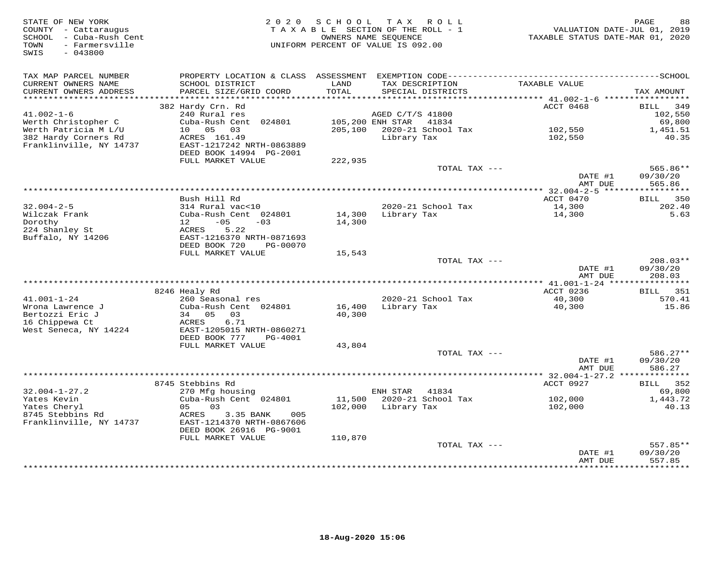| STATE OF NEW YORK<br>COUNTY - Cattaraugus<br>SCHOOL - Cuba-Rush Cent<br>- Farmersville<br>TOWN<br>$-043800$<br>SWIS | 2 0 2 0                                              | SCHOOL        | TAX ROLL<br>TAXABLE SECTION OF THE ROLL - 1<br>OWNERS NAME SEOUENCE<br>UNIFORM PERCENT OF VALUE IS 092.00 | TAXABLE STATUS DATE-MAR 01, 2020  | 88<br>PAGE<br>VALUATION DATE-JUL 01, 2019 |
|---------------------------------------------------------------------------------------------------------------------|------------------------------------------------------|---------------|-----------------------------------------------------------------------------------------------------------|-----------------------------------|-------------------------------------------|
| TAX MAP PARCEL NUMBER                                                                                               |                                                      |               |                                                                                                           |                                   |                                           |
| CURRENT OWNERS NAME<br>CURRENT OWNERS ADDRESS<br>**********************                                             | SCHOOL DISTRICT<br>PARCEL SIZE/GRID COORD            | LAND<br>TOTAL | TAX DESCRIPTION<br>SPECIAL DISTRICTS                                                                      | TAXABLE VALUE                     | TAX AMOUNT                                |
|                                                                                                                     | 382 Hardy Crn. Rd                                    |               |                                                                                                           | ACCT 0468                         | BILL<br>349                               |
| $41.002 - 1 - 6$                                                                                                    | 240 Rural res                                        |               | AGED C/T/S 41800                                                                                          |                                   | 102,550                                   |
| Werth Christopher C                                                                                                 | Cuba-Rush Cent 024801                                |               | 105,200 ENH STAR<br>41834                                                                                 |                                   | 69,800                                    |
| Werth Patricia M L/U                                                                                                | 10 05<br>03                                          | 205,100       | 2020-21 School Tax                                                                                        | 102,550                           | 1,451.51                                  |
| 382 Hardy Corners Rd                                                                                                | ACRES 161.49                                         |               | Library Tax                                                                                               | 102,550                           | 40.35                                     |
| Franklinville, NY 14737                                                                                             | EAST-1217242 NRTH-0863889<br>DEED BOOK 14994 PG-2001 |               |                                                                                                           |                                   |                                           |
|                                                                                                                     | FULL MARKET VALUE                                    | 222,935       |                                                                                                           |                                   |                                           |
|                                                                                                                     |                                                      |               | TOTAL TAX ---                                                                                             | DATE #1<br>AMT DUE                | 565.86**<br>09/30/20<br>565.86            |
|                                                                                                                     |                                                      |               |                                                                                                           |                                   |                                           |
|                                                                                                                     | Bush Hill Rd                                         |               |                                                                                                           | ACCT 0470                         | BILL<br>350                               |
| $32.004 - 2 - 5$                                                                                                    | 314 Rural vac<10                                     |               | 2020-21 School Tax                                                                                        | 14,300                            | 202.40                                    |
| Wilczak Frank                                                                                                       | Cuba-Rush Cent 024801                                | 14,300        | Library Tax                                                                                               | 14,300                            | 5.63                                      |
| Dorothy                                                                                                             | 12<br>$-05$<br>$-03$                                 | 14,300        |                                                                                                           |                                   |                                           |
| 224 Shanley St<br>Buffalo, NY 14206                                                                                 | 5.22<br>ACRES<br>EAST-1216370 NRTH-0871693           |               |                                                                                                           |                                   |                                           |
|                                                                                                                     | DEED BOOK 720<br>PG-00070                            |               |                                                                                                           |                                   |                                           |
|                                                                                                                     | FULL MARKET VALUE                                    | 15,543        |                                                                                                           |                                   |                                           |
|                                                                                                                     |                                                      |               | TOTAL TAX ---                                                                                             |                                   | $208.03**$                                |
|                                                                                                                     |                                                      |               |                                                                                                           | DATE #1<br>AMT DUE                | 09/30/20<br>208.03                        |
|                                                                                                                     |                                                      |               |                                                                                                           | *** 41.001-1-24 ***************** |                                           |
| $41.001 - 1 - 24$                                                                                                   | 8246 Healy Rd<br>260 Seasonal res                    |               | 2020-21 School Tax                                                                                        | ACCT 0236<br>40,300               | 351<br>BILL<br>570.41                     |
| Wrona Lawrence J                                                                                                    | Cuba-Rush Cent 024801                                | 16,400        | Library Tax                                                                                               | 40,300                            | 15.86                                     |
| Bertozzi Eric J                                                                                                     | 34 05<br>03                                          | 40,300        |                                                                                                           |                                   |                                           |
| 16 Chippewa Ct                                                                                                      | 6.71<br>ACRES                                        |               |                                                                                                           |                                   |                                           |
| West Seneca, NY 14224                                                                                               | EAST-1205015 NRTH-0860271                            |               |                                                                                                           |                                   |                                           |
|                                                                                                                     | DEED BOOK 777<br>PG-4001<br>FULL MARKET VALUE        | 43,804        |                                                                                                           |                                   |                                           |
|                                                                                                                     |                                                      |               | TOTAL TAX ---                                                                                             |                                   | 586.27**                                  |
|                                                                                                                     |                                                      |               |                                                                                                           | DATE #1                           | 09/30/20                                  |
|                                                                                                                     |                                                      |               |                                                                                                           | AMT DUE                           | 586.27                                    |
|                                                                                                                     |                                                      |               |                                                                                                           | ** $32.004 - 1 - 27.2$ **         | ***********                               |
|                                                                                                                     | 8745 Stebbins Rd                                     |               |                                                                                                           | ACCT 0927                         | 352<br>BILL                               |
| $32.004 - 1 - 27.2$<br>Yates Kevin                                                                                  | 270 Mfg housing<br>Cuba-Rush Cent 024801             | 11,500        | ENH STAR<br>41834<br>2020-21 School Tax                                                                   | 102,000                           | 69,800<br>1,443.72                        |
| Yates Cheryl                                                                                                        | 05<br>0.3                                            | 102,000       | Library Tax                                                                                               | 102,000                           | 40.13                                     |
| 8745 Stebbins Rd                                                                                                    | ACRES<br>3.35 BANK<br>005                            |               |                                                                                                           |                                   |                                           |
| Franklinville, NY 14737                                                                                             | EAST-1214370 NRTH-0867606                            |               |                                                                                                           |                                   |                                           |
|                                                                                                                     | DEED BOOK 26916 PG-9001                              |               |                                                                                                           |                                   |                                           |
|                                                                                                                     | FULL MARKET VALUE                                    | 110,870       |                                                                                                           |                                   |                                           |
|                                                                                                                     |                                                      |               | TOTAL TAX ---                                                                                             | DATE #1                           | 557.85**<br>09/30/20                      |
|                                                                                                                     |                                                      |               |                                                                                                           | AMT DUE                           | 557.85                                    |
|                                                                                                                     |                                                      |               |                                                                                                           | *****************                 | **********                                |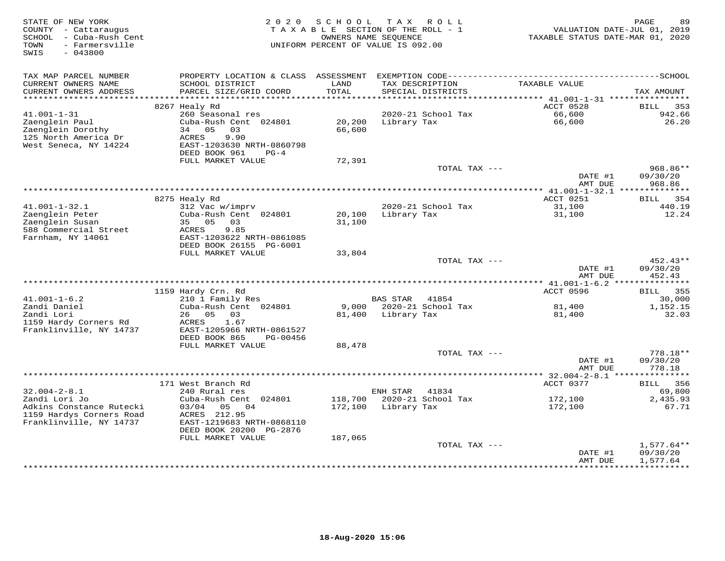| STATE OF NEW YORK<br>COUNTY - Cattaraugus<br>SCHOOL - Cuba-Rush Cent<br>- Farmersville<br>TOWN<br>SWIS<br>$-043800$ | 2 0 2 0                                                                               | SCHOOL           | T A X<br>ROLL<br>TAXABLE SECTION OF THE ROLL - 1<br>OWNERS NAME SEQUENCE<br>UNIFORM PERCENT OF VALUE IS 092.00 | VALUATION DATE-JUL 01, 2019<br>TAXABLE STATUS DATE-MAR 01, 2020 | PAGE<br>89             |
|---------------------------------------------------------------------------------------------------------------------|---------------------------------------------------------------------------------------|------------------|----------------------------------------------------------------------------------------------------------------|-----------------------------------------------------------------|------------------------|
| TAX MAP PARCEL NUMBER                                                                                               | PROPERTY LOCATION & CLASS ASSESSMENT                                                  |                  |                                                                                                                |                                                                 |                        |
| CURRENT OWNERS NAME<br>CURRENT OWNERS ADDRESS                                                                       | SCHOOL DISTRICT<br>PARCEL SIZE/GRID COORD                                             | LAND<br>TOTAL    | TAX DESCRIPTION<br>SPECIAL DISTRICTS                                                                           | TAXABLE VALUE                                                   | TAX AMOUNT             |
| ***********************                                                                                             | **********************                                                                |                  |                                                                                                                |                                                                 |                        |
| $41.001 - 1 - 31$                                                                                                   | 8267 Healy Rd<br>260 Seasonal res                                                     |                  | 2020-21 School Tax                                                                                             | ACCT 0528<br>66,600                                             | 353<br>BILL<br>942.66  |
| Zaenglein Paul<br>Zaenglein Dorothy<br>125 North America Dr<br>West Seneca, NY 14224                                | Cuba-Rush Cent 024801<br>05<br>34<br>03<br>9.90<br>ACRES<br>EAST-1203630 NRTH-0860798 | 20,200<br>66,600 | Library Tax                                                                                                    | 66,600                                                          | 26.20                  |
|                                                                                                                     | DEED BOOK 961<br>$PG-4$                                                               |                  |                                                                                                                |                                                                 |                        |
|                                                                                                                     | FULL MARKET VALUE                                                                     | 72,391           |                                                                                                                |                                                                 |                        |
|                                                                                                                     |                                                                                       |                  |                                                                                                                | TOTAL TAX ---<br>DATE #1                                        | 968.86**<br>09/30/20   |
|                                                                                                                     |                                                                                       |                  | ***********************************                                                                            | AMT DUE<br>** 41.001-1-32.1 ***************                     | 968.86                 |
|                                                                                                                     | 8275 Healy Rd                                                                         |                  |                                                                                                                | ACCT 0251                                                       | 354<br>BILL            |
| $41.001 - 1 - 32.1$                                                                                                 | 312 Vac w/imprv                                                                       |                  | 2020-21 School Tax                                                                                             | 31,100                                                          | 440.19                 |
| Zaenglein Peter                                                                                                     | Cuba-Rush Cent 024801                                                                 | 20,100           | Library Tax                                                                                                    | 31,100                                                          | 12.24                  |
| Zaenglein Susan                                                                                                     | 35 05<br>03                                                                           | 31,100           |                                                                                                                |                                                                 |                        |
| 588 Commercial Street                                                                                               | 9.85<br>ACRES                                                                         |                  |                                                                                                                |                                                                 |                        |
| Farnham, NY 14061                                                                                                   | EAST-1203622 NRTH-0861085                                                             |                  |                                                                                                                |                                                                 |                        |
|                                                                                                                     | DEED BOOK 26155 PG-6001<br>FULL MARKET VALUE                                          | 33,804           |                                                                                                                |                                                                 |                        |
|                                                                                                                     |                                                                                       |                  |                                                                                                                | TOTAL TAX ---                                                   | 452.43**               |
|                                                                                                                     |                                                                                       |                  |                                                                                                                | DATE #1                                                         | 09/30/20               |
|                                                                                                                     |                                                                                       |                  |                                                                                                                | AMT DUE                                                         | 452.43                 |
|                                                                                                                     |                                                                                       |                  |                                                                                                                |                                                                 |                        |
|                                                                                                                     | 1159 Hardy Crn. Rd                                                                    |                  |                                                                                                                | ACCT 0596                                                       | 355<br>BILL            |
| $41.001 - 1 - 6.2$<br>Zandi Daniel                                                                                  | 210 1 Family Res<br>Cuba-Rush Cent 024801                                             |                  | <b>BAS STAR</b><br>41854<br>9,000 2020-21 School Tax                                                           | 81,400                                                          | 30,000<br>1,152.15     |
| Zandi Lori                                                                                                          | 26 05<br>03                                                                           | 81,400           | Library Tax                                                                                                    | 81,400                                                          | 32.03                  |
| 1159 Hardy Corners Rd                                                                                               | ACRES<br>1.67                                                                         |                  |                                                                                                                |                                                                 |                        |
| Franklinville, NY 14737                                                                                             | EAST-1205966 NRTH-0861527                                                             |                  |                                                                                                                |                                                                 |                        |
|                                                                                                                     | DEED BOOK 865<br>PG-00456                                                             |                  |                                                                                                                |                                                                 |                        |
|                                                                                                                     | FULL MARKET VALUE                                                                     | 88,478           |                                                                                                                |                                                                 |                        |
|                                                                                                                     |                                                                                       |                  |                                                                                                                | TOTAL TAX ---<br>DATE #1                                        | $778.18**$<br>09/30/20 |
|                                                                                                                     |                                                                                       |                  |                                                                                                                | AMT DUE                                                         | 778.18                 |
|                                                                                                                     |                                                                                       |                  |                                                                                                                | ***************** 32.004-2-8.1 ****************                 |                        |
|                                                                                                                     | 171 West Branch Rd                                                                    |                  |                                                                                                                | ACCT 0377                                                       | 356<br>BILL            |
| $32.004 - 2 - 8.1$                                                                                                  | 240 Rural res                                                                         |                  | 41834<br>ENH STAR                                                                                              |                                                                 | 69,800                 |
| Zandi Lori Jo                                                                                                       | Cuba-Rush Cent 024801                                                                 | 118,700          | 2020-21 School Tax                                                                                             | 172,100                                                         | 2,435.93               |
| Adkins Constance Rutecki                                                                                            | 03/04<br>05<br>04<br>ACRES 212.95                                                     | 172,100          | Library Tax                                                                                                    | 172,100                                                         | 67.71                  |
| 1159 Hardys Corners Road<br>Franklinville, NY 14737                                                                 | EAST-1219683 NRTH-0868110                                                             |                  |                                                                                                                |                                                                 |                        |
|                                                                                                                     | DEED BOOK 20200 PG-2876<br>FULL MARKET VALUE                                          | 187,065          |                                                                                                                |                                                                 |                        |
|                                                                                                                     |                                                                                       |                  |                                                                                                                | TOTAL TAX ---                                                   | $1,577.64**$           |
|                                                                                                                     |                                                                                       |                  |                                                                                                                | DATE #1                                                         | 09/30/20               |
|                                                                                                                     |                                                                                       |                  |                                                                                                                | AMT DUE                                                         | 1,577.64               |
|                                                                                                                     |                                                                                       |                  |                                                                                                                |                                                                 | ***********            |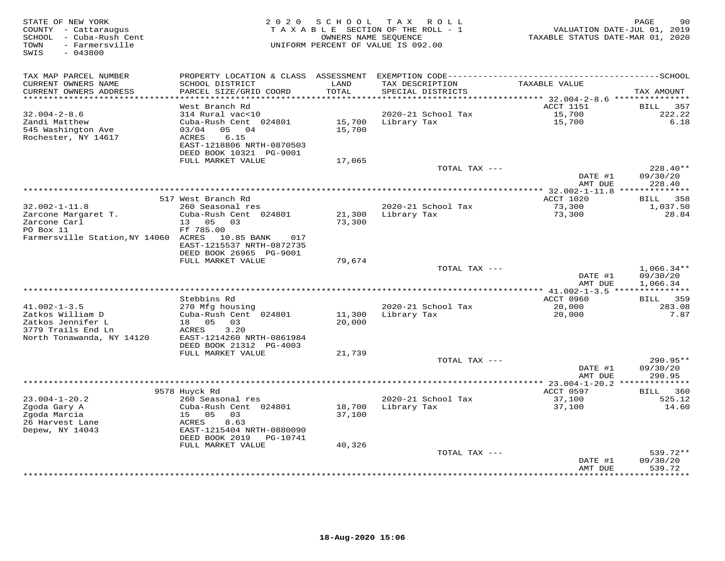| STATE OF NEW YORK<br>COUNTY - Cattaraugus<br>SCHOOL - Cuba-Rush Cent<br>- Farmersville<br>TOWN<br>SWIS<br>$-043800$ |                                                                                                                                         | 2020 SCHOOL      | T A X<br>R O L L<br>TAXABLE SECTION OF THE ROLL - 1<br>OWNERS NAME SEQUENCE<br>UNIFORM PERCENT OF VALUE IS 092.00 | TAXABLE STATUS DATE-MAR 01, 2020           | 90<br>PAGE<br>VALUATION DATE-JUL 01, 2019 |
|---------------------------------------------------------------------------------------------------------------------|-----------------------------------------------------------------------------------------------------------------------------------------|------------------|-------------------------------------------------------------------------------------------------------------------|--------------------------------------------|-------------------------------------------|
| TAX MAP PARCEL NUMBER<br>CURRENT OWNERS NAME<br>CURRENT OWNERS ADDRESS                                              | SCHOOL DISTRICT<br>PARCEL SIZE/GRID COORD                                                                                               | LAND<br>TOTAL    | TAX DESCRIPTION<br>SPECIAL DISTRICTS                                                                              | TAXABLE VALUE                              | TAX AMOUNT                                |
|                                                                                                                     |                                                                                                                                         | * * * * * * *    |                                                                                                                   | ************ 32.004-2-8.6 **************** |                                           |
|                                                                                                                     | West Branch Rd                                                                                                                          |                  |                                                                                                                   | <b>ACCT 1151</b>                           | 357<br><b>BILL</b>                        |
| $32.004 - 2 - 8.6$<br>Zandi Matthew<br>545 Washington Ave<br>Rochester, NY 14617                                    | 314 Rural vac<10<br>Cuba-Rush Cent 024801<br>05<br>03/04<br>04<br>6.15<br>ACRES<br>EAST-1218806 NRTH-0870503<br>DEED BOOK 10321 PG-9001 | 15,700<br>15,700 | 2020-21 School Tax<br>Library Tax                                                                                 | 15,700<br>15,700                           | 222.22<br>6.18                            |
|                                                                                                                     | FULL MARKET VALUE                                                                                                                       | 17,065           |                                                                                                                   |                                            |                                           |
|                                                                                                                     |                                                                                                                                         |                  | TOTAL TAX ---                                                                                                     | DATE #1                                    | 228.40**<br>09/30/20                      |
|                                                                                                                     |                                                                                                                                         |                  |                                                                                                                   | AMT DUE<br>********* 32.002-1-11.8         | 228.40<br>**************                  |
|                                                                                                                     | 517 West Branch Rd                                                                                                                      |                  |                                                                                                                   | ACCT 1020                                  | 358<br>BILL                               |
| $32.002 - 1 - 11.8$                                                                                                 | 260 Seasonal res                                                                                                                        |                  | 2020-21 School Tax                                                                                                | 73,300                                     | 1,037.50                                  |
| Zarcone Margaret T.                                                                                                 | Cuba-Rush Cent 024801                                                                                                                   | 21,300           | Library Tax                                                                                                       | 73,300                                     | 28.84                                     |
| Zarcone Carl                                                                                                        | 05 03<br>13                                                                                                                             | 73,300           |                                                                                                                   |                                            |                                           |
| PO Box 11                                                                                                           | Ff 785.00                                                                                                                               |                  |                                                                                                                   |                                            |                                           |
| Farmersville Station, NY 14060 ACRES                                                                                | 10.85 BANK<br>017<br>EAST-1215537 NRTH-0872735<br>DEED BOOK 26965 PG-9001                                                               |                  |                                                                                                                   |                                            |                                           |
|                                                                                                                     | FULL MARKET VALUE                                                                                                                       | 79,674           |                                                                                                                   |                                            |                                           |
|                                                                                                                     |                                                                                                                                         |                  | TOTAL TAX ---                                                                                                     | DATE #1                                    | $1,066.34**$<br>09/30/20                  |
|                                                                                                                     |                                                                                                                                         |                  |                                                                                                                   | AMT DUE                                    | 1,066.34<br>***************               |
|                                                                                                                     | Stebbins Rd                                                                                                                             |                  |                                                                                                                   | *************** 41.002-1-3.5<br>ACCT 0960  | <b>BILL</b> 359                           |
| $41.002 - 1 - 3.5$                                                                                                  | 270 Mfg housing                                                                                                                         |                  | 2020-21 School Tax                                                                                                | 20,000                                     | 283.08                                    |
| Zatkos William D                                                                                                    | Cuba-Rush Cent 024801                                                                                                                   | 11,300           | Library Tax                                                                                                       | 20,000                                     | 7.87                                      |
| Zatkos Jennifer L                                                                                                   | 18 05<br>03                                                                                                                             | 20,000           |                                                                                                                   |                                            |                                           |
| 3779 Trails End Ln                                                                                                  | 3.20<br>ACRES                                                                                                                           |                  |                                                                                                                   |                                            |                                           |
| North Tonawanda, NY 14120                                                                                           | EAST-1214260 NRTH-0861984<br>DEED BOOK 21312 PG-4003                                                                                    |                  |                                                                                                                   |                                            |                                           |
|                                                                                                                     | FULL MARKET VALUE                                                                                                                       | 21,739           |                                                                                                                   |                                            |                                           |
|                                                                                                                     |                                                                                                                                         |                  | TOTAL TAX ---                                                                                                     |                                            | $290.95**$                                |
|                                                                                                                     |                                                                                                                                         |                  |                                                                                                                   | DATE #1                                    | 09/30/20                                  |
|                                                                                                                     |                                                                                                                                         |                  | **************************************                                                                            | AMT DUE                                    | 290.95                                    |
|                                                                                                                     | 9578 Huyck Rd                                                                                                                           |                  |                                                                                                                   | ** $23.004 - 1 - 20.2$<br>ACCT 0597        | 360<br>BILL                               |
| $23.004 - 1 - 20.2$                                                                                                 | 260 Seasonal res                                                                                                                        |                  | 2020-21 School Tax                                                                                                | 37,100                                     | 525.12                                    |
| Zgoda Gary A                                                                                                        | Cuba-Rush Cent 024801                                                                                                                   | 18,700           | Library Tax                                                                                                       | 37,100                                     | 14.60                                     |
| Zgoda Marcia                                                                                                        | 15 05<br>03                                                                                                                             | 37,100           |                                                                                                                   |                                            |                                           |
| 26 Harvest Lane                                                                                                     | ACRES<br>8.63                                                                                                                           |                  |                                                                                                                   |                                            |                                           |
| Depew, NY 14043                                                                                                     | EAST-1215404 NRTH-0880090<br>DEED BOOK 2019<br>PG-10741                                                                                 |                  |                                                                                                                   |                                            |                                           |
|                                                                                                                     | FULL MARKET VALUE                                                                                                                       | 40,326           | TOTAL TAX ---                                                                                                     |                                            | 539.72**                                  |
|                                                                                                                     |                                                                                                                                         |                  |                                                                                                                   | DATE #1                                    | 09/30/20                                  |
|                                                                                                                     |                                                                                                                                         |                  |                                                                                                                   | AMT DUE                                    | 539.72                                    |
|                                                                                                                     |                                                                                                                                         |                  |                                                                                                                   |                                            | ********                                  |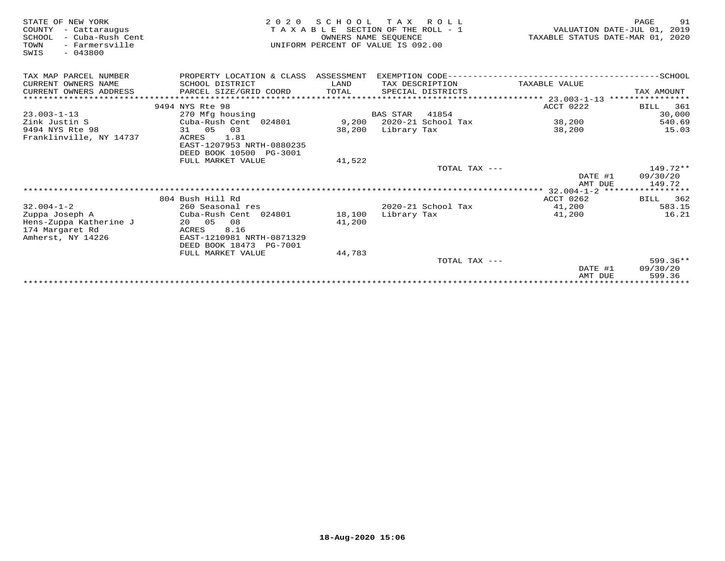| STATE OF NEW YORK<br>COUNTY<br>- Cattaraugus<br>- Cuba-Rush Cent<br>SCHOOL<br>- Farmersville<br>TOWN<br>$-043800$<br>SWIS | 2 0 2 0<br>TAXABLE                                   | S C H O O L<br>OWNERS NAME SEOUENCE | TAX ROLL<br>SECTION OF THE ROLL - 1<br>UNIFORM PERCENT OF VALUE IS 092.00 |               | 91<br>PAGE<br>VALUATION DATE-JUL 01, 2019<br>TAXABLE STATUS DATE-MAR 01, 2020 |
|---------------------------------------------------------------------------------------------------------------------------|------------------------------------------------------|-------------------------------------|---------------------------------------------------------------------------|---------------|-------------------------------------------------------------------------------|
| TAX MAP PARCEL NUMBER                                                                                                     | PROPERTY LOCATION & CLASS ASSESSMENT                 |                                     |                                                                           |               |                                                                               |
| CURRENT OWNERS NAME                                                                                                       | SCHOOL DISTRICT                                      | LAND                                | TAX DESCRIPTION                                                           | TAXABLE VALUE |                                                                               |
| CURRENT OWNERS ADDRESS                                                                                                    | PARCEL SIZE/GRID COORD                               | TOTAL                               | SPECIAL DISTRICTS                                                         |               | TAX AMOUNT                                                                    |
|                                                                                                                           |                                                      |                                     |                                                                           |               |                                                                               |
|                                                                                                                           | 9494 NYS Rte 98                                      |                                     |                                                                           | ACCT 0222     | 361<br>BILL                                                                   |
| $23.003 - 1 - 13$                                                                                                         | 270 Mfg housing                                      |                                     | BAS STAR 41854                                                            |               | 30,000                                                                        |
| Zink Justin S                                                                                                             | Cuba-Rush Cent 024801                                |                                     | 9,200 2020-21 School Tax                                                  | 38,200        | 540.69                                                                        |
| 9494 NYS Rte 98                                                                                                           | 31 05<br>03                                          | 38,200                              | Library Tax                                                               | 38,200        | 15.03                                                                         |
| Franklinville, NY 14737                                                                                                   | ACRES<br>1.81<br>EAST-1207953 NRTH-0880235           |                                     |                                                                           |               |                                                                               |
|                                                                                                                           | DEED BOOK 10500 PG-3001                              |                                     |                                                                           |               |                                                                               |
|                                                                                                                           | FULL MARKET VALUE                                    | 41,522                              |                                                                           |               |                                                                               |
|                                                                                                                           |                                                      |                                     | TOTAL TAX ---                                                             |               | 149.72**                                                                      |
|                                                                                                                           |                                                      |                                     |                                                                           | DATE #1       | 09/30/20                                                                      |
|                                                                                                                           |                                                      |                                     |                                                                           | AMT DUE       | 149.72                                                                        |
|                                                                                                                           |                                                      |                                     |                                                                           |               |                                                                               |
|                                                                                                                           | 804 Bush Hill Rd                                     |                                     |                                                                           | ACCT 0262     | 362<br>BILL                                                                   |
| $32.004 - 1 - 2$                                                                                                          | 260 Seasonal res                                     |                                     | $2020 - 21$ School Tax                                                    | 41,200        | 583.15                                                                        |
| Zuppa Joseph A                                                                                                            | Cuba-Rush Cent 024801                                | 18,100                              | Library Tax                                                               | 41,200        | 16.21                                                                         |
| Hens-Zuppa Katherine J                                                                                                    | 08<br>20 05                                          | 41,200                              |                                                                           |               |                                                                               |
| 174 Margaret Rd                                                                                                           | ACRES<br>8.16                                        |                                     |                                                                           |               |                                                                               |
| Amherst, NY 14226                                                                                                         | EAST-1210981 NRTH-0871329<br>DEED BOOK 18473 PG-7001 |                                     |                                                                           |               |                                                                               |
|                                                                                                                           | FULL MARKET VALUE                                    | 44,783                              |                                                                           |               |                                                                               |
|                                                                                                                           |                                                      |                                     | TOTAL TAX ---                                                             |               | $599.36**$                                                                    |
|                                                                                                                           |                                                      |                                     |                                                                           | DATE #1       | 09/30/20                                                                      |
|                                                                                                                           |                                                      |                                     |                                                                           | AMT DUE       | 599.36                                                                        |
|                                                                                                                           |                                                      |                                     |                                                                           |               |                                                                               |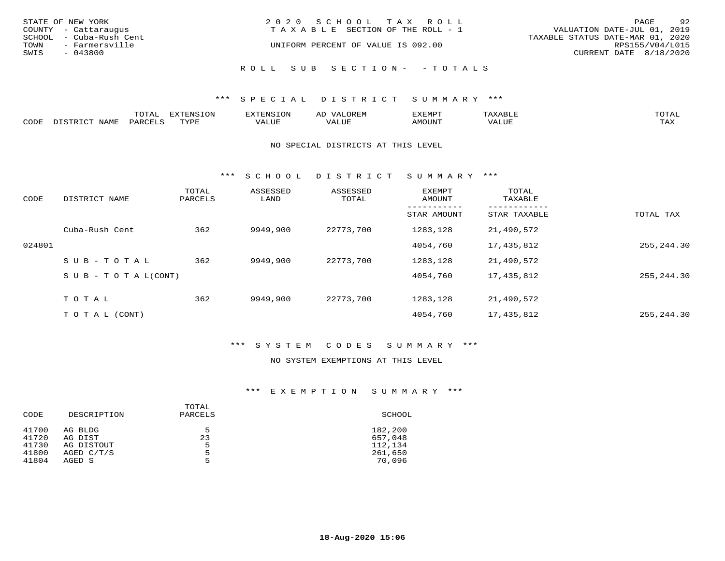| STATE OF NEW YORK<br>COUNTY - Cattaraugus<br>SCHOOL - Cuba-Rush Cent<br>TOWN<br>- Farmersville<br>SWIS<br>$-043800$ | 2020 SCHOOL TAX ROLL<br>TAXABLE SECTION OF THE ROLL - 1<br>UNIFORM PERCENT OF VALUE IS 092.00 | 92<br>PAGE<br>VALUATION DATE-JUL 01, 2019<br>TAXABLE STATUS DATE-MAR 01, 2020<br>RPS155/V04/L015<br>CURRENT DATE 8/18/2020 |
|---------------------------------------------------------------------------------------------------------------------|-----------------------------------------------------------------------------------------------|----------------------------------------------------------------------------------------------------------------------------|
|                                                                                                                     | ROLL SUB SECTION- - TOTALS                                                                    |                                                                                                                            |

|      |      | momn:<br>LUIAI | $\pi$<br>. JN | .     | : יהם קבר <i>ב</i><br>ΑL | תסאה <i>צ</i> י |                       | TOTA.      |
|------|------|----------------|---------------|-------|--------------------------|-----------------|-----------------------|------------|
| CODE | NAME | PARTPT         | mvnt          | VALUE |                          | <b>AMOUNT</b>   | ,,, , ,, <del>,</del> | TAY<br>∸∽∸ |

#### NO SPECIAL DISTRICTS AT THIS LEVEL

\*\*\* S C H O O L D I S T R I C T S U M M A R Y \*\*\*

| CODE   | DISTRICT NAME                    | TOTAL<br>PARCELS | ASSESSED<br>LAND | ASSESSED<br>TOTAL | EXEMPT<br>AMOUNT | TOTAL<br>TAXABLE |             |
|--------|----------------------------------|------------------|------------------|-------------------|------------------|------------------|-------------|
|        |                                  |                  |                  |                   | STAR AMOUNT      | STAR TAXABLE     | TOTAL TAX   |
|        | Cuba-Rush Cent                   | 362              | 9949,900         | 22773,700         | 1283,128         | 21,490,572       |             |
| 024801 |                                  |                  |                  |                   | 4054,760         | 17,435,812       | 255,244.30  |
|        | SUB-TOTAL                        | 362              | 9949,900         | 22773,700         | 1283,128         | 21,490,572       |             |
|        | $S \cup B - T \cup T A L (CONT)$ |                  |                  |                   | 4054,760         | 17,435,812       | 255,244.30  |
|        | TOTAL                            | 362              | 9949,900         | 22773,700         | 1283,128         | 21,490,572       |             |
|        | T O T A L (CONT)                 |                  |                  |                   | 4054,760         | 17,435,812       | 255, 244.30 |

### \*\*\* S Y S T E M C O D E S S U M M A R Y \*\*\*

#### NO SYSTEM EXEMPTIONS AT THIS LEVEL

#### \*\*\* E X E M P T I O N S U M M A R Y \*\*\*

| CODE  | DESCRIPTION | TOTAL<br>PARCELS | SCHOOL  |
|-------|-------------|------------------|---------|
| 41700 | AG BLDG     | 5                | 182,200 |
| 41720 | AG DIST     | 23               | 657,048 |
| 41730 | AG DISTOUT  | 5                | 112,134 |
| 41800 | AGED C/T/S  | 5                | 261,650 |
| 41804 | AGED S      | 5                | 70,096  |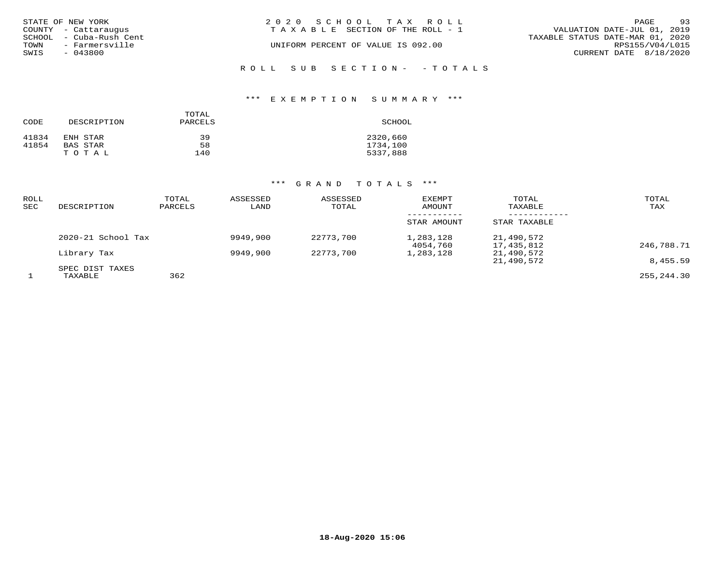|      | STATE OF NEW YORK       | 2020 SCHOOL TAX ROLL                  |                                  | PAGE | 93 |
|------|-------------------------|---------------------------------------|----------------------------------|------|----|
|      | COUNTY - Cattaraugus    | T A X A B L E SECTION OF THE ROLL - 1 | VALUATION DATE-JUL 01, 2019      |      |    |
|      | SCHOOL - Cuba-Rush Cent |                                       | TAXABLE STATUS DATE-MAR 01, 2020 |      |    |
|      | TOWN - Farmersville     | UNIFORM PERCENT OF VALUE IS 092.00    | RPS155/V04/L015                  |      |    |
| SWIS | - 043800                |                                       | CURRENT DATE 8/18/2020           |      |    |
|      |                         | ROLL SUB SECTION- - TOTALS            |                                  |      |    |

#### \*\*\* E X E M P T I O N S U M M A R Y \*\*\*

| CODE  | DESCRIPTION | TOTAL<br>PARCELS | SCHOOL   |
|-------|-------------|------------------|----------|
| 41834 | ENH STAR    | 39               | 2320,660 |
| 41854 | BAS STAR    | 58               | 1734,100 |
|       | TOTAL       | 140              | 5337,888 |

#### \*\*\* G R A N D T O T A L S \*\*\*

| ROLL<br>SEC | DESCRIPTION            | TOTAL<br>PARCELS | ASSESSED<br>LAND | ASSESSED<br>TOTAL | EXEMPT<br>AMOUNT      | TOTAL<br>TAXABLE         | TOTAL<br>TAX |
|-------------|------------------------|------------------|------------------|-------------------|-----------------------|--------------------------|--------------|
|             |                        |                  |                  |                   | STAR AMOUNT           | STAR TAXABLE             |              |
|             | $2020 - 21$ School Tax |                  | 9949,900         | 22773,700         | 1,283,128<br>4054,760 | 21,490,572<br>17,435,812 | 246,788.71   |
|             | Library Tax            |                  | 9949,900         | 22773,700         | 1,283,128             | 21,490,572<br>21,490,572 | 8,455.59     |
|             | SPEC DIST TAXES        |                  |                  |                   |                       |                          |              |
|             | TAXABLE                | 362              |                  |                   |                       |                          | 255,244.30   |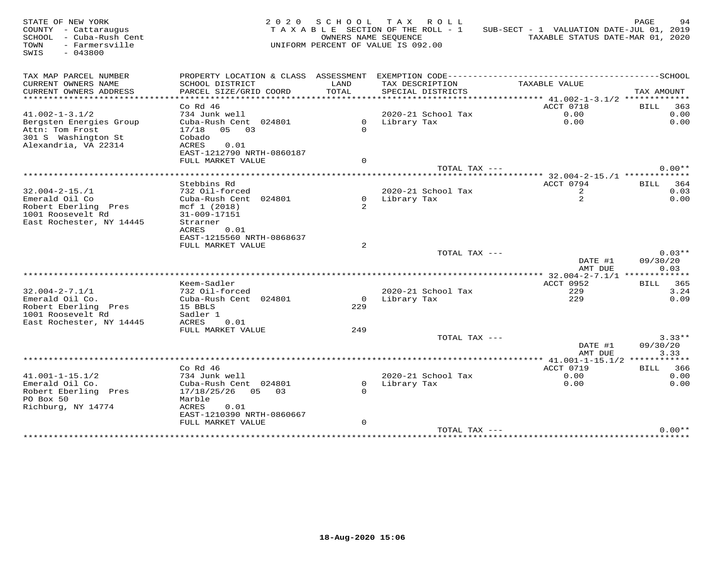| STATE OF NEW YORK<br>COUNTY - Cattaraugus<br>SCHOOL - Cuba-Rush Cent<br>- Farmersville<br>TOWN<br>$-043800$<br>SWIS |                                            |                | 2020 SCHOOL TAX ROLL<br>TAXABLE SECTION OF THE ROLL - 1<br>OWNERS NAME SEQUENCE<br>UNIFORM PERCENT OF VALUE IS 092.00 | SUB-SECT - 1 VALUATION DATE-JUL 01, 2019 | PAGE<br>94<br>TAXABLE STATUS DATE-MAR 01, 2020 |
|---------------------------------------------------------------------------------------------------------------------|--------------------------------------------|----------------|-----------------------------------------------------------------------------------------------------------------------|------------------------------------------|------------------------------------------------|
| TAX MAP PARCEL NUMBER                                                                                               |                                            |                |                                                                                                                       |                                          |                                                |
| CURRENT OWNERS NAME<br>CURRENT OWNERS ADDRESS                                                                       | SCHOOL DISTRICT<br>PARCEL SIZE/GRID COORD  | LAND<br>TOTAL  | TAX DESCRIPTION<br>SPECIAL DISTRICTS                                                                                  | TAXABLE VALUE                            | TAX AMOUNT                                     |
| **********************                                                                                              |                                            |                |                                                                                                                       |                                          |                                                |
|                                                                                                                     | $Co$ Rd $46$                               |                |                                                                                                                       | ACCT 0718                                | <b>BILL</b> 363                                |
| $41.002 - 1 - 3.1/2$                                                                                                | 734 Junk well                              |                | 2020-21 School Tax                                                                                                    | 0.00                                     | 0.00                                           |
| Bergsten Energies Group                                                                                             | Cuba-Rush Cent 024801                      |                | 0 Library Tax                                                                                                         | 0.00                                     | 0.00                                           |
| Attn: Tom Frost                                                                                                     | $17/18$ 05 03                              | $\Omega$       |                                                                                                                       |                                          |                                                |
| 301 S Washington St                                                                                                 | Cobado                                     |                |                                                                                                                       |                                          |                                                |
| Alexandria, VA 22314                                                                                                | ACRES<br>0.01<br>EAST-1212790 NRTH-0860187 |                |                                                                                                                       |                                          |                                                |
|                                                                                                                     | FULL MARKET VALUE                          | $\Omega$       |                                                                                                                       |                                          |                                                |
|                                                                                                                     |                                            |                | TOTAL TAX ---                                                                                                         |                                          | $0.00**$                                       |
|                                                                                                                     |                                            |                |                                                                                                                       |                                          |                                                |
|                                                                                                                     | Stebbins Rd                                |                |                                                                                                                       | ACCT 0794                                | BILL 364                                       |
| $32.004 - 2 - 15. / 1$                                                                                              | 732 Oil-forced                             |                | 2020-21 School Tax                                                                                                    | 2                                        | 0.03                                           |
| Emerald Oil Co<br>Robert Eberling Pres                                                                              | Cuba-Rush Cent 024801<br>mcf 1 (2018)      |                | 0 Library Tax                                                                                                         | $\overline{a}$                           | 0.00                                           |
| 1001 Roosevelt Rd                                                                                                   | 31-009-17151                               |                |                                                                                                                       |                                          |                                                |
| East Rochester, NY 14445                                                                                            | Strarner                                   |                |                                                                                                                       |                                          |                                                |
|                                                                                                                     | 0.01<br>ACRES                              |                |                                                                                                                       |                                          |                                                |
|                                                                                                                     | EAST-1215560 NRTH-0868637                  |                |                                                                                                                       |                                          |                                                |
|                                                                                                                     | FULL MARKET VALUE                          | 2              |                                                                                                                       |                                          |                                                |
|                                                                                                                     |                                            |                | TOTAL TAX $---$                                                                                                       |                                          | $0.03**$                                       |
|                                                                                                                     |                                            |                |                                                                                                                       | DATE #1<br>AMT DUE                       | 09/30/20<br>0.03                               |
|                                                                                                                     |                                            |                |                                                                                                                       | ***** 32.004-2-7.1/1 *************       |                                                |
|                                                                                                                     | Keem-Sadler                                |                |                                                                                                                       | ACCT 0952                                | BILL 365                                       |
| $32.004 - 2 - 7.1/1$                                                                                                | 732 Oil-forced                             |                | 2020-21 School Tax                                                                                                    | 229                                      | 3.24                                           |
| Emerald Oil Co.                                                                                                     | Cuba-Rush Cent 024801                      | $\overline{0}$ | Library Tax                                                                                                           | 229                                      | 0.09                                           |
| Robert Eberling Pres                                                                                                | 15 BBLS                                    | 229            |                                                                                                                       |                                          |                                                |
| 1001 Roosevelt Rd<br>East Rochester, NY 14445                                                                       | Sadler 1<br>ACRES<br>0.01                  |                |                                                                                                                       |                                          |                                                |
|                                                                                                                     | FULL MARKET VALUE                          | 249            |                                                                                                                       |                                          |                                                |
|                                                                                                                     |                                            |                | TOTAL TAX ---                                                                                                         |                                          | $3.33**$                                       |
|                                                                                                                     |                                            |                |                                                                                                                       | DATE #1<br>AMT DUE                       | 09/30/20<br>3.33                               |
|                                                                                                                     |                                            |                |                                                                                                                       |                                          |                                                |
|                                                                                                                     | $Co$ Rd $46$                               |                |                                                                                                                       | ACCT 0719                                | <b>BILL</b> 366                                |
| $41.001 - 1 - 15.1/2$                                                                                               | 734 Junk well                              |                | 2020-21 School Tax                                                                                                    | 0.00                                     | 0.00                                           |
| Emerald Oil Co.                                                                                                     | Cuba-Rush Cent 024801                      | $\mathbf 0$    | Library Tax                                                                                                           | 0.00                                     | 0.00                                           |
| Robert Eberling Pres                                                                                                | 17/18/25/26 05 03                          | $\Omega$       |                                                                                                                       |                                          |                                                |
| PO Box 50<br>Richburg, NY 14774                                                                                     | Marble<br>0.01<br>ACRES                    |                |                                                                                                                       |                                          |                                                |
|                                                                                                                     | EAST-1210390 NRTH-0860667                  |                |                                                                                                                       |                                          |                                                |
|                                                                                                                     | FULL MARKET VALUE                          | $\mathsf{O}$   |                                                                                                                       |                                          |                                                |
|                                                                                                                     |                                            |                | TOTAL TAX ---                                                                                                         |                                          | $0.00**$                                       |
|                                                                                                                     |                                            |                |                                                                                                                       |                                          |                                                |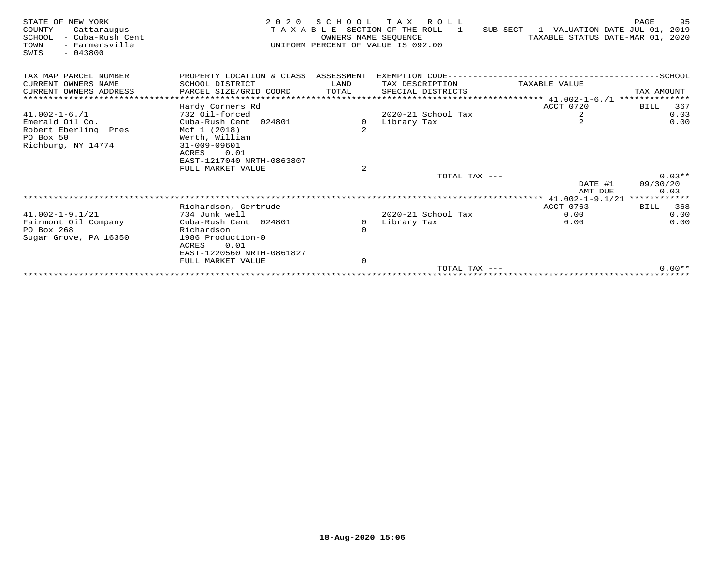| STATE OF NEW YORK<br>COUNTY<br>- Cattaraugus<br>- Cuba-Rush Cent<br>SCHOOL<br>- Farmersville<br>TOWN<br>$-043800$<br>SWIS | 2 0 2 0                              | S C H O O L<br>OWNERS NAME SEOUENCE | TAX ROLL<br>T A X A B L E SECTION OF THE ROLL - 1<br>UNIFORM PERCENT OF VALUE IS 092.00 | SUB-SECT - 1 VALUATION DATE-JUL 01, 2019<br>TAXABLE STATUS DATE-MAR 01, 2020 | 95<br>PAGE  |
|---------------------------------------------------------------------------------------------------------------------------|--------------------------------------|-------------------------------------|-----------------------------------------------------------------------------------------|------------------------------------------------------------------------------|-------------|
| TAX MAP PARCEL NUMBER                                                                                                     | PROPERTY LOCATION & CLASS ASSESSMENT |                                     |                                                                                         |                                                                              |             |
| CURRENT OWNERS NAME                                                                                                       | SCHOOL DISTRICT                      | LAND                                | TAX DESCRIPTION                                                                         | TAXABLE VALUE                                                                |             |
| CURRENT OWNERS ADDRESS                                                                                                    | PARCEL SIZE/GRID COORD               | TOTAL                               | SPECIAL DISTRICTS                                                                       |                                                                              | TAX AMOUNT  |
| ****************************                                                                                              |                                      |                                     |                                                                                         |                                                                              |             |
|                                                                                                                           | Hardy Corners Rd                     |                                     |                                                                                         | ACCT 0720                                                                    | 367<br>BILL |
| $41.002 - 1 - 6.71$                                                                                                       | 732 Oil-forced                       |                                     | $2020 - 21$ School Tax                                                                  | 2                                                                            | 0.03        |
| Emerald Oil Co.                                                                                                           | Cuba-Rush Cent 024801                | 0                                   | Library Tax                                                                             | $\mathfrak{D}$                                                               | 0.00        |
| Robert Eberling Pres                                                                                                      | Mcf 1 (2018)                         |                                     |                                                                                         |                                                                              |             |
| PO Box 50                                                                                                                 | Werth, William                       |                                     |                                                                                         |                                                                              |             |
| Richburg, NY 14774                                                                                                        | 31-009-09601<br>0.01                 |                                     |                                                                                         |                                                                              |             |
|                                                                                                                           | ACRES<br>EAST-1217040 NRTH-0863807   |                                     |                                                                                         |                                                                              |             |
|                                                                                                                           | FULL MARKET VALUE                    | 2                                   |                                                                                         |                                                                              |             |
|                                                                                                                           |                                      |                                     | TOTAL TAX ---                                                                           |                                                                              | $0.03**$    |
|                                                                                                                           |                                      |                                     |                                                                                         | DATE #1                                                                      | 09/30/20    |
|                                                                                                                           |                                      |                                     |                                                                                         | AMT DUE                                                                      | 0.03        |
|                                                                                                                           |                                      |                                     |                                                                                         |                                                                              |             |
|                                                                                                                           | Richardson, Gertrude                 |                                     |                                                                                         | ACCT 0763                                                                    | BILL 368    |
| $41.002 - 1 - 9.1/21$                                                                                                     | 734 Junk well                        |                                     | $2020 - 21$ School Tax                                                                  | 0.00                                                                         | 0.00        |
| Fairmont Oil Company                                                                                                      | Cuba-Rush Cent 024801                | $\Omega$                            | Library Tax                                                                             | 0.00                                                                         | 0.00        |
| PO Box 268                                                                                                                | Richardson                           |                                     |                                                                                         |                                                                              |             |
| Sugar Grove, PA 16350                                                                                                     | 1986 Production-0                    |                                     |                                                                                         |                                                                              |             |
|                                                                                                                           | 0.01<br>ACRES                        |                                     |                                                                                         |                                                                              |             |
|                                                                                                                           | EAST-1220560 NRTH-0861827            |                                     |                                                                                         |                                                                              |             |
|                                                                                                                           | FULL MARKET VALUE                    | $\Omega$                            |                                                                                         |                                                                              |             |
|                                                                                                                           |                                      |                                     | TOTAL TAX $---$                                                                         |                                                                              | $0.00**$    |
|                                                                                                                           |                                      |                                     |                                                                                         |                                                                              |             |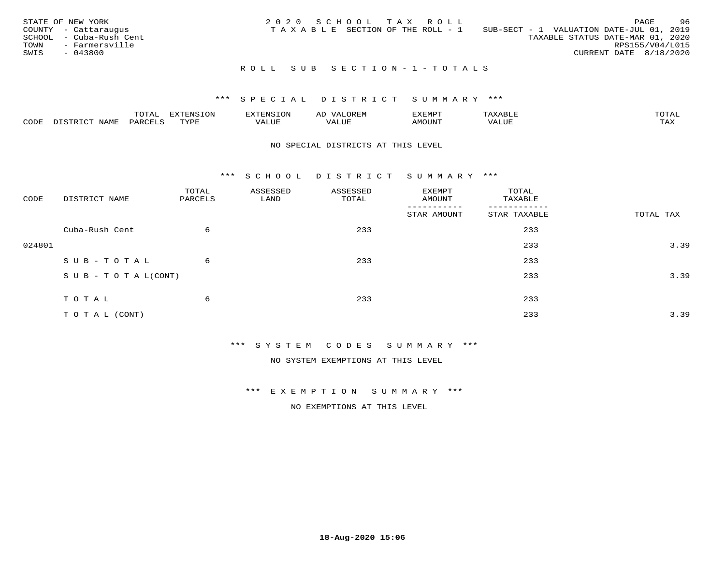| STATE OF NEW YORK<br>COUNTY - Cattaraugus<br>SCHOOL - Cuba-Rush Cent<br>TOWN<br>- Farmersville<br>SWIS<br>- 043800 | 2020 SCHOOL TAX ROLL<br>SUB-SECT - 1 VALUATION DATE-JUL 01, 2019<br>T A X A B L E SECTION OF THE ROLL - 1<br>TAXABLE STATUS DATE-MAR 01, 2020 | 96<br>PAGE<br>RPS155/V04/L015<br>CURRENT DATE 8/18/2020 |
|--------------------------------------------------------------------------------------------------------------------|-----------------------------------------------------------------------------------------------------------------------------------------------|---------------------------------------------------------|
|                                                                                                                    | ROLL SUB SECTION-1-TOTALS                                                                                                                     |                                                         |

|      |             | m^m3   | $\pi$ mat $\pi$ $\pi$<br>$-21$ | <b>ENSION</b>                     | OREN<br>AL | <b>EXEMP</b><br>. ⊾⊥∵⊥سد∡ت |      | TOTAL |
|------|-------------|--------|--------------------------------|-----------------------------------|------------|----------------------------|------|-------|
| CODE | <b>NAML</b> | PARCET | TVDL<br>- - - -                | , <del>,</del> , , , , ,<br>'ALUI | ALUE       | MOUN'1                     | ALUF | TAX   |

#### NO SPECIAL DISTRICTS AT THIS LEVEL

\*\*\* S C H O O L D I S T R I C T S U M M A R Y \*\*\*

| CODE   | DISTRICT NAME                    | TOTAL<br>PARCELS | ASSESSED<br>LAND | ASSESSED<br>TOTAL | EXEMPT<br>AMOUNT         | TOTAL<br>TAXABLE |           |
|--------|----------------------------------|------------------|------------------|-------------------|--------------------------|------------------|-----------|
|        |                                  |                  |                  |                   | $- - - -$<br>STAR AMOUNT | STAR TAXABLE     | TOTAL TAX |
|        | Cuba-Rush Cent                   | 6                |                  | 233               |                          | 233              |           |
| 024801 |                                  |                  |                  |                   |                          | 233              | 3.39      |
|        | SUB-TOTAL                        | 6                |                  | 233               |                          | 233              |           |
|        | $S \cup B - T \cup T A L (CONT)$ |                  |                  |                   |                          | 233              | 3.39      |
|        | TOTAL                            | 6                |                  | 233               |                          | 233              |           |
|        |                                  |                  |                  |                   |                          |                  |           |
|        | T O T A L (CONT)                 |                  |                  |                   |                          | 233              | 3.39      |

\*\*\* S Y S T E M C O D E S S U M M A R Y \*\*\*

NO SYSTEM EXEMPTIONS AT THIS LEVEL

\*\*\* E X E M P T I O N S U M M A R Y \*\*\*

NO EXEMPTIONS AT THIS LEVEL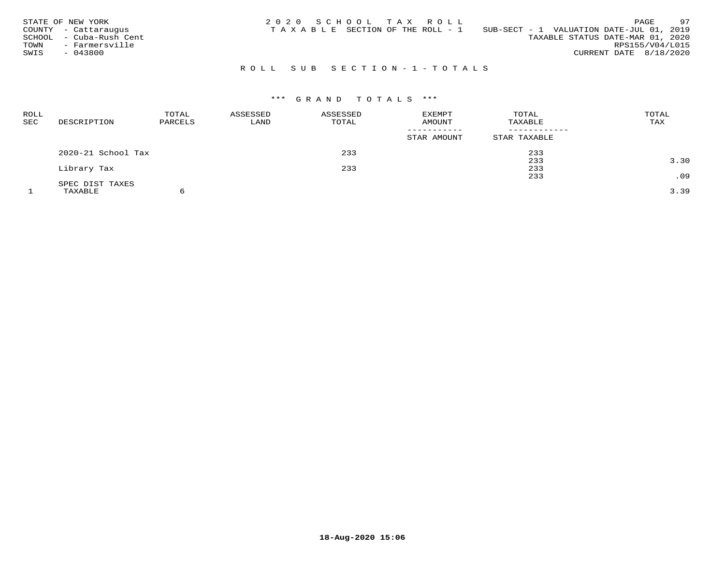| STATE OF NEW YORK<br>COUNTY - Cattaraugus<br>SCHOOL - Cuba-Rush Cent<br>- Farmersville<br>TOWN<br>SWIS<br>- 043800 | 2020 SCHOOL TAX ROLL<br>SUB-SECT - 1 VALUATION DATE-JUL 01, 2019<br>T A X A B L E SECTION OF THE ROLL - 1 | 97<br>PAGE<br>TAXABLE STATUS DATE-MAR 01, 2020<br>RPS155/V04/L015<br>CURRENT DATE 8/18/2020 |
|--------------------------------------------------------------------------------------------------------------------|-----------------------------------------------------------------------------------------------------------|---------------------------------------------------------------------------------------------|
|                                                                                                                    | ROLL SUB SECTION-1-TOTALS                                                                                 |                                                                                             |

# \*\*\* G R A N D T O T A L S \*\*\*

| <b>ROLL</b><br><b>SEC</b> | DESCRIPTION        | TOTAL<br>PARCELS | ASSESSED<br>LAND | ASSESSED<br>TOTAL | EXEMPT<br>AMOUNT | TOTAL<br>TAXABLE | TOTAL<br>TAX |
|---------------------------|--------------------|------------------|------------------|-------------------|------------------|------------------|--------------|
|                           |                    |                  |                  |                   | STAR AMOUNT      | STAR TAXABLE     |              |
|                           | 2020-21 School Tax |                  |                  | 233               |                  | 233              |              |
|                           |                    |                  |                  |                   |                  | 233              | 3.30         |
|                           | Library Tax        |                  |                  | 233               |                  | 233              |              |
|                           |                    |                  |                  |                   |                  | 233              | .09          |
|                           | SPEC DIST TAXES    |                  |                  |                   |                  |                  |              |
|                           | TAXABLE            |                  |                  |                   |                  |                  | 3.39         |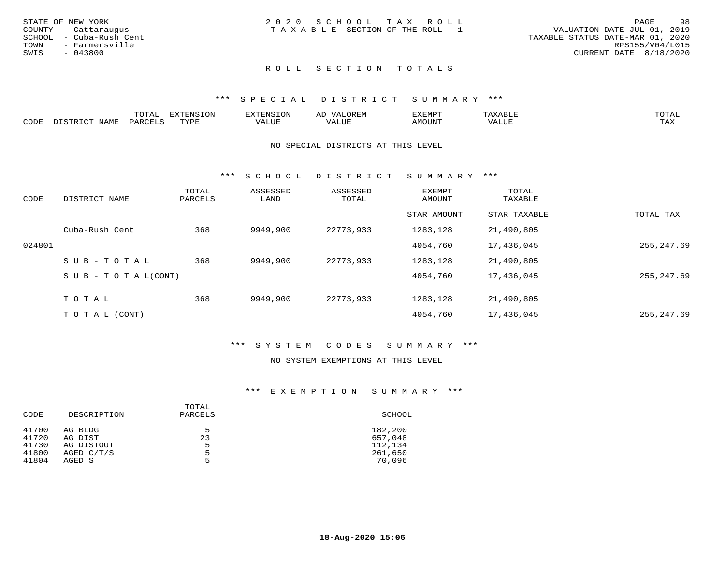| STATE OF NEW YORK       | 2020 SCHOOL TAX ROLL                  | 98<br>PAGE                       |
|-------------------------|---------------------------------------|----------------------------------|
| COUNTY - Cattaraugus    | T A X A B L E SECTION OF THE ROLL - 1 | VALUATION DATE-JUL 01, 2019      |
| SCHOOL - Cuba-Rush Cent |                                       | TAXABLE STATUS DATE-MAR 01, 2020 |
| TOWN<br>- Farmersville  |                                       | RPS155/V04/L015                  |
| SWIS<br>- 043800        |                                       | CURRENT DATE 8/18/2020           |
|                         |                                       |                                  |

# ROLL SECTION TOTALS

#### \*\*\* S P E C I A L D I S T R I C T S U M M A R Y \*\*\*

|      | $m \wedge m \wedge n$<br>.UTAL                                                | <b>EXTENSION</b> | BUN S | OR∏N<br>AĽ<br>11 J I V I LI | 'XEMPT        | AAABLE            | $m \wedge m \wedge n$ |
|------|-------------------------------------------------------------------------------|------------------|-------|-----------------------------|---------------|-------------------|-----------------------|
| CODE | $\Lambda$ T $\Delta$ $\mathbf{M}$ $\mathbf{\Gamma}$<br>$DA$ $R$ $R$ $T$ . $C$ | <b>TVDL</b>      | VALUE | $- - - -$<br>.<br>. Alur    | <b>AMOUNT</b> | VALU <sub>r</sub> | TA Y<br>⊥∟∆∆          |

#### NO SPECIAL DISTRICTS AT THIS LEVEL

\*\*\* S C H O O L D I S T R I C T S U M M A R Y \*\*\*

| CODE   | DISTRICT NAME                    | TOTAL<br>PARCELS | ASSESSED<br>LAND | ASSESSED<br>TOTAL | <b>EXEMPT</b><br>AMOUNT | TOTAL<br>TAXABLE |            |
|--------|----------------------------------|------------------|------------------|-------------------|-------------------------|------------------|------------|
|        |                                  |                  |                  |                   | STAR AMOUNT             | STAR TAXABLE     | TOTAL TAX  |
|        | Cuba-Rush Cent                   | 368              | 9949,900         | 22773,933         | 1283,128                | 21,490,805       |            |
| 024801 |                                  |                  |                  |                   | 4054,760                | 17,436,045       | 255,247.69 |
|        | SUB-TOTAL                        | 368              | 9949,900         | 22773,933         | 1283,128                | 21,490,805       |            |
|        | $S \cup B - T \cup T A L (CONT)$ |                  |                  |                   | 4054,760                | 17,436,045       | 255,247.69 |
|        | TOTAL                            | 368              | 9949,900         | 22773,933         | 1283,128                | 21,490,805       |            |
|        | T O T A L (CONT)                 |                  |                  |                   | 4054,760                | 17,436,045       | 255,247.69 |

#### \*\*\* S Y S T E M C O D E S S U M M A R Y \*\*\*

#### NO SYSTEM EXEMPTIONS AT THIS LEVEL

#### \*\*\* E X E M P T I O N S U M M A R Y \*\*\*

| CODE  | DESCRIPTION | TOTAL<br>PARCELS | SCHOOL  |
|-------|-------------|------------------|---------|
| 41700 | AG BLDG     | .5               | 182,200 |
| 41720 | AG DIST     | 23               | 657,048 |
| 41730 | AG DISTOUT  | 5                | 112,134 |
| 41800 | AGED C/T/S  | 5                | 261,650 |
| 41804 | AGED S      | 5                | 70,096  |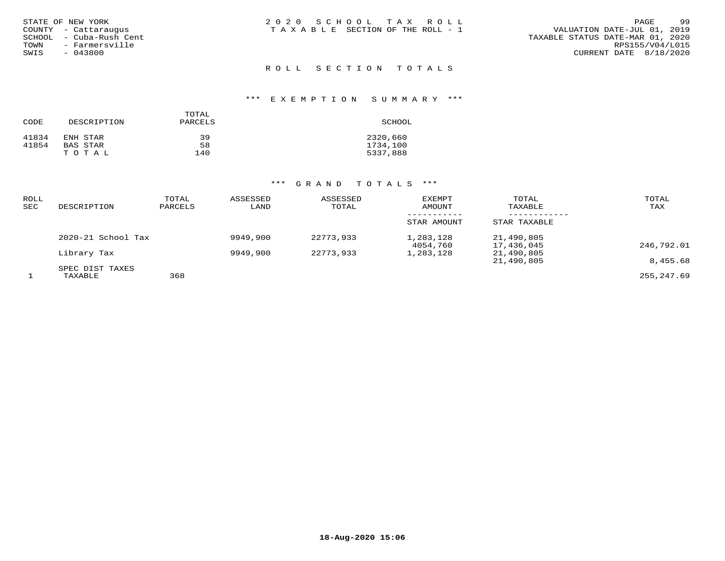|      | STATE OF NEW YORK        |
|------|--------------------------|
|      | COUNTY - Cattarauqus     |
|      | SCHOOL  – Cuba-Rush Cent |
| TOWN | - Farmersville           |
| SWIS | $-043800$                |
|      |                          |

#### ROLL SECTION TOTALS

#### \*\*\* E X E M P T I O N S U M M A R Y \*\*\*

| CODE  | DESCRIPTION | TOTAL<br>PARCELS | SCHOOL   |
|-------|-------------|------------------|----------|
| 41834 | ENH STAR    | 39               | 2320,660 |
| 41854 | BAS STAR    | 58               | 1734,100 |
|       | TOTAL       | 140              | 5337,888 |

### \*\*\* G R A N D T O T A L S \*\*\*

| ROLL<br>SEC | DESCRIPTION        | TOTAL<br>PARCELS | ASSESSED<br>LAND | ASSESSED<br>TOTAL | EXEMPT<br>AMOUNT      | TOTAL<br>TAXABLE         | TOTAL<br>TAX |
|-------------|--------------------|------------------|------------------|-------------------|-----------------------|--------------------------|--------------|
|             |                    |                  |                  |                   | STAR AMOUNT           | STAR TAXABLE             |              |
|             | 2020-21 School Tax |                  | 9949,900         | 22773,933         | 1,283,128<br>4054,760 | 21,490,805<br>17,436,045 | 246,792.01   |
|             | Library Tax        |                  | 9949,900         | 22773,933         | 1,283,128             | 21,490,805               |              |
|             | SPEC DIST TAXES    |                  |                  |                   |                       | 21,490,805               | 8,455.68     |
|             | TAXABLE            | 368              |                  |                   |                       |                          | 255,247.69   |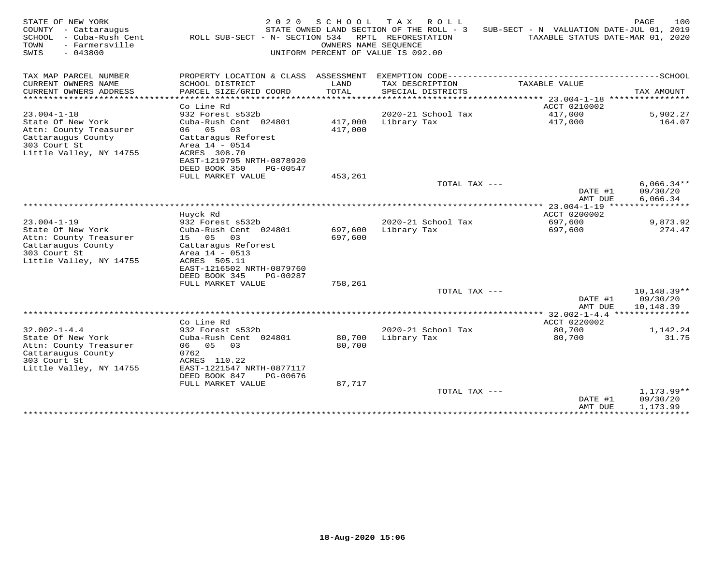| STATE OF NEW YORK<br>COUNTY - Cattaraugus<br>SCHOOL<br>- Cuba-Rush Cent<br>TOWN<br>- Farmersville<br>$-043800$<br>SWIS | 2 0 2 0<br>ROLL SUB-SECT - N- SECTION 534 | SCHOOL           | T A X<br>R O L L<br>STATE OWNED LAND SECTION OF THE ROLL - 3<br>RPTL REFORESTATION<br>OWNERS NAME SEOUENCE<br>UNIFORM PERCENT OF VALUE IS 092.00 | SUB-SECT - N VALUATION DATE-JUL 01, 2019<br>TAXABLE STATUS DATE-MAR 01, 2020 | 100<br>PAGE                    |
|------------------------------------------------------------------------------------------------------------------------|-------------------------------------------|------------------|--------------------------------------------------------------------------------------------------------------------------------------------------|------------------------------------------------------------------------------|--------------------------------|
| TAX MAP PARCEL NUMBER                                                                                                  | PROPERTY LOCATION & CLASS ASSESSMENT      |                  | EXEMPTION CODE------------                                                                                                                       |                                                                              | ----------SCHOOL               |
| CURRENT OWNERS NAME                                                                                                    | SCHOOL DISTRICT                           | LAND             | TAX DESCRIPTION                                                                                                                                  | TAXABLE VALUE                                                                |                                |
| CURRENT OWNERS ADDRESS                                                                                                 | PARCEL SIZE/GRID COORD                    | TOTAL            | SPECIAL DISTRICTS                                                                                                                                |                                                                              | TAX AMOUNT                     |
| ********************                                                                                                   | Co Line Rd                                |                  |                                                                                                                                                  |                                                                              | ****************               |
| $23.004 - 1 - 18$                                                                                                      | 932 Forest s532b                          |                  | 2020-21 School Tax                                                                                                                               | ACCT 0210002<br>417,000                                                      | 5,902.27                       |
| State Of New York                                                                                                      | Cuba-Rush Cent 024801                     | 417,000          | Library Tax                                                                                                                                      | 417,000                                                                      | 164.07                         |
| Attn: County Treasurer                                                                                                 | 06<br>05<br>03                            | 417,000          |                                                                                                                                                  |                                                                              |                                |
| Cattaraugus County                                                                                                     | Cattaragus Reforest                       |                  |                                                                                                                                                  |                                                                              |                                |
| 303 Court St                                                                                                           | Area 14 - 0514                            |                  |                                                                                                                                                  |                                                                              |                                |
| Little Valley, NY 14755                                                                                                | ACRES 308.70<br>EAST-1219795 NRTH-0878920 |                  |                                                                                                                                                  |                                                                              |                                |
|                                                                                                                        | DEED BOOK 350<br>PG-00547                 |                  |                                                                                                                                                  |                                                                              |                                |
|                                                                                                                        | FULL MARKET VALUE                         | 453,261          |                                                                                                                                                  |                                                                              |                                |
|                                                                                                                        |                                           |                  | TOTAL TAX ---                                                                                                                                    |                                                                              | $6,066.34**$                   |
|                                                                                                                        |                                           |                  |                                                                                                                                                  | DATE #1                                                                      | 09/30/20                       |
|                                                                                                                        |                                           |                  |                                                                                                                                                  | AMT DUE<br>23.004-1-19                                                       | 6,066.34                       |
|                                                                                                                        | Huyck Rd                                  |                  |                                                                                                                                                  | ACCT 0200002                                                                 |                                |
| $23.004 - 1 - 19$                                                                                                      | 932 Forest s532b                          |                  | 2020-21 School Tax                                                                                                                               | 697,600                                                                      | 9,873.92                       |
| State Of New York                                                                                                      | Cuba-Rush Cent 024801                     | 697,600          | Library Tax                                                                                                                                      | 697,600                                                                      | 274.47                         |
| Attn: County Treasurer                                                                                                 | 05<br>03<br>15                            | 697,600          |                                                                                                                                                  |                                                                              |                                |
| Cattaraugus County<br>303 Court St                                                                                     | Cattaragus Reforest<br>Area 14 - 0513     |                  |                                                                                                                                                  |                                                                              |                                |
| Little Valley, NY 14755                                                                                                | ACRES 505.11                              |                  |                                                                                                                                                  |                                                                              |                                |
|                                                                                                                        | EAST-1216502 NRTH-0879760                 |                  |                                                                                                                                                  |                                                                              |                                |
|                                                                                                                        | DEED BOOK 345<br>PG-00287                 |                  |                                                                                                                                                  |                                                                              |                                |
|                                                                                                                        | FULL MARKET VALUE                         | 758,261          |                                                                                                                                                  |                                                                              |                                |
|                                                                                                                        |                                           |                  | TOTAL TAX ---                                                                                                                                    | DATE #1                                                                      | $10,148.39**$<br>09/30/20      |
|                                                                                                                        |                                           |                  |                                                                                                                                                  | AMT DUE                                                                      | 10,148.39                      |
| ******************************                                                                                         |                                           |                  |                                                                                                                                                  |                                                                              |                                |
|                                                                                                                        | Co Line Rd                                |                  |                                                                                                                                                  | ACCT 0220002                                                                 |                                |
| $32.002 - 1 - 4.4$                                                                                                     | 932 Forest s532b                          |                  | 2020-21 School Tax                                                                                                                               | 80,700                                                                       | 1,142.24                       |
| State Of New York<br>Attn: County Treasurer                                                                            | Cuba-Rush Cent 024801<br>06 05<br>03      | 80,700<br>80,700 | Library Tax                                                                                                                                      | 80,700                                                                       | 31.75                          |
| Cattaraugus County                                                                                                     | 0762                                      |                  |                                                                                                                                                  |                                                                              |                                |
| 303 Court St                                                                                                           | ACRES 110.22                              |                  |                                                                                                                                                  |                                                                              |                                |
| Little Valley, NY 14755                                                                                                | EAST-1221547 NRTH-0877117                 |                  |                                                                                                                                                  |                                                                              |                                |
|                                                                                                                        | DEED BOOK 847<br>PG-00676                 |                  |                                                                                                                                                  |                                                                              |                                |
|                                                                                                                        | FULL MARKET VALUE                         | 87,717           | TOTAL TAX ---                                                                                                                                    |                                                                              | $1,173.99**$                   |
|                                                                                                                        |                                           |                  |                                                                                                                                                  | DATE #1                                                                      | 09/30/20                       |
|                                                                                                                        |                                           |                  |                                                                                                                                                  | AMT DUE                                                                      | 1,173.99                       |
|                                                                                                                        |                                           |                  |                                                                                                                                                  |                                                                              | ****************************** |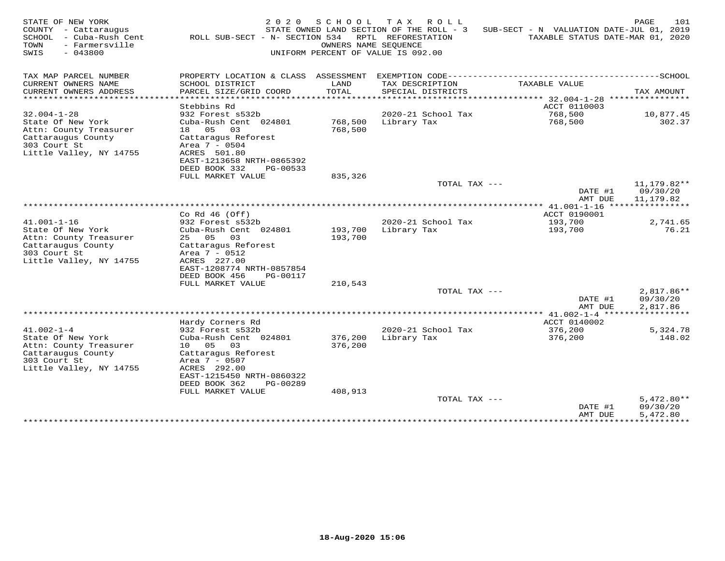| STATE OF NEW YORK<br>COUNTY<br>- Cattaraugus<br>SCHOOL<br>- Cuba-Rush Cent<br>TOWN<br>- Farmersville<br>SWIS<br>$-043800$        | 2 0 2 0<br>ROLL SUB-SECT - N- SECTION 534                                                                                                                                                                           | SCHOOL                        | T A X<br>ROLL<br>STATE OWNED LAND SECTION OF THE ROLL - 3<br>RPTL REFORESTATION<br>OWNERS NAME SEOUENCE<br>UNIFORM PERCENT OF VALUE IS 092.00 | SUB-SECT - N VALUATION DATE-JUL 01, 2019<br>TAXABLE STATUS DATE-MAR 01, 2020 | 101<br>PAGE                          |
|----------------------------------------------------------------------------------------------------------------------------------|---------------------------------------------------------------------------------------------------------------------------------------------------------------------------------------------------------------------|-------------------------------|-----------------------------------------------------------------------------------------------------------------------------------------------|------------------------------------------------------------------------------|--------------------------------------|
| TAX MAP PARCEL NUMBER                                                                                                            | PROPERTY LOCATION & CLASS ASSESSMENT                                                                                                                                                                                |                               |                                                                                                                                               |                                                                              |                                      |
| CURRENT OWNERS NAME<br>CURRENT OWNERS ADDRESS                                                                                    | SCHOOL DISTRICT<br>PARCEL SIZE/GRID COORD                                                                                                                                                                           | LAND<br>TOTAL                 | TAX DESCRIPTION<br>SPECIAL DISTRICTS                                                                                                          | TAXABLE VALUE                                                                | TAX AMOUNT                           |
| ********************                                                                                                             | .                                                                                                                                                                                                                   | *******                       |                                                                                                                                               | ******* 32.004-1-28                                                          | ****************                     |
| $32.004 - 1 - 28$                                                                                                                | Stebbins Rd<br>932 Forest s532b                                                                                                                                                                                     |                               | 2020-21 School Tax                                                                                                                            | ACCT 0110003<br>768,500                                                      | 10,877.45                            |
| State Of New York<br>Attn: County Treasurer<br>Cattaraugus County<br>303 Court St<br>Little Valley, NY 14755                     | Cuba-Rush Cent 024801<br>18 05<br>03<br>Cattaragus Reforest<br>Area 7 - 0504<br>ACRES 501.80<br>EAST-1213658 NRTH-0865392                                                                                           | 768,500<br>768,500            | Library Tax                                                                                                                                   | 768,500                                                                      | 302.37                               |
|                                                                                                                                  | DEED BOOK 332<br>PG-00533<br>FULL MARKET VALUE                                                                                                                                                                      | 835,326                       |                                                                                                                                               |                                                                              |                                      |
|                                                                                                                                  |                                                                                                                                                                                                                     |                               | TOTAL TAX ---                                                                                                                                 | DATE #1<br>AMT DUE                                                           | 11,179.82**<br>09/30/20<br>11,179.82 |
|                                                                                                                                  |                                                                                                                                                                                                                     |                               |                                                                                                                                               |                                                                              |                                      |
| $41.001 - 1 - 16$                                                                                                                | Co Rd $46$ (Off)<br>932 Forest s532b                                                                                                                                                                                |                               | 2020-21 School Tax                                                                                                                            | ACCT 0190001<br>193,700                                                      | 2,741.65                             |
| State Of New York<br>Attn: County Treasurer<br>Cattaraugus County<br>303 Court St<br>Little Valley, NY 14755                     | Cuba-Rush Cent 024801<br>25 05<br>03<br>Cattaragus Reforest<br>Area 7 - 0512<br>ACRES 227.00<br>EAST-1208774 NRTH-0857854<br>DEED BOOK 456<br>PG-00117                                                              | 193,700<br>193,700            | Library Tax                                                                                                                                   | 193,700                                                                      | 76.21                                |
|                                                                                                                                  | FULL MARKET VALUE                                                                                                                                                                                                   | 210,543                       |                                                                                                                                               |                                                                              |                                      |
|                                                                                                                                  |                                                                                                                                                                                                                     |                               | TOTAL TAX ---                                                                                                                                 | DATE #1<br>AMT DUE                                                           | 2,817.86**<br>09/30/20<br>2,817.86   |
|                                                                                                                                  |                                                                                                                                                                                                                     |                               |                                                                                                                                               |                                                                              |                                      |
| $41.002 - 1 - 4$<br>State Of New York<br>Attn: County Treasurer<br>Cattaraugus County<br>303 Court St<br>Little Valley, NY 14755 | Hardy Corners Rd<br>932 Forest s532b<br>Cuba-Rush Cent 024801<br>10 05<br>03<br>Cattaraqus Reforest<br>Area 7 - 0507<br>ACRES 292.00<br>EAST-1215450 NRTH-0860322<br>DEED BOOK 362<br>PG-00289<br>FULL MARKET VALUE | 376,200<br>376,200<br>408,913 | 2020-21 School Tax<br>Library Tax                                                                                                             | ACCT 0140002<br>376,200<br>376,200                                           | 5,324.78<br>148.02                   |
|                                                                                                                                  |                                                                                                                                                                                                                     |                               | TOTAL TAX ---                                                                                                                                 |                                                                              | $5,472.80**$                         |
|                                                                                                                                  |                                                                                                                                                                                                                     |                               |                                                                                                                                               | DATE #1<br>AMT DUE<br>**************                                         | 09/30/20<br>5,472.80<br>***********  |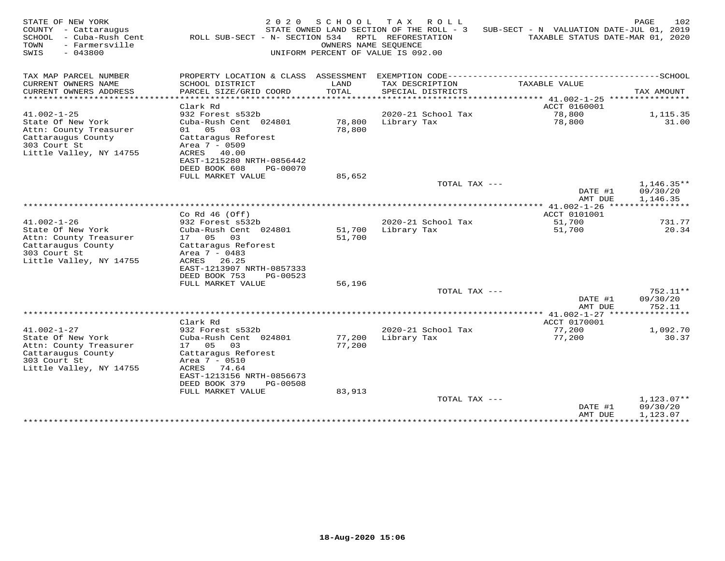| STATE OF NEW YORK<br>COUNTY - Cattaraugus<br>SCHOOL<br>- Cuba-Rush Cent<br>TOWN<br>- Farmersville<br>SWIS<br>$-043800$            | 2 0 2 0<br>ROLL SUB-SECT - N- SECTION 534                                                                                                                     | SCHOOL<br>OWNERS NAME SEOUENCE | T A X<br>ROLL<br>STATE OWNED LAND SECTION OF THE ROLL - 3<br>RPTL REFORESTATION<br>UNIFORM PERCENT OF VALUE IS 092.00 | SUB-SECT - N VALUATION DATE-JUL 01, 2019<br>TAXABLE STATUS DATE-MAR 01, 2020 | 102<br>PAGE                          |
|-----------------------------------------------------------------------------------------------------------------------------------|---------------------------------------------------------------------------------------------------------------------------------------------------------------|--------------------------------|-----------------------------------------------------------------------------------------------------------------------|------------------------------------------------------------------------------|--------------------------------------|
| TAX MAP PARCEL NUMBER                                                                                                             | PROPERTY LOCATION & CLASS ASSESSMENT                                                                                                                          |                                |                                                                                                                       |                                                                              |                                      |
| CURRENT OWNERS NAME<br>CURRENT OWNERS ADDRESS                                                                                     | SCHOOL DISTRICT<br>PARCEL SIZE/GRID COORD                                                                                                                     | LAND<br>TOTAL                  | TAX DESCRIPTION<br>SPECIAL DISTRICTS                                                                                  | TAXABLE VALUE                                                                | TAX AMOUNT                           |
| ********************                                                                                                              |                                                                                                                                                               | ********                       |                                                                                                                       | ******* 41.002-1-25 *****************                                        |                                      |
| $41.002 - 1 - 25$                                                                                                                 | Clark Rd<br>932 Forest s532b                                                                                                                                  |                                | 2020-21 School Tax                                                                                                    | ACCT 0160001<br>78,800                                                       | 1,115.35                             |
| State Of New York<br>Attn: County Treasurer<br>Cattaraugus County<br>303 Court St<br>Little Valley, NY 14755                      | Cuba-Rush Cent 024801<br>01 05<br>03<br>Cattaragus Reforest<br>Area 7 - 0509<br>ACRES 40.00<br>EAST-1215280 NRTH-0856442<br>DEED BOOK 608<br>PG-00070         | 78,800<br>78,800               | Library Tax                                                                                                           | 78,800                                                                       | 31.00                                |
|                                                                                                                                   | FULL MARKET VALUE                                                                                                                                             | 85,652                         |                                                                                                                       |                                                                              |                                      |
|                                                                                                                                   |                                                                                                                                                               |                                | TOTAL TAX ---                                                                                                         | DATE #1<br>AMT DUE                                                           | $1,146.35**$<br>09/30/20<br>1,146.35 |
|                                                                                                                                   |                                                                                                                                                               |                                |                                                                                                                       |                                                                              |                                      |
| $41.002 - 1 - 26$                                                                                                                 | Co Rd $46$ (Off)<br>932 Forest s532b                                                                                                                          |                                | 2020-21 School Tax                                                                                                    | ACCT 0101001<br>51,700                                                       | 731.77                               |
| State Of New York<br>Attn: County Treasurer<br>Cattaraugus County<br>303 Court St<br>Little Valley, NY 14755                      | Cuba-Rush Cent 024801<br>17 05<br>03<br>Cattaragus Reforest<br>Area $7 - 0483$<br>ACRES<br>26.25<br>EAST-1213907 NRTH-0857333<br>DEED BOOK 753<br>PG-00523    | 51,700<br>51,700               | Library Tax                                                                                                           | 51,700                                                                       | 20.34                                |
|                                                                                                                                   | FULL MARKET VALUE                                                                                                                                             | 56,196                         |                                                                                                                       |                                                                              |                                      |
|                                                                                                                                   |                                                                                                                                                               |                                | TOTAL TAX ---                                                                                                         | DATE #1<br>AMT DUE                                                           | 752.11**<br>09/30/20<br>752.11       |
|                                                                                                                                   |                                                                                                                                                               |                                |                                                                                                                       |                                                                              | * * * * * * * * * *                  |
| $41.002 - 1 - 27$<br>State Of New York<br>Attn: County Treasurer<br>Cattaraugus County<br>303 Court St<br>Little Valley, NY 14755 | Clark Rd<br>932 Forest s532b<br>Cuba-Rush Cent 024801<br>17 05<br>03<br>Cattaraqus Reforest<br>Area $7 - 0510$<br>ACRES<br>74.64<br>EAST-1213156 NRTH-0856673 | 77,200<br>77,200               | 2020-21 School Tax<br>Library Tax                                                                                     | ACCT 0170001<br>77,200<br>77,200                                             | 1,092.70<br>30.37                    |
|                                                                                                                                   | DEED BOOK 379<br>PG-00508<br>FULL MARKET VALUE                                                                                                                | 83,913                         |                                                                                                                       |                                                                              |                                      |
|                                                                                                                                   |                                                                                                                                                               |                                | TOTAL TAX ---                                                                                                         | DATE #1<br>AMT DUE                                                           | $1,123.07**$<br>09/30/20<br>1,123.07 |
|                                                                                                                                   |                                                                                                                                                               |                                |                                                                                                                       | **************                                                               | ***********                          |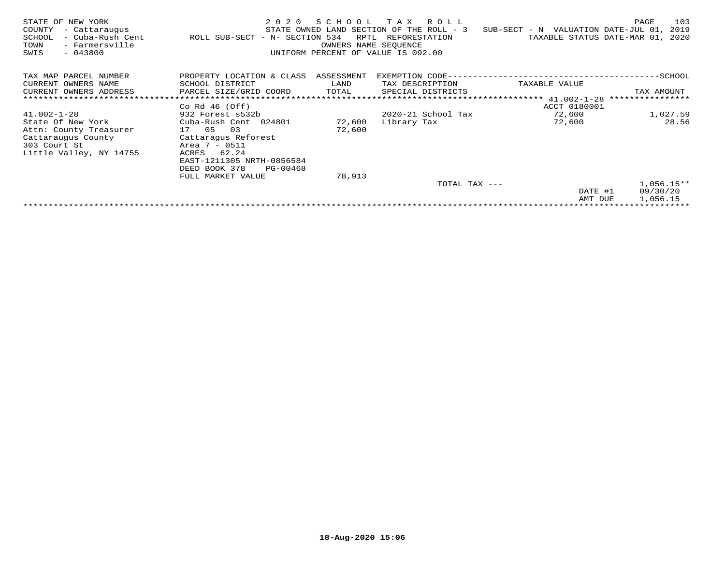| STATE OF NEW YORK<br>COUNTY<br>- Cattaraugus<br>- Cuba-Rush Cent<br>SCHOOL<br>- Farmersville<br>TOWN<br>$-043800$<br>SWIS | 2 0 2 0<br>ROLL SUB-SECT - N- SECTION 534 | S C H O O L<br>RPTL<br>OWNERS NAME SEOUENCE | TAX ROLL<br>STATE OWNED LAND SECTION OF THE ROLL - 3<br>REFORESTATION<br>UNIFORM PERCENT OF VALUE IS 092.00 | SUB-SECT - N VALUATION DATE-JUL 01,       | PAGE<br>103<br>2019<br>TAXABLE STATUS DATE-MAR 01, 2020 |
|---------------------------------------------------------------------------------------------------------------------------|-------------------------------------------|---------------------------------------------|-------------------------------------------------------------------------------------------------------------|-------------------------------------------|---------------------------------------------------------|
| TAX MAP PARCEL NUMBER                                                                                                     | PROPERTY LOCATION & CLASS ASSESSMENT      |                                             |                                                                                                             | EXEMPTION CODE--------------------------- | -------------SCHOOL                                     |
| CURRENT OWNERS NAME                                                                                                       | SCHOOL DISTRICT                           | LAND                                        | TAX DESCRIPTION                                                                                             | TAXABLE VALUE                             |                                                         |
| CURRENT OWNERS ADDRESS                                                                                                    | PARCEL SIZE/GRID COORD                    | TOTAL                                       | SPECIAL DISTRICTS                                                                                           |                                           | TAX AMOUNT                                              |
| ******************************                                                                                            |                                           |                                             |                                                                                                             | ***************************** 41.002-1-28 | ****************                                        |
|                                                                                                                           | Co Rd $46$ (Off)                          |                                             |                                                                                                             | ACCT 0180001                              |                                                         |
| $41.002 - 1 - 28$                                                                                                         | 932 Forest s532b                          |                                             | 2020-21 School Tax                                                                                          | 72,600                                    | 1,027.59                                                |
| State Of New York                                                                                                         | Cuba-Rush Cent 024801                     | 72,600                                      | Library Tax                                                                                                 | 72,600                                    | 28.56                                                   |
| Attn: County Treasurer                                                                                                    | 17 05<br>03                               | 72,600                                      |                                                                                                             |                                           |                                                         |
| Cattaraugus County                                                                                                        | Cattaragus Reforest                       |                                             |                                                                                                             |                                           |                                                         |
| 303 Court St                                                                                                              | Area 7 - 0511                             |                                             |                                                                                                             |                                           |                                                         |
| Little Valley, NY 14755                                                                                                   | 62.24<br>ACRES                            |                                             |                                                                                                             |                                           |                                                         |
|                                                                                                                           | EAST-1211305 NRTH-0856584                 |                                             |                                                                                                             |                                           |                                                         |
|                                                                                                                           | DEED BOOK 378<br>PG-00468                 |                                             |                                                                                                             |                                           |                                                         |
|                                                                                                                           | FULL MARKET VALUE                         | 78,913                                      |                                                                                                             |                                           |                                                         |
|                                                                                                                           |                                           |                                             | TOTAL TAX ---                                                                                               |                                           | $1,056.15**$                                            |
|                                                                                                                           |                                           |                                             |                                                                                                             | DATE #1                                   | 09/30/20                                                |
|                                                                                                                           |                                           |                                             |                                                                                                             | AMT DUE                                   | 1,056.15                                                |
|                                                                                                                           |                                           |                                             |                                                                                                             |                                           |                                                         |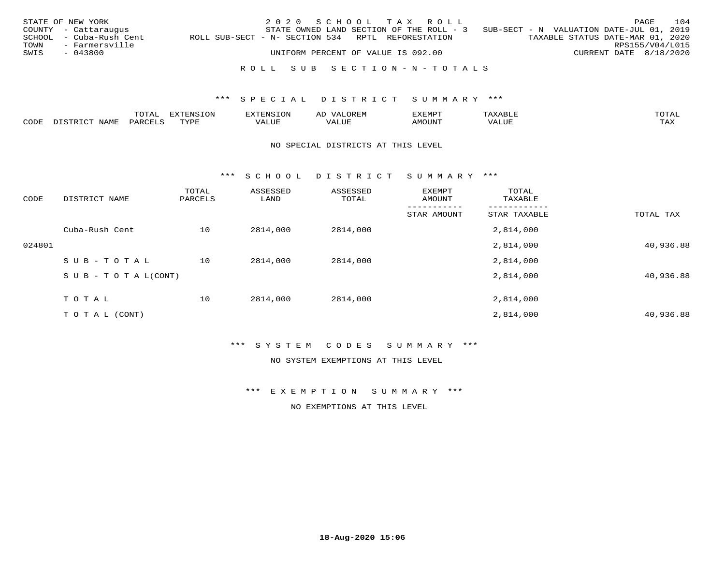|      | STATE OF NEW YORK       |                                                   | 2020 SCHOOL TAX ROLL                                                              |  |  |                                  |                        | PAGE            | 104 |
|------|-------------------------|---------------------------------------------------|-----------------------------------------------------------------------------------|--|--|----------------------------------|------------------------|-----------------|-----|
|      | COUNTY - Cattaraugus    |                                                   | STATE OWNED LAND SECTION OF THE ROLL - 3 SUB-SECT - N VALUATION DATE-JUL 01, 2019 |  |  |                                  |                        |                 |     |
|      | SCHOOL - Cuba-Rush Cent | ROLL SUB-SECT - N- SECTION 534 RPTL REFORESTATION |                                                                                   |  |  | TAXABLE STATUS DATE-MAR 01, 2020 |                        |                 |     |
| TOWN | - Farmersville          |                                                   |                                                                                   |  |  |                                  |                        | RPS155/V04/L015 |     |
| SWIS | - 043800                |                                                   | UNIFORM PERCENT OF VALUE IS 092.00                                                |  |  |                                  | CURRENT DATE 8/18/2020 |                 |     |
|      |                         |                                                   |                                                                                   |  |  |                                  |                        |                 |     |
|      |                         |                                                   | ROLL SUB SECTION-N-TOTALS                                                         |  |  |                                  |                        |                 |     |

|      | $m \wedge m \wedge n$ | $T^{\sim}$<br>pszmpatoj<br>LUP | $\sim$ | ,,, <del>,</del> ,,, <del>,</del> ,<br>. ب<br>التلذذك |            | $m \wedge m$       |
|------|-----------------------|--------------------------------|--------|-------------------------------------------------------|------------|--------------------|
| CDDE |                       | TVDF                           |        |                                                       | $\Delta$ . | $- - - -$<br>. ris |

#### NO SPECIAL DISTRICTS AT THIS LEVEL

\*\*\* S C H O O L D I S T R I C T S U M M A R Y \*\*\*

| CODE   | DISTRICT NAME                    | TOTAL<br>PARCELS | ASSESSED<br>LAND | ASSESSED<br>TOTAL | EXEMPT<br>AMOUNT | TOTAL<br>TAXABLE |           |
|--------|----------------------------------|------------------|------------------|-------------------|------------------|------------------|-----------|
|        |                                  |                  |                  |                   | STAR AMOUNT      | STAR TAXABLE     | TOTAL TAX |
|        | Cuba-Rush Cent                   | 10               | 2814,000         | 2814,000          |                  | 2,814,000        |           |
| 024801 |                                  |                  |                  |                   |                  | 2,814,000        | 40,936.88 |
|        | SUB-TOTAL                        | 10               | 2814,000         | 2814,000          |                  | 2,814,000        |           |
|        | $S \cup B - T \cup T A L (CONT)$ |                  |                  |                   |                  | 2,814,000        | 40,936.88 |
|        | TOTAL                            | 10               | 2814,000         | 2814,000          |                  | 2,814,000        |           |
|        | T O T A L (CONT)                 |                  |                  |                   |                  | 2,814,000        | 40,936.88 |

#### \*\*\* S Y S T E M C O D E S S U M M A R Y \*\*\*

NO SYSTEM EXEMPTIONS AT THIS LEVEL

\*\*\* E X E M P T I O N S U M M A R Y \*\*\*

NO EXEMPTIONS AT THIS LEVEL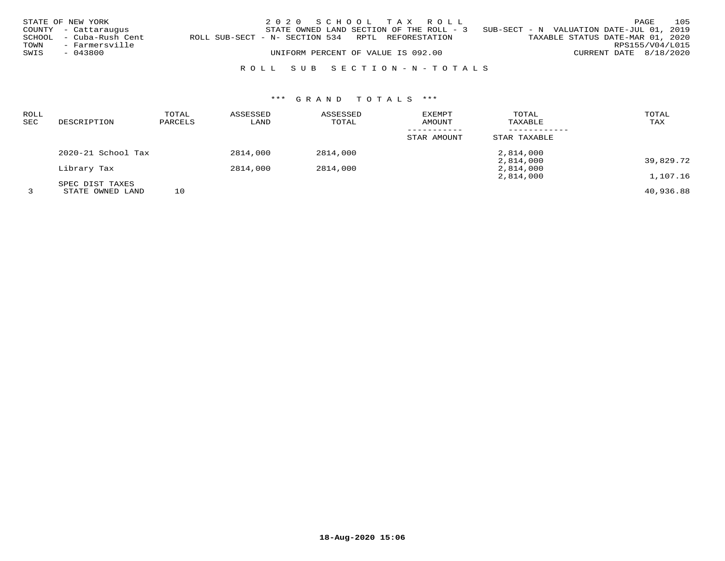|      | STATE OF NEW YORK       |                                                   | 2020 SCHOOL TAX ROLL                     |  |  |                                          |                        | PAGE | 105 |
|------|-------------------------|---------------------------------------------------|------------------------------------------|--|--|------------------------------------------|------------------------|------|-----|
|      | COUNTY - Cattaraugus    |                                                   | STATE OWNED LAND SECTION OF THE ROLL - 3 |  |  | SUB-SECT - N VALUATION DATE-JUL 01, 2019 |                        |      |     |
|      | SCHOOL - Cuba-Rush Cent | ROLL SUB-SECT - N- SECTION 534 RPTL REFORESTATION |                                          |  |  | TAXABLE STATUS DATE-MAR 01, 2020         |                        |      |     |
| TOWN | - Farmersville          |                                                   |                                          |  |  |                                          | RPS155/V04/L015        |      |     |
| SWIS | - 043800                |                                                   | UNIFORM PERCENT OF VALUE IS 092.00       |  |  |                                          | CURRENT DATE 8/18/2020 |      |     |
|      |                         |                                                   |                                          |  |  |                                          |                        |      |     |

# R O L L S U B S E C T I O N - N - T O T A L S

# \*\*\* G R A N D T O T A L S \*\*\*

| <b>ROLL</b><br><b>SEC</b> | DESCRIPTION        | TOTAL<br>PARCELS | ASSESSED<br>LAND | ASSESSED<br>TOTAL | <b>EXEMPT</b><br>AMOUNT | TOTAL<br>TAXABLE | TOTAL<br>TAX |
|---------------------------|--------------------|------------------|------------------|-------------------|-------------------------|------------------|--------------|
|                           |                    |                  |                  |                   | STAR AMOUNT             | STAR TAXABLE     |              |
|                           | 2020-21 School Tax |                  | 2814,000         | 2814,000          |                         | 2,814,000        |              |
|                           |                    |                  |                  |                   |                         | 2,814,000        | 39,829.72    |
|                           | Library Tax        |                  | 2814,000         | 2814,000          |                         | 2,814,000        |              |
|                           |                    |                  |                  |                   |                         | 2,814,000        | 1,107.16     |
|                           | SPEC DIST TAXES    |                  |                  |                   |                         |                  |              |
|                           | STATE OWNED LAND   | 10               |                  |                   |                         |                  | 40,936.88    |

**18-Aug-2020 15:06**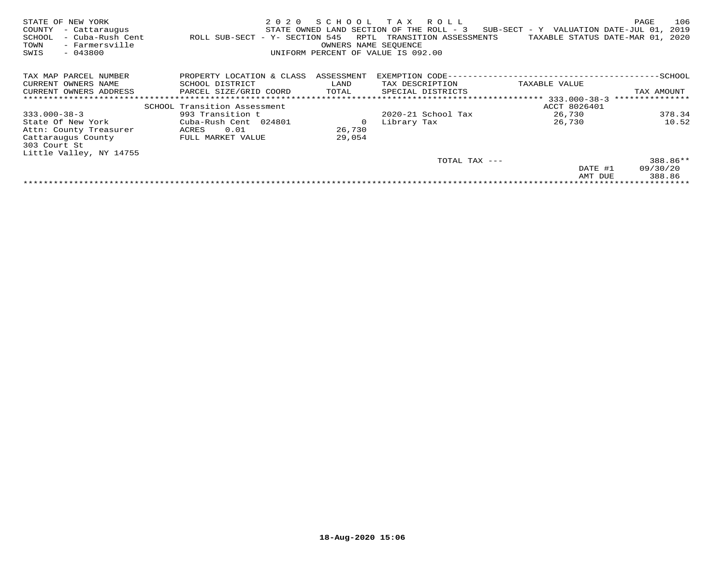| STATE OF NEW YORK<br>COUNTY<br>- Cattaraugus<br>- Cuba-Rush Cent<br>SCHOOL<br>- Farmersville<br>TOWN<br>$-043800$<br>SWIS | 2020<br>ROLL SUB-SECT - Y- SECTION 545 | SCHOOL<br>RPTL<br>OWNERS NAME SEOUENCE | T A X<br>R O L L<br>STATE OWNED LAND SECTION OF THE ROLL - 3<br>TRANSITION ASSESSMENTS<br>UNIFORM PERCENT OF VALUE IS 092.00 | $SUB-SECTION - Y$ VALUATION DATE-JUL 01,<br>TAXABLE STATUS DATE-MAR 01, | 106<br>PAGE<br>2019<br>2020 |
|---------------------------------------------------------------------------------------------------------------------------|----------------------------------------|----------------------------------------|------------------------------------------------------------------------------------------------------------------------------|-------------------------------------------------------------------------|-----------------------------|
| TAX MAP PARCEL NUMBER                                                                                                     | PROPERTY LOCATION & CLASS              | ASSESSMENT                             | EXEMPTION CODE--                                                                                                             |                                                                         | -SCHOOL                     |
| CURRENT OWNERS NAME                                                                                                       | SCHOOL DISTRICT                        | LAND                                   | TAX DESCRIPTION                                                                                                              | TAXABLE VALUE                                                           |                             |
| CURRENT OWNERS ADDRESS                                                                                                    | PARCEL SIZE/GRID COORD                 | TOTAL                                  | SPECIAL DISTRICTS                                                                                                            |                                                                         | TAX AMOUNT                  |
|                                                                                                                           |                                        |                                        |                                                                                                                              | 333.000-38-3                                                            | ***************             |
|                                                                                                                           | SCHOOL Transition Assessment           |                                        |                                                                                                                              | ACCT 8026401                                                            |                             |
| $333.000 - 38 - 3$                                                                                                        | 993 Transition t                       |                                        | $2020 - 21$ School Tax                                                                                                       | 26,730                                                                  | 378.34                      |
| State Of New York                                                                                                         | Cuba-Rush Cent 024801                  | 0                                      | Library Tax                                                                                                                  | 26,730                                                                  | 10.52                       |
| Attn: County Treasurer                                                                                                    | 0.01<br>ACRES                          | 26,730                                 |                                                                                                                              |                                                                         |                             |
| Cattaraugus County                                                                                                        | FULL MARKET VALUE                      | 29,054                                 |                                                                                                                              |                                                                         |                             |
| 303 Court St                                                                                                              |                                        |                                        |                                                                                                                              |                                                                         |                             |
| Little Valley, NY 14755                                                                                                   |                                        |                                        |                                                                                                                              |                                                                         |                             |
|                                                                                                                           |                                        |                                        | TOTAL TAX ---                                                                                                                |                                                                         | 388.86**                    |
|                                                                                                                           |                                        |                                        |                                                                                                                              | DATE #1                                                                 | 09/30/20                    |
|                                                                                                                           |                                        |                                        |                                                                                                                              | AMT DUE                                                                 | 388.86                      |
|                                                                                                                           |                                        |                                        |                                                                                                                              |                                                                         |                             |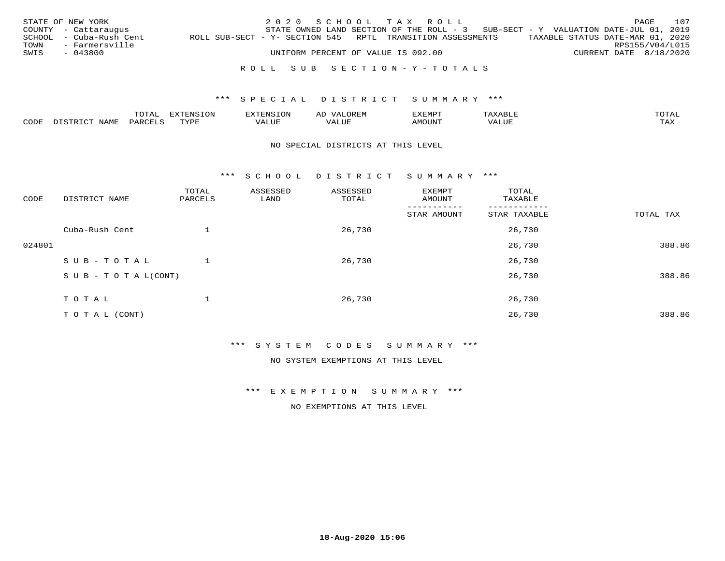| SWIS | STATE OF NEW YORK<br>COUNTY - Cattaraugus<br>SCHOOL - Cuba-Rush Cent | 2020 SCHOOL TAX ROLL<br>STATE OWNED LAND SECTION OF THE ROLL - 3 SUB-SECT - Y VALUATION DATE-JUL 01, 2019<br>ROLL SUB-SECT - Y- SECTION 545 RPTL TRANSITION ASSESSMENTS |  |  |  |  | TAXABLE STATUS DATE-MAR 01, 2020 | PAGE | 107 |                                           |
|------|----------------------------------------------------------------------|-------------------------------------------------------------------------------------------------------------------------------------------------------------------------|--|--|--|--|----------------------------------|------|-----|-------------------------------------------|
|      | TOWN - Farmersville<br>$-043800$                                     | UNIFORM PERCENT OF VALUE IS 092.00                                                                                                                                      |  |  |  |  |                                  |      |     | RPS155/V04/L015<br>CURRENT DATE 8/18/2020 |
|      |                                                                      | ROLL SUB SECTION-Y-TOTALS                                                                                                                                               |  |  |  |  |                                  |      |     |                                           |

|               | $m \wedge m$ | --------<br>.UI | $\sim$         | . ب            |              |                        |
|---------------|--------------|-----------------|----------------|----------------|--------------|------------------------|
| $\sim$<br>ັບມ |              | TVDL            | ۰۰ تا با باشد. | <b>MOTTNTT</b> | י ב <i>ו</i> | $m \times r$<br>- − 14 |

#### NO SPECIAL DISTRICTS AT THIS LEVEL

\*\*\* S C H O O L D I S T R I C T S U M M A R Y \*\*\*

| CODE   | DISTRICT NAME                    | TOTAL<br>PARCELS | ASSESSED<br>LAND | ASSESSED<br>TOTAL | EXEMPT<br>AMOUNT | TOTAL<br>TAXABLE |           |
|--------|----------------------------------|------------------|------------------|-------------------|------------------|------------------|-----------|
|        |                                  |                  |                  |                   | STAR AMOUNT      | STAR TAXABLE     | TOTAL TAX |
|        | Cuba-Rush Cent                   |                  |                  | 26,730            |                  | 26,730           |           |
| 024801 |                                  |                  |                  |                   |                  | 26,730           | 388.86    |
|        | SUB-TOTAL                        |                  |                  | 26,730            |                  | 26,730           |           |
|        | $S \cup B - T \cup T A L (CONT)$ |                  |                  |                   |                  | 26,730           | 388.86    |
|        | TOTAL                            |                  |                  | 26,730            |                  | 26,730           |           |
|        | T O T A L (CONT)                 |                  |                  |                   |                  | 26,730           | 388.86    |

#### \*\*\* S Y S T E M C O D E S S U M M A R Y \*\*\*

NO SYSTEM EXEMPTIONS AT THIS LEVEL

\*\*\* E X E M P T I O N S U M M A R Y \*\*\*

NO EXEMPTIONS AT THIS LEVEL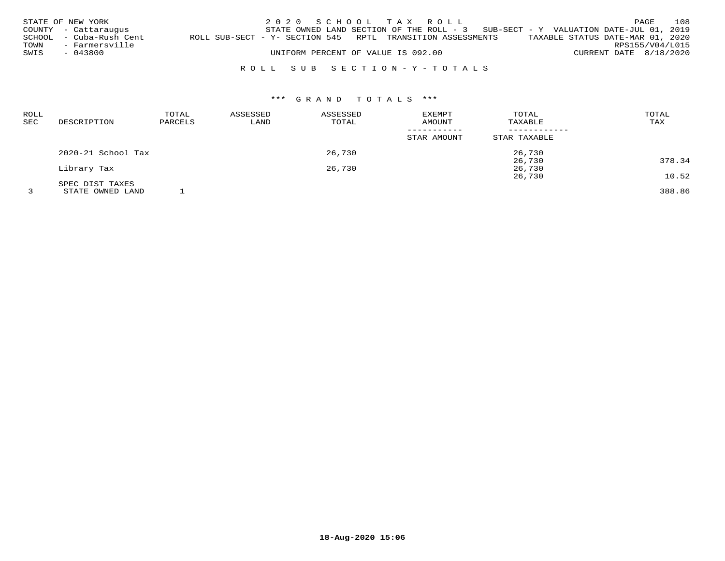|      | STATE OF NEW YORK       |  |                                    | 2020 SCHOOL TAX ROLL                                                                |                                  | PAGE                       | 108 |
|------|-------------------------|--|------------------------------------|-------------------------------------------------------------------------------------|----------------------------------|----------------------------|-----|
|      | COUNTY - Cattaraugus    |  |                                    | STATE OWNED LAND SECTION OF THE ROLL - $3$ SUB-SECT - Y VALUATION DATE-JUL 01, 2019 |                                  |                            |     |
|      | SCHOOL - Cuba-Rush Cent |  |                                    | ROLL SUB-SECT - Y- SECTION 545 RPTL TRANSITION ASSESSMENTS                          | TAXABLE STATUS DATE-MAR 01, 2020 |                            |     |
| TOWN | - Farmersville          |  |                                    |                                                                                     |                                  | RPS155/V04/L015            |     |
| SWIS | - 043800                |  | UNIFORM PERCENT OF VALUE IS 092.00 |                                                                                     |                                  | $CURRENT$ DATE $8/18/2020$ |     |
|      |                         |  |                                    |                                                                                     |                                  |                            |     |

# R O L L S U B S E C T I O N - Y - T O T A L S

# \*\*\* G R A N D T O T A L S \*\*\*

| <b>ROLL</b><br><b>SEC</b> | DESCRIPTION        | TOTAL<br>PARCELS | ASSESSED<br>LAND | ASSESSED<br>TOTAL | EXEMPT<br>AMOUNT | TOTAL<br>TAXABLE | TOTAL<br>TAX |
|---------------------------|--------------------|------------------|------------------|-------------------|------------------|------------------|--------------|
|                           |                    |                  |                  |                   | -----------      |                  |              |
|                           |                    |                  |                  |                   | STAR AMOUNT      | STAR TAXABLE     |              |
|                           | 2020-21 School Tax |                  |                  | 26,730            |                  | 26,730           |              |
|                           |                    |                  |                  |                   |                  | 26,730           | 378.34       |
|                           | Library Tax        |                  |                  | 26,730            |                  | 26,730           |              |
|                           |                    |                  |                  |                   |                  | 26,730           | 10.52        |
|                           | SPEC DIST TAXES    |                  |                  |                   |                  |                  | ------       |

3 STATE OWNED LAND 1 388.86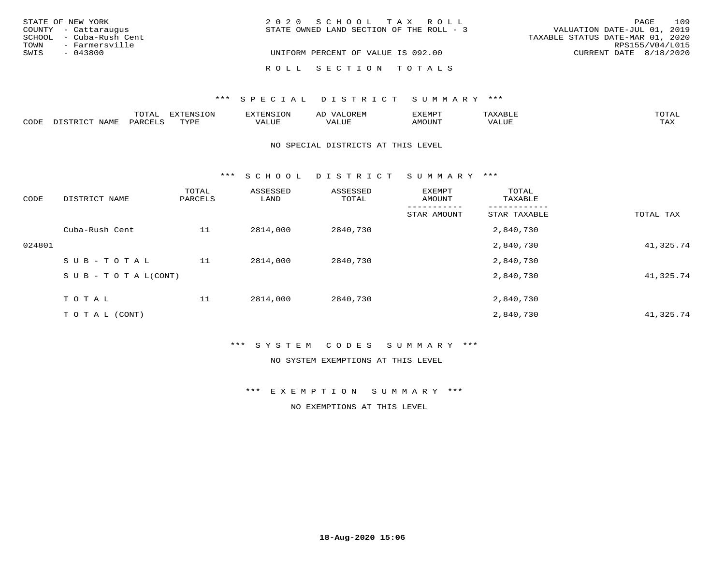| STATE OF NEW YORK       | 2020 SCHOOL TAX ROLL                     |                                  | PAGE            | 109 |
|-------------------------|------------------------------------------|----------------------------------|-----------------|-----|
| COUNTY - Cattaraugus    | STATE OWNED LAND SECTION OF THE ROLL - 3 | VALUATION DATE-JUL 01, 2019      |                 |     |
| SCHOOL - Cuba-Rush Cent |                                          | TAXABLE STATUS DATE-MAR 01, 2020 |                 |     |
| - Farmersville<br>TOWN  |                                          |                                  | RPS155/V04/L015 |     |
| SWIS<br>- 043800        | UNIFORM PERCENT OF VALUE IS 092.00       | CURRENT DATE 8/18/2020           |                 |     |
|                         |                                          |                                  |                 |     |
|                         | ROLL SECTION TOTALS                      |                                  |                 |     |

|      |                             | momn.<br>TATAT     | $\pi \nu \pi \pi \nu \tau \gamma \tau \gamma \gamma$<br>- N.Y<br>⊥∪r | NS              | OREM                    | <b>EXEMPT</b> | ד דרו גזי גו<br>AXABLE | TOTAL |
|------|-----------------------------|--------------------|----------------------------------------------------------------------|-----------------|-------------------------|---------------|------------------------|-------|
| CODE | <b>NAME</b><br>דת דפידים דת | PARCE <sup>T</sup> | TVDF                                                                 | חדד דג<br>/ALUE | . <del>.</del><br>ALUF. | AMOUNT        | *** * ***<br>′ALU⊥     | TAX   |

#### NO SPECIAL DISTRICTS AT THIS LEVEL

\*\*\* S C H O O L D I S T R I C T S U M M A R Y \*\*\*

| CODE   | DISTRICT NAME                    | TOTAL<br>PARCELS | ASSESSED<br>LAND | ASSESSED<br>TOTAL | EXEMPT<br>AMOUNT | TOTAL<br>TAXABLE |           |
|--------|----------------------------------|------------------|------------------|-------------------|------------------|------------------|-----------|
|        |                                  |                  |                  |                   | STAR AMOUNT      | STAR TAXABLE     | TOTAL TAX |
|        | Cuba-Rush Cent                   | 11               | 2814,000         | 2840,730          |                  | 2,840,730        |           |
| 024801 |                                  |                  |                  |                   |                  | 2,840,730        | 41,325.74 |
|        | SUB-TOTAL                        | 11               | 2814,000         | 2840,730          |                  | 2,840,730        |           |
|        | $S \cup B - T \cup T A L (CONT)$ |                  |                  |                   |                  | 2,840,730        | 41,325.74 |
|        | T O T A L                        | 11               | 2814,000         | 2840,730          |                  | 2,840,730        |           |
|        | T O T A L (CONT)                 |                  |                  |                   |                  | 2,840,730        | 41,325.74 |

## \*\*\* S Y S T E M C O D E S S U M M A R Y \*\*\*

### NO SYSTEM EXEMPTIONS AT THIS LEVEL

\*\*\* E X E M P T I O N S U M M A R Y \*\*\*

NO EXEMPTIONS AT THIS LEVEL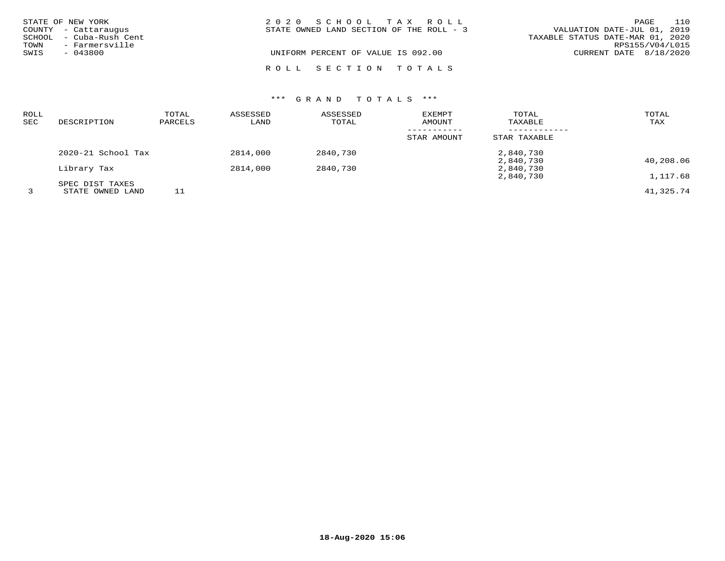|              | STATE OF NEW YORK<br>COUNTY - Cattaraugus | 2020 SCHOOL TAX ROLL<br>VALUATION DATE-JUL 01, 2019<br>STATE OWNED LAND SECTION OF THE ROLL - 3 | PAGE            | 110 |
|--------------|-------------------------------------------|-------------------------------------------------------------------------------------------------|-----------------|-----|
|              | SCHOOL - Cuba-Rush Cent                   | TAXABLE STATUS DATE-MAR 01, 2020                                                                |                 |     |
| TOWN<br>SWIS | - Farmersville<br>$-043800$               | UNIFORM PERCENT OF VALUE IS 092.00<br>CURRENT DATE 8/18/2020                                    | RPS155/V04/L015 |     |
|              |                                           | ROLL SECTION TOTALS                                                                             |                 |     |

# \*\*\* G R A N D T O T A L S \*\*\*

| <b>ROLL</b><br>SEC | DESCRIPTION        | TOTAL<br>PARCELS | ASSESSED<br>LAND | ASSESSED<br>TOTAL | EXEMPT<br>AMOUNT | TOTAL<br>TAXABLE | TOTAL<br>TAX |
|--------------------|--------------------|------------------|------------------|-------------------|------------------|------------------|--------------|
|                    |                    |                  |                  |                   | STAR AMOUNT      | STAR TAXABLE     |              |
|                    | 2020-21 School Tax |                  | 2814,000         | 2840,730          |                  | 2,840,730        |              |
|                    |                    |                  |                  |                   |                  | 2,840,730        | 40,208.06    |
|                    | Library Tax        |                  | 2814,000         | 2840,730          |                  | 2,840,730        |              |
|                    |                    |                  |                  |                   |                  | 2,840,730        | 1,117.68     |
|                    | SPEC DIST TAXES    |                  |                  |                   |                  |                  |              |
|                    | STATE OWNED LAND   |                  |                  |                   |                  |                  | 41,325.74    |

**18-Aug-2020 15:06**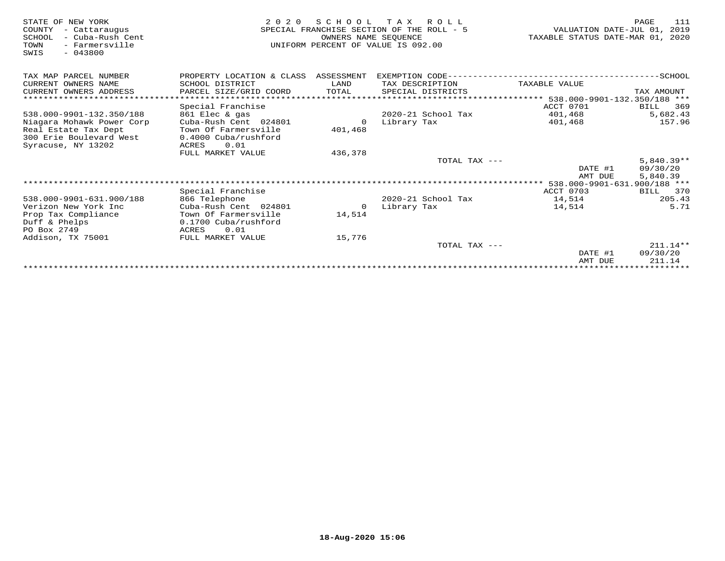| STATE OF NEW YORK<br>COUNTY<br>- Cattaraugus<br>- Cuba-Rush Cent<br>SCHOOL<br>- Farmersville<br>TOWN<br>$-043800$<br>SWIS | 2 0 2 0                               | SCHOOL<br>OWNERS NAME SEOUENCE | T A X<br>R O L L<br>SPECIAL FRANCHISE SECTION OF THE ROLL - 5<br>UNIFORM PERCENT OF VALUE IS 092.00 | VALUATION DATE-JUL 01,<br>TAXABLE STATUS DATE-MAR 01, | PAGE<br>111<br>2019<br>2020 |
|---------------------------------------------------------------------------------------------------------------------------|---------------------------------------|--------------------------------|-----------------------------------------------------------------------------------------------------|-------------------------------------------------------|-----------------------------|
| TAX MAP PARCEL NUMBER                                                                                                     | PROPERTY LOCATION & CLASS ASSESSMENT  |                                | EXEMPTION CODE----------------------------                                                          |                                                       | $---------SCHOOL$           |
| CURRENT OWNERS NAME                                                                                                       | SCHOOL DISTRICT                       | LAND                           | TAX DESCRIPTION                                                                                     | TAXABLE VALUE                                         |                             |
| CURRENT OWNERS ADDRESS                                                                                                    | PARCEL SIZE/GRID COORD                | TOTAL                          | SPECIAL DISTRICTS                                                                                   |                                                       | TAX AMOUNT                  |
| *************************                                                                                                 |                                       |                                |                                                                                                     |                                                       |                             |
|                                                                                                                           | Special Franchise                     |                                |                                                                                                     | ACCT 0701                                             | 369<br>BILL                 |
| 538.000-9901-132.350/188                                                                                                  | 861 Elec & gas                        |                                | $2020 - 21$ School Tax                                                                              | 401,468                                               | 5,682.43                    |
| Niagara Mohawk Power Corp                                                                                                 | Cuba-Rush Cent 024801                 | $\Omega$                       | Library Tax                                                                                         | 401,468                                               | 157.96                      |
| Real Estate Tax Dept<br>300 Erie Boulevard West                                                                           | Town Of Farmersville                  | 401,468                        |                                                                                                     |                                                       |                             |
| Syracuse, NY 13202                                                                                                        | 0.4000 Cuba/rushford<br>0.01<br>ACRES |                                |                                                                                                     |                                                       |                             |
|                                                                                                                           | FULL MARKET VALUE                     | 436,378                        |                                                                                                     |                                                       |                             |
|                                                                                                                           |                                       |                                | TOTAL TAX ---                                                                                       |                                                       | $5,840.39**$                |
|                                                                                                                           |                                       |                                |                                                                                                     | DATE #1                                               | 09/30/20                    |
|                                                                                                                           |                                       |                                |                                                                                                     | AMT DUE                                               | 5,840.39                    |
|                                                                                                                           |                                       |                                |                                                                                                     | 538.000-9901-631.900/188 ***                          |                             |
|                                                                                                                           | Special Franchise                     |                                |                                                                                                     | ACCT 0703                                             | BILL<br>370                 |
| 538.000-9901-631.900/188                                                                                                  | 866 Telephone                         |                                | 2020-21 School Tax                                                                                  | 14,514                                                | 205.43                      |
| Verizon New York Inc                                                                                                      | Cuba-Rush Cent 024801                 | $\Omega$                       | Library Tax                                                                                         | 14,514                                                | 5.71                        |
| Prop Tax Compliance                                                                                                       | Town Of Farmersville                  | 14,514                         |                                                                                                     |                                                       |                             |
| Duff & Phelps                                                                                                             | 0.1700 Cuba/rushford                  |                                |                                                                                                     |                                                       |                             |
| PO Box 2749                                                                                                               | ACRES<br>0.01                         |                                |                                                                                                     |                                                       |                             |
| Addison, TX 75001                                                                                                         | FULL MARKET VALUE                     | 15,776                         |                                                                                                     |                                                       |                             |
|                                                                                                                           |                                       |                                | TOTAL TAX ---                                                                                       | DATE #1                                               | $211.14**$<br>09/30/20      |
|                                                                                                                           |                                       |                                |                                                                                                     | AMT DUE                                               | 211.14                      |
|                                                                                                                           |                                       |                                |                                                                                                     |                                                       |                             |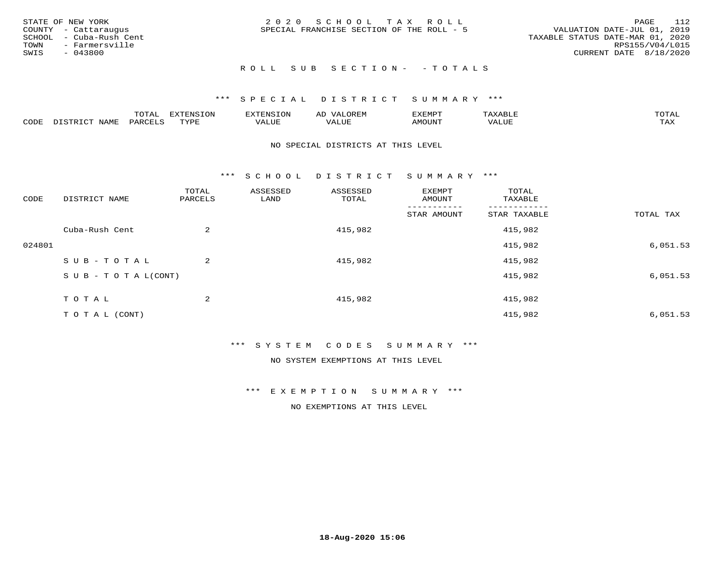| STATE OF NEW YORK<br>COUNTY - Cattaraugus<br>SCHOOL - Cuba-Rush Cent<br>TOWN - Farmersville<br>SWIS<br>- 043800 | 2020 SCHOOL TAX ROLL<br>SPECIAL FRANCHISE SECTION OF THE ROLL - 5 | - 112<br>PAGE<br>VALUATION DATE-JUL 01, 2019<br>TAXABLE STATUS DATE-MAR 01, 2020<br>RPS155/V04/L015<br>CURRENT DATE 8/18/2020 |
|-----------------------------------------------------------------------------------------------------------------|-------------------------------------------------------------------|-------------------------------------------------------------------------------------------------------------------------------|
|                                                                                                                 | ROLL SUB SECTION- - TOTALS                                        |                                                                                                                               |

|      |                 | m∧m*<br>UIAL | <b>EXTENSION</b> | 'ENST∩N         | ΑIJ<br>JR LI <sup>V</sup> | ፈXEMP" | $\Delta$<br>. .               | TOTAL |
|------|-----------------|--------------|------------------|-----------------|---------------------------|--------|-------------------------------|-------|
| CODE | $- - -$<br>NAMI | PARCEL       | mynne<br>- - - - | T T T<br>تلاللت | , , , , , , ,<br>ALUE     | MOUN.  | , 77 T TT <del>D</del><br>⊐UP | TAX   |

#### NO SPECIAL DISTRICTS AT THIS LEVEL

\*\*\* S C H O O L D I S T R I C T S U M M A R Y \*\*\*

| CODE   | DISTRICT NAME                    | TOTAL<br>PARCELS | ASSESSED<br>LAND | ASSESSED<br>TOTAL | EXEMPT<br>AMOUNT | TOTAL<br>TAXABLE |           |
|--------|----------------------------------|------------------|------------------|-------------------|------------------|------------------|-----------|
|        |                                  |                  |                  |                   | STAR AMOUNT      | STAR TAXABLE     | TOTAL TAX |
|        | Cuba-Rush Cent                   | 2                |                  | 415,982           |                  | 415,982          |           |
| 024801 |                                  |                  |                  |                   |                  | 415,982          | 6,051.53  |
|        | SUB-TOTAL                        | 2                |                  | 415,982           |                  | 415,982          |           |
|        | $S \cup B - T \cup T A L (CONT)$ |                  |                  |                   |                  | 415,982          | 6,051.53  |
|        | TOTAL                            | 2                |                  | 415,982           |                  | 415,982          |           |
|        | T O T A L (CONT)                 |                  |                  |                   |                  | 415,982          | 6,051.53  |

#### \*\*\* S Y S T E M C O D E S S U M M A R Y \*\*\*

NO SYSTEM EXEMPTIONS AT THIS LEVEL

\*\*\* E X E M P T I O N S U M M A R Y \*\*\*

NO EXEMPTIONS AT THIS LEVEL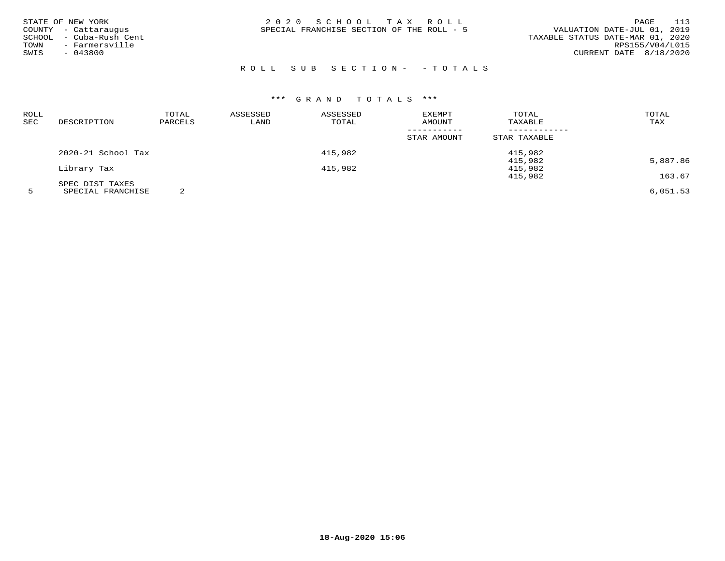| STATE OF NEW YORK<br>COUNTY - Cattaraugus<br>- Cuba-Rush Cent<br>SCHOOL<br>- Farmersville<br>TOWN<br>$-043800$<br>SWIS | 2020 SCHOOL TAX ROLL<br>SPECIAL FRANCHISE SECTION OF THE ROLL - 5 | 113<br>PAGE<br>VALUATION DATE-JUL 01, 2019<br>TAXABLE STATUS DATE-MAR 01, 2020<br>RPS155/V04/L015<br>CURRENT DATE 8/18/2020 |
|------------------------------------------------------------------------------------------------------------------------|-------------------------------------------------------------------|-----------------------------------------------------------------------------------------------------------------------------|
|------------------------------------------------------------------------------------------------------------------------|-------------------------------------------------------------------|-----------------------------------------------------------------------------------------------------------------------------|

# R O L L S U B S E C T I O N - - T O T A L S

# \*\*\* G R A N D T O T A L S \*\*\*

| ROLL |                    | TOTAL   | ASSESSED | ASSESSED | EXEMPT      | TOTAL        | TOTAL    |
|------|--------------------|---------|----------|----------|-------------|--------------|----------|
| SEC  | DESCRIPTION        | PARCELS | LAND     | TOTAL    | AMOUNT      | TAXABLE      | TAX      |
|      |                    |         |          |          |             |              |          |
|      |                    |         |          |          | STAR AMOUNT | STAR TAXABLE |          |
|      | 2020-21 School Tax |         |          | 415,982  |             | 415,982      |          |
|      |                    |         |          |          |             | 415,982      | 5,887.86 |
|      | Library Tax        |         |          | 415,982  |             | 415,982      |          |
|      |                    |         |          |          |             | 415,982      | 163.67   |
|      | SPEC DIST TAXES    |         |          |          |             |              |          |
|      | ------------------ | $\sim$  |          |          |             |              | $   -$   |

5 SPECIAL FRANCHISE 2 6,051.53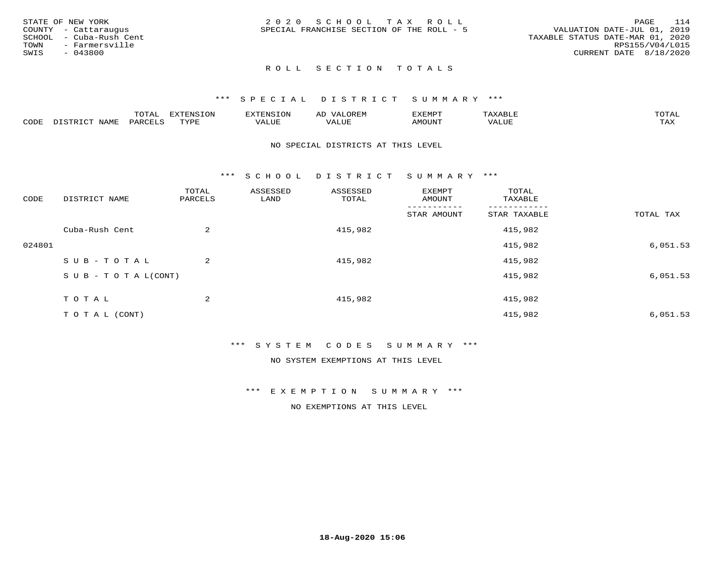|      | STATE OF NEW YORK       | 2020 SCHOOL TAX ROLL                                                     | PAGE            | 114 |
|------|-------------------------|--------------------------------------------------------------------------|-----------------|-----|
|      | COUNTY - Cattaraugus    | VALUATION DATE-JUL 01, 2019<br>SPECIAL FRANCHISE SECTION OF THE ROLL - 5 |                 |     |
|      | SCHOOL - Cuba-Rush Cent | TAXABLE STATUS DATE-MAR 01, 2020                                         |                 |     |
| TOWN | - Farmersville          |                                                                          | RPS155/V04/L015 |     |
| SWIS | - 043800                | CURRENT DATE 8/18/2020                                                   |                 |     |
|      |                         |                                                                          |                 |     |

# ROLL SECTION TOTALS

#### \*\*\* S P E C I A L D I S T R I C T S U M M A R Y \*\*\*

|      |                     | m∧m*<br>.       | <b>EVERICION</b><br>∸ | TENSION            | $\sim$ $\sim$ $\sim$ $\sim$<br>ΑD<br>JREIY | EXEMPT       | ABLIP                          | $m \wedge m \wedge r$<br>$\Delta$ |
|------|---------------------|-----------------|-----------------------|--------------------|--------------------------------------------|--------------|--------------------------------|-----------------------------------|
| CODE | $- - - - -$<br>NAMF | $\mathsf{PARL}$ | TVDF                  | $- - - -$<br>اللطح | $- - - -$<br>ALUE                          | <b>MOUNT</b> | $\sqrt{2}$ $\sqrt{1}$<br>'ALUE | $m \times r$<br>∸∽∸               |

#### NO SPECIAL DISTRICTS AT THIS LEVEL

\*\*\* S C H O O L D I S T R I C T S U M M A R Y \*\*\*

| CODE   | DISTRICT NAME              | TOTAL<br>PARCELS | ASSESSED<br>LAND | ASSESSED<br>TOTAL | EXEMPT<br>AMOUNT | TOTAL<br>TAXABLE |           |
|--------|----------------------------|------------------|------------------|-------------------|------------------|------------------|-----------|
|        |                            |                  |                  |                   | STAR AMOUNT      | STAR TAXABLE     | TOTAL TAX |
|        | Cuba-Rush Cent             | 2                |                  | 415,982           |                  | 415,982          |           |
| 024801 |                            |                  |                  |                   |                  | 415,982          | 6,051.53  |
|        | SUB-TOTAL                  | $\overline{a}$   |                  | 415,982           |                  | 415,982          |           |
|        | S U B - T O T A $L$ (CONT) |                  |                  |                   |                  | 415,982          | 6,051.53  |
|        | TOTAL                      | 2                |                  | 415,982           |                  | 415,982          |           |
|        |                            |                  |                  |                   |                  |                  |           |
|        | T O T A L (CONT)           |                  |                  |                   |                  | 415,982          | 6,051.53  |

#### \*\*\* S Y S T E M C O D E S S U M M A R Y \*\*\*

NO SYSTEM EXEMPTIONS AT THIS LEVEL

\*\*\* E X E M P T I O N S U M M A R Y \*\*\*

NO EXEMPTIONS AT THIS LEVEL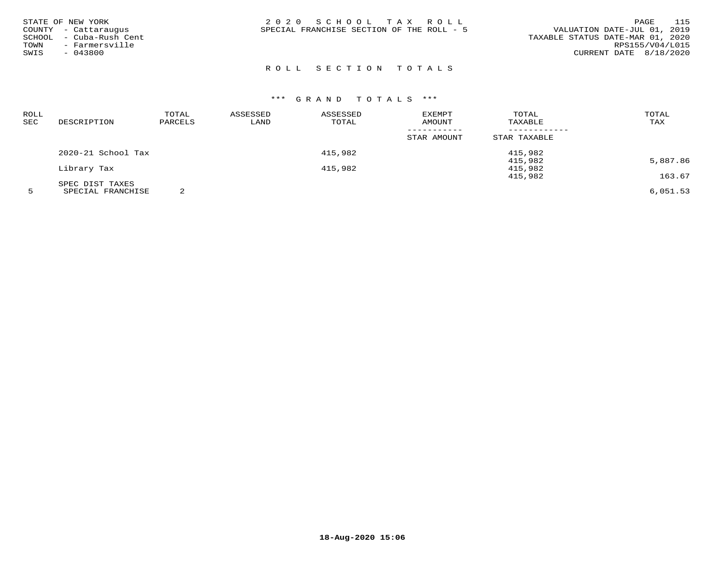| STATE OF NEW YORK<br>COUNTY - Cattaraugus<br>SCHOOL - Cuba-Rush Cent<br>- Farmersville<br>TOWN<br>$-043800$<br>SWIS | 2020 SCHOOL TAX ROLL<br>SPECIAL FRANCHISE SECTION OF THE ROLL - 5 | 115<br>PAGE<br>VALUATION DATE-JUL 01, 2019<br>TAXABLE STATUS DATE-MAR 01, 2020<br>RPS155/V04/L015<br>CURRENT DATE 8/18/2020 |
|---------------------------------------------------------------------------------------------------------------------|-------------------------------------------------------------------|-----------------------------------------------------------------------------------------------------------------------------|
|---------------------------------------------------------------------------------------------------------------------|-------------------------------------------------------------------|-----------------------------------------------------------------------------------------------------------------------------|

# ROLL SECTION TOTALS

# \*\*\* G R A N D T O T A L S \*\*\*

| ROLL       |                    | TOTAL   | ASSESSED | ASSESSED | <b>EXEMPT</b> | TOTAL        | TOTAL    |
|------------|--------------------|---------|----------|----------|---------------|--------------|----------|
| <b>SEC</b> | DESCRIPTION        | PARCELS | LAND     | TOTAL    | <b>AMOUNT</b> | TAXABLE      | TAX      |
|            |                    |         |          |          |               |              |          |
|            |                    |         |          |          | STAR AMOUNT   | STAR TAXABLE |          |
|            | 2020-21 School Tax |         |          | 415,982  |               | 415,982      |          |
|            |                    |         |          |          |               | 415,982      | 5,887.86 |
|            | Library Tax        |         |          | 415,982  |               | 415,982      |          |
|            |                    |         |          |          |               | 415,982      | 163.67   |
|            | SPEC DIST TAXES    |         |          |          |               |              |          |
|            |                    | $\sim$  |          |          |               |              | - --- -- |

5 SPECIAL FRANCHISE 2 6,051.53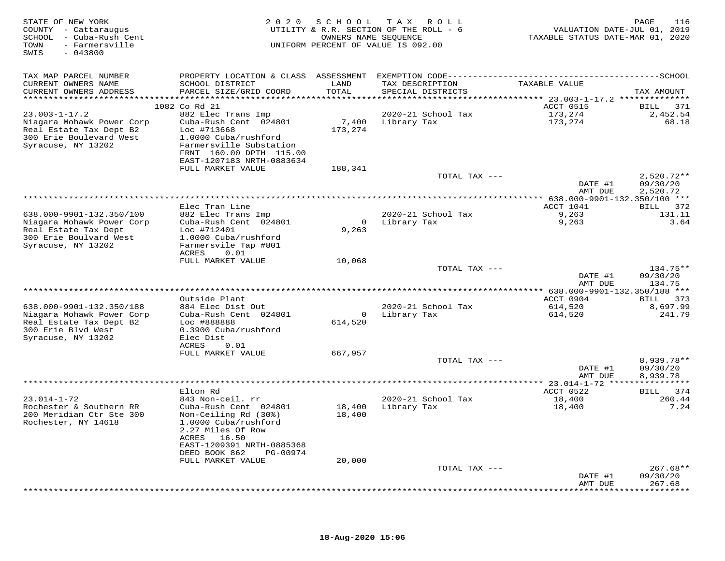| STATE OF NEW YORK<br>COUNTY - Cattaraugus<br>SCHOOL - Cuba-Rush Cent<br>- Farmersville<br>TOWN<br>$-043800$<br>SWIS |                                                                             | 2020 SCHOOL<br>OWNERS NAME SEQUENCE | TAX ROLL<br>UTILITY & R.R. SECTION OF THE ROLL - 6<br>UNIFORM PERCENT OF VALUE IS 092.00 | VALUATION DATE-JUL 01, 2019<br>TAXABLE STATUS DATE-MAR 01, 2020 | 116<br>PAGE          |
|---------------------------------------------------------------------------------------------------------------------|-----------------------------------------------------------------------------|-------------------------------------|------------------------------------------------------------------------------------------|-----------------------------------------------------------------|----------------------|
| TAX MAP PARCEL NUMBER                                                                                               | PROPERTY LOCATION & CLASS ASSESSMENT EXEMPTION CODE------------------------ |                                     |                                                                                          |                                                                 | -----------SCHOOL    |
| CURRENT OWNERS NAME<br>CURRENT OWNERS ADDRESS                                                                       | SCHOOL DISTRICT<br>PARCEL SIZE/GRID COORD                                   | LAND<br>TOTAL                       | TAX DESCRIPTION<br>SPECIAL DISTRICTS                                                     | TAXABLE VALUE                                                   | TAX AMOUNT           |
| **********************                                                                                              | ************************                                                    | * * * * * * * * * *                 |                                                                                          | ************* 23.003-1-17.2 ***************                     |                      |
|                                                                                                                     | 1082 Co Rd 21                                                               |                                     |                                                                                          | ACCT 0515                                                       | BILL 371             |
| $23.003 - 1 - 17.2$                                                                                                 | 882 Elec Trans Imp                                                          |                                     | 2020-21 School Tax                                                                       | 173,274                                                         | 2,452.54             |
| Niagara Mohawk Power Corp                                                                                           | Cuba-Rush Cent 024801                                                       | 7,400                               | Library Tax                                                                              | 173,274                                                         | 68.18                |
| Real Estate Tax Dept B2                                                                                             | Loc #713668                                                                 | 173,274                             |                                                                                          |                                                                 |                      |
| 300 Erie Boulevard West                                                                                             | 1.0000 Cuba/rushford                                                        |                                     |                                                                                          |                                                                 |                      |
| Syracuse, NY 13202                                                                                                  | Farmersville Substation                                                     |                                     |                                                                                          |                                                                 |                      |
|                                                                                                                     | FRNT 160.00 DPTH 115.00                                                     |                                     |                                                                                          |                                                                 |                      |
|                                                                                                                     | EAST-1207183 NRTH-0883634<br>FULL MARKET VALUE                              | 188,341                             |                                                                                          |                                                                 |                      |
|                                                                                                                     |                                                                             |                                     | TOTAL TAX ---                                                                            |                                                                 | $2,520.72**$         |
|                                                                                                                     |                                                                             |                                     |                                                                                          | DATE #1                                                         | 09/30/20             |
|                                                                                                                     |                                                                             |                                     |                                                                                          | AMT DUE                                                         | 2,520.72             |
|                                                                                                                     |                                                                             |                                     |                                                                                          | ************ 638.000-9901-132.350/100 ***                       |                      |
|                                                                                                                     | Elec Tran Line                                                              |                                     |                                                                                          | ACCT 1041                                                       | BILL 372             |
| 638.000-9901-132.350/100                                                                                            | 882 Elec Trans Imp                                                          |                                     | 2020-21 School Tax                                                                       | 9,263                                                           | 131.11               |
| Niagara Mohawk Power Corp                                                                                           | Cuba-Rush Cent 024801<br>Loc #712401                                        | $\mathbf{0}$<br>9,263               | Library Tax                                                                              | 9,263                                                           | 3.64                 |
| Real Estate Tax Dept<br>300 Erie Boulvard West                                                                      | 1.0000 Cuba/rushford                                                        |                                     |                                                                                          |                                                                 |                      |
| Syracuse, NY 13202                                                                                                  | Farmersvile Tap #801                                                        |                                     |                                                                                          |                                                                 |                      |
|                                                                                                                     | ACRES<br>0.01                                                               |                                     |                                                                                          |                                                                 |                      |
|                                                                                                                     | FULL MARKET VALUE                                                           | 10,068                              |                                                                                          |                                                                 |                      |
|                                                                                                                     |                                                                             |                                     | TOTAL TAX ---                                                                            |                                                                 | 134.75**             |
|                                                                                                                     |                                                                             |                                     |                                                                                          | DATE #1                                                         | 09/30/20             |
|                                                                                                                     |                                                                             |                                     |                                                                                          | AMT DUE                                                         | 134.75               |
|                                                                                                                     | Outside Plant                                                               |                                     |                                                                                          | ** 638.000-9901-132.350/188 ***                                 |                      |
| 638.000-9901-132.350/188                                                                                            | 884 Elec Dist Out                                                           |                                     | 2020-21 School Tax                                                                       | ACCT 0904<br>614,520                                            | BILL 373<br>8,697.99 |
| Niagara Mohawk Power Corp                                                                                           | Cuba-Rush Cent 024801                                                       |                                     | 0 Library Tax                                                                            | 614,520                                                         | 241.79               |
| Real Estate Tax Dept B2                                                                                             | Loc #888888                                                                 | 614,520                             |                                                                                          |                                                                 |                      |
| 300 Erie Blvd West                                                                                                  | 0.3900 Cuba/rushford                                                        |                                     |                                                                                          |                                                                 |                      |
| Syracuse, NY 13202                                                                                                  | Elec Dist                                                                   |                                     |                                                                                          |                                                                 |                      |
|                                                                                                                     | ACRES<br>0.01                                                               |                                     |                                                                                          |                                                                 |                      |
|                                                                                                                     | FULL MARKET VALUE                                                           | 667,957                             |                                                                                          |                                                                 |                      |
|                                                                                                                     |                                                                             |                                     | TOTAL TAX ---                                                                            |                                                                 | 8,939.78**           |
|                                                                                                                     |                                                                             |                                     |                                                                                          | DATE #1<br>AMT DUE                                              | 09/30/20<br>8,939.78 |
|                                                                                                                     |                                                                             |                                     |                                                                                          | **** 23.014-1-72 ***                                            |                      |
|                                                                                                                     | Elton Rd                                                                    |                                     |                                                                                          | ACCT 0522                                                       | BILL 374             |
| $23.014 - 1 - 72$                                                                                                   | 843 Non-ceil. rr                                                            |                                     | 2020-21 School Tax                                                                       | 18,400                                                          | 260.44               |
| Rochester & Southern RR                                                                                             | Cuba-Rush Cent 024801                                                       | 18,400                              | Library Tax                                                                              | 18,400                                                          | 7.24                 |
| 200 Meridian Ctr Ste 300                                                                                            | Non-Ceiling Rd (30%)                                                        | 18,400                              |                                                                                          |                                                                 |                      |
| Rochester, NY 14618                                                                                                 | 1.0000 Cuba/rushford                                                        |                                     |                                                                                          |                                                                 |                      |
|                                                                                                                     | 2.27 Miles Of Row                                                           |                                     |                                                                                          |                                                                 |                      |
|                                                                                                                     | ACRES<br>16.50<br>EAST-1209391 NRTH-0885368                                 |                                     |                                                                                          |                                                                 |                      |
|                                                                                                                     | DEED BOOK 862<br>PG-00974                                                   |                                     |                                                                                          |                                                                 |                      |
|                                                                                                                     | FULL MARKET VALUE                                                           | 20,000                              |                                                                                          |                                                                 |                      |
|                                                                                                                     |                                                                             |                                     | TOTAL TAX ---                                                                            |                                                                 | 267.68**             |
|                                                                                                                     |                                                                             |                                     |                                                                                          | DATE #1                                                         | 09/30/20             |
|                                                                                                                     |                                                                             |                                     |                                                                                          | AMT DUE                                                         | 267.68               |
|                                                                                                                     |                                                                             |                                     |                                                                                          | *************                                                   | **********           |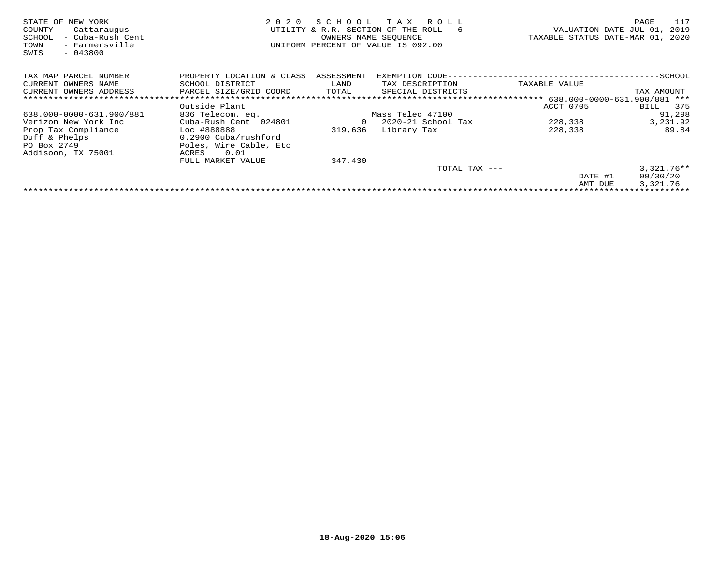| STATE OF NEW YORK<br>- Cattaraugus<br>COUNTY<br>SCHOOL<br>- Cuba-Rush Cent<br>- Farmersville<br>TOWN<br>$-043800$<br>SWIS | 2 0 2 0                   | SCHOOL     | T A X<br>R O L L<br>UTILITY & R.R. SECTION OF THE ROLL - 6<br>OWNERS NAME SEQUENCE<br>UNIFORM PERCENT OF VALUE IS 092.00 |                                    | 117<br>PAGE<br>VALUATION DATE-JUL 01,<br>2019<br>TAXABLE STATUS DATE-MAR 01, 2020 |
|---------------------------------------------------------------------------------------------------------------------------|---------------------------|------------|--------------------------------------------------------------------------------------------------------------------------|------------------------------------|-----------------------------------------------------------------------------------|
| TAX MAP PARCEL NUMBER                                                                                                     | PROPERTY LOCATION & CLASS | ASSESSMENT | EXEMPTION CODE-                                                                                                          |                                    | -SCHOOL                                                                           |
| CURRENT OWNERS NAME                                                                                                       | SCHOOL DISTRICT           | LAND       | TAX DESCRIPTION                                                                                                          | TAXABLE VALUE                      |                                                                                   |
| CURRENT OWNERS ADDRESS                                                                                                    | PARCEL SIZE/GRID COORD    | TOTAL      | SPECIAL DISTRICTS                                                                                                        |                                    | TAX AMOUNT                                                                        |
|                                                                                                                           |                           |            |                                                                                                                          | ***** 638.000-0000-631.900/881 *** |                                                                                   |
|                                                                                                                           | Outside Plant             |            |                                                                                                                          | ACCT 0705                          | 375<br>BILL                                                                       |
| 638.000-0000-631.900/881                                                                                                  | 836 Telecom. eq.          |            | Mass Telec 47100                                                                                                         |                                    | 91,298                                                                            |
| Verizon New York Inc                                                                                                      | Cuba-Rush Cent 024801     | 0          | 2020-21 School Tax                                                                                                       | 228,338                            | 3,231.92                                                                          |
| Prop Tax Compliance                                                                                                       | Loc #888888               | 319,636    | Library Tax                                                                                                              | 228,338                            | 89.84                                                                             |
| Duff & Phelps                                                                                                             | 0.2900 Cuba/rushford      |            |                                                                                                                          |                                    |                                                                                   |
| PO Box 2749                                                                                                               | Poles, Wire Cable, Etc    |            |                                                                                                                          |                                    |                                                                                   |
| Addisoon, TX 75001                                                                                                        | 0.01<br>ACRES             |            |                                                                                                                          |                                    |                                                                                   |
|                                                                                                                           | FULL MARKET VALUE         | 347,430    |                                                                                                                          |                                    |                                                                                   |
|                                                                                                                           |                           |            | TOTAL TAX ---                                                                                                            |                                    | $3,321.76**$                                                                      |
|                                                                                                                           |                           |            |                                                                                                                          | DATE #1                            | 09/30/20                                                                          |
|                                                                                                                           |                           |            |                                                                                                                          | AMT DUE                            | 3,321.76                                                                          |
|                                                                                                                           |                           |            |                                                                                                                          |                                    |                                                                                   |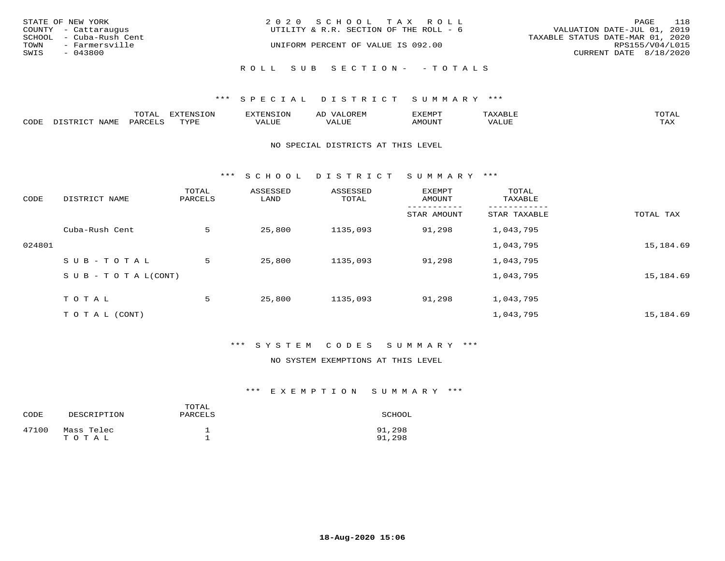|      | STATE OF NEW YORK       | 2020 SCHOOL TAX ROLL                   |                                  | PAGE | 118 |
|------|-------------------------|----------------------------------------|----------------------------------|------|-----|
|      | COUNTY - Cattaraugus    | UTILITY & R.R. SECTION OF THE ROLL - 6 | VALUATION DATE-JUL 01, 2019      |      |     |
|      | SCHOOL - Cuba-Rush Cent |                                        | TAXABLE STATUS DATE-MAR 01, 2020 |      |     |
| TOWN | - Farmersville          | UNIFORM PERCENT OF VALUE IS 092.00     | RPS155/V04/L015                  |      |     |
| SWIS | $-043800$               |                                        | CURRENT DATE 8/18/2020           |      |     |
|      |                         | ROLL SUB SECTION- - TOTALS             |                                  |      |     |

|      |                        | ጥ∩ጥአ<br>- UIAL | <b>DIZMONIC</b><br>ION | AD   | . ت س<br>⊐ויושב∠ |                                        |            |
|------|------------------------|----------------|------------------------|------|------------------|----------------------------------------|------------|
| CODE | <b>NTAMT</b><br>77 O L | PARO           | TVDF                   | ALUE | IMOUNT           | * * * * * * * *<br>$'$ ALUN $_{\rm L}$ | may<br>∸∽∸ |

#### NO SPECIAL DISTRICTS AT THIS LEVEL

\*\*\* S C H O O L D I S T R I C T S U M M A R Y \*\*\*

| CODE   | DISTRICT NAME                    | TOTAL<br>PARCELS | ASSESSED<br>LAND | ASSESSED<br>TOTAL | EXEMPT<br>AMOUNT | TOTAL<br>TAXABLE |           |
|--------|----------------------------------|------------------|------------------|-------------------|------------------|------------------|-----------|
|        |                                  |                  |                  |                   | STAR AMOUNT      | STAR TAXABLE     | TOTAL TAX |
|        | Cuba-Rush Cent                   | 5                | 25,800           | 1135,093          | 91,298           | 1,043,795        |           |
| 024801 |                                  |                  |                  |                   |                  | 1,043,795        | 15,184.69 |
|        | SUB-TOTAL                        | 5                | 25,800           | 1135,093          | 91,298           | 1,043,795        |           |
|        | $S \cup B - T \cup T A L (CONT)$ |                  |                  |                   |                  | 1,043,795        | 15,184.69 |
|        | TOTAL                            | 5                | 25,800           | 1135,093          | 91,298           | 1,043,795        |           |
|        | T O T A L (CONT)                 |                  |                  |                   |                  | 1,043,795        | 15,184.69 |

# \*\*\* S Y S T E M C O D E S S U M M A R Y \*\*\*

#### NO SYSTEM EXEMPTIONS AT THIS LEVEL

| CODE  | DESCRIPTION         | TOTAL<br>PARCELS | SCHOOL           |
|-------|---------------------|------------------|------------------|
| 47100 | Mass Telec<br>TOTAL |                  | 91,298<br>91,298 |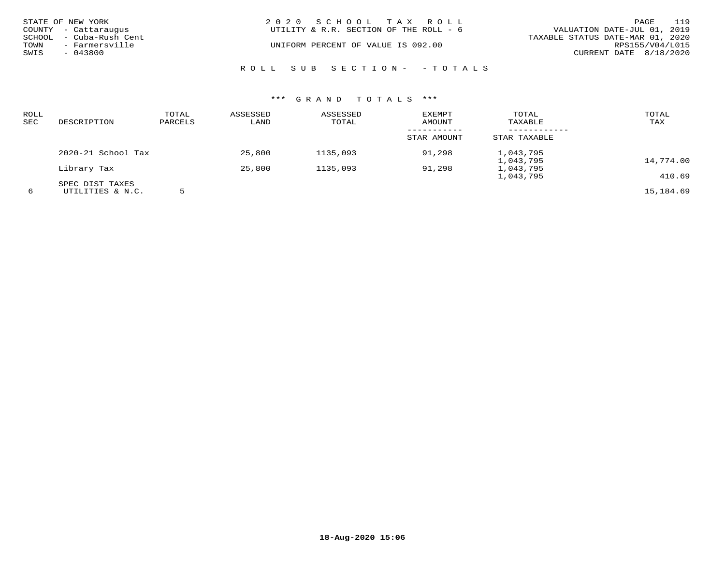| STATE OF NEW YORK<br>COUNTY - Cattaraugus   | 2020 SCHOOL TAX ROLL<br>UTILITY & R.R. SECTION OF THE ROLL - 6 | 119<br>PAGE<br>VALUATION DATE-JUL 01, 2019 |
|---------------------------------------------|----------------------------------------------------------------|--------------------------------------------|
| SCHOOL - Cuba-Rush Cent                     |                                                                | TAXABLE STATUS DATE-MAR 01, 2020           |
| TOWN<br>- Farmersville<br>SWIS<br>$-043800$ | UNIFORM PERCENT OF VALUE IS 092.00                             | RPS155/V04/L015<br>CURRENT DATE 8/18/2020  |
|                                             | ROLL SUB SECTION- - TOTALS                                     |                                            |

| ROLL<br>SEC | DESCRIPTION                         | TOTAL<br>PARCELS | ASSESSED<br>LAND | ASSESSED<br>TOTAL | <b>EXEMPT</b><br><b>AMOUNT</b> | TOTAL<br>TAXABLE       | TOTAL<br>TAX |
|-------------|-------------------------------------|------------------|------------------|-------------------|--------------------------------|------------------------|--------------|
|             |                                     |                  |                  |                   | STAR AMOUNT                    | STAR TAXABLE           |              |
|             | 2020-21 School Tax                  |                  | 25,800           | 1135,093          | 91,298                         | 1,043,795<br>1,043,795 | 14,774.00    |
|             | Library Tax                         |                  | 25,800           | 1135,093          | 91,298                         | 1,043,795<br>1,043,795 | 410.69       |
| 6           | SPEC DIST TAXES<br>UTILITIES & N.C. |                  |                  |                   |                                |                        | 15,184.69    |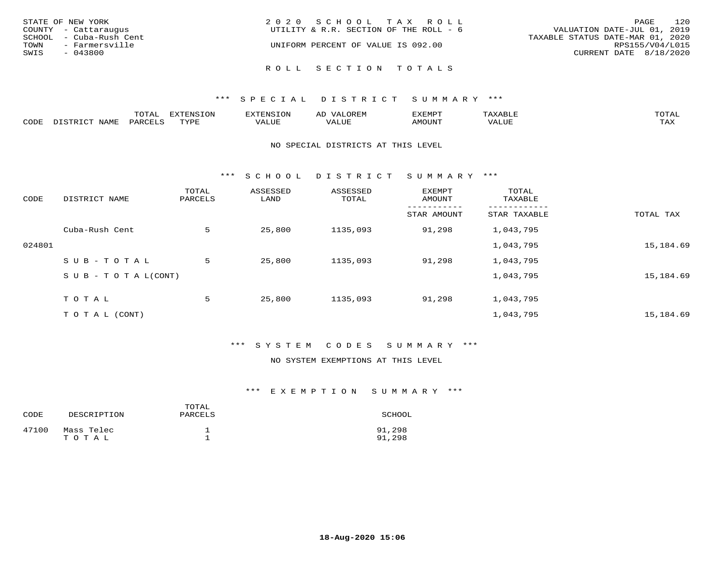| STATE OF NEW YORK<br>COUNTY - Cattaraugus  | 2020 SCHOOL TAX ROLL<br>UTILITY & R.R. SECTION OF THE ROLL - 6 | 120<br>PAGE<br>VALUATION DATE-JUL 01, 2019 |
|--------------------------------------------|----------------------------------------------------------------|--------------------------------------------|
| SCHOOL - Cuba-Rush Cent                    |                                                                | TAXABLE STATUS DATE-MAR 01, 2020           |
| TOWN<br>- Farmersville<br>SWIS<br>- 043800 | UNIFORM PERCENT OF VALUE IS 092.00                             | RPS155/V04/L015<br>CURRENT DATE 8/18/2020  |
|                                            | ROLL SECTION TOTALS                                            |                                            |

|      |      | m^m*<br>⊥∪⊥ ∟ | $T \cap N$<br>$-1$ |           | AL.<br>21 V. PH |                            |           | <b>TOTA</b><br>$2 + 11$ |
|------|------|---------------|--------------------|-----------|-----------------|----------------------------|-----------|-------------------------|
| CODE | NAME |               | mvnt               | סדד דרכז: |                 | $\triangle M\bigcirc$ tin' | $- - - -$ | $- - - -$<br>1.732      |

#### NO SPECIAL DISTRICTS AT THIS LEVEL

\*\*\* S C H O O L D I S T R I C T S U M M A R Y \*\*\*

| CODE   | DISTRICT NAME                    | TOTAL<br>PARCELS | ASSESSED<br>LAND | ASSESSED<br>TOTAL | EXEMPT<br>AMOUNT | TOTAL<br>TAXABLE |           |
|--------|----------------------------------|------------------|------------------|-------------------|------------------|------------------|-----------|
|        |                                  |                  |                  |                   | STAR AMOUNT      | STAR TAXABLE     | TOTAL TAX |
|        | Cuba-Rush Cent                   | 5                | 25,800           | 1135,093          | 91,298           | 1,043,795        |           |
| 024801 |                                  |                  |                  |                   |                  | 1,043,795        | 15,184.69 |
|        | SUB-TOTAL                        | 5                | 25,800           | 1135,093          | 91,298           | 1,043,795        |           |
|        | $S \cup B - T \cup T A L (CONT)$ |                  |                  |                   |                  | 1,043,795        | 15,184.69 |
|        | TOTAL                            | 5                | 25,800           | 1135,093          | 91,298           | 1,043,795        |           |
|        | T O T A L (CONT)                 |                  |                  |                   |                  | 1,043,795        | 15,184.69 |

# \*\*\* S Y S T E M C O D E S S U M M A R Y \*\*\*

#### NO SYSTEM EXEMPTIONS AT THIS LEVEL

| CODE  | DESCRIPTION         | TOTAL<br>PARCELS | SCHOOL           |
|-------|---------------------|------------------|------------------|
| 47100 | Mass Telec<br>TOTAL |                  | 91,298<br>91,298 |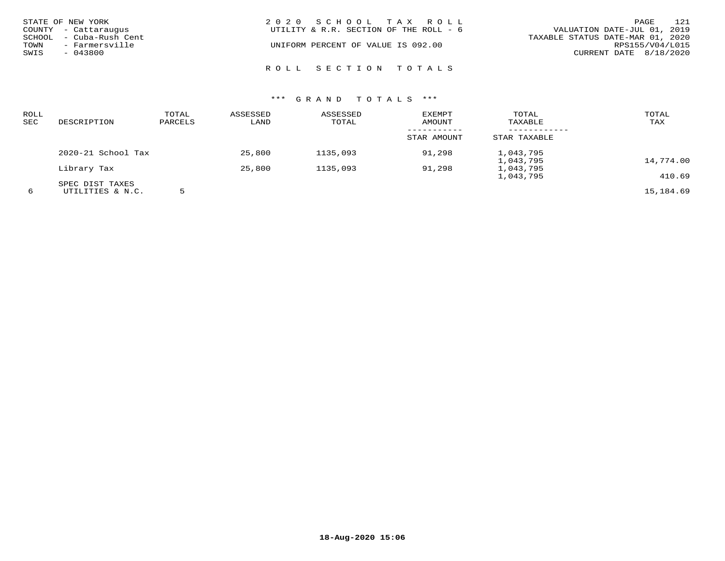| STATE OF NEW YORK<br>COUNTY - Cattaraugus<br>SCHOOL - Cuba-Rush Cent<br>TOWN<br>- Farmersville<br>SWIS<br>- 043800 | 2020 SCHOOL TAX ROLL<br>UTILITY & R.R. SECTION OF THE ROLL - 6<br>UNIFORM PERCENT OF VALUE IS 092.00 |  | VALUATION DATE-JUL 01, 2019<br>TAXABLE STATUS DATE-MAR 01, 2020<br>CURRENT DATE 8/18/2020 | PAGE<br>RPS155/V04/L015 | 121 |
|--------------------------------------------------------------------------------------------------------------------|------------------------------------------------------------------------------------------------------|--|-------------------------------------------------------------------------------------------|-------------------------|-----|
|                                                                                                                    | ROLL SECTION TOTALS                                                                                  |  |                                                                                           |                         |     |

| <b>ROLL</b><br><b>SEC</b> | DESCRIPTION        | TOTAL<br>PARCELS | ASSESSED<br>LAND | ASSESSED<br>TOTAL | EXEMPT<br>AMOUNT | TOTAL<br>TAXABLE | TOTAL<br>TAX |
|---------------------------|--------------------|------------------|------------------|-------------------|------------------|------------------|--------------|
|                           |                    |                  |                  |                   | STAR AMOUNT      | STAR TAXABLE     |              |
|                           | 2020-21 School Tax |                  | 25,800           | 1135,093          | 91,298           | 1,043,795        |              |
|                           |                    |                  |                  |                   |                  | 1,043,795        | 14,774.00    |
|                           | Library Tax        |                  | 25,800           | 1135,093          | 91,298           | 1,043,795        |              |
|                           |                    |                  |                  |                   |                  | 1,043,795        | 410.69       |
|                           | SPEC DIST TAXES    |                  |                  |                   |                  |                  |              |
| 6                         | UTILITIES & N.C.   |                  |                  |                   |                  |                  | 15,184.69    |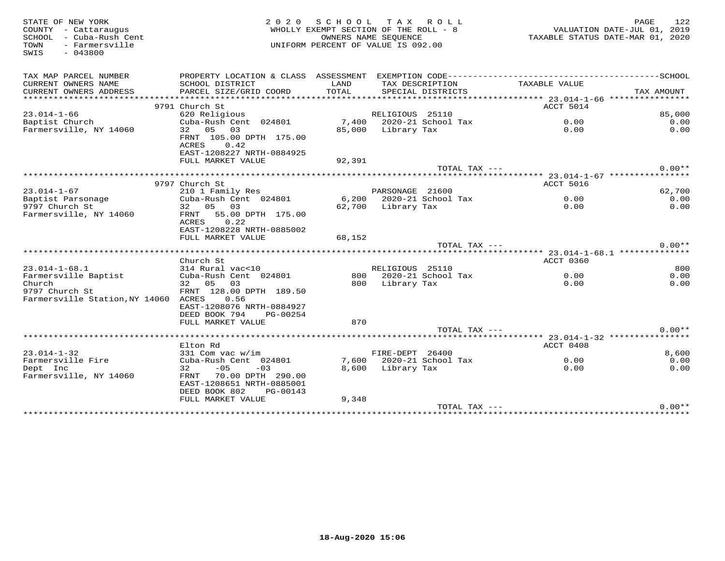| STATE OF NEW YORK<br>COUNTY - Cattaraugus<br>SCHOOL - Cuba-Rush Cent<br>- Farmersville<br>TOWN<br>$-043800$<br>SWIS | 2 0 2 0                                                                                            | SCHOOL<br>WHOLLY EXEMPT SECTION OF THE ROLL - 8<br>OWNERS NAME SEOUENCE<br>UNIFORM PERCENT OF VALUE IS 092.00 |                    | TAX ROLL                 | TAXABLE STATUS DATE-MAR 01, 2020       | PAGE<br>VALUATION DATE-JUL 01, 2019 | 122          |
|---------------------------------------------------------------------------------------------------------------------|----------------------------------------------------------------------------------------------------|---------------------------------------------------------------------------------------------------------------|--------------------|--------------------------|----------------------------------------|-------------------------------------|--------------|
| TAX MAP PARCEL NUMBER                                                                                               | PROPERTY LOCATION & CLASS ASSESSMENT EXEMPTION CODE-----------------------------------SCHOOL       |                                                                                                               |                    |                          |                                        |                                     |              |
| CURRENT OWNERS NAME                                                                                                 | SCHOOL DISTRICT                                                                                    | LAND                                                                                                          |                    | TAX DESCRIPTION          | TAXABLE VALUE                          |                                     |              |
| CURRENT OWNERS ADDRESS                                                                                              | PARCEL SIZE/GRID COORD                                                                             | TOTAL                                                                                                         |                    | SPECIAL DISTRICTS        |                                        | TAX AMOUNT                          |              |
|                                                                                                                     |                                                                                                    |                                                                                                               |                    |                          |                                        |                                     |              |
|                                                                                                                     | 9791 Church St                                                                                     |                                                                                                               |                    |                          | ACCT 5014                              |                                     |              |
| $23.014 - 1 - 66$                                                                                                   | 620 Religious                                                                                      |                                                                                                               | RELIGIOUS 25110    |                          |                                        |                                     | 85,000       |
| Baptist Church<br>Farmersville, NY 14060                                                                            | Cuba-Rush Cent 024801<br>32 05 03                                                                  | 85,000                                                                                                        | Library Tax        | 7,400 2020-21 School Tax | 0.00<br>0.00                           |                                     | 0.00<br>0.00 |
|                                                                                                                     | FRNT 105.00 DPTH 175.00<br>ACRES<br>0.42<br>EAST-1208227 NRTH-0884925                              |                                                                                                               |                    |                          |                                        |                                     |              |
|                                                                                                                     | FULL MARKET VALUE                                                                                  | 92,391                                                                                                        |                    |                          |                                        |                                     |              |
|                                                                                                                     |                                                                                                    |                                                                                                               |                    | TOTAL TAX ---            |                                        |                                     | $0.00**$     |
|                                                                                                                     |                                                                                                    |                                                                                                               |                    |                          |                                        |                                     |              |
|                                                                                                                     | 9797 Church St                                                                                     |                                                                                                               |                    |                          | <b>ACCT 5016</b>                       |                                     |              |
| $23.014 - 1 - 67$                                                                                                   | 210 1 Family Res                                                                                   |                                                                                                               | PARSONAGE 21600    |                          |                                        |                                     | 62,700       |
| Baptist Parsonage                                                                                                   | Cuba-Rush Cent 024801                                                                              |                                                                                                               |                    | 6,200 2020-21 School Tax | 0.00                                   |                                     | 0.00         |
| 9797 Church St                                                                                                      | 32 05 03                                                                                           |                                                                                                               | 62,700 Library Tax |                          | 0.00                                   |                                     | 0.00         |
| Farmersville, NY 14060                                                                                              | 55.00 DPTH 175.00<br>FRNT<br>ACRES<br>0.22<br>EAST-1208228 NRTH-0885002                            |                                                                                                               |                    |                          |                                        |                                     |              |
|                                                                                                                     | FULL MARKET VALUE                                                                                  | 68,152                                                                                                        |                    |                          |                                        |                                     |              |
|                                                                                                                     |                                                                                                    |                                                                                                               |                    | TOTAL TAX ---            |                                        |                                     | $0.00**$     |
|                                                                                                                     | Church St                                                                                          |                                                                                                               |                    |                          | ACCT 0360                              |                                     |              |
| $23.014 - 1 - 68.1$                                                                                                 | 314 Rural vac<10                                                                                   |                                                                                                               | RELIGIOUS 25110    |                          |                                        |                                     | 800          |
| Farmersville Baptist                                                                                                | Cuba-Rush Cent 024801                                                                              |                                                                                                               |                    | 800 2020-21 School Tax   | 0.00                                   |                                     | 0.00         |
| Church                                                                                                              | 32 05 03                                                                                           | 800                                                                                                           | Library Tax        |                          | 0.00                                   |                                     | 0.00         |
| 9797 Church St                                                                                                      | FRNT 128.00 DPTH 189.50                                                                            |                                                                                                               |                    |                          |                                        |                                     |              |
| Farmersville Station, NY 14060 ACRES                                                                                | 0.56                                                                                               |                                                                                                               |                    |                          |                                        |                                     |              |
|                                                                                                                     | EAST-1208076 NRTH-0884927                                                                          |                                                                                                               |                    |                          |                                        |                                     |              |
|                                                                                                                     | DEED BOOK 794<br>PG-00254                                                                          |                                                                                                               |                    |                          |                                        |                                     |              |
|                                                                                                                     | FULL MARKET VALUE                                                                                  | 870                                                                                                           |                    |                          |                                        |                                     |              |
|                                                                                                                     |                                                                                                    |                                                                                                               |                    | TOTAL TAX ---            |                                        |                                     | $0.00**$     |
|                                                                                                                     |                                                                                                    |                                                                                                               |                    |                          | *********** 23.014-1-32 ************** |                                     |              |
|                                                                                                                     | Elton Rd                                                                                           |                                                                                                               |                    |                          | ACCT 0408                              |                                     |              |
| $23.014 - 1 - 32$                                                                                                   | 331 Com vac w/im                                                                                   |                                                                                                               | FIRE-DEPT 26400    |                          |                                        |                                     | 8,600        |
| Farmersville Fire                                                                                                   | Cuba-Rush Cent 024801<br>$-05$                                                                     |                                                                                                               |                    | 7,600 2020-21 School Tax | 0.00                                   |                                     | 0.00         |
| Dept Inc<br>Farmersville, NY 14060                                                                                  | 32<br>$-03$<br>70.00 DPTH 290.00<br>FRNT<br>EAST-1208651 NRTH-0885001<br>DEED BOOK 802<br>PG-00143 | 8,600                                                                                                         | Library Tax        |                          | 0.00                                   |                                     | 0.00         |
|                                                                                                                     | FULL MARKET VALUE                                                                                  | 9,348                                                                                                         |                    |                          |                                        |                                     |              |
|                                                                                                                     |                                                                                                    |                                                                                                               |                    | TOTAL TAX ---            |                                        |                                     | $0.00**$     |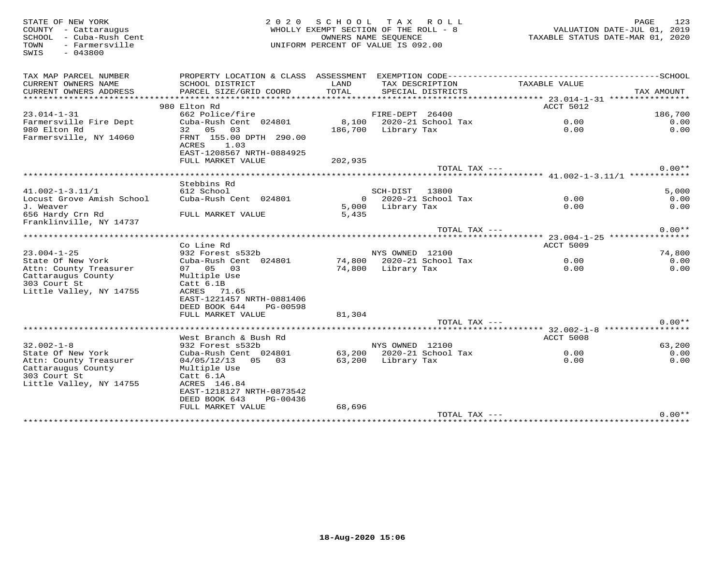STATE OF NEW YORK 2 0 2 0 S C H O O L T A X R O L L PAGE 123 COUNTY - Cattaraugus WHOLLY EXEMPT SECTION OF THE ROLL - 8 VALUATION DATE-JUL 01, 2019 SCHOOL - Cuba-Rush Cent OWNERS NAME SEQUENCE TAXABLE STATUS DATE-MAR 01, 2020 TOWN - Farmersville UNIFORM PERCENT OF VALUE IS 092.00SWIS - 043800TAX MAP PARCEL NUMBER PROPERTY LOCATION & CLASS ASSESSMENT EXEMPTION CODE------------------------------------------SCHOOL CURRENT OWNERS NAME SCHOOL DISTRICT LAND TAX DESCRIPTION TAXABLE VALUE CURRENT OWNERS ADDRESS PARCEL SIZE/GRID COORD TOTAL SPECIAL DISTRICTS TAX AMOUNT \*\*\*\*\*\*\*\*\*\*\*\*\*\*\*\*\*\*\*\*\*\*\*\*\*\*\*\*\*\*\*\*\*\*\*\*\*\*\*\*\*\*\*\*\*\*\*\*\*\*\*\*\*\*\*\*\*\*\*\*\*\*\*\*\*\*\*\*\*\*\*\*\*\*\*\*\*\*\*\*\*\*\*\*\*\*\*\*\*\*\*\*\*\*\*\*\*\*\*\*\*\*\* 23.014-1-31 \*\*\*\*\*\*\*\*\*\*\*\*\*\*\*\*extended to the second second second to the second second second second second second second second second second second second second second second second second second second second second second second second second sec 23.014-1-31 662 Police/fire FIRE-DEPT 26400 186,700  $0.00$ Farmersville Fire Dept Cuba-Rush Cent 024801 8,100 2020-21 School Tax 0.00 0.00 $0.00$ 980 Elton Rd 32 05 03 186,700 Library Tax 0.00 0.00Farmersville, NY 14060 FRNT 155.00 DPTH 290.00example and the contract of  $\Lambda$ CRES and  $1.03$  EAST-1208567 NRTH-0884925 FULL MARKET VALUE 202,935 ${\tt TOTAL} \begin{tabular}{c} \bf{TAL} \end{tabular} \begin{tabular}{c} \bf{TAL} \end{tabular} \begin{tabular}{c} \bf{TAL} \end{tabular} \begin{tabular}{c} \bf{A} \end{tabular} \begin{tabular}{c} \bf{A} \end{tabular} \end{tabular} \begin{tabular}{c} \bf{A} \end{tabular} \begin{tabular}{c} \bf{A} \end{tabular} \end{tabular} \begin{tabular}{c} \bf{A} \end{tabular} \begin{tabular}{c} \bf{A} \end{tabular} \end{tabular} \begin{tabular}{c} \bf{A} \end{tabular} \begin{tab$  \*\*\*\*\*\*\*\*\*\*\*\*\*\*\*\*\*\*\*\*\*\*\*\*\*\*\*\*\*\*\*\*\*\*\*\*\*\*\*\*\*\*\*\*\*\*\*\*\*\*\*\*\*\*\*\*\*\*\*\*\*\*\*\*\*\*\*\*\*\*\*\*\*\*\*\*\*\*\*\*\*\*\*\*\*\*\*\*\*\*\*\*\*\*\*\*\*\*\*\*\*\*\* 41.002-1-3.11/1 \*\*\*\*\*\*\*\*\*\*\*\* Stebbins Rd 41.002-1-3.11/1 612 School SCH-DIST 13800 5,000Locust Grove Amish School Cuba-Rush Cent 024801 0 2020-21 School Tax 0.00 0.00 $0.00$  $0.00$ J. Weaver 5,000 Library Tax 0.00 0.00656 Hardy Crn Rd FULL MARKET VALUE 5,435 Franklinville, NY 14737  ${\tt TOTAL} \begin{tabular}{c} \bf{TAL} \end{tabular} \begin{tabular}{c} \bf{TAL} \end{tabular} \begin{tabular}{c} \bf{TAL} \end{tabular} \begin{tabular}{c} \bf{A} \end{tabular} \begin{tabular}{c} \bf{A} \end{tabular} \end{tabular} \begin{tabular}{c} \bf{A} \end{tabular} \begin{tabular}{c} \bf{A} \end{tabular} \end{tabular} \begin{tabular}{c} \bf{A} \end{tabular} \begin{tabular}{c} \bf{A} \end{tabular} \end{tabular} \begin{tabular}{c} \bf{A} \end{tabular} \begin{tab$  \*\*\*\*\*\*\*\*\*\*\*\*\*\*\*\*\*\*\*\*\*\*\*\*\*\*\*\*\*\*\*\*\*\*\*\*\*\*\*\*\*\*\*\*\*\*\*\*\*\*\*\*\*\*\*\*\*\*\*\*\*\*\*\*\*\*\*\*\*\*\*\*\*\*\*\*\*\*\*\*\*\*\*\*\*\*\*\*\*\*\*\*\*\*\*\*\*\*\*\*\*\*\* 23.004-1-25 \*\*\*\*\*\*\*\*\*\*\*\*\*\*\*\* Co Line Rd ACCT 5009 $0.00$ <br> $0.00$ 23.004-1-25 932 Forest s532b NYS OWNED 12100 74,800 $0.00$ State Of New York Cuba-Rush Cent 024801 74,800 2020-21 School Tax 0.00 0.00 $0.00$ Attn: County Treasurer 07 05 03 74,800 Library Tax 0.00 0.00Cattaraugus County Multiple Use 303 Court St Catt 6.1B Little Valley, NY 14755 ACRES 71.65 EAST-1221457 NRTH-0881406 DEED BOOK 644 PG-00598 FULL MARKET VALUE 81,304TOTAL TAX  $---$  0.00\*\* \*\*\*\*\*\*\*\*\*\*\*\*\*\*\*\*\*\*\*\*\*\*\*\*\*\*\*\*\*\*\*\*\*\*\*\*\*\*\*\*\*\*\*\*\*\*\*\*\*\*\*\*\*\*\*\*\*\*\*\*\*\*\*\*\*\*\*\*\*\*\*\*\*\*\*\*\*\*\*\*\*\*\*\*\*\*\*\*\*\*\*\*\*\*\*\*\*\*\*\*\*\*\* 32.002-1-8 \*\*\*\*\*\*\*\*\*\*\*\*\*\*\*\*\* West Branch & Bush Rd ACCT 5008 32.002-1-8 932 Forest s532b NYS OWNED 12100 63,200 $0.00$ State Of New York Cuba-Rush Cent 024801 63,200 2020-21 School Tax 0.00 0.00 $0.00$ Attn: County Treasurer 04/05/12/13 05 03 63,200 Library Tax 0.00 0.00Cattaraugus County Multiple Use 303 Court St Catt 6.1A Little Valley, NY 14755 ACRES 146.84 EAST-1218127 NRTH-0873542 DEED BOOK 643 PG-00436 FULL MARKET VALUE 68,696 $\text{TOTAL } \text{TAX}$  ---\*\*\*\*\*\*\*\*\*\*\*\*\*\*\*\*\*\*\*\*\*\*\*\*\*\*\*\*\*\*\*\*\*\*\*\*\*\*\*\*\*\*\*\*\*\*\*\*\*\*\*\*\*\*\*\*\*\*\*\*\*\*\*\*\*\*\*\*\*\*\*\*\*\*\*\*\*\*\*\*\*\*\*\*\*\*\*\*\*\*\*\*\*\*\*\*\*\*\*\*\*\*\*\*\*\*\*\*\*\*\*\*\*\*\*\*\*\*\*\*\*\*\*\*\*\*\*\*\*\*\*\*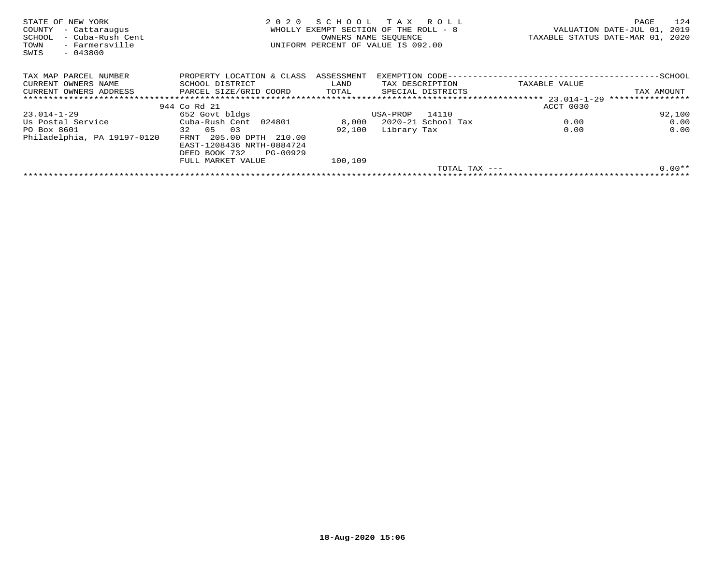| STATE OF NEW YORK<br>COUNTY<br>- Cattaraugus<br>- Cuba-Rush Cent<br>SCHOOL<br>- Farmersville<br>TOWN<br>SWIS<br>$-043800$ | 2020                                                 | SCHOOL<br>OWNERS NAME SEOUENCE | тах<br>R O L L<br>WHOLLY EXEMPT SECTION OF THE ROLL - 8<br>UNIFORM PERCENT OF VALUE IS 092.00 |               | 124<br>PAGE<br>VALUATION DATE-JUL 01,<br>2019<br>TAXABLE STATUS DATE-MAR 01, 2020 |
|---------------------------------------------------------------------------------------------------------------------------|------------------------------------------------------|--------------------------------|-----------------------------------------------------------------------------------------------|---------------|-----------------------------------------------------------------------------------|
| TAX MAP PARCEL NUMBER                                                                                                     | PROPERTY LOCATION & CLASS                            | ASSESSMENT                     |                                                                                               |               |                                                                                   |
| CURRENT OWNERS NAME                                                                                                       | SCHOOL DISTRICT                                      | LAND                           | TAX DESCRIPTION                                                                               | TAXABLE VALUE |                                                                                   |
| CURRENT OWNERS ADDRESS                                                                                                    | PARCEL SIZE/GRID COORD                               | TOTAL                          | SPECIAL DISTRICTS                                                                             |               | TAX AMOUNT                                                                        |
|                                                                                                                           |                                                      |                                |                                                                                               |               | ****************                                                                  |
|                                                                                                                           | 944 Co Rd 21                                         |                                |                                                                                               | ACCT 0030     |                                                                                   |
| 23.014-1-29                                                                                                               | 652 Govt bldgs                                       |                                | 14110<br>USA-PROP                                                                             |               | 92,100                                                                            |
| Us Postal Service                                                                                                         | Cuba-Rush Cent 024801                                | 8,000                          | 2020-21 School Tax                                                                            | 0.00          | 0.00                                                                              |
| PO Box 8601                                                                                                               | 32 05<br>03                                          | 92,100                         | Library Tax                                                                                   | 0.00          | 0.00                                                                              |
| Philadelphia, PA 19197-0120                                                                                               | FRNT 205.00 DPTH 210.00<br>EAST-1208436 NRTH-0884724 |                                |                                                                                               |               |                                                                                   |
|                                                                                                                           | PG-00929<br>DEED BOOK 732                            |                                |                                                                                               |               |                                                                                   |
|                                                                                                                           | FULL MARKET VALUE                                    | 100,109                        |                                                                                               |               |                                                                                   |
|                                                                                                                           |                                                      |                                | TOTAL TAX $---$                                                                               |               | $0.00**$                                                                          |
|                                                                                                                           |                                                      |                                |                                                                                               |               |                                                                                   |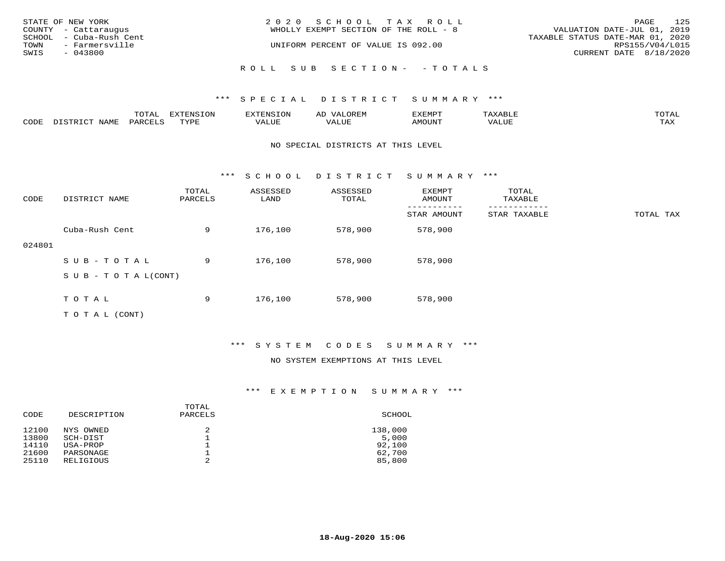|      | STATE OF NEW YORK<br>COUNTY - Cattaraugus | 2020 SCHOOL TAX ROLL<br>WHOLLY EXEMPT SECTION OF THE ROLL - 8 | PAGE<br>VALUATION DATE-JUL 01, 2019       | 125 |
|------|-------------------------------------------|---------------------------------------------------------------|-------------------------------------------|-----|
|      | SCHOOL - Cuba-Rush Cent                   |                                                               | TAXABLE STATUS DATE-MAR 01, 2020          |     |
| SWIS | TOWN - Farmersville<br>- 043800           | UNIFORM PERCENT OF VALUE IS 092.00                            | RPS155/V04/L015<br>CURRENT DATE 8/18/2020 |     |
|      |                                           | ROLL SUB SECTION- - TOTALS                                    |                                           |     |

|      |      | $m \wedge m \wedge$<br>.uial | $\pi$                |      | - |        |       | -----<br>$\sim$  |
|------|------|------------------------------|----------------------|------|---|--------|-------|------------------|
| CODE | NAME | 'ARI                         | TVDL<br><u>ـ د د</u> | ALUE |   | LUITOM | 'ALUL | max 37<br>⊥ ∠~∡∡ |

#### NO SPECIAL DISTRICTS AT THIS LEVEL

\*\*\* S C H O O L D I S T R I C T S U M M A R Y \*\*\*

| CODE   | DISTRICT NAME                    | TOTAL<br>PARCELS | ASSESSED<br>LAND | ASSESSED<br>TOTAL | EXEMPT<br>AMOUNT | TOTAL<br>TAXABLE |           |
|--------|----------------------------------|------------------|------------------|-------------------|------------------|------------------|-----------|
|        |                                  |                  |                  |                   | STAR AMOUNT      | STAR TAXABLE     | TOTAL TAX |
|        | Cuba-Rush Cent                   | 9                | 176,100          | 578,900           | 578,900          |                  |           |
| 024801 |                                  |                  |                  |                   |                  |                  |           |
|        | SUB-TOTAL                        | 9                | 176,100          | 578,900           | 578,900          |                  |           |
|        | $S \cup B - T \cup T A L (CONT)$ |                  |                  |                   |                  |                  |           |
|        |                                  |                  |                  |                   |                  |                  |           |
|        | TOTAL                            | 9                | 176,100          | 578,900           | 578,900          |                  |           |
|        | T O T A L (CONT)                 |                  |                  |                   |                  |                  |           |

## \*\*\* S Y S T E M C O D E S S U M M A R Y \*\*\*

#### NO SYSTEM EXEMPTIONS AT THIS LEVEL

| CODE  | DESCRIPTION | TOTAL<br>PARCELS | SCHOOL  |
|-------|-------------|------------------|---------|
| 12100 | NYS OWNED   | 2                | 138,000 |
| 13800 | SCH-DIST    |                  | 5,000   |
| 14110 | USA-PROP    | 2                | 92,100  |
| 21600 | PARSONAGE   |                  | 62,700  |
| 25110 | RELIGIOUS   |                  | 85,800  |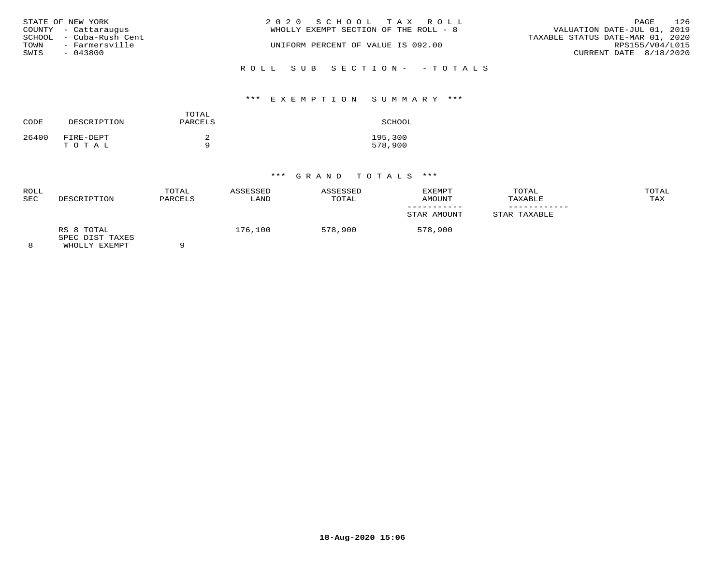|      | STATE OF NEW YORK       | 2020 SCHOOL TAX ROLL                  | PAGE                             | 126 |
|------|-------------------------|---------------------------------------|----------------------------------|-----|
|      | COUNTY - Cattaraugus    | WHOLLY EXEMPT SECTION OF THE ROLL - 8 | VALUATION DATE-JUL 01, 2019      |     |
|      | SCHOOL - Cuba-Rush Cent |                                       | TAXABLE STATUS DATE-MAR 01, 2020 |     |
| TOWN | - Farmersville          | UNIFORM PERCENT OF VALUE IS 092.00    | RPS155/V04/L015                  |     |
| SWIS | - 043800                |                                       | CURRENT DATE 8/18/2020           |     |
|      |                         |                                       |                                  |     |

ROLL SUB SECTION- - TOTALS

## \*\*\* E X E M P T I O N S U M M A R Y \*\*\*

| CODE  | DESCRIPTION        | TOTAL<br>PARCELS | SCHOOL             |
|-------|--------------------|------------------|--------------------|
| 26400 | FIRE-DEPT<br>TOTAL | a                | 195,300<br>578,900 |

| ROLL<br><b>SEC</b> | DESCRIPTION                                    | TOTAL<br>PARCELS | ASSESSED<br>LAND | ASSESSED<br>TOTAL | EXEMPT<br>AMOUNT | TOTAL<br>TAXABLE | TOTAL<br>TAX |
|--------------------|------------------------------------------------|------------------|------------------|-------------------|------------------|------------------|--------------|
|                    |                                                |                  |                  |                   | STAR AMOUNT      | STAR TAXABLE     |              |
|                    | RS 8 TOTAL<br>SPEC DIST TAXES<br>WHOLLY EXEMPT |                  | 176,100          | 578,900           | 578,900          |                  |              |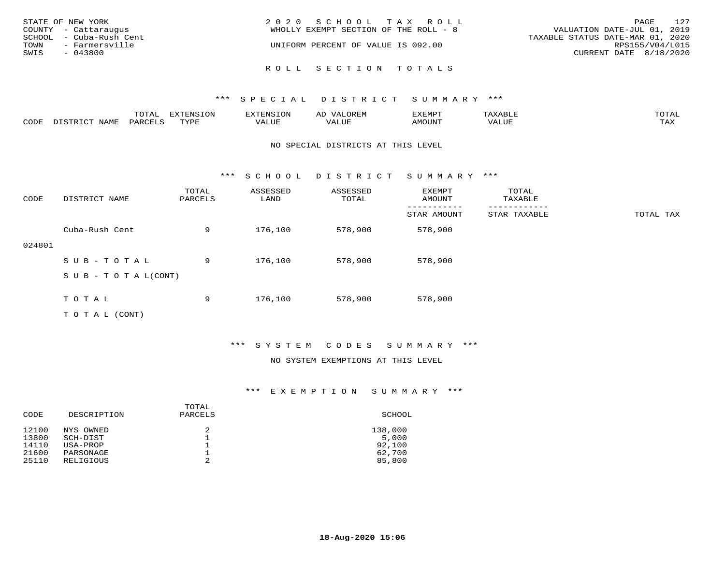| STATE OF NEW YORK<br>COUNTY - Cattaraugus         | 2020 SCHOOL TAX ROLL<br>WHOLLY EXEMPT SECTION OF THE ROLL - 8 | 127<br>PAGE<br>VALUATION DATE-JUL 01, 2019          |
|---------------------------------------------------|---------------------------------------------------------------|-----------------------------------------------------|
| SCHOOL - Cuba-Rush Cent<br>TOWN<br>- Farmersville | UNIFORM PERCENT OF VALUE IS 092.00                            | TAXABLE STATUS DATE-MAR 01, 2020<br>RPS155/V04/L015 |
| SWIS<br>- 043800                                  |                                                               | CURRENT DATE 8/18/2020                              |
|                                                   | ROLL SECTION TOTALS                                           |                                                     |

|      |      | $m \wedge m \wedge n$<br>⊥∪⊥AL | <b>DIZPOILIC TONT</b><br>∸∪ | EN-  | .<br>AL'<br>٠، تن ١٠ | 5773570      |          | $m \wedge m \wedge n$<br>$\mathsf{L}^{\mathsf{L}}$ |
|------|------|--------------------------------|-----------------------------|------|----------------------|--------------|----------|----------------------------------------------------|
| CODE | NAMF | PARO                           | TVDF<br><u>ـ د د</u>        | ALUE |                      | <b>MOUNT</b> | 7 A LU B | may<br>- ∠∡∡                                       |

#### NO SPECIAL DISTRICTS AT THIS LEVEL

\*\*\* S C H O O L D I S T R I C T S U M M A R Y \*\*\*

| CODE   | DISTRICT NAME                    | TOTAL<br>PARCELS | ASSESSED<br>LAND | ASSESSED<br>TOTAL | <b>EXEMPT</b><br>AMOUNT | TOTAL<br>TAXABLE |           |
|--------|----------------------------------|------------------|------------------|-------------------|-------------------------|------------------|-----------|
|        |                                  |                  |                  |                   | STAR AMOUNT             | STAR TAXABLE     | TOTAL TAX |
|        | Cuba-Rush Cent                   | 9                | 176,100          | 578,900           | 578,900                 |                  |           |
| 024801 |                                  |                  |                  |                   |                         |                  |           |
|        | SUB-TOTAL                        | 9                | 176,100          | 578,900           | 578,900                 |                  |           |
|        | $S \cup B - T \cup T A L (CONT)$ |                  |                  |                   |                         |                  |           |
|        |                                  |                  |                  |                   |                         |                  |           |
|        | TOTAL                            | 9                | 176,100          | 578,900           | 578,900                 |                  |           |
|        | T O T A L (CONT)                 |                  |                  |                   |                         |                  |           |

## \*\*\* S Y S T E M C O D E S S U M M A R Y \*\*\*

#### NO SYSTEM EXEMPTIONS AT THIS LEVEL

| CODE  | DESCRIPTION | TOTAL<br>PARCELS | SCHOOL  |
|-------|-------------|------------------|---------|
| 12100 | NYS OWNED   | 2                | 138,000 |
| 13800 | SCH-DIST    |                  | 5,000   |
| 14110 | USA-PROP    | 2                | 92,100  |
| 21600 | PARSONAGE   |                  | 62,700  |
| 25110 | RELIGIOUS   |                  | 85,800  |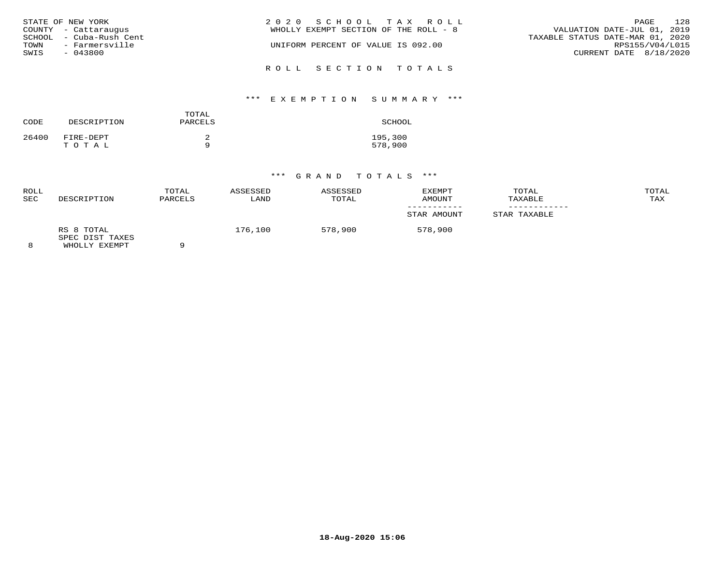| STATE OF NEW YORK<br>COUNTY - Cattaraugus<br>SCHOOL - Cuba-Rush Cent<br>TOWN<br>- Farmersville<br>SWIS<br>- 043800 | 2020 SCHOOL TAX ROLL<br>WHOLLY EXEMPT SECTION OF THE ROLL - 8<br>UNIFORM PERCENT OF VALUE IS 092.00 | 128<br>PAGE<br>VALUATION DATE-JUL 01, 2019<br>TAXABLE STATUS DATE-MAR 01, 2020<br>RPS155/V04/L015<br>CURRENT DATE 8/18/2020 |
|--------------------------------------------------------------------------------------------------------------------|-----------------------------------------------------------------------------------------------------|-----------------------------------------------------------------------------------------------------------------------------|
|                                                                                                                    | ROLL SECTION TOTALS                                                                                 |                                                                                                                             |

# \*\*\* E X E M P T I O N S U M M A R Y \*\*\*

| CODE  | DESCRIPTION        | TOTAL<br>PARCELS | SCHOOL             |
|-------|--------------------|------------------|--------------------|
| 26400 | FIRE-DEPT<br>TOTAL |                  | 195,300<br>578,900 |

| ROLL<br><b>SEC</b> | DESCRIPTION                                    | TOTAL<br>PARCELS | ASSESSED<br>LAND | ASSESSED<br>TOTAL | <b>EXEMPT</b><br>AMOUNT | TOTAL<br>TAXABLE | TOTAL<br>TAX |
|--------------------|------------------------------------------------|------------------|------------------|-------------------|-------------------------|------------------|--------------|
|                    |                                                |                  |                  |                   | STAR AMOUNT             | STAR TAXABLE     |              |
|                    | RS 8 TOTAL<br>SPEC DIST TAXES<br>WHOLLY EXEMPT |                  | 176,100          | 578,900           | 578,900                 |                  |              |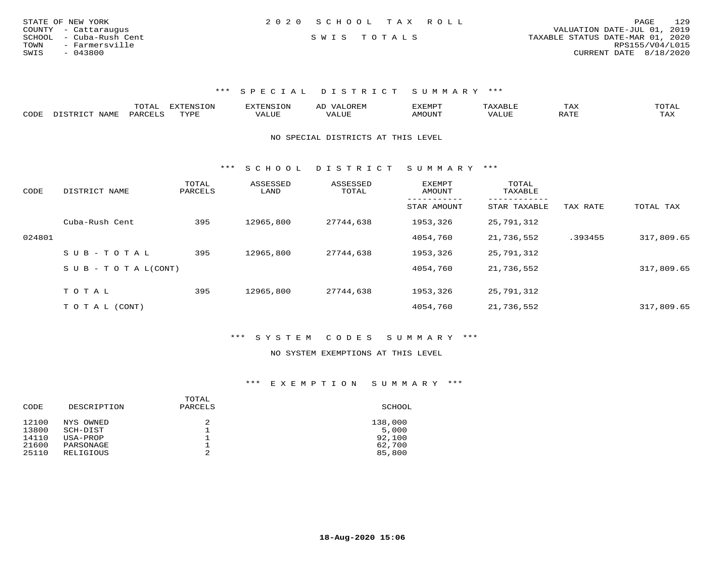| STATE OF NEW YORK       | 2020 SCHOOL TAX ROLL | 129<br>PAGE                      |
|-------------------------|----------------------|----------------------------------|
| COUNTY - Cattaraugus    |                      | VALUATION DATE-JUL 01, 2019      |
| SCHOOL - Cuba-Rush Cent | SWIS TOTALS          | TAXABLE STATUS DATE-MAR 01, 2020 |
| TOWN<br>- Farmersville  |                      | RPS155/V04/L015                  |
| SWIS<br>$-043800$       |                      | CURRENT DATE 8/18/2020           |

|      |      | $\blacksquare$<br><b>⊥∪⊥</b> ⊥ | <b>EXTENSION</b> |                           | 57773570 |     | 1 A A | $\sim$ m $\sim$ $\sim$<br>. שנת |
|------|------|--------------------------------|------------------|---------------------------|----------|-----|-------|---------------------------------|
| CODE | IAMF | $D \triangle P'$               | TVDI             | $\cdots$<br>$\mathcal{L}$ | MOUN     | ۰Δ. |       | TAX                             |

NO SPECIAL DISTRICTS AT THIS LEVEL

\*\*\* S C H O O L D I S T R I C T S U M M A R Y \*\*\*

| CODE   | DISTRICT NAME                    | TOTAL<br>PARCELS | ASSESSED<br>LAND | ASSESSED<br>TOTAL | EXEMPT<br>AMOUNT | TOTAL<br>TAXABLE          |          |            |
|--------|----------------------------------|------------------|------------------|-------------------|------------------|---------------------------|----------|------------|
|        |                                  |                  |                  |                   | STAR AMOUNT      | ---------<br>STAR TAXABLE | TAX RATE | TOTAL TAX  |
|        | Cuba-Rush Cent                   | 395              | 12965,800        | 27744,638         | 1953,326         | 25,791,312                |          |            |
| 024801 |                                  |                  |                  |                   | 4054,760         | 21,736,552                | .393455  | 317,809.65 |
|        | $SUB - TO TAL$                   | 395              | 12965,800        | 27744,638         | 1953,326         | 25,791,312                |          |            |
|        | $S \cup B - T \cup T A L (CONT)$ |                  |                  |                   | 4054,760         | 21,736,552                |          | 317,809.65 |
|        | TOTAL                            | 395              | 12965,800        | 27744,638         | 1953,326         | 25,791,312                |          |            |
|        |                                  |                  |                  |                   |                  |                           |          |            |
|        | T O T A L (CONT)                 |                  |                  |                   | 4054,760         | 21,736,552                |          | 317,809.65 |

\*\*\* S Y S T E M C O D E S S U M M A R Y \*\*\*

#### NO SYSTEM EXEMPTIONS AT THIS LEVEL

| CODE  | DESCRIPTION | TOTAL<br>PARCELS | SCHOOL  |
|-------|-------------|------------------|---------|
| 12100 | NYS OWNED   | 2                | 138,000 |
| 13800 | SCH-DIST    | ᅩ                | 5,000   |
| 14110 | USA-PROP    | ᅩ                | 92,100  |
| 21600 | PARSONAGE   | ᅩ                | 62,700  |
| 25110 | RELIGIOUS   | 2                | 85,800  |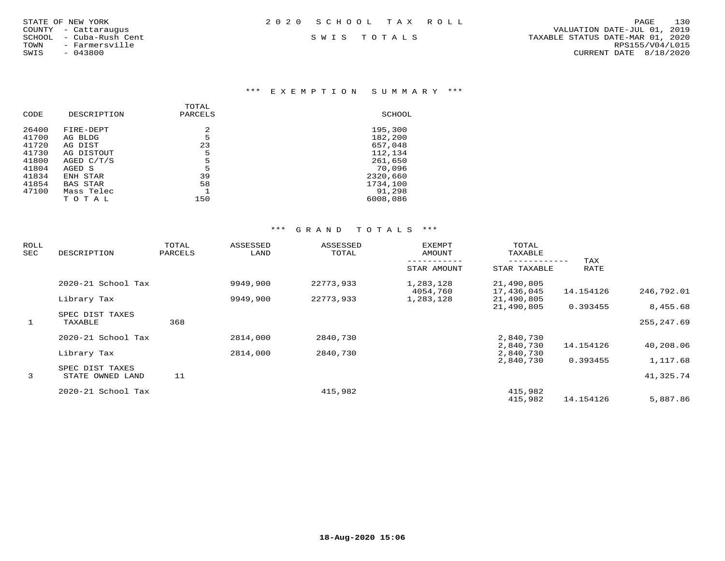| STATE OF NEW YORK |  |                  |  |
|-------------------|--|------------------|--|
| COUNTY            |  | - Cattaraugus    |  |
| SCHOOL            |  | - Cuba-Rush Cent |  |
| TOWN              |  | - Farmersville   |  |
| SWIS              |  | $-043800$        |  |

### \*\*\* E X E M P T I O N S U M M A R Y \*\*\*

| CODE  | DESCRIPTION | TOTAL<br>PARCELS | SCHOOL   |
|-------|-------------|------------------|----------|
| 26400 | FIRE-DEPT   | 2                | 195,300  |
| 41700 | AG BLDG     | 5                | 182,200  |
| 41720 | AG DIST     | 23               | 657,048  |
| 41730 | AG DISTOUT  | 5                | 112,134  |
| 41800 | AGED C/T/S  | 5                | 261,650  |
| 41804 | AGED S      | 5                | 70,096   |
| 41834 | ENH STAR    | 39               | 2320,660 |
| 41854 | BAS STAR    | 58               | 1734,100 |
| 47100 | Mass Telec  |                  | 91,298   |
|       | тотаь       | 150              | 6008,086 |

| ROLL<br>SEC  | DESCRIPTION                         | TOTAL<br>PARCELS | ASSESSED<br>LAND | ASSESSED<br>TOTAL | <b>EXEMPT</b><br>AMOUNT | TOTAL<br>TAXABLE         |             |             |
|--------------|-------------------------------------|------------------|------------------|-------------------|-------------------------|--------------------------|-------------|-------------|
|              |                                     |                  |                  |                   | STAR AMOUNT             | STAR TAXABLE             | TAX<br>RATE |             |
|              | $2020 - 21$ School Tax              |                  | 9949,900         | 22773,933         | 1,283,128<br>4054,760   | 21,490,805<br>17,436,045 | 14.154126   | 246,792.01  |
|              | Library Tax                         |                  | 9949,900         | 22773,933         | 1,283,128               | 21,490,805<br>21,490,805 | 0.393455    | 8,455.68    |
| $\mathbf{1}$ | SPEC DIST TAXES<br>TAXABLE          | 368              |                  |                   |                         |                          |             | 255, 247.69 |
|              | 2020-21 School Tax                  |                  | 2814,000         | 2840,730          |                         | 2,840,730<br>2,840,730   | 14.154126   | 40,208.06   |
|              | Library Tax                         |                  | 2814,000         | 2840,730          |                         | 2,840,730<br>2,840,730   | 0.393455    | 1,117.68    |
| 3            | SPEC DIST TAXES<br>STATE OWNED LAND | 11               |                  |                   |                         |                          |             | 41,325.74   |
|              | 2020-21 School Tax                  |                  |                  | 415,982           |                         | 415,982<br>415,982       | 14.154126   | 5,887.86    |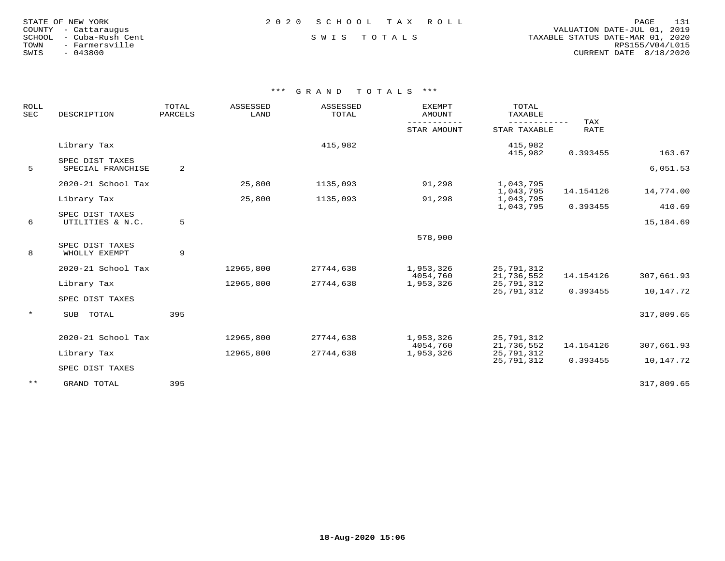| STATE OF NEW YORK    |  |                  |  |
|----------------------|--|------------------|--|
| COUNTY - Cattaraugus |  |                  |  |
| SCHOOL               |  | - Cuba-Rush Cent |  |
| TOWN                 |  | - Farmersville   |  |
| SWIS                 |  | $-043800$        |  |

### STATE OF NEW YORK 2 0 2 0 S C H O O L T A X R O L L PAGE 131

 COUNTY - Cattaraugus VALUATION DATE-JUL 01, 2019 SCHOOL - Cuba-Rush Cent S W I S T O T A L S TAXABLE STATUS DATE-MAR 01, 2020 TOWN - Farmersville RPS155/V04/L015SWIS - 043800 CURRENT DATE 8/18/2020

| ROLL<br><b>SEC</b> | DESCRIPTION                      | TOTAL<br>PARCELS | ASSESSED<br>LAND | ASSESSED<br>TOTAL | <b>EXEMPT</b><br>AMOUNT | TOTAL<br>TAXABLE       |                           |            |
|--------------------|----------------------------------|------------------|------------------|-------------------|-------------------------|------------------------|---------------------------|------------|
|                    |                                  |                  |                  |                   | STAR AMOUNT             | STAR TAXABLE           | <b>TAX</b><br><b>RATE</b> |            |
|                    | Library Tax                      |                  |                  | 415,982           |                         | 415,982<br>415,982     | 0.393455                  | 163.67     |
|                    | SPEC DIST TAXES                  |                  |                  |                   |                         |                        |                           |            |
| 5                  | SPECIAL FRANCHISE                | 2                |                  |                   |                         |                        |                           | 6,051.53   |
|                    | 2020-21 School Tax               |                  | 25,800           | 1135,093          | 91,298                  | 1,043,795              |                           |            |
|                    |                                  |                  | 25,800           | 1135,093          | 91,298                  | 1,043,795<br>1,043,795 | 14.154126                 | 14,774.00  |
|                    | Library Tax                      |                  |                  |                   |                         | 1,043,795              | 0.393455                  | 410.69     |
|                    | SPEC DIST TAXES                  |                  |                  |                   |                         |                        |                           |            |
| 6                  | UTILITIES & N.C.                 | 5                |                  |                   |                         |                        |                           | 15,184.69  |
|                    |                                  |                  |                  |                   | 578,900                 |                        |                           |            |
| 8                  | SPEC DIST TAXES<br>WHOLLY EXEMPT | 9                |                  |                   |                         |                        |                           |            |
|                    | 2020-21 School Tax               |                  | 12965,800        | 27744,638         | 1,953,326               | 25,791,312             |                           |            |
|                    |                                  |                  |                  |                   | 4054,760                | 21,736,552             | 14.154126                 | 307,661.93 |
|                    | Library Tax                      |                  | 12965,800        | 27744,638         | 1,953,326               | 25,791,312             |                           |            |
|                    | SPEC DIST TAXES                  |                  |                  |                   |                         | 25,791,312             | 0.393455                  | 10,147.72  |
| $\star$            | TOTAL<br>SUB                     | 395              |                  |                   |                         |                        |                           | 317,809.65 |
|                    |                                  |                  |                  |                   |                         |                        |                           |            |
|                    | 2020-21 School Tax               |                  | 12965,800        | 27744,638         | 1,953,326               | 25,791,312             |                           |            |
|                    |                                  |                  |                  |                   | 4054,760                | 21,736,552             | 14.154126                 | 307,661.93 |
|                    | Library Tax                      |                  | 12965,800        | 27744,638         | 1,953,326               | 25,791,312             |                           |            |
|                    | SPEC DIST TAXES                  |                  |                  |                   |                         | 25,791,312             | 0.393455                  | 10,147.72  |
| $***$              | GRAND TOTAL                      | 395              |                  |                   |                         |                        |                           | 317,809.65 |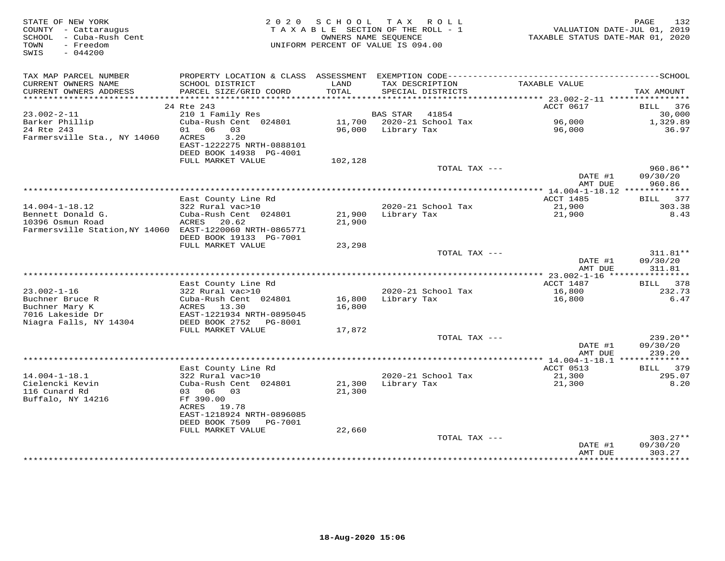| STATE OF NEW YORK<br>COUNTY - Cattaraugus<br>SCHOOL - Cuba-Rush Cent<br>- Freedom<br>TOWN<br>SWIS<br>$-044200$ |                                                                                                   | 2020 SCHOOL<br>TAXABLE SECTION OF THE ROLL - 1<br>UNIFORM PERCENT OF VALUE IS 094.00 | T A X<br>OWNERS NAME SEQUENCE | R O L L                              | VALUATION DATE-JUL 01, 2019<br>TAXABLE STATUS DATE-MAR 01, 2020 | 132<br>PAGE                      |
|----------------------------------------------------------------------------------------------------------------|---------------------------------------------------------------------------------------------------|--------------------------------------------------------------------------------------|-------------------------------|--------------------------------------|-----------------------------------------------------------------|----------------------------------|
| TAX MAP PARCEL NUMBER                                                                                          |                                                                                                   |                                                                                      |                               |                                      |                                                                 |                                  |
| CURRENT OWNERS NAME<br>CURRENT OWNERS ADDRESS                                                                  | SCHOOL DISTRICT<br>PARCEL SIZE/GRID COORD                                                         | LAND<br>TOTAL                                                                        |                               | TAX DESCRIPTION<br>SPECIAL DISTRICTS | TAXABLE VALUE                                                   | TAX AMOUNT                       |
|                                                                                                                | 24 Rte 243                                                                                        |                                                                                      |                               |                                      | ACCT 0617                                                       | 376<br>BILL                      |
| $23.002 - 2 - 11$                                                                                              | 210 1 Family Res                                                                                  |                                                                                      | <b>BAS STAR</b>               | 41854                                |                                                                 | 30,000                           |
| Barker Phillip                                                                                                 | Cuba-Rush Cent 024801                                                                             |                                                                                      |                               | 11,700 2020-21 School Tax            | 96,000                                                          | 1,329.89                         |
| 24 Rte 243<br>Farmersville Sta., NY 14060                                                                      | 01 06 03<br>ACRES<br>3.20<br>EAST-1222275 NRTH-0888101                                            | 96,000                                                                               | Library Tax                   |                                      | 96,000                                                          | 36.97                            |
|                                                                                                                | DEED BOOK 14938 PG-4001<br>FULL MARKET VALUE                                                      | 102,128                                                                              |                               |                                      |                                                                 |                                  |
|                                                                                                                |                                                                                                   |                                                                                      |                               | TOTAL TAX ---                        |                                                                 | 960.86**                         |
|                                                                                                                |                                                                                                   |                                                                                      |                               |                                      | DATE #1<br>AMT DUE                                              | 09/30/20<br>960.86               |
|                                                                                                                |                                                                                                   |                                                                                      |                               |                                      |                                                                 |                                  |
| $14.004 - 1 - 18.12$                                                                                           | East County Line Rd<br>322 Rural vac>10                                                           |                                                                                      |                               | 2020-21 School Tax                   | ACCT 1485<br>21,900                                             | 377<br>BILL<br>303.38            |
| Bennett Donald G.                                                                                              | Cuba-Rush Cent 024801                                                                             | 21,900                                                                               | Library Tax                   |                                      | 21,900                                                          | 8.43                             |
| 10396 Osmun Road<br>Farmersville Station, NY 14060 EAST-1220060 NRTH-0865771                                   | 20.62<br>ACRES<br>DEED BOOK 19133 PG-7001                                                         | 21,900                                                                               |                               |                                      |                                                                 |                                  |
|                                                                                                                | FULL MARKET VALUE                                                                                 | 23,298                                                                               |                               |                                      |                                                                 |                                  |
|                                                                                                                |                                                                                                   |                                                                                      |                               | TOTAL TAX ---                        | DATE #1<br>AMT DUE                                              | $311.81**$<br>09/30/20<br>311.81 |
|                                                                                                                |                                                                                                   |                                                                                      |                               |                                      |                                                                 |                                  |
|                                                                                                                | East County Line Rd                                                                               |                                                                                      |                               |                                      | ACCT 1487                                                       | 378<br>BILL                      |
| $23.002 - 1 - 16$                                                                                              | 322 Rural vac>10                                                                                  |                                                                                      |                               | 2020-21 School Tax                   | 16,800                                                          | 232.73                           |
| Buchner Bruce R<br>Buchner Mary K<br>7016 Lakeside Dr<br>Niagra Falls, NY 14304                                | Cuba-Rush Cent 024801<br>ACRES 13.30<br>EAST-1221934 NRTH-0895045<br>DEED BOOK 2752<br>PG-8001    | 16,800<br>16,800                                                                     | Library Tax                   |                                      | 16,800                                                          | 6.47                             |
|                                                                                                                | FULL MARKET VALUE                                                                                 | 17,872                                                                               |                               |                                      |                                                                 |                                  |
|                                                                                                                |                                                                                                   |                                                                                      |                               | TOTAL TAX ---                        |                                                                 | 239.20**                         |
|                                                                                                                |                                                                                                   |                                                                                      |                               |                                      | DATE #1<br>AMT DUE                                              | 09/30/20<br>239.20               |
|                                                                                                                |                                                                                                   |                                                                                      |                               |                                      |                                                                 |                                  |
| $14.004 - 1 - 18.1$                                                                                            | East County Line Rd<br>322 Rural vac>10                                                           |                                                                                      |                               | 2020-21 School Tax                   | ACCT 0513<br>21,300                                             | 379<br>BILL<br>295.07            |
| Cielencki Kevin                                                                                                | Cuba-Rush Cent 024801                                                                             | 21,300                                                                               | Library Tax                   |                                      | 21,300                                                          | 8.20                             |
| 116 Cunard Rd<br>Buffalo, NY 14216                                                                             | 03 06 03<br>Ff 390.00<br>19.78<br>ACRES<br>EAST-1218924 NRTH-0896085<br>DEED BOOK 7509<br>PG-7001 | 21,300                                                                               |                               |                                      |                                                                 |                                  |
|                                                                                                                | FULL MARKET VALUE                                                                                 | 22,660                                                                               |                               |                                      |                                                                 |                                  |
|                                                                                                                |                                                                                                   |                                                                                      |                               | TOTAL TAX ---                        | DATE #1<br>AMT DUE                                              | $303.27**$<br>09/30/20<br>303.27 |
|                                                                                                                |                                                                                                   |                                                                                      |                               |                                      |                                                                 |                                  |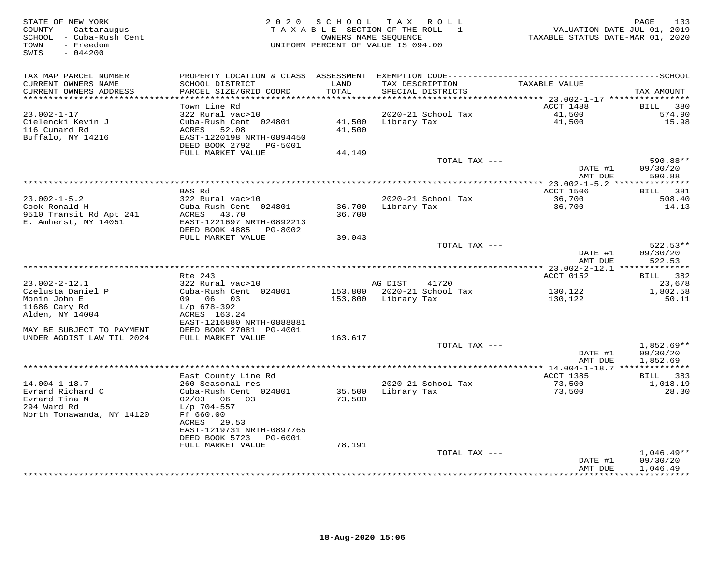| STATE OF NEW YORK<br>COUNTY - Cattaraugus<br>SCHOOL - Cuba-Rush Cent<br>- Freedom<br>TOWN<br>$-044200$<br>SWIS |                                                        | 2020 SCHOOL TAX<br>TAXABLE SECTION OF THE ROLL - 1<br>OWNERS NAME SEQUENCE<br>UNIFORM PERCENT OF VALUE IS 094.00 |                     | ROLL                                 | VALUATION DATE-JUL 01, 2019<br>TAXABLE STATUS DATE-MAR 01, 2020 | 133<br>PAGE            |
|----------------------------------------------------------------------------------------------------------------|--------------------------------------------------------|------------------------------------------------------------------------------------------------------------------|---------------------|--------------------------------------|-----------------------------------------------------------------|------------------------|
| TAX MAP PARCEL NUMBER                                                                                          |                                                        |                                                                                                                  |                     |                                      |                                                                 |                        |
| CURRENT OWNERS NAME<br>CURRENT OWNERS ADDRESS<br>**********************                                        | SCHOOL DISTRICT<br>PARCEL SIZE/GRID COORD              | LAND<br>TOTAL                                                                                                    |                     | TAX DESCRIPTION<br>SPECIAL DISTRICTS | TAXABLE VALUE                                                   | TAX AMOUNT             |
|                                                                                                                | Town Line Rd                                           |                                                                                                                  |                     |                                      | ACCT 1488                                                       | BILL<br>380            |
| $23.002 - 1 - 17$                                                                                              | 322 Rural vac>10                                       |                                                                                                                  |                     | 2020-21 School Tax                   | 41,500                                                          | 574.90                 |
| Cielencki Kevin J                                                                                              | Cuba-Rush Cent 024801                                  | 41,500                                                                                                           | Library Tax         |                                      | 41,500                                                          | 15.98                  |
| 116 Cunard Rd                                                                                                  | ACRES<br>52.08                                         | 41,500                                                                                                           |                     |                                      |                                                                 |                        |
| Buffalo, NY 14216                                                                                              | EAST-1220198 NRTH-0894450                              |                                                                                                                  |                     |                                      |                                                                 |                        |
|                                                                                                                | DEED BOOK 2792    PG-5001                              |                                                                                                                  |                     |                                      |                                                                 |                        |
|                                                                                                                | FULL MARKET VALUE                                      | 44,149                                                                                                           |                     | TOTAL TAX ---                        |                                                                 | 590.88**               |
|                                                                                                                |                                                        |                                                                                                                  |                     |                                      | DATE #1<br>AMT DUE                                              | 09/30/20<br>590.88     |
|                                                                                                                |                                                        |                                                                                                                  |                     |                                      |                                                                 |                        |
|                                                                                                                | B&S Rd                                                 |                                                                                                                  |                     |                                      | <b>ACCT 1506</b>                                                | BILL 381               |
| $23.002 - 1 - 5.2$                                                                                             | 322 Rural vac>10                                       |                                                                                                                  |                     | 2020-21 School Tax                   | 36,700                                                          | 508.40                 |
| Cook Ronald H                                                                                                  | Cuba-Rush Cent 024801                                  | 36,700                                                                                                           | Library Tax         |                                      | 36,700                                                          | 14.13                  |
| 9510 Transit Rd Apt 241                                                                                        | ACRES<br>43.70                                         | 36,700                                                                                                           |                     |                                      |                                                                 |                        |
| E. Amherst, NY 14051                                                                                           | EAST-1221697 NRTH-0892213<br>DEED BOOK 4885<br>PG-8002 |                                                                                                                  |                     |                                      |                                                                 |                        |
|                                                                                                                | FULL MARKET VALUE                                      | 39,043                                                                                                           |                     |                                      |                                                                 |                        |
|                                                                                                                |                                                        |                                                                                                                  |                     | TOTAL TAX ---                        |                                                                 | $522.53**$             |
|                                                                                                                |                                                        |                                                                                                                  |                     |                                      | DATE #1                                                         | 09/30/20               |
|                                                                                                                |                                                        |                                                                                                                  |                     |                                      | AMT DUE                                                         | 522.53                 |
|                                                                                                                | Rte 243                                                |                                                                                                                  |                     |                                      | ACCT 0152                                                       | BILL 382               |
| $23.002 - 2 - 12.1$                                                                                            | 322 Rural vac>10                                       |                                                                                                                  | AG DIST             | 41720                                |                                                                 | 23,678                 |
| Czelusta Daniel P                                                                                              | Cuba-Rush Cent 024801                                  |                                                                                                                  |                     | 153,800 2020-21 School Tax           | 130,122                                                         | 1,802.58               |
| Monin John E                                                                                                   | 09 06 03                                               |                                                                                                                  | 153,800 Library Tax |                                      | 130,122                                                         | 50.11                  |
| 11686 Cary Rd                                                                                                  | $L/p$ 678-392                                          |                                                                                                                  |                     |                                      |                                                                 |                        |
| Alden, NY 14004                                                                                                | ACRES 163.24                                           |                                                                                                                  |                     |                                      |                                                                 |                        |
|                                                                                                                | EAST-1216880 NRTH-0888881                              |                                                                                                                  |                     |                                      |                                                                 |                        |
| MAY BE SUBJECT TO PAYMENT<br>UNDER AGDIST LAW TIL 2024                                                         | DEED BOOK 27081 PG-4001<br>FULL MARKET VALUE           | 163,617                                                                                                          |                     |                                      |                                                                 |                        |
|                                                                                                                |                                                        |                                                                                                                  |                     | TOTAL TAX ---                        |                                                                 | $1,852.69**$           |
|                                                                                                                |                                                        |                                                                                                                  |                     |                                      | DATE #1                                                         | 09/30/20               |
|                                                                                                                |                                                        |                                                                                                                  |                     |                                      | AMT DUE                                                         | 1,852.69               |
|                                                                                                                |                                                        | *******************************                                                                                  |                     |                                      | ********** 14.004-1-18.7 ***************                        |                        |
|                                                                                                                | East County Line Rd                                    |                                                                                                                  |                     |                                      | <b>ACCT 1385</b>                                                | BILL<br>383            |
| $14.004 - 1 - 18.7$<br>Evrard Richard C                                                                        | 260 Seasonal res<br>Cuba-Rush Cent 024801              | 35,500                                                                                                           | Library Tax         | 2020-21 School Tax                   | 73,500<br>73,500                                                | 1,018.19<br>28.30      |
| Evrard Tina M                                                                                                  | $02/03$ 06 03                                          | 73,500                                                                                                           |                     |                                      |                                                                 |                        |
| 294 Ward Rd                                                                                                    | $L/p$ 704-557                                          |                                                                                                                  |                     |                                      |                                                                 |                        |
| North Tonawanda, NY 14120                                                                                      | Ff 660.00                                              |                                                                                                                  |                     |                                      |                                                                 |                        |
|                                                                                                                | ACRES<br>29.53                                         |                                                                                                                  |                     |                                      |                                                                 |                        |
|                                                                                                                | EAST-1219731 NRTH-0897765                              |                                                                                                                  |                     |                                      |                                                                 |                        |
|                                                                                                                | DEED BOOK 5723<br>PG-6001                              |                                                                                                                  |                     |                                      |                                                                 |                        |
|                                                                                                                | FULL MARKET VALUE                                      | 78,191                                                                                                           |                     | TOTAL TAX ---                        |                                                                 | $1,046.49**$           |
|                                                                                                                |                                                        |                                                                                                                  |                     |                                      | DATE #1                                                         | 09/30/20               |
|                                                                                                                |                                                        |                                                                                                                  |                     |                                      | AMT DUE                                                         | 1,046.49<br>********** |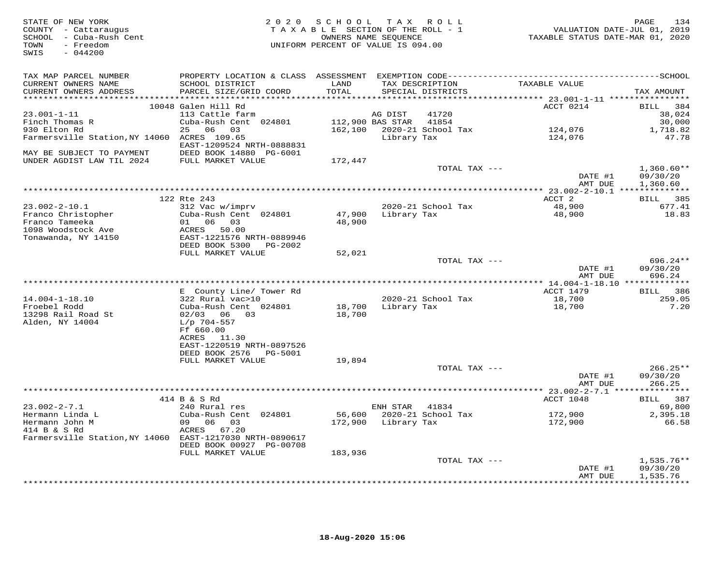| STATE OF NEW YORK<br>COUNTY - Cattaraugus<br>SCHOOL - Cuba-Rush Cent<br>TOWN<br>- Freedom<br>$-044200$<br>SWIS |                                                        |                  | 2020 SCHOOL TAX ROLL<br>TAXABLE SECTION OF THE ROLL - 1<br>OWNERS NAME SEQUENCE<br>UNIFORM PERCENT OF VALUE IS 094.00 |               | VALUATION DATE-JUL 01, 2019<br>TAXABLE STATUS DATE-MAR 01, 2020 | PAGE<br>134          |
|----------------------------------------------------------------------------------------------------------------|--------------------------------------------------------|------------------|-----------------------------------------------------------------------------------------------------------------------|---------------|-----------------------------------------------------------------|----------------------|
| TAX MAP PARCEL NUMBER<br>CURRENT OWNERS NAME<br>CURRENT OWNERS ADDRESS                                         | SCHOOL DISTRICT<br>PARCEL SIZE/GRID COORD              | LAND<br>TOTAL    | TAX DESCRIPTION<br>SPECIAL DISTRICTS                                                                                  |               | TAXABLE VALUE                                                   | TAX AMOUNT           |
|                                                                                                                |                                                        |                  |                                                                                                                       |               |                                                                 |                      |
|                                                                                                                | 10048 Galen Hill Rd                                    |                  |                                                                                                                       |               | ACCT 0214                                                       | BILL 384             |
| $23.001 - 1 - 11$                                                                                              | 113 Cattle farm                                        |                  | 41720<br>AG DIST                                                                                                      |               |                                                                 | 38,024               |
| Finch Thomas R                                                                                                 | Cuba-Rush Cent 024801                                  | 112,900 BAS STAR | 41854                                                                                                                 |               |                                                                 | 30,000               |
| 930 Elton Rd                                                                                                   | 25 06 03                                               |                  | 162,100 2020-21 School Tax                                                                                            |               | 124,076                                                         | 1,718.82             |
| Farmersville Station, NY 14060 ACRES 109.65<br>MAY BE SUBJECT TO PAYMENT                                       | EAST-1209524 NRTH-0888831<br>DEED BOOK 14880 PG-6001   |                  | Library Tax                                                                                                           |               | 124,076                                                         | 47.78                |
| UNDER AGDIST LAW TIL 2024                                                                                      | FULL MARKET VALUE                                      | 172,447          |                                                                                                                       |               |                                                                 |                      |
|                                                                                                                |                                                        |                  |                                                                                                                       | TOTAL TAX --- |                                                                 | $1,360.60**$         |
|                                                                                                                |                                                        |                  |                                                                                                                       |               | DATE #1<br>AMT DUE                                              | 09/30/20<br>1,360.60 |
|                                                                                                                |                                                        |                  |                                                                                                                       |               |                                                                 |                      |
| $23.002 - 2 - 10.1$                                                                                            | 122 Rte 243<br>312 Vac w/imprv                         |                  | 2020-21 School Tax                                                                                                    |               | ACCT 2<br>48,900                                                | BILL 385<br>677.41   |
| Franco Christopher                                                                                             | Cuba-Rush Cent 024801                                  | 47,900           | Library Tax                                                                                                           |               | 48,900                                                          | 18.83                |
| Franco Tameeka                                                                                                 | 01 06 03                                               | 48,900           |                                                                                                                       |               |                                                                 |                      |
| 1098 Woodstock Ave                                                                                             | ACRES 50.00                                            |                  |                                                                                                                       |               |                                                                 |                      |
| Tonawanda, NY 14150                                                                                            | EAST-1221576 NRTH-0889946                              |                  |                                                                                                                       |               |                                                                 |                      |
|                                                                                                                | DEED BOOK 5300 PG-2002                                 |                  |                                                                                                                       |               |                                                                 |                      |
|                                                                                                                | FULL MARKET VALUE                                      | 52,021           |                                                                                                                       | TOTAL TAX --- |                                                                 | 696.24 **            |
|                                                                                                                |                                                        |                  |                                                                                                                       |               | DATE #1                                                         | 09/30/20             |
|                                                                                                                |                                                        |                  |                                                                                                                       |               | AMT DUE                                                         | 696.24               |
|                                                                                                                |                                                        |                  |                                                                                                                       |               |                                                                 |                      |
|                                                                                                                | E County Line/ Tower Rd                                |                  |                                                                                                                       |               | ACCT 1479                                                       | BILL 386             |
| $14.004 - 1 - 18.10$<br>Froebel Rodd                                                                           | 322 Rural vac>10<br>Cuba-Rush Cent 024801              |                  | 2020-21 School Tax<br>18,700 Library Tax                                                                              |               | 18,700<br>18,700                                                | 259.05<br>7.20       |
| 13298 Rail Road St                                                                                             | 02/03 06 03                                            | 18,700           |                                                                                                                       |               |                                                                 |                      |
| Alden, NY 14004                                                                                                | L/p 704-557                                            |                  |                                                                                                                       |               |                                                                 |                      |
|                                                                                                                | Ff 660.00                                              |                  |                                                                                                                       |               |                                                                 |                      |
|                                                                                                                | ACRES 11.30                                            |                  |                                                                                                                       |               |                                                                 |                      |
|                                                                                                                | EAST-1220519 NRTH-0897526<br>DEED BOOK 2576    PG-5001 |                  |                                                                                                                       |               |                                                                 |                      |
|                                                                                                                | FULL MARKET VALUE                                      | 19,894           |                                                                                                                       |               |                                                                 |                      |
|                                                                                                                |                                                        |                  |                                                                                                                       | TOTAL TAX --- |                                                                 | $266.25**$           |
|                                                                                                                |                                                        |                  |                                                                                                                       |               | DATE #1                                                         | 09/30/20             |
|                                                                                                                |                                                        |                  |                                                                                                                       |               | AMT DUE                                                         | 266.25               |
|                                                                                                                | 414 B & S Rd                                           |                  |                                                                                                                       |               | ACCT 1048                                                       | BILL 387             |
| $23.002 - 2 - 7.1$                                                                                             | 240 Rural res                                          |                  | ENH STAR<br>41834                                                                                                     |               |                                                                 | 69,800               |
| Hermann Linda L                                                                                                | Cuba-Rush Cent 024801                                  | 56,600           | 2020-21 School Tax                                                                                                    |               | 172,900                                                         | 2,395.18             |
| Hermann John M                                                                                                 | 09 06 03                                               |                  | 172,900 Library Tax                                                                                                   |               | 172,900                                                         | 66.58                |
| 414 B & S Rd                                                                                                   | ACRES 67.20                                            |                  |                                                                                                                       |               |                                                                 |                      |
| Farmersville Station, NY 14060 EAST-1217030 NRTH-0890617                                                       | DEED BOOK 00927 PG-00708                               |                  |                                                                                                                       |               |                                                                 |                      |
|                                                                                                                | FULL MARKET VALUE                                      | 183,936          |                                                                                                                       |               |                                                                 |                      |
|                                                                                                                |                                                        |                  |                                                                                                                       | TOTAL TAX --- |                                                                 | $1,535.76**$         |
|                                                                                                                |                                                        |                  |                                                                                                                       |               | DATE #1                                                         | 09/30/20             |
|                                                                                                                |                                                        |                  |                                                                                                                       |               | AMT DUE                                                         | 1,535.76<br>.        |
|                                                                                                                |                                                        |                  |                                                                                                                       |               | + + + + + + + + + + + + + +                                     |                      |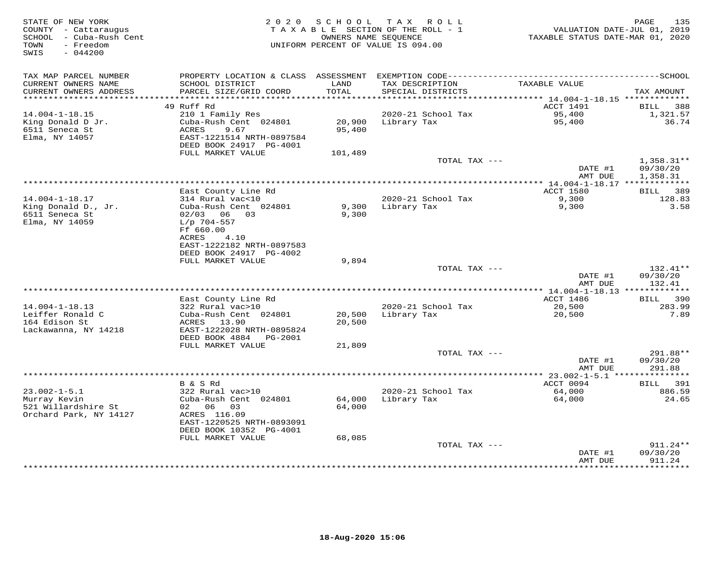| STATE OF NEW YORK<br>COUNTY - Cattaraugus<br>SCHOOL - Cuba-Rush Cent<br>TOWN<br>- Freedom<br>$-044200$<br>SWIS | 2 0 2 0                                                                                        | SCHOOL           | T A X<br>R O L L<br>TAXABLE SECTION OF THE ROLL - 1<br>OWNERS NAME SEQUENCE<br>UNIFORM PERCENT OF VALUE IS 094.00 | VALUATION DATE-JUL 01, 2019<br>TAXABLE STATUS DATE-MAR 01, 2020 | PAGE<br>135                        |
|----------------------------------------------------------------------------------------------------------------|------------------------------------------------------------------------------------------------|------------------|-------------------------------------------------------------------------------------------------------------------|-----------------------------------------------------------------|------------------------------------|
| TAX MAP PARCEL NUMBER<br>CURRENT OWNERS NAME<br>CURRENT OWNERS ADDRESS                                         | SCHOOL DISTRICT<br>PARCEL SIZE/GRID COORD                                                      | LAND<br>TOTAL    | TAX DESCRIPTION<br>SPECIAL DISTRICTS                                                                              | TAXABLE VALUE                                                   | TAX AMOUNT                         |
| ***********************                                                                                        |                                                                                                |                  |                                                                                                                   |                                                                 |                                    |
|                                                                                                                | 49 Ruff Rd                                                                                     |                  |                                                                                                                   | ACCT 1491                                                       | 388<br>BILL                        |
| $14.004 - 1 - 18.15$<br>King Donald D Jr.                                                                      | 210 1 Family Res<br>Cuba-Rush Cent 024801                                                      | 20,900           | 2020-21 School Tax<br>Library Tax                                                                                 | 95,400<br>95,400                                                | 1,321.57<br>36.74                  |
| 6511 Seneca St<br>Elma, NY 14057                                                                               | ACRES<br>9.67<br>EAST-1221514 NRTH-0897584<br>DEED BOOK 24917 PG-4001                          | 95,400           |                                                                                                                   |                                                                 |                                    |
|                                                                                                                | FULL MARKET VALUE                                                                              | 101,489          |                                                                                                                   |                                                                 |                                    |
|                                                                                                                |                                                                                                |                  | TOTAL TAX ---                                                                                                     | DATE #1<br>AMT DUE                                              | 1,358.31**<br>09/30/20<br>1,358.31 |
|                                                                                                                |                                                                                                |                  |                                                                                                                   |                                                                 |                                    |
|                                                                                                                | East County Line Rd                                                                            |                  |                                                                                                                   | ACCT 1580                                                       | 389<br>BILL                        |
| $14.004 - 1 - 18.17$<br>King Donald D., Jr.<br>6511 Seneca St                                                  | 314 Rural vac<10<br>Cuba-Rush Cent 024801<br>$02/03$ 06 03                                     | 9,300<br>9,300   | 2020-21 School Tax<br>Library Tax                                                                                 | 9,300<br>9,300                                                  | 128.83<br>3.58                     |
| Elma, NY 14059                                                                                                 | $L/p$ 704-557<br>Ff 660.00<br>ACRES<br>4.10                                                    |                  |                                                                                                                   |                                                                 |                                    |
|                                                                                                                | EAST-1222182 NRTH-0897583<br>DEED BOOK 24917 PG-4002<br>FULL MARKET VALUE                      | 9,894            |                                                                                                                   |                                                                 |                                    |
|                                                                                                                |                                                                                                |                  | TOTAL TAX ---                                                                                                     | DATE #1                                                         | 132.41**<br>09/30/20               |
|                                                                                                                |                                                                                                |                  |                                                                                                                   | AMT DUE                                                         | 132.41                             |
|                                                                                                                | East County Line Rd                                                                            |                  |                                                                                                                   | ACCT 1486                                                       | 390<br><b>BILL</b>                 |
| $14.004 - 1 - 18.13$                                                                                           | 322 Rural vac>10                                                                               |                  | 2020-21 School Tax                                                                                                | 20,500                                                          | 283.99                             |
| Leiffer Ronald C<br>164 Edison St<br>Lackawanna, NY 14218                                                      | Cuba-Rush Cent 024801<br>ACRES 13.90<br>EAST-1222028 NRTH-0895824<br>DEED BOOK 4884<br>PG-2001 | 20,500<br>20,500 | Library Tax                                                                                                       | 20,500                                                          | 7.89                               |
|                                                                                                                | FULL MARKET VALUE                                                                              | 21,809           |                                                                                                                   |                                                                 |                                    |
|                                                                                                                |                                                                                                |                  | TOTAL TAX ---                                                                                                     | DATE #1<br>AMT DUE                                              | 291.88**<br>09/30/20<br>291.88     |
|                                                                                                                |                                                                                                |                  |                                                                                                                   |                                                                 |                                    |
|                                                                                                                | B & S Rd                                                                                       |                  |                                                                                                                   | ACCT 0094                                                       | 391<br>BILL                        |
| $23.002 - 1 - 5.1$                                                                                             | 322 Rural vac>10                                                                               |                  | 2020-21 School Tax                                                                                                | 64,000                                                          | 886.59                             |
| Murray Kevin<br>521 Willardshire St<br>Orchard Park, NY 14127                                                  | Cuba-Rush Cent 024801<br>02 06 03<br>ACRES 116.09                                              | 64,000<br>64,000 | Library Tax                                                                                                       | 64,000                                                          | 24.65                              |
|                                                                                                                | EAST-1220525 NRTH-0893091<br>DEED BOOK 10352 PG-4001                                           |                  |                                                                                                                   |                                                                 |                                    |
|                                                                                                                | FULL MARKET VALUE                                                                              | 68,085           |                                                                                                                   |                                                                 |                                    |
|                                                                                                                |                                                                                                |                  | TOTAL TAX ---                                                                                                     | DATE #1<br>AMT DUE                                              | 911.24**<br>09/30/20<br>911.24     |
|                                                                                                                |                                                                                                |                  |                                                                                                                   |                                                                 | **********                         |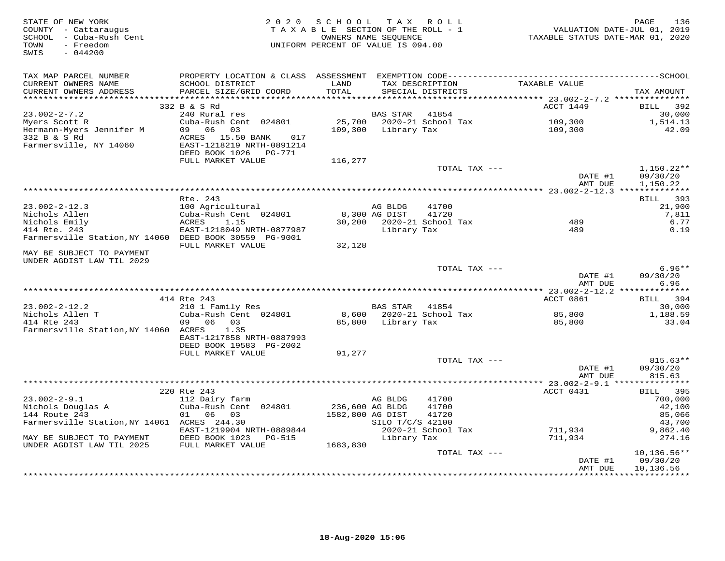| STATE OF NEW YORK<br>COUNTY - Cattaraugus<br>SCHOOL - Cuba-Rush Cent<br>TOWN<br>- Freedom<br>SWIS<br>$-044200$ | 2 0 2 0                                                                          | SCHOOL TAX ROLL<br>TAXABLE SECTION OF THE ROLL - 1<br>UNIFORM PERCENT OF VALUE IS 094.00 | OWNERS NAME SEOUENCE    |                                      | 1505<br>VALUATION DATE-JUL 01, 2019<br>TAXABLE STATUS DATE-MAR 01, 2020 | PAGE<br>136                          |
|----------------------------------------------------------------------------------------------------------------|----------------------------------------------------------------------------------|------------------------------------------------------------------------------------------|-------------------------|--------------------------------------|-------------------------------------------------------------------------|--------------------------------------|
| TAX MAP PARCEL NUMBER<br>CURRENT OWNERS NAME<br>CURRENT OWNERS ADDRESS                                         | SCHOOL DISTRICT<br>PARCEL SIZE/GRID COORD                                        | LAND<br>TOTAL                                                                            |                         | TAX DESCRIPTION<br>SPECIAL DISTRICTS | TAXABLE VALUE                                                           | TAX AMOUNT                           |
|                                                                                                                | 332 B & S Rd                                                                     |                                                                                          |                         |                                      | ACCT 1449                                                               | 392<br><b>BILL</b>                   |
| $23.002 - 2 - 7.2$<br>Myers Scott R<br>Hermann-Myers Jennifer M<br>332 B & S Rd                                | 240 Rural res<br>Cuba-Rush Cent 024801<br>09 06<br>03<br>ACRES 15.50 BANK<br>017 | 109,300                                                                                  | BAS STAR<br>Library Tax | 41854<br>25,700 2020-21 School Tax   | 109,300<br>109,300                                                      | 30,000<br>1,514.13<br>42.09          |
| Farmersville, NY 14060                                                                                         | EAST-1218219 NRTH-0891214<br>DEED BOOK 1026    PG-771                            |                                                                                          |                         |                                      |                                                                         |                                      |
|                                                                                                                | FULL MARKET VALUE                                                                | 116,277                                                                                  |                         |                                      |                                                                         |                                      |
|                                                                                                                |                                                                                  |                                                                                          |                         | TOTAL TAX ---                        | DATE #1<br>AMT DUE                                                      | $1,150.22**$<br>09/30/20<br>1,150.22 |
|                                                                                                                |                                                                                  |                                                                                          |                         |                                      |                                                                         |                                      |
| $23.002 - 2 - 12.3$                                                                                            | Rte. 243<br>100 Agricultural                                                     |                                                                                          | AG BLDG                 | 41700                                |                                                                         | BILL 393<br>21,900                   |
| Nichols Allen                                                                                                  | Cuba-Rush Cent 024801                                                            |                                                                                          | 8,300 AG DIST           | 41720                                |                                                                         | 7,811                                |
| Nichols Emily<br>414 Rte. 243<br>Farmersville Station, NY 14060 DEED BOOK 30559 PG-9001                        | ACRES<br>1.15<br>EAST-1218049 NRTH-0877987                                       |                                                                                          | Library Tax             | 30,200 2020-21 School Tax            | 489<br>489                                                              | 6.77<br>0.19                         |
| MAY BE SUBJECT TO PAYMENT                                                                                      | FULL MARKET VALUE                                                                | 32,128                                                                                   |                         |                                      |                                                                         |                                      |
| UNDER AGDIST LAW TIL 2029                                                                                      |                                                                                  |                                                                                          |                         |                                      |                                                                         |                                      |
|                                                                                                                |                                                                                  |                                                                                          |                         | TOTAL TAX ---                        | DATE #1<br>AMT DUE                                                      | $6.96**$<br>09/30/20<br>6.96         |
|                                                                                                                |                                                                                  |                                                                                          |                         |                                      |                                                                         |                                      |
| 23.002-2-12.2                                                                                                  | 414 Rte 243<br>210 1 Family Res                                                  |                                                                                          | BAS STAR                | 41854                                | ACCT 0861                                                               | BILL 394<br>30,000                   |
| Nichols Allen T                                                                                                | Cuba-Rush Cent 024801                                                            |                                                                                          |                         | 8,600 2020-21 School Tax             | 85,800                                                                  | 1,188.59                             |
| 414 Rte 243<br>Farmersville Station, NY 14060 ACRES                                                            | 09 06<br>03<br>1.35<br>EAST-1217858 NRTH-0887993                                 |                                                                                          | 85,800 Library Tax      |                                      | 85,800                                                                  | 33.04                                |
|                                                                                                                | DEED BOOK 19583 PG-2002                                                          |                                                                                          |                         |                                      |                                                                         |                                      |
|                                                                                                                | FULL MARKET VALUE                                                                | 91,277                                                                                   |                         |                                      |                                                                         |                                      |
|                                                                                                                |                                                                                  |                                                                                          |                         | TOTAL TAX ---                        | DATE #1<br>AMT DUE                                                      | 815.63**<br>09/30/20<br>815.63       |
|                                                                                                                |                                                                                  |                                                                                          |                         |                                      |                                                                         |                                      |
| $23.002 - 2 - 9.1$                                                                                             | 220 Rte 243<br>112 Dairy farm                                                    |                                                                                          | AG BLDG                 | 41700                                | ACCT 0431                                                               | 395<br><b>BILL</b><br>700,000        |
| Nichols Douglas A                                                                                              | Cuba-Rush Cent 024801                                                            | 236,600 AG BLDG                                                                          |                         | 41700                                |                                                                         | 42,100                               |
| 144 Route 243                                                                                                  | 01 06 03                                                                         | 1582,800 AG DIST                                                                         | SILO T/C/S 42100        | 41720                                |                                                                         | 85,066                               |
| Farmersville Station, NY 14061 ACRES 244.30                                                                    | EAST-1219904 NRTH-0889844                                                        |                                                                                          |                         | 2020-21 School Tax                   | 711,934                                                                 | 43,700<br>9,862.40                   |
| MAY BE SUBJECT TO PAYMENT                                                                                      | DEED BOOK 1023 PG-515                                                            |                                                                                          | Library Tax             |                                      | 711,934                                                                 | 274.16                               |
| UNDER AGDIST LAW TIL 2025                                                                                      | FULL MARKET VALUE                                                                | 1683,830                                                                                 |                         | TOTAL TAX ---                        |                                                                         | $10, 136.56**$                       |
|                                                                                                                |                                                                                  |                                                                                          |                         |                                      | DATE #1<br>AMT DUE                                                      | 09/30/20<br>10,136.56                |
|                                                                                                                |                                                                                  |                                                                                          |                         |                                      |                                                                         |                                      |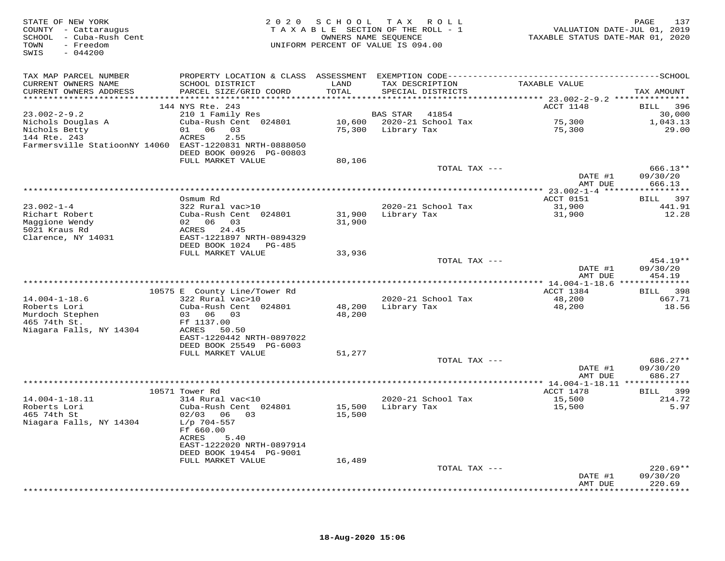| STATE OF NEW YORK<br>COUNTY - Cattaraugus<br>SCHOOL - Cuba-Rush Cent<br>- Freedom<br>TOWN<br>SWIS<br>$-044200$ |                                                                                              | 2020 SCHOOL TAX ROLL<br>TAXABLE SECTION OF THE ROLL - 1<br>OWNERS NAME SEQUENCE<br>UNIFORM PERCENT OF VALUE IS 094.00 |                    |                           | VALUATION DATE-JUL 01, 2019<br>TAXABLE STATUS DATE-MAR 01, 2020 | 137<br>PAGE               |
|----------------------------------------------------------------------------------------------------------------|----------------------------------------------------------------------------------------------|-----------------------------------------------------------------------------------------------------------------------|--------------------|---------------------------|-----------------------------------------------------------------|---------------------------|
| TAX MAP PARCEL NUMBER                                                                                          | PROPERTY LOCATION & CLASS ASSESSMENT EXEMPTION CODE-----------------------------------SCHOOL |                                                                                                                       |                    |                           |                                                                 |                           |
| CURRENT OWNERS NAME                                                                                            | SCHOOL DISTRICT                                                                              | LAND                                                                                                                  | TAX DESCRIPTION    |                           | TAXABLE VALUE                                                   |                           |
| CURRENT OWNERS ADDRESS                                                                                         | PARCEL SIZE/GRID COORD                                                                       | TOTAL                                                                                                                 | SPECIAL DISTRICTS  |                           |                                                                 | TAX AMOUNT                |
|                                                                                                                | 144 NYS Rte. 243                                                                             |                                                                                                                       |                    |                           | ACCT 1148                                                       | 396<br><b>BILL</b>        |
| $23.002 - 2 - 9.2$                                                                                             | 210 1 Family Res                                                                             |                                                                                                                       | <b>BAS STAR</b>    | 41854                     |                                                                 | 30,000                    |
| Nichols Douglas A                                                                                              | Cuba-Rush Cent 024801                                                                        |                                                                                                                       |                    | 10,600 2020-21 School Tax | 75,300<br>75,300                                                | 1,043.13                  |
| Nichols Betty<br>144 Rte. 243                                                                                  | 01 06 03<br>2.55<br>ACRES                                                                    |                                                                                                                       | 75,300 Library Tax |                           |                                                                 | 29.00                     |
| Farmersville StatioonNY 14060 EAST-1220831 NRTH-0888050                                                        |                                                                                              |                                                                                                                       |                    |                           |                                                                 |                           |
|                                                                                                                | DEED BOOK 00926 PG-00803                                                                     |                                                                                                                       |                    |                           |                                                                 |                           |
|                                                                                                                | FULL MARKET VALUE                                                                            | 80,106                                                                                                                |                    |                           |                                                                 |                           |
|                                                                                                                |                                                                                              |                                                                                                                       |                    | TOTAL TAX ---             | DATE #1                                                         | 666.13**<br>09/30/20      |
|                                                                                                                |                                                                                              |                                                                                                                       |                    |                           | AMT DUE                                                         | 666.13                    |
|                                                                                                                | Osmum Rd                                                                                     |                                                                                                                       |                    |                           | ACCT 0151                                                       | 397<br>BILL               |
| $23.002 - 1 - 4$                                                                                               | 322 Rural vac>10                                                                             |                                                                                                                       |                    | 2020-21 School Tax        | 31,900                                                          | 441.91                    |
| Richart Robert                                                                                                 | Cuba-Rush Cent 024801                                                                        | 31,900                                                                                                                | Library Tax        |                           | 31,900                                                          | 12.28                     |
| Maggione Wendy<br>5021 Kraus Rd                                                                                | 02 06 03<br>ACRES 24.45                                                                      | 31,900                                                                                                                |                    |                           |                                                                 |                           |
| Clarence, NY 14031                                                                                             | EAST-1221897 NRTH-0894329                                                                    |                                                                                                                       |                    |                           |                                                                 |                           |
|                                                                                                                | DEED BOOK 1024 PG-485                                                                        |                                                                                                                       |                    |                           |                                                                 |                           |
|                                                                                                                | FULL MARKET VALUE                                                                            | 33,936                                                                                                                |                    |                           |                                                                 |                           |
|                                                                                                                |                                                                                              |                                                                                                                       |                    | TOTAL TAX ---             | DATE #1                                                         | 454.19**<br>09/30/20      |
|                                                                                                                |                                                                                              |                                                                                                                       |                    |                           | AMT DUE                                                         | 454.19                    |
|                                                                                                                |                                                                                              |                                                                                                                       |                    |                           |                                                                 |                           |
|                                                                                                                | 10575 E County Line/Tower Rd                                                                 |                                                                                                                       |                    |                           | ACCT 1384                                                       | 398<br>BILL               |
| $14.004 - 1 - 18.6$<br>Roberts Lori                                                                            | 322 Rural vac>10<br>Cuba-Rush Cent 024801                                                    | 48,200                                                                                                                | Library Tax        | 2020-21 School Tax        | 48,200<br>48,200                                                | 667.71<br>18.56           |
| Murdoch Stephen                                                                                                | 03 06 03                                                                                     | 48,200                                                                                                                |                    |                           |                                                                 |                           |
| 465 74th St.                                                                                                   | Ff 1137.00                                                                                   |                                                                                                                       |                    |                           |                                                                 |                           |
| Niagara Falls, NY 14304                                                                                        | ACRES 50.50                                                                                  |                                                                                                                       |                    |                           |                                                                 |                           |
|                                                                                                                | EAST-1220442 NRTH-0897022<br>DEED BOOK 25549 PG-6003                                         |                                                                                                                       |                    |                           |                                                                 |                           |
|                                                                                                                | FULL MARKET VALUE                                                                            | 51,277                                                                                                                |                    |                           |                                                                 |                           |
|                                                                                                                |                                                                                              |                                                                                                                       |                    | TOTAL TAX ---             |                                                                 | 686.27**                  |
|                                                                                                                |                                                                                              |                                                                                                                       |                    |                           | DATE #1<br>AMT DUE                                              | 09/30/20<br>686.27        |
|                                                                                                                |                                                                                              |                                                                                                                       |                    |                           |                                                                 |                           |
|                                                                                                                | 10571 Tower Rd                                                                               |                                                                                                                       |                    |                           | ACCT 1478                                                       | BILL 399                  |
| $14.004 - 1 - 18.11$                                                                                           | 314 Rural vac<10                                                                             |                                                                                                                       |                    | 2020-21 School Tax        | 15,500                                                          | 214.72                    |
| Roberts Lori<br>465 74th St                                                                                    | Cuba-Rush Cent 024801<br>02/03 06<br>03                                                      | 15,500<br>15,500                                                                                                      | Library Tax        |                           | 15,500                                                          | 5.97                      |
| Niagara Falls, NY 14304                                                                                        | $L/p$ 704-557                                                                                |                                                                                                                       |                    |                           |                                                                 |                           |
|                                                                                                                | Ff 660.00                                                                                    |                                                                                                                       |                    |                           |                                                                 |                           |
|                                                                                                                | ACRES<br>5.40                                                                                |                                                                                                                       |                    |                           |                                                                 |                           |
|                                                                                                                | EAST-1222020 NRTH-0897914<br>DEED BOOK 19454 PG-9001                                         |                                                                                                                       |                    |                           |                                                                 |                           |
|                                                                                                                | FULL MARKET VALUE                                                                            | 16,489                                                                                                                |                    |                           |                                                                 |                           |
|                                                                                                                |                                                                                              |                                                                                                                       |                    | TOTAL TAX ---             |                                                                 | $220.69**$                |
|                                                                                                                |                                                                                              |                                                                                                                       |                    |                           | DATE #1                                                         | 09/30/20                  |
|                                                                                                                |                                                                                              |                                                                                                                       |                    |                           | AMT DUE<br>*************                                        | 220.69<br>* * * * * * * * |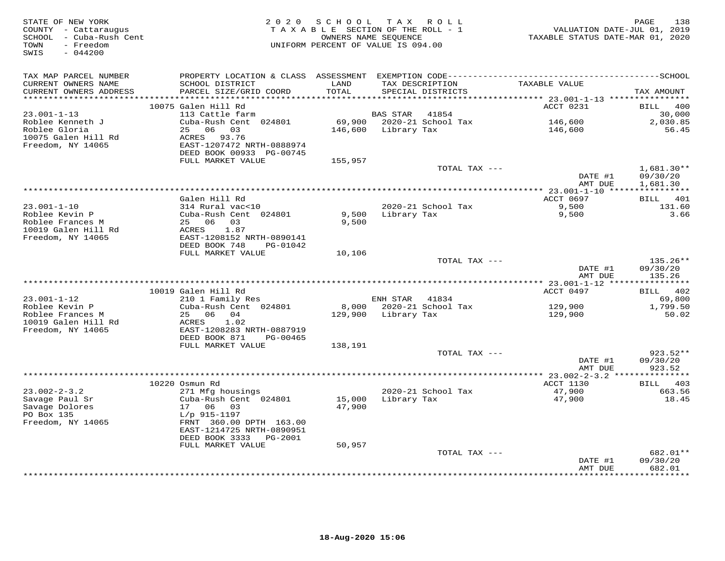| STATE OF NEW YORK<br>COUNTY - Cattaraugus<br>SCHOOL - Cuba-Rush Cent<br>- Freedom<br>TOWN<br>SWIS<br>$-044200$ |                                                                                              |               | 2020 SCHOOL TAX ROLL<br>TAXABLE SECTION OF THE ROLL - 1<br>OWNERS NAME SEQUENCE<br>UNIFORM PERCENT OF VALUE IS 094.00 | VALUATION DATE-JUL 01, 2019<br>TAXABLE STATUS DATE-MAR 01, 2020 | PAGE<br>138              |
|----------------------------------------------------------------------------------------------------------------|----------------------------------------------------------------------------------------------|---------------|-----------------------------------------------------------------------------------------------------------------------|-----------------------------------------------------------------|--------------------------|
| TAX MAP PARCEL NUMBER                                                                                          | PROPERTY LOCATION & CLASS ASSESSMENT EXEMPTION CODE-----------------------------------SCHOOL |               |                                                                                                                       |                                                                 |                          |
| CURRENT OWNERS NAME<br>CURRENT OWNERS ADDRESS<br>***********************                                       | SCHOOL DISTRICT<br>PARCEL SIZE/GRID COORD                                                    | LAND<br>TOTAL | TAX DESCRIPTION<br>SPECIAL DISTRICTS                                                                                  | TAXABLE VALUE                                                   | TAX AMOUNT               |
|                                                                                                                | 10075 Galen Hill Rd                                                                          |               |                                                                                                                       | ACCT 0231                                                       | BILL 400                 |
| $23.001 - 1 - 13$                                                                                              | 113 Cattle farm                                                                              |               | BAS STAR 41854                                                                                                        |                                                                 | 30,000                   |
| Roblee Kenneth J                                                                                               | Cuba-Rush Cent 024801                                                                        |               | 69,900 2020-21 School Tax                                                                                             | 146,600                                                         | 2,030.85                 |
| Roblee Gloria                                                                                                  | 25 06 03                                                                                     |               | 146,600 Library Tax                                                                                                   | 146,600                                                         | 56.45                    |
| 10075 Galen Hill Rd                                                                                            | ACRES 93.76                                                                                  |               |                                                                                                                       |                                                                 |                          |
| Freedom, NY 14065                                                                                              | EAST-1207472 NRTH-0888974                                                                    |               |                                                                                                                       |                                                                 |                          |
|                                                                                                                | DEED BOOK 00933 PG-00745                                                                     |               |                                                                                                                       |                                                                 |                          |
|                                                                                                                | FULL MARKET VALUE                                                                            | 155,957       |                                                                                                                       |                                                                 |                          |
|                                                                                                                |                                                                                              |               | TOTAL TAX ---                                                                                                         | DATE #1                                                         | $1,681.30**$<br>09/30/20 |
|                                                                                                                |                                                                                              |               |                                                                                                                       | AMT DUE                                                         | 1,681.30                 |
|                                                                                                                |                                                                                              |               |                                                                                                                       |                                                                 |                          |
|                                                                                                                | Galen Hill Rd                                                                                |               |                                                                                                                       | ACCT 0697                                                       | BILL 401                 |
| $23.001 - 1 - 10$                                                                                              | 314 Rural vac<10                                                                             |               | 2020-21 School Tax                                                                                                    | 9,500                                                           | 131.60                   |
| Roblee Kevin P                                                                                                 | Cuba-Rush Cent 024801                                                                        | 9,500         | Library Tax                                                                                                           | 9,500                                                           | 3.66                     |
| Roblee Frances M                                                                                               | 25 06 03                                                                                     | 9,500         |                                                                                                                       |                                                                 |                          |
| 10019 Galen Hill Rd                                                                                            | 1.87<br>ACRES                                                                                |               |                                                                                                                       |                                                                 |                          |
| Freedom, NY 14065                                                                                              | EAST-1208152 NRTH-0890141<br>DEED BOOK 748<br>PG-01042                                       |               |                                                                                                                       |                                                                 |                          |
|                                                                                                                | FULL MARKET VALUE                                                                            | 10,106        |                                                                                                                       |                                                                 |                          |
|                                                                                                                |                                                                                              |               | TOTAL TAX ---                                                                                                         |                                                                 | 135.26**                 |
|                                                                                                                |                                                                                              |               |                                                                                                                       | DATE #1                                                         | 09/30/20                 |
|                                                                                                                |                                                                                              |               |                                                                                                                       | AMT DUE                                                         | 135.26                   |
|                                                                                                                |                                                                                              |               |                                                                                                                       |                                                                 |                          |
|                                                                                                                | 10019 Galen Hill Rd                                                                          |               |                                                                                                                       | ACCT 0497                                                       | BILL 402                 |
| $23.001 - 1 - 12$<br>Roblee Kevin P                                                                            | 210 1 Family Res<br>Cuba-Rush Cent 024801                                                    |               | ENH STAR 41834<br>8,000 2020-21 School Tax                                                                            | 129,900                                                         | 69,800<br>1,799.50       |
| Roblee Frances M                                                                                               | 25 06 04                                                                                     |               | 129,900 Library Tax                                                                                                   | 129,900                                                         | 50.02                    |
| 10019 Galen Hill Rd                                                                                            | ACRES<br>1.02                                                                                |               |                                                                                                                       |                                                                 |                          |
| Freedom, NY 14065                                                                                              | EAST-1208283 NRTH-0887919                                                                    |               |                                                                                                                       |                                                                 |                          |
|                                                                                                                | DEED BOOK 871<br>PG-00465                                                                    |               |                                                                                                                       |                                                                 |                          |
|                                                                                                                | FULL MARKET VALUE                                                                            | 138,191       |                                                                                                                       |                                                                 |                          |
|                                                                                                                |                                                                                              |               | TOTAL TAX ---                                                                                                         |                                                                 | 923.52**                 |
|                                                                                                                |                                                                                              |               |                                                                                                                       | DATE #1                                                         | 09/30/20                 |
|                                                                                                                |                                                                                              |               |                                                                                                                       | AMT DUE                                                         | 923.52                   |
|                                                                                                                | 10220 Osmun Rd                                                                               |               |                                                                                                                       | ACCT 1130                                                       | BILL 403                 |
| $23.002 - 2 - 3.2$                                                                                             | 271 Mfg housings                                                                             |               | 2020-21 School Tax                                                                                                    | 47,900                                                          | 663.56                   |
| Savage Paul Sr                                                                                                 | Cuba-Rush Cent 024801                                                                        | 15,000        | Library Tax                                                                                                           | 47,900                                                          | 18.45                    |
| Savage Dolores                                                                                                 | 17 06 03                                                                                     | 47,900        |                                                                                                                       |                                                                 |                          |
| PO Box 135                                                                                                     | L/p 915-1197                                                                                 |               |                                                                                                                       |                                                                 |                          |
| Freedom, NY 14065                                                                                              | FRNT 360.00 DPTH 163.00                                                                      |               |                                                                                                                       |                                                                 |                          |
|                                                                                                                | EAST-1214725 NRTH-0890951                                                                    |               |                                                                                                                       |                                                                 |                          |
|                                                                                                                | DEED BOOK 3333 PG-2001                                                                       | 50,957        |                                                                                                                       |                                                                 |                          |
|                                                                                                                | FULL MARKET VALUE                                                                            |               | TOTAL TAX ---                                                                                                         |                                                                 | 682.01**                 |
|                                                                                                                |                                                                                              |               |                                                                                                                       | DATE #1                                                         | 09/30/20                 |
|                                                                                                                |                                                                                              |               |                                                                                                                       | AMT DUE                                                         | 682.01                   |
|                                                                                                                |                                                                                              |               |                                                                                                                       | **************                                                  | *********                |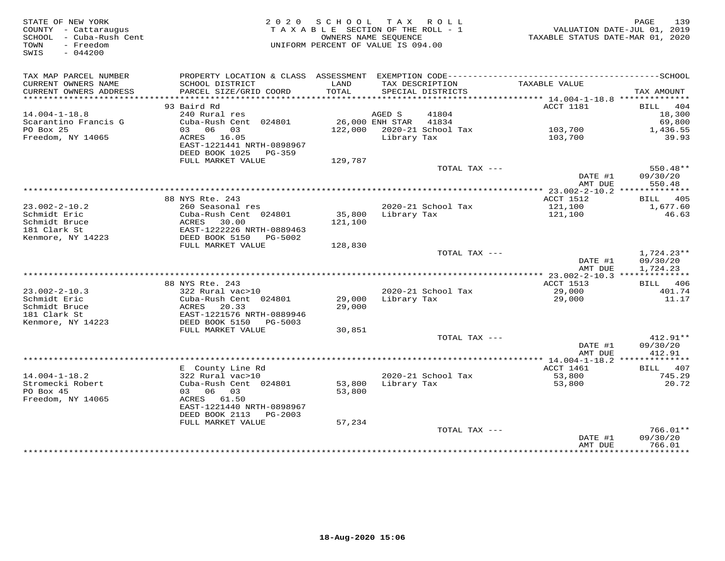| STATE OF NEW YORK<br>COUNTY - Cattaraugus<br>SCHOOL - Cuba-Rush Cent<br>- Freedom<br>TOWN<br>SWIS<br>$-044200$ |                                                    | 2020 SCHOOL TAX ROLL<br>TAXABLE SECTION OF THE ROLL - 1<br>OWNERS NAME SEOUENCE<br>UNIFORM PERCENT OF VALUE IS 094.00 |             |                            | TAXABLE STATUS DATE-MAR 01, 2020 | 139<br>PAGE<br>VALUATION DATE-JUL 01, 2019 |
|----------------------------------------------------------------------------------------------------------------|----------------------------------------------------|-----------------------------------------------------------------------------------------------------------------------|-------------|----------------------------|----------------------------------|--------------------------------------------|
| TAX MAP PARCEL NUMBER<br>CURRENT OWNERS NAME                                                                   | SCHOOL DISTRICT                                    | LAND                                                                                                                  |             | TAX DESCRIPTION            | TAXABLE VALUE                    |                                            |
| CURRENT OWNERS ADDRESS                                                                                         | PARCEL SIZE/GRID COORD                             | TOTAL                                                                                                                 |             | SPECIAL DISTRICTS          |                                  | TAX AMOUNT                                 |
|                                                                                                                |                                                    |                                                                                                                       |             |                            |                                  |                                            |
|                                                                                                                | 93 Baird Rd                                        |                                                                                                                       |             |                            | ACCT 1181                        | 404<br>BILL                                |
| $14.004 - 1 - 18.8$<br>Scarantino Francis G                                                                    | 240 Rural res<br>Cuba-Rush Cent 024801             | 26,000 ENH STAR                                                                                                       | AGED S      | 41804<br>41834             |                                  | 18,300                                     |
| PO Box 25                                                                                                      | 03 06 03                                           |                                                                                                                       |             | 122,000 2020-21 School Tax | 103,700                          | 69,800<br>1,436.55                         |
| Freedom, NY 14065                                                                                              | ACRES 16.05                                        |                                                                                                                       | Library Tax |                            | 103,700                          | 39.93                                      |
|                                                                                                                | EAST-1221441 NRTH-0898967<br>DEED BOOK 1025 PG-359 |                                                                                                                       |             |                            |                                  |                                            |
|                                                                                                                | FULL MARKET VALUE                                  | 129,787                                                                                                               |             |                            |                                  |                                            |
|                                                                                                                |                                                    |                                                                                                                       |             | TOTAL TAX ---              | DATE #1                          | $550.48**$<br>09/30/20                     |
|                                                                                                                |                                                    |                                                                                                                       |             |                            | AMT DUE                          | 550.48                                     |
|                                                                                                                | 88 NYS Rte. 243                                    |                                                                                                                       |             |                            | ACCT 1512                        | BILL 405                                   |
| $23.002 - 2 - 10.2$                                                                                            | 260 Seasonal res                                   |                                                                                                                       |             | 2020-21 School Tax         | 121,100                          | 1,677.60                                   |
| Schmidt Eric                                                                                                   | Cuba-Rush Cent 024801                              | 35,800                                                                                                                | Library Tax |                            | 121,100                          | 46.63                                      |
| Schmidt Bruce                                                                                                  | ACRES<br>30.00                                     | 121,100                                                                                                               |             |                            |                                  |                                            |
| 181 Clark St                                                                                                   | EAST-1222226 NRTH-0889463                          |                                                                                                                       |             |                            |                                  |                                            |
| Kenmore, NY 14223                                                                                              | DEED BOOK 5150 PG-5002                             |                                                                                                                       |             |                            |                                  |                                            |
|                                                                                                                | FULL MARKET VALUE                                  | 128,830                                                                                                               |             | TOTAL TAX ---              |                                  |                                            |
|                                                                                                                |                                                    |                                                                                                                       |             |                            | DATE #1<br>AMT DUE               | $1,724.23**$<br>09/30/20<br>1,724.23       |
|                                                                                                                |                                                    |                                                                                                                       |             |                            |                                  |                                            |
|                                                                                                                | 88 NYS Rte. 243                                    |                                                                                                                       |             |                            | ACCT 1513                        | <b>BILL</b> 406                            |
| $23.002 - 2 - 10.3$                                                                                            | 322 Rural vac>10                                   |                                                                                                                       |             | 2020-21 School Tax         | 29,000                           | 401.74                                     |
| Schmidt Eric                                                                                                   | Cuba-Rush Cent 024801                              | 29,000                                                                                                                | Library Tax |                            | 29,000                           | 11.17                                      |
| Schmidt Bruce<br>181 Clark St                                                                                  | ACRES<br>20.33<br>EAST-1221576 NRTH-0889946        | 29,000                                                                                                                |             |                            |                                  |                                            |
| Kenmore, NY 14223                                                                                              | DEED BOOK 5150 PG-5003                             |                                                                                                                       |             |                            |                                  |                                            |
|                                                                                                                | FULL MARKET VALUE                                  | 30,851                                                                                                                |             |                            |                                  |                                            |
|                                                                                                                |                                                    |                                                                                                                       |             | TOTAL TAX ---              |                                  | $412.91**$                                 |
|                                                                                                                |                                                    |                                                                                                                       |             |                            | DATE #1                          | 09/30/20                                   |
|                                                                                                                |                                                    |                                                                                                                       |             |                            | AMT DUE                          | 412.91                                     |
|                                                                                                                |                                                    |                                                                                                                       |             |                            |                                  |                                            |
| $14.004 - 1 - 18.2$                                                                                            | E County Line Rd<br>322 Rural vac>10               |                                                                                                                       |             | 2020-21 School Tax         | ACCT 1461                        | BILL 407<br>745.29                         |
| Stromecki Robert                                                                                               | Cuba-Rush Cent 024801                              | 53,800                                                                                                                | Library Tax |                            | 53,800<br>53,800                 | 20.72                                      |
| PO Box 45                                                                                                      | 03 06 03                                           | 53,800                                                                                                                |             |                            |                                  |                                            |
| Freedom, NY 14065                                                                                              | ACRES 61.50                                        |                                                                                                                       |             |                            |                                  |                                            |
|                                                                                                                | EAST-1221440 NRTH-0898967                          |                                                                                                                       |             |                            |                                  |                                            |
|                                                                                                                | DEED BOOK 2113 PG-2003                             |                                                                                                                       |             |                            |                                  |                                            |
|                                                                                                                | FULL MARKET VALUE                                  | 57,234                                                                                                                |             |                            |                                  |                                            |
|                                                                                                                |                                                    |                                                                                                                       |             | TOTAL TAX ---              |                                  | $766.01**$                                 |
|                                                                                                                |                                                    |                                                                                                                       |             |                            | DATE #1<br>AMT DUE               | 09/30/20<br>766.01                         |
|                                                                                                                |                                                    |                                                                                                                       |             |                            | **************                   | * * * * * * * * * * *                      |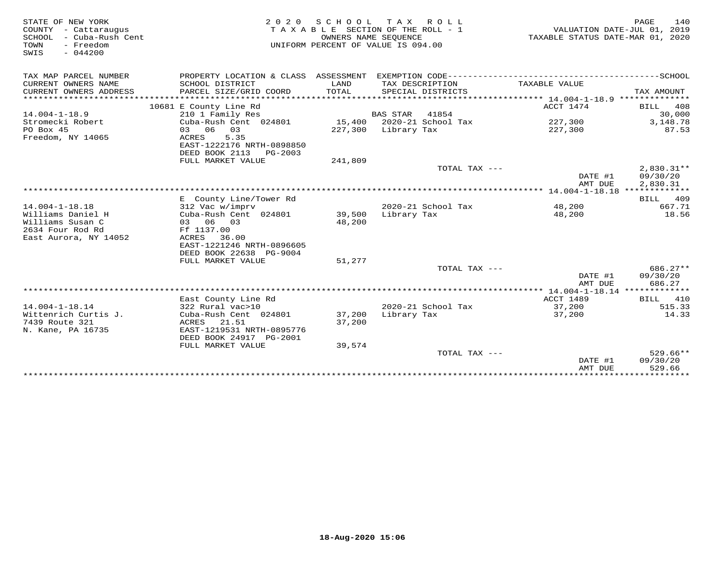| STATE OF NEW YORK<br>COUNTY - Cattaraugus<br>SCHOOL<br>- Cuba-Rush Cent<br>TOWN<br>- Freedom<br>SWIS<br>$-044200$ | 2 0 2 0                                                                 | OWNERS NAME SEQUENCE | SCHOOL TAX ROLL<br>TAXABLE SECTION OF THE ROLL - 1<br>UNIFORM PERCENT OF VALUE IS 094.00 | TAXABLE STATUS DATE-MAR 01, 2020 | 140<br>PAGE<br>VALUATION DATE-JUL 01, 2019 |
|-------------------------------------------------------------------------------------------------------------------|-------------------------------------------------------------------------|----------------------|------------------------------------------------------------------------------------------|----------------------------------|--------------------------------------------|
| TAX MAP PARCEL NUMBER                                                                                             | PROPERTY LOCATION & CLASS ASSESSMENT EXEMPTION CODE-------------------- |                      |                                                                                          |                                  | ----------------SCHOOL                     |
| CURRENT OWNERS NAME<br>CURRENT OWNERS ADDRESS                                                                     | SCHOOL DISTRICT<br>PARCEL SIZE/GRID COORD                               | LAND<br>TOTAL        | TAX DESCRIPTION<br>SPECIAL DISTRICTS                                                     | TAXABLE VALUE                    | TAX AMOUNT                                 |
|                                                                                                                   |                                                                         |                      |                                                                                          |                                  |                                            |
|                                                                                                                   | 10681 E County Line Rd                                                  |                      |                                                                                          | ACCT 1474                        | BILL<br>408                                |
| $14.004 - 1 - 18.9$                                                                                               | 210 1 Family Res                                                        |                      | <b>BAS STAR</b><br>41854                                                                 |                                  | 30,000                                     |
| Stromecki Robert                                                                                                  | Cuba-Rush Cent 024801                                                   |                      | 15,400 2020-21 School Tax                                                                | 227,300                          | 3,148.78                                   |
| PO Box 45                                                                                                         | 03 06<br>03                                                             |                      | 227,300 Library Tax                                                                      | 227,300                          | 87.53                                      |
| Freedom, NY 14065                                                                                                 | ACRES<br>5.35                                                           |                      |                                                                                          |                                  |                                            |
|                                                                                                                   | EAST-1222176 NRTH-0898850                                               |                      |                                                                                          |                                  |                                            |
|                                                                                                                   | DEED BOOK 2113 PG-2003                                                  |                      |                                                                                          |                                  |                                            |
|                                                                                                                   | FULL MARKET VALUE                                                       | 241,809              |                                                                                          |                                  |                                            |
|                                                                                                                   |                                                                         |                      | TOTAL TAX $---$                                                                          |                                  | $2,830.31**$                               |
|                                                                                                                   |                                                                         |                      |                                                                                          | DATE #1                          | 09/30/20                                   |
|                                                                                                                   |                                                                         |                      |                                                                                          | AMT DUE                          | 2,830.31                                   |
|                                                                                                                   |                                                                         |                      |                                                                                          |                                  | BILL 409                                   |
| $14.004 - 1 - 18.18$                                                                                              | E County Line/Tower Rd                                                  |                      | 2020-21 School Tax                                                                       | 48,200                           | 667.71                                     |
|                                                                                                                   | 312 Vac w/imprv                                                         |                      |                                                                                          |                                  |                                            |
| Williams Daniel H<br>Williams Susan C                                                                             | Cuba-Rush Cent 024801                                                   | 39,500               | Library Tax                                                                              | 48,200                           | 18.56                                      |
| 2634 Four Rod Rd                                                                                                  | 03 06 03                                                                | 48,200               |                                                                                          |                                  |                                            |
|                                                                                                                   | Ff 1137.00                                                              |                      |                                                                                          |                                  |                                            |
| East Aurora, NY 14052                                                                                             | ACRES<br>36.00<br>EAST-1221246 NRTH-0896605                             |                      |                                                                                          |                                  |                                            |
|                                                                                                                   | DEED BOOK 22638 PG-9004                                                 |                      |                                                                                          |                                  |                                            |
|                                                                                                                   |                                                                         |                      |                                                                                          |                                  |                                            |
|                                                                                                                   | FULL MARKET VALUE                                                       | 51,277               | TOTAL TAX $---$                                                                          |                                  | $686.27**$                                 |
|                                                                                                                   |                                                                         |                      |                                                                                          | DATE #1                          | 09/30/20                                   |
|                                                                                                                   |                                                                         |                      |                                                                                          | AMT DUE                          | 686.27                                     |
|                                                                                                                   |                                                                         |                      |                                                                                          |                                  |                                            |
|                                                                                                                   | East County Line Rd                                                     |                      |                                                                                          | ACCT 1489                        | 410<br>BILL                                |
| $14.004 - 1 - 18.14$                                                                                              | 322 Rural vac>10                                                        |                      | 2020-21 School Tax                                                                       | 37,200                           | 515.33                                     |
| Wittenrich Curtis J.                                                                                              | Cuba-Rush Cent 024801                                                   | 37,200               | Library Tax                                                                              | 37,200                           | 14.33                                      |
| 7439 Route 321                                                                                                    | ACRES 21.51                                                             | 37,200               |                                                                                          |                                  |                                            |
| N. Kane, PA 16735                                                                                                 | EAST-1219531 NRTH-0895776                                               |                      |                                                                                          |                                  |                                            |
|                                                                                                                   | DEED BOOK 24917 PG-2001                                                 |                      |                                                                                          |                                  |                                            |
|                                                                                                                   | FULL MARKET VALUE                                                       | 39,574               |                                                                                          |                                  |                                            |
|                                                                                                                   |                                                                         |                      | TOTAL TAX $---$                                                                          |                                  | $529.66**$                                 |
|                                                                                                                   |                                                                         |                      |                                                                                          | DATE #1                          | 09/30/20                                   |
|                                                                                                                   |                                                                         |                      |                                                                                          | AMT DUE                          | 529.66                                     |
|                                                                                                                   |                                                                         |                      |                                                                                          |                                  | *********                                  |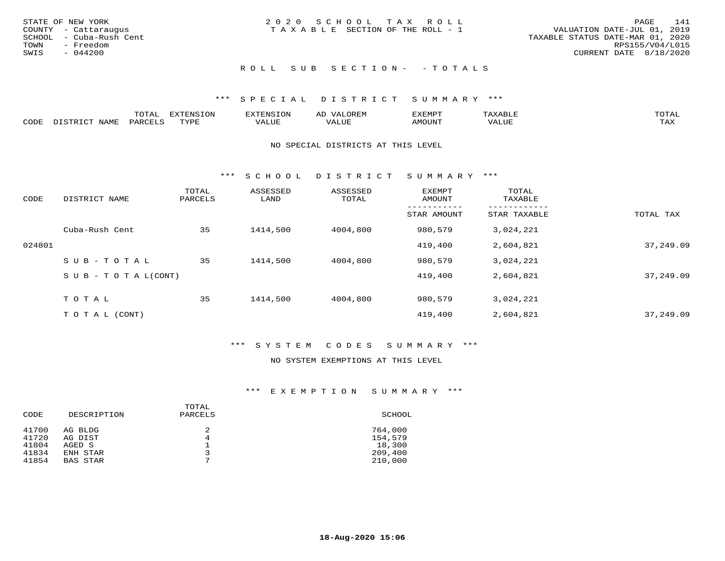|      | STATE OF NEW YORK       | 2020 SCHOOL TAX ROLL                                           | PAGE            | 141 |
|------|-------------------------|----------------------------------------------------------------|-----------------|-----|
|      | COUNTY - Cattaraugus    | VALUATION DATE-JUL 01, 2019<br>TAXABLE SECTION OF THE ROLL - 1 |                 |     |
|      | SCHOOL - Cuba-Rush Cent | TAXABLE STATUS DATE-MAR 01, 2020                               |                 |     |
|      | TOWN - Freedom          |                                                                | RPS155/V04/L015 |     |
| SWIS | - 044200                | CURRENT DATE 8/18/2020                                         |                 |     |
|      |                         |                                                                |                 |     |

# ROLL SUB SECTION - - TOTALS

## \*\*\* S P E C I A L D I S T R I C T S U M M A R Y \*\*\*

|      |      | momn.<br>.UIAL | <b>DIZODALO TOM</b><br><b>1115</b><br>LUP | ר את דר            | ΑL<br>$\cdots$      | EXEMPT        | 'ΔΧΔ<br>AAABLE | momn. |
|------|------|----------------|-------------------------------------------|--------------------|---------------------|---------------|----------------|-------|
| CODE | NAME | 'ARC           | TVDF<br><u>ی ہے</u>                       | <b>TTT</b><br>ALUM | <b>TTT</b><br>7ALUE | <b>TNUOMA</b> | . ALUE         | TAX   |

#### NO SPECIAL DISTRICTS AT THIS LEVEL

\*\*\* S C H O O L D I S T R I C T S U M M A R Y \*\*\*

| CODE   | DISTRICT NAME                    | TOTAL<br>PARCELS | ASSESSED<br>LAND | ASSESSED<br>TOTAL | EXEMPT<br>AMOUNT | TOTAL<br>TAXABLE |           |
|--------|----------------------------------|------------------|------------------|-------------------|------------------|------------------|-----------|
|        |                                  |                  |                  |                   | STAR AMOUNT      | STAR TAXABLE     | TOTAL TAX |
|        | Cuba-Rush Cent                   | 35               | 1414,500         | 4004,800          | 980,579          | 3,024,221        |           |
| 024801 |                                  |                  |                  |                   | 419,400          | 2,604,821        | 37,249.09 |
|        | SUB-TOTAL                        | 35               | 1414,500         | 4004,800          | 980,579          | 3,024,221        |           |
|        | $S \cup B - T \cup T A L (CONT)$ |                  |                  |                   | 419,400          | 2,604,821        | 37,249.09 |
|        | TOTAL                            | 35               | 1414,500         | 4004,800          | 980,579          | 3,024,221        |           |
|        |                                  |                  |                  |                   |                  |                  |           |
|        | T O T A L (CONT)                 |                  |                  |                   | 419,400          | 2,604,821        | 37,249.09 |

## \*\*\* S Y S T E M C O D E S S U M M A R Y \*\*\*

#### NO SYSTEM EXEMPTIONS AT THIS LEVEL

| CODE           | DESCRIPTION        | TOTAL<br>PARCELS | SCHOOL             |
|----------------|--------------------|------------------|--------------------|
| 41700<br>41720 | AG BLDG<br>AG DIST | 2<br>4           | 764,000<br>154,579 |
| 41804          | AGED S             |                  | 18,300             |
| 41834          | ENH STAR           |                  | 209,400            |
| 41854          | BAS STAR           | $\overline{ }$   | 210,000            |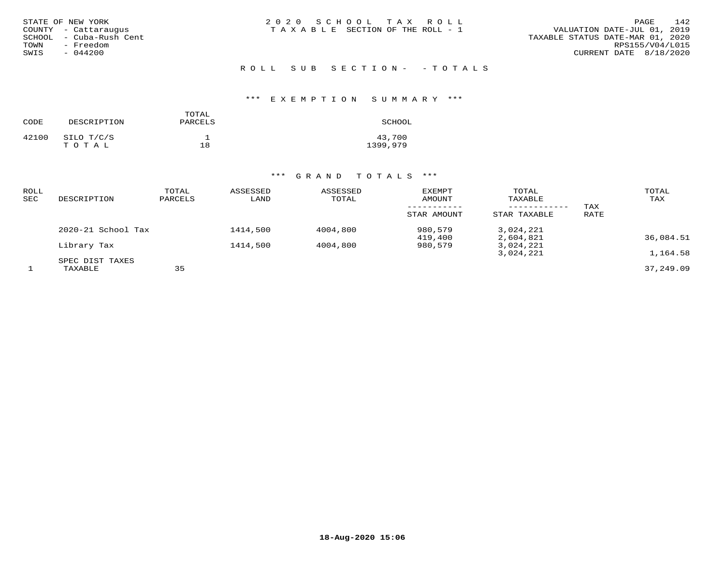| STATE OF NEW YORK       | 2020 SCHOOL TAX ROLL                  | 142<br>PAGE                      |
|-------------------------|---------------------------------------|----------------------------------|
| COUNTY - Cattaraugus    | T A X A B L E SECTION OF THE ROLL - 1 | VALUATION DATE-JUL 01, 2019      |
| SCHOOL - Cuba-Rush Cent |                                       | TAXABLE STATUS DATE-MAR 01, 2020 |
| - Freedom<br>TOWN       |                                       | RPS155/V04/L015                  |
| $-044200$<br>SWIS       |                                       | CURRENT DATE 8/18/2020           |
|                         |                                       |                                  |

ROLL SUB SECTION - - TOTALS

# \*\*\* E X E M P T I O N S U M M A R Y \*\*\*

| CODE  | DESCRIPTION         | TOTAL<br>PARCELS | SCHOOL             |
|-------|---------------------|------------------|--------------------|
| 42100 | SILO T/C/S<br>TOTAL | 18               | 43,700<br>1399,979 |

| ROLL<br>SEC | DESCRIPTION        | TOTAL<br>PARCELS | ASSESSED<br>LAND | ASSESSED<br>TOTAL | <b>EXEMPT</b><br>AMOUNT | TOTAL<br>TAXABLE       | TAX  | TOTAL<br>TAX |
|-------------|--------------------|------------------|------------------|-------------------|-------------------------|------------------------|------|--------------|
|             |                    |                  |                  |                   | STAR AMOUNT             | STAR TAXABLE           | RATE |              |
|             | 2020-21 School Tax |                  | 1414,500         | 4004,800          | 980,579<br>419,400      | 3,024,221<br>2,604,821 |      | 36,084.51    |
|             | Library Tax        |                  | 1414,500         | 4004,800          | 980,579                 | 3,024,221              |      |              |
|             | SPEC DIST TAXES    |                  |                  |                   |                         | 3,024,221              |      | 1,164.58     |
|             | TAXABLE            | 35               |                  |                   |                         |                        |      | 37,249.09    |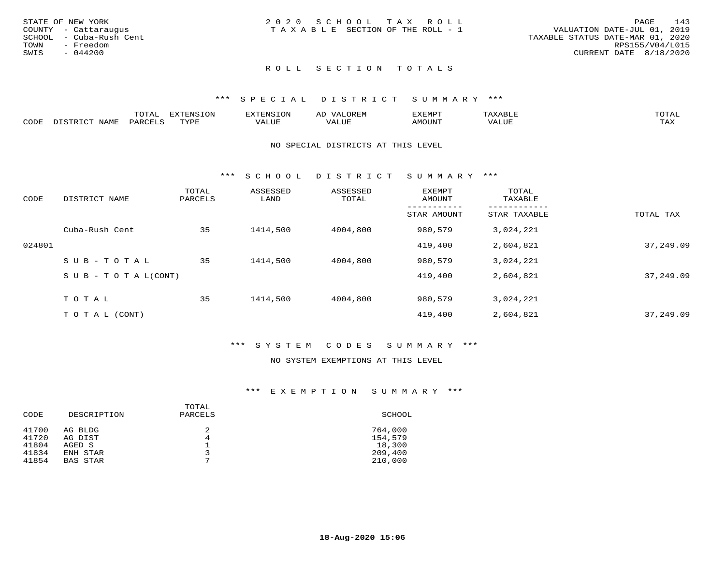| 2020 SCHOOL TAX ROLL<br>STATE OF NEW YORK               | 143<br>PAGE                      |
|---------------------------------------------------------|----------------------------------|
| TAXABLE SECTION OF THE ROLL - 1<br>COUNTY - Cattaraugus | VALUATION DATE-JUL 01, 2019      |
| SCHOOL - Cuba-Rush Cent                                 | TAXABLE STATUS DATE-MAR 01, 2020 |
| TOWN<br>- Freedom                                       | RPS155/V04/L015                  |
| SWIS<br>- 044200                                        | CURRENT DATE 8/18/2020           |
|                                                         |                                  |

# ROLL SECTION TOTALS

#### \*\*\* S P E C I A L D I S T R I C T S U M M A R Y \*\*\*

|      |      | momm<br>LUIAL | $\blacksquare$<br>www<br>.UP | . N.S                | . JR P.IV     | המארד 17<br>ິ<br>⊐ויום∧נ |                |                    |
|------|------|---------------|------------------------------|----------------------|---------------|--------------------------|----------------|--------------------|
| CODE | NAME | . DAD'        | TVDI<br>.                    | 77\TTTT<br>الالالدين | T T T<br>ALUI | AMOUNT                   | T T T T<br>′ △ | $m \times r$<br>∸⊷ |

#### NO SPECIAL DISTRICTS AT THIS LEVEL

\*\*\* S C H O O L D I S T R I C T S U M M A R Y \*\*\*

| CODE   | DISTRICT NAME                    | TOTAL<br>PARCELS | ASSESSED<br>LAND | ASSESSED<br>TOTAL | EXEMPT<br>AMOUNT | TOTAL<br>TAXABLE |           |
|--------|----------------------------------|------------------|------------------|-------------------|------------------|------------------|-----------|
|        |                                  |                  |                  |                   | STAR AMOUNT      | STAR TAXABLE     | TOTAL TAX |
|        | Cuba-Rush Cent                   | 35               | 1414,500         | 4004,800          | 980,579          | 3,024,221        |           |
| 024801 |                                  |                  |                  |                   | 419,400          | 2,604,821        | 37,249.09 |
|        | SUB-TOTAL                        | 35               | 1414,500         | 4004,800          | 980,579          | 3,024,221        |           |
|        | $S \cup B - T \cup T A L (CONT)$ |                  |                  |                   | 419,400          | 2,604,821        | 37,249.09 |
|        | TOTAL                            | 35               | 1414,500         | 4004,800          | 980,579          | 3,024,221        |           |
|        |                                  |                  |                  |                   |                  |                  |           |
|        | T O T A L (CONT)                 |                  |                  |                   | 419,400          | 2,604,821        | 37,249.09 |

#### \*\*\* S Y S T E M C O D E S S U M M A R Y \*\*\*

### NO SYSTEM EXEMPTIONS AT THIS LEVEL

| CODE  | DESCRIPTION     | TOTAL<br>PARCELS | SCHOOL  |
|-------|-----------------|------------------|---------|
| 41700 | AG BLDG         | 2                | 764,000 |
| 41720 | AG DIST         | 4                | 154,579 |
| 41804 | AGED S          | $\overline{ }$   | 18,300  |
| 41834 | ENH STAR        |                  | 209,400 |
| 41854 | <b>BAS STAR</b> |                  | 210,000 |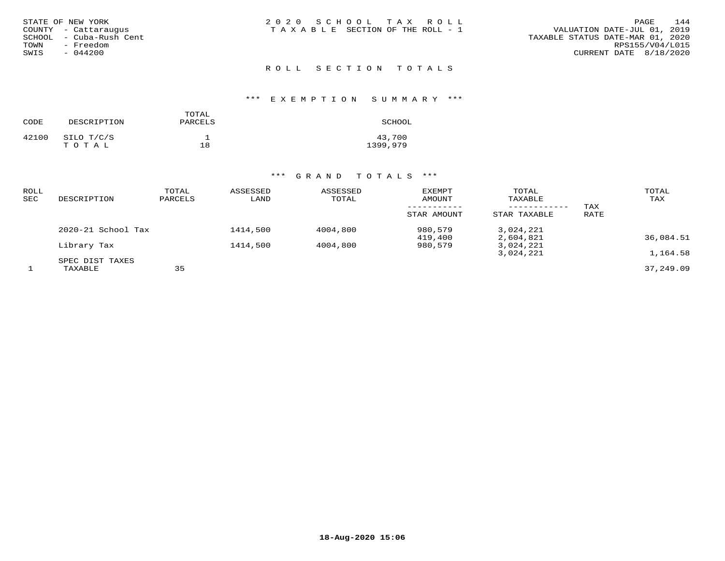| STATE OF NEW YORK<br>COUNTY - Cattaraugus<br>SCHOOL - Cuba-Rush Cent<br>- Freedom<br>TOWN<br>$-044200$<br>SWIS | 2020 SCHOOL TAX ROLL<br>TAXABLE SECTION OF THE ROLL - 1 | 144<br>PAGE<br>VALUATION DATE-JUL 01, 2019<br>TAXABLE STATUS DATE-MAR 01, 2020<br>RPS155/V04/L015<br>CURRENT DATE 8/18/2020 |
|----------------------------------------------------------------------------------------------------------------|---------------------------------------------------------|-----------------------------------------------------------------------------------------------------------------------------|
|                                                                                                                | ROLL SECTION TOTALS                                     |                                                                                                                             |

### \*\*\* E X E M P T I O N S U M M A R Y \*\*\*

| CODE  | DESCRIPTION         | TOTAL<br>PARCELS | SCHOOL             |
|-------|---------------------|------------------|--------------------|
| 42100 | SILO T/C/S<br>тотаь | 18               | 43,700<br>1399,979 |

| ROLL<br>SEC | DESCRIPTION        | TOTAL<br>PARCELS | ASSESSED<br>LAND | ASSESSED<br>TOTAL | <b>EXEMPT</b><br>AMOUNT | TOTAL<br>TAXABLE<br>---------- | TAX  | TOTAL<br>TAX |
|-------------|--------------------|------------------|------------------|-------------------|-------------------------|--------------------------------|------|--------------|
|             |                    |                  |                  |                   | STAR AMOUNT             | STAR TAXABLE                   | RATE |              |
|             | 2020-21 School Tax |                  | 1414,500         | 4004,800          | 980,579<br>419,400      | 3,024,221<br>2,604,821         |      | 36,084.51    |
|             | Library Tax        |                  | 1414,500         | 4004,800          | 980,579                 | 3,024,221                      |      |              |
|             | SPEC DIST TAXES    |                  |                  |                   |                         | 3,024,221                      |      | 1,164.58     |
|             | TAXABLE            | 35               |                  |                   |                         |                                |      | 37,249.09    |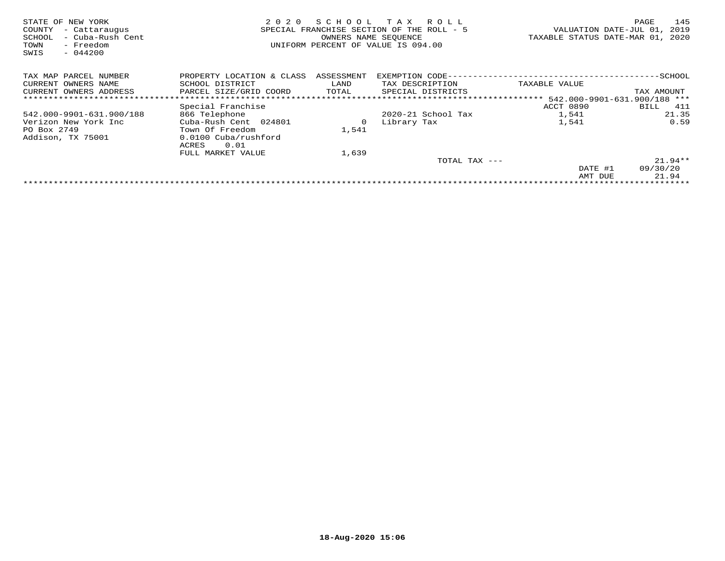| STATE OF NEW YORK<br>COUNTY<br>- Cattaraugus<br>- Cuba-Rush Cent<br>SCHOOL<br>TOWN<br>- Freedom<br>$-044200$<br>SWIS | 2020                      | SCHOOL<br>SPECIAL FRANCHISE SECTION OF THE<br>OWNERS NAME SEQUENCE | тах<br>R O L L<br>$ROI.I. = 5$<br>UNIFORM PERCENT OF VALUE IS 094.00 | VALUATION DATE-JUL 01,<br>TAXABLE STATUS DATE-MAR 01, | 145<br>PAGE<br>2019<br>2020 |
|----------------------------------------------------------------------------------------------------------------------|---------------------------|--------------------------------------------------------------------|----------------------------------------------------------------------|-------------------------------------------------------|-----------------------------|
| TAX MAP PARCEL NUMBER                                                                                                | PROPERTY LOCATION & CLASS | ASSESSMENT                                                         | EXEMPTION CODE--                                                     |                                                       | $-$ SCHOOL                  |
| CURRENT OWNERS NAME                                                                                                  | SCHOOL DISTRICT           | LAND                                                               | TAX DESCRIPTION                                                      | TAXABLE VALUE                                         |                             |
| CURRENT OWNERS ADDRESS                                                                                               | PARCEL SIZE/GRID COORD    | TOTAL                                                              | SPECIAL DISTRICTS                                                    |                                                       | TAX AMOUNT                  |
|                                                                                                                      |                           |                                                                    |                                                                      | ********************* 542.000-9901-631.900/188 ***    |                             |
|                                                                                                                      | Special Franchise         |                                                                    |                                                                      | ACCT 0890                                             | 411<br>BILL                 |
| 542.000-9901-631.900/188                                                                                             | 866 Telephone             |                                                                    | 2020-21 School Tax                                                   | 1,541                                                 | 21.35                       |
| Verizon New York Inc                                                                                                 | Cuba-Rush Cent 024801     | 0                                                                  | Library Tax                                                          | 1,541                                                 | 0.59                        |
| PO Box 2749                                                                                                          | Town Of Freedom           | 1,541                                                              |                                                                      |                                                       |                             |
| Addison, TX 75001                                                                                                    | 0.0100 Cuba/rushford      |                                                                    |                                                                      |                                                       |                             |
|                                                                                                                      | 0.01<br>ACRES             |                                                                    |                                                                      |                                                       |                             |
|                                                                                                                      | FULL MARKET VALUE         | 1,639                                                              |                                                                      |                                                       |                             |
|                                                                                                                      |                           |                                                                    | TOTAL TAX ---                                                        |                                                       | $21.94**$                   |
|                                                                                                                      |                           |                                                                    |                                                                      | DATE #1                                               | 09/30/20                    |
|                                                                                                                      |                           |                                                                    |                                                                      | AMT DUE                                               | 21.94                       |
|                                                                                                                      |                           |                                                                    |                                                                      |                                                       |                             |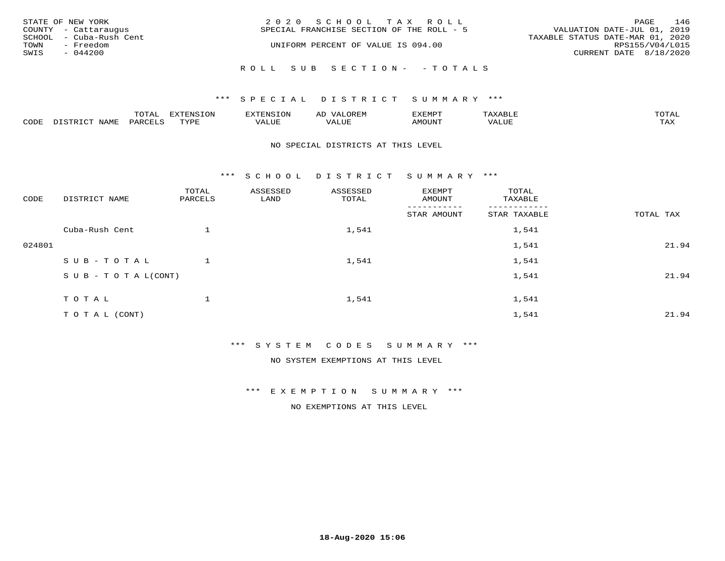| STATE OF NEW YORK<br>COUNTY - Cattaraugus | 2020 SCHOOL TAX ROLL<br>SPECIAL FRANCHISE SECTION OF THE ROLL - 5 | 146<br>PAGE<br>VALUATION DATE-JUL 01, 2019 |
|-------------------------------------------|-------------------------------------------------------------------|--------------------------------------------|
| SCHOOL - Cuba-Rush Cent                   |                                                                   | TAXABLE STATUS DATE-MAR 01, 2020           |
| TOWN<br>- Freedom<br>SWIS<br>$-044200$    | UNIFORM PERCENT OF VALUE IS 094.00                                | RPS155/V04/L015<br>CURRENT DATE 8/18/2020  |
|                                           | ROLL SUB SECTION- - TOTALS                                        |                                            |

### \*\*\* SPECIAL DISTRICT SUMMARY \*\*\*

|                         |      | m^m |      | 'NT C     |           | ∟ו∨ו          |              |                             |
|-------------------------|------|-----|------|-----------|-----------|---------------|--------------|-----------------------------|
| $\bigcap_{\Pi}$<br>◡◡◡ュ | мдмь |     | TVDF | ۳۰ تاللاد | $- - - -$ | 550T<br>IUUN. | ALUE<br>77 T | $m \times r$<br>- - - - - - |

### NO SPECIAL DISTRICTS AT THIS LEVEL

\*\*\* S C H O O L D I S T R I C T S U M M A R Y \*\*\*

| CODE   | DISTRICT NAME                    | TOTAL<br>PARCELS | ASSESSED<br>LAND | ASSESSED<br>TOTAL | EXEMPT<br>AMOUNT | TOTAL<br>TAXABLE |           |
|--------|----------------------------------|------------------|------------------|-------------------|------------------|------------------|-----------|
|        |                                  |                  |                  |                   | STAR AMOUNT      | STAR TAXABLE     | TOTAL TAX |
|        | Cuba-Rush Cent                   |                  |                  | 1,541             |                  | 1,541            |           |
| 024801 |                                  |                  |                  |                   |                  | 1,541            | 21.94     |
|        | SUB-TOTAL                        |                  |                  | 1,541             |                  | 1,541            |           |
|        | $S \cup B - T \cup T A L (CONT)$ |                  |                  |                   |                  | 1,541            | 21.94     |
|        | TOTAL                            | ᅩ                |                  | 1,541             |                  | 1,541            |           |
|        | T O T A L (CONT)                 |                  |                  |                   |                  | 1,541            | 21.94     |

\*\*\* S Y S T E M C O D E S S U M M A R Y \*\*\*

NO SYSTEM EXEMPTIONS AT THIS LEVEL

\*\*\* E X E M P T I O N S U M M A R Y \*\*\*

NO EXEMPTIONS AT THIS LEVEL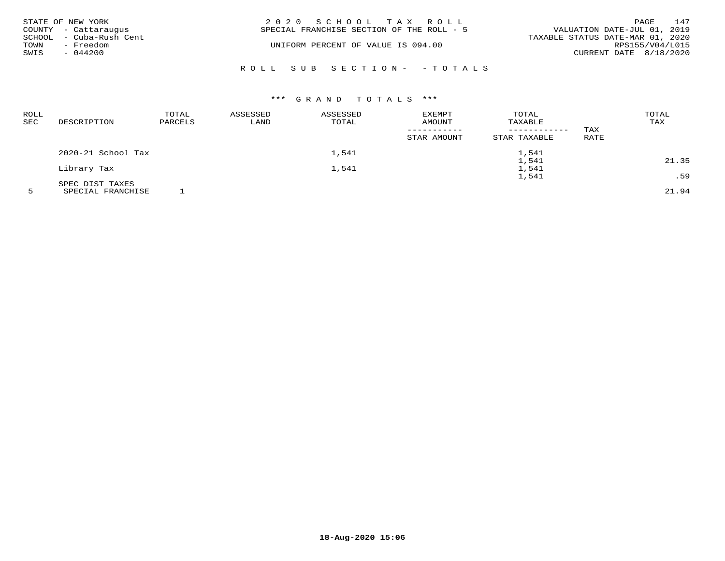|      | STATE OF NEW YORK                               | 2020 SCHOOL TAX ROLL                      | PAGE                                                            | 147             |
|------|-------------------------------------------------|-------------------------------------------|-----------------------------------------------------------------|-----------------|
|      | COUNTY - Cattaraugus<br>SCHOOL - Cuba-Rush Cent | SPECIAL FRANCHISE SECTION OF THE ROLL - 5 | VALUATION DATE-JUL 01, 2019<br>TAXABLE STATUS DATE-MAR 01, 2020 |                 |
| TOWN | - Freedom                                       | UNIFORM PERCENT OF VALUE IS 094.00        |                                                                 | RPS155/V04/L015 |
| SWIS | $-044200$                                       |                                           | CURRENT DATE 8/18/2020                                          |                 |
|      |                                                 | ROLL SUB SECTION- - TOTALS                |                                                                 |                 |

| <b>ROLL</b><br><b>SEC</b> | DESCRIPTION        | TOTAL<br>PARCELS | ASSESSED<br>LAND | ASSESSED<br>TOTAL | EXEMPT<br>AMOUNT<br>_ _ _ _ _ _ _ _ _ _ _<br>STAR AMOUNT | TOTAL<br>TAXABLE<br>------------<br>STAR TAXABLE | TAX<br>RATE | TOTAL<br>TAX |
|---------------------------|--------------------|------------------|------------------|-------------------|----------------------------------------------------------|--------------------------------------------------|-------------|--------------|
|                           | 2020-21 School Tax |                  |                  | 1,541             |                                                          | 1,541                                            |             |              |
|                           |                    |                  |                  |                   |                                                          | 1,541                                            |             | 21.35        |
|                           | Library Tax        |                  |                  | 1,541             |                                                          | 1,541                                            |             |              |
|                           |                    |                  |                  |                   |                                                          | 1,541                                            |             | .59          |
|                           | SPEC DIST TAXES    |                  |                  |                   |                                                          |                                                  |             |              |

5 SPECIAL FRANCHISE 1 21.94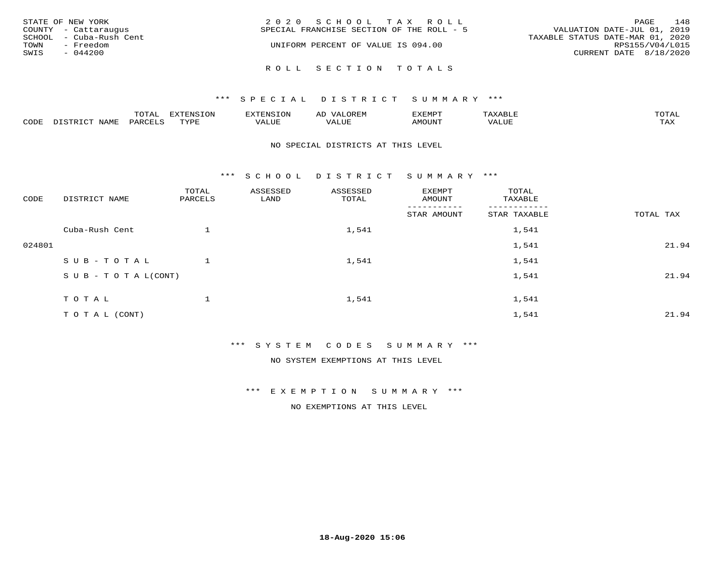|              | STATE OF NEW YORK<br>COUNTY - Cattaraugus<br>SCHOOL - Cuba-Rush Cent | 2020 SCHOOL TAX ROLL<br>VALUATION DATE-JUL 01, 2019<br>SPECIAL FRANCHISE SECTION OF THE ROLL - 5<br>TAXABLE STATUS DATE-MAR 01, 2020 | PAGE                                      | 148 |
|--------------|----------------------------------------------------------------------|--------------------------------------------------------------------------------------------------------------------------------------|-------------------------------------------|-----|
| TOWN<br>SWIS | - Freedom<br>$-044200$                                               | UNIFORM PERCENT OF VALUE IS 094.00<br>ROLL SECTION TOTALS                                                                            | RPS155/V04/L015<br>CURRENT DATE 8/18/2020 |     |

### \*\*\* S P E C I A L D I S T R I C T S U M M A R Y \*\*\*

|                  |              | $m \wedge m$ |      | FNT C                                   | AL                         | <u>'</u> XEMPT |       | $m \wedge m \wedge n$ |
|------------------|--------------|--------------|------|-----------------------------------------|----------------------------|----------------|-------|-----------------------|
| C <sub>CDI</sub> | $ -$<br>NAME | PARO         | TVDF | ,, , ,, <del>,</del><br>▵<br>۳۰ تابلد ک | , <del>,</del> , , , , , , | $\cdots$       | VALUE | $m \times r$<br>- −-  |

#### NO SPECIAL DISTRICTS AT THIS LEVEL

\*\*\* S C H O O L D I S T R I C T S U M M A R Y \*\*\*

| CODE   | DISTRICT NAME                    | TOTAL<br>PARCELS | ASSESSED<br>LAND | ASSESSED<br>TOTAL | EXEMPT<br>AMOUNT | TOTAL<br>TAXABLE |           |
|--------|----------------------------------|------------------|------------------|-------------------|------------------|------------------|-----------|
|        |                                  |                  |                  |                   | STAR AMOUNT      | STAR TAXABLE     | TOTAL TAX |
|        | Cuba-Rush Cent                   |                  |                  | 1,541             |                  | 1,541            |           |
| 024801 |                                  |                  |                  |                   |                  | 1,541            | 21.94     |
|        | SUB-TOTAL                        |                  |                  | 1,541             |                  | 1,541            |           |
|        | $S \cup B - T \cup T A L (CONT)$ |                  |                  |                   |                  | 1,541            | 21.94     |
|        | TOTAL                            |                  |                  | 1,541             |                  | 1,541            |           |
|        | TO TAL (CONT)                    |                  |                  |                   |                  | 1,541            | 21.94     |

\*\*\* S Y S T E M C O D E S S U M M A R Y \*\*\*

NO SYSTEM EXEMPTIONS AT THIS LEVEL

\*\*\* E X E M P T I O N S U M M A R Y \*\*\*

NO EXEMPTIONS AT THIS LEVEL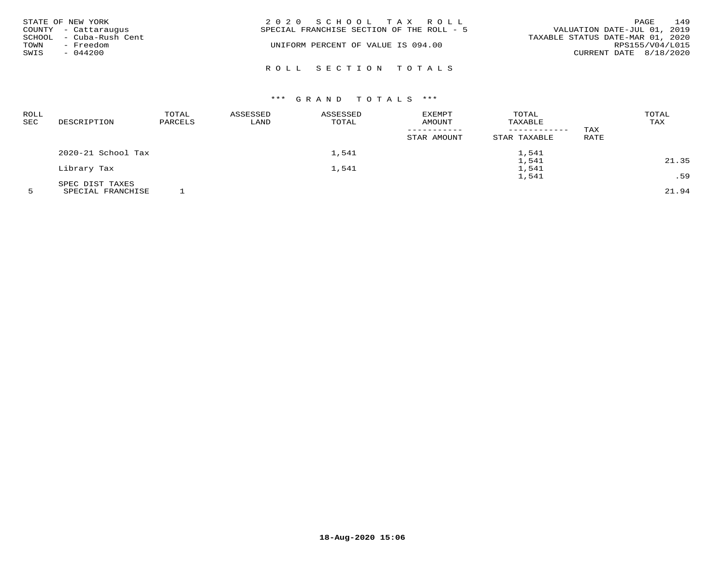|      | STATE OF NEW YORK<br>COUNTY - Cattaraugus | 2020 SCHOOL TAX ROLL<br>SPECIAL FRANCHISE SECTION OF THE ROLL - 5 | VALUATION DATE-JUL 01, 2019      | PAGE | 149 |
|------|-------------------------------------------|-------------------------------------------------------------------|----------------------------------|------|-----|
|      | SCHOOL - Cuba-Rush Cent                   |                                                                   | TAXABLE STATUS DATE-MAR 01, 2020 |      |     |
| TOWN | - Freedom                                 | UNIFORM PERCENT OF VALUE IS 094.00                                | RPS155/V04/L015                  |      |     |
| SWIS | $-044200$                                 |                                                                   | CURRENT DATE 8/18/2020           |      |     |
|      |                                           |                                                                   |                                  |      |     |
|      |                                           | ROLL SECTION TOTALS                                               |                                  |      |     |

| <b>ROLL</b><br><b>SEC</b> | DESCRIPTION        | TOTAL<br>PARCELS | ASSESSED<br>LAND | ASSESSED<br>TOTAL | EXEMPT<br>AMOUNT           | TOTAL<br>TAXABLE             |             | TOTAL<br>TAX |
|---------------------------|--------------------|------------------|------------------|-------------------|----------------------------|------------------------------|-------------|--------------|
|                           |                    |                  |                  |                   | -----------<br>STAR AMOUNT | ------------<br>STAR TAXABLE | TAX<br>RATE |              |
|                           | 2020-21 School Tax |                  |                  | 1,541             |                            | 1,541                        |             |              |
|                           |                    |                  |                  |                   |                            | 1,541                        |             | 21.35        |
|                           | Library Tax        |                  |                  | 1,541             |                            | 1,541                        |             |              |
|                           |                    |                  |                  |                   |                            | 1,541                        |             | .59          |
|                           | SPEC DIST TAXES    |                  |                  |                   |                            |                              |             |              |
|                           |                    |                  |                  |                   |                            |                              |             |              |

5 SPECIAL FRANCHISE 1 21.94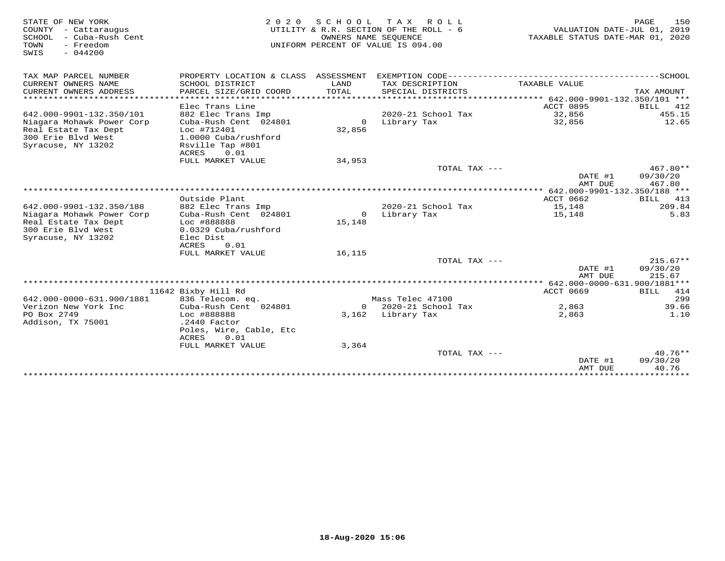| STATE OF NEW YORK<br>COUNTY - Cattaraugus<br>SCHOOL - Cuba-Rush Cent<br>TOWN<br>- Freedom<br>SWIS<br>$-044200$ | 2 0 2 0                                   | OWNERS NAME SEQUENCE | SCHOOL TAX ROLL<br>UTILITY & R.R. SECTION OF THE ROLL - 6<br>UNIFORM PERCENT OF VALUE IS 094.00 | VALUATION DATE-JUL 01, 2019<br>TAXABLE STATUS DATE-MAR 01, 2020 | PAGE                  | 150        |
|----------------------------------------------------------------------------------------------------------------|-------------------------------------------|----------------------|-------------------------------------------------------------------------------------------------|-----------------------------------------------------------------|-----------------------|------------|
| TAX MAP PARCEL NUMBER                                                                                          | PROPERTY LOCATION & CLASS ASSESSMENT      |                      | EXEMPTION CODE-------------------                                                               |                                                                 | ---------------SCHOOL |            |
| CURRENT OWNERS NAME<br>CURRENT OWNERS ADDRESS                                                                  | SCHOOL DISTRICT<br>PARCEL SIZE/GRID COORD | LAND<br>TOTAL        | TAX DESCRIPTION<br>SPECIAL DISTRICTS                                                            | TAXABLE VALUE                                                   | TAX AMOUNT            |            |
| ************************                                                                                       |                                           |                      |                                                                                                 |                                                                 |                       |            |
|                                                                                                                | Elec Trans Line                           |                      |                                                                                                 | ACCT 0895                                                       | BILL                  | 412        |
| 642.000-9901-132.350/101                                                                                       | 882 Elec Trans Imp                        |                      | 2020-21 School Tax                                                                              | 32,856                                                          |                       | 455.15     |
| Niagara Mohawk Power Corp<br>Real Estate Tax Dept                                                              | Cuba-Rush Cent 024801<br>Loc #712401      | 32,856               | 0 Library Tax                                                                                   | 32,856                                                          |                       | 12.65      |
| 300 Erie Blyd West                                                                                             | 1.0000 Cuba/rushford                      |                      |                                                                                                 |                                                                 |                       |            |
| Syracuse, NY 13202                                                                                             | Rsville Tap #801                          |                      |                                                                                                 |                                                                 |                       |            |
|                                                                                                                | ACRES<br>0.01                             |                      |                                                                                                 |                                                                 |                       |            |
|                                                                                                                | FULL MARKET VALUE                         | 34,953               |                                                                                                 |                                                                 |                       |            |
|                                                                                                                |                                           |                      | TOTAL TAX ---                                                                                   |                                                                 |                       | $467.80**$ |
|                                                                                                                |                                           |                      |                                                                                                 | DATE #1                                                         | 09/30/20              |            |
|                                                                                                                |                                           |                      |                                                                                                 | AMT DUE                                                         |                       | 467.80     |
|                                                                                                                |                                           |                      |                                                                                                 |                                                                 |                       |            |
|                                                                                                                | Outside Plant                             |                      |                                                                                                 | ACCT 0662                                                       |                       | BILL 413   |
| 642.000-9901-132.350/188                                                                                       | 882 Elec Trans Imp                        |                      | 2020-21 School Tax                                                                              | 15,148                                                          |                       | 209.84     |
| Niagara Mohawk Power Corp                                                                                      | Cuba-Rush Cent 024801                     | $\Omega$             | Library Tax                                                                                     | 15,148                                                          |                       | 5.83       |
| Real Estate Tax Dept                                                                                           | Loc #888888                               | 15,148               |                                                                                                 |                                                                 |                       |            |
| 300 Erie Blvd West                                                                                             | 0.0329 Cuba/rushford                      |                      |                                                                                                 |                                                                 |                       |            |
| Syracuse, NY 13202                                                                                             | Elec Dist                                 |                      |                                                                                                 |                                                                 |                       |            |
|                                                                                                                | 0.01<br>ACRES                             |                      |                                                                                                 |                                                                 |                       |            |
|                                                                                                                | FULL MARKET VALUE                         | 16,115               | TOTAL TAX $---$                                                                                 |                                                                 |                       | $215.67**$ |
|                                                                                                                |                                           |                      |                                                                                                 | DATE #1                                                         | 09/30/20              |            |
|                                                                                                                |                                           |                      |                                                                                                 | AMT DUE                                                         |                       | 215.67     |
|                                                                                                                |                                           |                      |                                                                                                 |                                                                 |                       |            |
|                                                                                                                | 11642 Bixby Hill Rd                       |                      |                                                                                                 | ACCT 0669                                                       |                       | BILL 414   |
| 642.000-0000-631.900/1881                                                                                      | 836 Telecom. eq.                          |                      | Mass Telec 47100                                                                                |                                                                 |                       | 299        |
| Verizon New York Inc                                                                                           | Cuba-Rush Cent 024801                     |                      | 0 2020-21 School Tax                                                                            | 2,863                                                           |                       | 39.66      |
| PO Box 2749                                                                                                    | Loc #888888                               |                      | 3,162 Library Tax                                                                               | 2,863                                                           |                       | 1.10       |
| Addison, TX 75001                                                                                              | $.2440$ Factor                            |                      |                                                                                                 |                                                                 |                       |            |
|                                                                                                                | Poles, Wire, Cable, Etc                   |                      |                                                                                                 |                                                                 |                       |            |
|                                                                                                                | ACRES<br>0.01                             |                      |                                                                                                 |                                                                 |                       |            |
|                                                                                                                | FULL MARKET VALUE                         | 3,364                |                                                                                                 |                                                                 |                       |            |
|                                                                                                                |                                           |                      | TOTAL TAX $---$                                                                                 |                                                                 |                       | $40.76**$  |
|                                                                                                                |                                           |                      |                                                                                                 | DATE #1                                                         | 09/30/20              |            |
|                                                                                                                |                                           |                      |                                                                                                 | AMT DUE                                                         | ***********           | 40.76      |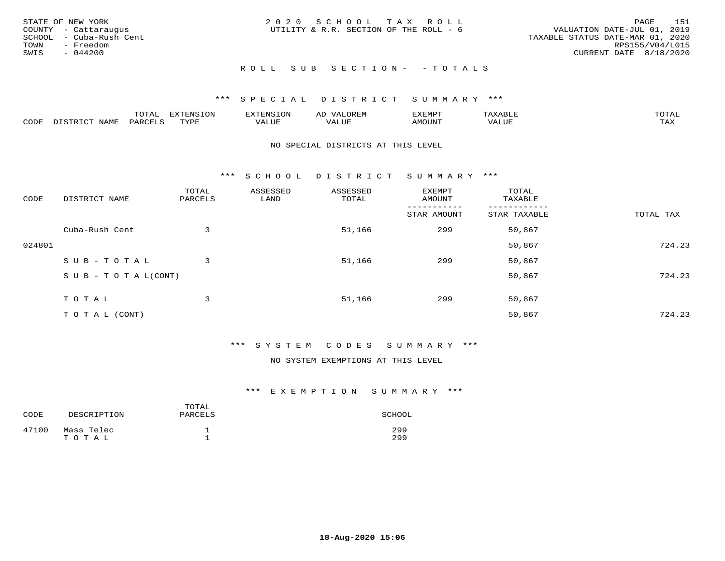| STATE OF NEW YORK<br>COUNTY - Cattaraugus<br>SCHOOL - Cuba-Rush Cent<br>TOWN<br>- Freedom<br>SWIS<br>$-044200$ | 2020 SCHOOL TAX ROLL<br>UTILITY & R.R. SECTION OF THE ROLL - 6 | 151<br>PAGE<br>VALUATION DATE-JUL 01, 2019<br>TAXABLE STATUS DATE-MAR 01, 2020<br>RPS155/V04/L015<br>CURRENT DATE 8/18/2020 |
|----------------------------------------------------------------------------------------------------------------|----------------------------------------------------------------|-----------------------------------------------------------------------------------------------------------------------------|
|                                                                                                                | ROLL SUB SECTION- - TOTALS                                     |                                                                                                                             |

### \*\*\* S P E C I A L D I S T R I C T S U M M A R Y \*\*\*

|      |      | mom n<br>-777 | pszmpato<br>$ \sim$ $\sim$<br>-UP | AL.         | ,,, <del>,</del> ,,, <del>,</del> ,<br>້ |                         | $m \wedge m \wedge n$ |
|------|------|---------------|-----------------------------------|-------------|------------------------------------------|-------------------------|-----------------------|
| CODE | ⊥'⊥⊥ | PARO          | TVDF                              | ۳۰ تا سند د | <b>MOTTNT</b>                            | - ---<br>$'$ $\Delta$ . | $m \times r$<br>- −-  |

#### NO SPECIAL DISTRICTS AT THIS LEVEL

\*\*\* S C H O O L D I S T R I C T S U M M A R Y \*\*\*

| CODE   | DISTRICT NAME                    | TOTAL<br>PARCELS | ASSESSED<br>LAND | ASSESSED<br>TOTAL | EXEMPT<br>AMOUNT | TOTAL<br>TAXABLE |           |
|--------|----------------------------------|------------------|------------------|-------------------|------------------|------------------|-----------|
|        |                                  |                  |                  |                   | STAR AMOUNT      | STAR TAXABLE     | TOTAL TAX |
|        | Cuba-Rush Cent                   | 3                |                  | 51,166            | 299              | 50,867           |           |
| 024801 |                                  |                  |                  |                   |                  | 50,867           | 724.23    |
|        | SUB-TOTAL                        | 3                |                  | 51,166            | 299              | 50,867           |           |
|        | $S \cup B - T \cup T A L (CONT)$ |                  |                  |                   |                  | 50,867           | 724.23    |
|        | TOTAL                            | 3                |                  | 51,166            | 299              | 50,867           |           |
|        | T O T A L (CONT)                 |                  |                  |                   |                  | 50,867           | 724.23    |

### \*\*\* S Y S T E M C O D E S S U M M A R Y \*\*\*

### NO SYSTEM EXEMPTIONS AT THIS LEVEL

### \*\*\* E X E M P T I O N S U M M A R Y \*\*\*

| CODE  | DESCRIPTION         | TOTAL<br>PARCELS | SCHOOL     |
|-------|---------------------|------------------|------------|
| 47100 | Mass Telec<br>TOTAL |                  | 299<br>299 |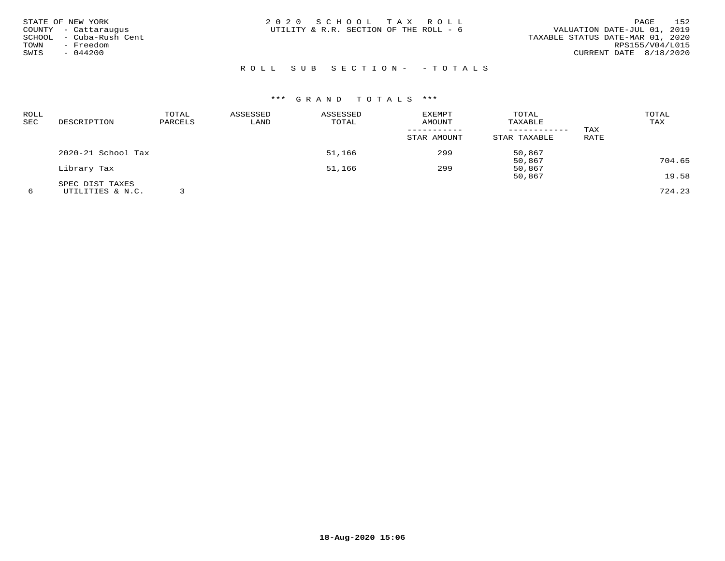| STATE OF NEW YORK<br>COUNTY - Cattaraugus<br>TOWN | SCHOOL - Cuba-Rush Cent<br>- Freedom | 2020 SCHOOL TAX ROLL<br>UTILITY & R.R. SECTION OF THE ROLL - 6 |  | VALUATION DATE-JUL 01, 2019<br>TAXABLE STATUS DATE-MAR 01, 2020 | PAGE<br>RPS155/V04/L015 | 152 |
|---------------------------------------------------|--------------------------------------|----------------------------------------------------------------|--|-----------------------------------------------------------------|-------------------------|-----|
| SWIS                                              | $-044200$                            |                                                                |  | CURRENT DATE 8/18/2020                                          |                         |     |

## R O L L S U B S E C T I O N - - T O T A L S

| <b>ROLL</b> |                    | TOTAL   | ASSESSED | ASSESSED | EXEMPT      | TOTAL        |      | TOTAL  |
|-------------|--------------------|---------|----------|----------|-------------|--------------|------|--------|
| SEC         | DESCRIPTION        | PARCELS | LAND     | TOTAL    | AMOUNT      | TAXABLE      |      | TAX    |
|             |                    |         |          |          |             |              | TAX  |        |
|             |                    |         |          |          | STAR AMOUNT | STAR TAXABLE | RATE |        |
|             | 2020-21 School Tax |         |          | 51,166   | 299         | 50,867       |      |        |
|             |                    |         |          |          |             | 50,867       |      | 704.65 |
|             | Library Tax        |         |          | 51,166   | 299         | 50,867       |      |        |
|             |                    |         |          |          |             | 50,867       |      | 19.58  |
|             | SPEC DIST TAXES    |         |          |          |             |              |      |        |
|             | UTILITIES & N.C.   |         |          |          |             |              |      | 724.23 |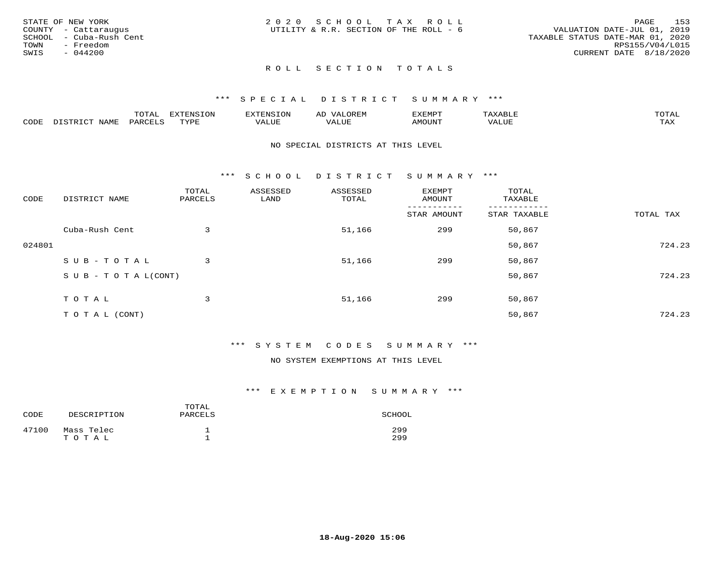|      | STATE OF NEW YORK       | 2020 SCHOOL TAX ROLL                   |  |                                  |                        | PAGE | 153 |
|------|-------------------------|----------------------------------------|--|----------------------------------|------------------------|------|-----|
|      | COUNTY - Cattaraugus    | UTILITY & R.R. SECTION OF THE ROLL - 6 |  | VALUATION DATE-JUL 01, 2019      |                        |      |     |
|      | SCHOOL - Cuba-Rush Cent |                                        |  | TAXABLE STATUS DATE-MAR 01, 2020 |                        |      |     |
| TOWN | - Freedom               |                                        |  |                                  | RPS155/V04/L015        |      |     |
| SWIS | $-044200$               |                                        |  |                                  | CURRENT DATE 8/18/2020 |      |     |
|      |                         |                                        |  |                                  |                        |      |     |

# ROLL SECTION TOTALS

### \*\*\* S P E C I A L D I S T R I C T S U M M A R Y \*\*\*

|      |                      | ----           | <b>FYTFNSION</b><br>- 75 | <b>FNC</b>     | ᅺᅜᄓ                      | SXEMPT | $\Delta$<br>.                  | $m \wedge m \wedge n$ |
|------|----------------------|----------------|--------------------------|----------------|--------------------------|--------|--------------------------------|-----------------------|
| CODE | <b>NTAMT</b><br>⊥∙⊥⊥ | D.ODT.<br>PARL | $m \tau \tau m$<br>.     | T T T<br>ALUF: | , <del>,</del> , , , , , | MOUN.  | , 77 T TT <del>D</del><br>ALUE | TAX                   |

### NO SPECIAL DISTRICTS AT THIS LEVEL

\*\*\* S C H O O L D I S T R I C T S U M M A R Y \*\*\*

| CODE   | DISTRICT NAME                    | TOTAL<br>PARCELS | ASSESSED<br>LAND | ASSESSED<br>TOTAL | EXEMPT<br>AMOUNT | TOTAL<br>TAXABLE |           |
|--------|----------------------------------|------------------|------------------|-------------------|------------------|------------------|-----------|
|        |                                  |                  |                  |                   | STAR AMOUNT      | STAR TAXABLE     | TOTAL TAX |
|        | Cuba-Rush Cent                   | 3                |                  | 51,166            | 299              | 50,867           |           |
| 024801 |                                  |                  |                  |                   |                  | 50,867           | 724.23    |
|        | SUB-TOTAL                        | 3                |                  | 51,166            | 299              | 50,867           |           |
|        | $S \cup B - T \cup T A L (CONT)$ |                  |                  |                   |                  | 50,867           | 724.23    |
|        | TOTAL                            | 3                |                  | 51,166            | 299              | 50,867           |           |
|        | T O T A L (CONT)                 |                  |                  |                   |                  | 50,867           | 724.23    |

### \*\*\* S Y S T E M C O D E S S U M M A R Y \*\*\*

### NO SYSTEM EXEMPTIONS AT THIS LEVEL

### \*\*\* E X E M P T I O N S U M M A R Y \*\*\*

| CODE  | DESCRIPTION         | TOTAL<br>PARCELS | SCHOOL     |
|-------|---------------------|------------------|------------|
| 47100 | Mass Telec<br>TOTAL |                  | 299<br>299 |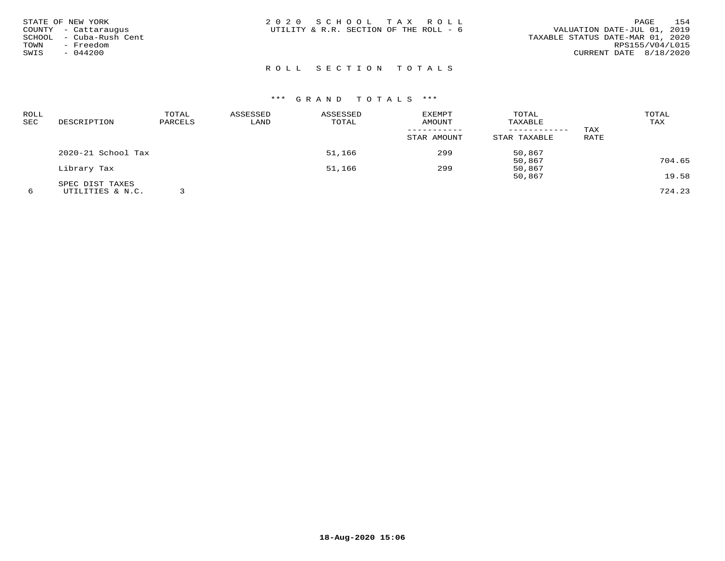| TOWN<br>SWIS | STATE OF NEW YORK<br>COUNTY - Cattaraugus<br>SCHOOL - Cuba-Rush Cent<br>- Freedom<br>$-044200$ | 2020 SCHOOL TAX ROLL<br>UTILITY & R.R. SECTION OF THE ROLL - 6 |  | VALUATION DATE-JUL 01, 2019<br>TAXABLE STATUS DATE-MAR 01, 2020<br>CURRENT DATE 8/18/2020 | PAGE<br>RPS155/V04/L015 | 154 |
|--------------|------------------------------------------------------------------------------------------------|----------------------------------------------------------------|--|-------------------------------------------------------------------------------------------|-------------------------|-----|
|              |                                                                                                | ROLL SECTION TOTALS                                            |  |                                                                                           |                         |     |

| <b>ROLL</b> |                    | TOTAL   | ASSESSED | ASSESSED | EXEMPT      | TOTAL        |      | TOTAL  |
|-------------|--------------------|---------|----------|----------|-------------|--------------|------|--------|
| SEC         | DESCRIPTION        | PARCELS | LAND     | TOTAL    | AMOUNT      | TAXABLE      |      | TAX    |
|             |                    |         |          |          |             |              | TAX  |        |
|             |                    |         |          |          | STAR AMOUNT | STAR TAXABLE | RATE |        |
|             | 2020-21 School Tax |         |          | 51,166   | 299         | 50,867       |      |        |
|             |                    |         |          |          |             | 50,867       |      | 704.65 |
|             | Library Tax        |         |          | 51,166   | 299         | 50,867       |      |        |
|             |                    |         |          |          |             | 50,867       |      | 19.58  |
|             | SPEC DIST TAXES    |         |          |          |             |              |      |        |
|             | UTILITIES & N.C.   |         |          |          |             |              |      | 724.23 |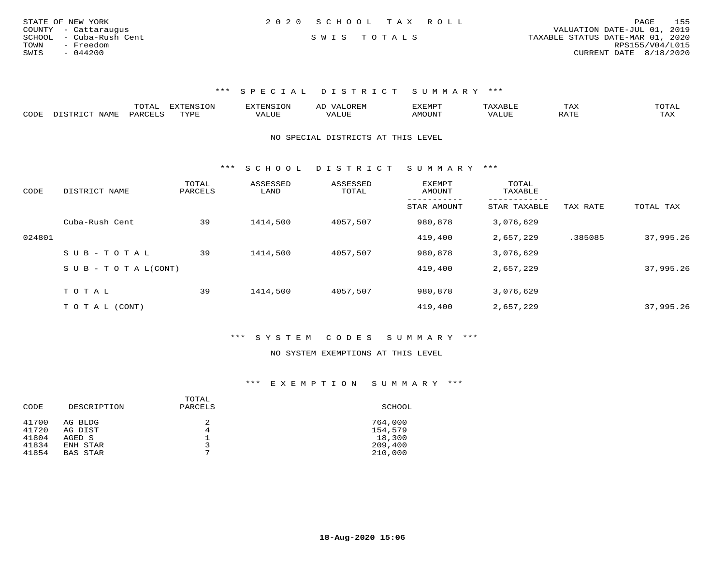| STATE OF NEW YORK       | 2020 SCHOOL TAX ROLL |  | 155<br>PAGE                      |
|-------------------------|----------------------|--|----------------------------------|
| COUNTY - Cattaraugus    |                      |  | VALUATION DATE-JUL 01, 2019      |
| SCHOOL - Cuba-Rush Cent | SWIS TOTALS          |  | TAXABLE STATUS DATE-MAR 01, 2020 |
| TOWN<br>- Freedom       |                      |  | RPS155/V04/L015                  |
| SWIS<br>- 044200        |                      |  | CURRENT DATE 8/18/2020           |
|                         |                      |  |                                  |

\*\*\* S P E C I A L D I S T R I C T S U M M A R Y \*\*\*

|      | ----<br>. U 1 1 1 1 | mmATATAT<br><b>A</b> | ▵ | <b>EMP</b> | t Land               | _____ |
|------|---------------------|----------------------|---|------------|----------------------|-------|
| CODE |                     | $n \tau \tau n \tau$ |   | MOTIN.     | $\sim$ $\sim$ $\sim$ |       |

NO SPECIAL DISTRICTS AT THIS LEVEL

\*\*\* S C H O O L D I S T R I C T S U M M A R Y \*\*\*

| CODE   | DISTRICT NAME                    | TOTAL<br>PARCELS | ASSESSED<br>LAND | ASSESSED<br>TOTAL | <b>EXEMPT</b><br>AMOUNT | TOTAL<br>TAXABLE        |          |           |
|--------|----------------------------------|------------------|------------------|-------------------|-------------------------|-------------------------|----------|-----------|
|        |                                  |                  |                  |                   | STAR AMOUNT             | -------<br>STAR TAXABLE | TAX RATE | TOTAL TAX |
|        | Cuba-Rush Cent                   | 39               | 1414,500         | 4057,507          | 980,878                 | 3,076,629               |          |           |
| 024801 |                                  |                  |                  |                   | 419,400                 | 2,657,229               | .385085  | 37,995.26 |
|        | $SUB - TO TAL$                   | 39               | 1414,500         | 4057,507          | 980,878                 | 3,076,629               |          |           |
|        | $S \cup B - T \cup T A L (CONT)$ |                  |                  |                   | 419,400                 | 2,657,229               |          | 37,995.26 |
|        |                                  |                  |                  |                   |                         |                         |          |           |
|        | TOTAL                            | 39               | 1414,500         | 4057,507          | 980,878                 | 3,076,629               |          |           |
|        | T O T A L (CONT)                 |                  |                  |                   | 419,400                 | 2,657,229               |          | 37,995.26 |

\*\*\* S Y S T E M C O D E S S U M M A R Y \*\*\*

#### NO SYSTEM EXEMPTIONS AT THIS LEVEL

\*\*\* E X E M P T I O N S U M M A R Y \*\*\*

| SCHOOL  |
|---------|
| 764,000 |
| 154,579 |
| 18,300  |
| 209,400 |
| 210,000 |
|         |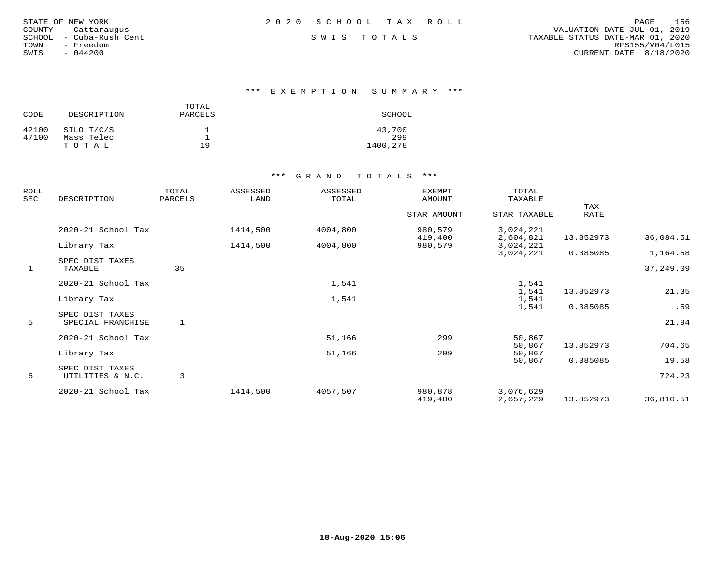| STATE OF NEW YORK |                  |  |
|-------------------|------------------|--|
| COUNTY            | - Cattaraugus    |  |
| SCHOOL            | - Cuba-Rush Cent |  |
| TOWN              | - Freedom        |  |
| SWIS              | $-044200$        |  |

\*\*\* E X E M P T I O N S U M M A R Y \*\*\*

| CODE  | DESCRIPTION | TOTAL<br>PARCELS | SCHOOL   |
|-------|-------------|------------------|----------|
| 42100 | SILO T/C/S  |                  | 43,700   |
| 47100 | Mass Telec  |                  | 299      |
|       | тотаь       | 19               | 1400,278 |

| ROLL<br>SEC | DESCRIPTION                | TOTAL<br>PARCELS | ASSESSED<br>LAND | ASSESSED<br>TOTAL | <b>EXEMPT</b><br>AMOUNT | TOTAL<br>TAXABLE       |             |           |
|-------------|----------------------------|------------------|------------------|-------------------|-------------------------|------------------------|-------------|-----------|
|             |                            |                  |                  |                   | STAR AMOUNT             | STAR TAXABLE           | TAX<br>RATE |           |
|             | 2020-21 School Tax         |                  | 1414,500         | 4004,800          | 980,579                 | 3,024,221              |             |           |
|             | Library Tax                |                  | 1414,500         | 4004,800          | 419,400<br>980,579      | 2,604,821<br>3,024,221 | 13.852973   | 36,084.51 |
|             |                            |                  |                  |                   |                         | 3,024,221              | 0.385085    | 1,164.58  |
| 1           | SPEC DIST TAXES<br>TAXABLE | 35               |                  |                   |                         |                        |             | 37,249.09 |
|             | 2020-21 School Tax         |                  |                  | 1,541             |                         | 1,541                  |             |           |
|             |                            |                  |                  |                   |                         | 1,541                  | 13.852973   | 21.35     |
|             | Library Tax                |                  |                  | 1,541             |                         | 1,541                  |             |           |
|             | SPEC DIST TAXES            |                  |                  |                   |                         | 1,541                  | 0.385085    | .59       |
| 5           | SPECIAL FRANCHISE          |                  |                  |                   |                         |                        |             | 21.94     |
|             | 2020-21 School Tax         |                  |                  | 51,166            | 299                     | 50,867                 |             |           |
|             |                            |                  |                  |                   |                         | 50,867                 | 13.852973   | 704.65    |
|             | Library Tax                |                  |                  | 51,166            | 299                     | 50,867                 |             |           |
|             |                            |                  |                  |                   |                         | 50,867                 | 0.385085    | 19.58     |
|             | SPEC DIST TAXES            |                  |                  |                   |                         |                        |             |           |
| 6           | UTILITIES & N.C.           | 3                |                  |                   |                         |                        |             | 724.23    |
|             | 2020-21 School Tax         |                  | 1414,500         | 4057,507          | 980,878                 | 3,076,629              |             |           |
|             |                            |                  |                  |                   | 419,400                 | 2,657,229              | 13.852973   | 36,810.51 |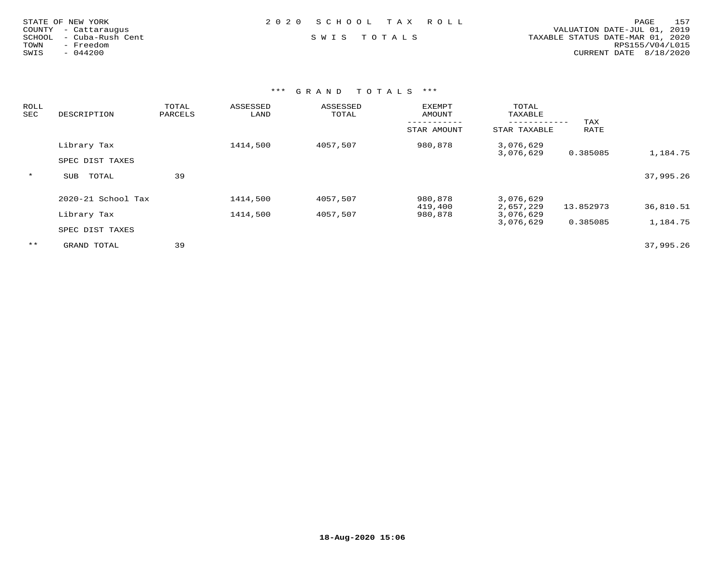| STATE OF NEW YORK<br>COUNTY - Cattaraugus<br>- Cuba-Rush Cent<br>SCHOOL<br>- Freedom<br>TOWN | 2020 SCHOOL TAX ROLL<br>SWIS TOTALS | 157<br>PAGE<br>VALUATION DATE-JUL 01, 2019<br>TAXABLE STATUS DATE-MAR 01, 2020<br>RPS155/V04/L015 |
|----------------------------------------------------------------------------------------------|-------------------------------------|---------------------------------------------------------------------------------------------------|
| $-044200$<br>SWIS                                                                            |                                     | CURRENT DATE 8/18/2020                                                                            |
|                                                                                              |                                     |                                                                                                   |

| <b>ROLL</b><br>SEC | DESCRIPTION        | TOTAL<br>PARCELS | ASSESSED<br>LAND | ASSESSED<br>TOTAL | EXEMPT<br>AMOUNT   | TOTAL<br>TAXABLE       |             |           |
|--------------------|--------------------|------------------|------------------|-------------------|--------------------|------------------------|-------------|-----------|
|                    |                    |                  |                  |                   | STAR AMOUNT        | STAR TAXABLE           | TAX<br>RATE |           |
|                    | Library Tax        |                  | 1414,500         | 4057,507          | 980,878            | 3,076,629<br>3,076,629 | 0.385085    | 1,184.75  |
|                    | SPEC DIST TAXES    |                  |                  |                   |                    |                        |             |           |
| $\star$            | TOTAL<br>SUB       | 39               |                  |                   |                    |                        |             | 37,995.26 |
|                    | 2020-21 School Tax |                  | 1414,500         | 4057,507          | 980,878            | 3,076,629              |             |           |
|                    | Library Tax        |                  | 1414,500         | 4057,507          | 419,400<br>980,878 | 2,657,229<br>3,076,629 | 13.852973   | 36,810.51 |
|                    | SPEC DIST TAXES    |                  |                  |                   |                    | 3,076,629              | 0.385085    | 1,184.75  |
| $* *$              | GRAND TOTAL        | 39               |                  |                   |                    |                        |             | 37,995.26 |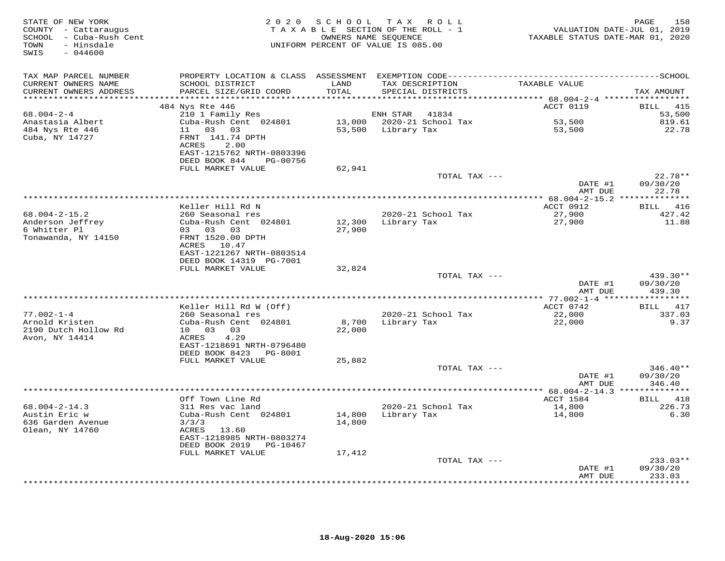| STATE OF NEW YORK<br>COUNTY - Cattaraugus<br>SCHOOL - Cuba-Rush Cent<br>- Hinsdale<br>TOWN<br>SWIS<br>$-044600$ | 2 0 2 0                                                                                                       | SCHOOL           | TAX ROLL<br>TAXABLE SECTION OF THE ROLL - 1<br>OWNERS NAME SEQUENCE<br>UNIFORM PERCENT OF VALUE IS 085.00 | TAXABLE STATUS DATE-MAR 01, 2020                    | 158<br>PAGE<br>VALUATION DATE-JUL 01, 2019 |
|-----------------------------------------------------------------------------------------------------------------|---------------------------------------------------------------------------------------------------------------|------------------|-----------------------------------------------------------------------------------------------------------|-----------------------------------------------------|--------------------------------------------|
| TAX MAP PARCEL NUMBER                                                                                           |                                                                                                               |                  |                                                                                                           |                                                     |                                            |
| CURRENT OWNERS NAME<br>CURRENT OWNERS ADDRESS                                                                   | SCHOOL DISTRICT<br>PARCEL SIZE/GRID COORD                                                                     | LAND<br>TOTAL    | TAX DESCRIPTION<br>SPECIAL DISTRICTS                                                                      | TAXABLE VALUE                                       | TAX AMOUNT                                 |
| ******************                                                                                              | 484 Nys Rte 446                                                                                               | *******          |                                                                                                           | ******** 68.004-2-4 ******************<br>ACCT 0119 | <b>BILL</b><br>415                         |
| $68.004 - 2 - 4$                                                                                                | 210 1 Family Res                                                                                              |                  | ENH STAR<br>41834                                                                                         |                                                     | 53,500                                     |
| Anastasia Albert                                                                                                | Cuba-Rush Cent 024801                                                                                         |                  | 13,000 2020-21 School Tax                                                                                 | 53,500                                              | 819.61                                     |
| 484 Nys Rte 446<br>Cuba, NY 14727                                                                               | 03<br>03<br>11<br>FRNT 141.74 DPTH<br>2.00<br>ACRES<br>EAST-1215762 NRTH-0803396<br>DEED BOOK 844<br>PG-00756 | 53,500           | Library Tax                                                                                               | 53,500                                              | 22.78                                      |
|                                                                                                                 | FULL MARKET VALUE                                                                                             | 62,941           |                                                                                                           |                                                     |                                            |
|                                                                                                                 |                                                                                                               |                  | TOTAL TAX ---                                                                                             |                                                     | $22.78**$                                  |
|                                                                                                                 |                                                                                                               |                  |                                                                                                           | DATE #1<br>AMT DUE                                  | 09/30/20<br>22.78                          |
|                                                                                                                 |                                                                                                               |                  |                                                                                                           | *********** 68.004-2-15.2 *****                     | *********                                  |
|                                                                                                                 | Keller Hill Rd N                                                                                              |                  |                                                                                                           | ACCT 0912                                           | BILL<br>416                                |
| $68.004 - 2 - 15.2$<br>Anderson Jeffrey<br>6 Whitter Pl                                                         | 260 Seasonal res<br>Cuba-Rush Cent 024801<br>03 03 03                                                         | 12,300<br>27,900 | 2020-21 School Tax<br>Library Tax                                                                         | 27,900<br>27,900                                    | 427.42<br>11.88                            |
| Tonawanda, NY 14150                                                                                             | FRNT 1520.00 DPTH<br>ACRES 10.47<br>EAST-1221267 NRTH-0803514<br>DEED BOOK 14319 PG-7001                      |                  |                                                                                                           |                                                     |                                            |
|                                                                                                                 | FULL MARKET VALUE                                                                                             | 32,824           |                                                                                                           |                                                     |                                            |
|                                                                                                                 |                                                                                                               |                  | TOTAL TAX ---                                                                                             |                                                     | 439.30**                                   |
|                                                                                                                 |                                                                                                               |                  |                                                                                                           | DATE #1<br>AMT DUE                                  | 09/30/20<br>439.30                         |
|                                                                                                                 | Keller Hill Rd W (Off)                                                                                        |                  |                                                                                                           | ********* 77.002-1-4 ***<br>ACCT 0742               | *********<br>BILL<br>417                   |
| $77.002 - 1 - 4$                                                                                                | 260 Seasonal res                                                                                              |                  | 2020-21 School Tax                                                                                        | 22,000                                              | 337.03                                     |
| Arnold Kristen<br>2190 Dutch Hollow Rd<br>Avon, NY 14414                                                        | Cuba-Rush Cent 024801<br>10 03<br>03<br>4.29<br>ACRES                                                         | 8,700<br>22,000  | Library Tax                                                                                               | 22,000                                              | 9.37                                       |
|                                                                                                                 | EAST-1218691 NRTH-0796480<br>DEED BOOK 8423<br>PG-8001                                                        |                  |                                                                                                           |                                                     |                                            |
|                                                                                                                 | FULL MARKET VALUE                                                                                             | 25,882           |                                                                                                           |                                                     |                                            |
|                                                                                                                 |                                                                                                               |                  | TOTAL TAX ---                                                                                             | DATE #1<br>AMT DUE                                  | 346.40**<br>09/30/20<br>346.40             |
|                                                                                                                 |                                                                                                               |                  |                                                                                                           | ** $68.004 - 2 - 14.3$ **************               |                                            |
|                                                                                                                 | Off Town Line Rd                                                                                              |                  |                                                                                                           | ACCT 1584                                           | BILL 418                                   |
| $68.004 - 2 - 14.3$<br>Austin Eric w<br>636 Garden Avenue<br>Olean, NY 14760                                    | 311 Res vac land<br>Cuba-Rush Cent 024801<br>3/3/3<br>ACRES<br>13.60<br>EAST-1218985 NRTH-0803274             | 14,800<br>14,800 | 2020-21 School Tax<br>Library Tax                                                                         | 14,800<br>14,800                                    | 226.73<br>6.30                             |
|                                                                                                                 | DEED BOOK 2019<br>PG-10467                                                                                    |                  |                                                                                                           |                                                     |                                            |
|                                                                                                                 | FULL MARKET VALUE                                                                                             | 17,412           |                                                                                                           |                                                     |                                            |
|                                                                                                                 |                                                                                                               |                  | TOTAL TAX ---                                                                                             | DATE #1<br>AMT DUE                                  | $233.03**$<br>09/30/20<br>233.03           |
|                                                                                                                 |                                                                                                               |                  | ****************************                                                                              | * * * * * * * * *                                   | * * * * * * * *                            |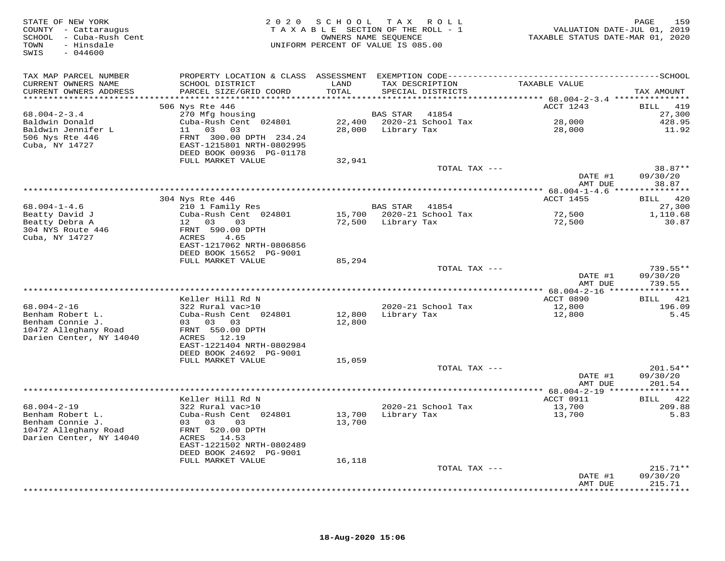| STATE OF NEW YORK<br>COUNTY - Cattaraugus<br>SCHOOL - Cuba-Rush Cent<br>- Hinsdale<br>TOWN<br>$-044600$<br>SWIS |                                                                                           | 2020 SCHOOL<br>TAXABLE SECTION OF THE ROLL - 1<br>UNIFORM PERCENT OF VALUE IS 085.00 | TAX ROLL<br>OWNERS NAME SEQUENCE |                    | TAXABLE STATUS DATE-MAR 01, 2020 | 159<br>PAGE<br>VALUATION DATE-JUL 01, 2019 |
|-----------------------------------------------------------------------------------------------------------------|-------------------------------------------------------------------------------------------|--------------------------------------------------------------------------------------|----------------------------------|--------------------|----------------------------------|--------------------------------------------|
| TAX MAP PARCEL NUMBER                                                                                           |                                                                                           |                                                                                      |                                  |                    |                                  |                                            |
| CURRENT OWNERS NAME                                                                                             | SCHOOL DISTRICT                                                                           | LAND                                                                                 | TAX DESCRIPTION                  |                    | TAXABLE VALUE                    |                                            |
| CURRENT OWNERS ADDRESS<br>***********************                                                               | PARCEL SIZE/GRID COORD                                                                    | TOTAL                                                                                | SPECIAL DISTRICTS                |                    |                                  | TAX AMOUNT                                 |
|                                                                                                                 | 506 Nys Rte 446                                                                           |                                                                                      |                                  |                    | ACCT 1243                        | BILL 419                                   |
| $68.004 - 2 - 3.4$                                                                                              | 270 Mfg housing                                                                           |                                                                                      | <b>BAS STAR</b>                  | 41854              |                                  | 27,300                                     |
| Baldwin Donald                                                                                                  | Cuba-Rush Cent 024801                                                                     |                                                                                      | 22,400 2020-21 School Tax        |                    | 28,000                           | 428.95                                     |
| Baldwin Jennifer L                                                                                              | 11 03<br>03                                                                               | 28,000                                                                               | Library Tax                      |                    | 28,000                           | 11.92                                      |
| 506 Nys Rte 446<br>Cuba, NY 14727                                                                               | FRNT 300.00 DPTH 234.24<br>EAST-1215801 NRTH-0802995<br>DEED BOOK 00936 PG-01178          |                                                                                      |                                  |                    |                                  |                                            |
|                                                                                                                 | FULL MARKET VALUE                                                                         | 32,941                                                                               |                                  |                    |                                  |                                            |
|                                                                                                                 |                                                                                           |                                                                                      |                                  | TOTAL TAX ---      |                                  | 38.87**                                    |
|                                                                                                                 |                                                                                           |                                                                                      |                                  |                    | DATE #1<br>AMT DUE               | 09/30/20<br>38.87                          |
|                                                                                                                 |                                                                                           |                                                                                      |                                  |                    | <b>ACCT 1455</b>                 | ********<br>BILL 420                       |
| $68.004 - 1 - 4.6$                                                                                              | 304 Nys Rte 446<br>210 1 Family Res                                                       |                                                                                      | <b>BAS STAR</b>                  | 41854              |                                  | 27,300                                     |
| Beatty David J                                                                                                  | Cuba-Rush Cent 024801                                                                     | 15,700                                                                               |                                  | 2020-21 School Tax | 72,500                           | 1,110.68                                   |
| Beatty Debra A                                                                                                  | 12<br>03<br>03                                                                            | 72,500                                                                               | Library Tax                      |                    | 72,500                           | 30.87                                      |
| 304 NYS Route 446<br>Cuba, NY 14727                                                                             | FRNT 590.00 DPTH<br>ACRES<br>4.65<br>EAST-1217062 NRTH-0806856<br>DEED BOOK 15652 PG-9001 |                                                                                      |                                  |                    |                                  |                                            |
|                                                                                                                 | FULL MARKET VALUE                                                                         | 85,294                                                                               |                                  |                    |                                  |                                            |
|                                                                                                                 |                                                                                           |                                                                                      |                                  | TOTAL TAX ---      | DATE #1<br>AMT DUE               | 739.55**<br>09/30/20<br>739.55             |
|                                                                                                                 |                                                                                           | ***************                                                                      |                                  |                    | ********** 68.004-2-16 **        | *********                                  |
|                                                                                                                 | Keller Hill Rd N                                                                          |                                                                                      |                                  |                    | ACCT 0890                        | <b>BILL</b><br>421                         |
| $68.004 - 2 - 16$                                                                                               | 322 Rural vac>10                                                                          |                                                                                      |                                  | 2020-21 School Tax | 12,800                           | 196.09                                     |
| Benham Robert L.<br>Benham Connie J.                                                                            | Cuba-Rush Cent 024801<br>03 03<br>03                                                      | 12,800<br>12,800                                                                     | Library Tax                      |                    | 12,800                           | 5.45                                       |
| 10472 Alleghany Road                                                                                            | FRNT 550.00 DPTH                                                                          |                                                                                      |                                  |                    |                                  |                                            |
| Darien Center, NY 14040                                                                                         | ACRES 12.19                                                                               |                                                                                      |                                  |                    |                                  |                                            |
|                                                                                                                 | EAST-1221404 NRTH-0802984                                                                 |                                                                                      |                                  |                    |                                  |                                            |
|                                                                                                                 | DEED BOOK 24692 PG-9001                                                                   |                                                                                      |                                  |                    |                                  |                                            |
|                                                                                                                 | FULL MARKET VALUE                                                                         | 15,059                                                                               |                                  |                    |                                  | $201.54**$                                 |
|                                                                                                                 |                                                                                           |                                                                                      |                                  | TOTAL TAX ---      | DATE #1                          | 09/30/20                                   |
|                                                                                                                 |                                                                                           |                                                                                      |                                  |                    | AMT DUE                          | 201.54                                     |
|                                                                                                                 |                                                                                           |                                                                                      |                                  |                    |                                  |                                            |
|                                                                                                                 | Keller Hill Rd N                                                                          |                                                                                      |                                  |                    | ACCT 0911                        | 422<br>BILL                                |
| $68.004 - 2 - 19$<br>Benham Robert L.                                                                           | 322 Rural vac>10<br>Cuba-Rush Cent 024801                                                 | 13,700                                                                               | Library Tax                      | 2020-21 School Tax | 13,700<br>13,700                 | 209.88<br>5.83                             |
| Benham Connie J.<br>10472 Alleghany Road<br>Darien Center, NY 14040                                             | 03 03<br>03<br>FRNT 520.00 DPTH<br>ACRES 14.53                                            | 13,700                                                                               |                                  |                    |                                  |                                            |
|                                                                                                                 | EAST-1221502 NRTH-0802489                                                                 |                                                                                      |                                  |                    |                                  |                                            |
|                                                                                                                 | DEED BOOK 24692 PG-9001                                                                   |                                                                                      |                                  |                    |                                  |                                            |
|                                                                                                                 | FULL MARKET VALUE                                                                         | 16,118                                                                               |                                  | TOTAL TAX ---      |                                  | $215.71**$                                 |
|                                                                                                                 |                                                                                           |                                                                                      |                                  |                    | DATE #1                          | 09/30/20                                   |
|                                                                                                                 |                                                                                           |                                                                                      |                                  |                    | AMT DUE                          | 215.71<br>* * * * * * * *                  |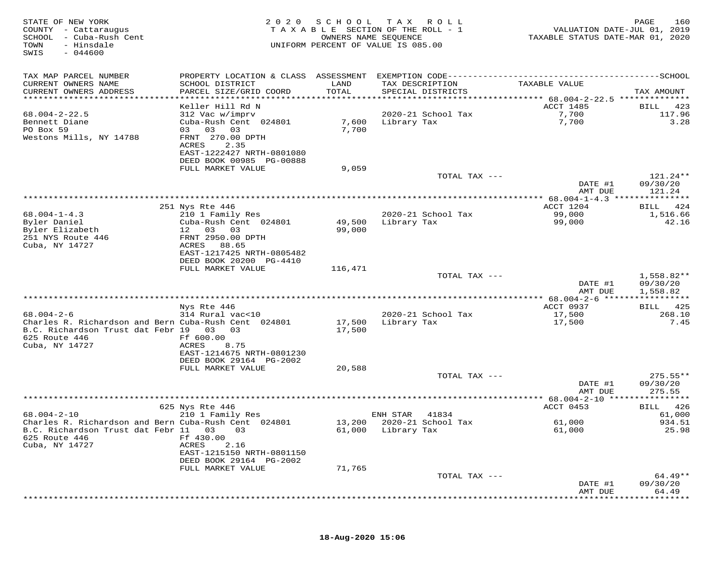| STATE OF NEW YORK<br>COUNTY - Cattaraugus<br>SCHOOL<br>- Cuba-Rush Cent<br>TOWN<br>- Hinsdale<br>$-044600$<br>SWIS | 2 0 2 0                                                                                      | SCHOOL<br>OWNERS NAME SEQUENCE | T A X<br>R O L L<br>TAXABLE SECTION OF THE ROLL - 1<br>UNIFORM PERCENT OF VALUE IS 085.00 | VALUATION DATE-JUL 01, 2019<br>TAXABLE STATUS DATE-MAR 01, 2020 | 160<br>PAGE              |
|--------------------------------------------------------------------------------------------------------------------|----------------------------------------------------------------------------------------------|--------------------------------|-------------------------------------------------------------------------------------------|-----------------------------------------------------------------|--------------------------|
| TAX MAP PARCEL NUMBER                                                                                              | PROPERTY LOCATION & CLASS ASSESSMENT EXEMPTION CODE-----------------------------------SCHOOL |                                |                                                                                           |                                                                 |                          |
| CURRENT OWNERS NAME                                                                                                | SCHOOL DISTRICT                                                                              | LAND                           | TAX DESCRIPTION                                                                           | TAXABLE VALUE                                                   |                          |
| CURRENT OWNERS ADDRESS<br>*****************************                                                            | PARCEL SIZE/GRID COORD                                                                       | TOTAL                          | SPECIAL DISTRICTS                                                                         |                                                                 | TAX AMOUNT               |
|                                                                                                                    | Keller Hill Rd N                                                                             |                                |                                                                                           | ACCT 1485                                                       | 423<br>BILL              |
| $68.004 - 2 - 22.5$                                                                                                | 312 Vac w/imprv                                                                              |                                | 2020-21 School Tax                                                                        | 7,700                                                           | 117.96                   |
| Bennett Diane                                                                                                      | Cuba-Rush Cent 024801                                                                        | 7,600                          | Library Tax                                                                               | 7,700                                                           | 3.28                     |
| PO Box 59                                                                                                          | 03 03<br>03                                                                                  | 7,700                          |                                                                                           |                                                                 |                          |
| Westons Mills, NY 14788                                                                                            | FRNT 270.00 DPTH<br>ACRES<br>2.35                                                            |                                |                                                                                           |                                                                 |                          |
|                                                                                                                    | EAST-1222427 NRTH-0801080                                                                    |                                |                                                                                           |                                                                 |                          |
|                                                                                                                    | DEED BOOK 00985 PG-00888                                                                     |                                |                                                                                           |                                                                 |                          |
|                                                                                                                    | FULL MARKET VALUE                                                                            | 9,059                          | TOTAL TAX ---                                                                             |                                                                 | 121.24**                 |
|                                                                                                                    |                                                                                              |                                |                                                                                           | DATE #1                                                         | 09/30/20                 |
|                                                                                                                    |                                                                                              |                                |                                                                                           | AMT DUE                                                         | 121.24                   |
|                                                                                                                    |                                                                                              |                                |                                                                                           |                                                                 |                          |
| $68.004 - 1 - 4.3$                                                                                                 | 251 Nys Rte 446<br>210 1 Family Res                                                          |                                | 2020-21 School Tax                                                                        | ACCT 1204<br>99,000                                             | 424<br>BILL<br>1,516.66  |
| Byler Daniel                                                                                                       | Cuba-Rush Cent 024801                                                                        | 49,500                         | Library Tax                                                                               | 99,000                                                          | 42.16                    |
| Byler Elizabeth                                                                                                    | 12 03<br>03                                                                                  | 99,000                         |                                                                                           |                                                                 |                          |
| 251 NYS Route 446<br>Cuba, NY 14727                                                                                | FRNT 2950.00 DPTH<br>ACRES<br>88.65                                                          |                                |                                                                                           |                                                                 |                          |
|                                                                                                                    | EAST-1217425 NRTH-0805482                                                                    |                                |                                                                                           |                                                                 |                          |
|                                                                                                                    | DEED BOOK 20200 PG-4410                                                                      |                                |                                                                                           |                                                                 |                          |
|                                                                                                                    | FULL MARKET VALUE                                                                            | 116,471                        |                                                                                           |                                                                 |                          |
|                                                                                                                    |                                                                                              |                                | TOTAL TAX ---                                                                             | DATE #1                                                         | $1,558.82**$<br>09/30/20 |
|                                                                                                                    |                                                                                              |                                |                                                                                           | AMT DUE                                                         | 1,558.82                 |
|                                                                                                                    |                                                                                              |                                |                                                                                           |                                                                 | ***********              |
| $68.004 - 2 - 6$                                                                                                   | Nys Rte 446<br>314 Rural vac<10                                                              |                                | 2020-21 School Tax                                                                        | ACCT 0937<br>17,500                                             | 425<br>BILL<br>268.10    |
| Charles R. Richardson and Bern Cuba-Rush Cent 024801                                                               |                                                                                              | 17,500                         | Library Tax                                                                               | 17,500                                                          | 7.45                     |
| B.C. Richardson Trust dat Febr 19 03                                                                               | 03                                                                                           | 17,500                         |                                                                                           |                                                                 |                          |
| 625 Route 446                                                                                                      | Ff 600.00<br>ACRES                                                                           |                                |                                                                                           |                                                                 |                          |
| Cuba, NY 14727                                                                                                     | 8.75<br>EAST-1214675 NRTH-0801230                                                            |                                |                                                                                           |                                                                 |                          |
|                                                                                                                    | DEED BOOK 29164 PG-2002                                                                      |                                |                                                                                           |                                                                 |                          |
|                                                                                                                    | FULL MARKET VALUE                                                                            | 20,588                         |                                                                                           |                                                                 |                          |
|                                                                                                                    |                                                                                              |                                | TOTAL TAX ---                                                                             | DATE #1                                                         | $275.55**$<br>09/30/20   |
|                                                                                                                    |                                                                                              |                                |                                                                                           | AMT DUE                                                         | 275.55                   |
|                                                                                                                    |                                                                                              |                                |                                                                                           | ******** 68.004-2-10                                            |                          |
|                                                                                                                    | 625 Nys Rte 446                                                                              |                                | 41834                                                                                     | ACCT 0453                                                       | 426<br>BILL              |
| $68.004 - 2 - 10$<br>Charles R. Richardson and Bern Cuba-Rush Cent 024801                                          | 210 1 Family Res                                                                             |                                | ENH STAR<br>13,200 2020-21 School Tax                                                     | 61,000                                                          | 61,000<br>934.51         |
| B.C. Richardson Trust dat Febr 11                                                                                  | 03<br>03                                                                                     | 61,000                         | Library Tax                                                                               | 61,000                                                          | 25.98                    |
| 625 Route 446                                                                                                      | Ff 430.00                                                                                    |                                |                                                                                           |                                                                 |                          |
| Cuba, NY 14727                                                                                                     | ACRES<br>2.16<br>EAST-1215150 NRTH-0801150                                                   |                                |                                                                                           |                                                                 |                          |
|                                                                                                                    | DEED BOOK 29164 PG-2002                                                                      |                                |                                                                                           |                                                                 |                          |
|                                                                                                                    | FULL MARKET VALUE                                                                            | 71,765                         |                                                                                           |                                                                 |                          |
|                                                                                                                    |                                                                                              |                                | TOTAL TAX ---                                                                             |                                                                 | $64.49**$                |
|                                                                                                                    |                                                                                              |                                |                                                                                           | DATE #1<br>AMT DUE                                              | 09/30/20<br>64.49        |
|                                                                                                                    |                                                                                              |                                |                                                                                           |                                                                 |                          |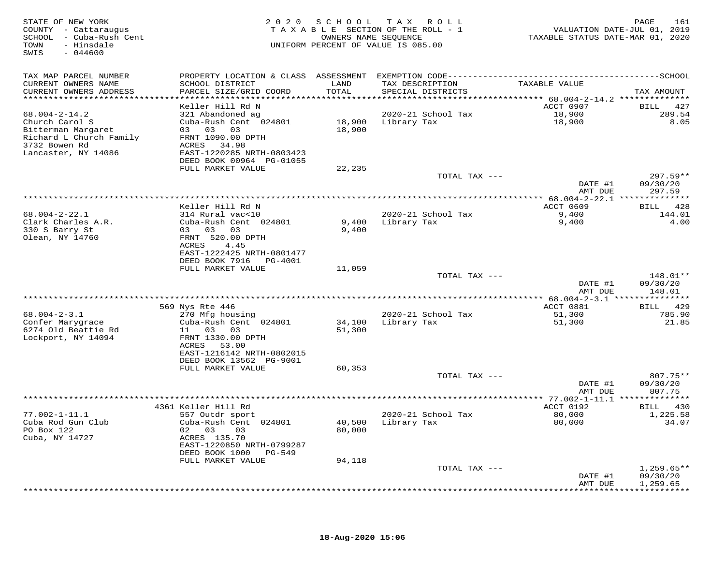| STATE OF NEW YORK<br>COUNTY - Cattaraugus<br>SCHOOL - Cuba-Rush Cent<br>TOWN<br>- Hinsdale<br>SWIS<br>$-044600$ |                                             |                  | 2020 SCHOOL TAX ROLL<br>TAXABLE SECTION OF THE ROLL - 1<br>OWNERS NAME SEQUENCE<br>UNIFORM PERCENT OF VALUE IS 085.00 | VALUATION DATE-JUL 01, 2019<br>TAXABLE STATUS DATE-MAR 01, 2020 | 161<br>PAGE            |
|-----------------------------------------------------------------------------------------------------------------|---------------------------------------------|------------------|-----------------------------------------------------------------------------------------------------------------------|-----------------------------------------------------------------|------------------------|
| TAX MAP PARCEL NUMBER                                                                                           |                                             |                  | PROPERTY LOCATION & CLASS ASSESSMENT EXEMPTION CODE-----------------------------------SCHOOL                          |                                                                 |                        |
| CURRENT OWNERS NAME<br>CURRENT OWNERS ADDRESS<br>******************************                                 | SCHOOL DISTRICT<br>PARCEL SIZE/GRID COORD   | LAND<br>TOTAL    | TAX DESCRIPTION<br>SPECIAL DISTRICTS                                                                                  | TAXABLE VALUE                                                   | TAX AMOUNT             |
|                                                                                                                 | Keller Hill Rd N                            |                  |                                                                                                                       | ACCT 0907                                                       | BILL 427               |
| $68.004 - 2 - 14.2$                                                                                             | 321 Abandoned ag                            |                  | 2020-21 School Tax                                                                                                    | 18,900                                                          | 289.54                 |
| Church Carol S                                                                                                  | Cuba-Rush Cent 024801                       |                  | 18,900 Library Tax                                                                                                    | 18,900                                                          | 8.05                   |
| Bitterman Margaret                                                                                              | 03 03 03                                    | 18,900           |                                                                                                                       |                                                                 |                        |
| Richard L Church Family<br>3732 Bowen Rd                                                                        | FRNT 1090.00 DPTH<br>ACRES 34.98            |                  |                                                                                                                       |                                                                 |                        |
| Lancaster, NY 14086                                                                                             | EAST-1220285 NRTH-0803423                   |                  |                                                                                                                       |                                                                 |                        |
|                                                                                                                 | DEED BOOK 00964 PG-01055                    |                  |                                                                                                                       |                                                                 |                        |
|                                                                                                                 | FULL MARKET VALUE                           | 22,235           |                                                                                                                       |                                                                 |                        |
|                                                                                                                 |                                             |                  | TOTAL TAX ---                                                                                                         | DATE #1                                                         | $297.59**$<br>09/30/20 |
|                                                                                                                 |                                             |                  |                                                                                                                       | AMT DUE                                                         | 297.59                 |
|                                                                                                                 |                                             |                  | ***********************************                                                                                   | ************* 68.004-2-22.1 ***************                     |                        |
|                                                                                                                 | Keller Hill Rd N                            |                  |                                                                                                                       | ACCT 0609                                                       | BILL 428               |
| $68.004 - 2 - 22.1$<br>Clark Charles A.R.                                                                       | 314 Rural vac<10<br>Cuba-Rush Cent 024801   | 9,400            | 2020-21 School Tax<br>Library Tax                                                                                     | 9,400<br>9,400                                                  | 144.01<br>4.00         |
| 330 S Barry St                                                                                                  | 03 03 03                                    | 9,400            |                                                                                                                       |                                                                 |                        |
| Olean, NY 14760                                                                                                 | FRNT 520.00 DPTH                            |                  |                                                                                                                       |                                                                 |                        |
|                                                                                                                 | ACRES<br>4.45                               |                  |                                                                                                                       |                                                                 |                        |
|                                                                                                                 | EAST-1222425 NRTH-0801477                   |                  |                                                                                                                       |                                                                 |                        |
|                                                                                                                 | DEED BOOK 7916 PG-4001<br>FULL MARKET VALUE | 11,059           |                                                                                                                       |                                                                 |                        |
|                                                                                                                 |                                             |                  | TOTAL TAX ---                                                                                                         |                                                                 | 148.01**               |
|                                                                                                                 |                                             |                  |                                                                                                                       | DATE #1                                                         | 09/30/20               |
|                                                                                                                 |                                             |                  |                                                                                                                       | AMT DUE                                                         | 148.01                 |
|                                                                                                                 | 569 Nys Rte 446                             |                  |                                                                                                                       | ACCT 0881                                                       | BILL 429               |
| $68.004 - 2 - 3.1$                                                                                              | 270 Mfg housing                             |                  | 2020-21 School Tax                                                                                                    | 51,300                                                          | 785.90                 |
| Confer Marygrace                                                                                                | Cuba-Rush Cent 024801                       | 34,100           | Library Tax                                                                                                           | 51,300                                                          | 21.85                  |
| 6274 Old Beattie Rd                                                                                             | 11 03 03                                    | 51,300           |                                                                                                                       |                                                                 |                        |
| Lockport, NY 14094                                                                                              | FRNT 1330.00 DPTH<br>ACRES 53.00            |                  |                                                                                                                       |                                                                 |                        |
|                                                                                                                 | EAST-1216142 NRTH-0802015                   |                  |                                                                                                                       |                                                                 |                        |
|                                                                                                                 | DEED BOOK 13562 PG-9001                     |                  |                                                                                                                       |                                                                 |                        |
|                                                                                                                 | FULL MARKET VALUE                           | 60,353           |                                                                                                                       |                                                                 |                        |
|                                                                                                                 |                                             |                  | TOTAL TAX ---                                                                                                         | DATE #1                                                         | $807.75**$<br>09/30/20 |
|                                                                                                                 |                                             |                  |                                                                                                                       | AMT DUE                                                         | 807.75                 |
|                                                                                                                 |                                             |                  |                                                                                                                       |                                                                 |                        |
|                                                                                                                 | 4361 Keller Hill Rd                         |                  |                                                                                                                       | ACCT 0192                                                       | BILL 430               |
| $77.002 - 1 - 11.1$                                                                                             | 557 Outdr sport                             |                  | 2020-21 School Tax                                                                                                    | 80,000                                                          | 1,225.58               |
| Cuba Rod Gun Club<br>PO Box 122                                                                                 | Cuba-Rush Cent 024801<br>02 03<br>03        | 40,500<br>80,000 | Library Tax                                                                                                           | 80,000                                                          | 34.07                  |
| Cuba, NY 14727                                                                                                  | ACRES 135.70                                |                  |                                                                                                                       |                                                                 |                        |
|                                                                                                                 | EAST-1220850 NRTH-0799287                   |                  |                                                                                                                       |                                                                 |                        |
|                                                                                                                 | DEED BOOK 1000 PG-549                       |                  |                                                                                                                       |                                                                 |                        |
|                                                                                                                 | FULL MARKET VALUE                           | 94,118           | TOTAL TAX ---                                                                                                         |                                                                 | $1,259.65**$           |
|                                                                                                                 |                                             |                  |                                                                                                                       | DATE #1                                                         | 09/30/20               |
|                                                                                                                 |                                             |                  |                                                                                                                       | AMT DUE                                                         | 1,259.65               |
|                                                                                                                 |                                             |                  |                                                                                                                       |                                                                 |                        |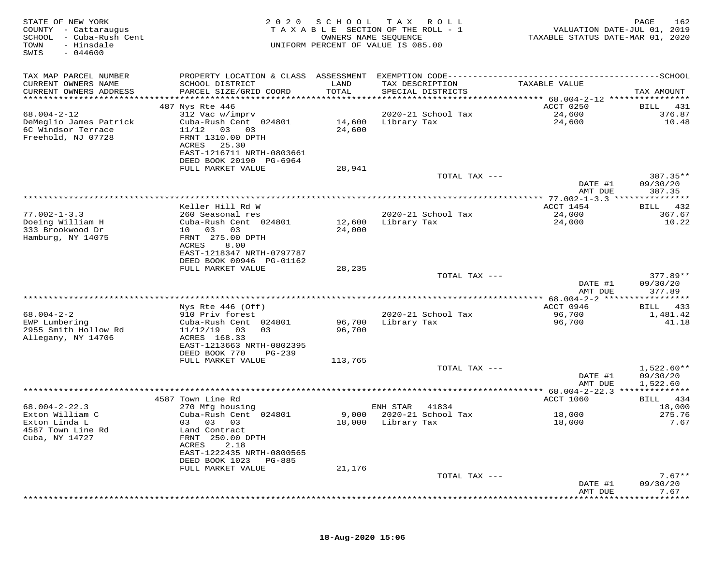| STATE OF NEW YORK<br>COUNTY - Cattaraugus<br>SCHOOL<br>- Cuba-Rush Cent<br>TOWN<br>- Hinsdale<br>SWIS<br>$-044600$ | 2 0 2 0                                                                                                                                                                      | SCHOOL           | T A X<br>R O L L<br>TAXABLE SECTION OF THE ROLL - 1<br>OWNERS NAME SEQUENCE<br>UNIFORM PERCENT OF VALUE IS 085.00 | VALUATION DATE-JUL 01, 2019<br>TAXABLE STATUS DATE-MAR 01, 2020 | PAGE<br>162                           |
|--------------------------------------------------------------------------------------------------------------------|------------------------------------------------------------------------------------------------------------------------------------------------------------------------------|------------------|-------------------------------------------------------------------------------------------------------------------|-----------------------------------------------------------------|---------------------------------------|
| TAX MAP PARCEL NUMBER<br>CURRENT OWNERS NAME<br>CURRENT OWNERS ADDRESS                                             | PROPERTY LOCATION & CLASS ASSESSMENT<br>SCHOOL DISTRICT<br>PARCEL SIZE/GRID COORD                                                                                            | LAND<br>TOTAL    | TAX DESCRIPTION<br>SPECIAL DISTRICTS                                                                              | TAXABLE VALUE                                                   | TAX AMOUNT                            |
| *******************                                                                                                |                                                                                                                                                                              | ******           |                                                                                                                   | **************************** 68.004-2-12 **********             |                                       |
| $68.004 - 2 - 12$<br>DeMeglio James Patrick<br>6C Windsor Terrace<br>Freehold, NJ 07728                            | 487 Nys Rte 446<br>312 Vac w/imprv<br>Cuba-Rush Cent 024801<br>11/12<br>03 03<br>FRNT 1310.00 DPTH<br>ACRES<br>25.30<br>EAST-1216711 NRTH-0803661<br>DEED BOOK 20190 PG-6964 | 14,600<br>24,600 | 2020-21 School Tax<br>Library Tax                                                                                 | ACCT 0250<br>24,600<br>24,600                                   | <b>BILL</b><br>431<br>376.87<br>10.48 |
|                                                                                                                    | FULL MARKET VALUE                                                                                                                                                            | 28,941           |                                                                                                                   |                                                                 |                                       |
|                                                                                                                    |                                                                                                                                                                              |                  | TOTAL TAX ---                                                                                                     | DATE #1<br>AMT DUE                                              | 387.35**<br>09/30/20<br>387.35        |
|                                                                                                                    |                                                                                                                                                                              |                  |                                                                                                                   |                                                                 | ********                              |
|                                                                                                                    | Keller Hill Rd W                                                                                                                                                             |                  |                                                                                                                   | ACCT 1454                                                       | 432<br>BILL                           |
| $77.002 - 1 - 3.3$<br>Doeing William H<br>333 Brookwood Dr<br>Hamburg, NY 14075                                    | 260 Seasonal res<br>Cuba-Rush Cent 024801<br>10 03<br>03<br>FRNT 275.00 DPTH                                                                                                 | 12,600<br>24,000 | 2020-21 School Tax<br>Library Tax                                                                                 | 24,000<br>24,000                                                | 367.67<br>10.22                       |
|                                                                                                                    | <b>ACRES</b><br>8.00<br>EAST-1218347 NRTH-0797787<br>DEED BOOK 00946 PG-01162<br>FULL MARKET VALUE                                                                           | 28,235           |                                                                                                                   |                                                                 |                                       |
|                                                                                                                    |                                                                                                                                                                              |                  | TOTAL TAX ---                                                                                                     | DATE #1                                                         | $377.89**$<br>09/30/20                |
|                                                                                                                    |                                                                                                                                                                              |                  |                                                                                                                   | AMT DUE                                                         | 377.89                                |
|                                                                                                                    | Nys Rte 446 (Off)                                                                                                                                                            |                  |                                                                                                                   | ************ 68.004-2-2 ******<br>ACCT 0946                     | ***********<br>BILL 433               |
| $68.004 - 2 - 2$                                                                                                   | 910 Priv forest                                                                                                                                                              |                  | 2020-21 School Tax                                                                                                | 96,700                                                          | 1,481.42                              |
| EWP Lumbering<br>2955 Smith Hollow Rd<br>Allegany, NY 14706                                                        | Cuba-Rush Cent 024801<br>11/12/19<br>03<br>03<br>ACRES 168.33                                                                                                                | 96,700<br>96,700 | Library Tax                                                                                                       | 96,700                                                          | 41.18                                 |
|                                                                                                                    | EAST-1213663 NRTH-0802395<br>DEED BOOK 770<br>$PG-239$                                                                                                                       |                  |                                                                                                                   |                                                                 |                                       |
|                                                                                                                    | FULL MARKET VALUE                                                                                                                                                            | 113,765          | TOTAL TAX ---                                                                                                     |                                                                 | $1,522.60**$                          |
|                                                                                                                    |                                                                                                                                                                              |                  |                                                                                                                   | DATE #1<br>AMT DUE                                              | 09/30/20<br>1,522.60                  |
|                                                                                                                    |                                                                                                                                                                              |                  |                                                                                                                   |                                                                 |                                       |
|                                                                                                                    | 4587 Town Line Rd                                                                                                                                                            |                  |                                                                                                                   | <b>ACCT 1060</b>                                                | 434<br>BILL                           |
| $68.004 - 2 - 22.3$<br>Exton William C                                                                             | 270 Mfg housing<br>Cuba-Rush Cent 024801                                                                                                                                     | 9,000            | ENH STAR<br>41834<br>2020-21 School Tax                                                                           | 18,000                                                          | 18,000<br>275.76                      |
| Exton Linda L<br>4587 Town Line Rd<br>Cuba, NY 14727                                                               | 03<br>03<br>03<br>Land Contract<br>FRNT 250.00 DPTH<br>2.18<br>ACRES                                                                                                         | 18,000           | Library Tax                                                                                                       | 18,000                                                          | 7.67                                  |
|                                                                                                                    | EAST-1222435 NRTH-0800565<br>DEED BOOK 1023<br>PG-885                                                                                                                        |                  |                                                                                                                   |                                                                 |                                       |
|                                                                                                                    | FULL MARKET VALUE                                                                                                                                                            | 21,176           |                                                                                                                   |                                                                 |                                       |
|                                                                                                                    |                                                                                                                                                                              |                  | TOTAL TAX ---                                                                                                     |                                                                 | $7.67**$                              |
|                                                                                                                    |                                                                                                                                                                              |                  |                                                                                                                   | DATE #1<br>AMT DUE                                              | 09/30/20<br>7.67                      |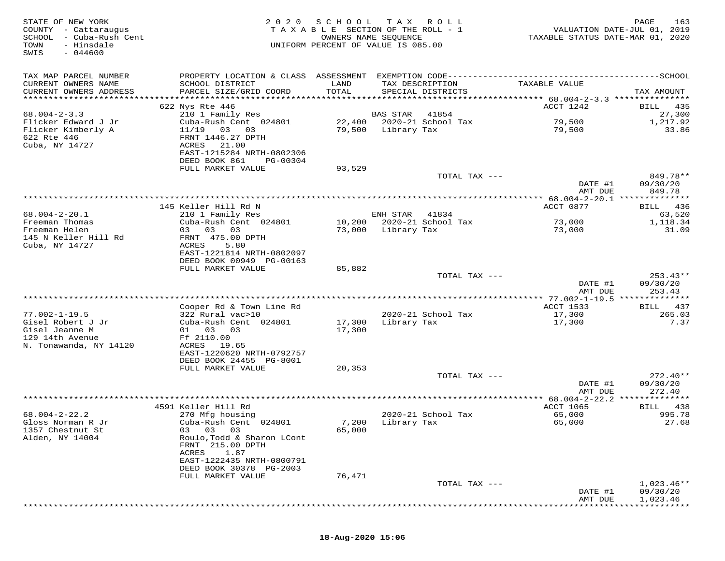| STATE OF NEW YORK<br>COUNTY - Cattaraugus<br>SCHOOL - Cuba-Rush Cent<br>- Hinsdale<br>TOWN<br>SWIS<br>$-044600$ | 2 0 2 0                                                                                                                  | SCHOOL<br>OWNERS NAME SEQUENCE   | T A X<br>R O L L<br>TAXABLE SECTION OF THE ROLL - 1<br>UNIFORM PERCENT OF VALUE IS 085.00 | VALUATION DATE-JUL 01, 2019<br>TAXABLE STATUS DATE-MAR 01, 2020 | PAGE<br>163                     |
|-----------------------------------------------------------------------------------------------------------------|--------------------------------------------------------------------------------------------------------------------------|----------------------------------|-------------------------------------------------------------------------------------------|-----------------------------------------------------------------|---------------------------------|
| TAX MAP PARCEL NUMBER<br>CURRENT OWNERS NAME<br>CURRENT OWNERS ADDRESS<br>******************                    | PROPERTY LOCATION & CLASS ASSESSMENT EXEMPTION CODE------------------------<br>SCHOOL DISTRICT<br>PARCEL SIZE/GRID COORD | LAND<br>TOTAL<br>*************** | TAX DESCRIPTION<br>SPECIAL DISTRICTS                                                      | TAXABLE VALUE                                                   | ----------SCHOOL<br>TAX AMOUNT  |
|                                                                                                                 | 622 Nys Rte 446                                                                                                          |                                  |                                                                                           | ************ 68.004-2-3.3 ****************<br>ACCT 1242         | 435<br>BILL                     |
| $68.004 - 2 - 3.3$                                                                                              | 210 1 Family Res                                                                                                         |                                  | <b>BAS STAR</b><br>41854                                                                  |                                                                 | 27,300                          |
| Flicker Edward J Jr                                                                                             | Cuba-Rush Cent 024801                                                                                                    | 22,400                           | 2020-21 School Tax                                                                        | 79,500                                                          | 1,217.92                        |
| Flicker Kimberly A<br>622 Rte 446<br>Cuba, NY 14727                                                             | 11/19 03<br>03<br>FRNT 1446.27 DPTH<br>ACRES<br>21.00<br>EAST-1215284 NRTH-0802306                                       | 79,500                           | Library Tax                                                                               | 79,500                                                          | 33.86                           |
|                                                                                                                 | DEED BOOK 861<br>PG-00304                                                                                                |                                  |                                                                                           |                                                                 |                                 |
|                                                                                                                 | FULL MARKET VALUE                                                                                                        | 93,529                           |                                                                                           |                                                                 |                                 |
|                                                                                                                 |                                                                                                                          |                                  | TOTAL TAX ---                                                                             | DATE #1                                                         | 849.78**<br>09/30/20            |
|                                                                                                                 |                                                                                                                          |                                  |                                                                                           | AMT DUE                                                         | 849.78                          |
|                                                                                                                 |                                                                                                                          |                                  |                                                                                           |                                                                 |                                 |
| $68.004 - 2 - 20.1$                                                                                             | 145 Keller Hill Rd N<br>210 1 Family Res                                                                                 |                                  | ENH STAR<br>41834                                                                         | ACCT 0877                                                       | 436<br>BILL<br>63,520           |
| Freeman Thomas                                                                                                  | Cuba-Rush Cent 024801                                                                                                    |                                  | 10,200 2020-21 School Tax                                                                 | 73,000                                                          | 1,118.34                        |
| Freeman Helen                                                                                                   | 03 03<br>03                                                                                                              | 73,000                           | Library Tax                                                                               | 73,000                                                          | 31.09                           |
| 145 N Keller Hill Rd                                                                                            | FRNT 475.00 DPTH                                                                                                         |                                  |                                                                                           |                                                                 |                                 |
| Cuba, NY 14727                                                                                                  | ACRES<br>5.80<br>EAST-1221814 NRTH-0802097                                                                               |                                  |                                                                                           |                                                                 |                                 |
|                                                                                                                 | DEED BOOK 00949 PG-00163                                                                                                 |                                  |                                                                                           |                                                                 |                                 |
|                                                                                                                 | FULL MARKET VALUE                                                                                                        | 85,882                           |                                                                                           |                                                                 |                                 |
|                                                                                                                 |                                                                                                                          |                                  | TOTAL TAX ---                                                                             |                                                                 | $253.43**$                      |
|                                                                                                                 |                                                                                                                          |                                  |                                                                                           | DATE #1<br>AMT DUE                                              | 09/30/20<br>253.43              |
|                                                                                                                 |                                                                                                                          |                                  |                                                                                           |                                                                 |                                 |
|                                                                                                                 | Cooper Rd & Town Line Rd                                                                                                 |                                  |                                                                                           | ACCT 1533                                                       | BILL 437                        |
| $77.002 - 1 - 19.5$                                                                                             | 322 Rural vac>10                                                                                                         |                                  | 2020-21 School Tax                                                                        | 17,300                                                          | 265.03<br>7.37                  |
| Gisel Robert J Jr<br>Gisel Jeanne M                                                                             | Cuba-Rush Cent 024801<br>01 03<br>03                                                                                     | 17,300<br>17,300                 | Library Tax                                                                               | 17,300                                                          |                                 |
| 129 14th Avenue                                                                                                 | Ff 2110.00                                                                                                               |                                  |                                                                                           |                                                                 |                                 |
| N. Tonawanda, NY 14120                                                                                          | ACRES 19.65                                                                                                              |                                  |                                                                                           |                                                                 |                                 |
|                                                                                                                 | EAST-1220620 NRTH-0792757<br>DEED BOOK 24455 PG-8001                                                                     |                                  |                                                                                           |                                                                 |                                 |
|                                                                                                                 | FULL MARKET VALUE                                                                                                        | 20,353                           |                                                                                           |                                                                 |                                 |
|                                                                                                                 |                                                                                                                          |                                  | TOTAL TAX ---                                                                             |                                                                 | 272.40**                        |
|                                                                                                                 |                                                                                                                          |                                  |                                                                                           | DATE #1                                                         | 09/30/20                        |
|                                                                                                                 |                                                                                                                          |                                  |                                                                                           | AMT DUE<br>** 68.004-2-22.2                                     | 272.40<br>* * * * * * * * * * * |
|                                                                                                                 | 4591 Keller Hill Rd                                                                                                      |                                  |                                                                                           | <b>ACCT 1065</b>                                                | 438<br>BILL                     |
| $68.004 - 2 - 22.2$                                                                                             | 270 Mfg housing                                                                                                          |                                  | 2020-21 School Tax                                                                        | 65,000                                                          | 995.78                          |
| Gloss Norman R Jr                                                                                               | Cuba-Rush Cent 024801                                                                                                    | 7,200                            | Library Tax                                                                               | 65,000                                                          | 27.68                           |
| 1357 Chestnut St<br>Alden, NY 14004                                                                             | 03 03<br>03<br>Roulo, Todd & Sharon LCont                                                                                | 65,000                           |                                                                                           |                                                                 |                                 |
|                                                                                                                 | FRNT 215.00 DPTH                                                                                                         |                                  |                                                                                           |                                                                 |                                 |
|                                                                                                                 | 1.87<br>ACRES                                                                                                            |                                  |                                                                                           |                                                                 |                                 |
|                                                                                                                 | EAST-1222435 NRTH-0800791                                                                                                |                                  |                                                                                           |                                                                 |                                 |
|                                                                                                                 | DEED BOOK 30378 PG-2003<br>FULL MARKET VALUE                                                                             | 76,471                           |                                                                                           |                                                                 |                                 |
|                                                                                                                 |                                                                                                                          |                                  | TOTAL TAX ---                                                                             |                                                                 | $1,023.46**$                    |
|                                                                                                                 |                                                                                                                          |                                  |                                                                                           | DATE #1                                                         | 09/30/20                        |
|                                                                                                                 |                                                                                                                          |                                  |                                                                                           | AMT DUE                                                         | 1,023.46                        |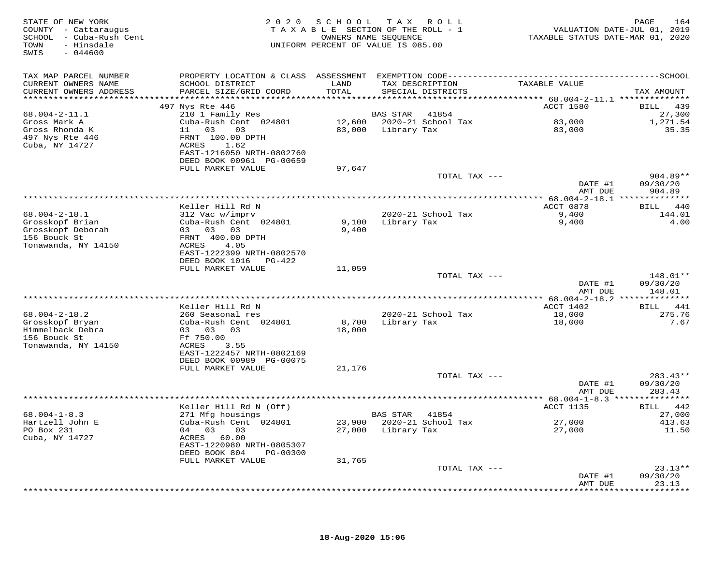| STATE OF NEW YORK<br>COUNTY - Cattaraugus<br>SCHOOL - Cuba-Rush Cent<br>- Hinsdale<br>TOWN<br>$-044600$<br>SWIS | 2 0 2 0                                    | SCHOOL        | TAX ROLL<br>TAXABLE SECTION OF THE ROLL - 1<br>OWNERS NAME SEQUENCE<br>UNIFORM PERCENT OF VALUE IS 085.00 | VALUATION DATE-JUL 01, 2019<br>TAXABLE STATUS DATE-MAR 01, 2020 | PAGE<br>164          |
|-----------------------------------------------------------------------------------------------------------------|--------------------------------------------|---------------|-----------------------------------------------------------------------------------------------------------|-----------------------------------------------------------------|----------------------|
| TAX MAP PARCEL NUMBER                                                                                           |                                            |               |                                                                                                           |                                                                 |                      |
| CURRENT OWNERS NAME<br>CURRENT OWNERS ADDRESS<br>***********************                                        | SCHOOL DISTRICT<br>PARCEL SIZE/GRID COORD  | LAND<br>TOTAL | TAX DESCRIPTION<br>SPECIAL DISTRICTS                                                                      | TAXABLE VALUE                                                   | TAX AMOUNT           |
|                                                                                                                 | 497 Nys Rte 446                            |               |                                                                                                           | ACCT 1580                                                       | BILL 439             |
| $68.004 - 2 - 11.1$                                                                                             | 210 1 Family Res                           |               | BAS STAR<br>41854                                                                                         |                                                                 | 27,300               |
| Gross Mark A                                                                                                    | Cuba-Rush Cent 024801                      |               | 12,600 2020-21 School Tax                                                                                 | 83,000                                                          | 1,271.54             |
| Gross Rhonda K                                                                                                  | 11 03<br>03                                |               | 83,000 Library Tax                                                                                        | 83,000                                                          | 35.35                |
| 497 Nys Rte 446                                                                                                 | FRNT 100.00 DPTH                           |               |                                                                                                           |                                                                 |                      |
| Cuba, NY 14727                                                                                                  | ACRES<br>1.62                              |               |                                                                                                           |                                                                 |                      |
|                                                                                                                 | EAST-1216050 NRTH-0802760                  |               |                                                                                                           |                                                                 |                      |
|                                                                                                                 | DEED BOOK 00961 PG-00659                   |               |                                                                                                           |                                                                 |                      |
|                                                                                                                 | FULL MARKET VALUE                          | 97,647        |                                                                                                           |                                                                 |                      |
|                                                                                                                 |                                            |               | TOTAL TAX ---                                                                                             | DATE #1                                                         | 904.89**<br>09/30/20 |
|                                                                                                                 |                                            |               |                                                                                                           | AMT DUE                                                         | 904.89               |
|                                                                                                                 |                                            |               |                                                                                                           |                                                                 |                      |
|                                                                                                                 | Keller Hill Rd N                           |               |                                                                                                           | ACCT 0878                                                       | BILL 440             |
| $68.004 - 2 - 18.1$                                                                                             | 312 Vac w/imprv                            |               | 2020-21 School Tax                                                                                        | 9,400                                                           | 144.01               |
| Grosskopf Brian                                                                                                 | Cuba-Rush Cent 024801                      | 9,100         | Library Tax                                                                                               | 9,400                                                           | 4.00                 |
| Grosskopf Deborah                                                                                               | 03 03 03                                   | 9,400         |                                                                                                           |                                                                 |                      |
| 156 Bouck St                                                                                                    | FRNT 400.00 DPTH                           |               |                                                                                                           |                                                                 |                      |
| Tonawanda, NY 14150                                                                                             | ACRES<br>4.05<br>EAST-1222399 NRTH-0802570 |               |                                                                                                           |                                                                 |                      |
|                                                                                                                 | DEED BOOK 1016 PG-422                      |               |                                                                                                           |                                                                 |                      |
|                                                                                                                 | FULL MARKET VALUE                          | 11,059        |                                                                                                           |                                                                 |                      |
|                                                                                                                 |                                            |               | TOTAL TAX ---                                                                                             |                                                                 | 148.01**             |
|                                                                                                                 |                                            |               |                                                                                                           | DATE #1                                                         | 09/30/20             |
|                                                                                                                 |                                            |               |                                                                                                           | AMT DUE                                                         | 148.01               |
|                                                                                                                 |                                            |               |                                                                                                           |                                                                 |                      |
|                                                                                                                 | Keller Hill Rd N                           |               |                                                                                                           | ACCT 1402                                                       | BILL 441             |
| $68.004 - 2 - 18.2$<br>Grosskopf Bryan                                                                          | 260 Seasonal res<br>Cuba-Rush Cent 024801  | 8,700         | 2020-21 School Tax<br>Library Tax                                                                         | 18,000<br>18,000                                                | 275.76<br>7.67       |
| Himmelback Debra                                                                                                | 03 03 03                                   | 18,000        |                                                                                                           |                                                                 |                      |
| 156 Bouck St                                                                                                    | Ff 750.00                                  |               |                                                                                                           |                                                                 |                      |
| Tonawanda, NY 14150                                                                                             | ACRES<br>3.55                              |               |                                                                                                           |                                                                 |                      |
|                                                                                                                 | EAST-1222457 NRTH-0802169                  |               |                                                                                                           |                                                                 |                      |
|                                                                                                                 | DEED BOOK 00989 PG-00075                   |               |                                                                                                           |                                                                 |                      |
|                                                                                                                 | FULL MARKET VALUE                          | 21,176        |                                                                                                           |                                                                 |                      |
|                                                                                                                 |                                            |               | TOTAL TAX ---                                                                                             |                                                                 | $283.43**$           |
|                                                                                                                 |                                            |               |                                                                                                           | DATE #1                                                         | 09/30/20             |
|                                                                                                                 |                                            |               |                                                                                                           | AMT DUE                                                         | 283.43               |
|                                                                                                                 | Keller Hill Rd N (Off)                     |               |                                                                                                           | <b>ACCT 1135</b>                                                | BILL 442             |
| $68.004 - 1 - 8.3$                                                                                              | 271 Mfg housings                           |               | BAS STAR 41854                                                                                            |                                                                 | 27,000               |
| Hartzell John E                                                                                                 | Cuba-Rush Cent 024801                      |               | 23,900 2020-21 School Tax                                                                                 | 27,000                                                          | 413.63               |
| PO Box 231                                                                                                      | 04 03<br>03                                |               | 27,000 Library Tax                                                                                        | 27,000                                                          | 11.50                |
| Cuba, NY 14727                                                                                                  | ACRES 60.00                                |               |                                                                                                           |                                                                 |                      |
|                                                                                                                 | EAST-1220980 NRTH-0805307                  |               |                                                                                                           |                                                                 |                      |
|                                                                                                                 | DEED BOOK 804<br>PG-00300                  |               |                                                                                                           |                                                                 |                      |
|                                                                                                                 | FULL MARKET VALUE                          | 31,765        |                                                                                                           |                                                                 | $23.13**$            |
|                                                                                                                 |                                            |               | TOTAL TAX ---                                                                                             | DATE #1                                                         | 09/30/20             |
|                                                                                                                 |                                            |               |                                                                                                           | AMT DUE                                                         | 23.13                |
|                                                                                                                 |                                            |               |                                                                                                           |                                                                 |                      |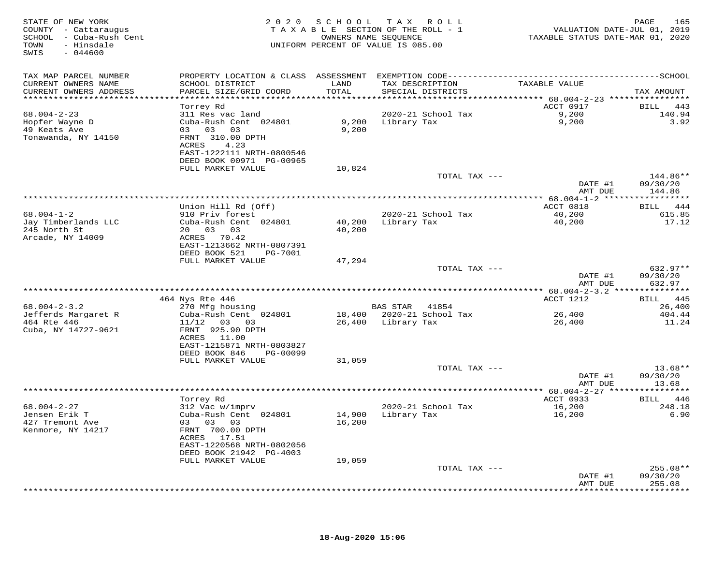| STATE OF NEW YORK<br>COUNTY - Cattaraugus<br>SCHOOL - Cuba-Rush Cent<br>TOWN<br>- Hinsdale<br>SWIS<br>$-044600$ |                                                       |               | 2020 SCHOOL TAX ROLL<br>TAXABLE SECTION OF THE ROLL - 1<br>OWNERS NAME SEQUENCE<br>UNIFORM PERCENT OF VALUE IS 085.00 | VALUATION DATE-JUL 01, 2019<br>TAXABLE STATUS DATE-MAR 01, 2020 | 165<br>PAGE                   |
|-----------------------------------------------------------------------------------------------------------------|-------------------------------------------------------|---------------|-----------------------------------------------------------------------------------------------------------------------|-----------------------------------------------------------------|-------------------------------|
| TAX MAP PARCEL NUMBER                                                                                           |                                                       |               |                                                                                                                       |                                                                 |                               |
| CURRENT OWNERS NAME<br>CURRENT OWNERS ADDRESS                                                                   | SCHOOL DISTRICT<br>PARCEL SIZE/GRID COORD             | LAND<br>TOTAL | TAX DESCRIPTION<br>SPECIAL DISTRICTS                                                                                  | TAXABLE VALUE                                                   | TAX AMOUNT                    |
|                                                                                                                 | Torrey Rd                                             |               |                                                                                                                       | ACCT 0917                                                       | <b>BILL</b><br>443            |
| $68.004 - 2 - 23$                                                                                               | 311 Res vac land                                      |               | 2020-21 School Tax                                                                                                    | 9,200                                                           | 140.94                        |
| Hopfer Wayne D                                                                                                  | Cuba-Rush Cent 024801                                 |               | 9,200 Library Tax                                                                                                     | 9,200                                                           | 3.92                          |
| 49 Keats Ave                                                                                                    | 03 03 03                                              | 9,200         |                                                                                                                       |                                                                 |                               |
| Tonawanda, NY 14150                                                                                             | FRNT 310.00 DPTH                                      |               |                                                                                                                       |                                                                 |                               |
|                                                                                                                 | ACRES<br>4.23                                         |               |                                                                                                                       |                                                                 |                               |
|                                                                                                                 | EAST-1222111 NRTH-0800546<br>DEED BOOK 00971 PG-00965 |               |                                                                                                                       |                                                                 |                               |
|                                                                                                                 | FULL MARKET VALUE                                     | 10,824        |                                                                                                                       |                                                                 |                               |
|                                                                                                                 |                                                       |               | TOTAL TAX ---                                                                                                         |                                                                 | 144.86**                      |
|                                                                                                                 |                                                       |               |                                                                                                                       | DATE #1<br>AMT DUE                                              | 09/30/20<br>144.86            |
|                                                                                                                 |                                                       |               |                                                                                                                       | **************** 68.004-1-2 *****                               | ***********                   |
|                                                                                                                 | Union Hill Rd (Off)                                   |               |                                                                                                                       | ACCT 0818                                                       | BILL 444                      |
| $68.004 - 1 - 2$                                                                                                | 910 Priv forest                                       |               | 2020-21 School Tax                                                                                                    | 40,200                                                          | 615.85                        |
| Jay Timberlands LLC                                                                                             | Cuba-Rush Cent 024801                                 | 40,200        | Library Tax                                                                                                           | 40,200                                                          | 17.12                         |
| 245 North St                                                                                                    | 20  03  03                                            | 40,200        |                                                                                                                       |                                                                 |                               |
| Arcade, NY 14009                                                                                                | ACRES 70.42<br>EAST-1213662 NRTH-0807391              |               |                                                                                                                       |                                                                 |                               |
|                                                                                                                 | DEED BOOK 521<br>PG-7001                              |               |                                                                                                                       |                                                                 |                               |
|                                                                                                                 | FULL MARKET VALUE                                     | 47,294        |                                                                                                                       |                                                                 |                               |
|                                                                                                                 |                                                       |               | TOTAL TAX ---                                                                                                         |                                                                 | 632.97**                      |
|                                                                                                                 |                                                       |               |                                                                                                                       | DATE #1                                                         | 09/30/20                      |
|                                                                                                                 |                                                       |               |                                                                                                                       | AMT DUE                                                         | 632.97<br>************        |
|                                                                                                                 | 464 Nys Rte 446                                       |               |                                                                                                                       | ACCT 1212                                                       | BILL 445                      |
| $68.004 - 2 - 3.2$                                                                                              | 270 Mfg housing                                       |               | BAS STAR 41854                                                                                                        |                                                                 | 26,400                        |
| Jefferds Margaret R                                                                                             | Cuba-Rush Cent 024801                                 |               | 18,400 2020-21 School Tax                                                                                             | 26,400                                                          | 404.44                        |
| 464 Rte 446                                                                                                     | 11/12  03  03                                         |               | 26,400 Library Tax                                                                                                    | 26,400                                                          | 11.24                         |
| Cuba, NY 14727-9621                                                                                             | FRNT 925.90 DPTH                                      |               |                                                                                                                       |                                                                 |                               |
|                                                                                                                 | ACRES 11.00<br>EAST-1215871 NRTH-0803827              |               |                                                                                                                       |                                                                 |                               |
|                                                                                                                 | DEED BOOK 846 PG-00099                                |               |                                                                                                                       |                                                                 |                               |
|                                                                                                                 | FULL MARKET VALUE                                     | 31,059        |                                                                                                                       |                                                                 |                               |
|                                                                                                                 |                                                       |               | TOTAL TAX ---                                                                                                         |                                                                 | $13.68**$                     |
|                                                                                                                 |                                                       |               |                                                                                                                       | DATE #1                                                         | 09/30/20                      |
|                                                                                                                 |                                                       |               |                                                                                                                       | AMT DUE                                                         | 13.68                         |
|                                                                                                                 | Torrey Rd                                             |               |                                                                                                                       | ACCT 0933                                                       | BILL 446                      |
| $68.004 - 2 - 27$                                                                                               | 312 Vac w/imprv                                       |               | 2020-21 School Tax                                                                                                    | 16,200                                                          | 248.18                        |
| Jensen Erik T                                                                                                   | Cuba-Rush Cent 024801                                 |               | 14,900 Library Tax                                                                                                    | 16,200                                                          | 6.90                          |
| 427 Tremont Ave                                                                                                 | 03 03 03                                              | 16,200        |                                                                                                                       |                                                                 |                               |
| Kenmore, NY 14217                                                                                               | FRNT 700.00 DPTH<br>ACRES 17.51                       |               |                                                                                                                       |                                                                 |                               |
|                                                                                                                 | EAST-1220568 NRTH-0802056                             |               |                                                                                                                       |                                                                 |                               |
|                                                                                                                 | DEED BOOK 21942 PG-4003                               |               |                                                                                                                       |                                                                 |                               |
|                                                                                                                 | FULL MARKET VALUE                                     | 19,059        |                                                                                                                       |                                                                 |                               |
|                                                                                                                 |                                                       |               | TOTAL TAX ---                                                                                                         |                                                                 | 255.08**                      |
|                                                                                                                 |                                                       |               |                                                                                                                       | DATE #1                                                         | 09/30/20                      |
|                                                                                                                 |                                                       |               |                                                                                                                       | AMT DUE                                                         | 255.08<br>* * * * * * * * * * |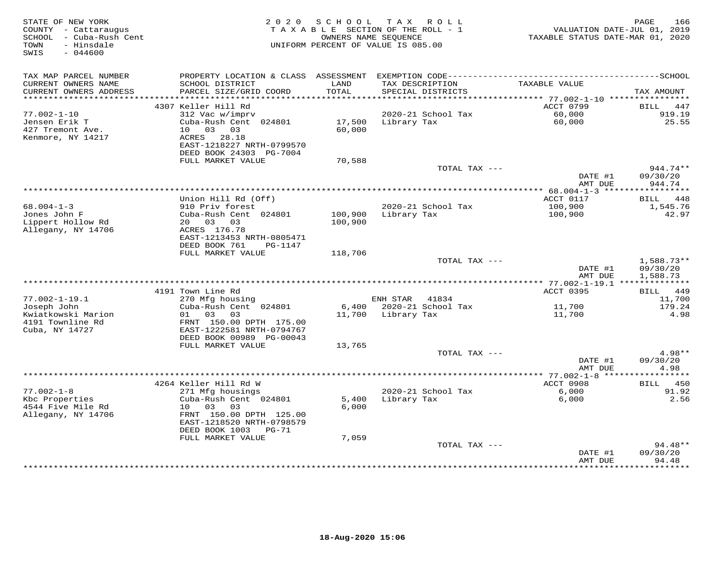| STATE OF NEW YORK<br>COUNTY - Cattaraugus<br>SCHOOL - Cuba-Rush Cent<br>TOWN<br>- Hinsdale<br>SWIS<br>$-044600$ | 2 0 2 0                                              | S C H O O L        | T A X<br>R O L L<br>TAXABLE SECTION OF THE ROLL - 1<br>OWNERS NAME SEQUENCE<br>UNIFORM PERCENT OF VALUE IS 085.00 | VALUATION DATE-JUL 01, 2019<br>TAXABLE STATUS DATE-MAR 01, 2020 | 166<br>PAGE           |
|-----------------------------------------------------------------------------------------------------------------|------------------------------------------------------|--------------------|-------------------------------------------------------------------------------------------------------------------|-----------------------------------------------------------------|-----------------------|
| TAX MAP PARCEL NUMBER                                                                                           |                                                      |                    |                                                                                                                   |                                                                 |                       |
| CURRENT OWNERS NAME<br>CURRENT OWNERS ADDRESS                                                                   | SCHOOL DISTRICT<br>PARCEL SIZE/GRID COORD            | LAND<br>TOTAL      | TAX DESCRIPTION<br>SPECIAL DISTRICTS                                                                              | TAXABLE VALUE                                                   | TAX AMOUNT            |
|                                                                                                                 |                                                      |                    |                                                                                                                   | ACCT 0799                                                       |                       |
| $77.002 - 1 - 10$                                                                                               | 4307 Keller Hill Rd<br>312 Vac w/imprv               |                    | 2020-21 School Tax                                                                                                | 60,000                                                          | BILL<br>447<br>919.19 |
| Jensen Erik T                                                                                                   | Cuba-Rush Cent 024801                                | 17,500             | Library Tax                                                                                                       | 60,000                                                          | 25.55                 |
| 427 Tremont Ave.                                                                                                | 10 03 03                                             | 60,000             |                                                                                                                   |                                                                 |                       |
| Kenmore, NY 14217                                                                                               | ACRES 28.18<br>EAST-1218227 NRTH-0799570             |                    |                                                                                                                   |                                                                 |                       |
|                                                                                                                 | DEED BOOK 24303 PG-7004                              |                    |                                                                                                                   |                                                                 |                       |
|                                                                                                                 | FULL MARKET VALUE                                    | 70,588             | TOTAL TAX ---                                                                                                     |                                                                 | 944.74**              |
|                                                                                                                 |                                                      |                    |                                                                                                                   | DATE #1<br>AMT DUE                                              | 09/30/20<br>944.74    |
|                                                                                                                 |                                                      |                    |                                                                                                                   | ************* 68.004-1-3 ******                                 | ***********           |
|                                                                                                                 | Union Hill Rd (Off)                                  |                    |                                                                                                                   | ACCT 0117                                                       | BILL 448              |
| $68.004 - 1 - 3$                                                                                                | 910 Priv forest                                      |                    | 2020-21 School Tax                                                                                                | 100,900                                                         | 1,545.76              |
| Jones John F<br>Lippert Hollow Rd                                                                               | Cuba-Rush Cent 024801<br>20 03 03                    | 100,900<br>100,900 | Library Tax                                                                                                       | 100,900                                                         | 42.97                 |
| Allegany, NY 14706                                                                                              | ACRES 176.78                                         |                    |                                                                                                                   |                                                                 |                       |
|                                                                                                                 | EAST-1213453 NRTH-0805471                            |                    |                                                                                                                   |                                                                 |                       |
|                                                                                                                 | DEED BOOK 761<br>PG-1147                             |                    |                                                                                                                   |                                                                 |                       |
|                                                                                                                 | FULL MARKET VALUE                                    | 118,706            |                                                                                                                   |                                                                 |                       |
|                                                                                                                 |                                                      |                    | TOTAL TAX ---                                                                                                     |                                                                 | $1,588.73**$          |
|                                                                                                                 |                                                      |                    |                                                                                                                   | DATE #1<br>AMT DUE                                              | 09/30/20<br>1,588.73  |
|                                                                                                                 |                                                      |                    |                                                                                                                   |                                                                 |                       |
|                                                                                                                 | 4191 Town Line Rd                                    |                    |                                                                                                                   | ACCT 0395                                                       | BILL 449              |
| $77.002 - 1 - 19.1$                                                                                             | 270 Mfg housing                                      |                    | ENH STAR 41834                                                                                                    |                                                                 | 11,700                |
| Joseph John                                                                                                     | Cuba-Rush Cent 024801                                |                    | 6,400 2020-21 School Tax                                                                                          | 11,700                                                          | 179.24                |
| Kwiatkowski Marion<br>4191 Townline Rd                                                                          | 01 03<br>03<br>FRNT 150.00 DPTH 175.00               |                    | 11,700 Library Tax                                                                                                | 11,700                                                          | 4.98                  |
| Cuba, NY 14727                                                                                                  | EAST-1222581 NRTH-0794767                            |                    |                                                                                                                   |                                                                 |                       |
|                                                                                                                 | DEED BOOK 00989 PG-00043                             |                    |                                                                                                                   |                                                                 |                       |
|                                                                                                                 | FULL MARKET VALUE                                    | 13,765             |                                                                                                                   |                                                                 |                       |
|                                                                                                                 |                                                      |                    | TOTAL TAX ---                                                                                                     |                                                                 | $4.98**$              |
|                                                                                                                 |                                                      |                    |                                                                                                                   | DATE #1                                                         | 09/30/20              |
|                                                                                                                 |                                                      |                    |                                                                                                                   | AMT DUE                                                         | 4.98<br>***********   |
|                                                                                                                 | 4264 Keller Hill Rd W                                |                    |                                                                                                                   | ACCT 0908                                                       | 450<br><b>BILL</b>    |
| $77.002 - 1 - 8$                                                                                                | 271 Mfg housings                                     |                    | 2020-21 School Tax                                                                                                | 6,000                                                           | 91.92                 |
| Kbc Properties                                                                                                  | Cuba-Rush Cent 024801                                | 5,400              | Library Tax                                                                                                       | 6,000                                                           | 2.56                  |
| 4544 Five Mile Rd                                                                                               | 10 03<br>03                                          | 6,000              |                                                                                                                   |                                                                 |                       |
| Allegany, NY 14706                                                                                              | FRNT 150.00 DPTH 125.00<br>EAST-1218520 NRTH-0798579 |                    |                                                                                                                   |                                                                 |                       |
|                                                                                                                 | DEED BOOK 1003 PG-71                                 |                    |                                                                                                                   |                                                                 |                       |
|                                                                                                                 | FULL MARKET VALUE                                    | 7,059              |                                                                                                                   |                                                                 |                       |
|                                                                                                                 |                                                      |                    | TOTAL TAX ---                                                                                                     |                                                                 | 94.48**               |
|                                                                                                                 |                                                      |                    |                                                                                                                   | DATE #1                                                         | 09/30/20              |
|                                                                                                                 |                                                      |                    |                                                                                                                   | AMT DUE<br>* * * * * * * * * * * * * * * *                      | 94.48<br>*********    |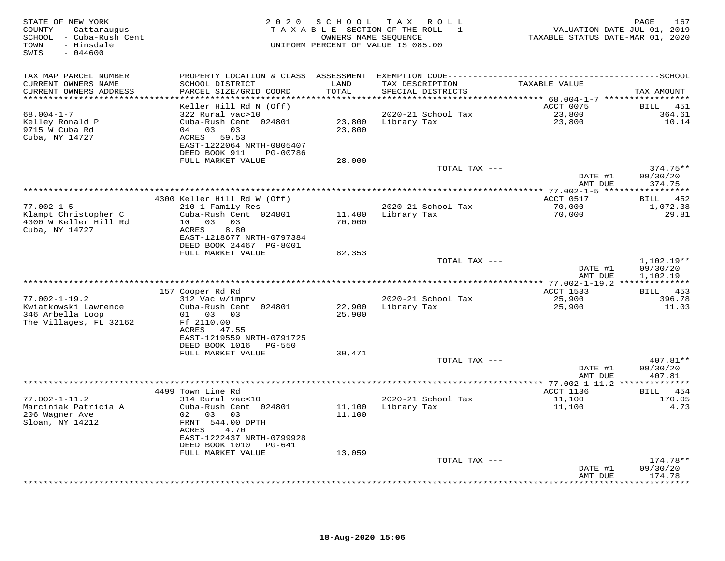| STATE OF NEW YORK<br>COUNTY - Cattaraugus<br>SCHOOL - Cuba-Rush Cent<br>TOWN<br>- Hinsdale<br>SWIS<br>$-044600$ | 2 0 2 0                                                                                                                    | S C H O O L      | TAX ROLL<br>TAXABLE SECTION OF THE ROLL - 1<br>OWNERS NAME SEQUENCE<br>UNIFORM PERCENT OF VALUE IS 085.00 | VALUATION DATE-JUL 01, 2019<br>TAXABLE STATUS DATE-MAR 01, 2020 | 167<br>PAGE                          |
|-----------------------------------------------------------------------------------------------------------------|----------------------------------------------------------------------------------------------------------------------------|------------------|-----------------------------------------------------------------------------------------------------------|-----------------------------------------------------------------|--------------------------------------|
| TAX MAP PARCEL NUMBER                                                                                           |                                                                                                                            |                  |                                                                                                           |                                                                 |                                      |
| CURRENT OWNERS NAME<br>CURRENT OWNERS ADDRESS                                                                   | SCHOOL DISTRICT<br>PARCEL SIZE/GRID COORD                                                                                  | LAND<br>TOTAL    | TAX DESCRIPTION<br>SPECIAL DISTRICTS                                                                      | TAXABLE VALUE                                                   | TAX AMOUNT                           |
| **********************                                                                                          | Keller Hill Rd N (Off)                                                                                                     | ***********      |                                                                                                           | ACCT 0075                                                       | BILL<br>451                          |
| $68.004 - 1 - 7$<br>Kelley Ronald P<br>9715 W Cuba Rd<br>Cuba, NY 14727                                         | 322 Rural vac>10<br>Cuba-Rush Cent 024801<br>04 03<br>03<br>ACRES 59.53<br>EAST-1222064 NRTH-0805407                       | 23,800<br>23,800 | 2020-21 School Tax<br>Library Tax                                                                         | 23,800<br>23,800                                                | 364.61<br>10.14                      |
|                                                                                                                 | DEED BOOK 911<br>PG-00786<br>FULL MARKET VALUE                                                                             | 28,000           |                                                                                                           |                                                                 |                                      |
|                                                                                                                 |                                                                                                                            |                  | TOTAL TAX ---                                                                                             | DATE #1                                                         | $374.75**$<br>09/30/20               |
|                                                                                                                 |                                                                                                                            |                  |                                                                                                           | AMT DUE                                                         | 374.75                               |
|                                                                                                                 | 4300 Keller Hill Rd W (Off)                                                                                                |                  |                                                                                                           | ACCT 0517                                                       | BILL 452                             |
| $77.002 - 1 - 5$<br>Klampt Christopher C<br>4300 W Keller Hill Rd<br>Cuba, NY 14727                             | 210 1 Family Res<br>Cuba-Rush Cent 024801<br>10 03<br>03<br>8.80<br>ACRES                                                  | 11,400<br>70,000 | 2020-21 School Tax<br>Library Tax                                                                         | 70,000<br>70,000                                                | 1,072.38<br>29.81                    |
|                                                                                                                 | EAST-1218677 NRTH-0797384<br>DEED BOOK 24467 PG-8001                                                                       |                  |                                                                                                           |                                                                 |                                      |
|                                                                                                                 | FULL MARKET VALUE                                                                                                          | 82,353           | TOTAL TAX ---                                                                                             | DATE #1<br>AMT DUE                                              | $1,102.19**$<br>09/30/20<br>1,102.19 |
|                                                                                                                 | 157 Cooper Rd Rd                                                                                                           |                  |                                                                                                           | ACCT 1533                                                       | 453<br>BILL                          |
| $77.002 - 1 - 19.2$<br>Kwiatkowski Lawrence<br>346 Arbella Loop<br>The Villages, FL 32162                       | 312 Vac w/imprv<br>Cuba-Rush Cent 024801<br>01 03<br>03<br>Ff 2110.00<br>ACRES 47.55<br>EAST-1219559 NRTH-0791725          | 22,900<br>25,900 | 2020-21 School Tax<br>Library Tax                                                                         | 25,900<br>25,900                                                | 396.78<br>11.03                      |
|                                                                                                                 | DEED BOOK 1016<br>PG-550                                                                                                   |                  |                                                                                                           |                                                                 |                                      |
|                                                                                                                 | FULL MARKET VALUE                                                                                                          | 30,471           | TOTAL TAX ---                                                                                             |                                                                 | 407.81**                             |
|                                                                                                                 |                                                                                                                            |                  |                                                                                                           | DATE #1<br>AMT DUE                                              | 09/30/20<br>407.81                   |
|                                                                                                                 | 4499 Town Line Rd                                                                                                          |                  |                                                                                                           | ACCT 1136                                                       | 454<br>BILL                          |
| $77.002 - 1 - 11.2$<br>Marciniak Patricia A<br>206 Wagner Ave<br>Sloan, NY 14212                                | 314 Rural vac<10<br>Cuba-Rush Cent 024801<br>02 03<br>03<br>FRNT 544.00 DPTH<br>4.70<br>ACRES<br>EAST-1222437 NRTH-0799928 | 11,100<br>11,100 | 2020-21 School Tax<br>Library Tax                                                                         | 11,100<br>11,100                                                | 170.05<br>4.73                       |
|                                                                                                                 | DEED BOOK 1010<br>PG-641                                                                                                   |                  |                                                                                                           |                                                                 |                                      |
|                                                                                                                 | FULL MARKET VALUE                                                                                                          | 13,059           | TOTAL TAX ---                                                                                             | DATE #1                                                         | $174.78**$<br>09/30/20               |
|                                                                                                                 |                                                                                                                            |                  |                                                                                                           | AMT DUE                                                         | 174.78<br>* * * * * * * *            |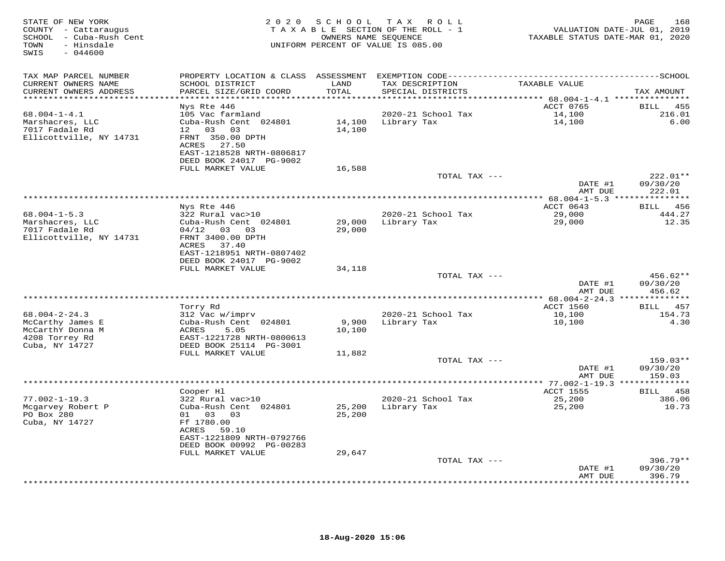| STATE OF NEW YORK<br>COUNTY - Cattaraugus<br>SCHOOL - Cuba-Rush Cent<br>- Hinsdale<br>TOWN<br>$-044600$<br>SWIS | 2 0 2 0                                                                                                | SCHOOL           | TAX ROLL<br>TAXABLE SECTION OF THE ROLL - 1<br>OWNERS NAME SEQUENCE<br>UNIFORM PERCENT OF VALUE IS 085.00 | VALUATION DATE-JUL 01, 2019<br>TAXABLE STATUS DATE-MAR 01, 2020 | PAGE<br>168               |
|-----------------------------------------------------------------------------------------------------------------|--------------------------------------------------------------------------------------------------------|------------------|-----------------------------------------------------------------------------------------------------------|-----------------------------------------------------------------|---------------------------|
| TAX MAP PARCEL NUMBER<br>CURRENT OWNERS NAME                                                                    | SCHOOL DISTRICT                                                                                        | LAND             | TAX DESCRIPTION                                                                                           | TAXABLE VALUE                                                   |                           |
| CURRENT OWNERS ADDRESS<br>***********************                                                               | PARCEL SIZE/GRID COORD                                                                                 | TOTAL            | SPECIAL DISTRICTS                                                                                         |                                                                 | TAX AMOUNT                |
|                                                                                                                 | Nys Rte 446                                                                                            |                  |                                                                                                           | ACCT 0765                                                       | BILL<br>455               |
| $68.004 - 1 - 4.1$<br>Marshacres, LLC                                                                           | 105 Vac farmland<br>Cuba-Rush Cent 024801                                                              | 14,100           | 2020-21 School Tax<br>Library Tax                                                                         | 14,100<br>14,100                                                | 216.01<br>6.00            |
| 7017 Fadale Rd<br>Ellicottville, NY 14731                                                                       | 12<br>03 03<br>FRNT 350.00 DPTH<br>ACRES 27.50<br>EAST-1218528 NRTH-0806817<br>DEED BOOK 24017 PG-9002 | 14,100           |                                                                                                           |                                                                 |                           |
|                                                                                                                 | FULL MARKET VALUE                                                                                      | 16,588           |                                                                                                           |                                                                 |                           |
|                                                                                                                 |                                                                                                        |                  | TOTAL TAX ---                                                                                             |                                                                 | 222.01**                  |
|                                                                                                                 |                                                                                                        |                  |                                                                                                           | DATE #1<br>AMT DUE                                              | 09/30/20<br>222.01        |
|                                                                                                                 | Nys Rte 446                                                                                            |                  |                                                                                                           | ACCT 0643                                                       | 456<br>BILL               |
| $68.004 - 1 - 5.3$                                                                                              | 322 Rural vac>10                                                                                       |                  | 2020-21 School Tax                                                                                        | 29,000                                                          | 444.27                    |
| Marshacres, LLC<br>7017 Fadale Rd<br>Ellicottville, NY 14731                                                    | Cuba-Rush Cent 024801<br>$04/12$ 03 03<br>FRNT 3400.00 DPTH                                            | 29,000<br>29,000 | Library Tax                                                                                               | 29,000                                                          | 12.35                     |
|                                                                                                                 | 37.40<br>ACRES<br>EAST-1218951 NRTH-0807402<br>DEED BOOK 24017 PG-9002                                 |                  |                                                                                                           |                                                                 |                           |
|                                                                                                                 | FULL MARKET VALUE                                                                                      | 34,118           |                                                                                                           |                                                                 |                           |
|                                                                                                                 |                                                                                                        |                  | TOTAL TAX ---                                                                                             |                                                                 | $456.62**$                |
|                                                                                                                 |                                                                                                        |                  |                                                                                                           | DATE #1<br>AMT DUE                                              | 09/30/20<br>456.62        |
|                                                                                                                 |                                                                                                        |                  |                                                                                                           | ****************** 68.004-2-24.3 **************                 |                           |
|                                                                                                                 | Torry Rd                                                                                               |                  |                                                                                                           | ACCT 1560                                                       | 457<br><b>BILL</b>        |
| $68.004 - 2 - 24.3$                                                                                             | 312 Vac w/imprv                                                                                        |                  | 2020-21 School Tax                                                                                        | 10,100                                                          | 154.73                    |
| McCarthy James E                                                                                                | Cuba-Rush Cent 024801                                                                                  | 9,900            | Library Tax                                                                                               | 10,100                                                          | 4.30                      |
| McCarthY Donna M<br>4208 Torrey Rd                                                                              | ACRES<br>5.05<br>EAST-1221728 NRTH-0800613                                                             | 10,100           |                                                                                                           |                                                                 |                           |
| Cuba, NY 14727                                                                                                  | DEED BOOK 25114 PG-3001                                                                                |                  |                                                                                                           |                                                                 |                           |
|                                                                                                                 | FULL MARKET VALUE                                                                                      | 11,882           |                                                                                                           |                                                                 |                           |
|                                                                                                                 |                                                                                                        |                  | TOTAL TAX ---                                                                                             |                                                                 | $159.03**$                |
|                                                                                                                 |                                                                                                        |                  |                                                                                                           | DATE #1                                                         | 09/30/20                  |
|                                                                                                                 |                                                                                                        |                  |                                                                                                           | AMT DUE                                                         | 159.03                    |
|                                                                                                                 | Cooper Hl                                                                                              |                  |                                                                                                           | ACCT 1555                                                       | BILL 458                  |
| $77.002 - 1 - 19.3$                                                                                             | 322 Rural vac>10                                                                                       |                  | 2020-21 School Tax                                                                                        | 25,200                                                          | 386.06                    |
| Mcgarvey Robert P                                                                                               | Cuba-Rush Cent 024801                                                                                  | 25,200           | Library Tax                                                                                               | 25,200                                                          | 10.73                     |
| PO Box 280                                                                                                      | 01 03 03                                                                                               | 25,200           |                                                                                                           |                                                                 |                           |
| Cuba, NY 14727                                                                                                  | Ff 1780.00                                                                                             |                  |                                                                                                           |                                                                 |                           |
|                                                                                                                 | ACRES<br>59.10                                                                                         |                  |                                                                                                           |                                                                 |                           |
|                                                                                                                 | EAST-1221809 NRTH-0792766<br>DEED BOOK 00992 PG-00283                                                  |                  |                                                                                                           |                                                                 |                           |
|                                                                                                                 | FULL MARKET VALUE                                                                                      | 29,647           |                                                                                                           |                                                                 |                           |
|                                                                                                                 |                                                                                                        |                  | TOTAL TAX ---                                                                                             |                                                                 | $396.79**$                |
|                                                                                                                 |                                                                                                        |                  |                                                                                                           | DATE #1                                                         | 09/30/20                  |
|                                                                                                                 |                                                                                                        |                  |                                                                                                           | AMT DUE                                                         | 396.79<br>* * * * * * * * |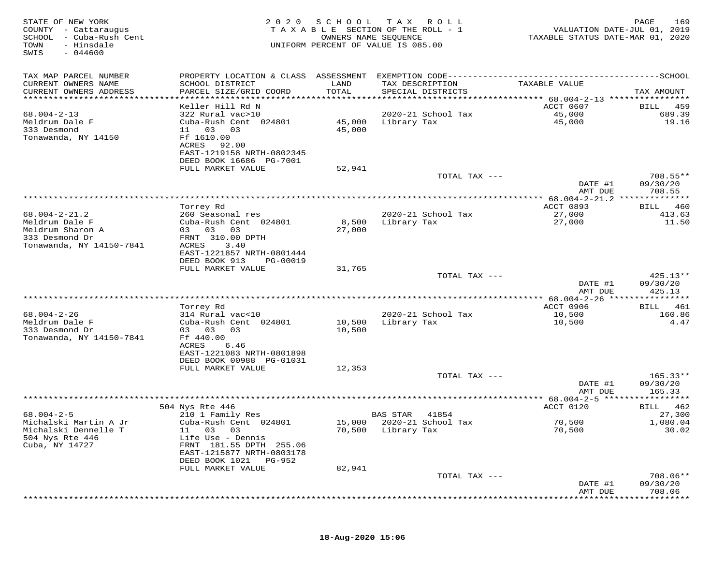| STATE OF NEW YORK<br>COUNTY - Cattaraugus<br>SCHOOL - Cuba-Rush Cent<br>TOWN<br>- Hinsdale<br>$-044600$<br>SWIS | 2020                                         | SCHOOL<br>OWNERS NAME SEQUENCE | T A X<br>R O L L<br>TAXABLE SECTION OF THE ROLL - 1<br>UNIFORM PERCENT OF VALUE IS 085.00 | VALUATION DATE-JUL 01, 2019<br>TAXABLE STATUS DATE-MAR 01, 2020 | 169<br>PAGE           |
|-----------------------------------------------------------------------------------------------------------------|----------------------------------------------|--------------------------------|-------------------------------------------------------------------------------------------|-----------------------------------------------------------------|-----------------------|
| TAX MAP PARCEL NUMBER                                                                                           |                                              |                                |                                                                                           |                                                                 |                       |
| CURRENT OWNERS NAME                                                                                             | SCHOOL DISTRICT                              | LAND                           | TAX DESCRIPTION                                                                           | TAXABLE VALUE                                                   |                       |
| CURRENT OWNERS ADDRESS<br>***********************                                                               | PARCEL SIZE/GRID COORD                       | TOTAL                          | SPECIAL DISTRICTS                                                                         |                                                                 | TAX AMOUNT            |
|                                                                                                                 | Keller Hill Rd N                             |                                |                                                                                           | ACCT 0607                                                       | 459<br>BILL           |
| $68.004 - 2 - 13$                                                                                               | 322 Rural vac>10                             |                                | 2020-21 School Tax                                                                        | 45,000                                                          | 689.39                |
| Meldrum Dale F                                                                                                  | Cuba-Rush Cent 024801                        | 45,000                         | Library Tax                                                                               | 45,000                                                          | 19.16                 |
| 333 Desmond                                                                                                     | 11<br>03<br>03                               | 45,000                         |                                                                                           |                                                                 |                       |
| Tonawanda, NY 14150                                                                                             | Ff 1610.00<br>92.00<br>ACRES                 |                                |                                                                                           |                                                                 |                       |
|                                                                                                                 | EAST-1219158 NRTH-0802345                    |                                |                                                                                           |                                                                 |                       |
|                                                                                                                 | DEED BOOK 16686 PG-7001                      |                                |                                                                                           |                                                                 |                       |
|                                                                                                                 | FULL MARKET VALUE                            | 52,941                         |                                                                                           |                                                                 |                       |
|                                                                                                                 |                                              |                                | TOTAL TAX ---                                                                             |                                                                 | 708.55**<br>09/30/20  |
|                                                                                                                 |                                              |                                |                                                                                           | DATE #1<br>AMT DUE                                              | 708.55                |
|                                                                                                                 | ***********************                      |                                | ***********************************                                                       | ************ 68.004-2-21.2                                      | * * * * * * * * *     |
|                                                                                                                 | Torrey Rd                                    |                                |                                                                                           | ACCT 0893                                                       | 460<br>BILL           |
| $68.004 - 2 - 21.2$                                                                                             | 260 Seasonal res                             |                                | 2020-21 School Tax                                                                        | 27,000                                                          | 413.63                |
| Meldrum Dale F<br>Meldrum Sharon A                                                                              | Cuba-Rush Cent 024801<br>03 03<br>03         | 8,500<br>27,000                | Library Tax                                                                               | 27,000                                                          | 11.50                 |
| 333 Desmond Dr                                                                                                  | FRNT 310.00 DPTH                             |                                |                                                                                           |                                                                 |                       |
| Tonawanda, NY 14150-7841                                                                                        | 3.40<br>ACRES                                |                                |                                                                                           |                                                                 |                       |
|                                                                                                                 | EAST-1221857 NRTH-0801444                    |                                |                                                                                           |                                                                 |                       |
|                                                                                                                 | DEED BOOK 913<br>PG-00019                    |                                |                                                                                           |                                                                 |                       |
|                                                                                                                 | FULL MARKET VALUE                            | 31,765                         | TOTAL TAX ---                                                                             |                                                                 | $425.13**$            |
|                                                                                                                 |                                              |                                |                                                                                           | DATE #1                                                         | 09/30/20              |
|                                                                                                                 |                                              |                                |                                                                                           | AMT DUE                                                         | 425.13                |
|                                                                                                                 |                                              |                                |                                                                                           |                                                                 | * * * * * * * * *     |
| $68.004 - 2 - 26$                                                                                               | Torrey Rd<br>314 Rural vac<10                |                                | 2020-21 School Tax                                                                        | ACCT 0906<br>10,500                                             | 461<br>BILL<br>160.86 |
| Meldrum Dale F                                                                                                  | Cuba-Rush Cent 024801                        | 10,500                         | Library Tax                                                                               | 10,500                                                          | 4.47                  |
| 333 Desmond Dr                                                                                                  | 03 03<br>03                                  | 10,500                         |                                                                                           |                                                                 |                       |
| Tonawanda, NY 14150-7841                                                                                        | Ff 440.00                                    |                                |                                                                                           |                                                                 |                       |
|                                                                                                                 | ACRES<br>6.46<br>EAST-1221083 NRTH-0801898   |                                |                                                                                           |                                                                 |                       |
|                                                                                                                 | DEED BOOK 00988 PG-01031                     |                                |                                                                                           |                                                                 |                       |
|                                                                                                                 | FULL MARKET VALUE                            | 12,353                         |                                                                                           |                                                                 |                       |
|                                                                                                                 |                                              |                                | TOTAL TAX ---                                                                             |                                                                 | $165.33**$            |
|                                                                                                                 |                                              |                                |                                                                                           | DATE #1                                                         | 09/30/20              |
|                                                                                                                 |                                              |                                |                                                                                           | AMT DUE                                                         | 165.33                |
|                                                                                                                 | 504 Nys Rte 446                              |                                |                                                                                           | ACCT 0120                                                       | 462<br>BILL           |
| $68.004 - 2 - 5$                                                                                                | 210 1 Family Res                             |                                | BAS STAR<br>41854                                                                         |                                                                 | 27,300                |
| Michalski Martin A Jr                                                                                           | Cuba-Rush Cent 024801                        | 15,000                         | 2020-21 School Tax                                                                        | 70,500                                                          | 1,080.04              |
| Michalski Dennelle T<br>504 Nys Rte 446                                                                         | 11 03 03                                     | 70,500                         | Library Tax                                                                               | 70,500                                                          | 30.02                 |
| Cuba, NY 14727                                                                                                  | Life Use - Dennis<br>FRNT 181.55 DPTH 255.06 |                                |                                                                                           |                                                                 |                       |
|                                                                                                                 | EAST-1215877 NRTH-0803178                    |                                |                                                                                           |                                                                 |                       |
|                                                                                                                 | DEED BOOK 1021<br>PG-952                     |                                |                                                                                           |                                                                 |                       |
|                                                                                                                 | FULL MARKET VALUE                            | 82,941                         |                                                                                           |                                                                 |                       |
|                                                                                                                 |                                              |                                | TOTAL TAX ---                                                                             | DATE #1                                                         | 708.06**<br>09/30/20  |
|                                                                                                                 |                                              |                                |                                                                                           | AMT DUE                                                         | 708.06                |
|                                                                                                                 |                                              |                                |                                                                                           |                                                                 |                       |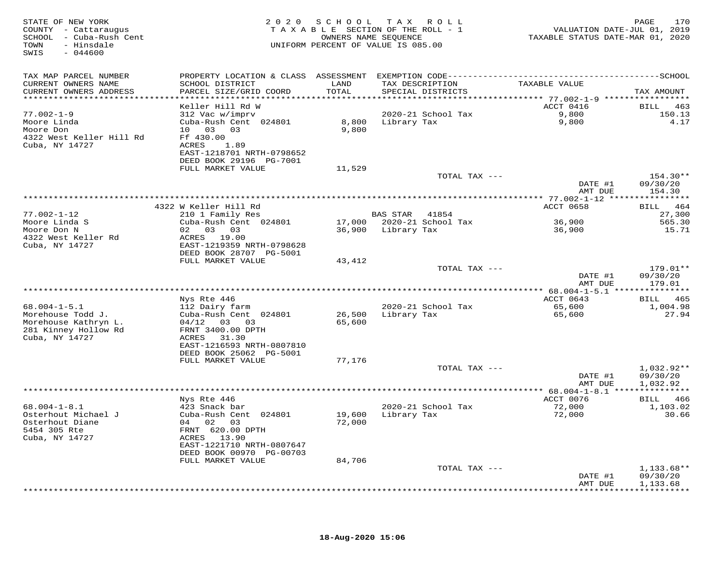| STATE OF NEW YORK<br>COUNTY - Cattaraugus<br>SCHOOL - Cuba-Rush Cent<br>TOWN<br>- Hinsdale<br>SWIS<br>$-044600$ |                                                                                                                                         | 2020 SCHOOL      | T A X<br>R O L L<br>TAXABLE SECTION OF THE ROLL - 1<br>OWNERS NAME SEQUENCE<br>UNIFORM PERCENT OF VALUE IS 085.00 | VALUATION DATE-JUL 01, 2019<br>TAXABLE STATUS DATE-MAR 01, 2020 | 170<br>PAGE                      |
|-----------------------------------------------------------------------------------------------------------------|-----------------------------------------------------------------------------------------------------------------------------------------|------------------|-------------------------------------------------------------------------------------------------------------------|-----------------------------------------------------------------|----------------------------------|
| TAX MAP PARCEL NUMBER<br>CURRENT OWNERS NAME                                                                    | SCHOOL DISTRICT                                                                                                                         | LAND             | TAX DESCRIPTION                                                                                                   | TAXABLE VALUE                                                   |                                  |
| CURRENT OWNERS ADDRESS<br>*****************************                                                         | PARCEL SIZE/GRID COORD                                                                                                                  | TOTAL            | SPECIAL DISTRICTS                                                                                                 |                                                                 | TAX AMOUNT                       |
|                                                                                                                 | Keller Hill Rd W                                                                                                                        |                  |                                                                                                                   | ACCT 0416                                                       | BILL 463                         |
| $77.002 - 1 - 9$<br>Moore Linda<br>Moore Don<br>4322 West Keller Hill Rd<br>Cuba, NY 14727                      | 312 Vac w/imprv<br>Cuba-Rush Cent 024801<br>10 03 03<br>Ff 430.00<br>ACRES 1.89<br>EAST-1218701 NRTH-0798652<br>DEED BOOK 29196 PG-7001 | 8,800<br>9,800   | 2020-21 School Tax<br>Library Tax                                                                                 | 9,800<br>9,800                                                  | 150.13<br>4.17                   |
|                                                                                                                 | FULL MARKET VALUE                                                                                                                       | 11,529           |                                                                                                                   |                                                                 |                                  |
|                                                                                                                 |                                                                                                                                         |                  | TOTAL TAX ---                                                                                                     | DATE #1<br>AMT DUE                                              | $154.30**$<br>09/30/20<br>154.30 |
|                                                                                                                 |                                                                                                                                         |                  |                                                                                                                   | ***************** 77.002-1-12 *****                             | * * * * * * * * * * *            |
| $77.002 - 1 - 12$                                                                                               | 4322 W Keller Hill Rd<br>210 1 Family Res                                                                                               |                  | BAS STAR<br>41854                                                                                                 | ACCT 0658                                                       | BILL 464<br>27,300               |
| Moore Linda S<br>Moore Don N                                                                                    | Cuba-Rush Cent 024801<br>02 03 03                                                                                                       |                  | 17,000 2020-21 School Tax<br>36,900 Library Tax                                                                   | 36,900<br>36,900                                                | 565.30<br>15.71                  |
| 4322 West Keller Rd<br>Cuba, NY 14727                                                                           | ACRES 19.00<br>EAST-1219359 NRTH-0798628<br>DEED BOOK 28707 PG-5001                                                                     |                  |                                                                                                                   |                                                                 |                                  |
|                                                                                                                 | FULL MARKET VALUE                                                                                                                       | 43,412           |                                                                                                                   |                                                                 |                                  |
|                                                                                                                 |                                                                                                                                         |                  | TOTAL TAX ---                                                                                                     | DATE #1<br>AMT DUE                                              | $179.01**$<br>09/30/20<br>179.01 |
|                                                                                                                 |                                                                                                                                         |                  | *******************************                                                                                   | ********* 68.004-1-5.1 ****                                     | ***********                      |
| $68.004 - 1 - 5.1$                                                                                              | Nys Rte 446                                                                                                                             |                  | 2020-21 School Tax                                                                                                | ACCT 0643                                                       | BILL 465<br>1,004.98             |
| Morehouse Todd J.<br>Morehouse Kathryn L.<br>281 Kinney Hollow Rd<br>Cuba, NY 14727                             | 112 Dairy farm<br>Cuba-Rush Cent 024801<br>$04/12$ 03 03<br>FRNT 3400.00 DPTH<br>ACRES<br>31.30                                         | 26,500<br>65,600 | Library Tax                                                                                                       | 65,600<br>65,600                                                | 27.94                            |
|                                                                                                                 | EAST-1216593 NRTH-0807810<br>DEED BOOK 25062 PG-5001                                                                                    |                  |                                                                                                                   |                                                                 |                                  |
|                                                                                                                 | FULL MARKET VALUE                                                                                                                       | 77,176           |                                                                                                                   |                                                                 |                                  |
|                                                                                                                 |                                                                                                                                         |                  | TOTAL TAX ---                                                                                                     |                                                                 | $1,032.92**$                     |
|                                                                                                                 |                                                                                                                                         |                  |                                                                                                                   | DATE #1<br>AMT DUE                                              | 09/30/20<br>1,032.92             |
|                                                                                                                 | Nys Rte 446                                                                                                                             |                  |                                                                                                                   | ACCT 0076                                                       | BILL 466                         |
| $68.004 - 1 - 8.1$<br>Osterhout Michael J<br>Osterhout Diane<br>5454 305 Rte<br>Cuba, NY 14727                  | 423 Snack bar<br>Cuba-Rush Cent 024801<br>04 02<br>03<br>FRNT 620.00 DPTH<br>ACRES 13.90<br>EAST-1221710 NRTH-0807647                   | 19,600<br>72,000 | 2020-21 School Tax<br>Library Tax                                                                                 | 72,000<br>72,000                                                | 1,103.02<br>30.66                |
|                                                                                                                 | DEED BOOK 00970 PG-00703<br>FULL MARKET VALUE                                                                                           | 84,706           |                                                                                                                   |                                                                 |                                  |
|                                                                                                                 |                                                                                                                                         |                  | TOTAL TAX ---                                                                                                     | DATE #1                                                         | $1,133.68**$<br>09/30/20         |
|                                                                                                                 |                                                                                                                                         |                  |                                                                                                                   | AMT DUE                                                         | 1,133.68                         |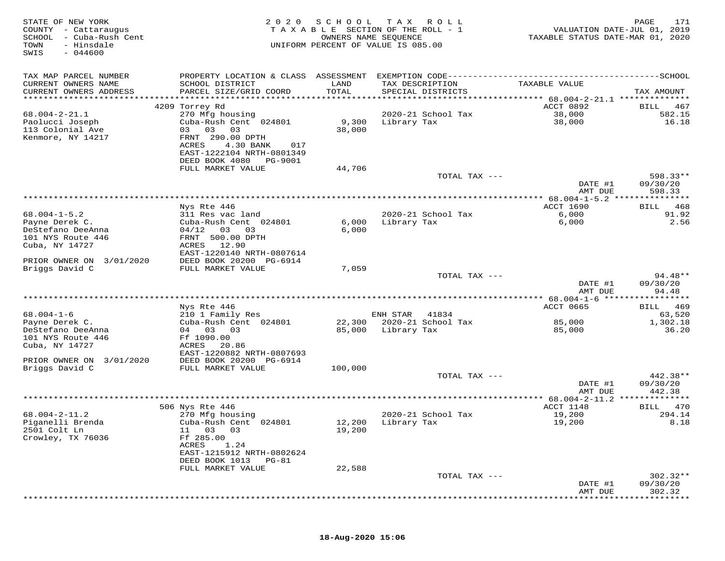| STATE OF NEW YORK<br>COUNTY - Cattaraugus<br>SCHOOL<br>- Cuba-Rush Cent<br>- Hinsdale<br>TOWN<br>$-044600$<br>SWIS | 2 0 2 0                                        | S C H O O L<br>OWNERS NAME SEQUENCE | T A X<br>R O L L<br>TAXABLE SECTION OF THE ROLL - 1<br>UNIFORM PERCENT OF VALUE IS 085.00 | VALUATION DATE-JUL 01, 2019<br>TAXABLE STATUS DATE-MAR 01, 2020 | PAGE<br>171           |
|--------------------------------------------------------------------------------------------------------------------|------------------------------------------------|-------------------------------------|-------------------------------------------------------------------------------------------|-----------------------------------------------------------------|-----------------------|
| TAX MAP PARCEL NUMBER                                                                                              |                                                |                                     |                                                                                           |                                                                 |                       |
| CURRENT OWNERS NAME                                                                                                | SCHOOL DISTRICT                                | LAND                                | TAX DESCRIPTION                                                                           | TAXABLE VALUE                                                   |                       |
| CURRENT OWNERS ADDRESS                                                                                             | PARCEL SIZE/GRID COORD                         | TOTAL                               | SPECIAL DISTRICTS                                                                         |                                                                 | TAX AMOUNT            |
|                                                                                                                    |                                                |                                     |                                                                                           | ACCT 0892                                                       |                       |
| $68.004 - 2 - 21.1$                                                                                                | 4209 Torrey Rd<br>270 Mfg housing              |                                     | 2020-21 School Tax                                                                        | 38,000                                                          | 467<br>BILL<br>582.15 |
| Paolucci Joseph                                                                                                    | Cuba-Rush Cent 024801                          | 9,300                               | Library Tax                                                                               | 38,000                                                          | 16.18                 |
| 113 Colonial Ave                                                                                                   | 03<br>03<br>03                                 | 38,000                              |                                                                                           |                                                                 |                       |
| Kenmore, NY 14217                                                                                                  | FRNT 290.00 DPTH                               |                                     |                                                                                           |                                                                 |                       |
|                                                                                                                    | ACRES<br>4.30 BANK<br>017                      |                                     |                                                                                           |                                                                 |                       |
|                                                                                                                    | EAST-1222104 NRTH-0801349                      |                                     |                                                                                           |                                                                 |                       |
|                                                                                                                    | DEED BOOK 4080<br>PG-9001<br>FULL MARKET VALUE | 44,706                              |                                                                                           |                                                                 |                       |
|                                                                                                                    |                                                |                                     | TOTAL TAX ---                                                                             |                                                                 | 598.33**              |
|                                                                                                                    |                                                |                                     |                                                                                           | DATE #1                                                         | 09/30/20              |
|                                                                                                                    |                                                |                                     |                                                                                           | AMT DUE                                                         | 598.33                |
|                                                                                                                    |                                                |                                     |                                                                                           | ********** 68.004-1-5.2 *****                                   | *********             |
| $68.004 - 1 - 5.2$                                                                                                 | Nys Rte 446<br>311 Res vac land                |                                     | 2020-21 School Tax                                                                        | <b>ACCT 1690</b><br>6,000                                       | 468<br>BILL<br>91.92  |
| Payne Derek C.                                                                                                     | Cuba-Rush Cent 024801                          | 6,000                               | Library Tax                                                                               | 6,000                                                           | 2.56                  |
| DeStefano DeeAnna                                                                                                  | $04/12$ 03<br>03                               | 6,000                               |                                                                                           |                                                                 |                       |
| 101 NYS Route 446                                                                                                  | FRNT 500.00 DPTH                               |                                     |                                                                                           |                                                                 |                       |
| Cuba, NY 14727                                                                                                     | ACRES<br>12.90                                 |                                     |                                                                                           |                                                                 |                       |
|                                                                                                                    | EAST-1220140 NRTH-0807614                      |                                     |                                                                                           |                                                                 |                       |
| PRIOR OWNER ON<br>3/01/2020<br>Briggs David C                                                                      | DEED BOOK 20200 PG-6914<br>FULL MARKET VALUE   | 7,059                               |                                                                                           |                                                                 |                       |
|                                                                                                                    |                                                |                                     | TOTAL TAX ---                                                                             |                                                                 | 94.48**               |
|                                                                                                                    |                                                |                                     |                                                                                           | DATE #1                                                         | 09/30/20              |
|                                                                                                                    |                                                |                                     |                                                                                           | AMT DUE                                                         | 94.48                 |
|                                                                                                                    |                                                |                                     |                                                                                           |                                                                 | ********              |
| $68.004 - 1 - 6$                                                                                                   | Nys Rte 446<br>210 1 Family Res                |                                     | ENH STAR<br>41834                                                                         | ACCT 0665                                                       | 469<br>BILL<br>63,520 |
| Payne Derek C.                                                                                                     | Cuba-Rush Cent 024801                          | 22,300                              | 2020-21 School Tax                                                                        | 85,000                                                          | 1,302.18              |
| DeStefano DeeAnna                                                                                                  | 04 03 03                                       | 85,000                              | Library Tax                                                                               | 85,000                                                          | 36.20                 |
| 101 NYS Route 446                                                                                                  | Ff 1090.00                                     |                                     |                                                                                           |                                                                 |                       |
| Cuba, NY 14727                                                                                                     | ACRES<br>20.86                                 |                                     |                                                                                           |                                                                 |                       |
|                                                                                                                    | EAST-1220882 NRTH-0807693                      |                                     |                                                                                           |                                                                 |                       |
| PRIOR OWNER ON 3/01/2020<br>Briggs David C                                                                         | DEED BOOK 20200 PG-6914<br>FULL MARKET VALUE   | 100,000                             |                                                                                           |                                                                 |                       |
|                                                                                                                    |                                                |                                     | TOTAL TAX ---                                                                             |                                                                 | 442.38**              |
|                                                                                                                    |                                                |                                     |                                                                                           | DATE #1                                                         | 09/30/20              |
|                                                                                                                    |                                                |                                     |                                                                                           | AMT DUE                                                         | 442.38                |
|                                                                                                                    |                                                |                                     |                                                                                           | ******** 68.004-2-11.2                                          | **************        |
| $68.004 - 2 - 11.2$                                                                                                | 506 Nys Rte 446                                |                                     |                                                                                           | ACCT 1148                                                       | BILL 470              |
| Piganelli Brenda                                                                                                   | 270 Mfg housing<br>Cuba-Rush Cent 024801       | 12,200                              | 2020-21 School Tax<br>Library Tax                                                         | 19,200<br>19,200                                                | 294.14<br>8.18        |
| 2501 Colt Ln                                                                                                       | 11 03 03                                       | 19,200                              |                                                                                           |                                                                 |                       |
| Crowley, TX 76036                                                                                                  | Ff 285.00                                      |                                     |                                                                                           |                                                                 |                       |
|                                                                                                                    | ACRES<br>1.24                                  |                                     |                                                                                           |                                                                 |                       |
|                                                                                                                    | EAST-1215912 NRTH-0802624                      |                                     |                                                                                           |                                                                 |                       |
|                                                                                                                    | DEED BOOK 1013<br>PG-81                        |                                     |                                                                                           |                                                                 |                       |
|                                                                                                                    | FULL MARKET VALUE                              | 22,588                              | TOTAL TAX ---                                                                             |                                                                 | $302.32**$            |
|                                                                                                                    |                                                |                                     |                                                                                           | DATE #1                                                         | 09/30/20              |
|                                                                                                                    |                                                |                                     |                                                                                           | AMT DUE                                                         | 302.32                |
|                                                                                                                    |                                                |                                     |                                                                                           |                                                                 |                       |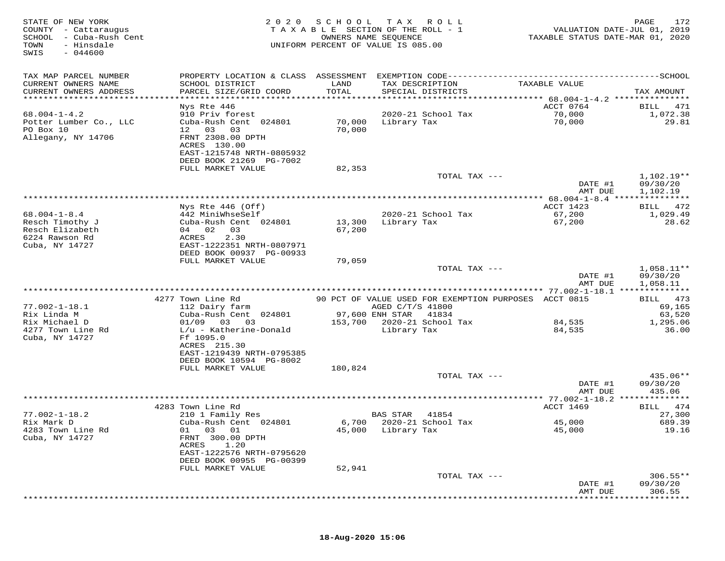| PROPERTY LOCATION & CLASS ASSESSMENT EXEMPTION CODE-----------------------------------SCHOOL<br>TAX MAP PARCEL NUMBER<br>CURRENT OWNERS NAME<br>SCHOOL DISTRICT<br>LAND<br>TAX DESCRIPTION<br>TAXABLE VALUE<br>TOTAL<br>CURRENT OWNERS ADDRESS<br>PARCEL SIZE/GRID COORD<br>SPECIAL DISTRICTS<br>TAX AMOUNT<br>*****************<br>*********************<br>*********************<br>Nys Rte 446<br>ACCT 0764<br>471<br>BILL<br>$68.004 - 1 - 4.2$<br>910 Priv forest<br>2020-21 School Tax<br>70,000<br>1,072.38<br>70,000<br>29.81<br>Potter Lumber Co., LLC<br>Cuba-Rush Cent 024801<br>70,000<br>Library Tax<br>PO Box 10<br>12 03<br>03<br>70,000<br>FRNT 2308.00 DPTH<br>Allegany, NY 14706<br>ACRES 130.00<br>EAST-1215748 NRTH-0805932<br>DEED BOOK 21269 PG-7002<br>FULL MARKET VALUE<br>82,353<br>$1,102.19**$<br>TOTAL TAX ---<br>DATE #1<br>09/30/20<br>AMT DUE<br>1,102.19<br>ACCT 1423<br>Nys Rte 446 (Off)<br>472<br>BILL<br>$68.004 - 1 - 8.4$<br>442 MiniWhseSelf<br>2020-21 School Tax<br>67,200<br>1,029.49<br>Resch Timothy J<br>Cuba-Rush Cent 024801<br>13,300<br>Library Tax<br>28.62<br>67,200<br>Resch Elizabeth<br>04 02<br>03<br>67,200<br>6224 Rawson Rd<br>ACRES<br>2.30<br>Cuba, NY 14727<br>EAST-1222351 NRTH-0807971<br>DEED BOOK 00937 PG-00933<br>FULL MARKET VALUE<br>79,059<br>TOTAL TAX ---<br>$1,058.11**$<br>09/30/20<br>DATE #1<br>1,058.11<br>AMT DUE<br>4277 Town Line Rd<br>90 PCT OF VALUE USED FOR EXEMPTION PURPOSES ACCT 0815<br>BILL 473<br>$77.002 - 1 - 18.1$<br>112 Dairy farm<br>AGED C/T/S 41800<br>69,165<br>97,600 ENH STAR<br>Rix Linda M<br>Cuba-Rush Cent 024801<br>41834<br>63,520<br>153,700 2020-21 School Tax<br>Rix Michael D<br>$01/09$ 03 03<br>84,535<br>1,295.06<br>4277 Town Line Rd<br>Library Tax<br>$L/u$ - Katherine-Donald<br>84,535<br>36.00<br>Cuba, NY 14727<br>Ff 1095.0<br>ACRES 215.30<br>EAST-1219439 NRTH-0795385<br>DEED BOOK 10594 PG-8002<br>FULL MARKET VALUE<br>180,824<br>TOTAL TAX ---<br>435.06**<br>DATE #1<br>09/30/20<br>435.06<br>AMT DUE<br>*********** 77.002-1-18.2 **************<br>ACCT 1469<br>4283 Town Line Rd<br>BILL 474<br>$77.002 - 1 - 18.2$<br>27,300<br>210 1 Family Res<br>BAS STAR 41854<br>6,700 2020-21 School Tax<br>Rix Mark D<br>Cuba-Rush Cent 024801<br>45,000<br>689.39<br>45,000<br>19.16<br>4283 Town Line Rd<br>01<br>45,000 Library Tax<br>01<br>03<br>Cuba, NY 14727<br>FRNT 300.00 DPTH<br>ACRES<br>1.20<br>EAST-1222576 NRTH-0795620<br>DEED BOOK 00955 PG-00399<br>52,941<br>FULL MARKET VALUE<br>$306.55**$<br>TOTAL TAX ---<br>09/30/20<br>DATE #1<br>306.55<br>AMT DUE | STATE OF NEW YORK<br>COUNTY - Cattaraugus<br>SCHOOL - Cuba-Rush Cent<br>TOWN<br>- Hinsdale<br>SWIS<br>$-044600$ | 2 0 2 0 | SCHOOL TAX | R O L L<br>TAXABLE SECTION OF THE ROLL - 1<br>OWNERS NAME SEQUENCE<br>UNIFORM PERCENT OF VALUE IS 085.00 | VALUATION DATE-JUL 01, 2019<br>TAXABLE STATUS DATE-MAR 01, 2020 | PAGE<br>172 |
|-----------------------------------------------------------------------------------------------------------------------------------------------------------------------------------------------------------------------------------------------------------------------------------------------------------------------------------------------------------------------------------------------------------------------------------------------------------------------------------------------------------------------------------------------------------------------------------------------------------------------------------------------------------------------------------------------------------------------------------------------------------------------------------------------------------------------------------------------------------------------------------------------------------------------------------------------------------------------------------------------------------------------------------------------------------------------------------------------------------------------------------------------------------------------------------------------------------------------------------------------------------------------------------------------------------------------------------------------------------------------------------------------------------------------------------------------------------------------------------------------------------------------------------------------------------------------------------------------------------------------------------------------------------------------------------------------------------------------------------------------------------------------------------------------------------------------------------------------------------------------------------------------------------------------------------------------------------------------------------------------------------------------------------------------------------------------------------------------------------------------------------------------------------------------------------------------------------------------------------------------------------------------------------------------------------------------------------------------------------------------------------------------------------------------------------------------------------------------------------------------------------------------------------------------------------------------------------------------------------|-----------------------------------------------------------------------------------------------------------------|---------|------------|----------------------------------------------------------------------------------------------------------|-----------------------------------------------------------------|-------------|
|                                                                                                                                                                                                                                                                                                                                                                                                                                                                                                                                                                                                                                                                                                                                                                                                                                                                                                                                                                                                                                                                                                                                                                                                                                                                                                                                                                                                                                                                                                                                                                                                                                                                                                                                                                                                                                                                                                                                                                                                                                                                                                                                                                                                                                                                                                                                                                                                                                                                                                                                                                                                           |                                                                                                                 |         |            |                                                                                                          |                                                                 |             |
|                                                                                                                                                                                                                                                                                                                                                                                                                                                                                                                                                                                                                                                                                                                                                                                                                                                                                                                                                                                                                                                                                                                                                                                                                                                                                                                                                                                                                                                                                                                                                                                                                                                                                                                                                                                                                                                                                                                                                                                                                                                                                                                                                                                                                                                                                                                                                                                                                                                                                                                                                                                                           |                                                                                                                 |         |            |                                                                                                          |                                                                 |             |
|                                                                                                                                                                                                                                                                                                                                                                                                                                                                                                                                                                                                                                                                                                                                                                                                                                                                                                                                                                                                                                                                                                                                                                                                                                                                                                                                                                                                                                                                                                                                                                                                                                                                                                                                                                                                                                                                                                                                                                                                                                                                                                                                                                                                                                                                                                                                                                                                                                                                                                                                                                                                           |                                                                                                                 |         |            |                                                                                                          |                                                                 |             |
|                                                                                                                                                                                                                                                                                                                                                                                                                                                                                                                                                                                                                                                                                                                                                                                                                                                                                                                                                                                                                                                                                                                                                                                                                                                                                                                                                                                                                                                                                                                                                                                                                                                                                                                                                                                                                                                                                                                                                                                                                                                                                                                                                                                                                                                                                                                                                                                                                                                                                                                                                                                                           |                                                                                                                 |         |            |                                                                                                          |                                                                 |             |
|                                                                                                                                                                                                                                                                                                                                                                                                                                                                                                                                                                                                                                                                                                                                                                                                                                                                                                                                                                                                                                                                                                                                                                                                                                                                                                                                                                                                                                                                                                                                                                                                                                                                                                                                                                                                                                                                                                                                                                                                                                                                                                                                                                                                                                                                                                                                                                                                                                                                                                                                                                                                           |                                                                                                                 |         |            |                                                                                                          |                                                                 |             |
|                                                                                                                                                                                                                                                                                                                                                                                                                                                                                                                                                                                                                                                                                                                                                                                                                                                                                                                                                                                                                                                                                                                                                                                                                                                                                                                                                                                                                                                                                                                                                                                                                                                                                                                                                                                                                                                                                                                                                                                                                                                                                                                                                                                                                                                                                                                                                                                                                                                                                                                                                                                                           |                                                                                                                 |         |            |                                                                                                          |                                                                 |             |
|                                                                                                                                                                                                                                                                                                                                                                                                                                                                                                                                                                                                                                                                                                                                                                                                                                                                                                                                                                                                                                                                                                                                                                                                                                                                                                                                                                                                                                                                                                                                                                                                                                                                                                                                                                                                                                                                                                                                                                                                                                                                                                                                                                                                                                                                                                                                                                                                                                                                                                                                                                                                           |                                                                                                                 |         |            |                                                                                                          |                                                                 |             |
|                                                                                                                                                                                                                                                                                                                                                                                                                                                                                                                                                                                                                                                                                                                                                                                                                                                                                                                                                                                                                                                                                                                                                                                                                                                                                                                                                                                                                                                                                                                                                                                                                                                                                                                                                                                                                                                                                                                                                                                                                                                                                                                                                                                                                                                                                                                                                                                                                                                                                                                                                                                                           |                                                                                                                 |         |            |                                                                                                          |                                                                 |             |
|                                                                                                                                                                                                                                                                                                                                                                                                                                                                                                                                                                                                                                                                                                                                                                                                                                                                                                                                                                                                                                                                                                                                                                                                                                                                                                                                                                                                                                                                                                                                                                                                                                                                                                                                                                                                                                                                                                                                                                                                                                                                                                                                                                                                                                                                                                                                                                                                                                                                                                                                                                                                           |                                                                                                                 |         |            |                                                                                                          |                                                                 |             |
|                                                                                                                                                                                                                                                                                                                                                                                                                                                                                                                                                                                                                                                                                                                                                                                                                                                                                                                                                                                                                                                                                                                                                                                                                                                                                                                                                                                                                                                                                                                                                                                                                                                                                                                                                                                                                                                                                                                                                                                                                                                                                                                                                                                                                                                                                                                                                                                                                                                                                                                                                                                                           |                                                                                                                 |         |            |                                                                                                          |                                                                 |             |
|                                                                                                                                                                                                                                                                                                                                                                                                                                                                                                                                                                                                                                                                                                                                                                                                                                                                                                                                                                                                                                                                                                                                                                                                                                                                                                                                                                                                                                                                                                                                                                                                                                                                                                                                                                                                                                                                                                                                                                                                                                                                                                                                                                                                                                                                                                                                                                                                                                                                                                                                                                                                           |                                                                                                                 |         |            |                                                                                                          |                                                                 |             |
|                                                                                                                                                                                                                                                                                                                                                                                                                                                                                                                                                                                                                                                                                                                                                                                                                                                                                                                                                                                                                                                                                                                                                                                                                                                                                                                                                                                                                                                                                                                                                                                                                                                                                                                                                                                                                                                                                                                                                                                                                                                                                                                                                                                                                                                                                                                                                                                                                                                                                                                                                                                                           |                                                                                                                 |         |            |                                                                                                          |                                                                 |             |
|                                                                                                                                                                                                                                                                                                                                                                                                                                                                                                                                                                                                                                                                                                                                                                                                                                                                                                                                                                                                                                                                                                                                                                                                                                                                                                                                                                                                                                                                                                                                                                                                                                                                                                                                                                                                                                                                                                                                                                                                                                                                                                                                                                                                                                                                                                                                                                                                                                                                                                                                                                                                           |                                                                                                                 |         |            |                                                                                                          |                                                                 |             |
|                                                                                                                                                                                                                                                                                                                                                                                                                                                                                                                                                                                                                                                                                                                                                                                                                                                                                                                                                                                                                                                                                                                                                                                                                                                                                                                                                                                                                                                                                                                                                                                                                                                                                                                                                                                                                                                                                                                                                                                                                                                                                                                                                                                                                                                                                                                                                                                                                                                                                                                                                                                                           |                                                                                                                 |         |            |                                                                                                          |                                                                 |             |
|                                                                                                                                                                                                                                                                                                                                                                                                                                                                                                                                                                                                                                                                                                                                                                                                                                                                                                                                                                                                                                                                                                                                                                                                                                                                                                                                                                                                                                                                                                                                                                                                                                                                                                                                                                                                                                                                                                                                                                                                                                                                                                                                                                                                                                                                                                                                                                                                                                                                                                                                                                                                           |                                                                                                                 |         |            |                                                                                                          |                                                                 |             |
|                                                                                                                                                                                                                                                                                                                                                                                                                                                                                                                                                                                                                                                                                                                                                                                                                                                                                                                                                                                                                                                                                                                                                                                                                                                                                                                                                                                                                                                                                                                                                                                                                                                                                                                                                                                                                                                                                                                                                                                                                                                                                                                                                                                                                                                                                                                                                                                                                                                                                                                                                                                                           |                                                                                                                 |         |            |                                                                                                          |                                                                 |             |
|                                                                                                                                                                                                                                                                                                                                                                                                                                                                                                                                                                                                                                                                                                                                                                                                                                                                                                                                                                                                                                                                                                                                                                                                                                                                                                                                                                                                                                                                                                                                                                                                                                                                                                                                                                                                                                                                                                                                                                                                                                                                                                                                                                                                                                                                                                                                                                                                                                                                                                                                                                                                           |                                                                                                                 |         |            |                                                                                                          |                                                                 |             |
|                                                                                                                                                                                                                                                                                                                                                                                                                                                                                                                                                                                                                                                                                                                                                                                                                                                                                                                                                                                                                                                                                                                                                                                                                                                                                                                                                                                                                                                                                                                                                                                                                                                                                                                                                                                                                                                                                                                                                                                                                                                                                                                                                                                                                                                                                                                                                                                                                                                                                                                                                                                                           |                                                                                                                 |         |            |                                                                                                          |                                                                 |             |
|                                                                                                                                                                                                                                                                                                                                                                                                                                                                                                                                                                                                                                                                                                                                                                                                                                                                                                                                                                                                                                                                                                                                                                                                                                                                                                                                                                                                                                                                                                                                                                                                                                                                                                                                                                                                                                                                                                                                                                                                                                                                                                                                                                                                                                                                                                                                                                                                                                                                                                                                                                                                           |                                                                                                                 |         |            |                                                                                                          |                                                                 |             |
|                                                                                                                                                                                                                                                                                                                                                                                                                                                                                                                                                                                                                                                                                                                                                                                                                                                                                                                                                                                                                                                                                                                                                                                                                                                                                                                                                                                                                                                                                                                                                                                                                                                                                                                                                                                                                                                                                                                                                                                                                                                                                                                                                                                                                                                                                                                                                                                                                                                                                                                                                                                                           |                                                                                                                 |         |            |                                                                                                          |                                                                 |             |
|                                                                                                                                                                                                                                                                                                                                                                                                                                                                                                                                                                                                                                                                                                                                                                                                                                                                                                                                                                                                                                                                                                                                                                                                                                                                                                                                                                                                                                                                                                                                                                                                                                                                                                                                                                                                                                                                                                                                                                                                                                                                                                                                                                                                                                                                                                                                                                                                                                                                                                                                                                                                           |                                                                                                                 |         |            |                                                                                                          |                                                                 |             |
|                                                                                                                                                                                                                                                                                                                                                                                                                                                                                                                                                                                                                                                                                                                                                                                                                                                                                                                                                                                                                                                                                                                                                                                                                                                                                                                                                                                                                                                                                                                                                                                                                                                                                                                                                                                                                                                                                                                                                                                                                                                                                                                                                                                                                                                                                                                                                                                                                                                                                                                                                                                                           |                                                                                                                 |         |            |                                                                                                          |                                                                 |             |
|                                                                                                                                                                                                                                                                                                                                                                                                                                                                                                                                                                                                                                                                                                                                                                                                                                                                                                                                                                                                                                                                                                                                                                                                                                                                                                                                                                                                                                                                                                                                                                                                                                                                                                                                                                                                                                                                                                                                                                                                                                                                                                                                                                                                                                                                                                                                                                                                                                                                                                                                                                                                           |                                                                                                                 |         |            |                                                                                                          |                                                                 |             |
|                                                                                                                                                                                                                                                                                                                                                                                                                                                                                                                                                                                                                                                                                                                                                                                                                                                                                                                                                                                                                                                                                                                                                                                                                                                                                                                                                                                                                                                                                                                                                                                                                                                                                                                                                                                                                                                                                                                                                                                                                                                                                                                                                                                                                                                                                                                                                                                                                                                                                                                                                                                                           |                                                                                                                 |         |            |                                                                                                          |                                                                 |             |
|                                                                                                                                                                                                                                                                                                                                                                                                                                                                                                                                                                                                                                                                                                                                                                                                                                                                                                                                                                                                                                                                                                                                                                                                                                                                                                                                                                                                                                                                                                                                                                                                                                                                                                                                                                                                                                                                                                                                                                                                                                                                                                                                                                                                                                                                                                                                                                                                                                                                                                                                                                                                           |                                                                                                                 |         |            |                                                                                                          |                                                                 |             |
|                                                                                                                                                                                                                                                                                                                                                                                                                                                                                                                                                                                                                                                                                                                                                                                                                                                                                                                                                                                                                                                                                                                                                                                                                                                                                                                                                                                                                                                                                                                                                                                                                                                                                                                                                                                                                                                                                                                                                                                                                                                                                                                                                                                                                                                                                                                                                                                                                                                                                                                                                                                                           |                                                                                                                 |         |            |                                                                                                          |                                                                 |             |
|                                                                                                                                                                                                                                                                                                                                                                                                                                                                                                                                                                                                                                                                                                                                                                                                                                                                                                                                                                                                                                                                                                                                                                                                                                                                                                                                                                                                                                                                                                                                                                                                                                                                                                                                                                                                                                                                                                                                                                                                                                                                                                                                                                                                                                                                                                                                                                                                                                                                                                                                                                                                           |                                                                                                                 |         |            |                                                                                                          |                                                                 |             |
|                                                                                                                                                                                                                                                                                                                                                                                                                                                                                                                                                                                                                                                                                                                                                                                                                                                                                                                                                                                                                                                                                                                                                                                                                                                                                                                                                                                                                                                                                                                                                                                                                                                                                                                                                                                                                                                                                                                                                                                                                                                                                                                                                                                                                                                                                                                                                                                                                                                                                                                                                                                                           |                                                                                                                 |         |            |                                                                                                          |                                                                 |             |
|                                                                                                                                                                                                                                                                                                                                                                                                                                                                                                                                                                                                                                                                                                                                                                                                                                                                                                                                                                                                                                                                                                                                                                                                                                                                                                                                                                                                                                                                                                                                                                                                                                                                                                                                                                                                                                                                                                                                                                                                                                                                                                                                                                                                                                                                                                                                                                                                                                                                                                                                                                                                           |                                                                                                                 |         |            |                                                                                                          |                                                                 |             |
|                                                                                                                                                                                                                                                                                                                                                                                                                                                                                                                                                                                                                                                                                                                                                                                                                                                                                                                                                                                                                                                                                                                                                                                                                                                                                                                                                                                                                                                                                                                                                                                                                                                                                                                                                                                                                                                                                                                                                                                                                                                                                                                                                                                                                                                                                                                                                                                                                                                                                                                                                                                                           |                                                                                                                 |         |            |                                                                                                          |                                                                 |             |
|                                                                                                                                                                                                                                                                                                                                                                                                                                                                                                                                                                                                                                                                                                                                                                                                                                                                                                                                                                                                                                                                                                                                                                                                                                                                                                                                                                                                                                                                                                                                                                                                                                                                                                                                                                                                                                                                                                                                                                                                                                                                                                                                                                                                                                                                                                                                                                                                                                                                                                                                                                                                           |                                                                                                                 |         |            |                                                                                                          |                                                                 |             |
|                                                                                                                                                                                                                                                                                                                                                                                                                                                                                                                                                                                                                                                                                                                                                                                                                                                                                                                                                                                                                                                                                                                                                                                                                                                                                                                                                                                                                                                                                                                                                                                                                                                                                                                                                                                                                                                                                                                                                                                                                                                                                                                                                                                                                                                                                                                                                                                                                                                                                                                                                                                                           |                                                                                                                 |         |            |                                                                                                          |                                                                 |             |
|                                                                                                                                                                                                                                                                                                                                                                                                                                                                                                                                                                                                                                                                                                                                                                                                                                                                                                                                                                                                                                                                                                                                                                                                                                                                                                                                                                                                                                                                                                                                                                                                                                                                                                                                                                                                                                                                                                                                                                                                                                                                                                                                                                                                                                                                                                                                                                                                                                                                                                                                                                                                           |                                                                                                                 |         |            |                                                                                                          |                                                                 |             |
|                                                                                                                                                                                                                                                                                                                                                                                                                                                                                                                                                                                                                                                                                                                                                                                                                                                                                                                                                                                                                                                                                                                                                                                                                                                                                                                                                                                                                                                                                                                                                                                                                                                                                                                                                                                                                                                                                                                                                                                                                                                                                                                                                                                                                                                                                                                                                                                                                                                                                                                                                                                                           |                                                                                                                 |         |            |                                                                                                          |                                                                 |             |
|                                                                                                                                                                                                                                                                                                                                                                                                                                                                                                                                                                                                                                                                                                                                                                                                                                                                                                                                                                                                                                                                                                                                                                                                                                                                                                                                                                                                                                                                                                                                                                                                                                                                                                                                                                                                                                                                                                                                                                                                                                                                                                                                                                                                                                                                                                                                                                                                                                                                                                                                                                                                           |                                                                                                                 |         |            |                                                                                                          |                                                                 |             |
|                                                                                                                                                                                                                                                                                                                                                                                                                                                                                                                                                                                                                                                                                                                                                                                                                                                                                                                                                                                                                                                                                                                                                                                                                                                                                                                                                                                                                                                                                                                                                                                                                                                                                                                                                                                                                                                                                                                                                                                                                                                                                                                                                                                                                                                                                                                                                                                                                                                                                                                                                                                                           |                                                                                                                 |         |            |                                                                                                          |                                                                 |             |
|                                                                                                                                                                                                                                                                                                                                                                                                                                                                                                                                                                                                                                                                                                                                                                                                                                                                                                                                                                                                                                                                                                                                                                                                                                                                                                                                                                                                                                                                                                                                                                                                                                                                                                                                                                                                                                                                                                                                                                                                                                                                                                                                                                                                                                                                                                                                                                                                                                                                                                                                                                                                           |                                                                                                                 |         |            |                                                                                                          |                                                                 |             |
|                                                                                                                                                                                                                                                                                                                                                                                                                                                                                                                                                                                                                                                                                                                                                                                                                                                                                                                                                                                                                                                                                                                                                                                                                                                                                                                                                                                                                                                                                                                                                                                                                                                                                                                                                                                                                                                                                                                                                                                                                                                                                                                                                                                                                                                                                                                                                                                                                                                                                                                                                                                                           |                                                                                                                 |         |            |                                                                                                          |                                                                 |             |
|                                                                                                                                                                                                                                                                                                                                                                                                                                                                                                                                                                                                                                                                                                                                                                                                                                                                                                                                                                                                                                                                                                                                                                                                                                                                                                                                                                                                                                                                                                                                                                                                                                                                                                                                                                                                                                                                                                                                                                                                                                                                                                                                                                                                                                                                                                                                                                                                                                                                                                                                                                                                           |                                                                                                                 |         |            |                                                                                                          |                                                                 |             |
|                                                                                                                                                                                                                                                                                                                                                                                                                                                                                                                                                                                                                                                                                                                                                                                                                                                                                                                                                                                                                                                                                                                                                                                                                                                                                                                                                                                                                                                                                                                                                                                                                                                                                                                                                                                                                                                                                                                                                                                                                                                                                                                                                                                                                                                                                                                                                                                                                                                                                                                                                                                                           |                                                                                                                 |         |            |                                                                                                          |                                                                 |             |
|                                                                                                                                                                                                                                                                                                                                                                                                                                                                                                                                                                                                                                                                                                                                                                                                                                                                                                                                                                                                                                                                                                                                                                                                                                                                                                                                                                                                                                                                                                                                                                                                                                                                                                                                                                                                                                                                                                                                                                                                                                                                                                                                                                                                                                                                                                                                                                                                                                                                                                                                                                                                           |                                                                                                                 |         |            |                                                                                                          |                                                                 |             |
|                                                                                                                                                                                                                                                                                                                                                                                                                                                                                                                                                                                                                                                                                                                                                                                                                                                                                                                                                                                                                                                                                                                                                                                                                                                                                                                                                                                                                                                                                                                                                                                                                                                                                                                                                                                                                                                                                                                                                                                                                                                                                                                                                                                                                                                                                                                                                                                                                                                                                                                                                                                                           |                                                                                                                 |         |            |                                                                                                          |                                                                 |             |
|                                                                                                                                                                                                                                                                                                                                                                                                                                                                                                                                                                                                                                                                                                                                                                                                                                                                                                                                                                                                                                                                                                                                                                                                                                                                                                                                                                                                                                                                                                                                                                                                                                                                                                                                                                                                                                                                                                                                                                                                                                                                                                                                                                                                                                                                                                                                                                                                                                                                                                                                                                                                           |                                                                                                                 |         |            |                                                                                                          |                                                                 |             |
|                                                                                                                                                                                                                                                                                                                                                                                                                                                                                                                                                                                                                                                                                                                                                                                                                                                                                                                                                                                                                                                                                                                                                                                                                                                                                                                                                                                                                                                                                                                                                                                                                                                                                                                                                                                                                                                                                                                                                                                                                                                                                                                                                                                                                                                                                                                                                                                                                                                                                                                                                                                                           |                                                                                                                 |         |            |                                                                                                          |                                                                 |             |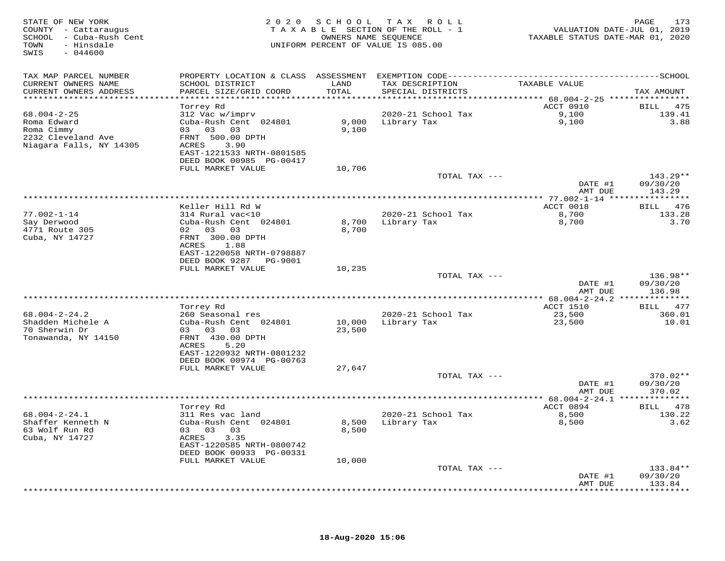| STATE OF NEW YORK<br>COUNTY - Cattaraugus<br>SCHOOL - Cuba-Rush Cent<br>- Hinsdale<br>TOWN<br>SWIS<br>$-044600$ | 2 0 2 0                                                                                                                                               | S C H O O L      | T A X<br>R O L L<br>TAXABLE SECTION OF THE ROLL - 1<br>OWNERS NAME SEQUENCE<br>UNIFORM PERCENT OF VALUE IS 085.00 | VALUATION DATE-JUL 01, 2019<br>TAXABLE STATUS DATE-MAR 01, 2020 | PAGE<br>173                    |
|-----------------------------------------------------------------------------------------------------------------|-------------------------------------------------------------------------------------------------------------------------------------------------------|------------------|-------------------------------------------------------------------------------------------------------------------|-----------------------------------------------------------------|--------------------------------|
| TAX MAP PARCEL NUMBER<br>CURRENT OWNERS NAME                                                                    |                                                                                                                                                       |                  |                                                                                                                   | TAXABLE VALUE                                                   |                                |
| CURRENT OWNERS ADDRESS<br>*************************                                                             | SCHOOL DISTRICT<br>PARCEL SIZE/GRID COORD                                                                                                             | LAND<br>TOTAL    | TAX DESCRIPTION<br>SPECIAL DISTRICTS                                                                              |                                                                 | TAX AMOUNT                     |
|                                                                                                                 | Torrey Rd                                                                                                                                             |                  |                                                                                                                   | ACCT 0910                                                       | BILL 475                       |
| $68.004 - 2 - 25$<br>Roma Edward<br>Roma Cimmy<br>2232 Cleveland Ave<br>Niagara Falls, NY 14305                 | 312 Vac w/imprv<br>Cuba-Rush Cent 024801<br>03 03<br>03<br>FRNT 500.00 DPTH<br>ACRES<br>3.90<br>EAST-1221533 NRTH-0801585<br>DEED BOOK 00985 PG-00417 | 9,000<br>9,100   | 2020-21 School Tax<br>Library Tax                                                                                 | 9,100<br>9,100                                                  | 139.41<br>3.88                 |
|                                                                                                                 | FULL MARKET VALUE                                                                                                                                     | 10,706           | TOTAL TAX ---                                                                                                     |                                                                 | $143.29**$                     |
|                                                                                                                 |                                                                                                                                                       |                  |                                                                                                                   | DATE #1<br>AMT DUE                                              | 09/30/20<br>143.29             |
|                                                                                                                 |                                                                                                                                                       |                  | *********************                                                                                             | ************ 77.002-1-14 ****                                   | * * * * * * * * * * *          |
| $77.002 - 1 - 14$<br>Say Derwood<br>4771 Route 305<br>Cuba, NY 14727                                            | Keller Hill Rd W<br>314 Rural vac<10<br>Cuba-Rush Cent 024801<br>03<br>02<br>03<br>FRNT 300.00 DPTH<br>ACRES<br>1.88<br>EAST-1220058 NRTH-0798887     | 8,700<br>8,700   | 2020-21 School Tax<br>Library Tax                                                                                 | ACCT 0018<br>8,700<br>8,700                                     | BILL 476<br>133.28<br>3.70     |
|                                                                                                                 | DEED BOOK 9287 PG-9001<br>FULL MARKET VALUE                                                                                                           | 10,235           |                                                                                                                   |                                                                 |                                |
|                                                                                                                 |                                                                                                                                                       |                  | TOTAL TAX ---                                                                                                     | DATE #1<br>AMT DUE                                              | 136.98**<br>09/30/20<br>136.98 |
|                                                                                                                 | Torrey Rd                                                                                                                                             |                  | **************                                                                                                    | ** 68.004-2-24.2 **************<br><b>ACCT 1510</b>             | 477<br>BILL                    |
| $68.004 - 2 - 24.2$<br>Shadden Michele A<br>70 Sherwin Dr<br>Tonawanda, NY 14150                                | 260 Seasonal res<br>Cuba-Rush Cent 024801<br>03 03 03<br>FRNT 430.00 DPTH<br>5.20<br>ACRES<br>EAST-1220932 NRTH-0801232<br>DEED BOOK 00974 PG-00763   | 10,000<br>23,500 | 2020-21 School Tax<br>Library Tax                                                                                 | 23,500<br>23,500                                                | 360.01<br>10.01                |
|                                                                                                                 | FULL MARKET VALUE                                                                                                                                     | 27,647           |                                                                                                                   |                                                                 |                                |
|                                                                                                                 |                                                                                                                                                       |                  | TOTAL TAX ---                                                                                                     | DATE #1<br>AMT DUE                                              | 370.02**<br>09/30/20<br>370.02 |
|                                                                                                                 |                                                                                                                                                       |                  |                                                                                                                   |                                                                 |                                |
| $68.004 - 2 - 24.1$<br>Shaffer Kenneth N<br>63 Wolf Run Rd<br>Cuba, NY 14727                                    | Torrey Rd<br>311 Res vac land<br>Cuba-Rush Cent 024801<br>03 03 03<br>ACRES<br>3.35<br>EAST-1220585 NRTH-0800742<br>DEED BOOK 00933 PG-00331          | 8,500<br>8,500   | 2020-21 School Tax<br>Library Tax                                                                                 | ACCT 0894<br>8,500<br>8,500                                     | BILL 478<br>130.22<br>3.62     |
|                                                                                                                 | FULL MARKET VALUE                                                                                                                                     | 10,000           |                                                                                                                   |                                                                 |                                |
|                                                                                                                 |                                                                                                                                                       |                  | TOTAL TAX ---                                                                                                     | DATE #1<br>AMT DUE                                              | 133.84**<br>09/30/20<br>133.84 |
|                                                                                                                 |                                                                                                                                                       |                  |                                                                                                                   |                                                                 |                                |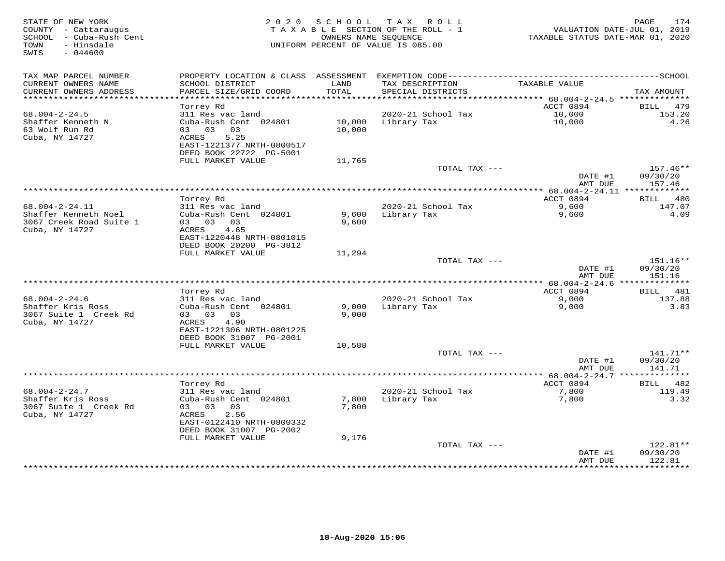| STATE OF NEW YORK<br>COUNTY - Cattaraugus<br>- Cuba-Rush Cent<br>SCHOOL<br>- Hinsdale<br>TOWN<br>SWIS<br>$-044600$ | 2 0 2 0                                   | SCHOOL<br>OWNERS NAME SEOUENCE | TAX ROLL<br>TAXABLE SECTION OF THE ROLL - 1<br>UNIFORM PERCENT OF VALUE IS 085.00 | VALUATION DATE-JUL 01, 2019<br>TAXABLE STATUS DATE-MAR 01, 2020 | 174<br>PAGE            |
|--------------------------------------------------------------------------------------------------------------------|-------------------------------------------|--------------------------------|-----------------------------------------------------------------------------------|-----------------------------------------------------------------|------------------------|
| TAX MAP PARCEL NUMBER                                                                                              |                                           |                                |                                                                                   |                                                                 |                        |
| CURRENT OWNERS NAME<br>CURRENT OWNERS ADDRESS                                                                      | SCHOOL DISTRICT<br>PARCEL SIZE/GRID COORD | LAND<br>TOTAL                  | TAX DESCRIPTION<br>SPECIAL DISTRICTS                                              | TAXABLE VALUE                                                   | TAX AMOUNT             |
| ***********************                                                                                            |                                           |                                |                                                                                   |                                                                 |                        |
| $68.004 - 2 - 24.5$                                                                                                | Torrey Rd<br>311 Res vac land             |                                | 2020-21 School Tax                                                                | ACCT 0894<br>10,000                                             | 479<br>BILL<br>153.20  |
| Shaffer Kenneth N                                                                                                  | Cuba-Rush Cent 024801                     | 10,000                         | Library Tax                                                                       | 10,000                                                          | 4.26                   |
| 63 Wolf Run Rd                                                                                                     | 03 03<br>03                               | 10,000                         |                                                                                   |                                                                 |                        |
| Cuba, NY 14727                                                                                                     | 5.25<br>ACRES                             |                                |                                                                                   |                                                                 |                        |
|                                                                                                                    | EAST-1221377 NRTH-0800517                 |                                |                                                                                   |                                                                 |                        |
|                                                                                                                    | DEED BOOK 22722 PG-5001                   |                                |                                                                                   |                                                                 |                        |
|                                                                                                                    | FULL MARKET VALUE                         | 11,765                         | TOTAL TAX ---                                                                     |                                                                 | 157.46**               |
|                                                                                                                    |                                           |                                |                                                                                   | DATE #1                                                         | 09/30/20               |
|                                                                                                                    |                                           |                                |                                                                                   | AMT DUE                                                         | 157.46                 |
|                                                                                                                    |                                           |                                |                                                                                   | *** 68.004-2-24.11 *************                                |                        |
|                                                                                                                    | Torrey Rd                                 |                                |                                                                                   | ACCT 0894                                                       | 480<br>BILL            |
| 68.004-2-24.11<br>Shaffer Kenneth Noel                                                                             | 311 Res vac land<br>Cuba-Rush Cent 024801 | 9,600                          | 2020-21 School Tax                                                                | 9,600                                                           | 147.07<br>4.09         |
| 3067 Creek Road Suite 1                                                                                            | 03<br>03 03                               | 9,600                          | Library Tax                                                                       | 9,600                                                           |                        |
| Cuba, NY 14727                                                                                                     | ACRES<br>4.65                             |                                |                                                                                   |                                                                 |                        |
|                                                                                                                    | EAST-1220448 NRTH-0801015                 |                                |                                                                                   |                                                                 |                        |
|                                                                                                                    | DEED BOOK 20200 PG-3812                   |                                |                                                                                   |                                                                 |                        |
|                                                                                                                    | FULL MARKET VALUE                         | 11,294                         |                                                                                   |                                                                 |                        |
|                                                                                                                    |                                           |                                | TOTAL TAX ---                                                                     | DATE #1                                                         | 151.16**<br>09/30/20   |
|                                                                                                                    |                                           |                                |                                                                                   | AMT DUE                                                         | 151.16                 |
|                                                                                                                    |                                           |                                |                                                                                   |                                                                 |                        |
|                                                                                                                    | Torrey Rd                                 |                                |                                                                                   | ACCT 0894                                                       | 481<br><b>BILL</b>     |
| $68.004 - 2 - 24.6$                                                                                                | 311 Res vac land                          |                                | 2020-21 School Tax                                                                | 9,000                                                           | 137.88                 |
| Shaffer Kris Ross<br>3067 Suite 1 Creek Rd                                                                         | Cuba-Rush Cent 024801<br>03 03<br>03      | 9,000<br>9,000                 | Library Tax                                                                       | 9,000                                                           | 3.83                   |
| Cuba, NY 14727                                                                                                     | ACRES<br>4.90                             |                                |                                                                                   |                                                                 |                        |
|                                                                                                                    | EAST-1221306 NRTH-0801225                 |                                |                                                                                   |                                                                 |                        |
|                                                                                                                    | DEED BOOK 31007 PG-2001                   |                                |                                                                                   |                                                                 |                        |
|                                                                                                                    | FULL MARKET VALUE                         | 10,588                         |                                                                                   |                                                                 |                        |
|                                                                                                                    |                                           |                                | TOTAL TAX ---                                                                     | DATE #1                                                         | $141.71**$<br>09/30/20 |
|                                                                                                                    |                                           |                                |                                                                                   | AMT DUE                                                         | 141.71                 |
|                                                                                                                    |                                           |                                |                                                                                   | *********** 68.004-2-24.7 ***                                   | ***********            |
|                                                                                                                    | Torrey Rd                                 |                                |                                                                                   | ACCT 0894                                                       | <b>BILL</b><br>482     |
| $68.004 - 2 - 24.7$                                                                                                | 311 Res vac land                          |                                | 2020-21 School Tax                                                                | 7,800                                                           | 119.49                 |
| Shaffer Kris Ross                                                                                                  | Cuba-Rush Cent 024801                     | 7,800                          | Library Tax                                                                       | 7,800                                                           | 3.32                   |
| 3067 Suite 1 Creek Rd<br>Cuba, NY 14727                                                                            | 03 03<br>03<br>2.56<br>ACRES              | 7,800                          |                                                                                   |                                                                 |                        |
|                                                                                                                    | EAST-0122410 NRTH-0800332                 |                                |                                                                                   |                                                                 |                        |
|                                                                                                                    | DEED BOOK 31007 PG-2002                   |                                |                                                                                   |                                                                 |                        |
|                                                                                                                    | FULL MARKET VALUE                         | 9,176                          |                                                                                   |                                                                 |                        |
|                                                                                                                    |                                           |                                | TOTAL TAX ---                                                                     |                                                                 | 122.81**               |
|                                                                                                                    |                                           |                                |                                                                                   | DATE #1<br>AMT DUE                                              | 09/30/20<br>122.81     |
|                                                                                                                    |                                           |                                |                                                                                   | ********                                                        | * * * * * * * * *      |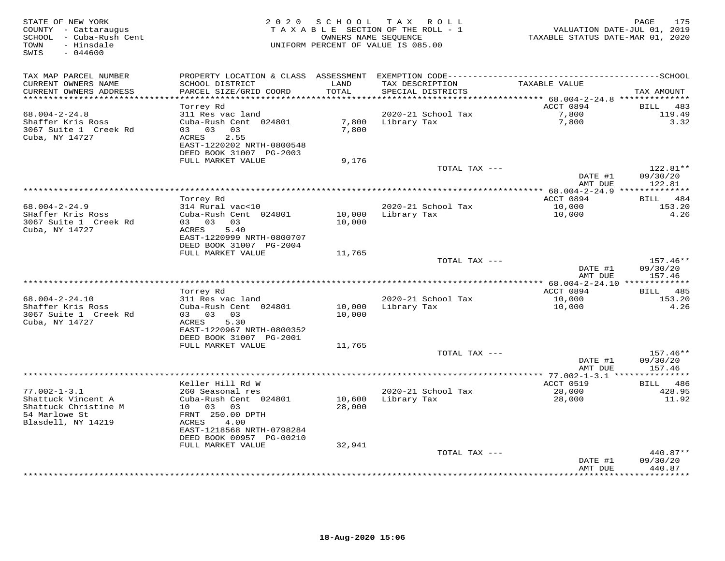| STATE OF NEW YORK<br>COUNTY - Cattaraugus<br>SCHOOL - Cuba-Rush Cent<br>- Hinsdale<br>TOWN<br>$-044600$<br>SWIS |                                                      | 2020 SCHOOL   | TAX ROLL<br>TAXABLE SECTION OF THE ROLL - 1<br>OWNERS NAME SEQUENCE<br>UNIFORM PERCENT OF VALUE IS 085.00 | VALUATION DATE-JUL 01, 2019<br>TAXABLE STATUS DATE-MAR 01, 2020 | 175<br>PAGE                   |
|-----------------------------------------------------------------------------------------------------------------|------------------------------------------------------|---------------|-----------------------------------------------------------------------------------------------------------|-----------------------------------------------------------------|-------------------------------|
| TAX MAP PARCEL NUMBER                                                                                           |                                                      |               |                                                                                                           |                                                                 |                               |
| CURRENT OWNERS NAME<br>CURRENT OWNERS ADDRESS                                                                   | SCHOOL DISTRICT<br>PARCEL SIZE/GRID COORD            | LAND<br>TOTAL | TAX DESCRIPTION<br>SPECIAL DISTRICTS                                                                      | TAXABLE VALUE                                                   | TAX AMOUNT                    |
| **********************                                                                                          |                                                      | ***********   |                                                                                                           | ******* 68.004-2-24.8 **************                            |                               |
|                                                                                                                 | Torrey Rd                                            |               |                                                                                                           | ACCT 0894                                                       | BILL 483                      |
| $68.004 - 2 - 24.8$                                                                                             | 311 Res vac land                                     |               | 2020-21 School Tax                                                                                        | 7,800                                                           | 119.49                        |
| Shaffer Kris Ross                                                                                               | Cuba-Rush Cent 024801                                | 7,800         | Library Tax                                                                                               | 7,800                                                           | 3.32                          |
| 3067 Suite 1 Creek Rd                                                                                           | 03 03 03                                             | 7,800         |                                                                                                           |                                                                 |                               |
| Cuba, NY 14727                                                                                                  | <b>ACRES</b><br>2.55<br>EAST-1220202 NRTH-0800548    |               |                                                                                                           |                                                                 |                               |
|                                                                                                                 | DEED BOOK 31007 PG-2003<br>FULL MARKET VALUE         |               |                                                                                                           |                                                                 |                               |
|                                                                                                                 |                                                      | 9,176         | TOTAL TAX ---                                                                                             |                                                                 | 122.81**                      |
|                                                                                                                 |                                                      |               |                                                                                                           | DATE #1                                                         | 09/30/20                      |
|                                                                                                                 |                                                      |               |                                                                                                           | AMT DUE<br>*** 68.004-2-24.9 **************                     | 122.81                        |
|                                                                                                                 | Torrey Rd                                            |               |                                                                                                           | ACCT 0894                                                       | BILL 484                      |
| $68.004 - 2 - 24.9$                                                                                             | 314 Rural vac<10                                     |               | 2020-21 School Tax                                                                                        | 10,000                                                          | 153.20                        |
| SHaffer Kris Ross                                                                                               | Cuba-Rush Cent 024801                                | 10,000        | Library Tax                                                                                               | 10,000                                                          | 4.26                          |
| 3067 Suite 1 Creek Rd                                                                                           | 03 03 03                                             | 10,000        |                                                                                                           |                                                                 |                               |
| Cuba, NY 14727                                                                                                  | 5.40<br>ACRES                                        |               |                                                                                                           |                                                                 |                               |
|                                                                                                                 | EAST-1220999 NRTH-0800707                            |               |                                                                                                           |                                                                 |                               |
|                                                                                                                 | DEED BOOK 31007 PG-2004                              |               |                                                                                                           |                                                                 |                               |
|                                                                                                                 | FULL MARKET VALUE                                    | 11,765        |                                                                                                           |                                                                 |                               |
|                                                                                                                 |                                                      |               | TOTAL TAX ---                                                                                             | DATE #1                                                         | 157.46**<br>09/30/20          |
|                                                                                                                 |                                                      |               |                                                                                                           | AMT DUE                                                         | 157.46                        |
|                                                                                                                 |                                                      |               |                                                                                                           |                                                                 |                               |
|                                                                                                                 | Torrey Rd                                            |               |                                                                                                           | ACCT 0894                                                       | BILL 485                      |
| $68.004 - 2 - 24.10$                                                                                            | 311 Res vac land                                     |               | 2020-21 School Tax                                                                                        | 10,000                                                          | 153.20                        |
| Shaffer Kris Ross                                                                                               | Cuba-Rush Cent 024801                                | 10,000        | Library Tax                                                                                               | 10,000                                                          | 4.26                          |
| 3067 Suite 1 Creek Rd                                                                                           | 03 03 03                                             | 10,000        |                                                                                                           |                                                                 |                               |
| Cuba, NY 14727                                                                                                  | 5.30<br>ACRES                                        |               |                                                                                                           |                                                                 |                               |
|                                                                                                                 | EAST-1220967 NRTH-0800352<br>DEED BOOK 31007 PG-2001 |               |                                                                                                           |                                                                 |                               |
|                                                                                                                 | FULL MARKET VALUE                                    | 11,765        |                                                                                                           |                                                                 |                               |
|                                                                                                                 |                                                      |               | TOTAL TAX ---                                                                                             |                                                                 | 157.46**                      |
|                                                                                                                 |                                                      |               |                                                                                                           | DATE #1                                                         | 09/30/20                      |
|                                                                                                                 |                                                      |               |                                                                                                           | AMT DUE                                                         | 157.46                        |
|                                                                                                                 |                                                      |               |                                                                                                           |                                                                 |                               |
|                                                                                                                 | Keller Hill Rd W                                     |               |                                                                                                           | ACCT 0519                                                       | BILL 486                      |
| $77.002 - 1 - 3.1$                                                                                              | 260 Seasonal res                                     |               | 2020-21 School Tax                                                                                        | 28,000                                                          | 428.95                        |
| Shattuck Vincent A<br>Shattuck Christine M                                                                      | Cuba-Rush Cent 024801                                | 10,600        | Library Tax                                                                                               | 28,000                                                          | 11.92                         |
| 54 Marlowe St                                                                                                   | 10 03<br>03<br>FRNT 250.00 DPTH                      | 28,000        |                                                                                                           |                                                                 |                               |
| Blasdell, NY 14219                                                                                              | 4.00<br>ACRES                                        |               |                                                                                                           |                                                                 |                               |
|                                                                                                                 | EAST-1218568 NRTH-0798284                            |               |                                                                                                           |                                                                 |                               |
|                                                                                                                 | DEED BOOK 00957 PG-00210                             |               |                                                                                                           |                                                                 |                               |
|                                                                                                                 | FULL MARKET VALUE                                    | 32,941        |                                                                                                           |                                                                 |                               |
|                                                                                                                 |                                                      |               | TOTAL TAX ---                                                                                             |                                                                 | $440.87**$                    |
|                                                                                                                 |                                                      |               |                                                                                                           | DATE #1                                                         | 09/30/20                      |
|                                                                                                                 |                                                      |               |                                                                                                           | AMT DUE<br>**************                                       | 440.87<br>* * * * * * * * * · |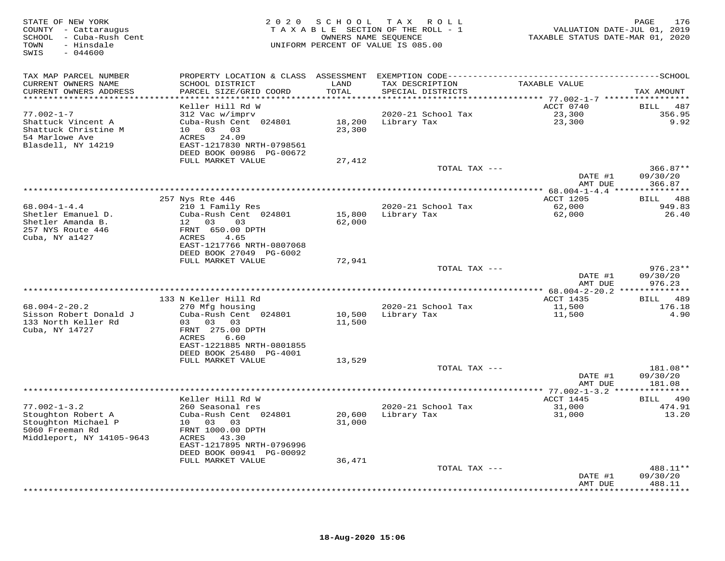| STATE OF NEW YORK<br>COUNTY - Cattaraugus<br>SCHOOL - Cuba-Rush Cent<br>- Hinsdale<br>TOWN<br>SWIS<br>$-044600$ | 2 0 2 0                                                                | SCHOOL        | T A X<br>ROLL ROLL<br>TAXABLE SECTION OF THE ROLL - 1<br>OWNERS NAME SEQUENCE<br>UNIFORM PERCENT OF VALUE IS 085.00 | VALUATION DATE-JUL 01, 2019<br>TAXABLE STATUS DATE-MAR 01, 2020 | 176<br>PAGE                       |
|-----------------------------------------------------------------------------------------------------------------|------------------------------------------------------------------------|---------------|---------------------------------------------------------------------------------------------------------------------|-----------------------------------------------------------------|-----------------------------------|
| TAX MAP PARCEL NUMBER                                                                                           |                                                                        |               |                                                                                                                     |                                                                 |                                   |
| CURRENT OWNERS NAME<br>CURRENT OWNERS ADDRESS<br>***********************                                        | SCHOOL DISTRICT<br>PARCEL SIZE/GRID COORD<br>************************* | LAND<br>TOTAL | TAX DESCRIPTION<br>SPECIAL DISTRICTS                                                                                | TAXABLE VALUE                                                   | TAX AMOUNT                        |
|                                                                                                                 | Keller Hill Rd W                                                       |               |                                                                                                                     | ACCT 0740                                                       | BILL 487                          |
| $77.002 - 1 - 7$                                                                                                | 312 Vac w/imprv                                                        |               | 2020-21 School Tax                                                                                                  | 23,300                                                          | 356.95                            |
| Shattuck Vincent A                                                                                              | Cuba-Rush Cent 024801                                                  |               | 18,200 Library Tax                                                                                                  | 23,300                                                          | 9.92                              |
| Shattuck Christine M                                                                                            | 10 03 03                                                               | 23,300        |                                                                                                                     |                                                                 |                                   |
| 54 Marlowe Ave                                                                                                  | ACRES 24.09                                                            |               |                                                                                                                     |                                                                 |                                   |
| Blasdell, NY 14219                                                                                              | EAST-1217830 NRTH-0798561<br>DEED BOOK 00986 PG-00672                  |               |                                                                                                                     |                                                                 |                                   |
|                                                                                                                 | FULL MARKET VALUE                                                      | 27,412        |                                                                                                                     |                                                                 |                                   |
|                                                                                                                 |                                                                        |               | TOTAL TAX ---                                                                                                       |                                                                 | $366.87**$                        |
|                                                                                                                 |                                                                        |               |                                                                                                                     | DATE #1                                                         | 09/30/20                          |
|                                                                                                                 |                                                                        |               |                                                                                                                     | AMT DUE                                                         | 366.87                            |
|                                                                                                                 |                                                                        |               |                                                                                                                     |                                                                 |                                   |
| $68.004 - 1 - 4.4$                                                                                              | 257 Nys Rte 446<br>210 1 Family Res                                    |               | 2020-21 School Tax                                                                                                  | ACCT 1205<br>62,000                                             | BILL 488<br>949.83                |
| Shetler Emanuel D.                                                                                              | Cuba-Rush Cent 024801                                                  | 15,800        | Library Tax                                                                                                         | 62,000                                                          | 26.40                             |
| Shetler Amanda B.                                                                                               | 12 03 03                                                               | 62,000        |                                                                                                                     |                                                                 |                                   |
| 257 NYS Route 446                                                                                               | FRNT 650.00 DPTH                                                       |               |                                                                                                                     |                                                                 |                                   |
| Cuba, NY a1427                                                                                                  | ACRES<br>4.65                                                          |               |                                                                                                                     |                                                                 |                                   |
|                                                                                                                 | EAST-1217766 NRTH-0807068<br>DEED BOOK 27049 PG-6002                   |               |                                                                                                                     |                                                                 |                                   |
|                                                                                                                 | FULL MARKET VALUE                                                      | 72,941        |                                                                                                                     |                                                                 |                                   |
|                                                                                                                 |                                                                        |               | TOTAL TAX ---                                                                                                       |                                                                 | $976.23**$                        |
|                                                                                                                 |                                                                        |               |                                                                                                                     | DATE #1                                                         | 09/30/20                          |
|                                                                                                                 |                                                                        |               |                                                                                                                     | AMT DUE                                                         | 976.23<br>* * * * * * * * * * * * |
|                                                                                                                 | 133 N Keller Hill Rd                                                   |               |                                                                                                                     | *********** 68.004-2-20.2 **<br>ACCT 1435                       | 489<br><b>BILL</b>                |
| $68.004 - 2 - 20.2$                                                                                             | 270 Mfg housing                                                        |               | 2020-21 School Tax                                                                                                  | 11,500                                                          | 176.18                            |
| Sisson Robert Donald J                                                                                          | Cuba-Rush Cent 024801                                                  | 10,500        | Library Tax                                                                                                         | 11,500                                                          | 4.90                              |
| 133 North Keller Rd                                                                                             | 03 03 03                                                               | 11,500        |                                                                                                                     |                                                                 |                                   |
| Cuba, NY 14727                                                                                                  | FRNT 275.00 DPTH                                                       |               |                                                                                                                     |                                                                 |                                   |
|                                                                                                                 | ACRES<br>6.60<br>EAST-1221885 NRTH-0801855                             |               |                                                                                                                     |                                                                 |                                   |
|                                                                                                                 | DEED BOOK 25480 PG-4001                                                |               |                                                                                                                     |                                                                 |                                   |
|                                                                                                                 | FULL MARKET VALUE                                                      | 13,529        |                                                                                                                     |                                                                 |                                   |
|                                                                                                                 |                                                                        |               | TOTAL TAX ---                                                                                                       |                                                                 | 181.08**                          |
|                                                                                                                 |                                                                        |               |                                                                                                                     | DATE #1                                                         | 09/30/20                          |
|                                                                                                                 |                                                                        |               |                                                                                                                     | AMT DUE                                                         | 181.08                            |
|                                                                                                                 | Keller Hill Rd W                                                       |               |                                                                                                                     | ACCT 1445                                                       | BILL 490                          |
| $77.002 - 1 - 3.2$                                                                                              | 260 Seasonal res                                                       |               | 2020-21 School Tax                                                                                                  | 31,000                                                          | 474.91                            |
| Stoughton Robert A                                                                                              | Cuba-Rush Cent 024801                                                  | 20,600        | Library Tax                                                                                                         | 31,000                                                          | 13.20                             |
| Stoughton Michael P                                                                                             | 10 03 03                                                               | 31,000        |                                                                                                                     |                                                                 |                                   |
| 5060 Freeman Rd<br>Middleport, NY 14105-9643                                                                    | FRNT 1000.00 DPTH<br>ACRES 43.30                                       |               |                                                                                                                     |                                                                 |                                   |
|                                                                                                                 | EAST-1217895 NRTH-0796996                                              |               |                                                                                                                     |                                                                 |                                   |
|                                                                                                                 | DEED BOOK 00941 PG-00092                                               |               |                                                                                                                     |                                                                 |                                   |
|                                                                                                                 | FULL MARKET VALUE                                                      | 36,471        |                                                                                                                     |                                                                 |                                   |
|                                                                                                                 |                                                                        |               | TOTAL TAX ---                                                                                                       |                                                                 | 488.11**                          |
|                                                                                                                 |                                                                        |               |                                                                                                                     | DATE #1<br>AMT DUE                                              | 09/30/20<br>488.11                |
|                                                                                                                 |                                                                        |               |                                                                                                                     |                                                                 | *********                         |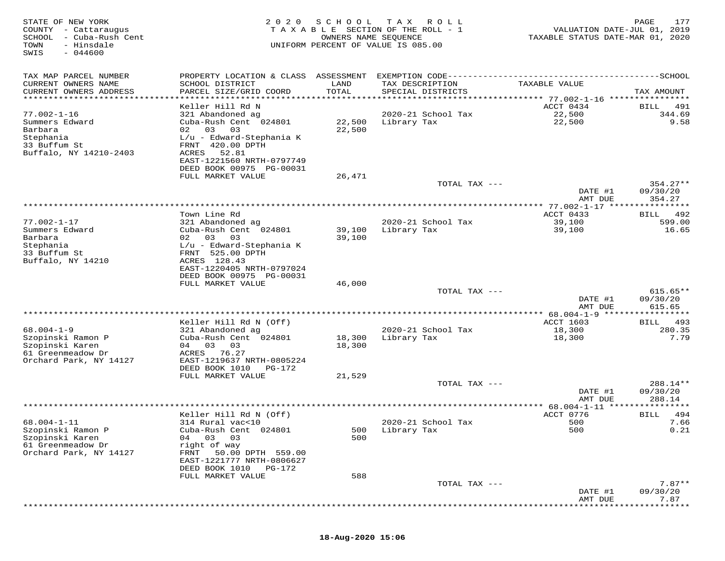| TAX MAP PARCEL NUMBER<br>PROPERTY LOCATION & CLASS ASSESSMENT<br>CURRENT OWNERS NAME<br>SCHOOL DISTRICT<br>LAND<br>TAX DESCRIPTION<br>TAXABLE VALUE<br>PARCEL SIZE/GRID COORD<br>TOTAL<br>CURRENT OWNERS ADDRESS<br>SPECIAL DISTRICTS<br>TAX AMOUNT<br>**********************<br>***********************<br>**********************************<br>************** 77.002-1-16 *****************<br>Keller Hill Rd N<br>ACCT 0434<br>BILL<br>491<br>$77.002 - 1 - 16$<br>321 Abandoned ag<br>2020-21 School Tax<br>22,500<br>344.69<br>Summers Edward<br>Cuba-Rush Cent 024801<br>22,500<br>Library Tax<br>22,500<br>9.58<br>02 03<br>Barbara<br>03<br>22,500<br>Stephania<br>$L/u$ - Edward-Stephania K<br>33 Buffum St<br>FRNT 420.00 DPTH<br>Buffalo, NY 14210-2403<br>ACRES<br>52.81<br>EAST-1221560 NRTH-0797749<br>DEED BOOK 00975 PG-00031<br>FULL MARKET VALUE<br>26,471<br>TOTAL TAX ---<br>$354.27**$<br>DATE #1<br>09/30/20<br>354.27<br>AMT DUE<br>********* 77.002-1-17 ****************<br>ACCT 0433<br>Town Line Rd<br>492<br>BILL<br>$77.002 - 1 - 17$<br>321 Abandoned ag<br>2020-21 School Tax<br>39,100<br>599.00<br>39,100<br>Summers Edward<br>Cuba-Rush Cent 024801<br>39,100<br>Library Tax<br>16.65<br>Barbara<br>02<br>03<br>03<br>39,100<br>Stephania<br>$L/u$ - Edward-Stephania K<br>33 Buffum St<br>FRNT 525.00 DPTH<br>Buffalo, NY 14210<br>ACRES 128.43<br>EAST-1220405 NRTH-0797024<br>DEED BOOK 00975 PG-00031<br>FULL MARKET VALUE<br>46,000<br>TOTAL TAX ---<br>$615.65**$<br>09/30/20<br>DATE #1<br>615.65<br>AMT DUE<br>*******************<br>** 68.004-1-9 **<br>* * * * * * * * *<br>Keller Hill Rd N (Off)<br><b>ACCT 1603</b><br>493<br>BILL<br>$68.004 - 1 - 9$<br>18,300<br>280.35<br>321 Abandoned ag<br>2020-21 School Tax<br>Library Tax<br>7.79<br>Szopinski Ramon P<br>Cuba-Rush Cent 024801<br>18,300<br>18,300<br>Szopinski Karen<br>04 03<br>18,300<br>03<br>61 Greenmeadow Dr<br>ACRES 76.27<br>Orchard Park, NY 14127<br>EAST-1219637 NRTH-0805224<br>DEED BOOK 1010<br>PG-172<br>FULL MARKET VALUE<br>21,529<br>TOTAL TAX ---<br>288.14**<br>DATE #1<br>09/30/20<br>288.14<br>AMT DUE<br>********* 68.004-1-11 *****<br>* * * * * * * * *<br>Keller Hill Rd N (Off)<br>ACCT 0776<br>BILL<br>494<br>$68.004 - 1 - 11$<br>314 Rural vac<10<br>2020-21 School Tax<br>500<br>7.66<br>Szopinski Ramon P<br>Cuba-Rush Cent 024801<br>500<br>Library Tax<br>500<br>0.21<br>500<br>Szopinski Karen<br>03<br>04<br>03<br>61 Greenmeadow Dr<br>right of way<br>Orchard Park, NY 14127<br>50.00 DPTH 559.00<br>FRNT<br>EAST-1221777 NRTH-0806627<br>DEED BOOK 1010<br>PG-172<br>588<br>FULL MARKET VALUE<br>$7.87**$<br>TOTAL TAX ---<br>DATE #1<br>09/30/20<br>AMT DUE<br>7.87 | STATE OF NEW YORK<br>COUNTY<br>- Cattaraugus<br>SCHOOL<br>- Cuba-Rush Cent<br>TOWN<br>- Hinsdale<br>$-044600$<br>SWIS | 2 0 2 0 | SCHOOL<br>OWNERS NAME SEQUENCE | T A X<br>R O L L<br>TAXABLE SECTION OF THE ROLL - 1<br>UNIFORM PERCENT OF VALUE IS 085.00 | VALUATION DATE-JUL 01, 2019<br>TAXABLE STATUS DATE-MAR 01, 2020 | 177<br>PAGE |
|---------------------------------------------------------------------------------------------------------------------------------------------------------------------------------------------------------------------------------------------------------------------------------------------------------------------------------------------------------------------------------------------------------------------------------------------------------------------------------------------------------------------------------------------------------------------------------------------------------------------------------------------------------------------------------------------------------------------------------------------------------------------------------------------------------------------------------------------------------------------------------------------------------------------------------------------------------------------------------------------------------------------------------------------------------------------------------------------------------------------------------------------------------------------------------------------------------------------------------------------------------------------------------------------------------------------------------------------------------------------------------------------------------------------------------------------------------------------------------------------------------------------------------------------------------------------------------------------------------------------------------------------------------------------------------------------------------------------------------------------------------------------------------------------------------------------------------------------------------------------------------------------------------------------------------------------------------------------------------------------------------------------------------------------------------------------------------------------------------------------------------------------------------------------------------------------------------------------------------------------------------------------------------------------------------------------------------------------------------------------------------------------------------------------------------------------------------------------------------------------------------------------------------------------------------------------------------------------------------------------------------------------------------------------------------------------------------------------------|-----------------------------------------------------------------------------------------------------------------------|---------|--------------------------------|-------------------------------------------------------------------------------------------|-----------------------------------------------------------------|-------------|
|                                                                                                                                                                                                                                                                                                                                                                                                                                                                                                                                                                                                                                                                                                                                                                                                                                                                                                                                                                                                                                                                                                                                                                                                                                                                                                                                                                                                                                                                                                                                                                                                                                                                                                                                                                                                                                                                                                                                                                                                                                                                                                                                                                                                                                                                                                                                                                                                                                                                                                                                                                                                                                                                                                                           |                                                                                                                       |         |                                |                                                                                           |                                                                 |             |
|                                                                                                                                                                                                                                                                                                                                                                                                                                                                                                                                                                                                                                                                                                                                                                                                                                                                                                                                                                                                                                                                                                                                                                                                                                                                                                                                                                                                                                                                                                                                                                                                                                                                                                                                                                                                                                                                                                                                                                                                                                                                                                                                                                                                                                                                                                                                                                                                                                                                                                                                                                                                                                                                                                                           |                                                                                                                       |         |                                |                                                                                           |                                                                 |             |
|                                                                                                                                                                                                                                                                                                                                                                                                                                                                                                                                                                                                                                                                                                                                                                                                                                                                                                                                                                                                                                                                                                                                                                                                                                                                                                                                                                                                                                                                                                                                                                                                                                                                                                                                                                                                                                                                                                                                                                                                                                                                                                                                                                                                                                                                                                                                                                                                                                                                                                                                                                                                                                                                                                                           |                                                                                                                       |         |                                |                                                                                           |                                                                 |             |
|                                                                                                                                                                                                                                                                                                                                                                                                                                                                                                                                                                                                                                                                                                                                                                                                                                                                                                                                                                                                                                                                                                                                                                                                                                                                                                                                                                                                                                                                                                                                                                                                                                                                                                                                                                                                                                                                                                                                                                                                                                                                                                                                                                                                                                                                                                                                                                                                                                                                                                                                                                                                                                                                                                                           |                                                                                                                       |         |                                |                                                                                           |                                                                 |             |
|                                                                                                                                                                                                                                                                                                                                                                                                                                                                                                                                                                                                                                                                                                                                                                                                                                                                                                                                                                                                                                                                                                                                                                                                                                                                                                                                                                                                                                                                                                                                                                                                                                                                                                                                                                                                                                                                                                                                                                                                                                                                                                                                                                                                                                                                                                                                                                                                                                                                                                                                                                                                                                                                                                                           |                                                                                                                       |         |                                |                                                                                           |                                                                 |             |
|                                                                                                                                                                                                                                                                                                                                                                                                                                                                                                                                                                                                                                                                                                                                                                                                                                                                                                                                                                                                                                                                                                                                                                                                                                                                                                                                                                                                                                                                                                                                                                                                                                                                                                                                                                                                                                                                                                                                                                                                                                                                                                                                                                                                                                                                                                                                                                                                                                                                                                                                                                                                                                                                                                                           |                                                                                                                       |         |                                |                                                                                           |                                                                 |             |
|                                                                                                                                                                                                                                                                                                                                                                                                                                                                                                                                                                                                                                                                                                                                                                                                                                                                                                                                                                                                                                                                                                                                                                                                                                                                                                                                                                                                                                                                                                                                                                                                                                                                                                                                                                                                                                                                                                                                                                                                                                                                                                                                                                                                                                                                                                                                                                                                                                                                                                                                                                                                                                                                                                                           |                                                                                                                       |         |                                |                                                                                           |                                                                 |             |
|                                                                                                                                                                                                                                                                                                                                                                                                                                                                                                                                                                                                                                                                                                                                                                                                                                                                                                                                                                                                                                                                                                                                                                                                                                                                                                                                                                                                                                                                                                                                                                                                                                                                                                                                                                                                                                                                                                                                                                                                                                                                                                                                                                                                                                                                                                                                                                                                                                                                                                                                                                                                                                                                                                                           |                                                                                                                       |         |                                |                                                                                           |                                                                 |             |
|                                                                                                                                                                                                                                                                                                                                                                                                                                                                                                                                                                                                                                                                                                                                                                                                                                                                                                                                                                                                                                                                                                                                                                                                                                                                                                                                                                                                                                                                                                                                                                                                                                                                                                                                                                                                                                                                                                                                                                                                                                                                                                                                                                                                                                                                                                                                                                                                                                                                                                                                                                                                                                                                                                                           |                                                                                                                       |         |                                |                                                                                           |                                                                 |             |
|                                                                                                                                                                                                                                                                                                                                                                                                                                                                                                                                                                                                                                                                                                                                                                                                                                                                                                                                                                                                                                                                                                                                                                                                                                                                                                                                                                                                                                                                                                                                                                                                                                                                                                                                                                                                                                                                                                                                                                                                                                                                                                                                                                                                                                                                                                                                                                                                                                                                                                                                                                                                                                                                                                                           |                                                                                                                       |         |                                |                                                                                           |                                                                 |             |
|                                                                                                                                                                                                                                                                                                                                                                                                                                                                                                                                                                                                                                                                                                                                                                                                                                                                                                                                                                                                                                                                                                                                                                                                                                                                                                                                                                                                                                                                                                                                                                                                                                                                                                                                                                                                                                                                                                                                                                                                                                                                                                                                                                                                                                                                                                                                                                                                                                                                                                                                                                                                                                                                                                                           |                                                                                                                       |         |                                |                                                                                           |                                                                 |             |
|                                                                                                                                                                                                                                                                                                                                                                                                                                                                                                                                                                                                                                                                                                                                                                                                                                                                                                                                                                                                                                                                                                                                                                                                                                                                                                                                                                                                                                                                                                                                                                                                                                                                                                                                                                                                                                                                                                                                                                                                                                                                                                                                                                                                                                                                                                                                                                                                                                                                                                                                                                                                                                                                                                                           |                                                                                                                       |         |                                |                                                                                           |                                                                 |             |
|                                                                                                                                                                                                                                                                                                                                                                                                                                                                                                                                                                                                                                                                                                                                                                                                                                                                                                                                                                                                                                                                                                                                                                                                                                                                                                                                                                                                                                                                                                                                                                                                                                                                                                                                                                                                                                                                                                                                                                                                                                                                                                                                                                                                                                                                                                                                                                                                                                                                                                                                                                                                                                                                                                                           |                                                                                                                       |         |                                |                                                                                           |                                                                 |             |
|                                                                                                                                                                                                                                                                                                                                                                                                                                                                                                                                                                                                                                                                                                                                                                                                                                                                                                                                                                                                                                                                                                                                                                                                                                                                                                                                                                                                                                                                                                                                                                                                                                                                                                                                                                                                                                                                                                                                                                                                                                                                                                                                                                                                                                                                                                                                                                                                                                                                                                                                                                                                                                                                                                                           |                                                                                                                       |         |                                |                                                                                           |                                                                 |             |
|                                                                                                                                                                                                                                                                                                                                                                                                                                                                                                                                                                                                                                                                                                                                                                                                                                                                                                                                                                                                                                                                                                                                                                                                                                                                                                                                                                                                                                                                                                                                                                                                                                                                                                                                                                                                                                                                                                                                                                                                                                                                                                                                                                                                                                                                                                                                                                                                                                                                                                                                                                                                                                                                                                                           |                                                                                                                       |         |                                |                                                                                           |                                                                 |             |
|                                                                                                                                                                                                                                                                                                                                                                                                                                                                                                                                                                                                                                                                                                                                                                                                                                                                                                                                                                                                                                                                                                                                                                                                                                                                                                                                                                                                                                                                                                                                                                                                                                                                                                                                                                                                                                                                                                                                                                                                                                                                                                                                                                                                                                                                                                                                                                                                                                                                                                                                                                                                                                                                                                                           |                                                                                                                       |         |                                |                                                                                           |                                                                 |             |
|                                                                                                                                                                                                                                                                                                                                                                                                                                                                                                                                                                                                                                                                                                                                                                                                                                                                                                                                                                                                                                                                                                                                                                                                                                                                                                                                                                                                                                                                                                                                                                                                                                                                                                                                                                                                                                                                                                                                                                                                                                                                                                                                                                                                                                                                                                                                                                                                                                                                                                                                                                                                                                                                                                                           |                                                                                                                       |         |                                |                                                                                           |                                                                 |             |
|                                                                                                                                                                                                                                                                                                                                                                                                                                                                                                                                                                                                                                                                                                                                                                                                                                                                                                                                                                                                                                                                                                                                                                                                                                                                                                                                                                                                                                                                                                                                                                                                                                                                                                                                                                                                                                                                                                                                                                                                                                                                                                                                                                                                                                                                                                                                                                                                                                                                                                                                                                                                                                                                                                                           |                                                                                                                       |         |                                |                                                                                           |                                                                 |             |
|                                                                                                                                                                                                                                                                                                                                                                                                                                                                                                                                                                                                                                                                                                                                                                                                                                                                                                                                                                                                                                                                                                                                                                                                                                                                                                                                                                                                                                                                                                                                                                                                                                                                                                                                                                                                                                                                                                                                                                                                                                                                                                                                                                                                                                                                                                                                                                                                                                                                                                                                                                                                                                                                                                                           |                                                                                                                       |         |                                |                                                                                           |                                                                 |             |
|                                                                                                                                                                                                                                                                                                                                                                                                                                                                                                                                                                                                                                                                                                                                                                                                                                                                                                                                                                                                                                                                                                                                                                                                                                                                                                                                                                                                                                                                                                                                                                                                                                                                                                                                                                                                                                                                                                                                                                                                                                                                                                                                                                                                                                                                                                                                                                                                                                                                                                                                                                                                                                                                                                                           |                                                                                                                       |         |                                |                                                                                           |                                                                 |             |
|                                                                                                                                                                                                                                                                                                                                                                                                                                                                                                                                                                                                                                                                                                                                                                                                                                                                                                                                                                                                                                                                                                                                                                                                                                                                                                                                                                                                                                                                                                                                                                                                                                                                                                                                                                                                                                                                                                                                                                                                                                                                                                                                                                                                                                                                                                                                                                                                                                                                                                                                                                                                                                                                                                                           |                                                                                                                       |         |                                |                                                                                           |                                                                 |             |
|                                                                                                                                                                                                                                                                                                                                                                                                                                                                                                                                                                                                                                                                                                                                                                                                                                                                                                                                                                                                                                                                                                                                                                                                                                                                                                                                                                                                                                                                                                                                                                                                                                                                                                                                                                                                                                                                                                                                                                                                                                                                                                                                                                                                                                                                                                                                                                                                                                                                                                                                                                                                                                                                                                                           |                                                                                                                       |         |                                |                                                                                           |                                                                 |             |
|                                                                                                                                                                                                                                                                                                                                                                                                                                                                                                                                                                                                                                                                                                                                                                                                                                                                                                                                                                                                                                                                                                                                                                                                                                                                                                                                                                                                                                                                                                                                                                                                                                                                                                                                                                                                                                                                                                                                                                                                                                                                                                                                                                                                                                                                                                                                                                                                                                                                                                                                                                                                                                                                                                                           |                                                                                                                       |         |                                |                                                                                           |                                                                 |             |
|                                                                                                                                                                                                                                                                                                                                                                                                                                                                                                                                                                                                                                                                                                                                                                                                                                                                                                                                                                                                                                                                                                                                                                                                                                                                                                                                                                                                                                                                                                                                                                                                                                                                                                                                                                                                                                                                                                                                                                                                                                                                                                                                                                                                                                                                                                                                                                                                                                                                                                                                                                                                                                                                                                                           |                                                                                                                       |         |                                |                                                                                           |                                                                 |             |
|                                                                                                                                                                                                                                                                                                                                                                                                                                                                                                                                                                                                                                                                                                                                                                                                                                                                                                                                                                                                                                                                                                                                                                                                                                                                                                                                                                                                                                                                                                                                                                                                                                                                                                                                                                                                                                                                                                                                                                                                                                                                                                                                                                                                                                                                                                                                                                                                                                                                                                                                                                                                                                                                                                                           |                                                                                                                       |         |                                |                                                                                           |                                                                 |             |
|                                                                                                                                                                                                                                                                                                                                                                                                                                                                                                                                                                                                                                                                                                                                                                                                                                                                                                                                                                                                                                                                                                                                                                                                                                                                                                                                                                                                                                                                                                                                                                                                                                                                                                                                                                                                                                                                                                                                                                                                                                                                                                                                                                                                                                                                                                                                                                                                                                                                                                                                                                                                                                                                                                                           |                                                                                                                       |         |                                |                                                                                           |                                                                 |             |
|                                                                                                                                                                                                                                                                                                                                                                                                                                                                                                                                                                                                                                                                                                                                                                                                                                                                                                                                                                                                                                                                                                                                                                                                                                                                                                                                                                                                                                                                                                                                                                                                                                                                                                                                                                                                                                                                                                                                                                                                                                                                                                                                                                                                                                                                                                                                                                                                                                                                                                                                                                                                                                                                                                                           |                                                                                                                       |         |                                |                                                                                           |                                                                 |             |
|                                                                                                                                                                                                                                                                                                                                                                                                                                                                                                                                                                                                                                                                                                                                                                                                                                                                                                                                                                                                                                                                                                                                                                                                                                                                                                                                                                                                                                                                                                                                                                                                                                                                                                                                                                                                                                                                                                                                                                                                                                                                                                                                                                                                                                                                                                                                                                                                                                                                                                                                                                                                                                                                                                                           |                                                                                                                       |         |                                |                                                                                           |                                                                 |             |
|                                                                                                                                                                                                                                                                                                                                                                                                                                                                                                                                                                                                                                                                                                                                                                                                                                                                                                                                                                                                                                                                                                                                                                                                                                                                                                                                                                                                                                                                                                                                                                                                                                                                                                                                                                                                                                                                                                                                                                                                                                                                                                                                                                                                                                                                                                                                                                                                                                                                                                                                                                                                                                                                                                                           |                                                                                                                       |         |                                |                                                                                           |                                                                 |             |
|                                                                                                                                                                                                                                                                                                                                                                                                                                                                                                                                                                                                                                                                                                                                                                                                                                                                                                                                                                                                                                                                                                                                                                                                                                                                                                                                                                                                                                                                                                                                                                                                                                                                                                                                                                                                                                                                                                                                                                                                                                                                                                                                                                                                                                                                                                                                                                                                                                                                                                                                                                                                                                                                                                                           |                                                                                                                       |         |                                |                                                                                           |                                                                 |             |
|                                                                                                                                                                                                                                                                                                                                                                                                                                                                                                                                                                                                                                                                                                                                                                                                                                                                                                                                                                                                                                                                                                                                                                                                                                                                                                                                                                                                                                                                                                                                                                                                                                                                                                                                                                                                                                                                                                                                                                                                                                                                                                                                                                                                                                                                                                                                                                                                                                                                                                                                                                                                                                                                                                                           |                                                                                                                       |         |                                |                                                                                           |                                                                 |             |
|                                                                                                                                                                                                                                                                                                                                                                                                                                                                                                                                                                                                                                                                                                                                                                                                                                                                                                                                                                                                                                                                                                                                                                                                                                                                                                                                                                                                                                                                                                                                                                                                                                                                                                                                                                                                                                                                                                                                                                                                                                                                                                                                                                                                                                                                                                                                                                                                                                                                                                                                                                                                                                                                                                                           |                                                                                                                       |         |                                |                                                                                           |                                                                 |             |
|                                                                                                                                                                                                                                                                                                                                                                                                                                                                                                                                                                                                                                                                                                                                                                                                                                                                                                                                                                                                                                                                                                                                                                                                                                                                                                                                                                                                                                                                                                                                                                                                                                                                                                                                                                                                                                                                                                                                                                                                                                                                                                                                                                                                                                                                                                                                                                                                                                                                                                                                                                                                                                                                                                                           |                                                                                                                       |         |                                |                                                                                           |                                                                 |             |
|                                                                                                                                                                                                                                                                                                                                                                                                                                                                                                                                                                                                                                                                                                                                                                                                                                                                                                                                                                                                                                                                                                                                                                                                                                                                                                                                                                                                                                                                                                                                                                                                                                                                                                                                                                                                                                                                                                                                                                                                                                                                                                                                                                                                                                                                                                                                                                                                                                                                                                                                                                                                                                                                                                                           |                                                                                                                       |         |                                |                                                                                           |                                                                 |             |
|                                                                                                                                                                                                                                                                                                                                                                                                                                                                                                                                                                                                                                                                                                                                                                                                                                                                                                                                                                                                                                                                                                                                                                                                                                                                                                                                                                                                                                                                                                                                                                                                                                                                                                                                                                                                                                                                                                                                                                                                                                                                                                                                                                                                                                                                                                                                                                                                                                                                                                                                                                                                                                                                                                                           |                                                                                                                       |         |                                |                                                                                           |                                                                 |             |
|                                                                                                                                                                                                                                                                                                                                                                                                                                                                                                                                                                                                                                                                                                                                                                                                                                                                                                                                                                                                                                                                                                                                                                                                                                                                                                                                                                                                                                                                                                                                                                                                                                                                                                                                                                                                                                                                                                                                                                                                                                                                                                                                                                                                                                                                                                                                                                                                                                                                                                                                                                                                                                                                                                                           |                                                                                                                       |         |                                |                                                                                           |                                                                 |             |
|                                                                                                                                                                                                                                                                                                                                                                                                                                                                                                                                                                                                                                                                                                                                                                                                                                                                                                                                                                                                                                                                                                                                                                                                                                                                                                                                                                                                                                                                                                                                                                                                                                                                                                                                                                                                                                                                                                                                                                                                                                                                                                                                                                                                                                                                                                                                                                                                                                                                                                                                                                                                                                                                                                                           |                                                                                                                       |         |                                |                                                                                           |                                                                 |             |
|                                                                                                                                                                                                                                                                                                                                                                                                                                                                                                                                                                                                                                                                                                                                                                                                                                                                                                                                                                                                                                                                                                                                                                                                                                                                                                                                                                                                                                                                                                                                                                                                                                                                                                                                                                                                                                                                                                                                                                                                                                                                                                                                                                                                                                                                                                                                                                                                                                                                                                                                                                                                                                                                                                                           |                                                                                                                       |         |                                |                                                                                           |                                                                 |             |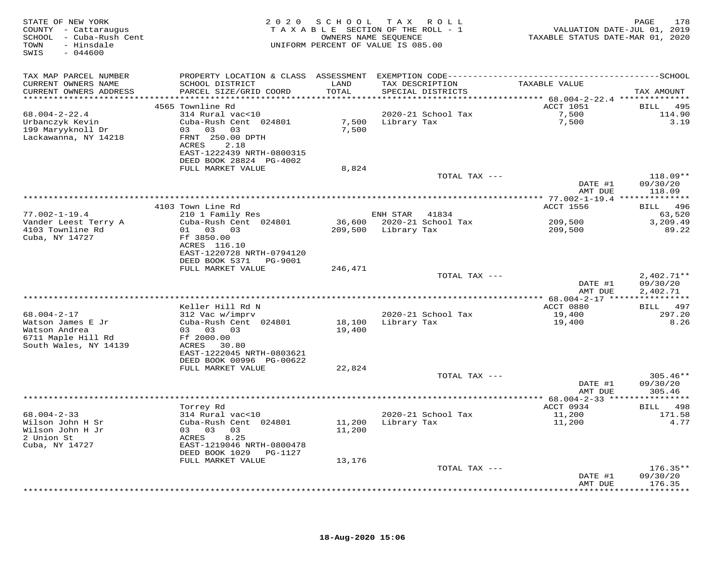| STATE OF NEW YORK<br>COUNTY - Cattaraugus<br>SCHOOL - Cuba-Rush Cent<br>- Hinsdale<br>TOWN<br>SWIS<br>$-044600$ |                                                                                                                                                                        |                  | 2020 SCHOOL TAX ROLL<br>TAXABLE SECTION OF THE ROLL - 1<br>OWNERS NAME SEQUENCE<br>UNIFORM PERCENT OF VALUE IS 085.00 |                               | 178<br>PAGE                          |
|-----------------------------------------------------------------------------------------------------------------|------------------------------------------------------------------------------------------------------------------------------------------------------------------------|------------------|-----------------------------------------------------------------------------------------------------------------------|-------------------------------|--------------------------------------|
| TAX MAP PARCEL NUMBER<br>CURRENT OWNERS NAME<br>CURRENT OWNERS ADDRESS                                          | SCHOOL DISTRICT<br>PARCEL SIZE/GRID COORD                                                                                                                              | LAND<br>TOTAL    | TAX DESCRIPTION<br>SPECIAL DISTRICTS                                                                                  | TAXABLE VALUE                 | TAX AMOUNT                           |
|                                                                                                                 |                                                                                                                                                                        |                  |                                                                                                                       |                               |                                      |
| $68.004 - 2 - 22.4$<br>Urbanczyk Kevin<br>199 Maryyknoll Dr<br>Lackawanna, NY 14218                             | 4565 Townline Rd<br>314 Rural vac<10<br>Cuba-Rush Cent 024801<br>03 03 03<br>FRNT 250.00 DPTH<br>ACRES<br>2.18<br>EAST-1222439 NRTH-0800315<br>DEED BOOK 28824 PG-4002 | 7,500            | 2020-21 School Tax<br>7,500 Library Tax                                                                               | ACCT 1051<br>7,500<br>7,500   | BILL 495<br>114.90<br>3.19           |
|                                                                                                                 | FULL MARKET VALUE                                                                                                                                                      | 8,824            |                                                                                                                       |                               |                                      |
|                                                                                                                 |                                                                                                                                                                        |                  | TOTAL TAX ---                                                                                                         | DATE #1<br>AMT DUE            | $118.09**$<br>09/30/20<br>118.09     |
|                                                                                                                 | **********************                                                                                                                                                 |                  |                                                                                                                       |                               |                                      |
|                                                                                                                 | 4103 Town Line Rd<br>210 1 Family Res                                                                                                                                  |                  |                                                                                                                       | ACCT 1556                     | BILL 496                             |
| $77.002 - 1 - 19.4$<br>Vander Leest Terry A<br>4103 Townline Rd<br>Cuba, NY 14727                               | Cuba-Rush Cent 024801<br>01 03 03<br>Ff 3850.00<br>ACRES 116.10<br>EAST-1220728 NRTH-0794120                                                                           |                  | ENH STAR 41834<br>36,600 2020-21 School Tax<br>209,500 Library Tax                                                    | 209,500<br>209,500            | 63,520<br>3,209.49<br>89.22          |
|                                                                                                                 | DEED BOOK 5371 PG-9001<br>FULL MARKET VALUE                                                                                                                            | 246,471          |                                                                                                                       |                               |                                      |
|                                                                                                                 |                                                                                                                                                                        |                  | TOTAL TAX ---                                                                                                         | DATE #1<br>AMT DUE            | $2,402.71**$<br>09/30/20<br>2,402.71 |
|                                                                                                                 |                                                                                                                                                                        |                  |                                                                                                                       |                               |                                      |
| 68.004-2-17<br>Watson James E Jr<br>Watson Andrea<br>6711 Maple Hill Rd<br>South Wales, NY 14139                | Keller Hill Rd N<br>312 Vac w/imprv<br>Cuba-Rush Cent 024801<br>03 03 03<br>Ff 2000.00<br>ACRES 30.80<br>EAST-1222045 NRTH-0803621                                     | 18,100<br>19,400 | 2020-21 School Tax<br>Library Tax                                                                                     | ACCT 0880<br>19,400<br>19,400 | BILL 497<br>297.20<br>8.26           |
|                                                                                                                 | DEED BOOK 00996 PG-00622                                                                                                                                               |                  |                                                                                                                       |                               |                                      |
|                                                                                                                 | FULL MARKET VALUE                                                                                                                                                      | 22,824           | TOTAL TAX ---                                                                                                         | DATE #1                       | $305.46**$<br>09/30/20               |
|                                                                                                                 |                                                                                                                                                                        |                  |                                                                                                                       | AMT DUE                       | 305.46                               |
| $68.004 - 2 - 33$<br>Wilson John H Sr<br>Wilson John H Jr<br>2 Union St<br>Cuba, NY 14727                       | Torrey Rd<br>314 Rural vac<10<br>Cuba-Rush Cent 024801<br>03 03 03<br>ACRES<br>8.25<br>EAST-1219046 NRTH-0800478                                                       | 11,200<br>11,200 | 2020-21 School Tax<br>Library Tax                                                                                     | ACCT 0934<br>11,200<br>11,200 | BILL 498<br>171.58<br>4.77           |
|                                                                                                                 | DEED BOOK 1029 PG-1127<br>FULL MARKET VALUE                                                                                                                            | 13,176           |                                                                                                                       |                               |                                      |
|                                                                                                                 |                                                                                                                                                                        |                  | TOTAL TAX ---                                                                                                         | DATE #1<br>AMT DUE            | $176.35**$<br>09/30/20<br>176.35     |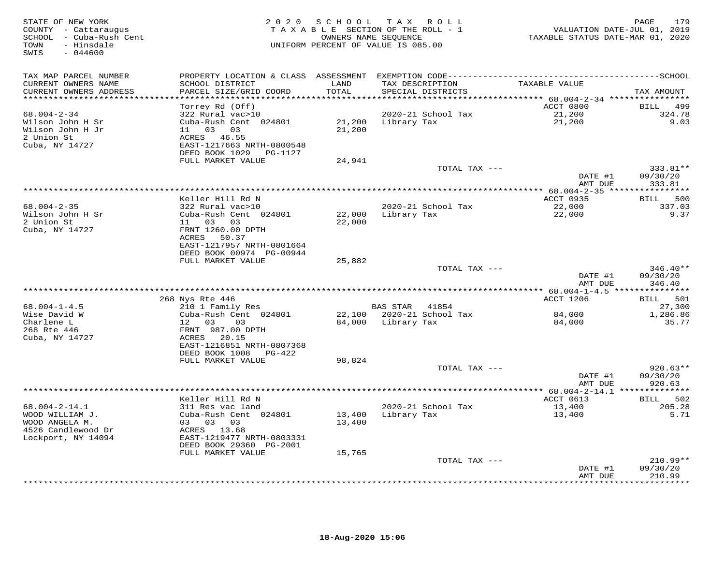| STATE OF NEW YORK<br>COUNTY - Cattaraugus<br>SCHOOL - Cuba-Rush Cent<br>- Hinsdale<br>TOWN<br>$-044600$<br>SWIS | 2 0 2 0                                   | S C H O O L      | TAX ROLL<br>TAXABLE SECTION OF THE ROLL - 1<br>OWNERS NAME SEQUENCE<br>UNIFORM PERCENT OF VALUE IS 085.00 | VALUATION DATE-JUL 01, 2019<br>TAXABLE STATUS DATE-MAR 01, 2020 | 179<br>PAGE               |
|-----------------------------------------------------------------------------------------------------------------|-------------------------------------------|------------------|-----------------------------------------------------------------------------------------------------------|-----------------------------------------------------------------|---------------------------|
| TAX MAP PARCEL NUMBER                                                                                           |                                           |                  |                                                                                                           |                                                                 |                           |
| CURRENT OWNERS NAME<br>CURRENT OWNERS ADDRESS                                                                   | SCHOOL DISTRICT<br>PARCEL SIZE/GRID COORD | LAND<br>TOTAL    | TAX DESCRIPTION<br>SPECIAL DISTRICTS                                                                      | TAXABLE VALUE                                                   | TAX AMOUNT                |
| ******************                                                                                              |                                           | *******          |                                                                                                           | ******** 68.004-2-34 *****************                          |                           |
|                                                                                                                 | Torrey Rd (Off)                           |                  |                                                                                                           | ACCT 0800                                                       | <b>BILL</b><br>499        |
| $68.004 - 2 - 34$                                                                                               | 322 Rural vac>10                          |                  | 2020-21 School Tax                                                                                        | 21,200                                                          | 324.78                    |
| Wilson John H Sr                                                                                                | Cuba-Rush Cent 024801                     | 21,200           | Library Tax                                                                                               | 21,200                                                          | 9.03                      |
| Wilson John H Jr                                                                                                | 03<br>03<br>11                            | 21,200           |                                                                                                           |                                                                 |                           |
| 2 Union St                                                                                                      | ACRES 46.55<br>EAST-1217663 NRTH-0800548  |                  |                                                                                                           |                                                                 |                           |
| Cuba, NY 14727                                                                                                  | DEED BOOK 1029<br>PG-1127                 |                  |                                                                                                           |                                                                 |                           |
|                                                                                                                 | FULL MARKET VALUE                         | 24,941           |                                                                                                           |                                                                 |                           |
|                                                                                                                 |                                           |                  | TOTAL TAX ---                                                                                             |                                                                 | 333.81**                  |
|                                                                                                                 |                                           |                  |                                                                                                           | DATE #1                                                         | 09/30/20                  |
|                                                                                                                 |                                           |                  |                                                                                                           | AMT DUE                                                         | 333.81                    |
| *****************************                                                                                   |                                           |                  |                                                                                                           |                                                                 |                           |
|                                                                                                                 | Keller Hill Rd N                          |                  |                                                                                                           | ACCT 0935                                                       | 500<br>BILL               |
| $68.004 - 2 - 35$                                                                                               | 322 Rural vac>10                          |                  | 2020-21 School Tax                                                                                        | 22,000                                                          | 337.03                    |
| Wilson John H Sr<br>2 Union St                                                                                  | Cuba-Rush Cent 024801<br>11 03 03         | 22,000<br>22,000 | Library Tax                                                                                               | 22,000                                                          | 9.37                      |
| Cuba, NY 14727                                                                                                  | FRNT 1260.00 DPTH                         |                  |                                                                                                           |                                                                 |                           |
|                                                                                                                 | ACRES<br>50.37                            |                  |                                                                                                           |                                                                 |                           |
|                                                                                                                 | EAST-1217957 NRTH-0801664                 |                  |                                                                                                           |                                                                 |                           |
|                                                                                                                 | DEED BOOK 00974 PG-00944                  |                  |                                                                                                           |                                                                 |                           |
|                                                                                                                 | FULL MARKET VALUE                         | 25,882           |                                                                                                           |                                                                 |                           |
|                                                                                                                 |                                           |                  | TOTAL TAX ---                                                                                             |                                                                 | $346.40**$                |
|                                                                                                                 |                                           |                  |                                                                                                           | DATE #1<br>AMT DUE                                              | 09/30/20<br>346.40        |
|                                                                                                                 |                                           |                  |                                                                                                           |                                                                 |                           |
|                                                                                                                 | 268 Nys Rte 446                           |                  |                                                                                                           | ACCT 1206                                                       | 501<br><b>BILL</b>        |
| $68.004 - 1 - 4.5$                                                                                              | 210 1 Family Res                          |                  | BAS STAR<br>41854                                                                                         |                                                                 | 27,300                    |
| Wise David W                                                                                                    | Cuba-Rush Cent 024801                     | 22,100           | 2020-21 School Tax                                                                                        | 84,000                                                          | 1,286.86                  |
| Charlene L                                                                                                      | 12 03<br>03                               | 84,000           | Library Tax                                                                                               | 84,000                                                          | 35.77                     |
| 268 Rte 446                                                                                                     | FRNT 987.00 DPTH                          |                  |                                                                                                           |                                                                 |                           |
| Cuba, NY 14727                                                                                                  | ACRES 20.15<br>EAST-1216851 NRTH-0807368  |                  |                                                                                                           |                                                                 |                           |
|                                                                                                                 | DEED BOOK 1008<br>PG-422                  |                  |                                                                                                           |                                                                 |                           |
|                                                                                                                 | FULL MARKET VALUE                         | 98,824           |                                                                                                           |                                                                 |                           |
|                                                                                                                 |                                           |                  | TOTAL TAX ---                                                                                             |                                                                 | $920.63**$                |
|                                                                                                                 |                                           |                  |                                                                                                           | DATE #1                                                         | 09/30/20                  |
|                                                                                                                 |                                           |                  |                                                                                                           | AMT DUE                                                         | 920.63                    |
|                                                                                                                 |                                           |                  |                                                                                                           | **** 68.004-2-14.1 **************                               |                           |
|                                                                                                                 | Keller Hill Rd N                          |                  |                                                                                                           | ACCT 0613                                                       | 502<br>BILL               |
| $68.004 - 2 - 14.1$<br>WOOD WILLIAM J.                                                                          | 311 Res vac land<br>Cuba-Rush Cent 024801 | 13,400           | 2020-21 School Tax<br>Library Tax                                                                         | 13,400<br>13,400                                                | 205.28<br>5.71            |
| WOOD ANGELA M.                                                                                                  | 03 03 03                                  | 13,400           |                                                                                                           |                                                                 |                           |
| 4526 Candlewood Dr                                                                                              | ACRES 13.68                               |                  |                                                                                                           |                                                                 |                           |
| Lockport, NY 14094                                                                                              | EAST-1219477 NRTH-0803331                 |                  |                                                                                                           |                                                                 |                           |
|                                                                                                                 | DEED BOOK 29360 PG-2001                   |                  |                                                                                                           |                                                                 |                           |
|                                                                                                                 | FULL MARKET VALUE                         | 15,765           |                                                                                                           |                                                                 |                           |
|                                                                                                                 |                                           |                  | TOTAL TAX ---                                                                                             |                                                                 | $210.99**$                |
|                                                                                                                 |                                           |                  |                                                                                                           | DATE #1                                                         | 09/30/20                  |
|                                                                                                                 |                                           |                  |                                                                                                           | AMT DUE                                                         | 210.99<br>* * * * * * * * |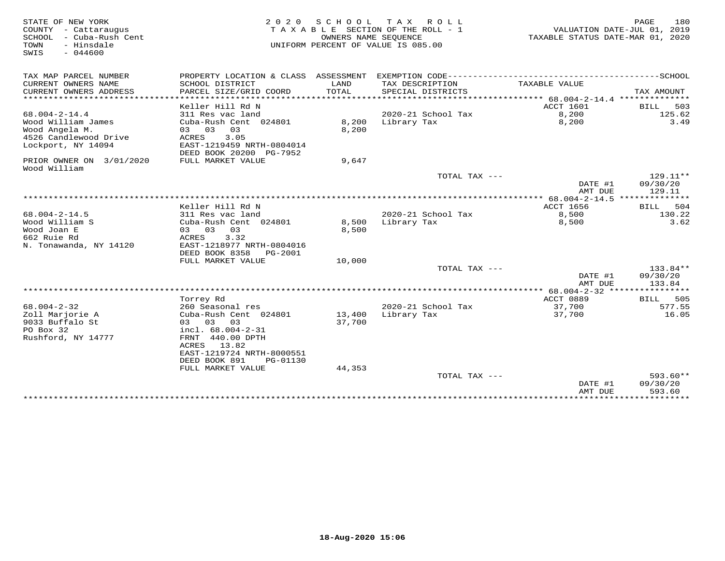| STATE OF NEW YORK<br>COUNTY - Cattaraugus<br>SCHOOL<br>- Cuba-Rush Cent<br>TOWN<br>- Hinsdale | 2 0 2 0<br>TAXABLE SECTION OF THE ROLL - 1<br>UNIFORM PERCENT OF VALUE IS 085.00 | 180<br>PAGE<br>VALUATION DATE-JUL 01, 2019<br>TAXABLE STATUS DATE-MAR 01, 2020 |                                      |                                 |                       |
|-----------------------------------------------------------------------------------------------|----------------------------------------------------------------------------------|--------------------------------------------------------------------------------|--------------------------------------|---------------------------------|-----------------------|
| $-044600$<br>SWIS                                                                             |                                                                                  |                                                                                |                                      |                                 |                       |
| TAX MAP PARCEL NUMBER                                                                         | PROPERTY LOCATION & CLASS ASSESSMENT                                             |                                                                                |                                      |                                 |                       |
| CURRENT OWNERS NAME<br>CURRENT OWNERS ADDRESS<br>*************************                    | SCHOOL DISTRICT<br>PARCEL SIZE/GRID COORD                                        | LAND<br><b>TOTAL</b>                                                           | TAX DESCRIPTION<br>SPECIAL DISTRICTS | TAXABLE VALUE                   | TAX AMOUNT            |
|                                                                                               | Keller Hill Rd N                                                                 |                                                                                |                                      | ACCT 1601                       | 503<br>BILL           |
| $68.004 - 2 - 14.4$                                                                           | 311 Res vac land                                                                 |                                                                                | 2020-21 School Tax                   | 8,200                           | 125.62                |
| Wood William James                                                                            | Cuba-Rush Cent 024801                                                            | 8,200                                                                          | Library Tax                          | 8,200                           | 3.49                  |
| Wood Angela M.                                                                                | 03 03 03                                                                         | 8,200                                                                          |                                      |                                 |                       |
| 4526 Candlewood Drive                                                                         | 3.05<br>ACRES                                                                    |                                                                                |                                      |                                 |                       |
| Lockport, NY 14094                                                                            | EAST-1219459 NRTH-0804014                                                        |                                                                                |                                      |                                 |                       |
|                                                                                               | DEED BOOK 20200 PG-7952                                                          |                                                                                |                                      |                                 |                       |
| PRIOR OWNER ON 3/01/2020                                                                      | FULL MARKET VALUE                                                                | 9,647                                                                          |                                      |                                 |                       |
| Wood William                                                                                  |                                                                                  |                                                                                | TOTAL TAX ---                        |                                 | $129.11**$            |
|                                                                                               |                                                                                  |                                                                                |                                      | DATE #1                         | 09/30/20              |
|                                                                                               |                                                                                  |                                                                                |                                      | AMT DUE                         | 129.11                |
|                                                                                               |                                                                                  |                                                                                |                                      |                                 |                       |
|                                                                                               | Keller Hill Rd N                                                                 |                                                                                |                                      | ACCT 1656                       | 504<br>BILL           |
| $68.004 - 2 - 14.5$                                                                           | 311 Res vac land                                                                 |                                                                                | 2020-21 School Tax                   | 8,500                           | 130.22                |
| Wood William S                                                                                | Cuba-Rush Cent 024801                                                            | 8,500                                                                          | Library Tax                          | 8,500                           | 3.62                  |
| Wood Joan E                                                                                   | 03 03<br>03                                                                      | 8,500                                                                          |                                      |                                 |                       |
| 662 Ruie Rd                                                                                   | 3.32<br>ACRES                                                                    |                                                                                |                                      |                                 |                       |
| N. Tonawanda, NY 14120                                                                        | EAST-1218977 NRTH-0804016                                                        |                                                                                |                                      |                                 |                       |
|                                                                                               | DEED BOOK 8358<br>PG-2001<br>FULL MARKET VALUE                                   | 10,000                                                                         |                                      |                                 |                       |
|                                                                                               |                                                                                  |                                                                                | TOTAL TAX ---                        |                                 | 133.84**              |
|                                                                                               |                                                                                  |                                                                                |                                      | DATE #1                         | 09/30/20              |
|                                                                                               |                                                                                  |                                                                                |                                      | AMT DUE                         | 133.84                |
|                                                                                               |                                                                                  |                                                                                |                                      |                                 |                       |
|                                                                                               | Torrey Rd                                                                        |                                                                                |                                      | ACCT 0889                       | 505<br>BILL           |
| $68.004 - 2 - 32$                                                                             | 260 Seasonal res                                                                 |                                                                                | 2020-21 School Tax                   | 37,700                          | 577.55                |
| Zoll Marjorie A                                                                               | Cuba-Rush Cent 024801                                                            | 13,400                                                                         | Library Tax                          | 37,700                          | 16.05                 |
| 9033 Buffalo St                                                                               | 03 03<br>03                                                                      | 37,700                                                                         |                                      |                                 |                       |
| PO Box 32<br>Rushford, NY 14777                                                               | incl. 68.004-2-31<br>FRNT 440.00 DPTH                                            |                                                                                |                                      |                                 |                       |
|                                                                                               | ACRES<br>13.82                                                                   |                                                                                |                                      |                                 |                       |
|                                                                                               | EAST-1219724 NRTH-8000551                                                        |                                                                                |                                      |                                 |                       |
|                                                                                               | DEED BOOK 891<br>PG-01130                                                        |                                                                                |                                      |                                 |                       |
|                                                                                               | FULL MARKET VALUE                                                                | 44,353                                                                         |                                      |                                 |                       |
|                                                                                               |                                                                                  |                                                                                | TOTAL TAX ---                        |                                 | $593.60**$            |
|                                                                                               |                                                                                  |                                                                                |                                      | DATE #1                         | 09/30/20              |
|                                                                                               | ***********************************                                              |                                                                                |                                      | AMT DUE<br>******************** | 593.60<br>*********** |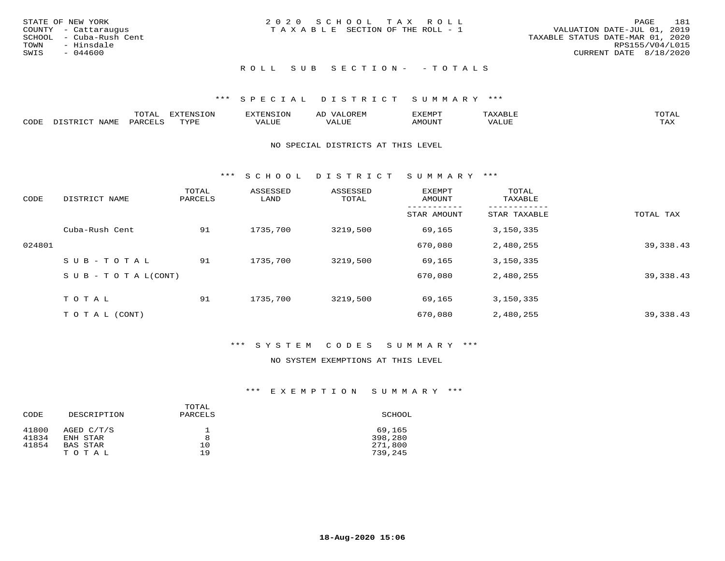|      | STATE OF NEW YORK       | 2020 SCHOOL TAX ROLL            |  |                                  |                        | PAGE | 181 |
|------|-------------------------|---------------------------------|--|----------------------------------|------------------------|------|-----|
|      | COUNTY - Cattaraugus    | TAXABLE SECTION OF THE ROLL - 1 |  | VALUATION DATE-JUL 01, 2019      |                        |      |     |
|      | SCHOOL - Cuba-Rush Cent |                                 |  | TAXABLE STATUS DATE-MAR 01, 2020 |                        |      |     |
|      | TOWN - Hinsdale         |                                 |  |                                  | RPS155/V04/L015        |      |     |
| SWIS | - 044600                |                                 |  |                                  | CURRENT DATE 8/18/2020 |      |     |
|      |                         |                                 |  |                                  |                        |      |     |

# ROLL SUB SECTION - - TOTALS

## \*\*\* S P E C I A L D I S T R I C T S U M M A R Y \*\*\*

|      |      | momn.<br>.UIAL | <b>DIZODALO TOM</b><br><b>1115</b><br>LUP | ר את דר            | ΑL<br>$\cdots$      | EXEMPT        | 'ΔΧΔ<br>AAABLE | momn. |
|------|------|----------------|-------------------------------------------|--------------------|---------------------|---------------|----------------|-------|
| CODE | NAME | 'ARC           | TVDF<br>د د د                             | <b>TTT</b><br>ALUM | <b>TTT</b><br>7ALUE | <b>TNUOMA</b> | . ALUE         | TAX   |

#### NO SPECIAL DISTRICTS AT THIS LEVEL

\*\*\* S C H O O L D I S T R I C T S U M M A R Y \*\*\*

| CODE   | DISTRICT NAME                    | TOTAL<br>PARCELS | ASSESSED<br>LAND | ASSESSED<br>TOTAL | EXEMPT<br>AMOUNT | TOTAL<br>TAXABLE |            |
|--------|----------------------------------|------------------|------------------|-------------------|------------------|------------------|------------|
|        |                                  |                  |                  |                   | STAR AMOUNT      | STAR TAXABLE     | TOTAL TAX  |
|        | Cuba-Rush Cent                   | 91               | 1735,700         | 3219,500          | 69,165           | 3,150,335        |            |
| 024801 |                                  |                  |                  |                   | 670,080          | 2,480,255        | 39, 338.43 |
|        | SUB-TOTAL                        | 91               | 1735,700         | 3219,500          | 69,165           | 3,150,335        |            |
|        | $S \cup B - T \cup T A L (CONT)$ |                  |                  |                   | 670,080          | 2,480,255        | 39, 338.43 |
|        | TOTAL                            | 91               | 1735,700         | 3219,500          | 69,165           | 3,150,335        |            |
|        | T O T A L (CONT)                 |                  |                  |                   | 670,080          | 2,480,255        | 39, 338.43 |

## \*\*\* S Y S T E M C O D E S S U M M A R Y \*\*\*

# NO SYSTEM EXEMPTIONS AT THIS LEVEL

| CODE  | DESCRIPTION | TOTAL<br>PARCELS | SCHOOL  |
|-------|-------------|------------------|---------|
| 41800 | AGED C/T/S  | 8                | 69,165  |
| 41834 | ENH STAR    |                  | 398,280 |
| 41854 | BAS STAR    | 10               | 271,800 |
|       | TOTAL       | 19               | 739,245 |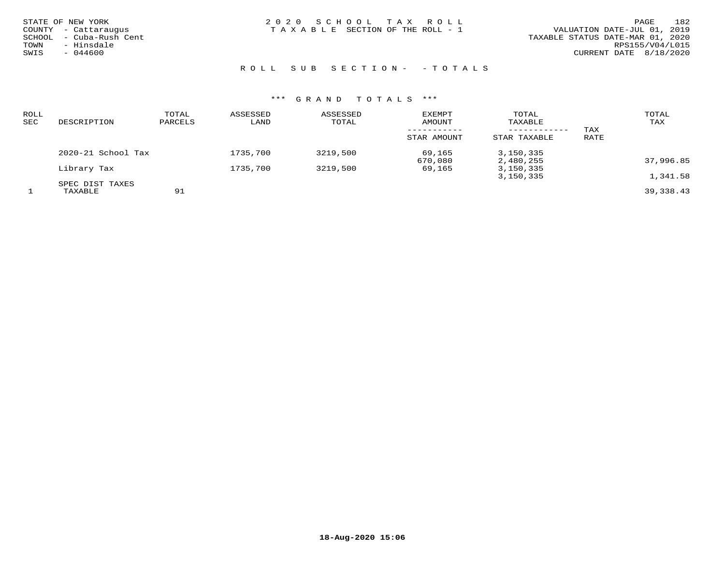| STATE OF NEW YORK<br>COUNTY - Cattaraugus<br>SCHOOL  – Cuba-Rush Cent<br>TOWN<br>- Hinsdale | 2020 SCHOOL TAX ROLL<br>TAXABLE SECTION OF THE ROLL - 1 | 182<br><b>PAGE</b><br>VALUATION DATE-JUL 01, 2019<br>TAXABLE STATUS DATE-MAR 01, 2020<br>RPS155/V04/L015 |
|---------------------------------------------------------------------------------------------|---------------------------------------------------------|----------------------------------------------------------------------------------------------------------|
| SWIS<br>$-044600$                                                                           |                                                         | CURRENT DATE 8/18/2020                                                                                   |

ROLL SUB SECTION - - TOTALS

| ROLL<br>SEC | DESCRIPTION                | TOTAL<br>PARCELS | ASSESSED<br>LAND | ASSESSED<br>TOTAL | <b>EXEMPT</b><br>AMOUNT | TOTAL<br>TAXABLE           |             | TOTAL<br>TAX |
|-------------|----------------------------|------------------|------------------|-------------------|-------------------------|----------------------------|-------------|--------------|
|             |                            |                  |                  |                   | STAR AMOUNT             | ----------<br>STAR TAXABLE | TAX<br>RATE |              |
|             | 2020-21 School Tax         |                  | 1735,700         | 3219,500          | 69,165<br>670,080       | 3,150,335<br>2,480,255     |             | 37,996.85    |
|             | Library Tax                |                  | 1735,700         | 3219,500          | 69,165                  | 3,150,335                  |             |              |
|             |                            |                  |                  |                   |                         | 3,150,335                  |             | 1,341.58     |
|             | SPEC DIST TAXES<br>TAXABLE | 91               |                  |                   |                         |                            |             | 39,338.43    |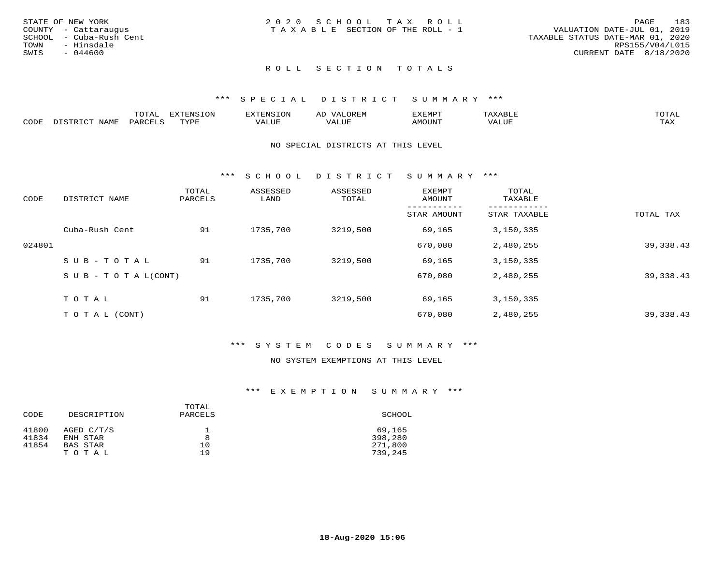|      | STATE OF NEW YORK       | 2020 SCHOOL TAX ROLL            |  | 183<br>PAGE                      |
|------|-------------------------|---------------------------------|--|----------------------------------|
|      | COUNTY - Cattaraugus    | TAXABLE SECTION OF THE ROLL - 1 |  | VALUATION DATE-JUL 01, 2019      |
|      | SCHOOL - Cuba-Rush Cent |                                 |  | TAXABLE STATUS DATE-MAR 01, 2020 |
| TOWN | - Hinsdale              |                                 |  | RPS155/V04/L015                  |
| SWIS | $-044600$               |                                 |  | CURRENT DATE 8/18/2020           |
|      |                         |                                 |  |                                  |

#### \*\*\* S P E C I A L D I S T R I C T S U M M A R Y \*\*\*

|      |                  | momm <sup>.</sup><br>TOTAT | <b>ELIMENT OF ONT</b><br>T OTA | 'ENS   | OREM                     | CXEMPT        | $max$ and $max$          | $m \wedge m \wedge n$ |
|------|------------------|----------------------------|--------------------------------|--------|--------------------------|---------------|--------------------------|-----------------------|
| CODE | NAME<br>DISTRICT | PARCELS                    | TVDF<br>.                      | 7ALUE. | . <del>.</del><br>. ALUF | <b>AMOUNT</b> | * * * * * * * *<br>'ALUL | <b>TAY</b><br>⊥⇔∆     |

#### NO SPECIAL DISTRICTS AT THIS LEVEL

\*\*\* S C H O O L D I S T R I C T S U M M A R Y \*\*\*

| CODE   | DISTRICT NAME                    | TOTAL<br>PARCELS | ASSESSED<br>LAND | ASSESSED<br>TOTAL | EXEMPT<br>AMOUNT | TOTAL<br>TAXABLE |            |
|--------|----------------------------------|------------------|------------------|-------------------|------------------|------------------|------------|
|        |                                  |                  |                  |                   | STAR AMOUNT      | STAR TAXABLE     | TOTAL TAX  |
|        | Cuba-Rush Cent                   | 91               | 1735,700         | 3219,500          | 69,165           | 3,150,335        |            |
| 024801 |                                  |                  |                  |                   | 670,080          | 2,480,255        | 39, 338.43 |
|        | SUB-TOTAL                        | 91               | 1735,700         | 3219,500          | 69,165           | 3,150,335        |            |
|        | $S \cup B - T \cup T A L (CONT)$ |                  |                  |                   | 670,080          | 2,480,255        | 39, 338.43 |
|        | TOTAL                            | 91               | 1735,700         | 3219,500          | 69,165           | 3,150,335        |            |
|        | T O T A L (CONT)                 |                  |                  |                   | 670,080          | 2,480,255        | 39, 338.43 |

#### \*\*\* S Y S T E M C O D E S S U M M A R Y \*\*\*

### NO SYSTEM EXEMPTIONS AT THIS LEVEL

| CODE  | DESCRIPTION | TOTAL<br>PARCELS | SCHOOL  |
|-------|-------------|------------------|---------|
| 41800 | AGED C/T/S  |                  | 69,165  |
| 41834 | ENH STAR    | 8                | 398,280 |
| 41854 | BAS STAR    | 10               | 271,800 |
|       | TOTAL       | 19               | 739,245 |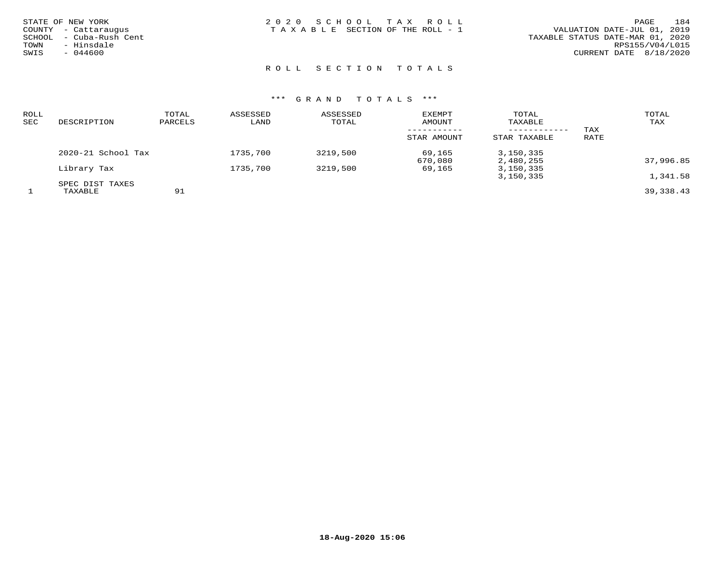| STATE OF NEW YORK       | 2020 SCHOOL TAX ROLL            | 184<br>PAGE                      |
|-------------------------|---------------------------------|----------------------------------|
| COUNTY - Cattaraugus    | TAXABLE SECTION OF THE ROLL - 1 | VALUATION DATE-JUL 01, 2019      |
| SCHOOL - Cuba-Rush Cent |                                 | TAXABLE STATUS DATE-MAR 01, 2020 |
| - Hinsdale<br>TOWN      |                                 | RPS155/V04/L015                  |
| $-044600$<br>SWIS       |                                 | CURRENT DATE 8/18/2020           |
|                         |                                 |                                  |

# R O L L S E C T I O N T O T A L S

| ROLL<br>SEC | DESCRIPTION            | TOTAL<br>PARCELS | ASSESSED<br>LAND | ASSESSED<br>TOTAL | <b>EXEMPT</b><br>AMOUNT | TOTAL<br>TAXABLE |      | TOTAL<br>TAX |
|-------------|------------------------|------------------|------------------|-------------------|-------------------------|------------------|------|--------------|
|             |                        |                  |                  |                   | -----------             | ------------     | TAX  |              |
|             |                        |                  |                  |                   | STAR AMOUNT             | STAR TAXABLE     | RATE |              |
|             | $2020 - 21$ School Tax |                  | 1735,700         | 3219,500          | 69,165                  | 3,150,335        |      |              |
|             |                        |                  |                  |                   | 670,080                 | 2,480,255        |      | 37,996.85    |
|             | Library Tax            |                  | 1735,700         | 3219,500          | 69,165                  | 3,150,335        |      |              |
|             |                        |                  |                  |                   |                         | 3,150,335        |      | 1,341.58     |
|             | SPEC DIST TAXES        |                  |                  |                   |                         |                  |      |              |
|             | TAXABLE                | 91               |                  |                   |                         |                  |      | 39,338.43    |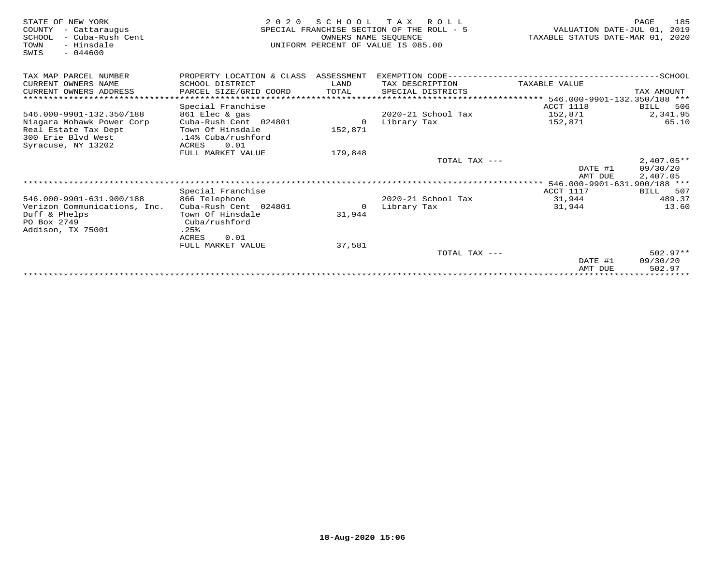| STATE OF NEW YORK<br>COUNTY<br>- Cattaraugus<br>SCHOOL<br>- Cuba-Rush Cent<br>- Hinsdale<br>TOWN<br>$-044600$<br>SWIS | 2 0 2 0<br>SPECIAL FRANCHISE SECTION OF THE ROLL - 5<br>UNIFORM PERCENT OF VALUE IS 085.00 | VALUATION DATE-JUL 01,<br>TAXABLE STATUS DATE-MAR 01, | 185<br>PAGE<br>2019<br>2020 |                                    |                           |
|-----------------------------------------------------------------------------------------------------------------------|--------------------------------------------------------------------------------------------|-------------------------------------------------------|-----------------------------|------------------------------------|---------------------------|
| TAX MAP PARCEL NUMBER                                                                                                 | PROPERTY LOCATION & CLASS                                                                  | ASSESSMENT                                            | EXEMPTION CODE------        |                                    | --------------SCHOOL      |
| CURRENT OWNERS NAME                                                                                                   | SCHOOL DISTRICT                                                                            | LAND                                                  | TAX DESCRIPTION             | TAXABLE VALUE                      |                           |
| CURRENT OWNERS ADDRESS                                                                                                | PARCEL SIZE/GRID COORD                                                                     | TOTAL                                                 | SPECIAL DISTRICTS           |                                    | TAX AMOUNT                |
|                                                                                                                       |                                                                                            |                                                       |                             | $***$ 546.000-9901-132.350/188 *** |                           |
|                                                                                                                       | Special Franchise                                                                          |                                                       |                             | ACCT 1118                          | 506<br>BILL               |
| 546.000-9901-132.350/188                                                                                              | 861 Elec & gas                                                                             |                                                       | 2020-21 School Tax          | 152,871                            | 2,341.95                  |
| Niagara Mohawk Power Corp                                                                                             | Cuba-Rush Cent 024801                                                                      | $\Omega$                                              | Library Tax                 | 152,871                            | 65.10                     |
| Real Estate Tax Dept                                                                                                  | Town Of Hinsdale                                                                           | 152,871                                               |                             |                                    |                           |
| 300 Erie Blyd West                                                                                                    | .14% Cuba/rushford                                                                         |                                                       |                             |                                    |                           |
| Syracuse, NY 13202                                                                                                    | 0.01<br>ACRES                                                                              |                                                       |                             |                                    |                           |
|                                                                                                                       | FULL MARKET VALUE                                                                          | 179,848                                               |                             |                                    |                           |
|                                                                                                                       |                                                                                            |                                                       | TOTAL TAX ---               |                                    | $2,407.05**$              |
|                                                                                                                       |                                                                                            |                                                       |                             | DATE #1                            | 09/30/20                  |
|                                                                                                                       |                                                                                            |                                                       |                             | AMT DUE                            | 2,407.05                  |
|                                                                                                                       |                                                                                            |                                                       |                             | 546.000-9901-631.900/188 ***       |                           |
|                                                                                                                       | Special Franchise                                                                          |                                                       |                             | ACCT 1117                          | 507<br>BILL               |
| 546.000-9901-631.900/188                                                                                              | 866 Telephone                                                                              |                                                       | 2020-21 School Tax          | 31,944                             | 489.37                    |
| Verizon Communications, Inc.                                                                                          | Cuba-Rush Cent 024801                                                                      | 0                                                     | Library Tax                 | 31,944                             | 13.60                     |
| Duff & Phelps                                                                                                         | Town Of Hinsdale                                                                           | 31,944                                                |                             |                                    |                           |
| PO Box 2749                                                                                                           | Cuba/rushford                                                                              |                                                       |                             |                                    |                           |
| Addison, TX 75001                                                                                                     | .25%                                                                                       |                                                       |                             |                                    |                           |
|                                                                                                                       | ACRES<br>0.01                                                                              |                                                       |                             |                                    |                           |
|                                                                                                                       | FULL MARKET VALUE                                                                          | 37,581                                                |                             |                                    |                           |
|                                                                                                                       |                                                                                            |                                                       | TOTAL TAX ---               |                                    | $502.97**$                |
|                                                                                                                       |                                                                                            |                                                       |                             | DATE #1                            | 09/30/20                  |
|                                                                                                                       |                                                                                            |                                                       |                             | AMT DUE                            | 502.97<br>* * * * * * * * |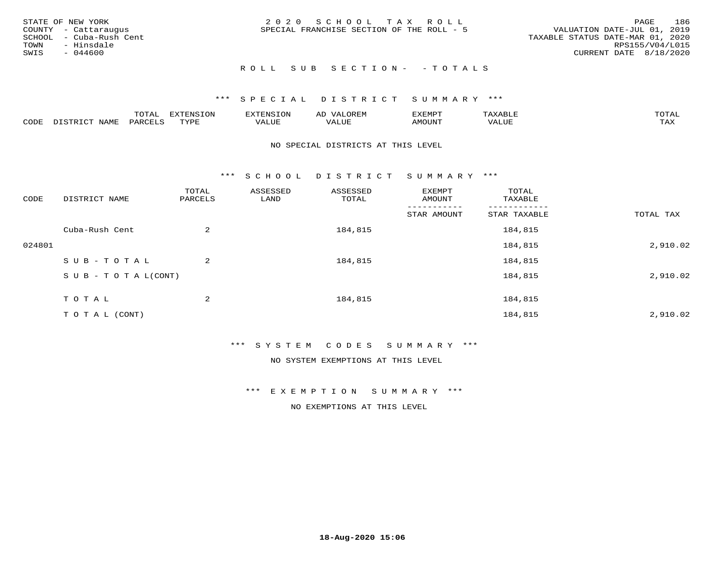| STATE OF NEW YORK<br>COUNTY - Cattaraugus<br>SCHOOL - Cuba-Rush Cent<br>TOWN<br>- Hinsdale<br>SWIS<br>- 044600 | 2020 SCHOOL TAX ROLL<br>SPECIAL FRANCHISE SECTION OF THE ROLL - 5 | 186<br>PAGE<br>VALUATION DATE-JUL 01, 2019<br>TAXABLE STATUS DATE-MAR 01, 2020<br>RPS155/V04/L015<br>CURRENT DATE 8/18/2020 |
|----------------------------------------------------------------------------------------------------------------|-------------------------------------------------------------------|-----------------------------------------------------------------------------------------------------------------------------|
|                                                                                                                | ROLL SUB SECTION- - TOTALS                                        |                                                                                                                             |

|      |                              | ™∩m⊼<br>----                    | EXTENSION | . ENSION         | ΑL<br>$\cdots$ | דפוא:TXF<br>ـالمىتىدە |                | TOTAL |
|------|------------------------------|---------------------------------|-----------|------------------|----------------|-----------------------|----------------|-------|
| CODE | TTATAT<br>$-mm + am$<br>NAME | $\lambda$ DORT $\alpha$<br>'ARL | TVDF      | ** * ***<br>ALUE | 'ALUL          | <b>MOUNT</b>          | 77T<br>1 U J F | TAX   |

#### NO SPECIAL DISTRICTS AT THIS LEVEL

\*\*\* S C H O O L D I S T R I C T S U M M A R Y \*\*\*

| CODE   | DISTRICT NAME                    | TOTAL<br>PARCELS | ASSESSED<br>LAND | ASSESSED<br>TOTAL | EXEMPT<br>AMOUNT | TOTAL<br>TAXABLE |           |
|--------|----------------------------------|------------------|------------------|-------------------|------------------|------------------|-----------|
|        |                                  |                  |                  |                   | STAR AMOUNT      | STAR TAXABLE     | TOTAL TAX |
|        | Cuba-Rush Cent                   | 2                |                  | 184,815           |                  | 184,815          |           |
| 024801 |                                  |                  |                  |                   |                  | 184,815          | 2,910.02  |
|        | SUB-TOTAL                        | $\overline{a}$   |                  | 184,815           |                  | 184,815          |           |
|        | $S \cup B - T \cup T A L (CONT)$ |                  |                  |                   |                  | 184,815          | 2,910.02  |
|        | T O T A L                        | 2                |                  | 184,815           |                  | 184,815          |           |
|        | T O T A L (CONT)                 |                  |                  |                   |                  | 184,815          | 2,910.02  |

#### \*\*\* S Y S T E M C O D E S S U M M A R Y \*\*\*

NO SYSTEM EXEMPTIONS AT THIS LEVEL

\*\*\* E X E M P T I O N S U M M A R Y \*\*\*

NO EXEMPTIONS AT THIS LEVEL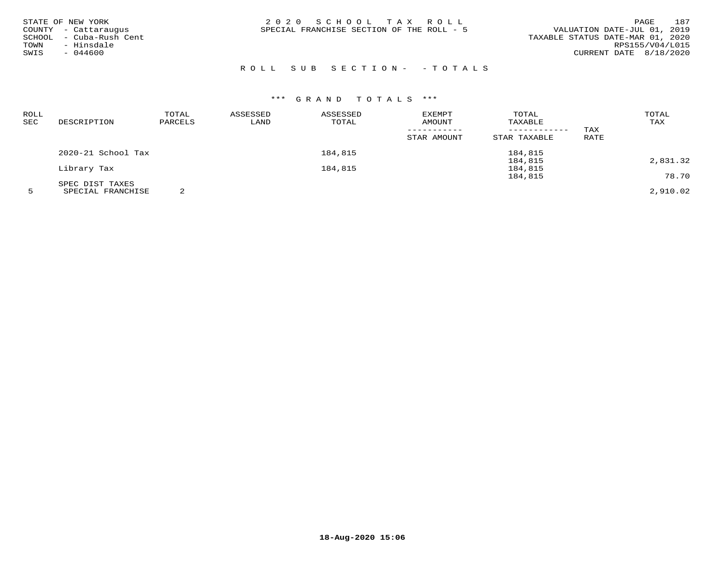| STATE OF NEW YORK<br>COUNTY - Cattaraugus<br>- Cuba-Rush Cent<br>SCHOOL<br>- Hinsdale<br>TOWN<br>$-044600$<br>SWIS | 2020 SCHOOL TAX ROLL<br>SPECIAL FRANCHISE SECTION OF THE ROLL - 5 | 187<br>PAGE<br>VALUATION DATE-JUL 01, 2019<br>TAXABLE STATUS DATE-MAR 01, 2020<br>RPS155/V04/L015<br>CURRENT DATE 8/18/2020 |
|--------------------------------------------------------------------------------------------------------------------|-------------------------------------------------------------------|-----------------------------------------------------------------------------------------------------------------------------|
|                                                                                                                    |                                                                   |                                                                                                                             |

# ROLL SUB SECTION- - TOTALS

# \*\*\* G R A N D T O T A L S \*\*\*

| ROLL |                    | TOTAL   | ASSESSED | ASSESSED | <b>EXEMPT</b> | TOTAL        |      | TOTAL    |
|------|--------------------|---------|----------|----------|---------------|--------------|------|----------|
| SEC  | DESCRIPTION        | PARCELS | LAND     | TOTAL    | AMOUNT        | TAXABLE      |      | TAX      |
|      |                    |         |          |          |               |              | TAX  |          |
|      |                    |         |          |          | STAR AMOUNT   | STAR TAXABLE | RATE |          |
|      | 2020-21 School Tax |         |          | 184,815  |               | 184,815      |      |          |
|      |                    |         |          |          |               | 184,815      |      | 2,831.32 |
|      | Library Tax        |         |          | 184,815  |               | 184,815      |      |          |
|      |                    |         |          |          |               | 184,815      |      | 78.70    |
|      | SPEC DIST TAXES    |         |          |          |               |              |      |          |
|      | SPECIAL FRANCHISE  |         |          |          |               |              |      | 2,910.02 |

**18-Aug-2020 15:06**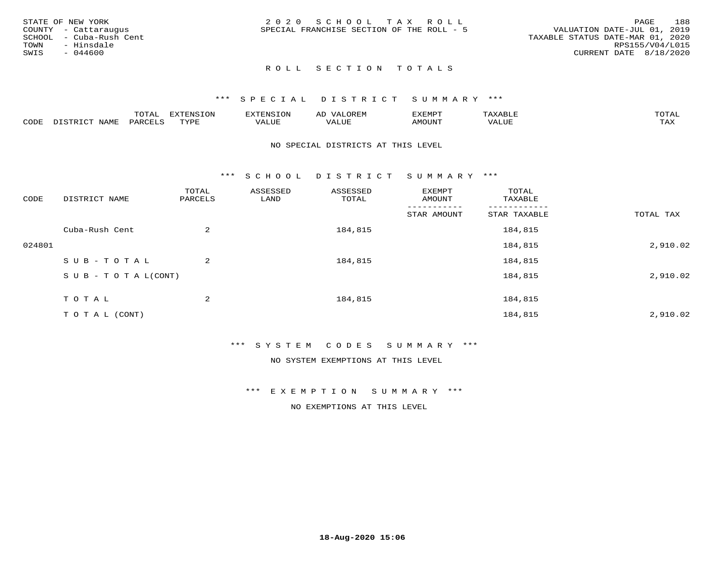| STATE OF NEW YORK    |                         | 2020 SCHOOL TAX ROLL                      |  |                                  | <b>PAGE</b>     | 188 |
|----------------------|-------------------------|-------------------------------------------|--|----------------------------------|-----------------|-----|
| COUNTY - Cattaraugus |                         | SPECIAL FRANCHISE SECTION OF THE ROLL - 5 |  | VALUATION DATE-JUL 01, 2019      |                 |     |
|                      | SCHOOL - Cuba-Rush Cent |                                           |  | TAXABLE STATUS DATE-MAR 01, 2020 |                 |     |
| TOWN                 | - Hinsdale              |                                           |  |                                  | RPS155/V04/L015 |     |
| SWIS                 | - 044600                |                                           |  | CURRENT DATE 8/18/2020           |                 |     |
|                      |                         |                                           |  |                                  |                 |     |

#### \*\*\* S P E C I A L D I S T R I C T S U M M A R Y \*\*\*

|      |                           | m∧m⊼ | <b>DVERMOTOM</b><br>LUI | TENSION       | ΑL<br>$\cdots$      | EXEMPT | $\Delta \times \Delta$<br>9 D.L | $m \wedge m \wedge n$<br>$\overline{a}$ |
|------|---------------------------|------|-------------------------|---------------|---------------------|--------|---------------------------------|-----------------------------------------|
| CODE | NTAM <sup>T</sup><br>⊥∙⊥⊥ | PARC | <b>TVDL</b>             | T T T<br>ALUF | <b>TTT</b><br>'ALUE | MOUNT  | VALUE                           | $m \times r$<br>$+$ $  +$ $-$           |

#### NO SPECIAL DISTRICTS AT THIS LEVEL

\*\*\* S C H O O L D I S T R I C T S U M M A R Y \*\*\*

| CODE   | DISTRICT NAME                    | TOTAL<br>PARCELS | ASSESSED<br>LAND | ASSESSED<br>TOTAL | EXEMPT<br>AMOUNT | TOTAL<br>TAXABLE   |           |
|--------|----------------------------------|------------------|------------------|-------------------|------------------|--------------------|-----------|
|        |                                  |                  |                  |                   | STAR AMOUNT      | STAR TAXABLE       | TOTAL TAX |
|        | Cuba-Rush Cent                   | 2                |                  | 184,815           |                  | 184,815            |           |
| 024801 |                                  |                  |                  |                   |                  | 184,815            | 2,910.02  |
|        | SUB-TOTAL                        | 2                |                  | 184,815           |                  | 184,815            |           |
|        | $S \cup B - T \cup T A L (CONT)$ |                  |                  |                   |                  | 184,815            | 2,910.02  |
|        |                                  |                  |                  |                   |                  |                    |           |
|        |                                  |                  |                  |                   |                  |                    | 2,910.02  |
|        | TOTAL<br>T O T A L (CONT)        | 2                |                  | 184,815           |                  | 184,815<br>184,815 |           |

#### \*\*\* S Y S T E M C O D E S S U M M A R Y \*\*\*

NO SYSTEM EXEMPTIONS AT THIS LEVEL

\*\*\* E X E M P T I O N S U M M A R Y \*\*\*

NO EXEMPTIONS AT THIS LEVEL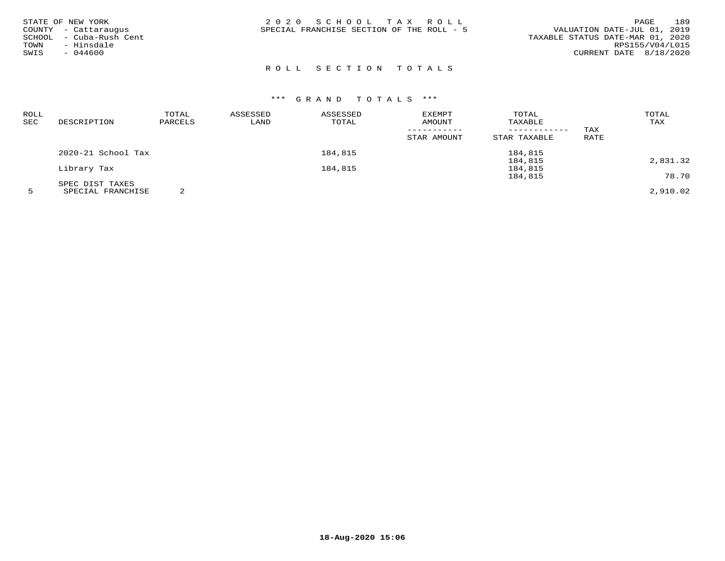| STATE OF NEW YORK<br>COUNTY - Cattaraugus<br>SCHOOL - Cuba-Rush Cent<br>- Hinsdale<br>TOWN | 2020 SCHOOL TAX ROLL<br>SPECIAL FRANCHISE SECTION OF THE ROLL - 5 | 189<br><b>PAGE</b><br>VALUATION DATE-JUL 01, 2019<br>TAXABLE STATUS DATE-MAR 01, 2020<br>RPS155/V04/L015 |
|--------------------------------------------------------------------------------------------|-------------------------------------------------------------------|----------------------------------------------------------------------------------------------------------|
| $-044600$<br>SWIS                                                                          |                                                                   | CURRENT DATE 8/18/2020                                                                                   |

| ROLL |                    | TOTAL   | ASSESSED | ASSESSED | EXEMPT      | TOTAL        |      | TOTAL    |
|------|--------------------|---------|----------|----------|-------------|--------------|------|----------|
| SEC  | DESCRIPTION        | PARCELS | LAND     | TOTAL    | AMOUNT      | TAXABLE      |      | TAX      |
|      |                    |         |          |          |             |              | TAX  |          |
|      |                    |         |          |          | STAR AMOUNT | STAR TAXABLE | RATE |          |
|      | 2020-21 School Tax |         |          | 184,815  |             | 184,815      |      |          |
|      |                    |         |          |          |             | 184,815      |      | 2,831.32 |
|      | Library Tax        |         |          | 184,815  |             | 184,815      |      |          |
|      |                    |         |          |          |             | 184,815      |      | 78.70    |
|      | SPEC DIST TAXES    |         |          |          |             |              |      |          |
|      | SPECIAL FRANCHISE  |         |          |          |             |              |      | 2,910.02 |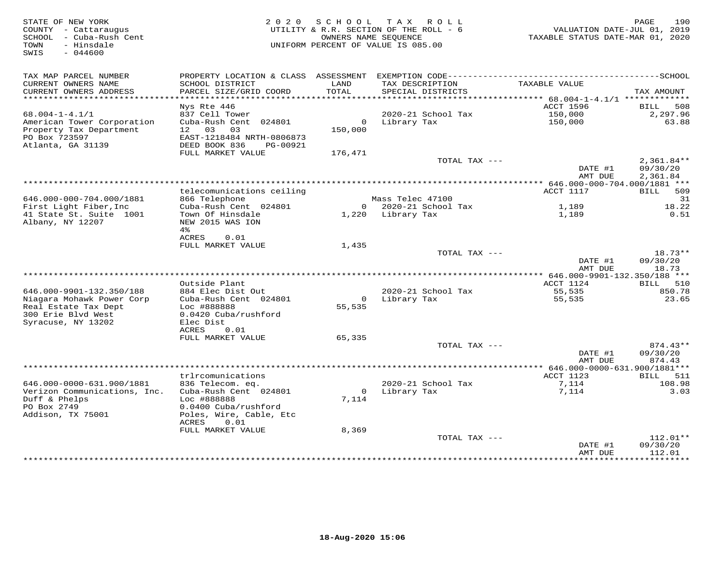| STATE OF NEW YORK<br>COUNTY - Cattaraugus<br>SCHOOL - Cuba-Rush Cent<br>- Hinsdale<br>TOWN<br>SWIS<br>$-044600$ | 2 0 2 0                                                                                                  | SCHOOL                   | TAX ROLL<br>UTILITY & R.R. SECTION OF THE ROLL - 6<br>OWNERS NAME SEOUENCE<br>UNIFORM PERCENT OF VALUE IS 085.00 | VALUATION DATE-JUL 01, 2019<br>TAXABLE STATUS DATE-MAR 01, 2020 | 190<br>PAGE                          |
|-----------------------------------------------------------------------------------------------------------------|----------------------------------------------------------------------------------------------------------|--------------------------|------------------------------------------------------------------------------------------------------------------|-----------------------------------------------------------------|--------------------------------------|
| TAX MAP PARCEL NUMBER<br>CURRENT OWNERS NAME<br>CURRENT OWNERS ADDRESS                                          | SCHOOL DISTRICT<br>PARCEL SIZE/GRID COORD                                                                | LAND<br>TOTAL            | TAX DESCRIPTION<br>SPECIAL DISTRICTS                                                                             | TAXABLE VALUE                                                   | TAX AMOUNT                           |
| ***********************                                                                                         |                                                                                                          |                          |                                                                                                                  |                                                                 |                                      |
| $68.004 - 1 - 4.1/1$                                                                                            | Nys Rte 446<br>837 Cell Tower                                                                            |                          | 2020-21 School Tax                                                                                               | ACCT 1596<br>150,000                                            | 508<br>BILL<br>2,297.96              |
| American Tower Corporation<br>Property Tax Department<br>PO Box 723597<br>Atlanta, GA 31139                     | Cuba-Rush Cent 024801<br>12 03<br>03<br>EAST-1218484 NRTH-0806873<br>DEED BOOK 836<br>PG-00921           | 150,000                  | 0 Library Tax                                                                                                    | 150,000                                                         | 63.88                                |
|                                                                                                                 | FULL MARKET VALUE                                                                                        | 176,471                  |                                                                                                                  |                                                                 |                                      |
|                                                                                                                 |                                                                                                          |                          | TOTAL TAX ---                                                                                                    | DATE #1<br>AMT DUE                                              | $2,361.84**$<br>09/30/20<br>2,361.84 |
| ******************************                                                                                  |                                                                                                          |                          |                                                                                                                  |                                                                 |                                      |
|                                                                                                                 | telecomunications ceiling                                                                                |                          |                                                                                                                  | ACCT 1117                                                       | <b>BILL</b><br>509                   |
| 646.000-000-704.000/1881                                                                                        | 866 Telephone                                                                                            |                          | Mass Telec 47100                                                                                                 |                                                                 | 31                                   |
| First Light Fiber, Inc<br>41 State St. Suite 1001                                                               | Cuba-Rush Cent 024801<br>Town Of Hinsdale                                                                |                          | 0 2020-21 School Tax<br>1,220 Library Tax                                                                        | 1,189                                                           | 18.22<br>0.51                        |
| Albany, NY 12207                                                                                                | NEW 2015 WAS ION<br>4%                                                                                   |                          |                                                                                                                  | 1,189                                                           |                                      |
|                                                                                                                 | ACRES<br>0.01<br>FULL MARKET VALUE                                                                       | 1,435                    |                                                                                                                  |                                                                 |                                      |
|                                                                                                                 |                                                                                                          |                          | TOTAL TAX ---                                                                                                    | DATE #1                                                         | $18.73**$<br>09/30/20                |
|                                                                                                                 |                                                                                                          |                          |                                                                                                                  | AMT DUE                                                         | 18.73                                |
|                                                                                                                 | Outside Plant                                                                                            |                          |                                                                                                                  | ACCT 1124                                                       | BILL 510                             |
| 646.000-9901-132.350/188                                                                                        | 884 Elec Dist Out                                                                                        |                          | 2020-21 School Tax                                                                                               | 55,535                                                          | 850.78                               |
| Niagara Mohawk Power Corp<br>Real Estate Tax Dept                                                               | Cuba-Rush Cent 024801<br>Loc #888888                                                                     | $\overline{0}$<br>55,535 | Library Tax                                                                                                      | 55,535                                                          | 23.65                                |
| 300 Erie Blvd West<br>Syracuse, NY 13202                                                                        | 0.0420 Cuba/rushford<br>Elec Dist<br>ACRES<br>0.01                                                       |                          |                                                                                                                  |                                                                 |                                      |
|                                                                                                                 | FULL MARKET VALUE                                                                                        | 65,335                   |                                                                                                                  |                                                                 |                                      |
|                                                                                                                 |                                                                                                          |                          | TOTAL TAX ---                                                                                                    |                                                                 | $874.43**$                           |
|                                                                                                                 |                                                                                                          |                          |                                                                                                                  | DATE #1<br>AMT DUE                                              | 09/30/20<br>874.43                   |
|                                                                                                                 | trlrcomunications                                                                                        |                          |                                                                                                                  | ACCT 1123                                                       | BILL 511                             |
| 646.000-0000-631.900/1881                                                                                       | 836 Telecom. eq.                                                                                         |                          | 2020-21 School Tax                                                                                               | 7,114                                                           | 108.98                               |
| Verizon Communications, Inc.<br>Duff & Phelps<br>PO Box 2749<br>Addison, TX 75001                               | Cuba-Rush Cent 024801<br>Loc #888888<br>0.0400 Cuba/rushford<br>Poles, Wire, Cable, Etc<br>ACRES<br>0.01 | $\mathbf{O}$<br>7,114    | Library Tax                                                                                                      | 7,114                                                           | 3.03                                 |
|                                                                                                                 | FULL MARKET VALUE                                                                                        | 8,369                    |                                                                                                                  |                                                                 |                                      |
|                                                                                                                 |                                                                                                          |                          | TOTAL TAX ---                                                                                                    | DATE #1<br>AMT DUE                                              | $112.01**$<br>09/30/20<br>112.01     |
|                                                                                                                 |                                                                                                          |                          |                                                                                                                  |                                                                 | **********                           |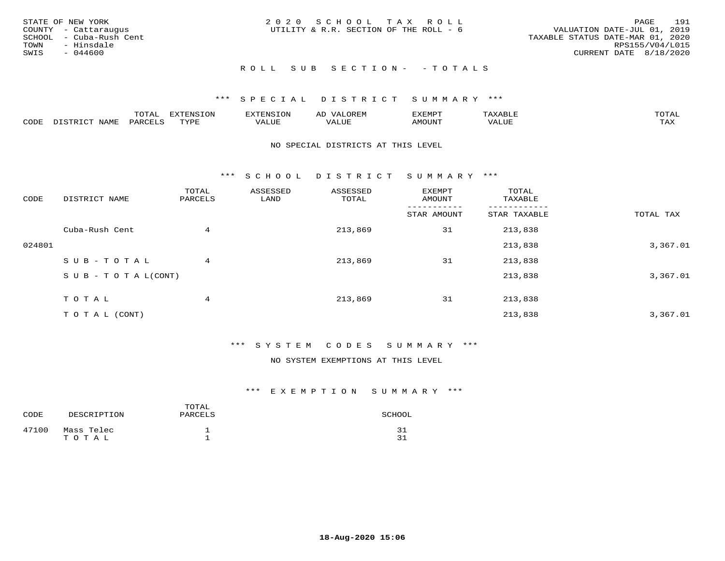| STATE OF NEW YORK<br>COUNTY - Cattaraugus<br>SCHOOL - Cuba-Rush Cent<br>TOWN<br>- Hinsdale<br>SWIS<br>$-044600$ | 2020 SCHOOL TAX ROLL<br>UTILITY & R.R. SECTION OF THE ROLL - 6 | 191<br>PAGE<br>VALUATION DATE-JUL 01, 2019<br>TAXABLE STATUS DATE-MAR 01, 2020<br>RPS155/V04/L015<br>CURRENT DATE 8/18/2020 |
|-----------------------------------------------------------------------------------------------------------------|----------------------------------------------------------------|-----------------------------------------------------------------------------------------------------------------------------|
|                                                                                                                 | ROLL SUB SECTION- - TOTALS                                     |                                                                                                                             |

|      |              | ™∩ͲϪ<br>بمحمد ب | -OP,             | <b>FNC</b> | ΑL    | ֿישוע         |       |                    |
|------|--------------|-----------------|------------------|------------|-------|---------------|-------|--------------------|
| CODE | NAME<br>– a- | PART            | mynne<br>- - - - | ALUF       | 'ALUE | <b>IMOUNT</b> | VALUE | <b>TRAV</b><br>∸∽∸ |

#### NO SPECIAL DISTRICTS AT THIS LEVEL

\*\*\* S C H O O L D I S T R I C T S U M M A R Y \*\*\*

| CODE   | DISTRICT NAME                    | TOTAL<br>PARCELS | ASSESSED<br>LAND | ASSESSED<br>TOTAL | EXEMPT<br>AMOUNT | TOTAL<br>TAXABLE |           |
|--------|----------------------------------|------------------|------------------|-------------------|------------------|------------------|-----------|
|        |                                  |                  |                  |                   | STAR AMOUNT      | STAR TAXABLE     | TOTAL TAX |
|        | Cuba-Rush Cent                   | 4                |                  | 213,869           | 31               | 213,838          |           |
| 024801 |                                  |                  |                  |                   |                  | 213,838          | 3,367.01  |
|        | SUB-TOTAL                        | 4                |                  | 213,869           | 31               | 213,838          |           |
|        | $S \cup B - T \cup T A L (CONT)$ |                  |                  |                   |                  | 213,838          | 3,367.01  |
|        | T O T A L                        | 4                |                  | 213,869           | 31               | 213,838          |           |
|        | T O T A L (CONT)                 |                  |                  |                   |                  | 213,838          | 3,367.01  |

# \*\*\* S Y S T E M C O D E S S U M M A R Y \*\*\*

NO SYSTEM EXEMPTIONS AT THIS LEVEL

| CODE  | DESCRIPTION         | TOTAL<br>PARCELS | SCHOOL   |
|-------|---------------------|------------------|----------|
| 47100 | Mass Telec<br>TOTAL |                  | 31<br>31 |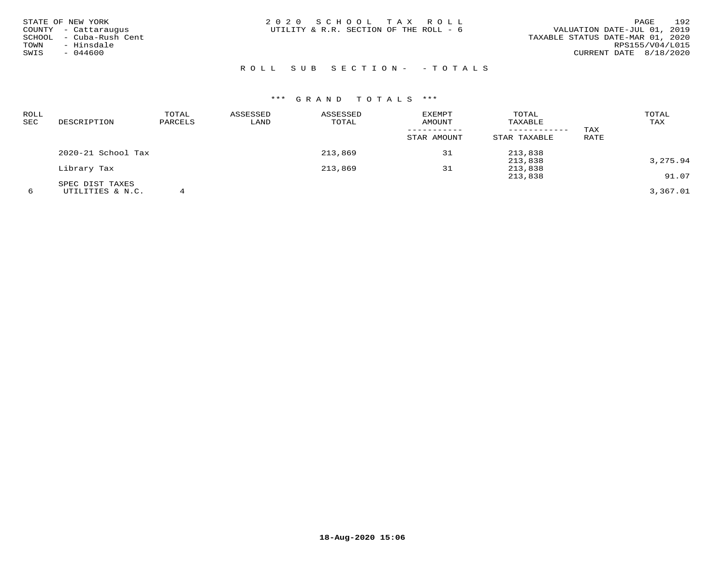| STATE OF NEW YORK<br>COUNTY - Cattaraugus<br>SCHOOL - Cuba-Rush Cent<br>- Hinsdale<br>TOWN<br>SWIS<br>$-044600$ | 2020 SCHOOL TAX ROLL<br>UTILITY & R.R. SECTION OF THE ROLL - 6 | 192<br>PAGE<br>VALUATION DATE-JUL 01, 2019<br>TAXABLE STATUS DATE-MAR 01, 2020<br>RPS155/V04/L015<br>CURRENT DATE 8/18/2020 |
|-----------------------------------------------------------------------------------------------------------------|----------------------------------------------------------------|-----------------------------------------------------------------------------------------------------------------------------|
|                                                                                                                 | ROLL SUB SECTION- - TOTALS                                     |                                                                                                                             |

| ROLL<br>SEC | DESCRIPTION        | TOTAL<br>PARCELS | ASSESSED<br>LAND | ASSESSED<br>TOTAL | EXEMPT<br>AMOUNT<br>STAR AMOUNT | TOTAL<br>TAXABLE<br>STAR TAXABLE | TAX<br>RATE | TOTAL<br>TAX |
|-------------|--------------------|------------------|------------------|-------------------|---------------------------------|----------------------------------|-------------|--------------|
|             | 2020-21 School Tax |                  |                  | 213,869           | 31                              | 213,838                          |             |              |
|             |                    |                  |                  |                   |                                 | 213,838                          |             | 3,275.94     |
|             | Library Tax        |                  |                  | 213,869           | 31                              | 213,838                          |             |              |
|             |                    |                  |                  |                   |                                 | 213,838                          |             | 91.07        |
|             | SPEC DIST TAXES    |                  |                  |                   |                                 |                                  |             |              |
| 6           | UTILITIES & N.C.   |                  |                  |                   |                                 |                                  |             | 3,367.01     |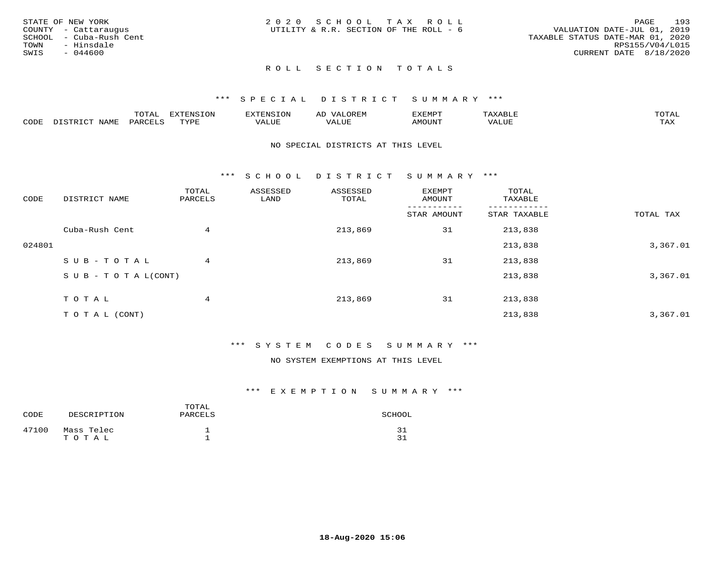|      | STATE OF NEW YORK       | 2020 SCHOOL TAX ROLL                   | 193<br>PAGE                      |
|------|-------------------------|----------------------------------------|----------------------------------|
|      | COUNTY - Cattaraugus    | UTILITY & R.R. SECTION OF THE ROLL - 6 | VALUATION DATE-JUL 01, 2019      |
|      | SCHOOL - Cuba-Rush Cent |                                        | TAXABLE STATUS DATE-MAR 01, 2020 |
| TOWN | - Hinsdale              |                                        | RPS155/V04/L015                  |
| SWIS | $-044600$               |                                        | CURRENT DATE 8/18/2020           |
|      |                         |                                        |                                  |

## \*\*\* S P E C I A L D I S T R I C T S U M M A R Y \*\*\*

|      |                | $m \wedge m \wedge n$<br>L∪⊥AL | <b>DIZODATO TOM</b><br>۰ س. | IN ' | $\leftrightarrow$ 1 | ,,, <del>,</del> ,,,,,<br>. . |       | $m \wedge m \wedge n$<br>$\sim$ |
|------|----------------|--------------------------------|-----------------------------|------|---------------------|-------------------------------|-------|---------------------------------|
| CODE | NAME<br>. סידי | <u>nam</u><br>'AR(             | TVDI<br>.                   |      | متال للدم           | $M$ $\cap$ TTAT $\P$<br>`UUN` | VALUE | .<br>∸∽∸∸                       |

#### NO SPECIAL DISTRICTS AT THIS LEVEL

\*\*\* S C H O O L D I S T R I C T S U M M A R Y \*\*\*

| CODE   | DISTRICT NAME                    | TOTAL<br>PARCELS | ASSESSED<br>LAND | ASSESSED<br>TOTAL | EXEMPT<br>AMOUNT | TOTAL<br>TAXABLE |           |
|--------|----------------------------------|------------------|------------------|-------------------|------------------|------------------|-----------|
|        |                                  |                  |                  |                   | STAR AMOUNT      | STAR TAXABLE     | TOTAL TAX |
|        | Cuba-Rush Cent                   | 4                |                  | 213,869           | 31               | 213,838          |           |
| 024801 |                                  |                  |                  |                   |                  | 213,838          | 3,367.01  |
|        | SUB-TOTAL                        | 4                |                  | 213,869           | 31               | 213,838          |           |
|        | $S \cup B - T \cup T A L (CONT)$ |                  |                  |                   |                  | 213,838          | 3,367.01  |
|        | TOTAL                            | 4                |                  | 213,869           | 31               | 213,838          |           |
|        | T O T A L (CONT)                 |                  |                  |                   |                  | 213,838          | 3,367.01  |

## \*\*\* S Y S T E M C O D E S S U M M A R Y \*\*\*

# NO SYSTEM EXEMPTIONS AT THIS LEVEL

| CODE  | DESCRIPTION         | TOTAL<br>PARCELS | SCHOOL   |
|-------|---------------------|------------------|----------|
| 47100 | Mass Telec<br>тотаь | ᅩ                | 31<br>31 |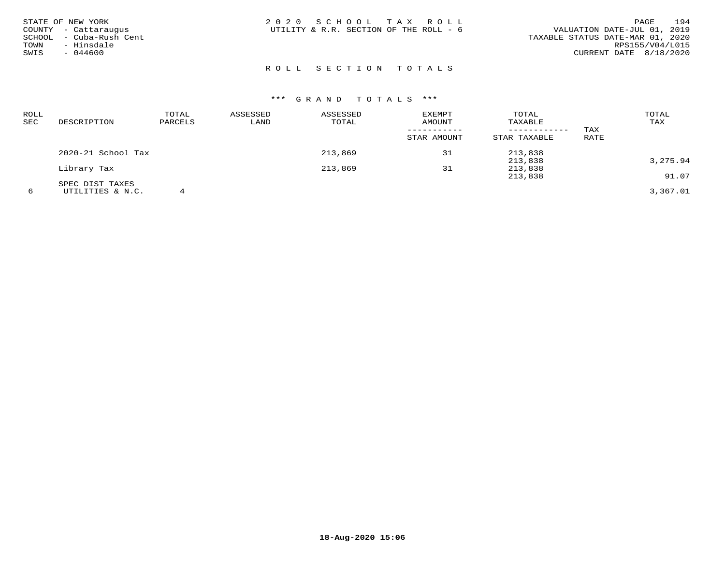| STATE OF NEW YORK<br>COUNTY - Cattaraugus<br>SCHOOL - Cuba-Rush Cent<br>TOWN<br>- Hinsdale<br>SWIS<br>$-044600$ | 2020 SCHOOL TAX ROLL<br>UTILITY & R.R. SECTION OF THE ROLL - 6 | 194<br>PAGE<br>VALUATION DATE-JUL 01, 2019<br>TAXABLE STATUS DATE-MAR 01, 2020<br>RPS155/V04/L015<br>CURRENT DATE 8/18/2020 |
|-----------------------------------------------------------------------------------------------------------------|----------------------------------------------------------------|-----------------------------------------------------------------------------------------------------------------------------|
|                                                                                                                 | ROLL SECTION TOTALS                                            |                                                                                                                             |

| ROLL |                    | TOTAL   | ASSESSED | ASSESSED | <b>EXEMPT</b> | TOTAL        |      | TOTAL    |
|------|--------------------|---------|----------|----------|---------------|--------------|------|----------|
| SEC  | DESCRIPTION        | PARCELS | LAND     | TOTAL    | AMOUNT        | TAXABLE      |      | TAX      |
|      |                    |         |          |          |               |              | TAX  |          |
|      |                    |         |          |          | STAR AMOUNT   | STAR TAXABLE | RATE |          |
|      | 2020-21 School Tax |         |          | 213,869  | 31            | 213,838      |      |          |
|      |                    |         |          |          |               | 213,838      |      | 3,275.94 |
|      | Library Tax        |         |          | 213,869  | 31            | 213,838      |      |          |
|      |                    |         |          |          |               | 213,838      |      | 91.07    |
|      | SPEC DIST TAXES    |         |          |          |               |              |      |          |
| 6    | UTILITIES & N.C.   |         |          |          |               |              |      | 3,367.01 |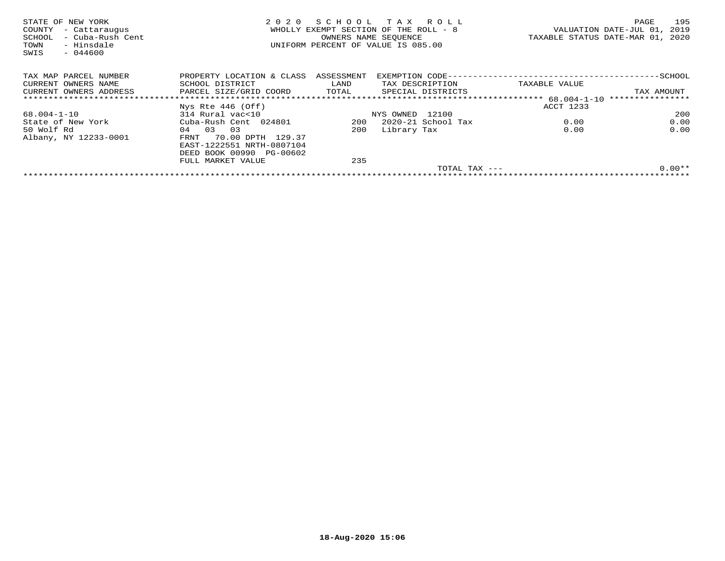| STATE OF NEW YORK<br>- Cattaraugus<br>COUNTY<br>- Cuba-Rush Cent<br>SCHOOL<br>- Hinsdale<br>TOWN<br>$-044600$<br>SWIS | 2020                                 | OWNERS NAME SEOUENCE | SCHOOL TAX ROLL<br>WHOLLY EXEMPT SECTION OF THE ROLL - 8<br>UNIFORM PERCENT OF VALUE IS 085.00 |                     | TAXABLE STATUS DATE-MAR 01, 2020 | PAGE<br>VALUATION DATE-JUL 01, | 195<br>2019 |
|-----------------------------------------------------------------------------------------------------------------------|--------------------------------------|----------------------|------------------------------------------------------------------------------------------------|---------------------|----------------------------------|--------------------------------|-------------|
| TAX MAP PARCEL NUMBER                                                                                                 | PROPERTY LOCATION & CLASS ASSESSMENT |                      |                                                                                                |                     |                                  |                                |             |
| CURRENT OWNERS NAME                                                                                                   | SCHOOL DISTRICT                      | LAND                 | TAX DESCRIPTION                                                                                |                     | TAXABLE VALUE                    |                                |             |
| CURRENT OWNERS ADDRESS                                                                                                | PARCEL SIZE/GRID COORD               | TOTAL                | SPECIAL DISTRICTS                                                                              |                     |                                  | TAX AMOUNT                     |             |
|                                                                                                                       |                                      |                      |                                                                                                |                     |                                  | ****************               |             |
|                                                                                                                       | Nys Rte $446$ (Off)                  |                      |                                                                                                |                     | ACCT 1233                        |                                |             |
| 68.004-1-10                                                                                                           | 314 Rural vac<10                     |                      | NYS OWNED 12100                                                                                |                     |                                  |                                | 200         |
| State of New York                                                                                                     | Cuba-Rush Cent 024801                | 200                  | 2020-21 School Tax                                                                             |                     | 0.00                             |                                | 0.00        |
| 50 Wolf Rd                                                                                                            | 03<br>0.3<br>04                      | 200                  | Library Tax                                                                                    |                     | 0.00                             |                                | 0.00        |
| Albany, NY 12233-0001                                                                                                 | 70.00 DPTH 129.37<br>FRNT            |                      |                                                                                                |                     |                                  |                                |             |
|                                                                                                                       | EAST-1222551 NRTH-0807104            |                      |                                                                                                |                     |                                  |                                |             |
|                                                                                                                       | DEED BOOK 00990 PG-00602             |                      |                                                                                                |                     |                                  |                                |             |
|                                                                                                                       | FULL MARKET VALUE                    | 235                  |                                                                                                |                     |                                  |                                |             |
|                                                                                                                       |                                      |                      |                                                                                                | $TOTAL$ $TAX$ $---$ |                                  |                                | $0.00**$    |
|                                                                                                                       |                                      |                      |                                                                                                |                     |                                  |                                |             |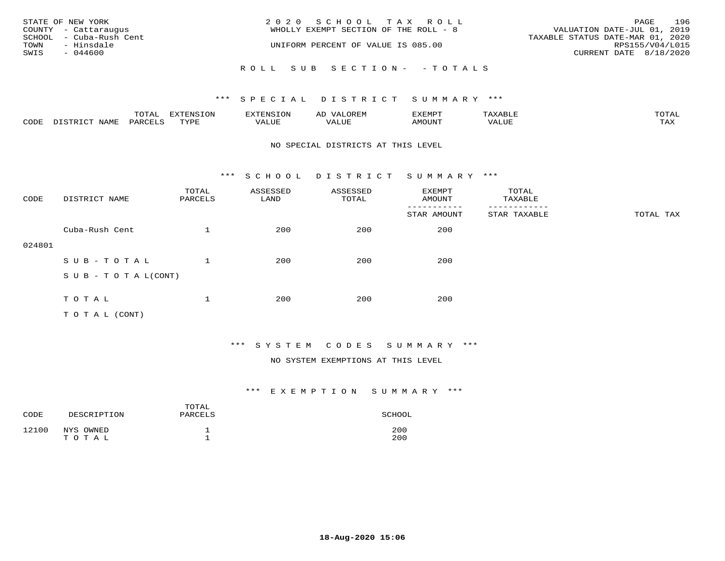|      | STATE OF NEW YORK       | 2020 SCHOOL TAX ROLL                  |                                  | PAGE | 196 |
|------|-------------------------|---------------------------------------|----------------------------------|------|-----|
|      | COUNTY - Cattaraugus    | WHOLLY EXEMPT SECTION OF THE ROLL - 8 | VALUATION DATE-JUL 01, 2019      |      |     |
|      | SCHOOL - Cuba-Rush Cent |                                       | TAXABLE STATUS DATE-MAR 01, 2020 |      |     |
| TOWN | - Hinsdale              | UNIFORM PERCENT OF VALUE IS 085.00    | RPS155/V04/L015                  |      |     |
| SWIS | - 044600                |                                       | CURRENT DATE 8/18/2020           |      |     |
|      |                         |                                       |                                  |      |     |
|      |                         | ROLL SUB SECTION- - TOTALS            |                                  |      |     |

|      |                  | TOTAL   | <b>DYMONIC TONT</b><br>7.NR TOIZ | 'ENS. | OREM<br>AL'             | דים איה צי | $x \sim$ $\sim$ | TOTAI |
|------|------------------|---------|----------------------------------|-------|-------------------------|------------|-----------------|-------|
| CODE | DISTRICT<br>NAME | PARCELS | TVDF<br>ت ہے۔                    | VALUE | . <del>.</del><br>VALUE | AMOUNT     | VALUE           | TAX   |

#### NO SPECIAL DISTRICTS AT THIS LEVEL

\*\*\* S C H O O L D I S T R I C T S U M M A R Y \*\*\*

| CODE   | DISTRICT NAME                    | TOTAL<br>PARCELS | ASSESSED<br>LAND | ASSESSED<br>TOTAL | EXEMPT<br>AMOUNT | TOTAL<br>TAXABLE |           |
|--------|----------------------------------|------------------|------------------|-------------------|------------------|------------------|-----------|
|        |                                  |                  |                  |                   | STAR AMOUNT      | STAR TAXABLE     | TOTAL TAX |
|        | Cuba-Rush Cent                   |                  | 200              | 200               | 200              |                  |           |
| 024801 |                                  |                  |                  |                   |                  |                  |           |
|        | SUB-TOTAL                        |                  | 200              | 200               | 200              |                  |           |
|        | $S \cup B - T \cup T A L (CONT)$ |                  |                  |                   |                  |                  |           |
|        |                                  |                  |                  |                   |                  |                  |           |
|        | TOTAL                            |                  | 200              | 200               | 200              |                  |           |
|        | T O T A L (CONT)                 |                  |                  |                   |                  |                  |           |

# \*\*\* S Y S T E M C O D E S S U M M A R Y \*\*\*

#### NO SYSTEM EXEMPTIONS AT THIS LEVEL

| CODE  | DESCRIPTION        | TOTAL<br>PARCELS | SCHOOL     |
|-------|--------------------|------------------|------------|
| 12100 | NYS OWNED<br>TOTAL |                  | 200<br>200 |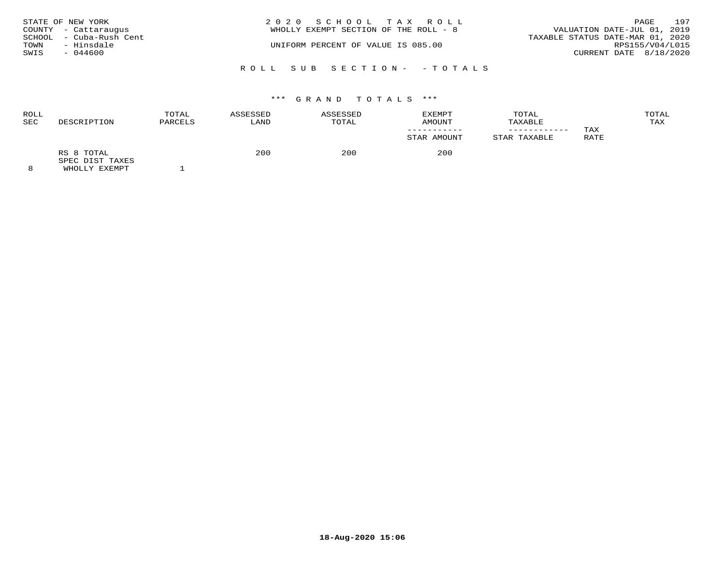|      | STATE OF NEW YORK       | 2020 SCHOOL TAX ROLL                  |                                  | PAGE | 197 |
|------|-------------------------|---------------------------------------|----------------------------------|------|-----|
|      | COUNTY - Cattaraugus    | WHOLLY EXEMPT SECTION OF THE ROLL - 8 | VALUATION DATE-JUL 01, 2019      |      |     |
|      | SCHOOL - Cuba-Rush Cent |                                       | TAXABLE STATUS DATE-MAR 01, 2020 |      |     |
| TOWN | - Hinsdale              | UNIFORM PERCENT OF VALUE IS 085.00    | RPS155/V04/L015                  |      |     |
| SWIS | $-044600$               |                                       | CURRENT DATE 8/18/2020           |      |     |
|      |                         | ROLL SUB SECTION- -TOTALS             |                                  |      |     |

| <b>ROLL</b><br><b>SEC</b> | DESCRIPTION                   | TOTAL<br>PARCELS | ASSESSED<br>LAND | ASSESSED<br>TOTAL | EXEMPT<br>AMOUNT   | TOTAL<br>TAXABLE | TAX  | TOTAL<br>TAX |
|---------------------------|-------------------------------|------------------|------------------|-------------------|--------------------|------------------|------|--------------|
|                           | RS 8 TOTAL<br>SPEC DIST TAXES |                  | 200              | 200               | STAR AMOUNT<br>200 | STAR TAXABLE     | RATE |              |
| $\sim$                    |                               |                  |                  |                   |                    |                  |      |              |

8 WHOLLY EXEMPT 1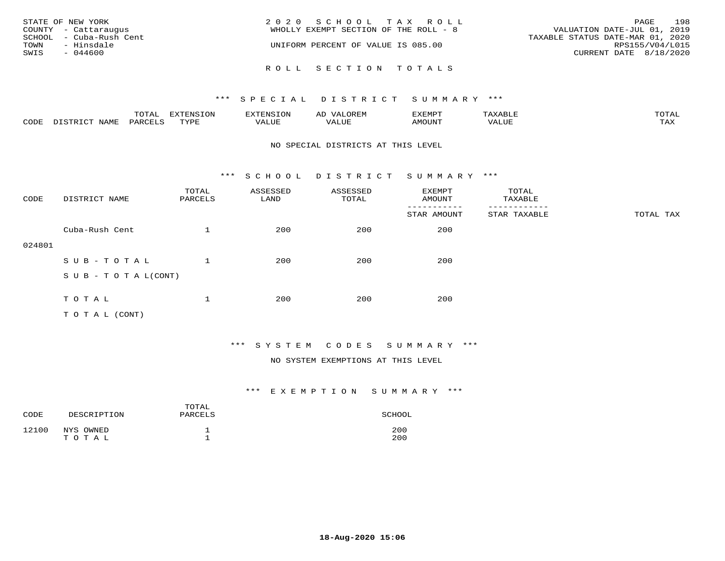| STATE OF NEW YORK<br>COUNTY - Cattaraugus<br>SCHOOL - Cuba-Rush Cent<br>TOWN<br>- Hinsdale<br>SWIS<br>$-044600$ | 2020 SCHOOL TAX ROLL<br>WHOLLY EXEMPT SECTION OF THE ROLL - 8<br>UNIFORM PERCENT OF VALUE IS 085.00 | 198<br>PAGE<br>VALUATION DATE-JUL 01, 2019<br>TAXABLE STATUS DATE-MAR 01, 2020<br>RPS155/V04/L015<br>CURRENT DATE 8/18/2020 |
|-----------------------------------------------------------------------------------------------------------------|-----------------------------------------------------------------------------------------------------|-----------------------------------------------------------------------------------------------------------------------------|
|                                                                                                                 | ROLL SECTION TOTALS                                                                                 |                                                                                                                             |

|      |              | $T0$ $T1$          | EXTENSION | $\sim$ | AL<br>JR E.N | דסאיזצי       |       | $m \wedge m \wedge n$<br><b>ΓΓΑ'</b> |
|------|--------------|--------------------|-----------|--------|--------------|---------------|-------|--------------------------------------|
| CODE | <b>NTAMT</b> | PARCF <sup>T</sup> | TVDF<br>. | . ALUF | ----<br>ALUI | <b>AMOUNT</b> | 'ALUL | <b>TAY</b><br>- ∠∡∡                  |

#### NO SPECIAL DISTRICTS AT THIS LEVEL

\*\*\* S C H O O L D I S T R I C T S U M M A R Y \*\*\*

| CODE   | DISTRICT NAME                    | TOTAL<br>PARCELS | ASSESSED<br>LAND | ASSESSED<br>TOTAL | EXEMPT<br>AMOUNT       | TOTAL<br>TAXABLE         |           |
|--------|----------------------------------|------------------|------------------|-------------------|------------------------|--------------------------|-----------|
|        |                                  |                  |                  |                   | -------<br>STAR AMOUNT | --------<br>STAR TAXABLE | TOTAL TAX |
|        | Cuba-Rush Cent                   |                  | 200              | 200               | 200                    |                          |           |
| 024801 |                                  |                  |                  |                   |                        |                          |           |
|        | SUB-TOTAL                        |                  | 200              | 200               | 200                    |                          |           |
|        | $S \cup B - T \cup T A L (CONT)$ |                  |                  |                   |                        |                          |           |
|        |                                  |                  |                  |                   |                        |                          |           |
|        | TOTAL                            |                  | 200              | 200               | 200                    |                          |           |
|        | T O T A L (CONT)                 |                  |                  |                   |                        |                          |           |

# \*\*\* S Y S T E M C O D E S S U M M A R Y \*\*\*

#### NO SYSTEM EXEMPTIONS AT THIS LEVEL

| CODE  | DESCRIPTION | TOTAL<br>PARCELS | SCHOOL |
|-------|-------------|------------------|--------|
| 12100 | NYS OWNED   | ᅩ                | 200    |
|       | TOTAL       | <b>__</b>        | 200    |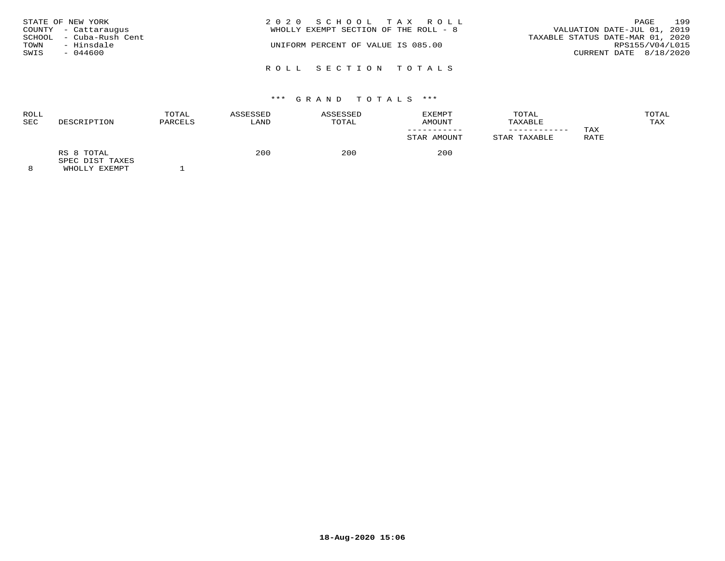| TOWN<br>SWIS | STATE OF NEW YORK<br>COUNTY - Cattaraugus<br>SCHOOL - Cuba-Rush Cent<br>- Hinsdale<br>$-044600$ | 2020 SCHOOL TAX ROLL<br>VALUATION DATE-JUL 01, 2019<br>WHOLLY EXEMPT SECTION OF THE ROLL - 8<br>TAXABLE STATUS DATE-MAR 01, 2020<br>UNIFORM PERCENT OF VALUE IS 085.00<br>CURRENT DATE 8/18/2020 | PAGE<br>RPS155/V04/L015 | 199 |
|--------------|-------------------------------------------------------------------------------------------------|--------------------------------------------------------------------------------------------------------------------------------------------------------------------------------------------------|-------------------------|-----|
|              |                                                                                                 | ROLL SECTION TOTALS                                                                                                                                                                              |                         |     |

| <b>ROLL</b><br>SEC | DESCRIPTION                                        | TOTAL<br>PARCELS | ASSESSED<br>LAND | ASSESSED<br>TOTAL | TOTAL<br><b>EXEMPT</b><br>AMOUNT<br>TAXABLE |              |             | TOTAL<br>TAX |  |
|--------------------|----------------------------------------------------|------------------|------------------|-------------------|---------------------------------------------|--------------|-------------|--------------|--|
|                    |                                                    |                  |                  |                   | STAR AMOUNT                                 | STAR TAXABLE | TAX<br>RATE |              |  |
| $\Omega$           | RS 8 TOTAL<br>SPEC DIST TAXES<br>EULAR TILE BILLET |                  | 200              | 200               | 200                                         |              |             |              |  |

8 WHOLLY EXEMPT 1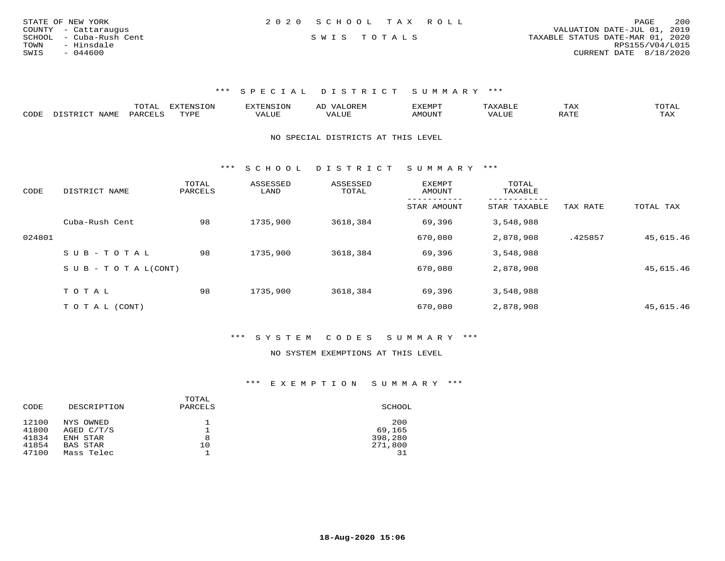| STATE OF NEW YORK       | 2020 SCHOOL TAX ROLL |             |  |                                  | PAGE                   | 200 |
|-------------------------|----------------------|-------------|--|----------------------------------|------------------------|-----|
| COUNTY - Cattaraugus    |                      |             |  | VALUATION DATE-JUL 01, 2019      |                        |     |
| SCHOOL - Cuba-Rush Cent |                      | SWIS TOTALS |  | TAXABLE STATUS DATE-MAR 01, 2020 |                        |     |
| - Hinsdale<br>TOWN      |                      |             |  |                                  | RPS155/V04/L015        |     |
| SWIS<br>- 044600        |                      |             |  |                                  | CURRENT DATE 8/18/2020 |     |
|                         |                      |             |  |                                  |                        |     |

|                  | ---- |      | ▵ | <b>EMP</b>      |            | ⊥AA   | 50.0027<br>◡ <b>⊥</b>             |
|------------------|------|------|---|-----------------|------------|-------|-----------------------------------|
| $\cup$ הר $\cup$ |      | TTTT |   | 572777<br>. UN' | $\sqrt{ }$ | $n -$ | $\pi\pi\pi$<br>$\cdot$<br>- 53.43 |

#### NO SPECIAL DISTRICTS AT THIS LEVEL

\*\*\* S C H O O L D I S T R I C T S U M M A R Y \*\*\*

| CODE   | DISTRICT NAME              | TOTAL<br>PARCELS | ASSESSED<br>LAND | ASSESSED<br>TOTAL | EXEMPT<br>AMOUNT | TOTAL<br>TAXABLE |          |           |
|--------|----------------------------|------------------|------------------|-------------------|------------------|------------------|----------|-----------|
|        |                            |                  |                  |                   | STAR AMOUNT      | STAR TAXABLE     | TAX RATE | TOTAL TAX |
|        | Cuba-Rush Cent             | 98               | 1735,900         | 3618,384          | 69,396           | 3,548,988        |          |           |
| 024801 |                            |                  |                  |                   | 670,080          | 2,878,908        | .425857  | 45,615.46 |
|        | SUB-TOTAL                  | 98               | 1735,900         | 3618,384          | 69,396           | 3,548,988        |          |           |
|        | S U B - T O T A $L$ (CONT) |                  |                  |                   | 670,080          | 2,878,908        |          | 45,615.46 |
|        | TOTAL                      | 98               | 1735,900         | 3618,384          | 69,396           | 3,548,988        |          |           |
|        |                            |                  |                  |                   |                  |                  |          |           |
|        | T O T A L (CONT)           |                  |                  |                   | 670,080          | 2,878,908        |          | 45,615.46 |

## \*\*\* S Y S T E M C O D E S S U M M A R Y \*\*\*

#### NO SYSTEM EXEMPTIONS AT THIS LEVEL

| CODE  | DESCRIPTION     | TOTAL<br>PARCELS | SCHOOL  |
|-------|-----------------|------------------|---------|
| 12100 | NYS OWNED       |                  | 200     |
| 41800 | AGED C/T/S      |                  | 69,165  |
| 41834 | ENH STAR        | 8                | 398,280 |
| 41854 | <b>BAS STAR</b> | 10               | 271,800 |
| 47100 | Mass Telec      |                  |         |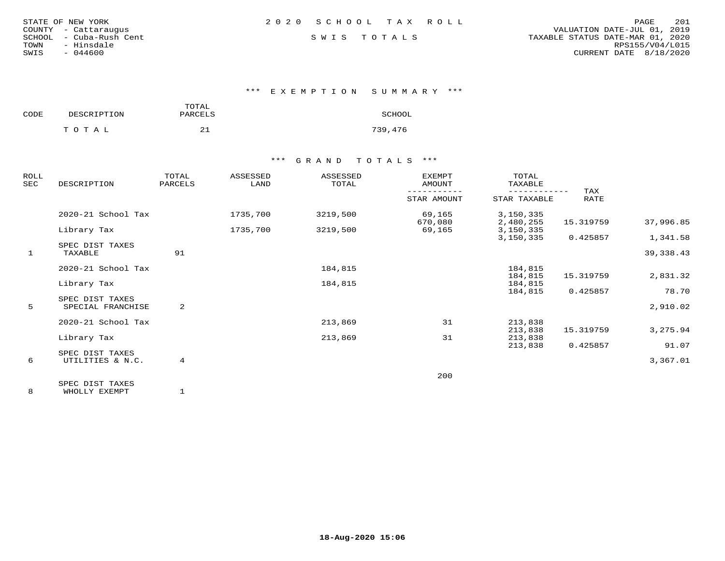| STATE OF NEW YORK |                  |  |
|-------------------|------------------|--|
| COUNTY            | - Cattaraugus    |  |
| SCHOOL            | - Cuba-Rush Cent |  |
| TOWN              | - Hinsdale       |  |
| SWIS              | $-044600$        |  |

\*\*\* E X E M P T I O N S U M M A R Y \*\*\*

| CODE | DESCRIPTION | TOTAL<br>PARCELS | SCHOOL  |
|------|-------------|------------------|---------|
|      | тотаь       |                  | 739,476 |

## \*\*\* G R A N D T O T A L S \*\*\*

| ROLL<br>SEC | DESCRIPTION                          | TOTAL<br>PARCELS | ASSESSED<br>LAND | ASSESSED<br>TOTAL | <b>EXEMPT</b><br>AMOUNT | TOTAL<br>TAXABLE       |                    |            |
|-------------|--------------------------------------|------------------|------------------|-------------------|-------------------------|------------------------|--------------------|------------|
|             |                                      |                  |                  |                   | STAR AMOUNT             | STAR TAXABLE           | TAX<br><b>RATE</b> |            |
|             | 2020-21 School Tax                   |                  | 1735,700         | 3219,500          | 69,165<br>670,080       | 3,150,335              | 15.319759          | 37,996.85  |
|             | Library Tax                          |                  | 1735,700         | 3219,500          | 69,165                  | 2,480,255<br>3,150,335 |                    |            |
|             | SPEC DIST TAXES                      |                  |                  |                   |                         | 3,150,335              | 0.425857           | 1,341.58   |
| 1           | TAXABLE                              | 91               |                  |                   |                         |                        |                    | 39, 338.43 |
|             | 2020-21 School Tax                   |                  |                  | 184,815           |                         | 184,815                |                    |            |
|             | Library Tax                          |                  |                  | 184,815           |                         | 184,815<br>184,815     | 15.319759          | 2,831.32   |
|             |                                      |                  |                  |                   |                         | 184,815                | 0.425857           | 78.70      |
| 5           | SPEC DIST TAXES<br>SPECIAL FRANCHISE | 2                |                  |                   |                         |                        |                    | 2,910.02   |
|             | 2020-21 School Tax                   |                  |                  | 213,869           | 31                      | 213,838                |                    |            |
|             |                                      |                  |                  |                   |                         | 213,838                | 15.319759          | 3,275.94   |
|             | Library Tax                          |                  |                  | 213,869           | 31                      | 213,838                |                    |            |
|             | SPEC DIST TAXES                      |                  |                  |                   |                         | 213,838                | 0.425857           | 91.07      |
| 6           | UTILITIES & N.C.                     | $\overline{4}$   |                  |                   |                         |                        |                    | 3,367.01   |
|             |                                      |                  |                  |                   | 200                     |                        |                    |            |
|             | SPEC DIST TAXES                      |                  |                  |                   |                         |                        |                    |            |

8 WHOLLY EXEMPT 1

**18-Aug-2020 15:06**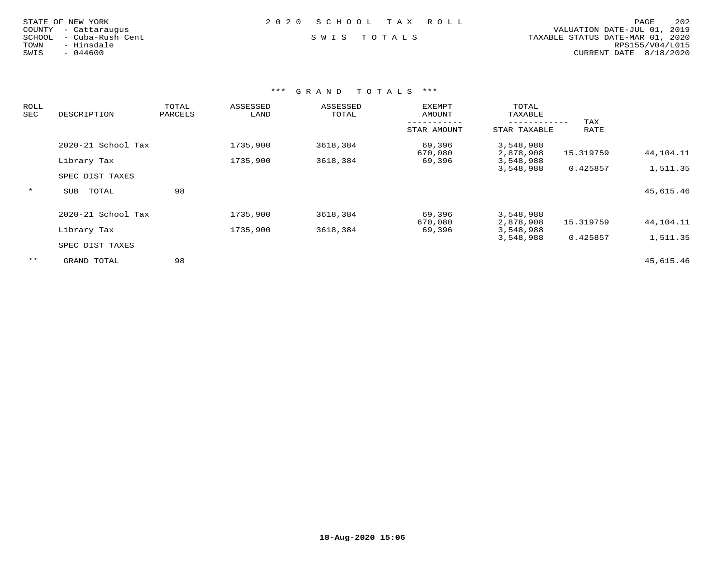|  | $-044600$ | STATE OF NEW YORK<br>- Cattaraugus<br>- Cuba-Rush Cent<br>- Hinsdale |
|--|-----------|----------------------------------------------------------------------|

### STATE OF NEW YORK 2 0 2 0 S C H O O L T A X R O L L PAGE 202

 COUNTY - Cattaraugus VALUATION DATE-JUL 01, 2019 SCHOOL - Cuba-Rush Cent S W I S T O T A L S TAXABLE STATUS DATE-MAR 01, 2020 TOWN - Hinsdale RPS155/V04/L015SWIS - 044600 CURRENT DATE 8/18/2020

| ROLL<br>SEC | DESCRIPTION         | TOTAL<br>PARCELS |          | ASSESSED<br>ASSESSED<br>LAND<br>TOTAL |                   | TOTAL<br>TAXABLE       |             |           |
|-------------|---------------------|------------------|----------|---------------------------------------|-------------------|------------------------|-------------|-----------|
|             |                     |                  |          |                                       | STAR AMOUNT       | STAR TAXABLE           | TAX<br>RATE |           |
|             | 2020-21 School Tax  |                  | 1735,900 | 3618,384                              | 69,396<br>670,080 | 3,548,988<br>2,878,908 | 15.319759   | 44,104.11 |
|             | Library Tax         |                  | 1735,900 | 3618,384                              | 69,396            | 3,548,988              |             |           |
|             |                     |                  |          |                                       |                   | 3,548,988              | 0.425857    | 1,511.35  |
|             | SPEC DIST TAXES     |                  |          |                                       |                   |                        |             |           |
| $\star$     | TOTAL<br><b>SUB</b> | 98               |          |                                       |                   |                        |             | 45,615.46 |
|             | 2020-21 School Tax  |                  | 1735,900 | 3618,384                              | 69,396            | 3,548,988              |             |           |
|             |                     |                  |          |                                       | 670,080           | 2,878,908              | 15.319759   | 44,104.11 |
|             | Library Tax         |                  | 1735,900 | 3618,384                              | 69,396            | 3,548,988<br>3,548,988 | 0.425857    | 1,511.35  |
|             | SPEC DIST TAXES     |                  |          |                                       |                   |                        |             |           |
| $***$       | GRAND TOTAL         | 98               |          |                                       |                   |                        |             | 45,615.46 |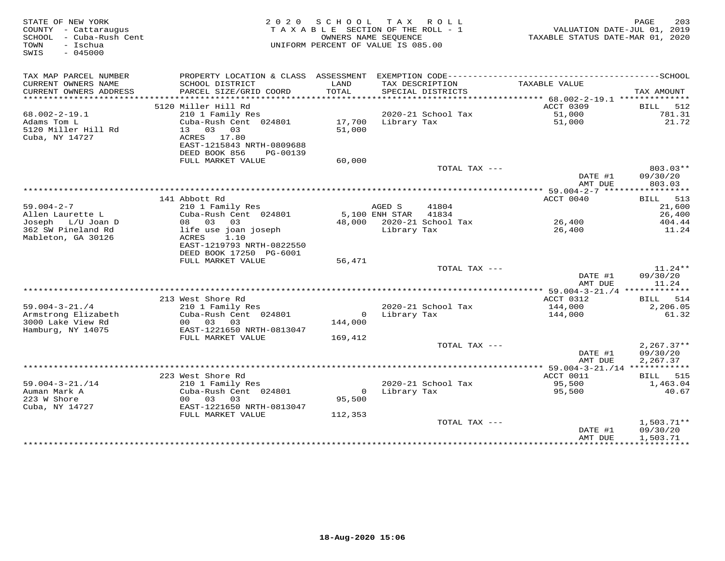| STATE OF NEW YORK<br>COUNTY - Cattaraugus<br>SCHOOL - Cuba-Rush Cent<br>- Ischua<br>TOWN<br>$-045000$<br>SWIS |                                                                                                                                                       | 2020 SCHOOL       | TAX ROLL<br>TAXABLE SECTION OF THE ROLL - 1<br>OWNERS NAME SEOUENCE<br>UNIFORM PERCENT OF VALUE IS 085.00 | TAXABLE STATUS DATE-MAR 01, 2020 | 203<br>PAGE<br>VALUATION DATE-JUL 01, 2019      |
|---------------------------------------------------------------------------------------------------------------|-------------------------------------------------------------------------------------------------------------------------------------------------------|-------------------|-----------------------------------------------------------------------------------------------------------|----------------------------------|-------------------------------------------------|
| TAX MAP PARCEL NUMBER<br>CURRENT OWNERS NAME<br>CURRENT OWNERS ADDRESS                                        | PROPERTY LOCATION & CLASS ASSESSMENT<br>SCHOOL DISTRICT<br>PARCEL SIZE/GRID COORD                                                                     | LAND<br>TOTAL     | EXEMPTION CODE-----------------------<br>TAX DESCRIPTION<br>SPECIAL DISTRICTS                             | TAXABLE VALUE                    | ----------------SCHOOL<br>TAX AMOUNT            |
| **********************                                                                                        |                                                                                                                                                       |                   |                                                                                                           |                                  |                                                 |
| $68.002 - 2 - 19.1$<br>Adams Tom L<br>5120 Miller Hill Rd<br>Cuba, NY 14727                                   | 5120 Miller Hill Rd<br>210 1 Family Res<br>Cuba-Rush Cent 024801<br>13 03 03<br>ACRES 17.80<br>EAST-1215843 NRTH-0809688<br>DEED BOOK 856<br>PG-00139 | 17,700<br>51,000  | 2020-21 School Tax<br>Library Tax                                                                         | ACCT 0309<br>51,000<br>51,000    | BILL 512<br>781.31<br>21.72                     |
|                                                                                                               | FULL MARKET VALUE                                                                                                                                     | 60,000            | TOTAL TAX ---                                                                                             | DATE #1<br>AMT DUE               | $803.03**$<br>09/30/20<br>803.03                |
|                                                                                                               |                                                                                                                                                       |                   |                                                                                                           |                                  |                                                 |
| $59.004 - 2 - 7$<br>Allen Laurette L<br>Joseph L/U Joan D<br>362 SW Pineland Rd<br>Mableton, GA 30126         | 141 Abbott Rd<br>210 1 Family Res<br>Cuba-Rush Cent 024801<br>08 03 03<br>life use joan joseph<br>ACRES<br>1.10<br>EAST-1219793 NRTH-0822550          |                   | AGED S<br>41804<br>5,100 ENH STAR<br>41834<br>48,000 2020-21 School Tax<br>Library Tax                    | ACCT 0040<br>26,400<br>26,400    | BILL 513<br>21,600<br>26,400<br>404.44<br>11.24 |
|                                                                                                               | DEED BOOK 17250 PG-6001<br>FULL MARKET VALUE                                                                                                          | 56,471            | TOTAL TAX ---                                                                                             | DATE #1<br>AMT DUE               | $11.24**$<br>09/30/20<br>11.24                  |
|                                                                                                               |                                                                                                                                                       |                   |                                                                                                           |                                  |                                                 |
| $59.004 - 3 - 21.74$<br>Armstrong Elizabeth<br>3000 Lake View Rd<br>Hamburg, NY 14075                         | 213 West Shore Rd<br>210 1 Family Res<br>Cuba-Rush Cent 024801<br>00 03 03<br>EAST-1221650 NRTH-0813047                                               | 144,000           | 2020-21 School Tax<br>0 Library Tax                                                                       | ACCT 0312<br>144,000<br>144,000  | BILL 514<br>2,206.05<br>61.32                   |
|                                                                                                               | FULL MARKET VALUE                                                                                                                                     | 169,412           | TOTAL TAX ---                                                                                             | DATE #1<br>AMT DUE               | $2,267.37**$<br>09/30/20<br>2,267.37            |
|                                                                                                               |                                                                                                                                                       |                   |                                                                                                           |                                  |                                                 |
| $59.004 - 3 - 21. / 14$<br>Auman Mark A<br>223 W Shore<br>Cuba, NY 14727                                      | 223 West Shore Rd<br>210 1 Family Res<br>Cuba-Rush Cent 024801<br>00 03 03<br>EAST-1221650 NRTH-0813047<br>FULL MARKET VALUE                          | 95,500<br>112,353 | 2020-21 School Tax<br>0 Library Tax                                                                       | ACCT 0011<br>95,500<br>95,500    | BILL 515<br>1,463.04<br>40.67                   |
|                                                                                                               |                                                                                                                                                       |                   | TOTAL TAX ---                                                                                             | DATE #1<br>AMT DUE               | $1,503.71**$<br>09/30/20<br>1,503.71            |
|                                                                                                               |                                                                                                                                                       |                   |                                                                                                           |                                  |                                                 |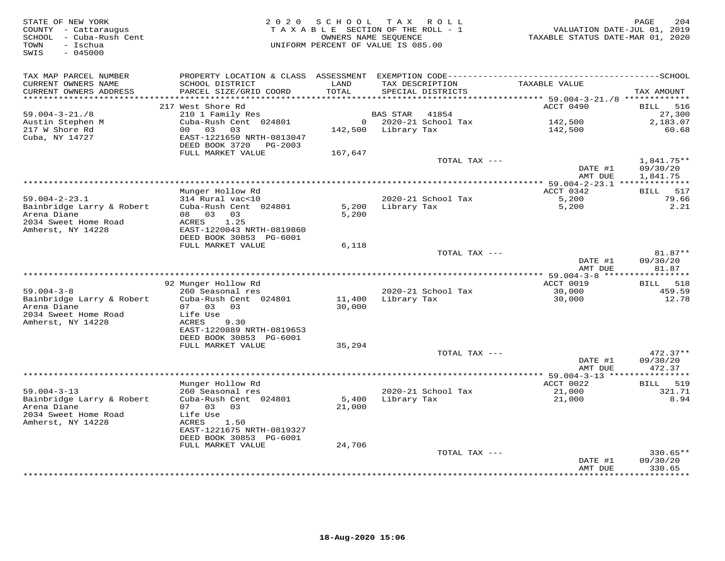| STATE OF NEW YORK<br>COUNTY - Cattaraugus<br>SCHOOL - Cuba-Rush Cent<br>- Ischua<br>TOWN<br>$-045000$<br>SWIS | 2 0 2 0                                                | SCHOOL<br>TAXABLE SECTION OF THE ROLL - 1<br>UNIFORM PERCENT OF VALUE IS 085.00 | TAX ROLL<br>OWNERS NAME SEQUENCE |                        | VALUATION DATE-JUL 01, 2019<br>TAXABLE STATUS DATE-MAR 01, 2020             | PAGE                 | 204             |
|---------------------------------------------------------------------------------------------------------------|--------------------------------------------------------|---------------------------------------------------------------------------------|----------------------------------|------------------------|-----------------------------------------------------------------------------|----------------------|-----------------|
| TAX MAP PARCEL NUMBER<br>CURRENT OWNERS NAME                                                                  | SCHOOL DISTRICT                                        | LAND                                                                            | TAX DESCRIPTION                  |                        | TAXABLE VALUE                                                               |                      |                 |
| CURRENT OWNERS ADDRESS<br>*******************                                                                 | PARCEL SIZE/GRID COORD                                 | TOTAL<br>**********                                                             |                                  | SPECIAL DISTRICTS      |                                                                             | TAX AMOUNT           |                 |
|                                                                                                               | 217 West Shore Rd                                      |                                                                                 |                                  |                        | ********************************* 59.004-3-21./8 *************<br>ACCT 0490 | BILL 516             |                 |
| $59.004 - 3 - 21.78$                                                                                          | 210 1 Family Res                                       |                                                                                 | BAS STAR                         | 41854                  |                                                                             |                      | 27,300          |
| Austin Stephen M                                                                                              | Cuba-Rush Cent 024801                                  |                                                                                 |                                  | $0$ 2020-21 School Tax | 142,500                                                                     |                      | 2,183.07        |
| 217 W Shore Rd                                                                                                | 00 03<br>03                                            |                                                                                 | 142,500 Library Tax              |                        | 142,500                                                                     |                      | 60.68           |
| Cuba, NY 14727                                                                                                | EAST-1221650 NRTH-0813047<br>DEED BOOK 3720<br>PG-2003 |                                                                                 |                                  |                        |                                                                             |                      |                 |
|                                                                                                               | FULL MARKET VALUE                                      | 167,647                                                                         |                                  | TOTAL TAX ---          |                                                                             | $1,841.75**$         |                 |
|                                                                                                               |                                                        |                                                                                 |                                  |                        | DATE #1<br>AMT DUE                                                          | 09/30/20<br>1,841.75 |                 |
|                                                                                                               |                                                        |                                                                                 |                                  |                        |                                                                             |                      |                 |
|                                                                                                               | Munger Hollow Rd                                       |                                                                                 |                                  |                        | ACCT 0342                                                                   | BILL 517             |                 |
| $59.004 - 2 - 23.1$                                                                                           | 314 Rural vac<10                                       |                                                                                 |                                  | 2020-21 School Tax     | 5,200                                                                       |                      | 79.66           |
| Bainbridge Larry & Robert<br>Arena Diane                                                                      | Cuba-Rush Cent 024801<br>08 03 03                      | 5,200<br>5,200                                                                  | Library Tax                      |                        | 5,200                                                                       |                      | 2.21            |
| 2034 Sweet Home Road                                                                                          | 1.25<br>ACRES                                          |                                                                                 |                                  |                        |                                                                             |                      |                 |
| Amherst, NY 14228                                                                                             | EAST-1220043 NRTH-0819860                              |                                                                                 |                                  |                        |                                                                             |                      |                 |
|                                                                                                               | DEED BOOK 30853 PG-6001                                |                                                                                 |                                  |                        |                                                                             |                      |                 |
|                                                                                                               | FULL MARKET VALUE                                      | 6,118                                                                           |                                  |                        |                                                                             |                      | $81.87**$       |
|                                                                                                               |                                                        |                                                                                 |                                  | TOTAL TAX ---          | DATE #1<br>AMT DUE                                                          | 09/30/20             | 81.87           |
|                                                                                                               |                                                        |                                                                                 |                                  |                        |                                                                             |                      |                 |
|                                                                                                               | 92 Munger Hollow Rd                                    |                                                                                 |                                  |                        | ACCT 0019                                                                   | BILL 518             |                 |
| $59.004 - 3 - 8$<br>Bainbridge Larry & Robert                                                                 | 260 Seasonal res<br>Cuba-Rush Cent 024801              | 11,400                                                                          | Library Tax                      | 2020-21 School Tax     | 30,000<br>30,000                                                            |                      | 459.59<br>12.78 |
| Arena Diane                                                                                                   | 07 03<br>0.3                                           | 30,000                                                                          |                                  |                        |                                                                             |                      |                 |
| 2034 Sweet Home Road                                                                                          | Life Use                                               |                                                                                 |                                  |                        |                                                                             |                      |                 |
| Amherst, NY 14228                                                                                             | ACRES<br>9.30                                          |                                                                                 |                                  |                        |                                                                             |                      |                 |
|                                                                                                               | EAST-1220889 NRTH-0819653                              |                                                                                 |                                  |                        |                                                                             |                      |                 |
|                                                                                                               | DEED BOOK 30853 PG-6001<br>FULL MARKET VALUE           | 35,294                                                                          |                                  |                        |                                                                             |                      |                 |
|                                                                                                               |                                                        |                                                                                 |                                  | TOTAL TAX ---          |                                                                             |                      | $472.37**$      |
|                                                                                                               |                                                        |                                                                                 |                                  |                        | DATE #1                                                                     | 09/30/20             |                 |
|                                                                                                               |                                                        |                                                                                 |                                  |                        | AMT DUE                                                                     |                      | 472.37          |
|                                                                                                               | Munger Hollow Rd                                       |                                                                                 |                                  |                        | ******* 59.004-3-13 ****************<br>ACCT 0022                           | BILL 519             |                 |
| $59.004 - 3 - 13$                                                                                             | 260 Seasonal res                                       |                                                                                 |                                  | 2020-21 School Tax     | 21,000                                                                      |                      | 321.71          |
| Bainbridge Larry & Robert                                                                                     | Cuba-Rush Cent 024801                                  | 5,400                                                                           | Library Tax                      |                        | 21,000                                                                      |                      | 8.94            |
| Arena Diane                                                                                                   | 07 03 03                                               | 21,000                                                                          |                                  |                        |                                                                             |                      |                 |
| 2034 Sweet Home Road<br>Amherst, NY 14228                                                                     | Life Use<br>ACRES<br>1.50                              |                                                                                 |                                  |                        |                                                                             |                      |                 |
|                                                                                                               | EAST-1221675 NRTH-0819327                              |                                                                                 |                                  |                        |                                                                             |                      |                 |
|                                                                                                               | DEED BOOK 30853 PG-6001                                |                                                                                 |                                  |                        |                                                                             |                      |                 |
|                                                                                                               | FULL MARKET VALUE                                      | 24,706                                                                          |                                  |                        |                                                                             |                      |                 |
|                                                                                                               |                                                        |                                                                                 |                                  | TOTAL TAX ---          | DATE #1                                                                     | 09/30/20             | 330.65**        |
|                                                                                                               |                                                        |                                                                                 |                                  |                        | AMT DUE                                                                     | 330.65               |                 |
|                                                                                                               |                                                        |                                                                                 |                                  |                        |                                                                             | * * * * * * * *      |                 |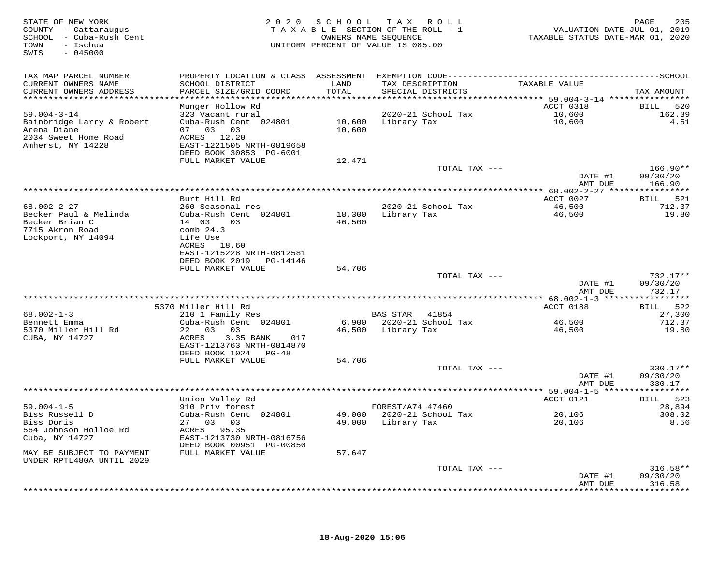| STATE OF NEW YORK<br>COUNTY - Cattaraugus<br>SCHOOL - Cuba-Rush Cent<br>- Ischua<br>TOWN<br>$-045000$<br>SWIS |                                                                                                                                           |               | 2020 SCHOOL TAX ROLL<br>TAXABLE SECTION OF THE ROLL - 1<br>OWNERS NAME SEOUENCE<br>UNIFORM PERCENT OF VALUE IS 085.00 | VALUATION DATE-JUL 01, 2019<br>TAXABLE STATUS DATE-MAR 01, 2020 | 205<br>PAGE          |
|---------------------------------------------------------------------------------------------------------------|-------------------------------------------------------------------------------------------------------------------------------------------|---------------|-----------------------------------------------------------------------------------------------------------------------|-----------------------------------------------------------------|----------------------|
| TAX MAP PARCEL NUMBER<br>CURRENT OWNERS NAME<br>CURRENT OWNERS ADDRESS                                        | PROPERTY LOCATION & CLASS ASSESSMENT EXEMPTION CODE-----------------------------------SCHOOL<br>SCHOOL DISTRICT<br>PARCEL SIZE/GRID COORD | LAND<br>TOTAL | TAX DESCRIPTION<br>SPECIAL DISTRICTS                                                                                  | TAXABLE VALUE                                                   |                      |
| ************************                                                                                      |                                                                                                                                           |               |                                                                                                                       |                                                                 | TAX AMOUNT           |
|                                                                                                               | Munger Hollow Rd                                                                                                                          |               |                                                                                                                       | ACCT 0318                                                       | <b>BILL</b><br>520   |
| $59.004 - 3 - 14$                                                                                             | 323 Vacant rural                                                                                                                          |               | 2020-21 School Tax                                                                                                    | 10,600                                                          | 162.39               |
| Bainbridge Larry & Robert<br>Arena Diane                                                                      | Cuba-Rush Cent 024801<br>07 03 03                                                                                                         | 10,600        | 10,600 Library Tax                                                                                                    | 10,600                                                          | 4.51                 |
| 2034 Sweet Home Road                                                                                          | ACRES 12.20                                                                                                                               |               |                                                                                                                       |                                                                 |                      |
| Amherst, NY 14228                                                                                             | EAST-1221505 NRTH-0819658                                                                                                                 |               |                                                                                                                       |                                                                 |                      |
|                                                                                                               | DEED BOOK 30853 PG-6001                                                                                                                   |               |                                                                                                                       |                                                                 |                      |
|                                                                                                               | FULL MARKET VALUE                                                                                                                         | 12,471        | TOTAL TAX ---                                                                                                         |                                                                 | $166.90**$           |
|                                                                                                               |                                                                                                                                           |               |                                                                                                                       | DATE #1                                                         | 09/30/20             |
|                                                                                                               |                                                                                                                                           |               |                                                                                                                       | AMT DUE                                                         | 166.90               |
|                                                                                                               | Burt Hill Rd                                                                                                                              |               |                                                                                                                       | ACCT 0027                                                       | BILL 521             |
| $68.002 - 2 - 27$                                                                                             | 260 Seasonal res                                                                                                                          |               | 2020-21 School Tax                                                                                                    | 46,500                                                          | 712.37               |
| Becker Paul & Melinda                                                                                         | Cuba-Rush Cent 024801                                                                                                                     | 18,300        | Library Tax                                                                                                           | 46,500                                                          | 19.80                |
| Becker Brian C                                                                                                | 14 03<br>03                                                                                                                               | 46,500        |                                                                                                                       |                                                                 |                      |
| 7715 Akron Road<br>Lockport, NY 14094                                                                         | comb $24.3$<br>Life Use                                                                                                                   |               |                                                                                                                       |                                                                 |                      |
|                                                                                                               | ACRES 18.60                                                                                                                               |               |                                                                                                                       |                                                                 |                      |
|                                                                                                               | EAST-1215228 NRTH-0812581                                                                                                                 |               |                                                                                                                       |                                                                 |                      |
|                                                                                                               | DEED BOOK 2019 PG-14146<br>FULL MARKET VALUE                                                                                              | 54,706        |                                                                                                                       |                                                                 |                      |
|                                                                                                               |                                                                                                                                           |               | TOTAL TAX ---                                                                                                         |                                                                 | 732.17**             |
|                                                                                                               |                                                                                                                                           |               |                                                                                                                       | DATE #1                                                         | 09/30/20             |
|                                                                                                               |                                                                                                                                           |               |                                                                                                                       | AMT DUE                                                         | 732.17               |
|                                                                                                               | 5370 Miller Hill Rd                                                                                                                       |               |                                                                                                                       | ACCT 0188                                                       | BILL 522             |
| $68.002 - 1 - 3$                                                                                              | 210 1 Family Res                                                                                                                          |               | BAS STAR 41854                                                                                                        |                                                                 | 27,300               |
| Bennett Emma                                                                                                  | Cuba-Rush Cent 024801                                                                                                                     |               | 6,900 2020-21 School Tax                                                                                              | 46,500                                                          | 712.37               |
| 5370 Miller Hill Rd<br>CUBA, NY 14727                                                                         | 22 03 03<br>3.35 BANK<br>ACRES<br>017                                                                                                     |               | 46,500 Library Tax                                                                                                    | 46,500                                                          | 19.80                |
|                                                                                                               | EAST-1213763 NRTH-0814870                                                                                                                 |               |                                                                                                                       |                                                                 |                      |
|                                                                                                               | DEED BOOK 1024 PG-48                                                                                                                      |               |                                                                                                                       |                                                                 |                      |
|                                                                                                               | FULL MARKET VALUE                                                                                                                         | 54,706        |                                                                                                                       |                                                                 |                      |
|                                                                                                               |                                                                                                                                           |               | TOTAL TAX ---                                                                                                         | DATE #1                                                         | 330.17**<br>09/30/20 |
|                                                                                                               |                                                                                                                                           |               |                                                                                                                       | AMT DUE                                                         | 330.17               |
|                                                                                                               |                                                                                                                                           |               |                                                                                                                       |                                                                 |                      |
| $59.004 - 1 - 5$                                                                                              | Union Valley Rd                                                                                                                           |               | FOREST/A74 47460                                                                                                      | ACCT 0121                                                       | BILL 523             |
| Biss Russell D                                                                                                | 910 Priv forest<br>Cuba-Rush Cent 024801                                                                                                  |               | 49,000 2020-21 School Tax                                                                                             | 20,106                                                          | 28,894<br>308.02     |
| Biss Doris                                                                                                    | 27 03 03                                                                                                                                  |               | 49,000 Library Tax                                                                                                    | 20,106                                                          | 8.56                 |
| 564 Johnson Holloe Rd                                                                                         | ACRES 95.35                                                                                                                               |               |                                                                                                                       |                                                                 |                      |
| Cuba, NY 14727                                                                                                | EAST-1213730 NRTH-0816756<br>DEED BOOK 00951 PG-00850                                                                                     |               |                                                                                                                       |                                                                 |                      |
| MAY BE SUBJECT TO PAYMENT                                                                                     | FULL MARKET VALUE                                                                                                                         | 57,647        |                                                                                                                       |                                                                 |                      |
| UNDER RPTL480A UNTIL 2029                                                                                     |                                                                                                                                           |               |                                                                                                                       |                                                                 |                      |
|                                                                                                               |                                                                                                                                           |               | TOTAL TAX ---                                                                                                         |                                                                 | $316.58**$           |
|                                                                                                               |                                                                                                                                           |               |                                                                                                                       | DATE #1<br>AMT DUE                                              | 09/30/20<br>316.58   |
|                                                                                                               |                                                                                                                                           |               |                                                                                                                       |                                                                 | ***********          |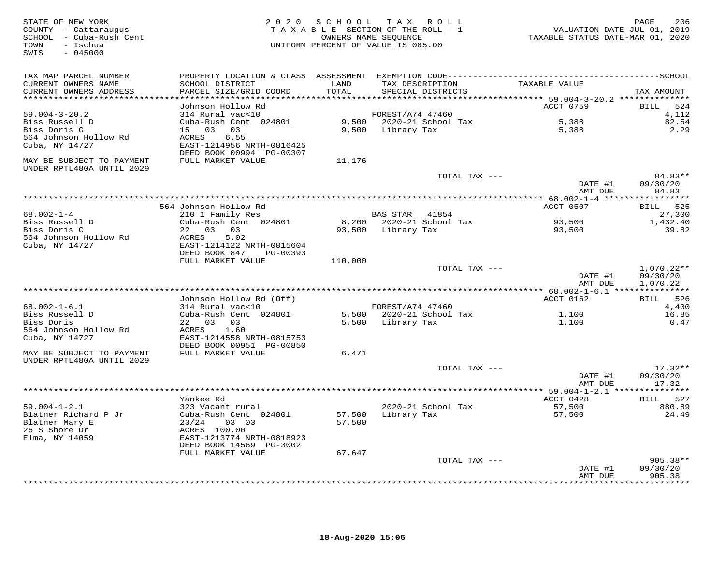| STATE OF NEW YORK<br>COUNTY - Cattaraugus<br>SCHOOL - Cuba-Rush Cent<br>- Ischua<br>TOWN<br>SWIS<br>$-045000$ |                                               |               | 2020 SCHOOL TAX ROLL<br>TAXABLE SECTION OF THE ROLL - 1<br>OWNERS NAME SEQUENCE<br>UNIFORM PERCENT OF VALUE IS 085.00 | VALUATION DATE-JUL 01, 2019<br>TAXABLE STATUS DATE-MAR 01, 2020 | PAGE<br>206        |
|---------------------------------------------------------------------------------------------------------------|-----------------------------------------------|---------------|-----------------------------------------------------------------------------------------------------------------------|-----------------------------------------------------------------|--------------------|
| TAX MAP PARCEL NUMBER                                                                                         |                                               |               |                                                                                                                       |                                                                 |                    |
| CURRENT OWNERS NAME<br>CURRENT OWNERS ADDRESS                                                                 | SCHOOL DISTRICT<br>PARCEL SIZE/GRID COORD     | LAND<br>TOTAL | TAX DESCRIPTION<br>SPECIAL DISTRICTS                                                                                  | TAXABLE VALUE                                                   | TAX AMOUNT         |
| **********************                                                                                        |                                               |               |                                                                                                                       |                                                                 |                    |
|                                                                                                               | Johnson Hollow Rd                             |               |                                                                                                                       | ACCT 0759                                                       | 524<br><b>BILL</b> |
| $59.004 - 3 - 20.2$                                                                                           | 314 Rural vac<10                              |               | FOREST/A74 47460                                                                                                      |                                                                 | 4,112              |
| Biss Russell D                                                                                                | Cuba-Rush Cent 024801                         |               | 9,500 2020-21 School Tax                                                                                              | 5,388                                                           | 82.54              |
| Biss Doris G                                                                                                  | 15 03 03                                      |               | 9,500 Library Tax                                                                                                     | 5,388                                                           | 2.29               |
| 564 Johnson Hollow Rd<br>Cuba, NY 14727                                                                       | 6.55<br>ACRES<br>EAST-1214956 NRTH-0816425    |               |                                                                                                                       |                                                                 |                    |
| MAY BE SUBJECT TO PAYMENT<br>UNDER RPTL480A UNTIL 2029                                                        | DEED BOOK 00994 PG-00307<br>FULL MARKET VALUE | 11,176        |                                                                                                                       |                                                                 |                    |
|                                                                                                               |                                               |               | TOTAL TAX ---                                                                                                         |                                                                 | 84.83**            |
|                                                                                                               |                                               |               |                                                                                                                       | DATE #1<br>AMT DUE                                              | 09/30/20<br>84.83  |
|                                                                                                               |                                               |               |                                                                                                                       |                                                                 |                    |
|                                                                                                               | 564 Johnson Hollow Rd                         |               |                                                                                                                       | ACCT 0507                                                       | 525<br><b>BILL</b> |
| $68.002 - 1 - 4$                                                                                              | 210 1 Family Res                              |               | BAS STAR<br>41854                                                                                                     |                                                                 | 27,300             |
| Biss Russell D                                                                                                | Cuba-Rush Cent 024801                         |               | 8,200 2020-21 School Tax                                                                                              | 93,500                                                          | 1,432.40           |
| Biss Doris C                                                                                                  | 22 03 03                                      |               | 93,500 Library Tax                                                                                                    | 93,500                                                          | 39.82              |
| 564 Johnson Hollow Rd                                                                                         | ACRES<br>5.02                                 |               |                                                                                                                       |                                                                 |                    |
| Cuba, NY 14727                                                                                                | EAST-1214122 NRTH-0815604                     |               |                                                                                                                       |                                                                 |                    |
|                                                                                                               | DEED BOOK 847<br>PG-00393                     |               |                                                                                                                       |                                                                 |                    |
|                                                                                                               | FULL MARKET VALUE                             | 110,000       | TOTAL TAX ---                                                                                                         |                                                                 | $1,070.22**$       |
|                                                                                                               |                                               |               |                                                                                                                       | DATE #1                                                         | 09/30/20           |
|                                                                                                               |                                               |               |                                                                                                                       | AMT DUE                                                         | 1,070.22           |
|                                                                                                               |                                               |               |                                                                                                                       |                                                                 |                    |
|                                                                                                               | Johnson Hollow Rd (Off)                       |               |                                                                                                                       | ACCT 0162                                                       | 526<br>BILL        |
| $68.002 - 1 - 6.1$                                                                                            | 314 Rural vac<10                              |               | FOREST/A74 47460                                                                                                      |                                                                 | 4,400              |
| Biss Russell D                                                                                                | Cuba-Rush Cent 024801                         |               | 5,500 2020-21 School Tax                                                                                              | 1,100                                                           | 16.85              |
| Biss Doris                                                                                                    | 22 03 03                                      | 5,500         | Library Tax                                                                                                           | 1,100                                                           | 0.47               |
| 564 Johnson Hollow Rd                                                                                         | ACRES<br>1.60                                 |               |                                                                                                                       |                                                                 |                    |
| Cuba, NY 14727                                                                                                | EAST-1214558 NRTH-0815753                     |               |                                                                                                                       |                                                                 |                    |
|                                                                                                               | DEED BOOK 00951 PG-00850                      |               |                                                                                                                       |                                                                 |                    |
| MAY BE SUBJECT TO PAYMENT<br>UNDER RPTL480A UNTIL 2029                                                        | FULL MARKET VALUE                             | 6,471         |                                                                                                                       |                                                                 |                    |
|                                                                                                               |                                               |               | TOTAL TAX ---                                                                                                         |                                                                 | $17.32**$          |
|                                                                                                               |                                               |               |                                                                                                                       | DATE #1                                                         | 09/30/20           |
|                                                                                                               |                                               |               |                                                                                                                       | AMT DUE                                                         | 17.32              |
|                                                                                                               |                                               |               |                                                                                                                       |                                                                 |                    |
|                                                                                                               | Yankee Rd                                     |               |                                                                                                                       | ACCT 0428                                                       | BILL 527           |
| $59.004 - 1 - 2.1$                                                                                            | 323 Vacant rural                              |               | 2020-21 School Tax                                                                                                    | 57,500                                                          | 880.89             |
| Blatner Richard P Jr                                                                                          | Cuba-Rush Cent 024801                         | 57,500        | Library Tax                                                                                                           | 57,500                                                          | 24.49              |
| Blatner Mary E                                                                                                | 23/24<br>03 03                                | 57,500        |                                                                                                                       |                                                                 |                    |
| 26 S Shore Dr                                                                                                 | ACRES 100.00                                  |               |                                                                                                                       |                                                                 |                    |
| Elma, NY 14059                                                                                                | EAST-1213774 NRTH-0818923                     |               |                                                                                                                       |                                                                 |                    |
|                                                                                                               | DEED BOOK 14569 PG-3002<br>FULL MARKET VALUE  | 67,647        |                                                                                                                       |                                                                 |                    |
|                                                                                                               |                                               |               | TOTAL TAX ---                                                                                                         |                                                                 | $905.38**$         |
|                                                                                                               |                                               |               |                                                                                                                       | DATE #1                                                         | 09/30/20           |
|                                                                                                               |                                               |               |                                                                                                                       | AMT DUE                                                         | 905.38             |
|                                                                                                               |                                               |               |                                                                                                                       |                                                                 | * * * * * * * *    |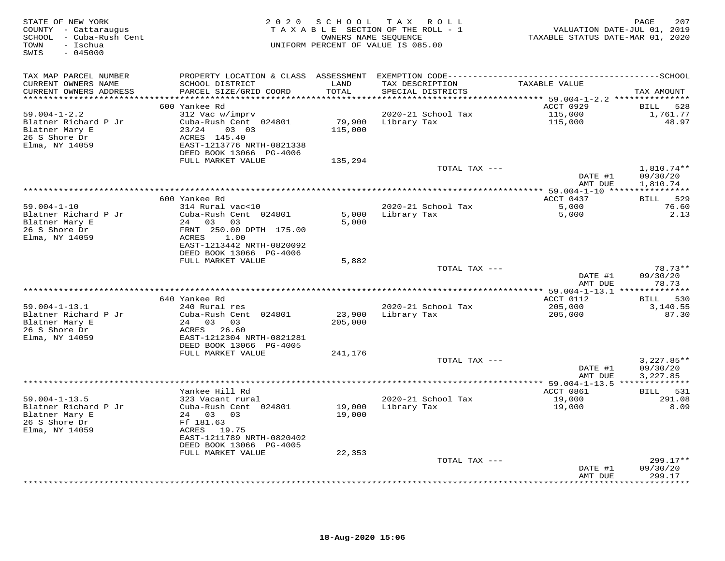| STATE OF NEW YORK<br>COUNTY - Cattaraugus<br>SCHOOL - Cuba-Rush Cent<br>- Ischua<br>TOWN<br>SWIS<br>$-045000$ | 2020                                                 |                         | SCHOOL TAX ROLL<br>TAXABLE SECTION OF THE ROLL - 1<br>OWNERS NAME SEQUENCE<br>UNIFORM PERCENT OF VALUE IS 085.00 | TAXABLE STATUS DATE-MAR 01, 2020                                       | 207<br>PAGE<br>VALUATION DATE-JUL 01, 2019 |
|---------------------------------------------------------------------------------------------------------------|------------------------------------------------------|-------------------------|------------------------------------------------------------------------------------------------------------------|------------------------------------------------------------------------|--------------------------------------------|
| TAX MAP PARCEL NUMBER<br>CURRENT OWNERS NAME                                                                  | SCHOOL DISTRICT                                      | LAND                    | TAX DESCRIPTION                                                                                                  | TAXABLE VALUE                                                          |                                            |
| CURRENT OWNERS ADDRESS                                                                                        | PARCEL SIZE/GRID COORD                               | TOTAL                   | SPECIAL DISTRICTS                                                                                                |                                                                        | TAX AMOUNT                                 |
| *********************                                                                                         | 600 Yankee Rd                                        | * * * * * * * * * * * * |                                                                                                                  | **************************** 59.004-1-2.2 ***************<br>ACCT 0929 | BILL<br>528                                |
| $59.004 - 1 - 2.2$                                                                                            | 312 Vac w/imprv                                      |                         | 2020-21 School Tax                                                                                               | 115,000                                                                | 1,761.77                                   |
| Blatner Richard P Jr                                                                                          | Cuba-Rush Cent 024801                                | 79,900                  | Library Tax                                                                                                      | 115,000                                                                | 48.97                                      |
| Blatner Mary E                                                                                                | 23/24<br>03 03                                       | 115,000                 |                                                                                                                  |                                                                        |                                            |
| 26 S Shore Dr                                                                                                 | ACRES 145.40                                         |                         |                                                                                                                  |                                                                        |                                            |
| Elma, NY 14059                                                                                                | EAST-1213776 NRTH-0821338                            |                         |                                                                                                                  |                                                                        |                                            |
|                                                                                                               | DEED BOOK 13066 PG-4006<br>FULL MARKET VALUE         | 135,294                 |                                                                                                                  |                                                                        |                                            |
|                                                                                                               |                                                      |                         | TOTAL TAX ---                                                                                                    |                                                                        | $1,810.74**$                               |
|                                                                                                               |                                                      |                         |                                                                                                                  | DATE #1                                                                | 09/30/20                                   |
|                                                                                                               |                                                      |                         |                                                                                                                  | AMT DUE                                                                | 1,810.74                                   |
|                                                                                                               |                                                      |                         |                                                                                                                  |                                                                        |                                            |
| $59.004 - 1 - 10$                                                                                             | 600 Yankee Rd<br>314 Rural vac<10                    |                         | 2020-21 School Tax                                                                                               | ACCT 0437<br>5,000                                                     | BILL 529<br>76.60                          |
| Blatner Richard P Jr                                                                                          | Cuba-Rush Cent 024801                                | 5,000                   | Library Tax                                                                                                      | 5,000                                                                  | 2.13                                       |
| Blatner Mary E                                                                                                | 24 03 03                                             | 5,000                   |                                                                                                                  |                                                                        |                                            |
| 26 S Shore Dr                                                                                                 | FRNT 250.00 DPTH 175.00                              |                         |                                                                                                                  |                                                                        |                                            |
| Elma, NY 14059                                                                                                | ACRES<br>1.00                                        |                         |                                                                                                                  |                                                                        |                                            |
|                                                                                                               | EAST-1213442 NRTH-0820092<br>DEED BOOK 13066 PG-4006 |                         |                                                                                                                  |                                                                        |                                            |
|                                                                                                               | FULL MARKET VALUE                                    | 5,882                   |                                                                                                                  |                                                                        |                                            |
|                                                                                                               |                                                      |                         | TOTAL TAX ---                                                                                                    |                                                                        | $78.73**$                                  |
|                                                                                                               |                                                      |                         |                                                                                                                  | DATE #1                                                                | 09/30/20                                   |
|                                                                                                               |                                                      |                         |                                                                                                                  | AMT DUE                                                                | 78.73                                      |
|                                                                                                               | 640 Yankee Rd                                        |                         |                                                                                                                  | ACCT 0112                                                              | BILL 530                                   |
| $59.004 - 1 - 13.1$                                                                                           | 240 Rural res                                        |                         | 2020-21 School Tax                                                                                               | 205,000                                                                | 3,140.55                                   |
| Blatner Richard P Jr                                                                                          | Cuba-Rush Cent 024801                                | 23,900                  | Library Tax                                                                                                      | 205,000                                                                | 87.30                                      |
| Blatner Mary E                                                                                                | 24 03 03                                             | 205,000                 |                                                                                                                  |                                                                        |                                            |
| 26 S Shore Dr                                                                                                 | ACRES 26.60                                          |                         |                                                                                                                  |                                                                        |                                            |
| Elma, NY 14059                                                                                                | EAST-1212304 NRTH-0821281                            |                         |                                                                                                                  |                                                                        |                                            |
|                                                                                                               | DEED BOOK 13066 PG-4005<br>FULL MARKET VALUE         | 241,176                 |                                                                                                                  |                                                                        |                                            |
|                                                                                                               |                                                      |                         | TOTAL TAX ---                                                                                                    |                                                                        | $3,227.85**$                               |
|                                                                                                               |                                                      |                         |                                                                                                                  | DATE #1                                                                | 09/30/20                                   |
|                                                                                                               |                                                      |                         |                                                                                                                  | AMT DUE                                                                | 3,227.85                                   |
|                                                                                                               |                                                      |                         |                                                                                                                  |                                                                        |                                            |
| $59.004 - 1 - 13.5$                                                                                           | Yankee Hill Rd<br>323 Vacant rural                   |                         | 2020-21 School Tax                                                                                               | ACCT 0861<br>19,000                                                    | 531<br><b>BILL</b><br>291.08               |
| Blatner Richard P Jr                                                                                          | Cuba-Rush Cent 024801                                | 19,000                  | Library Tax                                                                                                      | 19,000                                                                 | 8.09                                       |
| Blatner Mary E                                                                                                | 24 03 03                                             | 19,000                  |                                                                                                                  |                                                                        |                                            |
| 26 S Shore Dr                                                                                                 | Ff 181.63                                            |                         |                                                                                                                  |                                                                        |                                            |
| Elma, NY 14059                                                                                                | ACRES 19.75                                          |                         |                                                                                                                  |                                                                        |                                            |
|                                                                                                               | EAST-1211789 NRTH-0820402<br>DEED BOOK 13066 PG-4005 |                         |                                                                                                                  |                                                                        |                                            |
|                                                                                                               | FULL MARKET VALUE                                    | 22,353                  |                                                                                                                  |                                                                        |                                            |
|                                                                                                               |                                                      |                         | TOTAL TAX ---                                                                                                    |                                                                        | $299.17**$                                 |
|                                                                                                               |                                                      |                         |                                                                                                                  | DATE #1                                                                | 09/30/20                                   |
|                                                                                                               |                                                      |                         |                                                                                                                  | AMT DUE                                                                | 299.17<br>* * * * * * * *                  |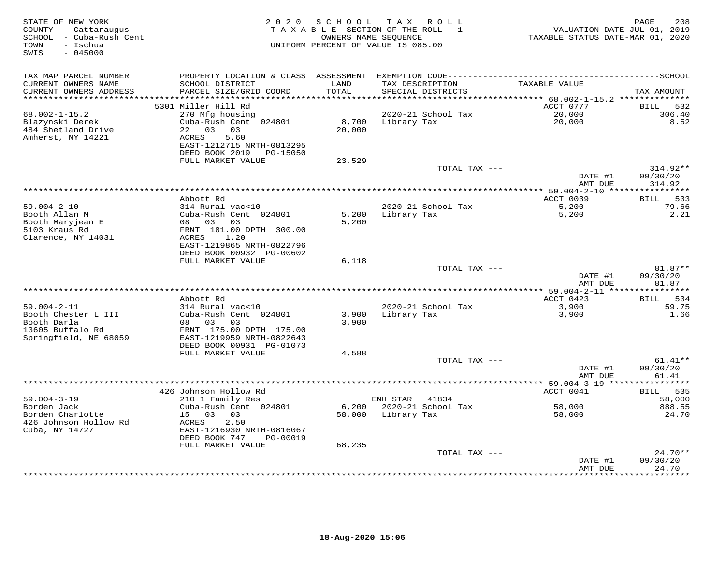| STATE OF NEW YORK<br>COUNTY - Cattaraugus<br>SCHOOL - Cuba-Rush Cent<br>- Ischua<br>TOWN<br>$-045000$<br>SWIS |                                                         | 2020 SCHOOL<br>TAXABLE SECTION OF THE ROLL - 1<br>OWNERS NAME SEQUENCE<br>UNIFORM PERCENT OF VALUE IS 085.00 | T A X                 | ROLL                                 | VALUATION DATE-JUL 01, 2019<br>TAXABLE STATUS DATE-MAR 01, 2020 | 208<br>PAGE              |
|---------------------------------------------------------------------------------------------------------------|---------------------------------------------------------|--------------------------------------------------------------------------------------------------------------|-----------------------|--------------------------------------|-----------------------------------------------------------------|--------------------------|
| TAX MAP PARCEL NUMBER                                                                                         |                                                         |                                                                                                              |                       |                                      |                                                                 |                          |
| CURRENT OWNERS NAME<br>CURRENT OWNERS ADDRESS                                                                 | SCHOOL DISTRICT<br>PARCEL SIZE/GRID COORD               | LAND<br>TOTAL                                                                                                |                       | TAX DESCRIPTION<br>SPECIAL DISTRICTS | TAXABLE VALUE                                                   | TAX AMOUNT               |
| **********************                                                                                        |                                                         |                                                                                                              |                       |                                      |                                                                 |                          |
|                                                                                                               | 5301 Miller Hill Rd                                     |                                                                                                              |                       |                                      | ACCT 0777                                                       | BILL<br>532              |
| $68.002 - 1 - 15.2$                                                                                           | 270 Mfg housing                                         |                                                                                                              |                       | 2020-21 School Tax                   | 20,000                                                          | 306.40                   |
| Blazynski Derek                                                                                               | Cuba-Rush Cent 024801                                   | 8,700                                                                                                        | Library Tax           |                                      | 20,000                                                          | 8.52                     |
| 484 Shetland Drive                                                                                            | 22<br>03<br>03                                          | 20,000                                                                                                       |                       |                                      |                                                                 |                          |
| Amherst, NY 14221                                                                                             | 5.60<br>ACRES                                           |                                                                                                              |                       |                                      |                                                                 |                          |
|                                                                                                               | EAST-1212715 NRTH-0813295<br>DEED BOOK 2019<br>PG-15050 |                                                                                                              |                       |                                      |                                                                 |                          |
|                                                                                                               | FULL MARKET VALUE                                       | 23,529                                                                                                       |                       |                                      |                                                                 |                          |
|                                                                                                               |                                                         |                                                                                                              |                       | TOTAL TAX ---                        |                                                                 | $314.92**$               |
|                                                                                                               |                                                         |                                                                                                              |                       |                                      | DATE #1                                                         | 09/30/20                 |
|                                                                                                               |                                                         |                                                                                                              |                       |                                      | AMT DUE                                                         | 314.92                   |
|                                                                                                               |                                                         |                                                                                                              |                       |                                      |                                                                 |                          |
|                                                                                                               | Abbott Rd                                               |                                                                                                              |                       |                                      | ACCT 0039                                                       | 533<br><b>BILL</b>       |
| $59.004 - 2 - 10$                                                                                             | 314 Rural vac<10                                        |                                                                                                              |                       | 2020-21 School Tax                   | 5,200                                                           | 79.66                    |
| Booth Allan M                                                                                                 | Cuba-Rush Cent 024801                                   | 5,200                                                                                                        | Library Tax           |                                      | 5,200                                                           | 2.21                     |
| Booth Maryjean E                                                                                              | 08 03<br>03                                             | 5,200                                                                                                        |                       |                                      |                                                                 |                          |
| 5103 Kraus Rd                                                                                                 | FRNT 181.00 DPTH 300.00<br>ACRES<br>1.20                |                                                                                                              |                       |                                      |                                                                 |                          |
| Clarence, NY 14031                                                                                            | EAST-1219865 NRTH-0822796                               |                                                                                                              |                       |                                      |                                                                 |                          |
|                                                                                                               | DEED BOOK 00932 PG-00602                                |                                                                                                              |                       |                                      |                                                                 |                          |
|                                                                                                               | FULL MARKET VALUE                                       | 6,118                                                                                                        |                       |                                      |                                                                 |                          |
|                                                                                                               |                                                         |                                                                                                              |                       | TOTAL TAX ---                        |                                                                 | $81.87**$                |
|                                                                                                               |                                                         |                                                                                                              |                       |                                      | DATE #1                                                         | 09/30/20                 |
|                                                                                                               |                                                         |                                                                                                              |                       |                                      | AMT DUE                                                         | 81.87                    |
|                                                                                                               |                                                         |                                                                                                              | ********************* |                                      | *** 59.004-2-11 ****                                            | * * * * * * * * * * *    |
|                                                                                                               | Abbott Rd                                               |                                                                                                              |                       |                                      | ACCT 0423                                                       | <b>BILL</b><br>534       |
| $59.004 - 2 - 11$                                                                                             | 314 Rural vac<10                                        |                                                                                                              |                       | 2020-21 School Tax                   | 3,900                                                           | 59.75                    |
| Booth Chester L III<br>Booth Darla                                                                            | Cuba-Rush Cent 024801<br>08 03<br>03                    | 3,900<br>3,900                                                                                               | Library Tax           |                                      | 3,900                                                           | 1.66                     |
| 13605 Buffalo Rd                                                                                              | FRNT 175.00 DPTH 175.00                                 |                                                                                                              |                       |                                      |                                                                 |                          |
| Springfield, NE 68059                                                                                         | EAST-1219959 NRTH-0822643                               |                                                                                                              |                       |                                      |                                                                 |                          |
|                                                                                                               | DEED BOOK 00931 PG-01073                                |                                                                                                              |                       |                                      |                                                                 |                          |
|                                                                                                               | FULL MARKET VALUE                                       | 4,588                                                                                                        |                       |                                      |                                                                 |                          |
|                                                                                                               |                                                         |                                                                                                              |                       | TOTAL TAX ---                        |                                                                 | $61.41**$                |
|                                                                                                               |                                                         |                                                                                                              |                       |                                      | DATE #1                                                         | 09/30/20                 |
|                                                                                                               | * * * * * * * * * * * * * * * *                         |                                                                                                              |                       |                                      | AMT DUE                                                         | 61.41                    |
|                                                                                                               |                                                         |                                                                                                              |                       |                                      | ** $59.004 - 3 - 19$ ***                                        |                          |
| $59.004 - 3 - 19$                                                                                             | 426 Johnson Hollow Rd<br>210 1 Family Res               |                                                                                                              | ENH STAR              | 41834                                | ACCT 0041                                                       | 535<br>BILL<br>58,000    |
| Borden Jack                                                                                                   | Cuba-Rush Cent 024801                                   | 6,200                                                                                                        |                       | 2020-21 School Tax                   | 58,000                                                          | 888.55                   |
| Borden Charlotte                                                                                              | 15 03<br>03                                             | 58,000                                                                                                       | Library Tax           |                                      | 58,000                                                          | 24.70                    |
| 426 Johnson Hollow Rd                                                                                         | ACRES<br>2.50                                           |                                                                                                              |                       |                                      |                                                                 |                          |
| Cuba, NY 14727                                                                                                | EAST-1216930 NRTH-0816067                               |                                                                                                              |                       |                                      |                                                                 |                          |
|                                                                                                               | DEED BOOK 747<br>PG-00019                               |                                                                                                              |                       |                                      |                                                                 |                          |
|                                                                                                               | FULL MARKET VALUE                                       | 68,235                                                                                                       |                       |                                      |                                                                 |                          |
|                                                                                                               |                                                         |                                                                                                              |                       | TOTAL TAX ---                        |                                                                 | $24.70**$                |
|                                                                                                               |                                                         |                                                                                                              |                       |                                      | DATE #1                                                         | 09/30/20                 |
|                                                                                                               |                                                         |                                                                                                              |                       | ***********************              | AMT DUE                                                         | 24.70<br>* * * * * * * * |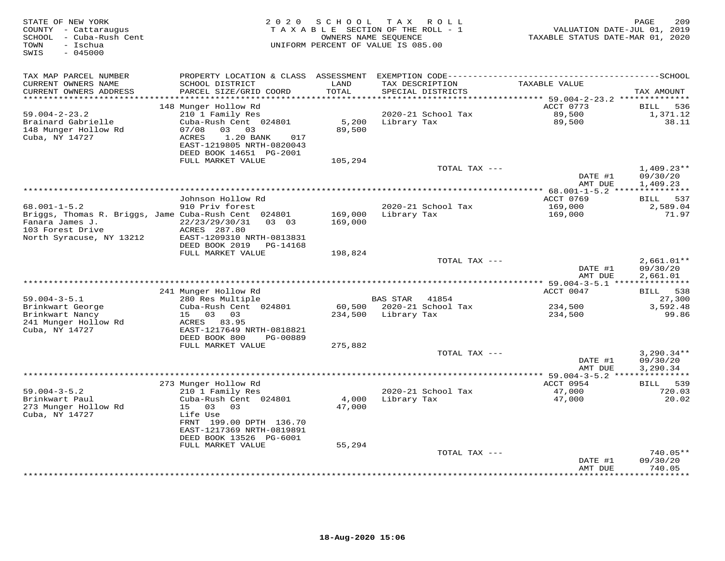| STATE OF NEW YORK<br>COUNTY - Cattaraugus<br>- Cuba-Rush Cent<br>SCHOOL<br>- Ischua<br>TOWN<br>$-045000$<br>SWIS | 2 0 2 0                                                                                                | SCHOOL        | T A X<br>ROLL<br>TAXABLE SECTION OF THE ROLL - 1<br>OWNERS NAME SEQUENCE<br>UNIFORM PERCENT OF VALUE IS 085.00 | VALUATION DATE-JUL 01, 2019<br>TAXABLE STATUS DATE-MAR 01, 2020 | 209<br>PAGE              |
|------------------------------------------------------------------------------------------------------------------|--------------------------------------------------------------------------------------------------------|---------------|----------------------------------------------------------------------------------------------------------------|-----------------------------------------------------------------|--------------------------|
| TAX MAP PARCEL NUMBER                                                                                            | PROPERTY LOCATION & CLASS ASSESSMENT                                                                   |               |                                                                                                                |                                                                 |                          |
| CURRENT OWNERS NAME<br>CURRENT OWNERS ADDRESS                                                                    | SCHOOL DISTRICT<br>PARCEL SIZE/GRID COORD                                                              | LAND<br>TOTAL | TAX DESCRIPTION<br>SPECIAL DISTRICTS                                                                           | TAXABLE VALUE                                                   | TAX AMOUNT               |
| *********************                                                                                            |                                                                                                        |               |                                                                                                                |                                                                 |                          |
| $59.004 - 2 - 23.2$                                                                                              | 148 Munger Hollow Rd<br>210 1 Family Res                                                               |               | 2020-21 School Tax                                                                                             | ACCT 0773<br>89,500                                             | BILL<br>536<br>1,371.12  |
| Brainard Gabrielle                                                                                               | Cuba-Rush Cent 024801                                                                                  | 5,200         | Library Tax                                                                                                    | 89,500                                                          | 38.11                    |
| 148 Munger Hollow Rd<br>Cuba, NY 14727                                                                           | 07/08<br>03<br>03<br>ACRES<br>1.20 BANK<br>017<br>EAST-1219805 NRTH-0820043<br>DEED BOOK 14651 PG-2001 | 89,500        |                                                                                                                |                                                                 |                          |
|                                                                                                                  | FULL MARKET VALUE                                                                                      | 105,294       |                                                                                                                |                                                                 |                          |
|                                                                                                                  |                                                                                                        |               | TOTAL TAX ---                                                                                                  | DATE #1                                                         | $1,409.23**$<br>09/30/20 |
|                                                                                                                  |                                                                                                        |               |                                                                                                                | AMT DUE                                                         | 1,409.23                 |
|                                                                                                                  | Johnson Hollow Rd                                                                                      |               |                                                                                                                | ACCT 0769                                                       | 537<br><b>BILL</b>       |
| $68.001 - 1 - 5.2$                                                                                               | 910 Priv forest                                                                                        |               | 2020-21 School Tax                                                                                             | 169,000                                                         | 2,589.04                 |
| Briggs, Thomas R. Briggs, Jame Cuba-Rush Cent 024801                                                             |                                                                                                        | 169,000       | Library Tax                                                                                                    | 169,000                                                         | 71.97                    |
| Fanara James J.<br>103 Forest Drive                                                                              | 22/23/29/30/31<br>$0.3 \quad 0.3$<br>ACRES 287.80                                                      | 169,000       |                                                                                                                |                                                                 |                          |
| North Syracuse, NY 13212                                                                                         | EAST-1209310 NRTH-0813831<br>DEED BOOK 2019<br>PG-14168                                                |               |                                                                                                                |                                                                 |                          |
|                                                                                                                  | FULL MARKET VALUE                                                                                      | 198,824       |                                                                                                                |                                                                 |                          |
|                                                                                                                  |                                                                                                        |               | TOTAL TAX ---                                                                                                  |                                                                 | $2,661.01**$             |
|                                                                                                                  |                                                                                                        |               |                                                                                                                | DATE #1                                                         | 09/30/20                 |
|                                                                                                                  |                                                                                                        |               |                                                                                                                | AMT DUE<br>*********** 59.004-3-5.1 ****************            | 2,661.01                 |
|                                                                                                                  | 241 Munger Hollow Rd                                                                                   |               |                                                                                                                | ACCT 0047                                                       | 538<br>BILL              |
| $59.004 - 3 - 5.1$                                                                                               | 280 Res Multiple                                                                                       |               | <b>BAS STAR</b><br>41854                                                                                       |                                                                 | 27,300                   |
| Brinkwart George                                                                                                 | Cuba-Rush Cent 024801                                                                                  | 60,500        | 2020-21 School Tax                                                                                             | 234,500                                                         | 3,592.48                 |
| Brinkwart Nancy                                                                                                  | 15<br>03<br>03                                                                                         | 234,500       | Library Tax                                                                                                    | 234,500                                                         | 99.86                    |
| 241 Munger Hollow Rd<br>Cuba, NY 14727                                                                           | ACRES<br>83.95<br>EAST-1217649 NRTH-0818821                                                            |               |                                                                                                                |                                                                 |                          |
|                                                                                                                  | DEED BOOK 800<br>PG-00889                                                                              |               |                                                                                                                |                                                                 |                          |
|                                                                                                                  | FULL MARKET VALUE                                                                                      | 275,882       |                                                                                                                |                                                                 |                          |
|                                                                                                                  |                                                                                                        |               | TOTAL TAX ---                                                                                                  |                                                                 | $3,290.34**$             |
|                                                                                                                  |                                                                                                        |               |                                                                                                                | DATE #1                                                         | 09/30/20                 |
|                                                                                                                  |                                                                                                        |               |                                                                                                                | AMT DUE<br>** 59.004-3-5.2 ****************                     | 3,290.34                 |
|                                                                                                                  | 273 Munger Hollow Rd                                                                                   |               |                                                                                                                | ACCT 0954                                                       | 539<br><b>BILL</b>       |
| $59.004 - 3 - 5.2$                                                                                               | 210 1 Family Res                                                                                       |               | 2020-21 School Tax                                                                                             | 47,000                                                          | 720.03                   |
| Brinkwart Paul                                                                                                   | Cuba-Rush Cent 024801                                                                                  | 4,000         | Library Tax                                                                                                    | 47,000                                                          | 20.02                    |
| 273 Munger Hollow Rd<br>Cuba, NY 14727                                                                           | 03<br>15<br>03<br>Life Use                                                                             | 47,000        |                                                                                                                |                                                                 |                          |
|                                                                                                                  | FRNT 199.00 DPTH 136.70                                                                                |               |                                                                                                                |                                                                 |                          |
|                                                                                                                  | EAST-1217369 NRTH-0819891                                                                              |               |                                                                                                                |                                                                 |                          |
|                                                                                                                  | DEED BOOK 13526 PG-6001                                                                                |               |                                                                                                                |                                                                 |                          |
|                                                                                                                  | FULL MARKET VALUE                                                                                      | 55,294        |                                                                                                                |                                                                 |                          |
|                                                                                                                  |                                                                                                        |               | TOTAL TAX ---                                                                                                  | DATE #1                                                         | $740.05**$<br>09/30/20   |
|                                                                                                                  |                                                                                                        |               |                                                                                                                | AMT DUE                                                         | 740.05                   |
|                                                                                                                  |                                                                                                        |               |                                                                                                                |                                                                 | * * * * * * * *          |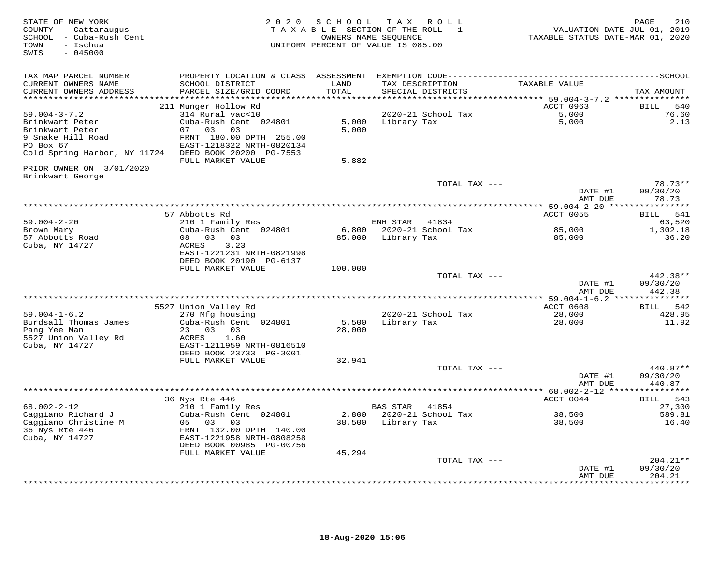| STATE OF NEW YORK<br>COUNTY - Cattaraugus<br>SCHOOL - Cuba-Rush Cent<br>- Ischua<br>TOWN<br>$-045000$<br>SWIS | 2 0 2 0                                      | SCHOOL  | TAX ROLL<br>TAXABLE SECTION OF THE ROLL - 1<br>OWNERS NAME SEQUENCE<br>UNIFORM PERCENT OF VALUE IS 085.00 | VALUATION DATE-JUL 01, 2019<br>TAXABLE STATUS DATE-MAR 01, 2020 | 210<br>PAGE                    |
|---------------------------------------------------------------------------------------------------------------|----------------------------------------------|---------|-----------------------------------------------------------------------------------------------------------|-----------------------------------------------------------------|--------------------------------|
| TAX MAP PARCEL NUMBER                                                                                         |                                              |         |                                                                                                           |                                                                 |                                |
| CURRENT OWNERS NAME                                                                                           | SCHOOL DISTRICT                              | LAND    | TAX DESCRIPTION                                                                                           | TAXABLE VALUE                                                   |                                |
| CURRENT OWNERS ADDRESS                                                                                        | PARCEL SIZE/GRID COORD                       | TOTAL   | SPECIAL DISTRICTS                                                                                         |                                                                 | TAX AMOUNT                     |
|                                                                                                               | 211 Munger Hollow Rd                         |         |                                                                                                           | ACCT 0963                                                       | <b>BILL</b><br>540             |
| $59.004 - 3 - 7.2$                                                                                            | 314 Rural vac<10                             |         | 2020-21 School Tax                                                                                        | 5,000                                                           | 76.60                          |
| Brinkwart Peter                                                                                               | Cuba-Rush Cent 024801                        |         | 5,000 Library Tax                                                                                         | 5,000                                                           | 2.13                           |
| Brinkwart Peter                                                                                               | 07 03<br>03                                  | 5,000   |                                                                                                           |                                                                 |                                |
| 9 Snake Hill Road                                                                                             | FRNT 180.00 DPTH 255.00                      |         |                                                                                                           |                                                                 |                                |
| PO Box 67                                                                                                     | EAST-1218322 NRTH-0820134                    |         |                                                                                                           |                                                                 |                                |
| Cold Spring Harbor, NY 11724 DEED BOOK 20200 PG-7553                                                          |                                              |         |                                                                                                           |                                                                 |                                |
| PRIOR OWNER ON 3/01/2020                                                                                      | FULL MARKET VALUE                            | 5,882   |                                                                                                           |                                                                 |                                |
| Brinkwart George                                                                                              |                                              |         |                                                                                                           |                                                                 |                                |
|                                                                                                               |                                              |         | TOTAL TAX ---                                                                                             | DATE #1<br>AMT DUE                                              | $78.73**$<br>09/30/20<br>78.73 |
|                                                                                                               |                                              |         |                                                                                                           |                                                                 |                                |
|                                                                                                               | 57 Abbotts Rd                                |         |                                                                                                           | ACCT 0055                                                       | BILL 541                       |
| $59.004 - 2 - 20$                                                                                             | 210 1 Family Res                             |         | ENH STAR 41834                                                                                            |                                                                 | 63,520                         |
| Brown Mary                                                                                                    | Cuba-Rush Cent 024801                        |         | 6,800 2020-21 School Tax                                                                                  | 85,000                                                          | 1,302.18                       |
| 57 Abbotts Road                                                                                               | 08 03 03                                     |         | 85,000 Library Tax                                                                                        | 85,000                                                          | 36.20                          |
| Cuba, NY 14727                                                                                                | 3.23<br>ACRES<br>EAST-1221231 NRTH-0821998   |         |                                                                                                           |                                                                 |                                |
|                                                                                                               | DEED BOOK 20190 PG-6137                      |         |                                                                                                           |                                                                 |                                |
|                                                                                                               | FULL MARKET VALUE                            | 100,000 |                                                                                                           |                                                                 |                                |
|                                                                                                               |                                              |         | TOTAL TAX ---                                                                                             |                                                                 | 442.38**                       |
|                                                                                                               |                                              |         |                                                                                                           | DATE #1                                                         | 09/30/20                       |
|                                                                                                               |                                              |         |                                                                                                           | AMT DUE                                                         | 442.38                         |
|                                                                                                               | 5527 Union Valley Rd                         |         |                                                                                                           | ACCT 0608                                                       | <b>BILL</b><br>542             |
| $59.004 - 1 - 6.2$                                                                                            | 270 Mfg housing                              |         | 2020-21 School Tax                                                                                        | 28,000                                                          | 428.95                         |
| Burdsall Thomas James                                                                                         | Cuba-Rush Cent 024801                        | 5,500   | Library Tax                                                                                               | 28,000                                                          | 11.92                          |
| Pang Yee Man                                                                                                  | 23 03 03                                     | 28,000  |                                                                                                           |                                                                 |                                |
| 5527 Union Valley Rd                                                                                          | ACRES<br>1.60                                |         |                                                                                                           |                                                                 |                                |
| Cuba, NY 14727                                                                                                | EAST-1211959 NRTH-0816510                    |         |                                                                                                           |                                                                 |                                |
|                                                                                                               | DEED BOOK 23733 PG-3001<br>FULL MARKET VALUE | 32,941  |                                                                                                           |                                                                 |                                |
|                                                                                                               |                                              |         | TOTAL TAX ---                                                                                             |                                                                 | 440.87**                       |
|                                                                                                               |                                              |         |                                                                                                           | DATE #1                                                         | 09/30/20                       |
|                                                                                                               |                                              |         |                                                                                                           | AMT DUE                                                         | 440.87                         |
|                                                                                                               |                                              |         |                                                                                                           |                                                                 |                                |
|                                                                                                               | 36 Nys Rte 446                               |         |                                                                                                           | ACCT 0044                                                       | 543<br>BILL                    |
| $68.002 - 2 - 12$                                                                                             | 210 1 Family Res                             |         | BAS STAR 41854                                                                                            |                                                                 | 27,300                         |
| Caggiano Richard J                                                                                            | Cuba-Rush Cent 024801                        |         | 2,800 2020-21 School Tax<br>38,500 Library Tax                                                            | 38,500                                                          | 589.81                         |
| Caggiano Christine M<br>36 Nys Rte 446                                                                        | 05 03<br>03<br>FRNT 132.00 DPTH 140.00       |         |                                                                                                           | 38,500                                                          | 16.40                          |
| Cuba, NY 14727                                                                                                | EAST-1221958 NRTH-0808258                    |         |                                                                                                           |                                                                 |                                |
|                                                                                                               | DEED BOOK 00985 PG-00756                     |         |                                                                                                           |                                                                 |                                |
|                                                                                                               | FULL MARKET VALUE                            | 45,294  |                                                                                                           |                                                                 |                                |
|                                                                                                               |                                              |         | TOTAL TAX ---                                                                                             |                                                                 | $204.21**$                     |
|                                                                                                               |                                              |         |                                                                                                           | DATE #1                                                         | 09/30/20                       |
|                                                                                                               |                                              |         |                                                                                                           | AMT DUE                                                         | 204.21<br>*********            |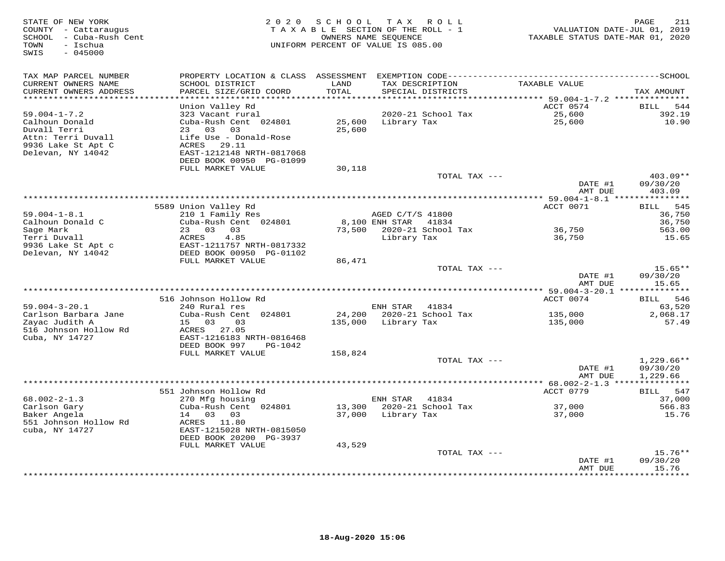| STATE OF NEW YORK<br>COUNTY - Cattaraugus<br>SCHOOL - Cuba-Rush Cent<br>- Ischua<br>TOWN<br>$-045000$<br>SWIS | 2 0 2 0                                                                                                                    | SCHOOL               | T A X<br>R O L L<br>TAXABLE SECTION OF THE ROLL - 1<br>OWNERS NAME SEQUENCE<br>UNIFORM PERCENT OF VALUE IS 085.00 | VALUATION DATE-JUL 01, 2019<br>TAXABLE STATUS DATE-MAR 01, 2020 | PAGE<br>211                          |
|---------------------------------------------------------------------------------------------------------------|----------------------------------------------------------------------------------------------------------------------------|----------------------|-------------------------------------------------------------------------------------------------------------------|-----------------------------------------------------------------|--------------------------------------|
| TAX MAP PARCEL NUMBER<br>CURRENT OWNERS NAME<br>CURRENT OWNERS ADDRESS                                        | PROPERTY LOCATION & CLASS ASSESSMENT<br>SCHOOL DISTRICT<br>PARCEL SIZE/GRID COORD                                          | LAND<br><b>TOTAL</b> | TAX DESCRIPTION<br>SPECIAL DISTRICTS                                                                              | TAXABLE VALUE                                                   | TAX AMOUNT                           |
| *************************                                                                                     |                                                                                                                            |                      |                                                                                                                   |                                                                 |                                      |
| $59.004 - 1 - 7.2$<br>Calhoun Donald<br>Duvall Terri<br>Attn: Terri Duvall<br>9936 Lake St Apt C              | Union Valley Rd<br>323 Vacant rural<br>Cuba-Rush Cent 024801<br>23<br>03<br>03<br>Life Use - Donald-Rose<br>ACRES<br>29.11 | 25,600<br>25,600     | 2020-21 School Tax<br>Library Tax                                                                                 | ACCT 0574<br>25,600<br>25,600                                   | BILL<br>544<br>392.19<br>10.90       |
| Delevan, NY 14042                                                                                             | EAST-1212148 NRTH-0817068<br>DEED BOOK 00950 PG-01099<br>FULL MARKET VALUE                                                 | 30,118               |                                                                                                                   |                                                                 |                                      |
|                                                                                                               |                                                                                                                            |                      | TOTAL TAX ---                                                                                                     | DATE #1<br>AMT DUE                                              | 403.09**<br>09/30/20<br>403.09       |
|                                                                                                               |                                                                                                                            |                      | ******************************                                                                                    | ** $59.004 - 1 - 8.1$ **                                        |                                      |
|                                                                                                               | 5589 Union Valley Rd                                                                                                       |                      |                                                                                                                   | ACCT 0071                                                       | 545<br>BILL                          |
| $59.004 - 1 - 8.1$                                                                                            | 210 1 Family Res                                                                                                           |                      | AGED C/T/S 41800                                                                                                  |                                                                 | 36,750                               |
| Calhoun Donald C<br>Sage Mark                                                                                 | Cuba-Rush Cent 024801<br>23<br>03<br>03                                                                                    | 73,500               | 8,100 ENH STAR<br>41834<br>2020-21 School Tax                                                                     | 36,750                                                          | 36,750<br>563.00                     |
| Terri Duvall                                                                                                  | 4.85<br>ACRES                                                                                                              |                      | Library Tax                                                                                                       | 36,750                                                          | 15.65                                |
| 9936 Lake St Apt c<br>Delevan, NY 14042                                                                       | EAST-1211757 NRTH-0817332<br>DEED BOOK 00950 PG-01102                                                                      |                      |                                                                                                                   |                                                                 |                                      |
|                                                                                                               | FULL MARKET VALUE                                                                                                          | 86,471               |                                                                                                                   |                                                                 |                                      |
|                                                                                                               |                                                                                                                            |                      | TOTAL TAX ---                                                                                                     | DATE #1<br>AMT DUE                                              | $15.65**$<br>09/30/20<br>15.65       |
|                                                                                                               |                                                                                                                            |                      |                                                                                                                   | * 59.004-3-20.1 ***************                                 |                                      |
|                                                                                                               | 516 Johnson Hollow Rd                                                                                                      |                      |                                                                                                                   | ACCT 0074                                                       | 546<br>BILL                          |
| $59.004 - 3 - 20.1$                                                                                           | 240 Rural res                                                                                                              |                      | ENH STAR<br>41834                                                                                                 |                                                                 | 63,520                               |
| Carlson Barbara Jane<br>Zayac Judith A<br>516 Johnson Hollow Rd<br>Cuba, NY 14727                             | Cuba-Rush Cent 024801<br>15 03<br>03<br>27.05<br>ACRES<br>EAST-1216183 NRTH-0816468<br>DEED BOOK 997<br>PG-1042            | 24,200<br>135,000    | 2020-21 School Tax<br>Library Tax                                                                                 | 135,000<br>135,000                                              | 2,068.17<br>57.49                    |
|                                                                                                               | FULL MARKET VALUE                                                                                                          | 158,824              |                                                                                                                   |                                                                 |                                      |
|                                                                                                               |                                                                                                                            |                      | TOTAL TAX ---                                                                                                     | DATE #1<br>AMT DUE                                              | $1,229.66**$<br>09/30/20<br>1,229.66 |
|                                                                                                               |                                                                                                                            |                      |                                                                                                                   |                                                                 |                                      |
|                                                                                                               | 551 Johnson Hollow Rd                                                                                                      |                      |                                                                                                                   | ACCT 0779                                                       | 547<br>BILL                          |
| $68.002 - 2 - 1.3$                                                                                            | 270 Mfg housing                                                                                                            |                      | 41834<br>ENH STAR                                                                                                 |                                                                 | 37,000                               |
| Carlson Gary<br>Baker Angela                                                                                  | Cuba-Rush Cent 024801<br>14<br>03<br>03                                                                                    | 13,300<br>37,000     | 2020-21 School Tax<br>Library Tax                                                                                 | 37,000<br>37,000                                                | 566.83<br>15.76                      |
| 551 Johnson Hollow Rd<br>cuba, NY 14727                                                                       | ACRES 11.80<br>EAST-1215028 NRTH-0815050<br>DEED BOOK 20200 PG-3937                                                        |                      |                                                                                                                   |                                                                 |                                      |
|                                                                                                               | FULL MARKET VALUE                                                                                                          | 43,529               |                                                                                                                   |                                                                 | $15.76**$                            |
|                                                                                                               |                                                                                                                            |                      | TOTAL TAX ---                                                                                                     | DATE #1<br>AMT DUE                                              | 09/30/20<br>15.76                    |
|                                                                                                               |                                                                                                                            |                      |                                                                                                                   |                                                                 |                                      |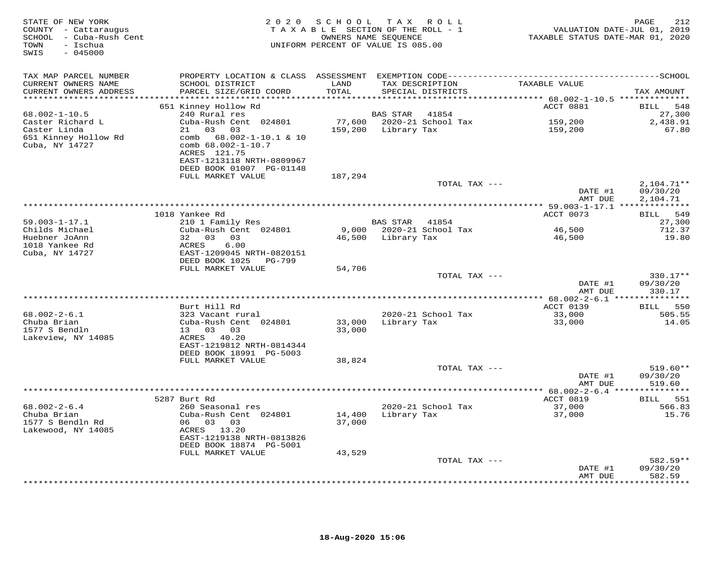| STATE OF NEW YORK<br>COUNTY - Cattaraugus<br>SCHOOL - Cuba-Rush Cent<br>- Ischua<br>TOWN<br>$-045000$<br>SWIS | 2 0 2 0                                                                                                                                                                                     | SCHOOL                                | T A X<br>R O L L<br>TAXABLE SECTION OF THE ROLL - 1<br>OWNERS NAME SEQUENCE<br>UNIFORM PERCENT OF VALUE IS 085.00 | TAXABLE STATUS DATE-MAR 01, 2020                                        | 212<br>PAGE<br>VALUATION DATE-JUL 01, 2019 |
|---------------------------------------------------------------------------------------------------------------|---------------------------------------------------------------------------------------------------------------------------------------------------------------------------------------------|---------------------------------------|-------------------------------------------------------------------------------------------------------------------|-------------------------------------------------------------------------|--------------------------------------------|
| TAX MAP PARCEL NUMBER<br>CURRENT OWNERS NAME<br>CURRENT OWNERS ADDRESS                                        | SCHOOL DISTRICT<br>PARCEL SIZE/GRID COORD                                                                                                                                                   | LAND<br>TOTAL                         | TAX DESCRIPTION<br>SPECIAL DISTRICTS                                                                              | TAXABLE VALUE                                                           | TAX AMOUNT                                 |
| **********************                                                                                        | ***********************<br>651 Kinney Hollow Rd                                                                                                                                             | * * * * * * * * * * * * * * * * * * * |                                                                                                                   | ***************************** 68.002-1-10.5 **************<br>ACCT 0881 | BILL<br>548                                |
| $68.002 - 1 - 10.5$<br>Caster Richard L<br>Caster Linda<br>651 Kinney Hollow Rd<br>Cuba, NY 14727             | 240 Rural res<br>Cuba-Rush Cent 024801<br>21<br>03<br>03<br>$68.002 - 1 - 10.1$ & 10<br>comb<br>comb 68.002-1-10.7<br>ACRES 121.75<br>EAST-1213118 NRTH-0809967<br>DEED BOOK 01007 PG-01148 | 77,600<br>159,200                     | BAS STAR<br>41854<br>2020-21 School Tax<br>Library Tax                                                            | 159,200<br>159,200                                                      | 27,300<br>2,438.91<br>67.80                |
|                                                                                                               | FULL MARKET VALUE                                                                                                                                                                           | 187,294                               | TOTAL TAX ---                                                                                                     | DATE #1                                                                 | $2,104.71**$<br>09/30/20                   |
|                                                                                                               |                                                                                                                                                                                             |                                       |                                                                                                                   | AMT DUE<br>******** 59.003-1-17.1 **************                        | 2,104.71                                   |
|                                                                                                               | 1018 Yankee Rd                                                                                                                                                                              |                                       |                                                                                                                   | ACCT 0073                                                               | 549<br><b>BILL</b>                         |
| $59.003 - 1 - 17.1$                                                                                           | 210 1 Family Res                                                                                                                                                                            |                                       | BAS STAR 41854                                                                                                    |                                                                         | 27,300                                     |
| Childs Michael<br>Huebner JoAnn<br>1018 Yankee Rd<br>Cuba, NY 14727                                           | Cuba-Rush Cent 024801<br>03 03<br>32<br>6.00<br>ACRES<br>EAST-1209045 NRTH-0820151                                                                                                          | 9,000<br>46,500                       | 2020-21 School Tax<br>Library Tax                                                                                 | 46,500<br>46,500                                                        | 712.37<br>19.80                            |
|                                                                                                               | DEED BOOK 1025<br>PG-799<br>FULL MARKET VALUE                                                                                                                                               | 54,706                                |                                                                                                                   |                                                                         |                                            |
|                                                                                                               |                                                                                                                                                                                             |                                       | TOTAL TAX ---                                                                                                     | DATE #1                                                                 | 330.17**<br>09/30/20                       |
|                                                                                                               |                                                                                                                                                                                             |                                       |                                                                                                                   | AMT DUE<br>$********$ 68.002-2-6.1 *                                    | 330.17<br>* * * * * * * * * * *            |
|                                                                                                               | Burt Hill Rd                                                                                                                                                                                |                                       |                                                                                                                   | ACCT 0139                                                               | <b>BILL</b><br>550                         |
| $68.002 - 2 - 6.1$<br>Chuba Brian<br>1577 S Bendln<br>Lakeview, NY 14085                                      | 323 Vacant rural<br>Cuba-Rush Cent 024801<br>13<br>03<br>03<br>ACRES 40.20<br>EAST-1219812 NRTH-0814344<br>DEED BOOK 18991 PG-5003                                                          | 33,000<br>33,000                      | 2020-21 School Tax<br>Library Tax                                                                                 | 33,000<br>33,000                                                        | 505.55<br>14.05                            |
|                                                                                                               | FULL MARKET VALUE                                                                                                                                                                           | 38,824                                |                                                                                                                   |                                                                         |                                            |
|                                                                                                               |                                                                                                                                                                                             |                                       | TOTAL TAX ---                                                                                                     | DATE #1<br>AMT DUE                                                      | 519.60**<br>09/30/20<br>519.60             |
|                                                                                                               |                                                                                                                                                                                             |                                       |                                                                                                                   | ** $68.002 - 2 - 6.4$ ***************                                   |                                            |
| $68.002 - 2 - 6.4$<br>Chuba Brian<br>1577 S Bendln Rd<br>Lakewood, NY 14085                                   | 5287 Burt Rd<br>260 Seasonal res<br>Cuba-Rush Cent 024801<br>06 03<br>03<br>ACRES 13.20<br>EAST-1219138 NRTH-0813826<br>DEED BOOK 18874 PG-5001                                             | 14,400<br>37,000                      | 2020-21 School Tax<br>Library Tax                                                                                 | ACCT 0819<br>37,000<br>37,000                                           | 551<br>BILL<br>566.83<br>15.76             |
|                                                                                                               | FULL MARKET VALUE                                                                                                                                                                           | 43,529                                | TOTAL TAX ---                                                                                                     |                                                                         | 582.59**                                   |
|                                                                                                               |                                                                                                                                                                                             |                                       |                                                                                                                   | DATE #1<br>AMT DUE                                                      | 09/30/20<br>582.59                         |
|                                                                                                               |                                                                                                                                                                                             |                                       |                                                                                                                   |                                                                         | .                                          |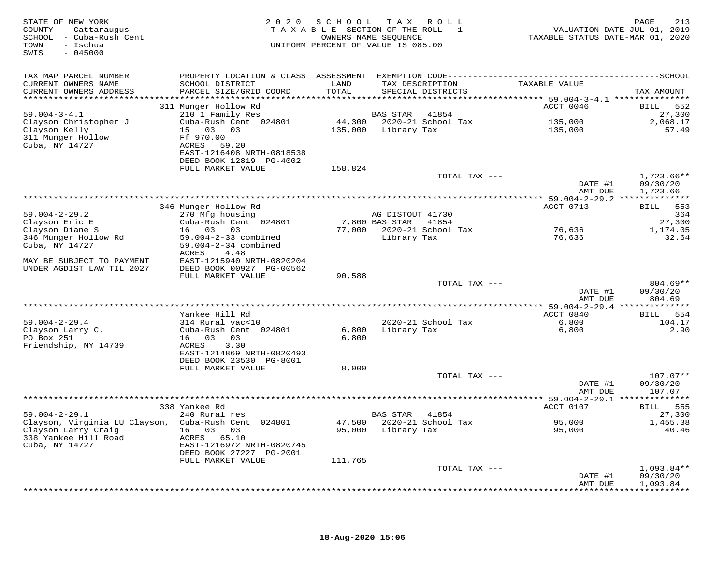| STATE OF NEW YORK<br>COUNTY - Cattaraugus<br>SCHOOL - Cuba-Rush Cent<br>- Ischua<br>TOWN<br>$-045000$<br>SWIS |                                                      | 2020 SCHOOL | TAX ROLL<br>TAXABLE SECTION OF THE ROLL - 1<br>OWNERS NAME SEQUENCE<br>UNIFORM PERCENT OF VALUE IS 085.00 |               | TAXABLE STATUS DATE-MAR 01, 2020 | 213<br>PAGE<br>VALUATION DATE-JUL 01, 2019 |
|---------------------------------------------------------------------------------------------------------------|------------------------------------------------------|-------------|-----------------------------------------------------------------------------------------------------------|---------------|----------------------------------|--------------------------------------------|
| TAX MAP PARCEL NUMBER                                                                                         |                                                      |             |                                                                                                           |               |                                  |                                            |
| CURRENT OWNERS NAME                                                                                           | SCHOOL DISTRICT                                      | LAND        | TAX DESCRIPTION                                                                                           |               | TAXABLE VALUE                    |                                            |
| CURRENT OWNERS ADDRESS                                                                                        | PARCEL SIZE/GRID COORD                               | TOTAL       | SPECIAL DISTRICTS                                                                                         |               |                                  | TAX AMOUNT                                 |
|                                                                                                               | 311 Munger Hollow Rd                                 |             |                                                                                                           |               | ACCT 0046                        | 552<br>BILL                                |
| $59.004 - 3 - 4.1$                                                                                            | 210 1 Family Res                                     |             | <b>BAS STAR</b>                                                                                           | 41854         |                                  | 27,300                                     |
| Clayson Christopher J                                                                                         | Cuba-Rush Cent 024801                                |             | 44,300 2020-21 School Tax                                                                                 |               | 135,000                          | 2,068.17                                   |
| Clayson Kelly                                                                                                 | 15 03 03                                             |             | 135,000 Library Tax                                                                                       |               | 135,000                          | 57.49                                      |
| 311 Munger Hollow                                                                                             | Ff 970.00                                            |             |                                                                                                           |               |                                  |                                            |
| Cuba, NY 14727                                                                                                | ACRES 59.20                                          |             |                                                                                                           |               |                                  |                                            |
|                                                                                                               | EAST-1216408 NRTH-0818538<br>DEED BOOK 12819 PG-4002 |             |                                                                                                           |               |                                  |                                            |
|                                                                                                               | FULL MARKET VALUE                                    | 158,824     |                                                                                                           |               |                                  |                                            |
|                                                                                                               |                                                      |             |                                                                                                           | TOTAL TAX --- |                                  | $1,723.66**$                               |
|                                                                                                               |                                                      |             |                                                                                                           |               | DATE #1                          | 09/30/20                                   |
|                                                                                                               |                                                      |             |                                                                                                           |               | AMT DUE                          | 1,723.66                                   |
|                                                                                                               |                                                      |             |                                                                                                           |               |                                  |                                            |
| $59.004 - 2 - 29.2$                                                                                           | 346 Munger Hollow Rd<br>270 Mfg housing              |             | AG DISTOUT 41730                                                                                          |               | ACCT 0713                        | BILL 553<br>364                            |
| Clayson Eric E                                                                                                | Cuba-Rush Cent 024801                                |             | 7,800 BAS STAR                                                                                            | 41854         |                                  | 27,300                                     |
| Clayson Diane S                                                                                               | 16 03 03                                             |             | 77,000 2020-21 School Tax                                                                                 |               | 76,636                           | 1,174.05                                   |
| 346 Munger Hollow Rd                                                                                          | 59.004-2-33 combined                                 |             | Library Tax                                                                                               |               | 76,636                           | 32.64                                      |
| Cuba, NY 14727                                                                                                | 59.004-2-34 combined                                 |             |                                                                                                           |               |                                  |                                            |
|                                                                                                               | ACRES<br>4.48<br>EAST-1215940 NRTH-0820204           |             |                                                                                                           |               |                                  |                                            |
| MAY BE SUBJECT TO PAYMENT<br>UNDER AGDIST LAW TIL 2027                                                        | DEED BOOK 00927 PG-00562                             |             |                                                                                                           |               |                                  |                                            |
|                                                                                                               | FULL MARKET VALUE                                    | 90,588      |                                                                                                           |               |                                  |                                            |
|                                                                                                               |                                                      |             |                                                                                                           | TOTAL TAX --- |                                  | 804.69**                                   |
|                                                                                                               |                                                      |             |                                                                                                           |               | DATE #1                          | 09/30/20                                   |
|                                                                                                               |                                                      |             |                                                                                                           |               | AMT DUE                          | 804.69                                     |
|                                                                                                               | Yankee Hill Rd                                       |             |                                                                                                           |               | ACCT 0840                        |                                            |
| $59.004 - 2 - 29.4$                                                                                           | 314 Rural vac<10                                     |             | 2020-21 School Tax                                                                                        |               | 6,800                            | 554<br>BILL<br>104.17                      |
| Clayson Larry C.                                                                                              | Cuba-Rush Cent 024801                                | 6,800       | Library Tax                                                                                               |               | 6,800                            | 2.90                                       |
| PO Box 251                                                                                                    | 16 03<br>03                                          | 6,800       |                                                                                                           |               |                                  |                                            |
| Friendship, NY 14739                                                                                          | 3.30<br>ACRES                                        |             |                                                                                                           |               |                                  |                                            |
|                                                                                                               | EAST-1214869 NRTH-0820493                            |             |                                                                                                           |               |                                  |                                            |
|                                                                                                               | DEED BOOK 23530 PG-8001                              |             |                                                                                                           |               |                                  |                                            |
|                                                                                                               | FULL MARKET VALUE                                    | 8,000       |                                                                                                           | TOTAL TAX --- |                                  | $107.07**$                                 |
|                                                                                                               |                                                      |             |                                                                                                           |               | DATE #1                          | 09/30/20                                   |
|                                                                                                               |                                                      |             |                                                                                                           |               | AMT DUE                          | 107.07                                     |
|                                                                                                               |                                                      |             |                                                                                                           |               |                                  |                                            |
|                                                                                                               | 338 Yankee Rd                                        |             |                                                                                                           |               | ACCT 0107                        | 555<br>BILL                                |
| $59.004 - 2 - 29.1$<br>Clayson, Virginia LU Clayson, Cuba-Rush Cent 024801                                    | 240 Rural res                                        | 47,500      | <b>BAS STAR</b><br>2020-21 School Tax                                                                     | 41854         | 95,000                           | 27,300<br>1,455.38                         |
| Clayson Larry Craig                                                                                           | 16 03<br>03                                          | 95,000      | Library Tax                                                                                               |               | 95,000                           | 40.46                                      |
| 338 Yankee Hill Road                                                                                          | ACRES 65.10                                          |             |                                                                                                           |               |                                  |                                            |
| Cuba, NY 14727                                                                                                | EAST-1216972 NRTH-0820745                            |             |                                                                                                           |               |                                  |                                            |
|                                                                                                               | DEED BOOK 27227 PG-2001                              |             |                                                                                                           |               |                                  |                                            |
|                                                                                                               | FULL MARKET VALUE                                    | 111,765     |                                                                                                           |               |                                  |                                            |
|                                                                                                               |                                                      |             |                                                                                                           | TOTAL TAX --- |                                  | $1,093.84**$                               |
|                                                                                                               |                                                      |             |                                                                                                           |               | DATE #1<br>AMT DUE               | 09/30/20<br>1,093.84                       |
|                                                                                                               |                                                      |             |                                                                                                           |               |                                  |                                            |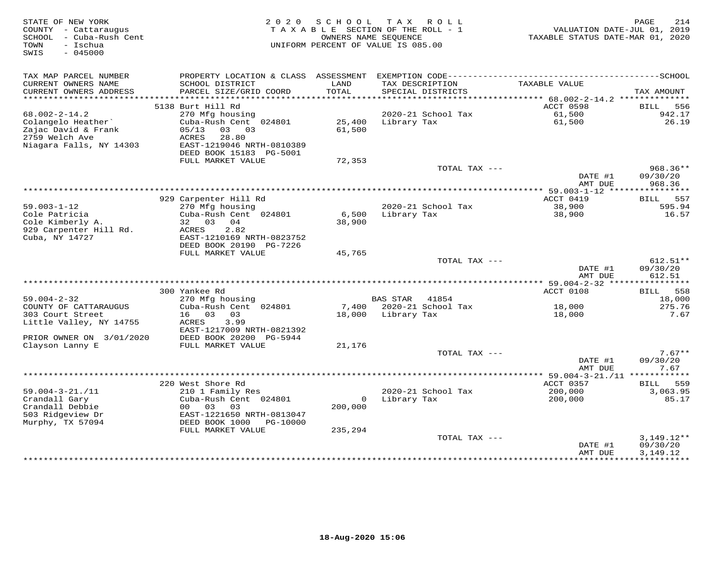| STATE OF NEW YORK<br>COUNTY - Cattaraugus<br>SCHOOL - Cuba-Rush Cent<br>TOWN<br>– Ischua<br>$-045000$<br>SWIS |                                                                                                                                                           |                    | 2020 SCHOOL TAX ROLL<br>TAXABLE SECTION OF THE ROLL - 1<br>OWNERS NAME SEQUENCE<br>UNIFORM PERCENT OF VALUE IS 085.00 | VALUATION DATE-JUL 01, 2019<br>TAXABLE STATUS DATE-MAR 01, 2020 | PAGE<br>214                            |
|---------------------------------------------------------------------------------------------------------------|-----------------------------------------------------------------------------------------------------------------------------------------------------------|--------------------|-----------------------------------------------------------------------------------------------------------------------|-----------------------------------------------------------------|----------------------------------------|
| TAX MAP PARCEL NUMBER<br>CURRENT OWNERS NAME<br>CURRENT OWNERS ADDRESS                                        | SCHOOL DISTRICT<br>PARCEL SIZE/GRID COORD                                                                                                                 | LAND<br>TOTAL      | TAX DESCRIPTION<br>SPECIAL DISTRICTS                                                                                  | TAXABLE VALUE                                                   | TAX AMOUNT                             |
|                                                                                                               |                                                                                                                                                           |                    |                                                                                                                       |                                                                 |                                        |
| $68.002 - 2 - 14.2$<br>Colangelo Heather<br>Zajac David & Frank<br>2759 Welch Ave<br>Niagara Falls, NY 14303  | 5138 Burt Hill Rd<br>270 Mfg housing<br>Cuba-Rush Cent 024801<br>05/13<br>03 03<br>ACRES<br>28.80<br>EAST-1219046 NRTH-0810389<br>DEED BOOK 15183 PG-5001 | 61,500             | 2020-21 School Tax<br>25,400 Library Tax                                                                              | ACCT 0598<br>61,500<br>61,500                                   | 556<br><b>BILL</b><br>942.17<br>26.19  |
|                                                                                                               | FULL MARKET VALUE                                                                                                                                         | 72,353             |                                                                                                                       |                                                                 |                                        |
|                                                                                                               |                                                                                                                                                           |                    | TOTAL TAX ---                                                                                                         | DATE #1<br>AMT DUE                                              | $968.36**$<br>09/30/20<br>968.36       |
|                                                                                                               |                                                                                                                                                           |                    |                                                                                                                       |                                                                 |                                        |
| $59.003 - 1 - 12$<br>Cole Patricia<br>Cole Kimberly A.<br>929 Carpenter Hill Rd.<br>Cuba, NY 14727            | 929 Carpenter Hill Rd<br>270 Mfg housing<br>Cuba-Rush Cent 024801<br>32 03 04<br>ACRES<br>2.82<br>EAST-1210169 NRTH-0823752                               | 38,900             | 2020-21 School Tax<br>6,500 Library Tax                                                                               | ACCT 0419<br>38,900<br>38,900                                   | BILL 557<br>595.94<br>16.57            |
|                                                                                                               | DEED BOOK 20190 PG-7226                                                                                                                                   |                    |                                                                                                                       |                                                                 |                                        |
|                                                                                                               | FULL MARKET VALUE                                                                                                                                         | 45,765             | TOTAL TAX ---                                                                                                         | DATE #1<br>AMT DUE                                              | $612.51**$<br>09/30/20<br>612.51       |
|                                                                                                               |                                                                                                                                                           |                    |                                                                                                                       |                                                                 |                                        |
| $59.004 - 2 - 32$<br>COUNTY OF CATTARAUGUS                                                                    | 300 Yankee Rd<br>270 Mfg housing<br>Cuba-Rush Cent 024801                                                                                                 |                    | BAS STAR 41854<br>7,400 2020-21 School Tax                                                                            | ACCT 0108<br>18,000                                             | BILL 558<br>18,000<br>275.76           |
| 303 Court Street<br>Little Valley, NY 14755<br>PRIOR OWNER ON 3/01/2020                                       | 16 03 03<br>3.99<br>ACRES<br>EAST-1217009 NRTH-0821392<br>DEED BOOK 20200 PG-5944                                                                         |                    | 18,000 Library Tax                                                                                                    | 18,000                                                          | 7.67                                   |
| Clayson Lanny E                                                                                               | FULL MARKET VALUE                                                                                                                                         | 21,176             |                                                                                                                       |                                                                 |                                        |
|                                                                                                               |                                                                                                                                                           |                    | TOTAL TAX ---                                                                                                         | DATE #1<br>AMT DUE                                              | $7.67**$<br>09/30/20<br>7.67           |
|                                                                                                               |                                                                                                                                                           |                    |                                                                                                                       |                                                                 |                                        |
| $59.004 - 3 - 21. / 11$<br>Crandall Gary<br>Crandall Debbie<br>503 Ridgeview Dr<br>Murphy, TX 57094           | 220 West Shore Rd<br>210 1 Family Res<br>Cuba-Rush Cent 024801<br>00 03 03<br>EAST-1221650 NRTH-0813047<br>DEED BOOK 1000 PG-10000<br>FULL MARKET VALUE   | 200,000<br>235,294 | 2020-21 School Tax<br>0 Library Tax                                                                                   | ACCT 0357<br>/ כבט<br>200,000<br>200 הר                         | BILL 559<br>3,063.95<br>85.17          |
|                                                                                                               |                                                                                                                                                           |                    | TOTAL TAX ---                                                                                                         | DATE #1<br>AMT DUE                                              | $3,149.12**$<br>09/30/20<br>3, 149. 12 |
|                                                                                                               |                                                                                                                                                           |                    |                                                                                                                       |                                                                 |                                        |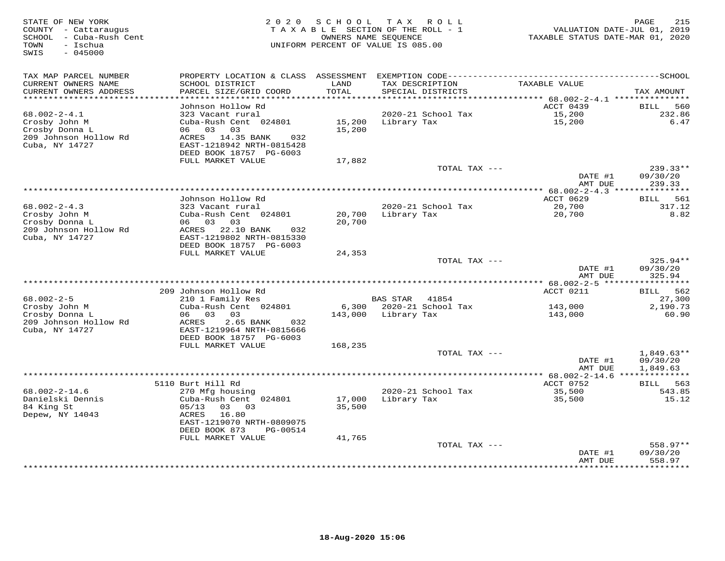| STATE OF NEW YORK<br>COUNTY - Cattaraugus<br>SCHOOL - Cuba-Rush Cent<br>- Ischua<br>TOWN<br>SWIS<br>$-045000$ | 2 0 2 0                                                                                                             | SCHOOL           | T A X<br>ROLL<br>TAXABLE SECTION OF THE ROLL - 1<br>OWNERS NAME SEQUENCE<br>UNIFORM PERCENT OF VALUE IS 085.00 | VALUATION DATE-JUL 01, 2019<br>TAXABLE STATUS DATE-MAR 01, 2020 | 215<br>PAGE                          |
|---------------------------------------------------------------------------------------------------------------|---------------------------------------------------------------------------------------------------------------------|------------------|----------------------------------------------------------------------------------------------------------------|-----------------------------------------------------------------|--------------------------------------|
| TAX MAP PARCEL NUMBER                                                                                         |                                                                                                                     |                  |                                                                                                                |                                                                 |                                      |
| CURRENT OWNERS NAME<br>CURRENT OWNERS ADDRESS<br>***********************                                      | SCHOOL DISTRICT<br>PARCEL SIZE/GRID COORD                                                                           | LAND<br>TOTAL    | TAX DESCRIPTION<br>SPECIAL DISTRICTS                                                                           | TAXABLE VALUE                                                   | TAX AMOUNT                           |
|                                                                                                               | Johnson Hollow Rd                                                                                                   |                  |                                                                                                                | ACCT 0439                                                       | <b>BILL</b><br>560                   |
| $68.002 - 2 - 4.1$<br>Crosby John M<br>Crosby Donna L<br>209 Johnson Hollow Rd                                | 323 Vacant rural<br>Cuba-Rush Cent 024801<br>03<br>06<br>03<br>ACRES 14.35 BANK<br>032                              | 15,200<br>15,200 | 2020-21 School Tax<br>Library Tax                                                                              | 15,200<br>15,200                                                | 232.86<br>6.47                       |
| Cuba, NY 14727                                                                                                | EAST-1218942 NRTH-0815428<br>DEED BOOK 18757 PG-6003                                                                |                  |                                                                                                                |                                                                 |                                      |
|                                                                                                               | FULL MARKET VALUE                                                                                                   | 17,882           |                                                                                                                |                                                                 | $239.33**$                           |
|                                                                                                               |                                                                                                                     |                  | TOTAL TAX ---                                                                                                  | DATE #1                                                         | 09/30/20                             |
|                                                                                                               |                                                                                                                     |                  |                                                                                                                | AMT DUE<br>********* 68.002-2-4.3 ***                           | 239.33<br>***********                |
|                                                                                                               | Johnson Hollow Rd                                                                                                   |                  |                                                                                                                | ACCT 0629                                                       | 561<br>BILL                          |
| $68.002 - 2 - 4.3$<br>Crosby John M<br>Crosby Donna L                                                         | 323 Vacant rural<br>Cuba-Rush Cent 024801<br>06 03 03                                                               | 20,700<br>20,700 | 2020-21 School Tax<br>Library Tax                                                                              | 20,700<br>20,700                                                | 317.12<br>8.82                       |
| 209 Johnson Hollow Rd<br>Cuba, NY 14727                                                                       | ACRES 22.10 BANK<br>032<br>EAST-1219802 NRTH-0815330<br>DEED BOOK 18757 PG-6003                                     |                  |                                                                                                                |                                                                 |                                      |
|                                                                                                               | FULL MARKET VALUE                                                                                                   | 24,353           | TOTAL TAX ---                                                                                                  |                                                                 | 325.94**                             |
|                                                                                                               |                                                                                                                     |                  |                                                                                                                | DATE #1<br>AMT DUE                                              | 09/30/20<br>325.94                   |
|                                                                                                               | 209 Johnson Hollow Rd                                                                                               |                  |                                                                                                                | ACCT 0211                                                       | BILL 562                             |
| $68.002 - 2 - 5$                                                                                              | 210 1 Family Res                                                                                                    |                  | BAS STAR 41854                                                                                                 |                                                                 | 27,300                               |
| Crosby John M                                                                                                 | Cuba-Rush Cent 024801                                                                                               | 6,300            | 2020-21 School Tax                                                                                             | 143,000                                                         | 2,190.73                             |
| Crosby Donna L<br>209 Johnson Hollow Rd<br>Cuba, NY 14727                                                     | 06 03 03<br>ACRES<br>2.65 BANK<br>032<br>EAST-1219964 NRTH-0815666<br>DEED BOOK 18757 PG-6003                       | 143,000          | Library Tax                                                                                                    | 143,000                                                         | 60.90                                |
|                                                                                                               | FULL MARKET VALUE                                                                                                   | 168,235          |                                                                                                                |                                                                 |                                      |
|                                                                                                               |                                                                                                                     |                  | TOTAL TAX ---                                                                                                  | DATE #1<br>AMT DUE                                              | $1,849.63**$<br>09/30/20<br>1,849.63 |
|                                                                                                               |                                                                                                                     |                  |                                                                                                                | *************** 68.002-2-14.6 ***************                   |                                      |
|                                                                                                               | 5110 Burt Hill Rd                                                                                                   |                  |                                                                                                                | ACCT 0752                                                       | 563<br><b>BILL</b>                   |
| $68.002 - 2 - 14.6$                                                                                           | 270 Mfg housing                                                                                                     |                  | 2020-21 School Tax                                                                                             | 35,500                                                          | 543.85                               |
| Danielski Dennis<br>84 King St<br>Depew, NY 14043                                                             | Cuba-Rush Cent 024801<br>05/13<br>03 03<br>16.80<br>ACRES<br>EAST-1219070 NRTH-0809075<br>DEED BOOK 873<br>PG-00514 | 17,000<br>35,500 | Library Tax                                                                                                    | 35,500                                                          | 15.12                                |
|                                                                                                               | FULL MARKET VALUE                                                                                                   | 41,765           |                                                                                                                |                                                                 |                                      |
|                                                                                                               |                                                                                                                     |                  | TOTAL TAX ---                                                                                                  | DATE #1<br>AMT DUE                                              | 558.97**<br>09/30/20<br>558.97       |
|                                                                                                               |                                                                                                                     |                  |                                                                                                                | ************                                                    | *********                            |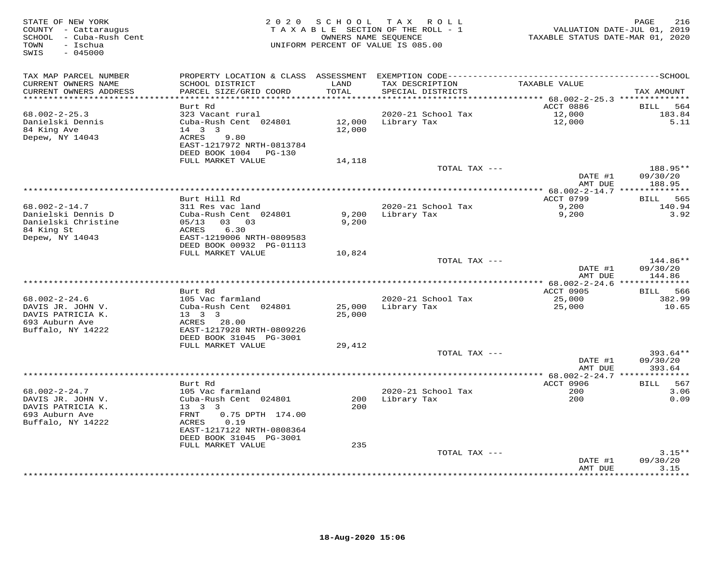| STATE OF NEW YORK<br>COUNTY - Cattaraugus<br>SCHOOL - Cuba-Rush Cent<br>- Ischua<br>TOWN<br>$-045000$<br>SWIS | 2 0 2 0                                                                                                          |                  | SCHOOL TAX ROLL<br>TAXABLE SECTION OF THE ROLL - 1<br>OWNERS NAME SEQUENCE<br>UNIFORM PERCENT OF VALUE IS 085.00 | TAXABLE STATUS DATE-MAR 01, 2020                          | 216<br>PAGE<br>VALUATION DATE-JUL 01, 2019 |
|---------------------------------------------------------------------------------------------------------------|------------------------------------------------------------------------------------------------------------------|------------------|------------------------------------------------------------------------------------------------------------------|-----------------------------------------------------------|--------------------------------------------|
| TAX MAP PARCEL NUMBER<br>CURRENT OWNERS NAME<br>CURRENT OWNERS ADDRESS                                        | SCHOOL DISTRICT<br>PARCEL SIZE/GRID COORD                                                                        | LAND<br>TOTAL    | TAX DESCRIPTION<br>SPECIAL DISTRICTS                                                                             | TAXABLE VALUE                                             | TAX AMOUNT                                 |
|                                                                                                               |                                                                                                                  | * * * * * * * *  |                                                                                                                  | **************************** 68.002-2-25.3 ************** |                                            |
| $68.002 - 2 - 25.3$<br>Danielski Dennis<br>84 King Ave<br>Depew, NY 14043                                     | Burt Rd<br>323 Vacant rural<br>Cuba-Rush Cent 024801<br>14   3   3<br>9.80<br>ACRES<br>EAST-1217972 NRTH-0813784 | 12,000<br>12,000 | 2020-21 School Tax<br>Library Tax                                                                                | ACCT 0886<br>12,000<br>12,000                             | BILL<br>564<br>183.84<br>5.11              |
|                                                                                                               | DEED BOOK 1004 PG-130<br>FULL MARKET VALUE                                                                       | 14,118           |                                                                                                                  |                                                           |                                            |
|                                                                                                               |                                                                                                                  |                  | TOTAL TAX ---                                                                                                    | DATE #1                                                   | 188.95**<br>09/30/20                       |
|                                                                                                               |                                                                                                                  |                  |                                                                                                                  | AMT DUE                                                   | 188.95                                     |
|                                                                                                               | Burt Hill Rd                                                                                                     |                  |                                                                                                                  | ********* 68.002-2-14.7 ***************<br>ACCT 0799      | 565<br><b>BILL</b>                         |
| $68.002 - 2 - 14.7$<br>Danielski Dennis D                                                                     | 311 Res vac land<br>Cuba-Rush Cent 024801                                                                        | 9,200            | 2020-21 School Tax<br>Library Tax                                                                                | 9,200<br>9,200                                            | 140.94<br>3.92                             |
| Danielski Christine<br>84 King St<br>Depew, NY 14043                                                          | 05/13<br>03 03<br>ACRES<br>6.30<br>EAST-1219006 NRTH-0809583<br>DEED BOOK 00932 PG-01113                         | 9,200            |                                                                                                                  |                                                           |                                            |
|                                                                                                               | FULL MARKET VALUE                                                                                                | 10,824           |                                                                                                                  |                                                           |                                            |
|                                                                                                               |                                                                                                                  |                  | TOTAL TAX ---                                                                                                    | DATE #1<br>AMT DUE                                        | 144.86**<br>09/30/20<br>144.86             |
|                                                                                                               |                                                                                                                  |                  |                                                                                                                  |                                                           |                                            |
|                                                                                                               | Burt Rd                                                                                                          |                  |                                                                                                                  | ACCT 0905                                                 | 566<br><b>BILL</b>                         |
| $68.002 - 2 - 24.6$<br>DAVIS JR. JOHN V.<br>DAVIS PATRICIA K.<br>693 Auburn Ave                               | 105 Vac farmland<br>Cuba-Rush Cent 024801<br>$13 \quad 3 \quad 3$<br>ACRES<br>28.00<br>EAST-1217928 NRTH-0809226 | 25,000<br>25,000 | 2020-21 School Tax<br>Library Tax                                                                                | 25,000<br>25,000                                          | 382.99<br>10.65                            |
| Buffalo, NY 14222                                                                                             | DEED BOOK 31045 PG-3001<br>FULL MARKET VALUE                                                                     | 29,412           |                                                                                                                  |                                                           |                                            |
|                                                                                                               |                                                                                                                  |                  | TOTAL TAX ---                                                                                                    | DATE #1                                                   | 393.64**<br>09/30/20                       |
|                                                                                                               |                                                                                                                  |                  | ***********************                                                                                          | AMT DUE                                                   | 393.64                                     |
|                                                                                                               | Burt Rd                                                                                                          |                  |                                                                                                                  | *** 68.002-2-24.7 **************<br>ACCT 0906             | BILL 567                                   |
| $68.002 - 2 - 24.7$                                                                                           | 105 Vac farmland                                                                                                 |                  | 2020-21 School Tax                                                                                               | 200                                                       | 3.06                                       |
| DAVIS JR. JOHN V.<br>DAVIS PATRICIA K.                                                                        | Cuba-Rush Cent 024801<br>$13 \quad 3 \quad 3$                                                                    | 200<br>200       | Library Tax                                                                                                      | 200                                                       | 0.09                                       |
| 693 Auburn Ave<br>Buffalo, NY 14222                                                                           | FRNT<br>0.75 DPTH 174.00<br>ACRES<br>0.19<br>EAST-1217122 NRTH-0808364<br>DEED BOOK 31045 PG-3001                |                  |                                                                                                                  |                                                           |                                            |
|                                                                                                               | FULL MARKET VALUE                                                                                                | 235              |                                                                                                                  |                                                           |                                            |
|                                                                                                               |                                                                                                                  |                  | TOTAL TAX ---                                                                                                    | DATE #1                                                   | $3.15**$<br>09/30/20                       |
|                                                                                                               |                                                                                                                  |                  |                                                                                                                  | AMT DUE<br>***********                                    | 3.15<br>*******                            |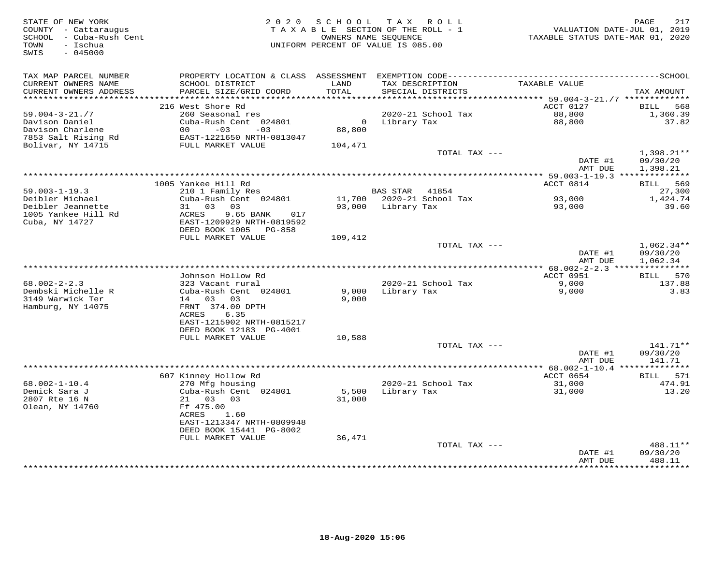| STATE OF NEW YORK<br>COUNTY - Cattaraugus<br>SCHOOL - Cuba-Rush Cent<br>- Ischua<br>TOWN<br>$-045000$<br>SWIS |                                              | 2020 SCHOOL<br>TAXABLE SECTION OF THE ROLL - 1<br>OWNERS NAME SEQUENCE<br>UNIFORM PERCENT OF VALUE IS 085.00 |                    | TAX ROLL                             | VALUATION DATE-JUL 01, 2019<br>TAXABLE STATUS DATE-MAR 01, 2020 | PAGE<br>217          |
|---------------------------------------------------------------------------------------------------------------|----------------------------------------------|--------------------------------------------------------------------------------------------------------------|--------------------|--------------------------------------|-----------------------------------------------------------------|----------------------|
| TAX MAP PARCEL NUMBER<br>CURRENT OWNERS NAME<br>CURRENT OWNERS ADDRESS                                        | SCHOOL DISTRICT<br>PARCEL SIZE/GRID COORD    | LAND<br>TOTAL                                                                                                |                    | TAX DESCRIPTION<br>SPECIAL DISTRICTS | TAXABLE VALUE                                                   | TAX AMOUNT           |
|                                                                                                               | 216 West Shore Rd                            |                                                                                                              |                    |                                      | ACCT 0127                                                       | 568<br>BILL          |
| $59.004 - 3 - 21.77$                                                                                          | 260 Seasonal res                             |                                                                                                              |                    | 2020-21 School Tax                   | 88,800                                                          | 1,360.39             |
| Davison Daniel                                                                                                | Cuba-Rush Cent 024801                        | $\Omega$                                                                                                     | Library Tax        |                                      | 88,800                                                          | 37.82                |
| Davison Charlene                                                                                              | $00 - 03$<br>$-03$                           | 88,800                                                                                                       |                    |                                      |                                                                 |                      |
| 7853 Salt Rising Rd                                                                                           | EAST-1221650 NRTH-0813047                    |                                                                                                              |                    |                                      |                                                                 |                      |
| Bolivar, NY 14715                                                                                             | FULL MARKET VALUE                            | 104,471                                                                                                      |                    | TOTAL TAX ---                        |                                                                 | $1,398.21**$         |
|                                                                                                               |                                              |                                                                                                              |                    |                                      | DATE #1<br>AMT DUE                                              | 09/30/20<br>1,398.21 |
|                                                                                                               |                                              |                                                                                                              |                    |                                      |                                                                 |                      |
|                                                                                                               | 1005 Yankee Hill Rd                          |                                                                                                              |                    |                                      | ACCT 0814                                                       | BILL 569             |
| $59.003 - 1 - 19.3$<br>Deibler Michael                                                                        | 210 1 Family Res<br>Cuba-Rush Cent 024801    |                                                                                                              | BAS STAR 41854     | 11,700 2020-21 School Tax            | 93,000                                                          | 27,300<br>1,424.74   |
| Deibler Jeannette                                                                                             | 31 03 03                                     |                                                                                                              | 93,000 Library Tax |                                      | 93,000                                                          | 39.60                |
| 1005 Yankee Hill Rd                                                                                           | ACRES<br>9.65 BANK<br>017                    |                                                                                                              |                    |                                      |                                                                 |                      |
| Cuba, NY 14727                                                                                                | EAST-1209929 NRTH-0819592                    |                                                                                                              |                    |                                      |                                                                 |                      |
|                                                                                                               | DEED BOOK 1005<br>PG-858                     |                                                                                                              |                    |                                      |                                                                 |                      |
|                                                                                                               | FULL MARKET VALUE                            | 109,412                                                                                                      |                    | TOTAL TAX ---                        |                                                                 | $1,062.34**$         |
|                                                                                                               |                                              |                                                                                                              |                    |                                      | DATE #1<br>AMT DUE                                              | 09/30/20<br>1,062.34 |
|                                                                                                               |                                              |                                                                                                              |                    |                                      |                                                                 |                      |
|                                                                                                               | Johnson Hollow Rd                            |                                                                                                              |                    |                                      | ACCT 0951                                                       | BILL 570             |
| $68.002 - 2 - 2.3$<br>Dembski Michelle R                                                                      | 323 Vacant rural                             |                                                                                                              |                    | 2020-21 School Tax                   | 9,000                                                           | 137.88               |
| 3149 Warwick Ter                                                                                              | Cuba-Rush Cent 024801<br>14 03 03            | 9,000<br>9,000                                                                                               | Library Tax        |                                      | 9,000                                                           | 3.83                 |
| Hamburg, NY 14075                                                                                             | FRNT 374.00 DPTH                             |                                                                                                              |                    |                                      |                                                                 |                      |
|                                                                                                               | ACRES<br>6.35                                |                                                                                                              |                    |                                      |                                                                 |                      |
|                                                                                                               | EAST-1215902 NRTH-0815217                    |                                                                                                              |                    |                                      |                                                                 |                      |
|                                                                                                               | DEED BOOK 12183 PG-4001                      |                                                                                                              |                    |                                      |                                                                 |                      |
|                                                                                                               | FULL MARKET VALUE                            | 10,588                                                                                                       |                    | TOTAL TAX ---                        |                                                                 | 141.71**             |
|                                                                                                               |                                              |                                                                                                              |                    |                                      | DATE #1                                                         | 09/30/20             |
|                                                                                                               |                                              |                                                                                                              |                    |                                      | AMT DUE                                                         | 141.71               |
|                                                                                                               |                                              |                                                                                                              |                    |                                      |                                                                 |                      |
|                                                                                                               | 607 Kinney Hollow Rd                         |                                                                                                              |                    |                                      | ACCT 0654                                                       | BILL 571             |
| $68.002 - 1 - 10.4$<br>Demick Sara J                                                                          | 270 Mfg housing<br>Cuba-Rush Cent 024801     | 5,500                                                                                                        | Library Tax        | 2020-21 School Tax                   | 31,000<br>31,000                                                | 474.91<br>13.20      |
| 2807 Rte 16 N                                                                                                 | 21 03 03                                     | 31,000                                                                                                       |                    |                                      |                                                                 |                      |
| Olean, NY 14760                                                                                               | Ff 475.00                                    |                                                                                                              |                    |                                      |                                                                 |                      |
|                                                                                                               | ACRES<br>1.60                                |                                                                                                              |                    |                                      |                                                                 |                      |
|                                                                                                               | EAST-1213347 NRTH-0809948                    |                                                                                                              |                    |                                      |                                                                 |                      |
|                                                                                                               | DEED BOOK 15441 PG-8002<br>FULL MARKET VALUE | 36,471                                                                                                       |                    |                                      |                                                                 |                      |
|                                                                                                               |                                              |                                                                                                              |                    | TOTAL TAX ---                        |                                                                 | 488.11**             |
|                                                                                                               |                                              |                                                                                                              |                    |                                      | DATE #1                                                         | 09/30/20             |
|                                                                                                               |                                              |                                                                                                              |                    |                                      | AMT DUE                                                         | 488.11               |
|                                                                                                               |                                              |                                                                                                              |                    |                                      | ******************                                              | ***********          |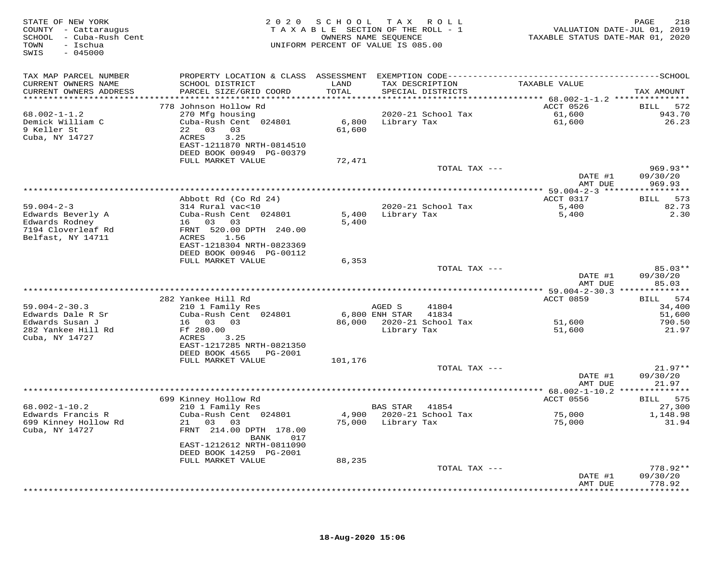| STATE OF NEW YORK<br>COUNTY - Cattaraugus<br>SCHOOL - Cuba-Rush Cent<br>- Ischua<br>TOWN<br>$-045000$<br>SWIS |                                                                                                                                           | 2020 SCHOOL   | TAX ROLL<br>TAXABLE SECTION OF THE ROLL - 1<br>OWNERS NAME SEQUENCE<br>UNIFORM PERCENT OF VALUE IS 085.00 | TAXABLE STATUS DATE-MAR 01, 2020 | PAGE<br>218<br>VALUATION DATE-JUL 01, 2019 |
|---------------------------------------------------------------------------------------------------------------|-------------------------------------------------------------------------------------------------------------------------------------------|---------------|-----------------------------------------------------------------------------------------------------------|----------------------------------|--------------------------------------------|
| TAX MAP PARCEL NUMBER<br>CURRENT OWNERS NAME<br>CURRENT OWNERS ADDRESS                                        | PROPERTY LOCATION & CLASS ASSESSMENT EXEMPTION CODE-----------------------------------SCHOOL<br>SCHOOL DISTRICT<br>PARCEL SIZE/GRID COORD | LAND<br>TOTAL | TAX DESCRIPTION<br>SPECIAL DISTRICTS                                                                      | TAXABLE VALUE                    | TAX AMOUNT                                 |
|                                                                                                               |                                                                                                                                           |               |                                                                                                           |                                  |                                            |
|                                                                                                               | 778 Johnson Hollow Rd                                                                                                                     |               |                                                                                                           | ACCT 0526                        | BILL 572                                   |
| $68.002 - 1 - 1.2$                                                                                            | 270 Mfg housing                                                                                                                           |               | 2020-21 School Tax                                                                                        | 61,600                           | 943.70                                     |
| Demick William C<br>9 Keller St                                                                               | Cuba-Rush Cent 024801<br>22 03 03                                                                                                         | 61,600        | 6,800 Library Tax                                                                                         | 61,600                           | 26.23                                      |
| Cuba, NY 14727                                                                                                | ACRES<br>3.25<br>EAST-1211870 NRTH-0814510<br>DEED BOOK 00949 PG-00379                                                                    |               |                                                                                                           |                                  |                                            |
|                                                                                                               | FULL MARKET VALUE                                                                                                                         | 72,471        |                                                                                                           |                                  |                                            |
|                                                                                                               |                                                                                                                                           |               | TOTAL TAX ---                                                                                             | DATE #1                          | 969.93**<br>09/30/20                       |
|                                                                                                               |                                                                                                                                           |               |                                                                                                           | AMT DUE                          | 969.93                                     |
|                                                                                                               | Abbott Rd (Co Rd 24)                                                                                                                      |               |                                                                                                           | ACCT 0317                        | 573<br><b>BILL</b>                         |
| $59.004 - 2 - 3$                                                                                              | 314 Rural vac<10                                                                                                                          |               | 2020-21 School Tax                                                                                        | 5,400                            | 82.73                                      |
| Edwards Beverly A                                                                                             | Cuba-Rush Cent 024801                                                                                                                     |               | 5,400 Library Tax                                                                                         | 5,400                            | 2.30                                       |
| Edwards Rodney                                                                                                | 16 03 03                                                                                                                                  | 5,400         |                                                                                                           |                                  |                                            |
| 7194 Cloverleaf Rd<br>Belfast, NY 14711                                                                       | FRNT 520.00 DPTH 240.00<br>ACRES 1.56                                                                                                     |               |                                                                                                           |                                  |                                            |
|                                                                                                               | EAST-1218304 NRTH-0823369                                                                                                                 |               |                                                                                                           |                                  |                                            |
|                                                                                                               | DEED BOOK 00946 PG-00112                                                                                                                  |               |                                                                                                           |                                  |                                            |
|                                                                                                               | FULL MARKET VALUE                                                                                                                         | 6,353         |                                                                                                           |                                  |                                            |
|                                                                                                               |                                                                                                                                           |               | TOTAL TAX ---                                                                                             |                                  | 85.03**                                    |
|                                                                                                               |                                                                                                                                           |               |                                                                                                           | DATE #1<br>AMT DUE               | 09/30/20<br>85.03                          |
|                                                                                                               | 282 Yankee Hill Rd                                                                                                                        |               |                                                                                                           | ACCT 0859                        | BILL 574                                   |
| $59.004 - 2 - 30.3$                                                                                           | 210 1 Family Res                                                                                                                          |               | AGED S<br>41804                                                                                           |                                  | 34,400                                     |
| Edwards Dale R Sr                                                                                             | Cuba-Rush Cent 024801                                                                                                                     |               | 6,800 ENH STAR 41834                                                                                      |                                  | 51,600                                     |
| Edwards Susan J<br>282 Yankee Hill Rd                                                                         | 16 03 03<br>Ff 280.00                                                                                                                     |               | 86,000 2020-21 School Tax<br>Library Tax                                                                  | 51,600<br>51,600                 | 790.50<br>21.97                            |
| Cuba, NY 14727                                                                                                | ACRES<br>3.25                                                                                                                             |               |                                                                                                           |                                  |                                            |
|                                                                                                               | EAST-1217285 NRTH-0821350                                                                                                                 |               |                                                                                                           |                                  |                                            |
|                                                                                                               | DEED BOOK 4565 PG-2001                                                                                                                    |               |                                                                                                           |                                  |                                            |
|                                                                                                               | FULL MARKET VALUE                                                                                                                         | 101,176       |                                                                                                           |                                  |                                            |
|                                                                                                               |                                                                                                                                           |               | TOTAL TAX ---                                                                                             | DATE #1                          | $21.97**$<br>09/30/20                      |
|                                                                                                               |                                                                                                                                           |               |                                                                                                           | AMT DUE                          | 21.97                                      |
|                                                                                                               |                                                                                                                                           |               |                                                                                                           |                                  |                                            |
|                                                                                                               | 699 Kinney Hollow Rd                                                                                                                      |               |                                                                                                           | ACCT 0556                        | BILL 575                                   |
| $68.002 - 1 - 10.2$<br>Edwards Francis R                                                                      | 210 1 Family Res                                                                                                                          |               | BAS STAR 41854                                                                                            |                                  | 27,300                                     |
| 699 Kinney Hollow Rd                                                                                          | Cuba-Rush Cent 024801<br>21 03 03                                                                                                         |               | 4,900 2020-21 School Tax<br>75,000 Library Tax                                                            | 75,000<br>75,000                 | 1,148.98<br>31.94                          |
| Cuba, NY 14727                                                                                                | FRNT 214.00 DPTH 178.00                                                                                                                   |               |                                                                                                           |                                  |                                            |
|                                                                                                               | 017<br>BANK                                                                                                                               |               |                                                                                                           |                                  |                                            |
|                                                                                                               | EAST-1212612 NRTH-0811090                                                                                                                 |               |                                                                                                           |                                  |                                            |
|                                                                                                               | DEED BOOK 14259 PG-2001<br>FULL MARKET VALUE                                                                                              | 88,235        |                                                                                                           |                                  |                                            |
|                                                                                                               |                                                                                                                                           |               | TOTAL TAX ---                                                                                             |                                  | $778.92**$                                 |
|                                                                                                               |                                                                                                                                           |               |                                                                                                           | DATE #1                          | 09/30/20                                   |
|                                                                                                               |                                                                                                                                           |               |                                                                                                           | AMT DUE                          | 778.92                                     |
|                                                                                                               |                                                                                                                                           |               |                                                                                                           |                                  | * * * * * * * *                            |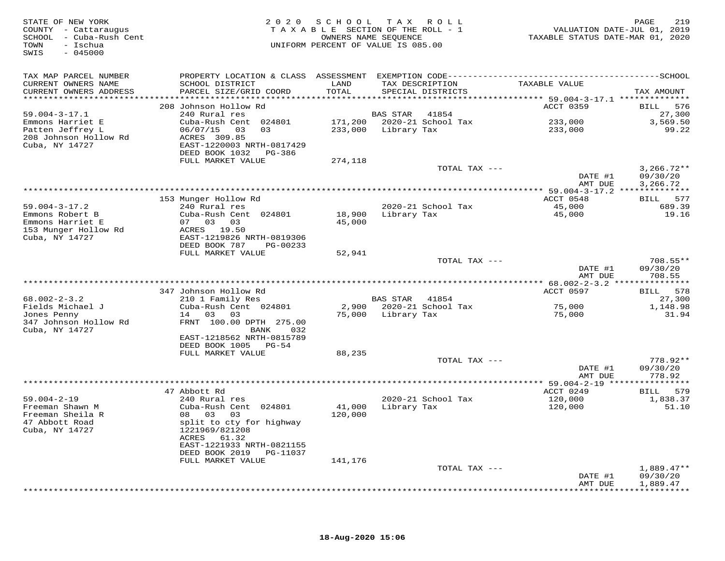| STATE OF NEW YORK<br>COUNTY - Cattaraugus<br>SCHOOL - Cuba-Rush Cent<br>- Ischua<br>TOWN<br>$-045000$<br>SWIS | 2020                                                                  | SCHOOL TAX ROLL<br>TAXABLE SECTION OF THE ROLL - 1<br>OWNERS NAME SEQUENCE<br>UNIFORM PERCENT OF VALUE IS 085.00 |                 |                            | VALUATION DATE-JUL 01, 2019<br>TAXABLE STATUS DATE-MAR 01, 2020 | 219<br>PAGE                          |
|---------------------------------------------------------------------------------------------------------------|-----------------------------------------------------------------------|------------------------------------------------------------------------------------------------------------------|-----------------|----------------------------|-----------------------------------------------------------------|--------------------------------------|
| TAX MAP PARCEL NUMBER                                                                                         |                                                                       |                                                                                                                  |                 |                            |                                                                 |                                      |
| CURRENT OWNERS NAME<br>CURRENT OWNERS ADDRESS<br>***********************                                      | SCHOOL DISTRICT<br>PARCEL SIZE/GRID COORD                             | LAND<br>TOTAL                                                                                                    | TAX DESCRIPTION | SPECIAL DISTRICTS          | TAXABLE VALUE                                                   | TAX AMOUNT                           |
|                                                                                                               | 208 Johnson Hollow Rd                                                 |                                                                                                                  |                 |                            | ACCT 0359                                                       | 576<br><b>BILL</b>                   |
| $59.004 - 3 - 17.1$                                                                                           | 240 Rural res                                                         |                                                                                                                  | <b>BAS STAR</b> | 41854                      |                                                                 | 27,300                               |
| Emmons Harriet E                                                                                              | Cuba-Rush Cent 024801                                                 |                                                                                                                  |                 | 171,200 2020-21 School Tax | 233,000                                                         | 3,569.50                             |
| Patten Jeffrey L                                                                                              | 06/07/15 03<br>03                                                     | 233,000                                                                                                          | Library Tax     |                            | 233,000                                                         | 99.22                                |
| 208 Johnson Hollow Rd<br>Cuba, NY 14727                                                                       | ACRES 309.85<br>EAST-1220003 NRTH-0817429<br>DEED BOOK 1032<br>PG-386 |                                                                                                                  |                 |                            |                                                                 |                                      |
|                                                                                                               | FULL MARKET VALUE                                                     | 274,118                                                                                                          |                 |                            |                                                                 |                                      |
|                                                                                                               |                                                                       |                                                                                                                  |                 | TOTAL TAX ---              | DATE #1<br>AMT DUE                                              | $3,266.72**$<br>09/30/20<br>3,266.72 |
|                                                                                                               |                                                                       |                                                                                                                  |                 |                            |                                                                 |                                      |
|                                                                                                               | 153 Munger Hollow Rd                                                  |                                                                                                                  |                 |                            | ACCT 0548                                                       | BILL 577                             |
| $59.004 - 3 - 17.2$                                                                                           | 240 Rural res                                                         |                                                                                                                  |                 | 2020-21 School Tax         | 45,000                                                          | 689.39                               |
| Emmons Robert B                                                                                               | Cuba-Rush Cent 024801                                                 | 18,900                                                                                                           | Library Tax     |                            | 45,000                                                          | 19.16                                |
| Emmons Harriet E                                                                                              | 07 03 03                                                              | 45,000                                                                                                           |                 |                            |                                                                 |                                      |
| 153 Munger Hollow Rd<br>Cuba, NY 14727                                                                        | ACRES 19.50<br>EAST-1219826 NRTH-0819306                              |                                                                                                                  |                 |                            |                                                                 |                                      |
|                                                                                                               | DEED BOOK 787<br>PG-00233                                             |                                                                                                                  |                 |                            |                                                                 |                                      |
|                                                                                                               | FULL MARKET VALUE                                                     | 52,941                                                                                                           |                 |                            |                                                                 |                                      |
|                                                                                                               |                                                                       |                                                                                                                  |                 | TOTAL TAX ---              |                                                                 | 708.55**                             |
|                                                                                                               |                                                                       |                                                                                                                  |                 |                            | DATE #1                                                         | 09/30/20                             |
|                                                                                                               |                                                                       |                                                                                                                  |                 |                            | AMT DUE                                                         | 708.55                               |
|                                                                                                               | 347 Johnson Hollow Rd                                                 |                                                                                                                  |                 |                            | ACCT 0597                                                       | BILL 578                             |
| $68.002 - 2 - 3.2$                                                                                            | 210 1 Family Res                                                      |                                                                                                                  | BAS STAR        | 41854                      |                                                                 | 27,300                               |
| Fields Michael J                                                                                              | Cuba-Rush Cent 024801                                                 | 2,900                                                                                                            |                 | 2020-21 School Tax         | 75,000                                                          | 1,148.98                             |
| Jones Penny                                                                                                   | 14 03 03                                                              | 75,000                                                                                                           | Library Tax     |                            | 75,000                                                          | 31.94                                |
| 347 Johnson Hollow Rd                                                                                         | FRNT 100.00 DPTH 275.00                                               |                                                                                                                  |                 |                            |                                                                 |                                      |
| Cuba, NY 14727                                                                                                | 032<br>BANK                                                           |                                                                                                                  |                 |                            |                                                                 |                                      |
|                                                                                                               | EAST-1218562 NRTH-0815789<br>DEED BOOK 1005<br>PG-54                  |                                                                                                                  |                 |                            |                                                                 |                                      |
|                                                                                                               | FULL MARKET VALUE                                                     | 88,235                                                                                                           |                 |                            |                                                                 |                                      |
|                                                                                                               |                                                                       |                                                                                                                  |                 | TOTAL TAX ---              |                                                                 | 778.92**                             |
|                                                                                                               |                                                                       |                                                                                                                  |                 |                            | DATE #1                                                         | 09/30/20                             |
|                                                                                                               |                                                                       |                                                                                                                  |                 |                            | AMT DUE                                                         | 778.92                               |
|                                                                                                               | *****************                                                     | **********************************                                                                               |                 |                            | ** $59.004 - 2 - 19$ ****                                       | ***********                          |
| $59.004 - 2 - 19$                                                                                             | 47 Abbott Rd<br>240 Rural res                                         |                                                                                                                  |                 | 2020-21 School Tax         | ACCT 0249<br>120,000                                            | BILL 579<br>1,838.37                 |
| Freeman Shawn M                                                                                               | Cuba-Rush Cent 024801                                                 | 41,000                                                                                                           | Library Tax     |                            | 120,000                                                         | 51.10                                |
| Freeman Sheila R                                                                                              | 08 03<br>03                                                           | 120,000                                                                                                          |                 |                            |                                                                 |                                      |
| 47 Abbott Road                                                                                                | split to cty for highway                                              |                                                                                                                  |                 |                            |                                                                 |                                      |
| Cuba, NY 14727                                                                                                | 1221969/821208                                                        |                                                                                                                  |                 |                            |                                                                 |                                      |
|                                                                                                               | ACRES 61.32                                                           |                                                                                                                  |                 |                            |                                                                 |                                      |
|                                                                                                               | EAST-1221933 NRTH-0821155<br>DEED BOOK 2019                           |                                                                                                                  |                 |                            |                                                                 |                                      |
|                                                                                                               | PG-11037<br>FULL MARKET VALUE                                         | 141,176                                                                                                          |                 |                            |                                                                 |                                      |
|                                                                                                               |                                                                       |                                                                                                                  |                 | TOTAL TAX ---              |                                                                 | $1,889.47**$                         |
|                                                                                                               |                                                                       |                                                                                                                  |                 |                            | DATE #1                                                         | 09/30/20                             |
|                                                                                                               |                                                                       |                                                                                                                  |                 |                            | AMT DUE                                                         | 1,889.47                             |
|                                                                                                               |                                                                       |                                                                                                                  |                 |                            |                                                                 | ***********                          |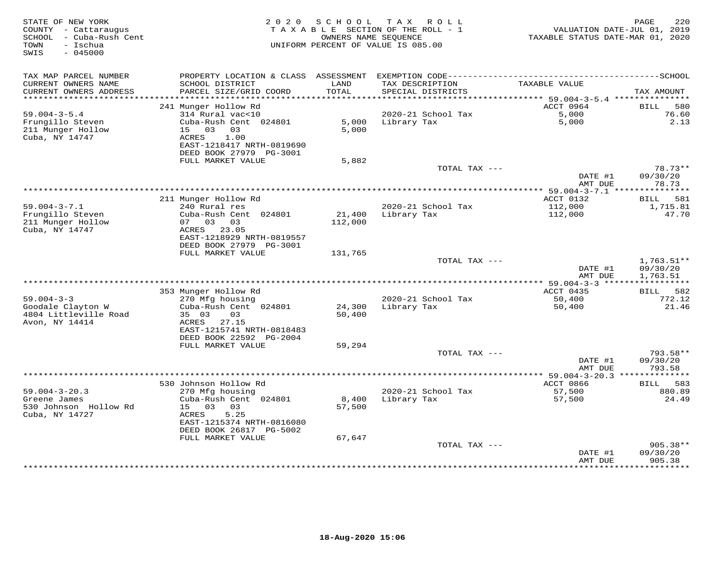| TAX MAP PARCEL NUMBER<br>PROPERTY LOCATION & CLASS ASSESSMENT<br>CURRENT OWNERS NAME<br>LAND<br>TAXABLE VALUE<br>SCHOOL DISTRICT<br>TAX DESCRIPTION<br>TOTAL<br>CURRENT OWNERS ADDRESS<br>PARCEL SIZE/GRID COORD<br>SPECIAL DISTRICTS<br>***********************<br>241 Munger Hollow Rd<br>ACCT 0964<br>$59.004 - 3 - 5.4$<br>314 Rural vac<10<br>2020-21 School Tax<br>5,000<br>Frungillo Steven<br>Cuba-Rush Cent 024801<br>5,000<br>5,000<br>Library Tax<br>15 03<br>5,000<br>211 Munger Hollow<br>03<br>Cuba, NY 14747<br>ACRES<br>1.00<br>EAST-1218417 NRTH-0819690<br>DEED BOOK 27979 PG-3001<br>FULL MARKET VALUE<br>5,882<br>TOTAL TAX ---<br>DATE #1<br>AMT DUE | 220<br>PAGE<br>VALUATION DATE-JUL 01, 2019<br>TAXABLE STATUS DATE-MAR 01, 2020 |
|---------------------------------------------------------------------------------------------------------------------------------------------------------------------------------------------------------------------------------------------------------------------------------------------------------------------------------------------------------------------------------------------------------------------------------------------------------------------------------------------------------------------------------------------------------------------------------------------------------------------------------------------------------------------------|--------------------------------------------------------------------------------|
|                                                                                                                                                                                                                                                                                                                                                                                                                                                                                                                                                                                                                                                                           |                                                                                |
|                                                                                                                                                                                                                                                                                                                                                                                                                                                                                                                                                                                                                                                                           | TAX AMOUNT                                                                     |
|                                                                                                                                                                                                                                                                                                                                                                                                                                                                                                                                                                                                                                                                           | <b>BILL</b><br>580                                                             |
|                                                                                                                                                                                                                                                                                                                                                                                                                                                                                                                                                                                                                                                                           | 76.60<br>2.13                                                                  |
|                                                                                                                                                                                                                                                                                                                                                                                                                                                                                                                                                                                                                                                                           |                                                                                |
|                                                                                                                                                                                                                                                                                                                                                                                                                                                                                                                                                                                                                                                                           | 78.73**<br>09/30/20                                                            |
| **************************************                                                                                                                                                                                                                                                                                                                                                                                                                                                                                                                                                                                                                                    | 78.73                                                                          |
| ********* 59.004-3-7.1 ****<br>211 Munger Hollow Rd<br>ACCT 0132                                                                                                                                                                                                                                                                                                                                                                                                                                                                                                                                                                                                          | ***********<br>581<br>BILL                                                     |
| $59.004 - 3 - 7.1$<br>2020-21 School Tax<br>240 Rural res<br>112,000                                                                                                                                                                                                                                                                                                                                                                                                                                                                                                                                                                                                      | 1,715.81                                                                       |
| Frungillo Steven<br>Cuba-Rush Cent 024801<br>21,400<br>Library Tax<br>112,000<br>211 Munger Hollow<br>07 03 03<br>112,000<br>Cuba, NY 14747<br>ACRES 23.05<br>EAST-1218929 NRTH-0819557<br>DEED BOOK 27979 PG-3001                                                                                                                                                                                                                                                                                                                                                                                                                                                        | 47.70                                                                          |
| FULL MARKET VALUE<br>131,765                                                                                                                                                                                                                                                                                                                                                                                                                                                                                                                                                                                                                                              |                                                                                |
| TOTAL TAX ---<br>DATE #1<br>AMT DUE                                                                                                                                                                                                                                                                                                                                                                                                                                                                                                                                                                                                                                       | $1,763.51**$<br>09/30/20<br>1,763.51                                           |
|                                                                                                                                                                                                                                                                                                                                                                                                                                                                                                                                                                                                                                                                           |                                                                                |
| ACCT 0435<br>353 Munger Hollow Rd<br>$59.004 - 3 - 3$<br>270 Mfg housing<br>2020-21 School Tax<br>50,400                                                                                                                                                                                                                                                                                                                                                                                                                                                                                                                                                                  | BILL 582<br>772.12                                                             |
| Goodale Clayton W<br>Cuba-Rush Cent 024801<br>24,300<br>Library Tax<br>50,400<br>4804 Littleville Road<br>35 03<br>03<br>50,400<br>Avon, NY 14414<br>27.15<br>ACRES                                                                                                                                                                                                                                                                                                                                                                                                                                                                                                       | 21.46                                                                          |
| EAST-1215741 NRTH-0818483                                                                                                                                                                                                                                                                                                                                                                                                                                                                                                                                                                                                                                                 |                                                                                |
| DEED BOOK 22592 PG-2004<br>FULL MARKET VALUE<br>59,294                                                                                                                                                                                                                                                                                                                                                                                                                                                                                                                                                                                                                    |                                                                                |
| TOTAL TAX ---<br>DATE #1                                                                                                                                                                                                                                                                                                                                                                                                                                                                                                                                                                                                                                                  | 793.58**<br>09/30/20                                                           |
| AMT DUE                                                                                                                                                                                                                                                                                                                                                                                                                                                                                                                                                                                                                                                                   | 793.58                                                                         |
| 530 Johnson Hollow Rd<br>ACCT 0866                                                                                                                                                                                                                                                                                                                                                                                                                                                                                                                                                                                                                                        | 583<br><b>BILL</b>                                                             |
| $59.004 - 3 - 20.3$<br>270 Mfg housing<br>2020-21 School Tax<br>57,500                                                                                                                                                                                                                                                                                                                                                                                                                                                                                                                                                                                                    | 880.89                                                                         |
| Greene James<br>Cuba-Rush Cent 024801<br>8,400<br>Library Tax<br>57,500<br>530 Johnson Hollow Rd<br>15<br>03<br>03<br>57,500<br>Cuba, NY 14727<br>ACRES<br>5.25<br>EAST-1215374 NRTH-0816080<br>DEED BOOK 26817 PG-5002                                                                                                                                                                                                                                                                                                                                                                                                                                                   | 24.49                                                                          |
| FULL MARKET VALUE<br>67,647<br>TOTAL TAX ---                                                                                                                                                                                                                                                                                                                                                                                                                                                                                                                                                                                                                              | $905.38**$                                                                     |
| DATE #1<br>AMT DUE<br>************                                                                                                                                                                                                                                                                                                                                                                                                                                                                                                                                                                                                                                        | 09/30/20<br>905.38<br>* * * * * * * * * *                                      |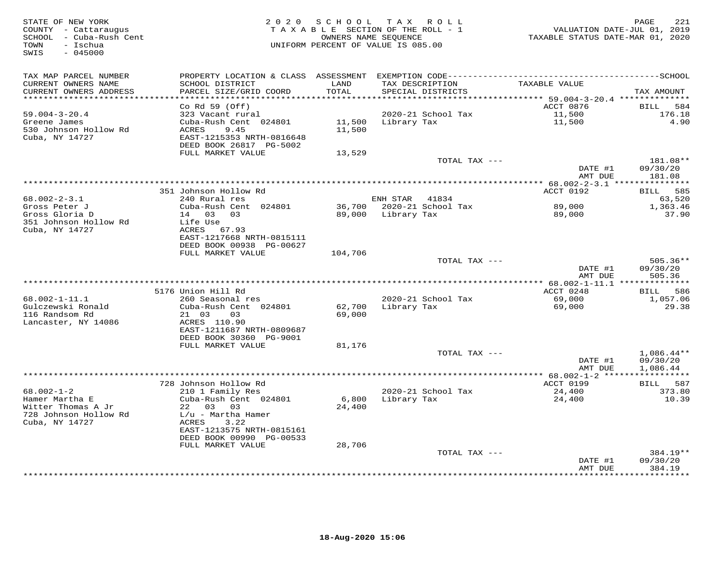| STATE OF NEW YORK<br>COUNTY - Cattaraugus<br>SCHOOL - Cuba-Rush Cent<br>- Ischua<br>TOWN<br>$-045000$<br>SWIS | 2 0 2 0                                               | SCHOOL           | T A X<br><b>ROLL</b><br>TAXABLE SECTION OF THE ROLL - 1<br>OWNERS NAME SEQUENCE<br>UNIFORM PERCENT OF VALUE IS 085.00 | TAXABLE STATUS DATE-MAR 01, 2020   | 221<br>PAGE<br>VALUATION DATE-JUL 01, 2019 |
|---------------------------------------------------------------------------------------------------------------|-------------------------------------------------------|------------------|-----------------------------------------------------------------------------------------------------------------------|------------------------------------|--------------------------------------------|
| TAX MAP PARCEL NUMBER                                                                                         | PROPERTY LOCATION & CLASS ASSESSMENT                  |                  |                                                                                                                       |                                    |                                            |
| CURRENT OWNERS NAME<br>CURRENT OWNERS ADDRESS                                                                 | SCHOOL DISTRICT<br>PARCEL SIZE/GRID COORD             | LAND<br>TOTAL    | TAX DESCRIPTION<br>SPECIAL DISTRICTS                                                                                  | TAXABLE VALUE                      | TAX AMOUNT                                 |
| **********************                                                                                        |                                                       |                  |                                                                                                                       |                                    |                                            |
|                                                                                                               | Co Rd 59 (Off)                                        |                  |                                                                                                                       | ACCT 0876                          | BILL<br>584                                |
| $59.004 - 3 - 20.4$                                                                                           | 323 Vacant rural                                      |                  | 2020-21 School Tax                                                                                                    | 11,500                             | 176.18                                     |
| Greene James<br>530 Johnson Hollow Rd                                                                         | Cuba-Rush Cent 024801<br><b>ACRES</b><br>9.45         | 11,500<br>11,500 | Library Tax                                                                                                           | 11,500                             | 4.90                                       |
| Cuba, NY 14727                                                                                                | EAST-1215353 NRTH-0816648                             |                  |                                                                                                                       |                                    |                                            |
|                                                                                                               | DEED BOOK 26817 PG-5002                               |                  |                                                                                                                       |                                    |                                            |
|                                                                                                               | FULL MARKET VALUE                                     | 13,529           |                                                                                                                       |                                    |                                            |
|                                                                                                               |                                                       |                  | TOTAL TAX ---                                                                                                         |                                    | 181.08**                                   |
|                                                                                                               |                                                       |                  |                                                                                                                       | DATE #1                            | 09/30/20                                   |
|                                                                                                               |                                                       |                  |                                                                                                                       | AMT DUE                            | 181.08                                     |
|                                                                                                               |                                                       |                  |                                                                                                                       |                                    |                                            |
| $68.002 - 2 - 3.1$                                                                                            | 351 Johnson Hollow Rd                                 |                  | ENH STAR                                                                                                              | ACCT 0192                          | 585<br><b>BILL</b>                         |
| Gross Peter J                                                                                                 | 240 Rural res<br>Cuba-Rush Cent 024801                |                  | 41834<br>36,700 2020-21 School Tax                                                                                    | 89,000                             | 63,520<br>1,363.46                         |
| Gross Gloria D                                                                                                | 14 03<br>03                                           | 89,000           | Library Tax                                                                                                           | 89,000                             | 37.90                                      |
| 351 Johnson Hollow Rd                                                                                         | Life Use                                              |                  |                                                                                                                       |                                    |                                            |
| Cuba, NY 14727                                                                                                | ACRES<br>67.93                                        |                  |                                                                                                                       |                                    |                                            |
|                                                                                                               | EAST-1217668 NRTH-0815111                             |                  |                                                                                                                       |                                    |                                            |
|                                                                                                               | DEED BOOK 00938 PG-00627                              |                  |                                                                                                                       |                                    |                                            |
|                                                                                                               | FULL MARKET VALUE                                     | 104,706          |                                                                                                                       |                                    |                                            |
|                                                                                                               |                                                       |                  | TOTAL TAX ---                                                                                                         |                                    | $505.36**$                                 |
|                                                                                                               |                                                       |                  |                                                                                                                       | DATE #1<br>AMT DUE                 | 09/30/20<br>505.36                         |
|                                                                                                               |                                                       |                  |                                                                                                                       |                                    | *********                                  |
|                                                                                                               | 5176 Union Hill Rd                                    |                  |                                                                                                                       | ACCT 0248                          | 586<br>BILL                                |
| 68.002-1-11.1                                                                                                 | 260 Seasonal res                                      |                  | 2020-21 School Tax                                                                                                    | 69,000                             | 1,057.06                                   |
| Gulczewski Ronald                                                                                             | Cuba-Rush Cent 024801                                 | 62,700           | Library Tax                                                                                                           | 69,000                             | 29.38                                      |
| 116 Randsom Rd                                                                                                | 21 03<br>03                                           | 69,000           |                                                                                                                       |                                    |                                            |
| Lancaster, NY 14086                                                                                           | ACRES 110.90                                          |                  |                                                                                                                       |                                    |                                            |
|                                                                                                               | EAST-1211687 NRTH-0809687                             |                  |                                                                                                                       |                                    |                                            |
|                                                                                                               | DEED BOOK 30360 PG-9001                               |                  |                                                                                                                       |                                    |                                            |
|                                                                                                               | FULL MARKET VALUE                                     | 81,176           | TOTAL TAX ---                                                                                                         |                                    | $1,086.44**$                               |
|                                                                                                               |                                                       |                  |                                                                                                                       | DATE #1                            | 09/30/20                                   |
|                                                                                                               |                                                       |                  |                                                                                                                       | AMT DUE                            | 1,086.44                                   |
|                                                                                                               |                                                       |                  |                                                                                                                       | **** 68.002-1-2 ****************** |                                            |
|                                                                                                               | 728 Johnson Hollow Rd                                 |                  |                                                                                                                       | ACCT 0199                          | 587<br>BILL                                |
| $68.002 - 1 - 2$                                                                                              | 210 1 Family Res                                      |                  | 2020-21 School Tax                                                                                                    | 24,400                             | 373.80                                     |
| Hamer Martha E                                                                                                | Cuba-Rush Cent 024801                                 | 6,800            | Library Tax                                                                                                           | 24,400                             | 10.39                                      |
| Witter Thomas A Jr                                                                                            | 22 03<br>03                                           | 24,400           |                                                                                                                       |                                    |                                            |
| 728 Johnson Hollow Rd                                                                                         | $L/u$ - Martha Hamer                                  |                  |                                                                                                                       |                                    |                                            |
| Cuba, NY 14727                                                                                                | ACRES<br>3.22                                         |                  |                                                                                                                       |                                    |                                            |
|                                                                                                               | EAST-1213575 NRTH-0815161<br>DEED BOOK 00990 PG-00533 |                  |                                                                                                                       |                                    |                                            |
|                                                                                                               | FULL MARKET VALUE                                     | 28,706           |                                                                                                                       |                                    |                                            |
|                                                                                                               |                                                       |                  | TOTAL TAX ---                                                                                                         |                                    | 384.19**                                   |
|                                                                                                               |                                                       |                  |                                                                                                                       | DATE #1                            | 09/30/20                                   |
|                                                                                                               |                                                       |                  |                                                                                                                       | AMT DUE                            | 384.19                                     |
|                                                                                                               |                                                       |                  |                                                                                                                       | ********                           | * * * * * * *                              |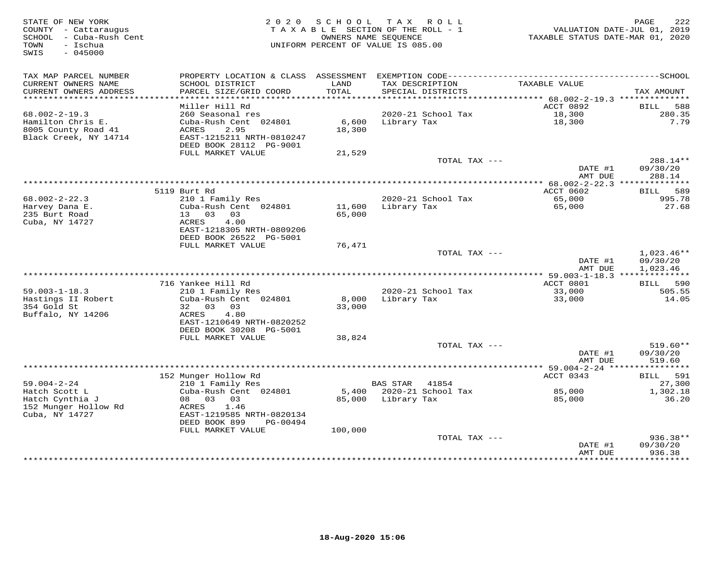| STATE OF NEW YORK<br>COUNTY - Cattaraugus<br>SCHOOL - Cuba-Rush Cent<br>TOWN<br>- Ischua<br>$-045000$<br>SWIS | 2 0 2 0                                                                                                      | SCHOOL<br>TAXABLE SECTION OF THE ROLL - 1<br>UNIFORM PERCENT OF VALUE IS 085.00 | TAX ROLL<br>OWNERS NAME SEQUENCE |                    | VALUATION DATE-JUL 01, 2019<br>TAXABLE STATUS DATE-MAR 01, 2020 | PAGE<br>222                                             |
|---------------------------------------------------------------------------------------------------------------|--------------------------------------------------------------------------------------------------------------|---------------------------------------------------------------------------------|----------------------------------|--------------------|-----------------------------------------------------------------|---------------------------------------------------------|
| TAX MAP PARCEL NUMBER<br>CURRENT OWNERS NAME<br>CURRENT OWNERS ADDRESS                                        | SCHOOL DISTRICT<br>PARCEL SIZE/GRID COORD                                                                    | LAND<br>TOTAL                                                                   | TAX DESCRIPTION                  | SPECIAL DISTRICTS  | TAXABLE VALUE                                                   | TAX AMOUNT                                              |
| *************************                                                                                     |                                                                                                              |                                                                                 |                                  |                    |                                                                 |                                                         |
| $68.002 - 2 - 19.3$<br>Hamilton Chris E.<br>8005 County Road 41<br>Black Creek, NY 14714                      | Miller Hill Rd<br>260 Seasonal res<br>Cuba-Rush Cent 024801<br>ACRES<br>2.95<br>EAST-1215211 NRTH-0810247    | 6,600<br>18,300                                                                 | Library Tax                      | 2020-21 School Tax | ACCT 0892<br>18,300<br>18,300                                   | 588<br>BILL<br>280.35<br>7.79                           |
|                                                                                                               | DEED BOOK 28112 PG-9001                                                                                      |                                                                                 |                                  |                    |                                                                 |                                                         |
|                                                                                                               | FULL MARKET VALUE                                                                                            | 21,529                                                                          |                                  | TOTAL TAX ---      | DATE #1                                                         | 288.14**<br>09/30/20                                    |
|                                                                                                               |                                                                                                              |                                                                                 |                                  |                    | AMT DUE                                                         | 288.14                                                  |
| $68.002 - 2 - 22.3$                                                                                           | 5119 Burt Rd<br>210 1 Family Res                                                                             |                                                                                 |                                  | 2020-21 School Tax | ACCT 0602<br>65,000                                             | BILL 589<br>995.78                                      |
| Harvey Dana E.<br>235 Burt Road<br>Cuba, NY 14727                                                             | Cuba-Rush Cent 024801<br>13 03<br>03<br>ACRES<br>4.00                                                        | 11,600<br>65,000                                                                | Library Tax                      |                    | 65,000                                                          | 27.68                                                   |
|                                                                                                               | EAST-1218305 NRTH-0809206<br>DEED BOOK 26522 PG-5001<br>FULL MARKET VALUE                                    | 76,471                                                                          |                                  |                    |                                                                 |                                                         |
|                                                                                                               |                                                                                                              |                                                                                 |                                  | TOTAL TAX ---      | DATE #1<br>AMT DUE                                              | $1,023.46**$<br>09/30/20<br>1,023.46                    |
|                                                                                                               |                                                                                                              |                                                                                 |                                  |                    |                                                                 |                                                         |
|                                                                                                               | 716 Yankee Hill Rd                                                                                           |                                                                                 |                                  |                    | ACCT 0801                                                       | 590<br>BILL                                             |
| $59.003 - 1 - 18.3$<br>Hastings II Robert<br>354 Gold St<br>Buffalo, NY 14206                                 | 210 1 Family Res<br>Cuba-Rush Cent 024801<br>32 03 03<br>ACRES<br>4.80                                       | 8,000<br>33,000                                                                 | Library Tax                      | 2020-21 School Tax | 33,000<br>33,000                                                | 505.55<br>14.05                                         |
|                                                                                                               | EAST-1210649 NRTH-0820252<br>DEED BOOK 30208 PG-5001                                                         |                                                                                 |                                  |                    |                                                                 |                                                         |
|                                                                                                               | FULL MARKET VALUE                                                                                            | 38,824                                                                          |                                  |                    |                                                                 |                                                         |
|                                                                                                               |                                                                                                              |                                                                                 |                                  | TOTAL TAX ---      | DATE #1<br>AMT DUE                                              | $519.60**$<br>09/30/20<br>519.60                        |
|                                                                                                               |                                                                                                              |                                                                                 |                                  |                    |                                                                 |                                                         |
| $59.004 - 2 - 24$                                                                                             | 152 Munger Hollow Rd<br>210 1 Family Res                                                                     |                                                                                 | BAS STAR                         | 41854              | ACCT 0343                                                       | 591<br><b>BILL</b><br>27,300                            |
| Hatch Scott L<br>Hatch Cynthia J<br>152 Munger Hollow Rd<br>Cuba, NY 14727                                    | Cuba-Rush Cent 024801<br>08 03 03<br>ACRES<br>1.46<br>EAST-1219585 NRTH-0820134<br>DEED BOOK 899<br>PG-00494 | 5,400<br>85,000                                                                 | Library Tax                      | 2020-21 School Tax | 85,000<br>85,000                                                | 1,302.18<br>36.20                                       |
|                                                                                                               | FULL MARKET VALUE                                                                                            | 100,000                                                                         |                                  |                    |                                                                 |                                                         |
|                                                                                                               |                                                                                                              |                                                                                 |                                  | TOTAL TAX ---      | DATE #1<br>AMT DUE<br>*****************                         | $936.38**$<br>09/30/20<br>936.38<br>* * * * * * * * * * |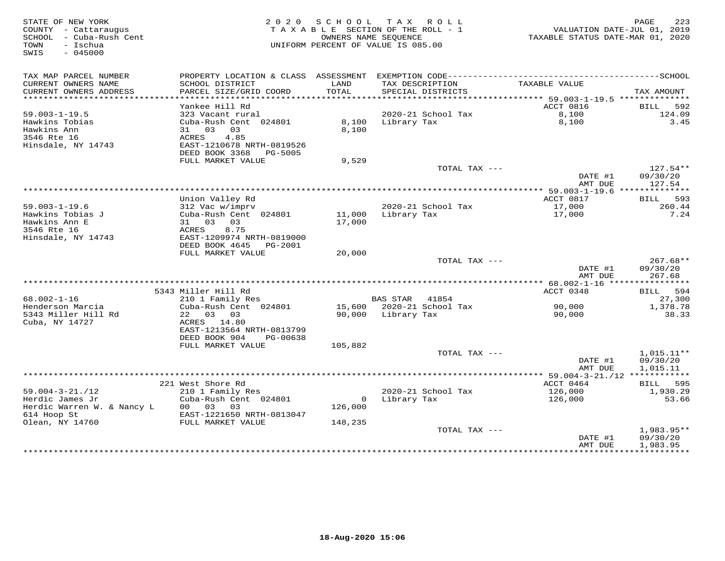| STATE OF NEW YORK<br>COUNTY - Cattaraugus<br>- Cuba-Rush Cent<br>SCHOOL<br>- Ischua<br>TOWN<br>$-045000$<br>SWIS | 2 0 2 0                                                                                                                                                  | S C H O O L                   | T A X<br>ROLL<br>TAXABLE SECTION OF THE ROLL - 1<br>OWNERS NAME SEOUENCE<br>UNIFORM PERCENT OF VALUE IS 085.00 | TAXABLE STATUS DATE-MAR 01, 2020         | PAGE<br>223<br>VALUATION DATE-JUL 01, 2019        |
|------------------------------------------------------------------------------------------------------------------|----------------------------------------------------------------------------------------------------------------------------------------------------------|-------------------------------|----------------------------------------------------------------------------------------------------------------|------------------------------------------|---------------------------------------------------|
| TAX MAP PARCEL NUMBER<br>CURRENT OWNERS NAME<br>CURRENT OWNERS ADDRESS<br>************************               | PROPERTY LOCATION & CLASS ASSESSMENT<br>SCHOOL DISTRICT<br>PARCEL SIZE/GRID COORD                                                                        | LAND<br>TOTAL                 | TAX DESCRIPTION<br>SPECIAL DISTRICTS                                                                           | TAXABLE VALUE                            | TAX AMOUNT                                        |
|                                                                                                                  | Yankee Hill Rd                                                                                                                                           |                               |                                                                                                                | ACCT 0816                                | 592<br><b>BILL</b>                                |
| $59.003 - 1 - 19.5$<br>Hawkins Tobias<br>Hawkins Ann<br>3546 Rte 16<br>Hinsdale, NY 14743                        | 323 Vacant rural<br>Cuba-Rush Cent 024801<br>31 03<br>03<br>4.85<br>ACRES<br>EAST-1210678 NRTH-0819526<br>DEED BOOK 3368<br>PG-5005                      | 8,100<br>8,100                | 2020-21 School Tax<br>Library Tax                                                                              | 8,100<br>8,100                           | 124.09<br>3.45                                    |
|                                                                                                                  | FULL MARKET VALUE                                                                                                                                        | 9,529                         | TOTAL TAX ---                                                                                                  |                                          | 127.54**                                          |
|                                                                                                                  |                                                                                                                                                          |                               |                                                                                                                | DATE #1<br>AMT DUE                       | 09/30/20<br>127.54                                |
|                                                                                                                  |                                                                                                                                                          |                               |                                                                                                                |                                          |                                                   |
| $59.003 - 1 - 19.6$<br>Hawkins Tobias J<br>Hawkins Ann E<br>3546 Rte 16<br>Hinsdale, NY 14743                    | Union Valley Rd<br>312 Vac w/imprv<br>Cuba-Rush Cent 024801<br>03<br>03<br>31<br>ACRES<br>8.75<br>EAST-1209974 NRTH-0819000<br>DEED BOOK 4645<br>PG-2001 | 11,000<br>17,000              | 2020-21 School Tax<br>Library Tax                                                                              | ACCT 0817<br>17,000<br>17,000            | 593<br>BILL<br>260.44<br>7.24                     |
|                                                                                                                  | FULL MARKET VALUE                                                                                                                                        | 20,000                        |                                                                                                                |                                          |                                                   |
|                                                                                                                  |                                                                                                                                                          |                               | TOTAL TAX ---                                                                                                  | DATE #1<br>AMT DUE                       | $267.68**$<br>09/30/20<br>267.68                  |
|                                                                                                                  |                                                                                                                                                          |                               |                                                                                                                | $* 68.002 - 1 - 16$ ****                 | * * * * * * * * * * *                             |
| $68.002 - 1 - 16$<br>Henderson Marcia<br>5343 Miller Hill Rd<br>Cuba, NY 14727                                   | 5343 Miller Hill Rd<br>210 1 Family Res<br>Cuba-Rush Cent 024801<br>03<br>22<br>03<br>ACRES 14.80<br>EAST-1213564 NRTH-0813799                           | 15,600<br>90,000              | <b>BAS STAR</b><br>41854<br>2020-21 School Tax<br>Library Tax                                                  | ACCT 0348<br>90,000<br>90,000            | 594<br><b>BILL</b><br>27,300<br>1,378.78<br>38.33 |
|                                                                                                                  | DEED BOOK 904<br>PG-00638<br>FULL MARKET VALUE                                                                                                           | 105,882                       |                                                                                                                |                                          |                                                   |
|                                                                                                                  |                                                                                                                                                          |                               | TOTAL TAX ---                                                                                                  | DATE #1<br>AMT DUE                       | $1,015.11**$<br>09/30/20<br>1,015.11              |
|                                                                                                                  |                                                                                                                                                          |                               |                                                                                                                |                                          |                                                   |
| $59.004 - 3 - 21. / 12$<br>Herdic James Jr<br>Herdic Warren W. & Nancy L<br>614 Hoop St<br>Olean, NY 14760       | 221 West Shore Rd<br>210 1 Family Res<br>Cuba-Rush Cent 024801<br>0.3<br>03<br>00<br>EAST-1221650 NRTH-0813047<br>FULL MARKET VALUE                      | $\circ$<br>126,000<br>148,235 | 2020-21 School Tax<br>Library Tax                                                                              | ACCT 0464<br>126,000<br>126,000          | BILL 595<br>1,930.29<br>53.66                     |
|                                                                                                                  |                                                                                                                                                          |                               | TOTAL TAX ---                                                                                                  | DATE #1                                  | 1,983.95**<br>09/30/20                            |
|                                                                                                                  |                                                                                                                                                          |                               |                                                                                                                | AMT DUE<br>* * * * * * * * * * * * * * * | 1,983.95<br>* * * * * * * * * * * *               |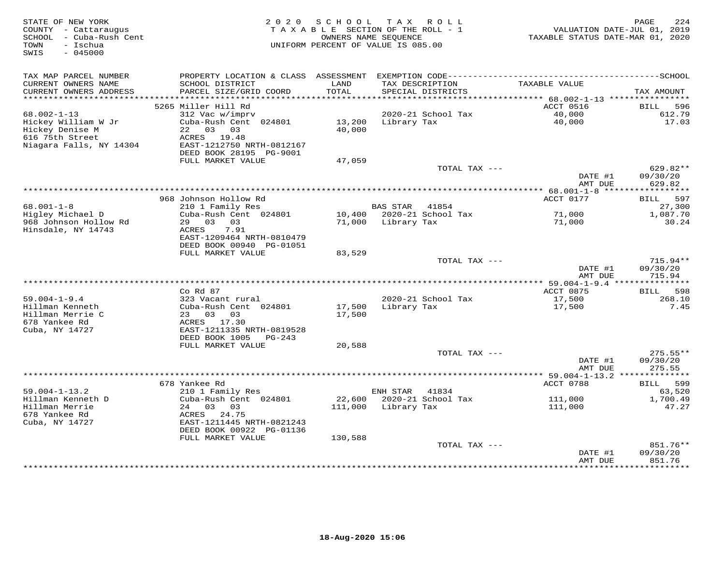| STATE OF NEW YORK<br>COUNTY - Cattaraugus<br>SCHOOL - Cuba-Rush Cent<br>- Ischua | 2 0 2 0                                                               | SCHOOL           | T A X<br>ROLL<br>TAXABLE SECTION OF THE ROLL - 1<br>OWNERS NAME SEQUENCE | TAXABLE STATUS DATE-MAR 01, 2020        | 224<br>PAGE<br>VALUATION DATE-JUL 01, 2019 |
|----------------------------------------------------------------------------------|-----------------------------------------------------------------------|------------------|--------------------------------------------------------------------------|-----------------------------------------|--------------------------------------------|
| TOWN<br>SWIS<br>$-045000$                                                        |                                                                       |                  | UNIFORM PERCENT OF VALUE IS 085.00                                       |                                         |                                            |
| TAX MAP PARCEL NUMBER                                                            |                                                                       |                  |                                                                          |                                         |                                            |
| CURRENT OWNERS NAME<br>CURRENT OWNERS ADDRESS<br>***********************         | SCHOOL DISTRICT<br>PARCEL SIZE/GRID COORD<br>************************ | LAND<br>TOTAL    | TAX DESCRIPTION<br>SPECIAL DISTRICTS                                     | TAXABLE VALUE                           | TAX AMOUNT                                 |
|                                                                                  | 5265 Miller Hill Rd                                                   |                  |                                                                          | ACCT 0516                               | <b>BILL</b><br>596                         |
| $68.002 - 1 - 13$                                                                | 312 Vac w/imprv                                                       |                  | 2020-21 School Tax                                                       | 40,000                                  | 612.79                                     |
| Hickey William W Jr<br>Hickey Denise M                                           | Cuba-Rush Cent 024801<br>22 03 03                                     | 13,200<br>40,000 | Library Tax                                                              | 40,000                                  | 17.03                                      |
| 616 75th Street<br>Niagara Falls, NY 14304                                       | ACRES 19.48<br>EAST-1212750 NRTH-0812167<br>DEED BOOK 28195 PG-9001   |                  |                                                                          |                                         |                                            |
|                                                                                  | FULL MARKET VALUE                                                     | 47,059           |                                                                          |                                         |                                            |
|                                                                                  |                                                                       |                  |                                                                          | TOTAL TAX ---<br>DATE #1                | 629.82**<br>09/30/20                       |
|                                                                                  |                                                                       |                  |                                                                          | AMT DUE<br>** 68.001-1-8 ****           | 629.82<br>* * * * * * * * * *              |
|                                                                                  | 968 Johnson Hollow Rd                                                 |                  |                                                                          | ACCT 0177                               | 597<br>BILL                                |
| $68.001 - 1 - 8$                                                                 | 210 1 Family Res                                                      |                  | <b>BAS STAR</b><br>41854                                                 |                                         | 27,300                                     |
| Higley Michael D                                                                 | Cuba-Rush Cent 024801<br>29 03 03                                     | 10,400           | 2020-21 School Tax                                                       | 71,000                                  | 1,087.70                                   |
| 968 Johnson Hollow Rd<br>Hinsdale, NY 14743                                      | 7.91<br>ACRES<br>EAST-1209464 NRTH-0810479                            | 71,000           | Library Tax                                                              | 71,000                                  | 30.24                                      |
|                                                                                  | DEED BOOK 00940 PG-01051                                              |                  |                                                                          |                                         |                                            |
|                                                                                  | FULL MARKET VALUE                                                     | 83,529           |                                                                          | TOTAL TAX ---                           | $715.94**$                                 |
|                                                                                  |                                                                       |                  |                                                                          | DATE #1<br>AMT DUE                      | 09/30/20<br>715.94                         |
|                                                                                  |                                                                       |                  |                                                                          | *** 59.004-1-9.4 ****************       |                                            |
| $59.004 - 1 - 9.4$                                                               | $Co$ Rd $87$<br>323 Vacant rural                                      |                  | 2020-21 School Tax                                                       | ACCT 0875<br>17,500                     | 598<br>BILL<br>268.10                      |
| Hillman Kenneth                                                                  | Cuba-Rush Cent 024801                                                 | 17,500           | Library Tax                                                              | 17,500                                  | 7.45                                       |
| Hillman Merrie C                                                                 | 23 03<br>03                                                           | 17,500           |                                                                          |                                         |                                            |
| 678 Yankee Rd<br>Cuba, NY 14727                                                  | ACRES 17.30<br>EAST-1211335 NRTH-0819528                              |                  |                                                                          |                                         |                                            |
|                                                                                  | DEED BOOK 1005<br>$PG-243$<br>FULL MARKET VALUE                       | 20,588           |                                                                          |                                         |                                            |
|                                                                                  |                                                                       |                  |                                                                          | TOTAL TAX ---                           | $275.55**$                                 |
|                                                                                  |                                                                       |                  |                                                                          | DATE #1                                 | 09/30/20                                   |
|                                                                                  |                                                                       |                  |                                                                          | AMT DUE                                 | 275.55                                     |
|                                                                                  | 678 Yankee Rd                                                         |                  |                                                                          | ********** 59.004-1-13.2 ************** |                                            |
| $59.004 - 1 - 13.2$                                                              | 210 1 Family Res                                                      |                  | ENH STAR<br>41834                                                        | ACCT 0788                               | 599<br><b>BILL</b><br>63,520               |
| Hillman Kenneth D                                                                | Cuba-Rush Cent 024801                                                 | 22,600           | 2020-21 School Tax                                                       | 111,000                                 | 1,700.49                                   |
| Hillman Merrie                                                                   | 03 03<br>24                                                           | 111,000          | Library Tax                                                              | 111,000                                 | 47.27                                      |
| 678 Yankee Rd                                                                    | ACRES<br>24.75                                                        |                  |                                                                          |                                         |                                            |
| Cuba, NY 14727                                                                   | EAST-1211445 NRTH-0821243<br>DEED BOOK 00922 PG-01136                 |                  |                                                                          |                                         |                                            |
|                                                                                  | FULL MARKET VALUE                                                     | 130,588          |                                                                          | TOTAL TAX ---                           | 851.76**                                   |
|                                                                                  |                                                                       |                  |                                                                          | DATE #1<br>AMT DUE                      | 09/30/20<br>851.76                         |
|                                                                                  |                                                                       |                  |                                                                          | * * * * * * * *                         | · * * * * * * * * *                        |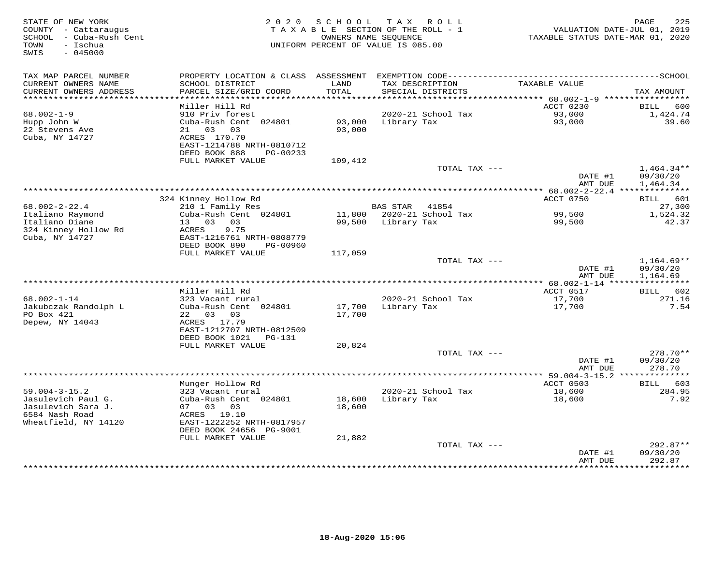| STATE OF NEW YORK<br>COUNTY - Cattaraugus<br>SCHOOL - Cuba-Rush Cent<br>- Ischua<br>TOWN<br>SWIS<br>$-045000$ | 2 0 2 0                                       | SCHOOL        | T A X<br>ROLL<br>TAXABLE SECTION OF THE ROLL - 1<br>OWNERS NAME SEQUENCE<br>UNIFORM PERCENT OF VALUE IS 085.00 | TAXABLE STATUS DATE-MAR 01, 2020     | PAGE<br>225<br>VALUATION DATE-JUL 01, 2019 |
|---------------------------------------------------------------------------------------------------------------|-----------------------------------------------|---------------|----------------------------------------------------------------------------------------------------------------|--------------------------------------|--------------------------------------------|
| TAX MAP PARCEL NUMBER                                                                                         |                                               |               |                                                                                                                |                                      |                                            |
| CURRENT OWNERS NAME<br>CURRENT OWNERS ADDRESS                                                                 | SCHOOL DISTRICT<br>PARCEL SIZE/GRID COORD     | LAND<br>TOTAL | TAX DESCRIPTION<br>SPECIAL DISTRICTS                                                                           | TAXABLE VALUE                        | TAX AMOUNT                                 |
| ******************************                                                                                |                                               |               |                                                                                                                |                                      |                                            |
| $68.002 - 1 - 9$                                                                                              | Miller Hill Rd<br>910 Priv forest             |               | 2020-21 School Tax                                                                                             | ACCT 0230<br>93,000                  | 600<br>BILL<br>1,424.74                    |
| Hupp John W                                                                                                   | Cuba-Rush Cent 024801                         | 93,000        | Library Tax                                                                                                    | 93,000                               | 39.60                                      |
| 22 Stevens Ave                                                                                                | 21 03<br>03                                   | 93,000        |                                                                                                                |                                      |                                            |
| Cuba, NY 14727                                                                                                | ACRES 170.70                                  |               |                                                                                                                |                                      |                                            |
|                                                                                                               | EAST-1214788 NRTH-0810712                     |               |                                                                                                                |                                      |                                            |
|                                                                                                               | DEED BOOK 888<br>PG-00233                     |               |                                                                                                                |                                      |                                            |
|                                                                                                               | FULL MARKET VALUE                             | 109,412       |                                                                                                                |                                      |                                            |
|                                                                                                               |                                               |               | TOTAL TAX ---                                                                                                  | DATE #1                              | $1,464.34**$<br>09/30/20                   |
|                                                                                                               |                                               |               |                                                                                                                | AMT DUE                              | 1,464.34                                   |
|                                                                                                               |                                               |               |                                                                                                                |                                      |                                            |
|                                                                                                               | 324 Kinney Hollow Rd                          |               |                                                                                                                | ACCT 0750                            | 601<br>BILL                                |
| $68.002 - 2 - 22.4$                                                                                           | 210 1 Family Res                              |               | <b>BAS STAR</b><br>41854                                                                                       |                                      | 27,300                                     |
| Italiano Raymond                                                                                              | Cuba-Rush Cent 024801                         |               | 11,800 2020-21 School Tax                                                                                      | 99,500                               | 1,524.32                                   |
| Italiano Diane                                                                                                | 03<br>13<br>03                                | 99,500        | Library Tax                                                                                                    | 99,500                               | 42.37                                      |
| 324 Kinney Hollow Rd<br>Cuba, NY 14727                                                                        | 9.75<br>ACRES<br>EAST-1216761 NRTH-0808779    |               |                                                                                                                |                                      |                                            |
|                                                                                                               | DEED BOOK 890<br>PG-00960                     |               |                                                                                                                |                                      |                                            |
|                                                                                                               | FULL MARKET VALUE                             | 117,059       |                                                                                                                |                                      |                                            |
|                                                                                                               |                                               |               | TOTAL TAX ---                                                                                                  |                                      | $1,164.69**$                               |
|                                                                                                               |                                               |               |                                                                                                                | DATE #1                              | 09/30/20                                   |
|                                                                                                               |                                               |               |                                                                                                                | AMT DUE                              | 1,164.69<br>* * * * * * * * * * *          |
|                                                                                                               | Miller Hill Rd                                |               |                                                                                                                | $68.002 - 1 - 14$ *****<br>ACCT 0517 | BILL<br>602                                |
| $68.002 - 1 - 14$                                                                                             | 323 Vacant rural                              |               | 2020-21 School Tax                                                                                             | 17,700                               | 271.16                                     |
| Jakubczak Randolph L                                                                                          | Cuba-Rush Cent 024801                         | 17,700        | Library Tax                                                                                                    | 17,700                               | 7.54                                       |
| PO Box 421                                                                                                    | 22 03 03                                      | 17,700        |                                                                                                                |                                      |                                            |
| Depew, NY 14043                                                                                               | ACRES 17.79                                   |               |                                                                                                                |                                      |                                            |
|                                                                                                               | EAST-1212707 NRTH-0812509                     |               |                                                                                                                |                                      |                                            |
|                                                                                                               | DEED BOOK 1021<br>PG-131<br>FULL MARKET VALUE |               |                                                                                                                |                                      |                                            |
|                                                                                                               |                                               | 20,824        | TOTAL TAX ---                                                                                                  |                                      | 278.70**                                   |
|                                                                                                               |                                               |               |                                                                                                                | DATE #1                              | 09/30/20                                   |
|                                                                                                               |                                               |               |                                                                                                                | AMT DUE                              | 278.70                                     |
|                                                                                                               |                                               |               |                                                                                                                |                                      |                                            |
|                                                                                                               | Munger Hollow Rd                              |               |                                                                                                                | ACCT 0503                            | 603<br>BILL                                |
| $59.004 - 3 - 15.2$                                                                                           | 323 Vacant rural                              |               | 2020-21 School Tax                                                                                             | 18,600                               | 284.95                                     |
| Jasulevich Paul G.                                                                                            | Cuba-Rush Cent 024801                         | 18,600        | Library Tax                                                                                                    | 18,600                               | 7.92                                       |
| Jasulevich Sara J.<br>6584 Nash Road                                                                          | 07 03<br>03<br>ACRES 19.10                    | 18,600        |                                                                                                                |                                      |                                            |
| Wheatfield, NY 14120                                                                                          | EAST-1222252 NRTH-0817957                     |               |                                                                                                                |                                      |                                            |
|                                                                                                               | DEED BOOK 24656 PG-9001                       |               |                                                                                                                |                                      |                                            |
|                                                                                                               | FULL MARKET VALUE                             | 21,882        |                                                                                                                |                                      |                                            |
|                                                                                                               |                                               |               | TOTAL TAX ---                                                                                                  |                                      | $292.87**$                                 |
|                                                                                                               |                                               |               |                                                                                                                | DATE #1                              | 09/30/20                                   |
|                                                                                                               |                                               |               |                                                                                                                | AMT DUE                              | 292.87<br>* * * * * * * * *                |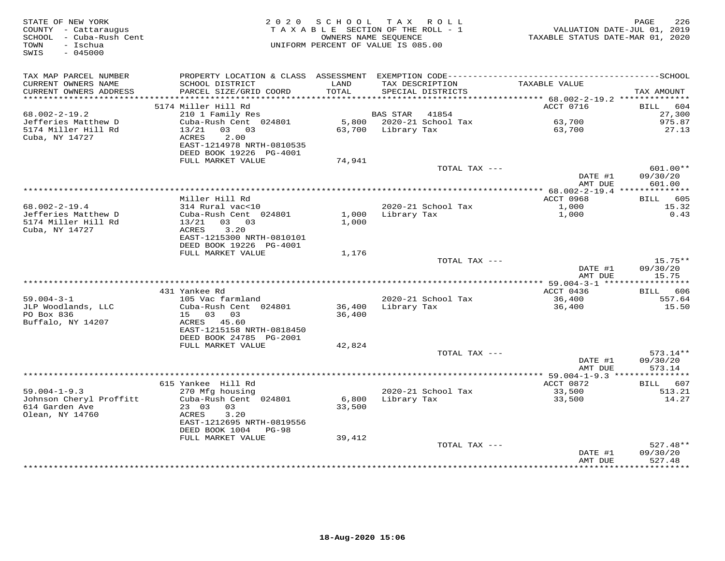| STATE OF NEW YORK<br>COUNTY - Cattaraugus<br>SCHOOL - Cuba-Rush Cent<br>- Ischua<br>TOWN<br>$-045000$<br>SWIS |                                                                       | 2020 SCHOOL TAX ROLL<br>TAXABLE SECTION OF THE ROLL - 1<br>OWNERS NAME SEQUENCE<br>UNIFORM PERCENT OF VALUE IS 085.00 |                    |                                      | TAXABLE STATUS DATE-MAR 01, 2020                            | PAGE<br>226<br>VALUATION DATE-JUL 01, 2019 |
|---------------------------------------------------------------------------------------------------------------|-----------------------------------------------------------------------|-----------------------------------------------------------------------------------------------------------------------|--------------------|--------------------------------------|-------------------------------------------------------------|--------------------------------------------|
| TAX MAP PARCEL NUMBER                                                                                         |                                                                       |                                                                                                                       |                    |                                      |                                                             |                                            |
| CURRENT OWNERS NAME<br>CURRENT OWNERS ADDRESS                                                                 | SCHOOL DISTRICT<br>PARCEL SIZE/GRID COORD                             | LAND<br>TOTAL                                                                                                         |                    | TAX DESCRIPTION<br>SPECIAL DISTRICTS | TAXABLE VALUE                                               | TAX AMOUNT                                 |
|                                                                                                               |                                                                       |                                                                                                                       |                    |                                      | ACCT 0716                                                   |                                            |
| $68.002 - 2 - 19.2$                                                                                           | 5174 Miller Hill Rd<br>210 1 Family Res                               |                                                                                                                       | BAS STAR           | 41854                                |                                                             | BILL 604<br>27,300                         |
| Jefferies Matthew D                                                                                           | Cuba-Rush Cent 024801                                                 |                                                                                                                       |                    | 5,800 2020-21 School Tax             | 63,700                                                      | 975.87                                     |
| 5174 Miller Hill Rd                                                                                           | 13/21 03 03                                                           |                                                                                                                       | 63,700 Library Tax |                                      | 63,700                                                      | 27.13                                      |
| Cuba, NY 14727                                                                                                | 2.00<br>ACRES<br>EAST-1214978 NRTH-0810535<br>DEED BOOK 19226 PG-4001 |                                                                                                                       |                    |                                      |                                                             |                                            |
|                                                                                                               | FULL MARKET VALUE                                                     | 74,941                                                                                                                |                    |                                      |                                                             |                                            |
|                                                                                                               |                                                                       |                                                                                                                       |                    | TOTAL TAX ---                        |                                                             | 601.00**                                   |
|                                                                                                               |                                                                       |                                                                                                                       |                    |                                      | DATE #1<br>AMT DUE                                          | 09/30/20<br>601.00                         |
|                                                                                                               | Miller Hill Rd                                                        |                                                                                                                       |                    |                                      | **************** 68.002-2-19.4 ***************<br>ACCT 0968 |                                            |
| $68.002 - 2 - 19.4$                                                                                           | 314 Rural vac<10                                                      |                                                                                                                       |                    | 2020-21 School Tax                   | 1,000                                                       | BILL 605<br>15.32                          |
| Jefferies Matthew D                                                                                           | Cuba-Rush Cent 024801                                                 |                                                                                                                       | 1,000 Library Tax  |                                      | 1,000                                                       | 0.43                                       |
| 5174 Miller Hill Rd<br>Cuba, NY 14727                                                                         | $13/21$ 03 03<br>ACRES<br>3.20<br>EAST-1215300 NRTH-0810101           | 1,000                                                                                                                 |                    |                                      |                                                             |                                            |
|                                                                                                               | DEED BOOK 19226 PG-4001                                               |                                                                                                                       |                    |                                      |                                                             |                                            |
|                                                                                                               | FULL MARKET VALUE                                                     | 1,176                                                                                                                 |                    |                                      |                                                             |                                            |
|                                                                                                               |                                                                       |                                                                                                                       |                    | TOTAL TAX ---                        | DATE #1<br>AMT DUE                                          | $15.75**$<br>09/30/20<br>15.75             |
|                                                                                                               |                                                                       |                                                                                                                       |                    |                                      |                                                             |                                            |
|                                                                                                               | 431 Yankee Rd                                                         |                                                                                                                       |                    |                                      | ACCT 0436                                                   | BILL 606                                   |
| $59.004 - 3 - 1$                                                                                              | 105 Vac farmland                                                      |                                                                                                                       |                    | 2020-21 School Tax                   | 36,400                                                      | 557.64                                     |
| JLP Woodlands, LLC                                                                                            | Cuba-Rush Cent 024801                                                 | 36,400                                                                                                                |                    | Library Tax                          | 36,400                                                      | 15.50                                      |
| PO Box 836                                                                                                    | 15 03 03                                                              | 36,400                                                                                                                |                    |                                      |                                                             |                                            |
| Buffalo, NY 14207                                                                                             | ACRES 45.60<br>EAST-1215158 NRTH-0818450                              |                                                                                                                       |                    |                                      |                                                             |                                            |
|                                                                                                               | DEED BOOK 24785 PG-2001                                               |                                                                                                                       |                    |                                      |                                                             |                                            |
|                                                                                                               | FULL MARKET VALUE                                                     | 42,824                                                                                                                |                    |                                      |                                                             |                                            |
|                                                                                                               |                                                                       |                                                                                                                       |                    | TOTAL TAX ---                        |                                                             | $573.14**$                                 |
|                                                                                                               |                                                                       |                                                                                                                       |                    |                                      | DATE #1<br>AMT DUE                                          | 09/30/20<br>573.14                         |
|                                                                                                               |                                                                       |                                                                                                                       |                    |                                      |                                                             |                                            |
|                                                                                                               | 615 Yankee Hill Rd                                                    |                                                                                                                       |                    |                                      | ACCT 0872                                                   | BILL 607                                   |
| $59.004 - 1 - 9.3$<br>Johnson Cheryl Proffitt                                                                 | 270 Mfg housing<br>Cuba-Rush Cent 024801                              | 6,800                                                                                                                 | Library Tax        | 2020-21 School Tax                   | 33,500<br>33,500                                            | 513.21<br>14.27                            |
| 614 Garden Ave<br>Olean, NY 14760                                                                             | 23 03<br>03<br>ACRES<br>3.20                                          | 33,500                                                                                                                |                    |                                      |                                                             |                                            |
|                                                                                                               | EAST-1212695 NRTH-0819556<br>DEED BOOK 1004 PG-98                     |                                                                                                                       |                    |                                      |                                                             |                                            |
|                                                                                                               | FULL MARKET VALUE                                                     | 39,412                                                                                                                |                    |                                      |                                                             |                                            |
|                                                                                                               |                                                                       |                                                                                                                       |                    | TOTAL TAX ---                        | DATE #1<br>AMT DUE                                          | $527.48**$<br>09/30/20<br>527.48           |
|                                                                                                               |                                                                       |                                                                                                                       |                    |                                      |                                                             |                                            |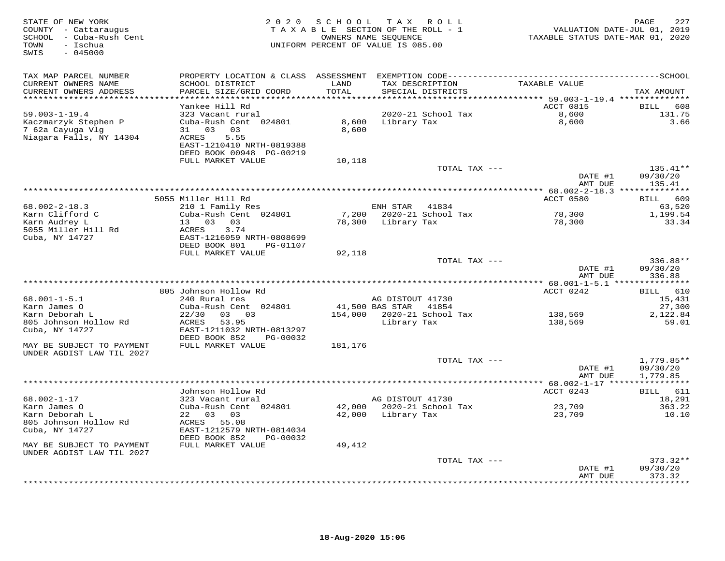| STATE OF NEW YORK<br>COUNTY - Cattaraugus<br>SCHOOL - Cuba-Rush Cent<br>- Ischua<br>TOWN<br>SWIS<br>$-045000$ | 2 0 2 0                                                | SCHOOL TAX | R O L L<br>TAXABLE SECTION OF THE ROLL - 1<br>OWNERS NAME SEQUENCE<br>UNIFORM PERCENT OF VALUE IS 085.00 | VALUATION DATE-JUL 01, 2019<br>TAXABLE STATUS DATE-MAR 01, 2020 | 227<br>PAGE                |
|---------------------------------------------------------------------------------------------------------------|--------------------------------------------------------|------------|----------------------------------------------------------------------------------------------------------|-----------------------------------------------------------------|----------------------------|
| TAX MAP PARCEL NUMBER                                                                                         |                                                        |            |                                                                                                          |                                                                 |                            |
| CURRENT OWNERS NAME                                                                                           | SCHOOL DISTRICT                                        | LAND       | TAX DESCRIPTION                                                                                          | TAXABLE VALUE                                                   |                            |
| CURRENT OWNERS ADDRESS<br>**********************                                                              | PARCEL SIZE/GRID COORD<br>************************     | TOTAL      | SPECIAL DISTRICTS                                                                                        |                                                                 | TAX AMOUNT                 |
|                                                                                                               | Yankee Hill Rd                                         |            |                                                                                                          | ACCT 0815                                                       | <b>BILL</b><br>608         |
| $59.003 - 1 - 19.4$                                                                                           | 323 Vacant rural                                       |            | 2020-21 School Tax                                                                                       | 8,600                                                           | 131.75                     |
| Kaczmarzyk Stephen P                                                                                          | Cuba-Rush Cent 024801                                  | 8,600      | Library Tax                                                                                              | 8,600                                                           | 3.66                       |
| 7 62a Cayuga Vlg                                                                                              | 31 03 03                                               | 8,600      |                                                                                                          |                                                                 |                            |
| Niagara Falls, NY 14304                                                                                       | 5.55<br>ACRES<br>EAST-1210410 NRTH-0819388             |            |                                                                                                          |                                                                 |                            |
|                                                                                                               | DEED BOOK 00948 PG-00219                               |            |                                                                                                          |                                                                 |                            |
|                                                                                                               | FULL MARKET VALUE                                      | 10,118     |                                                                                                          |                                                                 |                            |
|                                                                                                               |                                                        |            | TOTAL TAX ---                                                                                            |                                                                 | $135.41**$                 |
|                                                                                                               |                                                        |            |                                                                                                          | DATE #1                                                         | 09/30/20                   |
|                                                                                                               |                                                        |            |                                                                                                          | AMT DUE                                                         | 135.41                     |
|                                                                                                               | 5055 Miller Hill Rd                                    |            |                                                                                                          | ACCT 0580                                                       | 609<br><b>BILL</b>         |
| $68.002 - 2 - 18.3$                                                                                           | 210 1 Family Res                                       |            | ENH STAR<br>41834                                                                                        |                                                                 | 63,520                     |
| Karn Clifford C                                                                                               | Cuba-Rush Cent 024801                                  | 7,200      | 2020-21 School Tax                                                                                       | 78,300                                                          | 1,199.54                   |
| Karn Audrey L<br>5055 Miller Hill Rd                                                                          | 13 03 03<br>3.74<br>ACRES                              | 78,300     | Library Tax                                                                                              | 78,300                                                          | 33.34                      |
| Cuba, NY 14727                                                                                                | EAST-1216059 NRTH-0808699                              |            |                                                                                                          |                                                                 |                            |
|                                                                                                               | DEED BOOK 801<br>PG-01107                              |            |                                                                                                          |                                                                 |                            |
|                                                                                                               | FULL MARKET VALUE                                      | 92,118     |                                                                                                          |                                                                 |                            |
|                                                                                                               |                                                        |            | TOTAL TAX ---                                                                                            | DATE #1                                                         | 336.88**<br>09/30/20       |
|                                                                                                               |                                                        |            |                                                                                                          | AMT DUE                                                         | 336.88                     |
|                                                                                                               |                                                        |            |                                                                                                          | **************** 68.001-1-5.1 ****************                  |                            |
|                                                                                                               | 805 Johnson Hollow Rd                                  |            |                                                                                                          | ACCT 0242                                                       | BILL 610                   |
| $68.001 - 1 - 5.1$<br>Karn James O                                                                            | 240 Rural res<br>Cuba-Rush Cent 024801                 |            | AG DISTOUT 41730<br>41,500 BAS STAR<br>41854                                                             |                                                                 | 15,431                     |
| Karn Deborah L                                                                                                | 22/30<br>03 03                                         | 154,000    | 2020-21 School Tax                                                                                       | 138,569                                                         | 27,300<br>2,122.84         |
| 805 Johnson Hollow Rd                                                                                         | 53.95<br>ACRES                                         |            | Library Tax                                                                                              | 138,569                                                         | 59.01                      |
| Cuba, NY 14727                                                                                                | EAST-1211032 NRTH-0813297                              |            |                                                                                                          |                                                                 |                            |
|                                                                                                               | DEED BOOK 852<br>PG-00032                              |            |                                                                                                          |                                                                 |                            |
| MAY BE SUBJECT TO PAYMENT<br>UNDER AGDIST LAW TIL 2027                                                        | FULL MARKET VALUE                                      | 181,176    |                                                                                                          |                                                                 |                            |
|                                                                                                               |                                                        |            | TOTAL TAX ---                                                                                            |                                                                 | $1,779.85**$               |
|                                                                                                               |                                                        |            |                                                                                                          | DATE #1                                                         | 09/30/20                   |
|                                                                                                               |                                                        |            |                                                                                                          | AMT DUE                                                         | 1,779.85                   |
|                                                                                                               | Johnson Hollow Rd                                      |            |                                                                                                          | ******** 68.002-1-17 ****<br>ACCT 0243                          | ***********<br>611<br>BILL |
| $68.002 - 1 - 17$                                                                                             | 323 Vacant rural                                       |            | AG DISTOUT 41730                                                                                         |                                                                 | 18,291                     |
| Karn James O                                                                                                  | Cuba-Rush Cent 024801                                  |            | 42,000 2020-21 School Tax                                                                                | 23,709                                                          | 363.22                     |
| Karn Deborah L                                                                                                | 22 03 03                                               |            | 42,000 Library Tax                                                                                       | 23,709                                                          | 10.10                      |
| 805 Johnson Hollow Rd                                                                                         | ACRES 55.08                                            |            |                                                                                                          |                                                                 |                            |
| Cuba, NY 14727                                                                                                | EAST-1212579 NRTH-0814034<br>DEED BOOK 852<br>PG-00032 |            |                                                                                                          |                                                                 |                            |
| MAY BE SUBJECT TO PAYMENT                                                                                     | FULL MARKET VALUE                                      | 49,412     |                                                                                                          |                                                                 |                            |
| UNDER AGDIST LAW TIL 2027                                                                                     |                                                        |            |                                                                                                          |                                                                 |                            |
|                                                                                                               |                                                        |            | TOTAL TAX ---                                                                                            |                                                                 | $373.32**$                 |
|                                                                                                               |                                                        |            |                                                                                                          | DATE #1<br>AMT DUE                                              | 09/30/20<br>373.32         |
|                                                                                                               |                                                        |            |                                                                                                          |                                                                 | * * * * * * * *            |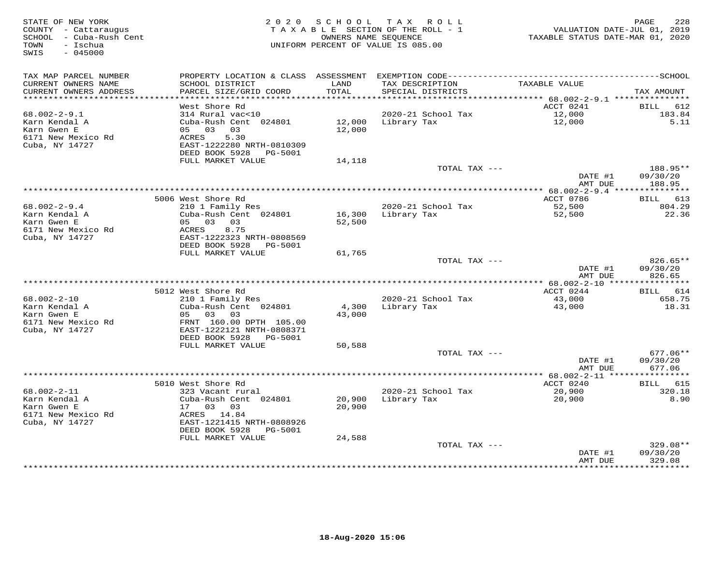| STATE OF NEW YORK<br>COUNTY - Cattaraugus<br>SCHOOL - Cuba-Rush Cent<br>TOWN<br>- Ischua<br>SWIS<br>$-045000$ |                                                |               | 2020 SCHOOL TAX ROLL<br>TAXABLE SECTION OF THE ROLL - 1<br>OWNERS NAME SEQUENCE<br>UNIFORM PERCENT OF VALUE IS 085.00 | VALUATION DATE-JUL 01, 2019<br>TAXABLE STATUS DATE-MAR 01, 2020 | PAGE<br>228           |
|---------------------------------------------------------------------------------------------------------------|------------------------------------------------|---------------|-----------------------------------------------------------------------------------------------------------------------|-----------------------------------------------------------------|-----------------------|
| TAX MAP PARCEL NUMBER                                                                                         |                                                |               |                                                                                                                       |                                                                 |                       |
| CURRENT OWNERS NAME<br>CURRENT OWNERS ADDRESS                                                                 | SCHOOL DISTRICT<br>PARCEL SIZE/GRID COORD      | LAND<br>TOTAL | TAX DESCRIPTION<br>SPECIAL DISTRICTS                                                                                  | TAXABLE VALUE                                                   | TAX AMOUNT            |
|                                                                                                               |                                                |               |                                                                                                                       |                                                                 |                       |
| $68.002 - 2 - 9.1$                                                                                            | West Shore Rd<br>314 Rural vac<10              |               | 2020-21 School Tax                                                                                                    | ACCT 0241                                                       | BILL<br>612<br>183.84 |
| Karn Kendal A                                                                                                 | Cuba-Rush Cent 024801                          | 12,000        | Library Tax                                                                                                           | $\frac{12,000}{12,000}$<br>12,000                               | 5.11                  |
| Karn Gwen E                                                                                                   | 05 03 03                                       | 12,000        |                                                                                                                       |                                                                 |                       |
| 6171 New Mexico Rd                                                                                            | 5.30<br>ACRES                                  |               |                                                                                                                       |                                                                 |                       |
| Cuba, NY 14727                                                                                                | EAST-1222280 NRTH-0810309                      |               |                                                                                                                       |                                                                 |                       |
|                                                                                                               | DEED BOOK 5928<br>PG-5001                      |               |                                                                                                                       |                                                                 |                       |
|                                                                                                               | FULL MARKET VALUE                              | 14,118        | TOTAL TAX ---                                                                                                         |                                                                 | 188.95**              |
|                                                                                                               |                                                |               |                                                                                                                       | DATE #1                                                         | 09/30/20              |
|                                                                                                               |                                                |               |                                                                                                                       | AMT DUE                                                         | 188.95                |
|                                                                                                               |                                                |               |                                                                                                                       |                                                                 |                       |
|                                                                                                               | 5006 West Shore Rd                             |               |                                                                                                                       | ACCT 0786                                                       | <b>BILL</b> 613       |
| $68.002 - 2 - 9.4$                                                                                            | 210 1 Family Res                               |               | 2020-21 School Tax                                                                                                    | 52,500                                                          | 804.29                |
| Karn Kendal A                                                                                                 | Cuba-Rush Cent 024801                          |               | 16,300 Library Tax                                                                                                    | 52,500                                                          | 22.36                 |
| Karn Gwen E<br>6171 New Mexico Rd                                                                             | 05 03 03<br>ACRES<br>8.75                      | 52,500        |                                                                                                                       |                                                                 |                       |
| Cuba, NY 14727                                                                                                | EAST-1222323 NRTH-0808569                      |               |                                                                                                                       |                                                                 |                       |
|                                                                                                               | DEED BOOK 5928 PG-5001                         |               |                                                                                                                       |                                                                 |                       |
|                                                                                                               | FULL MARKET VALUE                              | 61,765        |                                                                                                                       |                                                                 |                       |
|                                                                                                               |                                                |               | TOTAL TAX ---                                                                                                         |                                                                 | 826.65**              |
|                                                                                                               |                                                |               |                                                                                                                       | DATE #1                                                         | 09/30/20              |
|                                                                                                               |                                                |               |                                                                                                                       | AMT DUE                                                         | 826.65                |
|                                                                                                               | 5012 West Shore Rd                             |               |                                                                                                                       | ACCT 0244                                                       | BILL 614              |
| 68.002-2-10                                                                                                   | 210 1 Family Res                               |               | 2020-21 School Tax                                                                                                    | 43,000                                                          | 658.75                |
| Karn Kendal A                                                                                                 | Cuba-Rush Cent 024801                          | 4,300         | Library Tax                                                                                                           | 43,000                                                          | 18.31                 |
| Karn Gwen E                                                                                                   | 05 03 03                                       | 43,000        |                                                                                                                       |                                                                 |                       |
| 6171 New Mexico Rd                                                                                            | FRNT 160.00 DPTH 105.00                        |               |                                                                                                                       |                                                                 |                       |
| Cuba, NY 14727                                                                                                | EAST-1222121 NRTH-0808371                      |               |                                                                                                                       |                                                                 |                       |
|                                                                                                               | DEED BOOK 5928<br>PG-5001<br>FULL MARKET VALUE |               |                                                                                                                       |                                                                 |                       |
|                                                                                                               |                                                | 50,588        | TOTAL TAX ---                                                                                                         |                                                                 | $677.06**$            |
|                                                                                                               |                                                |               |                                                                                                                       | DATE #1                                                         | 09/30/20              |
|                                                                                                               |                                                |               |                                                                                                                       | AMT DUE                                                         | 677.06                |
|                                                                                                               |                                                |               |                                                                                                                       |                                                                 |                       |
|                                                                                                               | 5010 West Shore Rd                             |               |                                                                                                                       | ACCT 0240                                                       | 615<br>BILL           |
| $68.002 - 2 - 11$                                                                                             | 323 Vacant rural                               |               | 2020-21 School Tax                                                                                                    | 20,900                                                          | 320.18                |
| Karn Kendal A                                                                                                 | Cuba-Rush Cent 024801                          | 20,900        | Library Tax                                                                                                           | 20,900                                                          | 8.90                  |
| Karn Gwen E<br>6171 New Mexico Rd                                                                             | 17 03 03<br>ACRES 14.84                        | 20,900        |                                                                                                                       |                                                                 |                       |
| Cuba, NY 14727                                                                                                | EAST-1221415 NRTH-0808926                      |               |                                                                                                                       |                                                                 |                       |
|                                                                                                               | DEED BOOK 5928<br>PG-5001                      |               |                                                                                                                       |                                                                 |                       |
|                                                                                                               | FULL MARKET VALUE                              | 24,588        |                                                                                                                       |                                                                 |                       |
|                                                                                                               |                                                |               | TOTAL TAX ---                                                                                                         |                                                                 | 329.08**              |
|                                                                                                               |                                                |               |                                                                                                                       | DATE #1                                                         | 09/30/20              |
|                                                                                                               |                                                |               |                                                                                                                       | AMT DUE<br>****************                                     | 329.08<br>**********  |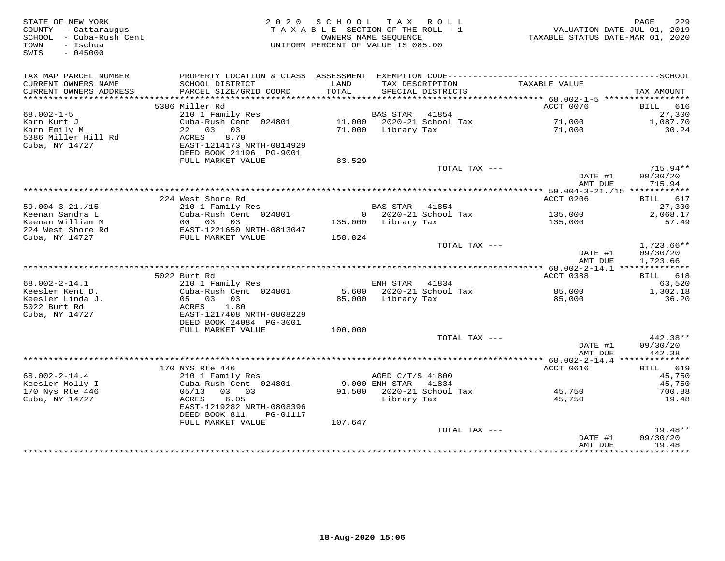| STATE OF NEW YORK<br>COUNTY - Cattaraugus<br>- Cuba-Rush Cent<br>SCHOOL<br>- Ischua<br>TOWN<br>SWIS<br>$-045000$ |                                            | 2020 SCHOOL<br>TAXABLE SECTION OF THE ROLL - 1<br>OWNERS NAME SEQUENCE<br>UNIFORM PERCENT OF VALUE IS 085.00 |                       | TAX ROLL                             | VALUATION DATE-JUL 01, 2019<br>TAXABLE STATUS DATE-MAR 01, 2020 | 229<br>PAGE            |
|------------------------------------------------------------------------------------------------------------------|--------------------------------------------|--------------------------------------------------------------------------------------------------------------|-----------------------|--------------------------------------|-----------------------------------------------------------------|------------------------|
| TAX MAP PARCEL NUMBER                                                                                            |                                            |                                                                                                              |                       |                                      |                                                                 |                        |
| CURRENT OWNERS NAME<br>CURRENT OWNERS ADDRESS                                                                    | SCHOOL DISTRICT<br>PARCEL SIZE/GRID COORD  | LAND<br>TOTAL                                                                                                |                       | TAX DESCRIPTION<br>SPECIAL DISTRICTS | TAXABLE VALUE                                                   | TAX AMOUNT             |
|                                                                                                                  |                                            |                                                                                                              |                       |                                      |                                                                 |                        |
|                                                                                                                  | 5386 Miller Rd                             |                                                                                                              |                       |                                      | ACCT 0076                                                       | BILL 616               |
| $68.002 - 1 - 5$                                                                                                 | 210 1 Family Res                           |                                                                                                              | <b>BAS STAR</b> 41854 |                                      |                                                                 | 27,300                 |
| Karn Kurt J                                                                                                      | Cuba-Rush Cent 024801                      |                                                                                                              |                       | 11,000  2020-21  School Tax          | 71,000                                                          | 1,087.70               |
| Karn Emily M                                                                                                     | 22 03 03                                   |                                                                                                              | 71,000 Library Tax    |                                      | 71,000                                                          | 30.24                  |
| 5386 Miller Hill Rd<br>Cuba, NY 14727                                                                            | 8.70<br>ACRES<br>EAST-1214173 NRTH-0814929 |                                                                                                              |                       |                                      |                                                                 |                        |
|                                                                                                                  | DEED BOOK 21196 PG-9001                    |                                                                                                              |                       |                                      |                                                                 |                        |
|                                                                                                                  | FULL MARKET VALUE                          | 83,529                                                                                                       |                       |                                      |                                                                 |                        |
|                                                                                                                  |                                            |                                                                                                              |                       | TOTAL TAX ---                        | DATE #1                                                         | $715.94**$<br>09/30/20 |
|                                                                                                                  |                                            |                                                                                                              |                       |                                      | AMT DUE                                                         | 715.94                 |
|                                                                                                                  |                                            |                                                                                                              |                       |                                      |                                                                 |                        |
|                                                                                                                  | 224 West Shore Rd                          |                                                                                                              |                       |                                      | ACCT 0206                                                       | BILL 617               |
| $59.004 - 3 - 21. / 15$<br>Keenan Sandra L                                                                       | 210 1 Family Res<br>Cuba-Rush Cent 024801  |                                                                                                              | BAS STAR 41854        | 0 2020-21 School Tax                 | 135,000                                                         | 27,300<br>2,068.17     |
| Keenan William M                                                                                                 | 00 03 03                                   |                                                                                                              | 135,000 Library Tax   |                                      | 135,000                                                         | 57.49                  |
| 224 West Shore Rd                                                                                                | EAST-1221650 NRTH-0813047                  |                                                                                                              |                       |                                      |                                                                 |                        |
| Cuba, NY 14727                                                                                                   | FULL MARKET VALUE                          | 158,824                                                                                                      |                       |                                      |                                                                 |                        |
|                                                                                                                  |                                            |                                                                                                              |                       | TOTAL TAX ---                        | DATE #1                                                         | 1,723.66**<br>09/30/20 |
|                                                                                                                  |                                            |                                                                                                              |                       |                                      | AMT DUE                                                         | 1,723.66               |
|                                                                                                                  | 5022 Burt Rd                               |                                                                                                              |                       |                                      | ACCT 0388                                                       | BILL 618               |
| $68.002 - 2 - 14.1$                                                                                              | 210 1 Family Res                           |                                                                                                              | ENH STAR 41834        |                                      |                                                                 | 63,520                 |
| Keesler Kent D.                                                                                                  | Cuba-Rush Cent 024801                      |                                                                                                              |                       | 5,600 2020-21 School Tax             | 85,000                                                          | 1,302.18               |
| Keesler Linda J.                                                                                                 | 05 03 03                                   |                                                                                                              | 85,000 Library Tax    |                                      | 85,000                                                          | 36.20                  |
| 5022 Burt Rd                                                                                                     | ACRES<br>1.80                              |                                                                                                              |                       |                                      |                                                                 |                        |
| Cuba, NY 14727                                                                                                   | EAST-1217408 NRTH-0808229                  |                                                                                                              |                       |                                      |                                                                 |                        |
|                                                                                                                  | DEED BOOK 24084 PG-3001                    |                                                                                                              |                       |                                      |                                                                 |                        |
|                                                                                                                  | FULL MARKET VALUE                          | 100,000                                                                                                      |                       | TOTAL TAX ---                        |                                                                 | 442.38**               |
|                                                                                                                  |                                            |                                                                                                              |                       |                                      | DATE #1                                                         | 09/30/20               |
|                                                                                                                  |                                            |                                                                                                              |                       |                                      | AMT DUE                                                         | 442.38                 |
|                                                                                                                  |                                            |                                                                                                              |                       |                                      |                                                                 |                        |
|                                                                                                                  | 170 NYS Rte 446                            |                                                                                                              |                       |                                      | ACCT 0616                                                       | BILL 619               |
| $68.002 - 2 - 14.4$                                                                                              | 210 1 Family Res                           |                                                                                                              | AGED C/T/S 41800      |                                      |                                                                 | 45,750                 |
| Keesler Molly I                                                                                                  | Cuba-Rush Cent 024801                      |                                                                                                              | 9,000 ENH STAR 41834  |                                      |                                                                 | 45,750                 |
| 170 Nys Rte 446<br>Cuba, NY 14727                                                                                | 05/13<br>03 03<br>6.05<br>ACRES            |                                                                                                              | Library Tax           | 91,500 2020-21 School Tax            | 45,750<br>45,750                                                | 700.88<br>19.48        |
|                                                                                                                  | EAST-1219282 NRTH-0808396                  |                                                                                                              |                       |                                      |                                                                 |                        |
|                                                                                                                  | DEED BOOK 811<br>PG-01117                  |                                                                                                              |                       |                                      |                                                                 |                        |
|                                                                                                                  | FULL MARKET VALUE                          | 107,647                                                                                                      |                       |                                      |                                                                 |                        |
|                                                                                                                  |                                            |                                                                                                              |                       | TOTAL TAX ---                        |                                                                 | $19.48**$              |
|                                                                                                                  |                                            |                                                                                                              |                       |                                      | DATE #1                                                         | 09/30/20               |
|                                                                                                                  |                                            |                                                                                                              |                       |                                      | AMT DUE                                                         | 19.48<br>*********     |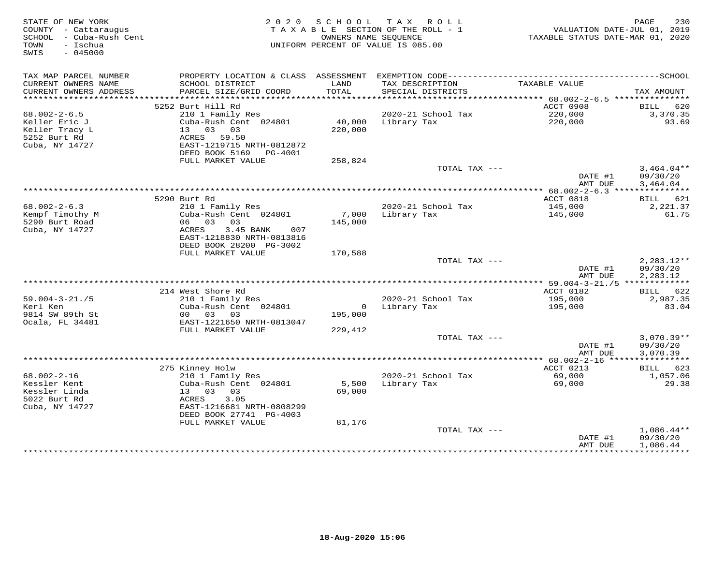| STATE OF NEW YORK<br>COUNTY - Cattaraugus<br>SCHOOL - Cuba-Rush Cent<br>- Ischua<br>TOWN<br>$-045000$<br>SWIS | 2 0 2 0                                                                     | S C H O O L<br>OWNERS NAME SEQUENCE | T A X<br>R O L L<br>TAXABLE SECTION OF THE ROLL - 1<br>UNIFORM PERCENT OF VALUE IS 085.00 | VALUATION DATE-JUL 01, 2019<br>TAXABLE STATUS DATE-MAR 01, 2020 | 230<br>PAGE             |
|---------------------------------------------------------------------------------------------------------------|-----------------------------------------------------------------------------|-------------------------------------|-------------------------------------------------------------------------------------------|-----------------------------------------------------------------|-------------------------|
| TAX MAP PARCEL NUMBER                                                                                         | PROPERTY LOCATION & CLASS ASSESSMENT EXEMPTION CODE------------------------ |                                     |                                                                                           |                                                                 | ----------------SCHOOL  |
| CURRENT OWNERS NAME<br>CURRENT OWNERS ADDRESS                                                                 | SCHOOL DISTRICT<br>PARCEL SIZE/GRID COORD                                   | LAND<br>TOTAL                       | TAX DESCRIPTION<br>SPECIAL DISTRICTS                                                      | TAXABLE VALUE                                                   | TAX AMOUNT              |
|                                                                                                               |                                                                             |                                     |                                                                                           |                                                                 |                         |
|                                                                                                               | 5252 Burt Hill Rd                                                           |                                     |                                                                                           | <b>ACCT 0908</b>                                                | <b>BILL</b><br>620      |
| $68.002 - 2 - 6.5$                                                                                            | 210 1 Family Res                                                            |                                     | 2020-21 School Tax                                                                        | 220,000                                                         | 3,370.35                |
| Keller Eric J                                                                                                 | Cuba-Rush Cent 024801                                                       | 40,000                              | Library Tax                                                                               | 220,000                                                         | 93.69                   |
| Keller Tracy L                                                                                                | 13 03 03                                                                    | 220,000                             |                                                                                           |                                                                 |                         |
| 5252 Burt Rd<br>Cuba, NY 14727                                                                                | ACRES 59.50<br>EAST-1219715 NRTH-0812872                                    |                                     |                                                                                           |                                                                 |                         |
|                                                                                                               | DEED BOOK 5169<br>PG-4001                                                   |                                     |                                                                                           |                                                                 |                         |
|                                                                                                               | FULL MARKET VALUE                                                           | 258,824                             |                                                                                           |                                                                 |                         |
|                                                                                                               |                                                                             |                                     | TOTAL TAX ---                                                                             |                                                                 | $3,464.04**$            |
|                                                                                                               |                                                                             |                                     |                                                                                           | DATE #1                                                         | 09/30/20                |
|                                                                                                               |                                                                             |                                     |                                                                                           | AMT DUE                                                         | 3,464.04                |
|                                                                                                               |                                                                             |                                     |                                                                                           |                                                                 |                         |
|                                                                                                               | 5290 Burt Rd                                                                |                                     |                                                                                           | ACCT 0818                                                       | BILL 621                |
| $68.002 - 2 - 6.3$                                                                                            | 210 1 Family Res                                                            |                                     | 2020-21 School Tax                                                                        | 145,000                                                         | 2,221.37                |
| Kempf Timothy M                                                                                               | Cuba-Rush Cent 024801                                                       | 7,000                               | Library Tax                                                                               | 145,000                                                         | 61.75                   |
| 5290 Burt Road                                                                                                | 06 03<br>03                                                                 | 145,000                             |                                                                                           |                                                                 |                         |
| Cuba, NY 14727                                                                                                | 3.45 BANK<br>ACRES<br>007                                                   |                                     |                                                                                           |                                                                 |                         |
|                                                                                                               | EAST-1218830 NRTH-0813816<br>DEED BOOK 28200 PG-3002                        |                                     |                                                                                           |                                                                 |                         |
|                                                                                                               | FULL MARKET VALUE                                                           |                                     |                                                                                           |                                                                 |                         |
|                                                                                                               |                                                                             | 170,588                             | TOTAL TAX ---                                                                             |                                                                 | $2,283.12**$            |
|                                                                                                               |                                                                             |                                     |                                                                                           | DATE #1                                                         | 09/30/20                |
|                                                                                                               |                                                                             |                                     |                                                                                           | AMT DUE                                                         | 2,283.12                |
|                                                                                                               |                                                                             |                                     |                                                                                           |                                                                 |                         |
|                                                                                                               | 214 West Shore Rd                                                           |                                     |                                                                                           | ACCT 0182                                                       | BILL 622                |
| $59.004 - 3 - 21.75$                                                                                          | 210 1 Family Res                                                            |                                     | 2020-21 School Tax                                                                        | 195,000                                                         | 2,987.35                |
| Kerl Ken                                                                                                      | Cuba-Rush Cent 024801                                                       | $\overline{0}$                      | Library Tax                                                                               | 195,000                                                         | 83.04                   |
| 9814 SW 89th St                                                                                               | 00 03 03                                                                    | 195,000                             |                                                                                           |                                                                 |                         |
| Ocala, FL 34481                                                                                               | EAST-1221650 NRTH-0813047                                                   |                                     |                                                                                           |                                                                 |                         |
|                                                                                                               | FULL MARKET VALUE                                                           | 229,412                             |                                                                                           |                                                                 |                         |
|                                                                                                               |                                                                             |                                     | TOTAL TAX ---                                                                             |                                                                 | $3,070.39**$            |
|                                                                                                               |                                                                             |                                     |                                                                                           | DATE #1                                                         | 09/30/20                |
|                                                                                                               |                                                                             |                                     |                                                                                           | AMT DUE                                                         | 3,070.39                |
|                                                                                                               |                                                                             |                                     |                                                                                           |                                                                 |                         |
| $68.002 - 2 - 16$                                                                                             | 275 Kinney Holw<br>210 1 Family Res                                         |                                     | 2020-21 School Tax                                                                        | ACCT 0213<br>69,000                                             | 623<br>BILL<br>1,057.06 |
| Kessler Kent                                                                                                  | Cuba-Rush Cent 024801                                                       | 5,500                               | Library Tax                                                                               | 69,000                                                          | 29.38                   |
| Kessler Linda                                                                                                 | 13 03<br>03                                                                 | 69,000                              |                                                                                           |                                                                 |                         |
| 5022 Burt Rd                                                                                                  | ACRES<br>3.05                                                               |                                     |                                                                                           |                                                                 |                         |
| Cuba, NY 14727                                                                                                | EAST-1216681 NRTH-0808299                                                   |                                     |                                                                                           |                                                                 |                         |
|                                                                                                               | DEED BOOK 27741 PG-4003                                                     |                                     |                                                                                           |                                                                 |                         |
|                                                                                                               | FULL MARKET VALUE                                                           | 81,176                              |                                                                                           |                                                                 |                         |
|                                                                                                               |                                                                             |                                     | TOTAL TAX ---                                                                             |                                                                 | $1,086.44**$            |
|                                                                                                               |                                                                             |                                     |                                                                                           | DATE #1                                                         | 09/30/20                |
|                                                                                                               |                                                                             |                                     |                                                                                           | AMT DUE                                                         | 1,086.44                |
|                                                                                                               |                                                                             |                                     |                                                                                           | * * * * * * * * * * * * * * * * *                               | ***********             |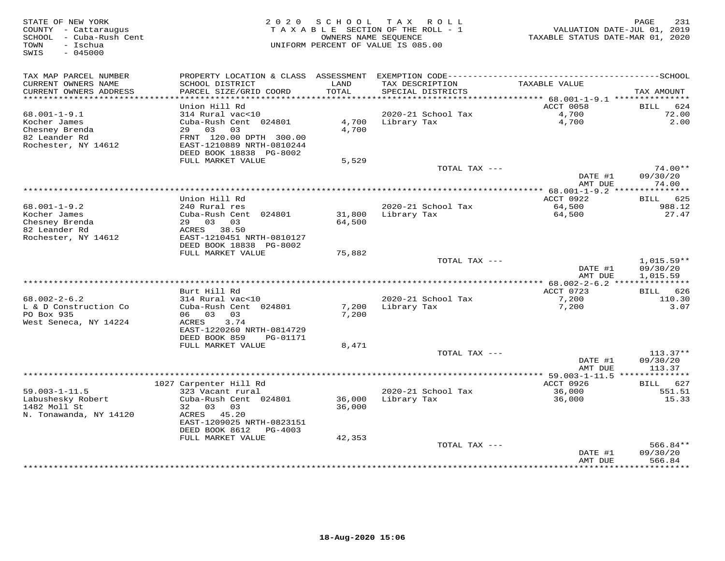| STATE OF NEW YORK<br>COUNTY - Cattaraugus<br>SCHOOL - Cuba-Rush Cent<br>- Ischua<br>TOWN<br>SWIS<br>$-045000$ | 2 0 2 0                                        | SCHOOL        | T A X<br>R O L L<br>TAXABLE SECTION OF THE ROLL - 1<br>OWNERS NAME SEOUENCE<br>UNIFORM PERCENT OF VALUE IS 085.00 | VALUATION DATE-JUL 01, 2019<br>TAXABLE STATUS DATE-MAR 01, 2020 | PAGE<br>231          |
|---------------------------------------------------------------------------------------------------------------|------------------------------------------------|---------------|-------------------------------------------------------------------------------------------------------------------|-----------------------------------------------------------------|----------------------|
| TAX MAP PARCEL NUMBER                                                                                         |                                                |               |                                                                                                                   |                                                                 |                      |
| CURRENT OWNERS NAME<br>CURRENT OWNERS ADDRESS                                                                 | SCHOOL DISTRICT<br>PARCEL SIZE/GRID COORD      | LAND<br>TOTAL | TAX DESCRIPTION<br>SPECIAL DISTRICTS                                                                              | TAXABLE VALUE                                                   | TAX AMOUNT           |
| ***********************                                                                                       | Union Hill Rd                                  |               |                                                                                                                   | ACCT 0058                                                       | <b>BILL</b><br>624   |
| $68.001 - 1 - 9.1$                                                                                            | 314 Rural vac<10                               |               | 2020-21 School Tax                                                                                                | 4,700                                                           | 72.00                |
| Kocher James                                                                                                  | Cuba-Rush Cent 024801                          | 4,700         | Library Tax                                                                                                       | 4,700                                                           | 2.00                 |
| Chesney Brenda                                                                                                | 29<br>03<br>03                                 | 4,700         |                                                                                                                   |                                                                 |                      |
| 82 Leander Rd                                                                                                 | FRNT 120.00 DPTH 300.00                        |               |                                                                                                                   |                                                                 |                      |
| Rochester, NY 14612                                                                                           | EAST-1210889 NRTH-0810244                      |               |                                                                                                                   |                                                                 |                      |
|                                                                                                               | DEED BOOK 18838 PG-8002<br>FULL MARKET VALUE   | 5,529         |                                                                                                                   |                                                                 |                      |
|                                                                                                               |                                                |               | TOTAL TAX ---                                                                                                     |                                                                 | $74.00**$            |
|                                                                                                               |                                                |               |                                                                                                                   | DATE #1                                                         | 09/30/20             |
|                                                                                                               |                                                |               |                                                                                                                   | AMT DUE                                                         | 74.00                |
|                                                                                                               |                                                |               | *********************************                                                                                 | ************ 68.001-1-9.2 ***************                       |                      |
| $68.001 - 1 - 9.2$                                                                                            | Union Hill Rd<br>240 Rural res                 |               | 2020-21 School Tax                                                                                                | ACCT 0922<br>64,500                                             | BILL 625<br>988.12   |
| Kocher James                                                                                                  | Cuba-Rush Cent 024801                          | 31,800        | Library Tax                                                                                                       | 64,500                                                          | 27.47                |
| Chesney Brenda                                                                                                | 29 03 03                                       | 64,500        |                                                                                                                   |                                                                 |                      |
| 82 Leander Rd                                                                                                 | ACRES 38.50                                    |               |                                                                                                                   |                                                                 |                      |
| Rochester, NY 14612                                                                                           | EAST-1210451 NRTH-0810127                      |               |                                                                                                                   |                                                                 |                      |
|                                                                                                               | DEED BOOK 18838 PG-8002<br>FULL MARKET VALUE   |               |                                                                                                                   |                                                                 |                      |
|                                                                                                               |                                                | 75,882        | TOTAL TAX ---                                                                                                     |                                                                 | 1,015.59**           |
|                                                                                                               |                                                |               |                                                                                                                   | DATE #1                                                         | 09/30/20             |
|                                                                                                               |                                                |               |                                                                                                                   | AMT DUE                                                         | 1,015.59             |
|                                                                                                               |                                                |               |                                                                                                                   |                                                                 |                      |
|                                                                                                               | Burt Hill Rd                                   |               |                                                                                                                   | ACCT 0723                                                       | BILL 626             |
| $68.002 - 2 - 6.2$<br>L & D Construction Co                                                                   | 314 Rural vac<10<br>Cuba-Rush Cent 024801      | 7,200         | 2020-21 School Tax<br>Library Tax                                                                                 | 7,200<br>7,200                                                  | 110.30<br>3.07       |
| PO Box 935                                                                                                    | 06 03<br>03                                    | 7,200         |                                                                                                                   |                                                                 |                      |
| West Seneca, NY 14224                                                                                         | ACRES<br>3.74                                  |               |                                                                                                                   |                                                                 |                      |
|                                                                                                               | EAST-1220260 NRTH-0814729                      |               |                                                                                                                   |                                                                 |                      |
|                                                                                                               | DEED BOOK 859<br>PG-01171<br>FULL MARKET VALUE |               |                                                                                                                   |                                                                 |                      |
|                                                                                                               |                                                | 8,471         | TOTAL TAX ---                                                                                                     |                                                                 | $113.37**$           |
|                                                                                                               |                                                |               |                                                                                                                   | DATE #1                                                         | 09/30/20             |
|                                                                                                               |                                                |               |                                                                                                                   | AMT DUE                                                         | 113.37               |
|                                                                                                               |                                                |               |                                                                                                                   |                                                                 | * * * * * * * * *    |
|                                                                                                               | 1027 Carpenter Hill Rd                         |               |                                                                                                                   | ACCT 0926                                                       | 627<br><b>BILL</b>   |
| $59.003 - 1 - 11.5$<br>Labushesky Robert                                                                      | 323 Vacant rural<br>Cuba-Rush Cent 024801      | 36,000        | 2020-21 School Tax<br>Library Tax                                                                                 | 36,000<br>36,000                                                | 551.51<br>15.33      |
| 1482 Moll St                                                                                                  | 32 03<br>03                                    | 36,000        |                                                                                                                   |                                                                 |                      |
| N. Tonawanda, NY 14120                                                                                        | 45.20<br>ACRES                                 |               |                                                                                                                   |                                                                 |                      |
|                                                                                                               | EAST-1209025 NRTH-0823151                      |               |                                                                                                                   |                                                                 |                      |
|                                                                                                               | DEED BOOK 8612<br>PG-4003                      |               |                                                                                                                   |                                                                 |                      |
|                                                                                                               | FULL MARKET VALUE                              | 42,353        |                                                                                                                   |                                                                 |                      |
|                                                                                                               |                                                |               | TOTAL TAX ---                                                                                                     | DATE #1                                                         | 566.84**<br>09/30/20 |
|                                                                                                               |                                                |               |                                                                                                                   | AMT DUE<br>***********                                          | 566.84<br>*********  |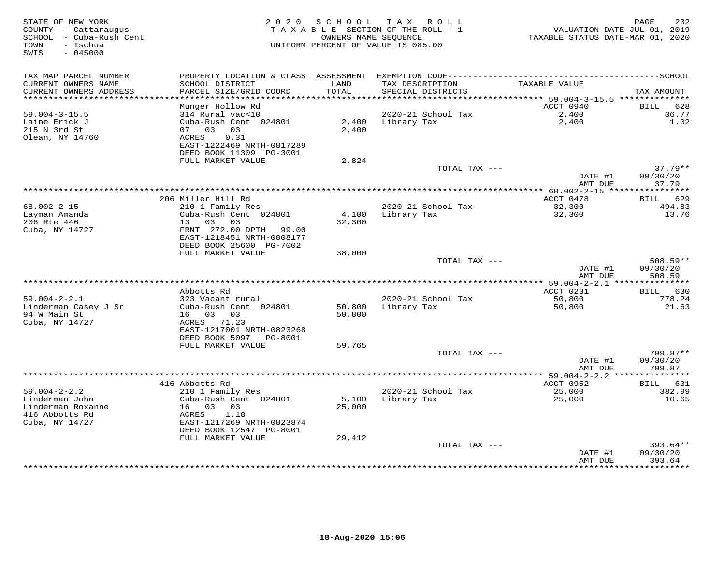| STATE OF NEW YORK<br>COUNTY - Cattaraugus<br>SCHOOL - Cuba-Rush Cent<br>TOWN<br>- Ischua<br>SWIS<br>$-045000$ | 2 0 2 0                                                | SCHOOL        | T A X<br>ROLL<br>TAXABLE SECTION OF THE ROLL - 1<br>OWNERS NAME SEQUENCE<br>UNIFORM PERCENT OF VALUE IS 085.00 | VALUATION DATE-JUL 01, 2019<br>TAXABLE STATUS DATE-MAR 01, 2020 | PAGE<br>232           |
|---------------------------------------------------------------------------------------------------------------|--------------------------------------------------------|---------------|----------------------------------------------------------------------------------------------------------------|-----------------------------------------------------------------|-----------------------|
| TAX MAP PARCEL NUMBER                                                                                         |                                                        |               |                                                                                                                |                                                                 |                       |
| CURRENT OWNERS NAME<br>CURRENT OWNERS ADDRESS                                                                 | SCHOOL DISTRICT<br>PARCEL SIZE/GRID COORD              | LAND<br>TOTAL | TAX DESCRIPTION<br>SPECIAL DISTRICTS                                                                           | TAXABLE VALUE                                                   | TAX AMOUNT            |
| *************************                                                                                     |                                                        |               |                                                                                                                | ACCT 0940                                                       | 628                   |
| $59.004 - 3 - 15.5$                                                                                           | Munger Hollow Rd<br>314 Rural vac<10                   |               | 2020-21 School Tax                                                                                             | 2,400                                                           | <b>BILL</b><br>36.77  |
| Laine Erick J                                                                                                 | Cuba-Rush Cent 024801                                  | 2,400         | Library Tax                                                                                                    | 2,400                                                           | 1.02                  |
| 215 N 3rd St                                                                                                  | 07 03<br>03                                            | 2,400         |                                                                                                                |                                                                 |                       |
| Olean, NY 14760                                                                                               | 0.31<br>ACRES                                          |               |                                                                                                                |                                                                 |                       |
|                                                                                                               | EAST-1222469 NRTH-0817289                              |               |                                                                                                                |                                                                 |                       |
|                                                                                                               | DEED BOOK 11309 PG-3001                                |               |                                                                                                                |                                                                 |                       |
|                                                                                                               | FULL MARKET VALUE                                      | 2,824         |                                                                                                                |                                                                 |                       |
|                                                                                                               |                                                        |               | TOTAL TAX ---                                                                                                  | DATE #1                                                         | $37.79**$<br>09/30/20 |
|                                                                                                               |                                                        |               |                                                                                                                | AMT DUE                                                         | 37.79                 |
|                                                                                                               |                                                        |               | ***********************************                                                                            | **************** 68.002-2-15 *****************                  |                       |
|                                                                                                               | 206 Miller Hill Rd                                     |               |                                                                                                                | ACCT 0478                                                       | BILL 629              |
| $68.002 - 2 - 15$                                                                                             | 210 1 Family Res                                       |               | 2020-21 School Tax                                                                                             | 32,300                                                          | 494.83                |
| Layman Amanda                                                                                                 | Cuba-Rush Cent 024801                                  | 4,100         | Library Tax                                                                                                    | 32,300                                                          | 13.76                 |
| 206 Rte 446                                                                                                   | 13 03<br>03                                            | 32,300        |                                                                                                                |                                                                 |                       |
| Cuba, NY 14727                                                                                                | FRNT 272.00 DPTH<br>99.00<br>EAST-1218451 NRTH-0808177 |               |                                                                                                                |                                                                 |                       |
|                                                                                                               | DEED BOOK 25600 PG-7002                                |               |                                                                                                                |                                                                 |                       |
|                                                                                                               | FULL MARKET VALUE                                      | 38,000        |                                                                                                                |                                                                 |                       |
|                                                                                                               |                                                        |               | TOTAL TAX ---                                                                                                  |                                                                 | 508.59**              |
|                                                                                                               |                                                        |               |                                                                                                                | DATE #1                                                         | 09/30/20              |
|                                                                                                               |                                                        |               |                                                                                                                | AMT DUE                                                         | 508.59                |
|                                                                                                               |                                                        |               |                                                                                                                |                                                                 |                       |
|                                                                                                               | Abbotts Rd                                             |               |                                                                                                                | ACCT 0231                                                       | BILL 630              |
| $59.004 - 2 - 2.1$<br>Linderman Casey J Sr                                                                    | 323 Vacant rural<br>Cuba-Rush Cent 024801              | 50,800        | 2020-21 School Tax<br>Library Tax                                                                              | 50,800<br>50,800                                                | 778.24<br>21.63       |
| 94 W Main St                                                                                                  | 16 03 03                                               | 50,800        |                                                                                                                |                                                                 |                       |
| Cuba, NY 14727                                                                                                | ACRES 71.23                                            |               |                                                                                                                |                                                                 |                       |
|                                                                                                               | EAST-1217001 NRTH-0823268                              |               |                                                                                                                |                                                                 |                       |
|                                                                                                               | DEED BOOK 5097<br>PG-8001                              |               |                                                                                                                |                                                                 |                       |
|                                                                                                               | FULL MARKET VALUE                                      | 59,765        |                                                                                                                |                                                                 |                       |
|                                                                                                               |                                                        |               | TOTAL TAX ---                                                                                                  |                                                                 | 799.87**              |
|                                                                                                               |                                                        |               |                                                                                                                | DATE #1                                                         | 09/30/20              |
|                                                                                                               |                                                        |               |                                                                                                                | AMT DUE                                                         | 799.87                |
|                                                                                                               | 416 Abbotts Rd                                         |               |                                                                                                                | ACCT 0952                                                       | 631<br>BILL           |
| $59.004 - 2 - 2.2$                                                                                            | 210 1 Family Res                                       |               | 2020-21 School Tax                                                                                             | 25,000                                                          | 382.99                |
| Linderman John                                                                                                | Cuba-Rush Cent 024801                                  | 5,100         | Library Tax                                                                                                    | 25,000                                                          | 10.65                 |
| Linderman Roxanne                                                                                             | 16 03<br>03                                            | 25,000        |                                                                                                                |                                                                 |                       |
| 416 Abbotts Rd                                                                                                | 1.18<br>ACRES                                          |               |                                                                                                                |                                                                 |                       |
| Cuba, NY 14727                                                                                                | EAST-1217269 NRTH-0823874                              |               |                                                                                                                |                                                                 |                       |
|                                                                                                               | DEED BOOK 12547 PG-8001<br>FULL MARKET VALUE           | 29,412        |                                                                                                                |                                                                 |                       |
|                                                                                                               |                                                        |               | TOTAL TAX ---                                                                                                  |                                                                 | $393.64**$            |
|                                                                                                               |                                                        |               |                                                                                                                | DATE #1                                                         | 09/30/20              |
|                                                                                                               |                                                        |               |                                                                                                                | AMT DUE                                                         | 393.64                |
|                                                                                                               |                                                        |               | ***************************                                                                                    | ************                                                    | * * * * * * * * * *   |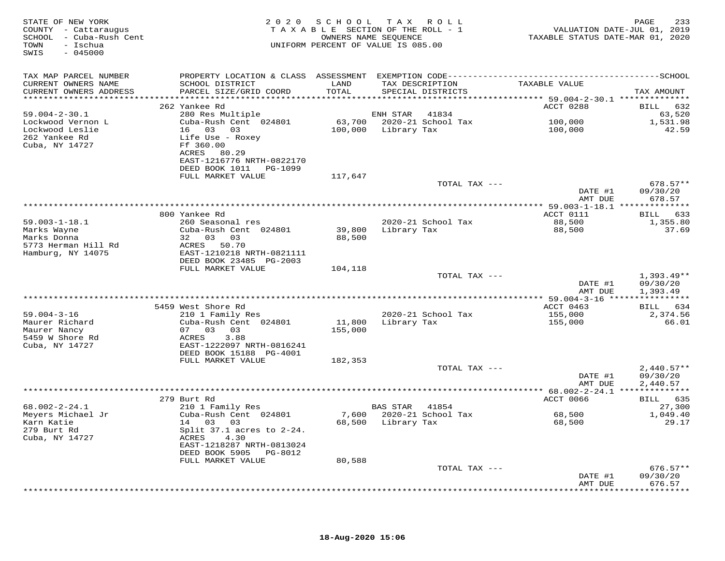| STATE OF NEW YORK<br>COUNTY - Cattaraugus<br>SCHOOL - Cuba-Rush Cent<br>TOWN - Ischua<br>$-045000$<br>SWIS |                                                                                                        |               | 2020 SCHOOL TAX ROLL<br>TAXABLE SECTION OF THE ROLL - 1<br>OWNERS NAME SEQUENCE<br>UNIFORM PERCENT OF VALUE IS 085.00 | VALUATION DATE-JUL 01, 2019<br>TAXABLE STATUS DATE-MAR 01, 2020 | PAGE<br>233            |
|------------------------------------------------------------------------------------------------------------|--------------------------------------------------------------------------------------------------------|---------------|-----------------------------------------------------------------------------------------------------------------------|-----------------------------------------------------------------|------------------------|
| TAX MAP PARCEL NUMBER                                                                                      |                                                                                                        |               |                                                                                                                       |                                                                 |                        |
| CURRENT OWNERS NAME<br>CURRENT OWNERS ADDRESS                                                              | SCHOOL DISTRICT<br>PARCEL SIZE/GRID COORD                                                              | LAND<br>TOTAL | TAX DESCRIPTION<br>SPECIAL DISTRICTS                                                                                  | TAXABLE VALUE                                                   | TAX AMOUNT             |
|                                                                                                            | 262 Yankee Rd                                                                                          |               |                                                                                                                       | ACCT 0288                                                       | BILL 632               |
| $59.004 - 2 - 30.1$                                                                                        | 280 Res Multiple                                                                                       |               | ENH STAR 41834                                                                                                        |                                                                 | 63,520                 |
| Lockwood Vernon L                                                                                          | Cuba-Rush Cent 024801 63,700 2020-21 School Tax                                                        |               |                                                                                                                       | 100,000                                                         | 1,531.98               |
| Lockwood Leslie                                                                                            | 16 03 03                                                                                               |               | 100,000 Library Tax                                                                                                   | 100,000                                                         | 42.59                  |
| 262 Yankee Rd<br>Cuba, NY 14727                                                                            | Life Use - Roxey<br>Ff 360.00<br>ACRES 80.29<br>EAST-1216776 NRTH-0822170<br>DEED BOOK 1011    PG-1099 |               |                                                                                                                       |                                                                 |                        |
|                                                                                                            | FULL MARKET VALUE                                                                                      | 117,647       |                                                                                                                       |                                                                 |                        |
|                                                                                                            |                                                                                                        |               | TOTAL TAX ---                                                                                                         | DATE #1                                                         | $678.57**$<br>09/30/20 |
|                                                                                                            |                                                                                                        |               |                                                                                                                       | AMT DUE                                                         | 678.57                 |
|                                                                                                            | 800 Yankee Rd                                                                                          |               |                                                                                                                       | ACCT 0111                                                       | BILL 633               |
| $59.003 - 1 - 18.1$                                                                                        | 260 Seasonal res                                                                                       |               | 2020-21 School Tax                                                                                                    |                                                                 | 1,355.80               |
| ba.www<br>Marks Wayne<br>Indonna                                                                           | Cuba-Rush Cent 024801                                                                                  |               | 39,800 Library Tax                                                                                                    | 88,500<br>88,500                                                | 37.69                  |
|                                                                                                            | 32 03 03                                                                                               | 88,500        |                                                                                                                       |                                                                 |                        |
| 5773 Herman Hill Rd<br>Hamburg, NY 14075                                                                   | ACRES 50.70                                                                                            |               |                                                                                                                       |                                                                 |                        |
|                                                                                                            | EAST-1210218 NRTH-0821111<br>DEED BOOK 23485 PG-2003                                                   |               |                                                                                                                       |                                                                 |                        |
|                                                                                                            | FULL MARKET VALUE                                                                                      | 104,118       |                                                                                                                       |                                                                 |                        |
|                                                                                                            |                                                                                                        |               | TOTAL TAX ---                                                                                                         | DATE #1                                                         | 1,393.49**             |
|                                                                                                            |                                                                                                        |               |                                                                                                                       |                                                                 | 09/30/20               |
|                                                                                                            |                                                                                                        |               |                                                                                                                       | AMT DUE                                                         | 1,393.49               |
|                                                                                                            | 5459 West Shore Rd                                                                                     |               |                                                                                                                       | ACCT 0463                                                       | BILL 634               |
| $59.004 - 3 - 16$                                                                                          | $210$ 1 Family Res                                                                                     |               | 2020-21 School Tax                                                                                                    | 155,000                                                         | 2,374.56               |
| Maurer Richard                                                                                             | Cuba-Rush Cent 024801                                                                                  | 11,800        | Library Tax                                                                                                           | 155,000                                                         | 66.01                  |
|                                                                                                            | 07 03 03                                                                                               | 155,000       |                                                                                                                       |                                                                 |                        |
| aurer Nancy<br>5459 W Shore Rd<br>Cuba, NY 14727                                                           | ACRES 3.88                                                                                             |               |                                                                                                                       |                                                                 |                        |
|                                                                                                            | EAST-1222097 NRTH-0816241                                                                              |               |                                                                                                                       |                                                                 |                        |
|                                                                                                            | DEED BOOK 15188 PG-4001                                                                                |               |                                                                                                                       |                                                                 |                        |
|                                                                                                            | FULL MARKET VALUE                                                                                      | 182,353       | TOTAL TAX ---                                                                                                         |                                                                 | $2,440.57**$           |
|                                                                                                            |                                                                                                        |               |                                                                                                                       | DATE #1                                                         | 09/30/20               |
|                                                                                                            |                                                                                                        |               |                                                                                                                       | AMT DUE                                                         | 2,440.57               |
|                                                                                                            |                                                                                                        |               |                                                                                                                       |                                                                 |                        |
| 68.002-2-24.1                                                                                              | 279 Burt Rd<br>210 1 Family Res                                                                        |               | BAS STAR 41854                                                                                                        | ACCT 0066                                                       | BILL 635<br>27,300     |
| Meyers Michael Jr                                                                                          | Cuba-Rush Cent 024801                                                                                  |               | 7,600 2020-21 School Tax                                                                                              | 68,500                                                          | 1,049.40               |
| Karn Katie                                                                                                 | 14 03 03                                                                                               |               | 68,500 Library Tax                                                                                                    | 68,500                                                          | 29.17                  |
| 279 Burt Rd                                                                                                | Split 37.1 acres to 2-24.                                                                              |               |                                                                                                                       |                                                                 |                        |
| Cuba, NY 14727                                                                                             | ACRES 4.30                                                                                             |               |                                                                                                                       |                                                                 |                        |
|                                                                                                            | EAST-1218287 NRTH-0813024                                                                              |               |                                                                                                                       |                                                                 |                        |
|                                                                                                            | DEED BOOK 5905 PG-8012<br>FULL MARKET VALUE                                                            | 80,588        |                                                                                                                       |                                                                 |                        |
|                                                                                                            |                                                                                                        |               | TOTAL TAX ---                                                                                                         |                                                                 | $676.57**$             |
|                                                                                                            |                                                                                                        |               |                                                                                                                       | DATE #1                                                         | 09/30/20               |
|                                                                                                            |                                                                                                        |               |                                                                                                                       | AMT DUE                                                         | 676.57                 |
|                                                                                                            |                                                                                                        |               | ***********************************                                                                                   |                                                                 | * * * * * * * * * * *  |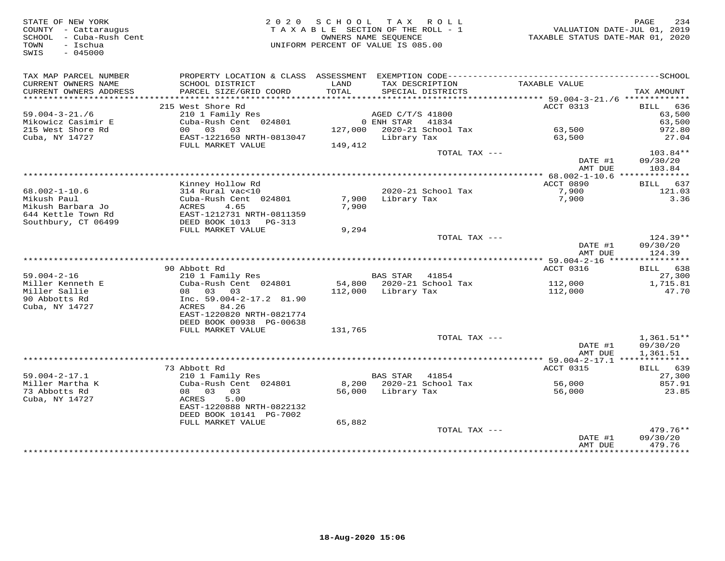| STATE OF NEW YORK<br>COUNTY - Cattaraugus<br>SCHOOL - Cuba-Rush Cent<br>- Ischua<br>TOWN<br>SWIS<br>$-045000$ | 2 0 2 0                                                                                                         | SCHOOL TAX ROLL<br>TAXABLE SECTION OF THE ROLL - 1<br>OWNERS NAME SEOUENCE<br>UNIFORM PERCENT OF VALUE IS 085.00 |                     |                                      | TAXABLE STATUS DATE-MAR 01, 2020 | 234<br>PAGE<br>VALUATION DATE-JUL 01, 2019 |
|---------------------------------------------------------------------------------------------------------------|-----------------------------------------------------------------------------------------------------------------|------------------------------------------------------------------------------------------------------------------|---------------------|--------------------------------------|----------------------------------|--------------------------------------------|
| TAX MAP PARCEL NUMBER<br>CURRENT OWNERS NAME<br>CURRENT OWNERS ADDRESS                                        | SCHOOL DISTRICT<br>PARCEL SIZE/GRID COORD                                                                       | LAND<br>TOTAL                                                                                                    |                     | TAX DESCRIPTION<br>SPECIAL DISTRICTS | TAXABLE VALUE                    | TAX AMOUNT                                 |
|                                                                                                               |                                                                                                                 |                                                                                                                  |                     |                                      |                                  |                                            |
|                                                                                                               | 215 West Shore Rd                                                                                               |                                                                                                                  |                     |                                      | ACCT 0313                        | BILL 636                                   |
| $59.004 - 3 - 21.76$                                                                                          | 210 1 Family Res                                                                                                |                                                                                                                  | AGED C/T/S 41800    |                                      |                                  | 63,500                                     |
| Mikowicz Casimir E<br>215 West Shore Rd                                                                       | Cuba-Rush Cent 024801<br>00 03 03                                                                               |                                                                                                                  | 0 ENH STAR          | 41834<br>127,000 2020-21 School Tax  | 63,500                           | 63,500<br>972.80                           |
| Cuba, NY 14727                                                                                                | EAST-1221650 NRTH-0813047<br>FULL MARKET VALUE                                                                  | 149,412                                                                                                          | Library Tax         |                                      | 63,500                           | 27.04                                      |
|                                                                                                               |                                                                                                                 |                                                                                                                  |                     | TOTAL TAX ---                        |                                  | 103.84**                                   |
|                                                                                                               |                                                                                                                 |                                                                                                                  |                     |                                      | DATE #1<br>AMT DUE               | 09/30/20<br>103.84                         |
|                                                                                                               |                                                                                                                 |                                                                                                                  |                     |                                      |                                  |                                            |
| $68.002 - 1 - 10.6$<br>Mikush Paul                                                                            | Kinney Hollow Rd<br>314 Rural vac<10                                                                            |                                                                                                                  |                     | 2020-21 School Tax                   | ACCT 0890<br>7,900               | 637<br>BILL<br>121.03<br>3.36              |
| Mikush Barbara Jo<br>644 Kettle Town Rd                                                                       | Cuba-Rush Cent 024801<br>4.65<br>ACRES<br>EAST-1212731 NRTH-0811359                                             | 7,900<br>7,900                                                                                                   | Library Tax         |                                      | 7,900                            |                                            |
| Southbury, CT 06499                                                                                           | DEED BOOK 1013 PG-313<br>FULL MARKET VALUE                                                                      | 9,294                                                                                                            |                     |                                      |                                  |                                            |
|                                                                                                               |                                                                                                                 |                                                                                                                  |                     | TOTAL TAX ---                        | DATE #1<br>AMT DUE               | $124.39**$<br>09/30/20<br>124.39           |
|                                                                                                               |                                                                                                                 |                                                                                                                  |                     |                                      |                                  |                                            |
|                                                                                                               | 90 Abbott Rd                                                                                                    |                                                                                                                  |                     |                                      | ACCT 0316                        | BILL 638                                   |
| $59.004 - 2 - 16$                                                                                             | 210 1 Family Res                                                                                                |                                                                                                                  | <b>BAS STAR</b>     | 41854                                |                                  | 27,300                                     |
| Miller Kenneth E<br>Miller Sallie<br>90 Abbotts Rd<br>Cuba, NY 14727                                          | Cuba-Rush Cent 024801<br>08 03 03<br>Inc. $59.004 - 2 - 17.2$ 81.90<br>ACRES 84.26<br>EAST-1220820 NRTH-0821774 |                                                                                                                  | 112,000 Library Tax | 54,800 2020-21 School Tax            | 112,000<br>112,000               | 1,715.81<br>47.70                          |
|                                                                                                               | DEED BOOK 00938 PG-00638                                                                                        |                                                                                                                  |                     |                                      |                                  |                                            |
|                                                                                                               | FULL MARKET VALUE                                                                                               | 131,765                                                                                                          |                     |                                      |                                  |                                            |
|                                                                                                               |                                                                                                                 |                                                                                                                  |                     | TOTAL TAX ---                        | DATE #1<br>AMT DUE               | $1,361.51**$<br>09/30/20<br>1,361.51       |
|                                                                                                               |                                                                                                                 |                                                                                                                  |                     |                                      |                                  |                                            |
|                                                                                                               | 73 Abbott Rd                                                                                                    |                                                                                                                  |                     |                                      | ACCT 0315                        | BILL 639                                   |
| $59.004 - 2 - 17.1$                                                                                           | 210 1 Family Res                                                                                                |                                                                                                                  | <b>BAS STAR</b>     | 41854                                |                                  | 27,300                                     |
| Miller Martha K<br>73 Abbotts Rd<br>Cuba, NY 14727                                                            | Cuba-Rush Cent 024801<br>08 03<br>03<br>5.00<br>ACRES                                                           |                                                                                                                  | 56,000 Library Tax  | 8,200 2020-21 School Tax             | 56,000<br>56,000                 | 857.91<br>23.85                            |
|                                                                                                               | EAST-1220888 NRTH-0822132<br>DEED BOOK 10141 PG-7002<br>FULL MARKET VALUE                                       | 65,882                                                                                                           |                     |                                      |                                  |                                            |
|                                                                                                               |                                                                                                                 |                                                                                                                  |                     | TOTAL TAX ---                        | DATE #1                          | $479.76**$<br>09/30/20                     |
|                                                                                                               |                                                                                                                 |                                                                                                                  |                     |                                      | AMT DUE                          | 479.76<br>* * * * * * * * * * *            |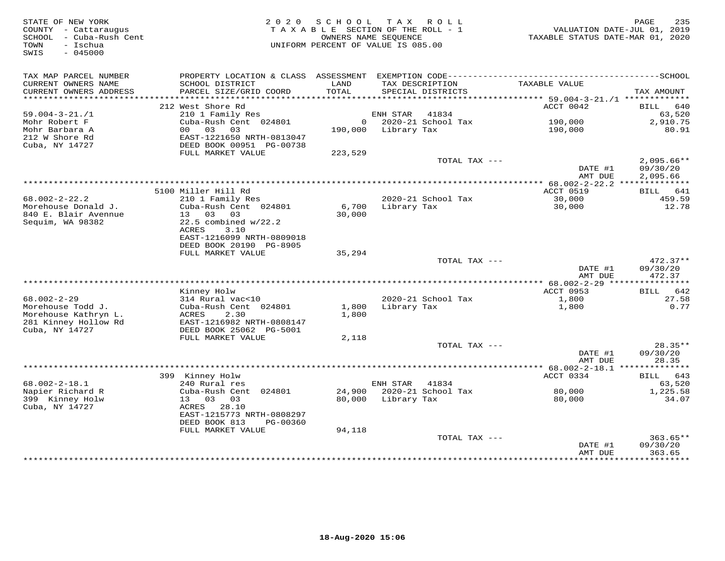| STATE OF NEW YORK<br>COUNTY - Cattaraugus<br>SCHOOL - Cuba-Rush Cent<br>- Ischua<br>TOWN<br>$-045000$<br>SWIS | 2 0 2 0                                                                | S C H O O L<br>TAXABLE SECTION OF THE ROLL - 1<br>OWNERS NAME SEOUENCE<br>UNIFORM PERCENT OF VALUE IS 085.00 |                     | TAX ROLL                             | TAXABLE STATUS DATE-MAR 01, 2020                 | 235<br>PAGE<br>VALUATION DATE-JUL 01, 2019 |
|---------------------------------------------------------------------------------------------------------------|------------------------------------------------------------------------|--------------------------------------------------------------------------------------------------------------|---------------------|--------------------------------------|--------------------------------------------------|--------------------------------------------|
| TAX MAP PARCEL NUMBER<br>CURRENT OWNERS NAME<br>CURRENT OWNERS ADDRESS                                        | SCHOOL DISTRICT<br>PARCEL SIZE/GRID COORD                              | LAND<br>TOTAL                                                                                                |                     | TAX DESCRIPTION<br>SPECIAL DISTRICTS | TAXABLE VALUE                                    | TAX AMOUNT                                 |
|                                                                                                               | 212 West Shore Rd                                                      |                                                                                                              |                     |                                      |                                                  |                                            |
| $59.004 - 3 - 21. / 1$                                                                                        | 210 1 Family Res                                                       |                                                                                                              | ENH STAR            | 41834                                | ACCT 0042                                        | BILL<br>640<br>63,520                      |
| Mohr Robert F                                                                                                 | Cuba-Rush Cent 024801                                                  |                                                                                                              |                     | $0$ 2020-21 School Tax               | 190,000                                          | 2,910.75                                   |
| Mohr Barbara A                                                                                                | 00 03<br>03                                                            |                                                                                                              | 190,000 Library Tax |                                      | 190,000                                          | 80.91                                      |
| 212 W Shore Rd<br>Cuba, NY 14727                                                                              | EAST-1221650 NRTH-0813047<br>DEED BOOK 00951 PG-00738                  |                                                                                                              |                     |                                      |                                                  |                                            |
|                                                                                                               | FULL MARKET VALUE                                                      | 223,529                                                                                                      |                     |                                      |                                                  |                                            |
|                                                                                                               |                                                                        |                                                                                                              |                     | TOTAL TAX ---                        |                                                  | $2,095.66**$                               |
|                                                                                                               |                                                                        |                                                                                                              |                     |                                      | DATE #1                                          | 09/30/20                                   |
|                                                                                                               |                                                                        |                                                                                                              |                     |                                      | AMT DUE                                          | 2,095.66                                   |
|                                                                                                               | 5100 Miller Hill Rd                                                    |                                                                                                              |                     |                                      | ACCT 0519                                        | BILL 641                                   |
| $68.002 - 2 - 22.2$                                                                                           | 210 1 Family Res                                                       |                                                                                                              |                     | 2020-21 School Tax                   | 30,000                                           | 459.59                                     |
| Morehouse Donald J.                                                                                           | Cuba-Rush Cent 024801<br>13<br>03 03                                   | 6,700                                                                                                        | Library Tax         |                                      | 30,000                                           | 12.78                                      |
| 840 E. Blair Avennue<br>Sequim, WA 98382                                                                      | $22.5$ combined $w/22.2$<br>3.10<br>ACRES<br>EAST-1216099 NRTH-0809018 | 30,000                                                                                                       |                     |                                      |                                                  |                                            |
|                                                                                                               | DEED BOOK 20190 PG-8905                                                |                                                                                                              |                     |                                      |                                                  |                                            |
|                                                                                                               | FULL MARKET VALUE                                                      | 35,294                                                                                                       |                     |                                      |                                                  |                                            |
|                                                                                                               |                                                                        |                                                                                                              |                     | TOTAL TAX ---                        | DATE #1<br>AMT DUE                               | $472.37**$<br>09/30/20<br>472.37           |
|                                                                                                               |                                                                        |                                                                                                              |                     |                                      | ****************** 68.002-2-29 ***************** |                                            |
| $68.002 - 2 - 29$                                                                                             | Kinney Holw<br>314 Rural vac<10                                        |                                                                                                              |                     | 2020-21 School Tax                   | ACCT 0953<br>1,800                               | BILL 642<br>27.58                          |
| Morehouse Todd J.                                                                                             | Cuba-Rush Cent 024801                                                  | 1,800                                                                                                        | Library Tax         |                                      | 1,800                                            | 0.77                                       |
| Morehouse Kathryn L.<br>281 Kinney Hollow Rd                                                                  | ACRES<br>2.30<br>EAST-1216982 NRTH-0808147                             | 1,800                                                                                                        |                     |                                      |                                                  |                                            |
| Cuba, NY 14727                                                                                                | DEED BOOK 25062 PG-5001<br>FULL MARKET VALUE                           |                                                                                                              |                     |                                      |                                                  |                                            |
|                                                                                                               |                                                                        | 2,118                                                                                                        |                     | TOTAL TAX ---                        |                                                  | $28.35**$                                  |
|                                                                                                               |                                                                        |                                                                                                              |                     |                                      | DATE #1                                          | 09/30/20                                   |
|                                                                                                               |                                                                        |                                                                                                              |                     |                                      | AMT DUE                                          | 28.35                                      |
|                                                                                                               |                                                                        |                                                                                                              |                     |                                      |                                                  | BILL 643                                   |
| $68.002 - 2 - 18.1$                                                                                           | 399 Kinney Holw<br>240 Rural res                                       |                                                                                                              | ENH STAR            | 41834                                | ACCT 0334                                        | 63,520                                     |
| Napier Richard R                                                                                              | Cuba-Rush Cent 024801                                                  |                                                                                                              |                     | 24,900 2020-21 School Tax            | 80,000                                           | 1,225.58                                   |
| 399 Kinney Holw                                                                                               | 13 03 03                                                               |                                                                                                              | 80,000 Library Tax  |                                      | 80,000                                           | 34.07                                      |
| Cuba, NY 14727                                                                                                | ACRES 28.10<br>EAST-1215773 NRTH-0808297<br>DEED BOOK 813<br>PG-00360  |                                                                                                              |                     |                                      |                                                  |                                            |
|                                                                                                               | FULL MARKET VALUE                                                      | 94,118                                                                                                       |                     |                                      |                                                  |                                            |
|                                                                                                               |                                                                        |                                                                                                              |                     | TOTAL TAX ---                        | DATE #1                                          | $363.65**$<br>09/30/20                     |
|                                                                                                               |                                                                        |                                                                                                              |                     |                                      | AMT DUE                                          | 363.65                                     |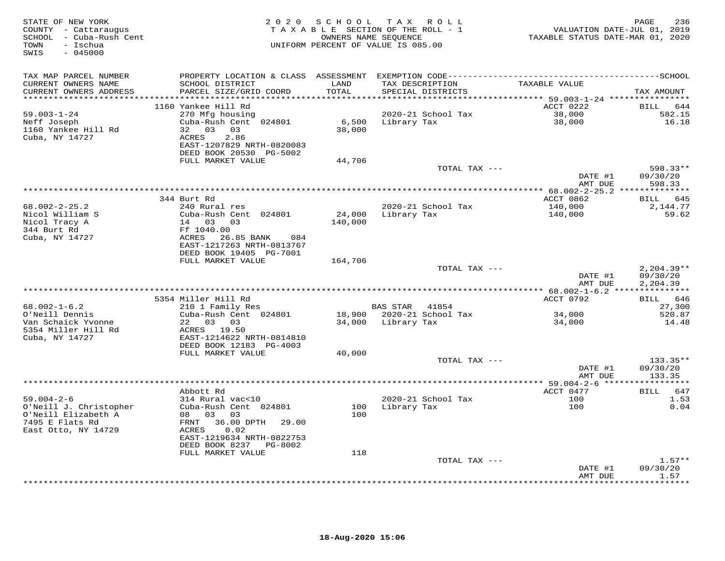| STATE OF NEW YORK<br>COUNTY - Cattaraugus<br>SCHOOL - Cuba-Rush Cent<br>TOWN<br>- Ischua<br>SWIS<br>$-045000$ | 2020                                         |               | SCHOOL TAX ROLL<br>TAXABLE SECTION OF THE ROLL - 1<br>OWNERS NAME SEQUENCE<br>UNIFORM PERCENT OF VALUE IS 085.00 | 1<br>VALUATION DATE-JUL 01, 2019<br>TAXABLE STATUS DATE-MAR 01, 2020 | PAGE<br>236        |
|---------------------------------------------------------------------------------------------------------------|----------------------------------------------|---------------|------------------------------------------------------------------------------------------------------------------|----------------------------------------------------------------------|--------------------|
| TAX MAP PARCEL NUMBER                                                                                         |                                              |               | PROPERTY LOCATION & CLASS ASSESSMENT EXEMPTION CODE-----------------------------------SCHOOL                     |                                                                      |                    |
| CURRENT OWNERS NAME<br>CURRENT OWNERS ADDRESS<br>**********************                                       | SCHOOL DISTRICT<br>PARCEL SIZE/GRID COORD    | LAND<br>TOTAL | TAX DESCRIPTION<br>SPECIAL DISTRICTS                                                                             | TAXABLE VALUE                                                        | TAX AMOUNT         |
|                                                                                                               | 1160 Yankee Hill Rd                          |               |                                                                                                                  | ACCT 0222                                                            | <b>BILL</b><br>644 |
| $59.003 - 1 - 24$                                                                                             | 270 Mfg housing                              |               | 2020-21 School Tax                                                                                               | 38,000                                                               | 582.15             |
| Neff Joseph                                                                                                   | Cuba-Rush Cent 024801                        |               | 6,500 Library Tax                                                                                                | 38,000                                                               | 16.18              |
| 1160 Yankee Hill Rd                                                                                           | 32 03 03                                     | 38,000        |                                                                                                                  |                                                                      |                    |
| Cuba, NY 14727                                                                                                | ACRES<br>2.86                                |               |                                                                                                                  |                                                                      |                    |
|                                                                                                               | EAST-1207829 NRTH-0820083                    |               |                                                                                                                  |                                                                      |                    |
|                                                                                                               | DEED BOOK 20530 PG-5002<br>FULL MARKET VALUE | 44,706        |                                                                                                                  |                                                                      |                    |
|                                                                                                               |                                              |               | TOTAL TAX ---                                                                                                    |                                                                      | 598.33**           |
|                                                                                                               |                                              |               |                                                                                                                  | DATE #1                                                              | 09/30/20           |
|                                                                                                               |                                              |               |                                                                                                                  | AMT DUE                                                              | 598.33             |
|                                                                                                               |                                              |               |                                                                                                                  |                                                                      |                    |
|                                                                                                               | 344 Burt Rd                                  |               |                                                                                                                  | ACCT 0862                                                            | BILL 645           |
| $68.002 - 2 - 25.2$<br>Nicol William S                                                                        | 240 Rural res<br>Cuba-Rush Cent 024801       | 24,000        | 2020-21 School Tax<br>Library Tax                                                                                | 140,000<br>140,000                                                   | 2,144.77<br>59.62  |
| Nicol Tracy A                                                                                                 | 14 03 03                                     | 140,000       |                                                                                                                  |                                                                      |                    |
| 344 Burt Rd                                                                                                   | Ff 1040.00                                   |               |                                                                                                                  |                                                                      |                    |
| Cuba, NY 14727                                                                                                | ACRES<br>26.85 BANK<br>084                   |               |                                                                                                                  |                                                                      |                    |
|                                                                                                               | EAST-1217263 NRTH-0813767                    |               |                                                                                                                  |                                                                      |                    |
|                                                                                                               | DEED BOOK 19405 PG-7001                      |               |                                                                                                                  |                                                                      |                    |
|                                                                                                               | FULL MARKET VALUE                            | 164,706       | TOTAL TAX ---                                                                                                    |                                                                      | $2,204.39**$       |
|                                                                                                               |                                              |               |                                                                                                                  | DATE #1                                                              | 09/30/20           |
|                                                                                                               |                                              |               |                                                                                                                  | AMT DUE                                                              | 2,204.39           |
|                                                                                                               |                                              |               |                                                                                                                  |                                                                      |                    |
|                                                                                                               | 5354 Miller Hill Rd                          |               |                                                                                                                  | ACCT 0792                                                            | BILL 646           |
| $68.002 - 1 - 6.2$<br>O'Neill Dennis                                                                          | 210 1 Family Res<br>Cuba-Rush Cent 024801    |               | BAS STAR 41854<br>18,900 2020-21 School Tax                                                                      | 34,000                                                               | 27,300<br>520.87   |
| Van Schaick Yvonne                                                                                            | 22 03 03                                     |               | 34,000 Library Tax                                                                                               | 34,000                                                               | 14.48              |
| 5354 Miller Hill Rd                                                                                           | ACRES 19.50                                  |               |                                                                                                                  |                                                                      |                    |
| Cuba, NY 14727                                                                                                | EAST-1214622 NRTH-0814810                    |               |                                                                                                                  |                                                                      |                    |
|                                                                                                               | DEED BOOK 12183 PG-4003                      |               |                                                                                                                  |                                                                      |                    |
|                                                                                                               | FULL MARKET VALUE                            | 40,000        | TOTAL TAX ---                                                                                                    |                                                                      | 133.35**           |
|                                                                                                               |                                              |               |                                                                                                                  | DATE #1                                                              | 09/30/20           |
|                                                                                                               |                                              |               |                                                                                                                  | AMT DUE                                                              | 133.35             |
|                                                                                                               |                                              |               |                                                                                                                  |                                                                      |                    |
|                                                                                                               | Abbott Rd                                    |               |                                                                                                                  | ACCT 0477                                                            | BILL 647           |
| $59.004 - 2 - 6$                                                                                              | 314 Rural vac<10                             |               | 2020-21 School Tax                                                                                               | 100                                                                  | 1.53               |
| O'Neill J. Christopher<br>O'Neill Elizabeth A                                                                 | Cuba-Rush Cent 024801<br>08 03 03            | 100           | 100 Library Tax                                                                                                  | 100                                                                  | 0.04               |
| 7495 E Flats Rd                                                                                               | FRNT 36.00 DPTH<br>29.00                     |               |                                                                                                                  |                                                                      |                    |
| East Otto, NY 14729                                                                                           | 0.02<br>ACRES                                |               |                                                                                                                  |                                                                      |                    |
|                                                                                                               | EAST-1219634 NRTH-0822753                    |               |                                                                                                                  |                                                                      |                    |
|                                                                                                               | DEED BOOK 8237 PG-8002                       |               |                                                                                                                  |                                                                      |                    |
|                                                                                                               | FULL MARKET VALUE                            | 118           | TOTAL TAX ---                                                                                                    |                                                                      | $1.57**$           |
|                                                                                                               |                                              |               |                                                                                                                  | DATE #1                                                              | 09/30/20           |
|                                                                                                               |                                              |               |                                                                                                                  | AMT DUE                                                              | 1.57               |
|                                                                                                               |                                              |               |                                                                                                                  | + + + + + + + + + + + + +                                            | <b>++++++</b>      |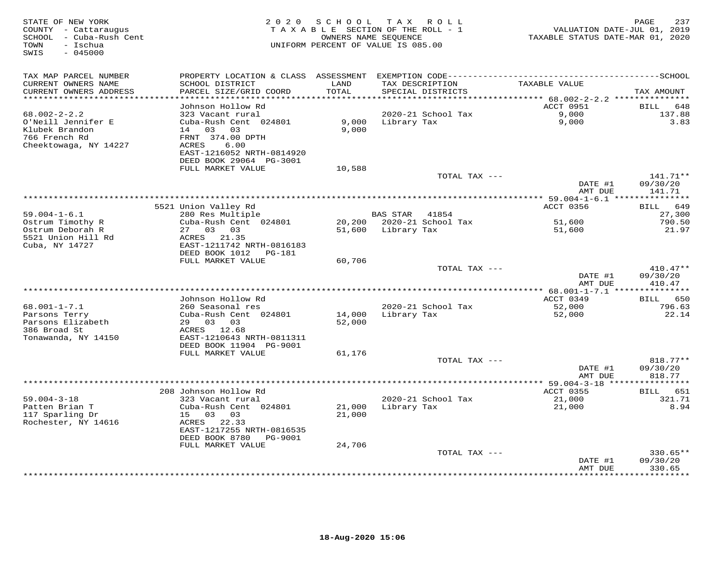| STATE OF NEW YORK<br>COUNTY - Cattaraugus<br>SCHOOL - Cuba-Rush Cent<br>TOWN<br>- Ischua<br>SWIS<br>$-045000$ |                                                                        | 2020 SCHOOL    | T A X<br>ROLL<br>TAXABLE SECTION OF THE ROLL - 1<br>OWNERS NAME SEQUENCE<br>UNIFORM PERCENT OF VALUE IS 085.00 | VALUATION DATE-JUL 01, 2019<br>TAXABLE STATUS DATE-MAR 01, 2020 | 237<br>PAGE                       |
|---------------------------------------------------------------------------------------------------------------|------------------------------------------------------------------------|----------------|----------------------------------------------------------------------------------------------------------------|-----------------------------------------------------------------|-----------------------------------|
| TAX MAP PARCEL NUMBER                                                                                         | PROPERTY LOCATION & CLASS ASSESSMENT                                   |                |                                                                                                                |                                                                 |                                   |
| CURRENT OWNERS NAME<br>CURRENT OWNERS ADDRESS<br>***********************                                      | SCHOOL DISTRICT<br>PARCEL SIZE/GRID COORD<br>************************  | LAND<br>TOTAL  | TAX DESCRIPTION<br>SPECIAL DISTRICTS                                                                           | TAXABLE VALUE                                                   | TAX AMOUNT                        |
|                                                                                                               | Johnson Hollow Rd                                                      |                |                                                                                                                | ACCT 0951                                                       | <b>BILL</b><br>648                |
| $68.002 - 2 - 2.2$                                                                                            | 323 Vacant rural                                                       |                | 2020-21 School Tax                                                                                             | 9,000                                                           | 137.88                            |
| O'Neill Jennifer E<br>Klubek Brandon<br>766 French Rd<br>Cheektowaga, NY 14227                                | Cuba-Rush Cent 024801<br>14 03 03<br>FRNT 374.00 DPTH<br>ACRES<br>6.00 | 9,000<br>9,000 | Library Tax                                                                                                    | 9,000                                                           | 3.83                              |
|                                                                                                               | EAST-1216052 NRTH-0814920<br>DEED BOOK 29064 PG-3001                   |                |                                                                                                                |                                                                 |                                   |
|                                                                                                               | FULL MARKET VALUE                                                      | 10,588         |                                                                                                                |                                                                 |                                   |
|                                                                                                               |                                                                        |                | TOTAL TAX ---                                                                                                  | DATE #1                                                         | 141.71**<br>09/30/20              |
|                                                                                                               |                                                                        |                |                                                                                                                | AMT DUE                                                         | 141.71<br>* * * * * * * * * * *   |
|                                                                                                               | 5521 Union Valley Rd                                                   |                |                                                                                                                | ********** 59.004-1-6.1 ***<br>ACCT 0356                        | 649<br>BILL                       |
| $59.004 - 1 - 6.1$                                                                                            | 280 Res Multiple                                                       |                | BAS STAR<br>41854                                                                                              |                                                                 | 27,300                            |
| Ostrum Timothy R                                                                                              | Cuba-Rush Cent 024801                                                  | 20,200         | 2020-21 School Tax                                                                                             | 51,600                                                          | 790.50                            |
| Ostrum Deborah R                                                                                              | 27 03 03                                                               | 51,600         | Library Tax                                                                                                    | 51,600                                                          | 21.97                             |
| 5521 Union Hill Rd                                                                                            | ACRES 21.35                                                            |                |                                                                                                                |                                                                 |                                   |
| Cuba, NY 14727                                                                                                | EAST-1211742 NRTH-0816183                                              |                |                                                                                                                |                                                                 |                                   |
|                                                                                                               | DEED BOOK 1012    PG-181                                               |                |                                                                                                                |                                                                 |                                   |
|                                                                                                               | FULL MARKET VALUE                                                      | 60,706         |                                                                                                                |                                                                 |                                   |
|                                                                                                               |                                                                        |                | TOTAL TAX ---                                                                                                  |                                                                 | $410.47**$                        |
|                                                                                                               |                                                                        |                |                                                                                                                | DATE #1<br>AMT DUE                                              | 09/30/20<br>410.47<br>*********** |
|                                                                                                               | Johnson Hollow Rd                                                      |                |                                                                                                                | ************ 68.001-1-7.1 ***<br>ACCT 0349                      | BILL 650                          |
| $68.001 - 1 - 7.1$                                                                                            | 260 Seasonal res                                                       |                | 2020-21 School Tax                                                                                             | 52,000                                                          | 796.63                            |
| Parsons Terry                                                                                                 | Cuba-Rush Cent 024801                                                  | 14,000         | Library Tax                                                                                                    | 52,000                                                          | 22.14                             |
| Parsons Elizabeth                                                                                             | 29 03 03                                                               | 52,000         |                                                                                                                |                                                                 |                                   |
| 386 Broad St                                                                                                  | ACRES 12.68                                                            |                |                                                                                                                |                                                                 |                                   |
| Tonawanda, NY 14150                                                                                           | EAST-1210643 NRTH-0811311                                              |                |                                                                                                                |                                                                 |                                   |
|                                                                                                               | DEED BOOK 11904 PG-9001                                                |                |                                                                                                                |                                                                 |                                   |
|                                                                                                               | FULL MARKET VALUE                                                      | 61,176         | TOTAL TAX ---                                                                                                  |                                                                 | 818.77**                          |
|                                                                                                               |                                                                        |                |                                                                                                                | DATE #1<br>AMT DUE                                              | 09/30/20<br>818.77                |
|                                                                                                               |                                                                        |                |                                                                                                                |                                                                 |                                   |
|                                                                                                               | 208 Johnson Hollow Rd                                                  |                |                                                                                                                | ACCT 0355                                                       | BILL 651                          |
| $59.004 - 3 - 18$                                                                                             | 323 Vacant rural                                                       |                | 2020-21 School Tax                                                                                             | 21,000                                                          | 321.71                            |
| Patten Brian T                                                                                                | Cuba-Rush Cent 024801                                                  | 21,000         | Library Tax                                                                                                    | 21,000                                                          | 8.94                              |
| 117 Sparling Dr                                                                                               | 15 03 03                                                               | 21,000         |                                                                                                                |                                                                 |                                   |
| Rochester, NY 14616                                                                                           | ACRES 22.33                                                            |                |                                                                                                                |                                                                 |                                   |
|                                                                                                               | EAST-1217255 NRTH-0816535<br>DEED BOOK 8780 PG-9001                    |                |                                                                                                                |                                                                 |                                   |
|                                                                                                               | FULL MARKET VALUE                                                      | 24,706         |                                                                                                                |                                                                 |                                   |
|                                                                                                               |                                                                        |                | TOTAL TAX ---                                                                                                  |                                                                 | $330.65**$                        |
|                                                                                                               |                                                                        |                |                                                                                                                | DATE #1                                                         | 09/30/20                          |
|                                                                                                               |                                                                        |                |                                                                                                                | AMT DUE                                                         | 330.65<br>* * * * * * * * * *     |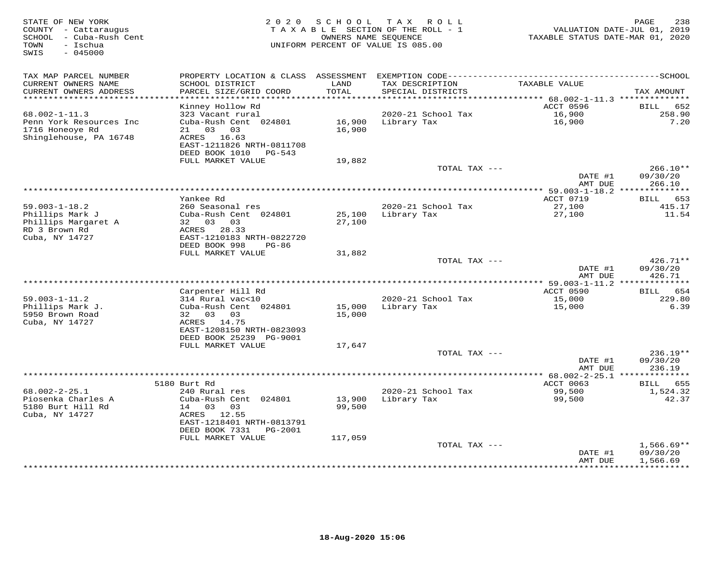| STATE OF NEW YORK<br>COUNTY - Cattaraugus<br>SCHOOL - Cuba-Rush Cent<br>- Ischua<br>TOWN<br>SWIS<br>$-045000$ | 2 0 2 0                                                                                                                                              | SCHOOL            | T A X<br>R O L L<br>TAXABLE SECTION OF THE ROLL - 1<br>OWNERS NAME SEOUENCE<br>UNIFORM PERCENT OF VALUE IS 085.00 | TAXABLE STATUS DATE-MAR 01, 2020       | 238<br>PAGE<br>VALUATION DATE-JUL 01, 2019 |
|---------------------------------------------------------------------------------------------------------------|------------------------------------------------------------------------------------------------------------------------------------------------------|-------------------|-------------------------------------------------------------------------------------------------------------------|----------------------------------------|--------------------------------------------|
| TAX MAP PARCEL NUMBER<br>CURRENT OWNERS NAME<br>CURRENT OWNERS ADDRESS                                        | SCHOOL DISTRICT<br>PARCEL SIZE/GRID COORD<br>***********************                                                                                 | LAND<br>TOTAL     | TAX DESCRIPTION<br>SPECIAL DISTRICTS                                                                              | TAXABLE VALUE                          | TAX AMOUNT                                 |
| ***********************                                                                                       | Kinney Hollow Rd                                                                                                                                     |                   |                                                                                                                   | ACCT 0596                              | <b>BILL</b><br>652                         |
| $68.002 - 1 - 11.3$<br>Penn York Resources Inc<br>1716 Honeoye Rd<br>Shinglehouse, PA 16748                   | 323 Vacant rural<br>Cuba-Rush Cent 024801<br>03<br>03<br>21<br>ACRES 16.63<br>EAST-1211826 NRTH-0811708                                              | 16,900<br>16,900  | 2020-21 School Tax<br>Library Tax                                                                                 | 16,900<br>16,900                       | 258.90<br>7.20                             |
|                                                                                                               | DEED BOOK 1010<br>PG-543                                                                                                                             |                   |                                                                                                                   |                                        |                                            |
|                                                                                                               | FULL MARKET VALUE                                                                                                                                    | 19,882            |                                                                                                                   |                                        |                                            |
|                                                                                                               |                                                                                                                                                      |                   | TOTAL TAX ---                                                                                                     | DATE #1<br>AMT DUE                     | $266.10**$<br>09/30/20<br>266.10           |
|                                                                                                               | Yankee Rd                                                                                                                                            |                   | ***********************                                                                                           | $* 59.003 - 1 - 18.2$ ***<br>ACCT 0719 | ***********<br>653                         |
| $59.003 - 1 - 18.2$<br>Phillips Mark J<br>Phillips Margaret A<br>RD 3 Brown Rd<br>Cuba, NY 14727              | 260 Seasonal res<br>Cuba-Rush Cent 024801<br>32 03 03<br>ACRES 28.33<br>EAST-1210183 NRTH-0822720<br>DEED BOOK 998<br>$PG-86$                        | 25,100<br>27,100  | 2020-21 School Tax<br>Library Tax                                                                                 | 27,100<br>27,100                       | BILL<br>415.17<br>11.54                    |
|                                                                                                               | FULL MARKET VALUE                                                                                                                                    | 31,882            |                                                                                                                   |                                        |                                            |
|                                                                                                               |                                                                                                                                                      |                   | TOTAL TAX ---                                                                                                     | DATE #1<br>AMT DUE                     | 426.71**<br>09/30/20<br>426.71             |
|                                                                                                               |                                                                                                                                                      |                   |                                                                                                                   | ** 59.003-1-11.2 **************        |                                            |
| $59.003 - 1 - 11.2$<br>Phillips Mark J.<br>5950 Brown Road<br>Cuba, NY 14727                                  | Carpenter Hill Rd<br>314 Rural vac<10<br>Cuba-Rush Cent 024801<br>32 03<br>03<br>ACRES 14.75<br>EAST-1208150 NRTH-0823093<br>DEED BOOK 25239 PG-9001 | 15,000<br>15,000  | 2020-21 School Tax<br>Library Tax                                                                                 | ACCT 0590<br>15,000<br>15,000          | 654<br>BILL<br>229.80<br>6.39              |
|                                                                                                               | FULL MARKET VALUE                                                                                                                                    | 17,647            |                                                                                                                   |                                        |                                            |
|                                                                                                               |                                                                                                                                                      |                   | TOTAL TAX ---                                                                                                     | DATE #1<br>AMT DUE                     | 236.19**<br>09/30/20<br>236.19             |
|                                                                                                               |                                                                                                                                                      |                   |                                                                                                                   | ************ 68.002-2-25.1 *****       | *********                                  |
| $68.002 - 2 - 25.1$<br>Piosenka Charles A                                                                     | 5180 Burt Rd<br>240 Rural res<br>Cuba-Rush Cent 024801                                                                                               | 13,900            | 2020-21 School Tax<br>Library Tax                                                                                 | ACCT 0063<br>99,500<br>99,500          | 655<br><b>BILL</b><br>1,524.32<br>42.37    |
| 5180 Burt Hill Rd<br>Cuba, NY 14727                                                                           | 14<br>03<br>03<br>ACRES<br>12.55<br>EAST-1218401 NRTH-0813791<br>DEED BOOK 7331<br>PG-2001<br>FULL MARKET VALUE                                      | 99,500<br>117,059 |                                                                                                                   |                                        |                                            |
|                                                                                                               |                                                                                                                                                      |                   | TOTAL TAX ---                                                                                                     | DATE #1<br>AMT DUE                     | $1,566.69**$<br>09/30/20<br>1,566.69       |
|                                                                                                               |                                                                                                                                                      |                   |                                                                                                                   | *****************************          |                                            |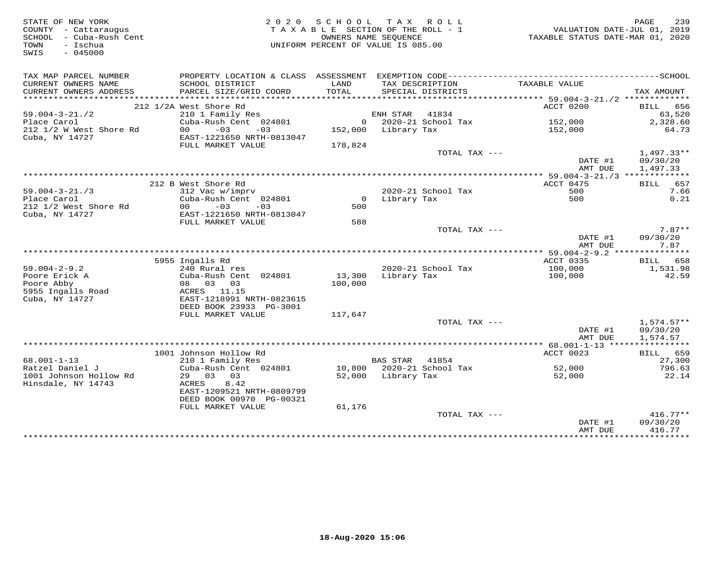| STATE OF NEW YORK<br>COUNTY - Cattaraugus<br>SCHOOL - Cuba-Rush Cent<br>- Ischua<br>TOWN<br>$-045000$<br>SWIS |                                             |         | 2020 SCHOOL TAX ROLL<br>TAXABLE SECTION OF THE ROLL - 1<br>OWNERS NAME SEQUENCE<br>UNIFORM PERCENT OF VALUE IS 085.00 | VALUATION DATE-JUL 01, 2019<br>TAXABLE STATUS DATE-MAR 01, 2020 | PAGE<br>239              |
|---------------------------------------------------------------------------------------------------------------|---------------------------------------------|---------|-----------------------------------------------------------------------------------------------------------------------|-----------------------------------------------------------------|--------------------------|
| TAX MAP PARCEL NUMBER                                                                                         |                                             |         |                                                                                                                       |                                                                 |                          |
| CURRENT OWNERS NAME                                                                                           | SCHOOL DISTRICT                             | LAND    | TAX DESCRIPTION                                                                                                       | TAXABLE VALUE                                                   |                          |
| CURRENT OWNERS ADDRESS                                                                                        | PARCEL SIZE/GRID COORD                      | TOTAL   | SPECIAL DISTRICTS                                                                                                     |                                                                 | TAX AMOUNT               |
|                                                                                                               | 212 1/2A West Shore Rd                      |         |                                                                                                                       | ACCT 0200                                                       | BILL 656                 |
| $59.004 - 3 - 21.72$                                                                                          | 210 1 Family Res                            |         | ENH STAR 41834                                                                                                        |                                                                 | 63,520                   |
| Place Carol                                                                                                   | Cuba-Rush Cent 024801                       |         | $0$ 2020-21 School Tax                                                                                                | 152,000                                                         | 2,328.60                 |
| 212 1/2 W West Shore Rd                                                                                       | $00 - 03$<br>$-03$                          |         | 152,000 Library Tax                                                                                                   | 152,000                                                         | 64.73                    |
| Cuba, NY 14727                                                                                                | EAST-1221650 NRTH-0813047                   |         |                                                                                                                       |                                                                 |                          |
|                                                                                                               | FULL MARKET VALUE                           | 178,824 |                                                                                                                       |                                                                 |                          |
|                                                                                                               |                                             |         | TOTAL TAX ---                                                                                                         | DATE #1                                                         | $1,497.33**$<br>09/30/20 |
|                                                                                                               |                                             |         |                                                                                                                       | AMT DUE                                                         | 1,497.33                 |
|                                                                                                               |                                             |         |                                                                                                                       |                                                                 |                          |
|                                                                                                               | 212 B West Shore Rd                         |         |                                                                                                                       | ACCT 0475                                                       | BILL 657                 |
| $59.004 - 3 - 21.73$                                                                                          | 312 Vac w/imprv                             |         | 2020-21 School Tax                                                                                                    | 500                                                             | 7.66                     |
| Place Carol<br>212 1/2 West Shore Rd                                                                          | Cuba-Rush Cent 024801<br>$00 - 03$<br>$-03$ | 500     | 0 Library Tax                                                                                                         | 500                                                             | 0.21                     |
| Cuba, NY 14727                                                                                                | EAST-1221650 NRTH-0813047                   |         |                                                                                                                       |                                                                 |                          |
|                                                                                                               | FULL MARKET VALUE                           | 588     |                                                                                                                       |                                                                 |                          |
|                                                                                                               |                                             |         | TOTAL TAX ---                                                                                                         |                                                                 | $7.87**$                 |
|                                                                                                               |                                             |         |                                                                                                                       | DATE #1<br>AMT DUE                                              | 09/30/20<br>7.87         |
|                                                                                                               |                                             |         |                                                                                                                       |                                                                 |                          |
|                                                                                                               | 5955 Ingalls Rd                             |         |                                                                                                                       | ACCT 0335                                                       | BILL 658                 |
| $59.004 - 2 - 9.2$<br>Poore Erick A                                                                           | 240 Rural res<br>Cuba-Rush Cent 024801      | 13,300  | 2020-21 School Tax<br>Library Tax                                                                                     | 100,000<br>100,000                                              | 1,531.98<br>42.59        |
| Poore Abby                                                                                                    | 08 03 03                                    | 100,000 |                                                                                                                       |                                                                 |                          |
| 5955 Ingalls Road                                                                                             | ACRES 11.15                                 |         |                                                                                                                       |                                                                 |                          |
| Cuba, NY 14727                                                                                                | EAST-1218991 NRTH-0823615                   |         |                                                                                                                       |                                                                 |                          |
|                                                                                                               | DEED BOOK 23933 PG-3001                     |         |                                                                                                                       |                                                                 |                          |
|                                                                                                               | FULL MARKET VALUE                           | 117,647 |                                                                                                                       |                                                                 |                          |
|                                                                                                               |                                             |         | TOTAL TAX ---                                                                                                         | DATE #1                                                         | $1,574.57**$<br>09/30/20 |
|                                                                                                               |                                             |         |                                                                                                                       | AMT DUE                                                         | 1,574.57                 |
|                                                                                                               |                                             |         |                                                                                                                       |                                                                 |                          |
|                                                                                                               | 1001 Johnson Hollow Rd                      |         |                                                                                                                       | ACCT 0023                                                       | BILL 659                 |
| $68.001 - 1 - 13$                                                                                             | 210 1 Family Res                            |         | BAS STAR 41854                                                                                                        |                                                                 | 27,300                   |
| Ratzel Daniel J<br>1001 Johnson Hollow Rd                                                                     | Cuba-Rush Cent 024801<br>29 03 03           |         | 10,800 2020-21 School Tax<br>52,000 Library Tax                                                                       | 52,000<br>52,000                                                | 796.63<br>22.14          |
| Hinsdale, NY 14743                                                                                            | 8.42<br>ACRES                               |         |                                                                                                                       |                                                                 |                          |
|                                                                                                               | EAST-1209521 NRTH-0809799                   |         |                                                                                                                       |                                                                 |                          |
|                                                                                                               | DEED BOOK 00970 PG-00321                    |         |                                                                                                                       |                                                                 |                          |
|                                                                                                               | FULL MARKET VALUE                           | 61,176  |                                                                                                                       |                                                                 |                          |
|                                                                                                               |                                             |         | TOTAL TAX ---                                                                                                         |                                                                 | $416.77**$               |
|                                                                                                               |                                             |         |                                                                                                                       | DATE #1<br>AMT DUE                                              | 09/30/20<br>416.77       |
|                                                                                                               |                                             |         |                                                                                                                       |                                                                 |                          |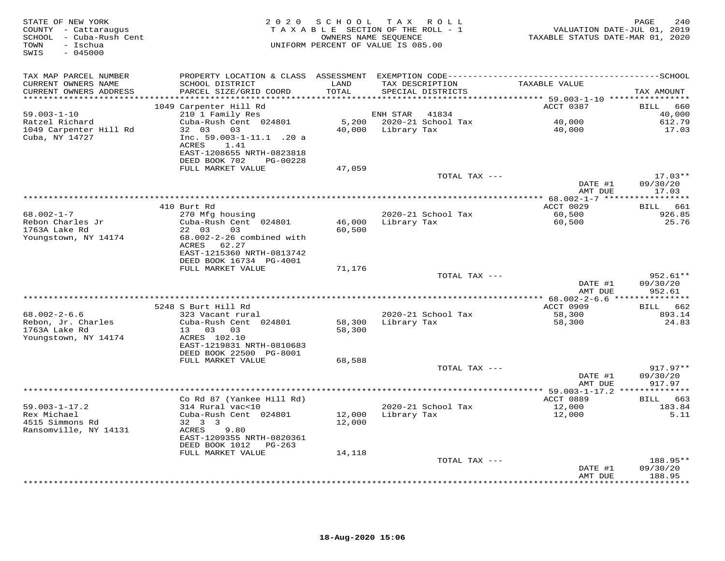| STATE OF NEW YORK<br>COUNTY - Cattaraugus<br>SCHOOL - Cuba-Rush Cent<br>- Ischua<br>TOWN<br>SWIS<br>$-045000$ |                                                                                                                 |                  | 2020 SCHOOL TAX ROLL<br>TAXABLE SECTION OF THE ROLL - 1<br>OWNERS NAME SEQUENCE<br>UNIFORM PERCENT OF VALUE IS 085.00 | TAXABLE STATUS DATE-MAR 01, 2020                | PAGE<br>240<br>VALUATION DATE-JUL 01, 2019 |
|---------------------------------------------------------------------------------------------------------------|-----------------------------------------------------------------------------------------------------------------|------------------|-----------------------------------------------------------------------------------------------------------------------|-------------------------------------------------|--------------------------------------------|
| TAX MAP PARCEL NUMBER                                                                                         |                                                                                                                 |                  |                                                                                                                       |                                                 |                                            |
| CURRENT OWNERS NAME<br>CURRENT OWNERS ADDRESS                                                                 | SCHOOL DISTRICT<br>PARCEL SIZE/GRID COORD                                                                       | LAND<br>TOTAL    | TAX DESCRIPTION<br>SPECIAL DISTRICTS                                                                                  | TAXABLE VALUE                                   | TAX AMOUNT                                 |
|                                                                                                               | 1049 Carpenter Hill Rd                                                                                          |                  |                                                                                                                       | ACCT 0387                                       | 660<br>BILL                                |
| $59.003 - 1 - 10$                                                                                             | 210 1 Family Res                                                                                                |                  | ENH STAR<br>41834                                                                                                     |                                                 | 40,000                                     |
| Ratzel Richard                                                                                                | Cuba-Rush Cent 024801                                                                                           |                  | 5,200 2020-21 School Tax                                                                                              | 40,000                                          | 612.79                                     |
| 1049 Carpenter Hill Rd<br>Cuba, NY 14727                                                                      | 32 03<br>03<br>Inc. 59.003-1-11.1 .20 a<br>ACRES<br>1.41<br>EAST-1208655 NRTH-0823818<br>DEED BOOK 702 PG-00228 |                  | 40,000 Library Tax                                                                                                    | 40,000                                          | 17.03                                      |
|                                                                                                               | FULL MARKET VALUE                                                                                               | 47,059           |                                                                                                                       |                                                 |                                            |
|                                                                                                               |                                                                                                                 |                  | TOTAL TAX ---                                                                                                         | DATE #1                                         | $17.03**$<br>09/30/20                      |
|                                                                                                               |                                                                                                                 |                  |                                                                                                                       | AMT DUE                                         | 17.03                                      |
|                                                                                                               |                                                                                                                 |                  |                                                                                                                       |                                                 |                                            |
| $68.002 - 1 - 7$                                                                                              | 410 Burt Rd                                                                                                     |                  |                                                                                                                       | ACCT 0029                                       | BILL 661<br>926.85                         |
| Rebon Charles Jr<br>1763A Lake Rd<br>Youngstown, NY 14174                                                     | 270 Mfg housing<br>Cuba-Rush Cent 024801<br>22 03<br>03<br>68.002-2-26 combined with<br>ACRES 62.27             | 46,000<br>60,500 | 2020-21 School Tax<br>Library Tax                                                                                     | 60,500<br>60,500                                | 25.76                                      |
|                                                                                                               | EAST-1215360 NRTH-0813742<br>DEED BOOK 16734 PG-4001                                                            |                  |                                                                                                                       |                                                 |                                            |
|                                                                                                               | FULL MARKET VALUE                                                                                               | 71,176           | TOTAL TAX ---                                                                                                         |                                                 | $952.61**$                                 |
|                                                                                                               |                                                                                                                 |                  |                                                                                                                       | DATE #1<br>AMT DUE                              | 09/30/20<br>952.61                         |
|                                                                                                               |                                                                                                                 |                  |                                                                                                                       | ***************** 68.002-2-6.6 **************** |                                            |
|                                                                                                               | 5248 S Burt Hill Rd                                                                                             |                  |                                                                                                                       | ACCT 0909                                       | BILL 662                                   |
| $68.002 - 2 - 6.6$                                                                                            | 323 Vacant rural                                                                                                |                  | 2020-21 School Tax                                                                                                    | 58,300                                          | 893.14                                     |
| Rebon, Jr. Charles<br>1763A Lake Rd<br>Youngstown, NY 14174                                                   | Cuba-Rush Cent 024801<br>13 03 03<br>ACRES 102.10<br>EAST-1219831 NRTH-0810683<br>DEED BOOK 22500 PG-8001       | 58,300<br>58,300 | Library Tax                                                                                                           | 58,300                                          | 24.83                                      |
|                                                                                                               | FULL MARKET VALUE                                                                                               | 68,588           |                                                                                                                       |                                                 |                                            |
|                                                                                                               |                                                                                                                 |                  | TOTAL TAX ---                                                                                                         | DATE #1<br>AMT DUE                              | $917.97**$<br>09/30/20<br>917.97           |
|                                                                                                               |                                                                                                                 |                  |                                                                                                                       |                                                 |                                            |
|                                                                                                               | Co Rd 87 (Yankee Hill Rd)                                                                                       |                  |                                                                                                                       | ACCT 0889                                       | BILL 663                                   |
| $59.003 - 1 - 17.2$<br>Rex Michael<br>4515 Simmons Rd<br>Ransomville, NY 14131                                | 314 Rural vac<10<br>Cuba-Rush Cent 024801<br>32 3 3<br>ACRES<br>9.80<br>EAST-1209355 NRTH-0820361               | 12,000<br>12,000 | 2020-21 School Tax<br>Library Tax                                                                                     | 12,000<br>12,000                                | 183.84<br>5.11                             |
|                                                                                                               | DEED BOOK 1012    PG-263<br>FULL MARKET VALUE                                                                   | 14,118           |                                                                                                                       |                                                 |                                            |
|                                                                                                               |                                                                                                                 |                  | TOTAL TAX ---                                                                                                         |                                                 | 188.95**                                   |
|                                                                                                               |                                                                                                                 |                  |                                                                                                                       | DATE #1<br>AMT DUE                              | 09/30/20<br>188.95                         |
|                                                                                                               |                                                                                                                 |                  |                                                                                                                       |                                                 | ********                                   |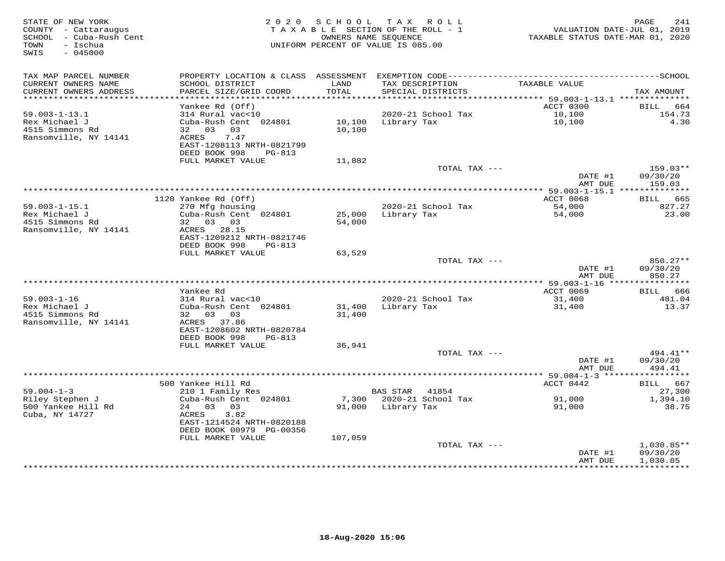| STATE OF NEW YORK<br>COUNTY - Cattaraugus<br>SCHOOL - Cuba-Rush Cent<br>- Ischua<br>TOWN<br>SWIS<br>$-045000$ |                                                              | 2020 SCHOOL      | TAX ROLL<br>TAXABLE SECTION OF THE ROLL - 1<br>OWNERS NAME SEQUENCE<br>UNIFORM PERCENT OF VALUE IS 085.00 | VALUATION DATE-JUL 01, 2019<br>TAXABLE STATUS DATE-MAR 01, 2020 | 241<br>PAGE                    |
|---------------------------------------------------------------------------------------------------------------|--------------------------------------------------------------|------------------|-----------------------------------------------------------------------------------------------------------|-----------------------------------------------------------------|--------------------------------|
| TAX MAP PARCEL NUMBER                                                                                         |                                                              |                  |                                                                                                           |                                                                 |                                |
| CURRENT OWNERS NAME<br>CURRENT OWNERS ADDRESS                                                                 | SCHOOL DISTRICT<br>PARCEL SIZE/GRID COORD                    | LAND<br>TOTAL    | TAX DESCRIPTION<br>SPECIAL DISTRICTS                                                                      | TAXABLE VALUE                                                   | TAX AMOUNT                     |
| ***********************                                                                                       |                                                              |                  |                                                                                                           |                                                                 |                                |
| $59.003 - 1 - 13.1$                                                                                           | Yankee Rd (Off)<br>314 Rural vac<10                          |                  | 2020-21 School Tax                                                                                        | ACCT 0300<br>10,100                                             | <b>BILL</b><br>664<br>154.73   |
| Rex Michael J<br>4515 Simmons Rd<br>Ransomville, NY 14141                                                     | Cuba-Rush Cent 024801<br>32 03<br>03<br>7.47<br>ACRES        | 10,100<br>10,100 | Library Tax                                                                                               | 10,100                                                          | 4.30                           |
|                                                                                                               | EAST-1208113 NRTH-0821799<br>DEED BOOK 998<br>$PG-813$       |                  |                                                                                                           |                                                                 |                                |
|                                                                                                               | FULL MARKET VALUE                                            | 11,882           |                                                                                                           |                                                                 |                                |
|                                                                                                               |                                                              |                  | TOTAL TAX ---                                                                                             | DATE #1<br>AMT DUE                                              | 159.03**<br>09/30/20<br>159.03 |
|                                                                                                               |                                                              |                  | **********************************                                                                        | ********** 59.003-1-15.1 **************                         |                                |
|                                                                                                               | 1120 Yankee Rd (Off)                                         |                  |                                                                                                           | ACCT 0068                                                       | BILL 665                       |
| $59.003 - 1 - 15.1$                                                                                           | 270 Mfg housing                                              |                  | 2020-21 School Tax                                                                                        | 54,000                                                          | 827.27                         |
| Rex Michael J<br>4515 Simmons Rd                                                                              | Cuba-Rush Cent 024801<br>32 03 03                            | 25,000<br>54,000 | Library Tax                                                                                               | 54,000                                                          | 23.00                          |
| Ransomville, NY 14141                                                                                         | ACRES 28.15<br>EAST-1209212 NRTH-0821746                     |                  |                                                                                                           |                                                                 |                                |
|                                                                                                               | DEED BOOK 998<br>PG-813                                      |                  |                                                                                                           |                                                                 |                                |
|                                                                                                               | FULL MARKET VALUE                                            | 63,529           | TOTAL TAX ---                                                                                             |                                                                 | 850.27**                       |
|                                                                                                               |                                                              |                  |                                                                                                           | DATE #1<br>AMT DUE                                              | 09/30/20<br>850.27             |
|                                                                                                               |                                                              |                  |                                                                                                           |                                                                 |                                |
|                                                                                                               | Yankee Rd                                                    |                  |                                                                                                           | ACCT 0069                                                       | BILL<br>666                    |
| $59.003 - 1 - 16$                                                                                             | 314 Rural vac<10                                             |                  | 2020-21 School Tax                                                                                        | 31,400                                                          | 481.04                         |
| Rex Michael J                                                                                                 | Cuba-Rush Cent 024801                                        | 31,400           | Library Tax                                                                                               | 31,400                                                          | 13.37                          |
| 4515 Simmons Rd<br>Ransomville, NY 14141                                                                      | 32 03 03<br>ACRES 37.86                                      | 31,400           |                                                                                                           |                                                                 |                                |
|                                                                                                               | EAST-1208602 NRTH-0820784<br>DEED BOOK 998<br>PG-813         |                  |                                                                                                           |                                                                 |                                |
|                                                                                                               | FULL MARKET VALUE                                            | 36,941           |                                                                                                           |                                                                 |                                |
|                                                                                                               |                                                              |                  | TOTAL TAX ---                                                                                             | DATE #1<br>AMT DUE                                              | 494.41**<br>09/30/20<br>494.41 |
|                                                                                                               |                                                              |                  |                                                                                                           |                                                                 | ***********                    |
|                                                                                                               | 500 Yankee Hill Rd                                           |                  |                                                                                                           | ACCT 0442                                                       | 667<br>BILL                    |
| $59.004 - 1 - 3$                                                                                              | 210 1 Family Res                                             |                  | <b>BAS STAR</b><br>41854                                                                                  |                                                                 | 27,300                         |
| Riley Stephen J                                                                                               | Cuba-Rush Cent 024801                                        | 7,300            | 2020-21 School Tax                                                                                        | 91,000                                                          | 1,394.10                       |
| 500 Yankee Hill Rd<br>Cuba, NY 14727                                                                          | 24<br>03<br>03<br>3.82<br>ACRES<br>EAST-1214524 NRTH-0820188 | 91,000           | Library Tax                                                                                               | 91,000                                                          | 38.75                          |
|                                                                                                               | DEED BOOK 00979 PG-00356                                     |                  |                                                                                                           |                                                                 |                                |
|                                                                                                               | FULL MARKET VALUE                                            | 107,059          |                                                                                                           |                                                                 |                                |
|                                                                                                               |                                                              |                  | TOTAL TAX ---                                                                                             | DATE #1                                                         | $1,030.85**$<br>09/30/20       |
|                                                                                                               |                                                              |                  |                                                                                                           | AMT DUE<br>************                                         | 1,030.85<br>**********         |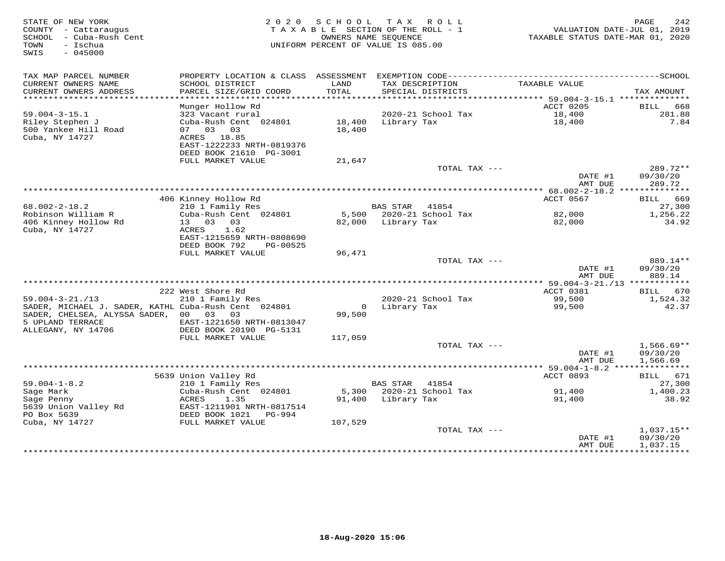| STATE OF NEW YORK<br>COUNTY - Cattaraugus<br>- Cuba-Rush Cent<br>SCHOOL<br>- Ischua<br>TOWN<br>SWIS<br>$-045000$ | 2 0 2 0                                                                 | S C H O O L      | TAX ROLL<br>TAXABLE SECTION OF THE ROLL - 1<br>OWNERS NAME SEQUENCE<br>UNIFORM PERCENT OF VALUE IS 085.00 | TAXABLE STATUS DATE-MAR 01, 2020      | 242<br>PAGE<br>VALUATION DATE-JUL 01, 2019 |
|------------------------------------------------------------------------------------------------------------------|-------------------------------------------------------------------------|------------------|-----------------------------------------------------------------------------------------------------------|---------------------------------------|--------------------------------------------|
| TAX MAP PARCEL NUMBER                                                                                            |                                                                         |                  |                                                                                                           |                                       |                                            |
| CURRENT OWNERS NAME<br>CURRENT OWNERS ADDRESS                                                                    | SCHOOL DISTRICT<br>PARCEL SIZE/GRID COORD                               | LAND<br>TOTAL    | TAX DESCRIPTION<br>SPECIAL DISTRICTS                                                                      | TAXABLE VALUE                         | TAX AMOUNT                                 |
| *************************                                                                                        |                                                                         |                  |                                                                                                           |                                       |                                            |
|                                                                                                                  | Munger Hollow Rd                                                        |                  |                                                                                                           | ACCT 0205                             | BILL 668                                   |
| $59.004 - 3 - 15.1$                                                                                              | 323 Vacant rural                                                        |                  | 2020-21 School Tax                                                                                        | 18,400                                | 281.88                                     |
| Riley Stephen J<br>500 Yankee Hill Road                                                                          | Cuba-Rush Cent 024801<br>07 03 03                                       | 18,400<br>18,400 | Library Tax                                                                                               | 18,400                                | 7.84                                       |
| Cuba, NY 14727                                                                                                   | ACRES 18.85                                                             |                  |                                                                                                           |                                       |                                            |
|                                                                                                                  | EAST-1222233 NRTH-0819376                                               |                  |                                                                                                           |                                       |                                            |
|                                                                                                                  | DEED BOOK 21610 PG-3001                                                 |                  |                                                                                                           |                                       |                                            |
|                                                                                                                  | FULL MARKET VALUE                                                       | 21,647           |                                                                                                           |                                       |                                            |
|                                                                                                                  |                                                                         |                  | TOTAL TAX ---                                                                                             | DATE #1<br>AMT DUE                    | 289.72**<br>09/30/20<br>289.72             |
|                                                                                                                  |                                                                         |                  |                                                                                                           |                                       |                                            |
|                                                                                                                  | 406 Kinney Hollow Rd                                                    |                  |                                                                                                           | ACCT 0567                             | BILL 669                                   |
| $68.002 - 2 - 18.2$<br>Robinson William R                                                                        | 210 1 Family Res<br>Cuba-Rush Cent 024801                               |                  | <b>BAS STAR</b><br>41854<br>5,500 2020-21 School Tax                                                      | 82,000                                | 27,300<br>1,256.22                         |
| 406 Kinney Hollow Rd                                                                                             | 13 03 03                                                                | 82,000           | Library Tax                                                                                               | 82,000                                | 34.92                                      |
| Cuba, NY 14727                                                                                                   | 1.62<br>ACRES<br>EAST-1215659 NRTH-0808690<br>DEED BOOK 792<br>PG-00525 |                  |                                                                                                           |                                       |                                            |
|                                                                                                                  | FULL MARKET VALUE                                                       | 96,471           |                                                                                                           |                                       |                                            |
|                                                                                                                  |                                                                         |                  | TOTAL TAX ---                                                                                             | DATE #1<br>AMT DUE                    | 889.14**<br>09/30/20<br>889.14             |
|                                                                                                                  | 222 West Shore Rd                                                       |                  |                                                                                                           | ACCT 0381                             | BILL 670                                   |
| $59.004 - 3 - 21. / 13$                                                                                          | 210 1 Family Res                                                        |                  | 2020-21 School Tax                                                                                        | 99,500                                | 1,524.32                                   |
| SADER, MICHAEL J. SADER, KATHL Cuba-Rush Cent 024801                                                             |                                                                         | $\overline{0}$   | Library Tax                                                                                               | 99,500                                | 42.37                                      |
| SADER, CHELSEA, ALYSSA SADER, 00 03                                                                              | 03                                                                      | 99,500           |                                                                                                           |                                       |                                            |
| 5 UPLAND TERRACE                                                                                                 | EAST-1221650 NRTH-0813047                                               |                  |                                                                                                           |                                       |                                            |
| ALLEGANY, NY 14706                                                                                               | DEED BOOK 20190 PG-5131<br>FULL MARKET VALUE                            | 117,059          |                                                                                                           |                                       |                                            |
|                                                                                                                  |                                                                         |                  | TOTAL TAX ---                                                                                             | DATE #1                               | $1,566.69**$<br>09/30/20                   |
|                                                                                                                  |                                                                         |                  |                                                                                                           | AMT DUE<br>** $59.004 - 1 - 8.2$ **** | 1,566.69<br>***********                    |
|                                                                                                                  | 5639 Union Valley Rd                                                    |                  |                                                                                                           | ACCT 0893                             | BILL 671                                   |
| $59.004 - 1 - 8.2$                                                                                               | 210 1 Family Res                                                        |                  | BAS STAR 41854                                                                                            |                                       | 27,300                                     |
| Sage Mark                                                                                                        | Cuba-Rush Cent 024801                                                   | 5,300            | 2020-21 School Tax                                                                                        | 91,400                                | 1,400.23                                   |
| Sage Penny<br>5639 Union Valley Rd                                                                               | ACRES<br>1.35<br>EAST-1211901 NRTH-0817514                              | 91,400           | Library Tax                                                                                               | 91,400                                | 38.92                                      |
| PO Box 5639                                                                                                      | DEED BOOK 1021<br>PG-994                                                |                  |                                                                                                           |                                       |                                            |
| Cuba, NY 14727                                                                                                   | FULL MARKET VALUE                                                       | 107,529          |                                                                                                           |                                       |                                            |
|                                                                                                                  |                                                                         |                  | TOTAL TAX ---                                                                                             |                                       | $1,037.15**$                               |
|                                                                                                                  |                                                                         |                  |                                                                                                           | DATE #1                               | 09/30/20                                   |
|                                                                                                                  |                                                                         |                  |                                                                                                           | AMT DUE                               | 1,037.15                                   |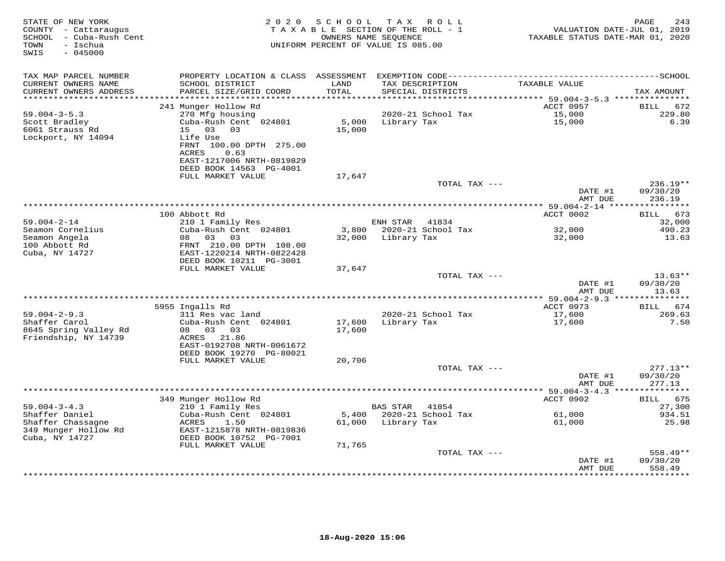| STATE OF NEW YORK<br>COUNTY - Cattaraugus<br>SCHOOL - Cuba-Rush Cent<br>TOWN<br>- Ischua<br>$-045000$<br>SWIS |                                                                                   | 2020 SCHOOL                | TAX ROLL<br>TAXABLE SECTION OF THE ROLL - 1<br>OWNERS NAME SEQUENCE<br>UNIFORM PERCENT OF VALUE IS 085.00 | VALUATION DATE-JUL 01, 2019<br>TAXABLE STATUS DATE-MAR 01, 2020 | PAGE<br>243           |
|---------------------------------------------------------------------------------------------------------------|-----------------------------------------------------------------------------------|----------------------------|-----------------------------------------------------------------------------------------------------------|-----------------------------------------------------------------|-----------------------|
| TAX MAP PARCEL NUMBER                                                                                         |                                                                                   |                            |                                                                                                           |                                                                 |                       |
| CURRENT OWNERS NAME                                                                                           | SCHOOL DISTRICT                                                                   | LAND                       | TAX DESCRIPTION                                                                                           | TAXABLE VALUE                                                   |                       |
| CURRENT OWNERS ADDRESS<br>**********************                                                              | PARCEL SIZE/GRID COORD                                                            | TOTAL<br>***************** | SPECIAL DISTRICTS<br>***************                                                                      |                                                                 | TAX AMOUNT            |
|                                                                                                               | 241 Munger Hollow Rd                                                              |                            |                                                                                                           | ******** 59.004-3-5.3 ****************<br>ACCT 0957             | 672<br>BILL           |
| $59.004 - 3 - 5.3$                                                                                            | 270 Mfg housing                                                                   |                            | 2020-21 School Tax                                                                                        | 15,000                                                          | 229.80                |
| Scott Bradley                                                                                                 | Cuba-Rush Cent 024801                                                             | 5,000                      | Library Tax                                                                                               | 15,000                                                          | 6.39                  |
| 6061 Strauss Rd                                                                                               | 15 03 03                                                                          | 15,000                     |                                                                                                           |                                                                 |                       |
| Lockport, NY 14094                                                                                            | Life Use<br>FRNT 100.00 DPTH 275.00<br>0.63<br>ACRES<br>EAST-1217006 NRTH-0819829 |                            |                                                                                                           |                                                                 |                       |
|                                                                                                               | DEED BOOK 14563 PG-4001                                                           |                            |                                                                                                           |                                                                 |                       |
|                                                                                                               | FULL MARKET VALUE                                                                 | 17,647                     | TOTAL TAX ---                                                                                             |                                                                 | $236.19**$            |
|                                                                                                               |                                                                                   |                            |                                                                                                           | DATE #1<br>AMT DUE                                              | 09/30/20<br>236.19    |
|                                                                                                               |                                                                                   |                            |                                                                                                           | ************ 59.004-2-14 *****************                      |                       |
|                                                                                                               | 100 Abbott Rd                                                                     |                            |                                                                                                           | ACCT 0002                                                       | BILL 673              |
| $59.004 - 2 - 14$                                                                                             | 210 1 Family Res                                                                  |                            | ENH STAR<br>41834                                                                                         |                                                                 | 32,000                |
| Seamon Cornelius<br>Seamon Angela                                                                             | Cuba-Rush Cent 024801<br>08 03 03                                                 |                            | 3,800 2020-21 School Tax<br>32,000 Library Tax                                                            | 32,000<br>32,000                                                | 490.23<br>13.63       |
| 100 Abbott Rd                                                                                                 | FRNT 210.00 DPTH 108.00                                                           |                            |                                                                                                           |                                                                 |                       |
| Cuba, NY 14727                                                                                                | EAST-1220214 NRTH-0822428<br>DEED BOOK 10211 PG-3001                              |                            |                                                                                                           |                                                                 |                       |
|                                                                                                               | FULL MARKET VALUE                                                                 | 37,647                     |                                                                                                           |                                                                 |                       |
|                                                                                                               |                                                                                   |                            | TOTAL TAX ---                                                                                             | DATE #1                                                         | $13.63**$<br>09/30/20 |
|                                                                                                               |                                                                                   |                            |                                                                                                           | AMT DUE                                                         | 13.63                 |
|                                                                                                               |                                                                                   |                            |                                                                                                           |                                                                 |                       |
|                                                                                                               | 5955 Ingalls Rd                                                                   |                            |                                                                                                           | ACCT 0973                                                       | BILL 674              |
| $59.004 - 2 - 9.3$                                                                                            | 311 Res vac land                                                                  |                            | 2020-21 School Tax                                                                                        | 17,600                                                          | 269.63                |
| Shaffer Carol<br>8645 Spring Valley Rd                                                                        | Cuba-Rush Cent 024801<br>08 03 03                                                 | 17,600<br>17,600           | Library Tax                                                                                               | 17,600                                                          | 7.50                  |
| Friendship, NY 14739                                                                                          | ACRES 21.86                                                                       |                            |                                                                                                           |                                                                 |                       |
|                                                                                                               | EAST-0192708 NRTH-0061672                                                         |                            |                                                                                                           |                                                                 |                       |
|                                                                                                               | DEED BOOK 19270 PG-80021                                                          |                            |                                                                                                           |                                                                 |                       |
|                                                                                                               | FULL MARKET VALUE                                                                 | 20,706                     |                                                                                                           |                                                                 |                       |
|                                                                                                               |                                                                                   |                            | TOTAL TAX ---                                                                                             |                                                                 | $277.13**$            |
|                                                                                                               |                                                                                   |                            |                                                                                                           | DATE #1<br>AMT DUE                                              | 09/30/20<br>277.13    |
|                                                                                                               | 349 Munger Hollow Rd                                                              |                            |                                                                                                           | ACCT 0902                                                       | BILL 675              |
| $59.004 - 3 - 4.3$                                                                                            | 210 1 Family Res                                                                  |                            | BAS STAR<br>41854                                                                                         |                                                                 | 27,300                |
| Shaffer Daniel                                                                                                | Cuba-Rush Cent 024801                                                             |                            | 5,400 2020-21 School Tax                                                                                  | 61,000                                                          | 934.51                |
| Shaffer Chassagne<br>349 Munger Hollow Rd                                                                     | ACRES<br>1.50<br>EAST-1215878 NRTH-0819836                                        |                            | 61,000 Library Tax                                                                                        | 61,000                                                          | 25.98                 |
| Cuba, NY 14727                                                                                                | DEED BOOK 10752 PG-7001                                                           |                            |                                                                                                           |                                                                 |                       |
|                                                                                                               | FULL MARKET VALUE                                                                 | 71,765                     |                                                                                                           |                                                                 |                       |
|                                                                                                               |                                                                                   |                            | TOTAL TAX ---                                                                                             |                                                                 | 558.49**              |
|                                                                                                               |                                                                                   |                            |                                                                                                           | DATE #1<br>AMT DUE                                              | 09/30/20<br>558.49    |
|                                                                                                               |                                                                                   |                            | ****************************                                                                              |                                                                 |                       |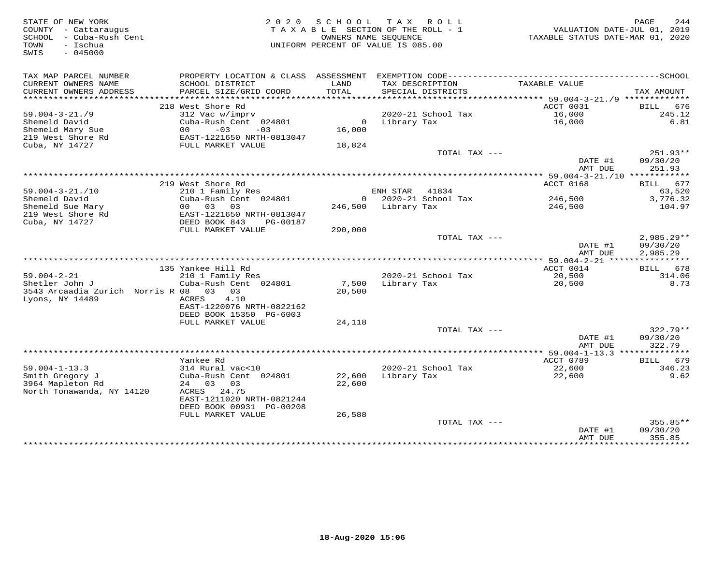| STATE OF NEW YORK<br>COUNTY - Cattaraugus<br>- Cuba-Rush Cent<br>SCHOOL<br>- Ischua<br>TOWN<br>$-045000$<br>SWIS |                                                                            | 2020 SCHOOL TAX ROLL<br>TAXABLE SECTION OF THE ROLL - 1<br>OWNERS NAME SEQUENCE<br>UNIFORM PERCENT OF VALUE IS 085.00 |                     |                                      | TAXABLE STATUS DATE-MAR 01, 2020 | PAGE<br>244<br>VALUATION DATE-JUL 01, 2019 |
|------------------------------------------------------------------------------------------------------------------|----------------------------------------------------------------------------|-----------------------------------------------------------------------------------------------------------------------|---------------------|--------------------------------------|----------------------------------|--------------------------------------------|
| TAX MAP PARCEL NUMBER                                                                                            | PROPERTY LOCATION & CLASS ASSESSMENT EXEMPTION CODE----------------------- |                                                                                                                       |                     |                                      |                                  | ----------------SCHOOL                     |
| CURRENT OWNERS NAME<br>CURRENT OWNERS ADDRESS                                                                    | SCHOOL DISTRICT<br>PARCEL SIZE/GRID COORD                                  | LAND<br>TOTAL                                                                                                         |                     | TAX DESCRIPTION<br>SPECIAL DISTRICTS | TAXABLE VALUE                    | TAX AMOUNT                                 |
| **********************                                                                                           |                                                                            |                                                                                                                       |                     |                                      |                                  |                                            |
|                                                                                                                  | 218 West Shore Rd                                                          |                                                                                                                       |                     |                                      | ACCT 0031                        | BILL 676                                   |
| $59.004 - 3 - 21.79$                                                                                             | 312 Vac w/imprv                                                            |                                                                                                                       |                     | 2020-21 School Tax                   | 16,000                           | 245.12                                     |
| Shemeld David                                                                                                    | Cuba-Rush Cent 024801                                                      |                                                                                                                       | 0 Library Tax       |                                      | 16,000                           | 6.81                                       |
| Shemeld Mary Sue                                                                                                 | $-03$<br>$-03$<br>00                                                       | 16,000                                                                                                                |                     |                                      |                                  |                                            |
| 219 West Shore Rd                                                                                                | EAST-1221650 NRTH-0813047                                                  |                                                                                                                       |                     |                                      |                                  |                                            |
| Cuba, NY 14727                                                                                                   | FULL MARKET VALUE                                                          | 18,824                                                                                                                |                     | TOTAL TAX ---                        |                                  | 251.93**                                   |
|                                                                                                                  |                                                                            |                                                                                                                       |                     |                                      | DATE #1<br>AMT DUE               | 09/30/20<br>251.93                         |
|                                                                                                                  |                                                                            |                                                                                                                       |                     |                                      |                                  |                                            |
|                                                                                                                  | 219 West Shore Rd                                                          |                                                                                                                       |                     |                                      | ACCT 0168                        | BILL 677                                   |
| $59.004 - 3 - 21.710$                                                                                            | 210 1 Family Res                                                           |                                                                                                                       | ENH STAR 41834      |                                      |                                  | 63,520                                     |
| Shemeld David                                                                                                    | Cuba-Rush Cent 024801                                                      |                                                                                                                       |                     | 0 2020-21 School Tax                 | 246,500                          | 3,776.32                                   |
| Shemeld Sue Mary                                                                                                 | 00 03<br>03                                                                |                                                                                                                       | 246,500 Library Tax |                                      | 246,500                          | 104.97                                     |
| 219 West Shore Rd<br>Cuba, NY 14727                                                                              | EAST-1221650 NRTH-0813047<br>DEED BOOK 843<br>PG-00187                     |                                                                                                                       |                     |                                      |                                  |                                            |
|                                                                                                                  | FULL MARKET VALUE                                                          | 290,000                                                                                                               |                     |                                      |                                  |                                            |
|                                                                                                                  |                                                                            |                                                                                                                       |                     | TOTAL TAX ---                        |                                  | $2,985.29**$                               |
|                                                                                                                  |                                                                            |                                                                                                                       |                     |                                      | DATE #1                          | 09/30/20                                   |
|                                                                                                                  |                                                                            |                                                                                                                       |                     |                                      | AMT DUE                          | 2,985.29                                   |
|                                                                                                                  |                                                                            |                                                                                                                       |                     |                                      |                                  |                                            |
|                                                                                                                  | 135 Yankee Hill Rd                                                         |                                                                                                                       |                     |                                      | ACCT 0014                        | BILL 678                                   |
| $59.004 - 2 - 21$<br>Shetler John J                                                                              | 210 1 Family Res<br>Cuba-Rush Cent 024801                                  |                                                                                                                       | Library Tax         | 2020-21 School Tax                   | 20,500                           | 314.06<br>8.73                             |
| 3543 Arcaadia Zurich Norris R 08 03 03                                                                           |                                                                            | 7,500<br>20,500                                                                                                       |                     |                                      | 20,500                           |                                            |
| Lyons, NY 14489                                                                                                  | ACRES<br>4.10                                                              |                                                                                                                       |                     |                                      |                                  |                                            |
|                                                                                                                  | EAST-1220076 NRTH-0822162                                                  |                                                                                                                       |                     |                                      |                                  |                                            |
|                                                                                                                  | DEED BOOK 15350 PG-6003                                                    |                                                                                                                       |                     |                                      |                                  |                                            |
|                                                                                                                  | FULL MARKET VALUE                                                          | 24,118                                                                                                                |                     |                                      |                                  |                                            |
|                                                                                                                  |                                                                            |                                                                                                                       |                     | TOTAL TAX ---                        |                                  | $322.79**$                                 |
|                                                                                                                  |                                                                            |                                                                                                                       |                     |                                      | DATE #1                          | 09/30/20                                   |
|                                                                                                                  |                                                                            |                                                                                                                       |                     |                                      | AMT DUE                          | 322.79                                     |
|                                                                                                                  | Yankee Rd                                                                  |                                                                                                                       |                     |                                      | ACCT 0789                        | BILL 679                                   |
| $59.004 - 1 - 13.3$                                                                                              | 314 Rural vac<10                                                           |                                                                                                                       |                     | 2020-21 School Tax                   | 22,600                           | 346.23                                     |
| Smith Gregory J                                                                                                  | Cuba-Rush Cent 024801                                                      | 22,600                                                                                                                | Library Tax         |                                      | 22,600                           | 9.62                                       |
| 3964 Mapleton Rd                                                                                                 | 24 03 03                                                                   | 22,600                                                                                                                |                     |                                      |                                  |                                            |
| North Tonawanda, NY 14120                                                                                        | ACRES 24.75                                                                |                                                                                                                       |                     |                                      |                                  |                                            |
|                                                                                                                  | EAST-1211020 NRTH-0821244                                                  |                                                                                                                       |                     |                                      |                                  |                                            |
|                                                                                                                  | DEED BOOK 00931 PG-00208                                                   |                                                                                                                       |                     |                                      |                                  |                                            |
|                                                                                                                  | FULL MARKET VALUE                                                          | 26,588                                                                                                                |                     | TOTAL TAX ---                        |                                  | 355.85**                                   |
|                                                                                                                  |                                                                            |                                                                                                                       |                     |                                      | DATE #1                          | 09/30/20                                   |
|                                                                                                                  |                                                                            |                                                                                                                       |                     |                                      | AMT DUE                          | 355.85                                     |
|                                                                                                                  |                                                                            |                                                                                                                       |                     | **********************************   | * * * * * * * * * * * * * * * *  | <b>++++++++++</b>                          |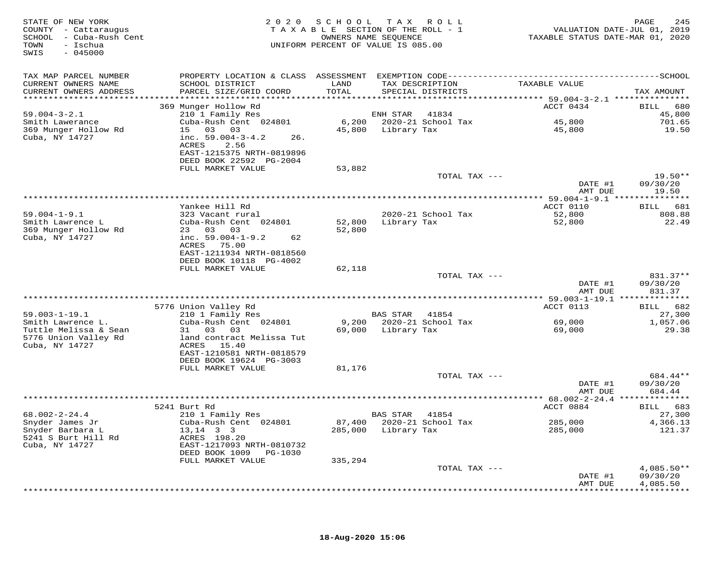| STATE OF NEW YORK<br>COUNTY - Cattaraugus<br>SCHOOL - Cuba-Rush Cent<br>- Ischua<br>TOWN<br>$-045000$<br>SWIS | 2 0 2 0                                                                              | OWNERS NAME SEQUENCE | SCHOOL TAX ROLL<br>TAXABLE SECTION OF THE ROLL - 1<br>UNIFORM PERCENT OF VALUE IS 085.00 | VALUATION DATE-JUL 01, 2019<br>TAXABLE STATUS DATE-MAR 01, 2020 | 245<br>PAGE           |
|---------------------------------------------------------------------------------------------------------------|--------------------------------------------------------------------------------------|----------------------|------------------------------------------------------------------------------------------|-----------------------------------------------------------------|-----------------------|
| TAX MAP PARCEL NUMBER                                                                                         |                                                                                      |                      |                                                                                          |                                                                 |                       |
| CURRENT OWNERS NAME<br>CURRENT OWNERS ADDRESS                                                                 | SCHOOL DISTRICT<br>PARCEL SIZE/GRID COORD                                            | LAND<br>TOTAL        | TAX DESCRIPTION<br>SPECIAL DISTRICTS                                                     | TAXABLE VALUE                                                   | TAX AMOUNT            |
|                                                                                                               |                                                                                      |                      |                                                                                          | ********************* 59.004-3-2.1 ****************             |                       |
|                                                                                                               | 369 Munger Hollow Rd                                                                 |                      |                                                                                          | ACCT 0434                                                       | BILL<br>680           |
| $59.004 - 3 - 2.1$                                                                                            | 210 1 Family Res                                                                     |                      | ENH STAR 41834                                                                           | 45,800                                                          | 45,800<br>701.65      |
| Smith Lawerance<br>369 Munger Hollow Rd<br>Cuba, NY 14727                                                     | Cuba-Rush Cent 024801<br>15 03 03<br>inc. $59.004 - 3 - 4.2$<br>26.<br>ACRES<br>2.56 |                      | 45,800 Library Tax                                                                       | 45,800                                                          | 19.50                 |
|                                                                                                               | EAST-1215375 NRTH-0819896<br>DEED BOOK 22592 PG-2004                                 |                      |                                                                                          |                                                                 |                       |
|                                                                                                               | FULL MARKET VALUE                                                                    | 53,882               |                                                                                          |                                                                 |                       |
|                                                                                                               |                                                                                      |                      | TOTAL TAX ---                                                                            | DATE #1                                                         | $19.50**$<br>09/30/20 |
|                                                                                                               |                                                                                      |                      |                                                                                          | AMT DUE                                                         | 19.50                 |
|                                                                                                               | Yankee Hill Rd                                                                       |                      |                                                                                          | ACCT 0110                                                       | BILL 681              |
| $59.004 - 1 - 9.1$                                                                                            | 323 Vacant rural                                                                     |                      | 2020-21 School Tax                                                                       | 52,800                                                          | 808.88                |
| Smith Lawrence L                                                                                              | Cuba-Rush Cent 024801                                                                | 52,800               | Library Tax                                                                              | 52,800                                                          | 22.49                 |
| 369 Munger Hollow Rd                                                                                          | 23 03 03                                                                             | 52,800               |                                                                                          |                                                                 |                       |
| Cuba, NY 14727                                                                                                | inc. $59.004-1-9.2$<br>62                                                            |                      |                                                                                          |                                                                 |                       |
|                                                                                                               | ACRES 75.00                                                                          |                      |                                                                                          |                                                                 |                       |
|                                                                                                               | EAST-1211934 NRTH-0818560<br>DEED BOOK 10118 PG-4002                                 |                      |                                                                                          |                                                                 |                       |
|                                                                                                               | FULL MARKET VALUE                                                                    | 62,118               |                                                                                          |                                                                 |                       |
|                                                                                                               |                                                                                      |                      | TOTAL TAX ---                                                                            |                                                                 | 831.37**              |
|                                                                                                               |                                                                                      |                      |                                                                                          | DATE #1                                                         | 09/30/20              |
|                                                                                                               |                                                                                      |                      |                                                                                          | AMT DUE                                                         | 831.37                |
|                                                                                                               |                                                                                      |                      |                                                                                          |                                                                 |                       |
|                                                                                                               | 5776 Union Valley Rd<br>$210$ 1 Family Res                                           |                      |                                                                                          | ACCT 0113                                                       | BILL 682              |
| $59.003 - 1 - 19.1$<br>Smith Lawrence L.                                                                      | Cuba-Rush Cent 024801                                                                |                      | BAS STAR 41854<br>9,200 2020-21 School Tax                                               | 69,000                                                          | 27,300<br>1,057.06    |
| Tuttle Melissa & Sean                                                                                         | 31 03 03                                                                             |                      | 69,000 Library Tax                                                                       | 69,000                                                          | 29.38                 |
| 5776 Union Valley Rd<br>Cuba, NY 14727                                                                        | land contract Melissa Tut<br>ACRES 15.40                                             |                      |                                                                                          |                                                                 |                       |
|                                                                                                               | EAST-1210581 NRTH-0818579                                                            |                      |                                                                                          |                                                                 |                       |
|                                                                                                               | DEED BOOK 19624 PG-3003                                                              |                      |                                                                                          |                                                                 |                       |
|                                                                                                               | FULL MARKET VALUE                                                                    | 81,176               | TOTAL TAX ---                                                                            |                                                                 | 684.44**              |
|                                                                                                               |                                                                                      |                      |                                                                                          | DATE #1                                                         | 09/30/20              |
|                                                                                                               |                                                                                      |                      |                                                                                          | AMT DUE                                                         | 684.44                |
|                                                                                                               |                                                                                      |                      |                                                                                          |                                                                 |                       |
|                                                                                                               | 5241 Burt Rd                                                                         |                      |                                                                                          | ACCT 0884                                                       | BILL 683              |
| $68.002 - 2 - 24.4$                                                                                           | 210 1 Family Res                                                                     |                      | BAS STAR 41854                                                                           |                                                                 | 27,300                |
| Snyder James Jr<br>Snyder Barbara L                                                                           | Cuba-Rush Cent 024801<br>$13, 14$ 3 3                                                |                      | 87,400 2020-21 School Tax<br>285,000 Library Tax                                         | 285,000<br>285,000                                              | 4,366.13<br>121.37    |
| 5241 S Burt Hill Rd                                                                                           | ACRES 198.20                                                                         |                      |                                                                                          |                                                                 |                       |
| Cuba, NY 14727                                                                                                | EAST-1217093 NRTH-0810732<br>DEED BOOK 1009 PG-1030                                  |                      |                                                                                          |                                                                 |                       |
|                                                                                                               | FULL MARKET VALUE                                                                    | 335,294              |                                                                                          |                                                                 |                       |
|                                                                                                               |                                                                                      |                      | TOTAL TAX ---                                                                            |                                                                 | $4,085.50**$          |
|                                                                                                               |                                                                                      |                      |                                                                                          | DATE #1                                                         | 09/30/20              |
|                                                                                                               |                                                                                      |                      |                                                                                          | AMT DUE                                                         | 4,085.50              |
|                                                                                                               |                                                                                      |                      |                                                                                          |                                                                 |                       |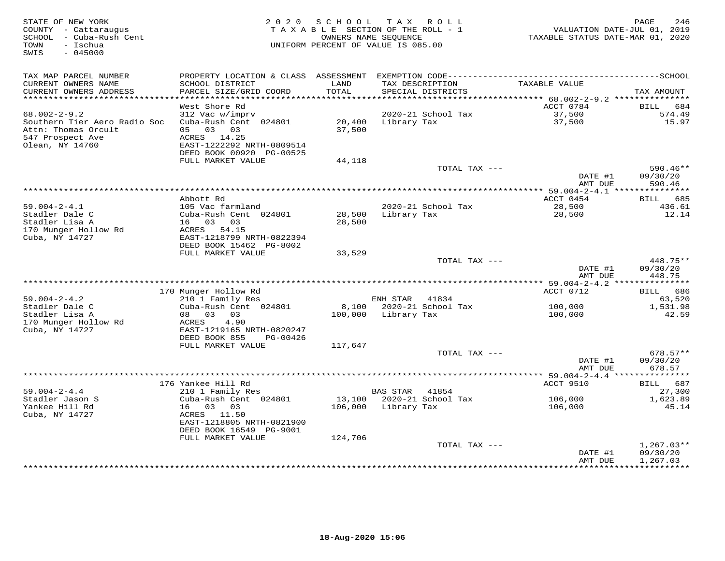| STATE OF NEW YORK<br>COUNTY - Cattaraugus<br>SCHOOL - Cuba-Rush Cent<br>- Ischua<br>TOWN | 2 0 2 0                                   | SCHOOL            | TAX ROLL<br>TAXABLE SECTION OF THE ROLL - 1<br>OWNERS NAME SEQUENCE<br>UNIFORM PERCENT OF VALUE IS 085.00 | VALUATION DATE-JUL 01, 2019<br>TAXABLE STATUS DATE-MAR 01, 2020 | PAGE<br>246          |
|------------------------------------------------------------------------------------------|-------------------------------------------|-------------------|-----------------------------------------------------------------------------------------------------------|-----------------------------------------------------------------|----------------------|
| $-045000$<br>SWIS                                                                        |                                           |                   |                                                                                                           |                                                                 |                      |
| TAX MAP PARCEL NUMBER                                                                    | PROPERTY LOCATION & CLASS ASSESSMENT      |                   |                                                                                                           |                                                                 |                      |
| CURRENT OWNERS NAME<br>CURRENT OWNERS ADDRESS                                            | SCHOOL DISTRICT<br>PARCEL SIZE/GRID COORD | LAND<br>TOTAL     | TAX DESCRIPTION<br>SPECIAL DISTRICTS                                                                      | TAXABLE VALUE                                                   | TAX AMOUNT           |
| **********************                                                                   | *************************                 |                   |                                                                                                           |                                                                 |                      |
|                                                                                          | West Shore Rd                             |                   |                                                                                                           | ACCT 0784                                                       | 684<br>BILL          |
| $68.002 - 2 - 9.2$                                                                       | 312 Vac w/imprv                           |                   | 2020-21 School Tax                                                                                        | 37,500                                                          | 574.49               |
| Southern Tier Aero Radio Soc<br>Attn: Thomas Orcult                                      | Cuba-Rush Cent 024801<br>05 03 03         | 20,400<br>37,500  | Library Tax                                                                                               | 37,500                                                          | 15.97                |
| 547 Prospect Ave<br>Olean, NY 14760                                                      | ACRES 14.25<br>EAST-1222292 NRTH-0809514  |                   |                                                                                                           |                                                                 |                      |
|                                                                                          | DEED BOOK 00920 PG-00525                  |                   |                                                                                                           |                                                                 |                      |
|                                                                                          | FULL MARKET VALUE                         | 44,118            |                                                                                                           |                                                                 |                      |
|                                                                                          |                                           |                   | TOTAL TAX ---                                                                                             |                                                                 | $590.46**$           |
|                                                                                          |                                           |                   |                                                                                                           | DATE #1<br>AMT DUE                                              | 09/30/20<br>590.46   |
|                                                                                          |                                           |                   |                                                                                                           | ******** 59.004-2-4.1 ***************                           |                      |
| $59.004 - 2 - 4.1$                                                                       | Abbott Rd<br>105 Vac farmland             |                   | 2020-21 School Tax                                                                                        | ACCT 0454<br>28,500                                             | BILL 685<br>436.61   |
| Stadler Dale C                                                                           | Cuba-Rush Cent 024801                     | 28,500            | Library Tax                                                                                               | 28,500                                                          | 12.14                |
| Stadler Lisa A                                                                           | 16 03 03                                  | 28,500            |                                                                                                           |                                                                 |                      |
| 170 Munger Hollow Rd                                                                     | ACRES 54.15                               |                   |                                                                                                           |                                                                 |                      |
| Cuba, NY 14727                                                                           | EAST-1218799 NRTH-0822394                 |                   |                                                                                                           |                                                                 |                      |
|                                                                                          | DEED BOOK 15462 PG-8002                   |                   |                                                                                                           |                                                                 |                      |
|                                                                                          | FULL MARKET VALUE                         | 33,529            | TOTAL TAX ---                                                                                             |                                                                 | 448.75**             |
|                                                                                          |                                           |                   |                                                                                                           | DATE #1                                                         | 09/30/20             |
|                                                                                          |                                           |                   |                                                                                                           | AMT DUE                                                         | 448.75               |
|                                                                                          |                                           |                   |                                                                                                           |                                                                 |                      |
|                                                                                          | 170 Munger Hollow Rd                      |                   |                                                                                                           | ACCT 0712                                                       | BILL 686             |
| $59.004 - 2 - 4.2$<br>Stadler Dale C                                                     | 210 1 Family Res<br>Cuba-Rush Cent 024801 | 8,100             | ENH STAR 41834<br>2020-21 School Tax                                                                      | 100,000                                                         | 63,520<br>1,531.98   |
| Stadler Lisa A                                                                           | 08 03<br>03                               |                   | 100,000 Library Tax                                                                                       | 100,000                                                         | 42.59                |
| 170 Munger Hollow Rd                                                                     | ACRES<br>4.90                             |                   |                                                                                                           |                                                                 |                      |
| Cuba, NY 14727                                                                           | EAST-1219165 NRTH-0820247                 |                   |                                                                                                           |                                                                 |                      |
|                                                                                          | DEED BOOK 855<br>PG-00426                 |                   |                                                                                                           |                                                                 |                      |
|                                                                                          | FULL MARKET VALUE                         | 117,647           | TOTAL TAX ---                                                                                             |                                                                 | $678.57**$           |
|                                                                                          |                                           |                   |                                                                                                           | DATE #1                                                         | 09/30/20             |
|                                                                                          |                                           |                   |                                                                                                           | AMT DUE                                                         | 678.57               |
|                                                                                          |                                           |                   |                                                                                                           |                                                                 |                      |
|                                                                                          | 176 Yankee Hill Rd                        |                   |                                                                                                           | ACCT 9510                                                       | BILL<br>687          |
| $59.004 - 2 - 4.4$                                                                       | 210 1 Family Res                          |                   | <b>BAS STAR</b><br>41854                                                                                  |                                                                 | 27,300               |
| Stadler Jason S<br>Yankee Hill Rd                                                        | Cuba-Rush Cent 024801<br>16<br>03 03      | 13,100<br>106,000 | 2020-21 School Tax<br>Library Tax                                                                         | 106,000<br>106,000                                              | 1,623.89<br>45.14    |
| Cuba, NY 14727                                                                           | ACRES<br>11.50                            |                   |                                                                                                           |                                                                 |                      |
|                                                                                          | EAST-1218805 NRTH-0821900                 |                   |                                                                                                           |                                                                 |                      |
|                                                                                          | DEED BOOK 16549 PG-9001                   |                   |                                                                                                           |                                                                 |                      |
|                                                                                          | FULL MARKET VALUE                         | 124,706           |                                                                                                           |                                                                 |                      |
|                                                                                          |                                           |                   | TOTAL TAX ---                                                                                             |                                                                 | $1,267.03**$         |
|                                                                                          |                                           |                   |                                                                                                           | DATE #1<br>AMT DUE                                              | 09/30/20<br>1,267.03 |
|                                                                                          |                                           |                   | *********************************                                                                         | ****************                                                | ***********          |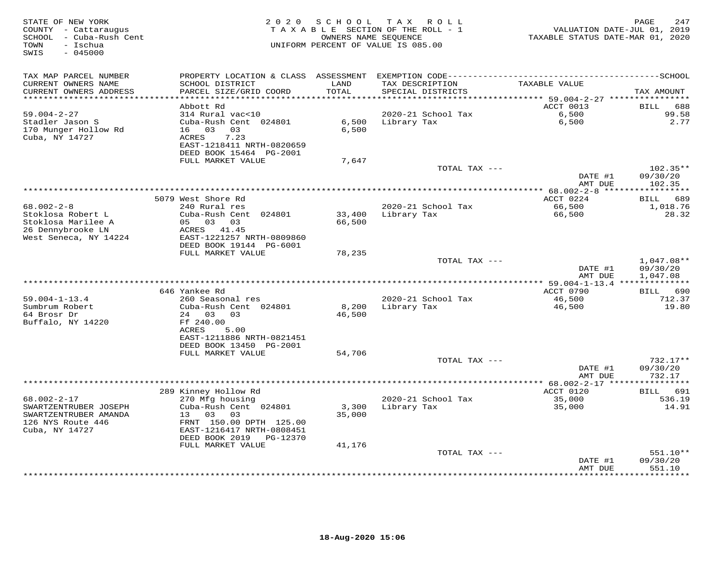| STATE OF NEW YORK<br>COUNTY - Cattaraugus<br>- Cuba-Rush Cent<br>SCHOOL<br>- Ischua<br>TOWN<br>$-045000$<br>SWIS | 2 0 2 0                                                                                                                                                                                       | SCHOOL                      | T A X<br>R O L L<br>TAXABLE SECTION OF THE ROLL - 1<br>OWNERS NAME SEQUENCE<br>UNIFORM PERCENT OF VALUE IS 085.00 | TAXABLE STATUS DATE-MAR 01, 2020                      | PAGE<br>247<br>VALUATION DATE-JUL 01, 2019 |
|------------------------------------------------------------------------------------------------------------------|-----------------------------------------------------------------------------------------------------------------------------------------------------------------------------------------------|-----------------------------|-------------------------------------------------------------------------------------------------------------------|-------------------------------------------------------|--------------------------------------------|
| TAX MAP PARCEL NUMBER<br>CURRENT OWNERS NAME<br>CURRENT OWNERS ADDRESS                                           | PROPERTY LOCATION & CLASS<br>SCHOOL DISTRICT<br>PARCEL SIZE/GRID COORD                                                                                                                        | ASSESSMENT<br>LAND<br>TOTAL | TAX DESCRIPTION<br>SPECIAL DISTRICTS                                                                              | TAXABLE VALUE                                         | TAX AMOUNT                                 |
| **********************                                                                                           | ***********************<br>Abbott Rd                                                                                                                                                          |                             |                                                                                                                   | ACCT 0013                                             | <b>BILL</b><br>688                         |
| $59.004 - 2 - 27$<br>Stadler Jason S<br>170 Munger Hollow Rd<br>Cuba, NY 14727                                   | 314 Rural vac<10<br>Cuba-Rush Cent 024801<br>03<br>03<br>16<br>7.23<br>ACRES<br>EAST-1218411 NRTH-0820659<br>DEED BOOK 15464 PG-2001                                                          | 6,500<br>6,500              | 2020-21 School Tax<br>Library Tax                                                                                 | 6,500<br>6,500                                        | 99.58<br>2.77                              |
|                                                                                                                  | FULL MARKET VALUE                                                                                                                                                                             | 7,647                       | TOTAL TAX ---                                                                                                     |                                                       | $102.35**$                                 |
|                                                                                                                  |                                                                                                                                                                                               |                             |                                                                                                                   | DATE #1<br>AMT DUE                                    | 09/30/20<br>102.35                         |
|                                                                                                                  |                                                                                                                                                                                               |                             |                                                                                                                   |                                                       | * * * * * * * * * * *                      |
| $68.002 - 2 - 8$<br>Stoklosa Robert L<br>Stoklosa Marilee A<br>26 Dennybrooke LN<br>West Seneca, NY 14224        | 5079 West Shore Rd<br>240 Rural res<br>Cuba-Rush Cent 024801<br>05<br>03 03<br>ACRES<br>41.45<br>EAST-1221257 NRTH-0809860                                                                    | 33,400<br>66,500            | 2020-21 School Tax<br>Library Tax                                                                                 | ACCT 0224<br>66,500<br>66,500                         | 689<br>BILL<br>1,018.76<br>28.32           |
|                                                                                                                  | DEED BOOK 19144 PG-6001                                                                                                                                                                       |                             |                                                                                                                   |                                                       |                                            |
|                                                                                                                  | FULL MARKET VALUE                                                                                                                                                                             | 78,235                      | TOTAL TAX ---                                                                                                     | DATE #1                                               | $1,047.08**$<br>09/30/20                   |
|                                                                                                                  |                                                                                                                                                                                               |                             |                                                                                                                   | AMT DUE<br>************ 59.004-1-13.4 *************** | 1,047.08                                   |
|                                                                                                                  | 646 Yankee Rd                                                                                                                                                                                 |                             |                                                                                                                   | ACCT 0790                                             | 690<br>BILL                                |
| $59.004 - 1 - 13.4$<br>Sumbrum Robert<br>64 Brosr Dr<br>Buffalo, NY 14220                                        | 260 Seasonal res<br>Cuba-Rush Cent 024801<br>24<br>03<br>03<br>Ff 240.00<br>ACRES<br>5.00<br>EAST-1211886 NRTH-0821451<br>DEED BOOK 13450 PG-2001                                             | 8,200<br>46,500             | 2020-21 School Tax<br>Library Tax                                                                                 | 46,500<br>46,500                                      | 712.37<br>19.80                            |
|                                                                                                                  | FULL MARKET VALUE                                                                                                                                                                             | 54,706                      |                                                                                                                   |                                                       |                                            |
|                                                                                                                  |                                                                                                                                                                                               |                             | TOTAL TAX ---                                                                                                     | DATE #1<br>AMT DUE                                    | $732.17**$<br>09/30/20<br>732.17           |
|                                                                                                                  |                                                                                                                                                                                               |                             |                                                                                                                   | * $68.002 - 2 - 17$ *                                 |                                            |
| $68.002 - 2 - 17$<br>SWARTZENTRUBER JOSEPH<br>SWARTZENTRUBER AMANDA<br>126 NYS Route 446<br>Cuba, NY 14727       | 289 Kinney Hollow Rd<br>270 Mfg housing<br>Cuba-Rush Cent 024801<br>03<br>03<br>13<br>FRNT 150.00 DPTH 125.00<br>EAST-1216417 NRTH-0808451<br>DEED BOOK 2019<br>PG-12370<br>FULL MARKET VALUE | 3,300<br>35,000<br>41,176   | 2020-21 School Tax<br>Library Tax                                                                                 | ACCT 0120<br>35,000<br>35,000                         | 691<br>BILL<br>536.19<br>14.91             |
|                                                                                                                  |                                                                                                                                                                                               |                             | TOTAL TAX ---                                                                                                     |                                                       | 551.10**                                   |
|                                                                                                                  |                                                                                                                                                                                               |                             |                                                                                                                   | DATE #1<br>AMT DUE                                    | 09/30/20<br>551.10<br>* * * * * * *        |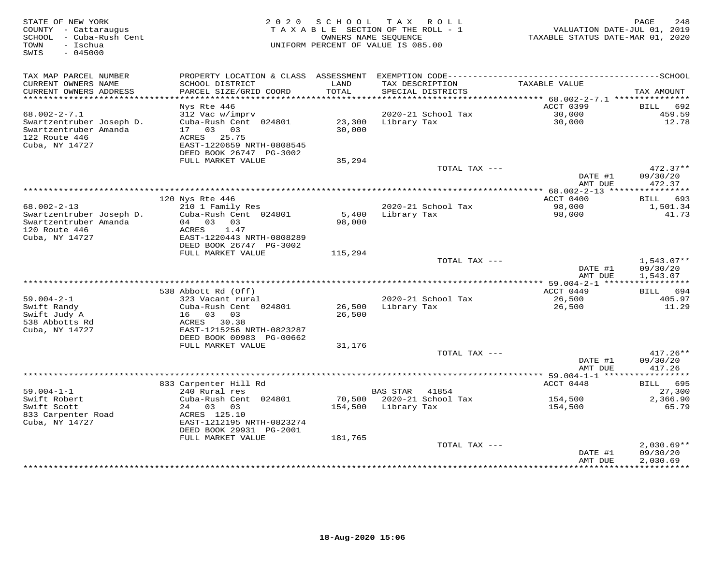| STATE OF NEW YORK<br>COUNTY - Cattaraugus<br>SCHOOL - Cuba-Rush Cent<br>- Ischua<br>TOWN<br>$-045000$<br>SWIS | 2 0 2 0                                                                         | S C H O O L<br>OWNERS NAME SEQUENCE | TAX ROLL<br>TAXABLE SECTION OF THE ROLL - 1<br>UNIFORM PERCENT OF VALUE IS 085.00 | VALUATION DATE-JUL 01, 2019<br>TAXABLE STATUS DATE-MAR 01, 2020 | 248<br>PAGE                      |
|---------------------------------------------------------------------------------------------------------------|---------------------------------------------------------------------------------|-------------------------------------|-----------------------------------------------------------------------------------|-----------------------------------------------------------------|----------------------------------|
| TAX MAP PARCEL NUMBER                                                                                         |                                                                                 |                                     |                                                                                   |                                                                 |                                  |
| CURRENT OWNERS NAME<br>CURRENT OWNERS ADDRESS                                                                 | SCHOOL DISTRICT<br>PARCEL SIZE/GRID COORD                                       | LAND<br>TOTAL                       | TAX DESCRIPTION<br>SPECIAL DISTRICTS                                              | TAXABLE VALUE                                                   | TAX AMOUNT                       |
| ************************                                                                                      |                                                                                 |                                     |                                                                                   |                                                                 |                                  |
| $68.002 - 2 - 7.1$                                                                                            | Nys Rte 446<br>312 Vac w/imprv                                                  |                                     | 2020-21 School Tax                                                                | ACCT 0399<br>30,000                                             | 692<br>BILL<br>459.59            |
| Swartzentruber Joseph D.                                                                                      | Cuba-Rush Cent 024801                                                           | 23,300                              | Library Tax                                                                       | 30,000                                                          | 12.78                            |
| Swartzentruber Amanda<br>122 Route 446<br>Cuba, NY 14727                                                      | 17 03 03<br>ACRES 25.75<br>EAST-1220659 NRTH-0808545                            | 30,000                              |                                                                                   |                                                                 |                                  |
|                                                                                                               | DEED BOOK 26747 PG-3002                                                         |                                     |                                                                                   |                                                                 |                                  |
|                                                                                                               | FULL MARKET VALUE                                                               | 35,294                              |                                                                                   |                                                                 |                                  |
|                                                                                                               |                                                                                 |                                     | TOTAL TAX ---                                                                     | DATE #1<br>AMT DUE                                              | $472.37**$<br>09/30/20<br>472.37 |
|                                                                                                               |                                                                                 |                                     |                                                                                   | ******* 68.002-2-13 ****************                            |                                  |
|                                                                                                               | 120 Nys Rte 446                                                                 |                                     |                                                                                   | ACCT 0400                                                       | 693<br>BILL                      |
| $68.002 - 2 - 13$                                                                                             | 210 1 Family Res                                                                |                                     | 2020-21 School Tax                                                                | 98,000                                                          | 1,501.34                         |
| Swartzentruber Joseph D.<br>Swartzentruber Amanda<br>120 Route 446<br>Cuba, NY 14727                          | Cuba-Rush Cent 024801<br>04 03 03<br>1.47<br>ACRES<br>EAST-1220443 NRTH-0808289 | 5,400<br>98,000                     | Library Tax                                                                       | 98,000                                                          | 41.73                            |
|                                                                                                               | DEED BOOK 26747 PG-3002                                                         |                                     |                                                                                   |                                                                 |                                  |
|                                                                                                               | FULL MARKET VALUE                                                               | 115,294                             |                                                                                   |                                                                 |                                  |
|                                                                                                               |                                                                                 |                                     | TOTAL TAX ---                                                                     | DATE #1                                                         | $1,543.07**$<br>09/30/20         |
|                                                                                                               |                                                                                 |                                     |                                                                                   | AMT DUE                                                         | 1,543.07                         |
|                                                                                                               | 538 Abbott Rd (Off)                                                             |                                     |                                                                                   | ACCT 0449                                                       | BILL 694                         |
| $59.004 - 2 - 1$                                                                                              | 323 Vacant rural                                                                |                                     | 2020-21 School Tax                                                                | 26,500                                                          | 405.97                           |
| Swift Randy                                                                                                   | Cuba-Rush Cent 024801                                                           | 26,500                              | Library Tax                                                                       | 26,500                                                          | 11.29                            |
| Swift Judy A                                                                                                  | 16 03<br>03                                                                     | 26,500                              |                                                                                   |                                                                 |                                  |
| 538 Abbotts Rd                                                                                                | ACRES 30.38                                                                     |                                     |                                                                                   |                                                                 |                                  |
| Cuba, NY 14727                                                                                                | EAST-1215256 NRTH-0823287                                                       |                                     |                                                                                   |                                                                 |                                  |
|                                                                                                               | DEED BOOK 00983 PG-00662                                                        |                                     |                                                                                   |                                                                 |                                  |
|                                                                                                               | FULL MARKET VALUE                                                               | 31,176                              | TOTAL TAX ---                                                                     |                                                                 | $417.26**$                       |
|                                                                                                               |                                                                                 |                                     |                                                                                   | DATE #1                                                         | 09/30/20                         |
|                                                                                                               |                                                                                 |                                     |                                                                                   | AMT DUE                                                         | 417.26                           |
|                                                                                                               |                                                                                 |                                     |                                                                                   |                                                                 |                                  |
|                                                                                                               | 833 Carpenter Hill Rd                                                           |                                     |                                                                                   | ACCT 0448                                                       | 695<br>BILL                      |
| $59.004 - 1 - 1$                                                                                              | 240 Rural res                                                                   |                                     | <b>BAS STAR</b><br>41854                                                          |                                                                 | 27,300                           |
| Swift Robert                                                                                                  | Cuba-Rush Cent 024801                                                           | 70,500                              | 2020-21 School Tax                                                                | 154,500                                                         | 2,366.90                         |
| Swift Scott                                                                                                   | 24 03 03                                                                        | 154,500                             | Library Tax                                                                       | 154,500                                                         | 65.79                            |
| 833 Carpenter Road<br>Cuba, NY 14727                                                                          | ACRES 125.10<br>EAST-1212195 NRTH-0823274<br>DEED BOOK 29931 PG-2001            |                                     |                                                                                   |                                                                 |                                  |
|                                                                                                               | FULL MARKET VALUE                                                               | 181,765                             |                                                                                   |                                                                 |                                  |
|                                                                                                               |                                                                                 |                                     | TOTAL TAX ---                                                                     |                                                                 | $2,030.69**$                     |
|                                                                                                               |                                                                                 |                                     |                                                                                   | DATE #1<br>AMT DUE                                              | 09/30/20<br>2,030.69             |
|                                                                                                               |                                                                                 |                                     | *********************************                                                 | **************                                                  | ***********                      |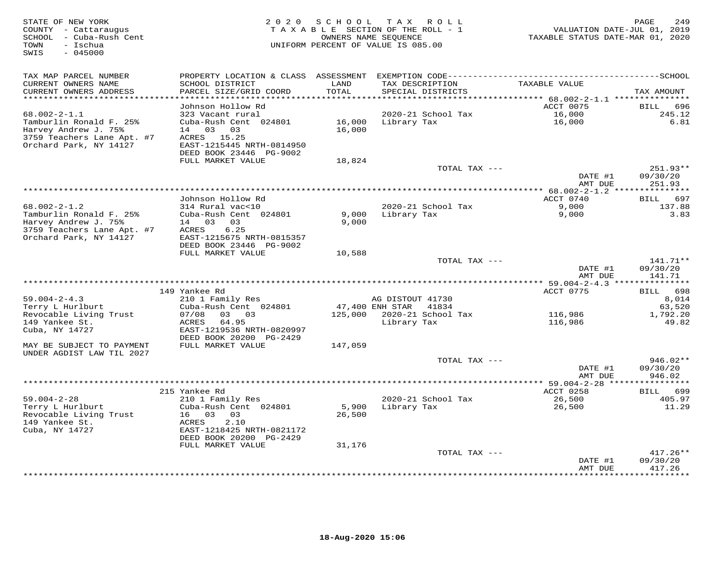| STATE OF NEW YORK<br>COUNTY - Cattaraugus<br>SCHOOL - Cuba-Rush Cent<br>- Ischua<br>TOWN<br>$-045000$<br>SWIS                 | 2 0 2 0                                                                                                                                                    | S C H O O L      | TAX ROLL<br>TAXABLE SECTION OF THE ROLL - 1<br>OWNERS NAME SEQUENCE<br>UNIFORM PERCENT OF VALUE IS 085.00 | VALUATION DATE-JUL 01, 2019<br>TAXABLE STATUS DATE-MAR 01, 2020 | $\mathop{\mathtt{PAGE}}$<br>249      |
|-------------------------------------------------------------------------------------------------------------------------------|------------------------------------------------------------------------------------------------------------------------------------------------------------|------------------|-----------------------------------------------------------------------------------------------------------|-----------------------------------------------------------------|--------------------------------------|
| TAX MAP PARCEL NUMBER<br>CURRENT OWNERS NAME<br>CURRENT OWNERS ADDRESS                                                        | SCHOOL DISTRICT<br>PARCEL SIZE/GRID COORD                                                                                                                  | LAND<br>TOTAL    | TAX DESCRIPTION<br>SPECIAL DISTRICTS                                                                      | TAXABLE VALUE                                                   | TAX AMOUNT                           |
| **********************                                                                                                        |                                                                                                                                                            | ******           |                                                                                                           |                                                                 |                                      |
| $68.002 - 2 - 1.1$<br>Tamburlin Ronald F. 25%<br>Harvey Andrew J. 75%<br>3759 Teachers Lane Apt. #7<br>Orchard Park, NY 14127 | Johnson Hollow Rd<br>323 Vacant rural<br>Cuba-Rush Cent 024801<br>03<br>03<br>14<br>ACRES<br>15.25<br>EAST-1215445 NRTH-0814950<br>DEED BOOK 23446 PG-9002 | 16,000<br>16,000 | 2020-21 School Tax<br>Library Tax                                                                         | ACCT 0075<br>16,000<br>16,000                                   | 696<br>BILL<br>245.12<br>6.81        |
|                                                                                                                               | FULL MARKET VALUE                                                                                                                                          | 18,824           | TOTAL TAX ---                                                                                             |                                                                 | 251.93**                             |
|                                                                                                                               |                                                                                                                                                            |                  |                                                                                                           | DATE #1<br>AMT DUE                                              | 09/30/20<br>251.93                   |
|                                                                                                                               |                                                                                                                                                            |                  |                                                                                                           | ************* 68.002-2-1.2 ****************                     |                                      |
| $68.002 - 2 - 1.2$<br>Tamburlin Ronald F. 25%<br>Harvey Andrew J. 75%                                                         | Johnson Hollow Rd<br>314 Rural vac<10<br>Cuba-Rush Cent 024801<br>14 03 03                                                                                 | 9,000<br>9,000   | 2020-21 School Tax<br>Library Tax                                                                         | ACCT 0740<br>9,000<br>9,000                                     | 697<br><b>BILL</b><br>137.88<br>3.83 |
| 3759 Teachers Lane Apt. #7<br>Orchard Park, NY 14127                                                                          | 6.25<br>ACRES<br>EAST-1215675 NRTH-0815357<br>DEED BOOK 23446 PG-9002<br>FULL MARKET VALUE                                                                 | 10,588           |                                                                                                           |                                                                 |                                      |
|                                                                                                                               |                                                                                                                                                            |                  | TOTAL TAX ---                                                                                             | DATE #1                                                         | $141.71**$<br>09/30/20               |
| **************************                                                                                                    |                                                                                                                                                            |                  |                                                                                                           | AMT DUE                                                         | 141.71                               |
|                                                                                                                               | 149 Yankee Rd                                                                                                                                              |                  |                                                                                                           | ACCT 0775                                                       | 698<br>BILL                          |
| $59.004 - 2 - 4.3$                                                                                                            | 210 1 Family Res                                                                                                                                           |                  | AG DISTOUT 41730                                                                                          |                                                                 | 8,014                                |
| Terry L Hurlburt                                                                                                              | Cuba-Rush Cent 024801                                                                                                                                      |                  | 47,400 ENH STAR<br>41834                                                                                  |                                                                 | 63,520                               |
| Revocable Living Trust<br>149 Yankee St.<br>Cuba, NY 14727                                                                    | 07/08<br>03 03<br>ACRES<br>64.95<br>EAST-1219536 NRTH-0820997<br>DEED BOOK 20200 PG-2429                                                                   | 125,000          | 2020-21 School Tax<br>Library Tax                                                                         | 116,986<br>116,986                                              | 1,792.20<br>49.82                    |
| MAY BE SUBJECT TO PAYMENT<br>UNDER AGDIST LAW TIL 2027                                                                        | FULL MARKET VALUE                                                                                                                                          | 147,059          |                                                                                                           |                                                                 |                                      |
|                                                                                                                               |                                                                                                                                                            |                  | TOTAL TAX ---                                                                                             | DATE #1<br>AMT DUE                                              | 946.02**<br>09/30/20<br>946.02       |
|                                                                                                                               |                                                                                                                                                            |                  |                                                                                                           | **** 59.004-2-28 **                                             |                                      |
|                                                                                                                               | 215 Yankee Rd                                                                                                                                              |                  |                                                                                                           | ACCT 0258                                                       | 699<br>BILL                          |
| $59.004 - 2 - 28$                                                                                                             | 210 1 Family Res                                                                                                                                           |                  | 2020-21 School Tax                                                                                        | 26,500                                                          | 405.97                               |
| Terry L Hurlburt<br>Revocable Living Trust<br>149 Yankee St.<br>Cuba, NY 14727                                                | Cuba-Rush Cent 024801<br>16 03<br>03<br>2.10<br>ACRES<br>EAST-1218425 NRTH-0821172<br>DEED BOOK 20200 PG-2429                                              | 5,900<br>26,500  | Library Tax                                                                                               | 26,500                                                          | 11.29                                |
|                                                                                                                               | FULL MARKET VALUE                                                                                                                                          | 31,176           |                                                                                                           |                                                                 |                                      |
|                                                                                                                               |                                                                                                                                                            |                  | TOTAL TAX ---                                                                                             |                                                                 | $417.26**$                           |
|                                                                                                                               |                                                                                                                                                            |                  |                                                                                                           | DATE #1<br>AMT DUE                                              | 09/30/20<br>417.26                   |
|                                                                                                                               |                                                                                                                                                            |                  |                                                                                                           | ********                                                        | * * * * * * * *                      |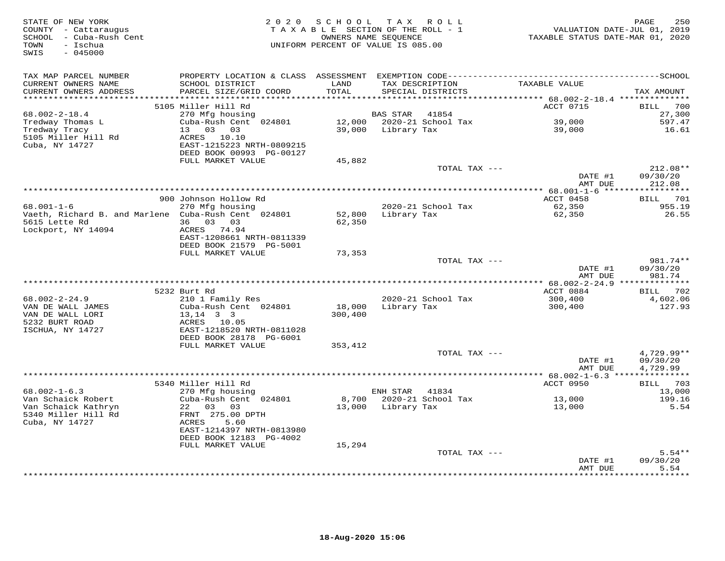| TAX MAP PARCEL NUMBER<br>CURRENT OWNERS NAME<br>SCHOOL DISTRICT<br>LAND<br>TAX DESCRIPTION<br>TAXABLE VALUE<br>TOTAL<br>CURRENT OWNERS ADDRESS<br>PARCEL SIZE/GRID COORD<br>SPECIAL DISTRICTS<br>TAX AMOUNT<br>**********************<br>5105 Miller Hill Rd<br>ACCT 0715<br>700<br>BILL<br>$68.002 - 2 - 18.4$<br>270 Mfg housing<br>BAS STAR<br>41854<br>27,300<br>Cuba-Rush Cent 024801<br>12,000 2020-21 School Tax<br>39,000<br>597.47<br>Tredway Thomas L<br>13 03 03<br>Tredway Tracy<br>39,000<br>Library Tax<br>39,000<br>16.61<br>5105 Miller Hill Rd<br>ACRES 10.10<br>Cuba, NY 14727<br>EAST-1215223 NRTH-0809215<br>DEED BOOK 00993 PG-00127<br>FULL MARKET VALUE<br>45,882<br>$212.08**$<br>TOTAL TAX ---<br>DATE #1<br>09/30/20<br>212.08<br>AMT DUE<br>ACCT 0458<br>900 Johnson Hollow Rd<br><b>BILL</b> 701<br>$68.001 - 1 - 6$<br>270 Mfg housing<br>2020-21 School Tax<br>62,350<br>955.19<br>Vaeth, Richard B. and Marlene Cuba-Rush Cent 024801<br>Library Tax<br>62,350<br>26.55<br>52,800<br>36 03 03<br>5615 Lette Rd<br>62,350<br>Lockport, NY 14094<br>ACRES 74.94<br>EAST-1208661 NRTH-0811339<br>DEED BOOK 21579 PG-5001<br>FULL MARKET VALUE<br>73,353<br>981.74**<br>TOTAL TAX ---<br>DATE #1<br>09/30/20<br>AMT DUE<br>981.74<br>5232 Burt Rd<br>ACCT 0884<br>702<br>BILL<br>2020-21 School Tax<br>$68.002 - 2 - 24.9$<br>210 1 Family Res<br>300,400<br>4,602.06<br>VAN DE WALL JAMES<br>Cuba-Rush Cent 024801<br>18,000<br>Library Tax<br>300,400<br>127.93<br>VAN DE WALL LORI<br>$13, 14$ 3 3<br>300,400<br>5232 BURT ROAD<br>ACRES 10.05<br>ISCHUA, NY 14727<br>EAST-1218520 NRTH-0811028<br>DEED BOOK 28178 PG-6001<br>FULL MARKET VALUE<br>353,412<br>4,729.99**<br>TOTAL TAX ---<br>DATE #1<br>09/30/20<br>AMT DUE<br>4,729.99<br>5340 Miller Hill Rd<br>ACCT 0950<br><b>BILL</b> 703<br>$68.002 - 1 - 6.3$<br>13,000<br>270 Mfg housing<br>ENH STAR 41834<br>8,700<br>2020-21 School Tax<br>Van Schaick Robert<br>Cuba-Rush Cent 024801<br>13,000<br>199.16<br>Van Schaick Kathryn<br>22 03 03<br>13,000 Library Tax<br>13,000<br>5.54<br>5340 Miller Hill Rd<br>FRNT 275.00 DPTH<br>Cuba, NY 14727<br>ACRES<br>5.60<br>EAST-1214397 NRTH-0813980<br>DEED BOOK 12183 PG-4002<br>FULL MARKET VALUE<br>15,294<br>TOTAL TAX ---<br>$5.54**$<br>09/30/20<br>DATE #1<br>AMT DUE<br>5.54<br>*******<br>************* | STATE OF NEW YORK<br>COUNTY - Cattaraugus<br>SCHOOL - Cuba-Rush Cent<br>- Ischua<br>TOWN<br>SWIS<br>$-045000$ |  | 2020 SCHOOL TAX ROLL<br>TAXABLE SECTION OF THE ROLL - 1<br>OWNERS NAME SEQUENCE<br>UNIFORM PERCENT OF VALUE IS 085.00 | TAXABLE STATUS DATE-MAR 01, 2020 | 250<br>PAGE<br>VALUATION DATE-JUL 01, 2019 |
|--------------------------------------------------------------------------------------------------------------------------------------------------------------------------------------------------------------------------------------------------------------------------------------------------------------------------------------------------------------------------------------------------------------------------------------------------------------------------------------------------------------------------------------------------------------------------------------------------------------------------------------------------------------------------------------------------------------------------------------------------------------------------------------------------------------------------------------------------------------------------------------------------------------------------------------------------------------------------------------------------------------------------------------------------------------------------------------------------------------------------------------------------------------------------------------------------------------------------------------------------------------------------------------------------------------------------------------------------------------------------------------------------------------------------------------------------------------------------------------------------------------------------------------------------------------------------------------------------------------------------------------------------------------------------------------------------------------------------------------------------------------------------------------------------------------------------------------------------------------------------------------------------------------------------------------------------------------------------------------------------------------------------------------------------------------------------------------------------------------------------------------------------------------------------------------------------------------------------------------------------------------------------------------------------------------------------------------------------------|---------------------------------------------------------------------------------------------------------------|--|-----------------------------------------------------------------------------------------------------------------------|----------------------------------|--------------------------------------------|
|                                                                                                                                                                                                                                                                                                                                                                                                                                                                                                                                                                                                                                                                                                                                                                                                                                                                                                                                                                                                                                                                                                                                                                                                                                                                                                                                                                                                                                                                                                                                                                                                                                                                                                                                                                                                                                                                                                                                                                                                                                                                                                                                                                                                                                                                                                                                                        |                                                                                                               |  |                                                                                                                       |                                  |                                            |
|                                                                                                                                                                                                                                                                                                                                                                                                                                                                                                                                                                                                                                                                                                                                                                                                                                                                                                                                                                                                                                                                                                                                                                                                                                                                                                                                                                                                                                                                                                                                                                                                                                                                                                                                                                                                                                                                                                                                                                                                                                                                                                                                                                                                                                                                                                                                                        |                                                                                                               |  |                                                                                                                       |                                  |                                            |
|                                                                                                                                                                                                                                                                                                                                                                                                                                                                                                                                                                                                                                                                                                                                                                                                                                                                                                                                                                                                                                                                                                                                                                                                                                                                                                                                                                                                                                                                                                                                                                                                                                                                                                                                                                                                                                                                                                                                                                                                                                                                                                                                                                                                                                                                                                                                                        |                                                                                                               |  |                                                                                                                       |                                  |                                            |
|                                                                                                                                                                                                                                                                                                                                                                                                                                                                                                                                                                                                                                                                                                                                                                                                                                                                                                                                                                                                                                                                                                                                                                                                                                                                                                                                                                                                                                                                                                                                                                                                                                                                                                                                                                                                                                                                                                                                                                                                                                                                                                                                                                                                                                                                                                                                                        |                                                                                                               |  |                                                                                                                       |                                  |                                            |
|                                                                                                                                                                                                                                                                                                                                                                                                                                                                                                                                                                                                                                                                                                                                                                                                                                                                                                                                                                                                                                                                                                                                                                                                                                                                                                                                                                                                                                                                                                                                                                                                                                                                                                                                                                                                                                                                                                                                                                                                                                                                                                                                                                                                                                                                                                                                                        |                                                                                                               |  |                                                                                                                       |                                  |                                            |
|                                                                                                                                                                                                                                                                                                                                                                                                                                                                                                                                                                                                                                                                                                                                                                                                                                                                                                                                                                                                                                                                                                                                                                                                                                                                                                                                                                                                                                                                                                                                                                                                                                                                                                                                                                                                                                                                                                                                                                                                                                                                                                                                                                                                                                                                                                                                                        |                                                                                                               |  |                                                                                                                       |                                  |                                            |
|                                                                                                                                                                                                                                                                                                                                                                                                                                                                                                                                                                                                                                                                                                                                                                                                                                                                                                                                                                                                                                                                                                                                                                                                                                                                                                                                                                                                                                                                                                                                                                                                                                                                                                                                                                                                                                                                                                                                                                                                                                                                                                                                                                                                                                                                                                                                                        |                                                                                                               |  |                                                                                                                       |                                  |                                            |
|                                                                                                                                                                                                                                                                                                                                                                                                                                                                                                                                                                                                                                                                                                                                                                                                                                                                                                                                                                                                                                                                                                                                                                                                                                                                                                                                                                                                                                                                                                                                                                                                                                                                                                                                                                                                                                                                                                                                                                                                                                                                                                                                                                                                                                                                                                                                                        |                                                                                                               |  |                                                                                                                       |                                  |                                            |
|                                                                                                                                                                                                                                                                                                                                                                                                                                                                                                                                                                                                                                                                                                                                                                                                                                                                                                                                                                                                                                                                                                                                                                                                                                                                                                                                                                                                                                                                                                                                                                                                                                                                                                                                                                                                                                                                                                                                                                                                                                                                                                                                                                                                                                                                                                                                                        |                                                                                                               |  |                                                                                                                       |                                  |                                            |
|                                                                                                                                                                                                                                                                                                                                                                                                                                                                                                                                                                                                                                                                                                                                                                                                                                                                                                                                                                                                                                                                                                                                                                                                                                                                                                                                                                                                                                                                                                                                                                                                                                                                                                                                                                                                                                                                                                                                                                                                                                                                                                                                                                                                                                                                                                                                                        |                                                                                                               |  |                                                                                                                       |                                  |                                            |
|                                                                                                                                                                                                                                                                                                                                                                                                                                                                                                                                                                                                                                                                                                                                                                                                                                                                                                                                                                                                                                                                                                                                                                                                                                                                                                                                                                                                                                                                                                                                                                                                                                                                                                                                                                                                                                                                                                                                                                                                                                                                                                                                                                                                                                                                                                                                                        |                                                                                                               |  |                                                                                                                       |                                  |                                            |
|                                                                                                                                                                                                                                                                                                                                                                                                                                                                                                                                                                                                                                                                                                                                                                                                                                                                                                                                                                                                                                                                                                                                                                                                                                                                                                                                                                                                                                                                                                                                                                                                                                                                                                                                                                                                                                                                                                                                                                                                                                                                                                                                                                                                                                                                                                                                                        |                                                                                                               |  |                                                                                                                       |                                  |                                            |
|                                                                                                                                                                                                                                                                                                                                                                                                                                                                                                                                                                                                                                                                                                                                                                                                                                                                                                                                                                                                                                                                                                                                                                                                                                                                                                                                                                                                                                                                                                                                                                                                                                                                                                                                                                                                                                                                                                                                                                                                                                                                                                                                                                                                                                                                                                                                                        |                                                                                                               |  |                                                                                                                       |                                  |                                            |
|                                                                                                                                                                                                                                                                                                                                                                                                                                                                                                                                                                                                                                                                                                                                                                                                                                                                                                                                                                                                                                                                                                                                                                                                                                                                                                                                                                                                                                                                                                                                                                                                                                                                                                                                                                                                                                                                                                                                                                                                                                                                                                                                                                                                                                                                                                                                                        |                                                                                                               |  |                                                                                                                       |                                  |                                            |
|                                                                                                                                                                                                                                                                                                                                                                                                                                                                                                                                                                                                                                                                                                                                                                                                                                                                                                                                                                                                                                                                                                                                                                                                                                                                                                                                                                                                                                                                                                                                                                                                                                                                                                                                                                                                                                                                                                                                                                                                                                                                                                                                                                                                                                                                                                                                                        |                                                                                                               |  |                                                                                                                       |                                  |                                            |
|                                                                                                                                                                                                                                                                                                                                                                                                                                                                                                                                                                                                                                                                                                                                                                                                                                                                                                                                                                                                                                                                                                                                                                                                                                                                                                                                                                                                                                                                                                                                                                                                                                                                                                                                                                                                                                                                                                                                                                                                                                                                                                                                                                                                                                                                                                                                                        |                                                                                                               |  |                                                                                                                       |                                  |                                            |
|                                                                                                                                                                                                                                                                                                                                                                                                                                                                                                                                                                                                                                                                                                                                                                                                                                                                                                                                                                                                                                                                                                                                                                                                                                                                                                                                                                                                                                                                                                                                                                                                                                                                                                                                                                                                                                                                                                                                                                                                                                                                                                                                                                                                                                                                                                                                                        |                                                                                                               |  |                                                                                                                       |                                  |                                            |
|                                                                                                                                                                                                                                                                                                                                                                                                                                                                                                                                                                                                                                                                                                                                                                                                                                                                                                                                                                                                                                                                                                                                                                                                                                                                                                                                                                                                                                                                                                                                                                                                                                                                                                                                                                                                                                                                                                                                                                                                                                                                                                                                                                                                                                                                                                                                                        |                                                                                                               |  |                                                                                                                       |                                  |                                            |
|                                                                                                                                                                                                                                                                                                                                                                                                                                                                                                                                                                                                                                                                                                                                                                                                                                                                                                                                                                                                                                                                                                                                                                                                                                                                                                                                                                                                                                                                                                                                                                                                                                                                                                                                                                                                                                                                                                                                                                                                                                                                                                                                                                                                                                                                                                                                                        |                                                                                                               |  |                                                                                                                       |                                  |                                            |
|                                                                                                                                                                                                                                                                                                                                                                                                                                                                                                                                                                                                                                                                                                                                                                                                                                                                                                                                                                                                                                                                                                                                                                                                                                                                                                                                                                                                                                                                                                                                                                                                                                                                                                                                                                                                                                                                                                                                                                                                                                                                                                                                                                                                                                                                                                                                                        |                                                                                                               |  |                                                                                                                       |                                  |                                            |
|                                                                                                                                                                                                                                                                                                                                                                                                                                                                                                                                                                                                                                                                                                                                                                                                                                                                                                                                                                                                                                                                                                                                                                                                                                                                                                                                                                                                                                                                                                                                                                                                                                                                                                                                                                                                                                                                                                                                                                                                                                                                                                                                                                                                                                                                                                                                                        |                                                                                                               |  |                                                                                                                       |                                  |                                            |
|                                                                                                                                                                                                                                                                                                                                                                                                                                                                                                                                                                                                                                                                                                                                                                                                                                                                                                                                                                                                                                                                                                                                                                                                                                                                                                                                                                                                                                                                                                                                                                                                                                                                                                                                                                                                                                                                                                                                                                                                                                                                                                                                                                                                                                                                                                                                                        |                                                                                                               |  |                                                                                                                       |                                  |                                            |
|                                                                                                                                                                                                                                                                                                                                                                                                                                                                                                                                                                                                                                                                                                                                                                                                                                                                                                                                                                                                                                                                                                                                                                                                                                                                                                                                                                                                                                                                                                                                                                                                                                                                                                                                                                                                                                                                                                                                                                                                                                                                                                                                                                                                                                                                                                                                                        |                                                                                                               |  |                                                                                                                       |                                  |                                            |
|                                                                                                                                                                                                                                                                                                                                                                                                                                                                                                                                                                                                                                                                                                                                                                                                                                                                                                                                                                                                                                                                                                                                                                                                                                                                                                                                                                                                                                                                                                                                                                                                                                                                                                                                                                                                                                                                                                                                                                                                                                                                                                                                                                                                                                                                                                                                                        |                                                                                                               |  |                                                                                                                       |                                  |                                            |
|                                                                                                                                                                                                                                                                                                                                                                                                                                                                                                                                                                                                                                                                                                                                                                                                                                                                                                                                                                                                                                                                                                                                                                                                                                                                                                                                                                                                                                                                                                                                                                                                                                                                                                                                                                                                                                                                                                                                                                                                                                                                                                                                                                                                                                                                                                                                                        |                                                                                                               |  |                                                                                                                       |                                  |                                            |
|                                                                                                                                                                                                                                                                                                                                                                                                                                                                                                                                                                                                                                                                                                                                                                                                                                                                                                                                                                                                                                                                                                                                                                                                                                                                                                                                                                                                                                                                                                                                                                                                                                                                                                                                                                                                                                                                                                                                                                                                                                                                                                                                                                                                                                                                                                                                                        |                                                                                                               |  |                                                                                                                       |                                  |                                            |
|                                                                                                                                                                                                                                                                                                                                                                                                                                                                                                                                                                                                                                                                                                                                                                                                                                                                                                                                                                                                                                                                                                                                                                                                                                                                                                                                                                                                                                                                                                                                                                                                                                                                                                                                                                                                                                                                                                                                                                                                                                                                                                                                                                                                                                                                                                                                                        |                                                                                                               |  |                                                                                                                       |                                  |                                            |
|                                                                                                                                                                                                                                                                                                                                                                                                                                                                                                                                                                                                                                                                                                                                                                                                                                                                                                                                                                                                                                                                                                                                                                                                                                                                                                                                                                                                                                                                                                                                                                                                                                                                                                                                                                                                                                                                                                                                                                                                                                                                                                                                                                                                                                                                                                                                                        |                                                                                                               |  |                                                                                                                       |                                  |                                            |
|                                                                                                                                                                                                                                                                                                                                                                                                                                                                                                                                                                                                                                                                                                                                                                                                                                                                                                                                                                                                                                                                                                                                                                                                                                                                                                                                                                                                                                                                                                                                                                                                                                                                                                                                                                                                                                                                                                                                                                                                                                                                                                                                                                                                                                                                                                                                                        |                                                                                                               |  |                                                                                                                       |                                  |                                            |
|                                                                                                                                                                                                                                                                                                                                                                                                                                                                                                                                                                                                                                                                                                                                                                                                                                                                                                                                                                                                                                                                                                                                                                                                                                                                                                                                                                                                                                                                                                                                                                                                                                                                                                                                                                                                                                                                                                                                                                                                                                                                                                                                                                                                                                                                                                                                                        |                                                                                                               |  |                                                                                                                       |                                  |                                            |
|                                                                                                                                                                                                                                                                                                                                                                                                                                                                                                                                                                                                                                                                                                                                                                                                                                                                                                                                                                                                                                                                                                                                                                                                                                                                                                                                                                                                                                                                                                                                                                                                                                                                                                                                                                                                                                                                                                                                                                                                                                                                                                                                                                                                                                                                                                                                                        |                                                                                                               |  |                                                                                                                       |                                  |                                            |
|                                                                                                                                                                                                                                                                                                                                                                                                                                                                                                                                                                                                                                                                                                                                                                                                                                                                                                                                                                                                                                                                                                                                                                                                                                                                                                                                                                                                                                                                                                                                                                                                                                                                                                                                                                                                                                                                                                                                                                                                                                                                                                                                                                                                                                                                                                                                                        |                                                                                                               |  |                                                                                                                       |                                  |                                            |
|                                                                                                                                                                                                                                                                                                                                                                                                                                                                                                                                                                                                                                                                                                                                                                                                                                                                                                                                                                                                                                                                                                                                                                                                                                                                                                                                                                                                                                                                                                                                                                                                                                                                                                                                                                                                                                                                                                                                                                                                                                                                                                                                                                                                                                                                                                                                                        |                                                                                                               |  |                                                                                                                       |                                  |                                            |
|                                                                                                                                                                                                                                                                                                                                                                                                                                                                                                                                                                                                                                                                                                                                                                                                                                                                                                                                                                                                                                                                                                                                                                                                                                                                                                                                                                                                                                                                                                                                                                                                                                                                                                                                                                                                                                                                                                                                                                                                                                                                                                                                                                                                                                                                                                                                                        |                                                                                                               |  |                                                                                                                       |                                  |                                            |
|                                                                                                                                                                                                                                                                                                                                                                                                                                                                                                                                                                                                                                                                                                                                                                                                                                                                                                                                                                                                                                                                                                                                                                                                                                                                                                                                                                                                                                                                                                                                                                                                                                                                                                                                                                                                                                                                                                                                                                                                                                                                                                                                                                                                                                                                                                                                                        |                                                                                                               |  |                                                                                                                       |                                  |                                            |
|                                                                                                                                                                                                                                                                                                                                                                                                                                                                                                                                                                                                                                                                                                                                                                                                                                                                                                                                                                                                                                                                                                                                                                                                                                                                                                                                                                                                                                                                                                                                                                                                                                                                                                                                                                                                                                                                                                                                                                                                                                                                                                                                                                                                                                                                                                                                                        |                                                                                                               |  |                                                                                                                       |                                  |                                            |
|                                                                                                                                                                                                                                                                                                                                                                                                                                                                                                                                                                                                                                                                                                                                                                                                                                                                                                                                                                                                                                                                                                                                                                                                                                                                                                                                                                                                                                                                                                                                                                                                                                                                                                                                                                                                                                                                                                                                                                                                                                                                                                                                                                                                                                                                                                                                                        |                                                                                                               |  |                                                                                                                       |                                  |                                            |
|                                                                                                                                                                                                                                                                                                                                                                                                                                                                                                                                                                                                                                                                                                                                                                                                                                                                                                                                                                                                                                                                                                                                                                                                                                                                                                                                                                                                                                                                                                                                                                                                                                                                                                                                                                                                                                                                                                                                                                                                                                                                                                                                                                                                                                                                                                                                                        |                                                                                                               |  |                                                                                                                       |                                  |                                            |
|                                                                                                                                                                                                                                                                                                                                                                                                                                                                                                                                                                                                                                                                                                                                                                                                                                                                                                                                                                                                                                                                                                                                                                                                                                                                                                                                                                                                                                                                                                                                                                                                                                                                                                                                                                                                                                                                                                                                                                                                                                                                                                                                                                                                                                                                                                                                                        |                                                                                                               |  |                                                                                                                       |                                  |                                            |
|                                                                                                                                                                                                                                                                                                                                                                                                                                                                                                                                                                                                                                                                                                                                                                                                                                                                                                                                                                                                                                                                                                                                                                                                                                                                                                                                                                                                                                                                                                                                                                                                                                                                                                                                                                                                                                                                                                                                                                                                                                                                                                                                                                                                                                                                                                                                                        |                                                                                                               |  |                                                                                                                       |                                  |                                            |
|                                                                                                                                                                                                                                                                                                                                                                                                                                                                                                                                                                                                                                                                                                                                                                                                                                                                                                                                                                                                                                                                                                                                                                                                                                                                                                                                                                                                                                                                                                                                                                                                                                                                                                                                                                                                                                                                                                                                                                                                                                                                                                                                                                                                                                                                                                                                                        |                                                                                                               |  |                                                                                                                       |                                  |                                            |
|                                                                                                                                                                                                                                                                                                                                                                                                                                                                                                                                                                                                                                                                                                                                                                                                                                                                                                                                                                                                                                                                                                                                                                                                                                                                                                                                                                                                                                                                                                                                                                                                                                                                                                                                                                                                                                                                                                                                                                                                                                                                                                                                                                                                                                                                                                                                                        |                                                                                                               |  |                                                                                                                       |                                  |                                            |
|                                                                                                                                                                                                                                                                                                                                                                                                                                                                                                                                                                                                                                                                                                                                                                                                                                                                                                                                                                                                                                                                                                                                                                                                                                                                                                                                                                                                                                                                                                                                                                                                                                                                                                                                                                                                                                                                                                                                                                                                                                                                                                                                                                                                                                                                                                                                                        |                                                                                                               |  |                                                                                                                       |                                  |                                            |
|                                                                                                                                                                                                                                                                                                                                                                                                                                                                                                                                                                                                                                                                                                                                                                                                                                                                                                                                                                                                                                                                                                                                                                                                                                                                                                                                                                                                                                                                                                                                                                                                                                                                                                                                                                                                                                                                                                                                                                                                                                                                                                                                                                                                                                                                                                                                                        |                                                                                                               |  |                                                                                                                       |                                  |                                            |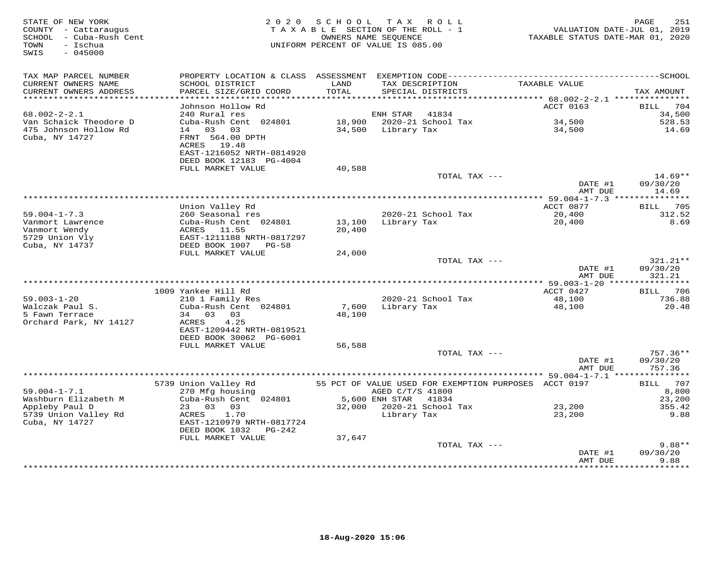| STATE OF NEW YORK<br>COUNTY - Cattaraugus<br>SCHOOL - Cuba-Rush Cent<br>- Ischua<br>TOWN<br>SWIS<br>$-045000$ | 2 0 2 0                                                                  | SCHOOL TAX ROLL<br>TAXABLE SECTION OF THE ROLL - 1<br>UNIFORM PERCENT OF VALUE IS 085.00 | OWNERS NAME SEQUENCE                 |                                                       | VALUATION DATE-JUL 01, 2019<br>TAXABLE STATUS DATE-MAR 01, 2020 | PAGE<br>251         |
|---------------------------------------------------------------------------------------------------------------|--------------------------------------------------------------------------|------------------------------------------------------------------------------------------|--------------------------------------|-------------------------------------------------------|-----------------------------------------------------------------|---------------------|
| TAX MAP PARCEL NUMBER                                                                                         |                                                                          |                                                                                          |                                      |                                                       |                                                                 |                     |
| CURRENT OWNERS NAME<br>CURRENT OWNERS ADDRESS<br>************************                                     | SCHOOL DISTRICT<br>PARCEL SIZE/GRID COORD                                | LAND<br>TOTAL                                                                            | TAX DESCRIPTION<br>SPECIAL DISTRICTS |                                                       | TAXABLE VALUE                                                   | TAX AMOUNT          |
|                                                                                                               | Johnson Hollow Rd                                                        |                                                                                          |                                      |                                                       | ACCT 0163                                                       | 704<br>BILL         |
| $68.002 - 2 - 2.1$                                                                                            | 240 Rural res                                                            |                                                                                          | ENH STAR                             | 41834                                                 |                                                                 | 34,500              |
| Van Schaick Theodore D                                                                                        | Cuba-Rush Cent 024801                                                    | 18,900                                                                                   |                                      | 2020-21 School Tax                                    | 34,500                                                          | 528.53              |
| 475 Johnson Hollow Rd<br>Cuba, NY 14727                                                                       | 14 03 03<br>FRNT 564.00 DPTH<br>ACRES 19.48<br>EAST-1216052 NRTH-0814920 |                                                                                          | 34,500 Library Tax                   |                                                       | 34,500                                                          | 14.69               |
|                                                                                                               | DEED BOOK 12183 PG-4004<br>FULL MARKET VALUE                             |                                                                                          |                                      |                                                       |                                                                 |                     |
|                                                                                                               |                                                                          | 40,588                                                                                   |                                      | TOTAL TAX ---                                         |                                                                 | $14.69**$           |
|                                                                                                               |                                                                          |                                                                                          |                                      |                                                       | DATE #1<br>AMT DUE                                              | 09/30/20<br>14.69   |
|                                                                                                               |                                                                          |                                                                                          |                                      |                                                       |                                                                 |                     |
| $59.004 - 1 - 7.3$                                                                                            | Union Valley Rd<br>260 Seasonal res                                      |                                                                                          |                                      | 2020-21 School Tax                                    | ACCT 0877<br>20,400                                             | BILL 705<br>312.52  |
| Vanmort Lawrence                                                                                              | Cuba-Rush Cent 024801                                                    | 13,100                                                                                   | Library Tax                          |                                                       | 20,400                                                          | 8.69                |
| Vanmort Wendy                                                                                                 | ACRES<br>11.55                                                           | 20,400                                                                                   |                                      |                                                       |                                                                 |                     |
| 5729 Union Vly                                                                                                | EAST-1211188 NRTH-0817297                                                |                                                                                          |                                      |                                                       |                                                                 |                     |
| Cuba, NY 14737                                                                                                | DEED BOOK 1007 PG-58<br>FULL MARKET VALUE                                | 24,000                                                                                   |                                      |                                                       |                                                                 |                     |
|                                                                                                               |                                                                          |                                                                                          |                                      | TOTAL TAX ---                                         |                                                                 | 321.21**            |
|                                                                                                               |                                                                          |                                                                                          |                                      |                                                       | DATE #1<br>AMT DUE                                              | 09/30/20<br>321.21  |
|                                                                                                               |                                                                          |                                                                                          |                                      |                                                       |                                                                 |                     |
|                                                                                                               | 1009 Yankee Hill Rd                                                      |                                                                                          |                                      |                                                       | ACCT 0427                                                       | <b>BILL</b> 706     |
| $59.003 - 1 - 20$<br>Walczak Paul S.                                                                          | 210 1 Family Res<br>Cuba-Rush Cent 024801                                | 7,600                                                                                    | Library Tax                          | 2020-21 School Tax                                    | 48,100<br>48,100                                                | 736.88<br>20.48     |
| 5 Fawn Terrace                                                                                                | 34 03 03                                                                 | 48,100                                                                                   |                                      |                                                       |                                                                 |                     |
| Orchard Park, NY 14127                                                                                        | 4.25<br>ACRES                                                            |                                                                                          |                                      |                                                       |                                                                 |                     |
|                                                                                                               | EAST-1209442 NRTH-0819521                                                |                                                                                          |                                      |                                                       |                                                                 |                     |
|                                                                                                               | DEED BOOK 30062 PG-6001<br>FULL MARKET VALUE                             | 56,588                                                                                   |                                      |                                                       |                                                                 |                     |
|                                                                                                               |                                                                          |                                                                                          |                                      | TOTAL TAX ---                                         |                                                                 | $757.36**$          |
|                                                                                                               |                                                                          |                                                                                          |                                      |                                                       | DATE #1                                                         | 09/30/20            |
|                                                                                                               |                                                                          |                                                                                          |                                      |                                                       | AMT DUE                                                         | 757.36              |
|                                                                                                               | 5739 Union Valley Rd                                                     |                                                                                          |                                      | 55 PCT OF VALUE USED FOR EXEMPTION PURPOSES ACCT 0197 |                                                                 | 707<br>BILL         |
| $59.004 - 1 - 7.1$                                                                                            | 270 Mfg housing                                                          |                                                                                          | AGED C/T/S 41800                     |                                                       |                                                                 | 8,800               |
| Washburn Elizabeth M                                                                                          | Cuba-Rush Cent 024801                                                    |                                                                                          | 5,600 ENH STAR                       | 41834                                                 |                                                                 | 23,200              |
| Appleby Paul D                                                                                                | 23 03 03                                                                 | 32,000                                                                                   |                                      | 2020-21 School Tax                                    | 23,200                                                          | 355.42              |
| 5739 Union Valley Rd<br>Cuba, NY 14727                                                                        | ACRES<br>1.70<br>EAST-1210979 NRTH-0817724                               |                                                                                          | Library Tax                          |                                                       | 23,200                                                          | 9.88                |
|                                                                                                               | DEED BOOK 1032 PG-242                                                    |                                                                                          |                                      |                                                       |                                                                 |                     |
|                                                                                                               | FULL MARKET VALUE                                                        | 37,647                                                                                   |                                      | TOTAL TAX ---                                         |                                                                 | $9.88**$            |
|                                                                                                               |                                                                          |                                                                                          |                                      |                                                       | DATE #1                                                         | 09/30/20            |
|                                                                                                               |                                                                          |                                                                                          |                                      |                                                       | AMT DUE                                                         | 9.88<br>*********** |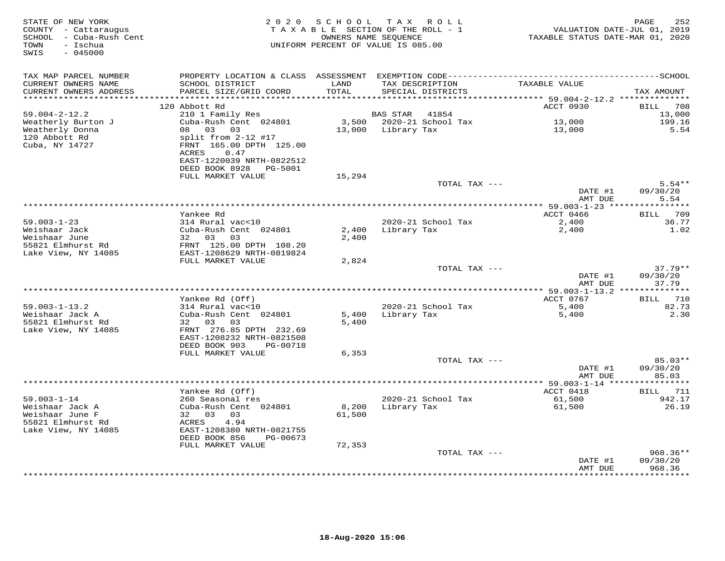| STATE OF NEW YORK<br>COUNTY - Cattaraugus<br>SCHOOL - Cuba-Rush Cent<br>- Ischua<br>TOWN<br>SWIS<br>$-045000$ |                                                                 |               | 2020 SCHOOL TAX ROLL<br>TAXABLE SECTION OF THE ROLL - 1<br>OWNERS NAME SEQUENCE<br>UNIFORM PERCENT OF VALUE IS 085.00 |               | TAXABLE STATUS DATE-MAR 01, 2020 | PAGE<br>252<br>VALUATION DATE-JUL 01, 2019 |
|---------------------------------------------------------------------------------------------------------------|-----------------------------------------------------------------|---------------|-----------------------------------------------------------------------------------------------------------------------|---------------|----------------------------------|--------------------------------------------|
| TAX MAP PARCEL NUMBER                                                                                         |                                                                 |               |                                                                                                                       |               |                                  |                                            |
| CURRENT OWNERS NAME<br>CURRENT OWNERS ADDRESS                                                                 | SCHOOL DISTRICT<br>PARCEL SIZE/GRID COORD                       | LAND<br>TOTAL | TAX DESCRIPTION<br>SPECIAL DISTRICTS                                                                                  |               | TAXABLE VALUE                    | TAX AMOUNT                                 |
| **********************                                                                                        |                                                                 |               |                                                                                                                       |               |                                  |                                            |
| $59.004 - 2 - 12.2$                                                                                           | 120 Abbott Rd<br>210 1 Family Res                               |               | BAS STAR                                                                                                              | 41854         | ACCT 0930                        | 708<br><b>BILL</b><br>13,000               |
| Weatherly Burton J                                                                                            | Cuba-Rush Cent 024801                                           |               | 3,500 2020-21 School Tax                                                                                              |               |                                  | 199.16                                     |
| Weatherly Donna                                                                                               | 08 03 03                                                        |               | 13,000 Library Tax                                                                                                    |               | 13,000<br>13,000                 | 5.54                                       |
| 120 Abbott Rd<br>Cuba, NY 14727                                                                               | split from 2-12 #17<br>FRNT 165.00 DPTH 125.00<br>ACRES<br>0.47 |               |                                                                                                                       |               |                                  |                                            |
|                                                                                                               | EAST-1220039 NRTH-0822512<br>PG-5001                            |               |                                                                                                                       |               |                                  |                                            |
|                                                                                                               | DEED BOOK 8928<br>FULL MARKET VALUE                             | 15,294        |                                                                                                                       |               |                                  |                                            |
|                                                                                                               |                                                                 |               |                                                                                                                       | TOTAL TAX --- |                                  | $5.54**$                                   |
|                                                                                                               |                                                                 |               |                                                                                                                       |               | DATE #1                          | 09/30/20                                   |
|                                                                                                               |                                                                 |               |                                                                                                                       |               | AMT DUE                          | 5.54                                       |
|                                                                                                               |                                                                 |               |                                                                                                                       |               |                                  |                                            |
|                                                                                                               | Yankee Rd                                                       |               |                                                                                                                       |               | ACCT 0466                        | BILL 709                                   |
| $59.003 - 1 - 23$                                                                                             | 314 Rural vac<10                                                |               | 2020-21 School Tax                                                                                                    |               | 2,400                            | 36.77                                      |
| Weishaar Jack                                                                                                 | Cuba-Rush Cent 024801                                           | 2,400         | Library Tax                                                                                                           |               | 2,400                            | 1.02                                       |
| Weishaar June                                                                                                 | 32 03<br>03                                                     | 2,400         |                                                                                                                       |               |                                  |                                            |
| 55821 Elmhurst Rd                                                                                             | FRNT 125.00 DPTH 108.20                                         |               |                                                                                                                       |               |                                  |                                            |
| Lake View, NY 14085                                                                                           | EAST-1208629 NRTH-0819824<br>FULL MARKET VALUE                  | 2,824         |                                                                                                                       |               |                                  |                                            |
|                                                                                                               |                                                                 |               |                                                                                                                       | TOTAL TAX --- |                                  | $37.79**$                                  |
|                                                                                                               |                                                                 |               |                                                                                                                       |               | DATE #1                          | 09/30/20                                   |
|                                                                                                               |                                                                 |               |                                                                                                                       |               | AMT DUE                          | 37.79                                      |
|                                                                                                               |                                                                 |               |                                                                                                                       |               | ************* 59.003-1-13.2 ***  | ***********                                |
|                                                                                                               | Yankee Rd (Off)                                                 |               |                                                                                                                       |               | ACCT 0767                        | BILL 710                                   |
| $59.003 - 1 - 13.2$                                                                                           | 314 Rural vac<10                                                |               | 2020-21 School Tax                                                                                                    |               | 5,400                            | 82.73                                      |
| Weishaar Jack A                                                                                               | Cuba-Rush Cent 024801                                           | 5,400         | Library Tax                                                                                                           |               | 5,400                            | 2.30                                       |
| 55821 Elmhurst Rd                                                                                             | 32 03<br>03                                                     | 5,400         |                                                                                                                       |               |                                  |                                            |
| Lake View, NY 14085                                                                                           | FRNT 276.85 DPTH 232.69                                         |               |                                                                                                                       |               |                                  |                                            |
|                                                                                                               | EAST-1208232 NRTH-0821508                                       |               |                                                                                                                       |               |                                  |                                            |
|                                                                                                               | DEED BOOK 903<br>PG-00718                                       |               |                                                                                                                       |               |                                  |                                            |
|                                                                                                               | FULL MARKET VALUE                                               | 6,353         |                                                                                                                       | TOTAL TAX --- |                                  | $85.03**$                                  |
|                                                                                                               |                                                                 |               |                                                                                                                       |               | DATE #1                          | 09/30/20                                   |
|                                                                                                               |                                                                 |               |                                                                                                                       |               | AMT DUE                          | 85.03                                      |
|                                                                                                               |                                                                 |               |                                                                                                                       |               |                                  |                                            |
|                                                                                                               | Yankee Rd (Off)                                                 |               |                                                                                                                       |               | ACCT 0418                        | BILL 711                                   |
| $59.003 - 1 - 14$                                                                                             | 260 Seasonal res                                                |               | 2020-21 School Tax                                                                                                    |               | 61,500                           | 942.17                                     |
| Weishaar Jack A                                                                                               | Cuba-Rush Cent 024801                                           | 8,200         | Library Tax                                                                                                           |               | 61,500                           | 26.19                                      |
| Weishaar June F                                                                                               | 32 03<br>03                                                     | 61,500        |                                                                                                                       |               |                                  |                                            |
| 55821 Elmhurst Rd                                                                                             | 4.94<br>ACRES                                                   |               |                                                                                                                       |               |                                  |                                            |
| Lake View, NY 14085                                                                                           | EAST-1208380 NRTH-0821755                                       |               |                                                                                                                       |               |                                  |                                            |
|                                                                                                               | DEED BOOK 856<br>PG-00673                                       |               |                                                                                                                       |               |                                  |                                            |
|                                                                                                               | FULL MARKET VALUE                                               | 72,353        |                                                                                                                       |               |                                  |                                            |
|                                                                                                               |                                                                 |               |                                                                                                                       | TOTAL TAX --- |                                  | $968.36**$                                 |
|                                                                                                               |                                                                 |               |                                                                                                                       |               | DATE #1                          | 09/30/20                                   |
|                                                                                                               |                                                                 |               |                                                                                                                       |               | AMT DUE                          | 968.36<br>*********                        |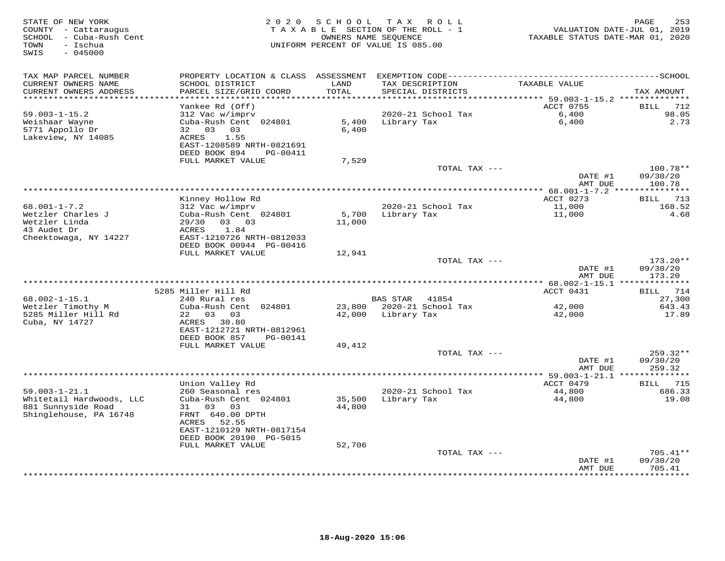| STATE OF NEW YORK<br>COUNTY - Cattaraugus<br>SCHOOL - Cuba-Rush Cent<br>- Ischua<br>TOWN<br>$-045000$<br>SWIS | 2 0 2 0                                               | SCHOOL        | T A X<br>R O L L<br>T A X A B L E SECTION OF THE ROLL - 1<br>OWNERS NAME SEQUENCE<br>UNIFORM PERCENT OF VALUE IS 085.00 | TAXABLE STATUS DATE-MAR 01, 2020                                | 253<br>PAGE<br>VALUATION DATE-JUL 01, 2019 |
|---------------------------------------------------------------------------------------------------------------|-------------------------------------------------------|---------------|-------------------------------------------------------------------------------------------------------------------------|-----------------------------------------------------------------|--------------------------------------------|
| TAX MAP PARCEL NUMBER                                                                                         | PROPERTY LOCATION & CLASS                             | ASSESSMENT    |                                                                                                                         |                                                                 |                                            |
| CURRENT OWNERS NAME<br>CURRENT OWNERS ADDRESS                                                                 | SCHOOL DISTRICT<br>PARCEL SIZE/GRID COORD             | LAND<br>TOTAL | TAX DESCRIPTION<br>SPECIAL DISTRICTS                                                                                    | TAXABLE VALUE                                                   | TAX AMOUNT                                 |
| **********************                                                                                        |                                                       | ************  |                                                                                                                         | ********************************** 59.003-1-15.2 ************** |                                            |
| $59.003 - 1 - 15.2$                                                                                           | Yankee Rd (Off)<br>312 Vac w/imprv                    |               | 2020-21 School Tax                                                                                                      | ACCT 0755<br>6,400                                              | 712<br>BILL<br>98.05                       |
| Weishaar Wayne                                                                                                | Cuba-Rush Cent 024801                                 | 5,400         | Library Tax                                                                                                             | 6,400                                                           | 2.73                                       |
| 5771 Appollo Dr                                                                                               | 32 03<br>03                                           | 6,400         |                                                                                                                         |                                                                 |                                            |
| Lakeview, NY 14085                                                                                            | 1.55<br>ACRES                                         |               |                                                                                                                         |                                                                 |                                            |
|                                                                                                               | EAST-1208589 NRTH-0821691                             |               |                                                                                                                         |                                                                 |                                            |
|                                                                                                               | DEED BOOK 894<br>PG-00411                             |               |                                                                                                                         |                                                                 |                                            |
|                                                                                                               | FULL MARKET VALUE                                     | 7,529         |                                                                                                                         |                                                                 |                                            |
|                                                                                                               |                                                       |               | TOTAL TAX ---                                                                                                           |                                                                 | 100.78**                                   |
|                                                                                                               |                                                       |               |                                                                                                                         | DATE #1<br>AMT DUE                                              | 09/30/20<br>100.78                         |
|                                                                                                               |                                                       |               | ****************************                                                                                            | ************ 68.001-1-7.2 ****************                      |                                            |
|                                                                                                               | Kinney Hollow Rd                                      |               |                                                                                                                         | ACCT 0273                                                       | 713<br>BILL                                |
| $68.001 - 1 - 7.2$                                                                                            | 312 Vac w/imprv                                       |               | 2020-21 School Tax                                                                                                      | 11,000                                                          | 168.52                                     |
| Wetzler Charles J                                                                                             | Cuba-Rush Cent 024801                                 | 5,700         | Library Tax                                                                                                             | 11,000                                                          | 4.68                                       |
| Wetzler Linda                                                                                                 | 03 03<br>29/30                                        | 11,000        |                                                                                                                         |                                                                 |                                            |
| 43 Audet Dr                                                                                                   | 1.84<br>ACRES                                         |               |                                                                                                                         |                                                                 |                                            |
| Cheektowaga, NY 14227                                                                                         | EAST-1210726 NRTH-0812033<br>DEED BOOK 00944 PG-00416 |               |                                                                                                                         |                                                                 |                                            |
|                                                                                                               | FULL MARKET VALUE                                     | 12,941        |                                                                                                                         |                                                                 |                                            |
|                                                                                                               |                                                       |               | TOTAL TAX ---                                                                                                           | DATE #1                                                         | $173.20**$<br>09/30/20                     |
|                                                                                                               |                                                       |               |                                                                                                                         | AMT DUE                                                         | 173.20                                     |
|                                                                                                               |                                                       |               |                                                                                                                         |                                                                 |                                            |
|                                                                                                               | 5285 Miller Hill Rd                                   |               |                                                                                                                         | ACCT 0431                                                       | 714<br>BILL                                |
| $68.002 - 1 - 15.1$                                                                                           | 240 Rural res                                         |               | <b>BAS STAR</b><br>41854                                                                                                |                                                                 | 27,300                                     |
| Wetzler Timothy M                                                                                             | Cuba-Rush Cent 024801                                 | 23,800        | 2020-21 School Tax                                                                                                      | 42,000                                                          | 643.43                                     |
| 5285 Miller Hill Rd                                                                                           | 22<br>03<br>03                                        | 42,000        | Library Tax                                                                                                             | 42,000                                                          | 17.89                                      |
| Cuba, NY 14727                                                                                                | ACRES<br>30.80                                        |               |                                                                                                                         |                                                                 |                                            |
|                                                                                                               | EAST-1212721 NRTH-0812961                             |               |                                                                                                                         |                                                                 |                                            |
|                                                                                                               | DEED BOOK 857<br>PG-00141<br>FULL MARKET VALUE        | 49,412        |                                                                                                                         |                                                                 |                                            |
|                                                                                                               |                                                       |               | TOTAL TAX ---                                                                                                           |                                                                 | 259.32**                                   |
|                                                                                                               |                                                       |               |                                                                                                                         | DATE #1                                                         | 09/30/20                                   |
|                                                                                                               |                                                       |               |                                                                                                                         | AMT DUE                                                         | 259.32                                     |
|                                                                                                               |                                                       |               |                                                                                                                         | *** 59.003-1-21.1 **************                                |                                            |
|                                                                                                               | Union Valley Rd                                       |               |                                                                                                                         | ACCT 0479                                                       | 715<br>BILL                                |
| $59.003 - 1 - 21.1$                                                                                           | 260 Seasonal res                                      |               | 2020-21 School Tax                                                                                                      | 44,800                                                          | 686.33                                     |
| Whitetail Hardwoods, LLC                                                                                      | Cuba-Rush Cent 024801                                 | 35,500        | Library Tax                                                                                                             | 44,800                                                          | 19.08                                      |
| 881 Sunnyside Road                                                                                            | 31<br>03<br>03                                        | 44,800        |                                                                                                                         |                                                                 |                                            |
| Shinglehouse, PA 16748                                                                                        | FRNT 640.00 DPTH<br>ACRES<br>52.55                    |               |                                                                                                                         |                                                                 |                                            |
|                                                                                                               | EAST-1210129 NRTH-0817154                             |               |                                                                                                                         |                                                                 |                                            |
|                                                                                                               | DEED BOOK 20190 PG-5015                               |               |                                                                                                                         |                                                                 |                                            |
|                                                                                                               | FULL MARKET VALUE                                     | 52,706        |                                                                                                                         |                                                                 |                                            |
|                                                                                                               |                                                       |               | TOTAL TAX ---                                                                                                           |                                                                 | $705.41**$                                 |
|                                                                                                               |                                                       |               |                                                                                                                         | DATE #1                                                         | 09/30/20                                   |
|                                                                                                               |                                                       |               |                                                                                                                         | AMT DUE                                                         | 705.41<br>* * * * * * * * *                |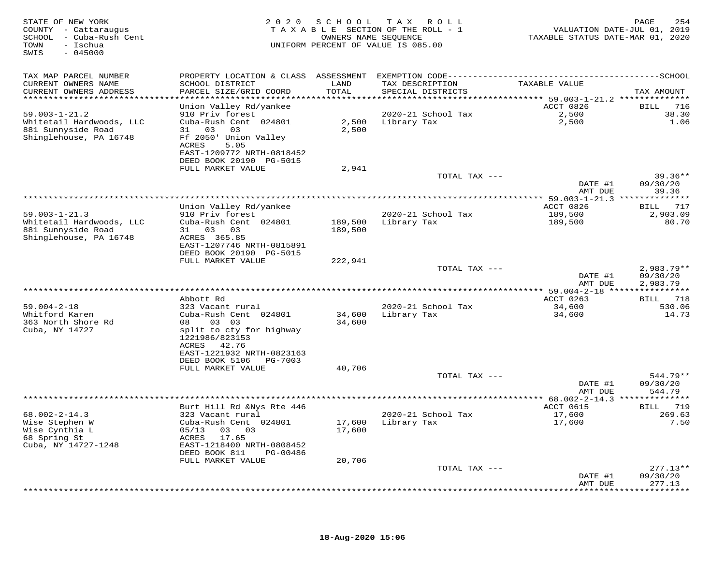| STATE OF NEW YORK<br>COUNTY - Cattaraugus<br>SCHOOL - Cuba-Rush Cent<br>- Ischua<br>TOWN<br>$-045000$<br>SWIS |                                                      | 2020 SCHOOL<br>OWNERS NAME SEQUENCE | TAX ROLL<br>TAXABLE SECTION OF THE ROLL - 1<br>UNIFORM PERCENT OF VALUE IS 085.00 | VALUATION DATE-JUL 01, 2019<br>TAXABLE STATUS DATE-MAR 01, 2020 | 254<br>PAGE            |
|---------------------------------------------------------------------------------------------------------------|------------------------------------------------------|-------------------------------------|-----------------------------------------------------------------------------------|-----------------------------------------------------------------|------------------------|
| TAX MAP PARCEL NUMBER                                                                                         | PROPERTY LOCATION & CLASS ASSESSMENT                 |                                     |                                                                                   |                                                                 |                        |
| CURRENT OWNERS NAME                                                                                           | SCHOOL DISTRICT                                      | LAND                                | TAX DESCRIPTION                                                                   | TAXABLE VALUE                                                   |                        |
| CURRENT OWNERS ADDRESS<br>************************                                                            | PARCEL SIZE/GRID COORD                               | TOTAL                               | SPECIAL DISTRICTS                                                                 |                                                                 | TAX AMOUNT             |
|                                                                                                               | Union Valley Rd/yankee                               |                                     |                                                                                   | ACCT 0826                                                       | BILL<br>716            |
| $59.003 - 1 - 21.2$                                                                                           | 910 Priv forest                                      |                                     | 2020-21 School Tax                                                                | 2,500                                                           | 38.30                  |
| Whitetail Hardwoods, LLC                                                                                      | Cuba-Rush Cent 024801                                | 2,500                               | Library Tax                                                                       | 2,500                                                           | 1.06                   |
| 881 Sunnyside Road                                                                                            | 31 03<br>03                                          | 2,500                               |                                                                                   |                                                                 |                        |
| Shinglehouse, PA 16748                                                                                        | Ff 2050' Union Valley                                |                                     |                                                                                   |                                                                 |                        |
|                                                                                                               | 5.05<br>ACRES                                        |                                     |                                                                                   |                                                                 |                        |
|                                                                                                               | EAST-1209772 NRTH-0818452<br>DEED BOOK 20190 PG-5015 |                                     |                                                                                   |                                                                 |                        |
|                                                                                                               | FULL MARKET VALUE                                    | 2,941                               |                                                                                   |                                                                 |                        |
|                                                                                                               |                                                      |                                     | TOTAL TAX ---                                                                     |                                                                 | $39.36**$              |
|                                                                                                               |                                                      |                                     |                                                                                   | DATE #1                                                         | 09/30/20               |
|                                                                                                               |                                                      |                                     |                                                                                   | AMT DUE                                                         | 39.36                  |
|                                                                                                               |                                                      |                                     |                                                                                   | ACCT 0826                                                       | BILL 717               |
| $59.003 - 1 - 21.3$                                                                                           | Union Valley Rd/yankee<br>910 Priv forest            |                                     | 2020-21 School Tax                                                                | 189,500                                                         | 2,903.09               |
| Whitetail Hardwoods, LLC                                                                                      | Cuba-Rush Cent 024801                                | 189,500                             | Library Tax                                                                       | 189,500                                                         | 80.70                  |
| 881 Sunnyside Road                                                                                            | 31 03<br>03                                          | 189,500                             |                                                                                   |                                                                 |                        |
| Shinglehouse, PA 16748                                                                                        | ACRES 365.85                                         |                                     |                                                                                   |                                                                 |                        |
|                                                                                                               | EAST-1207746 NRTH-0815891                            |                                     |                                                                                   |                                                                 |                        |
|                                                                                                               | DEED BOOK 20190 PG-5015<br>FULL MARKET VALUE         | 222,941                             |                                                                                   |                                                                 |                        |
|                                                                                                               |                                                      |                                     | TOTAL TAX ---                                                                     |                                                                 | $2,983.79**$           |
|                                                                                                               |                                                      |                                     |                                                                                   | DATE #1                                                         | 09/30/20               |
|                                                                                                               |                                                      |                                     |                                                                                   | AMT DUE                                                         | 2,983.79               |
|                                                                                                               |                                                      |                                     |                                                                                   |                                                                 |                        |
| $59.004 - 2 - 18$                                                                                             | Abbott Rd                                            |                                     |                                                                                   | ACCT 0263                                                       | BILL 718               |
| Whitford Karen                                                                                                | 323 Vacant rural<br>Cuba-Rush Cent 024801            | 34,600                              | 2020-21 School Tax<br>Library Tax                                                 | 34,600<br>34,600                                                | 530.06<br>14.73        |
| 363 North Shore Rd                                                                                            | 08 03 03                                             | 34,600                              |                                                                                   |                                                                 |                        |
| Cuba, NY 14727                                                                                                | split to cty for highway                             |                                     |                                                                                   |                                                                 |                        |
|                                                                                                               | 1221986/823153                                       |                                     |                                                                                   |                                                                 |                        |
|                                                                                                               | ACRES 42.76                                          |                                     |                                                                                   |                                                                 |                        |
|                                                                                                               | EAST-1221932 NRTH-0823163                            |                                     |                                                                                   |                                                                 |                        |
|                                                                                                               | DEED BOOK 5106<br>PG-7003<br>FULL MARKET VALUE       | 40,706                              |                                                                                   |                                                                 |                        |
|                                                                                                               |                                                      |                                     | TOTAL TAX ---                                                                     |                                                                 | 544.79**               |
|                                                                                                               |                                                      |                                     |                                                                                   | DATE #1                                                         | 09/30/20               |
|                                                                                                               |                                                      |                                     |                                                                                   | AMT DUE                                                         | 544.79                 |
|                                                                                                               |                                                      |                                     |                                                                                   |                                                                 |                        |
|                                                                                                               | Burt Hill Rd &Nys Rte 446                            |                                     |                                                                                   | ACCT 0615                                                       | BILL 719               |
| $68.002 - 2 - 14.3$<br>Wise Stephen W                                                                         | 323 Vacant rural<br>Cuba-Rush Cent 024801            | 17,600                              | 2020-21 School Tax<br>Library Tax                                                 | 17,600<br>17,600                                                | 269.63<br>7.50         |
| Wise Cynthia L                                                                                                | 05/13<br>03<br>03                                    | 17,600                              |                                                                                   |                                                                 |                        |
| 68 Spring St                                                                                                  | ACRES<br>17.65                                       |                                     |                                                                                   |                                                                 |                        |
| Cuba, NY 14727-1248                                                                                           | EAST-1218400 NRTH-0808452                            |                                     |                                                                                   |                                                                 |                        |
|                                                                                                               | DEED BOOK 811<br>PG-00486                            |                                     |                                                                                   |                                                                 |                        |
|                                                                                                               | FULL MARKET VALUE                                    | 20,706                              |                                                                                   |                                                                 |                        |
|                                                                                                               |                                                      |                                     | TOTAL TAX ---                                                                     | DATE #1                                                         | $277.13**$<br>09/30/20 |
|                                                                                                               |                                                      |                                     |                                                                                   | AMT DUE                                                         | 277.13                 |
|                                                                                                               |                                                      |                                     |                                                                                   |                                                                 | ***********            |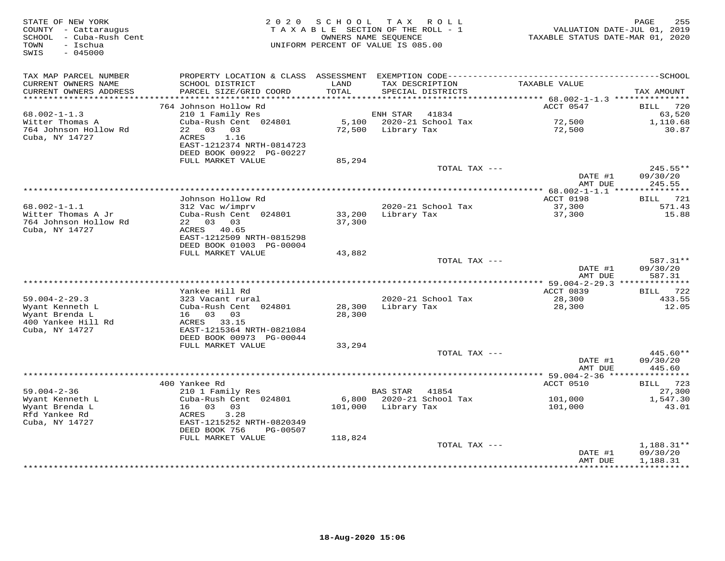| STATE OF NEW YORK<br>COUNTY - Cattaraugus<br>- Cuba-Rush Cent<br>SCHOOL<br>- Ischua<br>TOWN<br>SWIS<br>$-045000$ | 2 0 2 0                                       | SCHOOL<br>OWNERS NAME SEQUENCE | T A X<br>R O L L<br>TAXABLE SECTION OF THE ROLL - 1<br>UNIFORM PERCENT OF VALUE IS 085.00 | VALUATION DATE-JUL 01, 2019<br>TAXABLE STATUS DATE-MAR 01, 2020 | 255<br>PAGE           |
|------------------------------------------------------------------------------------------------------------------|-----------------------------------------------|--------------------------------|-------------------------------------------------------------------------------------------|-----------------------------------------------------------------|-----------------------|
| TAX MAP PARCEL NUMBER                                                                                            |                                               |                                |                                                                                           |                                                                 |                       |
| CURRENT OWNERS NAME<br>CURRENT OWNERS ADDRESS<br>**********************                                          | SCHOOL DISTRICT<br>PARCEL SIZE/GRID COORD     | LAND<br>TOTAL                  | TAX DESCRIPTION<br>SPECIAL DISTRICTS                                                      | TAXABLE VALUE                                                   | TAX AMOUNT            |
|                                                                                                                  | 764 Johnson Hollow Rd                         |                                |                                                                                           | ACCT 0547                                                       | <b>BILL</b><br>720    |
| $68.002 - 1 - 1.3$                                                                                               | 210 1 Family Res                              |                                | ENH STAR<br>41834                                                                         |                                                                 | 63,520                |
| Witter Thomas A                                                                                                  | Cuba-Rush Cent 024801                         | 5,100                          | 2020-21 School Tax                                                                        | 72,500                                                          | 1,110.68              |
| 764 Johnson Hollow Rd                                                                                            | 22 03 03                                      | 72,500                         | Library Tax                                                                               | 72,500                                                          | 30.87                 |
| Cuba, NY 14727                                                                                                   | ACRES<br>1.16<br>EAST-1212374 NRTH-0814723    |                                |                                                                                           |                                                                 |                       |
|                                                                                                                  | DEED BOOK 00922 PG-00227<br>FULL MARKET VALUE | 85,294                         |                                                                                           |                                                                 |                       |
|                                                                                                                  |                                               |                                | TOTAL TAX ---                                                                             |                                                                 | 245.55**              |
|                                                                                                                  |                                               |                                |                                                                                           | DATE #1<br>AMT DUE                                              | 09/30/20<br>245.55    |
|                                                                                                                  |                                               |                                |                                                                                           | $* 68.002 - 1 - 1.1$                                            | ***********           |
| $68.002 - 1 - 1.1$                                                                                               | Johnson Hollow Rd                             |                                |                                                                                           | ACCT 0198                                                       | 721<br>BILL           |
| Witter Thomas A Jr                                                                                               | 312 Vac w/imprv<br>Cuba-Rush Cent 024801      | 33,200                         | 2020-21 School Tax<br>Library Tax                                                         | 37,300<br>37,300                                                | 571.43<br>15.88       |
| 764 Johnson Hollow Rd                                                                                            | 22 03 03                                      | 37,300                         |                                                                                           |                                                                 |                       |
| Cuba, NY 14727                                                                                                   | ACRES 40.65                                   |                                |                                                                                           |                                                                 |                       |
|                                                                                                                  | EAST-1212509 NRTH-0815298                     |                                |                                                                                           |                                                                 |                       |
|                                                                                                                  | DEED BOOK 01003 PG-00004                      |                                |                                                                                           |                                                                 |                       |
|                                                                                                                  | FULL MARKET VALUE                             | 43,882                         | TOTAL TAX ---                                                                             |                                                                 | 587.31**              |
|                                                                                                                  |                                               |                                |                                                                                           | DATE #1                                                         | 09/30/20              |
|                                                                                                                  |                                               |                                |                                                                                           | AMT DUE                                                         | 587.31                |
|                                                                                                                  |                                               |                                |                                                                                           |                                                                 |                       |
|                                                                                                                  | Yankee Hill Rd                                |                                |                                                                                           | ACCT 0839                                                       | 722<br>BILL           |
| $59.004 - 2 - 29.3$<br>Wyant Kenneth L                                                                           | 323 Vacant rural<br>Cuba-Rush Cent 024801     | 28,300                         | 2020-21 School Tax<br>Library Tax                                                         | 28,300                                                          | 433.55<br>12.05       |
| Wyant Brenda L                                                                                                   | 16 03 03                                      | 28,300                         |                                                                                           | 28,300                                                          |                       |
| 400 Yankee Hill Rd                                                                                               | ACRES 33.15                                   |                                |                                                                                           |                                                                 |                       |
| Cuba, NY 14727                                                                                                   | EAST-1215364 NRTH-0821084                     |                                |                                                                                           |                                                                 |                       |
|                                                                                                                  | DEED BOOK 00973 PG-00044                      |                                |                                                                                           |                                                                 |                       |
|                                                                                                                  | FULL MARKET VALUE                             | 33,294                         |                                                                                           |                                                                 |                       |
|                                                                                                                  |                                               |                                | TOTAL TAX ---                                                                             | DATE #1                                                         | 445.60**<br>09/30/20  |
|                                                                                                                  |                                               |                                |                                                                                           | AMT DUE                                                         | 445.60                |
|                                                                                                                  |                                               |                                |                                                                                           | *********** 59.004-2-36 *****                                   | * * * * * * * * * * * |
|                                                                                                                  | 400 Yankee Rd                                 |                                |                                                                                           | ACCT 0510                                                       | 723<br>BILL           |
| $59.004 - 2 - 36$                                                                                                | 210 1 Family Res                              |                                | <b>BAS STAR</b><br>41854                                                                  |                                                                 | 27,300                |
| Wyant Kenneth L                                                                                                  | Cuba-Rush Cent 024801                         | 6,800                          | 2020-21 School Tax                                                                        | 101,000                                                         | 1,547.30              |
| Wyant Brenda L<br>Rfd Yankee Rd                                                                                  | 16 03<br>03<br>ACRES<br>3.28                  | 101,000                        | Library Tax                                                                               | 101,000                                                         | 43.01                 |
| Cuba, NY 14727                                                                                                   | EAST-1215252 NRTH-0820349                     |                                |                                                                                           |                                                                 |                       |
|                                                                                                                  | DEED BOOK 756<br>PG-00507                     |                                |                                                                                           |                                                                 |                       |
|                                                                                                                  | FULL MARKET VALUE                             | 118,824                        |                                                                                           |                                                                 |                       |
|                                                                                                                  |                                               |                                | TOTAL TAX ---                                                                             |                                                                 | $1,188.31**$          |
|                                                                                                                  |                                               |                                |                                                                                           | DATE #1<br>AMT DUE                                              | 09/30/20<br>1,188.31  |
|                                                                                                                  |                                               |                                |                                                                                           | *********                                                       | ***********           |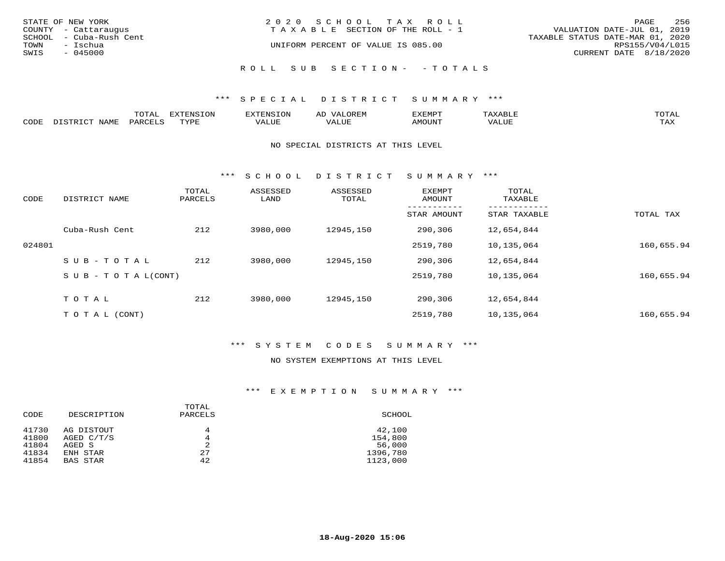|      | STATE OF NEW YORK<br>COUNTY - Cattaraugus | 2020 SCHOOL TAX ROLL<br>T A X A B L E SECTION OF THE ROLL - 1 | PAGE<br>VALUATION DATE-JUL 01, 2019                 | 256 |
|------|-------------------------------------------|---------------------------------------------------------------|-----------------------------------------------------|-----|
| TOWN | SCHOOL - Cuba-Rush Cent<br>- Ischua       | UNIFORM PERCENT OF VALUE IS 085.00                            | TAXABLE STATUS DATE-MAR 01, 2020<br>RPS155/V04/L015 |     |
| SWIS | $-045000$                                 |                                                               | CURRENT DATE 8/18/2020                              |     |
|      |                                           | ROLL SUB SECTION- - TOTALS                                    |                                                     |     |

|      |                | momn:<br>LUIAI.     | mazma           |       | JR E.N        | ,,, <del>,</del> ,,,,,,,<br>™ ⊃<br>⊐ויום ∧נ |     |                    |
|------|----------------|---------------------|-----------------|-------|---------------|---------------------------------------------|-----|--------------------|
| CODE | NAMF<br>. סידי | PARCET <sup>-</sup> | TVDI<br>- - - - | 7ALUE | T T T<br>ALUr | AMOUNT                                      | ′ △ | <b>TRAV</b><br>∸∽∸ |

#### NO SPECIAL DISTRICTS AT THIS LEVEL

\*\*\* S C H O O L D I S T R I C T S U M M A R Y \*\*\*

| CODE   | DISTRICT NAME                    | TOTAL<br>PARCELS | ASSESSED<br>LAND | ASSESSED<br>TOTAL | <b>EXEMPT</b><br>AMOUNT | TOTAL<br>TAXABLE |            |
|--------|----------------------------------|------------------|------------------|-------------------|-------------------------|------------------|------------|
|        |                                  |                  |                  |                   | STAR AMOUNT             | STAR TAXABLE     | TOTAL TAX  |
|        | Cuba-Rush Cent                   | 212              | 3980,000         | 12945,150         | 290,306                 | 12,654,844       |            |
| 024801 |                                  |                  |                  |                   | 2519,780                | 10,135,064       | 160,655.94 |
|        | SUB-TOTAL                        | 212              | 3980,000         | 12945,150         | 290,306                 | 12,654,844       |            |
|        | $S \cup B - T \cup T A L (CONT)$ |                  |                  |                   | 2519,780                | 10,135,064       | 160,655.94 |
|        | TOTAL                            | 212              | 3980,000         | 12945,150         | 290,306                 | 12,654,844       |            |
|        | T O T A L (CONT)                 |                  |                  |                   | 2519,780                | 10,135,064       | 160,655.94 |

## \*\*\* S Y S T E M C O D E S S U M M A R Y \*\*\*

### NO SYSTEM EXEMPTIONS AT THIS LEVEL

| CODE           | DESCRIPTION                | TOTAL<br>PARCELS | SCHOOL            |
|----------------|----------------------------|------------------|-------------------|
| 41730<br>41800 | AG DISTOUT<br>AGED $C/T/S$ | 4<br>4           | 42,100<br>154,800 |
| 41804          | AGED S                     | 2                | 56,000            |
| 41834          | ENH STAR                   | 27               | 1396,780          |
| 41854          | <b>BAS STAR</b>            | 42               | 1123,000          |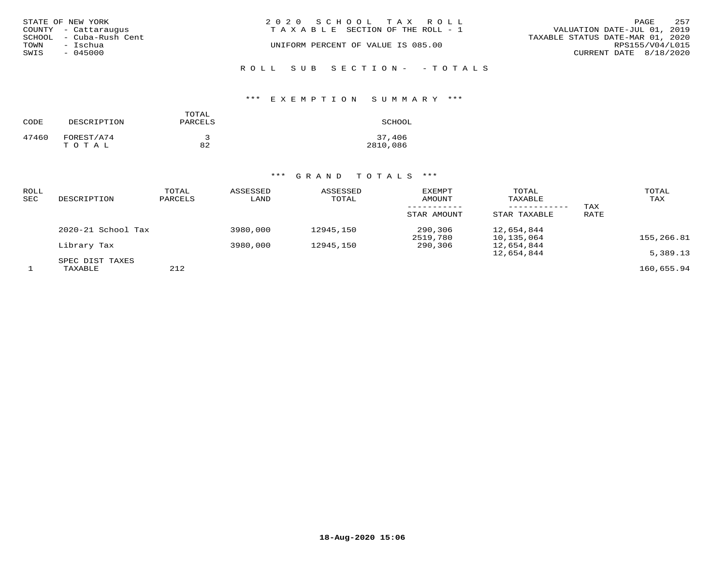| STATE OF NEW YORK |                         | 2020 SCHOOL TAX ROLL                  |  |                                  | PAGE                   | 257 |
|-------------------|-------------------------|---------------------------------------|--|----------------------------------|------------------------|-----|
|                   | COUNTY - Cattaraugus    | T A X A B L E SECTION OF THE ROLL - 1 |  | VALUATION DATE-JUL 01, 2019      |                        |     |
|                   | SCHOOL - Cuba-Rush Cent |                                       |  | TAXABLE STATUS DATE-MAR 01, 2020 |                        |     |
| TOWN              | – Ischua                | UNIFORM PERCENT OF VALUE IS 085.00    |  |                                  | RPS155/V04/L015        |     |
| SWIS              | $-045000$               |                                       |  |                                  | CURRENT DATE 8/18/2020 |     |
|                   |                         |                                       |  |                                  |                        |     |

# ROLL SUB SECTION- - TOTALS

## \*\*\* E X E M P T I O N S U M M A R Y \*\*\*

| CODE  | DESCRIPTION         | TOTAL<br>PARCELS | SCHOOL             |
|-------|---------------------|------------------|--------------------|
| 47460 | FOREST/A74<br>TOTAL | 82               | 37,406<br>2810,086 |

| ROLL<br>SEC | DESCRIPTION            | TOTAL<br>PARCELS | ASSESSED<br>LAND | ASSESSED<br>TOTAL | EXEMPT<br>AMOUNT<br>STAR AMOUNT | TOTAL<br>TAXABLE<br>STAR TAXABLE | TAX<br>RATE | TOTAL<br>TAX |
|-------------|------------------------|------------------|------------------|-------------------|---------------------------------|----------------------------------|-------------|--------------|
|             | $2020 - 21$ School Tax |                  | 3980,000         | 12945,150         | 290,306<br>2519,780             | 12,654,844<br>10,135,064         |             | 155,266.81   |
|             | Library Tax            |                  | 3980,000         | 12945,150         | 290,306                         | 12,654,844                       |             |              |
|             | SPEC DIST TAXES        |                  |                  |                   |                                 | 12,654,844                       |             | 5,389.13     |
|             | TAXABLE                | 212              |                  |                   |                                 |                                  |             | 160,655.94   |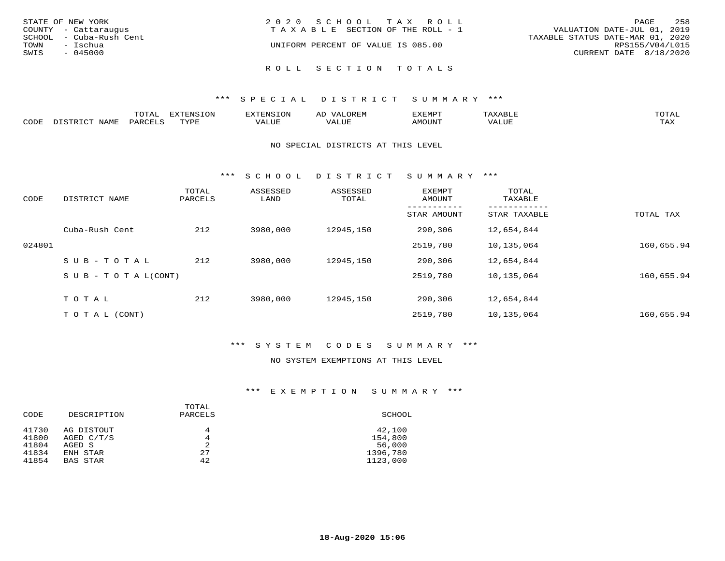| STATE OF NEW YORK       | 2020 SCHOOL TAX ROLL               | 258<br>PAGE                      |
|-------------------------|------------------------------------|----------------------------------|
| COUNTY - Cattaraugus    | TAXABLE SECTION OF THE ROLL - 1    | VALUATION DATE-JUL 01, 2019      |
| SCHOOL - Cuba-Rush Cent |                                    | TAXABLE STATUS DATE-MAR 01, 2020 |
| TOWN<br>– Ischua        | UNIFORM PERCENT OF VALUE IS 085.00 | RPS155/V04/L015                  |
| SWIS<br>$-045000$       |                                    | CURRENT DATE 8/18/2020           |
|                         |                                    |                                  |
|                         | ROLL SECTION TOTALS                |                                  |

|      | $\pi$ $\sim$ $\pi$ $\pi$<br>---- | ---<br>TON<br>FNC " |            | ے ۔ | <b>DATO</b> | TOTR<br>◡∸ғ        |
|------|----------------------------------|---------------------|------------|-----|-------------|--------------------|
| CODE |                                  | <b>TUTTE</b>        | $\sqrt{ }$ |     | יזחדר       | $- - - -$<br>5.732 |

#### NO SPECIAL DISTRICTS AT THIS LEVEL

\*\*\* S C H O O L D I S T R I C T S U M M A R Y \*\*\*

| CODE   | DISTRICT NAME                    | TOTAL<br>PARCELS | ASSESSED<br>LAND | ASSESSED<br>TOTAL | <b>EXEMPT</b><br>AMOUNT | TOTAL<br>TAXABLE |            |
|--------|----------------------------------|------------------|------------------|-------------------|-------------------------|------------------|------------|
|        |                                  |                  |                  |                   | STAR AMOUNT             | STAR TAXABLE     | TOTAL TAX  |
|        | Cuba-Rush Cent                   | 212              | 3980,000         | 12945,150         | 290,306                 | 12,654,844       |            |
| 024801 |                                  |                  |                  |                   | 2519,780                | 10,135,064       | 160,655.94 |
|        | SUB-TOTAL                        | 212              | 3980,000         | 12945,150         | 290,306                 | 12,654,844       |            |
|        | $S \cup B - T \cup T A L (CONT)$ |                  |                  |                   | 2519,780                | 10,135,064       | 160,655.94 |
|        | TOTAL                            | 212              | 3980,000         | 12945,150         | 290,306                 | 12,654,844       |            |
|        | T O T A L (CONT)                 |                  |                  |                   | 2519,780                | 10,135,064       | 160,655.94 |

## \*\*\* S Y S T E M C O D E S S U M M A R Y \*\*\*

## NO SYSTEM EXEMPTIONS AT THIS LEVEL

| CODE                             | DESCRIPTION                                    | TOTAL<br>PARCELS  | SCHOOL                                  |
|----------------------------------|------------------------------------------------|-------------------|-----------------------------------------|
| 41730<br>41800<br>41804<br>41834 | AG DISTOUT<br>AGED C/T/S<br>AGED S<br>ENH STAR | 4<br>4<br>2<br>27 | 42,100<br>154,800<br>56,000<br>1396,780 |
| 41854                            | <b>BAS STAR</b>                                | 42                | 1123,000                                |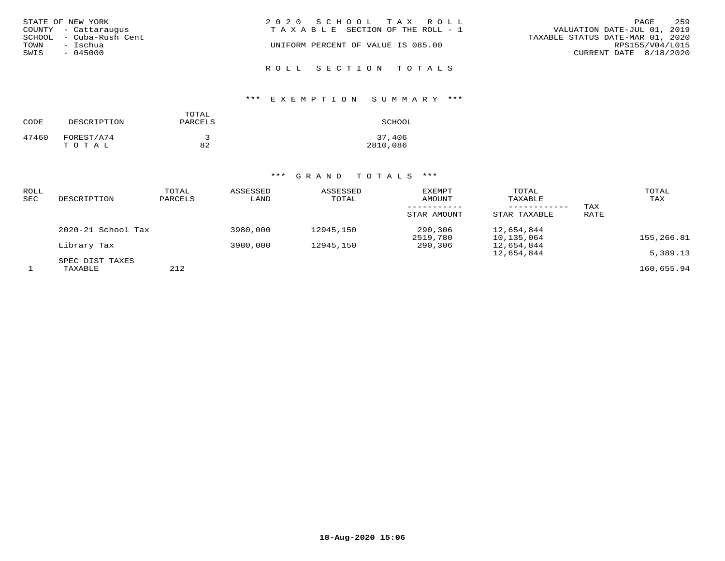| STATE OF NEW YORK<br>COUNTY - Cattaraugus<br>SCHOOL - Cuba-Rush Cent<br>TOWN<br>– Ischua<br>SWIS<br>- 045000 | 2020 SCHOOL TAX ROLL<br>T A X A B L E SECTION OF THE ROLL - 1<br>UNIFORM PERCENT OF VALUE IS 085.00 | 259<br>PAGE<br>VALUATION DATE-JUL 01, 2019<br>TAXABLE STATUS DATE-MAR 01, 2020<br>RPS155/V04/L015<br>CURRENT DATE 8/18/2020 |
|--------------------------------------------------------------------------------------------------------------|-----------------------------------------------------------------------------------------------------|-----------------------------------------------------------------------------------------------------------------------------|
|                                                                                                              | ROLL SECTION TOTALS                                                                                 |                                                                                                                             |

## \*\*\* E X E M P T I O N S U M M A R Y \*\*\*

| CODE  | DESCRIPTION         | TOTAL<br>PARCELS | SCHOOL             |
|-------|---------------------|------------------|--------------------|
| 47460 | FOREST/A74<br>TOTAL | 82               | 37,406<br>2810,086 |

| ROLL<br><b>SEC</b> | DESCRIPTION        | TOTAL<br>PARCELS | ASSESSED<br>LAND | ASSESSED<br>TOTAL | EXEMPT<br>AMOUNT<br>STAR AMOUNT | TOTAL<br>TAXABLE<br>STAR TAXABLE | TAX<br>RATE | TOTAL<br>TAX |
|--------------------|--------------------|------------------|------------------|-------------------|---------------------------------|----------------------------------|-------------|--------------|
|                    | 2020-21 School Tax |                  | 3980,000         | 12945,150         | 290,306<br>2519,780             | 12,654,844<br>10,135,064         |             | 155,266.81   |
|                    | Library Tax        |                  | 3980,000         | 12945,150         | 290,306                         | 12,654,844                       |             |              |
|                    | SPEC DIST TAXES    |                  |                  |                   |                                 | 12,654,844                       |             | 5,389.13     |
|                    | TAXABLE            | 212              |                  |                   |                                 |                                  |             | 160,655.94   |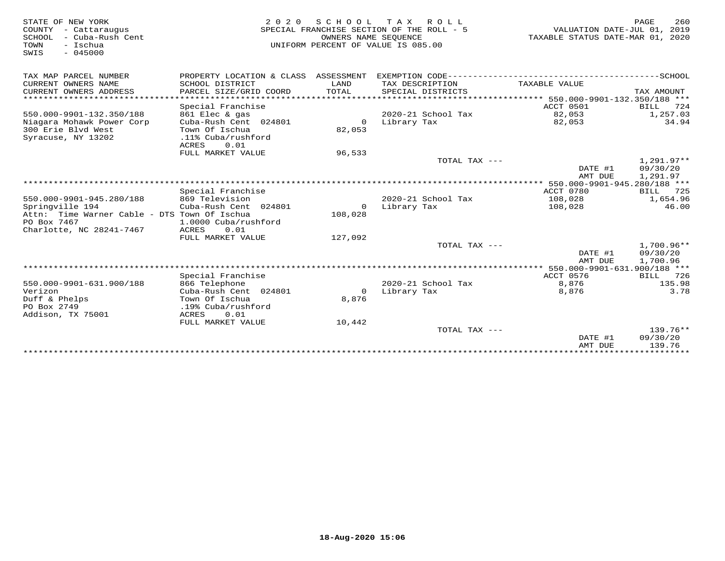| STATE OF NEW YORK<br>COUNTY - Cattaraugus<br>SCHOOL<br>- Cuba-Rush Cent<br>- Ischua<br>TOWN<br>SWIS<br>$-045000$ | 2 0 2 0                                                                        |                       | SCHOOL TAX ROLL<br>SPECIAL FRANCHISE SECTION OF THE ROLL - 5<br>OWNERS NAME SEOUENCE<br>UNIFORM PERCENT OF VALUE IS 085.00 | VALUATION DATE-JUL 01, 2019<br>TAXABLE STATUS DATE-MAR 01, 2020 | PAGE<br>260                        |
|------------------------------------------------------------------------------------------------------------------|--------------------------------------------------------------------------------|-----------------------|----------------------------------------------------------------------------------------------------------------------------|-----------------------------------------------------------------|------------------------------------|
| TAX MAP PARCEL NUMBER                                                                                            | PROPERTY LOCATION & CLASS ASSESSMENT                                           |                       |                                                                                                                            |                                                                 |                                    |
| CURRENT OWNERS NAME<br>CURRENT OWNERS ADDRESS                                                                    | SCHOOL DISTRICT<br>PARCEL SIZE/GRID COORD                                      | LAND<br>TOTAL         | TAX DESCRIPTION<br>SPECIAL DISTRICTS                                                                                       | TAXABLE VALUE                                                   | TAX AMOUNT                         |
| *************************                                                                                        |                                                                                |                       |                                                                                                                            |                                                                 |                                    |
|                                                                                                                  | Special Franchise                                                              |                       |                                                                                                                            | ACCT 0501                                                       | <b>BILL</b><br>724                 |
| 550.000-9901-132.350/188                                                                                         | 861 Elec & gas                                                                 |                       | 2020-21 School Tax                                                                                                         | 82,053                                                          | 1,257.03                           |
| Niagara Mohawk Power Corp<br>300 Erie Blvd West<br>Syracuse, NY 13202                                            | Cuba-Rush Cent 024801<br>Town Of Ischua<br>.11% Cuba/rushford<br>0.01<br>ACRES | $\mathbf 0$<br>82,053 | Library Tax                                                                                                                | 82,053                                                          | 34.94                              |
|                                                                                                                  | FULL MARKET VALUE                                                              | 96,533                |                                                                                                                            |                                                                 |                                    |
|                                                                                                                  |                                                                                |                       | TOTAL TAX ---                                                                                                              |                                                                 | $1.291.97**$                       |
|                                                                                                                  |                                                                                |                       |                                                                                                                            | DATE #1<br>AMT DUE                                              | 09/30/20<br>1,291.97               |
|                                                                                                                  |                                                                                |                       |                                                                                                                            |                                                                 |                                    |
|                                                                                                                  | Special Franchise                                                              |                       |                                                                                                                            | ACCT 0780                                                       | BILL<br>725                        |
| 550.000-9901-945.280/188                                                                                         | 869 Television                                                                 |                       | 2020-21 School Tax                                                                                                         | 108,028                                                         | 1,654.96                           |
| Springville 194                                                                                                  | Cuba-Rush Cent 024801                                                          | $\circ$               | Library Tax                                                                                                                | 108,028                                                         | 46.00                              |
| Attn: Time Warner Cable - DTS Town Of Ischua<br>PO Box 7467                                                      | 1.0000 Cuba/rushford                                                           | 108,028               |                                                                                                                            |                                                                 |                                    |
| Charlotte, NC 28241-7467                                                                                         | ACRES<br>0.01                                                                  |                       |                                                                                                                            |                                                                 |                                    |
|                                                                                                                  | FULL MARKET VALUE                                                              | 127,092               |                                                                                                                            |                                                                 |                                    |
|                                                                                                                  |                                                                                |                       | TOTAL TAX ---                                                                                                              | DATE #1<br>AMT DUE                                              | 1,700.96**<br>09/30/20<br>1,700.96 |
|                                                                                                                  |                                                                                |                       |                                                                                                                            |                                                                 |                                    |
|                                                                                                                  | Special Franchise                                                              |                       |                                                                                                                            | ACCT 0576                                                       | 726<br>BILL                        |
| 550.000-9901-631.900/188                                                                                         | 866 Telephone                                                                  |                       | 2020-21 School Tax                                                                                                         | 8,876                                                           | 135.98                             |
| Verizon                                                                                                          | Cuba-Rush Cent 024801                                                          | $\circ$               | Library Tax                                                                                                                | 8,876                                                           | 3.78                               |
| Duff & Phelps<br>PO Box 2749                                                                                     | Town Of Ischua<br>.19% Cuba/rushford                                           | 8,876                 |                                                                                                                            |                                                                 |                                    |
| Addison, TX 75001                                                                                                | ACRES<br>0.01                                                                  |                       |                                                                                                                            |                                                                 |                                    |
|                                                                                                                  | FULL MARKET VALUE                                                              | 10,442                |                                                                                                                            |                                                                 |                                    |
|                                                                                                                  |                                                                                |                       | TOTAL TAX ---                                                                                                              | DATE #1                                                         | $139.76**$<br>09/30/20<br>139.76   |
|                                                                                                                  |                                                                                |                       |                                                                                                                            | AMT DUE                                                         |                                    |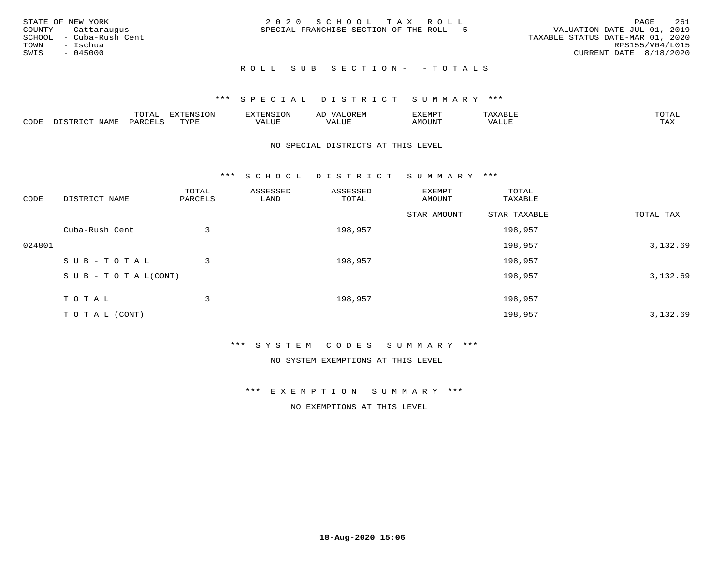|      | STATE OF NEW YORK       | 2020 SCHOOL TAX ROLL                      | PAGE                             | 261 |
|------|-------------------------|-------------------------------------------|----------------------------------|-----|
|      | COUNTY - Cattaraugus    | SPECIAL FRANCHISE SECTION OF THE ROLL - 5 | VALUATION DATE-JUL 01, 2019      |     |
|      | SCHOOL - Cuba-Rush Cent |                                           | TAXABLE STATUS DATE-MAR 01, 2020 |     |
|      | TOWN - Ischua           |                                           | RPS155/V04/L015                  |     |
| SWIS | - 045000                |                                           | CURRENT DATE 8/18/2020           |     |
|      |                         |                                           |                                  |     |

## R O L L S U B S E C T I O N - - T O T A L S

## \*\*\* S P E C I A L D I S T R I C T S U M M A R Y \*\*\*

|      |                            | ----<br>$\overline{\phantom{a}}$ | EXTENSION | <b>ENS</b>        | AL<br>$\cdots$ | דסאים אי     |                       | momn. |
|------|----------------------------|----------------------------------|-----------|-------------------|----------------|--------------|-----------------------|-------|
| CODE | $ \sim$ $-$<br><b>NAMP</b> | $\Omega$<br>'ARI                 | TVDF      | <sup>7</sup> ALUE | 'ALUE          | <b>MOUNT</b> | . <del>.</del><br>JUI | TAX   |

#### NO SPECIAL DISTRICTS AT THIS LEVEL

\*\*\* S C H O O L D I S T R I C T S U M M A R Y \*\*\*

| CODE   | DISTRICT NAME                    | TOTAL<br>PARCELS | ASSESSED<br>LAND | ASSESSED<br>TOTAL | EXEMPT<br>AMOUNT | TOTAL<br>TAXABLE |           |
|--------|----------------------------------|------------------|------------------|-------------------|------------------|------------------|-----------|
|        |                                  |                  |                  |                   | STAR AMOUNT      | STAR TAXABLE     | TOTAL TAX |
|        | Cuba-Rush Cent                   | 3                |                  | 198,957           |                  | 198,957          |           |
| 024801 |                                  |                  |                  |                   |                  | 198,957          | 3,132.69  |
|        | SUB-TOTAL                        | 3                |                  | 198,957           |                  | 198,957          |           |
|        | $S \cup B - T \cup T A L (CONT)$ |                  |                  |                   |                  | 198,957          | 3,132.69  |
|        | T O T A L                        | 3                |                  | 198,957           |                  | 198,957          |           |
|        | T O T A L (CONT)                 |                  |                  |                   |                  | 198,957          | 3,132.69  |

### \*\*\* S Y S T E M C O D E S S U M M A R Y \*\*\*

NO SYSTEM EXEMPTIONS AT THIS LEVEL

\*\*\* E X E M P T I O N S U M M A R Y \*\*\*

NO EXEMPTIONS AT THIS LEVEL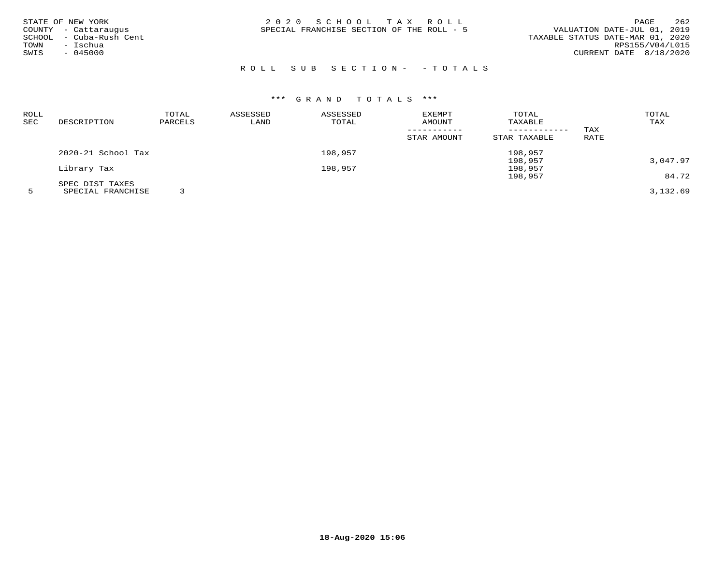| STATE OF NEW YORK<br>COUNTY - Cattaraugus<br>- Cuba-Rush Cent<br>SCHOOL<br>TOWN<br>– Ischua<br>$-045000$<br>SWIS | 2020 SCHOOL TAX ROLL<br>SPECIAL FRANCHISE SECTION OF THE ROLL - 5 | 262<br>PAGE<br>VALUATION DATE-JUL 01, 2019<br>TAXABLE STATUS DATE-MAR 01, 2020<br>RPS155/V04/L015<br>CURRENT DATE 8/18/2020 |
|------------------------------------------------------------------------------------------------------------------|-------------------------------------------------------------------|-----------------------------------------------------------------------------------------------------------------------------|
|                                                                                                                  |                                                                   |                                                                                                                             |

## ROLL SUB SECTION- - TOTALS

## \*\*\* G R A N D T O T A L S \*\*\*

| ROLL |                    | TOTAL   | ASSESSED | ASSESSED | EXEMPT      | TOTAL        |      | TOTAL    |
|------|--------------------|---------|----------|----------|-------------|--------------|------|----------|
| SEC  | DESCRIPTION        | PARCELS | LAND     | TOTAL    | AMOUNT      | TAXABLE      |      | TAX      |
|      |                    |         |          |          |             |              | TAX  |          |
|      |                    |         |          |          | STAR AMOUNT | STAR TAXABLE | RATE |          |
|      | 2020-21 School Tax |         |          | 198,957  |             | 198,957      |      |          |
|      |                    |         |          |          |             | 198,957      |      | 3,047.97 |
|      | Library Tax        |         |          | 198,957  |             | 198,957      |      |          |
|      |                    |         |          |          |             | 198,957      |      | 84.72    |
|      | SPEC DIST TAXES    |         |          |          |             |              |      |          |
|      | SPECIAL FRANCHISE  |         |          |          |             |              |      | 3,132.69 |

**18-Aug-2020 15:06**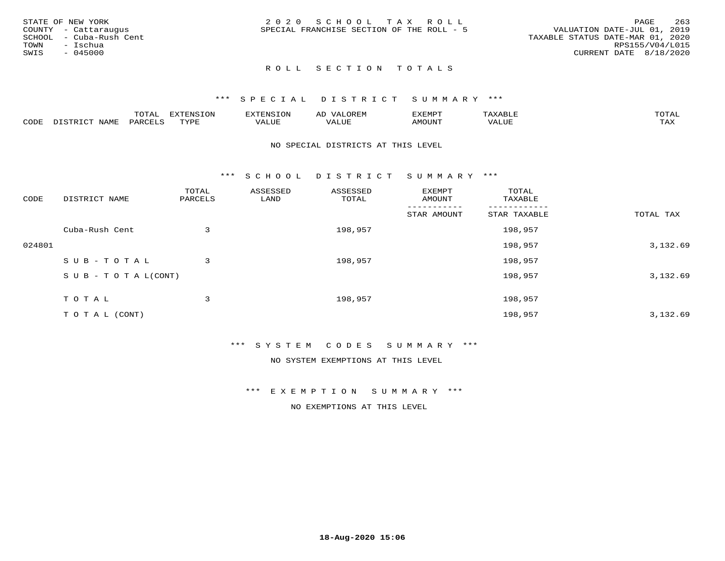| STATE OF NEW YORK       | 2020 SCHOOL TAX ROLL                      | 263<br><b>PAGE</b>               |
|-------------------------|-------------------------------------------|----------------------------------|
| COUNTY - Cattaraugus    | SPECIAL FRANCHISE SECTION OF THE ROLL - 5 | VALUATION DATE-JUL 01, 2019      |
| SCHOOL - Cuba-Rush Cent |                                           | TAXABLE STATUS DATE-MAR 01, 2020 |
| TOWN<br>- Ischua        |                                           | RPS155/V04/L015                  |
| $-045000$<br>SWIS       |                                           | CURRENT DATE 8/18/2020           |
|                         |                                           |                                  |

### \*\*\* S P E C I A L D I S T R I C T S U M M A R Y \*\*\*

|      |                      | mom n | <b>ELIMENT CLOSE</b><br>LUP | ALS.               | ΑL            | ,,, <del>,</del> ,,, <del>,</del><br>، ب<br>- ۱٬۱۳۰ نالاند |                         |                    |
|------|----------------------|-------|-----------------------------|--------------------|---------------|------------------------------------------------------------|-------------------------|--------------------|
| CODE | <b>NAMT</b><br>11.17 | PARC  | TVDF                        | <b>TTT</b><br>ALUR | T T T<br>ALUE | TUUOMA                                                     | . <del>.</del><br>'ALUL | $m \times r$<br>∸⊷ |

#### NO SPECIAL DISTRICTS AT THIS LEVEL

\*\*\* S C H O O L D I S T R I C T S U M M A R Y \*\*\*

| CODE   | DISTRICT NAME              | TOTAL<br>PARCELS | ASSESSED<br>LAND | ASSESSED<br>TOTAL | EXEMPT<br>AMOUNT | TOTAL<br>TAXABLE |           |
|--------|----------------------------|------------------|------------------|-------------------|------------------|------------------|-----------|
|        |                            |                  |                  |                   | STAR AMOUNT      | STAR TAXABLE     | TOTAL TAX |
|        | Cuba-Rush Cent             | 3                |                  | 198,957           |                  | 198,957          |           |
| 024801 |                            |                  |                  |                   |                  | 198,957          | 3,132.69  |
|        | SUB-TOTAL                  | 3                |                  | 198,957           |                  | 198,957          |           |
|        | S U B - T O T A $L$ (CONT) |                  |                  |                   |                  | 198,957          | 3,132.69  |
|        | TOTAL                      | 3                |                  | 198,957           |                  | 198,957          |           |
|        |                            |                  |                  |                   |                  |                  |           |
|        | T O T A L (CONT)           |                  |                  |                   |                  | 198,957          | 3,132.69  |

### \*\*\* S Y S T E M C O D E S S U M M A R Y \*\*\*

NO SYSTEM EXEMPTIONS AT THIS LEVEL

\*\*\* E X E M P T I O N S U M M A R Y \*\*\*

NO EXEMPTIONS AT THIS LEVEL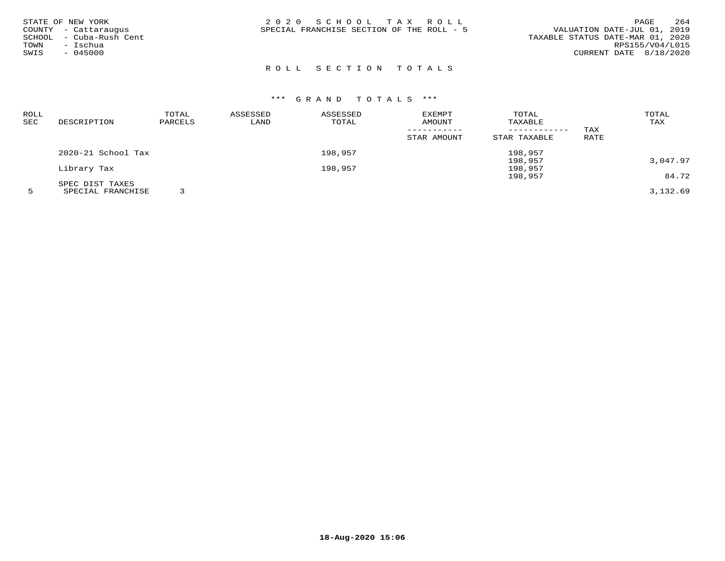| ROLL |                    | TOTAL   | ASSESSED | ASSESSED | <b>EXEMPT</b> | TOTAL        |      | TOTAL    |
|------|--------------------|---------|----------|----------|---------------|--------------|------|----------|
| SEC  | DESCRIPTION        | PARCELS | LAND     | TOTAL    | AMOUNT        | TAXABLE      |      | TAX      |
|      |                    |         |          |          |               |              | TAX  |          |
|      |                    |         |          |          | STAR AMOUNT   | STAR TAXABLE | RATE |          |
|      | 2020-21 School Tax |         |          | 198,957  |               | 198,957      |      |          |
|      |                    |         |          |          |               | 198,957      |      | 3,047.97 |
|      | Library Tax        |         |          | 198,957  |               | 198,957      |      |          |
|      |                    |         |          |          |               | 198,957      |      | 84.72    |
|      | SPEC DIST TAXES    |         |          |          |               |              |      |          |
|      | SPECIAL FRANCHISE  |         |          |          |               |              |      | 3,132.69 |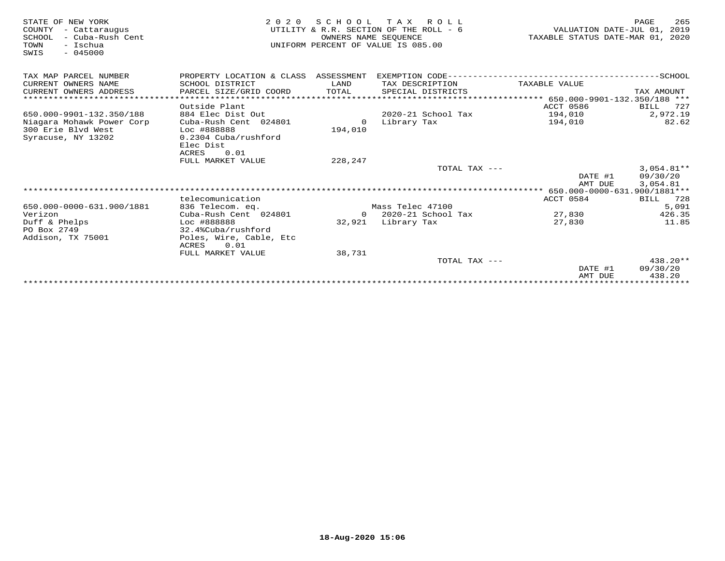| STATE OF NEW YORK<br>COUNTY<br>- Cattaraugus<br>- Cuba-Rush Cent<br>SCHOOL<br>TOWN<br>- Ischua<br>$-045000$<br>SWIS | 2 0 2 0                                  | SCHOOL<br>OWNERS NAME SEQUENCE | T A X<br>R O L L<br>UTILITY & R.R. SECTION OF THE ROLL - 6<br>UNIFORM PERCENT OF VALUE IS 085.00 | VALUATION DATE-JUL 01,<br>TAXABLE STATUS DATE-MAR 01, 2020 | 265<br>PAGE<br>2019 |
|---------------------------------------------------------------------------------------------------------------------|------------------------------------------|--------------------------------|--------------------------------------------------------------------------------------------------|------------------------------------------------------------|---------------------|
| TAX MAP PARCEL NUMBER                                                                                               | PROPERTY LOCATION & CLASS ASSESSMENT     |                                |                                                                                                  |                                                            |                     |
| CURRENT OWNERS NAME                                                                                                 | SCHOOL DISTRICT                          | LAND                           | TAX DESCRIPTION                                                                                  | TAXABLE VALUE                                              |                     |
| CURRENT OWNERS ADDRESS                                                                                              | PARCEL SIZE/GRID COORD                   | TOTAL                          | SPECIAL DISTRICTS                                                                                |                                                            | TAX AMOUNT          |
| *************************                                                                                           |                                          |                                |                                                                                                  |                                                            |                     |
|                                                                                                                     | Outside Plant                            |                                |                                                                                                  | ACCT 0586                                                  | BILL<br>727         |
| 650.000-9901-132.350/188                                                                                            | 884 Elec Dist Out                        |                                | 2020-21 School Tax                                                                               | 194,010                                                    | 2,972.19            |
| Niagara Mohawk Power Corp                                                                                           | Cuba-Rush Cent 024801                    | $\circ$                        | Library Tax                                                                                      | 194,010                                                    | 82.62               |
| 300 Erie Blvd West                                                                                                  | Loc #888888                              | 194,010                        |                                                                                                  |                                                            |                     |
| Syracuse, NY 13202                                                                                                  | 0.2304 Cuba/rushford<br>Elec Dist        |                                |                                                                                                  |                                                            |                     |
|                                                                                                                     | <b>ACRES</b><br>0.01                     |                                |                                                                                                  |                                                            |                     |
|                                                                                                                     | FULL MARKET VALUE                        | 228,247                        |                                                                                                  |                                                            |                     |
|                                                                                                                     |                                          |                                | TOTAL TAX ---                                                                                    |                                                            | $3,054.81**$        |
|                                                                                                                     |                                          |                                |                                                                                                  | DATE #1                                                    | 09/30/20            |
|                                                                                                                     |                                          |                                |                                                                                                  | AMT DUE                                                    | 3,054.81            |
|                                                                                                                     |                                          |                                |                                                                                                  |                                                            |                     |
|                                                                                                                     | telecomunication                         |                                |                                                                                                  | ACCT 0584                                                  | BILL 728            |
| 650.000-0000-631.900/1881                                                                                           | 836 Telecom. eq.                         |                                | Mass Telec 47100                                                                                 |                                                            | 5,091               |
| Verizon                                                                                                             | Cuba-Rush Cent 024801                    | $\Omega$                       | 2020-21 School Tax                                                                               | 27,830                                                     | 426.35              |
| Duff & Phelps                                                                                                       | Loc #888888                              | 32,921                         | Library Tax                                                                                      | 27,830                                                     | 11.85               |
| PO Box 2749                                                                                                         | 32.4%Cuba/rushford                       |                                |                                                                                                  |                                                            |                     |
| Addison, TX 75001                                                                                                   | Poles, Wire, Cable, Etc<br>0.01<br>ACRES |                                |                                                                                                  |                                                            |                     |
|                                                                                                                     | FULL MARKET VALUE                        | 38,731                         |                                                                                                  |                                                            |                     |
|                                                                                                                     |                                          |                                | TOTAL TAX ---                                                                                    |                                                            | $438.20**$          |
|                                                                                                                     |                                          |                                |                                                                                                  | DATE #1                                                    | 09/30/20            |
|                                                                                                                     |                                          |                                |                                                                                                  | AMT DUE                                                    | 438.20              |
|                                                                                                                     |                                          |                                |                                                                                                  |                                                            |                     |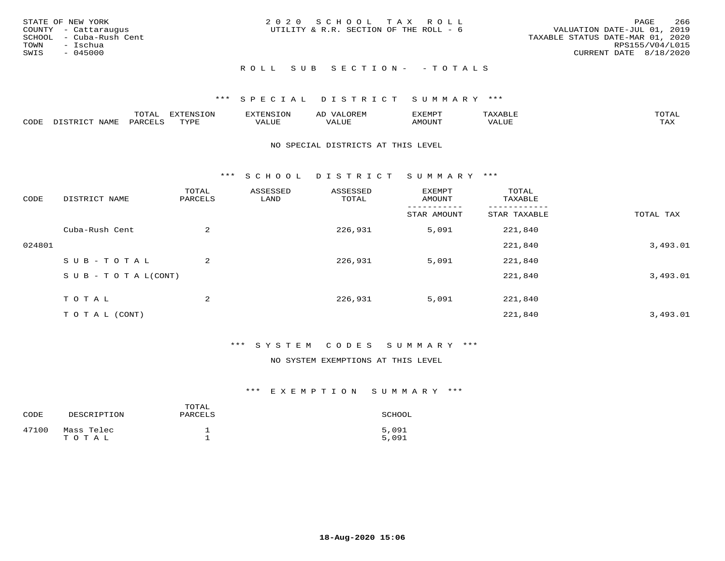| STATE OF NEW YORK<br>COUNTY - Cattaraugus<br>SCHOOL - Cuba-Rush Cent<br>TOWN<br>- Ischua<br>SWIS<br>$-045000$ | 2020 SCHOOL TAX ROLL<br>UTILITY & R.R. SECTION OF THE ROLL - 6 | 266<br>PAGE<br>VALUATION DATE-JUL 01, 2019<br>TAXABLE STATUS DATE-MAR 01, 2020<br>RPS155/V04/L015<br>CURRENT DATE 8/18/2020 |
|---------------------------------------------------------------------------------------------------------------|----------------------------------------------------------------|-----------------------------------------------------------------------------------------------------------------------------|
|                                                                                                               | ROLL SUB SECTION- - TOTALS                                     |                                                                                                                             |

|      |      | mom n<br>-777 | pszmpato<br>$ \sim$ $\sim$<br>-UP | AL.         | ,,, <del>,</del> ,,, <del>,</del> ,<br>້ |                         | $m \wedge m \wedge n$ |
|------|------|---------------|-----------------------------------|-------------|------------------------------------------|-------------------------|-----------------------|
| CODE | ⊥'⊥⊥ | PARO          | TVDF                              | ۳۰ تا سند د | <b>MOTTNT</b>                            | - ---<br>$'$ $\Delta$ . | $m \times r$<br>- −-  |

#### NO SPECIAL DISTRICTS AT THIS LEVEL

\*\*\* S C H O O L D I S T R I C T S U M M A R Y \*\*\*

| CODE   | DISTRICT NAME                    | TOTAL<br>PARCELS | ASSESSED<br>LAND | ASSESSED<br>TOTAL | EXEMPT<br>AMOUNT | TOTAL<br>TAXABLE |           |
|--------|----------------------------------|------------------|------------------|-------------------|------------------|------------------|-----------|
|        |                                  |                  |                  |                   | STAR AMOUNT      | STAR TAXABLE     | TOTAL TAX |
|        | Cuba-Rush Cent                   | 2                |                  | 226,931           | 5,091            | 221,840          |           |
| 024801 |                                  |                  |                  |                   |                  | 221,840          | 3,493.01  |
|        | SUB-TOTAL                        | 2                |                  | 226,931           | 5,091            | 221,840          |           |
|        | $S \cup B - T \cup T A L (CONT)$ |                  |                  |                   |                  | 221,840          | 3,493.01  |
|        | T O T A L                        | 2                |                  | 226,931           | 5,091            | 221,840          |           |
|        | T O T A L (CONT)                 |                  |                  |                   |                  | 221,840          | 3,493.01  |

## \*\*\* S Y S T E M C O D E S S U M M A R Y \*\*\*

#### NO SYSTEM EXEMPTIONS AT THIS LEVEL

| CODE  | DESCRIPTION         | TOTAL<br>PARCELS | SCHOOL         |
|-------|---------------------|------------------|----------------|
| 47100 | Mass Telec<br>TOTAL |                  | 5,091<br>5,091 |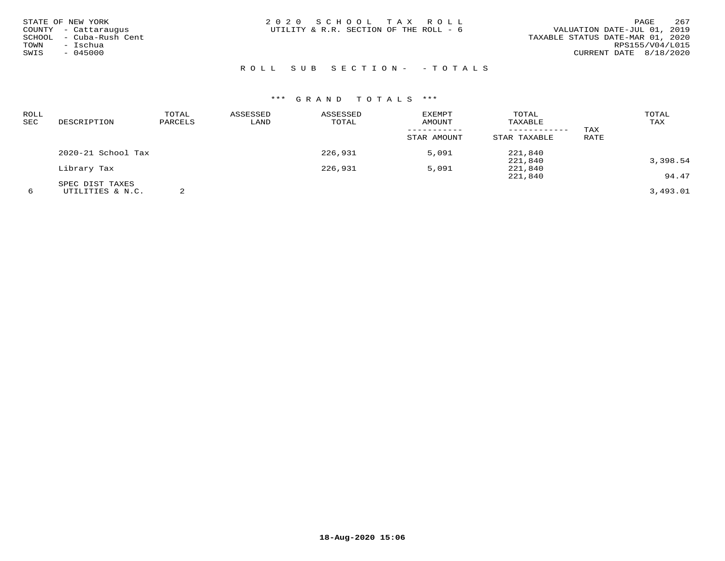| STATE OF NEW YORK       | 2020 SCHOOL TAX ROLL                   | 267<br>PAGE                      |
|-------------------------|----------------------------------------|----------------------------------|
| COUNTY - Cattaraugus    | UTILITY & R.R. SECTION OF THE ROLL - 6 | VALUATION DATE-JUL 01, 2019      |
| SCHOOL - Cuba-Rush Cent |                                        | TAXABLE STATUS DATE-MAR 01, 2020 |
| - Ischua<br>TOWN        |                                        | RPS155/V04/L015                  |
| $-045000$<br>SWIS       |                                        | CURRENT DATE 8/18/2020           |
|                         |                                        |                                  |

## ROLL SUB SECTION- - TOTALS

| ROLL |                    | TOTAL   | ASSESSED | ASSESSED | EXEMPT      | TOTAL        |      | TOTAL    |
|------|--------------------|---------|----------|----------|-------------|--------------|------|----------|
| SEC  | DESCRIPTION        | PARCELS | LAND     | TOTAL    | AMOUNT      | TAXABLE      |      | TAX      |
|      |                    |         |          |          |             |              | TAX  |          |
|      |                    |         |          |          | STAR AMOUNT | STAR TAXABLE | RATE |          |
|      | 2020-21 School Tax |         |          | 226,931  | 5,091       | 221,840      |      |          |
|      |                    |         |          |          |             | 221,840      |      | 3,398.54 |
|      | Library Tax        |         |          | 226,931  | 5,091       | 221,840      |      |          |
|      |                    |         |          |          |             | 221,840      |      | 94.47    |
|      | SPEC DIST TAXES    |         |          |          |             |              |      |          |
| 6    | UTILITIES & N.C.   |         |          |          |             |              |      | 3,493.01 |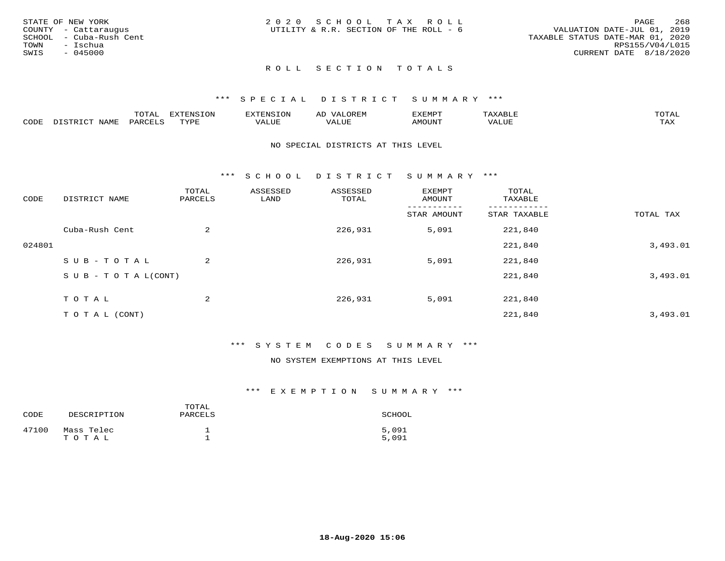|      | STATE OF NEW YORK       | 2020 SCHOOL TAX ROLL                   | 268<br>PAGE                      |
|------|-------------------------|----------------------------------------|----------------------------------|
|      | COUNTY - Cattaraugus    | UTILITY & R.R. SECTION OF THE ROLL - 6 | VALUATION DATE-JUL 01, 2019      |
|      | SCHOOL - Cuba-Rush Cent |                                        | TAXABLE STATUS DATE-MAR 01, 2020 |
| TOWN | - Ischua                |                                        | RPS155/V04/L015                  |
| SWIS | - 045000                |                                        | CURRENT DATE 8/18/2020           |
|      |                         |                                        |                                  |

## \*\*\* S P E C I A L D I S T R I C T S U M M A R Y \*\*\*

|      |                  | momm <sup>.</sup><br>TOTAT | <b>ELIMENT OF ONT</b><br>T OTA | <b>FINS</b> | OREM                     | CXEMPT        | $max$ and $max$          | $m \wedge m \wedge n$ |
|------|------------------|----------------------------|--------------------------------|-------------|--------------------------|---------------|--------------------------|-----------------------|
| CODE | NAME<br>DISTRICT | PARCELS                    | TVDF<br>.                      | 7ALUE.      | . <del>.</del><br>. ALUF | <b>AMOUNT</b> | * * * * * * * *<br>'ALUL | <b>TAY</b><br>⊥⇔∆     |

#### NO SPECIAL DISTRICTS AT THIS LEVEL

\*\*\* S C H O O L D I S T R I C T S U M M A R Y \*\*\*

| CODE   | DISTRICT NAME                    | TOTAL<br>PARCELS | ASSESSED<br>LAND | ASSESSED<br>TOTAL | EXEMPT<br>AMOUNT | TOTAL<br>TAXABLE |           |
|--------|----------------------------------|------------------|------------------|-------------------|------------------|------------------|-----------|
|        |                                  |                  |                  |                   | STAR AMOUNT      | STAR TAXABLE     | TOTAL TAX |
|        | Cuba-Rush Cent                   | 2                |                  | 226,931           | 5,091            | 221,840          |           |
| 024801 |                                  |                  |                  |                   |                  | 221,840          | 3,493.01  |
|        | SUB-TOTAL                        | 2                |                  | 226,931           | 5,091            | 221,840          |           |
|        | $S \cup B - T \cup T A L (CONT)$ |                  |                  |                   |                  | 221,840          | 3,493.01  |
|        | TOTAL                            | 2                |                  | 226,931           | 5,091            | 221,840          |           |
|        | T O T A L (CONT)                 |                  |                  |                   |                  | 221,840          | 3,493.01  |

## \*\*\* S Y S T E M C O D E S S U M M A R Y \*\*\*

#### NO SYSTEM EXEMPTIONS AT THIS LEVEL

| CODE  | DESCRIPTION         | TOTAL<br>PARCELS | SCHOOL         |
|-------|---------------------|------------------|----------------|
| 47100 | Mass Telec<br>TOTAL |                  | 5,091<br>5,091 |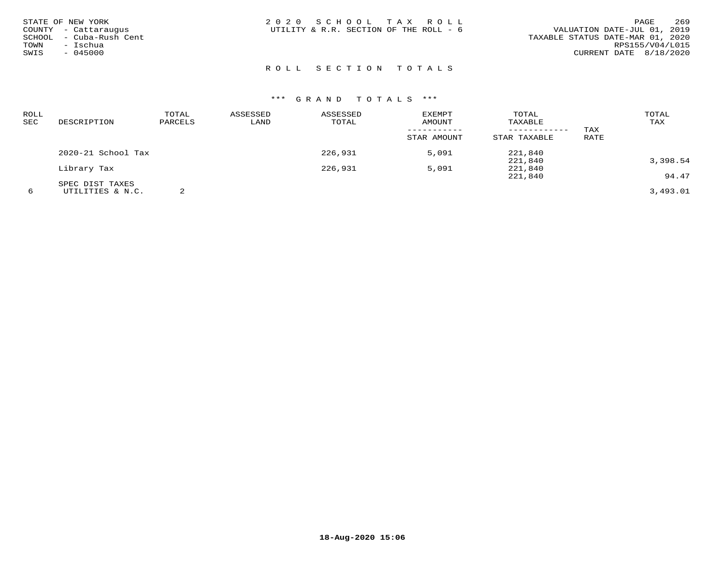|      | STATE OF NEW YORK<br>COUNTY - Cattaraugus | 2020 SCHOOL TAX ROLL<br>UTILITY & R.R. SECTION OF THE ROLL - 6 | 269<br>PAGE<br>VALUATION DATE-JUL 01, 2019          |  |
|------|-------------------------------------------|----------------------------------------------------------------|-----------------------------------------------------|--|
| TOWN | SCHOOL - Cuba-Rush Cent<br>– Ischua       |                                                                | TAXABLE STATUS DATE-MAR 01, 2020<br>RPS155/V04/L015 |  |
| SWIS | $-045000$                                 |                                                                | CURRENT DATE 8/18/2020                              |  |
|      |                                           |                                                                |                                                     |  |

| ROLL |                    | TOTAL   | ASSESSED | ASSESSED | EXEMPT      | TOTAL        |      | TOTAL    |
|------|--------------------|---------|----------|----------|-------------|--------------|------|----------|
| SEC  | DESCRIPTION        | PARCELS | LAND     | TOTAL    | AMOUNT      | TAXABLE      |      | TAX      |
|      |                    |         |          |          |             |              | TAX  |          |
|      |                    |         |          |          | STAR AMOUNT | STAR TAXABLE | RATE |          |
|      | 2020-21 School Tax |         |          | 226,931  | 5,091       | 221,840      |      |          |
|      |                    |         |          |          |             | 221,840      |      | 3,398.54 |
|      | Library Tax        |         |          | 226,931  | 5,091       | 221,840      |      |          |
|      |                    |         |          |          |             | 221,840      |      | 94.47    |
|      | SPEC DIST TAXES    |         |          |          |             |              |      |          |
| 6    | UTILITIES & N.C.   |         |          |          |             |              |      | 3,493.01 |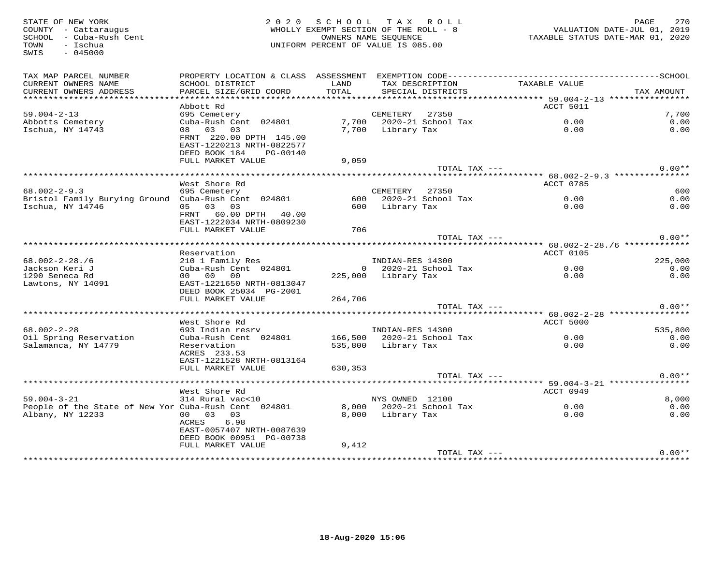| STATE OF NEW YORK<br>COUNTY - Cattaraugus<br>SCHOOL - Cuba-Rush Cent<br>- Ischua<br>TOWN<br>$-045000$<br>SWIS |                                                                                   | 2020 SCHOOL TAX ROLL<br>WHOLLY EXEMPT SECTION OF THE ROLL - 8<br>OWNERS NAME SEQUENCE<br>UNIFORM PERCENT OF VALUE IS 085.00 |                     |                                                 | VALUATION DATE-JUL 01, کلیات<br>TAXABLE STATUS DATE-MAR 01, 2020 | PAGE<br>270  |
|---------------------------------------------------------------------------------------------------------------|-----------------------------------------------------------------------------------|-----------------------------------------------------------------------------------------------------------------------------|---------------------|-------------------------------------------------|------------------------------------------------------------------|--------------|
| TAX MAP PARCEL NUMBER<br>CURRENT OWNERS NAME                                                                  | SCHOOL DISTRICT                                                                   | LAND                                                                                                                        |                     | TAX DESCRIPTION                                 | TAXABLE VALUE                                                    |              |
| CURRENT OWNERS ADDRESS                                                                                        | PARCEL SIZE/GRID COORD                                                            | TOTAL                                                                                                                       |                     | SPECIAL DISTRICTS                               |                                                                  | TAX AMOUNT   |
|                                                                                                               |                                                                                   |                                                                                                                             |                     |                                                 |                                                                  |              |
|                                                                                                               | Abbott Rd                                                                         |                                                                                                                             |                     |                                                 | ACCT 5011                                                        |              |
| $59.004 - 2 - 13$                                                                                             | 695 Cemetery                                                                      |                                                                                                                             | CEMETERY 27350      |                                                 |                                                                  | 7,700        |
| Abbotts Cemetery                                                                                              | Cuba-Rush Cent 024801                                                             |                                                                                                                             |                     | 7,700 2020-21 School Tax<br>7 700 - Library Tax | $0.00$<br>$0.00$                                                 | 0.00         |
| Ischua, NY 14743                                                                                              | 08 03 03                                                                          |                                                                                                                             |                     |                                                 |                                                                  | 0.00         |
|                                                                                                               | FRNT 220.00 DPTH 145.00<br>EAST-1220213 NRTH-0822577<br>DEED BOOK 184<br>PG-00140 |                                                                                                                             |                     |                                                 |                                                                  |              |
|                                                                                                               | FULL MARKET VALUE                                                                 | 9,059                                                                                                                       |                     |                                                 |                                                                  |              |
|                                                                                                               |                                                                                   |                                                                                                                             |                     | TOTAL TAX ---                                   |                                                                  | $0.00**$     |
|                                                                                                               |                                                                                   |                                                                                                                             |                     |                                                 |                                                                  |              |
|                                                                                                               | West Shore Rd                                                                     |                                                                                                                             |                     |                                                 | ACCT 0785                                                        |              |
| $68.002 - 2 - 9.3$                                                                                            | 695 Cemetery                                                                      |                                                                                                                             | CEMETERY 27350      |                                                 |                                                                  | 600          |
| Bristol Family Burying Ground Cuba-Rush Cent 024801                                                           |                                                                                   |                                                                                                                             |                     | 600 2020-21 School Tax                          | 0.00                                                             | 0.00         |
| Ischua, NY 14746                                                                                              | 05 03 03                                                                          |                                                                                                                             | 600 Library Tax     |                                                 | 0.00                                                             | 0.00         |
|                                                                                                               | FRNT 60.00 DPTH 40.00<br>EAST-1222034 NRTH-0809230                                |                                                                                                                             |                     |                                                 |                                                                  |              |
|                                                                                                               | FULL MARKET VALUE                                                                 | 706                                                                                                                         |                     |                                                 |                                                                  |              |
|                                                                                                               |                                                                                   |                                                                                                                             |                     | TOTAL TAX ---                                   |                                                                  | $0.00**$     |
|                                                                                                               | Reservation                                                                       |                                                                                                                             |                     |                                                 | ACCT 0105                                                        |              |
| $68.002 - 2 - 28.76$                                                                                          |                                                                                   |                                                                                                                             | INDIAN-RES 14300    |                                                 |                                                                  | 225,000      |
| Jackson Keri J                                                                                                | 210 1 Family Res<br>Cuba-Rush Cent 024801                                         |                                                                                                                             |                     |                                                 | 0 2020-21 School Tax 0.00                                        | 0.00         |
| 1290 Seneca Rd                                                                                                | 00 00 00                                                                          |                                                                                                                             | 225,000 Library Tax |                                                 | 0.00                                                             | 0.00         |
| Lawtons, NY 14091                                                                                             | EAST-1221650 NRTH-0813047                                                         |                                                                                                                             |                     |                                                 |                                                                  |              |
|                                                                                                               | DEED BOOK 25034 PG-2001                                                           |                                                                                                                             |                     |                                                 |                                                                  |              |
|                                                                                                               | FULL MARKET VALUE                                                                 | 264,706                                                                                                                     |                     |                                                 |                                                                  |              |
|                                                                                                               |                                                                                   |                                                                                                                             |                     | TOTAL TAX ---                                   |                                                                  | $0.00**$     |
|                                                                                                               |                                                                                   |                                                                                                                             |                     |                                                 |                                                                  |              |
|                                                                                                               | West Shore Rd                                                                     |                                                                                                                             |                     |                                                 | ACCT 5000                                                        |              |
| $68.002 - 2 - 28$                                                                                             | 693 Indian resrv                                                                  |                                                                                                                             | INDIAN-RES 14300    |                                                 |                                                                  | 535,800      |
| Oil Spring Reservation<br>Salamanca, NY 14779                                                                 | Cuba-Rush Cent 024801 166,500 2020-21 School Tax<br>Reservation                   |                                                                                                                             | 535,800 Library Tax |                                                 | $0.00$<br>$0.00$                                                 | 0.00<br>0.00 |
|                                                                                                               | ACRES 233.53<br>EAST-1221528 NRTH-0813164                                         |                                                                                                                             |                     |                                                 |                                                                  |              |
|                                                                                                               | FULL MARKET VALUE                                                                 | 630,353                                                                                                                     |                     |                                                 |                                                                  |              |
|                                                                                                               |                                                                                   |                                                                                                                             |                     | TOTAL TAX ---                                   |                                                                  | $0.00**$     |
|                                                                                                               |                                                                                   |                                                                                                                             |                     |                                                 |                                                                  |              |
|                                                                                                               | West Shore Rd                                                                     |                                                                                                                             |                     |                                                 | ACCT 0949                                                        |              |
| $59.004 - 3 - 21$                                                                                             | 314 Rural vac<10                                                                  |                                                                                                                             | NYS OWNED 12100     |                                                 |                                                                  | 8,000        |
| People of the State of New Yor Cuba-Rush Cent 024801                                                          |                                                                                   |                                                                                                                             |                     | 8,000 2020-21 School Tax                        | 0.00                                                             | 0.00         |
| Albany, NY 12233                                                                                              | 00 03 03                                                                          |                                                                                                                             | 8,000 Library Tax   |                                                 | 0.00                                                             | 0.00         |
|                                                                                                               | ACRES<br>6.98                                                                     |                                                                                                                             |                     |                                                 |                                                                  |              |
|                                                                                                               | EAST-0057407 NRTH-0087639                                                         |                                                                                                                             |                     |                                                 |                                                                  |              |
|                                                                                                               | DEED BOOK 00951 PG-00738                                                          |                                                                                                                             |                     |                                                 |                                                                  |              |
|                                                                                                               | FULL MARKET VALUE                                                                 | 9,412                                                                                                                       |                     |                                                 |                                                                  |              |
|                                                                                                               |                                                                                   |                                                                                                                             |                     | TOTAL TAX ---                                   |                                                                  | $0.00**$     |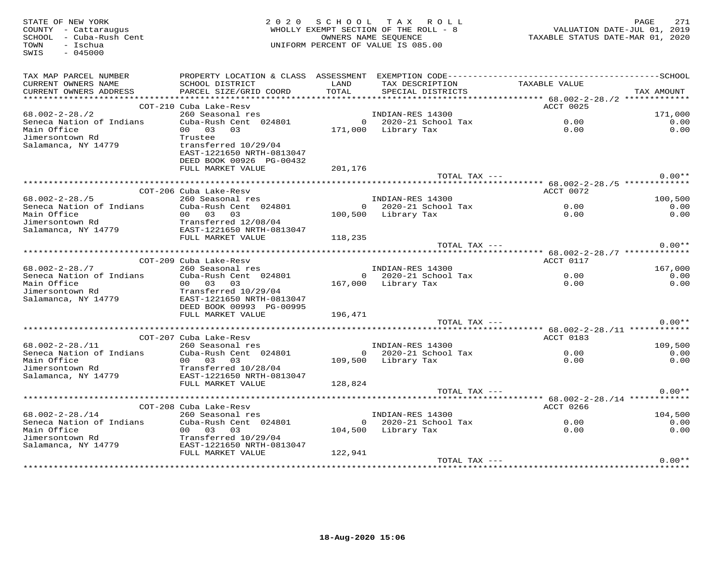| STATE OF NEW YORK<br>COUNTY - Cattaraugus<br>SCHOOL - Cuba-Rush Cent<br>TOWN<br>- Ischua<br>SWIS<br>$-045000$ |                                                                                    |               | 2020 SCHOOL TAX ROLL<br>WHOLLY EXEMPT SECTION OF THE ROLL - 8<br>OWNERS NAME SEOUENCE<br>UNIFORM PERCENT OF VALUE IS 085.00 | TAXABLE STATUS DATE-MAR 01, 2020 | PAGE<br>271<br>VALUATION DATE-JUL 01, 2019 |
|---------------------------------------------------------------------------------------------------------------|------------------------------------------------------------------------------------|---------------|-----------------------------------------------------------------------------------------------------------------------------|----------------------------------|--------------------------------------------|
| TAX MAP PARCEL NUMBER                                                                                         |                                                                                    |               |                                                                                                                             |                                  |                                            |
| CURRENT OWNERS NAME<br>CURRENT OWNERS ADDRESS                                                                 | SCHOOL DISTRICT<br>PARCEL SIZE/GRID COORD                                          | LAND<br>TOTAL | TAX DESCRIPTION TAXABLE VALUE<br>SPECIAL DISTRICTS                                                                          |                                  | TAX AMOUNT                                 |
|                                                                                                               |                                                                                    |               |                                                                                                                             |                                  |                                            |
|                                                                                                               | COT-210 Cuba Lake-Resv                                                             |               |                                                                                                                             | ACCT 0025                        |                                            |
| 68.002-2-28./2                                                                                                | 260 Seasonal res                                                                   |               | INDIAN-RES 14300                                                                                                            |                                  | 171,000                                    |
| Seneca Nation of Indians                                                                                      | Cuba-Rush Cent 024801                                                              |               | 0 2020-21 School Tax                                                                                                        | 0.00                             | 0.00                                       |
| Main Office<br>Jimersontown Rd                                                                                | 00 03 03<br>Trustee                                                                |               | 171,000 Library Tax                                                                                                         | 0.00                             | 0.00                                       |
| Salamanca, NY 14779                                                                                           | transferred 10/29/04<br>EAST-1221650 NRTH-0813047<br>DEED BOOK 00926 PG-00432      |               |                                                                                                                             |                                  |                                            |
|                                                                                                               | FULL MARKET VALUE                                                                  | 201,176       |                                                                                                                             |                                  |                                            |
|                                                                                                               |                                                                                    |               | TOTAL TAX ---                                                                                                               |                                  | $0.00**$                                   |
|                                                                                                               |                                                                                    |               |                                                                                                                             |                                  |                                            |
| $68.002 - 2 - 28.75$                                                                                          | COT-206 Cuba Lake-Resv                                                             |               |                                                                                                                             | ACCT 0072                        | 100,500                                    |
| Seneca Nation of Indians                                                                                      | 260 Seasonal res<br>260 Seasonal res<br>Cuba-Rush Cent 024801 0 2020-21 School Tax |               |                                                                                                                             | 0.00                             | 0.00                                       |
| Main Office                                                                                                   | 00 03 03                                                                           |               | 100,500 Library Tax                                                                                                         | 0.00                             | 0.00                                       |
| Jimersontown Rd                                                                                               |                                                                                    |               |                                                                                                                             |                                  |                                            |
| Salamanca, NY 14779                                                                                           | 00 03 03<br>Transferred 12/08/04<br>EAST-1221650 NRTH-0813047<br>EULL MADKET NALUE |               |                                                                                                                             |                                  |                                            |
|                                                                                                               | FULL MARKET VALUE                                                                  | 118,235       |                                                                                                                             |                                  |                                            |
|                                                                                                               |                                                                                    |               | TOTAL TAX ---                                                                                                               |                                  | $0.00**$                                   |
|                                                                                                               | COT-209 Cuba Lake-Resv                                                             |               |                                                                                                                             | ACCT 0117                        |                                            |
| $68.002 - 2 - 28.77$                                                                                          |                                                                                    |               | INDIAN-RES 14300                                                                                                            |                                  | 167,000                                    |
| Seneca Nation of Indians                                                                                      | 260 Seasonal res<br>Cuba-Rush Cent 024801                                          |               | $0$ 2020-21 School Tax                                                                                                      | 0.00                             | 0.00                                       |
| Main Office                                                                                                   | 00 03 03                                                                           |               | 167,000 Library Tax                                                                                                         | 0.00                             | 0.00                                       |
| Jimersontown Rd                                                                                               | Transferred 10/29/04                                                               |               |                                                                                                                             |                                  |                                            |
| Salamanca, NY 14779                                                                                           | EAST-1221650 NRTH-0813047                                                          |               |                                                                                                                             |                                  |                                            |
|                                                                                                               | DEED BOOK 00993 PG-00995<br>FULL MARKET VALUE                                      | 196,471       |                                                                                                                             |                                  |                                            |
|                                                                                                               |                                                                                    |               | TOTAL TAX ---                                                                                                               |                                  | $0.00**$                                   |
|                                                                                                               |                                                                                    |               |                                                                                                                             |                                  |                                            |
|                                                                                                               | COT-207 Cuba Lake-Resy                                                             |               |                                                                                                                             | ACCT 0183                        |                                            |
| $68.002 - 2 - 28.711$                                                                                         | 260 Seasonal res                                                                   |               | INDIAN-RES 14300<br>0 2020-21 School Tax                                                                                    |                                  | 109,500                                    |
| Seneca Nation of Indians                                                                                      | Cuba-Rush Cent 024801                                                              |               |                                                                                                                             | 0.00                             | 0.00                                       |
| Main Office                                                                                                   | 00 03 03                                                                           |               | 109,500 Library Tax                                                                                                         | 0.00                             | 0.00                                       |
| Jimersontown Rd<br>Salamanca, NY 14779                                                                        | Transferred 10/28/04<br>EAST-1221650 NRTH-0813047                                  |               |                                                                                                                             |                                  |                                            |
|                                                                                                               | FULL MARKET VALUE                                                                  | 128,824       |                                                                                                                             |                                  |                                            |
|                                                                                                               |                                                                                    |               | TOTAL TAX ---                                                                                                               |                                  | $0.00**$                                   |
|                                                                                                               |                                                                                    |               |                                                                                                                             |                                  |                                            |
|                                                                                                               | COT-208 Cuba Lake-Resv                                                             |               |                                                                                                                             | ACCT 0266                        |                                            |
| $68.002 - 2 - 28.714$                                                                                         | 260 Seasonal res                                                                   |               | INDIAN-RES 14300                                                                                                            |                                  | 104,500                                    |
| Seneca Nation of Indians<br>Main Office                                                                       | Cuba-Rush Cent 024801<br>00 03 03                                                  |               | 0 2020-21 School Tax                                                                                                        | $0.00$<br>$0.00$                 | 0.00<br>0.00                               |
| Main Office<br>Jimersontown Rd                                                                                | Transferred 10/29/04                                                               |               | 104,500 Library Tax                                                                                                         | 0.00                             |                                            |
| Salamanca, NY 14779                                                                                           | EAST-1221650 NRTH-0813047                                                          |               |                                                                                                                             |                                  |                                            |
|                                                                                                               | FULL MARKET VALUE                                                                  | 122,941       |                                                                                                                             |                                  |                                            |
|                                                                                                               |                                                                                    |               | TOTAL TAX ---                                                                                                               |                                  | $0.00**$                                   |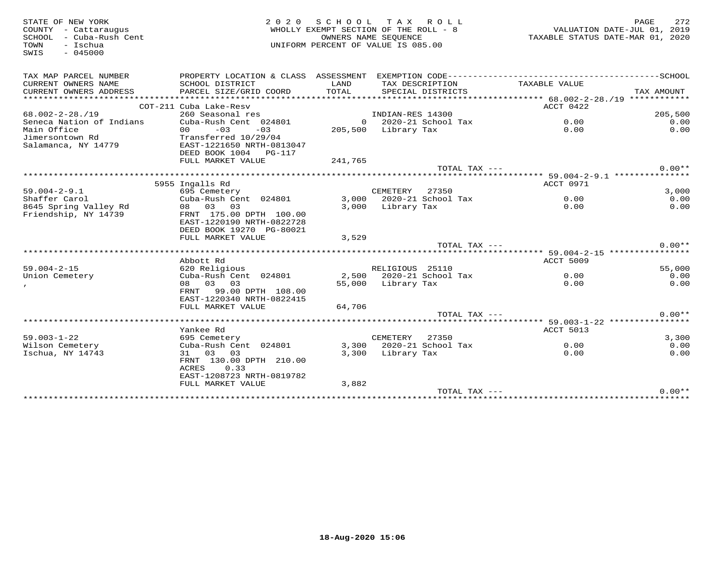| STATE OF NEW YORK<br>COUNTY - Cattaraugus<br>SCHOOL - Cuba-Rush Cent | 2 0 2 0                                                                                      | SCHOOL TAX ROLL<br>WHOLLY EXEMPT SECTION OF THE ROLL - 8<br>OWNERS NAME SEOUENCE |                     |                          | TAXABLE STATUS DATE-MAR 01, 2020 | PAGE<br>VALUATION DATE-JUL 01, 2019 | 272          |
|----------------------------------------------------------------------|----------------------------------------------------------------------------------------------|----------------------------------------------------------------------------------|---------------------|--------------------------|----------------------------------|-------------------------------------|--------------|
| - Ischua<br>TOWN<br>$-045000$<br>SWIS                                |                                                                                              | UNIFORM PERCENT OF VALUE IS 085.00                                               |                     |                          |                                  |                                     |              |
| TAX MAP PARCEL NUMBER                                                | PROPERTY LOCATION & CLASS ASSESSMENT EXEMPTION CODE-----------------------------------SCHOOL |                                                                                  |                     |                          |                                  |                                     |              |
| CURRENT OWNERS NAME<br>CURRENT OWNERS ADDRESS                        | SCHOOL DISTRICT<br>PARCEL SIZE/GRID COORD                                                    | LAND<br>TOTAL                                                                    | TAX DESCRIPTION     | SPECIAL DISTRICTS        | TAXABLE VALUE                    | TAX AMOUNT                          |              |
|                                                                      |                                                                                              |                                                                                  |                     |                          |                                  |                                     |              |
|                                                                      | COT-211 Cuba Lake-Resv                                                                       |                                                                                  |                     |                          | ACCT 0422                        |                                     |              |
| $68.002 - 2 - 28.19$                                                 | 260 Seasonal res<br>Cuba-Rush Cent 024801                                                    |                                                                                  | INDIAN-RES 14300    | $0$ 2020-21 School Tax   | 0.00                             |                                     | 205,500      |
| Seneca Nation of Indians<br>Main Office                              | $-03$<br>$-03$<br>00                                                                         |                                                                                  | 205,500 Library Tax |                          | 0.00                             |                                     | 0.00<br>0.00 |
| Jimersontown Rd                                                      | Transferred 10/29/04                                                                         |                                                                                  |                     |                          |                                  |                                     |              |
| Salamanca, NY 14779                                                  | EAST-1221650 NRTH-0813047                                                                    |                                                                                  |                     |                          |                                  |                                     |              |
|                                                                      | DEED BOOK 1004 PG-117                                                                        |                                                                                  |                     |                          |                                  |                                     |              |
|                                                                      | FULL MARKET VALUE                                                                            | 241,765                                                                          |                     |                          |                                  |                                     |              |
|                                                                      |                                                                                              |                                                                                  |                     | TOTAL TAX ---            |                                  |                                     | $0.00**$     |
|                                                                      |                                                                                              |                                                                                  |                     |                          |                                  |                                     |              |
|                                                                      | 5955 Ingalls Rd                                                                              |                                                                                  |                     |                          | ACCT 0971                        |                                     |              |
| $59.004 - 2 - 9.1$                                                   | 695 Cemetery                                                                                 |                                                                                  | CEMETERY            | 27350                    |                                  |                                     | 3,000        |
| Shaffer Carol                                                        | Cuba-Rush Cent 024801                                                                        |                                                                                  |                     | 3,000 2020-21 School Tax | 0.00                             |                                     | 0.00         |
| 8645 Spring Valley Rd                                                | 08 03 03                                                                                     | 3,000                                                                            | Library Tax         |                          | 0.00                             |                                     | 0.00         |
| Friendship, NY 14739                                                 | FRNT 175.00 DPTH 100.00                                                                      |                                                                                  |                     |                          |                                  |                                     |              |
|                                                                      | EAST-1220190 NRTH-0822728                                                                    |                                                                                  |                     |                          |                                  |                                     |              |
|                                                                      | DEED BOOK 19270 PG-80021                                                                     |                                                                                  |                     |                          |                                  |                                     |              |
|                                                                      | FULL MARKET VALUE                                                                            | 3,529                                                                            |                     | TOTAL TAX ---            |                                  |                                     | $0.00**$     |
|                                                                      |                                                                                              |                                                                                  |                     |                          |                                  |                                     |              |
|                                                                      | Abbott Rd                                                                                    |                                                                                  |                     |                          | ACCT 5009                        |                                     |              |
| $59.004 - 2 - 15$                                                    | 620 Religious                                                                                |                                                                                  | RELIGIOUS 25110     |                          |                                  |                                     | 55,000       |
| Union Cemetery                                                       | Cuba-Rush Cent 024801                                                                        |                                                                                  |                     | 2,500 2020-21 School Tax | 0.00                             |                                     | 0.00         |
|                                                                      | 08 03 03                                                                                     |                                                                                  | 55,000 Library Tax  |                          | 0.00                             |                                     | 0.00         |
|                                                                      | FRNT 99.00 DPTH 108.00                                                                       |                                                                                  |                     |                          |                                  |                                     |              |
|                                                                      | EAST-1220340 NRTH-0822415                                                                    |                                                                                  |                     |                          |                                  |                                     |              |
|                                                                      | FULL MARKET VALUE                                                                            | 64,706                                                                           |                     |                          |                                  |                                     |              |
|                                                                      |                                                                                              |                                                                                  |                     | TOTAL TAX ---            |                                  |                                     | $0.00**$     |
|                                                                      |                                                                                              |                                                                                  |                     |                          |                                  |                                     |              |
|                                                                      | Yankee Rd                                                                                    |                                                                                  |                     |                          | <b>ACCT 5013</b>                 |                                     |              |
| $59.003 - 1 - 22$                                                    | 695 Cemetery                                                                                 |                                                                                  | CEMETERY            | 27350                    |                                  |                                     | 3,300        |
| Wilson Cemetery                                                      | Cuba-Rush Cent 024801                                                                        | 3,300                                                                            |                     | 2020-21 School Tax       | 0.00                             |                                     | 0.00         |
| Ischua, NY 14743                                                     | 31 03 03                                                                                     |                                                                                  | 3,300 Library Tax   |                          | 0.00                             |                                     | 0.00         |
|                                                                      | FRNT 130.00 DPTH 210.00                                                                      |                                                                                  |                     |                          |                                  |                                     |              |
|                                                                      | ACRES<br>0.33                                                                                |                                                                                  |                     |                          |                                  |                                     |              |
|                                                                      | EAST-1208723 NRTH-0819782                                                                    |                                                                                  |                     |                          |                                  |                                     |              |
|                                                                      | FULL MARKET VALUE                                                                            | 3,882                                                                            |                     |                          |                                  |                                     | $0.00**$     |
|                                                                      |                                                                                              |                                                                                  |                     | TOTAL TAX ---            |                                  |                                     |              |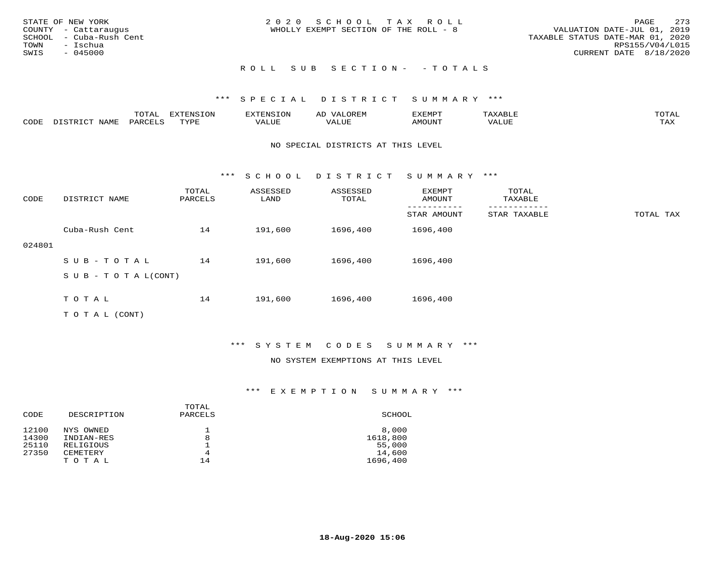| STATE OF NEW YORK<br>COUNTY - Cattaraugus<br>SCHOOL - Cuba-Rush Cent<br>TOWN - Ischua<br>SWIS<br>- 045000 | 2020 SCHOOL TAX ROLL<br>WHOLLY EXEMPT SECTION OF THE ROLL - 8 | 2.73<br>PAGE<br>VALUATION DATE-JUL 01, 2019<br>TAXABLE STATUS DATE-MAR 01, 2020<br>RPS155/V04/L015<br>CURRENT DATE 8/18/2020 |
|-----------------------------------------------------------------------------------------------------------|---------------------------------------------------------------|------------------------------------------------------------------------------------------------------------------------------|
|                                                                                                           | ROLL SUB SECTION- - TOTALS                                    |                                                                                                                              |

|      |                | $m \wedge m \wedge n$<br>TOTAT | <b>DIZODATO TOM</b><br>TOTA | H INC | OREN<br>AL | דס אית אי     | <b>AYART.E</b> | TOTAI       |
|------|----------------|--------------------------------|-----------------------------|-------|------------|---------------|----------------|-------------|
| CODE | NAME<br>. ופחי | PARCE <sup>T</sup>             | <b>TVDI</b>                 | VALUE |            | <b>AMOUNT</b> |                | TAY<br>ᄔᄯᅐᅀ |

#### NO SPECIAL DISTRICTS AT THIS LEVEL

\*\*\* S C H O O L D I S T R I C T S U M M A R Y \*\*\*

| CODE   | DISTRICT NAME             | TOTAL<br>PARCELS | ASSESSED<br>LAND | ASSESSED<br>TOTAL | EXEMPT<br>AMOUNT | TOTAL<br>TAXABLE |           |
|--------|---------------------------|------------------|------------------|-------------------|------------------|------------------|-----------|
|        |                           |                  |                  |                   | STAR AMOUNT      | STAR TAXABLE     | TOTAL TAX |
|        | Cuba-Rush Cent            | 14               | 191,600          | 1696,400          | 1696,400         |                  |           |
| 024801 |                           |                  |                  |                   |                  |                  |           |
|        | $SUB - TO TAL$            | 14               | 191,600          | 1696,400          | 1696,400         |                  |           |
|        | S U B - T O T A $L(CONT)$ |                  |                  |                   |                  |                  |           |
|        |                           |                  |                  |                   |                  |                  |           |
|        | TOTAL                     | 14               | 191,600          | 1696,400          | 1696,400         |                  |           |
|        | TO TAL (CONT)             |                  |                  |                   |                  |                  |           |

## \*\*\* S Y S T E M C O D E S S U M M A R Y \*\*\*

#### NO SYSTEM EXEMPTIONS AT THIS LEVEL

| CODE  | DESCRIPTION | TOTAL<br>PARCELS | SCHOOL   |
|-------|-------------|------------------|----------|
| 12100 | NYS OWNED   |                  | 8,000    |
| 14300 | INDIAN-RES  | 8                | 1618,800 |
| 25110 | RELIGIOUS   |                  | 55,000   |
| 27350 | CEMETERY    | 4                | 14,600   |
|       | TOTAL       | 14               | 1696,400 |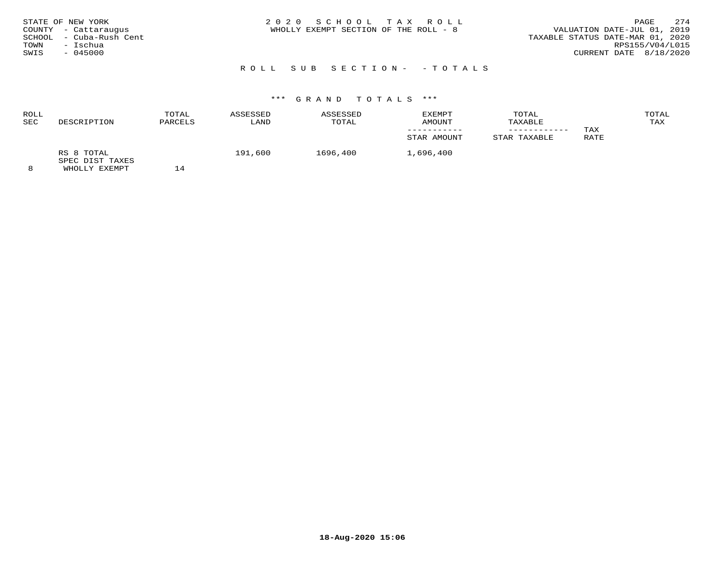| STATE OF NEW YORK<br>COUNTY - Cattaraugus<br>SCHOOL - Cuba-Rush Cent<br>- Ischua<br>TOWN<br>$-045000$<br>SWIS | 2020 SCHOOL TAX ROLL<br>WHOLLY EXEMPT SECTION OF THE ROLL - 8 | 2.74<br>PAGE<br>VALUATION DATE-JUL 01, 2019<br>TAXABLE STATUS DATE-MAR 01, 2020<br>RPS155/V04/L015<br>CURRENT DATE 8/18/2020 |
|---------------------------------------------------------------------------------------------------------------|---------------------------------------------------------------|------------------------------------------------------------------------------------------------------------------------------|
|                                                                                                               | ROLL SUB SECTION- -TOTALS                                     |                                                                                                                              |

# \*\*\* G R A N D T O T A L S \*\*\*

#### ROLL TOTAL ASSESSED ASSESSED EXEMPT TOTAL TOTALTAX SEC DESCRIPTION PARCELS LAND TOTAL AMOUNT TAXABLE TAX ----------- ------------ TAX**RATE** STAR AMOUNT STAR TAXABLE RS 8 TOTAL 191,600 1696,400 1,696,400 SPEC DIST TAXES

8 WHOLLY EXEMPT 14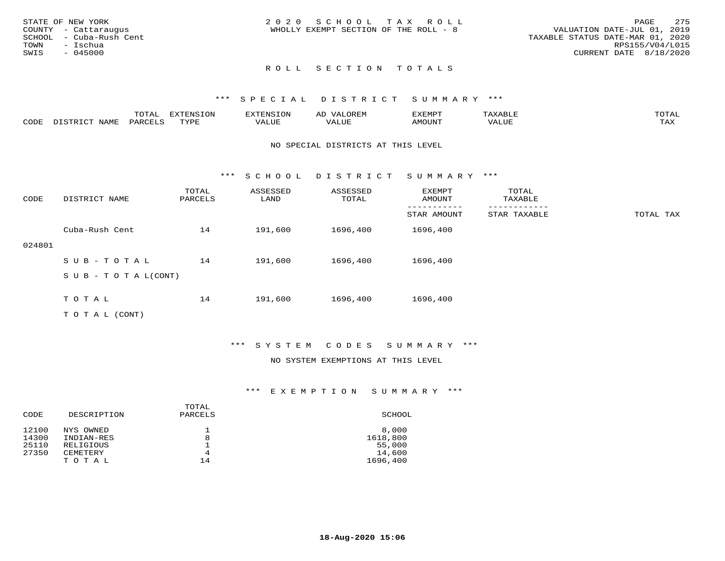| STATE OF NEW YORK<br>COUNTY - Cattaraugus<br>SCHOOL - Cuba-Rush Cent<br>TOWN<br>– Ischua<br>SWIS<br>$-045000$ | 2020 SCHOOL TAX ROLL<br>WHOLLY EXEMPT SECTION OF THE ROLL - 8 | 275<br>PAGE<br>VALUATION DATE-JUL 01, 2019<br>TAXABLE STATUS DATE-MAR 01, 2020<br>RPS155/V04/L015<br>CURRENT DATE 8/18/2020 |
|---------------------------------------------------------------------------------------------------------------|---------------------------------------------------------------|-----------------------------------------------------------------------------------------------------------------------------|
|                                                                                                               | ROLL SECTION TOTALS                                           |                                                                                                                             |

|      |  | 737 <del>00</del><br>'ION<br><b>TNIC</b> |     | ∸       |       | momz         |
|------|--|------------------------------------------|-----|---------|-------|--------------|
| CODE |  | nvni                                     | ΄Λ. | - - - - | MOUNT | .<br>د د د . |

#### NO SPECIAL DISTRICTS AT THIS LEVEL

\*\*\* S C H O O L D I S T R I C T S U M M A R Y \*\*\*

| CODE   | DISTRICT NAME                    | TOTAL<br>PARCELS | ASSESSED<br>LAND | ASSESSED<br>TOTAL | EXEMPT<br>AMOUNT | TOTAL<br>TAXABLE |           |
|--------|----------------------------------|------------------|------------------|-------------------|------------------|------------------|-----------|
|        |                                  |                  |                  |                   | STAR AMOUNT      | STAR TAXABLE     | TOTAL TAX |
|        | Cuba-Rush Cent                   | 14               | 191,600          | 1696,400          | 1696,400         |                  |           |
| 024801 |                                  |                  |                  |                   |                  |                  |           |
|        | SUB-TOTAL                        | 14               | 191,600          | 1696,400          | 1696,400         |                  |           |
|        | $S \cup B - T \cup T A L (CONT)$ |                  |                  |                   |                  |                  |           |
|        |                                  |                  |                  |                   |                  |                  |           |
|        | TOTAL                            | 14               | 191,600          | 1696,400          | 1696,400         |                  |           |
|        | T O T A L (CONT)                 |                  |                  |                   |                  |                  |           |

\*\*\* S Y S T E M C O D E S S U M M A R Y \*\*\*

## NO SYSTEM EXEMPTIONS AT THIS LEVEL

| CODE           | DESCRIPTION                    | TOTAL<br>PARCELS | SCHOOL                       |
|----------------|--------------------------------|------------------|------------------------------|
| 12100<br>14300 | NYS OWNED<br>INDIAN-RES        | 8                | 8,000<br>1618,800            |
| 25110<br>27350 | RELIGIOUS<br>CEMETERY<br>TOTAL | 4<br>14          | 55,000<br>14,600<br>1696,400 |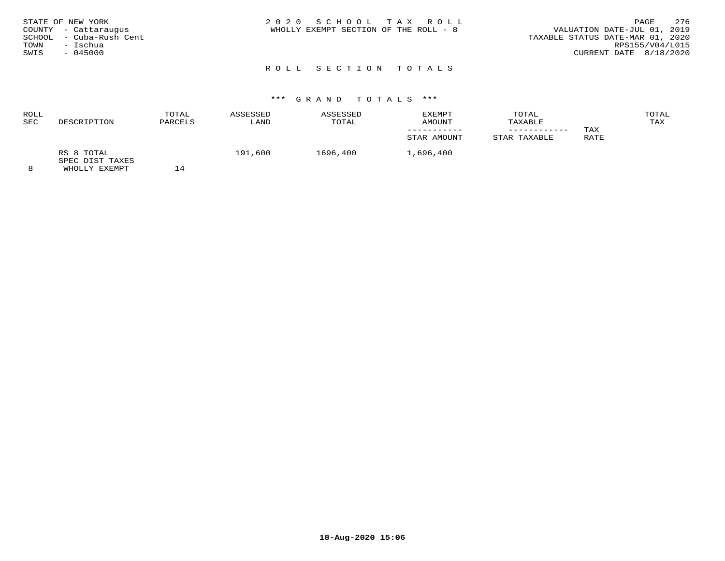| STATE OF NEW YORK<br>COUNTY - Cattaraugus<br>SCHOOL - Cuba-Rush Cent<br>TOWN<br>– Ischua<br>SWIS<br>$-045000$ | 2020 SCHOOL TAX ROLL<br>WHOLLY EXEMPT SECTION OF THE ROLL - 8 | 276<br>PAGE<br>VALUATION DATE-JUL 01, 2019<br>TAXABLE STATUS DATE-MAR 01, 2020<br>RPS155/V04/L015<br>CURRENT DATE 8/18/2020 |
|---------------------------------------------------------------------------------------------------------------|---------------------------------------------------------------|-----------------------------------------------------------------------------------------------------------------------------|
|                                                                                                               | ROLL SECTION TOTALS                                           |                                                                                                                             |

| ROLL<br><b>SEC</b> | DESCRIPTION                                    | TOTAL<br>PARCELS | ASSESSED<br>LAND | ASSESSED<br>TOTAL | EXEMPT<br>AMOUNT<br>STAR AMOUNT | TOTAL<br>TAXABLE<br>____________<br>STAR TAXABLE | TAX<br>RATE | TOTAL<br>TAX |
|--------------------|------------------------------------------------|------------------|------------------|-------------------|---------------------------------|--------------------------------------------------|-------------|--------------|
| 8                  | RS 8 TOTAL<br>SPEC DIST TAXES<br>WHOLLY EXEMPT |                  | 191,600          | 1696,400          | 1,696,400                       |                                                  |             |              |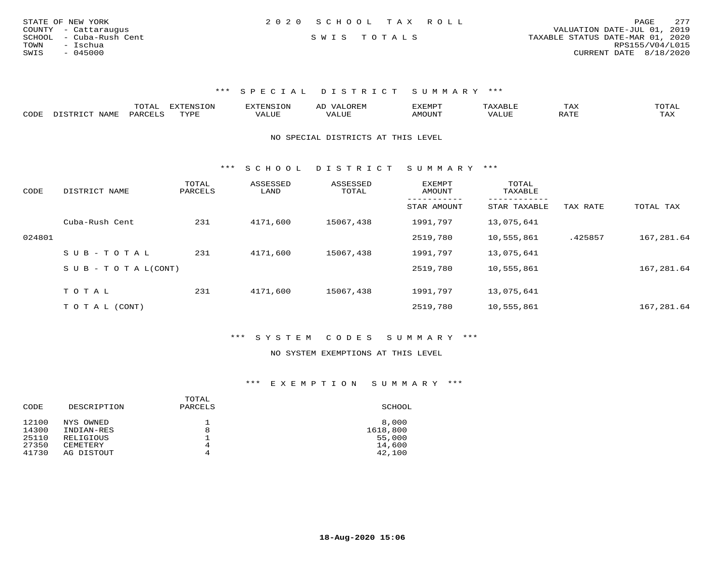| STATE OF NEW YORK       | 2020 SCHOOL TAX ROLL | PAGE                             | 277 |
|-------------------------|----------------------|----------------------------------|-----|
| COUNTY - Cattaraugus    |                      | VALUATION DATE-JUL 01, 2019      |     |
| SCHOOL - Cuba-Rush Cent | SWIS TOTALS          | TAXABLE STATUS DATE-MAR 01, 2020 |     |
| TOWN<br>- Ischua        |                      | RPS155/V04/L015                  |     |
| - 045000<br>SWIS        |                      | CURRENT DATE 8/18/2020           |     |
|                         |                      |                                  |     |

|      | ----<br>. U 1 1 1 1 | mmATATAT<br><b>A</b> | ▵ | <b>EMP</b> | t Land               | ---- |
|------|---------------------|----------------------|---|------------|----------------------|------|
| CODE |                     | $n \tau \tau n \tau$ |   | MOTIN.     | $\sim$ $\sim$ $\sim$ |      |

NO SPECIAL DISTRICTS AT THIS LEVEL

\*\*\* S C H O O L D I S T R I C T S U M M A R Y \*\*\*

| CODE   | DISTRICT NAME                    | TOTAL<br>PARCELS | ASSESSED<br>LAND | ASSESSED<br>TOTAL | <b>EXEMPT</b><br>AMOUNT | TOTAL<br>TAXABLE |          |            |
|--------|----------------------------------|------------------|------------------|-------------------|-------------------------|------------------|----------|------------|
|        |                                  |                  |                  |                   | STAR AMOUNT             | STAR TAXABLE     | TAX RATE | TOTAL TAX  |
|        | Cuba-Rush Cent                   | 231              | 4171,600         | 15067,438         | 1991,797                | 13,075,641       |          |            |
| 024801 |                                  |                  |                  |                   | 2519,780                | 10,555,861       | .425857  | 167,281.64 |
|        | $SUB - TO TAL$                   | 231              | 4171,600         | 15067,438         | 1991,797                | 13,075,641       |          |            |
|        | $S \cup B - T \cup T A L (CONT)$ |                  |                  |                   | 2519,780                | 10,555,861       |          | 167,281.64 |
|        | TOTAL                            | 231              | 4171,600         | 15067,438         | 1991,797                | 13,075,641       |          |            |
|        |                                  |                  |                  |                   |                         |                  |          |            |
|        | T O T A L (CONT)                 |                  |                  |                   | 2519,780                | 10,555,861       |          | 167,281.64 |

\*\*\* S Y S T E M C O D E S S U M M A R Y \*\*\*

#### NO SYSTEM EXEMPTIONS AT THIS LEVEL

| CODE  | DESCRIPTION | TOTAL<br>PARCELS | SCHOOL   |
|-------|-------------|------------------|----------|
| 12100 | NYS OWNED   |                  | 8,000    |
| 14300 | INDIAN-RES  | 8                | 1618,800 |
| 25110 | RELIGIOUS   |                  | 55,000   |
| 27350 | CEMETERY    | 4                | 14,600   |
| 41730 | AG DISTOUT  | 4                | 42,100   |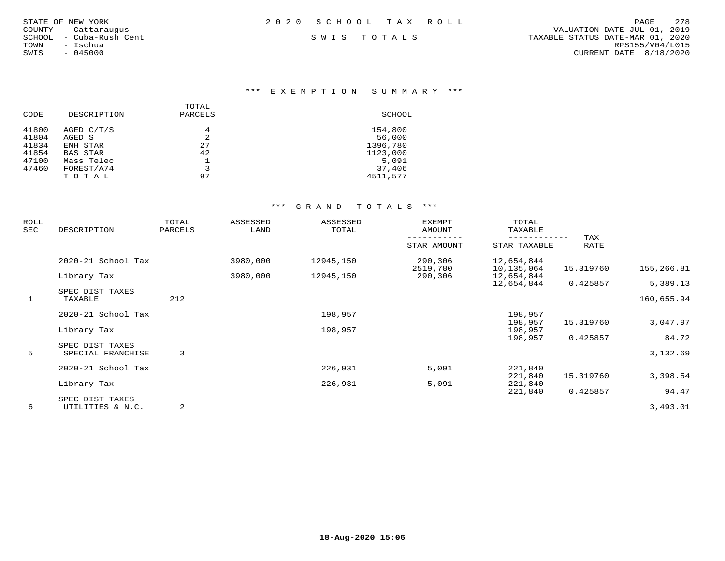|       | TATE OF NEW YORK    |  |
|-------|---------------------|--|
|       | OUNTY - Cattaraugus |  |
| CHOOL | – Cuba-Rush Cent    |  |
| OWN   | - Ischua            |  |
| WIS   | $-045000$           |  |

\*\*\* E X E M P T I O N S U M M A R Y \*\*\*

|       |             | TOTAL          |          |
|-------|-------------|----------------|----------|
| CODE  | DESCRIPTION | PARCELS        | SCHOOL   |
| 41800 | AGED C/T/S  | 4              | 154,800  |
| 41804 | AGED S      | $\mathfrak{D}$ | 56,000   |
| 41834 | ENH STAR    | 27             | 1396,780 |
| 41854 | BAS STAR    | 42             | 1123,000 |
| 47100 | Mass Telec  |                | 5,091    |
| 47460 | FOREST/A74  | 3              | 37,406   |
|       | TOTAL       | 97             | 4511,577 |
|       |             |                |          |

| ROLL<br>SEC  | DESCRIPTION        | TOTAL<br>PARCELS | ASSESSED<br>LAND | ASSESSED<br>TOTAL | <b>EXEMPT</b><br>AMOUNT | TOTAL<br>TAXABLE             |                    |            |
|--------------|--------------------|------------------|------------------|-------------------|-------------------------|------------------------------|--------------------|------------|
|              |                    |                  |                  |                   | STAR AMOUNT             | ------------<br>STAR TAXABLE | TAX<br><b>RATE</b> |            |
|              | 2020-21 School Tax |                  | 3980,000         | 12945,150         | 290,306<br>2519,780     | 12,654,844<br>10,135,064     | 15.319760          | 155,266.81 |
|              | Library Tax        |                  | 3980,000         | 12945,150         | 290,306                 | 12,654,844<br>12,654,844     | 0.425857           | 5,389.13   |
|              | SPEC DIST TAXES    |                  |                  |                   |                         |                              |                    |            |
| $\mathbf{1}$ | TAXABLE            | 212              |                  |                   |                         |                              |                    | 160,655.94 |
|              | 2020-21 School Tax |                  |                  | 198,957           |                         | 198,957                      |                    |            |
|              |                    |                  |                  |                   |                         | 198,957                      | 15.319760          | 3,047.97   |
|              | Library Tax        |                  |                  | 198,957           |                         | 198,957                      |                    |            |
|              | SPEC DIST TAXES    |                  |                  |                   |                         | 198,957                      | 0.425857           | 84.72      |
| 5            | SPECIAL FRANCHISE  | 3                |                  |                   |                         |                              |                    | 3,132.69   |
|              | 2020-21 School Tax |                  |                  | 226,931           | 5,091                   | 221,840                      |                    |            |
|              |                    |                  |                  |                   |                         | 221,840                      | 15.319760          | 3,398.54   |
|              | Library Tax        |                  |                  | 226,931           | 5,091                   | 221,840                      |                    |            |
|              |                    |                  |                  |                   |                         | 221,840                      | 0.425857           | 94.47      |
|              | SPEC DIST TAXES    |                  |                  |                   |                         |                              |                    |            |
| 6            | UTILITIES & N.C.   | 2                |                  |                   |                         |                              |                    | 3,493.01   |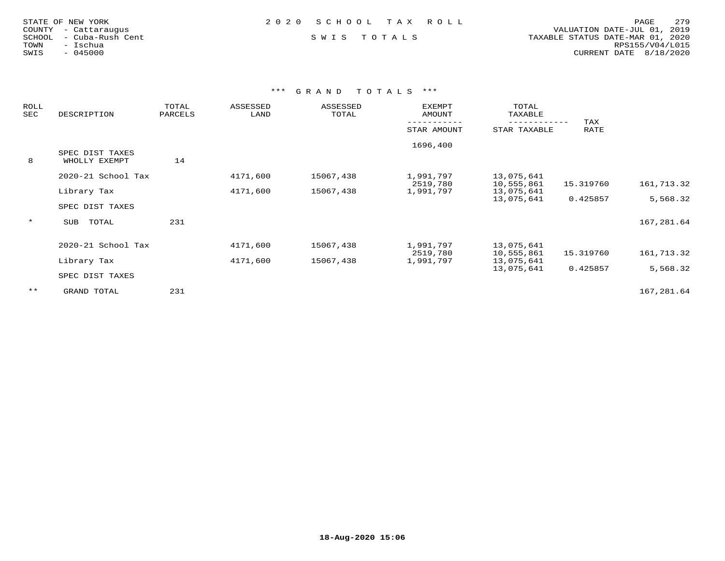| STATE OF NEW YORK    |  |                  |  |
|----------------------|--|------------------|--|
| COUNTY - Cattaraugus |  |                  |  |
| SCHOOL               |  | - Cuba-Rush Cent |  |
| TOWN                 |  | - Ischua         |  |
| SWIS                 |  | $-045000$        |  |

 COUNTY - Cattaraugus VALUATION DATE-JUL 01, 2019 SCHOOL - Cuba-Rush Cent S W I S T O T A L S TAXABLE STATUS DATE-MAR 01, 2020 TOWN - Ischua RPS155/V04/L015SWIS - 045000 CURRENT DATE 8/18/2020

| <b>ROLL</b><br>SEC | DESCRIPTION                      | TOTAL<br>PARCELS | ASSESSED<br>LAND | ASSESSED<br>TOTAL | <b>EXEMPT</b><br>AMOUNT | TOTAL<br>TAXABLE         |                    |            |
|--------------------|----------------------------------|------------------|------------------|-------------------|-------------------------|--------------------------|--------------------|------------|
|                    |                                  |                  |                  |                   | STAR AMOUNT             | STAR TAXABLE             | TAX<br><b>RATE</b> |            |
| 8                  | SPEC DIST TAXES<br>WHOLLY EXEMPT | 14               |                  |                   | 1696,400                |                          |                    |            |
|                    | 2020-21 School Tax               |                  | 4171,600         | 15067,438         | 1,991,797<br>2519,780   | 13,075,641<br>10,555,861 | 15.319760          | 161,713.32 |
|                    | Library Tax<br>SPEC DIST TAXES   |                  | 4171,600         | 15067,438         | 1,991,797               | 13,075,641<br>13,075,641 | 0.425857           | 5,568.32   |
| $\star$            | TOTAL<br>SUB                     | 231              |                  |                   |                         |                          |                    | 167,281.64 |
|                    | 2020-21 School Tax               |                  | 4171,600         | 15067,438         | 1,991,797<br>2519,780   | 13,075,641<br>10,555,861 | 15.319760          | 161,713.32 |
|                    | Library Tax                      |                  | 4171,600         | 15067,438         | 1,991,797               | 13,075,641<br>13,075,641 | 0.425857           | 5,568.32   |
|                    | SPEC DIST TAXES                  |                  |                  |                   |                         |                          |                    |            |
| $***$              | GRAND TOTAL                      | 231              |                  |                   |                         |                          |                    | 167,281.64 |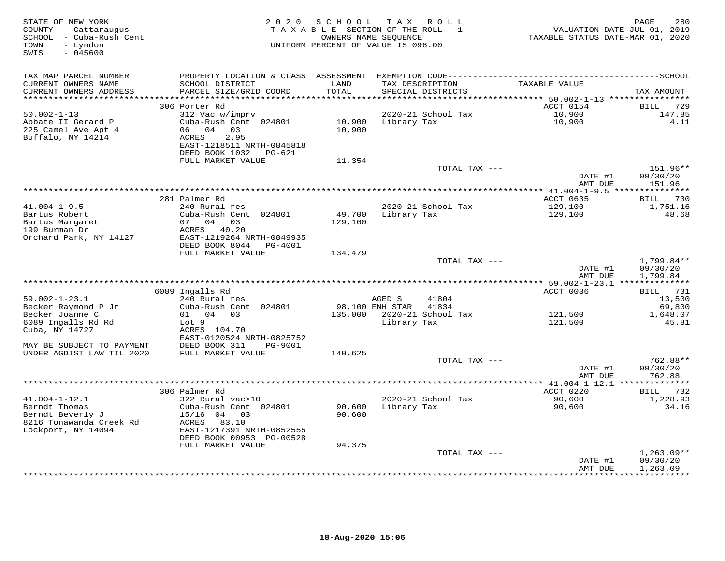| STATE OF NEW YORK<br>COUNTY - Cattaraugus<br>SCHOOL - Cuba-Rush Cent<br>- Lyndon<br>TOWN<br>SWIS<br>$-045600$ |                                                       |               | 2020 SCHOOL TAX ROLL<br>TAXABLE SECTION OF THE ROLL - 1<br>OWNERS NAME SEQUENCE<br>UNIFORM PERCENT OF VALUE IS 096.00 | TAXABLE STATUS DATE-MAR 01, 2020 | PAGE<br>280<br>VALUATION DATE-JUL 01, 2019 |
|---------------------------------------------------------------------------------------------------------------|-------------------------------------------------------|---------------|-----------------------------------------------------------------------------------------------------------------------|----------------------------------|--------------------------------------------|
| TAX MAP PARCEL NUMBER                                                                                         | PROPERTY LOCATION & CLASS ASSESSMENT                  |               |                                                                                                                       |                                  |                                            |
| CURRENT OWNERS NAME<br>CURRENT OWNERS ADDRESS                                                                 | SCHOOL DISTRICT<br>PARCEL SIZE/GRID COORD             | LAND<br>TOTAL | TAX DESCRIPTION<br>SPECIAL DISTRICTS                                                                                  | TAXABLE VALUE                    | TAX AMOUNT                                 |
| **********************                                                                                        |                                                       |               |                                                                                                                       |                                  |                                            |
|                                                                                                               | 306 Porter Rd                                         |               |                                                                                                                       | ACCT 0154<br>10,900              | 729<br>BILL                                |
| $50.002 - 1 - 13$<br>Abbate II Gerard P                                                                       | 312 Vac w/imprv<br>Cuba-Rush Cent 024801              | 10,900        | 2020-21 School Tax<br>Library Tax                                                                                     | 10,900                           | 147.85<br>4.11                             |
| 225 Camel Ave Apt 4                                                                                           | 06 04 03                                              | 10,900        |                                                                                                                       |                                  |                                            |
| Buffalo, NY 14214                                                                                             | 2.95<br>ACRES                                         |               |                                                                                                                       |                                  |                                            |
|                                                                                                               | EAST-1218511 NRTH-0845818                             |               |                                                                                                                       |                                  |                                            |
|                                                                                                               | DEED BOOK 1032 PG-621                                 |               |                                                                                                                       |                                  |                                            |
|                                                                                                               | FULL MARKET VALUE                                     | 11,354        |                                                                                                                       |                                  |                                            |
|                                                                                                               |                                                       |               | TOTAL TAX ---                                                                                                         |                                  | 151.96**                                   |
|                                                                                                               |                                                       |               |                                                                                                                       | DATE #1                          | 09/30/20                                   |
|                                                                                                               |                                                       |               |                                                                                                                       | AMT DUE                          | 151.96                                     |
|                                                                                                               |                                                       |               |                                                                                                                       |                                  |                                            |
|                                                                                                               | 281 Palmer Rd                                         |               |                                                                                                                       | ACCT 0635                        | <b>BILL</b> 730                            |
| $41.004 - 1 - 9.5$                                                                                            | 240 Rural res                                         |               | 2020-21 School Tax                                                                                                    | 129,100                          | 1,751.16                                   |
| Bartus Robert                                                                                                 | Cuba-Rush Cent 024801                                 | 49,700        | Library Tax                                                                                                           | 129,100                          | 48.68                                      |
| Bartus Margaret                                                                                               | 07 04 03                                              | 129,100       |                                                                                                                       |                                  |                                            |
| 199 Burman Dr<br>Orchard Park, NY 14127                                                                       | ACRES 40.20<br>EAST-1219264 NRTH-0849935              |               |                                                                                                                       |                                  |                                            |
|                                                                                                               | DEED BOOK 8044 PG-4001                                |               |                                                                                                                       |                                  |                                            |
|                                                                                                               | FULL MARKET VALUE                                     | 134,479       |                                                                                                                       |                                  |                                            |
|                                                                                                               |                                                       |               | TOTAL TAX ---                                                                                                         |                                  | 1,799.84**                                 |
|                                                                                                               |                                                       |               |                                                                                                                       | DATE #1                          | 09/30/20                                   |
|                                                                                                               |                                                       |               |                                                                                                                       | AMT DUE                          | 1,799.84                                   |
| *********************                                                                                         |                                                       |               |                                                                                                                       |                                  |                                            |
|                                                                                                               | 6089 Ingalls Rd                                       |               |                                                                                                                       | ACCT 0036                        | BILL 731                                   |
| $59.002 - 1 - 23.1$                                                                                           | 240 Rural res                                         |               | AGED S<br>41804                                                                                                       |                                  | 13,500                                     |
| Becker Raymond P Jr                                                                                           | Cuba-Rush Cent 024801                                 |               | 98,100 ENH STAR 41834                                                                                                 |                                  | 69,800                                     |
| Becker Joanne C                                                                                               | 01 04 03                                              |               | 135,000 2020-21 School Tax                                                                                            | 121,500                          | 1,648.07                                   |
| 6089 Ingalls Rd Rd                                                                                            | Lot 9                                                 |               | Library Tax                                                                                                           | 121,500                          | 45.81                                      |
| Cuba, NY 14727                                                                                                | ACRES 104.70                                          |               |                                                                                                                       |                                  |                                            |
| MAY BE SUBJECT TO PAYMENT                                                                                     | EAST-0120524 NRTH-0825752<br>DEED BOOK 311<br>PG-9001 |               |                                                                                                                       |                                  |                                            |
| UNDER AGDIST LAW TIL 2020                                                                                     | FULL MARKET VALUE                                     | 140,625       |                                                                                                                       |                                  |                                            |
|                                                                                                               |                                                       |               | TOTAL TAX ---                                                                                                         |                                  | 762.88**                                   |
|                                                                                                               |                                                       |               |                                                                                                                       | DATE #1                          | 09/30/20                                   |
|                                                                                                               |                                                       |               |                                                                                                                       | AMT DUE                          | 762.88                                     |
|                                                                                                               |                                                       |               |                                                                                                                       |                                  |                                            |
|                                                                                                               | 306 Palmer Rd                                         |               |                                                                                                                       | ACCT 0220                        | BILL 732                                   |
| $41.004 - 1 - 12.1$                                                                                           | 322 Rural vac>10                                      |               | 2020-21 School Tax                                                                                                    | 90,600                           | 1,228.93                                   |
| Berndt Thomas                                                                                                 | Cuba-Rush Cent 024801                                 | 90,600        | Library Tax                                                                                                           | 90,600                           | 34.16                                      |
| Berndt Beverly J                                                                                              | $15/16$ 04<br>03                                      | 90,600        |                                                                                                                       |                                  |                                            |
| 8216 Tonawanda Creek Rd                                                                                       | ACRES<br>83.10                                        |               |                                                                                                                       |                                  |                                            |
| Lockport, NY 14094                                                                                            | EAST-1217391 NRTH-0852555                             |               |                                                                                                                       |                                  |                                            |
|                                                                                                               | DEED BOOK 00953 PG-00528                              |               |                                                                                                                       |                                  |                                            |
|                                                                                                               | FULL MARKET VALUE                                     | 94,375        |                                                                                                                       |                                  |                                            |
|                                                                                                               |                                                       |               | TOTAL TAX ---                                                                                                         |                                  | $1,263.09**$<br>09/30/20                   |
|                                                                                                               |                                                       |               |                                                                                                                       | DATE #1<br>AMT DUE               | 1,263.09                                   |
|                                                                                                               |                                                       |               |                                                                                                                       | ***************                  | ***********                                |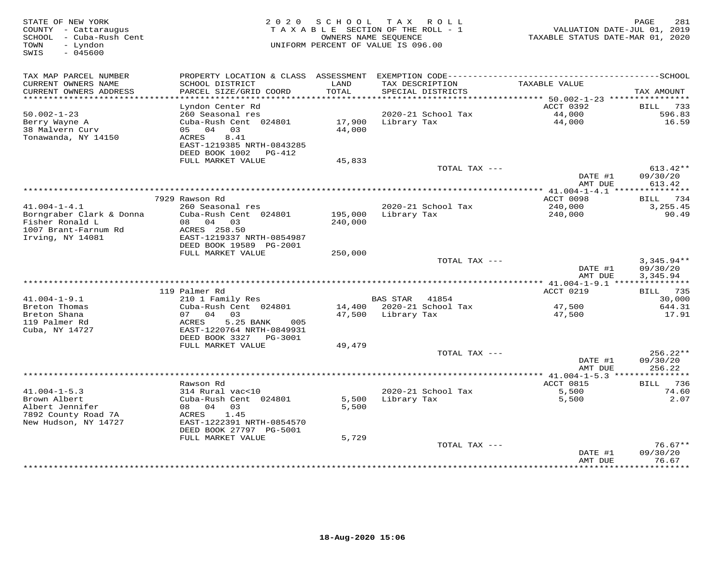| STATE OF NEW YORK<br>COUNTY - Cattaraugus<br>SCHOOL - Cuba-Rush Cent<br>- Lyndon<br>TOWN<br>SWIS<br>$-045600$ |                                                        | 2020 SCHOOL        | T A X<br>ROLL<br>TAXABLE SECTION OF THE ROLL - 1<br>OWNERS NAME SEQUENCE<br>UNIFORM PERCENT OF VALUE IS 096.00 | VALUATION DATE-JUL 01, 2019<br>TAXABLE STATUS DATE-MAR 01, 2020 | 281<br>PAGE                      |
|---------------------------------------------------------------------------------------------------------------|--------------------------------------------------------|--------------------|----------------------------------------------------------------------------------------------------------------|-----------------------------------------------------------------|----------------------------------|
| TAX MAP PARCEL NUMBER                                                                                         |                                                        |                    |                                                                                                                |                                                                 |                                  |
| CURRENT OWNERS NAME<br>CURRENT OWNERS ADDRESS<br>***********************                                      | SCHOOL DISTRICT<br>PARCEL SIZE/GRID COORD              | LAND<br>TOTAL      | TAX DESCRIPTION<br>SPECIAL DISTRICTS                                                                           | TAXABLE VALUE                                                   | TAX AMOUNT                       |
|                                                                                                               | Lyndon Center Rd                                       |                    |                                                                                                                | ACCT 0392                                                       | 733<br>BILL                      |
| $50.002 - 1 - 23$                                                                                             | 260 Seasonal res                                       |                    | 2020-21 School Tax                                                                                             | 44,000                                                          | 596.83                           |
| Berry Wayne A<br>38 Malvern Curv<br>Tonawanda, NY 14150                                                       | Cuba-Rush Cent 024801<br>05 04<br>03<br>8.41<br>ACRES  | 17,900<br>44,000   | Library Tax                                                                                                    | 44,000                                                          | 16.59                            |
|                                                                                                               | EAST-1219385 NRTH-0843285<br>DEED BOOK 1002    PG-412  |                    |                                                                                                                |                                                                 |                                  |
|                                                                                                               | FULL MARKET VALUE                                      | 45,833             | TOTAL TAX ---                                                                                                  |                                                                 | $613.42**$                       |
|                                                                                                               |                                                        |                    |                                                                                                                | DATE #1<br>AMT DUE                                              | 09/30/20<br>613.42               |
|                                                                                                               | **************                                         |                    | ***********************************                                                                            | *********** 41.004-1-4.1 ****************                       |                                  |
|                                                                                                               | 7929 Rawson Rd                                         |                    |                                                                                                                | ACCT 0098                                                       | BILL 734                         |
| $41.004 - 1 - 4.1$<br>Borngraber Clark & Donna<br>Fisher Ronald L                                             | 260 Seasonal res<br>Cuba-Rush Cent 024801<br>08 04 03  | 195,000<br>240,000 | 2020-21 School Tax<br>Library Tax                                                                              | 240,000<br>240,000                                              | 3,255.45<br>90.49                |
| 1007 Brant-Farnum Rd<br>Irving, NY 14081                                                                      | ACRES 258.50<br>EAST-1219337 NRTH-0854987              |                    |                                                                                                                |                                                                 |                                  |
|                                                                                                               | DEED BOOK 19589 PG-2001                                |                    |                                                                                                                |                                                                 |                                  |
|                                                                                                               | FULL MARKET VALUE                                      | 250,000            | TOTAL TAX ---                                                                                                  | DATE #1                                                         | $3,345.94**$<br>09/30/20         |
|                                                                                                               |                                                        |                    |                                                                                                                | AMT DUE                                                         | 3,345.94                         |
|                                                                                                               |                                                        |                    |                                                                                                                |                                                                 |                                  |
|                                                                                                               | 119 Palmer Rd                                          |                    |                                                                                                                | ACCT 0219                                                       | BILL 735                         |
| $41.004 - 1 - 9.1$<br>Breton Thomas                                                                           | 210 1 Family Res<br>Cuba-Rush Cent 024801              |                    | BAS STAR 41854<br>14,400 2020-21 School Tax                                                                    | 47,500                                                          | 30,000<br>644.31                 |
| Breton Shana<br>119 Palmer Rd                                                                                 | 07 04 03<br>5.25 BANK<br>ACRES<br>005                  |                    | 47,500 Library Tax                                                                                             | 47,500                                                          | 17.91                            |
| Cuba, NY 14727                                                                                                | EAST-1220764 NRTH-0849931<br>DEED BOOK 3327<br>PG-3001 |                    |                                                                                                                |                                                                 |                                  |
|                                                                                                               | FULL MARKET VALUE                                      | 49,479             |                                                                                                                |                                                                 |                                  |
|                                                                                                               |                                                        |                    | TOTAL TAX ---                                                                                                  | DATE #1<br>AMT DUE                                              | $256.22**$<br>09/30/20<br>256.22 |
|                                                                                                               |                                                        |                    |                                                                                                                | ************** 41.004-1-5.3 ****************                    |                                  |
|                                                                                                               | Rawson Rd                                              |                    |                                                                                                                | ACCT 0815                                                       | 736<br>BILL                      |
| $41.004 - 1 - 5.3$                                                                                            | 314 Rural vac<10                                       |                    | 2020-21 School Tax                                                                                             | 5,500                                                           | 74.60                            |
| Brown Albert<br>Albert Jennifer                                                                               | Cuba-Rush Cent 024801<br>08 04<br>03                   | 5,500              | Library Tax                                                                                                    | 5,500                                                           | 2.07                             |
| 7892 County Road 7A                                                                                           | 1.45<br>ACRES                                          | 5,500              |                                                                                                                |                                                                 |                                  |
| New Hudson, NY 14727                                                                                          | EAST-1222391 NRTH-0854570<br>DEED BOOK 27797 PG-5001   |                    |                                                                                                                |                                                                 |                                  |
|                                                                                                               | FULL MARKET VALUE                                      | 5,729              |                                                                                                                |                                                                 |                                  |
|                                                                                                               |                                                        |                    | TOTAL TAX ---                                                                                                  | DATE #1                                                         | $76.67**$<br>09/30/20            |
|                                                                                                               |                                                        |                    |                                                                                                                | AMT DUE                                                         | 76.67<br>* * * * * * * *         |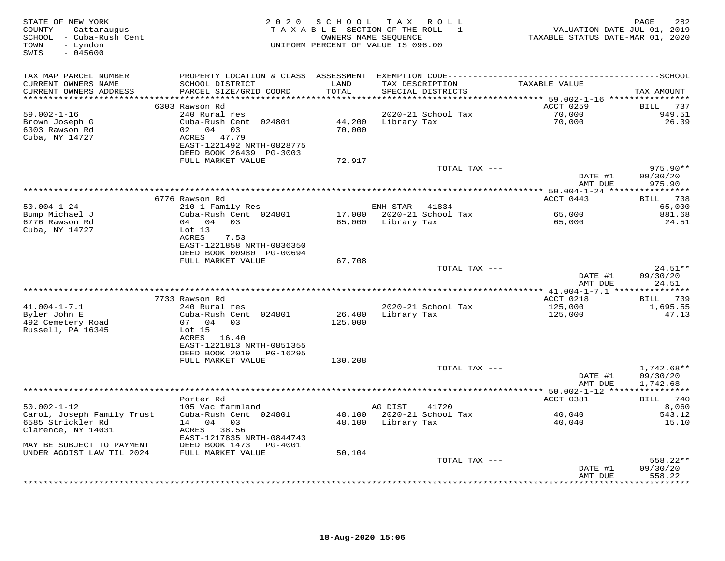| STATE OF NEW YORK<br>COUNTY - Cattaraugus<br>SCHOOL - Cuba-Rush Cent<br>- Lyndon<br>TOWN<br>SWIS<br>$-045600$ |                                                                                                                                             | 2020 SCHOOL       | T A X<br>R O L L<br>TAXABLE SECTION OF THE ROLL - 1<br>OWNERS NAME SEQUENCE<br>UNIFORM PERCENT OF VALUE IS 096.00 | VALUATION DATE-JUL 01, 2019<br>TAXABLE STATUS DATE-MAR 01, 2020 | 282<br>PAGE                          |
|---------------------------------------------------------------------------------------------------------------|---------------------------------------------------------------------------------------------------------------------------------------------|-------------------|-------------------------------------------------------------------------------------------------------------------|-----------------------------------------------------------------|--------------------------------------|
| TAX MAP PARCEL NUMBER<br>CURRENT OWNERS NAME<br>CURRENT OWNERS ADDRESS                                        | SCHOOL DISTRICT<br>PARCEL SIZE/GRID COORD                                                                                                   | LAND<br>TOTAL     | TAX DESCRIPTION<br>SPECIAL DISTRICTS                                                                              | TAXABLE VALUE                                                   | TAX AMOUNT                           |
| **********************                                                                                        |                                                                                                                                             | ***********       |                                                                                                                   | **************************** 59.002-1-16 *****************      |                                      |
| $59.002 - 1 - 16$<br>Brown Joseph G<br>6303 Rawson Rd<br>Cuba, NY 14727                                       | 6303 Rawson Rd<br>240 Rural res<br>Cuba-Rush Cent 024801<br>02 04 03<br>ACRES 47.79<br>EAST-1221492 NRTH-0828775<br>DEED BOOK 26439 PG-3003 | 44,200<br>70,000  | 2020-21 School Tax<br>Library Tax                                                                                 | ACCT 0259<br>70,000<br>70,000                                   | BILL 737<br>949.51<br>26.39          |
|                                                                                                               | FULL MARKET VALUE                                                                                                                           | 72,917            |                                                                                                                   |                                                                 |                                      |
|                                                                                                               |                                                                                                                                             |                   | TOTAL TAX ---                                                                                                     | DATE #1                                                         | 975.90**<br>09/30/20                 |
|                                                                                                               |                                                                                                                                             |                   |                                                                                                                   | AMT DUE                                                         | 975.90                               |
|                                                                                                               | 6776 Rawson Rd                                                                                                                              |                   |                                                                                                                   | ACCT 0443                                                       | BILL 738                             |
| $50.004 - 1 - 24$                                                                                             | 210 1 Family Res                                                                                                                            |                   | ENH STAR<br>41834                                                                                                 |                                                                 | 65,000                               |
| Bump Michael J<br>6776 Rawson Rd<br>Cuba, NY 14727                                                            | Cuba-Rush Cent 024801<br>04 04 03<br>Lot $13$                                                                                               | 17,000<br>65,000  | 2020-21 School Tax<br>Library Tax                                                                                 | 65,000<br>65,000                                                | 881.68<br>24.51                      |
|                                                                                                               | ACRES<br>7.53<br>EAST-1221858 NRTH-0836350<br>DEED BOOK 00980 PG-00694                                                                      |                   |                                                                                                                   |                                                                 |                                      |
|                                                                                                               | FULL MARKET VALUE                                                                                                                           | 67,708            |                                                                                                                   |                                                                 |                                      |
|                                                                                                               |                                                                                                                                             |                   | TOTAL TAX ---                                                                                                     | DATE #1<br>AMT DUE                                              | 24.51**<br>09/30/20<br>24.51         |
|                                                                                                               |                                                                                                                                             |                   |                                                                                                                   |                                                                 |                                      |
|                                                                                                               | 7733 Rawson Rd                                                                                                                              |                   |                                                                                                                   | ACCT 0218                                                       | BILL 739                             |
| $41.004 - 1 - 7.1$<br>Byler John E<br>492 Cemetery Road                                                       | 240 Rural res<br>Cuba-Rush Cent 024801<br>07 04 03                                                                                          | 26,400<br>125,000 | 2020-21 School Tax<br>Library Tax                                                                                 | 125,000<br>125,000                                              | 1,695.55<br>47.13                    |
| Russell, PA 16345                                                                                             | Lot <sub>15</sub><br>ACRES 16.40<br>EAST-1221813 NRTH-0851355                                                                               |                   |                                                                                                                   |                                                                 |                                      |
|                                                                                                               | DEED BOOK 2019<br>PG-16295<br>FULL MARKET VALUE                                                                                             | 130,208           |                                                                                                                   |                                                                 |                                      |
|                                                                                                               |                                                                                                                                             |                   | TOTAL TAX ---                                                                                                     | DATE #1<br>AMT DUE                                              | $1,742.68**$<br>09/30/20<br>1,742.68 |
|                                                                                                               |                                                                                                                                             |                   |                                                                                                                   |                                                                 |                                      |
|                                                                                                               | Porter Rd                                                                                                                                   |                   |                                                                                                                   | ACCT 0381                                                       | BILL 740                             |
| $50.002 - 1 - 12$<br>Carol, Joseph Family Trust<br>6585 Strickler Rd                                          | 105 Vac farmland<br>Cuba-Rush Cent 024801<br>14 04 03                                                                                       | 48,100<br>48,100  | AG DIST<br>41720<br>2020-21 School Tax<br>Library Tax                                                             | 40,040<br>40,040                                                | 8,060<br>543.12<br>15.10             |
| Clarence, NY 14031<br>MAY BE SUBJECT TO PAYMENT                                                               | ACRES 38.56<br>EAST-1217835 NRTH-0844743<br>DEED BOOK 1473 PG-4001                                                                          |                   |                                                                                                                   |                                                                 |                                      |
| UNDER AGDIST LAW TIL 2024                                                                                     | FULL MARKET VALUE                                                                                                                           | 50,104            |                                                                                                                   |                                                                 |                                      |
|                                                                                                               |                                                                                                                                             |                   | TOTAL TAX ---                                                                                                     | DATE #1<br>AMT DUE                                              | 558.22**<br>09/30/20<br>558.22       |
|                                                                                                               |                                                                                                                                             |                   |                                                                                                                   |                                                                 | * * * * * * * *                      |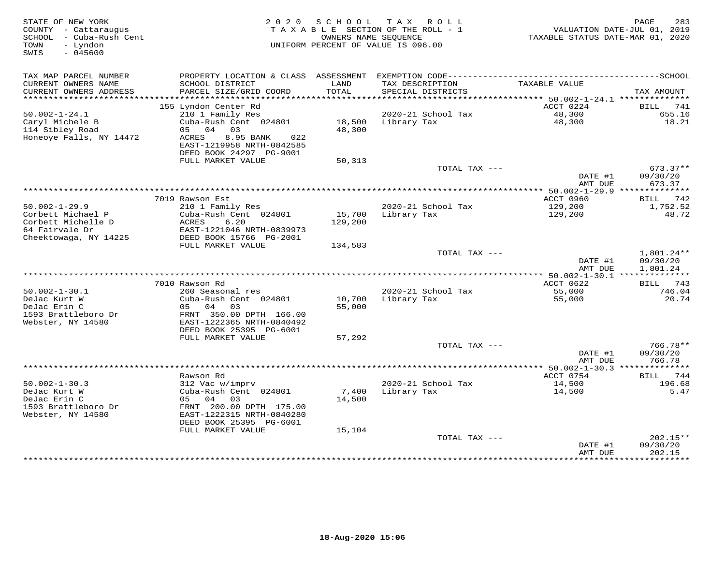| STATE OF NEW YORK<br>COUNTY - Cattaraugus<br>SCHOOL - Cuba-Rush Cent<br>TOWN<br>- Lyndon<br>SWIS<br>$-045600$ |                                                                                   | 2020 SCHOOL   | TAX ROLL<br>TAXABLE SECTION OF THE ROLL - 1<br>OWNERS NAME SEQUENCE<br>UNIFORM PERCENT OF VALUE IS 096.00 | TAXABLE STATUS DATE-MAR 01, 2020         | PAGE<br>283<br>VALUATION DATE-JUL 01, 2019 |
|---------------------------------------------------------------------------------------------------------------|-----------------------------------------------------------------------------------|---------------|-----------------------------------------------------------------------------------------------------------|------------------------------------------|--------------------------------------------|
| TAX MAP PARCEL NUMBER<br>CURRENT OWNERS NAME<br>CURRENT OWNERS ADDRESS                                        | SCHOOL DISTRICT<br>PARCEL SIZE/GRID COORD                                         | LAND<br>TOTAL | TAX DESCRIPTION<br>SPECIAL DISTRICTS                                                                      | TAXABLE VALUE                            | TAX AMOUNT                                 |
| **********************                                                                                        |                                                                                   |               |                                                                                                           |                                          |                                            |
| $50.002 - 1 - 24.1$                                                                                           | 155 Lyndon Center Rd<br>210 1 Family Res                                          |               | 2020-21 School Tax                                                                                        | ACCT 0224<br>48,300                      | 741<br>BILL<br>655.16                      |
| Caryl Michele B                                                                                               | Cuba-Rush Cent 024801                                                             |               | 18,500 Library Tax                                                                                        | 48,300                                   | 18.21                                      |
| 114 Sibley Road                                                                                               | 05 04<br>03                                                                       | 48,300        |                                                                                                           |                                          |                                            |
| Honeoye Falls, NY 14472                                                                                       | 8.95 BANK<br>ACRES<br>022<br>EAST-1219958 NRTH-0842585<br>DEED BOOK 24297 PG-9001 |               |                                                                                                           |                                          |                                            |
|                                                                                                               | FULL MARKET VALUE                                                                 | 50,313        |                                                                                                           |                                          |                                            |
|                                                                                                               |                                                                                   |               | TOTAL TAX ---                                                                                             |                                          | $673.37**$                                 |
|                                                                                                               |                                                                                   |               |                                                                                                           | DATE #1<br>AMT DUE                       | 09/30/20<br>673.37                         |
|                                                                                                               |                                                                                   |               |                                                                                                           | *********** 50.002-1-29.9 ************** |                                            |
| $50.002 - 1 - 29.9$                                                                                           | 7019 Rawson Est                                                                   |               | 2020-21 School Tax                                                                                        | ACCT 0960                                | 742<br>BILL                                |
| Corbett Michael P                                                                                             | 210 1 Family Res<br>Cuba-Rush Cent 024801                                         | 15,700        | Library Tax                                                                                               | 129,200<br>129,200                       | 1,752.52<br>48.72                          |
| Corbett Michelle D                                                                                            | ACRES<br>6.20                                                                     | 129,200       |                                                                                                           |                                          |                                            |
| 64 Fairvale Dr                                                                                                | EAST-1221046 NRTH-0839973                                                         |               |                                                                                                           |                                          |                                            |
| Cheektowaga, NY 14225                                                                                         | DEED BOOK 15766 PG-2001                                                           |               |                                                                                                           |                                          |                                            |
|                                                                                                               | FULL MARKET VALUE                                                                 | 134,583       | TOTAL TAX ---                                                                                             |                                          | 1,801.24**                                 |
|                                                                                                               |                                                                                   |               |                                                                                                           | DATE #1                                  | 09/30/20                                   |
|                                                                                                               |                                                                                   |               |                                                                                                           | AMT DUE                                  | 1,801.24                                   |
|                                                                                                               |                                                                                   |               |                                                                                                           |                                          |                                            |
| $50.002 - 1 - 30.1$                                                                                           | 7010 Rawson Rd<br>260 Seasonal res                                                |               | 2020-21 School Tax                                                                                        | ACCT 0622<br>55,000                      | 743<br>BILL<br>746.04                      |
| DeJac Kurt W                                                                                                  | Cuba-Rush Cent 024801                                                             | 10,700        | Library Tax                                                                                               | 55,000                                   | 20.74                                      |
| DeJac Erin C                                                                                                  | 05 04<br>03                                                                       | 55,000        |                                                                                                           |                                          |                                            |
| 1593 Brattleboro Dr                                                                                           | FRNT 350.00 DPTH 166.00                                                           |               |                                                                                                           |                                          |                                            |
| Webster, NY 14580                                                                                             | EAST-1222365 NRTH-0840492<br>DEED BOOK 25395 PG-6001                              |               |                                                                                                           |                                          |                                            |
|                                                                                                               | FULL MARKET VALUE                                                                 | 57,292        |                                                                                                           |                                          |                                            |
|                                                                                                               |                                                                                   |               | TOTAL TAX ---                                                                                             |                                          | $766.78**$                                 |
|                                                                                                               |                                                                                   |               |                                                                                                           | DATE #1                                  | 09/30/20<br>766.78                         |
|                                                                                                               |                                                                                   |               |                                                                                                           | AMT DUE                                  |                                            |
|                                                                                                               | Rawson Rd                                                                         |               |                                                                                                           | ACCT 0754                                | 744<br>BILL                                |
| $50.002 - 1 - 30.3$                                                                                           | 312 Vac w/imprv                                                                   |               | 2020-21 School Tax                                                                                        | 14,500                                   | 196.68                                     |
| DeJac Kurt W                                                                                                  | Cuba-Rush Cent 024801                                                             | 7,400         | Library Tax                                                                                               | 14,500                                   | 5.47                                       |
| DeJac Erin C<br>1593 Brattleboro Dr                                                                           | 05 04<br>03<br>FRNT 200.00 DPTH 175.00                                            | 14,500        |                                                                                                           |                                          |                                            |
| Webster, NY 14580                                                                                             | EAST-1222315 NRTH-0840280<br>DEED BOOK 25395 PG-6001                              |               |                                                                                                           |                                          |                                            |
|                                                                                                               | FULL MARKET VALUE                                                                 | 15,104        |                                                                                                           |                                          |                                            |
|                                                                                                               |                                                                                   |               | TOTAL TAX ---                                                                                             | DATE #1<br>AMT DUE                       | 202.15**<br>09/30/20<br>202.15             |
|                                                                                                               |                                                                                   |               |                                                                                                           |                                          |                                            |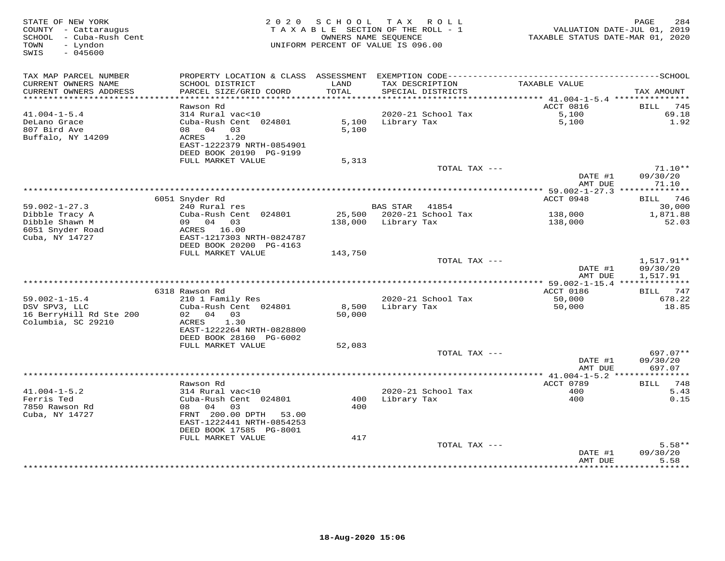| STATE OF NEW YORK<br>COUNTY - Cattaraugus<br>SCHOOL - Cuba-Rush Cent<br>- Lyndon<br>TOWN<br>SWIS<br>$-045600$ |                                                                       | 2020 SCHOOL<br>TAXABLE SECTION OF THE ROLL - 1<br>OWNERS NAME SEQUENCE<br>UNIFORM PERCENT OF VALUE IS 096.00 |                     | TAX ROLL                             | VALUATION DATE-JUL 01, 2019<br>TAXABLE STATUS DATE-MAR 01, 2020 | 284<br>PAGE                  |
|---------------------------------------------------------------------------------------------------------------|-----------------------------------------------------------------------|--------------------------------------------------------------------------------------------------------------|---------------------|--------------------------------------|-----------------------------------------------------------------|------------------------------|
| TAX MAP PARCEL NUMBER                                                                                         |                                                                       |                                                                                                              |                     |                                      |                                                                 |                              |
| CURRENT OWNERS NAME<br>CURRENT OWNERS ADDRESS                                                                 | SCHOOL DISTRICT<br>PARCEL SIZE/GRID COORD                             | LAND<br>TOTAL                                                                                                |                     | TAX DESCRIPTION<br>SPECIAL DISTRICTS | TAXABLE VALUE                                                   | TAX AMOUNT                   |
|                                                                                                               | Rawson Rd                                                             |                                                                                                              |                     |                                      | ACCT 0816                                                       | BILL<br>745                  |
| $41.004 - 1 - 5.4$                                                                                            | 314 Rural vac<10                                                      |                                                                                                              |                     | 2020-21 School Tax                   | 5,100                                                           | 69.18                        |
| DeLano Grace<br>807 Bird Ave<br>Buffalo, NY 14209                                                             | Cuba-Rush Cent 024801<br>08 04<br>03<br>1.20<br>ACRES                 | 5,100<br>5,100                                                                                               | Library Tax         |                                      | 5,100                                                           | 1.92                         |
|                                                                                                               | EAST-1222379 NRTH-0854901<br>DEED BOOK 20190 PG-9199                  |                                                                                                              |                     |                                      |                                                                 |                              |
|                                                                                                               | FULL MARKET VALUE                                                     | 5,313                                                                                                        |                     | TOTAL TAX ---                        |                                                                 | $71.10**$                    |
|                                                                                                               |                                                                       |                                                                                                              |                     |                                      | DATE #1<br>AMT DUE                                              | 09/30/20<br>71.10            |
|                                                                                                               |                                                                       |                                                                                                              |                     |                                      |                                                                 |                              |
|                                                                                                               | 6051 Snyder Rd                                                        |                                                                                                              |                     |                                      | ACCT 0948                                                       | <b>BILL</b> 746              |
| $59.002 - 1 - 27.3$                                                                                           | 240 Rural res                                                         |                                                                                                              | <b>BAS STAR</b>     | 41854                                |                                                                 | 30,000                       |
| Dibble Tracy A                                                                                                | Cuba-Rush Cent 024801                                                 |                                                                                                              |                     | 25,500 2020-21 School Tax            | 138,000                                                         | 1,871.88                     |
| Dibble Shawn M<br>6051 Snyder Road<br>Cuba, NY 14727                                                          | 09 04 03<br>ACRES 16.00<br>EAST-1217303 NRTH-0824787                  |                                                                                                              | 138,000 Library Tax |                                      | 138,000                                                         | 52.03                        |
|                                                                                                               | DEED BOOK 20200 PG-4163<br>FULL MARKET VALUE                          | 143,750                                                                                                      |                     |                                      |                                                                 |                              |
|                                                                                                               |                                                                       |                                                                                                              |                     | TOTAL TAX ---                        |                                                                 | 1,517.91**                   |
|                                                                                                               |                                                                       |                                                                                                              |                     |                                      | DATE #1<br>AMT DUE                                              | 09/30/20<br>1,517.91         |
|                                                                                                               |                                                                       |                                                                                                              |                     |                                      |                                                                 |                              |
| $59.002 - 1 - 15.4$                                                                                           | 6318 Rawson Rd<br>210 1 Family Res                                    |                                                                                                              |                     | 2020-21 School Tax                   | ACCT 0186<br>50,000                                             | BILL 747<br>678.22           |
| DSV SPV3, LLC                                                                                                 | Cuba-Rush Cent 024801                                                 | 8,500                                                                                                        | Library Tax         |                                      | 50,000                                                          | 18.85                        |
| 16 BerryHill Rd Ste 200<br>Columbia, SC 29210                                                                 | 02 04 03<br>1.30<br>ACRES                                             | 50,000                                                                                                       |                     |                                      |                                                                 |                              |
|                                                                                                               | EAST-1222264 NRTH-0828800                                             |                                                                                                              |                     |                                      |                                                                 |                              |
|                                                                                                               | DEED BOOK 28160 PG-6002<br>FULL MARKET VALUE                          | 52,083                                                                                                       |                     |                                      |                                                                 |                              |
|                                                                                                               |                                                                       |                                                                                                              |                     | TOTAL TAX ---                        |                                                                 | 697.07**                     |
|                                                                                                               |                                                                       |                                                                                                              |                     |                                      | DATE #1<br>AMT DUE                                              | 09/30/20<br>697.07           |
|                                                                                                               |                                                                       |                                                                                                              |                     |                                      |                                                                 |                              |
|                                                                                                               | Rawson Rd                                                             |                                                                                                              |                     |                                      | ACCT 0789                                                       | <b>BILL</b><br>748           |
| $41.004 - 1 - 5.2$<br>Ferris Ted                                                                              | 314 Rural vac<10<br>Cuba-Rush Cent 024801                             | 400                                                                                                          | Library Tax         | 2020-21 School Tax                   | 400<br>400                                                      | 5.43<br>0.15                 |
| 7850 Rawson Rd<br>Cuba, NY 14727                                                                              | 08 04<br>03<br>FRNT 200.00 DPTH<br>53.00<br>EAST-1222441 NRTH-0854253 | 400                                                                                                          |                     |                                      |                                                                 |                              |
|                                                                                                               | DEED BOOK 17585 PG-8001                                               |                                                                                                              |                     |                                      |                                                                 |                              |
|                                                                                                               | FULL MARKET VALUE                                                     | 417                                                                                                          |                     |                                      |                                                                 |                              |
|                                                                                                               |                                                                       |                                                                                                              |                     | TOTAL TAX ---                        |                                                                 | $5.58**$                     |
|                                                                                                               |                                                                       |                                                                                                              |                     |                                      | DATE #1<br>AMT DUE<br>***************                           | 09/30/20<br>5.58<br>******** |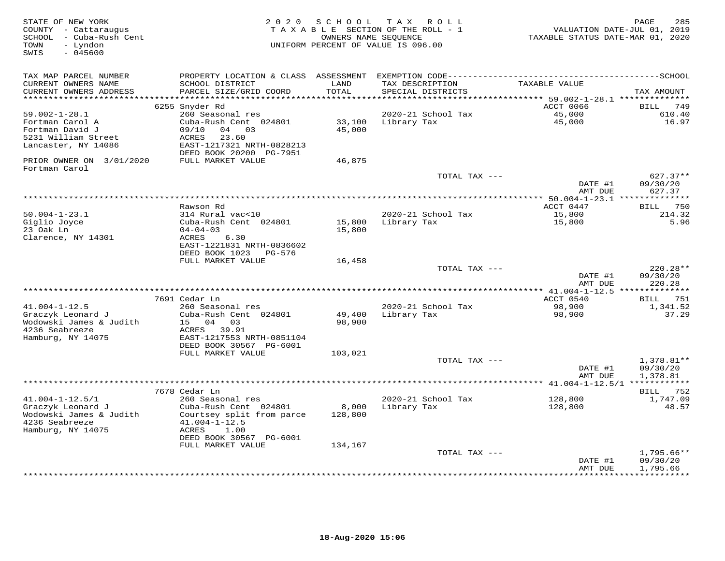| STATE OF NEW YORK<br>COUNTY - Cattaraugus<br>SCHOOL - Cuba-Rush Cent<br>TOWN<br>- Lyndon<br>SWIS<br>$-045600$ | 2 0 2 0                                              | SCHOOL<br>OWNERS NAME SEQUENCE | T A X<br>R O L L<br>TAXABLE SECTION OF THE ROLL - 1<br>UNIFORM PERCENT OF VALUE IS 096.00 | VALUATION DATE-JUL 01, 2019<br>TAXABLE STATUS DATE-MAR 01, 2020 | 285<br>PAGE              |
|---------------------------------------------------------------------------------------------------------------|------------------------------------------------------|--------------------------------|-------------------------------------------------------------------------------------------|-----------------------------------------------------------------|--------------------------|
| TAX MAP PARCEL NUMBER                                                                                         | PROPERTY LOCATION & CLASS ASSESSMENT                 |                                |                                                                                           |                                                                 |                          |
| CURRENT OWNERS NAME<br>CURRENT OWNERS ADDRESS                                                                 | SCHOOL DISTRICT<br>PARCEL SIZE/GRID COORD            | LAND<br>TOTAL                  | TAX DESCRIPTION<br>SPECIAL DISTRICTS                                                      | TAXABLE VALUE                                                   | TAX AMOUNT               |
| ****************                                                                                              |                                                      | ******                         |                                                                                           | ****** 59.002-1-28.1 *********                                  |                          |
|                                                                                                               | 6255 Snyder Rd                                       |                                |                                                                                           | ACCT 0066                                                       | BILL<br>749              |
| $59.002 - 1 - 28.1$<br>Fortman Carol A                                                                        | 260 Seasonal res<br>Cuba-Rush Cent 024801            | 33,100                         | 2020-21 School Tax<br>Library Tax                                                         | 45,000<br>45,000                                                | 610.40<br>16.97          |
| Fortman David J                                                                                               | 09/10<br>04<br>03                                    | 45,000                         |                                                                                           |                                                                 |                          |
| 5231 William Street                                                                                           | ACRES<br>23.60                                       |                                |                                                                                           |                                                                 |                          |
| Lancaster, NY 14086                                                                                           | EAST-1217321 NRTH-0828213<br>DEED BOOK 20200 PG-7951 |                                |                                                                                           |                                                                 |                          |
| PRIOR OWNER ON 3/01/2020<br>Fortman Carol                                                                     | FULL MARKET VALUE                                    | 46,875                         |                                                                                           |                                                                 |                          |
|                                                                                                               |                                                      |                                | TOTAL TAX ---                                                                             |                                                                 | 627.37**                 |
|                                                                                                               |                                                      |                                |                                                                                           | DATE #1<br>AMT DUE                                              | 09/30/20<br>627.37       |
|                                                                                                               |                                                      |                                |                                                                                           |                                                                 |                          |
| $50.004 - 1 - 23.1$                                                                                           | Rawson Rd<br>314 Rural vac<10                        |                                | 2020-21 School Tax                                                                        | ACCT 0447<br>15,800                                             | 750<br>BILL<br>214.32    |
| Giglio Joyce                                                                                                  | Cuba-Rush Cent 024801                                | 15,800                         | Library Tax                                                                               | 15,800                                                          | 5.96                     |
| 23 Oak Ln                                                                                                     | $04 - 04 - 03$                                       | 15,800                         |                                                                                           |                                                                 |                          |
| Clarence, NY 14301                                                                                            | ACRES<br>6.30                                        |                                |                                                                                           |                                                                 |                          |
|                                                                                                               | EAST-1221831 NRTH-0836602                            |                                |                                                                                           |                                                                 |                          |
|                                                                                                               | DEED BOOK 1023<br>PG-576                             |                                |                                                                                           |                                                                 |                          |
|                                                                                                               | FULL MARKET VALUE                                    | 16,458                         |                                                                                           |                                                                 |                          |
|                                                                                                               |                                                      |                                | TOTAL TAX ---                                                                             | DATE #1                                                         | 220.28**<br>09/30/20     |
|                                                                                                               |                                                      |                                |                                                                                           | AMT DUE                                                         | 220.28                   |
|                                                                                                               |                                                      |                                |                                                                                           |                                                                 |                          |
|                                                                                                               | 7691 Cedar Ln                                        |                                |                                                                                           | ACCT 0540                                                       | <b>BILL</b> 751          |
| $41.004 - 1 - 12.5$                                                                                           | 260 Seasonal res                                     |                                | 2020-21 School Tax                                                                        | 98,900                                                          | 1,341.52                 |
| Graczyk Leonard J                                                                                             | Cuba-Rush Cent 024801                                | 49,400                         | Library Tax                                                                               | 98,900                                                          | 37.29                    |
| Wodowski James & Judith                                                                                       | 04<br>15<br>03                                       | 98,900                         |                                                                                           |                                                                 |                          |
| 4236 Seabreeze<br>Hamburg, NY 14075                                                                           | 39.91<br>ACRES<br>EAST-1217553 NRTH-0851104          |                                |                                                                                           |                                                                 |                          |
|                                                                                                               | DEED BOOK 30567 PG-6001                              |                                |                                                                                           |                                                                 |                          |
|                                                                                                               | FULL MARKET VALUE                                    | 103,021                        |                                                                                           |                                                                 |                          |
|                                                                                                               |                                                      |                                | TOTAL TAX ---                                                                             |                                                                 | $1,378.81**$             |
|                                                                                                               |                                                      |                                |                                                                                           | DATE #1                                                         | 09/30/20                 |
|                                                                                                               |                                                      |                                |                                                                                           | AMT DUE                                                         | 1,378.81<br>************ |
|                                                                                                               | 7678 Cedar Ln                                        |                                |                                                                                           |                                                                 | BILL 752                 |
| $41.004 - 1 - 12.5/1$                                                                                         | 260 Seasonal res                                     |                                | 2020-21 School Tax                                                                        | 128,800                                                         | 1,747.09                 |
| Graczyk Leonard J                                                                                             | Cuba-Rush Cent 024801                                | 8,000                          | Library Tax                                                                               | 128,800                                                         | 48.57                    |
| Wodowski James & Judith                                                                                       | Courtsey split from parce                            | 128,800                        |                                                                                           |                                                                 |                          |
| 4236 Seabreeze                                                                                                | $41.004 - 1 - 12.5$                                  |                                |                                                                                           |                                                                 |                          |
| Hamburg, NY 14075                                                                                             | ACRES<br>1.00                                        |                                |                                                                                           |                                                                 |                          |
|                                                                                                               | DEED BOOK 30567 PG-6001                              |                                |                                                                                           |                                                                 |                          |
|                                                                                                               | FULL MARKET VALUE                                    | 134,167                        | TOTAL TAX ---                                                                             |                                                                 | $1,795.66**$             |
|                                                                                                               |                                                      |                                |                                                                                           | DATE #1                                                         | 09/30/20                 |
|                                                                                                               |                                                      |                                |                                                                                           | AMT DUE                                                         | 1,795.66                 |
|                                                                                                               |                                                      |                                |                                                                                           |                                                                 |                          |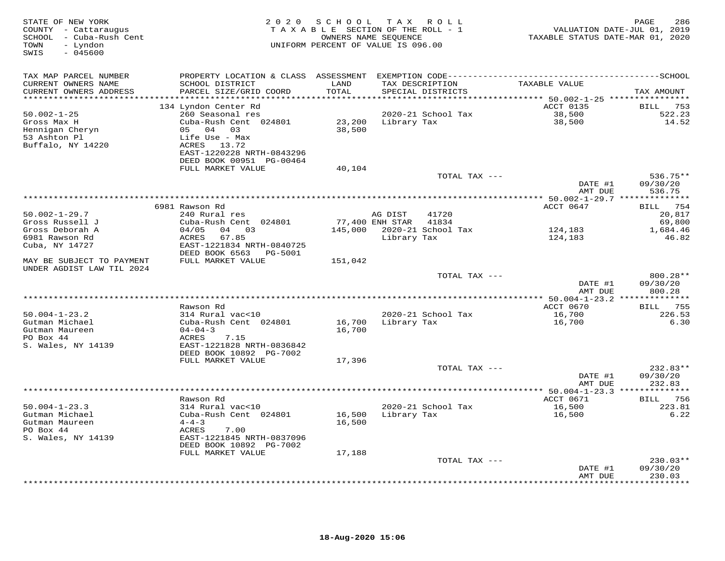| STATE OF NEW YORK<br>COUNTY - Cattaraugus<br>- Cuba-Rush Cent<br>SCHOOL<br>- Lyndon<br>TOWN<br>$-045600$<br>SWIS | 2 0 2 0                                    | SCHOOL        | T A X<br>R O L L<br>TAXABLE SECTION OF THE ROLL - 1<br>OWNERS NAME SEQUENCE<br>UNIFORM PERCENT OF VALUE IS 096.00 | VALUATION DATE-JUL 01, 2019<br>TAXABLE STATUS DATE-MAR 01, 2020 | 286<br>PAGE           |
|------------------------------------------------------------------------------------------------------------------|--------------------------------------------|---------------|-------------------------------------------------------------------------------------------------------------------|-----------------------------------------------------------------|-----------------------|
| TAX MAP PARCEL NUMBER                                                                                            | PROPERTY LOCATION & CLASS ASSESSMENT       |               |                                                                                                                   |                                                                 |                       |
| CURRENT OWNERS NAME<br>CURRENT OWNERS ADDRESS                                                                    | SCHOOL DISTRICT<br>PARCEL SIZE/GRID COORD  | LAND<br>TOTAL | TAX DESCRIPTION<br>SPECIAL DISTRICTS                                                                              | TAXABLE VALUE                                                   | TAX AMOUNT            |
| ****************                                                                                                 |                                            | *******       |                                                                                                                   | *********** 50.002-1-25 *****************                       |                       |
| $50.002 - 1 - 25$                                                                                                | 134 Lyndon Center Rd<br>260 Seasonal res   |               | 2020-21 School Tax                                                                                                | ACCT 0135<br>38,500                                             | 753<br>BILL<br>522.23 |
| Gross Max H                                                                                                      | Cuba-Rush Cent 024801                      | 23,200        | Library Tax                                                                                                       | 38,500                                                          | 14.52                 |
| Hennigan Cheryn                                                                                                  | 05<br>04<br>03                             | 38,500        |                                                                                                                   |                                                                 |                       |
| 53 Ashton Pl                                                                                                     | Life Use - Max                             |               |                                                                                                                   |                                                                 |                       |
| Buffalo, NY 14220                                                                                                | ACRES 13.72                                |               |                                                                                                                   |                                                                 |                       |
|                                                                                                                  | EAST-1220228 NRTH-0843296                  |               |                                                                                                                   |                                                                 |                       |
|                                                                                                                  | DEED BOOK 00951 PG-00464                   |               |                                                                                                                   |                                                                 |                       |
|                                                                                                                  | FULL MARKET VALUE                          | 40,104        | TOTAL TAX ---                                                                                                     |                                                                 | $536.75**$            |
|                                                                                                                  |                                            |               |                                                                                                                   | DATE #1                                                         | 09/30/20              |
|                                                                                                                  |                                            |               |                                                                                                                   | AMT DUE                                                         | 536.75                |
|                                                                                                                  | ****************                           |               | **********************************                                                                                | *************** 50.002-1-29.7 **************                    |                       |
|                                                                                                                  | 6981 Rawson Rd                             |               |                                                                                                                   | ACCT 0647                                                       | 754<br>BILL           |
| $50.002 - 1 - 29.7$                                                                                              | 240 Rural res                              |               | AG DIST<br>41720                                                                                                  |                                                                 | 20,817                |
| Gross Russell J<br>Gross Deborah A                                                                               | Cuba-Rush Cent 024801<br>03<br>04/05<br>04 | 145,000       | 77,400 ENH STAR<br>41834<br>2020-21 School Tax                                                                    |                                                                 | 69,800                |
| 6981 Rawson Rd                                                                                                   | <b>ACRES</b><br>67.85                      |               | Library Tax                                                                                                       | 124,183<br>124,183                                              | 1,684.46<br>46.82     |
| Cuba, NY 14727                                                                                                   | EAST-1221834 NRTH-0840725                  |               |                                                                                                                   |                                                                 |                       |
|                                                                                                                  | DEED BOOK 6563<br><b>PG-5001</b>           |               |                                                                                                                   |                                                                 |                       |
| MAY BE SUBJECT TO PAYMENT                                                                                        | FULL MARKET VALUE                          | 151,042       |                                                                                                                   |                                                                 |                       |
| UNDER AGDIST LAW TIL 2024                                                                                        |                                            |               |                                                                                                                   |                                                                 |                       |
|                                                                                                                  |                                            |               | TOTAL TAX ---                                                                                                     | DATE #1                                                         | 800.28**<br>09/30/20  |
|                                                                                                                  |                                            |               |                                                                                                                   | AMT DUE                                                         | 800.28                |
|                                                                                                                  |                                            |               |                                                                                                                   | *************** 50.004-1-23.2 ***************                   |                       |
|                                                                                                                  | Rawson Rd                                  |               |                                                                                                                   | ACCT 0670                                                       | BILL<br>755           |
| $50.004 - 1 - 23.2$                                                                                              | 314 Rural vac<10                           |               | 2020-21 School Tax                                                                                                | 16,700                                                          | 226.53                |
| Gutman Michael                                                                                                   | Cuba-Rush Cent 024801                      | 16,700        | Library Tax                                                                                                       | 16,700                                                          | 6.30                  |
| Gutman Maureen<br>PO Box 44                                                                                      | $04 - 04 - 3$<br>7.15<br><b>ACRES</b>      | 16,700        |                                                                                                                   |                                                                 |                       |
| S. Wales, NY 14139                                                                                               | EAST-1221828 NRTH-0836842                  |               |                                                                                                                   |                                                                 |                       |
|                                                                                                                  | DEED BOOK 10892 PG-7002                    |               |                                                                                                                   |                                                                 |                       |
|                                                                                                                  | FULL MARKET VALUE                          | 17,396        |                                                                                                                   |                                                                 |                       |
|                                                                                                                  |                                            |               | TOTAL TAX ---                                                                                                     |                                                                 | 232.83**              |
|                                                                                                                  |                                            |               |                                                                                                                   | DATE #1                                                         | 09/30/20              |
|                                                                                                                  |                                            |               |                                                                                                                   | AMT DUE                                                         | 232.83<br>**********  |
|                                                                                                                  | Rawson Rd                                  |               |                                                                                                                   | ** $50.004 - 1 - 23.3$ ****<br>ACCT 0671                        | 756<br>BILL           |
| $50.004 - 1 - 23.3$                                                                                              | 314 Rural vac<10                           |               | 2020-21 School Tax                                                                                                | 16,500                                                          | 223.81                |
| Gutman Michael                                                                                                   | Cuba-Rush Cent 024801                      | 16,500        | Library Tax                                                                                                       | 16,500                                                          | 6.22                  |
| Gutman Maureen                                                                                                   | $4 - 4 - 3$                                | 16,500        |                                                                                                                   |                                                                 |                       |
| PO Box 44                                                                                                        | ACRES<br>7.00                              |               |                                                                                                                   |                                                                 |                       |
| S. Wales, NY 14139                                                                                               | EAST-1221845 NRTH-0837096                  |               |                                                                                                                   |                                                                 |                       |
|                                                                                                                  | DEED BOOK 10892 PG-7002                    |               |                                                                                                                   |                                                                 |                       |
|                                                                                                                  | FULL MARKET VALUE                          | 17,188        | TOTAL TAX ---                                                                                                     |                                                                 | $230.03**$            |
|                                                                                                                  |                                            |               |                                                                                                                   | DATE #1                                                         | 09/30/20              |
|                                                                                                                  |                                            |               |                                                                                                                   | AMT DUE                                                         | 230.03                |
|                                                                                                                  |                                            |               |                                                                                                                   | * * * * * * * * * * *                                           | * * * * * * * *       |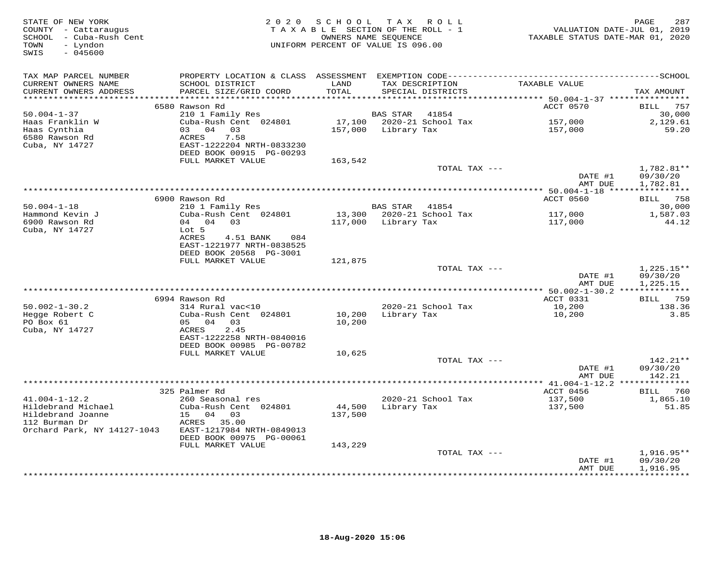| STATE OF NEW YORK<br>COUNTY - Cattaraugus<br>SCHOOL - Cuba-Rush Cent<br>- Lyndon<br>TOWN<br>SWIS<br>$-045600$ |                                                      | 2020 SCHOOL<br>TAXABLE SECTION OF THE ROLL - 1<br>OWNERS NAME SEQUENCE<br>UNIFORM PERCENT OF VALUE IS 096.00 |                 | TAX ROLL                             | TAXABLE STATUS DATE-MAR 01, 2020         | 287<br>PAGE<br>VALUATION DATE-JUL 01, 2019 |
|---------------------------------------------------------------------------------------------------------------|------------------------------------------------------|--------------------------------------------------------------------------------------------------------------|-----------------|--------------------------------------|------------------------------------------|--------------------------------------------|
| TAX MAP PARCEL NUMBER                                                                                         |                                                      |                                                                                                              |                 |                                      |                                          |                                            |
| CURRENT OWNERS NAME<br>CURRENT OWNERS ADDRESS                                                                 | SCHOOL DISTRICT<br>PARCEL SIZE/GRID COORD            | LAND<br>TOTAL                                                                                                |                 | TAX DESCRIPTION<br>SPECIAL DISTRICTS | TAXABLE VALUE                            | TAX AMOUNT                                 |
| **********************                                                                                        | 6580 Rawson Rd                                       |                                                                                                              |                 |                                      | ACCT 0570                                | <b>BILL</b><br>757                         |
| $50.004 - 1 - 37$                                                                                             | 210 1 Family Res                                     |                                                                                                              | <b>BAS STAR</b> | 41854                                |                                          | 30,000                                     |
| Haas Franklin W                                                                                               | Cuba-Rush Cent 024801                                | 17,100                                                                                                       |                 | 2020-21 School Tax                   | 157,000                                  | 2,129.61                                   |
| Haas Cynthia                                                                                                  | 0.3 0.4 0.3                                          | 157,000                                                                                                      | Library Tax     |                                      | 157,000                                  | 59.20                                      |
| 6580 Rawson Rd                                                                                                | 7.58<br>ACRES                                        |                                                                                                              |                 |                                      |                                          |                                            |
| Cuba, NY 14727                                                                                                | EAST-1222204 NRTH-0833230                            |                                                                                                              |                 |                                      |                                          |                                            |
|                                                                                                               | DEED BOOK 00915 PG-00293                             |                                                                                                              |                 |                                      |                                          |                                            |
|                                                                                                               | FULL MARKET VALUE                                    | 163,542                                                                                                      |                 |                                      |                                          |                                            |
|                                                                                                               |                                                      |                                                                                                              |                 | TOTAL TAX ---                        | DATE #1                                  | $1,782.81**$<br>09/30/20                   |
|                                                                                                               |                                                      |                                                                                                              |                 |                                      | AMT DUE                                  | 1,782.81                                   |
|                                                                                                               |                                                      |                                                                                                              |                 |                                      | ********** 50.004-1-18 ***************** |                                            |
|                                                                                                               | 6900 Rawson Rd                                       |                                                                                                              |                 |                                      | ACCT 0560                                | <b>BILL</b> 758                            |
| $50.004 - 1 - 18$                                                                                             | 210 1 Family Res                                     |                                                                                                              | BAS STAR        | 41854                                |                                          | 30,000                                     |
| Hammond Kevin J                                                                                               | Cuba-Rush Cent 024801                                | 13,300                                                                                                       |                 | 2020-21 School Tax                   | 117,000                                  | 1,587.03                                   |
| 6900 Rawson Rd                                                                                                | 04 04 03                                             | 117,000                                                                                                      | Library Tax     |                                      | 117,000                                  | 44.12                                      |
| Cuba, NY 14727                                                                                                | Lot 5                                                |                                                                                                              |                 |                                      |                                          |                                            |
|                                                                                                               | ACRES<br>4.51 BANK<br>084                            |                                                                                                              |                 |                                      |                                          |                                            |
|                                                                                                               | EAST-1221977 NRTH-0838525<br>DEED BOOK 20568 PG-3001 |                                                                                                              |                 |                                      |                                          |                                            |
|                                                                                                               | FULL MARKET VALUE                                    | 121,875                                                                                                      |                 |                                      |                                          |                                            |
|                                                                                                               |                                                      |                                                                                                              |                 | TOTAL TAX ---                        |                                          | $1,225.15**$                               |
|                                                                                                               |                                                      |                                                                                                              |                 |                                      | DATE #1<br>AMT DUE                       | 09/30/20<br>1,225.15                       |
|                                                                                                               |                                                      |                                                                                                              |                 |                                      |                                          |                                            |
|                                                                                                               | 6994 Rawson Rd                                       |                                                                                                              |                 |                                      | ACCT 0331                                | <b>BILL</b> 759                            |
| $50.002 - 1 - 30.2$                                                                                           | 314 Rural vac<10                                     |                                                                                                              |                 | 2020-21 School Tax                   | 10,200                                   | 138.36                                     |
| Hegge Robert C                                                                                                | Cuba-Rush Cent 024801                                | 10,200                                                                                                       | Library Tax     |                                      | 10,200                                   | 3.85                                       |
| PO Box 61                                                                                                     | 05 04<br>03                                          | 10,200                                                                                                       |                 |                                      |                                          |                                            |
| Cuba, NY 14727                                                                                                | ACRES<br>2.45                                        |                                                                                                              |                 |                                      |                                          |                                            |
|                                                                                                               | EAST-1222258 NRTH-0840016                            |                                                                                                              |                 |                                      |                                          |                                            |
|                                                                                                               | DEED BOOK 00985 PG-00782<br>FULL MARKET VALUE        | 10,625                                                                                                       |                 |                                      |                                          |                                            |
|                                                                                                               |                                                      |                                                                                                              |                 | TOTAL TAX ---                        |                                          | 142.21**                                   |
|                                                                                                               |                                                      |                                                                                                              |                 |                                      | DATE #1                                  | 09/30/20                                   |
|                                                                                                               |                                                      |                                                                                                              |                 |                                      | AMT DUE                                  | 142.21                                     |
|                                                                                                               |                                                      |                                                                                                              |                 |                                      |                                          | ***********                                |
|                                                                                                               | 325 Palmer Rd                                        |                                                                                                              |                 |                                      | ACCT 0456                                | BILL 760                                   |
| $41.004 - 1 - 12.2$                                                                                           | 260 Seasonal res                                     |                                                                                                              |                 | 2020-21 School Tax                   | 137,500                                  | 1,865.10                                   |
| Hildebrand Michael                                                                                            | Cuba-Rush Cent 024801                                | 44,500                                                                                                       | Library Tax     |                                      | 137,500                                  | 51.85                                      |
| Hildebrand Joanne<br>112 Burman Dr                                                                            | 15 04 03<br>ACRES 35.00                              | 137,500                                                                                                      |                 |                                      |                                          |                                            |
| Orchard Park, NY 14127-1043                                                                                   | EAST-1217984 NRTH-0849013                            |                                                                                                              |                 |                                      |                                          |                                            |
|                                                                                                               | DEED BOOK 00975 PG-00061                             |                                                                                                              |                 |                                      |                                          |                                            |
|                                                                                                               | FULL MARKET VALUE                                    | 143,229                                                                                                      |                 |                                      |                                          |                                            |
|                                                                                                               |                                                      |                                                                                                              |                 | TOTAL TAX ---                        |                                          | 1,916.95**                                 |
|                                                                                                               |                                                      |                                                                                                              |                 |                                      | DATE #1                                  | 09/30/20                                   |
|                                                                                                               |                                                      |                                                                                                              |                 |                                      | AMT DUE                                  | 1,916.95                                   |
|                                                                                                               |                                                      |                                                                                                              |                 | ********************************     |                                          |                                            |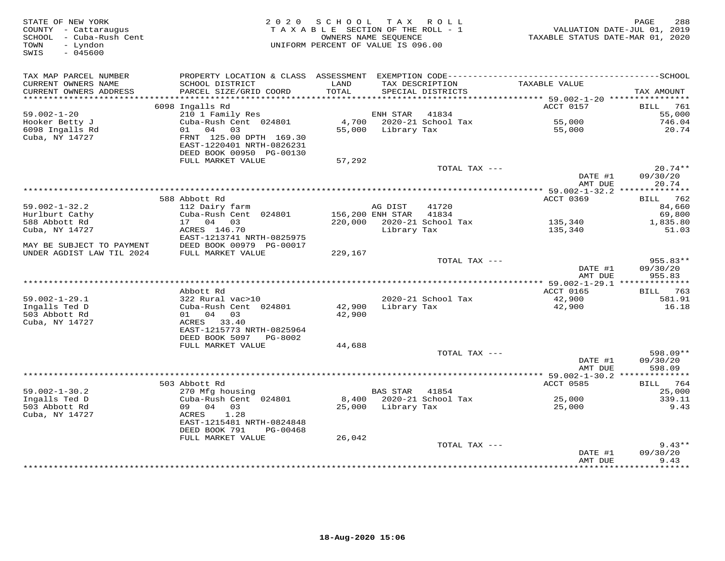| STATE OF NEW YORK<br>COUNTY - Cattaraugus<br>SCHOOL - Cuba-Rush Cent<br>- Lyndon<br>TOWN<br>SWIS<br>$-045600$ | TAX ROLL<br>2020 SCHOOL<br>TAXABLE SECTION OF THE ROLL - 1<br>OWNERS NAME SEQUENCE<br>UNIFORM PERCENT OF VALUE IS 096.00 |               |                  |                                      | 288<br>PAGE<br>VALUATION DATE-JUL 01, 2019<br>TAXABLE STATUS DATE-MAR 01, 2020 |                           |
|---------------------------------------------------------------------------------------------------------------|--------------------------------------------------------------------------------------------------------------------------|---------------|------------------|--------------------------------------|--------------------------------------------------------------------------------|---------------------------|
| TAX MAP PARCEL NUMBER                                                                                         | PROPERTY LOCATION & CLASS ASSESSMENT EXEMPTION CODE-----------------------------------SCHOOL                             |               |                  |                                      |                                                                                |                           |
| CURRENT OWNERS NAME<br>CURRENT OWNERS ADDRESS                                                                 | SCHOOL DISTRICT<br>PARCEL SIZE/GRID COORD                                                                                | LAND<br>TOTAL |                  | TAX DESCRIPTION<br>SPECIAL DISTRICTS | TAXABLE VALUE                                                                  | TAX AMOUNT                |
| ***********************                                                                                       |                                                                                                                          |               |                  |                                      |                                                                                |                           |
|                                                                                                               | 6098 Ingalls Rd                                                                                                          |               |                  |                                      | ACCT 0157                                                                      | <b>BILL</b><br>761        |
| $59.002 - 1 - 20$<br>Hooker Betty J                                                                           | 210 1 Family Res<br>Cuba-Rush Cent 024801                                                                                | 4,700         | ENH STAR         | 41834<br>2020-21 School Tax          | 55,000                                                                         | 55,000<br>746.04          |
| 6098 Ingalls Rd                                                                                               | 04 03<br>01                                                                                                              | 55,000        | Library Tax      |                                      | 55,000                                                                         | 20.74                     |
| Cuba, NY 14727                                                                                                | FRNT 125.00 DPTH 169.30<br>EAST-1220401 NRTH-0826231<br>DEED BOOK 00950 PG-00130                                         |               |                  |                                      |                                                                                |                           |
|                                                                                                               | FULL MARKET VALUE                                                                                                        | 57,292        |                  |                                      |                                                                                |                           |
|                                                                                                               |                                                                                                                          |               |                  | TOTAL TAX ---                        |                                                                                | $20.74**$                 |
|                                                                                                               |                                                                                                                          |               |                  |                                      | DATE #1<br>AMT DUE                                                             | 09/30/20<br>20.74         |
|                                                                                                               |                                                                                                                          |               |                  |                                      | *********** 59.002-1-32.2 **************                                       |                           |
| $59.002 - 1 - 32.2$                                                                                           | 588 Abbott Rd<br>112 Dairy farm                                                                                          |               | AG DIST          | 41720                                | ACCT 0369                                                                      | <b>BILL</b> 762<br>84,660 |
| Hurlburt Cathy                                                                                                | Cuba-Rush Cent 024801                                                                                                    |               | 156,200 ENH STAR | 41834                                |                                                                                | 69,800                    |
| 588 Abbott Rd                                                                                                 | 17 04 03                                                                                                                 |               |                  | 220,000 2020-21 School Tax           | 135,340                                                                        | 1,835.80                  |
| Cuba, NY 14727                                                                                                | ACRES 146.70                                                                                                             |               | Library Tax      |                                      | 135,340                                                                        | 51.03                     |
| MAY BE SUBJECT TO PAYMENT                                                                                     | EAST-1213741 NRTH-0825975<br>DEED BOOK 00979 PG-00017                                                                    |               |                  |                                      |                                                                                |                           |
| UNDER AGDIST LAW TIL 2024                                                                                     | FULL MARKET VALUE                                                                                                        | 229,167       |                  |                                      |                                                                                |                           |
|                                                                                                               |                                                                                                                          |               |                  | TOTAL TAX ---                        |                                                                                | 955.83**                  |
|                                                                                                               |                                                                                                                          |               |                  |                                      | DATE #1                                                                        | 09/30/20                  |
|                                                                                                               |                                                                                                                          |               |                  |                                      | AMT DUE                                                                        | 955.83                    |
|                                                                                                               |                                                                                                                          |               |                  |                                      |                                                                                |                           |
|                                                                                                               | Abbott Rd                                                                                                                |               |                  |                                      | ACCT 0165                                                                      | BILL 763                  |
| $59.002 - 1 - 29.1$                                                                                           | 322 Rural vac>10                                                                                                         |               |                  | 2020-21 School Tax                   | 42,900                                                                         | 581.91                    |
| Ingalls Ted D                                                                                                 | Cuba-Rush Cent 024801                                                                                                    | 42,900        | Library Tax      |                                      | 42,900                                                                         | 16.18                     |
| 503 Abbott Rd                                                                                                 | 01 04 03                                                                                                                 | 42,900        |                  |                                      |                                                                                |                           |
| Cuba, NY 14727                                                                                                | ACRES 33.40                                                                                                              |               |                  |                                      |                                                                                |                           |
|                                                                                                               | EAST-1215773 NRTH-0825964                                                                                                |               |                  |                                      |                                                                                |                           |
|                                                                                                               | DEED BOOK 5097<br>PG-8002                                                                                                |               |                  |                                      |                                                                                |                           |
|                                                                                                               | FULL MARKET VALUE                                                                                                        | 44,688        |                  |                                      |                                                                                |                           |
|                                                                                                               |                                                                                                                          |               |                  | TOTAL TAX ---                        | DATE #1                                                                        | 598.09**                  |
|                                                                                                               |                                                                                                                          |               |                  |                                      | AMT DUE                                                                        | 09/30/20<br>598.09        |
|                                                                                                               |                                                                                                                          |               |                  |                                      |                                                                                |                           |
|                                                                                                               | 503 Abbott Rd                                                                                                            |               |                  |                                      | ACCT 0585                                                                      | <b>BILL</b> 764           |
| $59.002 - 1 - 30.2$                                                                                           | 270 Mfg housing                                                                                                          |               | <b>BAS STAR</b>  | 41854                                |                                                                                | 25,000                    |
| Ingalls Ted D                                                                                                 | Cuba-Rush Cent 024801                                                                                                    | 8,400         |                  | 2020-21 School Tax                   | 25,000                                                                         | 339.11                    |
| 503 Abbott Rd                                                                                                 | 09 04<br>03                                                                                                              | 25,000        | Library Tax      |                                      | 25,000                                                                         | 9.43                      |
| Cuba, NY 14727                                                                                                | 1.28<br>ACRES                                                                                                            |               |                  |                                      |                                                                                |                           |
|                                                                                                               | EAST-1215481 NRTH-0824848<br>DEED BOOK 791<br>PG-00468                                                                   |               |                  |                                      |                                                                                |                           |
|                                                                                                               | FULL MARKET VALUE                                                                                                        | 26,042        |                  |                                      |                                                                                |                           |
|                                                                                                               |                                                                                                                          |               |                  | TOTAL TAX ---                        |                                                                                | $9.43**$                  |
|                                                                                                               |                                                                                                                          |               |                  |                                      | DATE #1                                                                        | 09/30/20                  |
|                                                                                                               |                                                                                                                          |               |                  | +++++++++++++++++++++++++            | AMT DUE<br><b>++++++++</b>                                                     | 9.43<br>*******           |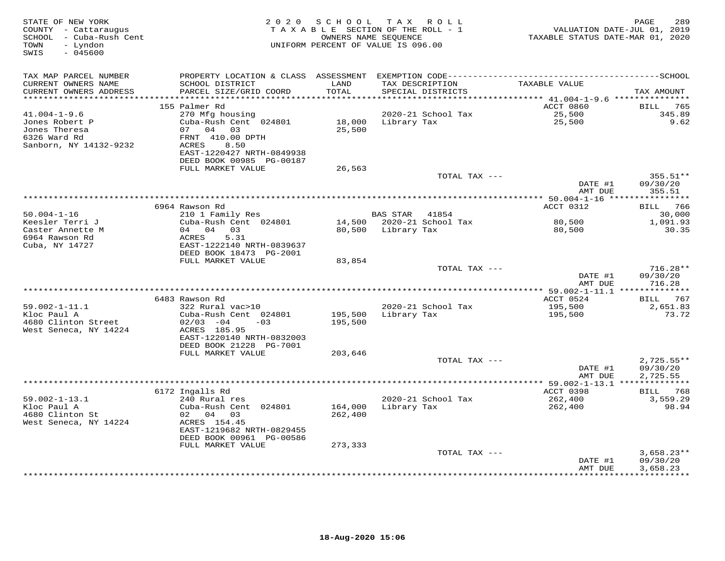| STATE OF NEW YORK<br>COUNTY - Cattaraugus<br>SCHOOL - Cuba-Rush Cent<br>TOWN<br>- Lyndon<br>$-045600$<br>SWIS | 2 0 2 0                                       | SCHOOL             | TAX ROLL<br>TAXABLE SECTION OF THE ROLL - 1<br>OWNERS NAME SEQUENCE<br>UNIFORM PERCENT OF VALUE IS 096.00 | VALUATION DATE-JUL 01, 2019<br>TAXABLE STATUS DATE-MAR 01, 2020 | PAGE<br>289              |
|---------------------------------------------------------------------------------------------------------------|-----------------------------------------------|--------------------|-----------------------------------------------------------------------------------------------------------|-----------------------------------------------------------------|--------------------------|
| TAX MAP PARCEL NUMBER<br>CURRENT OWNERS NAME                                                                  | SCHOOL DISTRICT                               | LAND               | TAX DESCRIPTION                                                                                           | TAXABLE VALUE                                                   |                          |
| CURRENT OWNERS ADDRESS                                                                                        | PARCEL SIZE/GRID COORD                        | TOTAL              | SPECIAL DISTRICTS                                                                                         |                                                                 | TAX AMOUNT               |
|                                                                                                               | 155 Palmer Rd                                 |                    |                                                                                                           | ACCT 0860                                                       | BILL<br>765              |
| $41.004 - 1 - 9.6$                                                                                            | 270 Mfg housing                               |                    | 2020-21 School Tax                                                                                        | 25,500                                                          | 345.89                   |
| Jones Robert P<br>Jones Theresa                                                                               | Cuba-Rush Cent 024801<br>04 03<br>07          | 18,000<br>25,500   | Library Tax                                                                                               | 25,500                                                          | 9.62                     |
| 6326 Ward Rd                                                                                                  | FRNT 410.00 DPTH                              |                    |                                                                                                           |                                                                 |                          |
| Sanborn, NY 14132-9232                                                                                        | ACRES<br>8.50<br>EAST-1220427 NRTH-0849938    |                    |                                                                                                           |                                                                 |                          |
|                                                                                                               | DEED BOOK 00985 PG-00187<br>FULL MARKET VALUE | 26,563             |                                                                                                           |                                                                 |                          |
|                                                                                                               |                                               |                    | TOTAL TAX ---                                                                                             |                                                                 | 355.51**                 |
|                                                                                                               |                                               |                    |                                                                                                           | DATE #1<br>AMT DUE                                              | 09/30/20<br>355.51       |
|                                                                                                               |                                               |                    |                                                                                                           |                                                                 |                          |
| $50.004 - 1 - 16$                                                                                             | 6964 Rawson Rd<br>210 1 Family Res            |                    | BAS STAR 41854                                                                                            | ACCT 0312                                                       | BILL 766<br>30,000       |
| Keesler Terri J                                                                                               | Cuba-Rush Cent 024801                         |                    | 14,500 2020-21 School Tax                                                                                 | 80,500                                                          | 1,091.93                 |
| Caster Annette M                                                                                              | 04 04 03                                      | 80,500             | Library Tax                                                                                               | 80,500                                                          | 30.35                    |
| 6964 Rawson Rd                                                                                                | 5.31<br>ACRES                                 |                    |                                                                                                           |                                                                 |                          |
| Cuba, NY 14727                                                                                                | EAST-1222140 NRTH-0839637                     |                    |                                                                                                           |                                                                 |                          |
|                                                                                                               | DEED BOOK 18473 PG-2001<br>FULL MARKET VALUE  | 83,854             |                                                                                                           |                                                                 |                          |
|                                                                                                               |                                               |                    | TOTAL TAX ---                                                                                             |                                                                 | $716.28**$               |
|                                                                                                               |                                               |                    |                                                                                                           | DATE #1<br>AMT DUE                                              | 09/30/20<br>716.28       |
|                                                                                                               |                                               |                    | ************************************                                                                      | ******* 59.002-1-11.1 **************                            |                          |
|                                                                                                               | 6483 Rawson Rd                                |                    |                                                                                                           | ACCT 0524                                                       | <b>BILL</b> 767          |
| $59.002 - 1 - 11.1$<br>Kloc Paul A                                                                            | 322 Rural vac>10<br>Cuba-Rush Cent 024801     | 195,500            | 2020-21 School Tax<br>Library Tax                                                                         | 195,500<br>195,500                                              | 2,651.83<br>73.72        |
| 4680 Clinton Street                                                                                           | $02/03 - 04$<br>$-03$                         | 195,500            |                                                                                                           |                                                                 |                          |
| West Seneca, NY 14224                                                                                         | ACRES 185.95                                  |                    |                                                                                                           |                                                                 |                          |
|                                                                                                               | EAST-1220140 NRTH-0832003                     |                    |                                                                                                           |                                                                 |                          |
|                                                                                                               | DEED BOOK 21228 PG-7001                       |                    |                                                                                                           |                                                                 |                          |
|                                                                                                               | FULL MARKET VALUE                             | 203,646            | TOTAL TAX ---                                                                                             |                                                                 |                          |
|                                                                                                               |                                               |                    |                                                                                                           | DATE #1                                                         | $2,725.55**$<br>09/30/20 |
|                                                                                                               |                                               |                    |                                                                                                           | AMT DUE                                                         | 2,725.55                 |
|                                                                                                               |                                               |                    |                                                                                                           |                                                                 |                          |
|                                                                                                               | 6172 Ingalls Rd                               |                    |                                                                                                           | ACCT 0398                                                       | BILL 768                 |
| $59.002 - 1 - 13.1$<br>Kloc Paul A                                                                            | 240 Rural res<br>Cuba-Rush Cent 024801        |                    | 2020-21 School Tax                                                                                        | 262,400                                                         | 3,559.29<br>98.94        |
| 4680 Clinton St                                                                                               | 02 04<br>03                                   | 164,000<br>262,400 | Library Tax                                                                                               | 262,400                                                         |                          |
| West Seneca, NY 14224                                                                                         | ACRES 154.45                                  |                    |                                                                                                           |                                                                 |                          |
|                                                                                                               | EAST-1219682 NRTH-0829455                     |                    |                                                                                                           |                                                                 |                          |
|                                                                                                               | DEED BOOK 00961 PG-00586                      |                    |                                                                                                           |                                                                 |                          |
|                                                                                                               | FULL MARKET VALUE                             | 273,333            | TOTAL TAX ---                                                                                             |                                                                 | $3,658.23**$             |
|                                                                                                               |                                               |                    |                                                                                                           | DATE #1                                                         | 09/30/20                 |
|                                                                                                               |                                               |                    |                                                                                                           | AMT DUE                                                         | 3,658.23                 |
|                                                                                                               |                                               |                    |                                                                                                           |                                                                 |                          |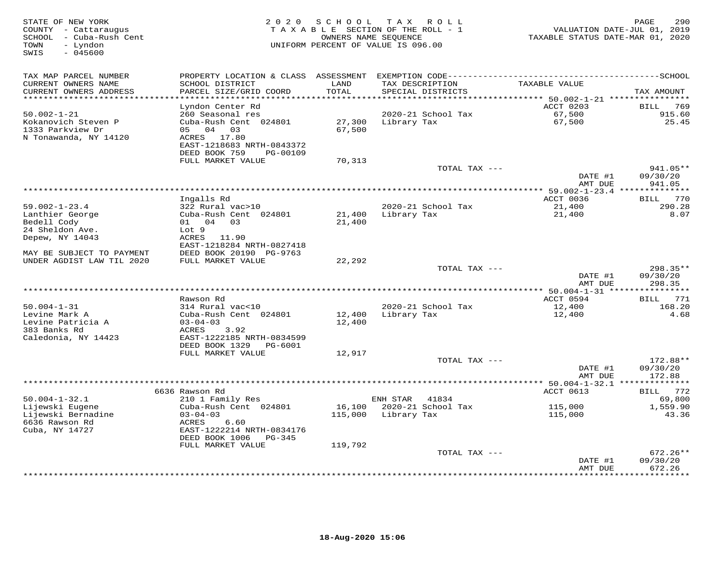| STATE OF NEW YORK<br>COUNTY - Cattaraugus<br>SCHOOL - Cuba-Rush Cent<br>- Lyndon<br>TOWN<br>SWIS<br>$-045600$ | SCHOOL<br>T A X<br>2 0 2 0<br>ROLL<br>TAXABLE SECTION OF THE ROLL - 1<br>OWNERS NAME SEQUENCE<br>UNIFORM PERCENT OF VALUE IS 096.00 |               |                                      | 290<br>PAGE<br>VALUATION DATE-JUL 01, 2019<br>TAXABLE STATUS DATE-MAR 01, 2020 |                     |  |
|---------------------------------------------------------------------------------------------------------------|-------------------------------------------------------------------------------------------------------------------------------------|---------------|--------------------------------------|--------------------------------------------------------------------------------|---------------------|--|
| TAX MAP PARCEL NUMBER                                                                                         | PROPERTY LOCATION & CLASS                                                                                                           | ASSESSMENT    |                                      |                                                                                |                     |  |
| CURRENT OWNERS NAME<br>CURRENT OWNERS ADDRESS                                                                 | SCHOOL DISTRICT<br>PARCEL SIZE/GRID COORD                                                                                           | LAND<br>TOTAL | TAX DESCRIPTION<br>SPECIAL DISTRICTS | TAXABLE VALUE                                                                  | TAX AMOUNT          |  |
| ********************                                                                                          |                                                                                                                                     | ************  |                                      | ***************************** 50.002-1-21 **********                           |                     |  |
|                                                                                                               | Lyndon Center Rd                                                                                                                    |               |                                      | ACCT 0203                                                                      | 769<br><b>BILL</b>  |  |
| $50.002 - 1 - 21$                                                                                             | 260 Seasonal res                                                                                                                    |               | 2020-21 School Tax                   | 67,500                                                                         | 915.60              |  |
| Kokanovich Steven P                                                                                           | Cuba-Rush Cent 024801                                                                                                               | 27,300        | Library Tax                          | 67,500                                                                         | 25.45               |  |
| 1333 Parkview Dr                                                                                              | 04 03<br>05<br>ACRES<br>17.80                                                                                                       | 67,500        |                                      |                                                                                |                     |  |
| N Tonawanda, NY 14120                                                                                         | EAST-1218683 NRTH-0843372                                                                                                           |               |                                      |                                                                                |                     |  |
|                                                                                                               | DEED BOOK 759<br>PG-00109                                                                                                           |               |                                      |                                                                                |                     |  |
|                                                                                                               | FULL MARKET VALUE                                                                                                                   | 70,313        |                                      |                                                                                |                     |  |
|                                                                                                               |                                                                                                                                     |               | TOTAL TAX ---                        |                                                                                | 941.05**            |  |
|                                                                                                               |                                                                                                                                     |               |                                      | DATE #1                                                                        | 09/30/20            |  |
|                                                                                                               |                                                                                                                                     |               |                                      | AMT DUE                                                                        | 941.05              |  |
|                                                                                                               |                                                                                                                                     |               |                                      |                                                                                |                     |  |
|                                                                                                               | Ingalls Rd                                                                                                                          |               |                                      | ACCT 0036                                                                      | 770<br>BILL         |  |
| $59.002 - 1 - 23.4$                                                                                           | 322 Rural vac>10                                                                                                                    |               | 2020-21 School Tax                   | 21,400                                                                         | 290.28              |  |
| Lanthier George                                                                                               | Cuba-Rush Cent 024801                                                                                                               | 21,400        | Library Tax                          | 21,400                                                                         | 8.07                |  |
| Bedell Cody                                                                                                   | 01 04 03                                                                                                                            | 21,400        |                                      |                                                                                |                     |  |
| 24 Sheldon Ave.                                                                                               | Lot 9                                                                                                                               |               |                                      |                                                                                |                     |  |
| Depew, NY 14043                                                                                               | ACRES 11.90                                                                                                                         |               |                                      |                                                                                |                     |  |
|                                                                                                               | EAST-1218284 NRTH-0827418                                                                                                           |               |                                      |                                                                                |                     |  |
| MAY BE SUBJECT TO PAYMENT                                                                                     | DEED BOOK 20190 PG-9763                                                                                                             |               |                                      |                                                                                |                     |  |
| UNDER AGDIST LAW TIL 2020                                                                                     | FULL MARKET VALUE                                                                                                                   | 22,292        | TOTAL TAX ---                        |                                                                                | $298.35**$          |  |
|                                                                                                               |                                                                                                                                     |               |                                      | DATE #1                                                                        | 09/30/20            |  |
|                                                                                                               |                                                                                                                                     |               |                                      | AMT DUE                                                                        | 298.35              |  |
|                                                                                                               |                                                                                                                                     |               | **********************               | ** 50.004-1-31 ****                                                            | * * * * * * * * * * |  |
|                                                                                                               | Rawson Rd                                                                                                                           |               |                                      | ACCT 0594                                                                      | 771<br>BILL         |  |
| $50.004 - 1 - 31$                                                                                             | 314 Rural vac<10                                                                                                                    |               | 2020-21 School Tax                   | 12,400                                                                         | 168.20              |  |
| Levine Mark A                                                                                                 | Cuba-Rush Cent 024801                                                                                                               | 12,400        | Library Tax                          | 12,400                                                                         | 4.68                |  |
| Levine Patricia A                                                                                             | $03 - 04 - 03$                                                                                                                      | 12,400        |                                      |                                                                                |                     |  |
| 383 Banks Rd                                                                                                  | ACRES<br>3.92                                                                                                                       |               |                                      |                                                                                |                     |  |
| Caledonia, NY 14423                                                                                           | EAST-1222185 NRTH-0834599                                                                                                           |               |                                      |                                                                                |                     |  |
|                                                                                                               | DEED BOOK 1329<br>PG-6001                                                                                                           |               |                                      |                                                                                |                     |  |
|                                                                                                               | FULL MARKET VALUE                                                                                                                   | 12,917        |                                      |                                                                                |                     |  |
|                                                                                                               |                                                                                                                                     |               | TOTAL TAX ---                        |                                                                                | 172.88**            |  |
|                                                                                                               |                                                                                                                                     |               |                                      | DATE #1                                                                        | 09/30/20            |  |
|                                                                                                               | ****************************                                                                                                        |               | *************************            | AMT DUE                                                                        | 172.88              |  |
|                                                                                                               | 6636 Rawson Rd                                                                                                                      |               |                                      | ** 50.004-1-32.1 **<br>ACCT 0613                                               | 772<br>BILL         |  |
| $50.004 - 1 - 32.1$                                                                                           | 210 1 Family Res                                                                                                                    |               | ENH STAR<br>41834                    |                                                                                | 69,800              |  |
| Lijewski Eugene                                                                                               | Cuba-Rush Cent 024801                                                                                                               | 16,100        | 2020-21 School Tax                   | 115,000                                                                        | 1,559.90            |  |
| Lijewski Bernadine                                                                                            | $03 - 04 - 03$                                                                                                                      | 115,000       | Library Tax                          | 115,000                                                                        | 43.36               |  |
| 6636 Rawson Rd                                                                                                | ACRES<br>6.60                                                                                                                       |               |                                      |                                                                                |                     |  |
| Cuba, NY 14727                                                                                                | EAST-1222214 NRTH-0834176                                                                                                           |               |                                      |                                                                                |                     |  |
|                                                                                                               | DEED BOOK 1006<br>PG-345                                                                                                            |               |                                      |                                                                                |                     |  |
|                                                                                                               | FULL MARKET VALUE                                                                                                                   | 119,792       |                                      |                                                                                |                     |  |
|                                                                                                               |                                                                                                                                     |               | TOTAL TAX ---                        |                                                                                | $672.26**$          |  |
|                                                                                                               |                                                                                                                                     |               |                                      | DATE #1                                                                        | 09/30/20            |  |
|                                                                                                               |                                                                                                                                     |               |                                      | AMT DUE                                                                        | 672.26<br>********  |  |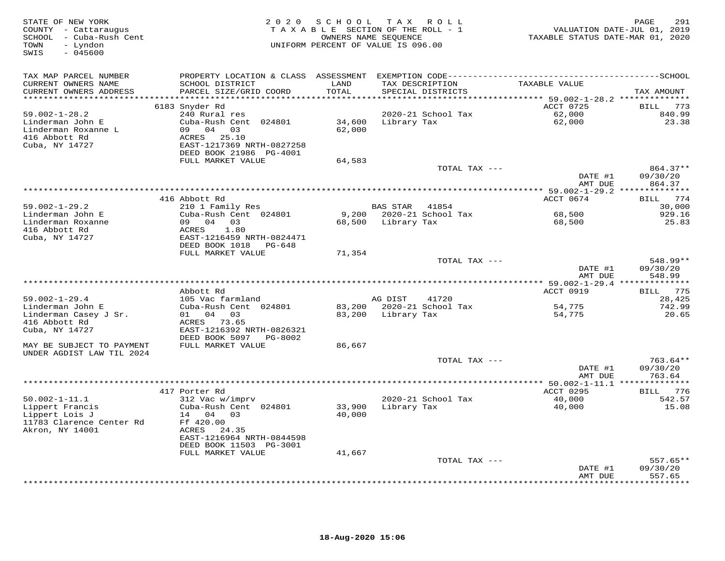| STATE OF NEW YORK<br>COUNTY - Cattaraugus<br>SCHOOL - Cuba-Rush Cent<br>- Lyndon<br>TOWN<br>SWIS<br>$-045600$ |                                              | 2020 SCHOOL TAX ROLL<br>TAXABLE SECTION OF THE ROLL - 1<br>OWNERS NAME SEQUENCE<br>UNIFORM PERCENT OF VALUE IS 096.00 |             |                    | TAXABLE STATUS DATE-MAR 01, 2020 | 291<br>PAGE<br>VALUATION DATE-JUL 01, 2019 |
|---------------------------------------------------------------------------------------------------------------|----------------------------------------------|-----------------------------------------------------------------------------------------------------------------------|-------------|--------------------|----------------------------------|--------------------------------------------|
| TAX MAP PARCEL NUMBER                                                                                         |                                              |                                                                                                                       |             |                    |                                  |                                            |
| CURRENT OWNERS NAME                                                                                           | SCHOOL DISTRICT                              | LAND                                                                                                                  |             | TAX DESCRIPTION    | TAXABLE VALUE                    |                                            |
| CURRENT OWNERS ADDRESS<br>**********************                                                              | PARCEL SIZE/GRID COORD                       | TOTAL                                                                                                                 |             | SPECIAL DISTRICTS  |                                  | TAX AMOUNT                                 |
|                                                                                                               | 6183 Snyder Rd                               |                                                                                                                       |             |                    | ACCT 0725                        | BILL 773                                   |
| $59.002 - 1 - 28.2$                                                                                           | 240 Rural res                                |                                                                                                                       |             | 2020-21 School Tax | 62,000                           | 840.99                                     |
| Linderman John E                                                                                              | Cuba-Rush Cent 024801                        | 34,600                                                                                                                | Library Tax |                    | 62,000                           | 23.38                                      |
| Linderman Roxanne L                                                                                           | 09 04 03                                     | 62,000                                                                                                                |             |                    |                                  |                                            |
| 416 Abbott Rd<br>Cuba, NY 14727                                                                               | ACRES 25.10<br>EAST-1217369 NRTH-0827258     |                                                                                                                       |             |                    |                                  |                                            |
|                                                                                                               | DEED BOOK 21986 PG-4001                      |                                                                                                                       |             |                    |                                  |                                            |
|                                                                                                               | FULL MARKET VALUE                            | 64,583                                                                                                                |             |                    |                                  |                                            |
|                                                                                                               |                                              |                                                                                                                       |             | TOTAL TAX ---      |                                  | 864.37**                                   |
|                                                                                                               |                                              |                                                                                                                       |             |                    | DATE #1                          | 09/30/20                                   |
|                                                                                                               |                                              |                                                                                                                       |             |                    | AMT DUE                          | 864.37                                     |
|                                                                                                               | 416 Abbott Rd                                |                                                                                                                       |             |                    | ACCT 0674                        | 774<br>BILL                                |
| $59.002 - 1 - 29.2$                                                                                           | 210 1 Family Res                             |                                                                                                                       | BAS STAR    | 41854              |                                  | 30,000                                     |
| Linderman John E                                                                                              | Cuba-Rush Cent 024801                        | 9,200                                                                                                                 |             | 2020-21 School Tax | 68,500                           | 929.16                                     |
| Linderman Roxanne                                                                                             | 09 04 03                                     | 68,500                                                                                                                | Library Tax |                    | 68,500                           | 25.83                                      |
| 416 Abbott Rd<br>Cuba, NY 14727                                                                               | 1.80<br>ACRES<br>EAST-1216459 NRTH-0824471   |                                                                                                                       |             |                    |                                  |                                            |
|                                                                                                               | DEED BOOK 1018<br>PG-648                     |                                                                                                                       |             |                    |                                  |                                            |
|                                                                                                               | FULL MARKET VALUE                            | 71,354                                                                                                                |             |                    |                                  |                                            |
|                                                                                                               |                                              |                                                                                                                       |             | TOTAL TAX ---      |                                  | 548.99**                                   |
|                                                                                                               |                                              |                                                                                                                       |             |                    | DATE #1<br>AMT DUE               | 09/30/20<br>548.99                         |
|                                                                                                               |                                              |                                                                                                                       |             |                    | *** 59.002-1-29.4 **             | ************                               |
|                                                                                                               | Abbott Rd                                    |                                                                                                                       |             |                    | ACCT 0919                        | 775<br>BILL                                |
| $59.002 - 1 - 29.4$                                                                                           | 105 Vac farmland                             |                                                                                                                       | AG DIST     | 41720              |                                  | 28,425                                     |
| Linderman John E                                                                                              | Cuba-Rush Cent 024801                        | 83,200                                                                                                                |             | 2020-21 School Tax | 54,775                           | 742.99                                     |
| Linderman Casey J Sr.<br>416 Abbott Rd                                                                        | 01 04 03<br>ACRES 73.65                      | 83,200                                                                                                                | Library Tax |                    | 54,775                           | 20.65                                      |
| Cuba, NY 14727                                                                                                | EAST-1216392 NRTH-0826321                    |                                                                                                                       |             |                    |                                  |                                            |
|                                                                                                               | DEED BOOK 5097<br>PG-8002                    |                                                                                                                       |             |                    |                                  |                                            |
| MAY BE SUBJECT TO PAYMENT                                                                                     | FULL MARKET VALUE                            | 86,667                                                                                                                |             |                    |                                  |                                            |
| UNDER AGDIST LAW TIL 2024                                                                                     |                                              |                                                                                                                       |             | TOTAL TAX ---      |                                  | 763.64**                                   |
|                                                                                                               |                                              |                                                                                                                       |             |                    | DATE #1                          | 09/30/20                                   |
|                                                                                                               |                                              |                                                                                                                       |             |                    | AMT DUE                          | 763.64                                     |
|                                                                                                               |                                              |                                                                                                                       |             |                    | *** 50.002-1-11.1 ************** |                                            |
|                                                                                                               | 417 Porter Rd                                |                                                                                                                       |             |                    | ACCT 0295                        | BILL 776                                   |
| $50.002 - 1 - 11.1$<br>Lippert Francis                                                                        | 312 Vac w/imprv<br>Cuba-Rush Cent 024801     | 33,900                                                                                                                | Library Tax | 2020-21 School Tax | 40,000<br>40,000                 | 542.57<br>15.08                            |
| Lippert Lois J                                                                                                | 14 04 03                                     | 40,000                                                                                                                |             |                    |                                  |                                            |
| 11783 Clarence Center Rd                                                                                      | Ff 420.00                                    |                                                                                                                       |             |                    |                                  |                                            |
| Akron, NY 14001                                                                                               | ACRES<br>24.35                               |                                                                                                                       |             |                    |                                  |                                            |
|                                                                                                               | EAST-1216964 NRTH-0844598                    |                                                                                                                       |             |                    |                                  |                                            |
|                                                                                                               | DEED BOOK 11503 PG-3001<br>FULL MARKET VALUE | 41,667                                                                                                                |             |                    |                                  |                                            |
|                                                                                                               |                                              |                                                                                                                       |             | TOTAL TAX ---      |                                  | $557.65**$                                 |
|                                                                                                               |                                              |                                                                                                                       |             |                    | DATE #1                          | 09/30/20                                   |
|                                                                                                               |                                              |                                                                                                                       |             |                    | AMT DUE                          | 557.65<br>.                                |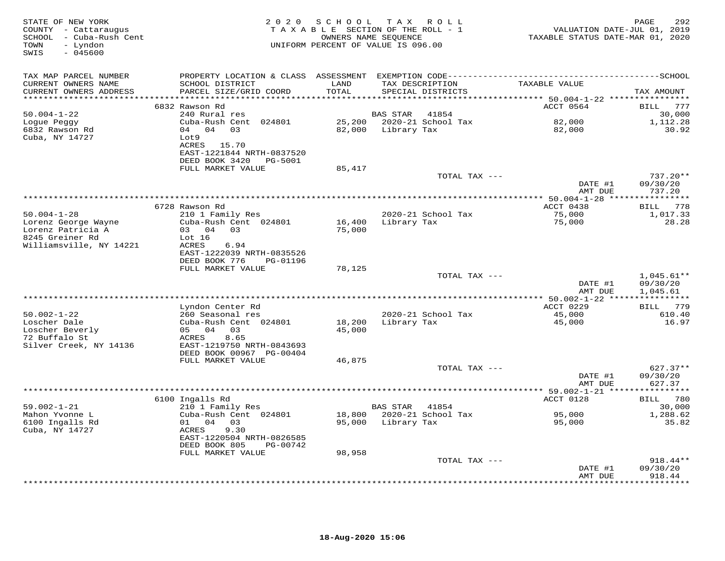| STATE OF NEW YORK<br>COUNTY - Cattaraugus<br>SCHOOL - Cuba-Rush Cent<br>- Lyndon<br>TOWN<br>$-045600$<br>SWIS | 2 0 2 0                                                                                             | SCHOOL           | TAX ROLL<br>TAXABLE SECTION OF THE ROLL - 1<br>OWNERS NAME SEQUENCE<br>UNIFORM PERCENT OF VALUE IS 096.00 | VALUATION DATE-JUL 01, 2019<br>TAXABLE STATUS DATE-MAR 01, 2020 | 292<br>PAGE                      |
|---------------------------------------------------------------------------------------------------------------|-----------------------------------------------------------------------------------------------------|------------------|-----------------------------------------------------------------------------------------------------------|-----------------------------------------------------------------|----------------------------------|
| TAX MAP PARCEL NUMBER<br>CURRENT OWNERS NAME<br>CURRENT OWNERS ADDRESS                                        | SCHOOL DISTRICT<br>PARCEL SIZE/GRID COORD                                                           | LAND<br>TOTAL    | TAX DESCRIPTION<br>SPECIAL DISTRICTS                                                                      | TAXABLE VALUE                                                   | TAX AMOUNT                       |
|                                                                                                               |                                                                                                     |                  |                                                                                                           |                                                                 |                                  |
|                                                                                                               | 6832 Rawson Rd                                                                                      |                  |                                                                                                           | ACCT 0564                                                       | BILL 777                         |
| $50.004 - 1 - 22$<br>Logue Peggy<br>6832 Rawson Rd<br>Cuba, NY 14727                                          | 240 Rural res<br>Cuba-Rush Cent 024801<br>04 04 03<br>Lot9                                          |                  | BAS STAR<br>41854<br>25,200 2020-21 School Tax<br>82,000 Library Tax                                      | 82,000<br>82,000                                                | 30,000<br>1,112.28<br>30.92      |
|                                                                                                               | ACRES 15.70<br>EAST-1221844 NRTH-0837520<br>DEED BOOK 3420<br>PG-5001<br>FULL MARKET VALUE          | 85,417           |                                                                                                           |                                                                 |                                  |
|                                                                                                               |                                                                                                     |                  | TOTAL TAX ---                                                                                             | DATE #1<br>AMT DUE                                              | 737.20**<br>09/30/20<br>737.20   |
|                                                                                                               |                                                                                                     |                  |                                                                                                           |                                                                 |                                  |
|                                                                                                               | 6728 Rawson Rd                                                                                      |                  |                                                                                                           | ACCT 0438                                                       | BILL 778                         |
| $50.004 - 1 - 28$<br>Lorenz George Wayne<br>Lorenz Patricia A<br>8245 Greiner Rd                              | 210 1 Family Res<br>Cuba-Rush Cent 024801<br>03 04 03<br>Lot 16                                     | 16,400<br>75,000 | 2020-21 School Tax<br>Library Tax                                                                         | 75,000<br>75,000                                                | 1,017.33<br>28.28                |
| Williamsville, NY 14221                                                                                       | 6.94<br>ACRES<br>EAST-1222039 NRTH-0835526<br>DEED BOOK 776<br>PG-01196                             |                  |                                                                                                           |                                                                 |                                  |
|                                                                                                               | FULL MARKET VALUE                                                                                   | 78,125           | TOTAL TAX ---                                                                                             |                                                                 | $1,045.61**$                     |
|                                                                                                               |                                                                                                     |                  |                                                                                                           | DATE #1<br>AMT DUE                                              | 09/30/20<br>1,045.61             |
|                                                                                                               |                                                                                                     |                  | ***********************************                                                                       | *************** 50.002-1-22 ****************                    |                                  |
| $50.002 - 1 - 22$                                                                                             | Lyndon Center Rd<br>260 Seasonal res                                                                |                  | 2020-21 School Tax                                                                                        | ACCT 0229<br>45,000                                             | BILL 779<br>610.40               |
| Loscher Dale<br>Loscher Beverly<br>72 Buffalo St<br>Silver Creek, NY 14136                                    | Cuba-Rush Cent 024801<br>05 04<br>03<br>8.65<br>ACRES<br>EAST-1219750 NRTH-0843693                  | 18,200<br>45,000 | Library Tax                                                                                               | 45,000                                                          | 16.97                            |
|                                                                                                               | DEED BOOK 00967 PG-00404                                                                            |                  |                                                                                                           |                                                                 |                                  |
|                                                                                                               | FULL MARKET VALUE                                                                                   | 46,875           | TOTAL TAX ---                                                                                             | DATE #1<br>AMT DUE                                              | $627.37**$<br>09/30/20<br>627.37 |
|                                                                                                               |                                                                                                     |                  |                                                                                                           |                                                                 |                                  |
|                                                                                                               | 6100 Ingalls Rd                                                                                     |                  |                                                                                                           | ACCT 0128                                                       | BILL 780                         |
| $59.002 - 1 - 21$<br>Mahon Yvonne L<br>6100 Ingalls Rd<br>Cuba, NY 14727                                      | 210 1 Family Res<br>Cuba-Rush Cent 024801<br>01 04 03<br>ACRES<br>9.30<br>EAST-1220504 NRTH-0826585 |                  | BAS STAR 41854<br>18,800 2020-21 School Tax<br>95,000 Library Tax                                         | 95,000<br>95,000                                                | 30,000<br>1,288.62<br>35.82      |
|                                                                                                               | DEED BOOK 805<br>PG-00742<br>FULL MARKET VALUE                                                      | 98,958           |                                                                                                           |                                                                 |                                  |
|                                                                                                               |                                                                                                     |                  | TOTAL TAX ---                                                                                             | DATE #1                                                         | $918.44**$<br>09/30/20           |
|                                                                                                               |                                                                                                     |                  |                                                                                                           | AMT DUE<br>+ + + + + + + + +                                    | 918.44<br>* * * * * * * *        |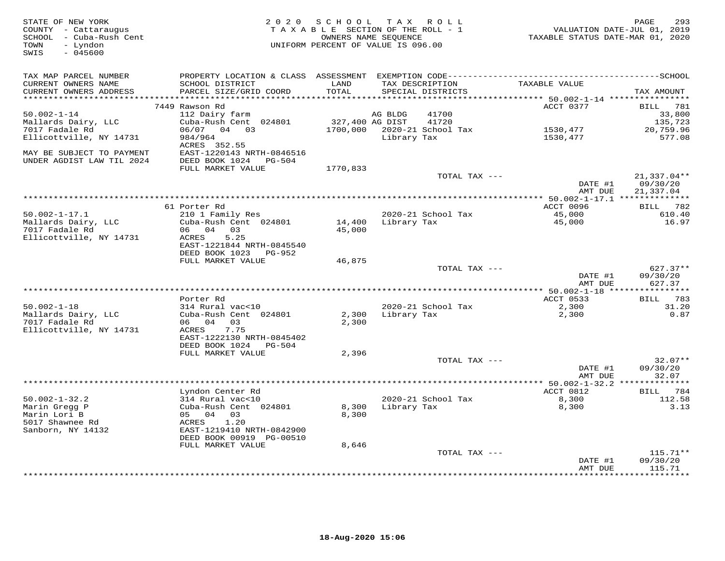| STATE OF NEW YORK<br>COUNTY - Cattaraugus<br>SCHOOL - Cuba-Rush Cent<br>- Lyndon<br>TOWN<br>$-045600$<br>SWIS |                                            | 2020 SCHOOL TAX ROLL<br>TAXABLE SECTION OF THE ROLL - 1<br>UNIFORM PERCENT OF VALUE IS 096.00 | OWNERS NAME SEQUENCE |                             | VALUATION DATE-JUL 01, 2019<br>TAXABLE STATUS DATE-MAR 01, 2020 | PAGE<br>293          |
|---------------------------------------------------------------------------------------------------------------|--------------------------------------------|-----------------------------------------------------------------------------------------------|----------------------|-----------------------------|-----------------------------------------------------------------|----------------------|
| TAX MAP PARCEL NUMBER                                                                                         |                                            |                                                                                               |                      |                             |                                                                 |                      |
| CURRENT OWNERS NAME<br>CURRENT OWNERS ADDRESS                                                                 | SCHOOL DISTRICT<br>PARCEL SIZE/GRID COORD  | LAND<br>TOTAL                                                                                 | TAX DESCRIPTION      | SPECIAL DISTRICTS           | TAXABLE VALUE                                                   | TAX AMOUNT           |
| **********************                                                                                        |                                            | ***************                                                                               |                      |                             | ********* 50.002-1-14 *****************                         |                      |
|                                                                                                               | 7449 Rawson Rd                             |                                                                                               |                      |                             | ACCT 0377                                                       | BILL<br>781          |
| $50.002 - 1 - 14$                                                                                             | 112 Dairy farm<br>Cuba-Rush Cent 024801    | 327,400 AG DIST                                                                               | AG BLDG              | 41700<br>41720              |                                                                 | 33,800               |
| Mallards Dairy, LLC<br>7017 Fadale Rd                                                                         | 06/07 04 03                                |                                                                                               |                      | 1700,000 2020-21 School Tax | 1530,477                                                        | 135,723<br>20,759.96 |
| Ellicottville, NY 14731                                                                                       | 984/964                                    |                                                                                               | Library Tax          |                             | 1530,477                                                        | 577.08               |
|                                                                                                               | ACRES 352.55                               |                                                                                               |                      |                             |                                                                 |                      |
| MAY BE SUBJECT TO PAYMENT                                                                                     | EAST-1220143 NRTH-0846516                  |                                                                                               |                      |                             |                                                                 |                      |
| UNDER AGDIST LAW TIL 2024                                                                                     | DEED BOOK 1024 PG-504                      |                                                                                               |                      |                             |                                                                 |                      |
|                                                                                                               | FULL MARKET VALUE                          | 1770,833                                                                                      |                      |                             |                                                                 |                      |
|                                                                                                               |                                            |                                                                                               |                      | TOTAL TAX ---               |                                                                 | $21,337.04**$        |
|                                                                                                               |                                            |                                                                                               |                      |                             | DATE #1                                                         | 09/30/20             |
|                                                                                                               |                                            |                                                                                               |                      |                             | AMT DUE                                                         | 21,337.04            |
|                                                                                                               |                                            |                                                                                               |                      |                             |                                                                 |                      |
|                                                                                                               | 61 Porter Rd                               |                                                                                               |                      |                             | ACCT 0096                                                       | BILL 782             |
| $50.002 - 1 - 17.1$                                                                                           | 210 1 Family Res                           |                                                                                               |                      | 2020-21 School Tax          | 45,000                                                          | 610.40               |
| Mallards Dairy, LLC                                                                                           | Cuba-Rush Cent 024801                      | 14,400                                                                                        | Library Tax          |                             | 45,000                                                          | 16.97                |
| 7017 Fadale Rd                                                                                                | 06 04 03                                   | 45,000                                                                                        |                      |                             |                                                                 |                      |
| Ellicottville, NY 14731                                                                                       | ACRES<br>5.25                              |                                                                                               |                      |                             |                                                                 |                      |
|                                                                                                               | EAST-1221844 NRTH-0845540                  |                                                                                               |                      |                             |                                                                 |                      |
|                                                                                                               | DEED BOOK 1023 PG-952<br>FULL MARKET VALUE | 46,875                                                                                        |                      |                             |                                                                 |                      |
|                                                                                                               |                                            |                                                                                               |                      | TOTAL TAX ---               |                                                                 | $627.37**$           |
|                                                                                                               |                                            |                                                                                               |                      |                             | DATE #1                                                         | 09/30/20             |
|                                                                                                               |                                            |                                                                                               |                      |                             | AMT DUE                                                         | 627.37               |
|                                                                                                               |                                            |                                                                                               |                      |                             |                                                                 |                      |
|                                                                                                               | Porter Rd                                  |                                                                                               |                      |                             | ACCT 0533                                                       | BILL 783             |
| $50.002 - 1 - 18$                                                                                             | 314 Rural vac<10                           |                                                                                               |                      | 2020-21 School Tax          | 2,300                                                           | 31.20                |
| Mallards Dairy, LLC                                                                                           | Cuba-Rush Cent 024801                      | 2,300                                                                                         | Library Tax          |                             | 2,300                                                           | 0.87                 |
| 7017 Fadale Rd                                                                                                | 06 04<br>03                                | 2,300                                                                                         |                      |                             |                                                                 |                      |
| Ellicottville, NY 14731                                                                                       | 7.75<br>ACRES                              |                                                                                               |                      |                             |                                                                 |                      |
|                                                                                                               | EAST-1222130 NRTH-0845402                  |                                                                                               |                      |                             |                                                                 |                      |
|                                                                                                               | DEED BOOK 1024<br>PG-504                   |                                                                                               |                      |                             |                                                                 |                      |
|                                                                                                               | FULL MARKET VALUE                          | 2,396                                                                                         |                      |                             |                                                                 |                      |
|                                                                                                               |                                            |                                                                                               |                      | TOTAL TAX ---               |                                                                 | $32.07**$            |
|                                                                                                               |                                            |                                                                                               |                      |                             | DATE #1                                                         | 09/30/20             |
|                                                                                                               |                                            |                                                                                               |                      |                             | AMT DUE                                                         | 32.07                |
|                                                                                                               |                                            |                                                                                               |                      |                             |                                                                 |                      |
| $50.002 - 1 - 32.2$                                                                                           | Lyndon Center Rd<br>314 Rural vac<10       |                                                                                               |                      | 2020-21 School Tax          | ACCT 0812                                                       | BILL 784<br>112.58   |
| Marin Gregg P                                                                                                 | Cuba-Rush Cent 024801                      | 8,300                                                                                         | Library Tax          |                             | 8,300<br>8,300                                                  | 3.13                 |
| Marin Lori B                                                                                                  | 05 04<br>03                                | 8,300                                                                                         |                      |                             |                                                                 |                      |
| 5017 Shawnee Rd                                                                                               | 1.20<br>ACRES                              |                                                                                               |                      |                             |                                                                 |                      |
| Sanborn, NY 14132                                                                                             | EAST-1219410 NRTH-0842900                  |                                                                                               |                      |                             |                                                                 |                      |
|                                                                                                               | DEED BOOK 00919 PG-00510                   |                                                                                               |                      |                             |                                                                 |                      |
|                                                                                                               | FULL MARKET VALUE                          | 8,646                                                                                         |                      |                             |                                                                 |                      |
|                                                                                                               |                                            |                                                                                               |                      | TOTAL TAX ---               |                                                                 | $115.71**$           |
|                                                                                                               |                                            |                                                                                               |                      |                             | DATE #1                                                         | 09/30/20             |
|                                                                                                               |                                            |                                                                                               |                      |                             | AMT DUE                                                         | 115.71               |
|                                                                                                               |                                            |                                                                                               |                      |                             |                                                                 | **********           |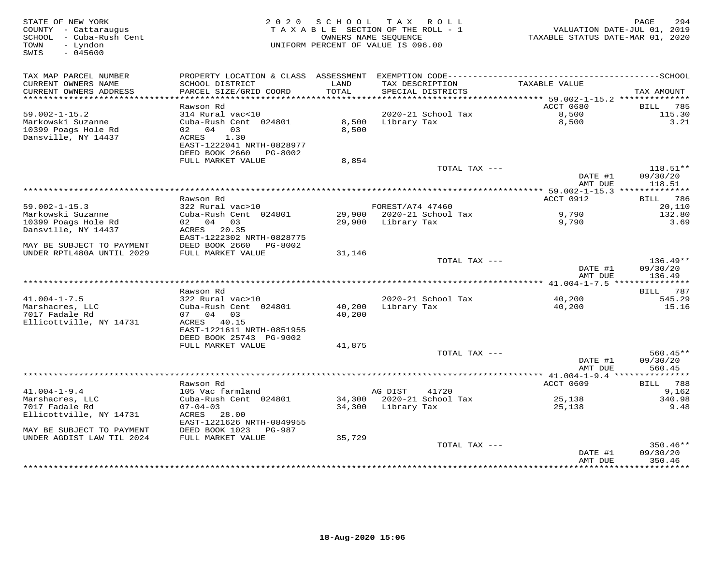| STATE OF NEW YORK<br>COUNTY - Cattaraugus<br>SCHOOL - Cuba-Rush Cent<br>- Lyndon<br>TOWN<br>SWIS<br>$-045600$ |                                                                                    | 2020 SCHOOL TAX | ROLL<br>TAXABLE SECTION OF THE ROLL - 1<br>OWNERS NAME SEQUENCE<br>UNIFORM PERCENT OF VALUE IS 096.00 | VALUATION DATE-JUL 01, 2019<br>TAXABLE STATUS DATE-MAR 01, 2020 | 294<br>PAGE                      |
|---------------------------------------------------------------------------------------------------------------|------------------------------------------------------------------------------------|-----------------|-------------------------------------------------------------------------------------------------------|-----------------------------------------------------------------|----------------------------------|
| TAX MAP PARCEL NUMBER                                                                                         |                                                                                    |                 |                                                                                                       |                                                                 |                                  |
| CURRENT OWNERS NAME<br>CURRENT OWNERS ADDRESS<br>***********************                                      | SCHOOL DISTRICT<br>PARCEL SIZE/GRID COORD<br>*************************             | LAND<br>TOTAL   | TAX DESCRIPTION<br>SPECIAL DISTRICTS                                                                  | TAXABLE VALUE                                                   | TAX AMOUNT                       |
|                                                                                                               | Rawson Rd                                                                          |                 |                                                                                                       | ACCT 0680                                                       | 785<br>BILL                      |
| $59.002 - 1 - 15.2$                                                                                           | 314 Rural vac<10                                                                   |                 | 2020-21 School Tax                                                                                    | 8,500                                                           | 115.30                           |
| Markowski Suzanne<br>10399 Poags Hole Rd<br>Dansville, NY 14437                                               | Cuba-Rush Cent 024801<br>02 04<br>03<br>1.30<br>ACRES<br>EAST-1222041 NRTH-0828977 | 8,500<br>8,500  | Library Tax                                                                                           | 8,500                                                           | 3.21                             |
|                                                                                                               | DEED BOOK 2660 PG-8002                                                             |                 |                                                                                                       |                                                                 |                                  |
|                                                                                                               | FULL MARKET VALUE                                                                  | 8,854           |                                                                                                       |                                                                 |                                  |
|                                                                                                               |                                                                                    |                 | TOTAL TAX ---                                                                                         | DATE #1<br>AMT DUE                                              | $118.51**$<br>09/30/20<br>118.51 |
|                                                                                                               |                                                                                    |                 |                                                                                                       | ******** 59.002-1-15.3 **************                           |                                  |
|                                                                                                               | Rawson Rd                                                                          |                 |                                                                                                       | ACCT 0912                                                       | <b>BILL</b> 786                  |
| $59.002 - 1 - 15.3$                                                                                           | 322 Rural vac>10                                                                   |                 | FOREST/A74 47460                                                                                      |                                                                 | 20,110                           |
| Markowski Suzanne<br>10399 Poags Hole Rd                                                                      | Cuba-Rush Cent 024801<br>02 04 03                                                  | 29,900          | 29,900 2020-21 School Tax<br>Library Tax                                                              | 9,790                                                           | 132.80<br>3.69                   |
| Dansville, NY 14437                                                                                           | ACRES 20.35                                                                        |                 |                                                                                                       | 9,790                                                           |                                  |
|                                                                                                               | EAST-1222302 NRTH-0828775                                                          |                 |                                                                                                       |                                                                 |                                  |
| MAY BE SUBJECT TO PAYMENT                                                                                     | DEED BOOK 2660<br>PG-8002                                                          |                 |                                                                                                       |                                                                 |                                  |
| UNDER RPTL480A UNTIL 2029                                                                                     | FULL MARKET VALUE                                                                  | 31,146          |                                                                                                       |                                                                 |                                  |
|                                                                                                               |                                                                                    |                 | TOTAL TAX ---                                                                                         | DATE #1<br>AMT DUE                                              | $136.49**$<br>09/30/20<br>136.49 |
|                                                                                                               |                                                                                    |                 |                                                                                                       |                                                                 |                                  |
|                                                                                                               | Rawson Rd                                                                          |                 |                                                                                                       |                                                                 | BILL 787                         |
| $41.004 - 1 - 7.5$                                                                                            | 322 Rural vac>10                                                                   |                 | 2020-21 School Tax                                                                                    | 40,200                                                          | 545.29                           |
| Marshacres, LLC                                                                                               | Cuba-Rush Cent 024801                                                              | 40,200          | Library Tax                                                                                           | 40,200                                                          | 15.16                            |
| 7017 Fadale Rd<br>Ellicottville, NY 14731                                                                     | 07 04 03<br>ACRES 40.15                                                            | 40,200          |                                                                                                       |                                                                 |                                  |
|                                                                                                               | EAST-1221611 NRTH-0851955                                                          |                 |                                                                                                       |                                                                 |                                  |
|                                                                                                               | DEED BOOK 25743 PG-9002                                                            |                 |                                                                                                       |                                                                 |                                  |
|                                                                                                               | FULL MARKET VALUE                                                                  | 41,875          |                                                                                                       |                                                                 |                                  |
|                                                                                                               |                                                                                    |                 | TOTAL TAX ---                                                                                         |                                                                 | $560.45**$                       |
|                                                                                                               |                                                                                    |                 |                                                                                                       | DATE #1                                                         | 09/30/20                         |
|                                                                                                               |                                                                                    |                 |                                                                                                       | AMT DUE<br>*********** 41.004-1-9.4 ****************            | 560.45                           |
|                                                                                                               | Rawson Rd                                                                          |                 |                                                                                                       | ACCT 0609                                                       | 788<br>BILL                      |
| $41.004 - 1 - 9.4$                                                                                            | 105 Vac farmland                                                                   |                 | AG DIST<br>41720                                                                                      |                                                                 | 9,162                            |
| Marshacres, LLC                                                                                               | Cuba-Rush Cent 024801                                                              | 34,300          | 2020-21 School Tax                                                                                    | 25,138                                                          | 340.98                           |
| 7017 Fadale Rd                                                                                                | $07 - 04 - 03$                                                                     | 34,300          | Library Tax                                                                                           | 25,138                                                          | 9.48                             |
| Ellicottville, NY 14731                                                                                       | ACRES 28.00                                                                        |                 |                                                                                                       |                                                                 |                                  |
| MAY BE SUBJECT TO PAYMENT                                                                                     | EAST-1221626 NRTH-0849955<br>DEED BOOK 1023<br>PG-987                              |                 |                                                                                                       |                                                                 |                                  |
| UNDER AGDIST LAW TIL 2024                                                                                     | FULL MARKET VALUE                                                                  | 35,729          |                                                                                                       |                                                                 |                                  |
|                                                                                                               |                                                                                    |                 | TOTAL TAX ---                                                                                         |                                                                 | 350.46**                         |
|                                                                                                               |                                                                                    |                 |                                                                                                       | DATE #1<br>AMT DUE                                              | 09/30/20<br>350.46               |
|                                                                                                               |                                                                                    |                 | ***************************                                                                           | **********                                                      | **********                       |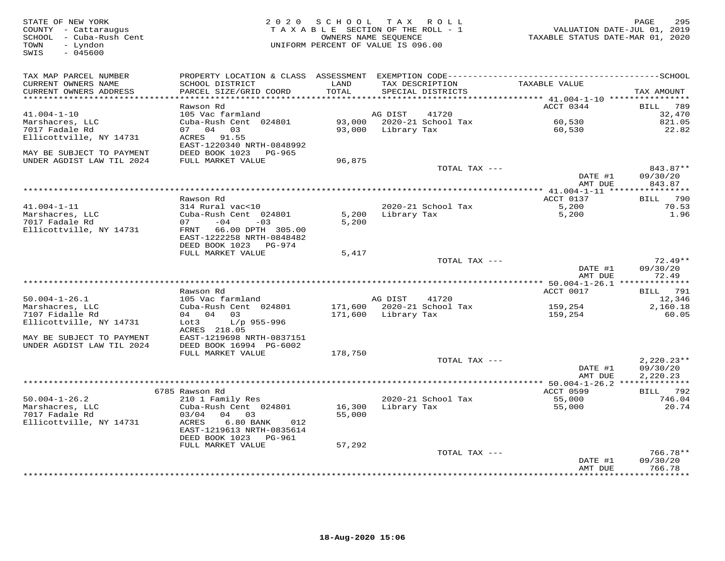| STATE OF NEW YORK<br>COUNTY - Cattaraugus<br>SCHOOL - Cuba-Rush Cent<br>TOWN<br>- Lyndon<br>$-045600$<br>SWIS |                                                                                                                                           |               | 2020 SCHOOL TAX ROLL<br>TAXABLE SECTION OF THE ROLL - 1<br>OWNERS NAME SEQUENCE<br>UNIFORM PERCENT OF VALUE IS 096.00 | TAXABLE STATUS DATE-MAR 01, 2020                | PAGE<br>295<br>VALUATION DATE-JUL 01, 2019 |
|---------------------------------------------------------------------------------------------------------------|-------------------------------------------------------------------------------------------------------------------------------------------|---------------|-----------------------------------------------------------------------------------------------------------------------|-------------------------------------------------|--------------------------------------------|
| TAX MAP PARCEL NUMBER<br>CURRENT OWNERS NAME<br>CURRENT OWNERS ADDRESS                                        | PROPERTY LOCATION & CLASS ASSESSMENT EXEMPTION CODE-----------------------------------SCHOOL<br>SCHOOL DISTRICT<br>PARCEL SIZE/GRID COORD | LAND<br>TOTAL | TAX DESCRIPTION<br>SPECIAL DISTRICTS                                                                                  | TAXABLE VALUE                                   | TAX AMOUNT                                 |
| **********************                                                                                        |                                                                                                                                           | ***********   |                                                                                                                       |                                                 |                                            |
| $41.004 - 1 - 10$                                                                                             | Rawson Rd<br>105 Vac farmland                                                                                                             |               | AG DIST<br>41720                                                                                                      | ACCT 0344                                       | 789<br>BILL<br>32,470                      |
| Marshacres, LLC                                                                                               | Cuba-Rush Cent 024801                                                                                                                     |               | 93,000 2020-21 School Tax                                                                                             | 60,530                                          | 821.05                                     |
| 7017 Fadale Rd                                                                                                | 07 04 03                                                                                                                                  |               | 93,000 Library Tax                                                                                                    | 60,530                                          | 22.82                                      |
| Ellicottville, NY 14731                                                                                       | ACRES<br>91.55<br>EAST-1220340 NRTH-0848992                                                                                               |               |                                                                                                                       |                                                 |                                            |
| MAY BE SUBJECT TO PAYMENT                                                                                     | DEED BOOK 1023 PG-965                                                                                                                     |               |                                                                                                                       |                                                 |                                            |
| UNDER AGDIST LAW TIL 2024                                                                                     | FULL MARKET VALUE                                                                                                                         | 96,875        |                                                                                                                       |                                                 |                                            |
|                                                                                                               |                                                                                                                                           |               | TOTAL TAX ---                                                                                                         | DATE #1<br>AMT DUE                              | 843.87**<br>09/30/20<br>843.87             |
|                                                                                                               |                                                                                                                                           |               | *************************                                                                                             | *** 41.004-1-11 ****************                |                                            |
|                                                                                                               | Rawson Rd                                                                                                                                 |               |                                                                                                                       | ACCT 0137                                       | BILL 790                                   |
| $41.004 - 1 - 11$                                                                                             | 314 Rural vac<10                                                                                                                          |               | 2020-21 School Tax                                                                                                    | 5,200                                           | 70.53                                      |
| Marshacres, LLC                                                                                               | Cuba-Rush Cent 024801                                                                                                                     | 5,200         | Library Tax                                                                                                           | 5,200                                           | 1.96                                       |
| 7017 Fadale Rd                                                                                                | 07<br>$-04$<br>$-03$                                                                                                                      | 5,200         |                                                                                                                       |                                                 |                                            |
| Ellicottville, NY 14731                                                                                       | FRNT 66.00 DPTH 305.00<br>EAST-1222258 NRTH-0848482                                                                                       |               |                                                                                                                       |                                                 |                                            |
|                                                                                                               | DEED BOOK 1023<br>PG-974                                                                                                                  |               |                                                                                                                       |                                                 |                                            |
|                                                                                                               | FULL MARKET VALUE                                                                                                                         | 5,417         |                                                                                                                       |                                                 |                                            |
|                                                                                                               |                                                                                                                                           |               | TOTAL TAX ---                                                                                                         |                                                 | $72.49**$                                  |
|                                                                                                               |                                                                                                                                           |               |                                                                                                                       | DATE #1                                         | 09/30/20                                   |
| *****************************                                                                                 |                                                                                                                                           |               |                                                                                                                       | AMT DUE                                         | 72.49                                      |
|                                                                                                               | Rawson Rd                                                                                                                                 |               |                                                                                                                       | ACCT 0017                                       | 791<br>BILL                                |
| $50.004 - 1 - 26.1$                                                                                           | 105 Vac farmland                                                                                                                          |               | AG DIST<br>41720                                                                                                      |                                                 | 12,346                                     |
| Marshacres, LLC                                                                                               | Cuba-Rush Cent 024801                                                                                                                     | 171,600       | 2020-21 School Tax                                                                                                    | 159,254                                         | 2,160.18                                   |
| 7107 Fidalle Rd                                                                                               | 04 04<br>03                                                                                                                               | 171,600       | Library Tax                                                                                                           | 159,254                                         | 60.05                                      |
| Ellicottville, NY 14731                                                                                       | Lot3<br>$L/p$ 955-996                                                                                                                     |               |                                                                                                                       |                                                 |                                            |
|                                                                                                               | ACRES 218.05                                                                                                                              |               |                                                                                                                       |                                                 |                                            |
| MAY BE SUBJECT TO PAYMENT<br>UNDER AGDIST LAW TIL 2024                                                        | EAST-1219698 NRTH-0837151<br>DEED BOOK 16994 PG-6002                                                                                      |               |                                                                                                                       |                                                 |                                            |
|                                                                                                               | FULL MARKET VALUE                                                                                                                         | 178,750       |                                                                                                                       |                                                 |                                            |
|                                                                                                               |                                                                                                                                           |               | TOTAL TAX ---                                                                                                         |                                                 | $2,220.23**$                               |
|                                                                                                               |                                                                                                                                           |               |                                                                                                                       | DATE #1                                         | 09/30/20                                   |
|                                                                                                               |                                                                                                                                           |               |                                                                                                                       | AMT DUE                                         | 2,220.23                                   |
|                                                                                                               |                                                                                                                                           |               |                                                                                                                       | ***** 50.004-1-26.2 **************<br>ACCT 0599 | BILL 792                                   |
| $50.004 - 1 - 26.2$                                                                                           | 6785 Rawson Rd<br>210 1 Family Res                                                                                                        |               | 2020-21 School Tax                                                                                                    | 55,000                                          | 746.04                                     |
| Marshacres, LLC                                                                                               | Cuba-Rush Cent 024801                                                                                                                     | 16,300        | Library Tax                                                                                                           | 55,000                                          | 20.74                                      |
| 7017 Fadale Rd                                                                                                | 03/04<br>04 03                                                                                                                            | 55,000        |                                                                                                                       |                                                 |                                            |
| Ellicottville, NY 14731                                                                                       | ACRES<br>6.80 BANK<br>012                                                                                                                 |               |                                                                                                                       |                                                 |                                            |
|                                                                                                               | EAST-1219613 NRTH-0835614                                                                                                                 |               |                                                                                                                       |                                                 |                                            |
|                                                                                                               | DEED BOOK 1023 PG-961                                                                                                                     |               |                                                                                                                       |                                                 |                                            |
|                                                                                                               | FULL MARKET VALUE                                                                                                                         | 57,292        | TOTAL TAX ---                                                                                                         |                                                 | $766.78**$                                 |
|                                                                                                               |                                                                                                                                           |               |                                                                                                                       | DATE #1                                         | 09/30/20                                   |
|                                                                                                               |                                                                                                                                           |               |                                                                                                                       | AMT DUE                                         | 766.78                                     |
|                                                                                                               |                                                                                                                                           |               | *********************************                                                                                     |                                                 | *********                                  |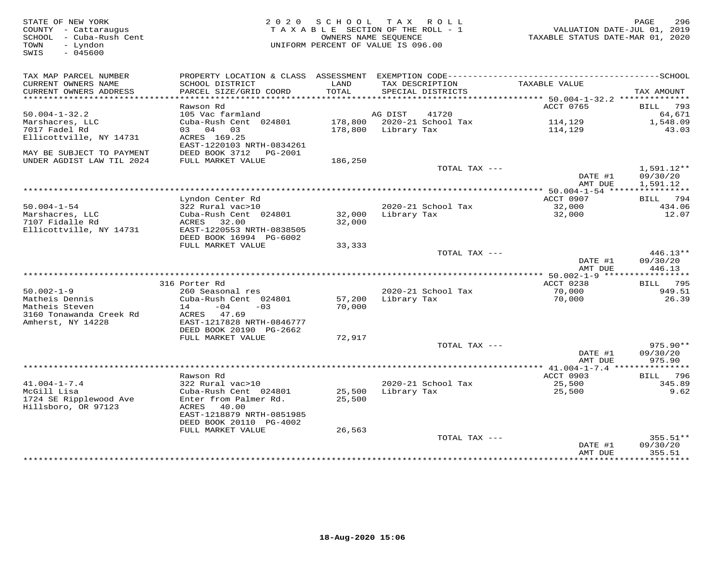| STATE OF NEW YORK<br>COUNTY - Cattaraugus<br>SCHOOL - Cuba-Rush Cent<br>- Lyndon<br>TOWN<br>SWIS<br>$-045600$ | T A X<br>2020 SCHOOL<br>R O L L<br>TAXABLE SECTION OF THE ROLL - 1<br>OWNERS NAME SEQUENCE<br>UNIFORM PERCENT OF VALUE IS 096.00 |                  |                                      | VALUATION DATE-JUL 01, 2019<br>TAXABLE STATUS DATE-MAR 01, 2020 | 296<br>PAGE                      |
|---------------------------------------------------------------------------------------------------------------|----------------------------------------------------------------------------------------------------------------------------------|------------------|--------------------------------------|-----------------------------------------------------------------|----------------------------------|
| TAX MAP PARCEL NUMBER<br>CURRENT OWNERS NAME<br>CURRENT OWNERS ADDRESS                                        | SCHOOL DISTRICT<br>PARCEL SIZE/GRID COORD                                                                                        | LAND<br>TOTAL    | TAX DESCRIPTION<br>SPECIAL DISTRICTS | TAXABLE VALUE                                                   | TAX AMOUNT                       |
|                                                                                                               |                                                                                                                                  |                  |                                      |                                                                 |                                  |
| $50.004 - 1 - 32.2$                                                                                           | Rawson Rd<br>105 Vac farmland                                                                                                    |                  | 41720<br>AG DIST                     | ACCT 0765                                                       | 793<br><b>BILL</b><br>64,671     |
| Marshacres, LLC                                                                                               | Cuba-Rush Cent 024801                                                                                                            |                  | 178,800 2020-21 School Tax           | 114,129                                                         | 1,548.09                         |
| 7017 Fadel Rd                                                                                                 | 03 04<br>03                                                                                                                      | 178,800          | Library Tax                          | 114,129                                                         | 43.03                            |
| Ellicottville, NY 14731                                                                                       | ACRES 169.25<br>EAST-1220103 NRTH-0834261                                                                                        |                  |                                      |                                                                 |                                  |
| MAY BE SUBJECT TO PAYMENT<br>UNDER AGDIST LAW TIL 2024                                                        | DEED BOOK 3712<br>PG-2001<br>FULL MARKET VALUE                                                                                   | 186,250          |                                      |                                                                 |                                  |
|                                                                                                               |                                                                                                                                  |                  | TOTAL TAX ---                        |                                                                 | 1,591.12**                       |
|                                                                                                               |                                                                                                                                  |                  |                                      | DATE #1<br>AMT DUE                                              | 09/30/20<br>1,591.12             |
|                                                                                                               |                                                                                                                                  |                  |                                      |                                                                 |                                  |
| $50.004 - 1 - 54$                                                                                             | Lyndon Center Rd<br>322 Rural vac>10                                                                                             |                  | 2020-21 School Tax                   | ACCT 0907<br>32,000                                             | BILL<br>794<br>434.06            |
| Marshacres, LLC                                                                                               | Cuba-Rush Cent 024801                                                                                                            | 32,000           | Library Tax                          | 32,000                                                          | 12.07                            |
| 7107 Fidalle Rd<br>Ellicottville, NY 14731                                                                    | ACRES<br>32.00<br>EAST-1220553 NRTH-0838505                                                                                      | 32,000           |                                      |                                                                 |                                  |
|                                                                                                               | DEED BOOK 16994 PG-6002                                                                                                          |                  |                                      |                                                                 |                                  |
|                                                                                                               | FULL MARKET VALUE                                                                                                                | 33,333           | TOTAL TAX ---                        |                                                                 | $446.13**$                       |
|                                                                                                               |                                                                                                                                  |                  |                                      | DATE #1<br>AMT DUE                                              | 09/30/20<br>446.13               |
|                                                                                                               |                                                                                                                                  |                  |                                      | *********** 50.002-1-9 ******                                   | ***********                      |
|                                                                                                               | 316 Porter Rd                                                                                                                    |                  |                                      | ACCT 0238                                                       | 795<br><b>BILL</b>               |
| $50.002 - 1 - 9$<br>Matheis Dennis<br>Matheis Steven<br>3160 Tonawanda Creek Rd                               | 260 Seasonal res<br>Cuba-Rush Cent 024801<br>$-04$<br>14<br>$-03$<br>ACRES 47.69                                                 | 57,200<br>70,000 | 2020-21 School Tax<br>Library Tax    | 70,000<br>70,000                                                | 949.51<br>26.39                  |
| Amherst, NY 14228                                                                                             | EAST-1217828 NRTH-0846777<br>DEED BOOK 20190 PG-2662                                                                             |                  |                                      |                                                                 |                                  |
|                                                                                                               | FULL MARKET VALUE                                                                                                                | 72,917           |                                      |                                                                 |                                  |
|                                                                                                               |                                                                                                                                  |                  | TOTAL TAX ---                        | DATE #1<br>AMT DUE                                              | $975.90**$<br>09/30/20<br>975.90 |
|                                                                                                               |                                                                                                                                  |                  |                                      |                                                                 |                                  |
|                                                                                                               | Rawson Rd                                                                                                                        |                  |                                      | ACCT 0903                                                       | 796<br>BILL                      |
| $41.004 - 1 - 7.4$                                                                                            | 322 Rural vac>10                                                                                                                 |                  | 2020-21 School Tax                   | 25,500                                                          | 345.89                           |
| McGill Lisa<br>1724 SE Ripplewood Ave<br>Hillsboro, OR 97123                                                  | Cuba-Rush Cent 024801<br>Enter from Palmer Rd.<br>40.00<br>ACRES<br>EAST-1218879 NRTH-0851985<br>DEED BOOK 20110 PG-4002         | 25,500<br>25,500 | Library Tax                          | 25,500                                                          | 9.62                             |
|                                                                                                               | FULL MARKET VALUE                                                                                                                | 26,563           |                                      |                                                                 |                                  |
|                                                                                                               |                                                                                                                                  |                  | TOTAL TAX ---                        | DATE #1<br>AMT DUE                                              | 355.51**<br>09/30/20<br>355.51   |
|                                                                                                               |                                                                                                                                  |                  |                                      |                                                                 |                                  |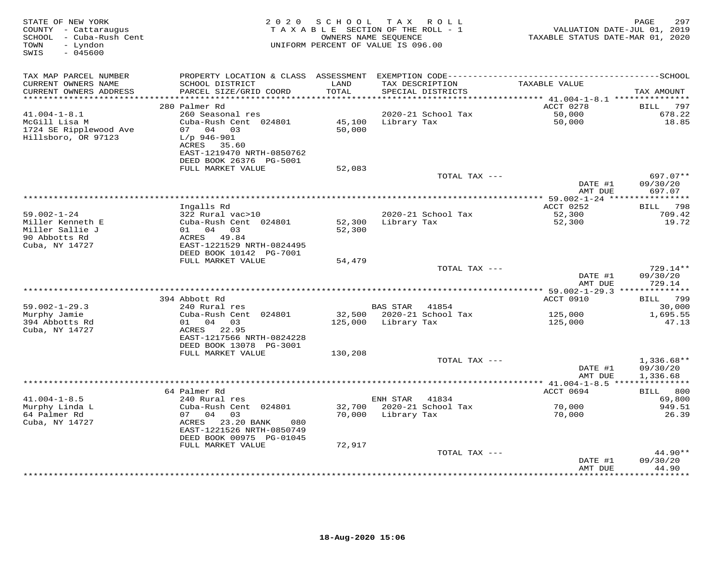| STATE OF NEW YORK<br>COUNTY - Cattaraugus<br>SCHOOL - Cuba-Rush Cent<br>TOWN<br>- Lyndon<br>$-045600$<br>SWIS | 2020 SCHOOL<br>TAX ROLL<br>TAXABLE SECTION OF THE ROLL - 1<br>OWNERS NAME SEQUENCE<br>UNIFORM PERCENT OF VALUE IS 096.00  |                  |                                      | PAGE<br>297<br>VALUATION DATE-JUL 01, 2019<br>TAXABLE STATUS DATE-MAR 01, 2020 |                                      |
|---------------------------------------------------------------------------------------------------------------|---------------------------------------------------------------------------------------------------------------------------|------------------|--------------------------------------|--------------------------------------------------------------------------------|--------------------------------------|
| TAX MAP PARCEL NUMBER                                                                                         |                                                                                                                           |                  |                                      |                                                                                |                                      |
| CURRENT OWNERS NAME<br>CURRENT OWNERS ADDRESS                                                                 | SCHOOL DISTRICT<br>PARCEL SIZE/GRID COORD                                                                                 | LAND<br>TOTAL    | TAX DESCRIPTION<br>SPECIAL DISTRICTS | TAXABLE VALUE                                                                  | TAX AMOUNT                           |
| ***********************                                                                                       |                                                                                                                           |                  |                                      |                                                                                |                                      |
|                                                                                                               | 280 Palmer Rd                                                                                                             |                  |                                      | ACCT 0278                                                                      | 797<br>BILL                          |
| $41.004 - 1 - 8.1$                                                                                            | 260 Seasonal res                                                                                                          |                  | 2020-21 School Tax                   | 50,000                                                                         | 678.22                               |
| McGill Lisa M<br>1724 SE Ripplewood Ave<br>Hillsboro, OR 97123                                                | Cuba-Rush Cent 024801<br>07 04 03<br>$L/p$ 946-901<br>ACRES 35.60<br>EAST-1219470 NRTH-0850762<br>DEED BOOK 26376 PG-5001 | 45,100<br>50,000 | Library Tax                          | 50,000                                                                         | 18.85                                |
|                                                                                                               | FULL MARKET VALUE                                                                                                         | 52,083           |                                      |                                                                                |                                      |
|                                                                                                               |                                                                                                                           |                  | TOTAL TAX ---                        | DATE #1<br>AMT DUE                                                             | 697.07**<br>09/30/20<br>697.07       |
|                                                                                                               |                                                                                                                           |                  |                                      |                                                                                | ***********                          |
|                                                                                                               | Ingalls Rd                                                                                                                |                  |                                      | ACCT 0252                                                                      | BILL 798                             |
| $59.002 - 1 - 24$                                                                                             | 322 Rural vac>10                                                                                                          |                  | 2020-21 School Tax                   | 52,300                                                                         | 709.42                               |
| Miller Kenneth E                                                                                              | Cuba-Rush Cent 024801                                                                                                     | 52,300           | Library Tax                          | 52,300                                                                         | 19.72                                |
| Miller Sallie J<br>90 Abbotts Rd                                                                              | 01 04 03<br>ACRES 49.84                                                                                                   | 52,300           |                                      |                                                                                |                                      |
| Cuba, NY 14727                                                                                                | EAST-1221529 NRTH-0824495<br>DEED BOOK 10142 PG-7001                                                                      |                  |                                      |                                                                                |                                      |
|                                                                                                               | FULL MARKET VALUE                                                                                                         | 54,479           |                                      |                                                                                |                                      |
|                                                                                                               |                                                                                                                           |                  | TOTAL TAX ---                        |                                                                                | 729.14**                             |
|                                                                                                               |                                                                                                                           |                  |                                      | DATE #1<br>AMT DUE                                                             | 09/30/20<br>729.14                   |
|                                                                                                               |                                                                                                                           |                  |                                      |                                                                                |                                      |
| $59.002 - 1 - 29.3$                                                                                           | 394 Abbott Rd<br>240 Rural res                                                                                            |                  | BAS STAR<br>41854                    | ACCT 0910                                                                      | BILL 799<br>30,000                   |
| Murphy Jamie                                                                                                  | Cuba-Rush Cent 024801                                                                                                     |                  | 32,500 2020-21 School Tax            | 125,000                                                                        | 1,695.55                             |
| 394 Abbotts Rd<br>Cuba, NY 14727                                                                              | 01 04 03<br>ACRES 22.95<br>EAST-1217566 NRTH-0824228<br>DEED BOOK 13078 PG-3001                                           |                  | 125,000 Library Tax                  | 125,000                                                                        | 47.13                                |
|                                                                                                               | FULL MARKET VALUE                                                                                                         | 130,208          |                                      |                                                                                |                                      |
|                                                                                                               |                                                                                                                           |                  | TOTAL TAX ---                        | DATE #1<br>AMT DUE                                                             | $1,336.68**$<br>09/30/20<br>1,336.68 |
|                                                                                                               |                                                                                                                           |                  |                                      |                                                                                |                                      |
|                                                                                                               | 64 Palmer Rd                                                                                                              |                  |                                      | ACCT 0694                                                                      | BILL 800                             |
| $41.004 - 1 - 8.5$                                                                                            | 240 Rural res                                                                                                             |                  | ENH STAR 41834                       |                                                                                | 69,800                               |
| Murphy Linda L                                                                                                | Cuba-Rush Cent 024801                                                                                                     | 32,700           | 2020-21 School Tax                   | 70,000                                                                         | 949.51                               |
| 64 Palmer Rd<br>Cuba, NY 14727                                                                                | 07 04 03<br>ACRES 23.20 BANK<br>080<br>EAST-1221526 NRTH-0850749                                                          |                  | 70,000 Library Tax                   | 70,000                                                                         | 26.39                                |
|                                                                                                               | DEED BOOK 00975 PG-01045<br>FULL MARKET VALUE                                                                             | 72,917           |                                      |                                                                                |                                      |
|                                                                                                               |                                                                                                                           |                  | TOTAL TAX ---                        |                                                                                | $44.90**$                            |
|                                                                                                               |                                                                                                                           |                  |                                      | DATE #1<br>AMT DUE                                                             | 09/30/20<br>44.90                    |
|                                                                                                               |                                                                                                                           |                  |                                      |                                                                                |                                      |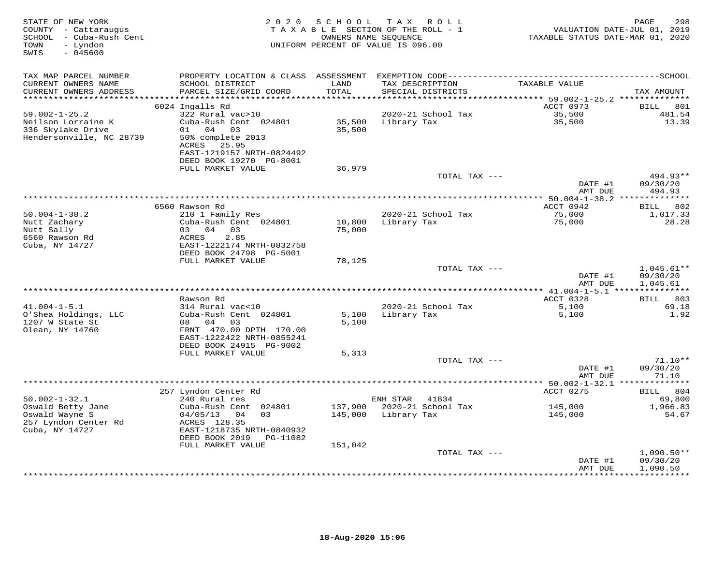| STATE OF NEW YORK<br>COUNTY - Cattaraugus<br>SCHOOL - Cuba-Rush Cent<br>TOWN<br>- Lyndon<br>SWIS<br>$-045600$ | 2 0 2 0                                              | SCHOOL        | T A X<br>ROLL ROLL<br>TAXABLE SECTION OF THE ROLL - 1<br>OWNERS NAME SEQUENCE<br>UNIFORM PERCENT OF VALUE IS 096.00 | TAXABLE STATUS DATE-MAR 01, 2020 | 298<br>PAGE<br>VALUATION DATE-JUL 01, 2019 |
|---------------------------------------------------------------------------------------------------------------|------------------------------------------------------|---------------|---------------------------------------------------------------------------------------------------------------------|----------------------------------|--------------------------------------------|
| TAX MAP PARCEL NUMBER                                                                                         | PROPERTY LOCATION & CLASS ASSESSMENT                 |               |                                                                                                                     |                                  |                                            |
| CURRENT OWNERS NAME<br>CURRENT OWNERS ADDRESS<br>***********************                                      | SCHOOL DISTRICT<br>PARCEL SIZE/GRID COORD            | LAND<br>TOTAL | TAX DESCRIPTION<br>SPECIAL DISTRICTS                                                                                | TAXABLE VALUE                    | TAX AMOUNT                                 |
|                                                                                                               | 6024 Ingalls Rd                                      |               |                                                                                                                     | ACCT 0973                        | 801<br><b>BILL</b>                         |
| $59.002 - 1 - 25.2$                                                                                           | 322 Rural vac>10                                     |               | 2020-21 School Tax                                                                                                  | 35,500                           | 481.54                                     |
| Neilson Lorraine K                                                                                            | Cuba-Rush Cent 024801                                | 35,500        | Library Tax                                                                                                         | 35,500                           | 13.39                                      |
| 336 Skylake Drive                                                                                             | 01 04 03                                             | 35,500        |                                                                                                                     |                                  |                                            |
| Hendersonville, NC 28739                                                                                      | 50% complete 2013                                    |               |                                                                                                                     |                                  |                                            |
|                                                                                                               | ACRES 25.95                                          |               |                                                                                                                     |                                  |                                            |
|                                                                                                               | EAST-1219157 NRTH-0824492                            |               |                                                                                                                     |                                  |                                            |
|                                                                                                               | DEED BOOK 19270 PG-8001<br>FULL MARKET VALUE         | 36,979        |                                                                                                                     |                                  |                                            |
|                                                                                                               |                                                      |               | TOTAL TAX ---                                                                                                       |                                  | 494.93**                                   |
|                                                                                                               |                                                      |               |                                                                                                                     | DATE #1                          | 09/30/20                                   |
|                                                                                                               |                                                      |               |                                                                                                                     | AMT DUE                          | 494.93                                     |
|                                                                                                               |                                                      |               |                                                                                                                     |                                  |                                            |
|                                                                                                               | 6560 Rawson Rd                                       |               |                                                                                                                     | ACCT 0942                        | 802<br>BILL                                |
| $50.004 - 1 - 38.2$<br>Nutt Zachary                                                                           | 210 1 Family Res<br>Cuba-Rush Cent 024801            | 10,800        | 2020-21 School Tax<br>Library Tax                                                                                   | 75,000<br>75,000                 | 1,017.33<br>28.28                          |
| Nutt Sally                                                                                                    | 03 04 03                                             | 75,000        |                                                                                                                     |                                  |                                            |
| 6560 Rawson Rd                                                                                                | 2.85<br>ACRES                                        |               |                                                                                                                     |                                  |                                            |
| Cuba, NY 14727                                                                                                | EAST-1222174 NRTH-0832758                            |               |                                                                                                                     |                                  |                                            |
|                                                                                                               | DEED BOOK 24798 PG-5001                              |               |                                                                                                                     |                                  |                                            |
|                                                                                                               | FULL MARKET VALUE                                    | 78,125        |                                                                                                                     |                                  |                                            |
|                                                                                                               |                                                      |               | TOTAL TAX ---                                                                                                       |                                  | $1,045.61**$                               |
|                                                                                                               |                                                      |               |                                                                                                                     | DATE #1<br>AMT DUE               | 09/30/20<br>1,045.61                       |
|                                                                                                               |                                                      |               |                                                                                                                     |                                  | ***************                            |
|                                                                                                               | Rawson Rd                                            |               |                                                                                                                     | ACCT 0328                        | BILL 803                                   |
| $41.004 - 1 - 5.1$                                                                                            | 314 Rural vac<10                                     |               | 2020-21 School Tax                                                                                                  | 5,100                            | 69.18                                      |
| O'Shea Holdings, LLC                                                                                          | Cuba-Rush Cent 024801                                | 5,100         | Library Tax                                                                                                         | 5,100                            | 1.92                                       |
| 1207 W State St                                                                                               | 08 04<br>03                                          | 5,100         |                                                                                                                     |                                  |                                            |
| Olean, NY 14760                                                                                               | FRNT 470.00 DPTH 170.00<br>EAST-1222422 NRTH-0855241 |               |                                                                                                                     |                                  |                                            |
|                                                                                                               | DEED BOOK 24915 PG-9002                              |               |                                                                                                                     |                                  |                                            |
|                                                                                                               | FULL MARKET VALUE                                    | 5,313         |                                                                                                                     |                                  |                                            |
|                                                                                                               |                                                      |               | TOTAL TAX ---                                                                                                       |                                  | $71.10**$                                  |
|                                                                                                               |                                                      |               |                                                                                                                     | DATE #1                          | 09/30/20                                   |
|                                                                                                               |                                                      |               |                                                                                                                     | AMT DUE                          | 71.10                                      |
|                                                                                                               | 257 Lyndon Center Rd                                 |               |                                                                                                                     | ACCT 0275                        | 804<br><b>BILL</b>                         |
| $50.002 - 1 - 32.1$                                                                                           | 240 Rural res                                        |               | ENH STAR<br>41834                                                                                                   |                                  | 69,800                                     |
| Oswald Betty Jane                                                                                             | Cuba-Rush Cent 024801                                | 137,900       | 2020-21 School Tax                                                                                                  | 145,000                          | 1,966.83                                   |
| Oswald Wayne S                                                                                                | 04/05/13<br>04<br>03                                 | 145,000       | Library Tax                                                                                                         | 145,000                          | 54.67                                      |
| 257 Lyndon Center Rd                                                                                          | ACRES 128.35                                         |               |                                                                                                                     |                                  |                                            |
| Cuba, NY 14727                                                                                                | EAST-1218735 NRTH-0840932                            |               |                                                                                                                     |                                  |                                            |
|                                                                                                               | DEED BOOK 2019<br>PG-11082                           |               |                                                                                                                     |                                  |                                            |
|                                                                                                               | FULL MARKET VALUE                                    | 151,042       | TOTAL TAX ---                                                                                                       |                                  | $1,090.50**$                               |
|                                                                                                               |                                                      |               |                                                                                                                     | DATE #1                          | 09/30/20                                   |
|                                                                                                               |                                                      |               |                                                                                                                     | AMT DUE                          | 1,090.50                                   |
|                                                                                                               |                                                      |               |                                                                                                                     |                                  |                                            |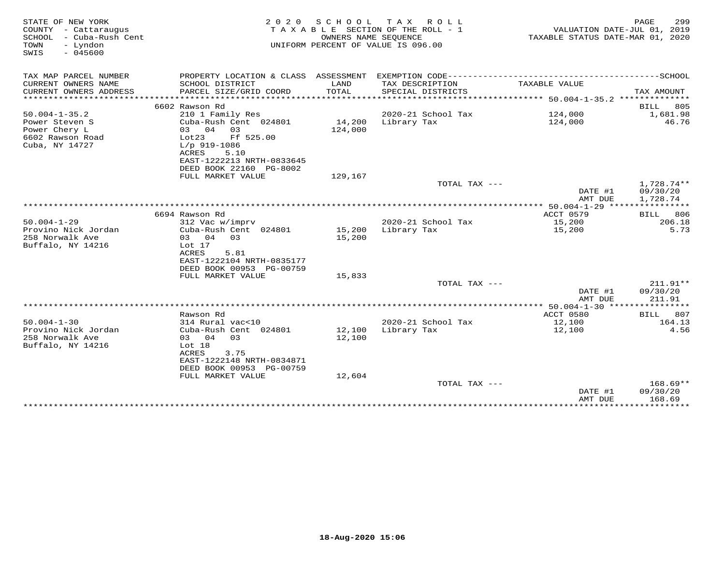| COUNTY - Cattaraugus<br>SCHOOL<br>- Cuba-Rush Cent<br>- Lyndon<br>TOWN<br>$-045600$<br>SWIS | TAXABLE SECTION OF THE ROLL - 1<br>UNIFORM PERCENT OF VALUE IS 096.00                                                                               | VALUATION DATE-JUL 01, 2019<br>TAXABLE STATUS DATE-MAR 01, 2020 | PAGE<br>299                                                                                  |                                              |                                    |
|---------------------------------------------------------------------------------------------|-----------------------------------------------------------------------------------------------------------------------------------------------------|-----------------------------------------------------------------|----------------------------------------------------------------------------------------------|----------------------------------------------|------------------------------------|
| TAX MAP PARCEL NUMBER                                                                       |                                                                                                                                                     |                                                                 | PROPERTY LOCATION & CLASS ASSESSMENT EXEMPTION CODE-----------------------------------SCHOOL |                                              |                                    |
| CURRENT OWNERS NAME<br>CURRENT OWNERS ADDRESS                                               | SCHOOL DISTRICT<br>PARCEL SIZE/GRID COORD                                                                                                           | LAND<br>TOTAL                                                   | TAX DESCRIPTION<br>SPECIAL DISTRICTS                                                         | TAXABLE VALUE                                | TAX AMOUNT                         |
| *************************                                                                   |                                                                                                                                                     |                                                                 |                                                                                              |                                              |                                    |
| $50.004 - 1 - 35.2$                                                                         | 6602 Rawson Rd<br>210 1 Family Res                                                                                                                  |                                                                 | 2020-21 School Tax                                                                           | 124,000                                      | BILL<br>805<br>1,681.98            |
| Power Steven S<br>Power Chery L<br>6602 Rawson Road<br>Cuba, NY 14727                       | Cuba-Rush Cent 024801<br>03 04 03<br>Ff 525.00<br>Lot23<br>$L/p$ 919-1086<br>ACRES<br>5.10                                                          | 14,200<br>124,000                                               | Library Tax                                                                                  | 124,000                                      | 46.76                              |
|                                                                                             | EAST-1222213 NRTH-0833645<br>DEED BOOK 22160 PG-8002                                                                                                |                                                                 |                                                                                              |                                              |                                    |
|                                                                                             | FULL MARKET VALUE                                                                                                                                   | 129,167                                                         |                                                                                              |                                              |                                    |
|                                                                                             |                                                                                                                                                     |                                                                 | TOTAL TAX ---                                                                                | DATE #1<br>AMT DUE                           | 1,728.74**<br>09/30/20<br>1,728.74 |
|                                                                                             |                                                                                                                                                     |                                                                 |                                                                                              | ************** 50.004-1-29 ***************** |                                    |
|                                                                                             | 6694 Rawson Rd                                                                                                                                      |                                                                 |                                                                                              | ACCT 0579                                    | BILL<br>806                        |
| $50.004 - 1 - 29$<br>Provino Nick Jordan<br>258 Norwalk Ave<br>Buffalo, NY 14216            | 312 Vac w/imprv<br>Cuba-Rush Cent 024801<br>03 04<br>03<br>Lot 17<br><b>ACRES</b><br>5.81<br>EAST-1222104 NRTH-0835177<br>DEED BOOK 00953 PG-00759  | 15,200<br>15,200                                                | 2020-21 School Tax<br>Library Tax                                                            | 15,200<br>15,200                             | 206.18<br>5.73                     |
|                                                                                             | FULL MARKET VALUE                                                                                                                                   | 15,833                                                          |                                                                                              |                                              |                                    |
|                                                                                             |                                                                                                                                                     |                                                                 | TOTAL TAX ---                                                                                | DATE #1<br>AMT DUE                           | 211.91**<br>09/30/20<br>211.91     |
|                                                                                             |                                                                                                                                                     |                                                                 |                                                                                              |                                              |                                    |
|                                                                                             | Rawson Rd                                                                                                                                           |                                                                 |                                                                                              | ACCT 0580                                    | 807<br>BILL                        |
| $50.004 - 1 - 30$<br>Provino Nick Jordan<br>258 Norwalk Ave<br>Buffalo, NY 14216            | 314 Rural vac<10<br>Cuba-Rush Cent 024801<br>03 04<br>03<br>Lot 18<br><b>ACRES</b><br>3.75<br>EAST-1222148 NRTH-0834871<br>DEED BOOK 00953 PG-00759 | 12,100<br>12,100                                                | 2020-21 School Tax<br>Library Tax                                                            | 12,100<br>12,100                             | 164.13<br>4.56                     |
|                                                                                             | FULL MARKET VALUE                                                                                                                                   | 12,604                                                          |                                                                                              |                                              |                                    |
|                                                                                             |                                                                                                                                                     |                                                                 | TOTAL TAX ---                                                                                | DATE #1<br>AMT DUE                           | $168.69**$<br>09/30/20<br>168.69   |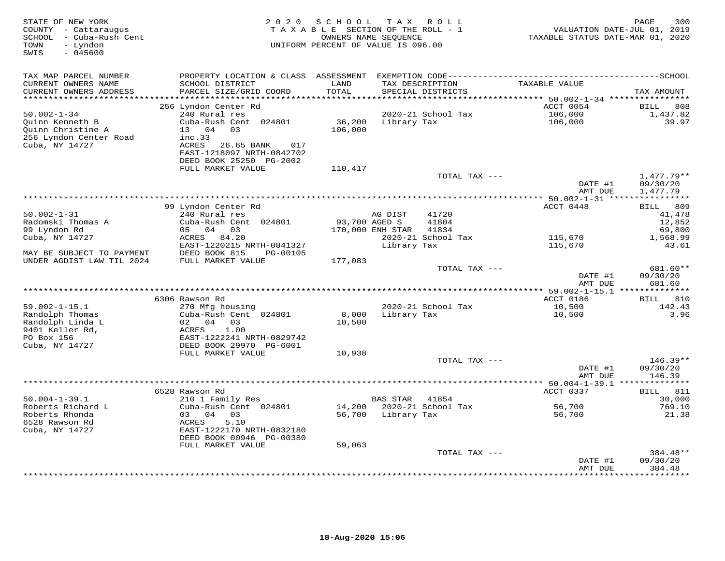| STATE OF NEW YORK<br>COUNTY - Cattaraugus<br>SCHOOL - Cuba-Rush Cent<br>TOWN<br>- Lyndon<br>SWIS<br>$-045600$ | 2 0 2 0                                              | SCHOOL<br>TAXABLE SECTION OF THE ROLL - 1<br>UNIFORM PERCENT OF VALUE IS 096.00 | T A X<br>OWNERS NAME SEQUENCE     | R O L L                              | TAXABLE STATUS DATE-MAR 01, 2020 | 300<br>PAGE<br>VALUATION DATE-JUL 01, 2019 |
|---------------------------------------------------------------------------------------------------------------|------------------------------------------------------|---------------------------------------------------------------------------------|-----------------------------------|--------------------------------------|----------------------------------|--------------------------------------------|
| TAX MAP PARCEL NUMBER                                                                                         |                                                      |                                                                                 |                                   |                                      |                                  |                                            |
| CURRENT OWNERS NAME<br>CURRENT OWNERS ADDRESS                                                                 | SCHOOL DISTRICT<br>PARCEL SIZE/GRID COORD            | LAND<br>TOTAL                                                                   |                                   | TAX DESCRIPTION<br>SPECIAL DISTRICTS | TAXABLE VALUE                    | TAX AMOUNT                                 |
| ***********************                                                                                       |                                                      |                                                                                 |                                   |                                      | ACCT 0054                        | 808                                        |
| $50.002 - 1 - 34$                                                                                             | 256 Lyndon Center Rd<br>240 Rural res                |                                                                                 |                                   | 2020-21 School Tax                   | 106,000                          | BILL<br>1,437.82                           |
| Quinn Kenneth B                                                                                               | Cuba-Rush Cent 024801                                | 36,200                                                                          | Library Tax                       |                                      | 106,000                          | 39.97                                      |
| Quinn Christine A                                                                                             | 13 04 03                                             | 106,000                                                                         |                                   |                                      |                                  |                                            |
| 256 Lyndon Center Road                                                                                        | inc.33                                               |                                                                                 |                                   |                                      |                                  |                                            |
| Cuba, NY 14727                                                                                                | ACRES 26.65 BANK<br>017                              |                                                                                 |                                   |                                      |                                  |                                            |
|                                                                                                               | EAST-1218097 NRTH-0842702                            |                                                                                 |                                   |                                      |                                  |                                            |
|                                                                                                               | DEED BOOK 25250 PG-2002<br>FULL MARKET VALUE         |                                                                                 |                                   |                                      |                                  |                                            |
|                                                                                                               |                                                      | 110,417                                                                         |                                   | TOTAL TAX ---                        |                                  | $1,477.79**$                               |
|                                                                                                               |                                                      |                                                                                 |                                   |                                      | DATE #1                          | 09/30/20                                   |
|                                                                                                               |                                                      |                                                                                 |                                   |                                      | AMT DUE                          | 1,477.79                                   |
|                                                                                                               |                                                      |                                                                                 |                                   |                                      |                                  |                                            |
|                                                                                                               | 99 Lyndon Center Rd                                  |                                                                                 |                                   |                                      | ACCT 0448                        | <b>BILL</b><br>809                         |
| $50.002 - 1 - 31$                                                                                             | 240 Rural res                                        |                                                                                 | AG DIST                           | 41720                                |                                  | 41,478                                     |
| Radomski Thomas A<br>99 Lyndon Rd                                                                             | Cuba-Rush Cent 024801<br>05 04<br>03                 |                                                                                 | 93,700 AGED S<br>170,000 ENH STAR | 41804<br>41834                       |                                  | 12,852<br>69,800                           |
| Cuba, NY 14727                                                                                                | ACRES 84.20                                          |                                                                                 |                                   | 2020-21 School Tax                   | 115,670                          | 1,568.99                                   |
|                                                                                                               | EAST-1220215 NRTH-0841327                            |                                                                                 | Library Tax                       |                                      | 115,670                          | 43.61                                      |
| MAY BE SUBJECT TO PAYMENT                                                                                     | DEED BOOK 815<br>PG-00105                            |                                                                                 |                                   |                                      |                                  |                                            |
| UNDER AGDIST LAW TIL 2024                                                                                     | FULL MARKET VALUE                                    | 177,083                                                                         |                                   |                                      |                                  |                                            |
|                                                                                                               |                                                      |                                                                                 |                                   | TOTAL TAX ---                        |                                  | 681.60**                                   |
|                                                                                                               |                                                      |                                                                                 |                                   |                                      | DATE #1                          | 09/30/20<br>681.60                         |
|                                                                                                               |                                                      |                                                                                 |                                   |                                      | AMT DUE                          |                                            |
|                                                                                                               | 6306 Rawson Rd                                       |                                                                                 |                                   |                                      | ACCT 0186                        | BILL 810                                   |
| $59.002 - 1 - 15.1$                                                                                           | 270 Mfg housing                                      |                                                                                 |                                   | 2020-21 School Tax                   | 10,500                           | 142.43                                     |
| Randolph Thomas                                                                                               | Cuba-Rush Cent 024801                                | 8,000                                                                           | Library Tax                       |                                      | 10,500                           | 3.96                                       |
| Randolph Linda L                                                                                              | 02 04<br>03                                          | 10,500                                                                          |                                   |                                      |                                  |                                            |
| 9401 Keller Rd,                                                                                               | 1.00<br>ACRES                                        |                                                                                 |                                   |                                      |                                  |                                            |
| PO Box 156<br>Cuba, NY 14727                                                                                  | EAST-1222241 NRTH-0829742<br>DEED BOOK 29970 PG-6001 |                                                                                 |                                   |                                      |                                  |                                            |
|                                                                                                               | FULL MARKET VALUE                                    | 10,938                                                                          |                                   |                                      |                                  |                                            |
|                                                                                                               |                                                      |                                                                                 |                                   | TOTAL TAX ---                        |                                  | $146.39**$                                 |
|                                                                                                               |                                                      |                                                                                 |                                   |                                      | DATE #1                          | 09/30/20                                   |
|                                                                                                               |                                                      |                                                                                 |                                   |                                      | AMT DUE                          | 146.39                                     |
|                                                                                                               |                                                      |                                                                                 |                                   |                                      |                                  |                                            |
| $50.004 - 1 - 39.1$                                                                                           | 6528 Rawson Rd                                       |                                                                                 |                                   |                                      | ACCT 0337                        | 811<br>BILL                                |
| Roberts Richard L                                                                                             | 210 1 Family Res<br>Cuba-Rush Cent 024801            | 14,200                                                                          | <b>BAS STAR</b>                   | 41854<br>2020-21 School Tax          | 56,700                           | 30,000<br>769.10                           |
| Roberts Rhonda                                                                                                | 04<br>0.3<br>03                                      | 56,700                                                                          | Library Tax                       |                                      | 56,700                           | 21.38                                      |
| 6528 Rawson Rd                                                                                                | 5.10<br>ACRES                                        |                                                                                 |                                   |                                      |                                  |                                            |
| Cuba, NY 14727                                                                                                | EAST-1222170 NRTH-0832180                            |                                                                                 |                                   |                                      |                                  |                                            |
|                                                                                                               | DEED BOOK 00946 PG-00380                             |                                                                                 |                                   |                                      |                                  |                                            |
|                                                                                                               | FULL MARKET VALUE                                    | 59,063                                                                          |                                   |                                      |                                  |                                            |
|                                                                                                               |                                                      |                                                                                 |                                   | TOTAL TAX ---                        |                                  | 384.48**<br>09/30/20                       |
|                                                                                                               |                                                      |                                                                                 |                                   |                                      | DATE #1<br>AMT DUE               | 384.48                                     |
|                                                                                                               |                                                      |                                                                                 |                                   |                                      |                                  | ***********                                |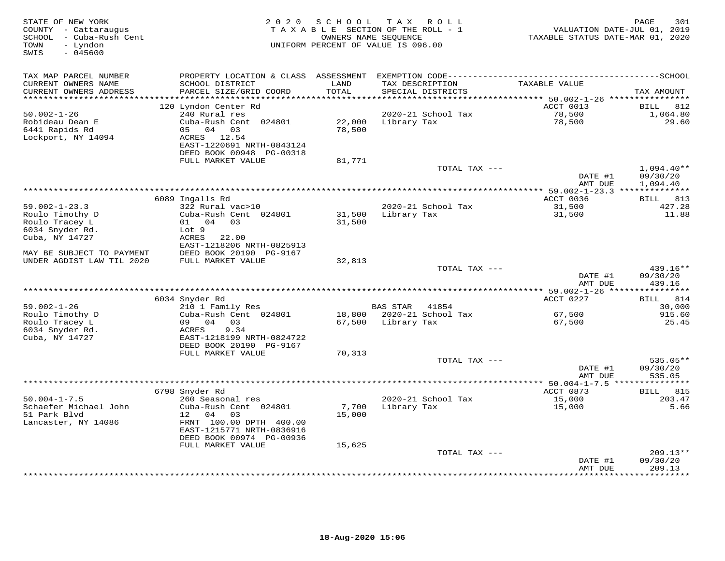| STATE OF NEW YORK<br>COUNTY - Cattaraugus<br>- Cuba-Rush Cent<br>SCHOOL<br>- Lyndon<br>TOWN<br>$-045600$<br>SWIS |                                              | 2020 SCHOOL   | T A X<br>R O L L<br>TAXABLE SECTION OF THE ROLL - 1<br>OWNERS NAME SEQUENCE<br>UNIFORM PERCENT OF VALUE IS 096.00 | VALUATION DATE-JUL 01, 2019<br>TAXABLE STATUS DATE-MAR 01, 2020 | 301<br>PAGE               |
|------------------------------------------------------------------------------------------------------------------|----------------------------------------------|---------------|-------------------------------------------------------------------------------------------------------------------|-----------------------------------------------------------------|---------------------------|
| TAX MAP PARCEL NUMBER                                                                                            |                                              |               | PROPERTY LOCATION & CLASS ASSESSMENT EXEMPTION CODE-----------------------------------SCHOOL                      |                                                                 |                           |
| CURRENT OWNERS NAME<br>CURRENT OWNERS ADDRESS                                                                    | SCHOOL DISTRICT<br>PARCEL SIZE/GRID COORD    | LAND<br>TOTAL | TAX DESCRIPTION<br>SPECIAL DISTRICTS                                                                              | TAXABLE VALUE                                                   | TAX AMOUNT                |
| **********************                                                                                           |                                              |               |                                                                                                                   | ACCT 0013                                                       | 812                       |
| $50.002 - 1 - 26$                                                                                                | 120 Lyndon Center Rd<br>240 Rural res        |               | 2020-21 School Tax                                                                                                | 78,500                                                          | BILL<br>1,064.80          |
| Robideau Dean E                                                                                                  | Cuba-Rush Cent 024801                        | 22,000        | Library Tax                                                                                                       | 78,500                                                          | 29.60                     |
| 6441 Rapids Rd                                                                                                   | 05<br>04 03                                  | 78,500        |                                                                                                                   |                                                                 |                           |
| Lockport, NY 14094                                                                                               | ACRES<br>12.54                               |               |                                                                                                                   |                                                                 |                           |
|                                                                                                                  | EAST-1220691 NRTH-0843124                    |               |                                                                                                                   |                                                                 |                           |
|                                                                                                                  | DEED BOOK 00948 PG-00318                     |               |                                                                                                                   |                                                                 |                           |
|                                                                                                                  | FULL MARKET VALUE                            | 81,771        |                                                                                                                   |                                                                 |                           |
|                                                                                                                  |                                              |               | TOTAL TAX ---                                                                                                     | DATE #1                                                         | $1,094.40**$              |
|                                                                                                                  |                                              |               |                                                                                                                   | AMT DUE                                                         | 09/30/20<br>1,094.40      |
|                                                                                                                  |                                              |               |                                                                                                                   |                                                                 |                           |
|                                                                                                                  | 6089 Ingalls Rd                              |               |                                                                                                                   | ACCT 0036                                                       | BILL 813                  |
| $59.002 - 1 - 23.3$                                                                                              | 322 Rural vac>10                             |               | 2020-21 School Tax                                                                                                | 31,500                                                          | 427.28                    |
| Roulo Timothy D                                                                                                  | Cuba-Rush Cent 024801                        | 31,500        | Library Tax                                                                                                       | 31,500                                                          | 11.88                     |
| Roulo Tracey L                                                                                                   | 01 04 03                                     | 31,500        |                                                                                                                   |                                                                 |                           |
| 6034 Snyder Rd.                                                                                                  | Lot 9                                        |               |                                                                                                                   |                                                                 |                           |
| Cuba, NY 14727                                                                                                   | ACRES<br>22.00                               |               |                                                                                                                   |                                                                 |                           |
|                                                                                                                  | EAST-1218206 NRTH-0825913                    |               |                                                                                                                   |                                                                 |                           |
| MAY BE SUBJECT TO PAYMENT<br>UNDER AGDIST LAW TIL 2020                                                           | DEED BOOK 20190 PG-9167<br>FULL MARKET VALUE | 32,813        |                                                                                                                   |                                                                 |                           |
|                                                                                                                  |                                              |               | TOTAL TAX ---                                                                                                     |                                                                 | 439.16**                  |
|                                                                                                                  |                                              |               |                                                                                                                   | DATE #1                                                         | 09/30/20                  |
|                                                                                                                  |                                              |               |                                                                                                                   | AMT DUE                                                         | 439.16                    |
|                                                                                                                  |                                              |               |                                                                                                                   |                                                                 | * * * * * * * * * * * *   |
|                                                                                                                  | 6034 Snyder Rd                               |               |                                                                                                                   | ACCT 0227                                                       | 814<br><b>BILL</b>        |
| $59.002 - 1 - 26$                                                                                                | 210 1 Family Res                             |               | <b>BAS STAR</b><br>41854                                                                                          |                                                                 | 30,000                    |
| Roulo Timothy D                                                                                                  | Cuba-Rush Cent 024801<br>09 04               | 18,800        | 2020-21 School Tax                                                                                                | 67,500                                                          | 915.60                    |
| Roulo Tracey L<br>6034 Snyder Rd.                                                                                | 03<br>9.34<br>ACRES                          | 67,500        | Library Tax                                                                                                       | 67,500                                                          | 25.45                     |
| Cuba, NY 14727                                                                                                   | EAST-1218199 NRTH-0824722                    |               |                                                                                                                   |                                                                 |                           |
|                                                                                                                  | DEED BOOK 20190 PG-9167                      |               |                                                                                                                   |                                                                 |                           |
|                                                                                                                  | FULL MARKET VALUE                            | 70,313        |                                                                                                                   |                                                                 |                           |
|                                                                                                                  |                                              |               | TOTAL TAX ---                                                                                                     |                                                                 | 535.05**                  |
|                                                                                                                  |                                              |               |                                                                                                                   | DATE #1                                                         | 09/30/20                  |
|                                                                                                                  |                                              |               |                                                                                                                   | AMT DUE                                                         | 535.05                    |
|                                                                                                                  |                                              |               |                                                                                                                   | *** $50.004 - 1 - 7.5$ **                                       |                           |
|                                                                                                                  | 6798 Snyder Rd                               |               |                                                                                                                   | ACCT 0873                                                       | BILL 815<br>203.47        |
| $50.004 - 1 - 7.5$<br>Schaefer Michael John                                                                      | 260 Seasonal res<br>Cuba-Rush Cent 024801    | 7,700         | 2020-21 School Tax<br>Library Tax                                                                                 | 15,000<br>15,000                                                | 5.66                      |
| 51 Park Blvd                                                                                                     | 12 04<br>03                                  | 15,000        |                                                                                                                   |                                                                 |                           |
| Lancaster, NY 14086                                                                                              | FRNT 100.00 DPTH 400.00                      |               |                                                                                                                   |                                                                 |                           |
|                                                                                                                  | EAST-1215771 NRTH-0836916                    |               |                                                                                                                   |                                                                 |                           |
|                                                                                                                  | DEED BOOK 00974 PG-00936                     |               |                                                                                                                   |                                                                 |                           |
|                                                                                                                  | FULL MARKET VALUE                            | 15,625        |                                                                                                                   |                                                                 |                           |
|                                                                                                                  |                                              |               | TOTAL TAX ---                                                                                                     |                                                                 | $209.13**$                |
|                                                                                                                  |                                              |               |                                                                                                                   | DATE #1                                                         | 09/30/20                  |
|                                                                                                                  |                                              |               | ****************************                                                                                      | AMT DUE<br>. * * * * * * * * * * * *                            | 209.13<br>* * * * * * * * |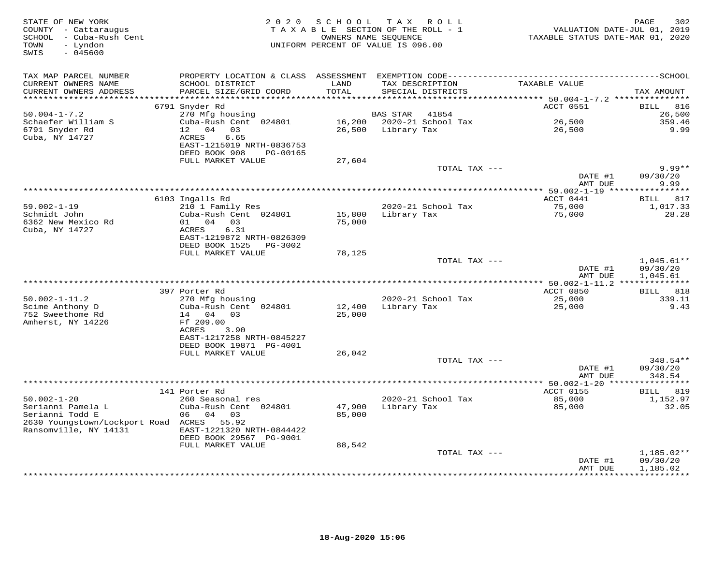| STATE OF NEW YORK<br>COUNTY - Cattaraugus<br>- Cuba-Rush Cent<br>SCHOOL<br>- Lyndon<br>TOWN<br>$-045600$<br>SWIS | 2 0 2 0                                    | SCHOOL | T A X<br>R O L L<br>TAXABLE SECTION OF THE ROLL - 1<br>OWNERS NAME SEQUENCE<br>UNIFORM PERCENT OF VALUE IS 096.00 | VALUATION DATE-JUL 01, 2019<br>TAXABLE STATUS DATE-MAR 01, 2020 | 302<br>PAGE             |
|------------------------------------------------------------------------------------------------------------------|--------------------------------------------|--------|-------------------------------------------------------------------------------------------------------------------|-----------------------------------------------------------------|-------------------------|
| TAX MAP PARCEL NUMBER<br>CURRENT OWNERS NAME                                                                     | SCHOOL DISTRICT                            | LAND   | TAX DESCRIPTION                                                                                                   | TAXABLE VALUE                                                   |                         |
| CURRENT OWNERS ADDRESS<br>**********************                                                                 | PARCEL SIZE/GRID COORD                     | TOTAL  | SPECIAL DISTRICTS                                                                                                 |                                                                 | TAX AMOUNT              |
|                                                                                                                  | 6791 Snyder Rd                             |        |                                                                                                                   | ACCT 0551                                                       | BILL<br>816             |
| $50.004 - 1 - 7.2$                                                                                               | 270 Mfg housing                            |        | BAS STAR<br>41854                                                                                                 |                                                                 | 26,500                  |
| Schaefer William S                                                                                               | Cuba-Rush Cent 024801                      | 16,200 | 2020-21 School Tax                                                                                                | 26,500                                                          | 359.46                  |
| 6791 Snyder Rd                                                                                                   | 04<br>03<br>12 <sup>7</sup>                | 26,500 | Library Tax                                                                                                       | 26,500                                                          | 9.99                    |
| Cuba, NY 14727                                                                                                   | ACRES<br>6.65                              |        |                                                                                                                   |                                                                 |                         |
|                                                                                                                  | EAST-1215019 NRTH-0836753                  |        |                                                                                                                   |                                                                 |                         |
|                                                                                                                  | DEED BOOK 908<br>PG-00165                  |        |                                                                                                                   |                                                                 |                         |
|                                                                                                                  | FULL MARKET VALUE                          | 27,604 | TOTAL TAX ---                                                                                                     |                                                                 | $9.99**$                |
|                                                                                                                  |                                            |        |                                                                                                                   | DATE #1                                                         | 09/30/20                |
|                                                                                                                  |                                            |        |                                                                                                                   | AMT DUE                                                         | 9.99                    |
|                                                                                                                  |                                            |        |                                                                                                                   |                                                                 |                         |
|                                                                                                                  | 6103 Ingalls Rd                            |        |                                                                                                                   | ACCT 0441                                                       | <b>BILL</b><br>817      |
| $59.002 - 1 - 19$                                                                                                | 210 1 Family Res                           |        | 2020-21 School Tax                                                                                                | 75,000                                                          | 1,017.33                |
| Schmidt John<br>6362 New Mexico Rd                                                                               | Cuba-Rush Cent 024801<br>01 04 03          | 15,800 | Library Tax                                                                                                       | 75,000                                                          | 28.28                   |
| Cuba, NY 14727                                                                                                   | 6.31<br>ACRES                              | 75,000 |                                                                                                                   |                                                                 |                         |
|                                                                                                                  | EAST-1219872 NRTH-0826309                  |        |                                                                                                                   |                                                                 |                         |
|                                                                                                                  | DEED BOOK 1525<br>PG-3002                  |        |                                                                                                                   |                                                                 |                         |
|                                                                                                                  | FULL MARKET VALUE                          | 78,125 |                                                                                                                   |                                                                 |                         |
|                                                                                                                  |                                            |        | TOTAL TAX ---                                                                                                     |                                                                 | $1,045.61**$            |
|                                                                                                                  |                                            |        |                                                                                                                   | DATE #1                                                         | 09/30/20                |
|                                                                                                                  |                                            |        |                                                                                                                   | AMT DUE                                                         | 1,045.61                |
|                                                                                                                  | 397 Porter Rd                              |        |                                                                                                                   | ACCT 0850                                                       | 818<br><b>BILL</b>      |
| $50.002 - 1 - 11.2$                                                                                              | 270 Mfg housing                            |        | 2020-21 School Tax                                                                                                | 25,000                                                          | 339.11                  |
| Scime Anthony D                                                                                                  | Cuba-Rush Cent 024801                      | 12,400 | Library Tax                                                                                                       | 25,000                                                          | 9.43                    |
| 752 Sweethome Rd                                                                                                 | 04<br>0.3<br>14                            | 25,000 |                                                                                                                   |                                                                 |                         |
| Amherst, NY 14226                                                                                                | Ff 209.00                                  |        |                                                                                                                   |                                                                 |                         |
|                                                                                                                  | ACRES<br>3.90<br>EAST-1217258 NRTH-0845227 |        |                                                                                                                   |                                                                 |                         |
|                                                                                                                  | DEED BOOK 19871 PG-4001                    |        |                                                                                                                   |                                                                 |                         |
|                                                                                                                  | FULL MARKET VALUE                          | 26,042 |                                                                                                                   |                                                                 |                         |
|                                                                                                                  |                                            |        | TOTAL TAX ---                                                                                                     |                                                                 | $348.54**$              |
|                                                                                                                  |                                            |        |                                                                                                                   | DATE #1                                                         | 09/30/20                |
|                                                                                                                  |                                            |        |                                                                                                                   | AMT DUE                                                         | 348.54                  |
|                                                                                                                  | 141 Porter Rd                              |        |                                                                                                                   | ACCT 0155                                                       | ***********<br>BILL 819 |
| $50.002 - 1 - 20$                                                                                                | 260 Seasonal res                           |        | 2020-21 School Tax                                                                                                | 85,000                                                          | 1,152.97                |
| Serianni Pamela L                                                                                                | Cuba-Rush Cent 024801                      | 47,900 | Library Tax                                                                                                       | 85,000                                                          | 32.05                   |
| Serianni Todd E                                                                                                  | 06<br>04<br>03                             | 85,000 |                                                                                                                   |                                                                 |                         |
| 2630 Youngstown/Lockport Road ACRES 55.92                                                                        |                                            |        |                                                                                                                   |                                                                 |                         |
| Ransomville, NY 14131                                                                                            | EAST-1221320 NRTH-0844422                  |        |                                                                                                                   |                                                                 |                         |
|                                                                                                                  | DEED BOOK 29567 PG-9001                    |        |                                                                                                                   |                                                                 |                         |
|                                                                                                                  | FULL MARKET VALUE                          | 88,542 | TOTAL TAX ---                                                                                                     |                                                                 | 1,185.02**              |
|                                                                                                                  |                                            |        |                                                                                                                   | DATE #1                                                         | 09/30/20                |
|                                                                                                                  |                                            |        |                                                                                                                   | AMT DUE                                                         | 1,185.02                |
|                                                                                                                  |                                            |        |                                                                                                                   |                                                                 | ***********             |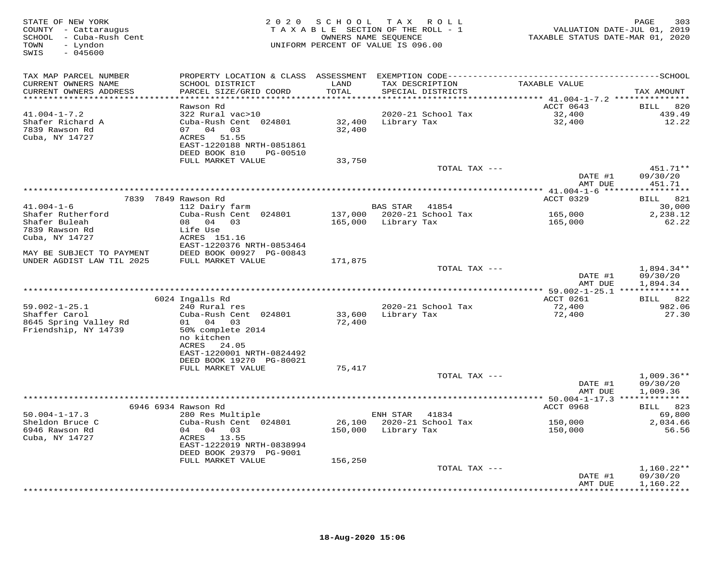| STATE OF NEW YORK<br>COUNTY - Cattaraugus<br>SCHOOL - Cuba-Rush Cent<br>- Lyndon<br>TOWN<br>SWIS<br>$-045600$ |                                                      |                  | 2020 SCHOOL TAX ROLL<br>TAXABLE SECTION OF THE ROLL - 1<br>OWNERS NAME SEQUENCE<br>UNIFORM PERCENT OF VALUE IS 096.00 | VALUATION DATE-JUL 01, 2019<br>TAXABLE STATUS DATE-MAR 01, 2020 | 303<br>PAGE              |
|---------------------------------------------------------------------------------------------------------------|------------------------------------------------------|------------------|-----------------------------------------------------------------------------------------------------------------------|-----------------------------------------------------------------|--------------------------|
| TAX MAP PARCEL NUMBER                                                                                         |                                                      |                  |                                                                                                                       |                                                                 |                          |
| CURRENT OWNERS NAME                                                                                           | SCHOOL DISTRICT                                      | LAND             | TAX DESCRIPTION                                                                                                       | TAXABLE VALUE                                                   |                          |
| CURRENT OWNERS ADDRESS                                                                                        | PARCEL SIZE/GRID COORD                               | TOTAL            | SPECIAL DISTRICTS                                                                                                     |                                                                 | TAX AMOUNT               |
| ***********************                                                                                       |                                                      |                  |                                                                                                                       |                                                                 |                          |
| $41.004 - 1 - 7.2$                                                                                            | Rawson Rd                                            |                  |                                                                                                                       | ACCT 0643                                                       | <b>BILL</b><br>820       |
| Shafer Richard A                                                                                              | 322 Rural vac>10<br>Cuba-Rush Cent 024801            | 32,400           | 2020-21 School Tax<br>Library Tax                                                                                     | 32,400<br>32,400                                                | 439.49<br>12.22          |
| 7839 Rawson Rd                                                                                                | 07 04 03                                             | 32,400           |                                                                                                                       |                                                                 |                          |
| Cuba, NY 14727                                                                                                | ACRES 51.55                                          |                  |                                                                                                                       |                                                                 |                          |
|                                                                                                               | EAST-1220188 NRTH-0851861                            |                  |                                                                                                                       |                                                                 |                          |
|                                                                                                               | DEED BOOK 810<br>PG-00510                            |                  |                                                                                                                       |                                                                 |                          |
|                                                                                                               | FULL MARKET VALUE                                    | 33,750           |                                                                                                                       |                                                                 |                          |
|                                                                                                               |                                                      |                  | TOTAL TAX ---                                                                                                         |                                                                 | 451.71**                 |
|                                                                                                               |                                                      |                  |                                                                                                                       | DATE #1                                                         | 09/30/20                 |
|                                                                                                               |                                                      |                  |                                                                                                                       | AMT DUE                                                         | 451.71                   |
|                                                                                                               | 7839 7849 Rawson Rd                                  |                  |                                                                                                                       | ACCT 0329                                                       | 821<br>BILL              |
| $41.004 - 1 - 6$                                                                                              | 112 Dairy farm                                       |                  | BAS STAR<br>41854                                                                                                     |                                                                 | 30,000                   |
| Shafer Rutherford                                                                                             | Cuba-Rush Cent 024801                                | 137,000          | 2020-21 School Tax                                                                                                    | 165,000                                                         | 2,238.12                 |
| Shafer Buleah                                                                                                 | 08 04 03                                             | 165,000          | Library Tax                                                                                                           | 165,000                                                         | 62.22                    |
| 7839 Rawson Rd                                                                                                | Life Use                                             |                  |                                                                                                                       |                                                                 |                          |
| Cuba, NY 14727                                                                                                | ACRES 151.16                                         |                  |                                                                                                                       |                                                                 |                          |
|                                                                                                               | EAST-1220376 NRTH-0853464                            |                  |                                                                                                                       |                                                                 |                          |
| MAY BE SUBJECT TO PAYMENT<br>UNDER AGDIST LAW TIL 2025                                                        | DEED BOOK 00927 PG-00843<br>FULL MARKET VALUE        | 171,875          |                                                                                                                       |                                                                 |                          |
|                                                                                                               |                                                      |                  | TOTAL TAX ---                                                                                                         |                                                                 | $1,894.34**$             |
|                                                                                                               |                                                      |                  |                                                                                                                       | DATE #1                                                         | 09/30/20                 |
|                                                                                                               |                                                      |                  |                                                                                                                       | AMT DUE                                                         | 1,894.34                 |
|                                                                                                               |                                                      |                  | **********************************                                                                                    | *********** 59.002-1-25.1 **************                        |                          |
|                                                                                                               | 6024 Ingalls Rd                                      |                  |                                                                                                                       | ACCT 0261                                                       | BILL 822                 |
| $59.002 - 1 - 25.1$                                                                                           | 240 Rural res                                        |                  | 2020-21 School Tax                                                                                                    | 72,400                                                          | 982.06                   |
| Shaffer Carol<br>8645 Spring Valley Rd                                                                        | Cuba-Rush Cent 024801<br>01 04 03                    | 33,600<br>72,400 | Library Tax                                                                                                           | 72,400                                                          | 27.30                    |
| Friendship, NY 14739                                                                                          | 50% complete 2014                                    |                  |                                                                                                                       |                                                                 |                          |
|                                                                                                               | no kitchen                                           |                  |                                                                                                                       |                                                                 |                          |
|                                                                                                               | ACRES<br>24.05                                       |                  |                                                                                                                       |                                                                 |                          |
|                                                                                                               | EAST-1220001 NRTH-0824492                            |                  |                                                                                                                       |                                                                 |                          |
|                                                                                                               | DEED BOOK 19270 PG-80021                             |                  |                                                                                                                       |                                                                 |                          |
|                                                                                                               | FULL MARKET VALUE                                    | 75,417           |                                                                                                                       |                                                                 |                          |
|                                                                                                               |                                                      |                  | TOTAL TAX ---                                                                                                         | DATE #1                                                         | $1,009.36**$<br>09/30/20 |
|                                                                                                               |                                                      |                  |                                                                                                                       | AMT DUE                                                         | 1,009.36                 |
|                                                                                                               |                                                      |                  |                                                                                                                       |                                                                 |                          |
|                                                                                                               | 6946 6934 Rawson Rd                                  |                  |                                                                                                                       | <b>ACCT 0968</b>                                                | BILL 823                 |
| $50.004 - 1 - 17.3$                                                                                           | 280 Res Multiple                                     |                  | ENH STAR 41834                                                                                                        |                                                                 | 69,800                   |
| Sheldon Bruce C                                                                                               | Cuba-Rush Cent 024801                                | 26,100           | 2020-21 School Tax                                                                                                    | 150,000                                                         | 2,034.66                 |
| 6946 Rawson Rd                                                                                                | 04 04 03                                             | 150,000          | Library Tax                                                                                                           | 150,000                                                         | 56.56                    |
| Cuba, NY 14727                                                                                                | ACRES 13.55                                          |                  |                                                                                                                       |                                                                 |                          |
|                                                                                                               | EAST-1222019 NRTH-0838994<br>DEED BOOK 29379 PG-9001 |                  |                                                                                                                       |                                                                 |                          |
|                                                                                                               | FULL MARKET VALUE                                    | 156,250          |                                                                                                                       |                                                                 |                          |
|                                                                                                               |                                                      |                  | TOTAL TAX ---                                                                                                         |                                                                 | $1,160.22**$             |
|                                                                                                               |                                                      |                  |                                                                                                                       | DATE #1                                                         | 09/30/20                 |
|                                                                                                               |                                                      |                  |                                                                                                                       | AMT DUE                                                         | 1,160.22                 |
|                                                                                                               |                                                      |                  |                                                                                                                       |                                                                 |                          |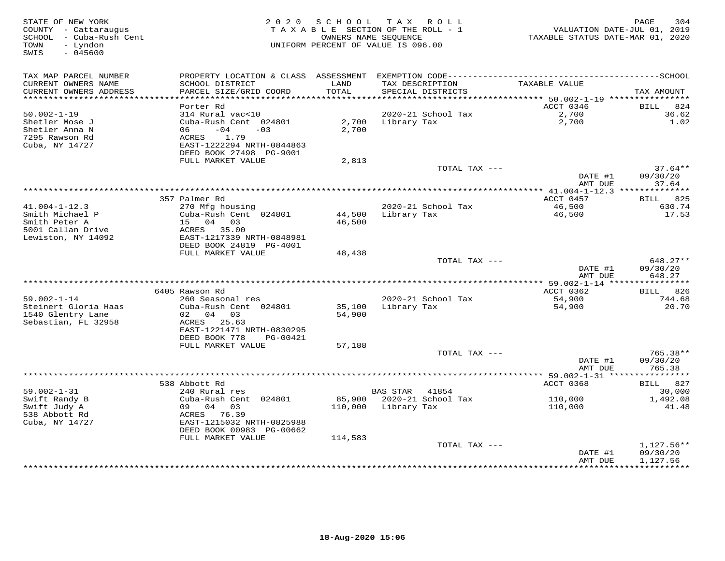| STATE OF NEW YORK<br>COUNTY - Cattaraugus<br>SCHOOL - Cuba-Rush Cent<br>- Lyndon<br>TOWN<br>SWIS<br>$-045600$ |                                                      | 2020 SCHOOL   | T A X<br>R O L L<br>TAXABLE SECTION OF THE ROLL - 1<br>OWNERS NAME SEOUENCE<br>UNIFORM PERCENT OF VALUE IS 096.00 | VALUATION DATE-JUL 01, 2019<br>TAXABLE STATUS DATE-MAR 01, 2020 | 304<br>PAGE           |
|---------------------------------------------------------------------------------------------------------------|------------------------------------------------------|---------------|-------------------------------------------------------------------------------------------------------------------|-----------------------------------------------------------------|-----------------------|
| TAX MAP PARCEL NUMBER                                                                                         |                                                      |               |                                                                                                                   |                                                                 |                       |
| CURRENT OWNERS NAME<br>CURRENT OWNERS ADDRESS                                                                 | SCHOOL DISTRICT<br>PARCEL SIZE/GRID COORD            | LAND<br>TOTAL | TAX DESCRIPTION<br>SPECIAL DISTRICTS                                                                              | TAXABLE VALUE                                                   | TAX AMOUNT            |
| ***********************                                                                                       | Porter Rd                                            |               |                                                                                                                   | ACCT 0346                                                       |                       |
| $50.002 - 1 - 19$                                                                                             | 314 Rural vac<10                                     |               | 2020-21 School Tax                                                                                                | 2,700                                                           | 824<br>BILL<br>36.62  |
| Shetler Mose J                                                                                                | Cuba-Rush Cent 024801                                | 2,700         | Library Tax                                                                                                       | 2,700                                                           | 1.02                  |
| Shetler Anna N                                                                                                | $-04$<br>06<br>$-0.3$                                | 2,700         |                                                                                                                   |                                                                 |                       |
| 7295 Rawson Rd<br>Cuba, NY 14727                                                                              | 1.79<br>ACRES<br>EAST-1222294 NRTH-0844863           |               |                                                                                                                   |                                                                 |                       |
|                                                                                                               | DEED BOOK 27498 PG-9001                              |               |                                                                                                                   |                                                                 |                       |
|                                                                                                               | FULL MARKET VALUE                                    | 2,813         |                                                                                                                   |                                                                 |                       |
|                                                                                                               |                                                      |               | TOTAL TAX ---                                                                                                     |                                                                 | $37.64**$             |
|                                                                                                               |                                                      |               |                                                                                                                   | DATE #1                                                         | 09/30/20              |
|                                                                                                               |                                                      |               | ********************************                                                                                  | AMT DUE<br>******** 41.004-1-12.3 **************                | 37.64                 |
|                                                                                                               | 357 Palmer Rd                                        |               |                                                                                                                   | ACCT 0457                                                       | BILL 825              |
| $41.004 - 1 - 12.3$                                                                                           | 270 Mfg housing                                      |               | 2020-21 School Tax                                                                                                | 46,500                                                          | 630.74                |
| Smith Michael P                                                                                               | Cuba-Rush Cent 024801                                | 44,500        | Library Tax                                                                                                       | 46,500                                                          | 17.53                 |
| Smith Peter A                                                                                                 | 15 04 03                                             | 46,500        |                                                                                                                   |                                                                 |                       |
| 5001 Callan Drive                                                                                             | ACRES 35.00                                          |               |                                                                                                                   |                                                                 |                       |
| Lewiston, NY 14092                                                                                            | EAST-1217339 NRTH-0848981<br>DEED BOOK 24819 PG-4001 |               |                                                                                                                   |                                                                 |                       |
|                                                                                                               | FULL MARKET VALUE                                    | 48,438        |                                                                                                                   |                                                                 |                       |
|                                                                                                               |                                                      |               | TOTAL TAX ---                                                                                                     |                                                                 | 648.27**              |
|                                                                                                               |                                                      |               |                                                                                                                   | DATE #1                                                         | 09/30/20              |
|                                                                                                               |                                                      |               |                                                                                                                   | AMT DUE                                                         | 648.27                |
|                                                                                                               | 6405 Rawson Rd                                       |               |                                                                                                                   | ACCT 0362                                                       | BILL 826              |
| $59.002 - 1 - 14$                                                                                             | 260 Seasonal res                                     |               | 2020-21 School Tax                                                                                                | 54,900                                                          | 744.68                |
| Steinert Gloria Haas                                                                                          | Cuba-Rush Cent 024801                                | 35,100        | Library Tax                                                                                                       | 54,900                                                          | 20.70                 |
| 1540 Glentry Lane                                                                                             | 02 04 03                                             | 54,900        |                                                                                                                   |                                                                 |                       |
| Sebastian, FL 32958                                                                                           | ACRES 25.63                                          |               |                                                                                                                   |                                                                 |                       |
|                                                                                                               | EAST-1221471 NRTH-0830295                            |               |                                                                                                                   |                                                                 |                       |
|                                                                                                               | DEED BOOK 778<br>PG-00421<br>FULL MARKET VALUE       | 57,188        |                                                                                                                   |                                                                 |                       |
|                                                                                                               |                                                      |               | TOTAL TAX ---                                                                                                     |                                                                 | 765.38**              |
|                                                                                                               |                                                      |               |                                                                                                                   | DATE #1                                                         | 09/30/20              |
|                                                                                                               |                                                      |               |                                                                                                                   | AMT DUE                                                         | 765.38                |
|                                                                                                               |                                                      |               |                                                                                                                   | *********** 59.002-1-31 *****************                       |                       |
| $59.002 - 1 - 31$                                                                                             | 538 Abbott Rd<br>240 Rural res                       |               | <b>BAS STAR</b><br>41854                                                                                          | ACCT 0368                                                       | 827<br>BILL<br>30,000 |
| Swift Randy B                                                                                                 | Cuba-Rush Cent 024801                                | 85,900        | 2020-21 School Tax                                                                                                | 110,000                                                         | 1,492.08              |
| Swift Judy A                                                                                                  | 09 04 03                                             | 110,000       | Library Tax                                                                                                       | 110,000                                                         | 41.48                 |
| 538 Abbott Rd                                                                                                 | ACRES 76.39                                          |               |                                                                                                                   |                                                                 |                       |
| Cuba, NY 14727                                                                                                | EAST-1215032 NRTH-0825988                            |               |                                                                                                                   |                                                                 |                       |
|                                                                                                               | DEED BOOK 00983 PG-00662                             |               |                                                                                                                   |                                                                 |                       |
|                                                                                                               | FULL MARKET VALUE                                    | 114,583       | TOTAL TAX ---                                                                                                     |                                                                 | 1,127.56**            |
|                                                                                                               |                                                      |               |                                                                                                                   | DATE #1                                                         | 09/30/20              |
|                                                                                                               |                                                      |               |                                                                                                                   | AMT DUE                                                         | 1,127.56              |
|                                                                                                               |                                                      |               |                                                                                                                   | ***********                                                     | * * * * * * * * * * * |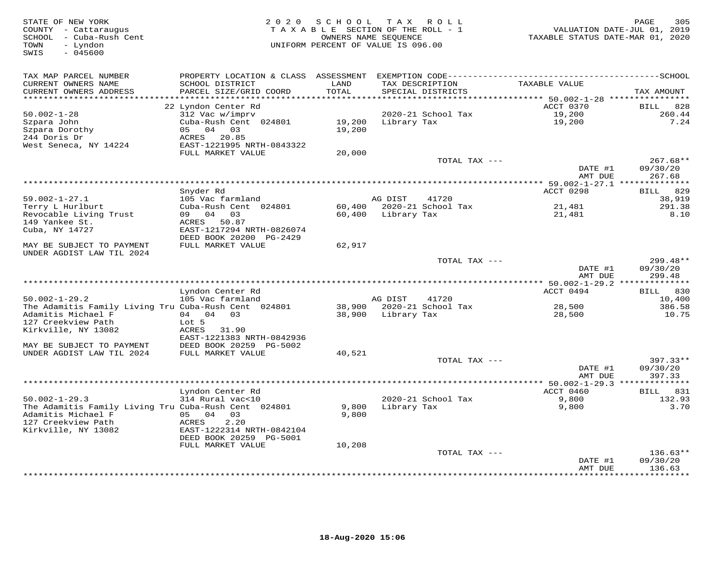STATE OF NEW YORK PAGE 305<br>COUNTY - Cattaraugus (COUNTY - Cattaraugus (COUNTY - Cattaraugus (COUNTY - Cattaraugus (COUNTY - Cattaraugus)<br>SCHOOL - Cuba-Rush Cent (Count ) OWNERS NAME SEQUENCE (COUNTRE PARABLE STATUS DATE-MA SWIS - 045600TAX MAP PARCEL NUMBER PROPERTY LOCATION & CLASS ASSESSMENT EXEMPTION CODE------------------------------------------SCHOOL CURRENT OWNERS NAME SCHOOL DISTRICT LAND TAX DESCRIPTION TAXABLE VALUE CURRENT OWNERS ADDRESS PARCEL SIZE/GRID COORD TOTAL SPECIAL DISTRICTS TAX AMOUNT \*\*\*\*\*\*\*\*\*\*\*\*\*\*\*\*\*\*\*\*\*\*\*\*\*\*\*\*\*\*\*\*\*\*\*\*\*\*\*\*\*\*\*\*\*\*\*\*\*\*\*\*\*\*\*\*\*\*\*\*\*\*\*\*\*\*\*\*\*\*\*\*\*\*\*\*\*\*\*\*\*\*\*\*\*\*\*\*\*\*\*\*\*\*\*\*\*\*\*\*\*\*\* 50.002-1-28 \*\*\*\*\*\*\*\*\*\*\*\*\*\*\*\*30.002-1-28 22 Lyndon Center Rd<br>
312 Vac w/imprv<br>
Szpara John Cuba-Rush Cent 024801 19,200 Library Tax 19,200 19,200 260.44<br>
Szpara Dorothy 05 04 03 19,200 19,200 19,200 7.24<br>
Mest Seneca, NY 14224 FULL MARKET VALUE 20,000 DATE #1 09/30/20 AMT DUE 267.68 \*\*\*\*\*\*\*\*\*\*\*\*\*\*\*\*\*\*\*\*\*\*\*\*\*\*\*\*\*\*\*\*\*\*\*\*\*\*\*\*\*\*\*\*\*\*\*\*\*\*\*\*\*\*\*\*\*\*\*\*\*\*\*\*\*\*\*\*\*\*\*\*\*\*\*\*\*\*\*\*\*\*\*\*\*\*\*\*\*\*\*\*\*\*\*\*\*\*\*\*\*\*\* 59.002-1-27.1 \*\*\*\*\*\*\*\*\*\*\*\*\*\*ACCT 0298 BILL 829 Snyder Rd ACCT 0298 BILL 829 $-$  38,919 59.002-1-27.1 105 Vac farmland AG DIST 41720 38,919291.38 Terry L Hurlburt Cuba-Rush Cent 024801 60,400 2020-21 School Tax 21,481 291.388.10 Revocable Living Trust 09 04 03 60,400 Library Tax 21,481 8.10149 Yankee St. ACRES 50.87 Cuba, NY 14727 EAST-1217294 NRTH-0826074 DEED BOOK 20200 PG-2429 MAY BE SUBJECT TO PAYMENT FULL MARKET VALUE 62,917 UNDER AGDIST LAW TIL 2024 TOTAL TAX --- 299.48\*\* DATE #1 09/30/20 AMT DUE 299.48 \*\*\*\*\*\*\*\*\*\*\*\*\*\*\*\*\*\*\*\*\*\*\*\*\*\*\*\*\*\*\*\*\*\*\*\*\*\*\*\*\*\*\*\*\*\*\*\*\*\*\*\*\*\*\*\*\*\*\*\*\*\*\*\*\*\*\*\*\*\*\*\*\*\*\*\*\*\*\*\*\*\*\*\*\*\*\*\*\*\*\*\*\*\*\*\*\*\*\*\*\*\*\* 50.002-1-29.2 \*\*\*\*\*\*\*\*\*\*\*\*\*\* Lyndon Center Rd ACCT 0494 BILL 830 50.002-1-29.2 105 Vac farmland AG DIST 41720 10,400 The Adamitis Family Living Tru Cuba-Rush Cent 024801 38,900 2020-21 School Tax 28,500 386.58 Adamitis Michael F 04 04 03 38,900 Library Tax 28,500 10.75 127 Creekview Path Lot 5 Kirkville, NY 13082 ACRES 31.90 EAST-1221383 NRTH-0842936 MAY BE SUBJECT TO PAYMENT DEED BOOK 20259 PG-5002 UNDER AGDIST LAW TIL 2024 FULL MARKET VALUE 40,521 TOTAL TAX --- 397.33\*\* DATE #1 09/30/20 AMT DUE 397.33\*\*\*\*\*\*\*\*\*\*\*\*\*\*\*\*\*\*\*\*\*\*\*\*\*\*\*\*\*\*\*\*\*\*\*\*\*\*\*\*\*\*\*\*\*\*\*\*\*\*\*\*\*\*\*\*\*\*\*\*\*\*\*\*\*\*\*\*\*\*\*\*\*\*\*\*\*\*\*\*\*\*\*\*\*\*\*\*\*\*\*\*\*\*\*\*\*\*\*\*\*\*\* 50.002-1-29.3 \*\*\*\*\*\*\*\*\*\*\*\*\*\* Lyndon Center Rd ACCT 0460 BILL 831 50.002-1-29.3 314 Rural vac<10 2020-21 School Tax 9,800 132.93 The Adamitis Family Living Tru Cuba-Rush Cent 024801 9,800 Library Tax 9,800 3.70 Adamitis Michael F 05 04 03 9,800 127 Creekview Path ACRES 2.20 Kirkville, NY 13082 EAST-1222314 NRTH-0842104 DEED BOOK 20259 PG-5001FULL MARKET VALUE 10,208 TOTAL TAX --- 136.63\*\* DATE #1 09/30/20 AMT DUE 136.63

\*\*\*\*\*\*\*\*\*\*\*\*\*\*\*\*\*\*\*\*\*\*\*\*\*\*\*\*\*\*\*\*\*\*\*\*\*\*\*\*\*\*\*\*\*\*\*\*\*\*\*\*\*\*\*\*\*\*\*\*\*\*\*\*\*\*\*\*\*\*\*\*\*\*\*\*\*\*\*\*\*\*\*\*\*\*\*\*\*\*\*\*\*\*\*\*\*\*\*\*\*\*\*\*\*\*\*\*\*\*\*\*\*\*\*\*\*\*\*\*\*\*\*\*\*\*\*\*\*\*\*\*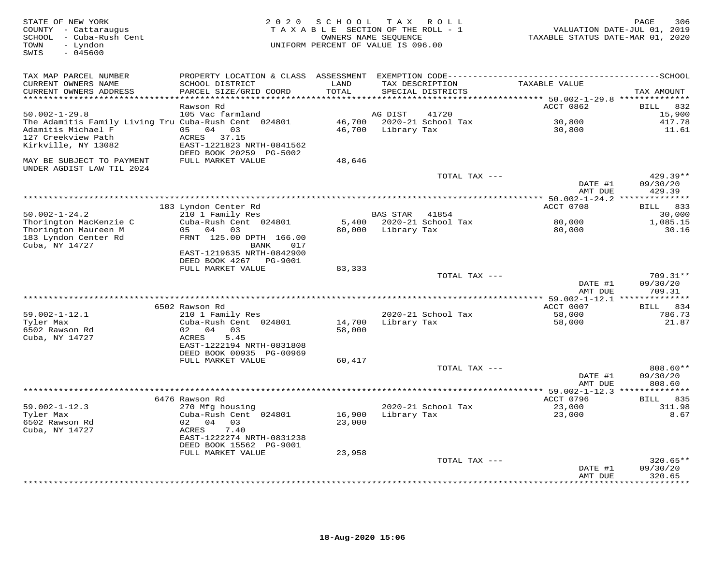| STATE OF NEW YORK<br>COUNTY - Cattaraugus<br>SCHOOL - Cuba-Rush Cent<br>TOWN<br>- Lyndon<br>$-045600$<br>SWIS           | 2 0 2 0                                                                                                                                            | S C H O O L                  | T A X<br>R O L L<br>TAXABLE SECTION OF THE ROLL - 1<br>OWNERS NAME SEQUENCE<br>UNIFORM PERCENT OF VALUE IS 096.00 | TAXABLE STATUS DATE-MAR 01, 2020                    | 306<br>PAGE<br>VALUATION DATE-JUL 01, 2019 |
|-------------------------------------------------------------------------------------------------------------------------|----------------------------------------------------------------------------------------------------------------------------------------------------|------------------------------|-------------------------------------------------------------------------------------------------------------------|-----------------------------------------------------|--------------------------------------------|
| TAX MAP PARCEL NUMBER<br>CURRENT OWNERS NAME<br>CURRENT OWNERS ADDRESS<br>******************************                | SCHOOL DISTRICT<br>PARCEL SIZE/GRID COORD                                                                                                          | LAND<br>TOTAL                | TAX DESCRIPTION<br>SPECIAL DISTRICTS                                                                              | TAXABLE VALUE                                       | TAX AMOUNT                                 |
|                                                                                                                         | Rawson Rd                                                                                                                                          |                              |                                                                                                                   | ACCT 0862                                           | 832<br>BILL                                |
| $50.002 - 1 - 29.8$                                                                                                     | 105 Vac farmland                                                                                                                                   |                              | AG DIST<br>41720                                                                                                  |                                                     | 15,900                                     |
| The Adamitis Family Living Tru Cuba-Rush Cent 024801<br>Adamitis Michael F<br>127 Creekview Path<br>Kirkville, NY 13082 | 05 04<br>03<br>ACRES 37.15<br>EAST-1221823 NRTH-0841562                                                                                            | 46,700                       | 46,700 2020-21 School Tax<br>Library Tax                                                                          | 30,800<br>30,800                                    | 417.78<br>11.61                            |
| MAY BE SUBJECT TO PAYMENT<br>UNDER AGDIST LAW TIL 2024                                                                  | DEED BOOK 20259 PG-5002<br>FULL MARKET VALUE                                                                                                       | 48,646                       |                                                                                                                   |                                                     |                                            |
|                                                                                                                         |                                                                                                                                                    |                              | TOTAL TAX ---                                                                                                     | DATE #1<br>AMT DUE                                  | $429.39**$<br>09/30/20<br>429.39           |
|                                                                                                                         |                                                                                                                                                    |                              |                                                                                                                   |                                                     |                                            |
| $50.002 - 1 - 24.2$                                                                                                     | 183 Lyndon Center Rd<br>210 1 Family Res                                                                                                           |                              | <b>BAS STAR</b><br>41854                                                                                          | ACCT 0708                                           | 833<br>BILL<br>30,000                      |
| Thorington MacKenzie C<br>Thorington Maureen M<br>183 Lyndon Center Rd<br>Cuba, NY 14727                                | Cuba-Rush Cent 024801<br>04<br>05<br>03<br>FRNT 125.00 DPTH 166.00<br>BANK<br>017                                                                  | 80,000                       | 5,400 2020-21 School Tax<br>Library Tax                                                                           | 80,000<br>80,000                                    | 1,085.15<br>30.16                          |
|                                                                                                                         | EAST-1219635 NRTH-0842900<br>DEED BOOK 4267 PG-9001<br>FULL MARKET VALUE                                                                           | 83,333                       |                                                                                                                   |                                                     |                                            |
|                                                                                                                         |                                                                                                                                                    |                              | TOTAL TAX ---                                                                                                     | DATE #1                                             | 709.31**<br>09/30/20                       |
|                                                                                                                         |                                                                                                                                                    | **************************** |                                                                                                                   | AMT DUE<br>*********** 59.002-1-12.1 ************** | 709.31                                     |
|                                                                                                                         | 6502 Rawson Rd                                                                                                                                     |                              |                                                                                                                   | ACCT 0007                                           | BILL<br>834                                |
| $59.002 - 1 - 12.1$<br>Tyler Max<br>6502 Rawson Rd<br>Cuba, NY 14727                                                    | 210 1 Family Res<br>Cuba-Rush Cent 024801<br>02<br>04<br>03<br>5.45<br>ACRES                                                                       | 14,700<br>58,000             | 2020-21 School Tax<br>Library Tax                                                                                 | 58,000<br>58,000                                    | 786.73<br>21.87                            |
|                                                                                                                         | EAST-1222194 NRTH-0831808<br>DEED BOOK 00935 PG-00969                                                                                              |                              |                                                                                                                   |                                                     |                                            |
|                                                                                                                         | FULL MARKET VALUE                                                                                                                                  | 60,417                       |                                                                                                                   |                                                     |                                            |
|                                                                                                                         |                                                                                                                                                    |                              | TOTAL TAX ---                                                                                                     | DATE #1<br>AMT DUE                                  | 808.60**<br>09/30/20<br>808.60             |
|                                                                                                                         |                                                                                                                                                    |                              |                                                                                                                   | ** 59.002-1-12.3 **************                     |                                            |
| $59.002 - 1 - 12.3$<br>Tyler Max<br>6502 Rawson Rd<br>Cuba, NY 14727                                                    | 6476 Rawson Rd<br>270 Mfg housing<br>Cuba-Rush Cent 024801<br>02 04<br>03<br>ACRES<br>7.40<br>EAST-1222274 NRTH-0831238<br>DEED BOOK 15562 PG-9001 | 16,900<br>23,000             | 2020-21 School Tax<br>Library Tax                                                                                 | ACCT 0796<br>23,000<br>23,000                       | BILL 835<br>311.98<br>8.67                 |
|                                                                                                                         | FULL MARKET VALUE                                                                                                                                  | 23,958                       |                                                                                                                   |                                                     |                                            |
|                                                                                                                         |                                                                                                                                                    |                              | TOTAL TAX ---                                                                                                     | DATE #1<br>AMT DUE                                  | $320.65**$<br>09/30/20<br>320.65           |
|                                                                                                                         |                                                                                                                                                    |                              |                                                                                                                   |                                                     | * * * * * * * *                            |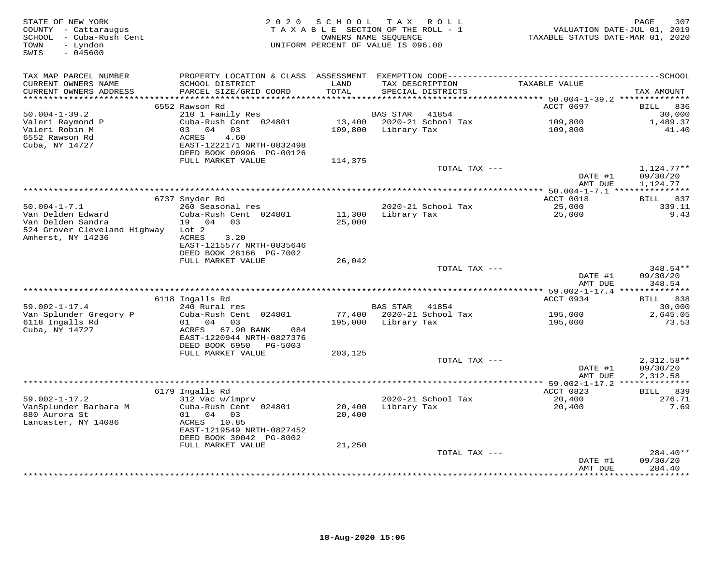| STATE OF NEW YORK<br>COUNTY - Cattaraugus<br>SCHOOL - Cuba-Rush Cent<br>- Lyndon<br>TOWN<br>SWIS<br>$-045600$ |                                           | 2020 SCHOOL<br>TAXABLE SECTION OF THE ROLL - 1<br>OWNERS NAME SEQUENCE<br>UNIFORM PERCENT OF VALUE IS 096.00 |                     | TAX ROLL                             | VALUATION DATE-JUL 01, 2019<br>TAXABLE STATUS DATE-MAR 01, 2020 | PAGE<br>307          |
|---------------------------------------------------------------------------------------------------------------|-------------------------------------------|--------------------------------------------------------------------------------------------------------------|---------------------|--------------------------------------|-----------------------------------------------------------------|----------------------|
| TAX MAP PARCEL NUMBER                                                                                         |                                           |                                                                                                              |                     |                                      |                                                                 |                      |
| CURRENT OWNERS NAME<br>CURRENT OWNERS ADDRESS<br>***********************                                      | SCHOOL DISTRICT<br>PARCEL SIZE/GRID COORD | LAND<br><b>TOTAL</b>                                                                                         |                     | TAX DESCRIPTION<br>SPECIAL DISTRICTS | TAXABLE VALUE                                                   | TAX AMOUNT           |
|                                                                                                               | 6552 Rawson Rd                            |                                                                                                              |                     |                                      | ACCT 0697                                                       | 836<br>BILL          |
| $50.004 - 1 - 39.2$                                                                                           | 210 1 Family Res                          |                                                                                                              | BAS STAR            | 41854                                |                                                                 | 30,000               |
| Valeri Raymond P                                                                                              | Cuba-Rush Cent 024801                     | 13,400                                                                                                       |                     | 2020-21 School Tax                   | 109,800                                                         | 1,489.37             |
| Valeri Robin M                                                                                                | 03 04 03                                  | 109,800                                                                                                      | Library Tax         |                                      | 109,800                                                         | 41.40                |
| 6552 Rawson Rd                                                                                                | ACRES<br>4.60                             |                                                                                                              |                     |                                      |                                                                 |                      |
| Cuba, NY 14727                                                                                                | EAST-1222171 NRTH-0832498                 |                                                                                                              |                     |                                      |                                                                 |                      |
|                                                                                                               | DEED BOOK 00996 PG-00126                  |                                                                                                              |                     |                                      |                                                                 |                      |
|                                                                                                               | FULL MARKET VALUE                         | 114,375                                                                                                      |                     |                                      |                                                                 |                      |
|                                                                                                               |                                           |                                                                                                              |                     | TOTAL TAX ---                        |                                                                 | $1,124.77**$         |
|                                                                                                               |                                           |                                                                                                              |                     |                                      | DATE #1<br>AMT DUE                                              | 09/30/20<br>1,124.77 |
|                                                                                                               |                                           |                                                                                                              |                     |                                      |                                                                 |                      |
|                                                                                                               | 6737 Snyder Rd                            |                                                                                                              |                     |                                      | ACCT 0018                                                       | BILL 837             |
| $50.004 - 1 - 7.1$                                                                                            | 260 Seasonal res                          |                                                                                                              |                     | 2020-21 School Tax                   | 25,000                                                          | 339.11               |
| Van Delden Edward                                                                                             | Cuba-Rush Cent 024801                     | 11,300                                                                                                       | Library Tax         |                                      | 25,000                                                          | 9.43                 |
| Van Delden Sandra                                                                                             | 19 04 03                                  | 25,000                                                                                                       |                     |                                      |                                                                 |                      |
| 524 Grover Cleveland Highway                                                                                  | Lot 2                                     |                                                                                                              |                     |                                      |                                                                 |                      |
| Amherst, NY 14236                                                                                             | ACRES<br>3.20                             |                                                                                                              |                     |                                      |                                                                 |                      |
|                                                                                                               | EAST-1215577 NRTH-0835646                 |                                                                                                              |                     |                                      |                                                                 |                      |
|                                                                                                               | DEED BOOK 28166 PG-7002                   |                                                                                                              |                     |                                      |                                                                 |                      |
|                                                                                                               | FULL MARKET VALUE                         | 26,042                                                                                                       |                     |                                      |                                                                 | 348.54**             |
|                                                                                                               |                                           |                                                                                                              |                     | TOTAL TAX ---                        | DATE #1                                                         | 09/30/20             |
|                                                                                                               |                                           |                                                                                                              |                     |                                      | AMT DUE                                                         | 348.54               |
|                                                                                                               |                                           |                                                                                                              |                     |                                      | ********** 59.002-1-17.4 ***************                        |                      |
|                                                                                                               | 6118 Ingalls Rd                           |                                                                                                              |                     |                                      | ACCT 0934                                                       | BILL 838             |
| $59.002 - 1 - 17.4$                                                                                           | 240 Rural res                             |                                                                                                              | <b>BAS STAR</b>     | 41854                                |                                                                 | 30,000               |
| Van Splunder Gregory P                                                                                        | Cuba-Rush Cent 024801                     |                                                                                                              |                     | 77,400 2020-21 School Tax            | 195,000                                                         | 2,645.05             |
| 6118 Ingalls Rd<br>Cuba, NY 14727                                                                             | 01 04 03<br>67.90 BANK<br>ACRES<br>084    |                                                                                                              | 195,000 Library Tax |                                      | 195,000                                                         | 73.53                |
|                                                                                                               | EAST-1220944 NRTH-0827376                 |                                                                                                              |                     |                                      |                                                                 |                      |
|                                                                                                               | DEED BOOK 6950<br>PG-5003                 |                                                                                                              |                     |                                      |                                                                 |                      |
|                                                                                                               | FULL MARKET VALUE                         | 203,125                                                                                                      |                     |                                      |                                                                 |                      |
|                                                                                                               |                                           |                                                                                                              |                     | TOTAL TAX ---                        |                                                                 | $2,312.58**$         |
|                                                                                                               |                                           |                                                                                                              |                     |                                      | DATE #1                                                         | 09/30/20             |
|                                                                                                               |                                           |                                                                                                              |                     |                                      | AMT DUE                                                         | 2,312.58             |
|                                                                                                               |                                           |                                                                                                              |                     |                                      | ****** 59.002-1-17.2 ***************                            |                      |
|                                                                                                               | 6179 Ingalls Rd                           |                                                                                                              |                     |                                      | ACCT 0823                                                       | BILL 839             |
| $59.002 - 1 - 17.2$<br>VanSplunder Barbara M                                                                  | 312 Vac w/imprv<br>Cuba-Rush Cent 024801  | 20,400                                                                                                       | Library Tax         | 2020-21 School Tax                   | 20,400<br>20,400                                                | 276.71<br>7.69       |
| 880 Aurora St                                                                                                 | 01 04 03                                  | 20,400                                                                                                       |                     |                                      |                                                                 |                      |
| Lancaster, NY 14086                                                                                           | ACRES 10.85                               |                                                                                                              |                     |                                      |                                                                 |                      |
|                                                                                                               | EAST-1219549 NRTH-0827452                 |                                                                                                              |                     |                                      |                                                                 |                      |
|                                                                                                               | DEED BOOK 30042 PG-8002                   |                                                                                                              |                     |                                      |                                                                 |                      |
|                                                                                                               | FULL MARKET VALUE                         | 21,250                                                                                                       |                     |                                      |                                                                 |                      |
|                                                                                                               |                                           |                                                                                                              |                     | TOTAL TAX ---                        |                                                                 | $284.40**$           |
|                                                                                                               |                                           |                                                                                                              |                     |                                      | DATE #1                                                         | 09/30/20             |
|                                                                                                               |                                           |                                                                                                              |                     | **************************           | AMT DUE                                                         | 284.40<br>*********  |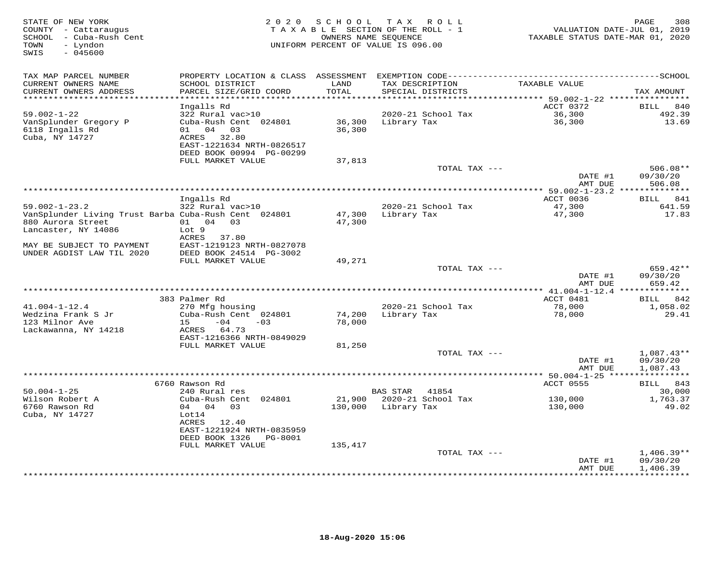| TAX MAP PARCEL NUMBER<br>PROPERTY LOCATION & CLASS ASSESSMENT<br>CURRENT OWNERS NAME<br>SCHOOL DISTRICT<br>LAND<br>TAXABLE VALUE<br>TAX DESCRIPTION<br>TOTAL<br>CURRENT OWNERS ADDRESS<br>PARCEL SIZE/GRID COORD<br>SPECIAL DISTRICTS<br>TAX AMOUNT<br>*******************<br>*************************<br>Ingalls Rd<br>ACCT 0372<br>BILL<br>840<br>36,300<br>$59.002 - 1 - 22$<br>322 Rural vac>10<br>2020-21 School Tax<br>492.39<br>Cuba-Rush Cent 024801<br>36,300<br>13.69<br>VanSplunder Gregory P<br>36,300<br>Library Tax<br>6118 Ingalls Rd<br>04 03<br>36,300<br>01<br>Cuba, NY 14727<br>ACRES<br>32.80<br>EAST-1221634 NRTH-0826517<br>DEED BOOK 00994 PG-00299<br>FULL MARKET VALUE<br>37,813<br>TOTAL TAX ---<br>$506.08**$<br>DATE #1<br>09/30/20<br>AMT DUE<br>506.08<br>Ingalls Rd<br>ACCT 0036<br>BILL 841<br>47,300<br>$59.002 - 1 - 23.2$<br>322 Rural vac>10<br>2020-21 School Tax<br>641.59<br>VanSplunder Living Trust Barba Cuba-Rush Cent 024801<br>47,300<br>17.83<br>47,300<br>Library Tax<br>880 Aurora Street<br>01 04 03<br>47,300<br>Lancaster, NY 14086<br>Lot 9<br>ACRES<br>37.80<br>MAY BE SUBJECT TO PAYMENT<br>EAST-1219123 NRTH-0827078<br>UNDER AGDIST LAW TIL 2020<br>DEED BOOK 24514 PG-3002<br>FULL MARKET VALUE<br>49,271<br>TOTAL TAX ---<br>$659.42**$<br>DATE #1<br>09/30/20<br>AMT DUE<br>659.42<br>******* 41.004-1-12.4 **************<br>383 Palmer Rd<br>ACCT 0481<br>BILL 842<br>$41.004 - 1 - 12.4$<br>270 Mfg housing<br>2020-21 School Tax<br>78,000<br>1,058.02<br>Wedzina Frank S Jr<br>Cuba-Rush Cent 024801<br>74,200<br>Library Tax<br>78,000<br>29.41<br>123 Milnor Ave<br>$-04$<br>$-03$<br>78,000<br>15<br>Lackawanna, NY 14218<br>64.73<br>ACRES<br>EAST-1216366 NRTH-0849029<br>FULL MARKET VALUE<br>81,250<br>TOTAL TAX ---<br>$1,087.43**$<br>DATE #1<br>09/30/20<br>1,087.43<br>AMT DUE<br>*** 50.004-1-25 *****<br>***********<br>ACCT 0555<br>BILL 843<br>6760 Rawson Rd<br>$50.004 - 1 - 25$<br>240 Rural res<br><b>BAS STAR</b><br>41854<br>30,000<br>Wilson Robert A<br>21,900<br>2020-21 School Tax<br>Cuba-Rush Cent 024801<br>130,000<br>1,763.37<br>6760 Rawson Rd<br>04 04 03<br>130,000<br>Library Tax<br>49.02<br>130,000<br>Cuba, NY 14727<br>Lot14<br>ACRES<br>12.40<br>EAST-1221924 NRTH-0835959<br>DEED BOOK 1326<br>PG-8001<br>FULL MARKET VALUE<br>135,417<br>TOTAL TAX ---<br>$1,406.39**$<br>09/30/20<br>DATE #1<br>1,406.39<br>AMT DUE<br>********** | STATE OF NEW YORK<br>COUNTY - Cattaraugus<br>SCHOOL - Cuba-Rush Cent<br>- Lyndon<br>TOWN<br>$-045600$<br>SWIS | 2020 SCHOOL | T A X<br>TAXABLE SECTION OF THE ROLL - 1<br>OWNERS NAME SEQUENCE<br>UNIFORM PERCENT OF VALUE IS 096.00 | R O L L | TAXABLE STATUS DATE-MAR 01, 2020 | PAGE<br>308<br>VALUATION DATE-JUL 01, 2019 |
|----------------------------------------------------------------------------------------------------------------------------------------------------------------------------------------------------------------------------------------------------------------------------------------------------------------------------------------------------------------------------------------------------------------------------------------------------------------------------------------------------------------------------------------------------------------------------------------------------------------------------------------------------------------------------------------------------------------------------------------------------------------------------------------------------------------------------------------------------------------------------------------------------------------------------------------------------------------------------------------------------------------------------------------------------------------------------------------------------------------------------------------------------------------------------------------------------------------------------------------------------------------------------------------------------------------------------------------------------------------------------------------------------------------------------------------------------------------------------------------------------------------------------------------------------------------------------------------------------------------------------------------------------------------------------------------------------------------------------------------------------------------------------------------------------------------------------------------------------------------------------------------------------------------------------------------------------------------------------------------------------------------------------------------------------------------------------------------------------------------------------------------------------------------------------------------------------------------------------------------------------------------------------------------------------------------------------------------------------------------------------------------------------------------------------------------------|---------------------------------------------------------------------------------------------------------------|-------------|--------------------------------------------------------------------------------------------------------|---------|----------------------------------|--------------------------------------------|
|                                                                                                                                                                                                                                                                                                                                                                                                                                                                                                                                                                                                                                                                                                                                                                                                                                                                                                                                                                                                                                                                                                                                                                                                                                                                                                                                                                                                                                                                                                                                                                                                                                                                                                                                                                                                                                                                                                                                                                                                                                                                                                                                                                                                                                                                                                                                                                                                                                              |                                                                                                               |             |                                                                                                        |         |                                  |                                            |
|                                                                                                                                                                                                                                                                                                                                                                                                                                                                                                                                                                                                                                                                                                                                                                                                                                                                                                                                                                                                                                                                                                                                                                                                                                                                                                                                                                                                                                                                                                                                                                                                                                                                                                                                                                                                                                                                                                                                                                                                                                                                                                                                                                                                                                                                                                                                                                                                                                              |                                                                                                               |             |                                                                                                        |         |                                  |                                            |
|                                                                                                                                                                                                                                                                                                                                                                                                                                                                                                                                                                                                                                                                                                                                                                                                                                                                                                                                                                                                                                                                                                                                                                                                                                                                                                                                                                                                                                                                                                                                                                                                                                                                                                                                                                                                                                                                                                                                                                                                                                                                                                                                                                                                                                                                                                                                                                                                                                              |                                                                                                               |             |                                                                                                        |         |                                  |                                            |
|                                                                                                                                                                                                                                                                                                                                                                                                                                                                                                                                                                                                                                                                                                                                                                                                                                                                                                                                                                                                                                                                                                                                                                                                                                                                                                                                                                                                                                                                                                                                                                                                                                                                                                                                                                                                                                                                                                                                                                                                                                                                                                                                                                                                                                                                                                                                                                                                                                              |                                                                                                               |             |                                                                                                        |         |                                  |                                            |
|                                                                                                                                                                                                                                                                                                                                                                                                                                                                                                                                                                                                                                                                                                                                                                                                                                                                                                                                                                                                                                                                                                                                                                                                                                                                                                                                                                                                                                                                                                                                                                                                                                                                                                                                                                                                                                                                                                                                                                                                                                                                                                                                                                                                                                                                                                                                                                                                                                              |                                                                                                               |             |                                                                                                        |         |                                  |                                            |
|                                                                                                                                                                                                                                                                                                                                                                                                                                                                                                                                                                                                                                                                                                                                                                                                                                                                                                                                                                                                                                                                                                                                                                                                                                                                                                                                                                                                                                                                                                                                                                                                                                                                                                                                                                                                                                                                                                                                                                                                                                                                                                                                                                                                                                                                                                                                                                                                                                              |                                                                                                               |             |                                                                                                        |         |                                  |                                            |
|                                                                                                                                                                                                                                                                                                                                                                                                                                                                                                                                                                                                                                                                                                                                                                                                                                                                                                                                                                                                                                                                                                                                                                                                                                                                                                                                                                                                                                                                                                                                                                                                                                                                                                                                                                                                                                                                                                                                                                                                                                                                                                                                                                                                                                                                                                                                                                                                                                              |                                                                                                               |             |                                                                                                        |         |                                  |                                            |
|                                                                                                                                                                                                                                                                                                                                                                                                                                                                                                                                                                                                                                                                                                                                                                                                                                                                                                                                                                                                                                                                                                                                                                                                                                                                                                                                                                                                                                                                                                                                                                                                                                                                                                                                                                                                                                                                                                                                                                                                                                                                                                                                                                                                                                                                                                                                                                                                                                              |                                                                                                               |             |                                                                                                        |         |                                  |                                            |
|                                                                                                                                                                                                                                                                                                                                                                                                                                                                                                                                                                                                                                                                                                                                                                                                                                                                                                                                                                                                                                                                                                                                                                                                                                                                                                                                                                                                                                                                                                                                                                                                                                                                                                                                                                                                                                                                                                                                                                                                                                                                                                                                                                                                                                                                                                                                                                                                                                              |                                                                                                               |             |                                                                                                        |         |                                  |                                            |
|                                                                                                                                                                                                                                                                                                                                                                                                                                                                                                                                                                                                                                                                                                                                                                                                                                                                                                                                                                                                                                                                                                                                                                                                                                                                                                                                                                                                                                                                                                                                                                                                                                                                                                                                                                                                                                                                                                                                                                                                                                                                                                                                                                                                                                                                                                                                                                                                                                              |                                                                                                               |             |                                                                                                        |         |                                  |                                            |
|                                                                                                                                                                                                                                                                                                                                                                                                                                                                                                                                                                                                                                                                                                                                                                                                                                                                                                                                                                                                                                                                                                                                                                                                                                                                                                                                                                                                                                                                                                                                                                                                                                                                                                                                                                                                                                                                                                                                                                                                                                                                                                                                                                                                                                                                                                                                                                                                                                              |                                                                                                               |             |                                                                                                        |         |                                  |                                            |
|                                                                                                                                                                                                                                                                                                                                                                                                                                                                                                                                                                                                                                                                                                                                                                                                                                                                                                                                                                                                                                                                                                                                                                                                                                                                                                                                                                                                                                                                                                                                                                                                                                                                                                                                                                                                                                                                                                                                                                                                                                                                                                                                                                                                                                                                                                                                                                                                                                              |                                                                                                               |             |                                                                                                        |         |                                  |                                            |
|                                                                                                                                                                                                                                                                                                                                                                                                                                                                                                                                                                                                                                                                                                                                                                                                                                                                                                                                                                                                                                                                                                                                                                                                                                                                                                                                                                                                                                                                                                                                                                                                                                                                                                                                                                                                                                                                                                                                                                                                                                                                                                                                                                                                                                                                                                                                                                                                                                              |                                                                                                               |             |                                                                                                        |         |                                  |                                            |
|                                                                                                                                                                                                                                                                                                                                                                                                                                                                                                                                                                                                                                                                                                                                                                                                                                                                                                                                                                                                                                                                                                                                                                                                                                                                                                                                                                                                                                                                                                                                                                                                                                                                                                                                                                                                                                                                                                                                                                                                                                                                                                                                                                                                                                                                                                                                                                                                                                              |                                                                                                               |             |                                                                                                        |         |                                  |                                            |
|                                                                                                                                                                                                                                                                                                                                                                                                                                                                                                                                                                                                                                                                                                                                                                                                                                                                                                                                                                                                                                                                                                                                                                                                                                                                                                                                                                                                                                                                                                                                                                                                                                                                                                                                                                                                                                                                                                                                                                                                                                                                                                                                                                                                                                                                                                                                                                                                                                              |                                                                                                               |             |                                                                                                        |         |                                  |                                            |
|                                                                                                                                                                                                                                                                                                                                                                                                                                                                                                                                                                                                                                                                                                                                                                                                                                                                                                                                                                                                                                                                                                                                                                                                                                                                                                                                                                                                                                                                                                                                                                                                                                                                                                                                                                                                                                                                                                                                                                                                                                                                                                                                                                                                                                                                                                                                                                                                                                              |                                                                                                               |             |                                                                                                        |         |                                  |                                            |
|                                                                                                                                                                                                                                                                                                                                                                                                                                                                                                                                                                                                                                                                                                                                                                                                                                                                                                                                                                                                                                                                                                                                                                                                                                                                                                                                                                                                                                                                                                                                                                                                                                                                                                                                                                                                                                                                                                                                                                                                                                                                                                                                                                                                                                                                                                                                                                                                                                              |                                                                                                               |             |                                                                                                        |         |                                  |                                            |
|                                                                                                                                                                                                                                                                                                                                                                                                                                                                                                                                                                                                                                                                                                                                                                                                                                                                                                                                                                                                                                                                                                                                                                                                                                                                                                                                                                                                                                                                                                                                                                                                                                                                                                                                                                                                                                                                                                                                                                                                                                                                                                                                                                                                                                                                                                                                                                                                                                              |                                                                                                               |             |                                                                                                        |         |                                  |                                            |
|                                                                                                                                                                                                                                                                                                                                                                                                                                                                                                                                                                                                                                                                                                                                                                                                                                                                                                                                                                                                                                                                                                                                                                                                                                                                                                                                                                                                                                                                                                                                                                                                                                                                                                                                                                                                                                                                                                                                                                                                                                                                                                                                                                                                                                                                                                                                                                                                                                              |                                                                                                               |             |                                                                                                        |         |                                  |                                            |
|                                                                                                                                                                                                                                                                                                                                                                                                                                                                                                                                                                                                                                                                                                                                                                                                                                                                                                                                                                                                                                                                                                                                                                                                                                                                                                                                                                                                                                                                                                                                                                                                                                                                                                                                                                                                                                                                                                                                                                                                                                                                                                                                                                                                                                                                                                                                                                                                                                              |                                                                                                               |             |                                                                                                        |         |                                  |                                            |
|                                                                                                                                                                                                                                                                                                                                                                                                                                                                                                                                                                                                                                                                                                                                                                                                                                                                                                                                                                                                                                                                                                                                                                                                                                                                                                                                                                                                                                                                                                                                                                                                                                                                                                                                                                                                                                                                                                                                                                                                                                                                                                                                                                                                                                                                                                                                                                                                                                              |                                                                                                               |             |                                                                                                        |         |                                  |                                            |
|                                                                                                                                                                                                                                                                                                                                                                                                                                                                                                                                                                                                                                                                                                                                                                                                                                                                                                                                                                                                                                                                                                                                                                                                                                                                                                                                                                                                                                                                                                                                                                                                                                                                                                                                                                                                                                                                                                                                                                                                                                                                                                                                                                                                                                                                                                                                                                                                                                              |                                                                                                               |             |                                                                                                        |         |                                  |                                            |
|                                                                                                                                                                                                                                                                                                                                                                                                                                                                                                                                                                                                                                                                                                                                                                                                                                                                                                                                                                                                                                                                                                                                                                                                                                                                                                                                                                                                                                                                                                                                                                                                                                                                                                                                                                                                                                                                                                                                                                                                                                                                                                                                                                                                                                                                                                                                                                                                                                              |                                                                                                               |             |                                                                                                        |         |                                  |                                            |
|                                                                                                                                                                                                                                                                                                                                                                                                                                                                                                                                                                                                                                                                                                                                                                                                                                                                                                                                                                                                                                                                                                                                                                                                                                                                                                                                                                                                                                                                                                                                                                                                                                                                                                                                                                                                                                                                                                                                                                                                                                                                                                                                                                                                                                                                                                                                                                                                                                              |                                                                                                               |             |                                                                                                        |         |                                  |                                            |
|                                                                                                                                                                                                                                                                                                                                                                                                                                                                                                                                                                                                                                                                                                                                                                                                                                                                                                                                                                                                                                                                                                                                                                                                                                                                                                                                                                                                                                                                                                                                                                                                                                                                                                                                                                                                                                                                                                                                                                                                                                                                                                                                                                                                                                                                                                                                                                                                                                              |                                                                                                               |             |                                                                                                        |         |                                  |                                            |
|                                                                                                                                                                                                                                                                                                                                                                                                                                                                                                                                                                                                                                                                                                                                                                                                                                                                                                                                                                                                                                                                                                                                                                                                                                                                                                                                                                                                                                                                                                                                                                                                                                                                                                                                                                                                                                                                                                                                                                                                                                                                                                                                                                                                                                                                                                                                                                                                                                              |                                                                                                               |             |                                                                                                        |         |                                  |                                            |
|                                                                                                                                                                                                                                                                                                                                                                                                                                                                                                                                                                                                                                                                                                                                                                                                                                                                                                                                                                                                                                                                                                                                                                                                                                                                                                                                                                                                                                                                                                                                                                                                                                                                                                                                                                                                                                                                                                                                                                                                                                                                                                                                                                                                                                                                                                                                                                                                                                              |                                                                                                               |             |                                                                                                        |         |                                  |                                            |
|                                                                                                                                                                                                                                                                                                                                                                                                                                                                                                                                                                                                                                                                                                                                                                                                                                                                                                                                                                                                                                                                                                                                                                                                                                                                                                                                                                                                                                                                                                                                                                                                                                                                                                                                                                                                                                                                                                                                                                                                                                                                                                                                                                                                                                                                                                                                                                                                                                              |                                                                                                               |             |                                                                                                        |         |                                  |                                            |
|                                                                                                                                                                                                                                                                                                                                                                                                                                                                                                                                                                                                                                                                                                                                                                                                                                                                                                                                                                                                                                                                                                                                                                                                                                                                                                                                                                                                                                                                                                                                                                                                                                                                                                                                                                                                                                                                                                                                                                                                                                                                                                                                                                                                                                                                                                                                                                                                                                              |                                                                                                               |             |                                                                                                        |         |                                  |                                            |
|                                                                                                                                                                                                                                                                                                                                                                                                                                                                                                                                                                                                                                                                                                                                                                                                                                                                                                                                                                                                                                                                                                                                                                                                                                                                                                                                                                                                                                                                                                                                                                                                                                                                                                                                                                                                                                                                                                                                                                                                                                                                                                                                                                                                                                                                                                                                                                                                                                              |                                                                                                               |             |                                                                                                        |         |                                  |                                            |
|                                                                                                                                                                                                                                                                                                                                                                                                                                                                                                                                                                                                                                                                                                                                                                                                                                                                                                                                                                                                                                                                                                                                                                                                                                                                                                                                                                                                                                                                                                                                                                                                                                                                                                                                                                                                                                                                                                                                                                                                                                                                                                                                                                                                                                                                                                                                                                                                                                              |                                                                                                               |             |                                                                                                        |         |                                  |                                            |
|                                                                                                                                                                                                                                                                                                                                                                                                                                                                                                                                                                                                                                                                                                                                                                                                                                                                                                                                                                                                                                                                                                                                                                                                                                                                                                                                                                                                                                                                                                                                                                                                                                                                                                                                                                                                                                                                                                                                                                                                                                                                                                                                                                                                                                                                                                                                                                                                                                              |                                                                                                               |             |                                                                                                        |         |                                  |                                            |
|                                                                                                                                                                                                                                                                                                                                                                                                                                                                                                                                                                                                                                                                                                                                                                                                                                                                                                                                                                                                                                                                                                                                                                                                                                                                                                                                                                                                                                                                                                                                                                                                                                                                                                                                                                                                                                                                                                                                                                                                                                                                                                                                                                                                                                                                                                                                                                                                                                              |                                                                                                               |             |                                                                                                        |         |                                  |                                            |
|                                                                                                                                                                                                                                                                                                                                                                                                                                                                                                                                                                                                                                                                                                                                                                                                                                                                                                                                                                                                                                                                                                                                                                                                                                                                                                                                                                                                                                                                                                                                                                                                                                                                                                                                                                                                                                                                                                                                                                                                                                                                                                                                                                                                                                                                                                                                                                                                                                              |                                                                                                               |             |                                                                                                        |         |                                  |                                            |
|                                                                                                                                                                                                                                                                                                                                                                                                                                                                                                                                                                                                                                                                                                                                                                                                                                                                                                                                                                                                                                                                                                                                                                                                                                                                                                                                                                                                                                                                                                                                                                                                                                                                                                                                                                                                                                                                                                                                                                                                                                                                                                                                                                                                                                                                                                                                                                                                                                              |                                                                                                               |             |                                                                                                        |         |                                  |                                            |
|                                                                                                                                                                                                                                                                                                                                                                                                                                                                                                                                                                                                                                                                                                                                                                                                                                                                                                                                                                                                                                                                                                                                                                                                                                                                                                                                                                                                                                                                                                                                                                                                                                                                                                                                                                                                                                                                                                                                                                                                                                                                                                                                                                                                                                                                                                                                                                                                                                              |                                                                                                               |             |                                                                                                        |         |                                  |                                            |
|                                                                                                                                                                                                                                                                                                                                                                                                                                                                                                                                                                                                                                                                                                                                                                                                                                                                                                                                                                                                                                                                                                                                                                                                                                                                                                                                                                                                                                                                                                                                                                                                                                                                                                                                                                                                                                                                                                                                                                                                                                                                                                                                                                                                                                                                                                                                                                                                                                              |                                                                                                               |             |                                                                                                        |         |                                  |                                            |
|                                                                                                                                                                                                                                                                                                                                                                                                                                                                                                                                                                                                                                                                                                                                                                                                                                                                                                                                                                                                                                                                                                                                                                                                                                                                                                                                                                                                                                                                                                                                                                                                                                                                                                                                                                                                                                                                                                                                                                                                                                                                                                                                                                                                                                                                                                                                                                                                                                              |                                                                                                               |             |                                                                                                        |         |                                  |                                            |
|                                                                                                                                                                                                                                                                                                                                                                                                                                                                                                                                                                                                                                                                                                                                                                                                                                                                                                                                                                                                                                                                                                                                                                                                                                                                                                                                                                                                                                                                                                                                                                                                                                                                                                                                                                                                                                                                                                                                                                                                                                                                                                                                                                                                                                                                                                                                                                                                                                              |                                                                                                               |             |                                                                                                        |         |                                  |                                            |
|                                                                                                                                                                                                                                                                                                                                                                                                                                                                                                                                                                                                                                                                                                                                                                                                                                                                                                                                                                                                                                                                                                                                                                                                                                                                                                                                                                                                                                                                                                                                                                                                                                                                                                                                                                                                                                                                                                                                                                                                                                                                                                                                                                                                                                                                                                                                                                                                                                              |                                                                                                               |             |                                                                                                        |         |                                  |                                            |
|                                                                                                                                                                                                                                                                                                                                                                                                                                                                                                                                                                                                                                                                                                                                                                                                                                                                                                                                                                                                                                                                                                                                                                                                                                                                                                                                                                                                                                                                                                                                                                                                                                                                                                                                                                                                                                                                                                                                                                                                                                                                                                                                                                                                                                                                                                                                                                                                                                              |                                                                                                               |             |                                                                                                        |         |                                  |                                            |
|                                                                                                                                                                                                                                                                                                                                                                                                                                                                                                                                                                                                                                                                                                                                                                                                                                                                                                                                                                                                                                                                                                                                                                                                                                                                                                                                                                                                                                                                                                                                                                                                                                                                                                                                                                                                                                                                                                                                                                                                                                                                                                                                                                                                                                                                                                                                                                                                                                              |                                                                                                               |             |                                                                                                        |         |                                  |                                            |
|                                                                                                                                                                                                                                                                                                                                                                                                                                                                                                                                                                                                                                                                                                                                                                                                                                                                                                                                                                                                                                                                                                                                                                                                                                                                                                                                                                                                                                                                                                                                                                                                                                                                                                                                                                                                                                                                                                                                                                                                                                                                                                                                                                                                                                                                                                                                                                                                                                              |                                                                                                               |             |                                                                                                        |         |                                  |                                            |
|                                                                                                                                                                                                                                                                                                                                                                                                                                                                                                                                                                                                                                                                                                                                                                                                                                                                                                                                                                                                                                                                                                                                                                                                                                                                                                                                                                                                                                                                                                                                                                                                                                                                                                                                                                                                                                                                                                                                                                                                                                                                                                                                                                                                                                                                                                                                                                                                                                              |                                                                                                               |             |                                                                                                        |         |                                  |                                            |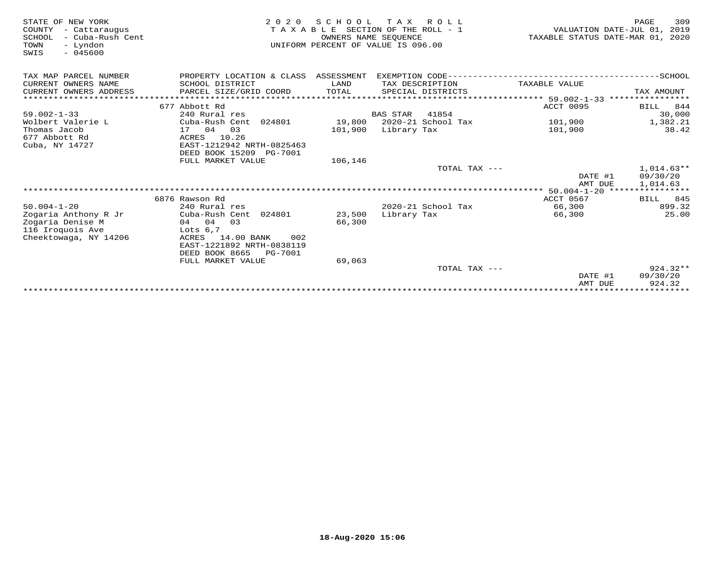| STATE OF NEW YORK<br>COUNTY<br>- Cattaraugus<br>SCHOOL<br>- Cuba-Rush Cent<br>TOWN<br>- Lyndon<br>$-045600$<br>SWIS | 2 0 2 0                                              | SCHOOL<br>OWNERS NAME SEQUENCE | T A X<br>R O L L<br>TAXABLE SECTION OF THE ROLL - 1<br>UNIFORM PERCENT OF VALUE IS 096.00 | VALUATION DATE-JUL 01, 2019<br>TAXABLE STATUS DATE-MAR 01, 2020 | PAGE<br>309                     |
|---------------------------------------------------------------------------------------------------------------------|------------------------------------------------------|--------------------------------|-------------------------------------------------------------------------------------------|-----------------------------------------------------------------|---------------------------------|
| TAX MAP PARCEL NUMBER                                                                                               | PROPERTY LOCATION & CLASS                            | ASSESSMENT                     |                                                                                           |                                                                 |                                 |
| CURRENT OWNERS NAME                                                                                                 | SCHOOL DISTRICT                                      | LAND                           | TAX DESCRIPTION                                                                           | TAXABLE VALUE                                                   |                                 |
| CURRENT OWNERS ADDRESS                                                                                              | PARCEL SIZE/GRID COORD                               | TOTAL                          | SPECIAL DISTRICTS                                                                         |                                                                 | TAX AMOUNT                      |
|                                                                                                                     |                                                      |                                |                                                                                           | ************* 59.002-1-33                                       | * * * * * * * * * * * * * * * * |
|                                                                                                                     | 677 Abbott Rd                                        |                                |                                                                                           | ACCT 0095                                                       | 844<br>BILL                     |
| $59.002 - 1 - 33$                                                                                                   | 240 Rural res                                        |                                | BAS STAR 41854                                                                            |                                                                 | 30,000                          |
| Wolbert Valerie L                                                                                                   | Cuba-Rush Cent<br>024801                             |                                | 19,800 2020-21 School Tax                                                                 | 101,900                                                         | 1,382.21                        |
| Thomas Jacob                                                                                                        | 17 04<br>03                                          | 101,900                        | Library Tax                                                                               | 101,900                                                         | 38.42                           |
| 677 Abbott Rd                                                                                                       | 10.26<br>ACRES                                       |                                |                                                                                           |                                                                 |                                 |
| Cuba, NY 14727                                                                                                      | EAST-1212942 NRTH-0825463<br>DEED BOOK 15209 PG-7001 |                                |                                                                                           |                                                                 |                                 |
|                                                                                                                     | FULL MARKET VALUE                                    | 106,146                        |                                                                                           |                                                                 |                                 |
|                                                                                                                     |                                                      |                                | TOTAL TAX ---                                                                             |                                                                 | $1,014.63**$                    |
|                                                                                                                     |                                                      |                                |                                                                                           | DATE #1                                                         | 09/30/20                        |
|                                                                                                                     |                                                      |                                |                                                                                           | AMT DUE                                                         | 1,014.63                        |
|                                                                                                                     |                                                      |                                |                                                                                           | **** 50.004-1-20 ****************                               |                                 |
|                                                                                                                     | 6876 Rawson Rd                                       |                                |                                                                                           | ACCT 0567                                                       | 845<br>BILL                     |
| $50.004 - 1 - 20$                                                                                                   | 240 Rural res                                        |                                | 2020-21 School Tax                                                                        | 66,300                                                          | 899.32                          |
| Zogaria Anthony R Jr                                                                                                | Cuba-Rush Cent 024801                                | 23,500                         | Library Tax                                                                               | 66,300                                                          | 25.00                           |
| Zogaria Denise M                                                                                                    | 04 04<br>03                                          | 66,300                         |                                                                                           |                                                                 |                                 |
| 116 Iroquois Ave                                                                                                    | Lots $6.7$                                           |                                |                                                                                           |                                                                 |                                 |
| Cheektowaga, NY 14206                                                                                               | 14.00 BANK<br>ACRES<br>002                           |                                |                                                                                           |                                                                 |                                 |
|                                                                                                                     | EAST-1221892 NRTH-0838119                            |                                |                                                                                           |                                                                 |                                 |
|                                                                                                                     | DEED BOOK 8665<br>PG-7001                            |                                |                                                                                           |                                                                 |                                 |
|                                                                                                                     | FULL MARKET VALUE                                    | 69,063                         |                                                                                           |                                                                 |                                 |
|                                                                                                                     |                                                      |                                | TOTAL TAX ---                                                                             |                                                                 | $924.32**$                      |
|                                                                                                                     |                                                      |                                |                                                                                           | DATE #1<br>AMT DUE                                              | 09/30/20<br>924.32              |
|                                                                                                                     |                                                      |                                |                                                                                           |                                                                 | **************************      |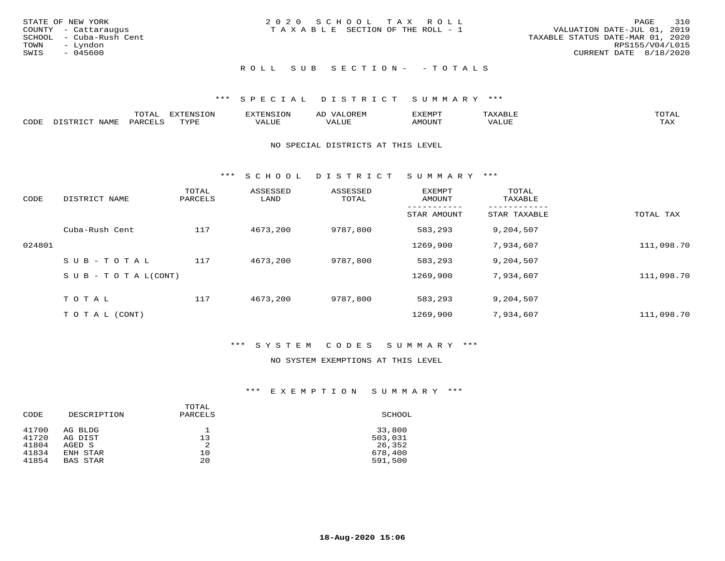| STATE OF NEW YORK<br>COUNTY - Cattaraugus<br>SCHOOL - Cuba-Rush Cent<br>TOWN<br>– Lyndon<br>SWIS<br>- 045600 | 2020 SCHOOL TAX ROLL<br>T A X A B L E SECTION OF THE ROLL - 1 | 310<br>PAGE<br>VALUATION DATE-JUL 01, 2019<br>TAXABLE STATUS DATE-MAR 01, 2020<br>RPS155/V04/L015<br>CURRENT DATE 8/18/2020 |
|--------------------------------------------------------------------------------------------------------------|---------------------------------------------------------------|-----------------------------------------------------------------------------------------------------------------------------|
|                                                                                                              | ROLL SUB SECTION- - TOTALS                                    |                                                                                                                             |

|      |      | m^m*<br>LUI NJ | ------<br>$-1$<br>- U JIV | N.           | AL<br>JR LIV  | ם הוא הדעי<br>ച∧ല™⊢ | 'A X A                       | mom <sub>n</sub> |
|------|------|----------------|---------------------------|--------------|---------------|---------------------|------------------------------|------------------|
| CODE | NAME | DARCTIC        | TUZDI<br>.                | 77T<br>ALU P | - ---<br>ALUE | <b>MOUNT</b>        | /ALUE<br><b>TTR 7</b><br>/ △ | TAX              |

#### NO SPECIAL DISTRICTS AT THIS LEVEL

\*\*\* S C H O O L D I S T R I C T S U M M A R Y \*\*\*

| CODE   | DISTRICT NAME                    | TOTAL<br>PARCELS | ASSESSED<br>LAND | ASSESSED<br>TOTAL | <b>EXEMPT</b><br>AMOUNT | TOTAL<br>TAXABLE |            |
|--------|----------------------------------|------------------|------------------|-------------------|-------------------------|------------------|------------|
|        |                                  |                  |                  |                   | STAR AMOUNT             | STAR TAXABLE     | TOTAL TAX  |
|        | Cuba-Rush Cent                   | 117              | 4673,200         | 9787,800          | 583,293                 | 9,204,507        |            |
| 024801 |                                  |                  |                  |                   | 1269,900                | 7,934,607        | 111,098.70 |
|        | SUB-TOTAL                        | 117              | 4673,200         | 9787,800          | 583,293                 | 9,204,507        |            |
|        | $S \cup B - T \cup T A L (CONT)$ |                  |                  |                   | 1269,900                | 7,934,607        | 111,098.70 |
|        | TOTAL                            | 117              | 4673,200         | 9787,800          | 583,293                 | 9,204,507        |            |
|        | T O T A L (CONT)                 |                  |                  |                   | 1269,900                | 7,934,607        | 111,098.70 |

### \*\*\* S Y S T E M C O D E S S U M M A R Y \*\*\*

#### NO SYSTEM EXEMPTIONS AT THIS LEVEL

#### \*\*\* E X E M P T I O N S U M M A R Y \*\*\*

| CODE  | DESCRIPTION     | TOTAL<br>PARCELS | SCHOOL  |
|-------|-----------------|------------------|---------|
| 41700 | AG BLDG         | 13               | 33,800  |
| 41720 | AG DIST         |                  | 503,031 |
| 41804 | AGED S          | 2                | 26,352  |
| 41834 | ENH STAR        | 10               | 678,400 |
| 41854 | <b>BAS STAR</b> | 20               | 591,500 |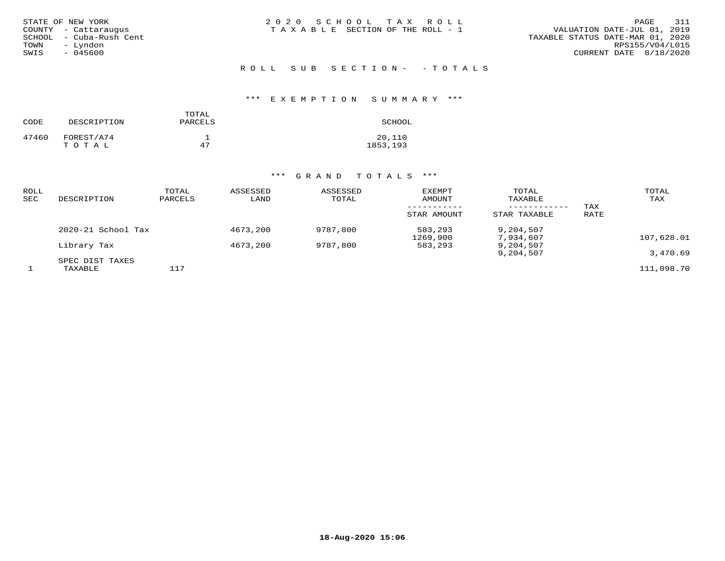| STATE OF NEW YORK<br>COUNTY - Cattaraugus<br>SCHOOL - Cuba-Rush Cent<br>- Lyndon<br>TOWN<br>$-045600$<br>SWIS | 2020 SCHOOL TAX ROLL<br>TAXABLE SECTION OF THE ROLL - 1 | 311<br>PAGE<br>VALUATION DATE-JUL 01, 2019<br>TAXABLE STATUS DATE-MAR 01, 2020<br>RPS155/V04/L015<br>CURRENT DATE 8/18/2020 |
|---------------------------------------------------------------------------------------------------------------|---------------------------------------------------------|-----------------------------------------------------------------------------------------------------------------------------|
|                                                                                                               | ROLL SUB SECTION- -TOTALS                               |                                                                                                                             |

# \*\*\* E X E M P T I O N S U M M A R Y \*\*\*

| CODE  | DESCRIPTION         | TOTAL<br>PARCELS | SCHOOL              |
|-------|---------------------|------------------|---------------------|
| 47460 | FOREST/A74<br>TOTAL | 47               | 20,110<br>1853, 193 |

# \*\*\* G R A N D T O T A L S \*\*\*

| ROLL<br>SEC | DESCRIPTION        | TOTAL<br>PARCELS | ASSESSED<br>LAND | ASSESSED<br>TOTAL | EXEMPT<br>AMOUNT    | TOTAL<br>TAXABLE<br>---------- | TAX  | TOTAL<br>TAX |
|-------------|--------------------|------------------|------------------|-------------------|---------------------|--------------------------------|------|--------------|
|             |                    |                  |                  |                   | STAR AMOUNT         | STAR TAXABLE                   | RATE |              |
|             | 2020-21 School Tax |                  | 4673,200         | 9787,800          | 583,293<br>1269,900 | 9,204,507<br>7,934,607         |      | 107,628.01   |
|             | Library Tax        |                  | 4673,200         | 9787,800          | 583,293             | 9,204,507                      |      |              |
|             | SPEC DIST TAXES    |                  |                  |                   |                     | 9,204,507                      |      | 3,470.69     |
|             | TAXABLE            | 117              |                  |                   |                     |                                |      | 111,098.70   |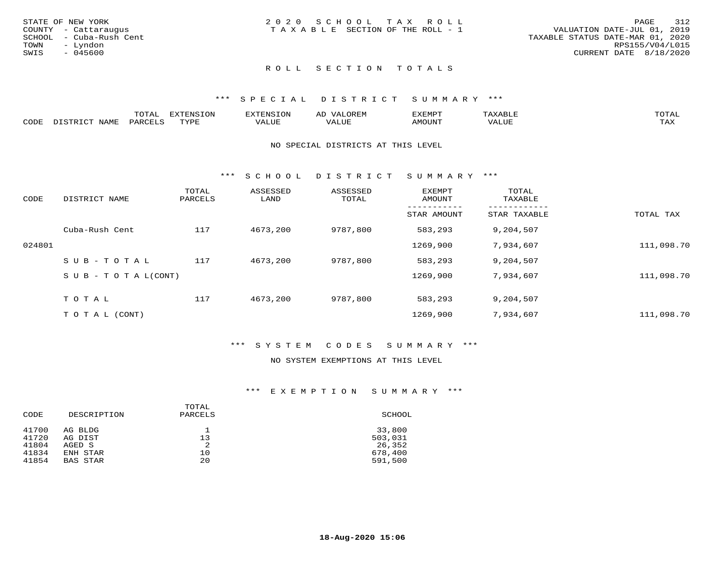|      | STATE OF NEW YORK       | 2020 SCHOOL TAX ROLL<br>PAGE                                         | 312 |
|------|-------------------------|----------------------------------------------------------------------|-----|
|      | COUNTY - Cattaraugus    | VALUATION DATE-JUL 01, 2019<br>T A X A B L E SECTION OF THE ROLL - 1 |     |
|      | SCHOOL - Cuba-Rush Cent | TAXABLE STATUS DATE-MAR 01, 2020                                     |     |
| TOWN | - Lyndon                | RPS155/V04/L015                                                      |     |
| SWIS | - 045600                | CURRENT DATE 8/18/2020                                               |     |
|      |                         |                                                                      |     |

## ROLL SECTION TOTALS

#### \*\*\* S P E C I A L D I S T R I C T S U M M A R Y \*\*\*

|      |               | ----<br>UIAI | 'ENSION<br>---        |                      | והם קבר.<br>ΑL | 13551050 | $A \wedge F$ |                     |
|------|---------------|--------------|-----------------------|----------------------|----------------|----------|--------------|---------------------|
| CODE | AT<br>ח רגורו |              | $m \times r \times r$ | 177\TTT <del>L</del> | وربا سلام      | TUUONA   | T T T T      | $m \times r$<br>∸∽∸ |

#### NO SPECIAL DISTRICTS AT THIS LEVEL

\*\*\* S C H O O L D I S T R I C T S U M M A R Y \*\*\*

| CODE   | DISTRICT NAME                    | TOTAL<br>PARCELS | ASSESSED<br>LAND | ASSESSED<br>TOTAL | <b>EXEMPT</b><br>AMOUNT | TOTAL<br>TAXABLE |            |
|--------|----------------------------------|------------------|------------------|-------------------|-------------------------|------------------|------------|
|        |                                  |                  |                  |                   | STAR AMOUNT             | STAR TAXABLE     | TOTAL TAX  |
|        | Cuba-Rush Cent                   | 117              | 4673,200         | 9787,800          | 583,293                 | 9,204,507        |            |
| 024801 |                                  |                  |                  |                   | 1269,900                | 7,934,607        | 111,098.70 |
|        | SUB-TOTAL                        | 117              | 4673,200         | 9787,800          | 583,293                 | 9,204,507        |            |
|        | $S \cup B - T \cup T A L (CONT)$ |                  |                  |                   | 1269,900                | 7,934,607        | 111,098.70 |
|        | TOTAL                            | 117              | 4673,200         | 9787,800          | 583,293                 | 9,204,507        |            |
|        | T O T A L (CONT)                 |                  |                  |                   | 1269,900                | 7,934,607        | 111,098.70 |

#### \*\*\* S Y S T E M C O D E S S U M M A R Y \*\*\*

#### NO SYSTEM EXEMPTIONS AT THIS LEVEL

#### \*\*\* E X E M P T I O N S U M M A R Y \*\*\*

| CODE  | DESCRIPTION     | TOTAL<br>PARCELS | SCHOOL  |
|-------|-----------------|------------------|---------|
| 41700 | AG BLDG         | 13               | 33,800  |
| 41720 | AG DIST         |                  | 503,031 |
| 41804 | AGED S          | 2                | 26,352  |
| 41834 | ENH STAR        | 10               | 678,400 |
| 41854 | <b>BAS STAR</b> | 20               | 591,500 |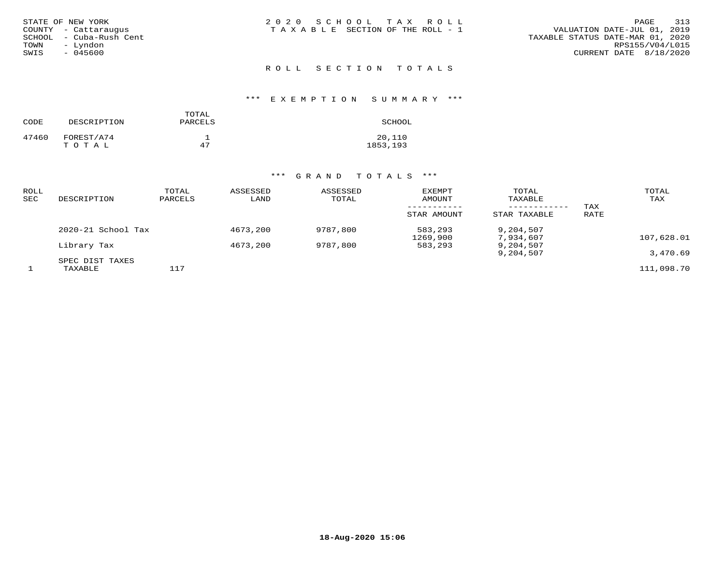| STATE OF NEW YORK<br>COUNTY - Cattaraugus<br>SCHOOL - Cuba-Rush Cent<br>– Lyndon<br>TOWN<br>$-045600$<br>SWIS | 2020 SCHOOL TAX ROLL<br>T A X A B L E SECTION OF THE ROLL - 1 | 313<br>PAGE<br>VALUATION DATE-JUL 01, 2019<br>TAXABLE STATUS DATE-MAR 01, 2020<br>RPS155/V04/L015<br>CURRENT DATE 8/18/2020 |
|---------------------------------------------------------------------------------------------------------------|---------------------------------------------------------------|-----------------------------------------------------------------------------------------------------------------------------|
|                                                                                                               | ROLL SECTION TOTALS                                           |                                                                                                                             |

# \*\*\* E X E M P T I O N S U M M A R Y \*\*\*

| CODE  | DESCRIPTION         | TOTAL<br>PARCELS | SCHOOL             |
|-------|---------------------|------------------|--------------------|
| 47460 | FOREST/A74<br>TOTAL | 47               | 20,110<br>1853,193 |

# \*\*\* G R A N D T O T A L S \*\*\*

| ROLL<br>SEC | DESCRIPTION                | TOTAL<br>PARCELS | ASSESSED<br>LAND | ASSESSED<br>TOTAL | <b>EXEMPT</b><br>AMOUNT | TOTAL<br>TAXABLE<br>---------- | TAX  | TOTAL<br>TAX |
|-------------|----------------------------|------------------|------------------|-------------------|-------------------------|--------------------------------|------|--------------|
|             |                            |                  |                  |                   | STAR AMOUNT             | STAR TAXABLE                   | RATE |              |
|             | 2020-21 School Tax         |                  | 4673,200         | 9787,800          | 583,293<br>1269,900     | 9,204,507<br>7,934,607         |      | 107,628.01   |
|             | Library Tax                |                  | 4673,200         | 9787,800          | 583,293                 | 9,204,507                      |      |              |
|             |                            |                  |                  |                   |                         | 9,204,507                      |      | 3,470.69     |
|             | SPEC DIST TAXES<br>TAXABLE | 117              |                  |                   |                         |                                |      | 111,098.70   |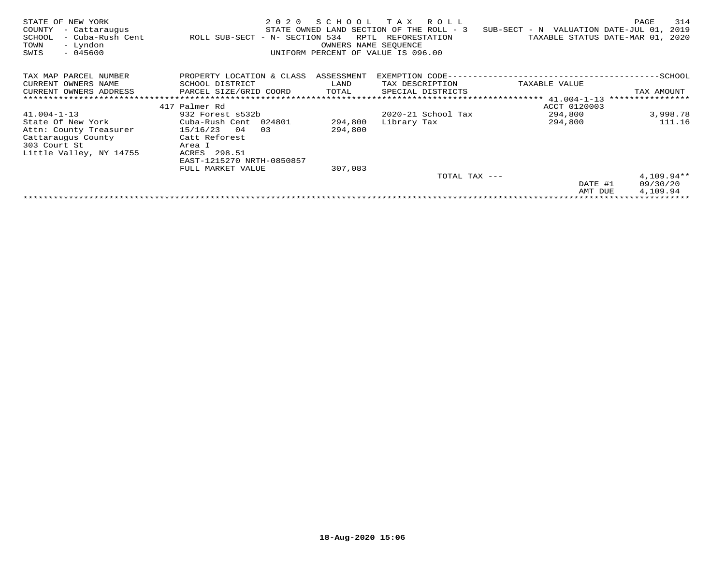| STATE OF NEW YORK<br>COUNTY<br>- Cattaraugus<br>- Cuba-Rush Cent<br>SCHOOL<br>- Lyndon<br>TOWN<br>$-045600$<br>SWIS | 2 0 2 0<br>ROLL SUB-SECT - N- SECTION 534 | SCHOOL<br>RPTL<br>OWNERS NAME SEOUENCE | T A X<br>R O L L<br>STATE OWNED LAND SECTION OF THE ROLL - 3<br>REFORESTATION<br>UNIFORM PERCENT OF VALUE IS 096.00 | SUB-SECT - N VALUATION DATE-JUL 01,<br>TAXABLE STATUS DATE-MAR 01, | 314<br>PAGE<br>2019<br>2020 |
|---------------------------------------------------------------------------------------------------------------------|-------------------------------------------|----------------------------------------|---------------------------------------------------------------------------------------------------------------------|--------------------------------------------------------------------|-----------------------------|
| TAX MAP PARCEL NUMBER                                                                                               | PROPERTY LOCATION & CLASS                 | ASSESSMENT                             | EXEMPTION CODE---                                                                                                   |                                                                    | ------------SCHOOL          |
| CURRENT OWNERS NAME                                                                                                 | SCHOOL DISTRICT                           | LAND                                   | TAX DESCRIPTION                                                                                                     | TAXABLE VALUE                                                      |                             |
| CURRENT OWNERS ADDRESS                                                                                              | PARCEL SIZE/GRID COORD                    | TOTAL                                  | SPECIAL DISTRICTS                                                                                                   |                                                                    | TAX AMOUNT                  |
|                                                                                                                     |                                           |                                        |                                                                                                                     |                                                                    | ****************            |
|                                                                                                                     | 417 Palmer Rd                             |                                        |                                                                                                                     | ACCT 0120003                                                       |                             |
| $41.004 - 1 - 13$                                                                                                   | 932 Forest s532b                          |                                        | $2020 - 21$ School Tax                                                                                              | 294,800                                                            | 3,998.78                    |
| State Of New York                                                                                                   | Cuba-Rush Cent 024801                     | 294,800                                | Library Tax                                                                                                         | 294,800                                                            | 111.16                      |
| Attn: County Treasurer                                                                                              | 15/16/23<br>04<br>03                      | 294,800                                |                                                                                                                     |                                                                    |                             |
| Cattaraugus County                                                                                                  | Catt Reforest                             |                                        |                                                                                                                     |                                                                    |                             |
| 303 Court St                                                                                                        | Area I                                    |                                        |                                                                                                                     |                                                                    |                             |
| Little Valley, NY 14755                                                                                             | ACRES 298.51                              |                                        |                                                                                                                     |                                                                    |                             |
|                                                                                                                     | EAST-1215270 NRTH-0850857                 |                                        |                                                                                                                     |                                                                    |                             |
|                                                                                                                     | FULL MARKET VALUE                         | 307,083                                |                                                                                                                     |                                                                    |                             |
|                                                                                                                     |                                           |                                        | TOTAL TAX ---                                                                                                       |                                                                    | $4,109.94**$                |
|                                                                                                                     |                                           |                                        |                                                                                                                     | DATE #1                                                            | 09/30/20                    |
|                                                                                                                     |                                           |                                        |                                                                                                                     | AMT DUE                                                            | 4,109.94                    |
|                                                                                                                     |                                           |                                        |                                                                                                                     |                                                                    |                             |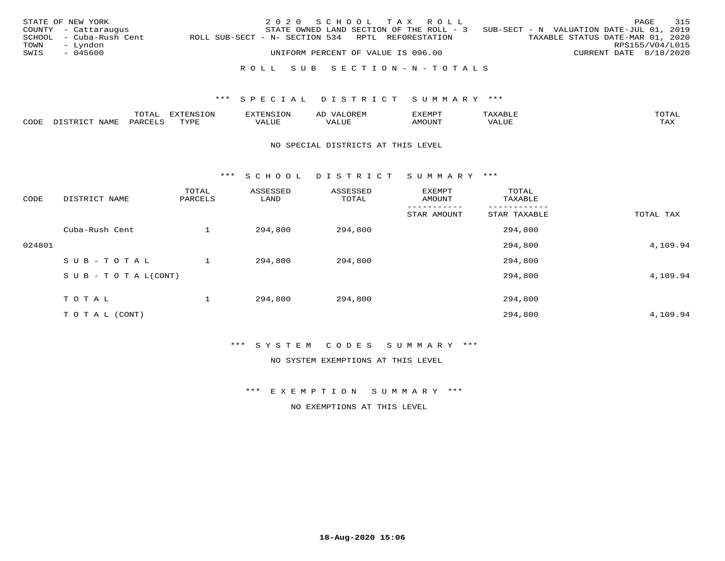|      | STATE OF NEW YORK       |                                                   | 2020 SCHOOL TAX ROLL      |                                    |  |                                                                                   |                        | PAGE | 315 |
|------|-------------------------|---------------------------------------------------|---------------------------|------------------------------------|--|-----------------------------------------------------------------------------------|------------------------|------|-----|
|      | COUNTY - Cattaraugus    |                                                   |                           |                                    |  | STATE OWNED LAND SECTION OF THE ROLL - 3 SUB-SECT - N VALUATION DATE-JUL 01, 2019 |                        |      |     |
|      | SCHOOL - Cuba-Rush Cent | ROLL SUB-SECT - N- SECTION 534 RPTL REFORESTATION |                           |                                    |  | TAXABLE STATUS DATE-MAR 01, 2020                                                  |                        |      |     |
| TOWN | – Lyndon                |                                                   |                           |                                    |  |                                                                                   | RPS155/V04/L015        |      |     |
| SWIS | - 045600                |                                                   |                           | UNIFORM PERCENT OF VALUE IS 096.00 |  |                                                                                   | CURRENT DATE 8/18/2020 |      |     |
|      |                         |                                                   |                           |                                    |  |                                                                                   |                        |      |     |
|      |                         |                                                   | ROLL SUB SECTION-N-TOTALS |                                    |  |                                                                                   |                        |      |     |

|              |      | ----<br>⊥∪⊥⊓⊥ | -----<br>$-7070$ |        |                         | ,,, <del>,</del> ,,, <del>,</del> ,<br>ັ<br>⊐∆∟⊔⊔⊏ | $m \wedge m$       |
|--------------|------|---------------|------------------|--------|-------------------------|----------------------------------------------------|--------------------|
| <b>AUDE:</b> | NAME |               | TUTT             | חדד דו | $- - - -$<br>۳۰ تابلد ک | MOUN.                                              | $- - - -$<br>. ris |

#### NO SPECIAL DISTRICTS AT THIS LEVEL

\*\*\* S C H O O L D I S T R I C T S U M M A R Y \*\*\*

| CODE   | DISTRICT NAME                    | TOTAL<br>PARCELS | ASSESSED<br>LAND | ASSESSED<br>TOTAL | EXEMPT<br>AMOUNT | TOTAL<br>TAXABLE |           |
|--------|----------------------------------|------------------|------------------|-------------------|------------------|------------------|-----------|
|        |                                  |                  |                  |                   | STAR AMOUNT      | STAR TAXABLE     | TOTAL TAX |
|        | Cuba-Rush Cent                   |                  | 294,800          | 294,800           |                  | 294,800          |           |
| 024801 |                                  |                  |                  |                   |                  | 294,800          | 4,109.94  |
|        | SUB-TOTAL                        |                  | 294,800          | 294,800           |                  | 294,800          |           |
|        | $S \cup B - T \cup T A L (CONT)$ |                  |                  |                   |                  | 294,800          | 4,109.94  |
|        | TOTAL                            |                  | 294,800          | 294,800           |                  | 294,800          |           |
|        | T O T A L (CONT)                 |                  |                  |                   |                  | 294,800          | 4,109.94  |

\*\*\* S Y S T E M C O D E S S U M M A R Y \*\*\*

NO SYSTEM EXEMPTIONS AT THIS LEVEL

\*\*\* E X E M P T I O N S U M M A R Y \*\*\*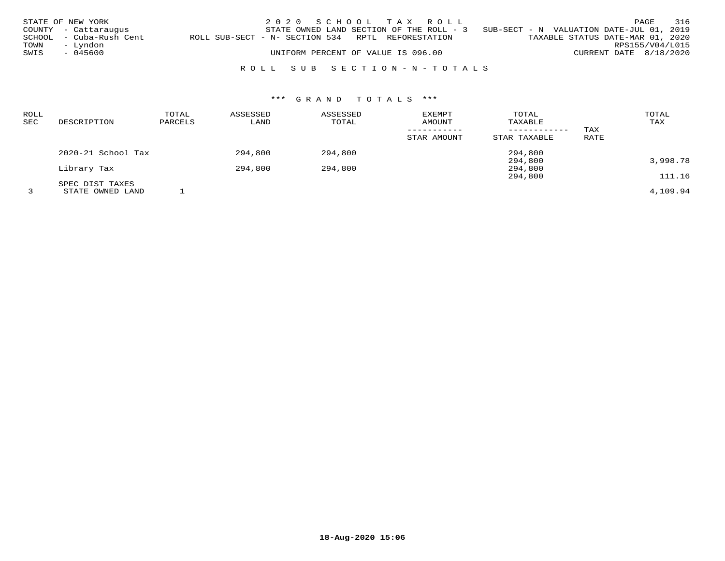|      | STATE OF NEW YORK<br>COUNTY - Cattaraugus |                                                   | 2020 SCHOOL TAX ROLL               |  | STATE OWNED LAND SECTION OF THE ROLL - 3 SUB-SECT - N VALUATION DATE-JUL 01, 2019 |                                  |                        | PAGE            | 316 |
|------|-------------------------------------------|---------------------------------------------------|------------------------------------|--|-----------------------------------------------------------------------------------|----------------------------------|------------------------|-----------------|-----|
| TOWN | SCHOOL - Cuba-Rush Cent<br>– Lyndon       | ROLL SUB-SECT - N- SECTION 534 RPTL REFORESTATION |                                    |  |                                                                                   | TAXABLE STATUS DATE-MAR 01, 2020 |                        | RPS155/V04/L015 |     |
| SWIS | - 045600                                  |                                                   | UNIFORM PERCENT OF VALUE IS 096.00 |  |                                                                                   |                                  | CURRENT DATE 8/18/2020 |                 |     |
|      |                                           |                                                   | ROLL SUB SECTION-N-TOTALS          |  |                                                                                   |                                  |                        |                 |     |

# \*\*\* G R A N D T O T A L S \*\*\*

| <b>ROLL</b><br><b>SEC</b> | DESCRIPTION        | TOTAL<br>PARCELS | ASSESSED<br>LAND | ASSESSED<br>TOTAL | EXEMPT<br>AMOUNT<br>STAR AMOUNT | TOTAL<br>TAXABLE<br>STAR TAXABLE | TAX<br>RATE | TOTAL<br>TAX |
|---------------------------|--------------------|------------------|------------------|-------------------|---------------------------------|----------------------------------|-------------|--------------|
|                           |                    |                  |                  |                   |                                 |                                  |             |              |
|                           | 2020-21 School Tax |                  | 294,800          | 294,800           |                                 | 294,800                          |             |              |
|                           |                    |                  |                  |                   |                                 | 294,800                          |             | 3,998.78     |
|                           | Library Tax        |                  | 294,800          | 294,800           |                                 | 294,800                          |             |              |
|                           |                    |                  |                  |                   |                                 | 294,800                          |             | 111.16       |
|                           | SPEC DIST TAXES    |                  |                  |                   |                                 |                                  |             |              |
|                           | STATE OWNED LAND   |                  |                  |                   |                                 |                                  |             | 4,109.94     |

**18-Aug-2020 15:06**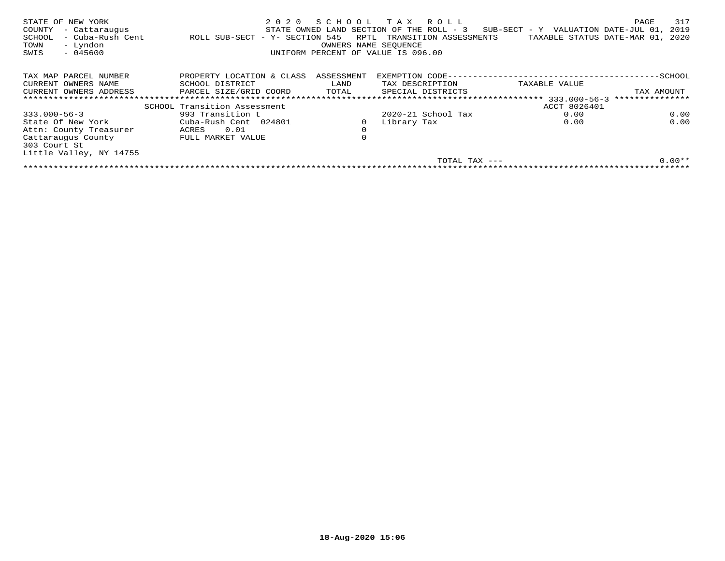| STATE OF NEW YORK<br>COUNTY<br>- Cattaraugus<br>- Cuba-Rush Cent<br>SCHOOL<br>- Lyndon<br>TOWN<br>$-045600$<br>SWIS | 2020<br>ROLL SUB-SECT - Y- SECTION 545 | RPTL<br>OWNERS NAME SEOUENCE | SCHOOL TAX ROLL<br>STATE OWNED LAND SECTION OF THE ROLL - 3<br>TRANSITION ASSESSMENTS<br>UNIFORM PERCENT OF VALUE IS 096.00 | SUB-SECT - Y VALUATION DATE-JUL 01,<br>TAXABLE STATUS DATE-MAR 01, | 317<br>PAGE<br>2019<br>2020 |
|---------------------------------------------------------------------------------------------------------------------|----------------------------------------|------------------------------|-----------------------------------------------------------------------------------------------------------------------------|--------------------------------------------------------------------|-----------------------------|
| TAX MAP PARCEL NUMBER                                                                                               | PROPERTY LOCATION & CLASS              | ASSESSMENT                   | EXEMPTION CODE--                                                                                                            |                                                                    | -SCHOOL                     |
| CURRENT OWNERS NAME                                                                                                 | SCHOOL DISTRICT                        | LAND                         | TAX DESCRIPTION                                                                                                             | TAXABLE VALUE                                                      |                             |
| CURRENT OWNERS ADDRESS                                                                                              | PARCEL SIZE/GRID COORD                 | TOTAL                        | SPECIAL DISTRICTS                                                                                                           |                                                                    | TAX AMOUNT                  |
|                                                                                                                     |                                        |                              |                                                                                                                             | 333.000-56-3                                                       | ***************             |
|                                                                                                                     | SCHOOL Transition Assessment           |                              |                                                                                                                             | ACCT 8026401                                                       |                             |
| $333.000 - 56 - 3$                                                                                                  | 993 Transition t                       |                              | $2020 - 21$ School Tax                                                                                                      | 0.00                                                               | 0.00                        |
| State Of New York                                                                                                   | Cuba-Rush Cent 024801                  |                              | Library Tax                                                                                                                 | 0.00                                                               | 0.00                        |
| Attn: County Treasurer                                                                                              | 0.01<br>ACRES                          | $\mathbf 0$                  |                                                                                                                             |                                                                    |                             |
| Cattaraugus County<br>303 Court St                                                                                  | FULL MARKET VALUE                      | $\mathbf 0$                  |                                                                                                                             |                                                                    |                             |
| Little Valley, NY 14755                                                                                             |                                        |                              |                                                                                                                             |                                                                    |                             |
|                                                                                                                     |                                        |                              | TOTAL TAX $---$                                                                                                             |                                                                    | $0.00**$                    |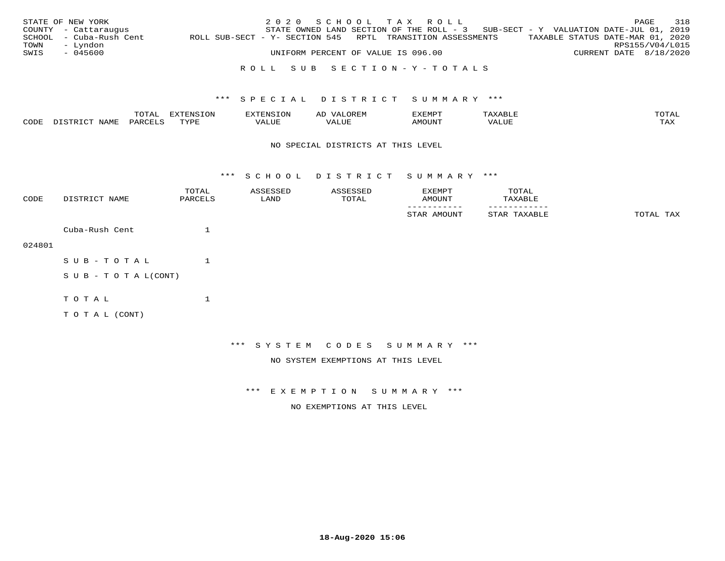|      | STATE OF NEW YORK<br>COUNTY - Cattaraugus |                                                            | 2020 SCHOOL TAX ROLL               |  |                           | STATE OWNED LAND SECTION OF THE ROLL - 3 SUB-SECT - Y VALUATION DATE-JUL 01, 2019 |                        | PAGE | 318 |
|------|-------------------------------------------|------------------------------------------------------------|------------------------------------|--|---------------------------|-----------------------------------------------------------------------------------|------------------------|------|-----|
| TOWN | SCHOOL - Cuba-Rush Cent<br>– Lyndon       | ROLL SUB-SECT - Y- SECTION 545 RPTL TRANSITION ASSESSMENTS |                                    |  |                           | TAXABLE STATUS DATE-MAR 01, 2020                                                  | RPS155/V04/L015        |      |     |
| SWIS | - 045600                                  |                                                            | UNIFORM PERCENT OF VALUE IS 096.00 |  |                           |                                                                                   | CURRENT DATE 8/18/2020 |      |     |
|      |                                           |                                                            |                                    |  | ROLL SUB SECTION-Y-TOTALS |                                                                                   |                        |      |     |

|      |      | ™∩m⊼<br>UIAI | <b>EXTENSION</b> | . IN 5                | ∩ ਸਾ<br>ΑD | ,,, <del>,</del> ,,, <del>,</del><br>$\sim$ |                          | $m \wedge m \wedge n$<br>$\overline{\phantom{a}}$ |
|------|------|--------------|------------------|-----------------------|------------|---------------------------------------------|--------------------------|---------------------------------------------------|
| CODE | NAME | OARCTIC      | アマンロロ            | 177\T.TT <del>L</del> |            | AMOUNT                                      | * * * * * * * *<br>'ALUL | $m \times r$<br>∸∽∸                               |

#### NO SPECIAL DISTRICTS AT THIS LEVEL

\*\*\* S C H O O L D I S T R I C T S U M M A R Y \*\*\*

| CODE   | DISTRICT NAME              | TOTAL<br>PARCELS | ASSESSED<br>LAND | ASSESSED<br>TOTAL                  | EXEMPT<br>AMOUNT             | TOTAL<br>TAXABLE |           |
|--------|----------------------------|------------------|------------------|------------------------------------|------------------------------|------------------|-----------|
|        |                            |                  |                  |                                    | STAR AMOUNT                  | STAR TAXABLE     | TOTAL TAX |
|        | Cuba-Rush Cent             | $\mathbf{1}$     |                  |                                    |                              |                  |           |
| 024801 |                            |                  |                  |                                    |                              |                  |           |
|        | SUB-TOTAL                  |                  |                  |                                    |                              |                  |           |
|        | S U B - T O T A $L$ (CONT) |                  |                  |                                    |                              |                  |           |
|        | TOTAL                      | $\mathbf{1}$     |                  |                                    |                              |                  |           |
|        | TO TAL (CONT)              |                  |                  |                                    |                              |                  |           |
|        |                            |                  |                  |                                    |                              |                  |           |
|        |                            |                  |                  |                                    | *** SYSTEM CODES SUMMARY *** |                  |           |
|        |                            |                  |                  | NO SYSTEM EXEMPTIONS AT THIS LEVEL |                              |                  |           |

\*\*\* E X E M P T I O N S U M M A R Y \*\*\*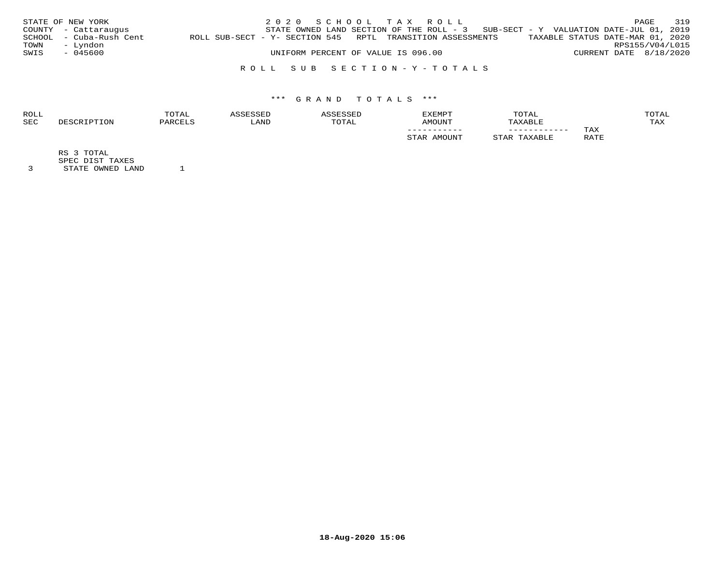|      | STATE OF NEW YORK       |                                                            |  | 2020 SCHOOL TAX ROLL               |  |                                                                                     |                        | PAGE | 319 |
|------|-------------------------|------------------------------------------------------------|--|------------------------------------|--|-------------------------------------------------------------------------------------|------------------------|------|-----|
|      | COUNTY - Cattaraugus    |                                                            |  |                                    |  | STATE OWNED LAND SECTION OF THE ROLL - $3$ SUB-SECT - Y VALUATION DATE-JUL 01, 2019 |                        |      |     |
|      | SCHOOL - Cuba-Rush Cent | ROLL SUB-SECT - Y- SECTION 545 RPTL TRANSITION ASSESSMENTS |  |                                    |  | TAXABLE STATUS DATE-MAR 01, 2020                                                    |                        |      |     |
| TOWN | - Lyndon                |                                                            |  |                                    |  |                                                                                     | RPS155/V04/L015        |      |     |
| SWIS | - 045600                |                                                            |  | UNIFORM PERCENT OF VALUE IS 096.00 |  |                                                                                     | CURRENT DATE 8/18/2020 |      |     |
|      |                         |                                                            |  |                                    |  |                                                                                     |                        |      |     |

## R O L L S U B S E C T I O N - Y - T O T A L S

# \*\*\* G R A N D T O T A L S \*\*\*

| <b>ROLL</b> | TOTAL    |       |             | <b>EXEMPT</b>     | TOTAL        |             | <b>OTAL</b> |
|-------------|----------|-------|-------------|-------------------|--------------|-------------|-------------|
| <b>SEC</b>  | יהור חיי | 'JAND | <b>OTAL</b> | LINIOMA           | XABLE        |             | TAX         |
|             |          |       |             | ___________       | ____________ | TAX         |             |
|             |          |       |             | $M$ $\cap$ TTNTTT |              | RATE<br>ᅭᅩᅭ |             |

RS 3 TOTAL

SPEC DIST TAXES

3 STATE OWNED LAND 1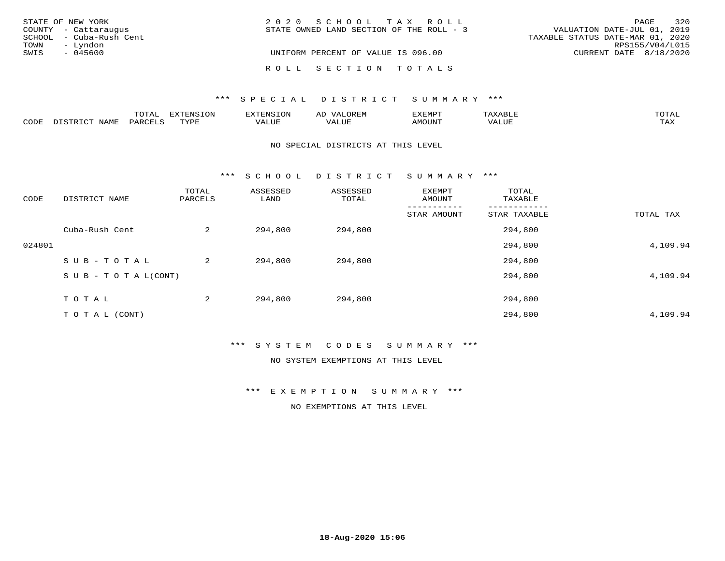|      | STATE OF NEW YORK       | 2020 SCHOOL TAX ROLL                     | 320<br>PAGE                      |
|------|-------------------------|------------------------------------------|----------------------------------|
|      | COUNTY - Cattaraugus    | STATE OWNED LAND SECTION OF THE ROLL - 3 | VALUATION DATE-JUL 01, 2019      |
|      | SCHOOL - Cuba-Rush Cent |                                          | TAXABLE STATUS DATE-MAR 01, 2020 |
| TOWN | - Lyndon                |                                          | RPS155/V04/L015                  |
| SWIS | $-045600$               | UNIFORM PERCENT OF VALUE IS 096.00       | CURRENT DATE 8/18/2020           |
|      |                         | ROLL SECTION TOTALS                      |                                  |

#### \*\*\* SPECIAL DISTRICT SUMMARY \*\*\*

|      |      | m^m*<br>---- | $\Box$<br>L V J LV |               | <b>__</b>         | פאת אי        | $A$ $A$ $B$ $H$ $F$ | <b>TOTA</b>  |
|------|------|--------------|--------------------|---------------|-------------------|---------------|---------------------|--------------|
| CODE | NAMF | PARTT        | mvnt               | <i>J</i> ALUE | $- - - -$<br>ALUF | <b>AMOUNT</b> | 'ALUL               | max 1<br>∸∽∽ |

#### NO SPECIAL DISTRICTS AT THIS LEVEL

\*\*\* S C H O O L D I S T R I C T S U M M A R Y \*\*\*

| CODE   | DISTRICT NAME                    | TOTAL<br>PARCELS | ASSESSED<br>LAND | ASSESSED<br>TOTAL | EXEMPT<br>AMOUNT | TOTAL<br>TAXABLE |           |
|--------|----------------------------------|------------------|------------------|-------------------|------------------|------------------|-----------|
|        |                                  |                  |                  |                   | STAR AMOUNT      | STAR TAXABLE     | TOTAL TAX |
|        | Cuba-Rush Cent                   | 2                | 294,800          | 294,800           |                  | 294,800          |           |
| 024801 |                                  |                  |                  |                   |                  | 294,800          | 4,109.94  |
|        | SUB-TOTAL                        | 2                | 294,800          | 294,800           |                  | 294,800          |           |
|        | $S \cup B - T \cup T A L (CONT)$ |                  |                  |                   |                  | 294,800          | 4,109.94  |
|        | TOTAL                            | 2                | 294,800          | 294,800           |                  | 294,800          |           |
|        | T O T A L (CONT)                 |                  |                  |                   |                  | 294,800          | 4,109.94  |

\*\*\* S Y S T E M C O D E S S U M M A R Y \*\*\*

NO SYSTEM EXEMPTIONS AT THIS LEVEL

\*\*\* E X E M P T I O N S U M M A R Y \*\*\*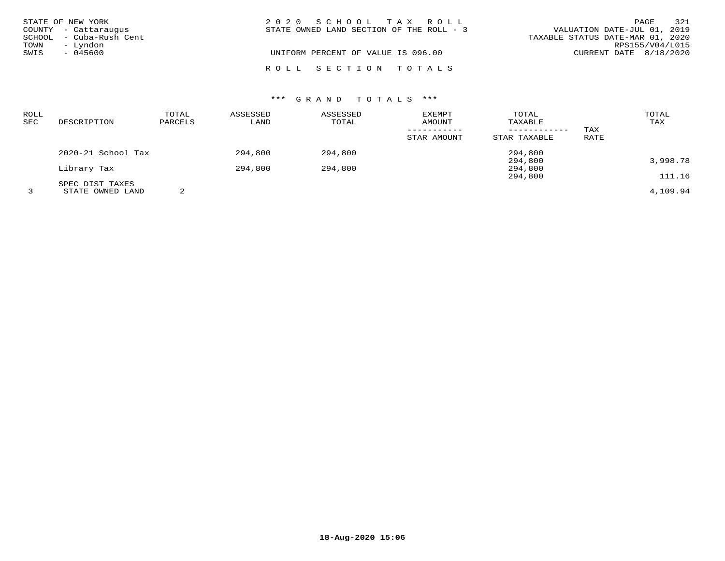|      | STATE OF NEW YORK                               | 2020 SCHOOL TAX ROLL                     | PAGE                                                            | 321 |
|------|-------------------------------------------------|------------------------------------------|-----------------------------------------------------------------|-----|
|      | COUNTY - Cattaraugus<br>SCHOOL - Cuba-Rush Cent | STATE OWNED LAND SECTION OF THE ROLL - 3 | VALUATION DATE-JUL 01, 2019<br>TAXABLE STATUS DATE-MAR 01, 2020 |     |
| TOWN | - Lyndon                                        |                                          | RPS155/V04/L015                                                 |     |
| SWIS | - 045600                                        | UNIFORM PERCENT OF VALUE IS 096.00       | CURRENT DATE 8/18/2020                                          |     |
|      |                                                 | ROLL SECTION TOTALS                      |                                                                 |     |

# \*\*\* G R A N D T O T A L S \*\*\*

| ROLL<br>SEC | DESCRIPTION                         | TOTAL<br>PARCELS | ASSESSED<br>LAND | ASSESSED<br>TOTAL | EXEMPT<br>AMOUNT | TOTAL<br>TAXABLE<br>------------ | TAX  | TOTAL<br>TAX |
|-------------|-------------------------------------|------------------|------------------|-------------------|------------------|----------------------------------|------|--------------|
|             |                                     |                  |                  |                   | STAR AMOUNT      | STAR TAXABLE                     | RATE |              |
|             | 2020-21 School Tax                  |                  | 294,800          | 294,800           |                  | 294,800<br>294,800               |      | 3,998.78     |
|             | Library Tax                         |                  | 294,800          | 294,800           |                  | 294,800<br>294,800               |      | 111.16       |
|             | SPEC DIST TAXES<br>STATE OWNED LAND | 2                |                  |                   |                  |                                  |      | 4,109.94     |

**18-Aug-2020 15:06**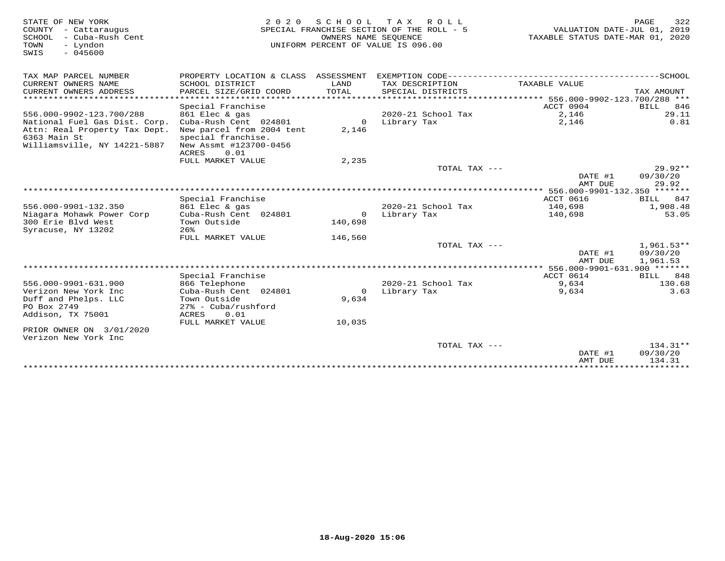| STATE OF NEW YORK<br>COUNTY - Cattaraugus<br><b>SCHOOL</b><br>- Cuba-Rush Cent<br>TOWN<br>- Lyndon<br>$-045600$<br>SWIS | 2 0 2 0                                         | OWNERS NAME SEQUENCE | SCHOOL TAX ROLL<br>SPECIAL FRANCHISE SECTION OF THE ROLL - 5<br>UNIFORM PERCENT OF VALUE IS 096.00 | VALUATION DATE-JUL 01, 2019<br>TAXABLE STATUS DATE-MAR 01, 2020 | 322<br>PAGE                      |
|-------------------------------------------------------------------------------------------------------------------------|-------------------------------------------------|----------------------|----------------------------------------------------------------------------------------------------|-----------------------------------------------------------------|----------------------------------|
| TAX MAP PARCEL NUMBER                                                                                                   | PROPERTY LOCATION & CLASS ASSESSMENT            |                      |                                                                                                    |                                                                 |                                  |
| CURRENT OWNERS NAME                                                                                                     | SCHOOL DISTRICT                                 | LAND                 | TAX DESCRIPTION                                                                                    | TAXABLE VALUE                                                   |                                  |
| CURRENT OWNERS ADDRESS                                                                                                  | PARCEL SIZE/GRID COORD<br>******************    | <b>TOTAL</b>         | SPECIAL DISTRICTS                                                                                  |                                                                 | TAX AMOUNT                       |
| ***********************                                                                                                 |                                                 |                      |                                                                                                    |                                                                 |                                  |
| 556.000-9902-123.700/288                                                                                                | Special Franchise<br>861 Elec & gas             |                      | 2020-21 School Tax                                                                                 | ACCT 0904<br>2,146                                              | 846<br>BILL<br>29.11             |
| National Fuel Gas Dist. Corp.                                                                                           | Cuba-Rush Cent 024801                           | $\Omega$             | Library Tax                                                                                        | 2,146                                                           | 0.81                             |
| Attn: Real Property Tax Dept.<br>6363 Main St                                                                           | New parcel from 2004 tent<br>special franchise. | 2,146                |                                                                                                    |                                                                 |                                  |
| Williamsville, NY 14221-5887                                                                                            | New Assmt #123700-0456<br><b>ACRES</b><br>0.01  |                      |                                                                                                    |                                                                 |                                  |
|                                                                                                                         | FULL MARKET VALUE                               | 2,235                |                                                                                                    |                                                                 |                                  |
|                                                                                                                         |                                                 |                      | TOTAL TAX ---                                                                                      | DATE #1<br>AMT DUE                                              | $29.92**$<br>09/30/20<br>29.92   |
|                                                                                                                         |                                                 |                      |                                                                                                    |                                                                 |                                  |
|                                                                                                                         | Special Franchise                               |                      |                                                                                                    | ACCT 0616                                                       | 847<br>BILL                      |
| 556.000-9901-132.350                                                                                                    | 861 Elec & gas                                  |                      | 2020-21 School Tax                                                                                 | 140,698                                                         | 1,908.48                         |
| Niagara Mohawk Power Corp<br>300 Erie Blvd West                                                                         | Cuba-Rush Cent 024801<br>Town Outside<br>$26$ . | $\Omega$<br>140,698  | Library Tax                                                                                        | 140,698                                                         | 53.05                            |
| Syracuse, NY 13202                                                                                                      | FULL MARKET VALUE                               |                      |                                                                                                    |                                                                 |                                  |
|                                                                                                                         |                                                 | 146,560              | TOTAL TAX ---                                                                                      |                                                                 | $1,961.53**$                     |
|                                                                                                                         |                                                 |                      |                                                                                                    | DATE #1<br>AMT DUE                                              | 09/30/20<br>1,961.53             |
|                                                                                                                         |                                                 |                      |                                                                                                    |                                                                 |                                  |
|                                                                                                                         | Special Franchise                               |                      |                                                                                                    | ACCT 0614                                                       | 848<br>BILL                      |
| 556.000-9901-631.900                                                                                                    | 866 Telephone                                   |                      | 2020-21 School Tax                                                                                 | 9,634                                                           | 130.68                           |
| Verizon New York Inc<br>Duff and Phelps. LLC                                                                            | Cuba-Rush Cent 024801<br>Town Outside           | $\Omega$<br>9,634    | Library Tax                                                                                        | 9,634                                                           | 3.63                             |
| PO Box 2749                                                                                                             | $27$ % - Cuba/rushford                          |                      |                                                                                                    |                                                                 |                                  |
| Addison, TX 75001                                                                                                       | 0.01<br>ACRES                                   |                      |                                                                                                    |                                                                 |                                  |
|                                                                                                                         | FULL MARKET VALUE                               | 10,035               |                                                                                                    |                                                                 |                                  |
| PRIOR OWNER ON 3/01/2020<br>Verizon New York Inc                                                                        |                                                 |                      |                                                                                                    |                                                                 |                                  |
|                                                                                                                         |                                                 |                      | TOTAL TAX ---                                                                                      | DATE #1<br>AMT DUE                                              | $134.31**$<br>09/30/20<br>134.31 |
|                                                                                                                         |                                                 |                      |                                                                                                    |                                                                 |                                  |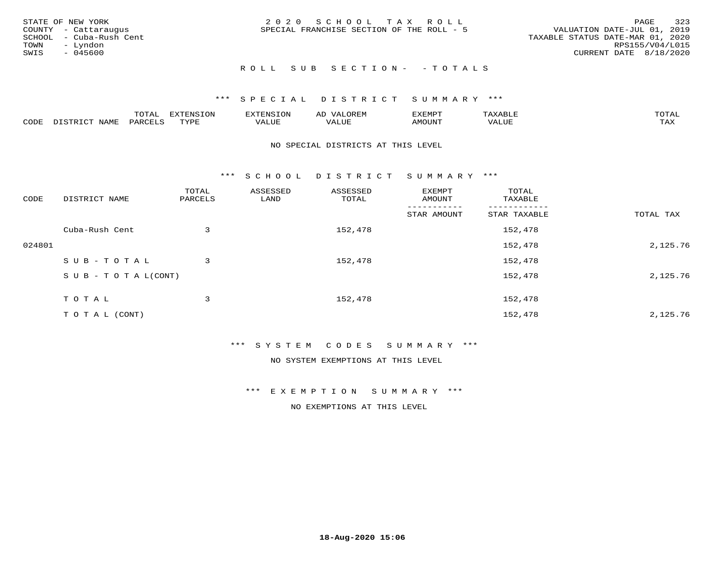| STATE OF NEW YORK<br>COUNTY - Cattaraugus<br>SCHOOL - Cuba-Rush Cent<br>TOWN<br>– Lyndon<br>SWIS<br>- 045600 | 2020 SCHOOL TAX ROLL<br>SPECIAL FRANCHISE SECTION OF THE ROLL - 5 | 323<br>PAGE<br>VALUATION DATE-JUL 01, 2019<br>TAXABLE STATUS DATE-MAR 01, 2020<br>RPS155/V04/L015<br>CURRENT DATE 8/18/2020 |
|--------------------------------------------------------------------------------------------------------------|-------------------------------------------------------------------|-----------------------------------------------------------------------------------------------------------------------------|
|                                                                                                              | ROLL SUB SECTION- - TOTALS                                        |                                                                                                                             |

|      |                         | ----<br>$\overline{\phantom{a}}$<br>◡∸ғ | EXTENSION   | EXTENSION         | AL<br>$\cdots$ | דפואית אי     |                            | TOTAI |
|------|-------------------------|-----------------------------------------|-------------|-------------------|----------------|---------------|----------------------------|-------|
| CODE | NAME<br>$T \sim T$<br>. | <i>P</i> ARCEL                          | <b>TYPE</b> | <sup>7</sup> ALUE | /ALUE          | <b>IMOUNT</b> | $T$ $T$ $T$ $T$ $T$<br>-∟∪ | TAX   |

#### NO SPECIAL DISTRICTS AT THIS LEVEL

\*\*\* S C H O O L D I S T R I C T S U M M A R Y \*\*\*

| CODE   | DISTRICT NAME                    | TOTAL<br>PARCELS | ASSESSED<br>LAND | ASSESSED<br>TOTAL | EXEMPT<br>AMOUNT | TOTAL<br>TAXABLE |           |
|--------|----------------------------------|------------------|------------------|-------------------|------------------|------------------|-----------|
|        |                                  |                  |                  |                   | STAR AMOUNT      | STAR TAXABLE     | TOTAL TAX |
|        | Cuba-Rush Cent                   | 3                |                  | 152,478           |                  | 152,478          |           |
| 024801 |                                  |                  |                  |                   |                  | 152,478          | 2,125.76  |
|        | SUB-TOTAL                        | 3                |                  | 152,478           |                  | 152,478          |           |
|        | $S \cup B - T \cup T A L (CONT)$ |                  |                  |                   |                  | 152,478          | 2,125.76  |
|        | TOTAL                            | 3                |                  | 152,478           |                  | 152,478          |           |
|        | T O T A L (CONT)                 |                  |                  |                   |                  | 152,478          | 2,125.76  |

#### \*\*\* S Y S T E M C O D E S S U M M A R Y \*\*\*

NO SYSTEM EXEMPTIONS AT THIS LEVEL

\*\*\* E X E M P T I O N S U M M A R Y \*\*\*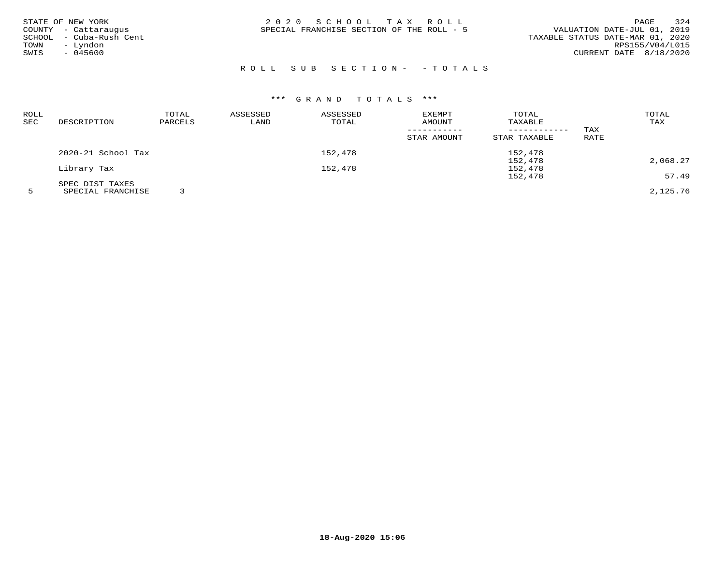| STATE OF NEW YORK<br>COUNTY - Cattaraugus<br>- Cuba-Rush Cent<br>SCHOOL<br>TOWN<br>- Lyndon<br>$-045600$<br>SWIS | 2020 SCHOOL TAX ROLL<br>SPECIAL FRANCHISE SECTION OF THE ROLL - 5 | 324<br>PAGE<br>VALUATION DATE-JUL 01, 2019<br>TAXABLE STATUS DATE-MAR 01, 2020<br>RPS155/V04/L015<br>CURRENT DATE 8/18/2020 |
|------------------------------------------------------------------------------------------------------------------|-------------------------------------------------------------------|-----------------------------------------------------------------------------------------------------------------------------|
|                                                                                                                  |                                                                   |                                                                                                                             |

# R O L L S U B S E C T I O N - - T O T A L S

# \*\*\* G R A N D T O T A L S \*\*\*

| ROLL |                    | TOTAL   | ASSESSED | ASSESSED | EXEMPT      | TOTAL        |      | TOTAL    |
|------|--------------------|---------|----------|----------|-------------|--------------|------|----------|
| SEC  | DESCRIPTION        | PARCELS | LAND     | TOTAL    | AMOUNT      | TAXABLE      |      | TAX      |
|      |                    |         |          |          |             |              | TAX  |          |
|      |                    |         |          |          | STAR AMOUNT | STAR TAXABLE | RATE |          |
|      | 2020-21 School Tax |         |          | 152,478  |             | 152,478      |      |          |
|      |                    |         |          |          |             | 152,478      |      | 2,068.27 |
|      | Library Tax        |         |          | 152,478  |             | 152,478      |      |          |
|      |                    |         |          |          |             | 152,478      |      | 57.49    |
|      | SPEC DIST TAXES    |         |          |          |             |              |      |          |
|      | SPECIAL FRANCHISE  |         |          |          |             |              |      | 2,125.76 |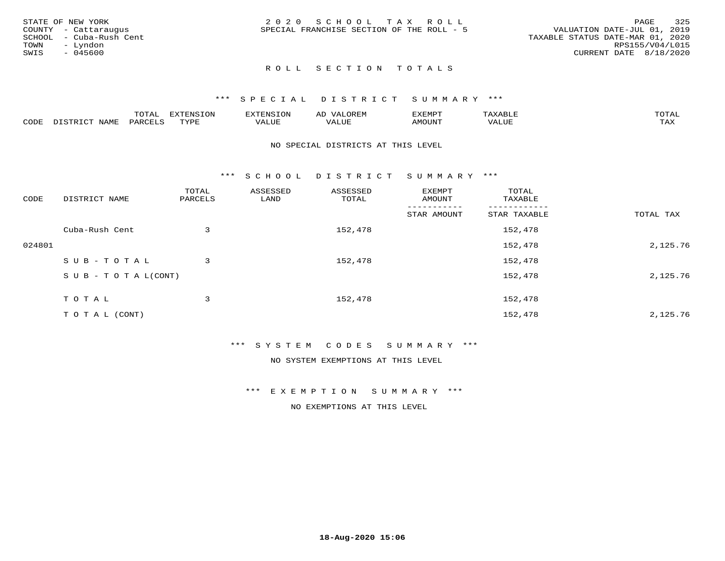|      | STATE OF NEW YORK       | 2020 SCHOOL TAX ROLL                                                     | PAGE            | 325 |
|------|-------------------------|--------------------------------------------------------------------------|-----------------|-----|
|      | COUNTY - Cattaraugus    | VALUATION DATE-JUL 01, 2019<br>SPECIAL FRANCHISE SECTION OF THE ROLL - 5 |                 |     |
|      | SCHOOL - Cuba-Rush Cent | TAXABLE STATUS DATE-MAR 01, 2020                                         |                 |     |
| TOWN | – Lyndon                |                                                                          | RPS155/V04/L015 |     |
| SWIS | $-045600$               | CURRENT DATE 8/18/2020                                                   |                 |     |
|      |                         |                                                                          |                 |     |

### ROLL SECTION TOTALS

### \*\*\* S P E C I A L D I S T R I C T S U M M A R Y \*\*\*

|      |      | momm<br>LUIAL | $\blacksquare$<br>www<br>.UP | . N.S                | . JR P.IV     | המארד 17<br>ິ<br>⊐ויום∧נ |                |                    |
|------|------|---------------|------------------------------|----------------------|---------------|--------------------------|----------------|--------------------|
| CODE | NAME | . DAD'        | TVDI<br>.                    | 77\TTTT<br>الالالدين | T T T<br>ALUI | AMOUNT                   | T T T T<br>′ △ | $m \times r$<br>∸⊷ |

### NO SPECIAL DISTRICTS AT THIS LEVEL

\*\*\* S C H O O L D I S T R I C T S U M M A R Y \*\*\*

| CODE   | DISTRICT NAME                    | TOTAL<br>PARCELS | ASSESSED<br>LAND | ASSESSED<br>TOTAL | EXEMPT<br>AMOUNT | TOTAL<br>TAXABLE |           |
|--------|----------------------------------|------------------|------------------|-------------------|------------------|------------------|-----------|
|        |                                  |                  |                  |                   | STAR AMOUNT      | STAR TAXABLE     | TOTAL TAX |
|        | Cuba-Rush Cent                   | 3                |                  | 152,478           |                  | 152,478          |           |
| 024801 |                                  |                  |                  |                   |                  | 152,478          | 2,125.76  |
|        | SUB-TOTAL                        | 3                |                  | 152,478           |                  | 152,478          |           |
|        | $S \cup B - T \cup T A L (CONT)$ |                  |                  |                   |                  | 152,478          | 2,125.76  |
|        | TOTAL                            | 3                |                  | 152,478           |                  | 152,478          |           |
|        | TO TAL (CONT)                    |                  |                  |                   |                  | 152,478          | 2,125.76  |

### \*\*\* S Y S T E M C O D E S S U M M A R Y \*\*\*

NO SYSTEM EXEMPTIONS AT THIS LEVEL

\*\*\* E X E M P T I O N S U M M A R Y \*\*\*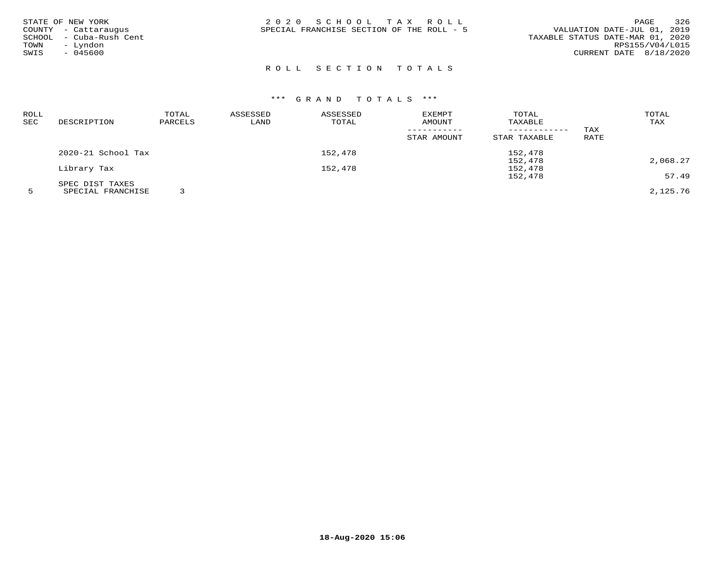| STATE OF NEW YORK<br>COUNTY - Cattaraugus<br>SCHOOL - Cuba-Rush Cent<br>- Lyndon<br>TOWN<br>SWIS<br>$-045600$ | 2020 SCHOOL TAX ROLL<br>SPECIAL FRANCHISE SECTION OF THE ROLL - 5 | 326<br>PAGE<br>VALUATION DATE-JUL 01, 2019<br>TAXABLE STATUS DATE-MAR 01, 2020<br>RPS155/V04/L015<br>CURRENT DATE 8/18/2020 |
|---------------------------------------------------------------------------------------------------------------|-------------------------------------------------------------------|-----------------------------------------------------------------------------------------------------------------------------|
|---------------------------------------------------------------------------------------------------------------|-------------------------------------------------------------------|-----------------------------------------------------------------------------------------------------------------------------|

# ROLL SECTION TOTALS

| ROLL |                    | TOTAL   | ASSESSED | ASSESSED | <b>EXEMPT</b> | TOTAL        |             | TOTAL    |
|------|--------------------|---------|----------|----------|---------------|--------------|-------------|----------|
| SEC  | DESCRIPTION        | PARCELS | LAND     | TOTAL    | AMOUNT        | TAXABLE      |             | TAX      |
|      |                    |         |          |          |               |              | TAX         |          |
|      |                    |         |          |          | STAR AMOUNT   | STAR TAXABLE | <b>RATE</b> |          |
|      | 2020-21 School Tax |         |          | 152,478  |               | 152,478      |             |          |
|      |                    |         |          |          |               | 152,478      |             | 2,068.27 |
|      | Library Tax        |         |          | 152,478  |               | 152,478      |             |          |
|      |                    |         |          |          |               | 152,478      |             | 57.49    |
|      | SPEC DIST TAXES    |         |          |          |               |              |             |          |
|      | SPECIAL FRANCHISE  |         |          |          |               |              |             | 2,125.76 |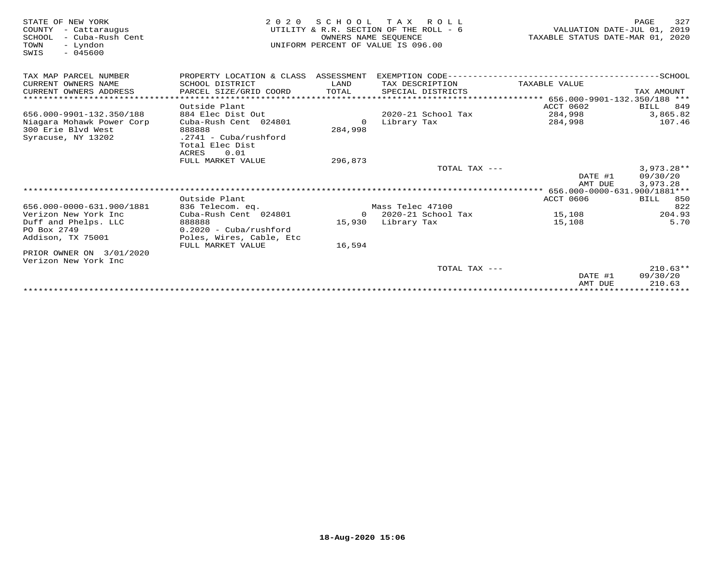| STATE OF NEW YORK<br>COUNTY<br>- Cattaraugus<br>- Cuba-Rush Cent<br>SCHOOL<br>- Lyndon<br>TOWN<br>$-045600$<br>SWIS | 2 0 2 0                              | SCHOOL<br>OWNERS NAME SEOUENCE | T A X<br>R O L L<br>UTILITY & R.R. SECTION OF THE ROLL - 6<br>UNIFORM PERCENT OF VALUE IS 096.00 | VALUATION DATE-JUL 01, 2019<br>TAXABLE STATUS DATE-MAR 01, 2020 | 327<br>PAGE     |
|---------------------------------------------------------------------------------------------------------------------|--------------------------------------|--------------------------------|--------------------------------------------------------------------------------------------------|-----------------------------------------------------------------|-----------------|
| TAX MAP PARCEL NUMBER                                                                                               | PROPERTY LOCATION & CLASS ASSESSMENT |                                |                                                                                                  |                                                                 |                 |
| CURRENT OWNERS NAME                                                                                                 | SCHOOL DISTRICT                      | LAND                           | TAX DESCRIPTION                                                                                  | TAXABLE VALUE                                                   |                 |
| CURRENT OWNERS ADDRESS                                                                                              | PARCEL SIZE/GRID COORD               | TOTAL                          | SPECIAL DISTRICTS                                                                                |                                                                 | TAX AMOUNT      |
| ******************************                                                                                      |                                      |                                |                                                                                                  |                                                                 |                 |
|                                                                                                                     | Outside Plant                        |                                |                                                                                                  | ACCT 0602                                                       | BILL 849        |
| 656.000-9901-132.350/188                                                                                            | 884 Elec Dist Out                    |                                | $2020 - 21$ School Tax                                                                           | 284,998                                                         | 3,865.82        |
| Niagara Mohawk Power Corp                                                                                           | Cuba-Rush Cent 024801                | $\Omega$                       | Library Tax                                                                                      | 284,998                                                         | 107.46          |
| 300 Erie Blyd West                                                                                                  | 888888                               | 284,998                        |                                                                                                  |                                                                 |                 |
| Syracuse, NY 13202                                                                                                  | $.2741 - Cuba/rushford$              |                                |                                                                                                  |                                                                 |                 |
|                                                                                                                     | Total Elec Dist                      |                                |                                                                                                  |                                                                 |                 |
|                                                                                                                     | <b>ACRES</b><br>0.01                 |                                |                                                                                                  |                                                                 |                 |
|                                                                                                                     | FULL MARKET VALUE                    | 296,873                        |                                                                                                  |                                                                 |                 |
|                                                                                                                     |                                      |                                | TOTAL TAX ---                                                                                    |                                                                 | $3,973.28**$    |
|                                                                                                                     |                                      |                                |                                                                                                  | DATE #1                                                         | 09/30/20        |
|                                                                                                                     |                                      |                                |                                                                                                  | AMT DUE                                                         | 3,973.28        |
|                                                                                                                     | Outside Plant                        |                                |                                                                                                  | <b>ACCT 0606</b>                                                | <b>BILL 850</b> |
| 656.000-0000-631.900/1881                                                                                           | 836 Telecom. eq.                     |                                | Mass Telec 47100                                                                                 |                                                                 | 822             |
| Verizon New York Inc.                                                                                               | Cuba-Rush Cent 024801                |                                | $0$ 2020-21 School Tax                                                                           | 15,108                                                          | 204.93          |
|                                                                                                                     | 888888                               |                                |                                                                                                  |                                                                 | 5.70            |
| Duff and Phelps. LLC<br>PO Box 2749                                                                                 | $0.2020 - Cuba/rushford$             |                                | 15,930 Library Tax                                                                               | 15,108                                                          |                 |
| Addison, TX 75001                                                                                                   | Poles, Wires, Cable, Etc             |                                |                                                                                                  |                                                                 |                 |
|                                                                                                                     | FULL MARKET VALUE                    | 16,594                         |                                                                                                  |                                                                 |                 |
| PRIOR OWNER ON 3/01/2020                                                                                            |                                      |                                |                                                                                                  |                                                                 |                 |
| Verizon New York Inc                                                                                                |                                      |                                |                                                                                                  |                                                                 |                 |
|                                                                                                                     |                                      |                                | TOTAL TAX ---                                                                                    |                                                                 | $210.63**$      |
|                                                                                                                     |                                      |                                |                                                                                                  | DATE #1                                                         | 09/30/20        |
|                                                                                                                     |                                      |                                |                                                                                                  | AMT DUE                                                         | 210.63          |
|                                                                                                                     |                                      |                                |                                                                                                  |                                                                 |                 |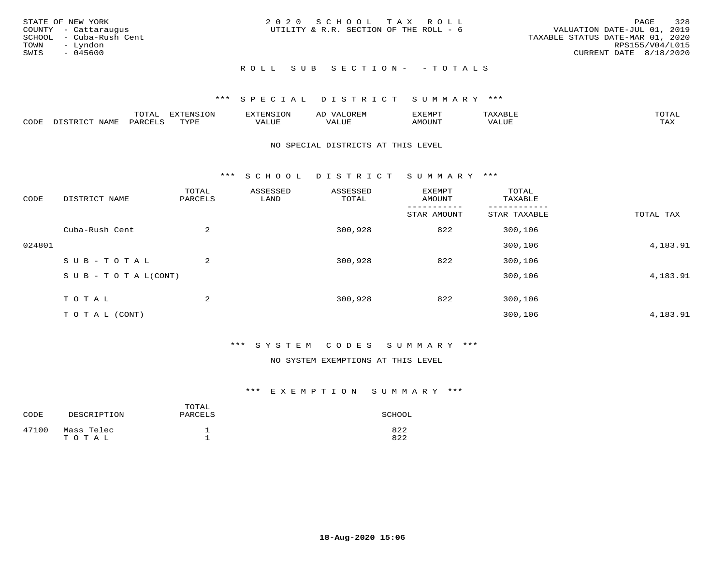| STATE OF NEW YORK<br>COUNTY - Cattaraugus<br>SCHOOL - Cuba-Rush Cent<br>TOWN<br>– Lyndon<br>SWIS<br>- 045600 | 2020 SCHOOL TAX ROLL<br>UTILITY & R.R. SECTION OF THE ROLL - 6 | 328<br>PAGE<br>VALUATION DATE-JUL 01, 2019<br>TAXABLE STATUS DATE-MAR 01, 2020<br>RPS155/V04/L015<br>CURRENT DATE 8/18/2020 |
|--------------------------------------------------------------------------------------------------------------|----------------------------------------------------------------|-----------------------------------------------------------------------------------------------------------------------------|
|                                                                                                              | ROLL SUB SECTION- - TOTALS                                     |                                                                                                                             |

|      |      | mom n<br>-777 | pszmpato<br>$ \sim$ $\sim$<br>-UP | AL.         | ,,, <del>,</del> ,,, <del>,</del> ,<br>້ |                         | $m \wedge m \wedge n$ |
|------|------|---------------|-----------------------------------|-------------|------------------------------------------|-------------------------|-----------------------|
| CODE | ⊥'⊥⊥ | PARO          | TVDF                              | ۳۰ تا سند د | <b>MOTTNT</b>                            | - ---<br>$'$ $\Delta$ . | $m \times r$<br>- −-  |

### NO SPECIAL DISTRICTS AT THIS LEVEL

\*\*\* S C H O O L D I S T R I C T S U M M A R Y \*\*\*

| CODE   | DISTRICT NAME                    | TOTAL<br>PARCELS | ASSESSED<br>LAND | ASSESSED<br>TOTAL | EXEMPT<br>AMOUNT | TOTAL<br>TAXABLE |           |
|--------|----------------------------------|------------------|------------------|-------------------|------------------|------------------|-----------|
|        |                                  |                  |                  |                   | STAR AMOUNT      | STAR TAXABLE     | TOTAL TAX |
|        | Cuba-Rush Cent                   | 2                |                  | 300,928           | 822              | 300,106          |           |
| 024801 |                                  |                  |                  |                   |                  | 300,106          | 4,183.91  |
|        | SUB-TOTAL                        | 2                |                  | 300,928           | 822              | 300,106          |           |
|        | $S \cup B - T \cup T A L (CONT)$ |                  |                  |                   |                  | 300,106          | 4,183.91  |
|        | TOTAL                            | 2                |                  | 300,928           | 822              | 300,106          |           |
|        | T O T A L (CONT)                 |                  |                  |                   |                  | 300,106          | 4,183.91  |

### \*\*\* S Y S T E M C O D E S S U M M A R Y \*\*\*

### NO SYSTEM EXEMPTIONS AT THIS LEVEL

| CODE  | DESCRIPTION         | TOTAL<br>PARCELS | SCHOOL     |
|-------|---------------------|------------------|------------|
| 47100 | Mass Telec<br>TOTAL |                  | 822<br>822 |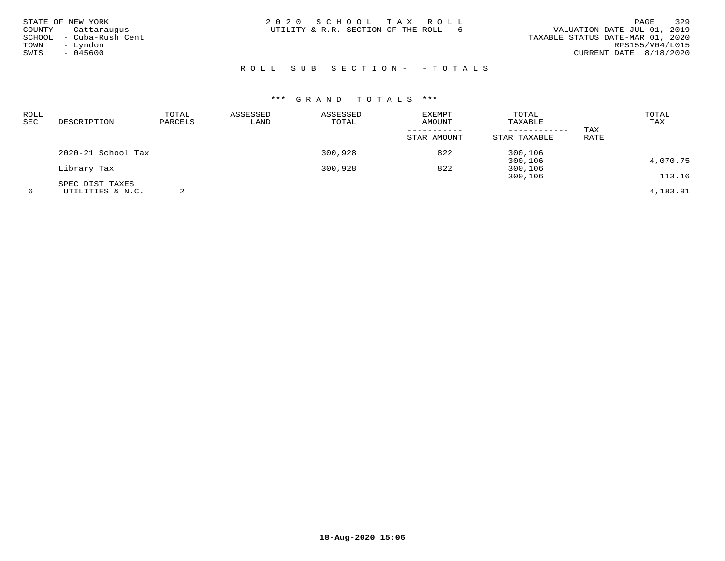| STATE OF NEW YORK<br>COUNTY - Cattaraugus<br>SCHOOL - Cuba-Rush Cent<br>- Lyndon<br>TOWN<br>$-045600$<br>SWIS | 2020 SCHOOL TAX ROLL<br>UTILITY & R.R. SECTION OF THE ROLL - 6 | 329<br>PAGE<br>VALUATION DATE-JUL 01, 2019<br>TAXABLE STATUS DATE-MAR 01, 2020<br>RPS155/V04/L015<br>CURRENT DATE 8/18/2020 |
|---------------------------------------------------------------------------------------------------------------|----------------------------------------------------------------|-----------------------------------------------------------------------------------------------------------------------------|
|                                                                                                               | ROLL SUB SECTION- - TOTALS                                     |                                                                                                                             |

| ROLL |                    | TOTAL   | ASSESSED | ASSESSED | <b>EXEMPT</b> | TOTAL        |      | TOTAL    |
|------|--------------------|---------|----------|----------|---------------|--------------|------|----------|
| SEC  | DESCRIPTION        | PARCELS | LAND     | TOTAL    | AMOUNT        | TAXABLE      |      | TAX      |
|      |                    |         |          |          |               | ------------ | TAX  |          |
|      |                    |         |          |          | STAR AMOUNT   | STAR TAXABLE | RATE |          |
|      | 2020-21 School Tax |         |          | 300,928  | 822           | 300,106      |      |          |
|      |                    |         |          |          |               | 300,106      |      | 4,070.75 |
|      | Library Tax        |         |          | 300,928  | 822           | 300,106      |      |          |
|      |                    |         |          |          |               | 300,106      |      | 113.16   |
|      | SPEC DIST TAXES    |         |          |          |               |              |      |          |
| 6    | UTILITIES & N.C.   |         |          |          |               |              |      | 4,183.91 |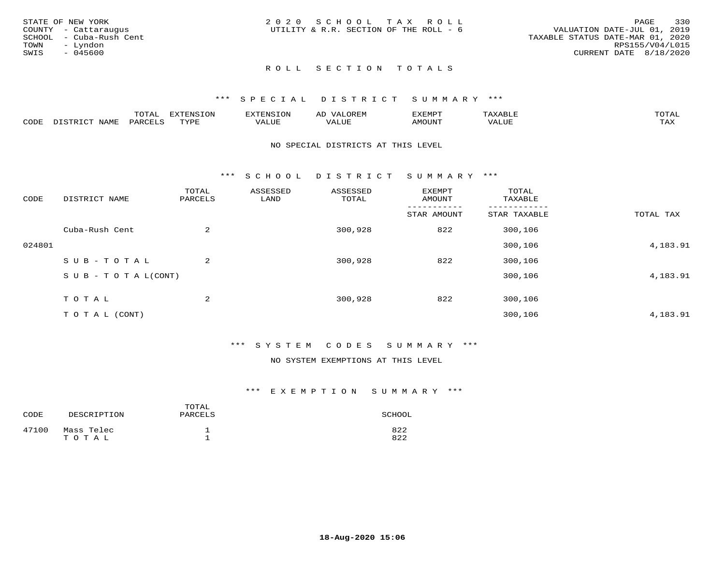|      | STATE OF NEW YORK       | 2020 SCHOOL TAX ROLL                   |  |  |                                  |                        | PAGE | 330 |
|------|-------------------------|----------------------------------------|--|--|----------------------------------|------------------------|------|-----|
|      | COUNTY - Cattaraugus    | UTILITY & R.R. SECTION OF THE ROLL - 6 |  |  | VALUATION DATE-JUL 01, 2019      |                        |      |     |
|      | SCHOOL - Cuba-Rush Cent |                                        |  |  | TAXABLE STATUS DATE-MAR 01, 2020 |                        |      |     |
| TOWN | – Lyndon                |                                        |  |  |                                  | RPS155/V04/L015        |      |     |
| SWIS | - 045600                |                                        |  |  |                                  | CURRENT DATE 8/18/2020 |      |     |
|      |                         |                                        |  |  |                                  |                        |      |     |

### ROLL SECTION TOTALS

### \*\*\* S P E C I A L D I S T R I C T S U M M A R Y \*\*\*

|      |                  | momm <sup>.</sup><br>TOTAT | <b>ELIMENT OF ONT</b><br>T OTA | 'ENS   | OREM                     | CXEMPT        | $max$ and $max$          | $m \wedge m \wedge n$ |
|------|------------------|----------------------------|--------------------------------|--------|--------------------------|---------------|--------------------------|-----------------------|
| CODE | NAME<br>DISTRICT | PARCELS                    | TVDF<br>.                      | 7ALUE. | . <del>.</del><br>. ALUF | <b>AMOUNT</b> | * * * * * * * *<br>'ALUL | <b>TAY</b><br>⊥⇔∆     |

### NO SPECIAL DISTRICTS AT THIS LEVEL

\*\*\* S C H O O L D I S T R I C T S U M M A R Y \*\*\*

| CODE   | DISTRICT NAME                    | TOTAL<br>PARCELS | ASSESSED<br>LAND | ASSESSED<br>TOTAL | EXEMPT<br>AMOUNT | TOTAL<br>TAXABLE |           |
|--------|----------------------------------|------------------|------------------|-------------------|------------------|------------------|-----------|
|        |                                  |                  |                  |                   | STAR AMOUNT      | STAR TAXABLE     | TOTAL TAX |
|        | Cuba-Rush Cent                   | $\overline{2}$   |                  | 300,928           | 822              | 300,106          |           |
| 024801 |                                  |                  |                  |                   |                  | 300,106          | 4,183.91  |
|        | SUB-TOTAL                        | $\overline{2}$   |                  | 300,928           | 822              | 300,106          |           |
|        | $S \cup B - T \cup T A L (CONT)$ |                  |                  |                   |                  | 300,106          | 4,183.91  |
|        | TOTAL                            | $\overline{2}$   |                  | 300,928           | 822              | 300,106          |           |
|        | T O T A L (CONT)                 |                  |                  |                   |                  | 300,106          | 4,183.91  |

### \*\*\* S Y S T E M C O D E S S U M M A R Y \*\*\*

### NO SYSTEM EXEMPTIONS AT THIS LEVEL

| CODE  | DESCRIPTION         | TOTAL<br>PARCELS | SCHOOL     |
|-------|---------------------|------------------|------------|
| 47100 | Mass Telec<br>TOTAL |                  | 822<br>822 |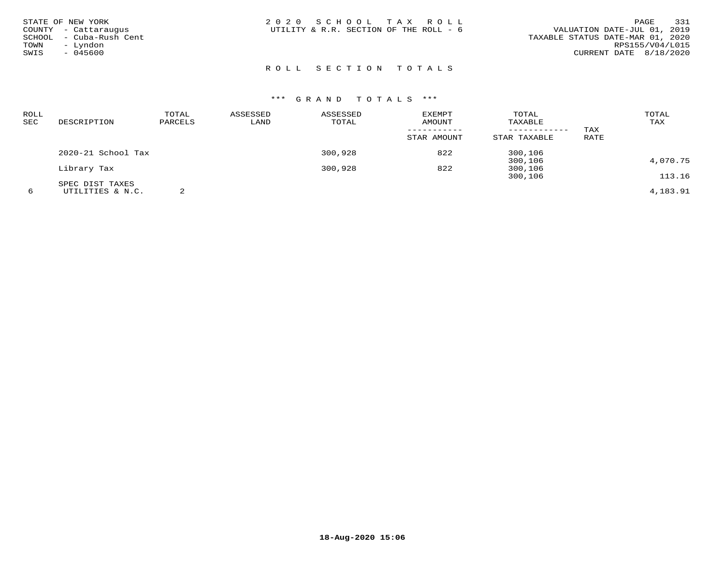| STATE OF NEW YORK<br>TOWN<br>SWIS | COUNTY - Cattaraugus<br>SCHOOL - Cuba-Rush Cent<br>- Lyndon<br>$-045600$ | 2020 SCHOOL TAX ROLL<br>UTILITY & R.R. SECTION OF THE ROLL - 6 |  | 331<br>PAGE<br>VALUATION DATE-JUL 01, 2019<br>TAXABLE STATUS DATE-MAR 01, 2020<br>RPS155/V04/L015<br>CURRENT DATE 8/18/2020 |
|-----------------------------------|--------------------------------------------------------------------------|----------------------------------------------------------------|--|-----------------------------------------------------------------------------------------------------------------------------|
|                                   |                                                                          | ROLL SECTION TOTALS                                            |  |                                                                                                                             |

| ROLL |                    | TOTAL   | ASSESSED | ASSESSED | <b>EXEMPT</b> | TOTAL        |      | TOTAL    |
|------|--------------------|---------|----------|----------|---------------|--------------|------|----------|
| SEC  | DESCRIPTION        | PARCELS | LAND     | TOTAL    | AMOUNT        | TAXABLE      |      | TAX      |
|      |                    |         |          |          |               |              | TAX  |          |
|      |                    |         |          |          | STAR AMOUNT   | STAR TAXABLE | RATE |          |
|      | 2020-21 School Tax |         |          | 300,928  | 822           | 300,106      |      |          |
|      |                    |         |          |          |               | 300,106      |      | 4,070.75 |
|      | Library Tax        |         |          | 300,928  | 822           | 300,106      |      |          |
|      |                    |         |          |          |               | 300,106      |      | 113.16   |
|      | SPEC DIST TAXES    |         |          |          |               |              |      |          |
| 6    | UTILITIES & N.C.   |         |          |          |               |              |      | 4,183.91 |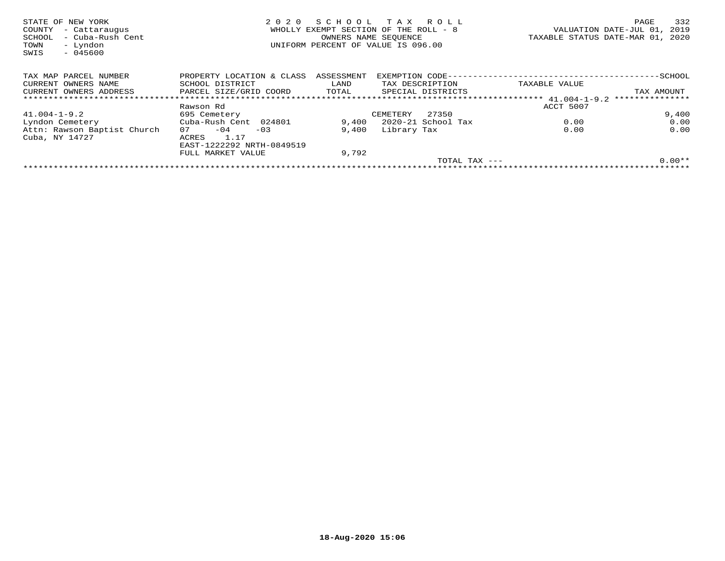| STATE OF NEW YORK<br>COUNTY<br>- Cattaraugus<br>- Cuba-Rush Cent<br>SCHOOL<br>- Lyndon<br>TOWN<br>$-045600$<br>SWIS | 2020                      | SCHOOL<br>OWNERS NAME SEQUENCE | T A X<br>R O L L<br>WHOLLY EXEMPT SECTION OF THE ROLL - 8<br>UNIFORM PERCENT OF VALUE IS 096.00 | VALUATION DATE-JUL 01,<br>TAXABLE STATUS DATE-MAR 01, | 332<br>PAGE<br>2019<br>2020 |
|---------------------------------------------------------------------------------------------------------------------|---------------------------|--------------------------------|-------------------------------------------------------------------------------------------------|-------------------------------------------------------|-----------------------------|
| TAX MAP PARCEL NUMBER                                                                                               | PROPERTY LOCATION & CLASS | ASSESSMENT                     | EXEMPTION CODE-                                                                                 | ----------------------                                | $-$ SCHOOL                  |
| CURRENT OWNERS NAME                                                                                                 | SCHOOL DISTRICT           | LAND                           | TAX DESCRIPTION                                                                                 | TAXABLE VALUE                                         |                             |
| CURRENT OWNERS ADDRESS                                                                                              | PARCEL SIZE/GRID COORD    | TOTAL                          | SPECIAL DISTRICTS                                                                               |                                                       | TAX AMOUNT                  |
|                                                                                                                     |                           |                                |                                                                                                 |                                                       | ***************             |
|                                                                                                                     | Rawson Rd                 |                                |                                                                                                 | ACCT 5007                                             |                             |
| $41.004 - 1 - 9.2$                                                                                                  | 695 Cemetery              |                                | 27350<br>CEMETERY                                                                               |                                                       | 9,400                       |
| Lyndon Cemetery                                                                                                     | Cuba-Rush Cent 024801     | 9,400                          | 2020-21 School Tax                                                                              | 0.00                                                  | 0.00                        |
| Attn: Rawson Baptist Church                                                                                         | $-04$<br>07<br>$-03$      | 9,400                          | Library Tax                                                                                     | 0.00                                                  | 0.00                        |
| Cuba, NY 14727                                                                                                      | 1.17<br>ACRES             |                                |                                                                                                 |                                                       |                             |
|                                                                                                                     | EAST-1222292 NRTH-0849519 |                                |                                                                                                 |                                                       |                             |
|                                                                                                                     | FULL MARKET VALUE         | 9,792                          |                                                                                                 |                                                       |                             |
|                                                                                                                     |                           |                                | TOTAL TAX ---                                                                                   |                                                       | $0.00**$                    |
|                                                                                                                     |                           |                                |                                                                                                 |                                                       |                             |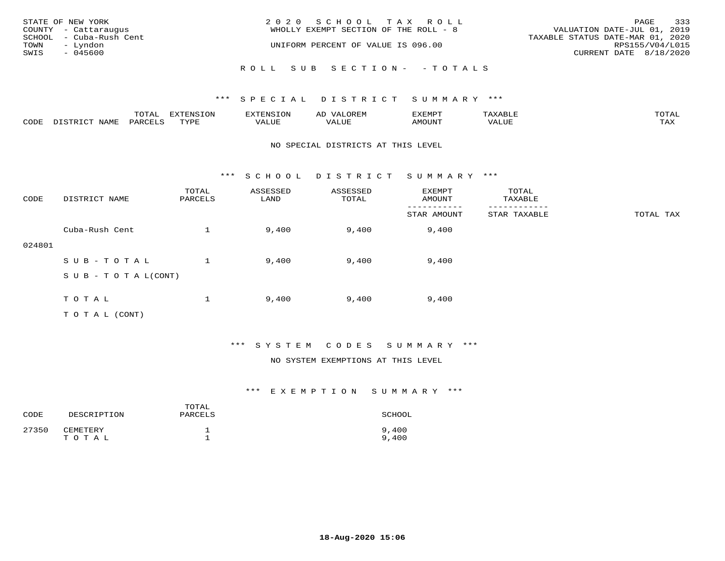| STATE OF NEW YORK<br>COUNTY - Cattaraugus | 2020 SCHOOL TAX ROLL<br>WHOLLY EXEMPT SECTION OF THE ROLL - 8 | 333<br>PAGE<br>VALUATION DATE-JUL 01, 2019          |
|-------------------------------------------|---------------------------------------------------------------|-----------------------------------------------------|
| SCHOOL - Cuba-Rush Cent                   | UNIFORM PERCENT OF VALUE IS 096.00                            | TAXABLE STATUS DATE-MAR 01, 2020<br>RPS155/V04/L015 |
| TOWN<br>– Lyndon<br>SWIS<br>- 045600      |                                                               | CURRENT DATE 8/18/2020                              |
|                                           | ROLL SUB SECTION- - TOTALS                                    |                                                     |

|      |                  | TOTAL   | <b>DYMONIC TONT</b><br>7.NR TOIZ | 'ENS. | OREM<br>AL'             | דים איה צי | $x \sim$ $\sim$ | TOTAI |
|------|------------------|---------|----------------------------------|-------|-------------------------|------------|-----------------|-------|
| CODE | DISTRICT<br>NAME | PARCELS | TVDF<br>شد به به                 | VALUE | . <del>.</del><br>VALUE | AMOUNT     | VALUE           | TAX   |

### NO SPECIAL DISTRICTS AT THIS LEVEL

\*\*\* S C H O O L D I S T R I C T S U M M A R Y \*\*\*

| CODE   | DISTRICT NAME                    | TOTAL<br>PARCELS | ASSESSED<br>LAND | ASSESSED<br>TOTAL | EXEMPT<br>AMOUNT | TOTAL<br>TAXABLE |           |
|--------|----------------------------------|------------------|------------------|-------------------|------------------|------------------|-----------|
|        |                                  |                  |                  |                   | STAR AMOUNT      | STAR TAXABLE     | TOTAL TAX |
|        | Cuba-Rush Cent                   |                  | 9,400            | 9,400             | 9,400            |                  |           |
| 024801 |                                  |                  |                  |                   |                  |                  |           |
|        | SUB-TOTAL                        |                  | 9,400            | 9,400             | 9,400            |                  |           |
|        | $S \cup B - T \cup T A L (CONT)$ |                  |                  |                   |                  |                  |           |
|        |                                  |                  |                  |                   |                  |                  |           |
|        | TOTAL                            |                  | 9,400            | 9,400             | 9,400            |                  |           |
|        | T O T A L (CONT)                 |                  |                  |                   |                  |                  |           |

### \*\*\* S Y S T E M C O D E S S U M M A R Y \*\*\*

### NO SYSTEM EXEMPTIONS AT THIS LEVEL

| CODE  | DESCRIPTION       | TOTAL<br>PARCELS | SCHOOL         |
|-------|-------------------|------------------|----------------|
| 27350 | CEMETERY<br>TOTAL |                  | 9,400<br>9,400 |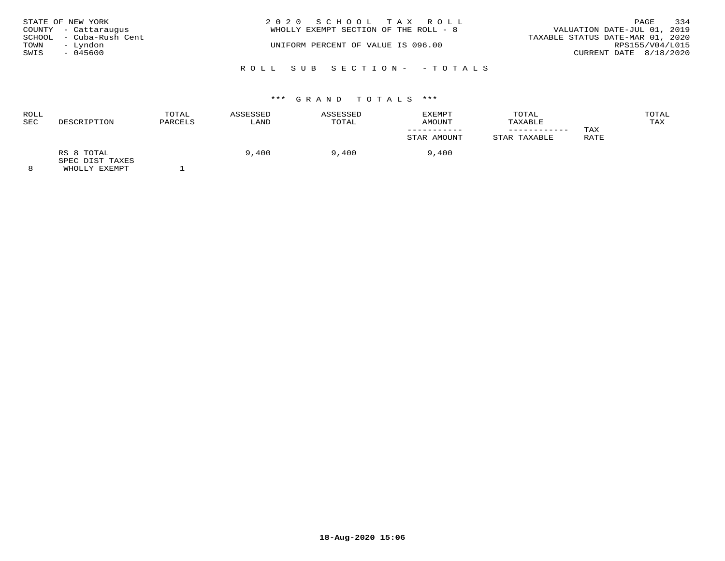| STATE OF NEW YORK       | 2020 SCHOOL TAX ROLL                  | PAGE                             | 334 |
|-------------------------|---------------------------------------|----------------------------------|-----|
| COUNTY - Cattaraugus    | WHOLLY EXEMPT SECTION OF THE ROLL - 8 | VALUATION DATE-JUL 01, 2019      |     |
| SCHOOL - Cuba-Rush Cent |                                       | TAXABLE STATUS DATE-MAR 01, 2020 |     |
| – Lyndon<br>TOWN        | UNIFORM PERCENT OF VALUE IS 096.00    | RPS155/V04/L015                  |     |
| SWIS<br>- 045600        |                                       | CURRENT DATE 8/18/2020           |     |
|                         |                                       |                                  |     |
|                         | ROLL SUB SECTION- - TOTALS            |                                  |     |

| <b>ROLL</b><br>SEC | DESCRIPTION                   | TOTAL<br>PARCELS | ASSESSED<br>LAND | ASSESSED<br>TOTAL | EXEMPT<br>AMOUNT | TOTAL<br>TAXABLE |      | TOTAL<br>TAX |
|--------------------|-------------------------------|------------------|------------------|-------------------|------------------|------------------|------|--------------|
|                    |                               |                  |                  |                   |                  |                  | TAX  |              |
|                    |                               |                  |                  |                   | STAR AMOUNT      | STAR TAXABLE     | RATE |              |
|                    | RS 8 TOTAL<br>SPEC DIST TAXES |                  | 9,400            | 9,400             | 9,400            |                  |      |              |
| $\Omega$           | EULAL IV DILLE                |                  |                  |                   |                  |                  |      |              |

8 WHOLLY EXEMPT 1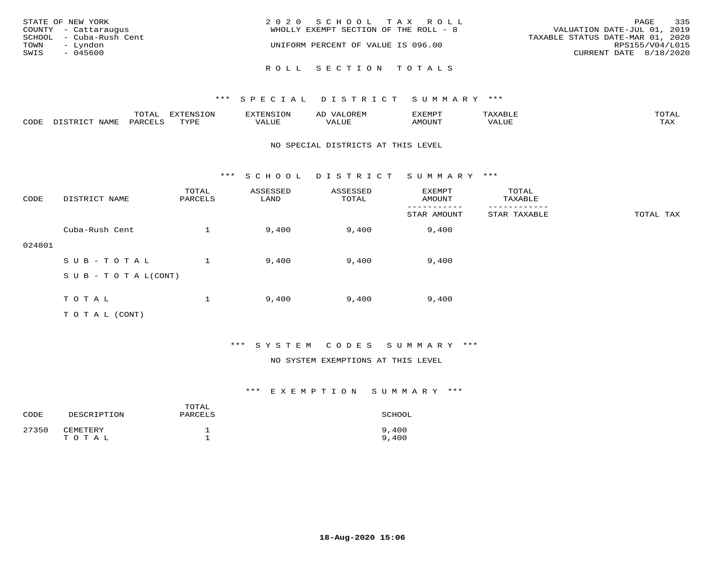| STATE OF NEW YORK<br>COUNTY - Cattaraugus<br>SCHOOL - Cuba-Rush Cent<br>TOWN<br>– Lyndon<br>SWIS<br>$-045600$ | 2020 SCHOOL TAX ROLL<br>WHOLLY EXEMPT SECTION OF THE ROLL - 8<br>UNIFORM PERCENT OF VALUE IS 096.00 | 335<br>PAGE<br>VALUATION DATE-JUL 01, 2019<br>TAXABLE STATUS DATE-MAR 01, 2020<br>RPS155/V04/L015<br>CURRENT DATE 8/18/2020 |
|---------------------------------------------------------------------------------------------------------------|-----------------------------------------------------------------------------------------------------|-----------------------------------------------------------------------------------------------------------------------------|
|                                                                                                               | ROLL SECTION TOTALS                                                                                 |                                                                                                                             |

|      |      | $m \wedge m \wedge n$<br>⊥∪⊥AL | <b>DIZPOILIC TONT</b><br>⊥ບ⊥ | EN.  | .<br>AL'<br>٠، تن ١٠ | 5773570      |          | $m \wedge m \wedge n$<br>$\mathsf{L}^{\mathsf{L}}$ |
|------|------|--------------------------------|------------------------------|------|----------------------|--------------|----------|----------------------------------------------------|
| CODE | NAMF | PARO                           | TVDF<br><u>ـ د د</u>         | ALUE |                      | <b>MOUNT</b> | 7 A LU B | may<br>- ∠∡∡                                       |

### NO SPECIAL DISTRICTS AT THIS LEVEL

\*\*\* S C H O O L D I S T R I C T S U M M A R Y \*\*\*

| CODE   | DISTRICT NAME                    | TOTAL<br>PARCELS | ASSESSED<br>LAND | ASSESSED<br>TOTAL | EXEMPT<br>AMOUNT | TOTAL<br>TAXABLE |           |
|--------|----------------------------------|------------------|------------------|-------------------|------------------|------------------|-----------|
|        |                                  |                  |                  |                   | STAR AMOUNT      | STAR TAXABLE     | TOTAL TAX |
|        | Cuba-Rush Cent                   |                  | 9,400            | 9,400             | 9,400            |                  |           |
| 024801 |                                  |                  |                  |                   |                  |                  |           |
|        | SUB-TOTAL                        |                  | 9,400            | 9,400             | 9,400            |                  |           |
|        | $S \cup B - T \cup T A L (CONT)$ |                  |                  |                   |                  |                  |           |
|        |                                  |                  |                  |                   |                  |                  |           |
|        | TOTAL                            |                  | 9,400            | 9,400             | 9,400            |                  |           |
|        | T O T A L (CONT)                 |                  |                  |                   |                  |                  |           |

### \*\*\* S Y S T E M C O D E S S U M M A R Y \*\*\*

### NO SYSTEM EXEMPTIONS AT THIS LEVEL

| CODE  | DESCRIPTION       | TOTAL<br>PARCELS | SCHOOL         |
|-------|-------------------|------------------|----------------|
| 27350 | CEMETERY<br>TOTAL |                  | 9,400<br>9,400 |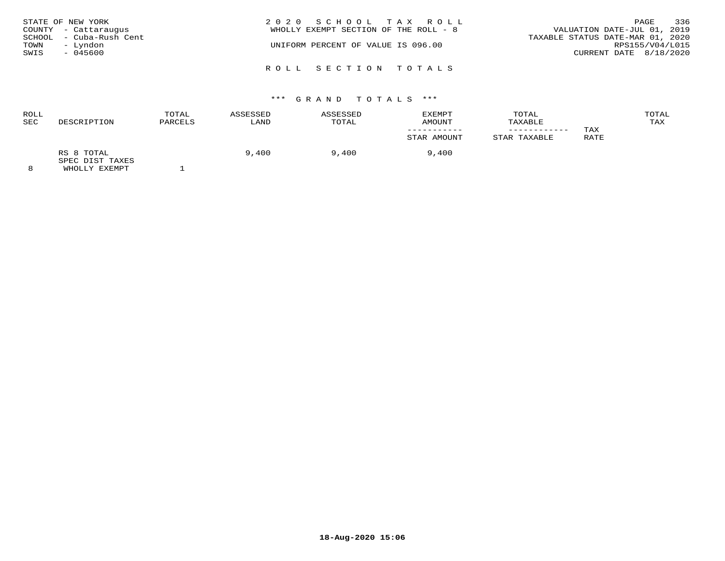| STATE OF NEW YORK<br>COUNTY - Cattaraugus<br>SCHOOL - Cuba-Rush Cent<br>– Lyndon<br>TOWN<br>SWIS<br>- 045600 |  | 2020 SCHOOL TAX ROLL<br>WHOLLY EXEMPT SECTION OF THE ROLL - 8<br>UNIFORM PERCENT OF VALUE IS 096.00 |  | VALUATION DATE-JUL 01, 2019<br>TAXABLE STATUS DATE-MAR 01, 2020<br>CURRENT DATE 8/18/2020 | PAGE<br>RPS155/V04/L015 | 336 |
|--------------------------------------------------------------------------------------------------------------|--|-----------------------------------------------------------------------------------------------------|--|-------------------------------------------------------------------------------------------|-------------------------|-----|
|                                                                                                              |  | ROLL SECTION TOTALS                                                                                 |  |                                                                                           |                         |     |

| ROLL<br>SEC | DESCRIPTION                   | TOTAL<br>PARCELS | ASSESSED<br>LAND | <b>ASSESSED</b><br>TOTAL | EXEMPT<br>AMOUNT | TOTAL<br>TAXABLE |      | TOTAL<br>TAX |
|-------------|-------------------------------|------------------|------------------|--------------------------|------------------|------------------|------|--------------|
|             |                               |                  |                  |                          |                  |                  | TAX  |              |
|             |                               |                  |                  |                          | STAR AMOUNT      | STAR TAXABLE     | RATE |              |
|             | RS 8 TOTAL<br>SPEC DIST TAXES |                  | 9,400            | 9,400                    | 9,400            |                  |      |              |
|             | LUICE IV DILLE                |                  |                  |                          |                  |                  |      |              |

8 WHOLLY EXEMPT 1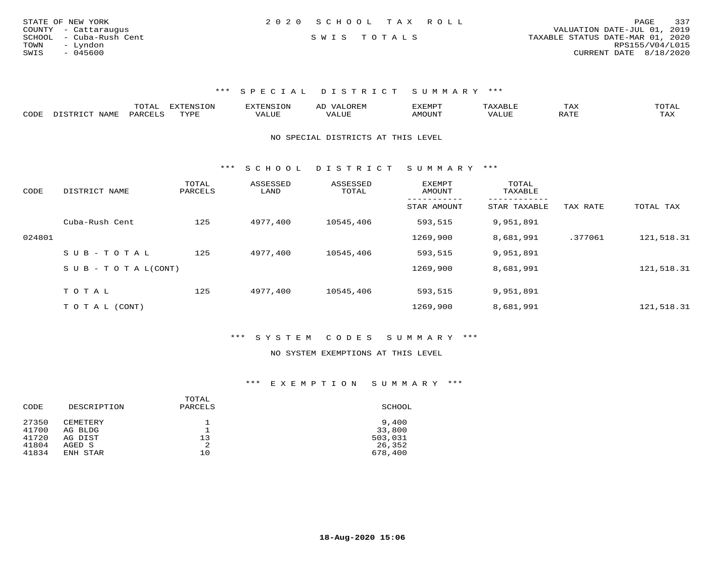| STATE OF NEW YORK       | 2020 SCHOOL TAX ROLL |             |  | 337<br>PAGE                      |
|-------------------------|----------------------|-------------|--|----------------------------------|
| COUNTY - Cattaraugus    |                      |             |  | VALUATION DATE-JUL 01, 2019      |
| SCHOOL - Cuba-Rush Cent |                      | SWIS TOTALS |  | TAXABLE STATUS DATE-MAR 01, 2020 |
| TOWN<br>- Lyndon        |                      |             |  | RPS155/V04/L015                  |
| SWIS<br>$-045600$       |                      |             |  | CURRENT DATE 8/18/2020           |
|                         |                      |             |  |                                  |

|      | ----<br>- 777 | --------<br>$-0.213$ |  | -XEMP"    | ⊥ A∆ | $\sim$ m $\sim$ $+$<br>◡ <b>⊥</b>                                                                                                                                                                                                                                                                                                                                                                                                                        |
|------|---------------|----------------------|--|-----------|------|----------------------------------------------------------------------------------------------------------------------------------------------------------------------------------------------------------------------------------------------------------------------------------------------------------------------------------------------------------------------------------------------------------------------------------------------------------|
| CODE | ⊬∆د           | $- - - -$<br>.       |  | 5.7277777 |      | $\overline{ }$ $\overline{ }$ $\overline{ }$ $\overline{ }$ $\overline{ }$ $\overline{ }$ $\overline{ }$ $\overline{ }$ $\overline{ }$ $\overline{ }$ $\overline{ }$ $\overline{ }$ $\overline{ }$ $\overline{ }$ $\overline{ }$ $\overline{ }$ $\overline{ }$ $\overline{ }$ $\overline{ }$ $\overline{ }$ $\overline{ }$ $\overline{ }$ $\overline{ }$ $\overline{ }$ $\overline{ }$ $\overline{ }$ $\overline{ }$ $\overline{$<br>$\cdots$<br>- 53.43 |

NO SPECIAL DISTRICTS AT THIS LEVEL

\*\*\* S C H O O L D I S T R I C T S U M M A R Y \*\*\*

| CODE   | DISTRICT NAME              | TOTAL<br>PARCELS | ASSESSED<br>LAND | ASSESSED<br>TOTAL | <b>EXEMPT</b><br>AMOUNT | TOTAL<br>TAXABLE<br>-------- |          |            |
|--------|----------------------------|------------------|------------------|-------------------|-------------------------|------------------------------|----------|------------|
|        |                            |                  |                  |                   | STAR AMOUNT             | STAR TAXABLE                 | TAX RATE | TOTAL TAX  |
|        | Cuba-Rush Cent             | 125              | 4977,400         | 10545,406         | 593,515                 | 9,951,891                    |          |            |
| 024801 |                            |                  |                  |                   | 1269,900                | 8,681,991                    | .377061  | 121,518.31 |
|        | $SUB - TO T AL$            | 125              | 4977,400         | 10545,406         | 593,515                 | 9,951,891                    |          |            |
|        | S U B - T O T A $L$ (CONT) |                  |                  |                   | 1269,900                | 8,681,991                    |          | 121,518.31 |
|        |                            |                  |                  |                   |                         |                              |          |            |
|        | TOTAL                      | 125              | 4977,400         | 10545,406         | 593,515                 | 9,951,891                    |          |            |
|        | T O T A L (CONT)           |                  |                  |                   | 1269,900                | 8,681,991                    |          | 121,518.31 |

\*\*\* S Y S T E M C O D E S S U M M A R Y \*\*\*

NO SYSTEM EXEMPTIONS AT THIS LEVEL

| CODE  | DESCRIPTION | TOTAL<br>PARCELS | SCHOOL  |
|-------|-------------|------------------|---------|
| 27350 | CEMETERY    |                  | 9,400   |
| 41700 | AG BLDG     |                  | 33,800  |
| 41720 | AG DIST     | 13               | 503,031 |
| 41804 | AGED S      | 2                | 26,352  |
| 41834 | ENH STAR    | 10               | 678,400 |
|       |             |                  |         |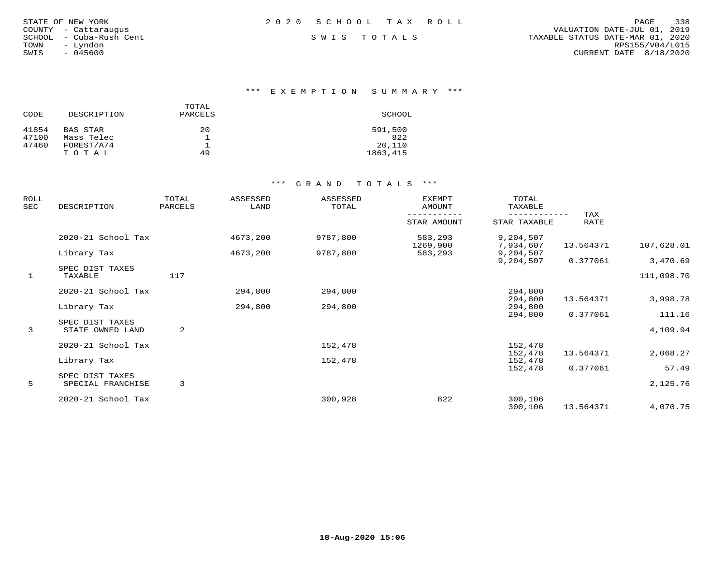|  | STATE OF NEW YORK<br>- Cattaraugus<br>- Cuba-Rush Cent<br>- Lyndon<br>$-045600$ |
|--|---------------------------------------------------------------------------------|

\*\*\* E X E M P T I O N S U M M A R Y \*\*\*

| CODE  | DESCRIPTION | TOTAL<br>PARCELS | SCHOOL   |
|-------|-------------|------------------|----------|
| 41854 | BAS STAR    | 20               | 591,500  |
| 47100 | Mass Telec  |                  | 822      |
| 47460 | FOREST/A74  |                  | 20,110   |
|       | TOTAL       | 49               | 1863,415 |

| ROLL<br>SEC  | DESCRIPTION                | TOTAL<br>PARCELS | ASSESSED<br>LAND | ASSESSED<br>TOTAL | <b>EXEMPT</b><br>AMOUNT | TOTAL<br>TAXABLE       |             |            |
|--------------|----------------------------|------------------|------------------|-------------------|-------------------------|------------------------|-------------|------------|
|              |                            |                  |                  |                   | STAR AMOUNT             | STAR TAXABLE           | TAX<br>RATE |            |
|              | 2020-21 School Tax         |                  | 4673,200         | 9787,800          | 583,293<br>1269,900     | 9,204,507<br>7,934,607 | 13.564371   | 107,628.01 |
|              | Library Tax                |                  | 4673,200         | 9787,800          | 583,293                 | 9,204,507<br>9,204,507 | 0.377061    | 3,470.69   |
| $\mathbf{1}$ | SPEC DIST TAXES<br>TAXABLE | 117              |                  |                   |                         |                        |             | 111,098.70 |
|              | 2020-21 School Tax         |                  | 294,800          | 294,800           |                         | 294,800                |             |            |
|              | Library Tax                |                  | 294,800          | 294,800           |                         | 294,800<br>294,800     | 13.564371   | 3,998.78   |
|              | SPEC DIST TAXES            |                  |                  |                   |                         | 294,800                | 0.377061    | 111.16     |
| 3            | STATE OWNED LAND           | 2                |                  |                   |                         |                        |             | 4,109.94   |
|              | 2020-21 School Tax         |                  |                  | 152,478           |                         | 152,478                |             |            |
|              | Library Tax                |                  |                  | 152,478           |                         | 152,478<br>152,478     | 13.564371   | 2,068.27   |
|              | SPEC DIST TAXES            |                  |                  |                   |                         | 152,478                | 0.377061    | 57.49      |
| 5            | SPECIAL FRANCHISE          | 3                |                  |                   |                         |                        |             | 2,125.76   |
|              | 2020-21 School Tax         |                  |                  | 300,928           | 822                     | 300,106<br>300,106     | 13.564371   | 4,070.75   |
|              |                            |                  |                  |                   |                         |                        |             |            |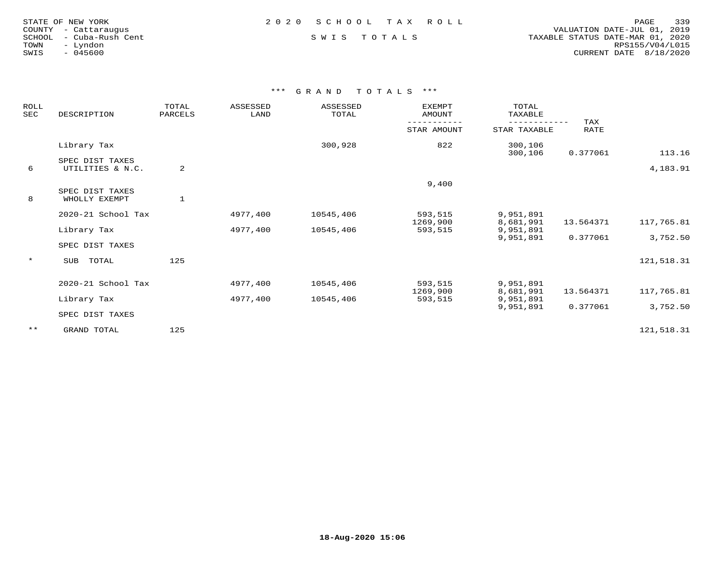| TATE OF NEW YORK    |                  |
|---------------------|------------------|
| OUNTY - Cattaraugus |                  |
| CHOOL               | - Cuba-Rush Cent |
| - Lyndon<br>OWN     |                  |
| $-045600$<br>WIS    |                  |

FRIE OF NEW YORK PORT AND RELOT OF NEW YORK PORT AND RELOT OF NEW YORK COUNTY - Cattaraugus and the country - Cattaraugus country - Cattaraugus and the country - Cattaraugus country - Cattaraugus and the country - Cattarau COUNTY - Cattaraugus VALUATION DATE-JUL 01, 2019 SCHOOL - Cuba-Rush Cent S W I S T O T A L S TAXABLE STATUS DATE-MAR 01, 2020 TOWN - Lyndon RPS155/V04/L015SWIS - 045600 CURRENT DATE 8/18/2020

| ROLL<br>SEC | DESCRIPTION                         | TOTAL<br>PARCELS | ASSESSED<br>LAND | ASSESSED<br>TOTAL | <b>EXEMPT</b><br>AMOUNT | TOTAL<br>TAXABLE<br>---------- | TAX       |            |
|-------------|-------------------------------------|------------------|------------------|-------------------|-------------------------|--------------------------------|-----------|------------|
|             |                                     |                  |                  |                   | STAR AMOUNT             | STAR TAXABLE                   | RATE      |            |
|             | Library Tax                         |                  |                  | 300,928           | 822                     | 300,106<br>300,106             | 0.377061  | 113.16     |
| 6           | SPEC DIST TAXES<br>UTILITIES & N.C. | 2                |                  |                   |                         |                                |           | 4,183.91   |
|             | SPEC DIST TAXES                     |                  |                  |                   | 9,400                   |                                |           |            |
| 8           | WHOLLY EXEMPT                       | $\mathbf{1}$     |                  |                   |                         |                                |           |            |
|             | 2020-21 School Tax                  |                  | 4977,400         | 10545,406         | 593,515<br>1269,900     | 9,951,891<br>8,681,991         | 13.564371 | 117,765.81 |
|             | Library Tax                         |                  | 4977,400         | 10545,406         | 593,515                 | 9,951,891<br>9,951,891         | 0.377061  | 3,752.50   |
|             | SPEC DIST TAXES                     |                  |                  |                   |                         |                                |           |            |
| $\star$     | SUB<br>TOTAL                        | 125              |                  |                   |                         |                                |           | 121,518.31 |
|             | 2020-21 School Tax                  |                  | 4977,400         | 10545,406         | 593,515                 | 9,951,891                      |           |            |
|             | Library Tax                         |                  | 4977,400         | 10545,406         | 1269,900<br>593,515     | 8,681,991<br>9,951,891         | 13.564371 | 117,765.81 |
|             | SPEC DIST TAXES                     |                  |                  |                   |                         | 9,951,891                      | 0.377061  | 3,752.50   |
| $***$       | GRAND TOTAL                         | 125              |                  |                   |                         |                                |           | 121,518.31 |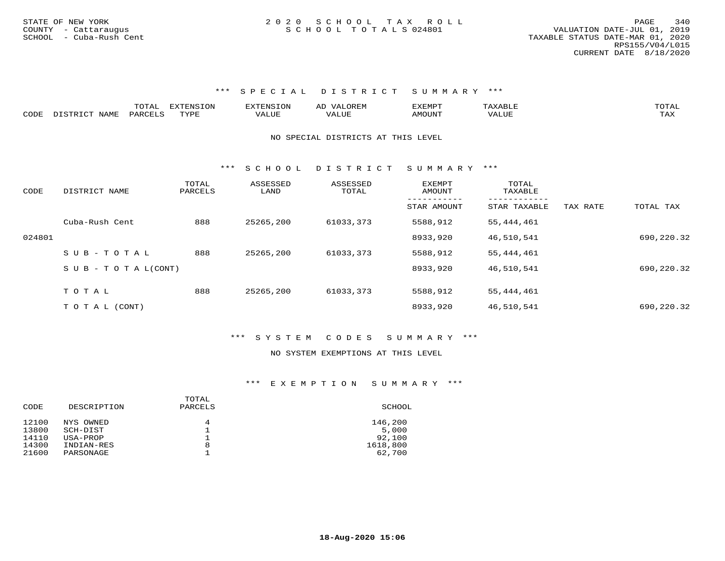|      |                  | TOTAL   | <b>EXTENSION</b> | <b>EXTENSION</b> | <b>OREM</b><br>AL    | <b>תרואה לי</b><br>שש∆באב |        | TOTAL |
|------|------------------|---------|------------------|------------------|----------------------|---------------------------|--------|-------|
| CODE | DISTRICT<br>NAME | PARCELS | TVDF             |                  | $\Delta$<br>ن ۱ سالۍ | <b>MOTINT</b><br>UUN      | VALUE. | -∽∡   |

### NO SPECIAL DISTRICTS AT THIS LEVEL

\*\*\* S C H O O L D I S T R I C T S U M M A R Y \*\*\*

| CODE   | DISTRICT NAME                    | TOTAL<br>PARCELS | ASSESSED<br>LAND | ASSESSED<br>TOTAL | <b>EXEMPT</b><br>AMOUNT | TOTAL<br>TAXABLE |          |            |
|--------|----------------------------------|------------------|------------------|-------------------|-------------------------|------------------|----------|------------|
|        |                                  |                  |                  |                   | STAR AMOUNT             | STAR TAXABLE     | TAX RATE | TOTAL TAX  |
|        | Cuba-Rush Cent                   | 888              | 25265,200        | 61033,373         | 5588,912                | 55,444,461       |          |            |
| 024801 |                                  |                  |                  |                   | 8933,920                | 46,510,541       |          | 690,220.32 |
|        | $SUB - TO TAL$                   | 888              | 25265,200        | 61033,373         | 5588,912                | 55,444,461       |          |            |
|        | $S \cup B - T \cup T A L (CONT)$ |                  |                  |                   | 8933,920                | 46,510,541       |          | 690,220.32 |
|        |                                  |                  |                  |                   |                         |                  |          |            |
|        | TOTAL                            | 888              | 25265,200        | 61033,373         | 5588,912                | 55, 444, 461     |          |            |
|        | T O T A L (CONT)                 |                  |                  |                   | 8933,920                | 46,510,541       |          | 690,220.32 |

### \*\*\* S Y S T E M C O D E S S U M M A R Y \*\*\*

### NO SYSTEM EXEMPTIONS AT THIS LEVEL

| CODE  | DESCRIPTION | TOTAL<br>PARCELS | SCHOOL   |
|-------|-------------|------------------|----------|
| 12100 | NYS OWNED   | 4                | 146,200  |
| 13800 | SCH-DIST    |                  | 5,000    |
| 14110 | USA-PROP    |                  | 92,100   |
| 14300 | INDIAN-RES  | 8                | 1618,800 |
| 21600 | PARSONAGE   |                  | 62,700   |
|       |             |                  |          |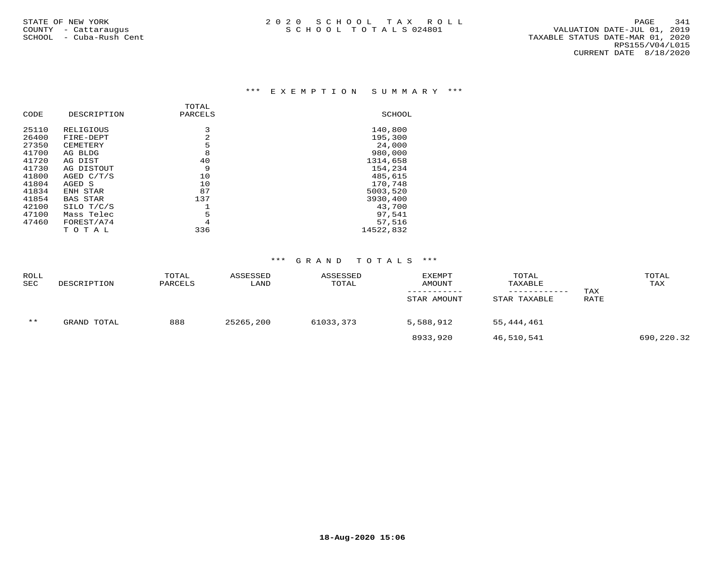### \*\*\* E X E M P T I O N S U M M A R Y \*\*\*

|       |                 | TOTAL   |           |
|-------|-----------------|---------|-----------|
| CODE  | DESCRIPTION     | PARCELS | SCHOOL    |
| 25110 | RELIGIOUS       | 3       | 140,800   |
| 26400 | FIRE-DEPT       | 2       | 195,300   |
| 27350 | CEMETERY        | 5       | 24,000    |
| 41700 | AG BLDG         | 8       | 980,000   |
| 41720 | AG DIST         | 40      | 1314,658  |
| 41730 | AG DISTOUT      | 9       | 154,234   |
| 41800 | AGED C/T/S      | 10      | 485,615   |
| 41804 | AGED S          | 10      | 170,748   |
| 41834 | ENH STAR        | 87      | 5003,520  |
| 41854 | <b>BAS STAR</b> | 137     | 3930,400  |
| 42100 | SILO T/C/S      |         | 43,700    |
| 47100 | Mass Telec      | 5       | 97,541    |
| 47460 | FOREST/A74      | 4       | 57,516    |
|       | TOTAL           | 336     | 14522,832 |

| <b>ROLL</b><br><b>SEC</b> | DESCRIPTION | TOTAL<br>PARCELS | ASSESSED<br>LAND | ASSESSED<br>TOTAL | <b>EXEMPT</b><br><b>AMOUNT</b><br>STAR AMOUNT | TOTAL<br>TAXABLE<br>STAR TAXABLE | TAX<br>RATE | TOTAL<br>TAX |
|---------------------------|-------------|------------------|------------------|-------------------|-----------------------------------------------|----------------------------------|-------------|--------------|
| $***$                     | GRAND TOTAL | 888              | 25265,200        | 61033,373         | 5,588,912                                     | 55,444,461                       |             |              |
|                           |             |                  |                  |                   | 8933,920                                      | 46,510,541                       |             | 690,220.32   |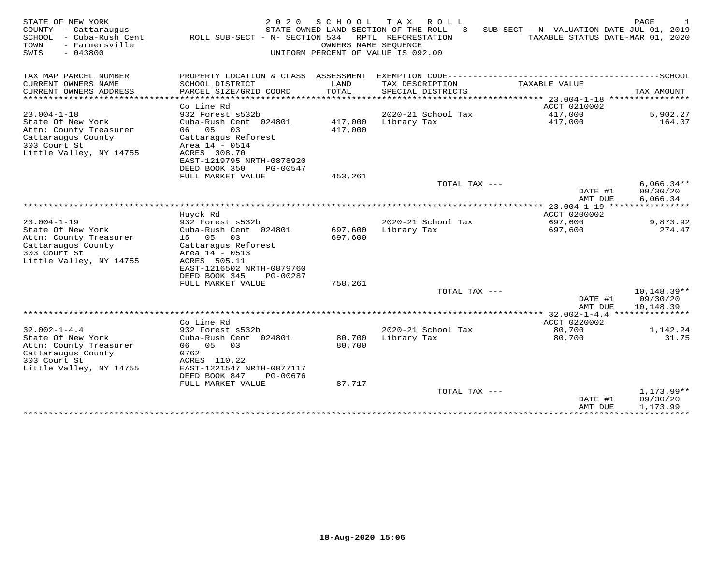| STATE OF NEW YORK<br>COUNTY<br>- Cattaraugus<br>SCHOOL<br>- Cuba-Rush Cent<br>- Farmersville<br>TOWN<br>SWIS<br>$-043800$ | 2 0 2 0<br>ROLL SUB-SECT - N- SECTION 534        | S C H O O L<br>OWNERS NAME SEQUENCE | T A X<br>ROLL<br>STATE OWNED LAND SECTION OF THE ROLL - 3<br>RPTL REFORESTATION<br>UNIFORM PERCENT OF VALUE IS 092.00 | SUB-SECT - N VALUATION DATE-JUL 01, 2019   | PAGE<br>TAXABLE STATUS DATE-MAR 01, 2020 |
|---------------------------------------------------------------------------------------------------------------------------|--------------------------------------------------|-------------------------------------|-----------------------------------------------------------------------------------------------------------------------|--------------------------------------------|------------------------------------------|
| TAX MAP PARCEL NUMBER                                                                                                     | PROPERTY LOCATION & CLASS ASSESSMENT             |                                     |                                                                                                                       | EXEMPTION CODE---------------------------- | ------------SCHOOL                       |
| CURRENT OWNERS NAME                                                                                                       | SCHOOL DISTRICT                                  | LAND                                | TAX DESCRIPTION                                                                                                       | TAXABLE VALUE                              |                                          |
| CURRENT OWNERS ADDRESS<br>********************                                                                            | PARCEL SIZE/GRID COORD<br>********************** | TOTAL<br>* * * * * * * * * *        | SPECIAL DISTRICTS                                                                                                     |                                            | TAX AMOUNT<br>****************           |
|                                                                                                                           | Co Line Rd                                       |                                     |                                                                                                                       | ACCT 0210002                               |                                          |
| $23.004 - 1 - 18$                                                                                                         | 932 Forest s532b                                 |                                     | 2020-21 School Tax                                                                                                    | 417,000                                    | 5,902.27                                 |
| State Of New York<br>Attn: County Treasurer                                                                               | Cuba-Rush Cent 024801<br>06<br>05<br>03          | 417,000<br>417,000                  | Library Tax                                                                                                           | 417,000                                    | 164.07                                   |
| Cattaraugus County                                                                                                        | Cattaragus Reforest                              |                                     |                                                                                                                       |                                            |                                          |
| 303 Court St                                                                                                              | Area 14 - 0514                                   |                                     |                                                                                                                       |                                            |                                          |
| Little Valley, NY 14755                                                                                                   | ACRES 308.70<br>EAST-1219795 NRTH-0878920        |                                     |                                                                                                                       |                                            |                                          |
|                                                                                                                           | DEED BOOK 350<br>PG-00547                        |                                     |                                                                                                                       |                                            |                                          |
|                                                                                                                           | FULL MARKET VALUE                                | 453,261                             |                                                                                                                       |                                            |                                          |
|                                                                                                                           |                                                  |                                     | TOTAL TAX ---                                                                                                         | DATE #1                                    | $6,066.34**$<br>09/30/20                 |
|                                                                                                                           |                                                  |                                     |                                                                                                                       | AMT DUE                                    | 6,066.34                                 |
|                                                                                                                           |                                                  |                                     |                                                                                                                       | *** 23.004-1-19                            |                                          |
| $23.004 - 1 - 19$                                                                                                         | Huyck Rd<br>932 Forest s532b                     |                                     | 2020-21 School Tax                                                                                                    | ACCT 0200002<br>697,600                    | 9,873.92                                 |
| State Of New York                                                                                                         | Cuba-Rush Cent 024801                            | 697,600                             | Library Tax                                                                                                           | 697,600                                    | 274.47                                   |
| Attn: County Treasurer                                                                                                    | 15<br>05<br>03                                   | 697,600                             |                                                                                                                       |                                            |                                          |
| Cattaraugus County                                                                                                        | Cattaragus Reforest                              |                                     |                                                                                                                       |                                            |                                          |
| 303 Court St<br>Little Valley, NY 14755                                                                                   | Area 14 - 0513<br>ACRES 505.11                   |                                     |                                                                                                                       |                                            |                                          |
|                                                                                                                           | EAST-1216502 NRTH-0879760                        |                                     |                                                                                                                       |                                            |                                          |
|                                                                                                                           | DEED BOOK 345<br>PG-00287                        |                                     |                                                                                                                       |                                            |                                          |
|                                                                                                                           | FULL MARKET VALUE                                | 758,261                             | TOTAL TAX ---                                                                                                         |                                            | $10,148.39**$                            |
|                                                                                                                           |                                                  |                                     |                                                                                                                       | DATE #1<br>AMT DUE                         | 09/30/20<br>10,148.39                    |
|                                                                                                                           |                                                  |                                     |                                                                                                                       | *** 32.002-1-4.4                           | ************                             |
| $32.002 - 1 - 4.4$                                                                                                        | Co Line Rd<br>932 Forest s532b                   |                                     | 2020-21 School Tax                                                                                                    | ACCT 0220002<br>80,700                     | 1,142.24                                 |
| State Of New York                                                                                                         | Cuba-Rush Cent 024801                            | 80,700                              | Library Tax                                                                                                           | 80,700                                     | 31.75                                    |
| Attn: County Treasurer                                                                                                    | 03<br>06 05                                      | 80,700                              |                                                                                                                       |                                            |                                          |
| Cattaraugus County<br>303 Court St                                                                                        | 0762<br>ACRES 110.22                             |                                     |                                                                                                                       |                                            |                                          |
| Little Valley, NY 14755                                                                                                   | EAST-1221547 NRTH-0877117                        |                                     |                                                                                                                       |                                            |                                          |
|                                                                                                                           | DEED BOOK 847<br>PG-00676                        |                                     |                                                                                                                       |                                            |                                          |
|                                                                                                                           | FULL MARKET VALUE                                | 87,717                              | TOTAL TAX ---                                                                                                         |                                            | $1,173.99**$                             |
|                                                                                                                           |                                                  |                                     |                                                                                                                       | DATE #1<br>AMT DUE                         | 09/30/20<br>1,173.99                     |
|                                                                                                                           |                                                  |                                     |                                                                                                                       | * * * * * * * * * * * * * *                | ********                                 |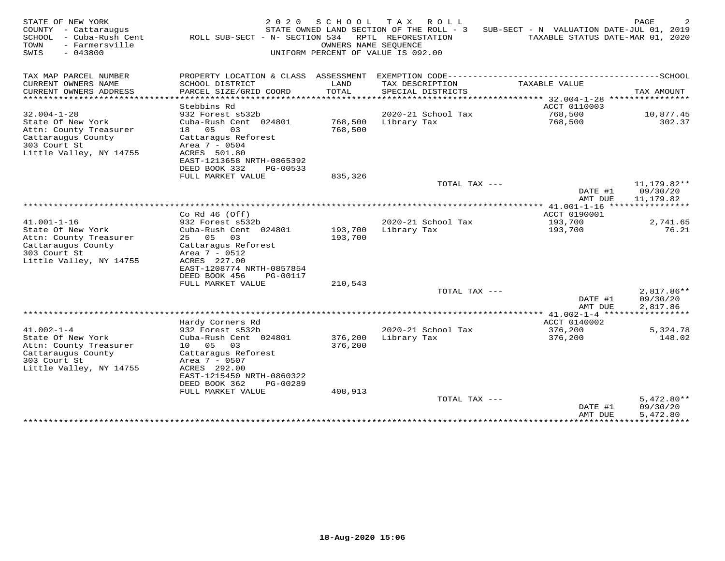| STATE OF NEW YORK<br>COUNTY<br>- Cattaraugus<br>SCHOOL<br>- Cuba-Rush Cent<br>TOWN<br>- Farmersville<br>SWIS<br>$-043800$ | 2 0 2 0<br>ROLL SUB-SECT - N- SECTION 534              | S C H O O L<br>OWNERS NAME SEOUENCE | T A X<br>ROLL<br>STATE OWNED LAND SECTION OF THE ROLL - 3<br>RPTL REFORESTATION<br>UNIFORM PERCENT OF VALUE IS 092.00 | SUB-SECT - N VALUATION DATE-JUL 01, 2019<br>TAXABLE STATUS DATE-MAR 01, 2020 | PAGE                           |
|---------------------------------------------------------------------------------------------------------------------------|--------------------------------------------------------|-------------------------------------|-----------------------------------------------------------------------------------------------------------------------|------------------------------------------------------------------------------|--------------------------------|
| TAX MAP PARCEL NUMBER                                                                                                     | PROPERTY LOCATION & CLASS ASSESSMENT                   |                                     |                                                                                                                       |                                                                              |                                |
| CURRENT OWNERS NAME                                                                                                       | SCHOOL DISTRICT                                        | LAND                                | TAX DESCRIPTION                                                                                                       | TAXABLE VALUE                                                                |                                |
| CURRENT OWNERS ADDRESS<br>********************                                                                            | PARCEL SIZE/GRID COORD<br>.                            | TOTAL<br>*******                    | SPECIAL DISTRICTS                                                                                                     | ******* 32.004-1-28                                                          | TAX AMOUNT<br>**************** |
|                                                                                                                           | Stebbins Rd                                            |                                     |                                                                                                                       | ACCT 0110003                                                                 |                                |
| $32.004 - 1 - 28$<br>State Of New York                                                                                    | 932 Forest s532b<br>Cuba-Rush Cent 024801              | 768,500                             | 2020-21 School Tax<br>Library Tax                                                                                     | 768,500<br>768,500                                                           | 10,877.45<br>302.37            |
| Attn: County Treasurer                                                                                                    | 18 05<br>03                                            | 768,500                             |                                                                                                                       |                                                                              |                                |
| Cattaraugus County<br>303 Court St                                                                                        | Cattaragus Reforest<br>Area 7 - 0504                   |                                     |                                                                                                                       |                                                                              |                                |
| Little Valley, NY 14755                                                                                                   | ACRES 501.80                                           |                                     |                                                                                                                       |                                                                              |                                |
|                                                                                                                           | EAST-1213658 NRTH-0865392<br>DEED BOOK 332<br>PG-00533 |                                     |                                                                                                                       |                                                                              |                                |
|                                                                                                                           | FULL MARKET VALUE                                      | 835,326                             |                                                                                                                       |                                                                              |                                |
|                                                                                                                           |                                                        |                                     | TOTAL TAX ---                                                                                                         | DATE #1                                                                      | 11,179.82**<br>09/30/20        |
|                                                                                                                           |                                                        |                                     |                                                                                                                       | AMT DUE                                                                      | 11,179.82                      |
|                                                                                                                           | Co Rd $46$ (Off)                                       |                                     |                                                                                                                       | ACCT 0190001                                                                 |                                |
| $41.001 - 1 - 16$                                                                                                         | 932 Forest s532b                                       |                                     | 2020-21 School Tax                                                                                                    | 193,700                                                                      | 2,741.65                       |
| State Of New York<br>Attn: County Treasurer                                                                               | Cuba-Rush Cent 024801<br>25 05<br>03                   | 193,700<br>193,700                  | Library Tax                                                                                                           | 193,700                                                                      | 76.21                          |
| Cattaraugus County                                                                                                        | Cattaragus Reforest                                    |                                     |                                                                                                                       |                                                                              |                                |
| 303 Court St<br>Little Valley, NY 14755                                                                                   | Area $7 - 0512$<br>ACRES 227.00                        |                                     |                                                                                                                       |                                                                              |                                |
|                                                                                                                           | EAST-1208774 NRTH-0857854                              |                                     |                                                                                                                       |                                                                              |                                |
|                                                                                                                           | DEED BOOK 456<br>PG-00117                              |                                     |                                                                                                                       |                                                                              |                                |
|                                                                                                                           | FULL MARKET VALUE                                      | 210,543                             | TOTAL TAX ---                                                                                                         |                                                                              | 2,817.86**                     |
|                                                                                                                           |                                                        |                                     |                                                                                                                       | DATE #1                                                                      | 09/30/20                       |
|                                                                                                                           |                                                        |                                     |                                                                                                                       | AMT DUE                                                                      | 2,817.86                       |
|                                                                                                                           | Hardy Corners Rd                                       |                                     |                                                                                                                       | ACCT 0140002                                                                 |                                |
| $41.002 - 1 - 4$<br>State Of New York                                                                                     | 932 Forest s532b<br>Cuba-Rush Cent 024801              | 376,200                             | 2020-21 School Tax<br>Library Tax                                                                                     | 376,200<br>376,200                                                           | 5,324.78<br>148.02             |
| Attn: County Treasurer                                                                                                    | 10 05<br>03                                            | 376,200                             |                                                                                                                       |                                                                              |                                |
| Cattaraugus County<br>303 Court St                                                                                        | Cattaragus Reforest<br>Area 7 - 0507                   |                                     |                                                                                                                       |                                                                              |                                |
| Little Valley, NY 14755                                                                                                   | ACRES 292.00                                           |                                     |                                                                                                                       |                                                                              |                                |
|                                                                                                                           | EAST-1215450 NRTH-0860322<br>DEED BOOK 362<br>PG-00289 |                                     |                                                                                                                       |                                                                              |                                |
|                                                                                                                           | FULL MARKET VALUE                                      | 408,913                             |                                                                                                                       |                                                                              |                                |
|                                                                                                                           |                                                        |                                     | TOTAL TAX ---                                                                                                         | DATE #1                                                                      | $5,472.80**$<br>09/30/20       |
|                                                                                                                           |                                                        |                                     |                                                                                                                       | AMT DUE                                                                      | 5,472.80                       |
|                                                                                                                           |                                                        |                                     |                                                                                                                       | **************                                                               | ***********                    |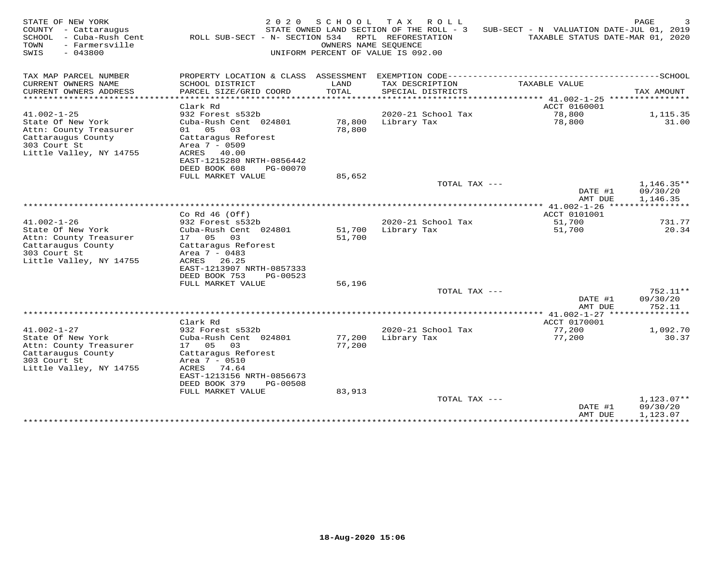| STATE OF NEW YORK<br>COUNTY - Cattaraugus<br>- Cuba-Rush Cent<br>SCHOOL<br>- Farmersville<br>TOWN<br>$-043800$<br>SWIS            | 2 0 2 0<br>ROLL SUB-SECT - N- SECTION 534                                                                                                                                                      | SCHOOL<br>OWNERS NAME SEOUENCE     | T A X<br>R O L L<br>STATE OWNED LAND SECTION OF THE ROLL - 3<br>RPTL REFORESTATION<br>UNIFORM PERCENT OF VALUE IS 092.00 | SUB-SECT - N VALUATION DATE-JUL 01, 2019<br>TAXABLE STATUS DATE-MAR 01, 2020    | PAGE                                 |
|-----------------------------------------------------------------------------------------------------------------------------------|------------------------------------------------------------------------------------------------------------------------------------------------------------------------------------------------|------------------------------------|--------------------------------------------------------------------------------------------------------------------------|---------------------------------------------------------------------------------|--------------------------------------|
| TAX MAP PARCEL NUMBER                                                                                                             | PROPERTY LOCATION & CLASS ASSESSMENT                                                                                                                                                           |                                    |                                                                                                                          |                                                                                 |                                      |
| CURRENT OWNERS NAME<br>CURRENT OWNERS ADDRESS<br>* * * * * * * * * * * * * * * * * * * *                                          | SCHOOL DISTRICT<br>PARCEL SIZE/GRID COORD                                                                                                                                                      | LAND<br>TOTAL<br>* * * * * * * * * | TAX DESCRIPTION<br>SPECIAL DISTRICTS                                                                                     | TAXABLE VALUE                                                                   | TAX AMOUNT                           |
|                                                                                                                                   | Clark Rd                                                                                                                                                                                       |                                    |                                                                                                                          | ********************************* 41.002-1-25 *****************<br>ACCT 0160001 |                                      |
| $41.002 - 1 - 25$                                                                                                                 | 932 Forest s532b                                                                                                                                                                               |                                    | 2020-21 School Tax                                                                                                       | 78,800                                                                          | 1,115.35                             |
| State Of New York<br>Attn: County Treasurer<br>Cattaraugus County<br>303 Court St<br>Little Valley, NY 14755                      | Cuba-Rush Cent 024801<br>01 05<br>03<br>Cattaragus Reforest<br>Area 7 - 0509<br>ACRES 40.00<br>EAST-1215280 NRTH-0856442                                                                       | 78,800<br>78,800                   | Library Tax                                                                                                              | 78,800                                                                          | 31.00                                |
|                                                                                                                                   | DEED BOOK 608<br>PG-00070<br>FULL MARKET VALUE                                                                                                                                                 | 85,652                             |                                                                                                                          |                                                                                 |                                      |
|                                                                                                                                   |                                                                                                                                                                                                |                                    | TOTAL TAX ---                                                                                                            | DATE #1<br>AMT DUE                                                              | $1,146.35**$<br>09/30/20<br>1,146.35 |
|                                                                                                                                   |                                                                                                                                                                                                |                                    |                                                                                                                          |                                                                                 |                                      |
|                                                                                                                                   | Co Rd $46$ (Off)                                                                                                                                                                               |                                    |                                                                                                                          | ACCT 0101001                                                                    |                                      |
| $41.002 - 1 - 26$<br>State Of New York                                                                                            | 932 Forest s532b<br>Cuba-Rush Cent 024801                                                                                                                                                      | 51,700                             | 2020-21 School Tax<br>Library Tax                                                                                        | 51,700<br>51,700                                                                | 731.77<br>20.34                      |
| Attn: County Treasurer<br>Cattaraugus County<br>303 Court St<br>Little Valley, NY 14755                                           | 17 05<br>03<br>Cattaragus Reforest<br>Area 7 - 0483<br>ACRES<br>26.25<br>EAST-1213907 NRTH-0857333<br>DEED BOOK 753<br>PG-00523                                                                | 51,700                             |                                                                                                                          |                                                                                 |                                      |
|                                                                                                                                   | FULL MARKET VALUE                                                                                                                                                                              | 56,196                             |                                                                                                                          |                                                                                 |                                      |
|                                                                                                                                   |                                                                                                                                                                                                |                                    | TOTAL TAX ---                                                                                                            | DATE #1<br>AMT DUE                                                              | $752.11**$<br>09/30/20<br>752.11     |
|                                                                                                                                   |                                                                                                                                                                                                |                                    |                                                                                                                          |                                                                                 | * * * * * * * * * *                  |
|                                                                                                                                   | Clark Rd                                                                                                                                                                                       |                                    |                                                                                                                          | ACCT 0170001                                                                    |                                      |
| $41.002 - 1 - 27$<br>State Of New York<br>Attn: County Treasurer<br>Cattaraugus County<br>303 Court St<br>Little Valley, NY 14755 | 932 Forest s532b<br>Cuba-Rush Cent 024801<br>17 05<br>03<br>Cattaraqus Reforest<br>Area 7 - 0510<br>ACRES 74.64<br>EAST-1213156 NRTH-0856673<br>DEED BOOK 379<br>PG-00508<br>FULL MARKET VALUE | 77,200<br>77,200<br>83,913         | 2020-21 School Tax<br>Library Tax                                                                                        | 77,200<br>77,200                                                                | 1,092.70<br>30.37                    |
|                                                                                                                                   |                                                                                                                                                                                                |                                    | TOTAL TAX ---                                                                                                            |                                                                                 | $1,123.07**$                         |
|                                                                                                                                   |                                                                                                                                                                                                |                                    |                                                                                                                          | DATE #1<br>AMT DUE<br>***************                                           | 09/30/20<br>1,123.07<br>***********  |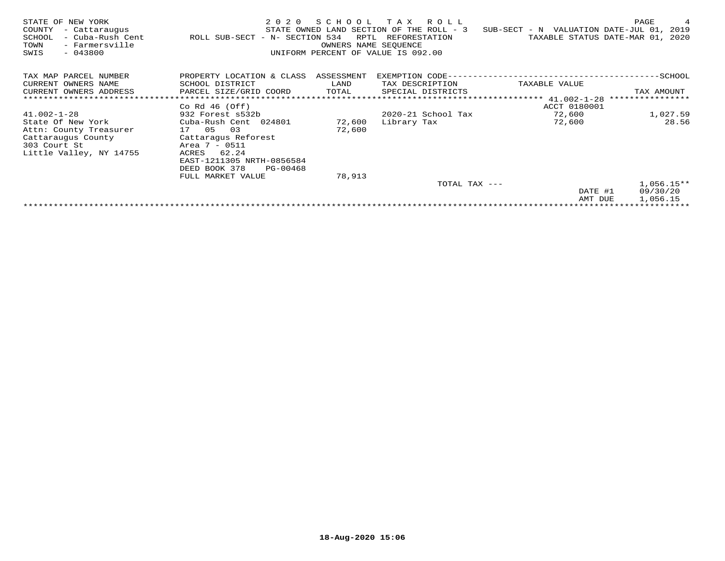| STATE OF NEW YORK<br>COUNTY<br>- Cattaraugus<br>- Cuba-Rush Cent<br>SCHOOL<br>TOWN<br>- Farmersville<br>$-043800$<br>SWIS | 2 0 2 0<br>ROLL SUB-SECT - N- SECTION 534 | SCHOOL<br>RPTL<br>OWNERS NAME SEOUENCE | TAX ROLL<br>STATE OWNED LAND SECTION OF THE ROLL - 3<br>REFORESTATION<br>UNIFORM PERCENT OF VALUE IS 092.00 | SUB-SECT - N VALUATION DATE-JUL 01, 2019 | PAGE<br>4<br>TAXABLE STATUS DATE-MAR 01, 2020 |
|---------------------------------------------------------------------------------------------------------------------------|-------------------------------------------|----------------------------------------|-------------------------------------------------------------------------------------------------------------|------------------------------------------|-----------------------------------------------|
| TAX MAP PARCEL NUMBER                                                                                                     | PROPERTY LOCATION & CLASS ASSESSMENT      |                                        |                                                                                                             |                                          |                                               |
| CURRENT OWNERS NAME                                                                                                       | SCHOOL DISTRICT                           | LAND                                   | TAX DESCRIPTION                                                                                             | TAXABLE VALUE                            |                                               |
| CURRENT OWNERS ADDRESS                                                                                                    | PARCEL SIZE/GRID COORD                    | TOTAL                                  | SPECIAL DISTRICTS                                                                                           |                                          | TAX AMOUNT                                    |
| ******************************                                                                                            |                                           |                                        |                                                                                                             | ********************* 41.002-1-28        | ****************                              |
|                                                                                                                           | Co Rd $46$ (Off)                          |                                        |                                                                                                             | ACCT 0180001                             |                                               |
| $41.002 - 1 - 28$                                                                                                         | 932 Forest s532b                          |                                        | 2020-21 School Tax                                                                                          | 72,600                                   | 1,027.59                                      |
| State Of New York                                                                                                         | Cuba-Rush Cent 024801                     | 72,600                                 | Library Tax                                                                                                 | 72,600                                   | 28.56                                         |
| Attn: County Treasurer                                                                                                    | 17 05<br>03                               | 72,600                                 |                                                                                                             |                                          |                                               |
| Cattaraugus County                                                                                                        | Cattaragus Reforest                       |                                        |                                                                                                             |                                          |                                               |
| 303 Court St                                                                                                              | Area 7 - 0511                             |                                        |                                                                                                             |                                          |                                               |
| Little Valley, NY 14755                                                                                                   | 62.24<br>ACRES                            |                                        |                                                                                                             |                                          |                                               |
|                                                                                                                           | EAST-1211305 NRTH-0856584                 |                                        |                                                                                                             |                                          |                                               |
|                                                                                                                           | DEED BOOK 378<br>PG-00468                 |                                        |                                                                                                             |                                          |                                               |
|                                                                                                                           | FULL MARKET VALUE                         | 78,913                                 |                                                                                                             |                                          |                                               |
|                                                                                                                           |                                           |                                        | TOTAL TAX ---                                                                                               |                                          | $1,056.15**$                                  |
|                                                                                                                           |                                           |                                        |                                                                                                             | DATE #1                                  | 09/30/20                                      |
|                                                                                                                           |                                           |                                        |                                                                                                             | AMT DUE                                  | 1,056.15                                      |
|                                                                                                                           |                                           |                                        |                                                                                                             |                                          |                                               |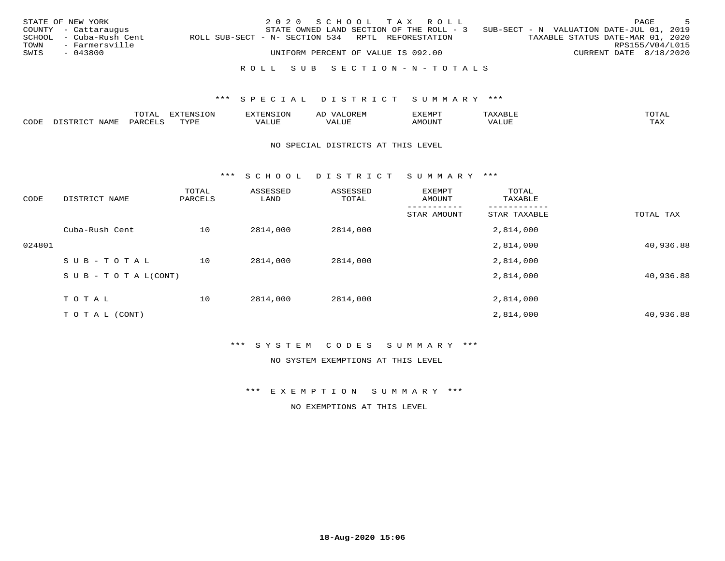|      | STATE OF NEW YORK       |                                                   | 2020 SCHOOL TAX ROLL |                                    |                           |                                                                                   |                        | PAGE | - 5 |
|------|-------------------------|---------------------------------------------------|----------------------|------------------------------------|---------------------------|-----------------------------------------------------------------------------------|------------------------|------|-----|
|      | COUNTY - Cattaraugus    |                                                   |                      |                                    |                           | STATE OWNED LAND SECTION OF THE ROLL - 3 SUB-SECT - N VALUATION DATE-JUL 01, 2019 |                        |      |     |
|      | SCHOOL - Cuba-Rush Cent | ROLL SUB-SECT - N- SECTION 534 RPTL REFORESTATION |                      |                                    |                           | TAXABLE STATUS DATE-MAR 01, 2020                                                  |                        |      |     |
|      | TOWN - Farmersville     |                                                   |                      |                                    |                           |                                                                                   | RPS155/V04/L015        |      |     |
| SWIS | - 043800                |                                                   |                      | UNIFORM PERCENT OF VALUE IS 092.00 |                           |                                                                                   | CURRENT DATE 8/18/2020 |      |     |
|      |                         |                                                   |                      |                                    |                           |                                                                                   |                        |      |     |
|      |                         |                                                   |                      |                                    | ROLL SUB SECTION-N-TOTALS |                                                                                   |                        |      |     |

|      | $m \wedge m$<br>A <sub>1</sub> | $1 + 0.17$ | י הרב הזגרות מזי<br>HUND<br>∟∪⊥ | OREN.<br>$\sqrt{2}$<br>АĽ |      |         | TOMX<br>+ + |
|------|--------------------------------|------------|---------------------------------|---------------------------|------|---------|-------------|
| CODE | . .                            | TVD.       | ALUE                            | 1 U J F                   | טו ב | $V_{A}$ | max<br>ᄕᅎᅜ  |

### NO SPECIAL DISTRICTS AT THIS LEVEL

\*\*\* S C H O O L D I S T R I C T S U M M A R Y \*\*\*

| CODE   | DISTRICT NAME                    | TOTAL<br>PARCELS | ASSESSED<br>LAND | ASSESSED<br>TOTAL | EXEMPT<br>AMOUNT | TOTAL<br>TAXABLE |           |
|--------|----------------------------------|------------------|------------------|-------------------|------------------|------------------|-----------|
|        |                                  |                  |                  |                   | STAR AMOUNT      | STAR TAXABLE     | TOTAL TAX |
|        | Cuba-Rush Cent                   | 10               | 2814,000         | 2814,000          |                  | 2,814,000        |           |
| 024801 |                                  |                  |                  |                   |                  | 2,814,000        | 40,936.88 |
|        | SUB-TOTAL                        | 10               | 2814,000         | 2814,000          |                  | 2,814,000        |           |
|        | $S \cup B - T \cup T A L (CONT)$ |                  |                  |                   |                  | 2,814,000        | 40,936.88 |
|        | TOTAL                            | 10               | 2814,000         | 2814,000          |                  | 2,814,000        |           |
|        | T O T A L (CONT)                 |                  |                  |                   |                  | 2,814,000        | 40,936.88 |

\*\*\* S Y S T E M C O D E S S U M M A R Y \*\*\*

NO SYSTEM EXEMPTIONS AT THIS LEVEL

\*\*\* E X E M P T I O N S U M M A R Y \*\*\*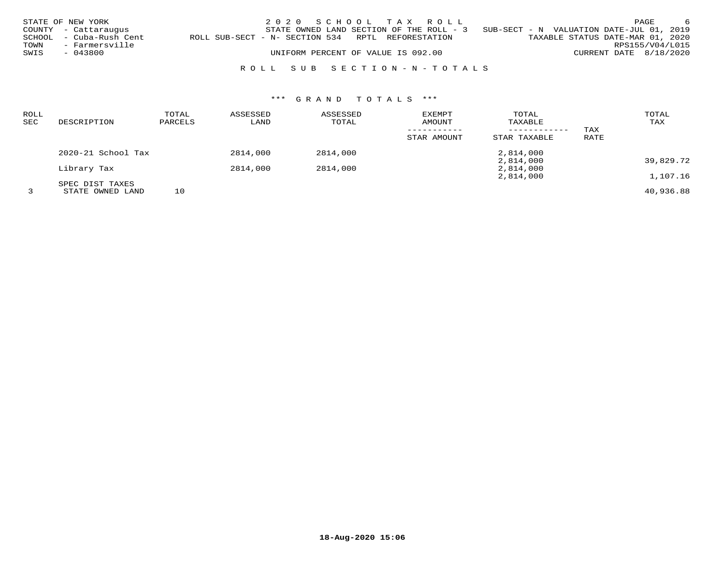|      | STATE OF NEW YORK       |                                                   | 2020 SCHOOL TAX ROLL                     |  |  |                                          |                                  |                        | PAGE | - 6 |
|------|-------------------------|---------------------------------------------------|------------------------------------------|--|--|------------------------------------------|----------------------------------|------------------------|------|-----|
|      | COUNTY - Cattaraugus    |                                                   | STATE OWNED LAND SECTION OF THE ROLL - 3 |  |  | SUB-SECT - N VALUATION DATE-JUL 01, 2019 |                                  |                        |      |     |
|      | SCHOOL - Cuba-Rush Cent | ROLL SUB-SECT - N- SECTION 534 RPTL REFORESTATION |                                          |  |  |                                          | TAXABLE STATUS DATE-MAR 01, 2020 |                        |      |     |
| TOWN | - Farmersville          |                                                   |                                          |  |  |                                          |                                  | RPS155/V04/L015        |      |     |
| SWIS | - 043800                |                                                   | UNIFORM PERCENT OF VALUE IS 092.00       |  |  |                                          |                                  | CURRENT DATE 8/18/2020 |      |     |
|      |                         |                                                   |                                          |  |  |                                          |                                  |                        |      |     |

# R O L L S U B S E C T I O N - N - T O T A L S

| ROLL |                        | TOTAL   | ASSESSED | ASSESSED | <b>EXEMPT</b> | TOTAL        |      | TOTAL     |
|------|------------------------|---------|----------|----------|---------------|--------------|------|-----------|
| SEC  | DESCRIPTION            | PARCELS | LAND     | TOTAL    | AMOUNT        | TAXABLE      |      | TAX       |
|      |                        |         |          |          |               |              | TAX  |           |
|      |                        |         |          |          | STAR AMOUNT   | STAR TAXABLE | RATE |           |
|      | $2020 - 21$ School Tax |         | 2814,000 | 2814,000 |               | 2,814,000    |      |           |
|      |                        |         |          |          |               | 2,814,000    |      | 39,829.72 |
|      | Library Tax            |         | 2814,000 | 2814,000 |               | 2,814,000    |      |           |
|      |                        |         |          |          |               | 2,814,000    |      | 1,107.16  |
|      | SPEC DIST TAXES        |         |          |          |               |              |      |           |
|      | STATE OWNED LAND       | 10      |          |          |               |              |      | 40,936.88 |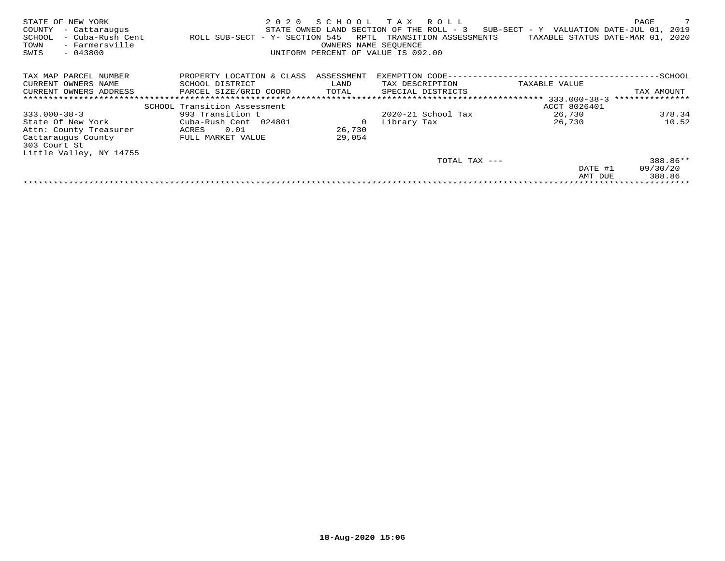| NEW YORK<br>STATE OF<br>COUNTY<br>- Cattaraugus<br>- Cuba-Rush Cent<br>SCHOOL<br>- Farmersville<br>TOWN<br>$-043800$<br>SWIS | 2020<br>ROLL SUB-SECT - Y- SECTION 545 | SCHOOL<br>RPTL<br>OWNERS NAME SEOUENCE | T A X<br>R O L L<br>STATE OWNED LAND SECTION OF THE ROLL - 3<br>TRANSITION ASSESSMENTS<br>UNIFORM PERCENT OF VALUE IS 092.00 | SUB-SECT - Y VALUATION DATE-JUL 01,<br>TAXABLE STATUS DATE-MAR 01, 2020 | 7<br>PAGE<br>2019 |
|------------------------------------------------------------------------------------------------------------------------------|----------------------------------------|----------------------------------------|------------------------------------------------------------------------------------------------------------------------------|-------------------------------------------------------------------------|-------------------|
| TAX MAP PARCEL NUMBER                                                                                                        | PROPERTY LOCATION & CLASS              | ASSESSMENT                             | EXEMPTION CODE--                                                                                                             |                                                                         | -SCHOOL           |
| CURRENT OWNERS NAME                                                                                                          | SCHOOL DISTRICT                        | LAND                                   | TAX DESCRIPTION                                                                                                              | TAXABLE VALUE                                                           |                   |
| CURRENT OWNERS ADDRESS                                                                                                       | PARCEL SIZE/GRID COORD                 | TOTAL                                  | SPECIAL DISTRICTS                                                                                                            |                                                                         | TAX AMOUNT        |
|                                                                                                                              |                                        |                                        |                                                                                                                              | ****************************** 333.000-38-3                             | ***************   |
|                                                                                                                              | SCHOOL Transition Assessment           |                                        |                                                                                                                              | ACCT 8026401                                                            |                   |
| $333.000 - 38 - 3$                                                                                                           | 993 Transition t                       |                                        | $2020 - 21$ School Tax                                                                                                       | 26,730                                                                  | 378.34            |
| State Of New York                                                                                                            | Cuba-Rush Cent 024801                  |                                        | Library Tax                                                                                                                  | 26,730                                                                  | 10.52             |
| Attn: County Treasurer                                                                                                       | 0.01<br>ACRES                          | 26,730                                 |                                                                                                                              |                                                                         |                   |
| Cattaraugus County                                                                                                           | FULL MARKET VALUE                      | 29,054                                 |                                                                                                                              |                                                                         |                   |
| 303 Court St                                                                                                                 |                                        |                                        |                                                                                                                              |                                                                         |                   |
| Little Valley, NY 14755                                                                                                      |                                        |                                        |                                                                                                                              |                                                                         |                   |
|                                                                                                                              |                                        |                                        | TOTAL TAX ---                                                                                                                |                                                                         | 388.86**          |
|                                                                                                                              |                                        |                                        |                                                                                                                              | DATE #1                                                                 | 09/30/20          |
|                                                                                                                              |                                        |                                        |                                                                                                                              | AMT DUE                                                                 | 388.86            |
|                                                                                                                              |                                        |                                        |                                                                                                                              |                                                                         |                   |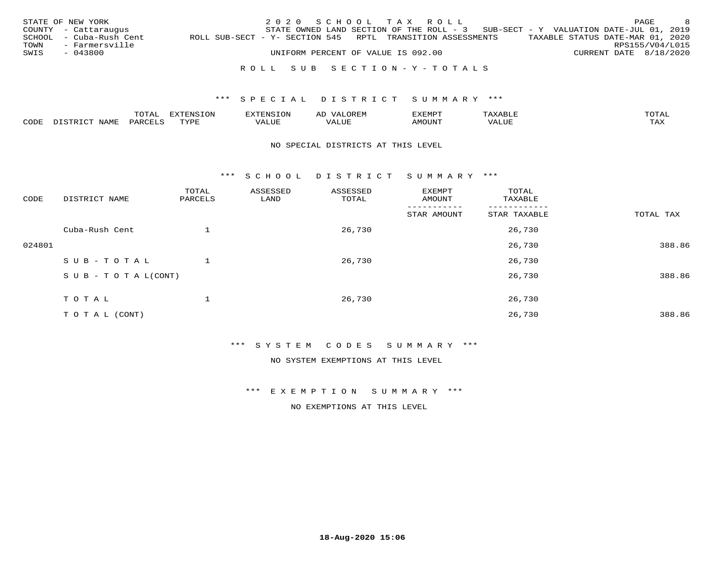|      | STATE OF NEW YORK       |                                                            |  |  |                                    | 2020 SCHOOL TAX ROLL      |                                                                                     |                                  | PAGE            | - 8 |
|------|-------------------------|------------------------------------------------------------|--|--|------------------------------------|---------------------------|-------------------------------------------------------------------------------------|----------------------------------|-----------------|-----|
|      | COUNTY - Cattaraugus    |                                                            |  |  |                                    |                           | STATE OWNED LAND SECTION OF THE ROLL - $3$ SUB-SECT - Y VALUATION DATE-JUL 01, 2019 |                                  |                 |     |
|      | SCHOOL - Cuba-Rush Cent | ROLL SUB-SECT - Y- SECTION 545 RPTL TRANSITION ASSESSMENTS |  |  |                                    |                           |                                                                                     | TAXABLE STATUS DATE-MAR 01, 2020 |                 |     |
|      | TOWN - Farmersville     |                                                            |  |  |                                    |                           |                                                                                     |                                  | RPS155/V04/L015 |     |
| SWIS | - 043800                |                                                            |  |  | UNIFORM PERCENT OF VALUE IS 092.00 |                           |                                                                                     | CURRENT DATE 8/18/2020           |                 |     |
|      |                         |                                                            |  |  |                                    |                           |                                                                                     |                                  |                 |     |
|      |                         |                                                            |  |  |                                    | ROLL SUB SECTION-Y-TOTALS |                                                                                     |                                  |                 |     |

|                                     |      | $\Delta$<br>∸∽ |                  | - - - - | DREM<br>AL |            |             | $T0$ $T0$   |
|-------------------------------------|------|----------------|------------------|---------|------------|------------|-------------|-------------|
| $\sim$ $\sim$ $\sim$ $\sim$<br>⊂ODF | NAMF | PAR.           | <b>TVDL</b><br>. | ALUL    | ⊿∪⊧        | NUC<br>∆M′ | LUE<br>TT A | TAY<br>ᄕᅎᅐᅎ |

### NO SPECIAL DISTRICTS AT THIS LEVEL

\*\*\* S C H O O L D I S T R I C T S U M M A R Y \*\*\*

| CODE   | DISTRICT NAME                    | TOTAL<br>PARCELS | ASSESSED<br>LAND | ASSESSED<br>TOTAL | EXEMPT<br>AMOUNT | TOTAL<br>TAXABLE |           |
|--------|----------------------------------|------------------|------------------|-------------------|------------------|------------------|-----------|
|        |                                  |                  |                  |                   | STAR AMOUNT      | STAR TAXABLE     | TOTAL TAX |
|        | Cuba-Rush Cent                   |                  |                  | 26,730            |                  | 26,730           |           |
| 024801 |                                  |                  |                  |                   |                  | 26,730           | 388.86    |
|        | SUB-TOTAL                        |                  |                  | 26,730            |                  | 26,730           |           |
|        | $S \cup B - T \cup T A L (CONT)$ |                  |                  |                   |                  | 26,730           | 388.86    |
|        | TOTAL                            |                  |                  | 26,730            |                  | 26,730           |           |
|        | T O T A L (CONT)                 |                  |                  |                   |                  | 26,730           | 388.86    |

### \*\*\* S Y S T E M C O D E S S U M M A R Y \*\*\*

NO SYSTEM EXEMPTIONS AT THIS LEVEL

\*\*\* E X E M P T I O N S U M M A R Y \*\*\*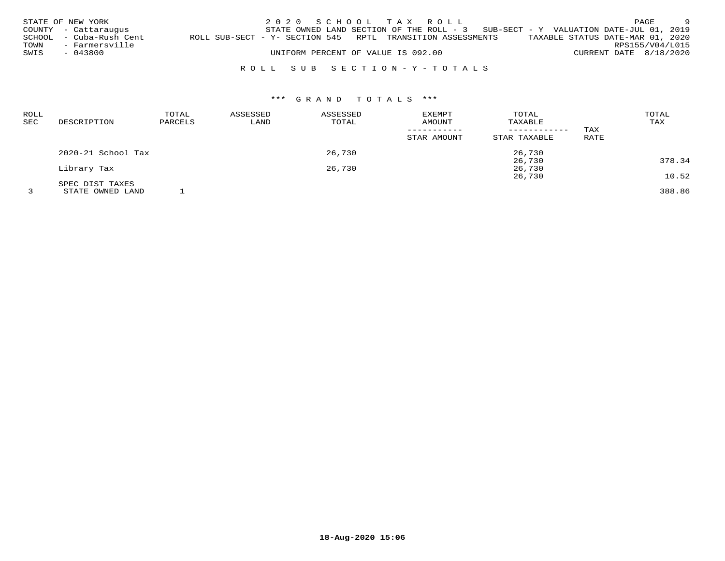|      | STATE OF NEW YORK<br>COUNTY - Cattaraugus |                                                            | 2020 SCHOOL TAX ROLL<br>STATE OWNED LAND SECTION OF THE ROLL - $3$ SUB-SECT - Y VALUATION DATE-JUL 01, 2019 |  |  |  |                                  |                        | PAGE            | - 9 |
|------|-------------------------------------------|------------------------------------------------------------|-------------------------------------------------------------------------------------------------------------|--|--|--|----------------------------------|------------------------|-----------------|-----|
| TOWN | SCHOOL - Cuba-Rush Cent<br>- Farmersville | ROLL SUB-SECT - Y- SECTION 545 RPTL TRANSITION ASSESSMENTS |                                                                                                             |  |  |  | TAXABLE STATUS DATE-MAR 01, 2020 |                        | RPS155/V04/L015 |     |
| SWIS | - 043800                                  |                                                            | UNIFORM PERCENT OF VALUE IS 092.00                                                                          |  |  |  |                                  | CURRENT DATE 8/18/2020 |                 |     |
|      |                                           |                                                            | ROLL SUB SECTION-Y-TOTALS                                                                                   |  |  |  |                                  |                        |                 |     |

| <b>ROLL</b><br><b>SEC</b> | DESCRIPTION        | TOTAL<br>PARCELS | ASSESSED<br>LAND | ASSESSED<br>TOTAL | <b>EXEMPT</b><br>AMOUNT<br>STAR AMOUNT | TOTAL<br>TAXABLE<br>STAR TAXABLE | TAX<br>RATE | TOTAL<br>TAX |
|---------------------------|--------------------|------------------|------------------|-------------------|----------------------------------------|----------------------------------|-------------|--------------|
|                           | 2020-21 School Tax |                  |                  | 26,730            |                                        | 26,730                           |             |              |
|                           |                    |                  |                  |                   |                                        | 26,730                           |             | 378.34       |
|                           | Library Tax        |                  |                  | 26,730            |                                        | 26,730                           |             |              |
|                           |                    |                  |                  |                   |                                        | 26,730                           |             | 10.52        |
|                           | SPEC DIST TAXES    |                  |                  |                   |                                        |                                  |             |              |
|                           | STATE OWNED LAND   |                  |                  |                   |                                        |                                  |             | 388.86       |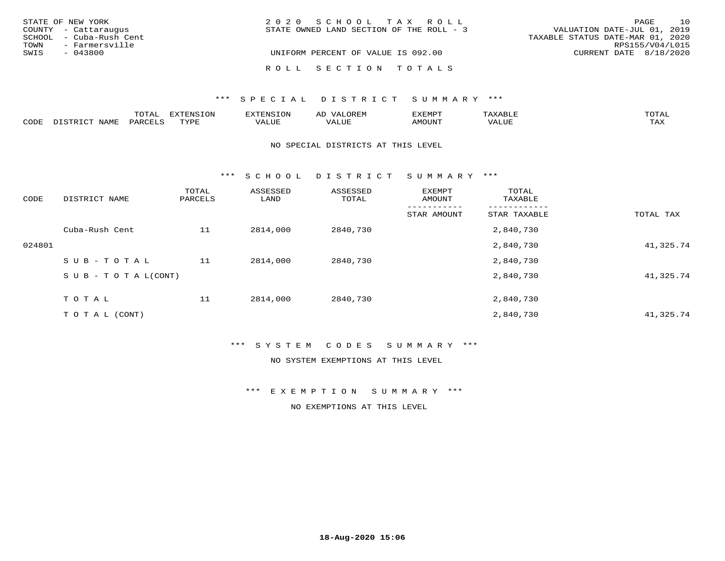|      | STATE OF NEW YORK       | 2020 SCHOOL TAX ROLL                     | PAGE                             | 10 |
|------|-------------------------|------------------------------------------|----------------------------------|----|
|      | COUNTY - Cattaraugus    | STATE OWNED LAND SECTION OF THE ROLL - 3 | VALUATION DATE-JUL 01, 2019      |    |
|      | SCHOOL - Cuba-Rush Cent |                                          | TAXABLE STATUS DATE-MAR 01, 2020 |    |
| TOWN | - Farmersville          |                                          | RPS155/V04/L015                  |    |
| SWIS | - 043800                | UNIFORM PERCENT OF VALUE IS 092.00       | CURRENT DATE 8/18/2020           |    |
|      |                         | ROLL SECTION TOTALS                      |                                  |    |

### \*\*\* SPECIAL DISTRICT SUMMARY \*\*\*

|      |              | $m \wedge m \wedge n$<br>UIAL |                  |       | ΑL  | EXEMPT |                         | ™∩ጥ⊼⊺               |
|------|--------------|-------------------------------|------------------|-------|-----|--------|-------------------------|---------------------|
| CODE | . . <i>.</i> |                               | <b>TVDL</b><br>. | VALUE | LUF | ™UNU^  | $T$ , $T$ , $T$<br>ALUE | $m \times r$<br>⊥⇔∆ |

### NO SPECIAL DISTRICTS AT THIS LEVEL

\*\*\* S C H O O L D I S T R I C T S U M M A R Y \*\*\*

| CODE   | DISTRICT NAME                    | TOTAL<br>PARCELS | ASSESSED<br>LAND | ASSESSED<br>TOTAL | EXEMPT<br>AMOUNT | TOTAL<br>TAXABLE |           |
|--------|----------------------------------|------------------|------------------|-------------------|------------------|------------------|-----------|
|        |                                  |                  |                  |                   | STAR AMOUNT      | STAR TAXABLE     | TOTAL TAX |
|        | Cuba-Rush Cent                   | 11               | 2814,000         | 2840,730          |                  | 2,840,730        |           |
| 024801 |                                  |                  |                  |                   |                  | 2,840,730        | 41,325.74 |
|        | SUB-TOTAL                        | 11               | 2814,000         | 2840,730          |                  | 2,840,730        |           |
|        | $S \cup B - T \cup T A L (CONT)$ |                  |                  |                   |                  | 2,840,730        | 41,325.74 |
|        | T O T A L                        | 11               | 2814,000         | 2840,730          |                  | 2,840,730        |           |
|        | T O T A L (CONT)                 |                  |                  |                   |                  | 2,840,730        | 41,325.74 |

### \*\*\* S Y S T E M C O D E S S U M M A R Y \*\*\*

### NO SYSTEM EXEMPTIONS AT THIS LEVEL

\*\*\* E X E M P T I O N S U M M A R Y \*\*\*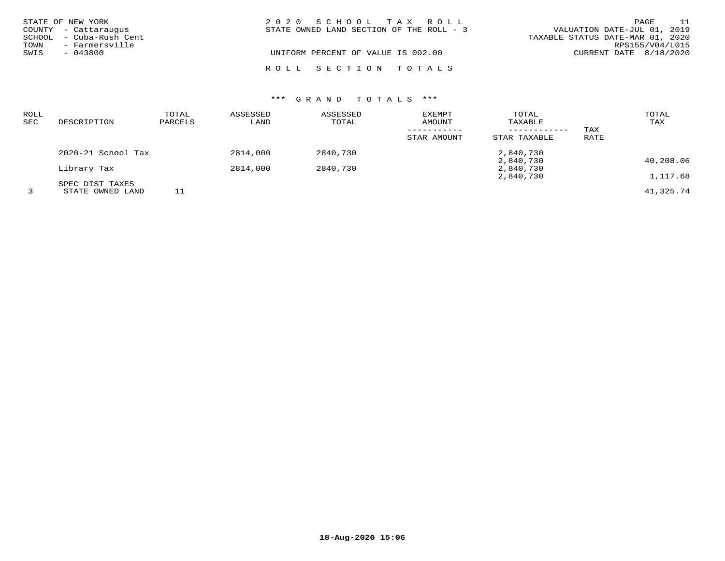|      | STATE OF NEW YORK<br>COUNTY - Cattaraugus | 2020 SCHOOL TAX ROLL<br>VALUATION DATE-JUL 01, 2019<br>STATE OWNED LAND SECTION OF THE ROLL - 3 | PAGE            | - 11 |
|------|-------------------------------------------|-------------------------------------------------------------------------------------------------|-----------------|------|
| TOWN | SCHOOL - Cuba-Rush Cent<br>- Farmersville | TAXABLE STATUS DATE-MAR 01, 2020                                                                | RPS155/V04/L015 |      |
| SWIS | $-043800$                                 | UNIFORM PERCENT OF VALUE IS 092.00<br>CURRENT DATE 8/18/2020                                    |                 |      |
|      |                                           | ROLL SECTION TOTALS                                                                             |                 |      |

| ROLL<br>SEC | DESCRIPTION                         | TOTAL<br>PARCELS | ASSESSED<br>LAND | ASSESSED<br>TOTAL | EXEMPT<br>AMOUNT | TOTAL<br>TAXABLE<br>------------ | TAX  | TOTAL<br>TAX |
|-------------|-------------------------------------|------------------|------------------|-------------------|------------------|----------------------------------|------|--------------|
|             |                                     |                  |                  |                   | STAR AMOUNT      | STAR TAXABLE                     | RATE |              |
|             | 2020-21 School Tax                  |                  | 2814,000         | 2840,730          |                  | 2,840,730                        |      |              |
|             | Library Tax                         |                  | 2814,000         | 2840,730          |                  | 2,840,730<br>2,840,730           |      | 40,208.06    |
|             |                                     |                  |                  |                   |                  | 2,840,730                        |      | 1,117.68     |
|             | SPEC DIST TAXES<br>STATE OWNED LAND |                  |                  |                   |                  |                                  |      | 41,325.74    |

**18-Aug-2020 15:06**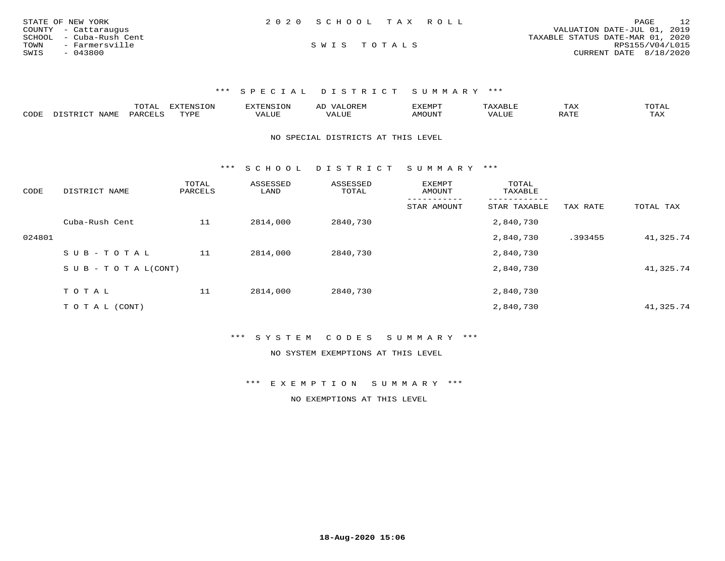| STATE OF NEW YORK       | 2020 SCHOOL TAX ROLL |  | PAGE                             | 12 |
|-------------------------|----------------------|--|----------------------------------|----|
| COUNTY - Cattaraugus    |                      |  | VALUATION DATE-JUL 01, 2019      |    |
| SCHOOL - Cuba-Rush Cent |                      |  | TAXABLE STATUS DATE-MAR 01, 2020 |    |
| TOWN<br>- Farmersville  | SWIS TOTALS          |  | RPS155/V04/L015                  |    |
| SWIS<br>- 043800        |                      |  | CURRENT DATE 8/18/2020           |    |

|      |                   | $\neg \wedge \neg \neg$<br>- JIAP |       | 7NT C              | --       | . .<br>. |  | 70 <sub>m</sub> 7 <sub>r</sub><br>◡⊥▱ |
|------|-------------------|-----------------------------------|-------|--------------------|----------|----------|--|---------------------------------------|
| CODE | $H \cap A \cup B$ | ັບພະ                              | $\pi$ | <u>м д</u><br>JU P | $\cdots$ |          |  | 77 T                                  |

NO SPECIAL DISTRICTS AT THIS LEVEL

\*\*\* S C H O O L D I S T R I C T S U M M A R Y \*\*\*

| CODE   | DISTRICT NAME              | TOTAL<br>PARCELS | ASSESSED<br>LAND | ASSESSED<br>TOTAL | <b>EXEMPT</b><br>AMOUNT | TOTAL<br>TAXABLE |          |           |
|--------|----------------------------|------------------|------------------|-------------------|-------------------------|------------------|----------|-----------|
|        |                            |                  |                  |                   | STAR AMOUNT             | STAR TAXABLE     | TAX RATE | TOTAL TAX |
|        | Cuba-Rush Cent             | 11               | 2814,000         | 2840,730          |                         | 2,840,730        |          |           |
| 024801 |                            |                  |                  |                   |                         | 2,840,730        | .393455  | 41,325.74 |
|        | SUB-TOTAL                  | 11               | 2814,000         | 2840,730          |                         | 2,840,730        |          |           |
|        | S U B - T O T A $L$ (CONT) |                  |                  |                   |                         | 2,840,730        |          | 41,325.74 |
|        |                            |                  |                  |                   |                         |                  |          |           |
|        | TOTAL                      | 11               | 2814,000         | 2840,730          |                         | 2,840,730        |          |           |
|        | T O T A L (CONT)           |                  |                  |                   |                         | 2,840,730        |          | 41,325.74 |

\*\*\* S Y S T E M C O D E S S U M M A R Y \*\*\*

NO SYSTEM EXEMPTIONS AT THIS LEVEL

\*\*\* E X E M P T I O N S U M M A R Y \*\*\*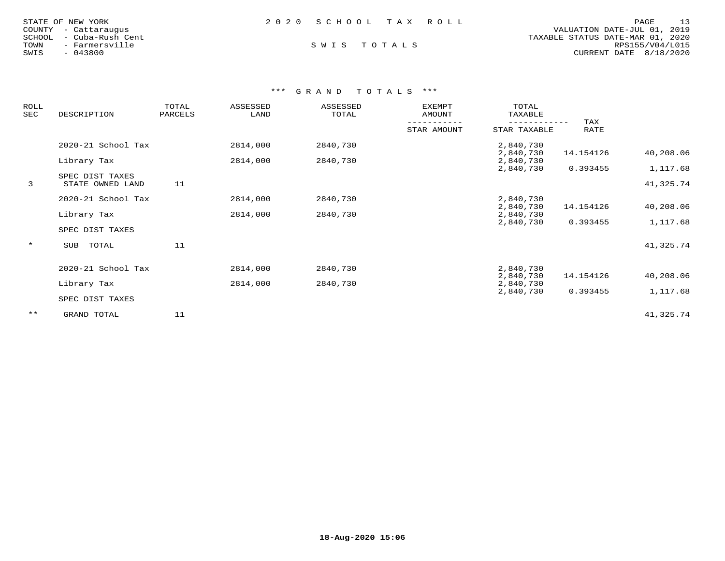| STATE OF NEW YORK       | 2020 SCHOOL TAX ROLL | 13<br>PAGE                       |
|-------------------------|----------------------|----------------------------------|
| COUNTY - Cattaraugus    |                      | VALUATION DATE-JUL 01, 2019      |
| SCHOOL - Cuba-Rush Cent |                      | TAXABLE STATUS DATE-MAR 01, 2020 |
| TOWN<br>- Farmersville  | SWIS TOTALS          | RPS155/V04/L015                  |
| SWIS<br>$-043800$       |                      | CURRENT DATE 8/18/2020           |

| <b>ROLL</b><br>SEC | DESCRIPTION                         | TOTAL<br>PARCELS | ASSESSED<br>LAND | ASSESSED<br>TOTAL | <b>EXEMPT</b><br>AMOUNT | TOTAL<br>TAXABLE       |             |           |
|--------------------|-------------------------------------|------------------|------------------|-------------------|-------------------------|------------------------|-------------|-----------|
|                    |                                     |                  |                  |                   | STAR AMOUNT             | STAR TAXABLE           | TAX<br>RATE |           |
|                    | 2020-21 School Tax                  |                  | 2814,000         | 2840,730          |                         | 2,840,730<br>2,840,730 | 14.154126   | 40,208.06 |
|                    | Library Tax                         |                  | 2814,000         | 2840,730          |                         | 2,840,730<br>2,840,730 | 0.393455    | 1,117.68  |
| 3                  | SPEC DIST TAXES<br>STATE OWNED LAND | 11               |                  |                   |                         |                        |             | 41,325.74 |
|                    | 2020-21 School Tax                  |                  | 2814,000         | 2840,730          |                         | 2,840,730<br>2,840,730 | 14.154126   | 40,208.06 |
|                    | Library Tax                         |                  | 2814,000         | 2840,730          |                         | 2,840,730<br>2,840,730 | 0.393455    | 1,117.68  |
|                    | SPEC DIST TAXES                     |                  |                  |                   |                         |                        |             |           |
| $\star$            | TOTAL<br>SUB                        | 11               |                  |                   |                         |                        |             | 41,325.74 |
|                    | 2020-21 School Tax                  |                  | 2814,000         | 2840,730          |                         | 2,840,730              |             |           |
|                    | Library Tax                         |                  | 2814,000         | 2840,730          |                         | 2,840,730<br>2,840,730 | 14.154126   | 40,208.06 |
|                    | SPEC DIST TAXES                     |                  |                  |                   |                         | 2,840,730              | 0.393455    | 1,117.68  |
| $***$              | GRAND TOTAL                         | 11               |                  |                   |                         |                        |             | 41,325.74 |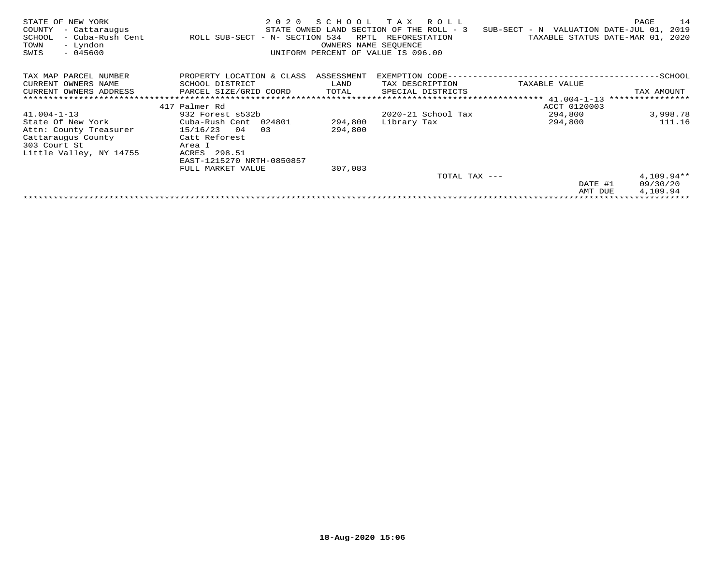| STATE OF NEW YORK<br>COUNTY<br>- Cattaraugus<br>- Cuba-Rush Cent<br>SCHOOL<br>- Lyndon<br>TOWN<br>SWIS<br>$-045600$ | 2 0 2 0<br>ROLL SUB-SECT - N- SECTION 534 | SCHOOL<br>RPTL<br>OWNERS NAME SEQUENCE | T A X<br>R O L L<br>STATE OWNED LAND SECTION OF THE ROLL - 3<br>REFORESTATION<br>UNIFORM PERCENT OF VALUE IS 096.00 | SUB-SECT - N VALUATION DATE-JUL 01,<br>TAXABLE STATUS DATE-MAR 01, | 14<br>PAGE<br>2019<br>2020 |
|---------------------------------------------------------------------------------------------------------------------|-------------------------------------------|----------------------------------------|---------------------------------------------------------------------------------------------------------------------|--------------------------------------------------------------------|----------------------------|
| TAX MAP PARCEL NUMBER                                                                                               | PROPERTY LOCATION & CLASS                 | ASSESSMENT                             | EXEMPTION CODE--                                                                                                    |                                                                    | ------------SCHOOL         |
| CURRENT OWNERS NAME                                                                                                 | SCHOOL DISTRICT                           | LAND                                   | TAX DESCRIPTION                                                                                                     | TAXABLE VALUE                                                      |                            |
| CURRENT OWNERS ADDRESS                                                                                              | PARCEL SIZE/GRID COORD                    | TOTAL                                  | SPECIAL DISTRICTS                                                                                                   |                                                                    | TAX AMOUNT                 |
|                                                                                                                     |                                           |                                        |                                                                                                                     | *************** 41.004-1-13                                        | ****************           |
|                                                                                                                     | 417 Palmer Rd                             |                                        |                                                                                                                     | ACCT 0120003                                                       |                            |
| $41.004 - 1 - 13$                                                                                                   | 932 Forest s532b                          |                                        | $2020 - 21$ School Tax                                                                                              | 294,800                                                            | 3,998.78                   |
| State Of New York                                                                                                   | Cuba-Rush Cent<br>024801                  | 294,800                                | Library Tax                                                                                                         | 294,800                                                            | 111.16                     |
| Attn: County Treasurer                                                                                              | 15/16/23<br>04<br>03                      | 294,800                                |                                                                                                                     |                                                                    |                            |
| Cattaraugus County                                                                                                  | Catt Reforest                             |                                        |                                                                                                                     |                                                                    |                            |
| 303 Court St                                                                                                        | Area I                                    |                                        |                                                                                                                     |                                                                    |                            |
| Little Valley, NY 14755                                                                                             | 298.51<br>ACRES                           |                                        |                                                                                                                     |                                                                    |                            |
|                                                                                                                     | EAST-1215270 NRTH-0850857                 |                                        |                                                                                                                     |                                                                    |                            |
|                                                                                                                     | FULL MARKET VALUE                         | 307,083                                |                                                                                                                     |                                                                    |                            |
|                                                                                                                     |                                           |                                        | TOTAL TAX ---                                                                                                       |                                                                    | $4,109.94**$               |
|                                                                                                                     |                                           |                                        |                                                                                                                     | DATE #1                                                            | 09/30/20                   |
|                                                                                                                     |                                           |                                        |                                                                                                                     | AMT DUE                                                            | 4,109.94                   |
|                                                                                                                     |                                           |                                        |                                                                                                                     |                                                                    |                            |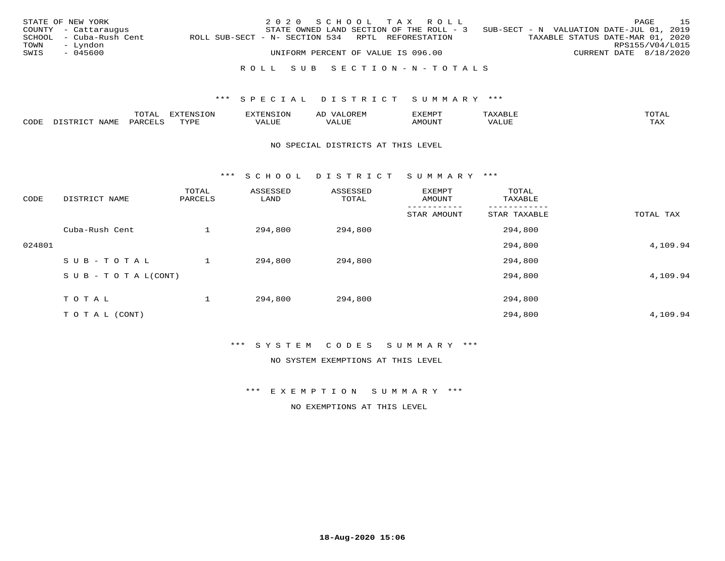|      | STATE OF NEW YORK<br>COUNTY - Cattaraugus |                                                   |  | 2020 SCHOOL TAX ROLL |  | STATE OWNED LAND SECTION OF THE ROLL - 3 |  | SUB-SECT - N VALUATION DATE-JUL 01, 2019 |                        | PAGE | 15 |
|------|-------------------------------------------|---------------------------------------------------|--|----------------------|--|------------------------------------------|--|------------------------------------------|------------------------|------|----|
| TOWN | SCHOOL - Cuba-Rush Cent<br>– Lyndon       | ROLL SUB-SECT - N- SECTION 534 RPTL REFORESTATION |  |                      |  |                                          |  | TAXABLE STATUS DATE-MAR 01, 2020         | RPS155/V04/L015        |      |    |
| SWIS | - 045600                                  | UNIFORM PERCENT OF VALUE IS 096.00                |  |                      |  |                                          |  |                                          | CURRENT DATE 8/18/2020 |      |    |
|      |                                           |                                                   |  |                      |  | ROLL SUB SECTION-N-TOTALS                |  |                                          |                        |      |    |

|      |            | $m \wedge m$  |                                                   | AL<br>$\cdots$ |          | $m \wedge m \wedge n$ |
|------|------------|---------------|---------------------------------------------------|----------------|----------|-----------------------|
| CODE | ــ<br>---- | $\rightarrow$ | $\tau$ $\tau$ $\tau$ $\tau$<br>$77\Delta$<br>ப்பட | UL             | $\cdots$ | $- - - -$             |

### NO SPECIAL DISTRICTS AT THIS LEVEL

\*\*\* S C H O O L D I S T R I C T S U M M A R Y \*\*\*

| CODE   | DISTRICT NAME                    | TOTAL<br>PARCELS | ASSESSED<br>LAND | ASSESSED<br>TOTAL | EXEMPT<br>AMOUNT | TOTAL<br>TAXABLE |           |
|--------|----------------------------------|------------------|------------------|-------------------|------------------|------------------|-----------|
|        |                                  |                  |                  |                   | STAR AMOUNT      | STAR TAXABLE     | TOTAL TAX |
|        | Cuba-Rush Cent                   |                  | 294,800          | 294,800           |                  | 294,800          |           |
| 024801 |                                  |                  |                  |                   |                  | 294,800          | 4,109.94  |
|        | SUB-TOTAL                        |                  | 294,800          | 294,800           |                  | 294,800          |           |
|        | $S \cup B - T \cup T A L (CONT)$ |                  |                  |                   |                  | 294,800          | 4,109.94  |
|        | TOTAL                            |                  | 294,800          | 294,800           |                  | 294,800          |           |
|        | T O T A L (CONT)                 |                  |                  |                   |                  | 294,800          | 4,109.94  |

\*\*\* S Y S T E M C O D E S S U M M A R Y \*\*\*

NO SYSTEM EXEMPTIONS AT THIS LEVEL

\*\*\* E X E M P T I O N S U M M A R Y \*\*\*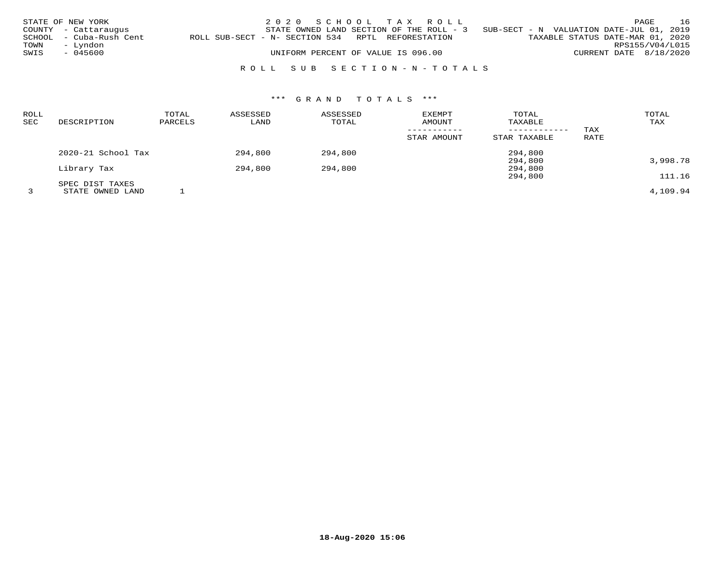|      | STATE OF NEW YORK<br>COUNTY - Cattaraugus |                                                   | 2020 SCHOOL TAX ROLL<br>STATE OWNED LAND SECTION OF THE ROLL - 3 |  |                           | SUB-SECT - N VALUATION DATE-JUL 01, 2019 |                        | PAGE | 16 |
|------|-------------------------------------------|---------------------------------------------------|------------------------------------------------------------------|--|---------------------------|------------------------------------------|------------------------|------|----|
| TOWN | SCHOOL - Cuba-Rush Cent<br>– Lyndon       | ROLL SUB-SECT - N- SECTION 534 RPTL REFORESTATION |                                                                  |  |                           | TAXABLE STATUS DATE-MAR 01, 2020         | RPS155/V04/L015        |      |    |
| SWIS | - 045600                                  |                                                   | UNIFORM PERCENT OF VALUE IS 096.00                               |  |                           |                                          | CURRENT DATE 8/18/2020 |      |    |
|      |                                           |                                                   |                                                                  |  | ROLL SUB SECTION-N-TOTALS |                                          |                        |      |    |

| <b>ROLL</b><br><b>SEC</b> | DESCRIPTION        | TOTAL<br>PARCELS | ASSESSED<br>LAND | ASSESSED<br>TOTAL | <b>EXEMPT</b><br>AMOUNT | TOTAL<br>TAXABLE | TAX  | TOTAL<br>TAX |
|---------------------------|--------------------|------------------|------------------|-------------------|-------------------------|------------------|------|--------------|
|                           |                    |                  |                  |                   | STAR AMOUNT             | STAR TAXABLE     | RATE |              |
|                           | 2020-21 School Tax |                  | 294,800          | 294,800           |                         | 294,800          |      |              |
|                           |                    |                  |                  |                   |                         | 294,800          |      | 3,998.78     |
|                           | Library Tax        |                  | 294,800          | 294,800           |                         | 294,800          |      |              |
|                           |                    |                  |                  |                   |                         | 294,800          |      | 111.16       |
|                           | SPEC DIST TAXES    |                  |                  |                   |                         |                  |      |              |
|                           | STATE OWNED LAND   |                  |                  |                   |                         |                  |      | 4,109.94     |

**18-Aug-2020 15:06**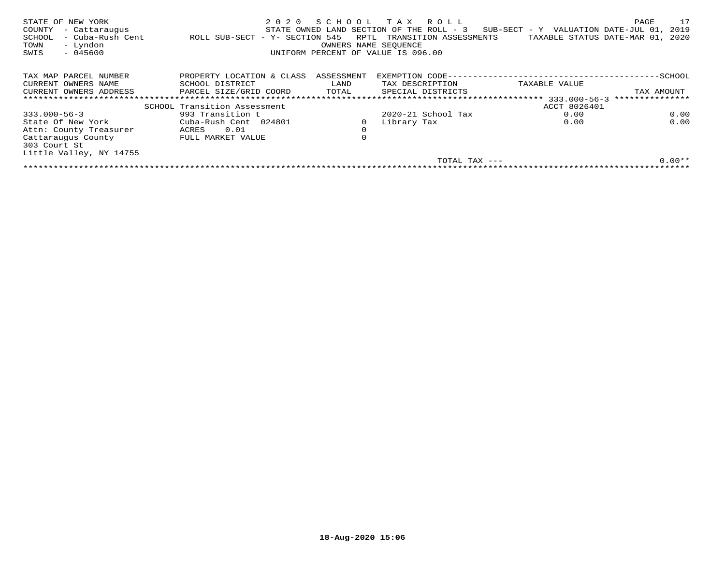| STATE OF NEW YORK<br>COUNTY<br>- Cattaraugus<br>- Cuba-Rush Cent<br>SCHOOL<br>- Lyndon<br>TOWN<br>$-045600$<br>SWIS | 2020<br>ROLL SUB-SECT - Y- SECTION 545 | SCHOOL<br>RPTL<br>OWNERS NAME SEQUENCE | T A X<br>R O L L<br>STATE OWNED LAND SECTION OF THE ROLL - 3<br>TRANSITION ASSESSMENTS<br>UNIFORM PERCENT OF VALUE IS 096.00 | SUB-SECT - Y VALUATION DATE-JUL 01,<br>TAXABLE STATUS DATE-MAR 01, | 17<br>PAGE<br>2019<br>2020 |
|---------------------------------------------------------------------------------------------------------------------|----------------------------------------|----------------------------------------|------------------------------------------------------------------------------------------------------------------------------|--------------------------------------------------------------------|----------------------------|
| TAX MAP PARCEL NUMBER                                                                                               | PROPERTY LOCATION & CLASS              | ASSESSMENT                             | EXEMPTION CODE--                                                                                                             |                                                                    | -SCHOOL                    |
| CURRENT OWNERS NAME                                                                                                 | SCHOOL DISTRICT                        | LAND                                   | TAX DESCRIPTION                                                                                                              | TAXABLE VALUE                                                      |                            |
| CURRENT OWNERS ADDRESS                                                                                              | PARCEL SIZE/GRID COORD                 | TOTAL                                  | SPECIAL DISTRICTS                                                                                                            |                                                                    | TAX AMOUNT                 |
|                                                                                                                     | *************************************  |                                        | ********************************                                                                                             | $333.000 - 56 - 3$                                                 | ***************            |
|                                                                                                                     | SCHOOL Transition Assessment           |                                        |                                                                                                                              | ACCT 8026401                                                       |                            |
| $333.000 - 56 - 3$                                                                                                  | 993 Transition t                       |                                        | $2020 - 21$ School Tax                                                                                                       | 0.00                                                               | 0.00                       |
| State Of New York                                                                                                   | Cuba-Rush Cent 024801                  |                                        | Library Tax                                                                                                                  | 0.00                                                               | 0.00                       |
| Attn: County Treasurer                                                                                              | 0.01<br>ACRES                          | $\mathbf 0$                            |                                                                                                                              |                                                                    |                            |
| Cattaraugus County<br>303 Court St                                                                                  | FULL MARKET VALUE                      | 0                                      |                                                                                                                              |                                                                    |                            |
| Little Valley, NY 14755                                                                                             |                                        |                                        |                                                                                                                              |                                                                    |                            |
|                                                                                                                     |                                        |                                        | TOTAL TAX ---                                                                                                                |                                                                    | $0.00**$                   |
|                                                                                                                     |                                        |                                        |                                                                                                                              |                                                                    |                            |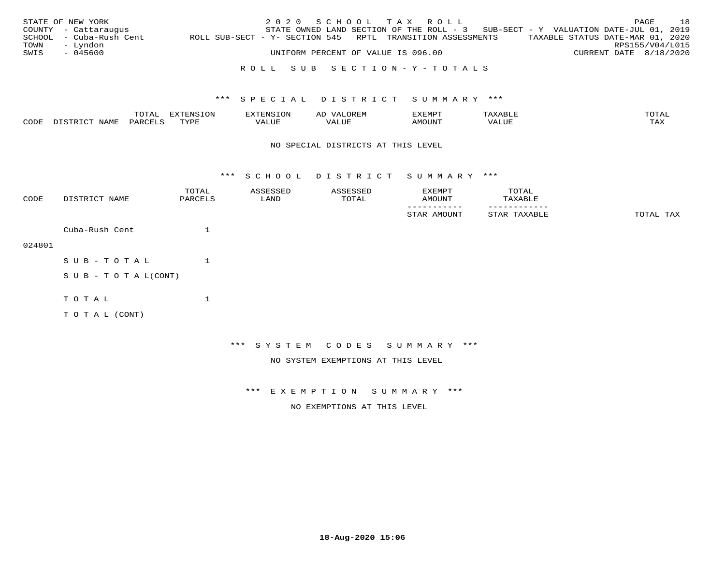|      | STATE OF NEW YORK       |                                                            | 2020 SCHOOL TAX ROLL                                                              |                                    |  |                                  |                        | PAGE            | 18 |
|------|-------------------------|------------------------------------------------------------|-----------------------------------------------------------------------------------|------------------------------------|--|----------------------------------|------------------------|-----------------|----|
|      | COUNTY - Cattaraugus    |                                                            | STATE OWNED LAND SECTION OF THE ROLL - 3 SUB-SECT - Y VALUATION DATE-JUL 01, 2019 |                                    |  |                                  |                        |                 |    |
|      | SCHOOL - Cuba-Rush Cent | ROLL SUB-SECT - Y- SECTION 545 RPTL TRANSITION ASSESSMENTS |                                                                                   |                                    |  | TAXABLE STATUS DATE-MAR 01, 2020 |                        |                 |    |
| TOWN | – Lyndon                |                                                            |                                                                                   |                                    |  |                                  |                        | RPS155/V04/L015 |    |
| SWIS | - 045600                |                                                            |                                                                                   | UNIFORM PERCENT OF VALUE IS 096.00 |  |                                  | CURRENT DATE 8/18/2020 |                 |    |
|      |                         |                                                            |                                                                                   |                                    |  |                                  |                        |                 |    |

## R O L L S U B S E C T I O N - Y - T O T A L S

### \*\*\* S P E C I A L D I S T R I C T S U M M A R Y \*\*\*

|   |     | $m \wedge m \wedge n$ | <b>mirmmar</b> | -----------------<br>$\sim$ | ΑL  | EXEMPT |                             | TOTAT               |
|---|-----|-----------------------|----------------|-----------------------------|-----|--------|-----------------------------|---------------------|
| C | AMI | <u>U A R</u>          | <b>TVDL</b>    |                             | LUF |        | , 7 7 T T T T<br>$\sqrt{2}$ | $m \times r$<br>ᇅᄯᅐ |

### NO SPECIAL DISTRICTS AT THIS LEVEL

\*\*\* S C H O O L D I S T R I C T S U M M A R Y \*\*\*

| CODE   | DISTRICT NAME              | TOTAL<br>PARCELS | ASSESSED<br>LAND | ASSESSED<br>TOTAL                  | EXEMPT<br>AMOUNT         | TOTAL<br>TAXABLE |           |
|--------|----------------------------|------------------|------------------|------------------------------------|--------------------------|------------------|-----------|
|        |                            |                  |                  |                                    | STAR AMOUNT              | STAR TAXABLE     | TOTAL TAX |
|        | Cuba-Rush Cent             | $\mathbf{1}$     |                  |                                    |                          |                  |           |
| 024801 |                            |                  |                  |                                    |                          |                  |           |
|        | SUB-TOTAL                  | $\mathbf{1}$     |                  |                                    |                          |                  |           |
|        | S U B - T O T A $L$ (CONT) |                  |                  |                                    |                          |                  |           |
|        | TOTAL                      | $\mathbf{1}$     |                  |                                    |                          |                  |           |
|        | TO TAL (CONT)              |                  |                  |                                    |                          |                  |           |
|        |                            |                  |                  |                                    |                          |                  |           |
|        |                            |                  | * * *            |                                    | SYSTEM CODES SUMMARY *** |                  |           |
|        |                            |                  |                  | NO SYSTEM EXEMPTIONS AT THIS LEVEL |                          |                  |           |

\*\*\* E X E M P T I O N S U M M A R Y \*\*\*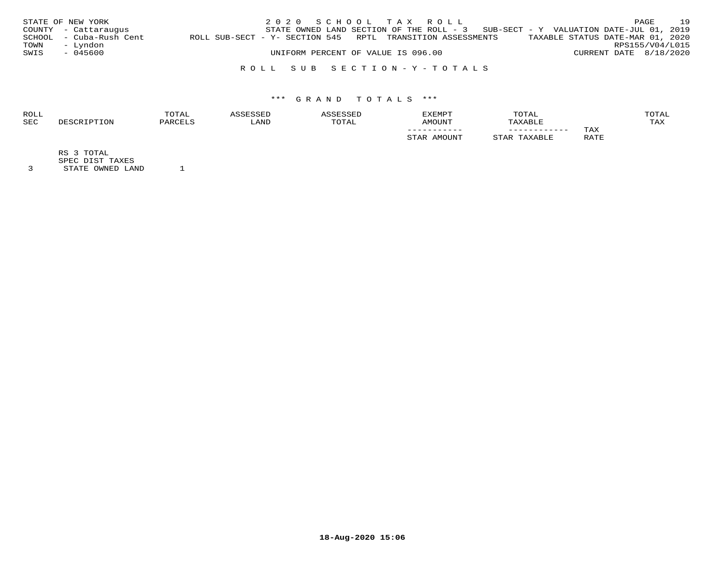|      | STATE OF NEW YORK       |                                                            | 2020 SCHOOL TAX ROLL |                                    |  |                                                                                     |                        | PAGE | 19 |
|------|-------------------------|------------------------------------------------------------|----------------------|------------------------------------|--|-------------------------------------------------------------------------------------|------------------------|------|----|
|      | COUNTY - Cattaraugus    |                                                            |                      |                                    |  | STATE OWNED LAND SECTION OF THE ROLL - $3$ SUB-SECT - Y VALUATION DATE-JUL 01, 2019 |                        |      |    |
|      | SCHOOL - Cuba-Rush Cent | ROLL SUB-SECT - Y- SECTION 545 RPTL TRANSITION ASSESSMENTS |                      |                                    |  | TAXABLE STATUS DATE-MAR 01, 2020                                                    |                        |      |    |
| TOWN | – Lyndon                |                                                            |                      |                                    |  |                                                                                     | RPS155/V04/L015        |      |    |
| SWIS | - 045600                |                                                            |                      | UNIFORM PERCENT OF VALUE IS 096.00 |  |                                                                                     | CURRENT DATE 8/18/2020 |      |    |
|      |                         |                                                            |                      |                                    |  |                                                                                     |                        |      |    |

## R O L L S U B S E C T I O N - Y - T O T A L S

## \*\*\* G R A N D T O T A L S \*\*\*

| <b>ROLL</b> | TOTAL    |       |             | <b>EXEMPT</b>   | TOTAL        |             | OTAL |
|-------------|----------|-------|-------------|-----------------|--------------|-------------|------|
| <b>SEC</b>  | יהור חיי | 'JAND | <b>OTAL</b> | LINIOMA         | XABLE        |             | TAX  |
|             |          |       |             | ___________     | ____________ | TAX         |      |
|             |          |       |             | <b>IMOTTNTT</b> |              | RATE<br>ᅭᅭᅭ |      |

RS 3 TOTAL

SPEC DIST TAXES

3 STATE OWNED LAND 1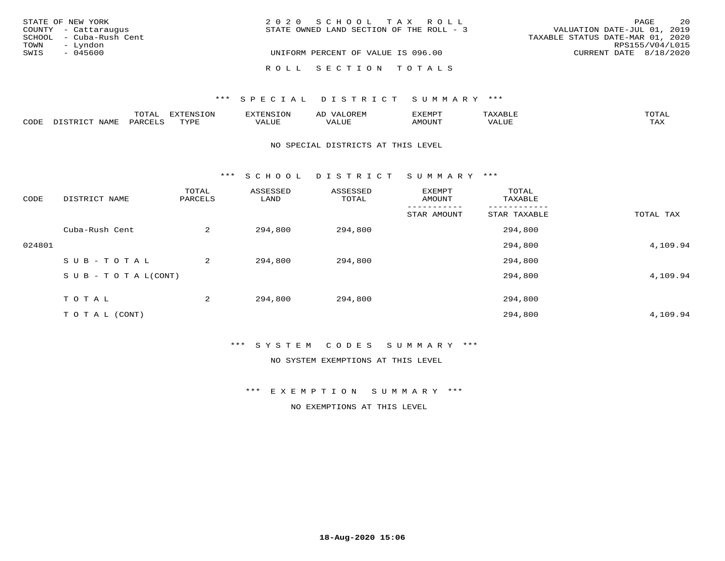| STATE OF NEW YORK       | 2020 SCHOOL TAX ROLL                     | 20<br>PAGE                       |
|-------------------------|------------------------------------------|----------------------------------|
| COUNTY - Cattaraugus    | STATE OWNED LAND SECTION OF THE ROLL - 3 | VALUATION DATE-JUL 01, 2019      |
| SCHOOL - Cuba-Rush Cent |                                          | TAXABLE STATUS DATE-MAR 01, 2020 |
| – Lyndon<br>TOWN        |                                          | RPS155/V04/L015                  |
| SWIS<br>- 045600        | UNIFORM PERCENT OF VALUE IS 096.00       | CURRENT DATE $8/18/2020$         |
|                         | ROLL SECTION TOTALS                      |                                  |

#### \*\*\* S P E C I A L D I S T R I C T S U M M A R Y \*\*\*

|      |                      | m^m3   | --------           | OP | ΑL           | EXEMPT             |                                      | <b>TOTAT</b>       |
|------|----------------------|--------|--------------------|----|--------------|--------------------|--------------------------------------|--------------------|
| CODE | $T \cap T$<br>- 9 TP | UARCET | $\pi$<br>- - - - - |    | T T T<br>പ∪⊧ | ראנזר <sup>.</sup> | 77<br>$\tau$ $\tau \tau \tau$<br>コリア | $m \times r$<br>⊥⊷ |

#### NO SPECIAL DISTRICTS AT THIS LEVEL

\*\*\* S C H O O L D I S T R I C T S U M M A R Y \*\*\*

| CODE   | DISTRICT NAME                    | TOTAL<br>PARCELS | ASSESSED<br>LAND | ASSESSED<br>TOTAL | EXEMPT<br>AMOUNT | TOTAL<br>TAXABLE |           |
|--------|----------------------------------|------------------|------------------|-------------------|------------------|------------------|-----------|
|        |                                  |                  |                  |                   | STAR AMOUNT      | STAR TAXABLE     | TOTAL TAX |
|        | Cuba-Rush Cent                   | 2                | 294,800          | 294,800           |                  | 294,800          |           |
| 024801 |                                  |                  |                  |                   |                  | 294,800          | 4,109.94  |
|        | SUB-TOTAL                        | 2                | 294,800          | 294,800           |                  | 294,800          |           |
|        | $S \cup B - T \cup T A L (CONT)$ |                  |                  |                   |                  | 294,800          | 4,109.94  |
|        | TOTAL                            | 2                | 294,800          | 294,800           |                  | 294,800          |           |
|        | T O T A L (CONT)                 |                  |                  |                   |                  | 294,800          | 4,109.94  |

\*\*\* S Y S T E M C O D E S S U M M A R Y \*\*\*

NO SYSTEM EXEMPTIONS AT THIS LEVEL

\*\*\* E X E M P T I O N S U M M A R Y \*\*\*

NO EXEMPTIONS AT THIS LEVEL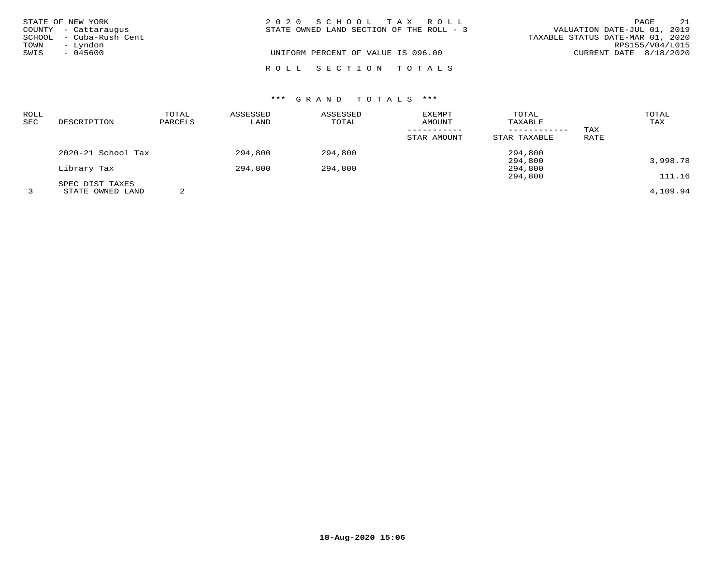|      | STATE OF NEW YORK       | 2020 SCHOOL TAX ROLL                     | 21<br>PAGE                       |
|------|-------------------------|------------------------------------------|----------------------------------|
|      | COUNTY - Cattaraugus    | STATE OWNED LAND SECTION OF THE ROLL - 3 | VALUATION DATE-JUL 01, 2019      |
|      | SCHOOL - Cuba-Rush Cent |                                          | TAXABLE STATUS DATE-MAR 01, 2020 |
| TOWN | - Lyndon                |                                          | RPS155/V04/L015                  |
| SWIS | - 045600                | UNIFORM PERCENT OF VALUE IS 096.00       | CURRENT DATE 8/18/2020           |
|      |                         |                                          |                                  |
|      |                         | ROLL SECTION TOTALS                      |                                  |

# \*\*\* G R A N D T O T A L S \*\*\*

| ROLL<br>SEC | DESCRIPTION                         | TOTAL<br>PARCELS | ASSESSED<br>LAND | ASSESSED<br>TOTAL | <b>EXEMPT</b><br>AMOUNT | TOTAL<br>TAXABLE   | TAX  | TOTAL<br>TAX       |
|-------------|-------------------------------------|------------------|------------------|-------------------|-------------------------|--------------------|------|--------------------|
|             |                                     |                  |                  |                   | STAR AMOUNT             | STAR TAXABLE       | RATE |                    |
|             | $2020 - 21$ School Tax              |                  | 294,800          | 294,800           |                         | 294,800            |      |                    |
|             | Library Tax                         |                  | 294,800          | 294,800           |                         | 294,800<br>294,800 |      | 3,998.78<br>111.16 |
|             | SPEC DIST TAXES<br>STATE OWNED LAND | 2                |                  |                   |                         | 294,800            |      | 4,109.94           |

**18-Aug-2020 15:06**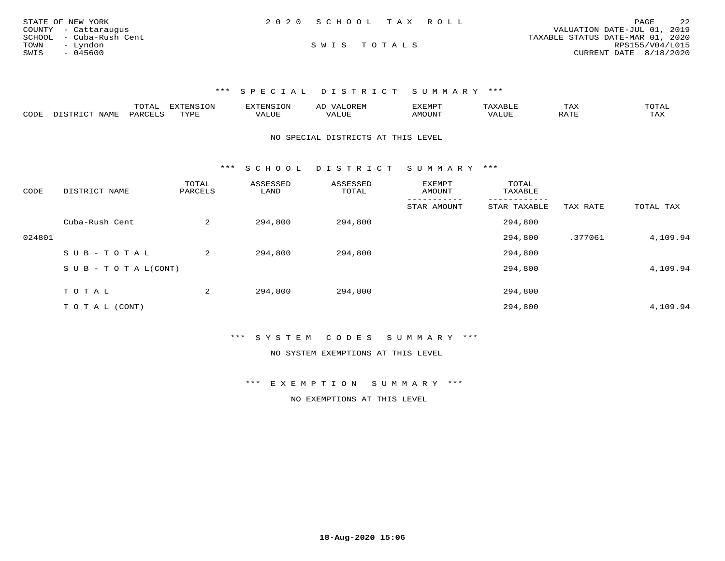| STATE OF NEW YORK       | 2020 SCHOOL TAX ROLL | 2.2<br>PAGE                      |
|-------------------------|----------------------|----------------------------------|
| COUNTY - Cattaraugus    |                      | VALUATION DATE-JUL 01, 2019      |
| SCHOOL - Cuba-Rush Cent |                      | TAXABLE STATUS DATE-MAR 01, 2020 |
| TOWN<br>– Lyndon        | SWIS TOTALS          | RPS155/V04/L015                  |
| $-045600$<br>SWIS       |                      | CURRENT DATE 8/18/2020           |

\*\*\* S P E C I A L D I S T R I C T S U M M A R Y \*\*\*

|      |                                             | $  -$ | N I S   |  | ∸∽∸ | $\sim$ $\sim$ $\sim$ $\sim$<br>۰д |
|------|---------------------------------------------|-------|---------|--|-----|-----------------------------------|
| CODE | $M$ $\leftrightarrow$ $N$ $\leftrightarrow$ | ∵⊾ ⊿  | $V_{A}$ |  |     | $m \times r$<br>⊥ ⊶∧              |

NO SPECIAL DISTRICTS AT THIS LEVEL

\*\*\* S C H O O L D I S T R I C T S U M M A R Y \*\*\*

| CODE   | DISTRICT NAME                    | TOTAL<br>PARCELS | ASSESSED<br>LAND | ASSESSED<br>TOTAL | <b>EXEMPT</b><br>AMOUNT | TOTAL<br>TAXABLE |          |           |
|--------|----------------------------------|------------------|------------------|-------------------|-------------------------|------------------|----------|-----------|
|        |                                  |                  |                  |                   | STAR AMOUNT             | STAR TAXABLE     | TAX RATE | TOTAL TAX |
|        | Cuba-Rush Cent                   | 2                | 294,800          | 294,800           |                         | 294,800          |          |           |
| 024801 |                                  |                  |                  |                   |                         | 294,800          | .377061  | 4,109.94  |
|        | SUB-TOTAL                        | 2                | 294,800          | 294,800           |                         | 294,800          |          |           |
|        | $S \cup B - T \cup T A L (CONT)$ |                  |                  |                   |                         | 294,800          |          | 4,109.94  |
|        |                                  |                  |                  |                   |                         |                  |          |           |
|        | TOTAL                            | 2                | 294,800          | 294,800           |                         | 294,800          |          |           |
|        | T O T A L (CONT)                 |                  |                  |                   |                         | 294,800          |          | 4,109.94  |

\*\*\* S Y S T E M C O D E S S U M M A R Y \*\*\*

NO SYSTEM EXEMPTIONS AT THIS LEVEL

\*\*\* E X E M P T I O N S U M M A R Y \*\*\*

NO EXEMPTIONS AT THIS LEVEL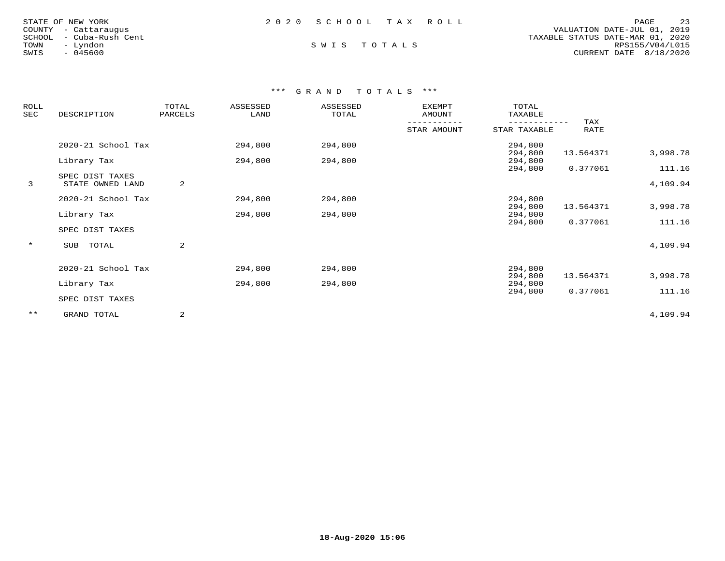| STATE OF NEW YORK       | 2020 SCHOOL TAX ROLL |  | 23<br>PAGE                       |
|-------------------------|----------------------|--|----------------------------------|
| COUNTY - Cattaraugus    |                      |  | VALUATION DATE-JUL 01, 2019      |
| SCHOOL - Cuba-Rush Cent |                      |  | TAXABLE STATUS DATE-MAR 01, 2020 |
| TOWN<br>– Lyndon        | SWIS TOTALS          |  | RPS155/V04/L015                  |
| - 045600<br>SWIS        |                      |  | CURRENT DATE $8/18/2020$         |
|                         |                      |  |                                  |

# \*\*\* G R A N D T O T A L S \*\*\*

| <b>ROLL</b><br>SEC | DESCRIPTION                         | TOTAL<br>PARCELS | ASSESSED<br>LAND | ASSESSED<br>TOTAL | <b>EXEMPT</b><br>AMOUNT | TOTAL<br>TAXABLE   |             |                    |
|--------------------|-------------------------------------|------------------|------------------|-------------------|-------------------------|--------------------|-------------|--------------------|
|                    |                                     |                  |                  |                   | STAR AMOUNT             | STAR TAXABLE       | TAX<br>RATE |                    |
|                    | 2020-21 School Tax                  |                  | 294,800          | 294,800           |                         | 294,800<br>294,800 | 13.564371   | 3,998.78           |
|                    | Library Tax                         |                  | 294,800          | 294,800           |                         | 294,800            |             |                    |
| 3                  | SPEC DIST TAXES<br>STATE OWNED LAND | 2                |                  |                   |                         | 294,800            | 0.377061    | 111.16<br>4,109.94 |
|                    | 2020-21 School Tax                  |                  | 294,800          | 294,800           |                         | 294,800<br>294,800 | 13.564371   | 3,998.78           |
|                    | Library Tax                         |                  | 294,800          | 294,800           |                         | 294,800<br>294,800 | 0.377061    | 111.16             |
|                    | SPEC DIST TAXES                     |                  |                  |                   |                         |                    |             |                    |
| $\star$            | SUB<br>TOTAL                        | 2                |                  |                   |                         |                    |             | 4,109.94           |
|                    | 2020-21 School Tax                  |                  | 294,800          | 294,800           |                         | 294,800            |             |                    |
|                    | Library Tax                         |                  | 294,800          | 294,800           |                         | 294,800<br>294,800 | 13.564371   | 3,998.78           |
|                    | SPEC DIST TAXES                     |                  |                  |                   |                         | 294,800            | 0.377061    | 111.16             |
| $***$              | GRAND TOTAL                         | 2                |                  |                   |                         |                    |             | 4,109.94           |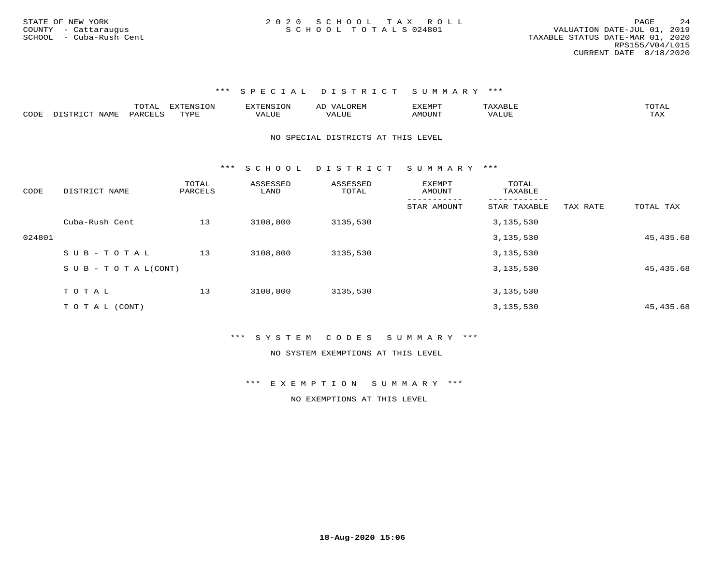\*\*\* S P E C I A L D I S T R I C T S U M M A R Y \*\*\*

|      |      | $m \wedge n$<br>◡∸ғ | $maxC + 0$<br>$\blacksquare$ | F.XTFNS<br>$-11N$ | ' JOREN<br>▵<br>∼ | F.XFMPT<br>- عديد سندمات | △ 1   | ◡∸∸      |
|------|------|---------------------|------------------------------|-------------------|-------------------|--------------------------|-------|----------|
| CODE | VAME | <b>PARCET</b>       | <b>TVDF</b><br>.             | 7ALUE             | . <b>TTT</b>      | UN"<br>ΔM∩               | 'ALUL | .<br>∸∽∸ |

NO SPECIAL DISTRICTS AT THIS LEVEL

\*\*\* S C H O O L D I S T R I C T S U M M A R Y \*\*\*

| CODE   | DISTRICT NAME             | TOTAL<br>PARCELS | ASSESSED<br>LAND | ASSESSED<br>TOTAL | <b>EXEMPT</b><br>AMOUNT | TOTAL<br>TAXABLE |          |           |
|--------|---------------------------|------------------|------------------|-------------------|-------------------------|------------------|----------|-----------|
|        |                           |                  |                  |                   | STAR AMOUNT             | STAR TAXABLE     | TAX RATE | TOTAL TAX |
|        | Cuba-Rush Cent            | 13               | 3108,800         | 3135,530          |                         | 3,135,530        |          |           |
| 024801 |                           |                  |                  |                   |                         | 3,135,530        |          | 45,435.68 |
|        | SUB-TOTAL                 | 13               | 3108,800         | 3135,530          |                         | 3,135,530        |          |           |
|        | S U B - T O T A $L(CONT)$ |                  |                  |                   |                         | 3,135,530        |          | 45,435.68 |
|        |                           |                  |                  |                   |                         |                  |          |           |
|        | TOTAL                     | 13               | 3108,800         | 3135,530          |                         | 3,135,530        |          |           |
|        | T O T A L (CONT)          |                  |                  |                   |                         | 3,135,530        |          | 45,435.68 |

\*\*\* S Y S T E M C O D E S S U M M A R Y \*\*\*

NO SYSTEM EXEMPTIONS AT THIS LEVEL

\*\*\* E X E M P T I O N S U M M A R Y \*\*\*

NO EXEMPTIONS AT THIS LEVEL